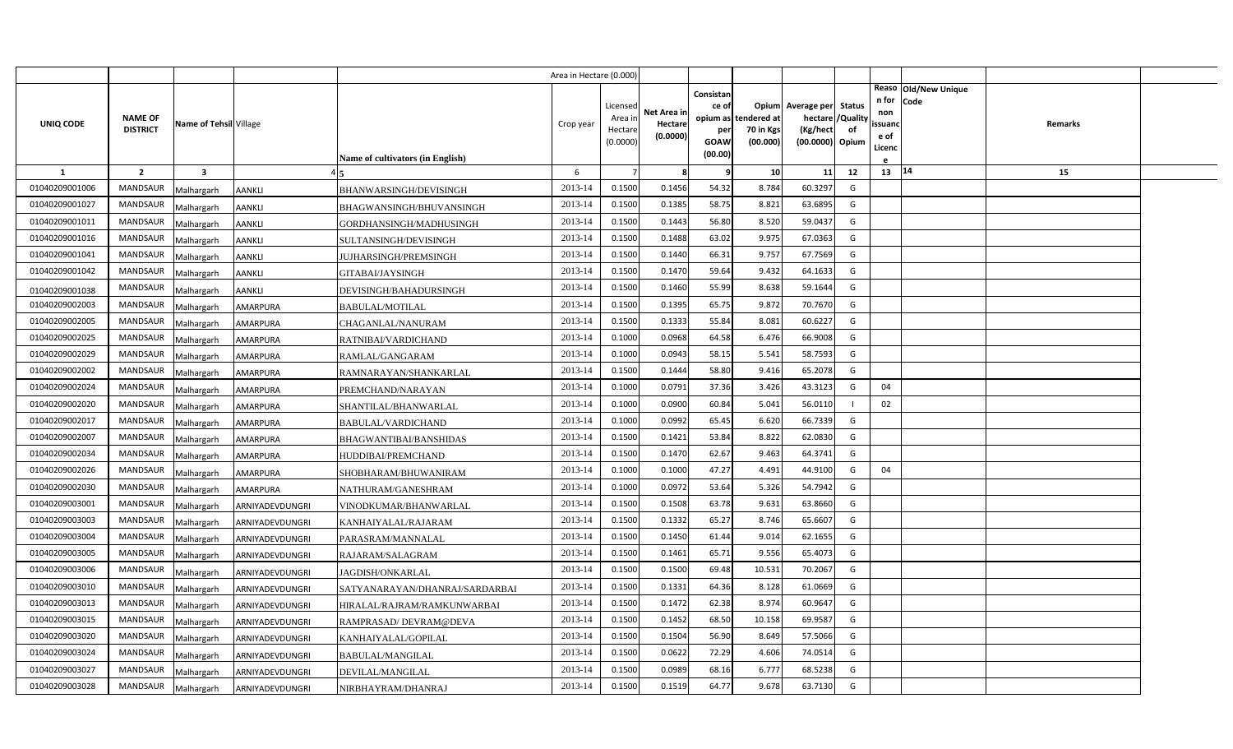|                |                                   |                         |                 |                                  | Area in Hectare (0.000 |                                            |                                    |                                                          |                                      |                                                                       |                     |                                          |                                |         |  |
|----------------|-----------------------------------|-------------------------|-----------------|----------------------------------|------------------------|--------------------------------------------|------------------------------------|----------------------------------------------------------|--------------------------------------|-----------------------------------------------------------------------|---------------------|------------------------------------------|--------------------------------|---------|--|
| UNIQ CODE      | <b>NAME OF</b><br><b>DISTRICT</b> | Name of Tehsil Village  |                 | Name of cultivators (in English) | Crop year              | Licensed<br>Area in<br>Hectare<br>(0.0000) | Net Area in<br>Hectare<br>(0.0000) | Consistan<br>ce of<br>opium as<br>per<br>GOAW<br>(00.00) | tendered at<br>70 in Kgs<br>(00.000) | Opium Average per<br>hectare / Quality<br>(Kg/hect<br>(00.0000) Opium | <b>Status</b><br>of | n for<br>non<br>ssuand<br>e of<br>Licenc | Reaso   Old/New Unique<br>Code | Remarks |  |
| $\mathbf{1}$   | $\overline{2}$                    | $\overline{\mathbf{3}}$ |                 |                                  | 6                      |                                            | -8                                 | q                                                        | 10                                   | 11                                                                    | 12                  | 13   14                                  |                                | 15      |  |
| 01040209001006 | MANDSAUR                          | Malhargarh              | <b>AANKLI</b>   | <b>BHANWARSINGH/DEVISINGH</b>    | 2013-14                | 0.1500                                     | 0.1456                             | 54.32                                                    | 8.784                                | 60.3297                                                               | G                   |                                          |                                |         |  |
| 01040209001027 | <b>MANDSAUR</b>                   | Malhargarh              | AANKLI          | BHAGWANSINGH/BHUVANSINGH         | 2013-14                | 0.1500                                     | 0.1385                             | 58.75                                                    | 8.82                                 | 63.6895                                                               | G                   |                                          |                                |         |  |
| 01040209001011 | <b>MANDSAUR</b>                   | Malhargarh              | AANKLI          | GORDHANSINGH/MADHUSINGH          | 2013-14                | 0.1500                                     | 0.1443                             | 56.80                                                    | 8.520                                | 59.0437                                                               | G                   |                                          |                                |         |  |
| 01040209001016 | <b>MANDSAUR</b>                   | Malhargarh              | AANKLI          | SULTANSINGH/DEVISINGH            | 2013-14                | 0.1500                                     | 0.1488                             | 63.02                                                    | 9.97                                 | 67.0363                                                               | G                   |                                          |                                |         |  |
| 01040209001041 | <b>MANDSAUR</b>                   | Malhargarh              | AANKLI          | JUJHARSINGH/PREMSINGH            | 2013-14                | 0.1500                                     | 0.1440                             | 66.31                                                    | 9.757                                | 67.7569                                                               | G                   |                                          |                                |         |  |
| 01040209001042 | <b>MANDSAUR</b>                   | Malhargarh              | <b>AANKLI</b>   | GITABAI/JAYSINGH                 | 2013-14                | 0.1500                                     | 0.1470                             | 59.64                                                    | 9.432                                | 64.1633                                                               | G                   |                                          |                                |         |  |
| 01040209001038 | <b>MANDSAUR</b>                   | Malhargarh              | AANKLI          | DEVISINGH/BAHADURSINGH           | 2013-14                | 0.1500                                     | 0.1460                             | 55.99                                                    | 8.638                                | 59.1644                                                               | G                   |                                          |                                |         |  |
| 01040209002003 | <b>MANDSAUR</b>                   | Malhargarh              | AMARPURA        | <b>BABULAL/MOTILAL</b>           | 2013-14                | 0.1500                                     | 0.1395                             | 65.75                                                    | 9.872                                | 70.7670                                                               | G                   |                                          |                                |         |  |
| 01040209002005 | <b>MANDSAUR</b>                   | Malhargarh              | AMARPURA        | CHAGANLAL/NANURAM                | 2013-14                | 0.1500                                     | 0.1333                             | 55.84                                                    | 8.081                                | 60.6227                                                               | G                   |                                          |                                |         |  |
| 01040209002025 | <b>MANDSAUR</b>                   | Malhargarh              | AMARPURA        | RATNIBAI/VARDICHAND              | 2013-14                | 0.1000                                     | 0.0968                             | 64.58                                                    | 6.476                                | 66.9008                                                               | G                   |                                          |                                |         |  |
| 01040209002029 | <b>MANDSAUR</b>                   | Malhargarh              | AMARPURA        | RAMLAL/GANGARAM                  | 2013-14                | 0.1000                                     | 0.0943                             | 58.15                                                    | 5.541                                | 58.7593                                                               | G                   |                                          |                                |         |  |
| 01040209002002 | MANDSAUR                          | Malhargarh              | <b>AMARPURA</b> | RAMNARAYAN/SHANKARLAL            | 2013-14                | 0.1500                                     | 0.1444                             | 58.80                                                    | 9.416                                | 65.2078                                                               | G                   |                                          |                                |         |  |
| 01040209002024 | <b>MANDSAUR</b>                   | Malhargarh              | AMARPURA        | PREMCHAND/NARAYAN                | 2013-14                | 0.1000                                     | 0.0791                             | 37.36                                                    | 3.426                                | 43.3123                                                               | G                   | 04                                       |                                |         |  |
| 01040209002020 | MANDSAUR                          | Malhargarh              | AMARPURA        | SHANTILAL/BHANWARLAL             | 2013-14                | 0.1000                                     | 0.0900                             | 60.84                                                    | 5.041                                | 56.0110                                                               |                     | 02                                       |                                |         |  |
| 01040209002017 | <b>MANDSAUR</b>                   | Malhargarh              | AMARPURA        | <b>BABULAL/VARDICHAND</b>        | 2013-14                | 0.1000                                     | 0.0992                             | 65.45                                                    | 6.620                                | 66.7339                                                               | G                   |                                          |                                |         |  |
| 01040209002007 | MANDSAUR                          | Malhargarh              | AMARPURA        | BHAGWANTIBAI/BANSHIDAS           | 2013-14                | 0.1500                                     | 0.1421                             | 53.84                                                    | 8.822                                | 62.0830                                                               | G                   |                                          |                                |         |  |
| 01040209002034 | <b>MANDSAUR</b>                   | Malhargarh              | AMARPURA        | HUDDIBAI/PREMCHAND               | 2013-14                | 0.1500                                     | 0.1470                             | 62.67                                                    | 9.463                                | 64.3741                                                               | G                   |                                          |                                |         |  |
| 01040209002026 | MANDSAUR                          | Malhargarh              | AMARPURA        | SHOBHARAM/BHUWANIRAM             | 2013-14                | 0.1000                                     | 0.1000                             | 47.27                                                    | 4.491                                | 44.9100                                                               | G                   | 04                                       |                                |         |  |
| 01040209002030 | <b>MANDSAUR</b>                   | Malhargarh              | AMARPURA        | NATHURAM/GANESHRAM               | 2013-14                | 0.1000                                     | 0.0972                             | 53.64                                                    | 5.326                                | 54.7942                                                               | G                   |                                          |                                |         |  |
| 01040209003001 | <b>MANDSAUR</b>                   | Malhargarh              | ARNIYADEVDUNGRI | VINODKUMAR/BHANWARLAL            | 2013-14                | 0.1500                                     | 0.1508                             | 63.78                                                    | 9.631                                | 63.8660                                                               | G                   |                                          |                                |         |  |
| 01040209003003 | <b>MANDSAUR</b>                   | Malhargarh              | ARNIYADEVDUNGRI | KANHAIYALAL/RAJARAM              | 2013-14                | 0.1500                                     | 0.1332                             | 65.27                                                    | 8.746                                | 65.6607                                                               | G                   |                                          |                                |         |  |
| 01040209003004 | <b>MANDSAUR</b>                   | Malhargarh              | ARNIYADEVDUNGRI | PARASRAM/MANNALAL                | 2013-14                | 0.1500                                     | 0.1450                             | 61.44                                                    | 9.014                                | 62.1655                                                               | G                   |                                          |                                |         |  |
| 01040209003005 | <b>MANDSAUR</b>                   | Malhargarh              | ARNIYADEVDUNGRI | RAJARAM/SALAGRAM                 | 2013-14                | 0.1500                                     | 0.1461                             | 65.71                                                    | 9.556                                | 65.4073                                                               | G                   |                                          |                                |         |  |
| 01040209003006 | <b>MANDSAUR</b>                   | Malhargarh              | ARNIYADEVDUNGRI | JAGDISH/ONKARLAL                 | 2013-14                | 0.1500                                     | 0.1500                             | 69.48                                                    | 10.531                               | 70.2067                                                               | G                   |                                          |                                |         |  |
| 01040209003010 | <b>MANDSAUR</b>                   | Malhargarh              | ARNIYADEVDUNGRI | SATYANARAYAN/DHANRAJ/SARDARBAI   | 2013-14                | 0.1500                                     | 0.1331                             | 64.36                                                    | 8.128                                | 61.0669                                                               | G                   |                                          |                                |         |  |
| 01040209003013 | <b>MANDSAUR</b>                   | Malhargarh              | ARNIYADEVDUNGRI | HIRALAL/RAJRAM/RAMKUNWARBAI      | 2013-14                | 0.1500                                     | 0.1472                             | 62.38                                                    | 8.974                                | 60.9647                                                               | G                   |                                          |                                |         |  |
| 01040209003015 | <b>MANDSAUR</b>                   | Malhargarh              | ARNIYADEVDUNGRI | RAMPRASAD/DEVRAM@DEVA            | 2013-14                | 0.1500                                     | 0.1452                             | 68.50                                                    | 10.158                               | 69.9587                                                               | G                   |                                          |                                |         |  |
| 01040209003020 | <b>MANDSAUR</b>                   | Malhargarh              | ARNIYADEVDUNGRI | KANHAIYALAL/GOPILAL              | 2013-14                | 0.1500                                     | 0.1504                             | 56.90                                                    | 8.649                                | 57.5066                                                               | G                   |                                          |                                |         |  |
| 01040209003024 | <b>MANDSAUR</b>                   | Malhargarh              | ARNIYADEVDUNGRI | BABULAL/MANGILAL                 | 2013-14                | 0.1500                                     | 0.0622                             | 72.29                                                    | 4.606                                | 74.0514                                                               | G                   |                                          |                                |         |  |
| 01040209003027 | <b>MANDSAUR</b>                   | Malhargarh              | ARNIYADEVDUNGRI | DEVILAL/MANGILAL                 | 2013-14                | 0.1500                                     | 0.0989                             | 68.16                                                    | 6.777                                | 68.5238                                                               | G                   |                                          |                                |         |  |
| 01040209003028 | MANDSAUR                          | Malhargarh              | ARNIYADEVDUNGRI | NIRBHAYRAM/DHANRAJ               | 2013-14                | 0.1500                                     | 0.1519                             | 64.77                                                    | 9.678                                | 63.7130                                                               | G                   |                                          |                                |         |  |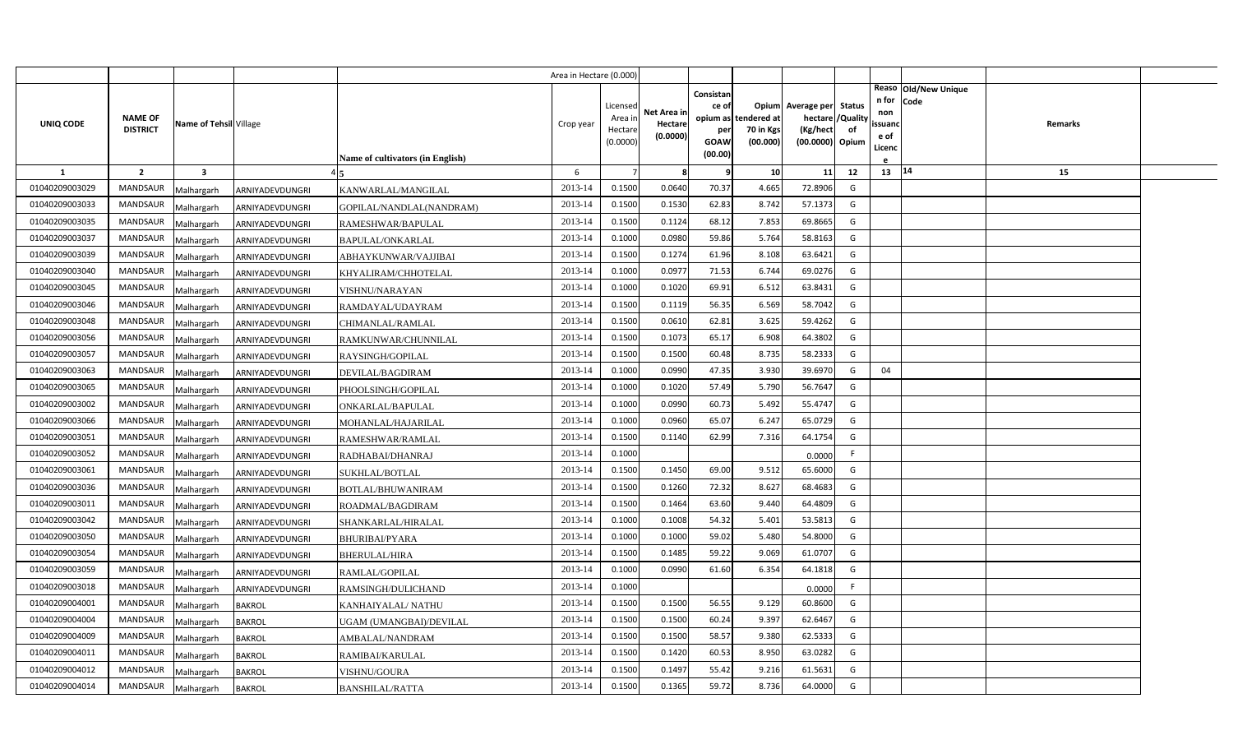|                |                                   |                         |                 |                                  | Area in Hectare (0.000) |                                            |                                    |                                                                 |                                      |                                                                              |    |                                          |                              |         |  |
|----------------|-----------------------------------|-------------------------|-----------------|----------------------------------|-------------------------|--------------------------------------------|------------------------------------|-----------------------------------------------------------------|--------------------------------------|------------------------------------------------------------------------------|----|------------------------------------------|------------------------------|---------|--|
| UNIQ CODE      | <b>NAME OF</b><br><b>DISTRICT</b> | Name of Tehsil Village  |                 | Name of cultivators (in English) | Crop year               | Licensed<br>Area ir<br>Hectare<br>(0.0000) | Net Area in<br>Hectare<br>(0.0000) | Consistan<br>ce of<br>opium as<br>per<br><b>GOAW</b><br>(00.00) | tendered at<br>70 in Kgs<br>(00.000) | Opium Average per Status<br>hectare / Quality<br>(Kg/hect<br>(00.0000) Opium | of | n for<br>non<br>ssuand<br>e of<br>Licenc | Reaso Old/New Unique<br>Code | Remarks |  |
| $\mathbf{1}$   | $\overline{2}$                    | $\overline{\mathbf{3}}$ |                 |                                  | 6                       | $\overline{7}$                             | 8                                  | -C                                                              | 10 <sup>1</sup>                      | 11                                                                           | 12 | 13 14                                    |                              | 15      |  |
| 01040209003029 | <b>MANDSAUR</b>                   | Malhargarh              | ARNIYADEVDUNGRI | KANWARLAL/MANGILAL               | 2013-14                 | 0.1500                                     | 0.0640                             | 70.37                                                           | 4.665                                | 72.8906                                                                      | G  |                                          |                              |         |  |
| 01040209003033 | <b>MANDSAUR</b>                   | Malhargarh              | ARNIYADEVDUNGRI | GOPILAL/NANDLAL(NANDRAM)         | 2013-14                 | 0.1500                                     | 0.1530                             | 62.83                                                           | 8.742                                | 57.1373                                                                      | G  |                                          |                              |         |  |
| 01040209003035 | MANDSAUR                          | Malhargarh              | ARNIYADEVDUNGRI | RAMESHWAR/BAPULAL                | 2013-14                 | 0.1500                                     | 0.1124                             | 68.12                                                           | 7.853                                | 69.8665                                                                      | G  |                                          |                              |         |  |
| 01040209003037 | <b>MANDSAUR</b>                   | Malhargarh              | ARNIYADEVDUNGRI | BAPULAL/ONKARLAL                 | 2013-14                 | 0.1000                                     | 0.0980                             | 59.86                                                           | 5.764                                | 58.8163                                                                      | G  |                                          |                              |         |  |
| 01040209003039 | <b>MANDSAUR</b>                   | Malhargarh              | ARNIYADEVDUNGRI | ABHAYKUNWAR/VAJJIBAI             | 2013-14                 | 0.1500                                     | 0.1274                             | 61.96                                                           | 8.108                                | 63.6421                                                                      | G  |                                          |                              |         |  |
| 01040209003040 | MANDSAUR                          | Malhargarh              | ARNIYADEVDUNGRI | KHYALIRAM/CHHOTELAL              | 2013-14                 | 0.1000                                     | 0.0977                             | 71.53                                                           | 6.744                                | 69.0276                                                                      | G  |                                          |                              |         |  |
| 01040209003045 | <b>MANDSAUR</b>                   | Malhargarh              | ARNIYADEVDUNGRI | VISHNU/NARAYAN                   | 2013-14                 | 0.1000                                     | 0.1020                             | 69.91                                                           | 6.512                                | 63.8431                                                                      | G  |                                          |                              |         |  |
| 01040209003046 | MANDSAUR                          | Malhargarh              | ARNIYADEVDUNGRI | RAMDAYAL/UDAYRAM                 | 2013-14                 | 0.1500                                     | 0.1119                             | 56.35                                                           | 6.569                                | 58.7042                                                                      | G  |                                          |                              |         |  |
| 01040209003048 | MANDSAUR                          | Malhargarh              | ARNIYADEVDUNGRI | CHIMANLAL/RAMLAL                 | 2013-14                 | 0.1500                                     | 0.0610                             | 62.81                                                           | 3.625                                | 59.4262                                                                      | G  |                                          |                              |         |  |
| 01040209003056 | MANDSAUR                          | Malhargarh              | ARNIYADEVDUNGRI | RAMKUNWAR/CHUNNILAL              | 2013-14                 | 0.1500                                     | 0.1073                             | 65.17                                                           | 6.908                                | 64.3802                                                                      | G  |                                          |                              |         |  |
| 01040209003057 | MANDSAUR                          | Malhargarh              | ARNIYADEVDUNGRI | RAYSINGH/GOPILAL                 | 2013-14                 | 0.1500                                     | 0.1500                             | 60.48                                                           | 8.735                                | 58.2333                                                                      | G  |                                          |                              |         |  |
| 01040209003063 | <b>MANDSAUR</b>                   | Malhargarh              | ARNIYADEVDUNGRI | DEVILAL/BAGDIRAM                 | 2013-14                 | 0.1000                                     | 0.0990                             | 47.35                                                           | 3.930                                | 39.6970                                                                      | G  | 04                                       |                              |         |  |
| 01040209003065 | <b>MANDSAUR</b>                   | Malhargarh              | ARNIYADEVDUNGRI | PHOOLSINGH/GOPILAL               | 2013-14                 | 0.1000                                     | 0.1020                             | 57.49                                                           | 5.790                                | 56.7647                                                                      | G  |                                          |                              |         |  |
| 01040209003002 | <b>MANDSAUR</b>                   | Malhargarh              | ARNIYADEVDUNGRI | ONKARLAL/BAPULAL                 | 2013-14                 | 0.1000                                     | 0.0990                             | 60.73                                                           | 5.492                                | 55.4747                                                                      | G  |                                          |                              |         |  |
| 01040209003066 | <b>MANDSAUR</b>                   | Malhargarh              | ARNIYADEVDUNGRI | MOHANLAL/HAJARILAL               | 2013-14                 | 0.1000                                     | 0.0960                             | 65.07                                                           | 6.247                                | 65.0729                                                                      | G  |                                          |                              |         |  |
| 01040209003051 | <b>MANDSAUR</b>                   | Malhargarh              | ARNIYADEVDUNGRI | RAMESHWAR/RAMLAL                 | 2013-14                 | 0.1500                                     | 0.1140                             | 62.99                                                           | 7.316                                | 64.1754                                                                      | G  |                                          |                              |         |  |
| 01040209003052 | <b>MANDSAUR</b>                   | Malhargarh              | ARNIYADEVDUNGRI | RADHABAI/DHANRAJ                 | 2013-14                 | 0.1000                                     |                                    |                                                                 |                                      | 0.0000                                                                       | F. |                                          |                              |         |  |
| 01040209003061 | <b>MANDSAUR</b>                   | Malhargarh              | ARNIYADEVDUNGRI | SUKHLAL/BOTLAL                   | 2013-14                 | 0.1500                                     | 0.1450                             | 69.00                                                           | 9.512                                | 65.6000                                                                      | G  |                                          |                              |         |  |
| 01040209003036 | <b>MANDSAUR</b>                   | Malhargarh              | ARNIYADEVDUNGRI | BOTLAL/BHUWANIRAM                | 2013-14                 | 0.1500                                     | 0.1260                             | 72.32                                                           | 8.627                                | 68.4683                                                                      | G  |                                          |                              |         |  |
| 01040209003011 | <b>MANDSAUR</b>                   | Malhargarh              | ARNIYADEVDUNGRI | ROADMAL/BAGDIRAM                 | 2013-14                 | 0.1500                                     | 0.1464                             | 63.60                                                           | 9.440                                | 64.4809                                                                      | G  |                                          |                              |         |  |
| 01040209003042 | MANDSAUR                          | Malhargarh              | ARNIYADEVDUNGRI | SHANKARLAL/HIRALAL               | 2013-14                 | 0.1000                                     | 0.1008                             | 54.32                                                           | 5.401                                | 53.5813                                                                      | G  |                                          |                              |         |  |
| 01040209003050 | MANDSAUR                          | Malhargarh              | ARNIYADEVDUNGRI | BHURIBAI/PYARA                   | 2013-14                 | 0.1000                                     | 0.1000                             | 59.02                                                           | 5.480                                | 54.8000                                                                      | G  |                                          |                              |         |  |
| 01040209003054 | <b>MANDSAUR</b>                   | Malhargarh              | ARNIYADEVDUNGRI | BHERULAL/HIRA                    | 2013-14                 | 0.1500                                     | 0.1485                             | 59.22                                                           | 9.069                                | 61.0707                                                                      | G  |                                          |                              |         |  |
| 01040209003059 | MANDSAUR                          | Malhargarh              | ARNIYADEVDUNGRI | RAMLAL/GOPILAL                   | 2013-14                 | 0.1000                                     | 0.0990                             | 61.60                                                           | 6.354                                | 64.1818                                                                      | G  |                                          |                              |         |  |
| 01040209003018 | MANDSAUR                          | Malhargarh              | ARNIYADEVDUNGRI | RAMSINGH/DULICHAND               | 2013-14                 | 0.1000                                     |                                    |                                                                 |                                      | 0.0000                                                                       | F. |                                          |                              |         |  |
| 01040209004001 | <b>MANDSAUR</b>                   | Malhargarh              | <b>BAKROL</b>   | KANHAIYALAL/ NATHU               | 2013-14                 | 0.1500                                     | 0.1500                             | 56.55                                                           | 9.129                                | 60.8600                                                                      | G  |                                          |                              |         |  |
| 01040209004004 | <b>MANDSAUR</b>                   | Malhargarh              | <b>BAKROL</b>   | UGAM (UMANGBAI)/DEVILAL          | 2013-14                 | 0.1500                                     | 0.1500                             | 60.24                                                           | 9.397                                | 62.6467                                                                      | G  |                                          |                              |         |  |
| 01040209004009 | <b>MANDSAUR</b>                   | Malhargarh              | <b>BAKROL</b>   | AMBALAL/NANDRAM                  | 2013-14                 | 0.1500                                     | 0.1500                             | 58.57                                                           | 9.380                                | 62.5333                                                                      | G  |                                          |                              |         |  |
| 01040209004011 | MANDSAUR                          | Malhargarh              | <b>BAKROL</b>   | RAMIBAI/KARULAL                  | 2013-14                 | 0.1500                                     | 0.1420                             | 60.53                                                           | 8.950                                | 63.0282                                                                      | G  |                                          |                              |         |  |
| 01040209004012 | MANDSAUR                          | Malhargarh              | <b>BAKROL</b>   | VISHNU/GOURA                     | 2013-14                 | 0.1500                                     | 0.1497                             | 55.42                                                           | 9.216                                | 61.5631                                                                      | G  |                                          |                              |         |  |
| 01040209004014 | MANDSAUR                          | Malhargarh              | <b>BAKROL</b>   | <b>BANSHILAL/RATTA</b>           | 2013-14                 | 0.1500                                     | 0.1365                             | 59.72                                                           | 8.736                                | 64.0000                                                                      | G  |                                          |                              |         |  |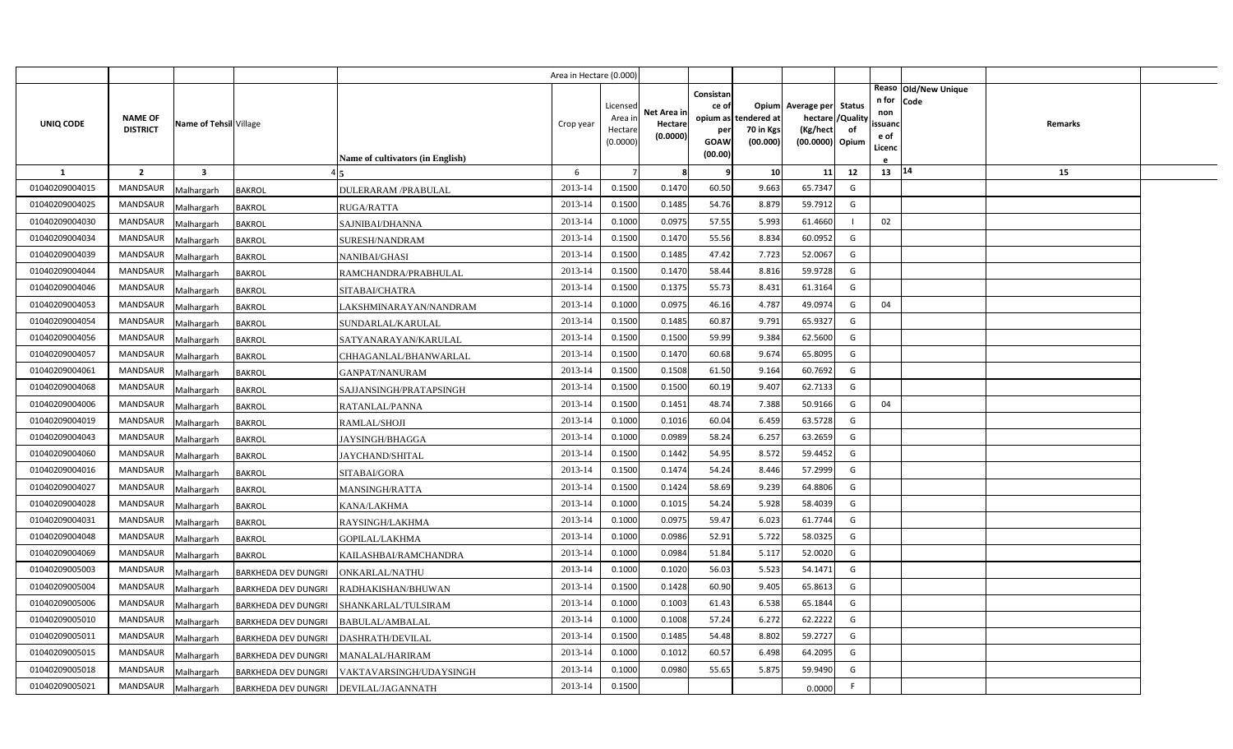|                |                                   |                         |                            |                                  | Area in Hectare (0.000 |                                            |                                    |                                              |                                               |                                                                      |                |                                          |                              |         |  |
|----------------|-----------------------------------|-------------------------|----------------------------|----------------------------------|------------------------|--------------------------------------------|------------------------------------|----------------------------------------------|-----------------------------------------------|----------------------------------------------------------------------|----------------|------------------------------------------|------------------------------|---------|--|
| UNIQ CODE      | <b>NAME OF</b><br><b>DISTRICT</b> | Name of Tehsil Village  |                            | Name of cultivators (in English) | Crop year              | Licensed<br>Area in<br>Hectare<br>(0.0000) | Net Area in<br>Hectare<br>(0.0000) | Consistan<br>ce of<br>per<br>GOAW<br>(00.00) | opium as tendered at<br>70 in Kgs<br>(00.000) | Opium Average per Status<br>hectare /<br>(Kg/hect<br>(00.0000) Opium | /Quality<br>of | n for<br>non<br>ssuand<br>e of<br>Licenc | Reaso Old/New Unique<br>Code | Remarks |  |
| 1              | $\overline{2}$                    | $\overline{\mathbf{3}}$ |                            |                                  | 6                      |                                            | 8                                  | q                                            | 10                                            | 11                                                                   | 12             | 13   14                                  |                              | 15      |  |
| 01040209004015 | MANDSAUR                          | Malhargarh              | <b>BAKROL</b>              | <b>DULERARAM /PRABULAL</b>       | 2013-14                | 0.1500                                     | 0.1470                             | 60.50                                        | 9.663                                         | 65.7347                                                              | G              |                                          |                              |         |  |
| 01040209004025 | <b>MANDSAUR</b>                   | Malhargarh              | <b>BAKROL</b>              | RUGA/RATTA                       | 2013-14                | 0.1500                                     | 0.1485                             | 54.76                                        | 8.879                                         | 59.7912                                                              | G              |                                          |                              |         |  |
| 01040209004030 | <b>MANDSAUR</b>                   | Malhargarh              | <b>BAKROL</b>              | SAJNIBAI/DHANNA                  | 2013-14                | 0.1000                                     | 0.0975                             | 57.55                                        | 5.993                                         | 61.4660                                                              |                | 02                                       |                              |         |  |
| 01040209004034 | <b>MANDSAUR</b>                   | Malhargarh              | <b>BAKROL</b>              | SURESH/NANDRAM                   | 2013-14                | 0.1500                                     | 0.1470                             | 55.56                                        | 8.834                                         | 60.0952                                                              | G              |                                          |                              |         |  |
| 01040209004039 | <b>MANDSAUR</b>                   | Malhargarh              | <b>BAKROL</b>              | NANIBAI/GHASI                    | 2013-14                | 0.1500                                     | 0.1485                             | 47.42                                        | 7.723                                         | 52.0067                                                              | G              |                                          |                              |         |  |
| 01040209004044 | <b>MANDSAUR</b>                   | Malhargarh              | <b>BAKROL</b>              | RAMCHANDRA/PRABHULAL             | 2013-14                | 0.1500                                     | 0.1470                             | 58.44                                        | 8.816                                         | 59.9728                                                              | G              |                                          |                              |         |  |
| 01040209004046 | <b>MANDSAUR</b>                   | Malhargarh              | <b>BAKROL</b>              | SITABAI/CHATRA                   | 2013-14                | 0.1500                                     | 0.1375                             | 55.73                                        | 8.431                                         | 61.3164                                                              | G              |                                          |                              |         |  |
| 01040209004053 | <b>MANDSAUR</b>                   | Malhargarh              | <b>BAKROL</b>              | LAKSHMINARAYAN/NANDRAM           | 2013-14                | 0.1000                                     | 0.0975                             | 46.16                                        | 4.787                                         | 49.0974                                                              | G              | 04                                       |                              |         |  |
| 01040209004054 | <b>MANDSAUR</b>                   | Malhargarh              | <b>BAKROL</b>              | SUNDARLAL/KARULAL                | 2013-14                | 0.1500                                     | 0.1485                             | 60.87                                        | 9.791                                         | 65.9327                                                              | G              |                                          |                              |         |  |
| 01040209004056 | <b>MANDSAUR</b>                   | Malhargarh              | <b>BAKROL</b>              | SATYANARAYAN/KARULAL             | 2013-14                | 0.1500                                     | 0.1500                             | 59.99                                        | 9.384                                         | 62.5600                                                              | G              |                                          |                              |         |  |
| 01040209004057 | MANDSAUR                          | Malhargarh              | <b>BAKROL</b>              | CHHAGANLAL/BHANWARLAL            | 2013-14                | 0.1500                                     | 0.1470                             | 60.68                                        | 9.674                                         | 65.8095                                                              | G              |                                          |                              |         |  |
| 01040209004061 | <b>MANDSAUR</b>                   | Malhargarh              | <b>BAKROL</b>              | GANPAT/NANURAM                   | 2013-14                | 0.1500                                     | 0.1508                             | 61.50                                        | 9.164                                         | 60.7692                                                              | G              |                                          |                              |         |  |
| 01040209004068 | MANDSAUR                          | Malhargarh              | <b>BAKROL</b>              | SAJJANSINGH/PRATAPSINGH          | 2013-14                | 0.1500                                     | 0.1500                             | 60.19                                        | 9.407                                         | 62.7133                                                              | G              |                                          |                              |         |  |
| 01040209004006 | <b>MANDSAUR</b>                   | Malhargarh              | <b>BAKROL</b>              | RATANLAL/PANNA                   | 2013-14                | 0.1500                                     | 0.1451                             | 48.74                                        | 7.388                                         | 50.9166                                                              | G              | 04                                       |                              |         |  |
| 01040209004019 | MANDSAUR                          | Malhargarh              | <b>BAKROL</b>              | <b>RAMLAL/SHOJI</b>              | 2013-14                | 0.1000                                     | 0.1016                             | 60.04                                        | 6.459                                         | 63.5728                                                              | G              |                                          |                              |         |  |
| 01040209004043 | MANDSAUR                          | Malhargarh              | <b>BAKROL</b>              | JAYSINGH/BHAGGA                  | 2013-14                | 0.1000                                     | 0.0989                             | 58.24                                        | 6.257                                         | 63.2659                                                              | G              |                                          |                              |         |  |
| 01040209004060 | MANDSAUR                          | Malhargarh              | <b>BAKROL</b>              | JAYCHAND/SHITAL                  | 2013-14                | 0.1500                                     | 0.1442                             | 54.95                                        | 8.572                                         | 59.4452                                                              | G              |                                          |                              |         |  |
| 01040209004016 | <b>MANDSAUR</b>                   | Malhargarh              | <b>BAKROL</b>              | SITABAI/GORA                     | 2013-14                | 0.1500                                     | 0.1474                             | 54.24                                        | 8.446                                         | 57.2999                                                              | G              |                                          |                              |         |  |
| 01040209004027 | <b>MANDSAUR</b>                   | Malhargarh              | <b>BAKROL</b>              | <b>MANSINGH/RATTA</b>            | 2013-14                | 0.1500                                     | 0.1424                             | 58.69                                        | 9.239                                         | 64.8806                                                              | G              |                                          |                              |         |  |
| 01040209004028 | <b>MANDSAUR</b>                   | Malhargarh              | <b>BAKROL</b>              | KANA/LAKHMA                      | 2013-14                | 0.1000                                     | 0.1015                             | 54.24                                        | 5.928                                         | 58.4039                                                              | G              |                                          |                              |         |  |
| 01040209004031 | <b>MANDSAUR</b>                   | Malhargarh              | <b>BAKROL</b>              | RAYSINGH/LAKHMA                  | 2013-14                | 0.1000                                     | 0.0975                             | 59.47                                        | 6.023                                         | 61.7744                                                              | G              |                                          |                              |         |  |
| 01040209004048 | <b>MANDSAUR</b>                   | Malhargarh              | BAKROL                     | GOPILAL/LAKHMA                   | 2013-14                | 0.1000                                     | 0.0986                             | 52.91                                        | 5.722                                         | 58.0325                                                              | G              |                                          |                              |         |  |
| 01040209004069 | <b>MANDSAUR</b>                   | Malhargarh              | <b>BAKROL</b>              | KAILASHBAI/RAMCHANDRA            | 2013-14                | 0.1000                                     | 0.0984                             | 51.84                                        | 5.11                                          | 52.0020                                                              | G              |                                          |                              |         |  |
| 01040209005003 | <b>MANDSAUR</b>                   | Malhargarh              | <b>BARKHEDA DEV DUNGRI</b> | <b>DNKARLAL/NATHU</b>            | 2013-14                | 0.1000                                     | 0.1020                             | 56.03                                        | 5.523                                         | 54.1471                                                              | G              |                                          |                              |         |  |
| 01040209005004 | <b>MANDSAUR</b>                   | Malhargarh              | <b>BARKHEDA DEV DUNGRI</b> | RADHAKISHAN/BHUWAN               | 2013-14                | 0.1500                                     | 0.1428                             | 60.90                                        | 9.405                                         | 65.8613                                                              | G              |                                          |                              |         |  |
| 01040209005006 | MANDSAUR                          | Malhargarh              | <b>BARKHEDA DEV DUNGRI</b> | SHANKARLAL/TULSIRAM              | 2013-14                | 0.1000                                     | 0.1003                             | 61.43                                        | 6.538                                         | 65.1844                                                              | G              |                                          |                              |         |  |
| 01040209005010 | MANDSAUR                          | Malhargarh              | BARKHEDA DEV DUNGRI        | <b>BABULAL/AMBALAL</b>           | 2013-14                | 0.1000                                     | 0.1008                             | 57.24                                        | 6.272                                         | 62.2222                                                              | G              |                                          |                              |         |  |
| 01040209005011 | MANDSAUR                          | Malhargarh              | <b>BARKHEDA DEV DUNGRI</b> | <b>DASHRATH/DEVILAL</b>          | 2013-14                | 0.1500                                     | 0.1485                             | 54.48                                        | 8.802                                         | 59.2727                                                              | G              |                                          |                              |         |  |
| 01040209005015 | <b>MANDSAUR</b>                   | Malhargarh              | <b>BARKHEDA DEV DUNGRI</b> | <b>MANALAL/HARIRAM</b>           | 2013-14                | 0.1000                                     | 0.1012                             | 60.57                                        | 6.498                                         | 64.2095                                                              | G              |                                          |                              |         |  |
| 01040209005018 | <b>MANDSAUR</b>                   | Malhargarh              | BARKHEDA DEV DUNGRI        | VAKTAVARSINGH/UDAYSINGH          | 2013-14                | 0.1000                                     | 0.0980                             | 55.65                                        | 5.875                                         | 59.9490                                                              | G              |                                          |                              |         |  |
| 01040209005021 | <b>MANDSAUR</b>                   | Malhargarh              | <b>BARKHEDA DEV DUNGRI</b> | DEVILAL/JAGANNATH                | 2013-14                | 0.1500                                     |                                    |                                              |                                               | 0.0000                                                               |                |                                          |                              |         |  |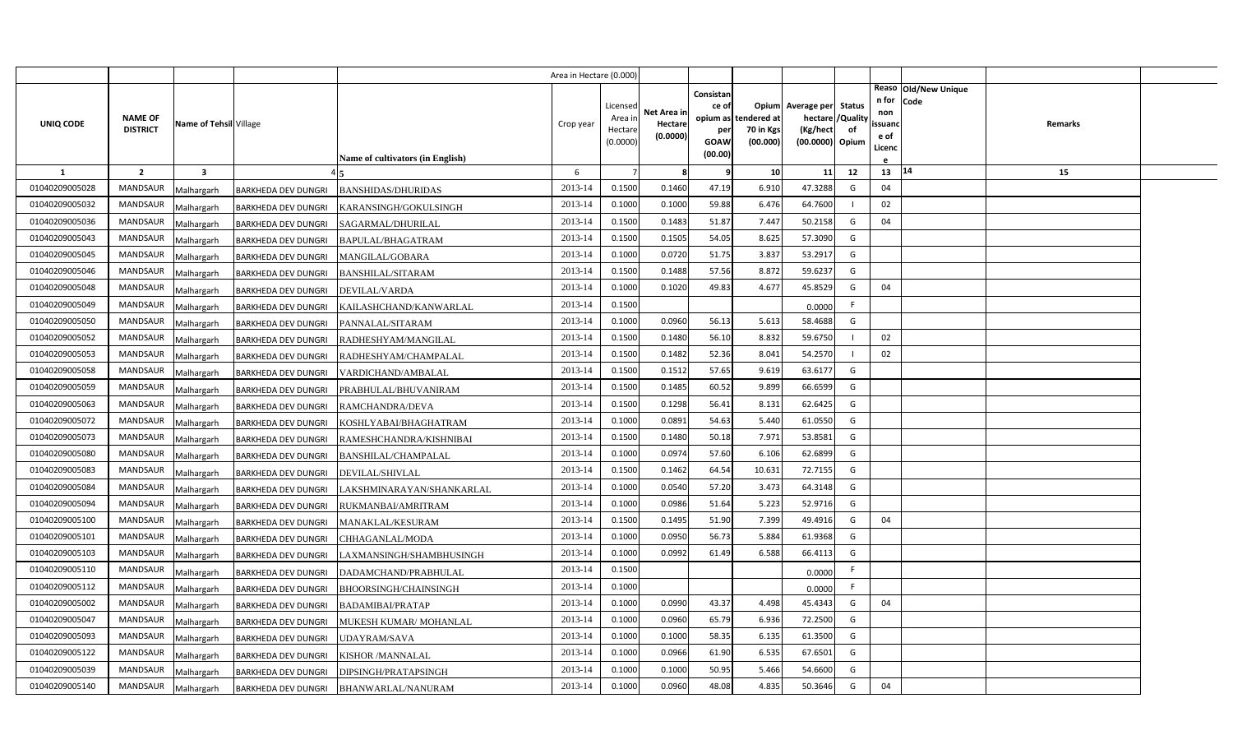|                |                                   |                        |                            |                                  | Area in Hectare (0.000 |                  |             |                    |                          |                                |    |              |                        |         |  |
|----------------|-----------------------------------|------------------------|----------------------------|----------------------------------|------------------------|------------------|-------------|--------------------|--------------------------|--------------------------------|----|--------------|------------------------|---------|--|
|                |                                   |                        |                            |                                  |                        |                  |             | Consistan          |                          |                                |    |              | Reaso   Old/New Unique |         |  |
|                |                                   |                        |                            |                                  |                        | Licensec         | Net Area in | ce of              |                          | Opium Average per Status       |    | n for<br>non | Code                   |         |  |
| UNIQ CODE      | <b>NAME OF</b><br><b>DISTRICT</b> | Name of Tehsil Village |                            |                                  | Crop year              | Area i<br>Hectar | Hectare     | opium as           | tendered at<br>70 in Kgs | hectare / Quality<br>(Kg/hect) | of | ssuanc       |                        | Remarks |  |
|                |                                   |                        |                            |                                  |                        | (0.0000)         | (0.0000)    | per<br><b>GOAW</b> | (00.000)                 | (00.0000) Opium                |    | e of         |                        |         |  |
|                |                                   |                        |                            | Name of cultivators (in English) |                        |                  |             | (00.00)            |                          |                                |    | Licenc       |                        |         |  |
| $\mathbf{1}$   | $\overline{2}$                    | 3                      |                            |                                  | 6                      |                  | 8           | - C                | 10                       | 11                             | 12 | 13           | 14                     | 15      |  |
| 01040209005028 | <b>MANDSAUR</b>                   | Malhargarh             | <b>BARKHEDA DEV DUNGRI</b> | <b>BANSHIDAS/DHURIDAS</b>        | 2013-14                | 0.1500           | 0.1460      | 47.19              | 6.910                    | 47.3288                        | G  | 04           |                        |         |  |
| 01040209005032 | <b>MANDSAUR</b>                   | Malhargarh             | BARKHEDA DEV DUNGRI        | KARANSINGH/GOKULSINGH            | 2013-14                | 0.1000           | 0.1000      | 59.88              | 6.476                    | 64.7600                        |    | 02           |                        |         |  |
| 01040209005036 | <b>MANDSAUR</b>                   | Malhargarh             | BARKHEDA DEV DUNGRI        | SAGARMAL/DHURILAL                | 2013-14                | 0.1500           | 0.1483      | 51.87              | 7.447                    | 50.2158                        | G  | 04           |                        |         |  |
| 01040209005043 | <b>MANDSAUR</b>                   | Malhargarh             | BARKHEDA DEV DUNGRI        | BAPULAL/BHAGATRAM                | 2013-14                | 0.1500           | 0.1505      | 54.05              | 8.625                    | 57.3090                        | G  |              |                        |         |  |
| 01040209005045 | <b>MANDSAUR</b>                   | Malhargarh             | BARKHEDA DEV DUNGRI        | MANGILAL/GOBARA                  | 2013-14                | 0.1000           | 0.0720      | 51.75              | 3.837                    | 53.2917                        | G  |              |                        |         |  |
| 01040209005046 | <b>MANDSAUR</b>                   | Malhargarh             | BARKHEDA DEV DUNGRI        | <b>BANSHILAL/SITARAM</b>         | 2013-14                | 0.1500           | 0.1488      | 57.56              | 8.872                    | 59.6237                        | G  |              |                        |         |  |
| 01040209005048 | <b>MANDSAUR</b>                   | Malhargarh             | <b>BARKHEDA DEV DUNGRI</b> | DEVILAL/VARDA                    | 2013-14                | 0.1000           | 0.1020      | 49.83              | 4.677                    | 45.8529                        | G  | 04           |                        |         |  |
| 01040209005049 | <b>MANDSAUR</b>                   | Malhargarh             | BARKHEDA DEV DUNGRI        | KAILASHCHAND/KANWARLAL           | 2013-14                | 0.1500           |             |                    |                          | 0.0000                         | F. |              |                        |         |  |
| 01040209005050 | MANDSAUR                          | Malhargarh             | <b>BARKHEDA DEV DUNGRI</b> | PANNALAL/SITARAM                 | 2013-14                | 0.1000           | 0.0960      | 56.13              | 5.613                    | 58.4688                        | G  |              |                        |         |  |
| 01040209005052 | <b>MANDSAUR</b>                   | Malhargarh             | <b>BARKHEDA DEV DUNGRI</b> | RADHESHYAM/MANGILAL              | 2013-14                | 0.1500           | 0.1480      | 56.10              | 8.832                    | 59.6750                        |    | 02           |                        |         |  |
| 01040209005053 | <b>MANDSAUR</b>                   | Malhargarh             | BARKHEDA DEV DUNGRI        | RADHESHYAM/CHAMPALAL             | 2013-14                | 0.1500           | 0.1482      | 52.36              | 8.041                    | 54.2570                        |    | 02           |                        |         |  |
| 01040209005058 | MANDSAUR                          | Malhargarh             | <b>BARKHEDA DEV DUNGRI</b> | VARDICHAND/AMBALAL               | 2013-14                | 0.1500           | 0.1512      | 57.65              | 9.619                    | 63.6177                        | G  |              |                        |         |  |
| 01040209005059 | <b>MANDSAUR</b>                   | Malhargarh             | <b>BARKHEDA DEV DUNGRI</b> | PRABHULAL/BHUVANIRAM             | 2013-14                | 0.1500           | 0.1485      | 60.52              | 9.899                    | 66.6599                        | G  |              |                        |         |  |
| 01040209005063 | MANDSAUR                          | Malhargarh             | <b>BARKHEDA DEV DUNGRI</b> | RAMCHANDRA/DEVA                  | 2013-14                | 0.1500           | 0.1298      | 56.41              | 8.131                    | 62.6425                        | G  |              |                        |         |  |
| 01040209005072 | <b>MANDSAUR</b>                   | Malhargarh             | BARKHEDA DEV DUNGRI        | KOSHLYABAI/BHAGHATRAM            | 2013-14                | 0.1000           | 0.0891      | 54.63              | 5.440                    | 61.0550                        | G  |              |                        |         |  |
| 01040209005073 | <b>MANDSAUR</b>                   | Malhargarh             | <b>BARKHEDA DEV DUNGRI</b> | RAMESHCHANDRA/KISHNIBAI          | 2013-14                | 0.1500           | 0.1480      | 50.18              | 7.971                    | 53.8581                        | G  |              |                        |         |  |
| 01040209005080 | <b>MANDSAUR</b>                   | Malhargarh             | BARKHEDA DEV DUNGRI        | BANSHILAL/CHAMPALAL              | 2013-14                | 0.1000           | 0.0974      | 57.60              | 6.106                    | 62.6899                        | G  |              |                        |         |  |
| 01040209005083 | <b>MANDSAUR</b>                   | Malhargarh             | BARKHEDA DEV DUNGRI        | DEVILAL/SHIVLAL                  | 2013-14                | 0.1500           | 0.1462      | 64.54              | 10.631                   | 72.7155                        | G  |              |                        |         |  |
| 01040209005084 | <b>MANDSAUR</b>                   | Malhargarh             | <b>BARKHEDA DEV DUNGRI</b> | LAKSHMINARAYAN/SHANKARLAL        | 2013-14                | 0.1000           | 0.0540      | 57.20              | 3.473                    | 64.3148                        | G  |              |                        |         |  |
| 01040209005094 | <b>MANDSAUR</b>                   | Malhargarh             | BARKHEDA DEV DUNGRI        | RUKMANBAI/AMRITRAM               | 2013-14                | 0.1000           | 0.0986      | 51.64              | 5.223                    | 52.9716                        | G  |              |                        |         |  |
| 01040209005100 | <b>MANDSAUR</b>                   | Malhargarh             | <b>BARKHEDA DEV DUNGRI</b> | MANAKLAL/KESURAM                 | 2013-14                | 0.1500           | 0.1495      | 51.90              | 7.399                    | 49.4916                        | G  | 04           |                        |         |  |
| 01040209005101 | <b>MANDSAUR</b>                   | Malhargarh             | <b>BARKHEDA DEV DUNGRI</b> | CHHAGANLAL/MODA                  | 2013-14                | 0.1000           | 0.0950      | 56.73              | 5.884                    | 61.9368                        | G  |              |                        |         |  |
| 01040209005103 | <b>MANDSAUR</b>                   | Malhargarh             | BARKHEDA DEV DUNGRI        | AXMANSINGH/SHAMBHUSINGH          | 2013-14                | 0.1000           | 0.0992      | 61.49              | 6.588                    | 66.4113                        | G  |              |                        |         |  |
| 01040209005110 | <b>MANDSAUR</b>                   | Malhargarh             | <b>BARKHEDA DEV DUNGRI</b> | DADAMCHAND/PRABHULAL             | 2013-14                | 0.1500           |             |                    |                          | 0.0000                         | F. |              |                        |         |  |
| 01040209005112 | <b>MANDSAUR</b>                   | Malhargarh             | BARKHEDA DEV DUNGRI        | BHOORSINGH/CHAINSINGH            | 2013-14                | 0.1000           |             |                    |                          | 0.0000                         | F. |              |                        |         |  |
| 01040209005002 | MANDSAUR                          | Malhargarh             | <b>BARKHEDA DEV DUNGRI</b> | <b>BADAMIBAI/PRATAP</b>          | 2013-14                | 0.1000           | 0.0990      | 43.37              | 4.498                    | 45.4343                        | G  | 04           |                        |         |  |
| 01040209005047 | MANDSAUR                          | Malhargarh             | BARKHEDA DEV DUNGRI        | MUKESH KUMAR/MOHANLAL            | 2013-14                | 0.1000           | 0.0960      | 65.79              | 6.936                    | 72.2500                        | G  |              |                        |         |  |
| 01040209005093 | MANDSAUR                          | Malhargarh             | BARKHEDA DEV DUNGRI        | <b>JDAYRAM/SAVA</b>              | 2013-14                | 0.1000           | 0.1000      | 58.35              | 6.135                    | 61.3500                        | G  |              |                        |         |  |
| 01040209005122 | <b>MANDSAUR</b>                   | Malhargarh             | <b>BARKHEDA DEV DUNGRI</b> | KISHOR /MANNALAL                 | 2013-14                | 0.1000           | 0.0966      | 61.90              | 6.535                    | 67.6501                        | G  |              |                        |         |  |
| 01040209005039 | <b>MANDSAUR</b>                   | Malhargarh             | BARKHEDA DEV DUNGRI        | DIPSINGH/PRATAPSINGH             | 2013-14                | 0.1000           | 0.1000      | 50.95              | 5.466                    | 54.6600                        | G  |              |                        |         |  |
| 01040209005140 | <b>MANDSAUR</b>                   | Malhargarh             | <b>BARKHEDA DEV DUNGRI</b> | <b>BHANWARLAL/NANURAM</b>        | 2013-14                | 0.1000           | 0.0960      | 48.08              | 4.835                    | 50.3646                        | G  | 04           |                        |         |  |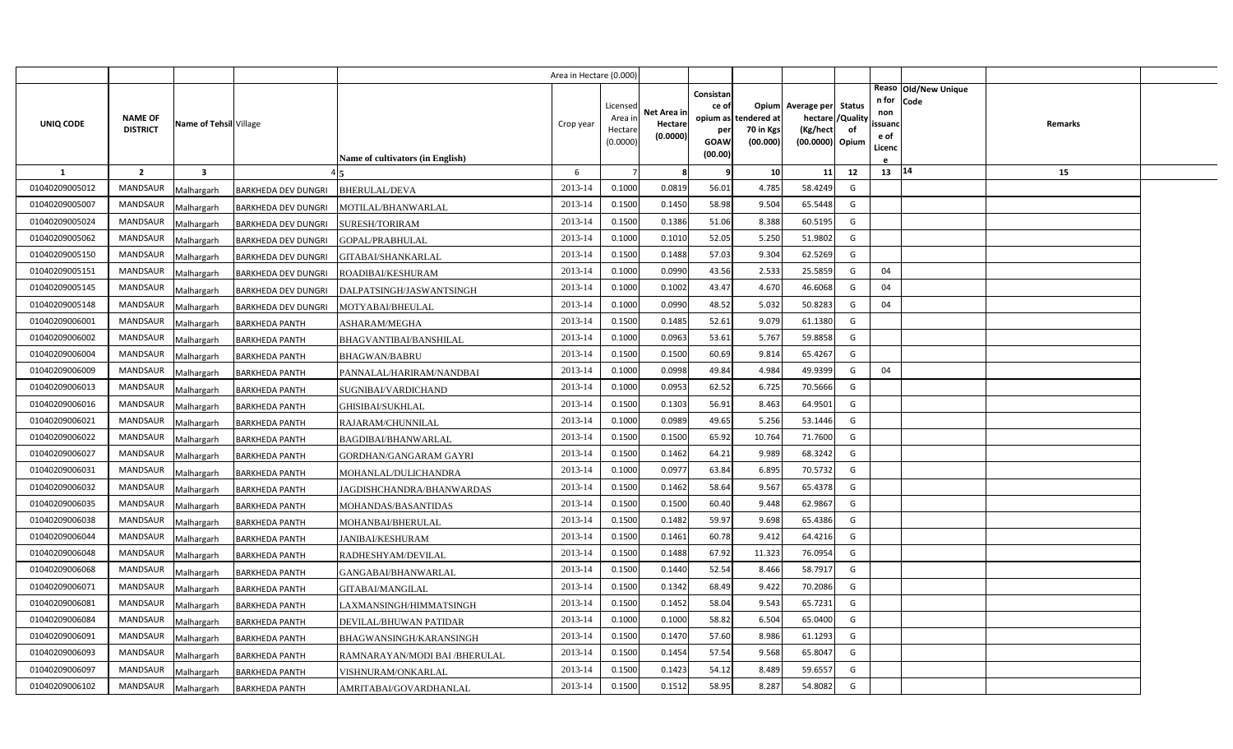|                |                                   |                         |                            |                                  | Area in Hectare (0.000) |                    |             |                 |                          |                               |    |                |                      |         |  |
|----------------|-----------------------------------|-------------------------|----------------------------|----------------------------------|-------------------------|--------------------|-------------|-----------------|--------------------------|-------------------------------|----|----------------|----------------------|---------|--|
|                |                                   |                         |                            |                                  |                         |                    |             | Consistan       |                          |                               |    | n for          | Reaso Old/New Unique |         |  |
|                |                                   |                         |                            |                                  |                         | Licensed           | Net Area in | ce of           |                          | Opium Average per Status      |    | non            | Code                 |         |  |
| UNIQ CODE      | <b>NAME OF</b><br><b>DISTRICT</b> | Name of Tehsil Village  |                            |                                  | Crop year               | Area ir<br>Hectare | Hectare     | opium as<br>per | tendered at<br>70 in Kgs | hectare / Quality<br>(Kg/hect | of | ssuand         |                      | Remarks |  |
|                |                                   |                         |                            |                                  |                         | (0.0000)           | (0.0000)    | GOAW            | (00.000)                 | (00.0000) Opium               |    | e of<br>Licenc |                      |         |  |
|                |                                   |                         |                            | Name of cultivators (in English) |                         |                    |             | (00.00)         |                          |                               |    |                |                      |         |  |
| $\mathbf{1}$   | $\overline{2}$                    | $\overline{\mathbf{3}}$ |                            |                                  | 6                       | $\overline{7}$     | 8           | q               | 10                       | 11                            | 12 | $13 \mid 14$   |                      | 15      |  |
| 01040209005012 | <b>MANDSAUR</b>                   | Malhargarh              | <b>BARKHEDA DEV DUNGRI</b> | BHERULAL/DEVA                    | 2013-14                 | 0.1000             | 0.0819      | 56.01           | 4.785                    | 58.4249                       | G  |                |                      |         |  |
| 01040209005007 | <b>MANDSAUR</b>                   | Malhargarh              | <b>BARKHEDA DEV DUNGRI</b> | MOTILAL/BHANWARLAL               | 2013-14                 | 0.1500             | 0.1450      | 58.98           | 9.504                    | 65.5448                       | G  |                |                      |         |  |
| 01040209005024 | MANDSAUR                          | Malhargarh              | <b>BARKHEDA DEV DUNGRI</b> | <b>SURESH/TORIRAM</b>            | 2013-14                 | 0.1500             | 0.1386      | 51.06           | 8.388                    | 60.5195                       | G  |                |                      |         |  |
| 01040209005062 | <b>MANDSAUR</b>                   | Malhargarh              | <b>BARKHEDA DEV DUNGRI</b> | GOPAL/PRABHULAL                  | 2013-14                 | 0.1000             | 0.1010      | 52.05           | 5.250                    | 51.9802                       | G  |                |                      |         |  |
| 01040209005150 | MANDSAUR                          | Malhargarh              | <b>BARKHEDA DEV DUNGRI</b> | GITABAI/SHANKARLAL               | 2013-14                 | 0.1500             | 0.1488      | 57.03           | 9.304                    | 62.5269                       | G  |                |                      |         |  |
| 01040209005151 | <b>MANDSAUR</b>                   | Malhargarh              | <b>BARKHEDA DEV DUNGRI</b> | ROADIBAI/KESHURAM                | 2013-14                 | 0.1000             | 0.0990      | 43.56           | 2.533                    | 25.5859                       | G  | 04             |                      |         |  |
| 01040209005145 | MANDSAUR                          | Malhargarh              | <b>BARKHEDA DEV DUNGRI</b> | DALPATSINGH/JASWANTSINGH         | 2013-14                 | 0.1000             | 0.1002      | 43.47           | 4.670                    | 46.6068                       | G  | 04             |                      |         |  |
| 01040209005148 | MANDSAUR                          | Malhargarh              | <b>BARKHEDA DEV DUNGRI</b> | MOTYABAI/BHEULAL                 | 2013-14                 | 0.1000             | 0.0990      | 48.52           | 5.032                    | 50.8283                       | G  | 04             |                      |         |  |
| 01040209006001 | MANDSAUR                          | Malhargarh              | <b>BARKHEDA PANTH</b>      | ASHARAM/MEGHA                    | 2013-14                 | 0.1500             | 0.1485      | 52.61           | 9.079                    | 61.1380                       | G  |                |                      |         |  |
| 01040209006002 | MANDSAUR                          | Malhargarh              | <b>BARKHEDA PANTH</b>      | BHAGVANTIBAI/BANSHILAL           | 2013-14                 | 0.1000             | 0.0963      | 53.61           | 5.767                    | 59.8858                       | G  |                |                      |         |  |
| 01040209006004 | <b>MANDSAUR</b>                   | Malhargarh              | <b>BARKHEDA PANTH</b>      | BHAGWAN/BABRU                    | 2013-14                 | 0.1500             | 0.1500      | 60.69           | 9.814                    | 65.4267                       | G  |                |                      |         |  |
| 01040209006009 | <b>MANDSAUR</b>                   | Malhargarh              | <b>BARKHEDA PANTH</b>      | PANNALAL/HARIRAM/NANDBAI         | 2013-14                 | 0.1000             | 0.0998      | 49.84           | 4.984                    | 49.9399                       | G  | 04             |                      |         |  |
| 01040209006013 | <b>MANDSAUR</b>                   | Malhargarh              | <b>BARKHEDA PANTH</b>      | SUGNIBAI/VARDICHAND              | 2013-14                 | 0.1000             | 0.0953      | 62.52           | 6.725                    | 70.5666                       | G  |                |                      |         |  |
| 01040209006016 | <b>MANDSAUR</b>                   | Malhargarh              | <b>BARKHEDA PANTH</b>      | GHISIBAI/SUKHLAL                 | 2013-14                 | 0.1500             | 0.1303      | 56.91           | 8.463                    | 64.9501                       | G  |                |                      |         |  |
| 01040209006021 | <b>MANDSAUR</b>                   | Malhargarh              | <b>BARKHEDA PANTH</b>      | RAJARAM/CHUNNILAL                | 2013-14                 | 0.1000             | 0.0989      | 49.65           | 5.256                    | 53.1446                       | G  |                |                      |         |  |
| 01040209006022 | <b>MANDSAUR</b>                   | Malhargarh              | <b>BARKHEDA PANTH</b>      | <b>BAGDIBAI/BHANWARLAL</b>       | 2013-14                 | 0.1500             | 0.1500      | 65.92           | 10.764                   | 71.7600                       | G  |                |                      |         |  |
| 01040209006027 | <b>MANDSAUR</b>                   | Malhargarh              | <b>BARKHEDA PANTH</b>      | GORDHAN/GANGARAM GAYRI           | 2013-14                 | 0.1500             | 0.1462      | 64.21           | 9.989                    | 68.3242                       | G  |                |                      |         |  |
| 01040209006031 | <b>MANDSAUR</b>                   | Malhargarh              | <b>BARKHEDA PANTH</b>      | MOHANLAL/DULICHANDRA             | 2013-14                 | 0.1000             | 0.0977      | 63.84           | 6.895                    | 70.5732                       | G  |                |                      |         |  |
| 01040209006032 | <b>MANDSAUR</b>                   | Malhargarh              | <b>BARKHEDA PANTH</b>      | JAGDISHCHANDRA/BHANWARDAS        | 2013-14                 | 0.1500             | 0.1462      | 58.64           | 9.567                    | 65.4378                       | G  |                |                      |         |  |
| 01040209006035 | <b>MANDSAUR</b>                   | Malhargarh              | <b>BARKHEDA PANTH</b>      | MOHANDAS/BASANTIDAS              | 2013-14                 | 0.1500             | 0.1500      | 60.40           | 9.448                    | 62.9867                       | G  |                |                      |         |  |
| 01040209006038 | MANDSAUR                          | Malhargarh              | <b>BARKHEDA PANTH</b>      | MOHANBAI/BHERULAL                | 2013-14                 | 0.1500             | 0.1482      | 59.97           | 9.698                    | 65.4386                       | G  |                |                      |         |  |
| 01040209006044 | <b>MANDSAUR</b>                   | Malhargarh              | <b>BARKHEDA PANTH</b>      | JANIBAI/KESHURAM                 | 2013-14                 | 0.1500             | 0.1461      | 60.78           | 9.412                    | 64.4216                       | G  |                |                      |         |  |
| 01040209006048 | MANDSAUR                          | Malhargarh              | <b>BARKHEDA PANTH</b>      | RADHESHYAM/DEVILAL               | 2013-14                 | 0.1500             | 0.1488      | 67.92           | 11.323                   | 76.0954                       | G  |                |                      |         |  |
| 01040209006068 | <b>MANDSAUR</b>                   | Malhargarh              | <b>BARKHEDA PANTH</b>      | GANGABAI/BHANWARLAL              | 2013-14                 | 0.1500             | 0.1440      | 52.54           | 8.466                    | 58.7917                       | G  |                |                      |         |  |
| 01040209006071 | MANDSAUR                          | Malhargarh              | <b>BARKHEDA PANTH</b>      | GITABAI/MANGILAL                 | 2013-14                 | 0.1500             | 0.1342      | 68.49           | 9.422                    | 70.2086                       | G  |                |                      |         |  |
| 01040209006081 | <b>MANDSAUR</b>                   | Malhargarh              | <b>BARKHEDA PANTH</b>      | AXMANSINGH/HIMMATSINGH.          | 2013-14                 | 0.1500             | 0.1452      | 58.04           | 9.543                    | 65.7231                       | G  |                |                      |         |  |
| 01040209006084 | <b>MANDSAUR</b>                   | Malhargarh              | <b>BARKHEDA PANTH</b>      | DEVILAL/BHUWAN PATIDAR           | 2013-14                 | 0.1000             | 0.1000      | 58.82           | 6.504                    | 65.0400                       | G  |                |                      |         |  |
| 01040209006091 | MANDSAUR                          | Malhargarh              | <b>BARKHEDA PANTH</b>      | BHAGWANSINGH/KARANSINGH          | 2013-14                 | 0.1500             | 0.1470      | 57.60           | 8.986                    | 61.1293                       | G  |                |                      |         |  |
| 01040209006093 | <b>MANDSAUR</b>                   | Malhargarh              | <b>BARKHEDA PANTH</b>      | RAMNARAYAN/MODI BAI /BHERULAL    | 2013-14                 | 0.1500             | 0.1454      | 57.54           | 9.568                    | 65.8047                       | G  |                |                      |         |  |
| 01040209006097 | MANDSAUR                          | Malhargarh              | <b>BARKHEDA PANTH</b>      | VISHNURAM/ONKARLAL               | 2013-14                 | 0.1500             | 0.1423      | 54.12           | 8.489                    | 59.6557                       | G  |                |                      |         |  |
| 01040209006102 | MANDSAUR                          | Malhargarh              | <b>BARKHEDA PANTH</b>      | AMRITABAI/GOVARDHANLAL           | 2013-14                 | 0.1500             | 0.1512      | 58.95           | 8.287                    | 54.8082                       | G  |                |                      |         |  |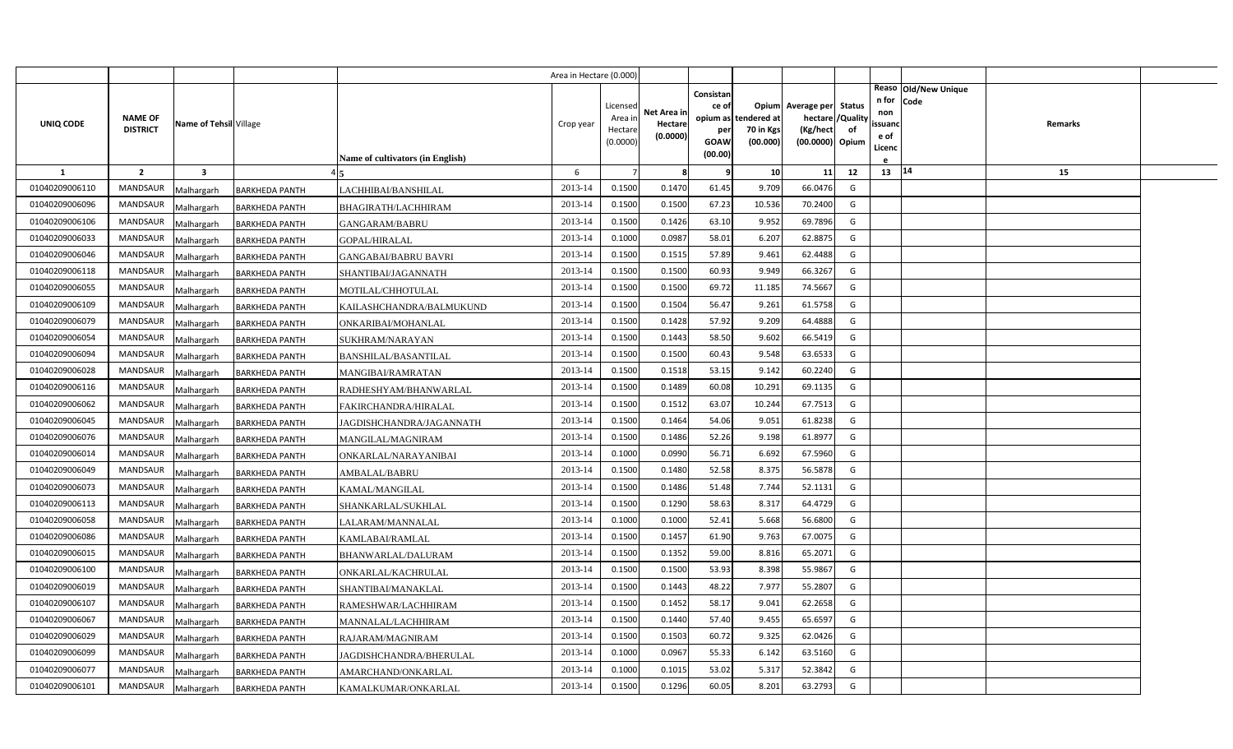|                |                 |                          |                       |                                  | Area in Hectare (0.000) |                |                     |                    |             |                                               |    |                |                              |         |  |
|----------------|-----------------|--------------------------|-----------------------|----------------------------------|-------------------------|----------------|---------------------|--------------------|-------------|-----------------------------------------------|----|----------------|------------------------------|---------|--|
|                |                 |                          |                       |                                  |                         | Licensed       |                     | Consistan<br>ce of |             |                                               |    | n for          | Reaso Old/New Unique<br>Code |         |  |
|                | <b>NAME OF</b>  |                          |                       |                                  |                         | Area ir        | Net Area in         | opium as           | tendered at | Opium Average per Status<br>hectare / Quality |    | non            |                              |         |  |
| UNIQ CODE      | <b>DISTRICT</b> | Name of Tehsil Village   |                       |                                  | Crop year               | Hectare        | Hectare<br>(0.0000) | per                | 70 in Kgs   | (Kg/hect                                      | of | ssuand<br>e of |                              | Remarks |  |
|                |                 |                          |                       |                                  |                         | (0.0000)       |                     | GOAW<br>(00.00)    | (00.000)    | (00.0000) Opium                               |    | Licenc         |                              |         |  |
| $\mathbf{1}$   | $\overline{2}$  | $\overline{\mathbf{3}}$  |                       | Name of cultivators (in English) | 6                       | $\overline{7}$ | 8                   | q                  | 10          | 11                                            | 12 | $13 \mid 14$   |                              | 15      |  |
| 01040209006110 | <b>MANDSAUR</b> |                          | <b>BARKHEDA PANTH</b> | LACHHIBAI/BANSHILAL              | 2013-14                 | 0.1500         | 0.1470              | 61.45              | 9.709       | 66.0476                                       | G  |                |                              |         |  |
| 01040209006096 | <b>MANDSAUR</b> | Malhargarh<br>Malhargarh | <b>BARKHEDA PANTH</b> | BHAGIRATH/LACHHIRAM              | 2013-14                 | 0.1500         | 0.1500              | 67.23              | 10.536      | 70.2400                                       | G  |                |                              |         |  |
| 01040209006106 | MANDSAUR        | Malhargarh               | <b>BARKHEDA PANTH</b> | GANGARAM/BABRU                   | 2013-14                 | 0.1500         | 0.1426              | 63.10              | 9.952       | 69.7896                                       | G  |                |                              |         |  |
| 01040209006033 | <b>MANDSAUR</b> | Malhargarh               | <b>BARKHEDA PANTH</b> | GOPAL/HIRALAL                    | 2013-14                 | 0.1000         | 0.0987              | 58.01              | 6.207       | 62.8875                                       | G  |                |                              |         |  |
| 01040209006046 | MANDSAUR        | Malhargarh               | <b>BARKHEDA PANTH</b> | <b>GANGABAI/BABRU BAVRI</b>      | 2013-14                 | 0.1500         | 0.1515              | 57.89              | 9.461       | 62.4488                                       | G  |                |                              |         |  |
| 01040209006118 | <b>MANDSAUR</b> | Malhargarh               | <b>BARKHEDA PANTH</b> | SHANTIBAI/JAGANNATH              | 2013-14                 | 0.1500         | 0.1500              | 60.93              | 9.949       | 66.3267                                       | G  |                |                              |         |  |
| 01040209006055 | MANDSAUR        | Malhargarh               | <b>BARKHEDA PANTH</b> | MOTILAL/CHHOTULAL                | 2013-14                 | 0.1500         | 0.1500              | 69.72              | 11.185      | 74.5667                                       | G  |                |                              |         |  |
| 01040209006109 | MANDSAUR        | Malhargarh               | <b>BARKHEDA PANTH</b> | KAILASHCHANDRA/BALMUKUND         | 2013-14                 | 0.1500         | 0.1504              | 56.47              | 9.261       | 61.5758                                       | G  |                |                              |         |  |
| 01040209006079 | MANDSAUR        | Malhargarh               | <b>BARKHEDA PANTH</b> | ONKARIBAI/MOHANLAL               | 2013-14                 | 0.1500         | 0.1428              | 57.92              | 9.209       | 64.4888                                       | G  |                |                              |         |  |
| 01040209006054 | MANDSAUR        | Malhargarh               | <b>BARKHEDA PANTH</b> | SUKHRAM/NARAYAN                  | 2013-14                 | 0.1500         | 0.1443              | 58.50              | 9.602       | 66.5419                                       | G  |                |                              |         |  |
| 01040209006094 | <b>MANDSAUR</b> | Malhargarh               | <b>BARKHEDA PANTH</b> | BANSHILAL/BASANTILAL             | 2013-14                 | 0.1500         | 0.1500              | 60.43              | 9.548       | 63.6533                                       | G  |                |                              |         |  |
| 01040209006028 | <b>MANDSAUR</b> | Malhargarh               | <b>BARKHEDA PANTH</b> | MANGIBAI/RAMRATAN                | 2013-14                 | 0.1500         | 0.1518              | 53.15              | 9.142       | 60.2240                                       | G  |                |                              |         |  |
| 01040209006116 | <b>MANDSAUR</b> | Malhargarh               | <b>BARKHEDA PANTH</b> | RADHESHYAM/BHANWARLAL            | 2013-14                 | 0.1500         | 0.1489              | 60.08              | 10.291      | 69.1135                                       | G  |                |                              |         |  |
| 01040209006062 | <b>MANDSAUR</b> | Malhargarh               | <b>BARKHEDA PANTH</b> | FAKIRCHANDRA/HIRALAL             | 2013-14                 | 0.1500         | 0.1512              | 63.07              | 10.244      | 67.7513                                       | G  |                |                              |         |  |
| 01040209006045 | <b>MANDSAUR</b> | Malhargarh               | <b>BARKHEDA PANTH</b> | JAGDISHCHANDRA/JAGANNATH         | 2013-14                 | 0.1500         | 0.1464              | 54.06              | 9.051       | 61.8238                                       | G  |                |                              |         |  |
| 01040209006076 | <b>MANDSAUR</b> | Malhargarh               | <b>BARKHEDA PANTH</b> | MANGILAL/MAGNIRAM                | 2013-14                 | 0.1500         | 0.1486              | 52.26              | 9.198       | 61.8977                                       | G  |                |                              |         |  |
| 01040209006014 | <b>MANDSAUR</b> | Malhargarh               | <b>BARKHEDA PANTH</b> | ONKARLAL/NARAYANIBAI             | 2013-14                 | 0.1000         | 0.0990              | 56.71              | 6.692       | 67.5960                                       | G  |                |                              |         |  |
| 01040209006049 | <b>MANDSAUR</b> | Malhargarh               | <b>BARKHEDA PANTH</b> | AMBALAL/BABRU                    | 2013-14                 | 0.1500         | 0.1480              | 52.58              | 8.375       | 56.5878                                       | G  |                |                              |         |  |
| 01040209006073 | <b>MANDSAUR</b> | Malhargarh               | <b>BARKHEDA PANTH</b> | KAMAL/MANGILAL                   | 2013-14                 | 0.1500         | 0.1486              | 51.48              | 7.744       | 52.1131                                       | G  |                |                              |         |  |
| 01040209006113 | <b>MANDSAUR</b> | Malhargarh               | <b>BARKHEDA PANTH</b> | SHANKARLAL/SUKHLAL               | 2013-14                 | 0.1500         | 0.1290              | 58.63              | 8.317       | 64.4729                                       | G  |                |                              |         |  |
| 01040209006058 | MANDSAUR        | Malhargarh               | <b>BARKHEDA PANTH</b> | ALARAM/MANNALAL                  | 2013-14                 | 0.1000         | 0.1000              | 52.41              | 5.668       | 56.6800                                       | G  |                |                              |         |  |
| 01040209006086 | <b>MANDSAUR</b> | Malhargarh               | <b>BARKHEDA PANTH</b> | KAMLABAI/RAMLAL                  | 2013-14                 | 0.1500         | 0.1457              | 61.90              | 9.763       | 67.0075                                       | G  |                |                              |         |  |
| 01040209006015 | MANDSAUR        | Malhargarh               | <b>BARKHEDA PANTH</b> | BHANWARLAL/DALURAM               | 2013-14                 | 0.1500         | 0.1352              | 59.00              | 8.816       | 65.2071                                       | G  |                |                              |         |  |
| 01040209006100 | <b>MANDSAUR</b> | Malhargarh               | <b>BARKHEDA PANTH</b> | ONKARLAL/KACHRULAL               | 2013-14                 | 0.1500         | 0.1500              | 53.93              | 8.398       | 55.9867                                       | G  |                |                              |         |  |
| 01040209006019 | MANDSAUR        | Malhargarh               | <b>BARKHEDA PANTH</b> | SHANTIBAI/MANAKLAL               | 2013-14                 | 0.1500         | 0.1443              | 48.22              | 7.977       | 55.2807                                       | G  |                |                              |         |  |
| 01040209006107 | MANDSAUR        | Malhargarh               | <b>BARKHEDA PANTH</b> | RAMESHWAR/LACHHIRAM              | 2013-14                 | 0.1500         | 0.1452              | 58.17              | 9.041       | 62.2658                                       | G  |                |                              |         |  |
| 01040209006067 | <b>MANDSAUR</b> | Malhargarh               | <b>BARKHEDA PANTH</b> | MANNALAL/LACHHIRAM               | 2013-14                 | 0.1500         | 0.1440              | 57.40              | 9.455       | 65.6597                                       | G  |                |                              |         |  |
| 01040209006029 | MANDSAUR        | Malhargarh               | <b>BARKHEDA PANTH</b> | RAJARAM/MAGNIRAM                 | 2013-14                 | 0.1500         | 0.1503              | 60.72              | 9.325       | 62.0426                                       | G  |                |                              |         |  |
| 01040209006099 | <b>MANDSAUR</b> | Malhargarh               | <b>BARKHEDA PANTH</b> | JAGDISHCHANDRA/BHERULAL          | 2013-14                 | 0.1000         | 0.0967              | 55.33              | 6.142       | 63.5160                                       | G  |                |                              |         |  |
| 01040209006077 | MANDSAUR        | Malhargarh               | <b>BARKHEDA PANTH</b> | AMARCHAND/ONKARLAL               | 2013-14                 | 0.1000         | 0.1015              | 53.02              | 5.317       | 52.3842                                       | G  |                |                              |         |  |
| 01040209006101 | MANDSAUR        | Malhargarh               | <b>BARKHEDA PANTH</b> | KAMALKUMAR/ONKARLAL              | 2013-14                 | 0.1500         | 0.1296              | 60.05              | 8.201       | 63.2793                                       | G  |                |                              |         |  |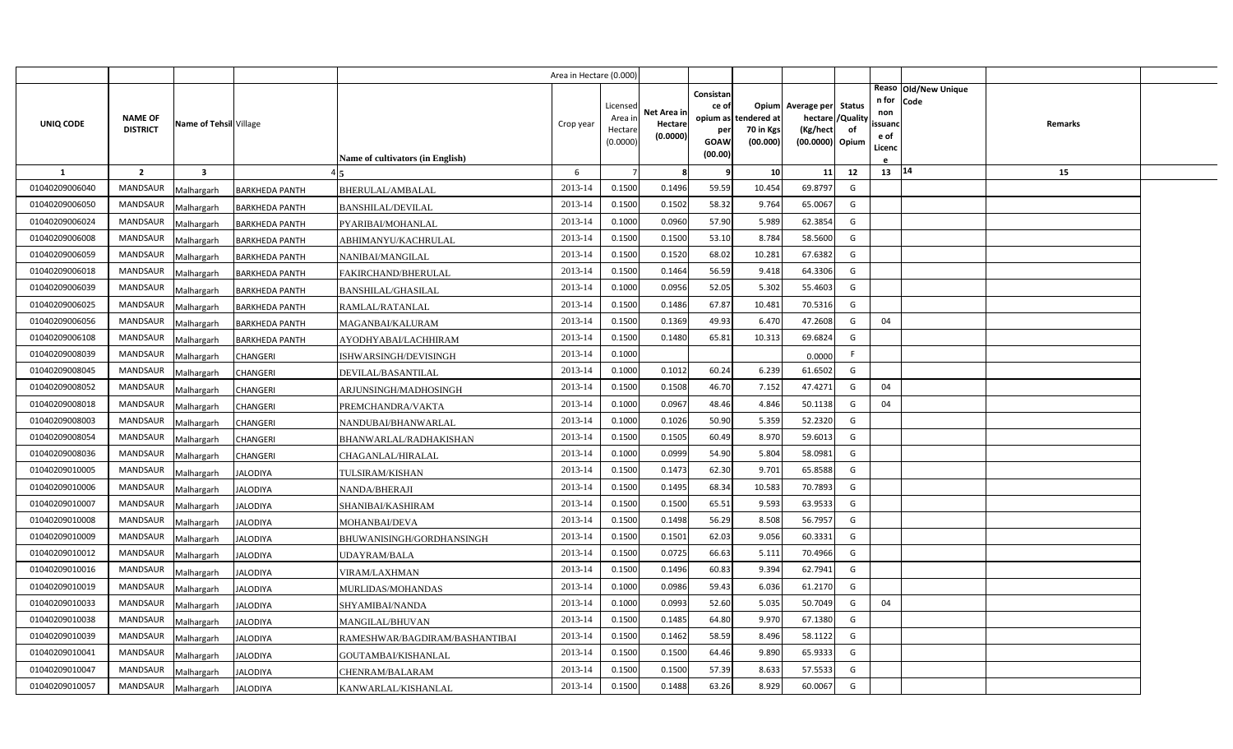|                |                                   |                         |                       |                                  | Area in Hectare (0.000) |                                            |                                    |                                              |                                               |                                                                    |                |                                          |                              |         |  |
|----------------|-----------------------------------|-------------------------|-----------------------|----------------------------------|-------------------------|--------------------------------------------|------------------------------------|----------------------------------------------|-----------------------------------------------|--------------------------------------------------------------------|----------------|------------------------------------------|------------------------------|---------|--|
| UNIQ CODE      | <b>NAME OF</b><br><b>DISTRICT</b> | Name of Tehsil Village  |                       | Name of cultivators (in English) | Crop year               | Licensed<br>Area in<br>Hectare<br>(0.0000) | Net Area in<br>Hectare<br>(0.0000) | Consistan<br>ce of<br>per<br>GOAW<br>(00.00) | opium as tendered at<br>70 in Kgs<br>(00.000) | Opium Average per Status<br>hectare<br>(Kg/hect<br>(00.0000) Opium | /Quality<br>of | n for<br>non<br>ssuand<br>e of<br>Licenc | Reaso Old/New Unique<br>Code | Remarks |  |
| $\mathbf{1}$   | $\overline{2}$                    | $\overline{\mathbf{3}}$ |                       |                                  | 6                       |                                            | 8                                  | q                                            | 10                                            | 11                                                                 | 12             | 13   14                                  |                              | 15      |  |
| 01040209006040 | MANDSAUR                          | Malhargarh              | <b>BARKHEDA PANTH</b> | BHERULAL/AMBALAL                 | 2013-14                 | 0.1500                                     | 0.1496                             | 59.59                                        | 10.454                                        | 69.8797                                                            | G              |                                          |                              |         |  |
| 01040209006050 | <b>MANDSAUR</b>                   | Malhargarh              | <b>BARKHEDA PANTH</b> | <b>BANSHILAL/DEVILAL</b>         | 2013-14                 | 0.1500                                     | 0.1502                             | 58.32                                        | 9.764                                         | 65.0067                                                            | G              |                                          |                              |         |  |
| 01040209006024 | <b>MANDSAUR</b>                   | Malhargarh              | <b>BARKHEDA PANTH</b> | PYARIBAI/MOHANLAL                | 2013-14                 | 0.1000                                     | 0.0960                             | 57.90                                        | 5.989                                         | 62.3854                                                            | G              |                                          |                              |         |  |
| 01040209006008 | <b>MANDSAUR</b>                   | Malhargarh              | <b>BARKHEDA PANTH</b> | ABHIMANYU/KACHRULAL              | 2013-14                 | 0.1500                                     | 0.1500                             | 53.10                                        | 8.784                                         | 58.5600                                                            | G              |                                          |                              |         |  |
| 01040209006059 | <b>MANDSAUR</b>                   | Malhargarh              | <b>BARKHEDA PANTH</b> | NANIBAI/MANGILAL                 | 2013-14                 | 0.1500                                     | 0.1520                             | 68.02                                        | 10.28                                         | 67.6382                                                            | G              |                                          |                              |         |  |
| 01040209006018 | <b>MANDSAUR</b>                   | Malhargarh              | <b>BARKHEDA PANTH</b> | FAKIRCHAND/BHERULAL              | 2013-14                 | 0.1500                                     | 0.1464                             | 56.59                                        | 9.418                                         | 64.3306                                                            | G              |                                          |                              |         |  |
| 01040209006039 | <b>MANDSAUR</b>                   | Malhargarh              | <b>BARKHEDA PANTH</b> | <b>BANSHILAL/GHASILAL</b>        | 2013-14                 | 0.1000                                     | 0.0956                             | 52.05                                        | 5.302                                         | 55.4603                                                            | G              |                                          |                              |         |  |
| 01040209006025 | <b>MANDSAUR</b>                   | Malhargarh              | <b>BARKHEDA PANTH</b> | RAMLAL/RATANLAL                  | 2013-14                 | 0.1500                                     | 0.1486                             | 67.87                                        | 10.481                                        | 70.5316                                                            | G              |                                          |                              |         |  |
| 01040209006056 | <b>MANDSAUR</b>                   | Malhargarh              | <b>BARKHEDA PANTH</b> | MAGANBAI/KALURAM                 | 2013-14                 | 0.1500                                     | 0.1369                             | 49.93                                        | 6.470                                         | 47.2608                                                            | G              | 04                                       |                              |         |  |
| 01040209006108 | <b>MANDSAUR</b>                   | Malhargarh              | <b>BARKHEDA PANTH</b> | AYODHYABAI/LACHHIRAM             | 2013-14                 | 0.1500                                     | 0.1480                             | 65.81                                        | 10.313                                        | 69.6824                                                            | G              |                                          |                              |         |  |
| 01040209008039 | <b>MANDSAUR</b>                   | Malhargarh              | CHANGERI              | ISHWARSINGH/DEVISINGH            | 2013-14                 | 0.1000                                     |                                    |                                              |                                               | 0.0000                                                             | F              |                                          |                              |         |  |
| 01040209008045 | <b>MANDSAUR</b>                   | Malhargarh              | CHANGERI              | DEVILAL/BASANTILAL               | 2013-14                 | 0.1000                                     | 0.1012                             | 60.24                                        | 6.239                                         | 61.6502                                                            | G              |                                          |                              |         |  |
| 01040209008052 | <b>MANDSAUR</b>                   | Malhargarh              | CHANGERI              | ARJUNSINGH/MADHOSINGH            | 2013-14                 | 0.1500                                     | 0.1508                             | 46.70                                        | 7.152                                         | 47.4271                                                            | G              | 04                                       |                              |         |  |
| 01040209008018 | <b>MANDSAUR</b>                   | Malhargarh              | CHANGERI              | PREMCHANDRA/VAKTA                | 2013-14                 | 0.1000                                     | 0.0967                             | 48.46                                        | 4.846                                         | 50.1138                                                            | G              | 04                                       |                              |         |  |
| 01040209008003 | <b>MANDSAUR</b>                   | Malhargarh              | CHANGERI              | NANDUBAI/BHANWARLAL              | 2013-14                 | 0.1000                                     | 0.1026                             | 50.90                                        | 5.359                                         | 52.2320                                                            | G              |                                          |                              |         |  |
| 01040209008054 | <b>MANDSAUR</b>                   | Malhargarh              | CHANGERI              | BHANWARLAL/RADHAKISHAN           | 2013-14                 | 0.1500                                     | 0.1505                             | 60.49                                        | 8.970                                         | 59.6013                                                            | G              |                                          |                              |         |  |
| 01040209008036 | <b>MANDSAUR</b>                   | Malhargarh              | CHANGERI              | CHAGANLAL/HIRALAL                | 2013-14                 | 0.1000                                     | 0.0999                             | 54.90                                        | 5.804                                         | 58.0981                                                            | G              |                                          |                              |         |  |
| 01040209010005 | <b>MANDSAUR</b>                   | Malhargarh              | <b>JALODIYA</b>       | TULSIRAM/KISHAN                  | 2013-14                 | 0.1500                                     | 0.1473                             | 62.30                                        | 9.701                                         | 65.8588                                                            | G              |                                          |                              |         |  |
| 01040209010006 | <b>MANDSAUR</b>                   | Malhargarh              | <b>JALODIYA</b>       | NANDA/BHERAJI                    | 2013-14                 | 0.1500                                     | 0.1495                             | 68.34                                        | 10.583                                        | 70.7893                                                            | G              |                                          |                              |         |  |
| 01040209010007 | <b>MANDSAUR</b>                   | Malhargarh              | <b>JALODIYA</b>       | SHANIBAI/KASHIRAM                | 2013-14                 | 0.1500                                     | 0.1500                             | 65.51                                        | 9.593                                         | 63.9533                                                            | G              |                                          |                              |         |  |
| 01040209010008 | <b>MANDSAUR</b>                   | Malhargarh              | <b>JALODIYA</b>       | MOHANBAI/DEVA                    | 2013-14                 | 0.1500                                     | 0.1498                             | 56.29                                        | 8.508                                         | 56.7957                                                            | G              |                                          |                              |         |  |
| 01040209010009 | <b>MANDSAUR</b>                   | Malhargarh              | <b>JALODIYA</b>       | BHUWANISINGH/GORDHANSINGH        | 2013-14                 | 0.1500                                     | 0.1501                             | 62.03                                        | 9.056                                         | 60.3331                                                            | G              |                                          |                              |         |  |
| 01040209010012 | <b>MANDSAUR</b>                   | Malhargarh              | <b>JALODIYA</b>       | UDAYRAM/BALA                     | 2013-14                 | 0.1500                                     | 0.0725                             | 66.63                                        | 5.111                                         | 70.4966                                                            | G              |                                          |                              |         |  |
| 01040209010016 | <b>MANDSAUR</b>                   | Malhargarh              | <b>JALODIYA</b>       | VIRAM/LAXHMAN                    | 2013-14                 | 0.1500                                     | 0.1496                             | 60.83                                        | 9.394                                         | 62.7941                                                            | G              |                                          |                              |         |  |
| 01040209010019 | <b>MANDSAUR</b>                   | Malhargarh              | <b>JALODIYA</b>       | MURLIDAS/MOHANDAS                | 2013-14                 | 0.1000                                     | 0.0986                             | 59.43                                        | 6.036                                         | 61.2170                                                            | G              |                                          |                              |         |  |
| 01040209010033 | <b>MANDSAUR</b>                   | Malhargarh              | <b>JALODIYA</b>       | SHYAMIBAI/NANDA                  | 2013-14                 | 0.1000                                     | 0.0993                             | 52.60                                        | 5.035                                         | 50.7049                                                            | G              | 04                                       |                              |         |  |
| 01040209010038 | <b>MANDSAUR</b>                   | Malhargarh              | <b>JALODIYA</b>       | MANGILAL/BHUVAN                  | 2013-14                 | 0.1500                                     | 0.1485                             | 64.80                                        | 9.970                                         | 67.1380                                                            | G              |                                          |                              |         |  |
| 01040209010039 | <b>MANDSAUR</b>                   | Malhargarh              | <b>JALODIYA</b>       | RAMESHWAR/BAGDIRAM/BASHANTIBAI   | 2013-14                 | 0.1500                                     | 0.1462                             | 58.59                                        | 8.496                                         | 58.1122                                                            | G              |                                          |                              |         |  |
| 01040209010041 | <b>MANDSAUR</b>                   | Malhargarh              | JALODIYA              | GOUTAMBAI/KISHANLAL              | 2013-14                 | 0.1500                                     | 0.1500                             | 64.46                                        | 9.890                                         | 65.9333                                                            | G              |                                          |                              |         |  |
| 01040209010047 | <b>MANDSAUR</b>                   | Malhargarh              | <b>JALODIYA</b>       | CHENRAM/BALARAM                  | 2013-14                 | 0.1500                                     | 0.1500                             | 57.39                                        | 8.633                                         | 57.5533                                                            | G              |                                          |                              |         |  |
| 01040209010057 | MANDSAUR                          | Malhargarh              | <b>JALODIYA</b>       | KANWARLAL/KISHANLAL              | 2013-14                 | 0.1500                                     | 0.1488                             | 63.26                                        | 8.929                                         | 60.0067                                                            | G              |                                          |                              |         |  |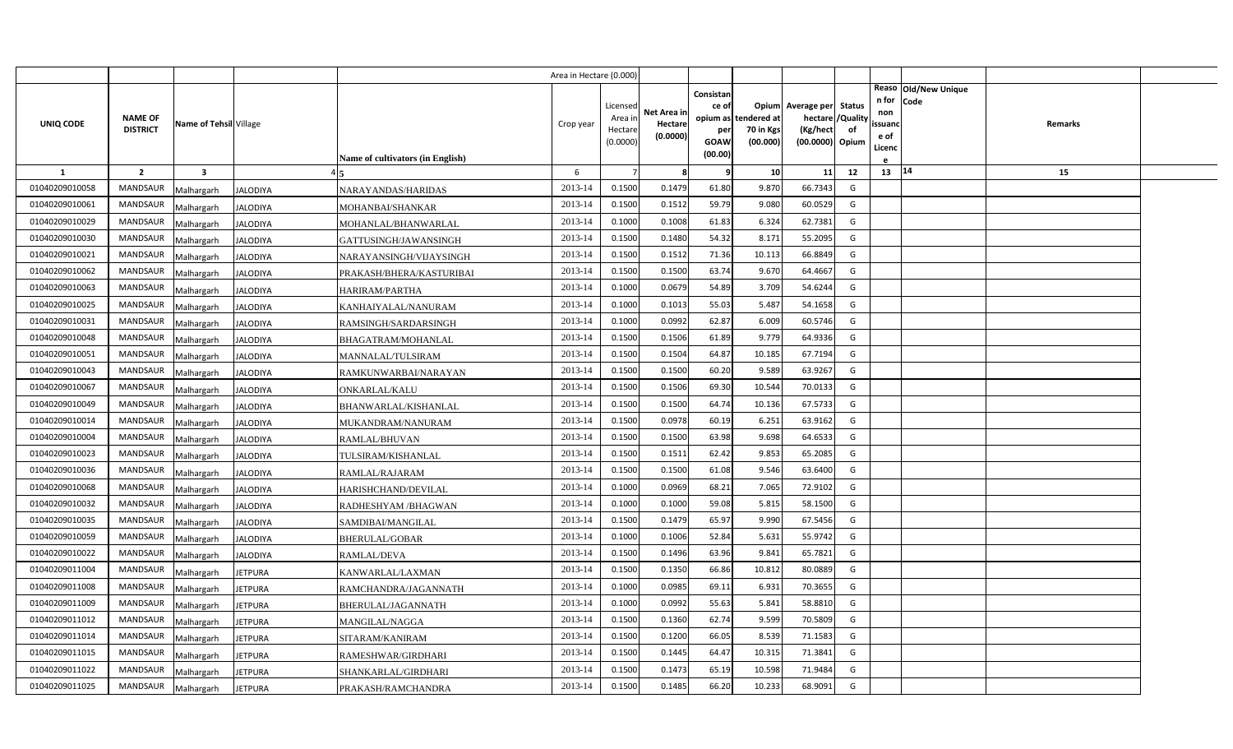|                |                                   |                         |                 |                                  | Area in Hectare (0.000 |                    |             |           |                                   |                          |                |                |                      |         |  |
|----------------|-----------------------------------|-------------------------|-----------------|----------------------------------|------------------------|--------------------|-------------|-----------|-----------------------------------|--------------------------|----------------|----------------|----------------------|---------|--|
|                |                                   |                         |                 |                                  |                        |                    |             | Consistan |                                   |                          |                | n for          | Reaso Old/New Unique |         |  |
|                |                                   |                         |                 |                                  |                        | Licensed           | Net Area in | ce of     |                                   | Opium Average per Status |                | non            | Code                 |         |  |
| UNIQ CODE      | <b>NAME OF</b><br><b>DISTRICT</b> | Name of Tehsil Village  |                 |                                  | Crop year              | Area in<br>Hectare | Hectare     | per       | opium as tendered at<br>70 in Kgs | hectare /<br>(Kg/hect    | /Quality<br>of | ssuanc         |                      | Remarks |  |
|                |                                   |                         |                 |                                  |                        | (0.0000)           | (0.0000)    | GOAW      | (00.000)                          | (00.0000) Opium          |                | e of<br>Licenc |                      |         |  |
|                |                                   |                         |                 | Name of cultivators (in English) |                        |                    |             | (00.00)   |                                   |                          |                |                |                      |         |  |
| <b>1</b>       | $\overline{2}$                    | $\overline{\mathbf{3}}$ |                 |                                  | 6                      |                    | -8          | q         | 10                                | 11                       | 12             | 13   14        |                      | 15      |  |
| 01040209010058 | <b>MANDSAUR</b>                   | Malhargarh              | <b>JALODIYA</b> | NARAYANDAS/HARIDAS               | 2013-14                | 0.1500             | 0.1479      | 61.80     | 9.870                             | 66.7343                  | G              |                |                      |         |  |
| 01040209010061 | MANDSAUR                          | Malhargarh              | <b>JALODIYA</b> | MOHANBAI/SHANKAR                 | 2013-14                | 0.1500             | 0.1512      | 59.79     | 9.080                             | 60.0529                  | G              |                |                      |         |  |
| 01040209010029 | <b>MANDSAUR</b>                   | Malhargarh              | <b>JALODIYA</b> | MOHANLAL/BHANWARLAL              | 2013-14                | 0.1000             | 0.1008      | 61.83     | 6.324                             | 62.7381                  | G              |                |                      |         |  |
| 01040209010030 | <b>MANDSAUR</b>                   | Malhargarh              | <b>JALODIYA</b> | GATTUSINGH/JAWANSINGH            | 2013-14                | 0.1500             | 0.1480      | 54.32     | 8.17                              | 55.2095                  | G              |                |                      |         |  |
| 01040209010021 | <b>MANDSAUR</b>                   | Malhargarh              | <b>JALODIYA</b> | NARAYANSINGH/VIJAYSINGH          | 2013-14                | 0.1500             | 0.1512      | 71.36     | 10.113                            | 66.8849                  | G              |                |                      |         |  |
| 01040209010062 | <b>MANDSAUR</b>                   | Malhargarh              | <b>JALODIYA</b> | PRAKASH/BHERA/KASTURIBAI         | 2013-14                | 0.1500             | 0.1500      | 63.74     | 9.670                             | 64.4667                  | G              |                |                      |         |  |
| 01040209010063 | <b>MANDSAUR</b>                   | Malhargarh              | <b>JALODIYA</b> | HARIRAM/PARTHA                   | 2013-14                | 0.1000             | 0.0679      | 54.89     | 3.709                             | 54.6244                  | G              |                |                      |         |  |
| 01040209010025 | <b>MANDSAUR</b>                   | Malhargarh              | <b>JALODIYA</b> | KANHAIYALAL/NANURAM              | 2013-14                | 0.1000             | 0.1013      | 55.03     | 5.487                             | 54.1658                  | G              |                |                      |         |  |
| 01040209010031 | <b>MANDSAUR</b>                   | Malhargarh              | <b>JALODIYA</b> | RAMSINGH/SARDARSINGH             | 2013-14                | 0.1000             | 0.0992      | 62.87     | 6.009                             | 60.5746                  | G              |                |                      |         |  |
| 01040209010048 | <b>MANDSAUR</b>                   | Malhargarh              | <b>JALODIYA</b> | BHAGATRAM/MOHANLAL               | 2013-14                | 0.1500             | 0.1506      | 61.89     | 9.779                             | 64.9336                  | G              |                |                      |         |  |
| 01040209010051 | <b>MANDSAUR</b>                   | Malhargarh              | <b>JALODIYA</b> | MANNALAL/TULSIRAM                | 2013-14                | 0.1500             | 0.1504      | 64.87     | 10.185                            | 67.7194                  | G              |                |                      |         |  |
| 01040209010043 | <b>MANDSAUR</b>                   | Malhargarh              | <b>JALODIYA</b> | RAMKUNWARBAI/NARAYAN             | 2013-14                | 0.1500             | 0.1500      | 60.20     | 9.589                             | 63.9267                  | G              |                |                      |         |  |
| 01040209010067 | MANDSAUR                          | Malhargarh              | <b>JALODIYA</b> | <b>ONKARLAL/KALU</b>             | 2013-14                | 0.1500             | 0.1506      | 69.30     | 10.544                            | 70.0133                  | G              |                |                      |         |  |
| 01040209010049 | <b>MANDSAUR</b>                   | Malhargarh              | <b>JALODIYA</b> | BHANWARLAL/KISHANLAL             | 2013-14                | 0.1500             | 0.1500      | 64.74     | 10.136                            | 67.5733                  | G              |                |                      |         |  |
| 01040209010014 | MANDSAUR                          | Malhargarh              | <b>JALODIYA</b> | MUKANDRAM/NANURAM                | 2013-14                | 0.1500             | 0.0978      | 60.19     | 6.251                             | 63.9162                  | G              |                |                      |         |  |
| 01040209010004 | MANDSAUR                          | Malhargarh              | <b>JALODIYA</b> | RAMLAL/BHUVAN                    | 2013-14                | 0.1500             | 0.1500      | 63.98     | 9.698                             | 64.6533                  | G              |                |                      |         |  |
| 01040209010023 | MANDSAUR                          | Malhargarh              | <b>JALODIYA</b> | TULSIRAM/KISHANLAL               | 2013-14                | 0.1500             | 0.1511      | 62.42     | 9.853                             | 65.2085                  | G              |                |                      |         |  |
| 01040209010036 | MANDSAUR                          | Malhargarh              | <b>JALODIYA</b> | RAMLAL/RAJARAM                   | 2013-14                | 0.1500             | 0.1500      | 61.08     | 9.546                             | 63.6400                  | G              |                |                      |         |  |
| 01040209010068 | <b>MANDSAUR</b>                   | Malhargarh              | <b>JALODIYA</b> | HARISHCHAND/DEVILAL              | 2013-14                | 0.1000             | 0.0969      | 68.21     | 7.065                             | 72.9102                  | G              |                |                      |         |  |
| 01040209010032 | <b>MANDSAUR</b>                   | Malhargarh              | <b>JALODIYA</b> | RADHESHYAM /BHAGWAN              | 2013-14                | 0.1000             | 0.1000      | 59.08     | 5.815                             | 58.1500                  | G              |                |                      |         |  |
| 01040209010035 | <b>MANDSAUR</b>                   | Malhargarh              | <b>JALODIYA</b> | SAMDIBAI/MANGILAL                | 2013-14                | 0.1500             | 0.1479      | 65.97     | 9.990                             | 67.5456                  | G              |                |                      |         |  |
| 01040209010059 | <b>MANDSAUR</b>                   | Malhargarh              | <b>JALODIYA</b> | <b>BHERULAL/GOBAR</b>            | 2013-14                | 0.1000             | 0.1006      | 52.84     | 5.631                             | 55.9742                  | G              |                |                      |         |  |
| 01040209010022 | <b>MANDSAUR</b>                   | Malhargarh              | <b>JALODIYA</b> | RAMLAL/DEVA                      | 2013-14                | 0.1500             | 0.1496      | 63.96     | 9.841                             | 65.7821                  | G              |                |                      |         |  |
| 01040209011004 | MANDSAUR                          | Malhargarh              | <b>JETPURA</b>  | KANWARLAL/LAXMAN                 | 2013-14                | 0.1500             | 0.1350      | 66.86     | 10.812                            | 80.0889                  | G              |                |                      |         |  |
| 01040209011008 | <b>MANDSAUR</b>                   | Malhargarh              | <b>JETPURA</b>  | RAMCHANDRA/JAGANNATH             | 2013-14                | 0.1000             | 0.0985      | 69.11     | 6.932                             | 70.3655                  | G              |                |                      |         |  |
| 01040209011009 | <b>MANDSAUR</b>                   | Malhargarh              | <b>JETPURA</b>  | BHERULAL/JAGANNATH               | 2013-14                | 0.1000             | 0.0992      | 55.63     | 5.84                              | 58.8810                  | G              |                |                      |         |  |
| 01040209011012 | <b>MANDSAUR</b>                   | Malhargarh              | <b>JETPURA</b>  | MANGILAL/NAGGA                   | 2013-14                | 0.1500             | 0.1360      | 62.74     | 9.599                             | 70.5809                  | G              |                |                      |         |  |
| 01040209011014 | <b>MANDSAUR</b>                   | Malhargarh              | <b>JETPURA</b>  | SITARAM/KANIRAM                  | 2013-14                | 0.1500             | 0.1200      | 66.05     | 8.539                             | 71.1583                  | G              |                |                      |         |  |
| 01040209011015 | <b>MANDSAUR</b>                   | Malhargarh              | <b>JETPURA</b>  | RAMESHWAR/GIRDHARI               | 2013-14                | 0.1500             | 0.1445      | 64.47     | 10.315                            | 71.3841                  | G              |                |                      |         |  |
| 01040209011022 | <b>MANDSAUR</b>                   | Malhargarh              | <b>JETPURA</b>  | SHANKARLAL/GIRDHARI              | 2013-14                | 0.1500             | 0.1473      | 65.19     | 10.598                            | 71.9484                  | G              |                |                      |         |  |
| 01040209011025 | MANDSAUR                          | Malhargarh              | <b>JETPURA</b>  | PRAKASH/RAMCHANDRA               | 2013-14                | 0.1500             | 0.1485      | 66.20     | 10.233                            | 68.9091                  | G              |                |                      |         |  |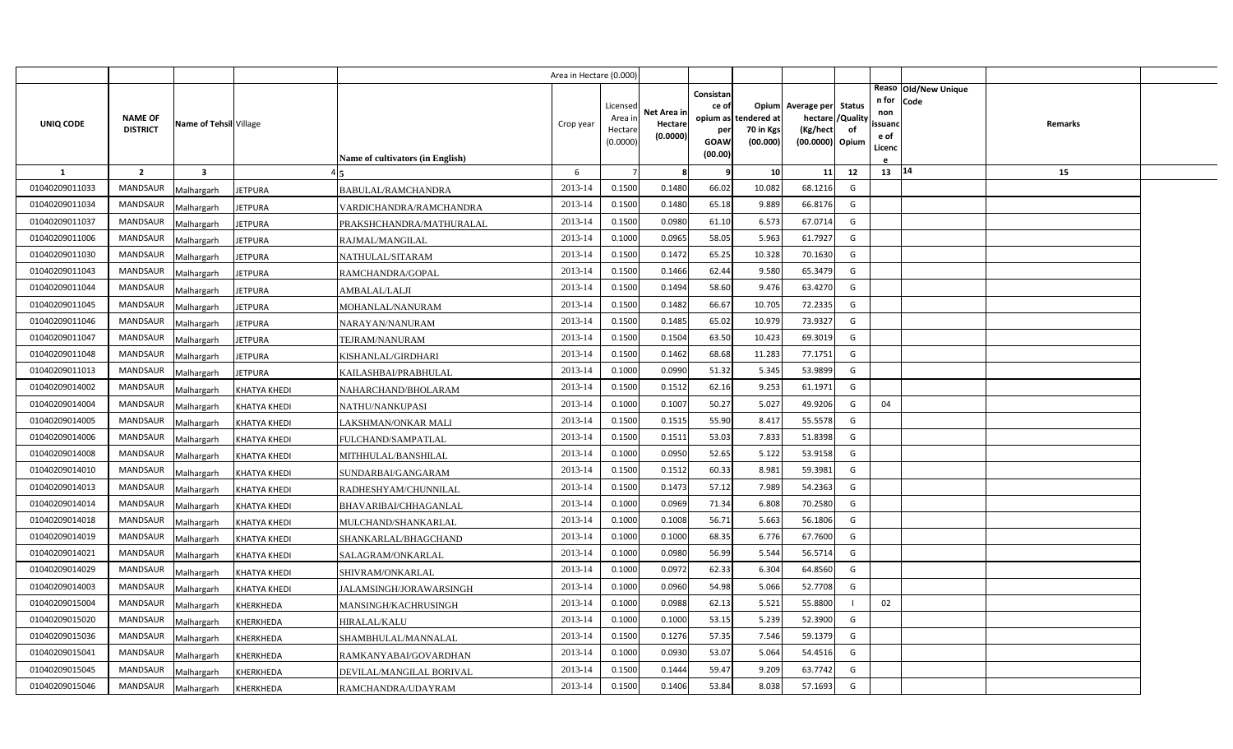|                |                                   |                         |                     |                                  | Area in Hectare (0.000) |                                            |                                    |                                                     |                                               |                                                                    |                |                                          |                              |         |  |
|----------------|-----------------------------------|-------------------------|---------------------|----------------------------------|-------------------------|--------------------------------------------|------------------------------------|-----------------------------------------------------|-----------------------------------------------|--------------------------------------------------------------------|----------------|------------------------------------------|------------------------------|---------|--|
| UNIQ CODE      | <b>NAME OF</b><br><b>DISTRICT</b> | Name of Tehsil Village  |                     | Name of cultivators (in English) | Crop year               | Licensed<br>Area in<br>Hectare<br>(0.0000) | Net Area in<br>Hectare<br>(0.0000) | Consistan<br>ce of<br>per<br><b>GOAW</b><br>(00.00) | opium as tendered at<br>70 in Kgs<br>(00.000) | Opium Average per Status<br>hectare<br>(Kg/hect<br>(00.0000) Opium | /Quality<br>of | n for<br>non<br>ssuand<br>e of<br>Licenc | Reaso Old/New Unique<br>Code | Remarks |  |
| $\mathbf{1}$   | $\overline{2}$                    | $\overline{\mathbf{3}}$ |                     |                                  | 6                       |                                            | 8                                  | q                                                   | 10                                            | 11                                                                 | 12             | 13   14                                  |                              | 15      |  |
| 01040209011033 | MANDSAUR                          | Malhargarh              | <b>JETPURA</b>      | BABULAL/RAMCHANDRA               | 2013-14                 | 0.1500                                     | 0.1480                             | 66.02                                               | 10.082                                        | 68.1216                                                            | G              |                                          |                              |         |  |
| 01040209011034 | <b>MANDSAUR</b>                   | Malhargarh              | <b>JETPURA</b>      | VARDICHANDRA/RAMCHANDRA          | 2013-14                 | 0.1500                                     | 0.1480                             | 65.18                                               | 9.889                                         | 66.8176                                                            | G              |                                          |                              |         |  |
| 01040209011037 | <b>MANDSAUR</b>                   | Malhargarh              | <b>JETPURA</b>      | PRAKSHCHANDRA/MATHURALAL         | 2013-14                 | 0.1500                                     | 0.0980                             | 61.10                                               | 6.573                                         | 67.0714                                                            | G              |                                          |                              |         |  |
| 01040209011006 | <b>MANDSAUR</b>                   | Malhargarh              | <b>JETPURA</b>      | RAJMAL/MANGILAL                  | 2013-14                 | 0.1000                                     | 0.0965                             | 58.05                                               | 5.963                                         | 61.7927                                                            | G              |                                          |                              |         |  |
| 01040209011030 | <b>MANDSAUR</b>                   | Malhargarh              | <b>JETPURA</b>      | NATHULAL/SITARAM                 | 2013-14                 | 0.1500                                     | 0.1472                             | 65.25                                               | 10.328                                        | 70.1630                                                            | G              |                                          |                              |         |  |
| 01040209011043 | <b>MANDSAUR</b>                   | Malhargarh              | <b>JETPURA</b>      | RAMCHANDRA/GOPAL                 | 2013-14                 | 0.1500                                     | 0.1466                             | 62.44                                               | 9.580                                         | 65.3479                                                            | G              |                                          |                              |         |  |
| 01040209011044 | <b>MANDSAUR</b>                   | Malhargarh              | <b>JETPURA</b>      | AMBALAL/LALJI                    | 2013-14                 | 0.1500                                     | 0.1494                             | 58.60                                               | 9.476                                         | 63.4270                                                            | G              |                                          |                              |         |  |
| 01040209011045 | MANDSAUR                          | Malhargarh              | <b>JETPURA</b>      | MOHANLAL/NANURAM                 | 2013-14                 | 0.1500                                     | 0.1482                             | 66.67                                               | 10.705                                        | 72.2335                                                            | G              |                                          |                              |         |  |
| 01040209011046 | <b>MANDSAUR</b>                   | Malhargarh              | <b>JETPURA</b>      | NARAYAN/NANURAM                  | 2013-14                 | 0.1500                                     | 0.1485                             | 65.02                                               | 10.979                                        | 73.9327                                                            | G              |                                          |                              |         |  |
| 01040209011047 | <b>MANDSAUR</b>                   | Malhargarh              | <b>JETPURA</b>      | TEJRAM/NANURAM                   | 2013-14                 | 0.1500                                     | 0.1504                             | 63.50                                               | 10.423                                        | 69.3019                                                            | G              |                                          |                              |         |  |
| 01040209011048 | <b>MANDSAUR</b>                   | Malhargarh              | <b>JETPURA</b>      | KISHANLAL/GIRDHARI               | 2013-14                 | 0.1500                                     | 0.1462                             | 68.68                                               | 11.283                                        | 77.1751                                                            | G              |                                          |                              |         |  |
| 01040209011013 | <b>MANDSAUR</b>                   | Malhargarh              | <b>JETPURA</b>      | KAILASHBAI/PRABHULAL             | 2013-14                 | 0.1000                                     | 0.0990                             | 51.32                                               | 5.345                                         | 53.9899                                                            | G              |                                          |                              |         |  |
| 01040209014002 | <b>MANDSAUR</b>                   | Malhargarh              | <b>KHATYA KHEDI</b> | NAHARCHAND/BHOLARAM              | 2013-14                 | 0.1500                                     | 0.1512                             | 62.16                                               | 9.253                                         | 61.1971                                                            | G              |                                          |                              |         |  |
| 01040209014004 | <b>MANDSAUR</b>                   | Malhargarh              | <b>KHATYA KHEDI</b> | NATHU/NANKUPASI                  | 2013-14                 | 0.1000                                     | 0.1007                             | 50.27                                               | 5.027                                         | 49.9206                                                            | G              | 04                                       |                              |         |  |
| 01040209014005 | <b>MANDSAUR</b>                   | Malhargarh              | <b>KHATYA KHEDI</b> | LAKSHMAN/ONKAR MALI              | 2013-14                 | 0.1500                                     | 0.1515                             | 55.90                                               | 8.417                                         | 55.5578                                                            | G              |                                          |                              |         |  |
| 01040209014006 | <b>MANDSAUR</b>                   | Malhargarh              | <b>KHATYA KHEDI</b> | FULCHAND/SAMPATLAL               | 2013-14                 | 0.1500                                     | 0.1511                             | 53.03                                               | 7.833                                         | 51.8398                                                            | G              |                                          |                              |         |  |
| 01040209014008 | <b>MANDSAUR</b>                   | Malhargarh              | <b>KHATYA KHEDI</b> | MITHHULAL/BANSHILAL              | 2013-14                 | 0.1000                                     | 0.0950                             | 52.65                                               | 5.122                                         | 53.9158                                                            | G              |                                          |                              |         |  |
| 01040209014010 | <b>MANDSAUR</b>                   | Malhargarh              | <b>KHATYA KHEDI</b> | SUNDARBAI/GANGARAM               | 2013-14                 | 0.1500                                     | 0.1512                             | 60.33                                               | 8.981                                         | 59.3981                                                            | G              |                                          |                              |         |  |
| 01040209014013 | <b>MANDSAUR</b>                   | Malhargarh              | <b>KHATYA KHEDI</b> | RADHESHYAM/CHUNNILAL             | 2013-14                 | 0.1500                                     | 0.1473                             | 57.12                                               | 7.989                                         | 54.2363                                                            | G              |                                          |                              |         |  |
| 01040209014014 | <b>MANDSAUR</b>                   | Malhargarh              | <b>KHATYA KHEDI</b> | BHAVARIBAI/CHHAGANLAL            | 2013-14                 | 0.1000                                     | 0.0969                             | 71.34                                               | 6.808                                         | 70.2580                                                            | G              |                                          |                              |         |  |
| 01040209014018 | <b>MANDSAUR</b>                   | Malhargarh              | <b>KHATYA KHEDI</b> | MULCHAND/SHANKARLAL              | 2013-14                 | 0.1000                                     | 0.1008                             | 56.71                                               | 5.663                                         | 56.1806                                                            | G              |                                          |                              |         |  |
| 01040209014019 | <b>MANDSAUR</b>                   | Malhargarh              | <b>KHATYA KHEDI</b> | SHANKARLAL/BHAGCHAND             | 2013-14                 | 0.1000                                     | 0.1000                             | 68.35                                               | 6.776                                         | 67.7600                                                            | G              |                                          |                              |         |  |
| 01040209014021 | <b>MANDSAUR</b>                   | Malhargarh              | <b>KHATYA KHEDI</b> | SALAGRAM/ONKARLAL                | 2013-14                 | 0.1000                                     | 0.0980                             | 56.99                                               | 5.544                                         | 56.5714                                                            | G              |                                          |                              |         |  |
| 01040209014029 | <b>MANDSAUR</b>                   | Malhargarh              | <b>KHATYA KHEDI</b> | SHIVRAM/ONKARLAL                 | 2013-14                 | 0.1000                                     | 0.0972                             | 62.33                                               | 6.304                                         | 64.8560                                                            | G              |                                          |                              |         |  |
| 01040209014003 | <b>MANDSAUR</b>                   | Malhargarh              | <b>KHATYA KHEDI</b> | JALAMSINGH/JORAWARSINGH          | 2013-14                 | 0.1000                                     | 0.0960                             | 54.98                                               | 5.066                                         | 52.7708                                                            | G              |                                          |                              |         |  |
| 01040209015004 | <b>MANDSAUR</b>                   | Malhargarh              | KHERKHEDA           | MANSINGH/KACHRUSINGH             | 2013-14                 | 0.1000                                     | 0.0988                             | 62.13                                               | 5.521                                         | 55.8800                                                            |                | 02                                       |                              |         |  |
| 01040209015020 | <b>MANDSAUR</b>                   | Malhargarh              | KHERKHEDA           | HIRALAL/KALU                     | 2013-14                 | 0.1000                                     | 0.1000                             | 53.15                                               | 5.239                                         | 52.3900                                                            | G              |                                          |                              |         |  |
| 01040209015036 | <b>MANDSAUR</b>                   | Malhargarh              | KHERKHEDA           | SHAMBHULAL/MANNALAL              | 2013-14                 | 0.1500                                     | 0.1276                             | 57.35                                               | 7.546                                         | 59.1379                                                            | G              |                                          |                              |         |  |
| 01040209015041 | <b>MANDSAUR</b>                   | Malhargarh              | KHERKHEDA           | RAMKANYABAI/GOVARDHAN            | 2013-14                 | 0.1000                                     | 0.0930                             | 53.07                                               | 5.064                                         | 54.4516                                                            | G              |                                          |                              |         |  |
| 01040209015045 | <b>MANDSAUR</b>                   | Malhargarh              | KHERKHEDA           | DEVILAL/MANGILAL BORIVAL         | 2013-14                 | 0.1500                                     | 0.1444                             | 59.47                                               | 9.209                                         | 63.7742                                                            | G              |                                          |                              |         |  |
| 01040209015046 | MANDSAUR                          | Malhargarh              | <b>KHERKHEDA</b>    | RAMCHANDRA/UDAYRAM               | 2013-14                 | 0.1500                                     | 0.1406                             | 53.84                                               | 8.038                                         | 57.1693                                                            | G              |                                          |                              |         |  |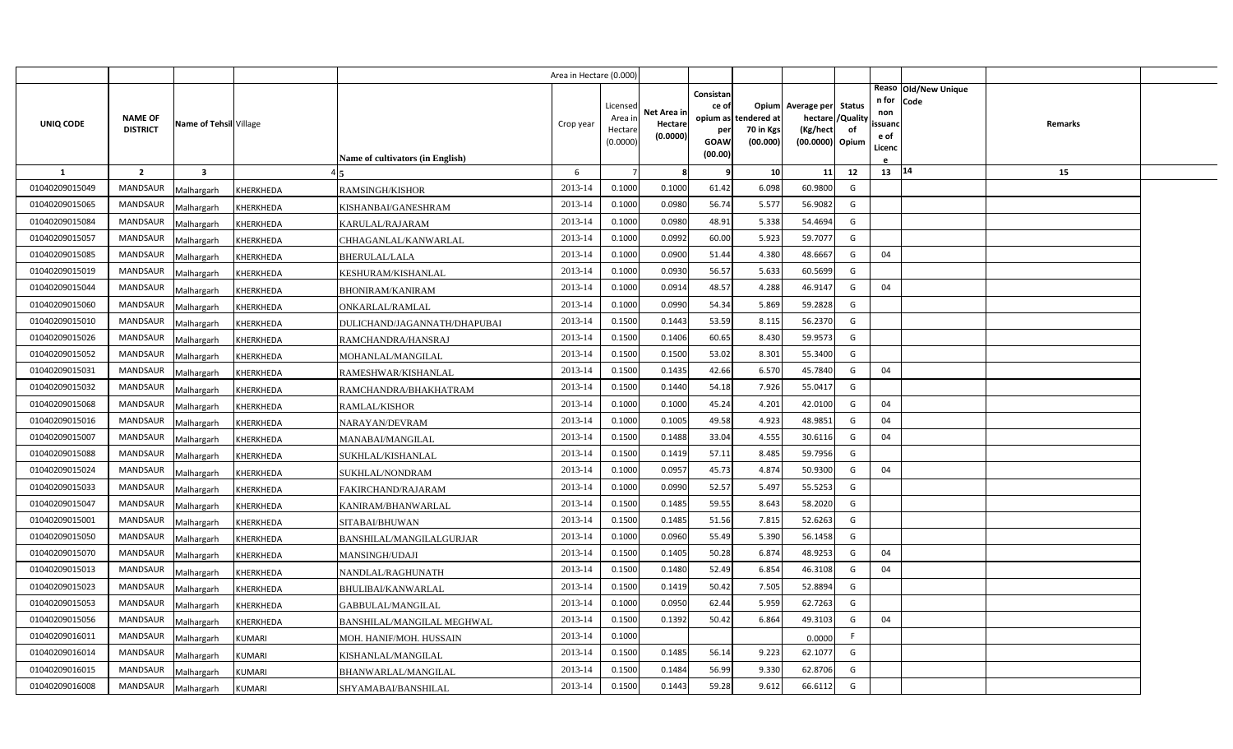|                |                                   |                        |                                  | Area in Hectare (0.000) |                                            |                                    |                                                                 |                                      |                                                                               |    |                                               |                        |         |  |
|----------------|-----------------------------------|------------------------|----------------------------------|-------------------------|--------------------------------------------|------------------------------------|-----------------------------------------------------------------|--------------------------------------|-------------------------------------------------------------------------------|----|-----------------------------------------------|------------------------|---------|--|
| UNIQ CODE      | <b>NAME OF</b><br><b>DISTRICT</b> | Name of Tehsil Village |                                  | Crop year               | Licensed<br>Area in<br>Hectare<br>(0.0000) | Net Area in<br>Hectare<br>(0.0000) | Consistan<br>ce of<br>opium as<br>per<br><b>GOAW</b><br>(00.00) | tendered at<br>70 in Kgs<br>(00.000) | Opium Average per Status<br>hectare / Quality<br>(Kg/hect)<br>(00.0000) Opium | of | n for Code<br>non<br>ssuand<br>e of<br>Licenc | Reaso   Old/New Unique | Remarks |  |
| <b>1</b>       | $\overline{2}$<br>$\mathbf{3}$    |                        | Name of cultivators (in English) | 6                       |                                            | 8                                  |                                                                 | 10 <sup>1</sup>                      | 11                                                                            | 12 | $13 \mid 14$                                  |                        | 15      |  |
| 01040209015049 | <b>MANDSAUR</b><br>Malhargarh     | KHERKHEDA              | RAMSINGH/KISHOR                  | 2013-14                 | 0.1000                                     | 0.1000                             | 61.42                                                           | 6.098                                | 60.9800                                                                       | G  |                                               |                        |         |  |
| 01040209015065 | MANDSAUR<br>Malhargarh            | <b>KHERKHEDA</b>       | KISHANBAI/GANESHRAM              | 2013-14                 | 0.1000                                     | 0.0980                             | 56.74                                                           | 5.577                                | 56.9082                                                                       | G  |                                               |                        |         |  |
| 01040209015084 | <b>MANDSAUR</b><br>Malhargarh     | KHERKHEDA              | KARULAL/RAJARAM                  | 2013-14                 | 0.1000                                     | 0.0980                             | 48.91                                                           | 5.338                                | 54.4694                                                                       | G  |                                               |                        |         |  |
| 01040209015057 | <b>MANDSAUR</b><br>Malhargarh     | KHERKHEDA              | CHHAGANLAL/KANWARLAL             | 2013-14                 | 0.1000                                     | 0.0992                             | 60.00                                                           | 5.923                                | 59.7077                                                                       | G  |                                               |                        |         |  |
| 01040209015085 | <b>MANDSAUR</b><br>Malhargarh     | KHERKHEDA              | BHERULAL/LALA                    | 2013-14                 | 0.1000                                     | 0.0900                             | 51.44                                                           | 4.380                                | 48.6667                                                                       | G  | 04                                            |                        |         |  |
| 01040209015019 | MANDSAUR<br>Malhargarh            | KHERKHEDA              | KESHURAM/KISHANLAL               | 2013-14                 | 0.1000                                     | 0.0930                             | 56.57                                                           | 5.633                                | 60.5699                                                                       | G  |                                               |                        |         |  |
| 01040209015044 | <b>MANDSAUR</b><br>Malhargarh     | KHERKHEDA              | <b>BHONIRAM/KANIRAM</b>          | 2013-14                 | 0.1000                                     | 0.0914                             | 48.57                                                           | 4.288                                | 46.9147                                                                       | G  | 04                                            |                        |         |  |
| 01040209015060 | <b>MANDSAUR</b><br>Malhargarh     | KHERKHEDA              | ONKARLAL/RAMLAL                  | 2013-14                 | 0.1000                                     | 0.0990                             | 54.34                                                           | 5.869                                | 59.2828                                                                       | G  |                                               |                        |         |  |
| 01040209015010 | <b>MANDSAUR</b><br>Malhargarh     | KHERKHEDA              | DULICHAND/JAGANNATH/DHAPUBAI     | 2013-14                 | 0.1500                                     | 0.1443                             | 53.59                                                           | 8.115                                | 56.2370                                                                       | G  |                                               |                        |         |  |
| 01040209015026 | <b>MANDSAUR</b><br>Malhargarh     | KHERKHEDA              | RAMCHANDRA/HANSRAJ               | 2013-14                 | 0.1500                                     | 0.1406                             | 60.65                                                           | 8.430                                | 59.9573                                                                       | G  |                                               |                        |         |  |
| 01040209015052 | <b>MANDSAUR</b><br>Malhargarh     | KHERKHEDA              | MOHANLAL/MANGILAL                | 2013-14                 | 0.1500                                     | 0.1500                             | 53.02                                                           | 8.301                                | 55.3400                                                                       | G  |                                               |                        |         |  |
| 01040209015031 | <b>MANDSAUR</b><br>Malhargarh     | KHERKHEDA              | RAMESHWAR/KISHANLAL              | 2013-14                 | 0.1500                                     | 0.1435                             | 42.66                                                           | 6.570                                | 45.7840                                                                       | G  | 04                                            |                        |         |  |
| 01040209015032 | MANDSAUR<br>Malhargarh            | KHERKHEDA              | RAMCHANDRA/BHAKHATRAM            | 2013-14                 | 0.1500                                     | 0.1440                             | 54.18                                                           | 7.926                                | 55.0417                                                                       | G  |                                               |                        |         |  |
| 01040209015068 | <b>MANDSAUR</b><br>Malhargarh     | KHERKHEDA              | RAMLAL/KISHOR                    | 2013-14                 | 0.1000                                     | 0.1000                             | 45.24                                                           | 4.201                                | 42.0100                                                                       | G  | 04                                            |                        |         |  |
| 01040209015016 | MANDSAUR<br>Malhargarh            | KHERKHEDA              | NARAYAN/DEVRAM                   | 2013-14                 | 0.1000                                     | 0.1005                             | 49.58                                                           | 4.923                                | 48.9851                                                                       | G  | 04                                            |                        |         |  |
| 01040209015007 | MANDSAUR<br>Malhargarh            | KHERKHEDA              | MANABAI/MANGILAL                 | 2013-14                 | 0.1500                                     | 0.1488                             | 33.04                                                           | 4.555                                | 30.6116                                                                       | G  | 04                                            |                        |         |  |
| 01040209015088 | MANDSAUR<br>Malhargarh            | KHERKHEDA              | SUKHLAL/KISHANLAL                | 2013-14                 | 0.1500                                     | 0.1419                             | 57.11                                                           | 8.485                                | 59.7956                                                                       | G  |                                               |                        |         |  |
| 01040209015024 | MANDSAUR<br>Malhargarh            | KHERKHEDA              | SUKHLAL/NONDRAM                  | 2013-14                 | 0.1000                                     | 0.0957                             | 45.73                                                           | 4.874                                | 50.9300                                                                       | G  | 04                                            |                        |         |  |
| 01040209015033 | <b>MANDSAUR</b><br>Malhargarh     | KHERKHEDA              | FAKIRCHAND/RAJARAM               | 2013-14                 | 0.1000                                     | 0.0990                             | 52.57                                                           | 5.497                                | 55.5253                                                                       | G  |                                               |                        |         |  |
| 01040209015047 | <b>MANDSAUR</b><br>Malhargarh     | KHERKHEDA              | KANIRAM/BHANWARLAL               | 2013-14                 | 0.1500                                     | 0.1485                             | 59.55                                                           | 8.643                                | 58.2020                                                                       | G  |                                               |                        |         |  |
| 01040209015001 | <b>MANDSAUR</b><br>Malhargarh     | KHERKHEDA              | SITABAI/BHUWAN                   | 2013-14                 | 0.1500                                     | 0.1485                             | 51.56                                                           | 7.815                                | 52.6263                                                                       | G  |                                               |                        |         |  |
| 01040209015050 | <b>MANDSAUR</b><br>Malhargarh     | KHERKHEDA              | BANSHILAL/MANGILALGURJAR         | 2013-14                 | 0.1000                                     | 0.0960                             | 55.49                                                           | 5.390                                | 56.1458                                                                       | G  |                                               |                        |         |  |
| 01040209015070 | <b>MANDSAUR</b><br>Malhargarh     | KHERKHEDA              | MANSINGH/UDAJI                   | 2013-14                 | 0.1500                                     | 0.1405                             | 50.28                                                           | 6.874                                | 48.9253                                                                       | G  | 04                                            |                        |         |  |
| 01040209015013 | <b>MANDSAUR</b><br>Malhargarh     | KHERKHEDA              | NANDLAL/RAGHUNATH                | 2013-14                 | 0.1500                                     | 0.1480                             | 52.49                                                           | 6.854                                | 46.3108                                                                       | G  | 04                                            |                        |         |  |
| 01040209015023 | <b>MANDSAUR</b><br>Malhargarh     | KHERKHEDA              | BHULIBAI/KANWARLAL               | 2013-14                 | 0.1500                                     | 0.1419                             | 50.42                                                           | 7.505                                | 52.8894                                                                       | G  |                                               |                        |         |  |
| 01040209015053 | <b>MANDSAUR</b><br>Malhargarh     | KHERKHEDA              | GABBULAL/MANGILAL                | 2013-14                 | 0.1000                                     | 0.0950                             | 62.44                                                           | 5.959                                | 62.7263                                                                       | G  |                                               |                        |         |  |
| 01040209015056 | <b>MANDSAUR</b><br>Malhargarh     | KHERKHEDA              | BANSHILAL/MANGILAL MEGHWAL       | 2013-14                 | 0.1500                                     | 0.1392                             | 50.42                                                           | 6.864                                | 49.3103                                                                       | G  | 04                                            |                        |         |  |
| 01040209016011 | <b>MANDSAUR</b><br>Malhargarh     | <b>KUMARI</b>          | MOH. HANIF/MOH. HUSSAIN          | 2013-14                 | 0.1000                                     |                                    |                                                                 |                                      | 0.0000                                                                        |    |                                               |                        |         |  |
| 01040209016014 | <b>MANDSAUR</b><br>Malhargarh     | <b>KUMARI</b>          | KISHANLAL/MANGILAL               | 2013-14                 | 0.1500                                     | 0.1485                             | 56.14                                                           | 9.223                                | 62.1077                                                                       | G  |                                               |                        |         |  |
| 01040209016015 | <b>MANDSAUR</b><br>Malhargarh     | <b>KUMARI</b>          | BHANWARLAL/MANGILAL              | 2013-14                 | 0.1500                                     | 0.1484                             | 56.99                                                           | 9.330                                | 62.8706                                                                       | G  |                                               |                        |         |  |
| 01040209016008 | MANDSAUR<br>Malhargarh            | <b>KUMARI</b>          | SHYAMABAI/BANSHILAL              | 2013-14                 | 0.1500                                     | 0.1443                             | 59.28                                                           | 9.612                                | 66.6112                                                                       | G  |                                               |                        |         |  |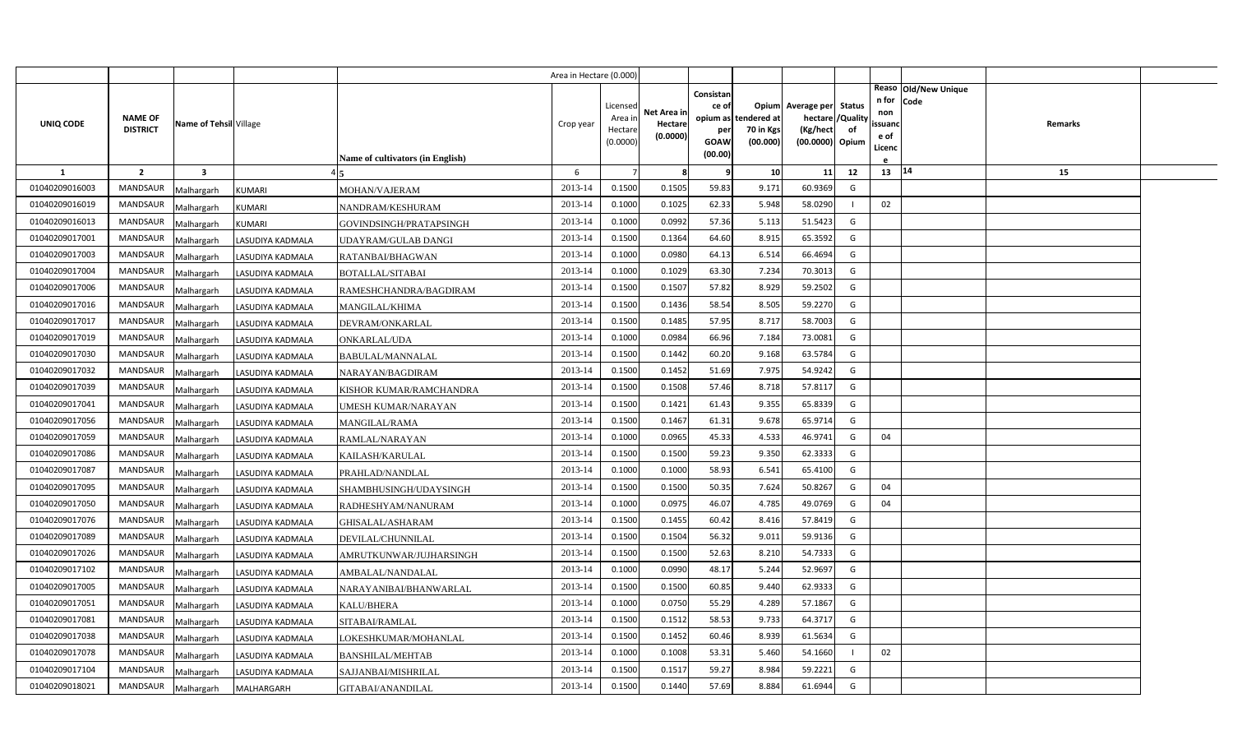|                |                                   |                         |                   |                                  | Area in Hectare (0.000) |                                            |                                    |                                                          |                                      |                                                                              |    |                                          |                              |         |  |
|----------------|-----------------------------------|-------------------------|-------------------|----------------------------------|-------------------------|--------------------------------------------|------------------------------------|----------------------------------------------------------|--------------------------------------|------------------------------------------------------------------------------|----|------------------------------------------|------------------------------|---------|--|
| UNIQ CODE      | <b>NAME OF</b><br><b>DISTRICT</b> | Name of Tehsil Village  |                   | Name of cultivators (in English) | Crop year               | Licensed<br>Area ir<br>Hectare<br>(0.0000) | Net Area in<br>Hectare<br>(0.0000) | Consistan<br>ce of<br>opium as<br>per<br>GOAW<br>(00.00) | tendered at<br>70 in Kgs<br>(00.000) | Opium Average per Status<br>hectare / Quality<br>(Kg/hect<br>(00.0000) Opium | of | n for<br>non<br>ssuand<br>e of<br>Licenc | Reaso Old/New Unique<br>Code | Remarks |  |
| $\mathbf{1}$   | $\overline{2}$                    | $\overline{\mathbf{3}}$ |                   |                                  | 6                       | $\overline{7}$                             | 8                                  | q                                                        | 10                                   | 11                                                                           | 12 | 13   14                                  |                              | 15      |  |
| 01040209016003 | <b>MANDSAUR</b>                   | Malhargarh              | <b>KUMARI</b>     | MOHAN/VAJERAM                    | 2013-14                 | 0.1500                                     | 0.1505                             | 59.83                                                    | 9.171                                | 60.9369                                                                      | G  |                                          |                              |         |  |
| 01040209016019 | MANDSAUR                          | Malhargarh              | KUMARI            | NANDRAM/KESHURAM                 | 2013-14                 | 0.1000                                     | 0.1025                             | 62.33                                                    | 5.948                                | 58.0290                                                                      |    | 02                                       |                              |         |  |
| 01040209016013 | MANDSAUR                          | Malhargarh              | <b>KUMARI</b>     | GOVINDSINGH/PRATAPSINGH          | 2013-14                 | 0.1000                                     | 0.0992                             | 57.36                                                    | 5.113                                | 51.5423                                                                      | G  |                                          |                              |         |  |
| 01040209017001 | <b>MANDSAUR</b>                   | Malhargarh              | LASUDIYA KADMALA  | <b>JDAYRAM/GULAB DANGI</b>       | 2013-14                 | 0.1500                                     | 0.1364                             | 64.60                                                    | 8.915                                | 65.3592                                                                      | G  |                                          |                              |         |  |
| 01040209017003 | MANDSAUR                          | Malhargarh              | LASUDIYA KADMALA  | RATANBAI/BHAGWAN                 | 2013-14                 | 0.1000                                     | 0.0980                             | 64.13                                                    | 6.514                                | 66.4694                                                                      | G  |                                          |                              |         |  |
| 01040209017004 | <b>MANDSAUR</b>                   | Malhargarh              | LASUDIYA KADMALA  | BOTALLAL/SITABAI                 | 2013-14                 | 0.1000                                     | 0.1029                             | 63.30                                                    | 7.234                                | 70.3013                                                                      | G  |                                          |                              |         |  |
| 01040209017006 | MANDSAUR                          | Malhargarh              | LASUDIYA KADMALA  | RAMESHCHANDRA/BAGDIRAM           | 2013-14                 | 0.1500                                     | 0.1507                             | 57.82                                                    | 8.929                                | 59.2502                                                                      | G  |                                          |                              |         |  |
| 01040209017016 | MANDSAUR                          | Malhargarh              | LASUDIYA KADMALA  | MANGILAL/KHIMA                   | 2013-14                 | 0.1500                                     | 0.1436                             | 58.54                                                    | 8.505                                | 59.2270                                                                      | G  |                                          |                              |         |  |
| 01040209017017 | MANDSAUR                          | Malhargarh              | LASUDIYA KADMALA  | DEVRAM/ONKARLAL                  | 2013-14                 | 0.1500                                     | 0.1485                             | 57.95                                                    | 8.717                                | 58.7003                                                                      | G  |                                          |                              |         |  |
| 01040209017019 | MANDSAUR                          | Malhargarh              | LASUDIYA KADMALA  | ONKARLAL/UDA                     | 2013-14                 | 0.1000                                     | 0.0984                             | 66.96                                                    | 7.184                                | 73.0081                                                                      | G  |                                          |                              |         |  |
| 01040209017030 | MANDSAUR                          | Malhargarh              | LASUDIYA KADMALA  | BABULAL/MANNALAL                 | 2013-14                 | 0.1500                                     | 0.1442                             | 60.20                                                    | 9.168                                | 63.5784                                                                      | G  |                                          |                              |         |  |
| 01040209017032 | <b>MANDSAUR</b>                   | Malhargarh              | LASUDIYA KADMALA  | NARAYAN/BAGDIRAM                 | 2013-14                 | 0.1500                                     | 0.1452                             | 51.69                                                    | 7.975                                | 54.9242                                                                      | G  |                                          |                              |         |  |
| 01040209017039 | <b>MANDSAUR</b>                   | Malhargarh              | LASUDIYA KADMALA  | KISHOR KUMAR/RAMCHANDRA          | 2013-14                 | 0.1500                                     | 0.1508                             | 57.46                                                    | 8.718                                | 57.8117                                                                      | G  |                                          |                              |         |  |
| 01040209017041 | <b>MANDSAUR</b>                   | Malhargarh              | LASUDIYA KADMALA  | UMESH KUMAR/NARAYAN              | 2013-14                 | 0.1500                                     | 0.1421                             | 61.43                                                    | 9.355                                | 65.8339                                                                      | G  |                                          |                              |         |  |
| 01040209017056 | <b>MANDSAUR</b>                   | Malhargarh              | LASUDIYA KADMALA  | <b>MANGILAL/RAMA</b>             | 2013-14                 | 0.1500                                     | 0.1467                             | 61.31                                                    | 9.678                                | 65.9714                                                                      | G  |                                          |                              |         |  |
| 01040209017059 | <b>MANDSAUR</b>                   | Malhargarh              | LASUDIYA KADMALA  | RAMLAL/NARAYAN                   | 2013-14                 | 0.1000                                     | 0.0965                             | 45.33                                                    | 4.533                                | 46.9741                                                                      | G  | 04                                       |                              |         |  |
| 01040209017086 | <b>MANDSAUR</b>                   | Malhargarh              | LASUDIYA KADMALA  | KAILASH/KARULAL                  | 2013-14                 | 0.1500                                     | 0.1500                             | 59.23                                                    | 9.350                                | 62.3333                                                                      | G  |                                          |                              |         |  |
| 01040209017087 | <b>MANDSAUR</b>                   | Malhargarh              | LASUDIYA KADMALA  | PRAHLAD/NANDLAL                  | 2013-14                 | 0.1000                                     | 0.1000                             | 58.93                                                    | 6.541                                | 65.4100                                                                      | G  |                                          |                              |         |  |
| 01040209017095 | <b>MANDSAUR</b>                   | Malhargarh              | LASUDIYA KADMALA  | SHAMBHUSINGH/UDAYSINGH           | 2013-14                 | 0.1500                                     | 0.1500                             | 50.35                                                    | 7.624                                | 50.8267                                                                      | G  | 04                                       |                              |         |  |
| 01040209017050 | MANDSAUR                          | Malhargarh              | LASUDIYA KADMALA  | RADHESHYAM/NANURAM               | 2013-14                 | 0.1000                                     | 0.0975                             | 46.07                                                    | 4.785                                | 49.0769                                                                      | G  | 04                                       |                              |         |  |
| 01040209017076 | MANDSAUR                          | Malhargarh              | LASUDIYA KADMALA  | GHISALAL/ASHARAM                 | 2013-14                 | 0.1500                                     | 0.1455                             | 60.42                                                    | 8.416                                | 57.8419                                                                      | G  |                                          |                              |         |  |
| 01040209017089 | MANDSAUR                          | Malhargarh              | LASUDIYA KADMALA  | DEVILAL/CHUNNILAL                | 2013-14                 | 0.1500                                     | 0.1504                             | 56.32                                                    | 9.011                                | 59.9136                                                                      | G  |                                          |                              |         |  |
| 01040209017026 | MANDSAUR                          | Malhargarh              | LASUDIYA KADMALA  | AMRUTKUNWAR/JUJHARSINGH          | 2013-14                 | 0.1500                                     | 0.1500                             | 52.63                                                    | 8.210                                | 54.7333                                                                      | G  |                                          |                              |         |  |
| 01040209017102 | <b>MANDSAUR</b>                   | Malhargarh              | LASUDIYA KADMALA  | AMBALAL/NANDALAL                 | 2013-14                 | 0.1000                                     | 0.0990                             | 48.17                                                    | 5.244                                | 52.9697                                                                      | G  |                                          |                              |         |  |
| 01040209017005 | MANDSAUR                          | Malhargarh              | LASUDIYA KADMALA  | NARAYANIBAI/BHANWARLAL           | 2013-14                 | 0.1500                                     | 0.1500                             | 60.85                                                    | 9.440                                | 62.9333                                                                      | G  |                                          |                              |         |  |
| 01040209017051 | MANDSAUR                          | Malhargarh              | LASUDIYA KADMALA  | KALU/BHERA                       | 2013-14                 | 0.1000                                     | 0.0750                             | 55.29                                                    | 4.289                                | 57.1867                                                                      | G  |                                          |                              |         |  |
| 01040209017081 | MANDSAUR                          | Malhargarh              | LASUDIYA KADMALA  | SITABAI/RAMLAL                   | 2013-14                 | 0.1500                                     | 0.1512                             | 58.53                                                    | 9.733                                | 64.3717                                                                      | G  |                                          |                              |         |  |
| 01040209017038 | MANDSAUR                          | Malhargarh              | LASUDIYA KADMALA  | LOKESHKUMAR/MOHANLAL             | 2013-14                 | 0.1500                                     | 0.1452                             | 60.46                                                    | 8.939                                | 61.5634                                                                      | G  |                                          |                              |         |  |
| 01040209017078 | MANDSAUR                          | Malhargarh              | LASUDIYA KADMALA  | BANSHILAL/MEHTAB                 | 2013-14                 | 0.1000                                     | 0.1008                             | 53.31                                                    | 5.460                                | 54.1660                                                                      |    | 02                                       |                              |         |  |
| 01040209017104 | MANDSAUR                          | Malhargarh              | LASUDIYA KADMALA  | SAJJANBAI/MISHRILAL              | 2013-14                 | 0.1500                                     | 0.1517                             | 59.27                                                    | 8.984                                | 59.2221                                                                      | G  |                                          |                              |         |  |
| 01040209018021 | MANDSAUR                          | Malhargarh              | <b>MALHARGARH</b> | GITABAI/ANANDILAL                | 2013-14                 | 0.1500                                     | 0.1440                             | 57.69                                                    | 8.884                                | 61.6944                                                                      | G  |                                          |                              |         |  |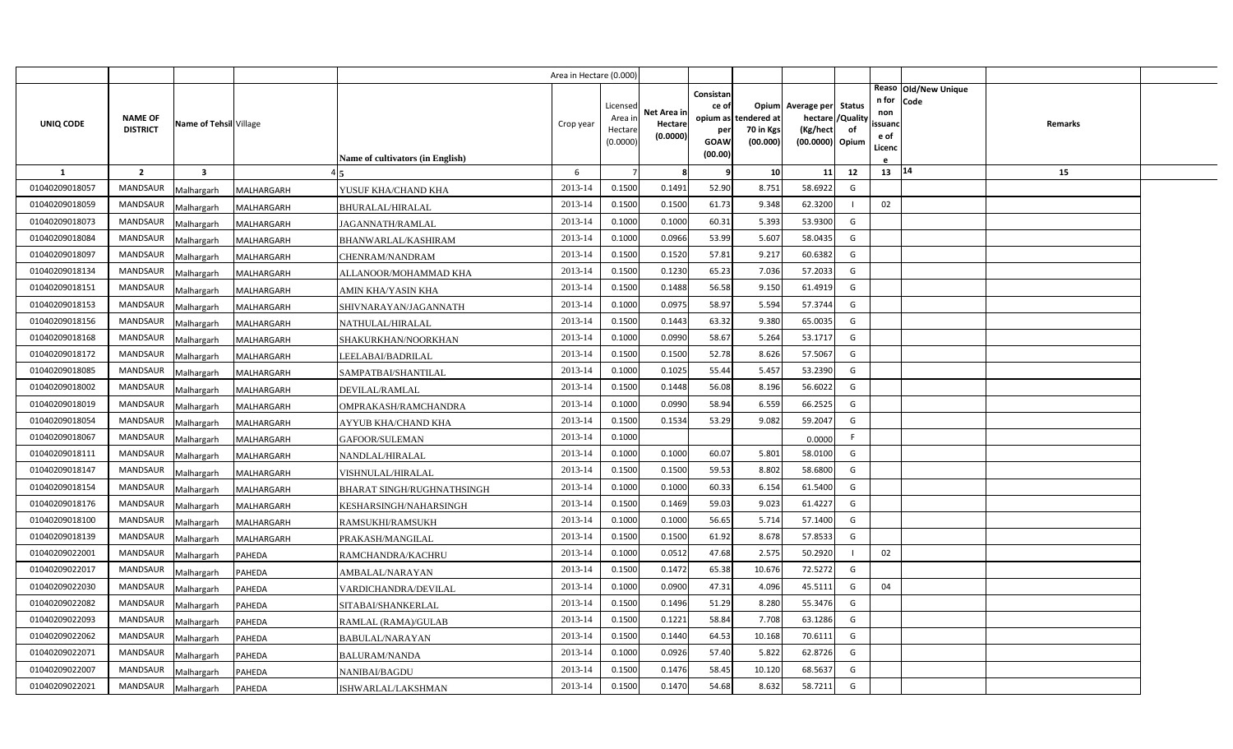|                |                                   |                         |            |                                   | Area in Hectare (0.000) |                                            |                                    |                                                     |                                               |                                                                    |                |                                          |                              |         |  |
|----------------|-----------------------------------|-------------------------|------------|-----------------------------------|-------------------------|--------------------------------------------|------------------------------------|-----------------------------------------------------|-----------------------------------------------|--------------------------------------------------------------------|----------------|------------------------------------------|------------------------------|---------|--|
| UNIQ CODE      | <b>NAME OF</b><br><b>DISTRICT</b> | Name of Tehsil Village  |            | Name of cultivators (in English)  | Crop year               | Licensed<br>Area in<br>Hectare<br>(0.0000) | Net Area in<br>Hectare<br>(0.0000) | Consistan<br>ce of<br>per<br><b>GOAW</b><br>(00.00) | opium as tendered at<br>70 in Kgs<br>(00.000) | Opium Average per Status<br>hectare<br>(Kg/hect<br>(00.0000) Opium | /Quality<br>of | n for<br>non<br>ssuand<br>e of<br>Licenc | Reaso Old/New Unique<br>Code | Remarks |  |
| <b>1</b>       | $\overline{2}$                    | $\overline{\mathbf{3}}$ |            |                                   | 6                       |                                            | -8                                 | -9                                                  | 10                                            | 11                                                                 | 12             | 13 14                                    |                              | 15      |  |
| 01040209018057 | <b>MANDSAUR</b>                   | Malhargarh              | MALHARGARH | YUSUF KHA/CHAND KHA               | 2013-14                 | 0.1500                                     | 0.1491                             | 52.90                                               | 8.751                                         | 58.6922                                                            | G              |                                          |                              |         |  |
| 01040209018059 | <b>MANDSAUR</b>                   | Malhargarh              | MALHARGARH | <b>BHURALAL/HIRALAL</b>           | 2013-14                 | 0.1500                                     | 0.1500                             | 61.73                                               | 9.348                                         | 62.3200                                                            |                | 02                                       |                              |         |  |
| 01040209018073 | <b>MANDSAUR</b>                   | Malhargarh              | MALHARGARH | JAGANNATH/RAMLAL                  | 2013-14                 | 0.1000                                     | 0.1000                             | 60.31                                               | 5.393                                         | 53.9300                                                            | G              |                                          |                              |         |  |
| 01040209018084 | <b>MANDSAUR</b>                   | Malhargarh              | MALHARGARH | BHANWARLAL/KASHIRAM               | 2013-14                 | 0.1000                                     | 0.0966                             | 53.99                                               | 5.607                                         | 58.0435                                                            | G              |                                          |                              |         |  |
| 01040209018097 | <b>MANDSAUR</b>                   | Malhargarh              | MALHARGARH | CHENRAM/NANDRAM                   | 2013-14                 | 0.1500                                     | 0.1520                             | 57.81                                               | 9.217                                         | 60.6382                                                            | G              |                                          |                              |         |  |
| 01040209018134 | <b>MANDSAUR</b>                   | Malhargarh              | MALHARGARH | ALLANOOR/MOHAMMAD KHA             | 2013-14                 | 0.1500                                     | 0.1230                             | 65.23                                               | 7.036                                         | 57.2033                                                            | G              |                                          |                              |         |  |
| 01040209018151 | <b>MANDSAUR</b>                   | Malhargarh              | MALHARGARH | AMIN KHA/YASIN KHA                | 2013-14                 | 0.1500                                     | 0.1488                             | 56.58                                               | 9.150                                         | 61.4919                                                            | G              |                                          |                              |         |  |
| 01040209018153 | <b>MANDSAUR</b>                   | Malhargarh              | MALHARGARH | SHIVNARAYAN/JAGANNATH             | 2013-14                 | 0.1000                                     | 0.0975                             | 58.97                                               | 5.594                                         | 57.3744                                                            | G              |                                          |                              |         |  |
| 01040209018156 | <b>MANDSAUR</b>                   | Malhargarh              | MALHARGARH | NATHULAL/HIRALAL                  | 2013-14                 | 0.1500                                     | 0.1443                             | 63.32                                               | 9.380                                         | 65.0035                                                            | G              |                                          |                              |         |  |
| 01040209018168 | <b>MANDSAUR</b>                   | Malhargarh              | MALHARGARH | SHAKURKHAN/NOORKHAN               | 2013-14                 | 0.1000                                     | 0.0990                             | 58.67                                               | 5.264                                         | 53.1717                                                            | G              |                                          |                              |         |  |
| 01040209018172 | <b>MANDSAUR</b>                   | Malhargarh              | MALHARGARH | LEELABAI/BADRILAL                 | 2013-14                 | 0.1500                                     | 0.1500                             | 52.78                                               | 8.626                                         | 57.5067                                                            | G              |                                          |                              |         |  |
| 01040209018085 | <b>MANDSAUR</b>                   | Malhargarh              | MALHARGARH | SAMPATBAI/SHANTILAL               | 2013-14                 | 0.1000                                     | 0.1025                             | 55.44                                               | 5.457                                         | 53.2390                                                            | G              |                                          |                              |         |  |
| 01040209018002 | <b>MANDSAUR</b>                   | Malhargarh              | MALHARGARH | DEVILAL/RAMLAL                    | 2013-14                 | 0.1500                                     | 0.1448                             | 56.08                                               | 8.196                                         | 56.6022                                                            | G              |                                          |                              |         |  |
| 01040209018019 | <b>MANDSAUR</b>                   | Malhargarh              | MALHARGARH | OMPRAKASH/RAMCHANDRA              | 2013-14                 | 0.1000                                     | 0.0990                             | 58.94                                               | 6.559                                         | 66.2525                                                            | G              |                                          |                              |         |  |
| 01040209018054 | <b>MANDSAUR</b>                   | Malhargarh              | MALHARGARH | <b>AYYUB KHA/CHAND KHA</b>        | 2013-14                 | 0.1500                                     | 0.1534                             | 53.29                                               | 9.082                                         | 59.2047                                                            | G              |                                          |                              |         |  |
| 01040209018067 | <b>MANDSAUR</b>                   | Malhargarh              | MALHARGARH | GAFOOR/SULEMAN                    | 2013-14                 | 0.1000                                     |                                    |                                                     |                                               | 0.0000                                                             | F.             |                                          |                              |         |  |
| 01040209018111 | <b>MANDSAUR</b>                   | Malhargarh              | MALHARGARH | NANDLAL/HIRALAL                   | 2013-14                 | 0.1000                                     | 0.1000                             | 60.07                                               | 5.801                                         | 58.0100                                                            | G              |                                          |                              |         |  |
| 01040209018147 | <b>MANDSAUR</b>                   | Malhargarh              | MALHARGARH | VISHNULAL/HIRALAL                 | 2013-14                 | 0.1500                                     | 0.1500                             | 59.53                                               | 8.802                                         | 58.6800                                                            | G              |                                          |                              |         |  |
| 01040209018154 | <b>MANDSAUR</b>                   | Malhargarh              | MALHARGARH | <b>BHARAT SINGH/RUGHNATHSINGH</b> | 2013-14                 | 0.1000                                     | 0.1000                             | 60.33                                               | 6.154                                         | 61.5400                                                            | G              |                                          |                              |         |  |
| 01040209018176 | <b>MANDSAUR</b>                   | Malhargarh              | MALHARGARH | KESHARSINGH/NAHARSINGH            | 2013-14                 | 0.1500                                     | 0.1469                             | 59.03                                               | 9.023                                         | 61.4227                                                            | G              |                                          |                              |         |  |
| 01040209018100 | <b>MANDSAUR</b>                   | Malhargarh              | MALHARGARH | RAMSUKHI/RAMSUKH                  | 2013-14                 | 0.1000                                     | 0.1000                             | 56.65                                               | 5.714                                         | 57.1400                                                            | G              |                                          |                              |         |  |
| 01040209018139 | <b>MANDSAUR</b>                   | Malhargarh              | MALHARGARH | PRAKASH/MANGILAL                  | 2013-14                 | 0.1500                                     | 0.1500                             | 61.92                                               | 8.678                                         | 57.8533                                                            | G              |                                          |                              |         |  |
| 01040209022001 | <b>MANDSAUR</b>                   | Malhargarh              | PAHEDA     | RAMCHANDRA/KACHRU                 | 2013-14                 | 0.1000                                     | 0.0512                             | 47.68                                               | 2.575                                         | 50.2920                                                            |                | 02                                       |                              |         |  |
| 01040209022017 | <b>MANDSAUR</b>                   | Malhargarh              | PAHEDA     | AMBALAL/NARAYAN                   | 2013-14                 | 0.1500                                     | 0.1472                             | 65.38                                               | 10.676                                        | 72.5272                                                            | G              |                                          |                              |         |  |
| 01040209022030 | <b>MANDSAUR</b>                   | Malhargarh              | PAHEDA     | VARDICHANDRA/DEVILAL              | 2013-14                 | 0.1000                                     | 0.0900                             | 47.31                                               | 4.096                                         | 45.5111                                                            | G              | 04                                       |                              |         |  |
| 01040209022082 | <b>MANDSAUR</b>                   | Malhargarh              | PAHEDA     | SITABAI/SHANKERLAL                | 2013-14                 | 0.1500                                     | 0.1496                             | 51.29                                               | 8.280                                         | 55.3476                                                            | G              |                                          |                              |         |  |
| 01040209022093 | <b>MANDSAUR</b>                   | Malhargarh              | PAHEDA     | RAMLAL (RAMA)/GULAB               | 2013-14                 | 0.1500                                     | 0.1221                             | 58.84                                               | 7.708                                         | 63.1286                                                            | G              |                                          |                              |         |  |
| 01040209022062 | <b>MANDSAUR</b>                   | Malhargarh              | PAHEDA     | BABULAL/NARAYAN                   | 2013-14                 | 0.1500                                     | 0.1440                             | 64.53                                               | 10.168                                        | 70.6111                                                            | G              |                                          |                              |         |  |
| 01040209022071 | <b>MANDSAUR</b>                   | Malhargarh              | PAHEDA     | <b>BALURAM/NANDA</b>              | 2013-14                 | 0.1000                                     | 0.0926                             | 57.40                                               | 5.822                                         | 62.8726                                                            | G              |                                          |                              |         |  |
| 01040209022007 | <b>MANDSAUR</b>                   | Malhargarh              | PAHEDA     | NANIBAI/BAGDU                     | 2013-14                 | 0.1500                                     | 0.1476                             | 58.45                                               | 10.120                                        | 68.5637                                                            | G              |                                          |                              |         |  |
| 01040209022021 | MANDSAUR                          | Malhargarh              | PAHEDA     | ISHWARLAL/LAKSHMAN                | 2013-14                 | 0.1500                                     | 0.1470                             | 54.68                                               | 8.632                                         | 58.7211                                                            | G              |                                          |                              |         |  |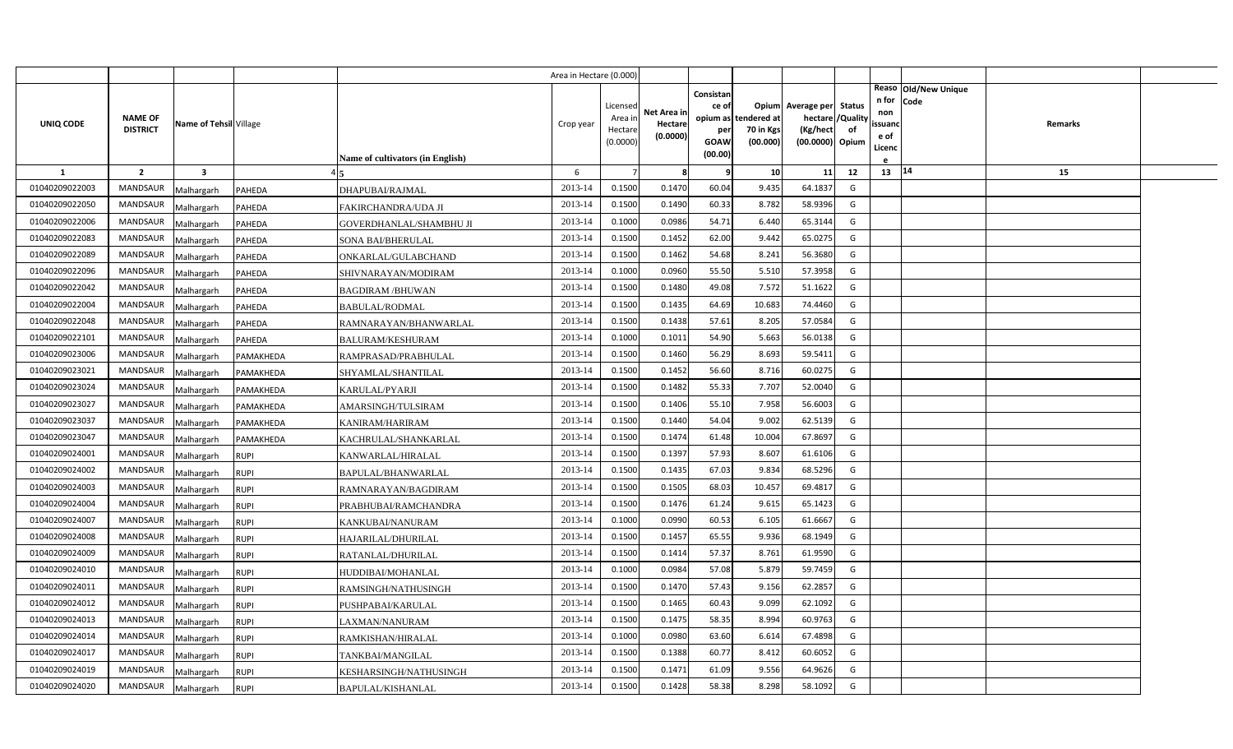|                |                                   |                         |               |                                         | Area in Hectare (0.000 |                                            |                                    |                                   |                                               |                                                                      |                |                                          |                              |         |  |
|----------------|-----------------------------------|-------------------------|---------------|-----------------------------------------|------------------------|--------------------------------------------|------------------------------------|-----------------------------------|-----------------------------------------------|----------------------------------------------------------------------|----------------|------------------------------------------|------------------------------|---------|--|
| UNIQ CODE      | <b>NAME OF</b><br><b>DISTRICT</b> | Name of Tehsil Village  |               |                                         | Crop year              | Licensed<br>Area in<br>Hectare<br>(0.0000) | Net Area in<br>Hectare<br>(0.0000) | Consistan<br>ce of<br>per<br>GOAW | opium as tendered at<br>70 in Kgs<br>(00.000) | Opium Average per Status<br>hectare /<br>(Kg/hect<br>(00.0000) Opium | /Quality<br>of | n for<br>non<br>ssuanc<br>e of<br>Licenc | Reaso Old/New Unique<br>Code | Remarks |  |
|                |                                   |                         |               | <b>Name of cultivators (in English)</b> |                        |                                            |                                    | (00.00)                           |                                               |                                                                      |                |                                          |                              |         |  |
| <b>1</b>       | $\overline{2}$                    | $\overline{\mathbf{3}}$ |               |                                         | 6                      |                                            | -8                                 | q                                 | 10                                            | 11                                                                   | 12             | 13   14                                  |                              | 15      |  |
| 01040209022003 | <b>MANDSAUR</b>                   | Malhargarh              | PAHEDA        | DHAPUBAI/RAJMAL                         | 2013-14                | 0.1500                                     | 0.1470                             | 60.04                             | 9.435                                         | 64.1837                                                              | G              |                                          |                              |         |  |
| 01040209022050 | MANDSAUR                          | Malhargarh              | PAHEDA        | FAKIRCHANDRA/UDA JI                     | 2013-14                | 0.1500                                     | 0.1490                             | 60.33                             | 8.782                                         | 58.9396                                                              | G              |                                          |                              |         |  |
| 01040209022006 | <b>MANDSAUR</b>                   | Malhargarh              | PAHEDA        | GOVERDHANLAL/SHAMBHU JI                 | 2013-14                | 0.1000                                     | 0.0986                             | 54.71                             | 6.440                                         | 65.3144                                                              | G              |                                          |                              |         |  |
| 01040209022083 | <b>MANDSAUR</b>                   | Malhargarh              | <b>PAHEDA</b> | SONA BAI/BHERULAL                       | 2013-14                | 0.1500                                     | 0.1452                             | 62.00                             | 9.442                                         | 65.0275                                                              | G              |                                          |                              |         |  |
| 01040209022089 | <b>MANDSAUR</b>                   | Malhargarh              | PAHEDA        | ONKARLAL/GULABCHAND                     | 2013-14                | 0.1500                                     | 0.1462                             | 54.68                             | 8.241                                         | 56.3680                                                              | G              |                                          |                              |         |  |
| 01040209022096 | <b>MANDSAUR</b>                   | Malhargarh              | PAHEDA        | SHIVNARAYAN/MODIRAM                     | 2013-14                | 0.1000                                     | 0.0960                             | 55.50                             | 5.510                                         | 57.3958                                                              | G              |                                          |                              |         |  |
| 01040209022042 | <b>MANDSAUR</b>                   | Malhargarh              | PAHEDA        | <b>BAGDIRAM/BHUWAN</b>                  | 2013-14                | 0.1500                                     | 0.1480                             | 49.08                             | 7.572                                         | 51.1622                                                              | G              |                                          |                              |         |  |
| 01040209022004 | <b>MANDSAUR</b>                   | Malhargarh              | PAHEDA        | <b>BABULAL/RODMAL</b>                   | 2013-14                | 0.1500                                     | 0.1435                             | 64.69                             | 10.683                                        | 74.4460                                                              | G              |                                          |                              |         |  |
| 01040209022048 | <b>MANDSAUR</b>                   | Malhargarh              | PAHEDA        | RAMNARAYAN/BHANWARLAL                   | 2013-14                | 0.1500                                     | 0.1438                             | 57.61                             | 8.205                                         | 57.0584                                                              | G              |                                          |                              |         |  |
| 01040209022101 | <b>MANDSAUR</b>                   | Malhargarh              | PAHEDA        | <b>BALURAM/KESHURAM</b>                 | 2013-14                | 0.1000                                     | 0.1011                             | 54.90                             | 5.663                                         | 56.0138                                                              | G              |                                          |                              |         |  |
| 01040209023006 | <b>MANDSAUR</b>                   | Malhargarh              | PAMAKHEDA     | RAMPRASAD/PRABHULAL                     | 2013-14                | 0.1500                                     | 0.1460                             | 56.29                             | 8.693                                         | 59.5411                                                              | G              |                                          |                              |         |  |
| 01040209023021 | <b>MANDSAUR</b>                   | Malhargarh              | PAMAKHEDA     | SHYAMLAL/SHANTILAL                      | 2013-14                | 0.1500                                     | 0.1452                             | 56.60                             | 8.716                                         | 60.0275                                                              | G              |                                          |                              |         |  |
| 01040209023024 | MANDSAUR                          | Malhargarh              | PAMAKHEDA     | <b>KARULAL/PYARJI</b>                   | 2013-14                | 0.1500                                     | 0.1482                             | 55.33                             | 7.707                                         | 52.0040                                                              | G              |                                          |                              |         |  |
| 01040209023027 | <b>MANDSAUR</b>                   | Malhargarh              | PAMAKHEDA     | AMARSINGH/TULSIRAM                      | 2013-14                | 0.1500                                     | 0.1406                             | 55.10                             | 7.958                                         | 56.6003                                                              | G              |                                          |                              |         |  |
| 01040209023037 | MANDSAUR                          | Malhargarh              | PAMAKHEDA     | KANIRAM/HARIRAM                         | 2013-14                | 0.1500                                     | 0.1440                             | 54.04                             | 9.002                                         | 62.5139                                                              | G              |                                          |                              |         |  |
| 01040209023047 | MANDSAUR                          | Malhargarh              | PAMAKHEDA     | KACHRULAL/SHANKARLAL                    | 2013-14                | 0.1500                                     | 0.1474                             | 61.48                             | 10.004                                        | 67.8697                                                              | G              |                                          |                              |         |  |
| 01040209024001 | MANDSAUR                          | Malhargarh              | <b>RUPI</b>   | KANWARLAL/HIRALAL                       | 2013-14                | 0.1500                                     | 0.1397                             | 57.93                             | 8.607                                         | 61.6106                                                              | G              |                                          |                              |         |  |
| 01040209024002 | MANDSAUR                          | Malhargarh              | <b>RUPI</b>   | BAPULAL/BHANWARLAL                      | 2013-14                | 0.1500                                     | 0.1435                             | 67.03                             | 9.834                                         | 68.5296                                                              | G              |                                          |                              |         |  |
| 01040209024003 | <b>MANDSAUR</b>                   | Malhargarh              | <b>RUPI</b>   | RAMNARAYAN/BAGDIRAM                     | 2013-14                | 0.1500                                     | 0.1505                             | 68.03                             | 10.457                                        | 69.4817                                                              | G              |                                          |                              |         |  |
| 01040209024004 | <b>MANDSAUR</b>                   | Malhargarh              | <b>RUPI</b>   | PRABHUBAI/RAMCHANDRA                    | 2013-14                | 0.1500                                     | 0.1476                             | 61.24                             | 9.615                                         | 65.1423                                                              | G              |                                          |                              |         |  |
| 01040209024007 | <b>MANDSAUR</b>                   | Malhargarh              | <b>RUPI</b>   | KANKUBAI/NANURAM                        | 2013-14                | 0.1000                                     | 0.0990                             | 60.53                             | 6.105                                         | 61.6667                                                              | G              |                                          |                              |         |  |
| 01040209024008 | <b>MANDSAUR</b>                   | Malhargarh              | <b>RUPI</b>   | HAJARILAL/DHURILAL                      | 2013-14                | 0.1500                                     | 0.1457                             | 65.55                             | 9.936                                         | 68.1949                                                              | G              |                                          |                              |         |  |
| 01040209024009 | <b>MANDSAUR</b>                   | Malhargarh              | <b>RUPI</b>   | RATANLAL/DHURILAL                       | 2013-14                | 0.1500                                     | 0.1414                             | 57.37                             | 8.761                                         | 61.9590                                                              | G              |                                          |                              |         |  |
| 01040209024010 | <b>MANDSAUR</b>                   | Malhargarh              | <b>RUPI</b>   | HUDDIBAI/MOHANLAL                       | 2013-14                | 0.1000                                     | 0.0984                             | 57.08                             | 5.879                                         | 59.7459                                                              | G              |                                          |                              |         |  |
| 01040209024011 | <b>MANDSAUR</b>                   | Malhargarh              | <b>RUPI</b>   | RAMSINGH/NATHUSINGH                     | 2013-14                | 0.1500                                     | 0.1470                             | 57.43                             | 9.156                                         | 62.2857                                                              | G              |                                          |                              |         |  |
| 01040209024012 | <b>MANDSAUR</b>                   | Malhargarh              | <b>RUPI</b>   | PUSHPABAI/KARULAL                       | 2013-14                | 0.1500                                     | 0.1465                             | 60.43                             | 9.099                                         | 62.1092                                                              | G              |                                          |                              |         |  |
| 01040209024013 | <b>MANDSAUR</b>                   | Malhargarh              | <b>RUPI</b>   | <b>LAXMAN/NANURAM</b>                   | 2013-14                | 0.1500                                     | 0.1475                             | 58.35                             | 8.994                                         | 60.9763                                                              | G              |                                          |                              |         |  |
| 01040209024014 | <b>MANDSAUR</b>                   | Malhargarh              | <b>RUPI</b>   | RAMKISHAN/HIRALAL                       | 2013-14                | 0.1000                                     | 0.0980                             | 63.60                             | 6.614                                         | 67.4898                                                              | G              |                                          |                              |         |  |
| 01040209024017 | <b>MANDSAUR</b>                   | Malhargarh              | <b>RUPI</b>   | TANKBAI/MANGILAL                        | 2013-14                | 0.1500                                     | 0.1388                             | 60.77                             | 8.412                                         | 60.6052                                                              | G              |                                          |                              |         |  |
| 01040209024019 | <b>MANDSAUR</b>                   | Malhargarh              | <b>RUPI</b>   | KESHARSINGH/NATHUSINGH                  | 2013-14                | 0.1500                                     | 0.1471                             | 61.09                             | 9.556                                         | 64.9626                                                              | G              |                                          |                              |         |  |
| 01040209024020 | MANDSAUR                          | Malhargarh              | <b>RUPI</b>   | BAPULAL/KISHANLAL                       | 2013-14                | 0.1500                                     | 0.1428                             | 58.38                             | 8.298                                         | 58.1092                                                              | G              |                                          |                              |         |  |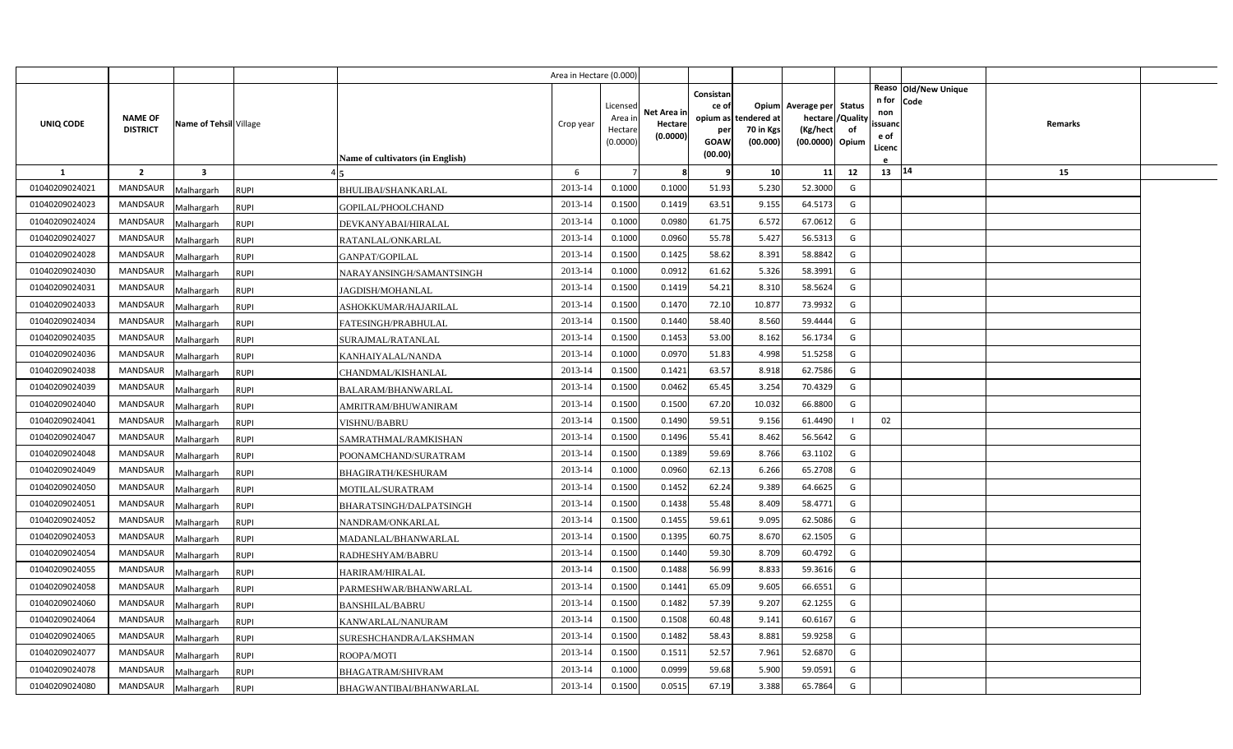|                |                                   |                         |                                          | Area in Hectare (0.000 |                    |             |                 |                          |                               |    |                   |                      |         |  |
|----------------|-----------------------------------|-------------------------|------------------------------------------|------------------------|--------------------|-------------|-----------------|--------------------------|-------------------------------|----|-------------------|----------------------|---------|--|
|                |                                   |                         |                                          |                        |                    |             | Consistan       |                          |                               |    |                   | Reaso Old/New Unique |         |  |
|                |                                   |                         |                                          |                        | Licensed           | Net Area in | ce of           |                          | Opium Average per Status      |    | n for Code<br>non |                      |         |  |
| UNIQ CODE      | <b>NAME OF</b><br><b>DISTRICT</b> | Name of Tehsil Village  |                                          | Crop year              | Area in<br>Hectare | Hectare     | opium as<br>per | tendered at<br>70 in Kgs | hectare / Quality<br>(Kg/hect | of | ssuand            |                      | Remarks |  |
|                |                                   |                         |                                          |                        | (0.0000)           | (0.0000)    | <b>GOAW</b>     | (00.000)                 | (00.0000) Opium               |    | e of              |                      |         |  |
|                |                                   |                         | <b>Name of cultivators (in English)</b>  |                        |                    |             | (00.00)         |                          |                               |    | Licenc            |                      |         |  |
| $\mathbf{1}$   | $\overline{2}$                    | $\overline{\mathbf{3}}$ |                                          | 6                      |                    | -8          | q               | 10 <sup>1</sup>          | 11                            | 12 | 13   14           |                      | 15      |  |
| 01040209024021 | <b>MANDSAUR</b>                   | Malhargarh              | <b>RUPI</b><br>BHULIBAI/SHANKARLAL       | 2013-14                | 0.1000             | 0.1000      | 51.93           | 5.230                    | 52.3000                       | G  |                   |                      |         |  |
| 01040209024023 | MANDSAUR                          | Malhargarh              | <b>RUPI</b><br>GOPILAL/PHOOLCHAND        | 2013-14                | 0.1500             | 0.1419      | 63.51           | 9.155                    | 64.5173                       | G  |                   |                      |         |  |
| 01040209024024 | <b>MANDSAUR</b>                   | Malhargarh              | <b>RUPI</b><br>DEVKANYABAI/HIRALAL       | 2013-14                | 0.1000             | 0.0980      | 61.75           | 6.572                    | 67.0612                       | G  |                   |                      |         |  |
| 01040209024027 | <b>MANDSAUR</b>                   | Malhargarh              | <b>RUPI</b><br>RATANLAL/ONKARLAL         | 2013-14                | 0.1000             | 0.0960      | 55.78           | 5.427                    | 56.5313                       | G  |                   |                      |         |  |
| 01040209024028 | <b>MANDSAUR</b>                   | Malhargarh              | <b>RUPI</b><br>GANPAT/GOPILAL            | 2013-14                | 0.1500             | 0.1425      | 58.62           | 8.391                    | 58.8842                       | G  |                   |                      |         |  |
| 01040209024030 | <b>MANDSAUR</b>                   | Malhargarh              | <b>RUPI</b><br>NARAYANSINGH/SAMANTSINGH  | 2013-14                | 0.1000             | 0.0912      | 61.62           | 5.326                    | 58.3991                       | G  |                   |                      |         |  |
| 01040209024031 | <b>MANDSAUR</b>                   | Malhargarh              | <b>RUPI</b><br>JAGDISH/MOHANLAL          | 2013-14                | 0.1500             | 0.1419      | 54.21           | 8.310                    | 58.5624                       | G  |                   |                      |         |  |
| 01040209024033 | MANDSAUR                          | Malhargarh              | <b>RUPI</b><br>ASHOKKUMAR/HAJARILAL      | 2013-14                | 0.1500             | 0.1470      | 72.10           | 10.877                   | 73.9932                       | G  |                   |                      |         |  |
| 01040209024034 | MANDSAUR                          | Malhargarh              | <b>RUPI</b><br>FATESINGH/PRABHULAL       | 2013-14                | 0.1500             | 0.1440      | 58.40           | 8.560                    | 59.4444                       | G  |                   |                      |         |  |
| 01040209024035 | <b>MANDSAUR</b>                   | Malhargarh              | <b>RUPI</b><br>SURAJMAL/RATANLAL         | 2013-14                | 0.1500             | 0.1453      | 53.00           | 8.162                    | 56.1734                       | G  |                   |                      |         |  |
| 01040209024036 | MANDSAUR                          | Malhargarh              | <b>RUPI</b><br>KANHAIYALAL/NANDA         | 2013-14                | 0.1000             | 0.0970      | 51.83           | 4.998                    | 51.5258                       | G  |                   |                      |         |  |
| 01040209024038 | <b>MANDSAUR</b>                   | Malhargarh              | CHANDMAL/KISHANLAL<br><b>RUPI</b>        | 2013-14                | 0.1500             | 0.1421      | 63.57           | 8.918                    | 62.7586                       | G  |                   |                      |         |  |
| 01040209024039 | <b>MANDSAUR</b>                   | Malhargarh              | <b>RUPI</b><br>BALARAM/BHANWARLAL        | 2013-14                | 0.1500             | 0.0462      | 65.45           | 3.254                    | 70.4329                       | G  |                   |                      |         |  |
| 01040209024040 | <b>MANDSAUR</b>                   | Malhargarh              | <b>RUPI</b><br>AMRITRAM/BHUWANIRAM       | 2013-14                | 0.1500             | 0.1500      | 67.20           | 10.032                   | 66.8800                       | G  |                   |                      |         |  |
| 01040209024041 | <b>MANDSAUR</b>                   | Malhargarh              | <b>RUPI</b><br><b>VISHNU/BABRU</b>       | 2013-14                | 0.1500             | 0.1490      | 59.51           | 9.156                    | 61.4490                       |    | 02                |                      |         |  |
| 01040209024047 | <b>MANDSAUR</b>                   | Malhargarh              | <b>RUPI</b><br>SAMRATHMAL/RAMKISHAN      | 2013-14                | 0.1500             | 0.1496      | 55.41           | 8.462                    | 56.5642                       | G  |                   |                      |         |  |
| 01040209024048 | <b>MANDSAUR</b>                   | Malhargarh              | <b>RUPI</b><br>POONAMCHAND/SURATRAM      | 2013-14                | 0.1500             | 0.1389      | 59.69           | 8.766                    | 63.1102                       | G  |                   |                      |         |  |
| 01040209024049 | MANDSAUR                          | Malhargarh              | <b>RUPI</b><br><b>BHAGIRATH/KESHURAM</b> | 2013-14                | 0.1000             | 0.0960      | 62.13           | 6.266                    | 65.2708                       | G  |                   |                      |         |  |
| 01040209024050 | <b>MANDSAUR</b>                   | <b>Malhargarh</b>       | <b>RUPI</b><br>MOTILAL/SURATRAM          | 2013-14                | 0.1500             | 0.1452      | 62.24           | 9.389                    | 64.6625                       | G  |                   |                      |         |  |
| 01040209024051 | <b>MANDSAUR</b>                   | Malhargarh              | <b>RUPI</b><br>BHARATSINGH/DALPATSINGH   | 2013-14                | 0.1500             | 0.1438      | 55.48           | 8.409                    | 58.4771                       | G  |                   |                      |         |  |
| 01040209024052 | <b>MANDSAUR</b>                   | Malhargarh              | <b>RUPI</b><br>NANDRAM/ONKARLAL          | 2013-14                | 0.1500             | 0.1455      | 59.61           | 9.095                    | 62.5086                       | G  |                   |                      |         |  |
| 01040209024053 | <b>MANDSAUR</b>                   | Malhargarh              | <b>RUPI</b><br>MADANLAL/BHANWARLAL       | 2013-14                | 0.1500             | 0.1395      | 60.75           | 8.670                    | 62.1505                       | G  |                   |                      |         |  |
| 01040209024054 | <b>MANDSAUR</b>                   | Malhargarh              | <b>RUPI</b><br>RADHESHYAM/BABRU          | 2013-14                | 0.1500             | 0.1440      | 59.30           | 8.709                    | 60.4792                       | G  |                   |                      |         |  |
| 01040209024055 | <b>MANDSAUR</b>                   | Malhargarh              | <b>RUPI</b><br>HARIRAM/HIRALAL           | 2013-14                | 0.1500             | 0.1488      | 56.99           | 8.833                    | 59.3616                       | G  |                   |                      |         |  |
| 01040209024058 | <b>MANDSAUR</b>                   | Malhargarh              | <b>RUPI</b><br>PARMESHWAR/BHANWARLAL     | 2013-14                | 0.1500             | 0.1441      | 65.09           | 9.605                    | 66.6551                       | G  |                   |                      |         |  |
| 01040209024060 | <b>MANDSAUR</b>                   | Malhargarh              | <b>RUPI</b><br>BANSHILAL/BABRU           | 2013-14                | 0.1500             | 0.1482      | 57.39           | 9.207                    | 62.1255                       | G  |                   |                      |         |  |
| 01040209024064 | <b>MANDSAUR</b>                   | Malhargarh              | <b>RUPI</b><br>KANWARLAL/NANURAM         | 2013-14                | 0.1500             | 0.1508      | 60.48           | 9.141                    | 60.6167                       | G  |                   |                      |         |  |
| 01040209024065 | <b>MANDSAUR</b>                   | Malhargarh              | <b>RUPI</b><br>SURESHCHANDRA/LAKSHMAN    | 2013-14                | 0.1500             | 0.1482      | 58.43           | 8.881                    | 59.9258                       | G  |                   |                      |         |  |
| 01040209024077 | <b>MANDSAUR</b>                   | Malhargarh              | <b>RUPI</b><br>ROOPA/MOTI                | 2013-14                | 0.1500             | 0.1511      | 52.57           | 7.961                    | 52.6870                       | G  |                   |                      |         |  |
| 01040209024078 | <b>MANDSAUR</b>                   | Malhargarh              | <b>RUPI</b><br>BHAGATRAM/SHIVRAM         | 2013-14                | 0.1000             | 0.0999      | 59.68           | 5.900                    | 59.0591                       | G  |                   |                      |         |  |
| 01040209024080 | <b>MANDSAUR</b>                   | Malhargarh              | <b>RUPI</b><br>BHAGWANTIBAI/BHANWARLAL   | 2013-14                | 0.1500             | 0.0515      | 67.19           | 3.388                    | 65.7864                       | G  |                   |                      |         |  |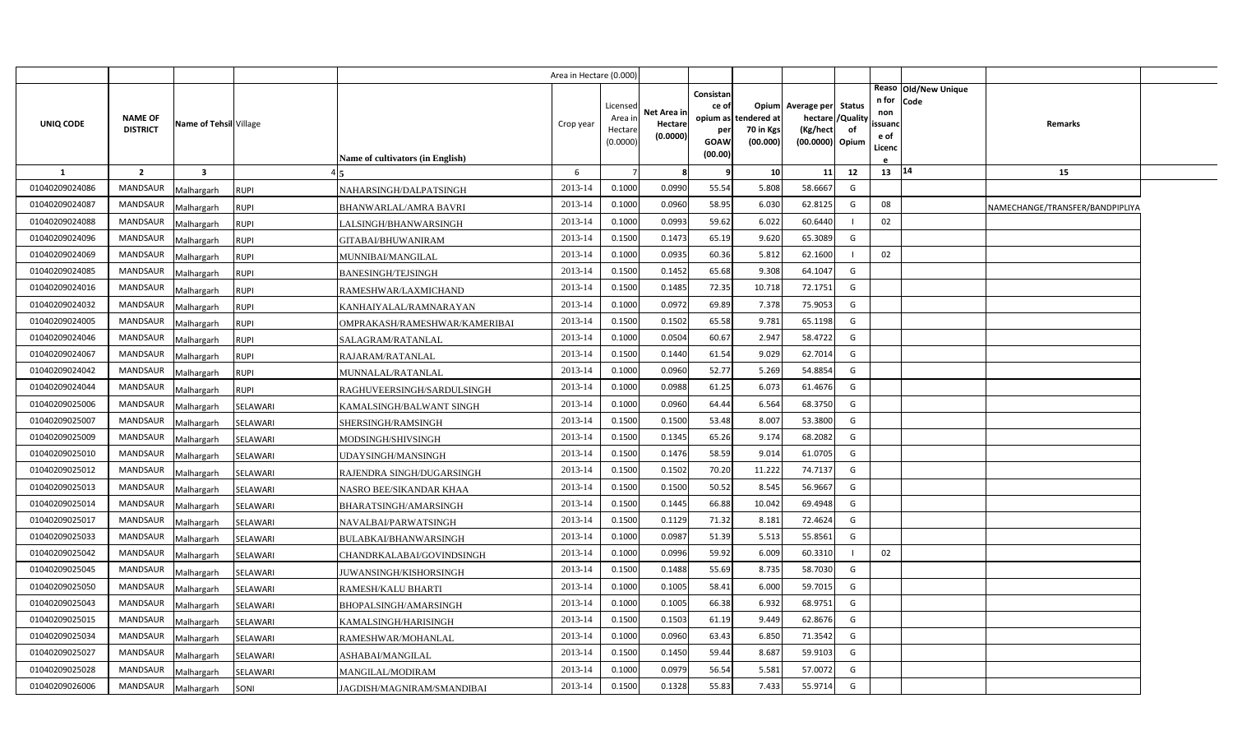|                |                                   |                         |             |                                         | Area in Hectare (0.000 |                                            |                                    |                                                          |                                      |                                                                              |    |                                           |                              |                                 |  |
|----------------|-----------------------------------|-------------------------|-------------|-----------------------------------------|------------------------|--------------------------------------------|------------------------------------|----------------------------------------------------------|--------------------------------------|------------------------------------------------------------------------------|----|-------------------------------------------|------------------------------|---------------------------------|--|
| UNIQ CODE      | <b>NAME OF</b><br><b>DISTRICT</b> | Name of Tehsil Village  |             | <b>Name of cultivators (in English)</b> | Crop year              | Licensed<br>Area in<br>Hectare<br>(0.0000) | Net Area in<br>Hectare<br>(0.0000) | Consistan<br>ce of<br>opium as<br>per<br>GOAW<br>(00.00) | tendered at<br>70 in Kgs<br>(00.000) | Opium Average per Status<br>hectare / Quality<br>(Kg/hect<br>(00.0000) Opium | of | n for<br>non<br>issuanc<br>e of<br>Licenc | Reaso Old/New Unique<br>Code | Remarks                         |  |
| <sup>1</sup>   | $\overline{2}$                    | $\overline{\mathbf{3}}$ |             |                                         | 6                      |                                            |                                    |                                                          | 10 <sup>1</sup>                      | 11                                                                           | 12 | 13                                        | 14                           | 15                              |  |
| 01040209024086 | <b>MANDSAUR</b>                   | Malhargarh              | RUPI        | NAHARSINGH/DALPATSINGH                  | 2013-14                | 0.1000                                     | 0.0990                             | 55.54                                                    | 5.808                                | 58.6667                                                                      | G  |                                           |                              |                                 |  |
| 01040209024087 | MANDSAUR                          | Malhargarh              | RUPI        | BHANWARLAL/AMRA BAVRI                   | 2013-14                | 0.1000                                     | 0.0960                             | 58.95                                                    | 6.030                                | 62.8125                                                                      | G  | 08                                        |                              | NAMECHANGE/TRANSFER/BANDPIPLIYA |  |
| 01040209024088 | MANDSAUR                          | Malhargarh              | <b>RUPI</b> | LALSINGH/BHANWARSINGH                   | 2013-14                | 0.1000                                     | 0.0993                             | 59.62                                                    | 6.022                                | 60.6440                                                                      |    | 02                                        |                              |                                 |  |
| 01040209024096 | MANDSAUR                          | Malhargarh              | <b>RUPI</b> | GITABAI/BHUWANIRAM                      | 2013-14                | 0.1500                                     | 0.1473                             | 65.19                                                    | 9.620                                | 65.3089                                                                      | G  |                                           |                              |                                 |  |
| 01040209024069 | MANDSAUR                          | Malhargarh              | <b>RUPI</b> | MUNNIBAI/MANGILAL                       | 2013-14                | 0.1000                                     | 0.0935                             | 60.36                                                    | 5.812                                | 62.1600                                                                      |    | 02                                        |                              |                                 |  |
| 01040209024085 | MANDSAUR                          | Malhargarh              | RUPI        | <b>BANESINGH/TEJSINGH</b>               | 2013-14                | 0.1500                                     | 0.1452                             | 65.68                                                    | 9.308                                | 64.1047                                                                      | G  |                                           |                              |                                 |  |
| 01040209024016 | MANDSAUR                          | Malhargarh              | <b>RUPI</b> | RAMESHWAR/LAXMICHAND                    | 2013-14                | 0.1500                                     | 0.1485                             | 72.35                                                    | 10.718                               | 72.1751                                                                      | G  |                                           |                              |                                 |  |
| 01040209024032 | MANDSAUR                          | Malhargarh              | <b>RUPI</b> | KANHAIYALAL/RAMNARAYAN                  | 2013-14                | 0.1000                                     | 0.0972                             | 69.89                                                    | 7.378                                | 75.9053                                                                      | G  |                                           |                              |                                 |  |
| 01040209024005 | <b>MANDSAUR</b>                   | Malhargarh              | <b>RUPI</b> | OMPRAKASH/RAMESHWAR/KAMERIBAI           | 2013-14                | 0.1500                                     | 0.1502                             | 65.58                                                    | 9.781                                | 65.1198                                                                      | G  |                                           |                              |                                 |  |
| 01040209024046 | <b>MANDSAUR</b>                   | Malhargarh              | <b>RUPI</b> | SALAGRAM/RATANLAL                       | 2013-14                | 0.1000                                     | 0.0504                             | 60.67                                                    | 2.947                                | 58.4722                                                                      | G  |                                           |                              |                                 |  |
| 01040209024067 | <b>MANDSAUR</b>                   | Malhargarh              | <b>RUPI</b> | RAJARAM/RATANLAL                        | 2013-14                | 0.1500                                     | 0.1440                             | 61.54                                                    | 9.029                                | 62.7014                                                                      | G  |                                           |                              |                                 |  |
| 01040209024042 | MANDSAUR                          | Malhargarh              | <b>RUPI</b> | MUNNALAL/RATANLAL                       | 2013-14                | 0.1000                                     | 0.0960                             | 52.77                                                    | 5.269                                | 54.8854                                                                      | G  |                                           |                              |                                 |  |
| 01040209024044 | <b>MANDSAUR</b>                   | Malhargarh              | RUPI        | RAGHUVEERSINGH/SARDULSINGH              | 2013-14                | 0.1000                                     | 0.0988                             | 61.25                                                    | 6.073                                | 61.4676                                                                      | G  |                                           |                              |                                 |  |
| 01040209025006 | <b>MANDSAUR</b>                   | Malhargarh              | SELAWARI    | KAMALSINGH/BALWANT SINGH                | 2013-14                | 0.1000                                     | 0.0960                             | 64.44                                                    | 6.564                                | 68.3750                                                                      | G  |                                           |                              |                                 |  |
| 01040209025007 | <b>MANDSAUR</b>                   | Malhargarh              | SELAWARI    | SHERSINGH/RAMSINGH                      | 2013-14                | 0.1500                                     | 0.1500                             | 53.48                                                    | 8.007                                | 53.3800                                                                      | G  |                                           |                              |                                 |  |
| 01040209025009 | MANDSAUR                          | Malhargarh              | SELAWARI    | MODSINGH/SHIVSINGH                      | 2013-14                | 0.1500                                     | 0.1345                             | 65.26                                                    | 9.174                                | 68.2082                                                                      | G  |                                           |                              |                                 |  |
| 01040209025010 | <b>MANDSAUR</b>                   | Malhargarh              | SELAWARI    | JDAYSINGH/MANSINGH                      | 2013-14                | 0.1500                                     | 0.1476                             | 58.59                                                    | 9.014                                | 61.0705                                                                      | G  |                                           |                              |                                 |  |
| 01040209025012 | <b>MANDSAUR</b>                   | Malhargarh              | SELAWARI    | RAJENDRA SINGH/DUGARSINGH               | 2013-14                | 0.1500                                     | 0.1502                             | 70.20                                                    | 11.222                               | 74.7137                                                                      | G  |                                           |                              |                                 |  |
| 01040209025013 | <b>MANDSAUR</b>                   | Malhargarh              | SELAWARI    | NASRO BEE/SIKANDAR KHAA                 | 2013-14                | 0.1500                                     | 0.1500                             | 50.52                                                    | 8.545                                | 56.9667                                                                      | G  |                                           |                              |                                 |  |
| 01040209025014 | MANDSAUR                          | Malhargarh              | SELAWARI    | BHARATSINGH/AMARSINGH                   | 2013-14                | 0.1500                                     | 0.1445                             | 66.88                                                    | 10.042                               | 69.4948                                                                      | G  |                                           |                              |                                 |  |
| 01040209025017 | <b>MANDSAUR</b>                   | Malhargarh              | SELAWARI    | NAVALBAI/PARWATSINGH                    | 2013-14                | 0.1500                                     | 0.1129                             | 71.32                                                    | 8.181                                | 72.4624                                                                      | G  |                                           |                              |                                 |  |
| 01040209025033 | <b>MANDSAUR</b>                   | Malhargarh              | SELAWARI    | BULABKAI/BHANWARSINGH                   | 2013-14                | 0.1000                                     | 0.0987                             | 51.39                                                    | 5.513                                | 55.8561                                                                      | G  |                                           |                              |                                 |  |
| 01040209025042 | <b>MANDSAUR</b>                   | Malhargarh              | SELAWARI    | CHANDRKALABAI/GOVINDSINGH               | 2013-14                | 0.1000                                     | 0.0996                             | 59.92                                                    | 6.009                                | 60.3310                                                                      |    | 02                                        |                              |                                 |  |
| 01040209025045 | <b>MANDSAUR</b>                   | Malhargarh              | SELAWARI    | JUWANSINGH/KISHORSINGH                  | 2013-14                | 0.1500                                     | 0.1488                             | 55.69                                                    | 8.735                                | 58.7030                                                                      | G  |                                           |                              |                                 |  |
| 01040209025050 | <b>MANDSAUR</b>                   | Malhargarh              | SELAWARI    | RAMESH/KALU BHARTI                      | 2013-14                | 0.1000                                     | 0.1005                             | 58.41                                                    | 6.000                                | 59.7015                                                                      | G  |                                           |                              |                                 |  |
| 01040209025043 | MANDSAUR                          | Malhargarh              | SELAWARI    | BHOPALSINGH/AMARSINGH                   | 2013-14                | 0.1000                                     | 0.1005                             | 66.38                                                    | 6.932                                | 68.9751                                                                      | G  |                                           |                              |                                 |  |
| 01040209025015 | MANDSAUR                          | Malhargarh              | SELAWARI    | KAMALSINGH/HARISINGH                    | 2013-14                | 0.1500                                     | 0.1503                             | 61.19                                                    | 9.449                                | 62.8676                                                                      | G  |                                           |                              |                                 |  |
| 01040209025034 | MANDSAUR                          | Malhargarh              | SELAWARI    | RAMESHWAR/MOHANLAL                      | 2013-14                | 0.1000                                     | 0.0960                             | 63.43                                                    | 6.850                                | 71.3542                                                                      | G  |                                           |                              |                                 |  |
| 01040209025027 | MANDSAUR                          | Malhargarh              | SELAWARI    | ASHABAI/MANGILAL                        | 2013-14                | 0.1500                                     | 0.1450                             | 59.44                                                    | 8.687                                | 59.9103                                                                      | G  |                                           |                              |                                 |  |
| 01040209025028 | MANDSAUR                          | Malhargarh              | SELAWARI    | <b>MANGILAL/MODIRAM</b>                 | 2013-14                | 0.1000                                     | 0.0979                             | 56.54                                                    | 5.581                                | 57.0072                                                                      | G  |                                           |                              |                                 |  |
| 01040209026006 | MANDSAUR                          | Malhargarh              | SONI        | JAGDISH/MAGNIRAM/SMANDIBAI              | 2013-14                | 0.1500                                     | 0.1328                             | 55.83                                                    | 7.433                                | 55.9714                                                                      | G  |                                           |                              |                                 |  |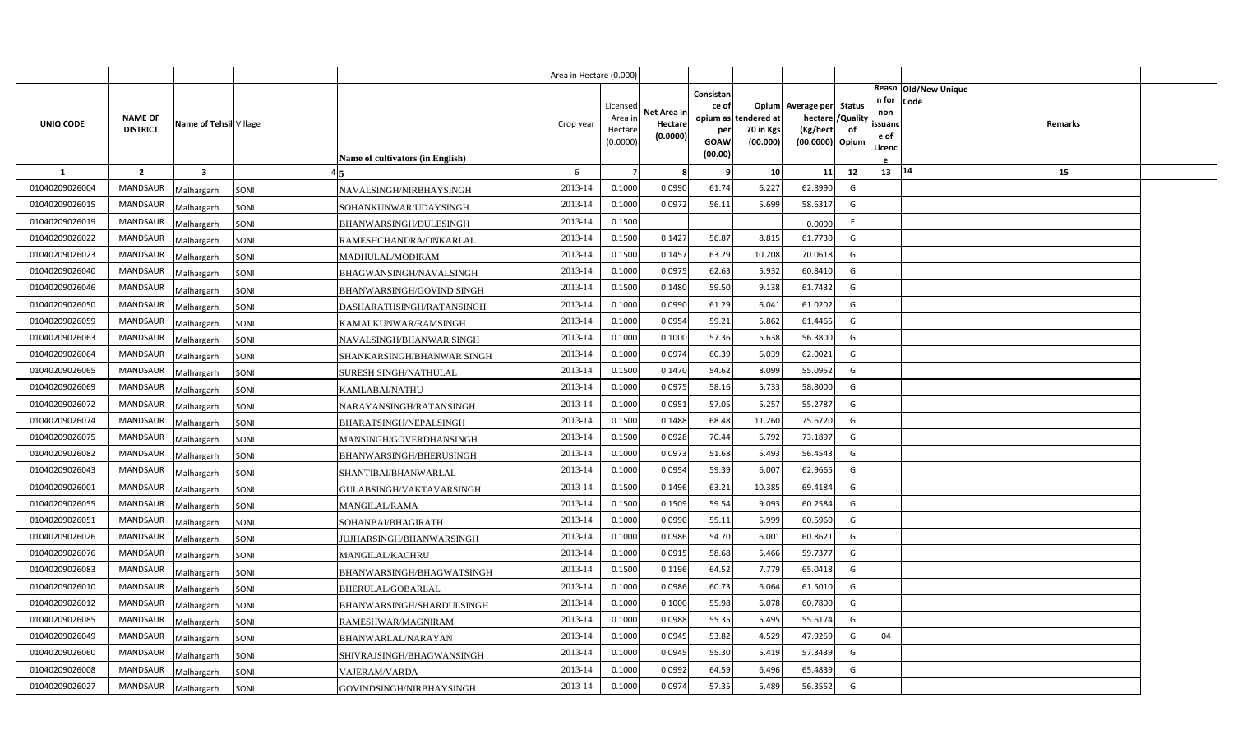|                |                                   |                         |                                         | Area in Hectare (0.000) |                                            |                                    |                                              |                                               |                                                                       |                     |                                          |                                |                |  |
|----------------|-----------------------------------|-------------------------|-----------------------------------------|-------------------------|--------------------------------------------|------------------------------------|----------------------------------------------|-----------------------------------------------|-----------------------------------------------------------------------|---------------------|------------------------------------------|--------------------------------|----------------|--|
| UNIQ CODE      | <b>NAME OF</b><br><b>DISTRICT</b> | Name of Tehsil Village  | <b>Name of cultivators (in English)</b> | Crop year               | Licensed<br>Area in<br>Hectare<br>(0.0000) | Net Area in<br>Hectare<br>(0.0000) | Consistan<br>ce of<br>per<br>GOAW<br>(00.00) | opium as tendered at<br>70 in Kgs<br>(00.000) | Opium Average per<br>hectare / Quality<br>(Kg/hect<br>(00.0000) Opium | <b>Status</b><br>of | n for<br>non<br>ssuand<br>e of<br>Licenc | Reaso   Old/New Unique<br>Code | <b>Remarks</b> |  |
| $\mathbf{1}$   | $\overline{2}$                    | $\overline{\mathbf{3}}$ |                                         | 6                       |                                            | 8                                  | q                                            | 10                                            | 11                                                                    | 12                  | 13   14                                  |                                | 15             |  |
| 01040209026004 | <b>MANDSAUR</b>                   | Malhargarh<br>SONI      | NAVALSINGH/NIRBHAYSINGH                 | 2013-14                 | 0.1000                                     | 0.0990                             | 61.74                                        | 6.227                                         | 62.8990                                                               | G                   |                                          |                                |                |  |
| 01040209026015 | <b>MANDSAUR</b>                   | SONI<br>Malhargarh      | SOHANKUNWAR/UDAYSINGH                   | 2013-14                 | 0.1000                                     | 0.0972                             | 56.11                                        | 5.699                                         | 58.6317                                                               | G                   |                                          |                                |                |  |
| 01040209026019 | <b>MANDSAUR</b>                   | Malhargarh<br>SONI      | BHANWARSINGH/DULESINGH                  | 2013-14                 | 0.1500                                     |                                    |                                              |                                               | 0.0000                                                                | F.                  |                                          |                                |                |  |
| 01040209026022 | <b>MANDSAUR</b>                   | Malhargarh<br>SONI      | RAMESHCHANDRA/ONKARLAL                  | 2013-14                 | 0.1500                                     | 0.1427                             | 56.87                                        | 8.81                                          | 61.7730                                                               | G                   |                                          |                                |                |  |
| 01040209026023 | <b>MANDSAUR</b>                   | Malhargarh<br>SONI      | MADHULAL/MODIRAM                        | 2013-14                 | 0.1500                                     | 0.1457                             | 63.29                                        | 10.208                                        | 70.0618                                                               | G                   |                                          |                                |                |  |
| 01040209026040 | <b>MANDSAUR</b>                   | Malhargarh<br>SONI      | BHAGWANSINGH/NAVALSINGH                 | 2013-14                 | 0.1000                                     | 0.0975                             | 62.63                                        | 5.932                                         | 60.8410                                                               | G                   |                                          |                                |                |  |
| 01040209026046 | <b>MANDSAUR</b>                   | Malhargarh<br>SONI      | BHANWARSINGH/GOVIND SINGH               | 2013-14                 | 0.1500                                     | 0.1480                             | 59.50                                        | 9.138                                         | 61.7432                                                               | G                   |                                          |                                |                |  |
| 01040209026050 | <b>MANDSAUR</b>                   | Malhargarh<br>SONI      | DASHARATHSINGH/RATANSINGH               | 2013-14                 | 0.1000                                     | 0.0990                             | 61.29                                        | 6.041                                         | 61.0202                                                               | G                   |                                          |                                |                |  |
| 01040209026059 | MANDSAUR                          | Malhargarh<br>SONI      | KAMALKUNWAR/RAMSINGH                    | 2013-14                 | 0.1000                                     | 0.0954                             | 59.21                                        | 5.862                                         | 61.4465                                                               | G                   |                                          |                                |                |  |
| 01040209026063 | MANDSAUR                          | Malhargarh<br>SONI      | NAVALSINGH/BHANWAR SINGH                | 2013-14                 | 0.1000                                     | 0.1000                             | 57.36                                        | 5.638                                         | 56.3800                                                               | G                   |                                          |                                |                |  |
| 01040209026064 | <b>MANDSAUR</b>                   | Malhargarh<br>SONI      | SHANKARSINGH/BHANWAR SINGH              | 2013-14                 | 0.1000                                     | 0.0974                             | 60.39                                        | 6.039                                         | 62.0021                                                               | G                   |                                          |                                |                |  |
| 01040209026065 | <b>MANDSAUR</b>                   | Malhargarh<br>SONI      | SURESH SINGH/NATHULAL                   | 2013-14                 | 0.1500                                     | 0.1470                             | 54.62                                        | 8.099                                         | 55.0952                                                               | G                   |                                          |                                |                |  |
| 01040209026069 | <b>MANDSAUR</b>                   | Malhargarh<br>SONI      | KAMLABAI/NATHU                          | 2013-14                 | 0.1000                                     | 0.0975                             | 58.16                                        | 5.733                                         | 58.8000                                                               | G                   |                                          |                                |                |  |
| 01040209026072 | <b>MANDSAUR</b>                   | Malhargarh<br>SONI      | NARAYANSINGH/RATANSINGH                 | 2013-14                 | 0.1000                                     | 0.0951                             | 57.05                                        | 5.257                                         | 55.2787                                                               | G                   |                                          |                                |                |  |
| 01040209026074 | <b>MANDSAUR</b>                   | Malhargarh<br>SONI      | <b>BHARATSINGH/NEPALSINGH</b>           | 2013-14                 | 0.1500                                     | 0.1488                             | 68.48                                        | 11.260                                        | 75.6720                                                               | G                   |                                          |                                |                |  |
| 01040209026075 | <b>MANDSAUR</b>                   | SONI<br>Malhargarh      | MANSINGH/GOVERDHANSINGH                 | 2013-14                 | 0.1500                                     | 0.0928                             | 70.44                                        | 6.792                                         | 73.1897                                                               | G                   |                                          |                                |                |  |
| 01040209026082 | <b>MANDSAUR</b>                   | Malhargarh<br>SONI      | <b>BHANWARSINGH/BHERUSINGH</b>          | 2013-14                 | 0.1000                                     | 0.0973                             | 51.68                                        | 5.493                                         | 56.4543                                                               | G                   |                                          |                                |                |  |
| 01040209026043 | <b>MANDSAUR</b>                   | Malhargarh<br>SONI      | SHANTIBAI/BHANWARLAL                    | 2013-14                 | 0.1000                                     | 0.0954                             | 59.39                                        | 6.007                                         | 62.9665                                                               | G                   |                                          |                                |                |  |
| 01040209026001 | <b>MANDSAUR</b>                   | Malhargarh<br>SONI      | GULABSINGH/VAKTAVARSINGH                | 2013-14                 | 0.1500                                     | 0.1496                             | 63.21                                        | 10.385                                        | 69.4184                                                               | G                   |                                          |                                |                |  |
| 01040209026055 | <b>MANDSAUR</b>                   | SONI<br>Malhargarh      | MANGILAL/RAMA                           | 2013-14                 | 0.1500                                     | 0.1509                             | 59.54                                        | 9.093                                         | 60.2584                                                               | G                   |                                          |                                |                |  |
| 01040209026051 | MANDSAUR                          | Malhargarh<br>SONI      | SOHANBAI/BHAGIRATH                      | 2013-14                 | 0.1000                                     | 0.0990                             | 55.11                                        | 5.999                                         | 60.5960                                                               | G                   |                                          |                                |                |  |
| 01040209026026 | <b>MANDSAUR</b>                   | Malhargarh<br>SONI      | JUJHARSINGH/BHANWARSINGH                | 2013-14                 | 0.1000                                     | 0.0986                             | 54.70                                        | 6.001                                         | 60.8621                                                               | G                   |                                          |                                |                |  |
| 01040209026076 | <b>MANDSAUR</b>                   | Malhargarh<br>SONI      | MANGILAL/KACHRU                         | 2013-14                 | 0.1000                                     | 0.0915                             | 58.68                                        | 5.466                                         | 59.7377                                                               | G                   |                                          |                                |                |  |
| 01040209026083 | <b>MANDSAUR</b>                   | Malhargarh<br>SONI      | BHANWARSINGH/BHAGWATSINGH               | 2013-14                 | 0.1500                                     | 0.1196                             | 64.52                                        | 7.779                                         | 65.0418                                                               | G                   |                                          |                                |                |  |
| 01040209026010 | MANDSAUR                          | Malhargarh<br>SONI      | <b>BHERULAL/GOBARLAL</b>                | 2013-14                 | 0.1000                                     | 0.0986                             | 60.73                                        | 6.064                                         | 61.5010                                                               | G                   |                                          |                                |                |  |
| 01040209026012 | <b>MANDSAUR</b>                   | Malhargarh<br>SONI      | BHANWARSINGH/SHARDULSINGH               | 2013-14                 | 0.1000                                     | 0.1000                             | 55.98                                        | 6.078                                         | 60.7800                                                               | G                   |                                          |                                |                |  |
| 01040209026085 | <b>MANDSAUR</b>                   | Malhargarh<br>SONI      | RAMESHWAR/MAGNIRAM                      | 2013-14                 | 0.1000                                     | 0.0988                             | 55.35                                        | 5.495                                         | 55.6174                                                               | G                   |                                          |                                |                |  |
| 01040209026049 | <b>MANDSAUR</b>                   | SONI<br>Malhargarh      | BHANWARLAL/NARAYAN                      | 2013-14                 | 0.1000                                     | 0.0945                             | 53.82                                        | 4.529                                         | 47.9259                                                               | G                   | 04                                       |                                |                |  |
| 01040209026060 | <b>MANDSAUR</b>                   | Malhargarh<br>SONI      | SHIVRAJSINGH/BHAGWANSINGH               | 2013-14                 | 0.1000                                     | 0.0945                             | 55.30                                        | 5.419                                         | 57.3439                                                               | G                   |                                          |                                |                |  |
| 01040209026008 | <b>MANDSAUR</b>                   | SONI<br>Malhargarh      | <b>VAJERAM/VARDA</b>                    | 2013-14                 | 0.1000                                     | 0.0992                             | 64.59                                        | 6.496                                         | 65.4839                                                               | G                   |                                          |                                |                |  |
| 01040209026027 | <b>MANDSAUR</b>                   | Malhargarh<br>SONI      | GOVINDSINGH/NIRBHAYSINGH                | 2013-14                 | 0.1000                                     | 0.0974                             | 57.35                                        | 5.489                                         | 56.3552                                                               | G                   |                                          |                                |                |  |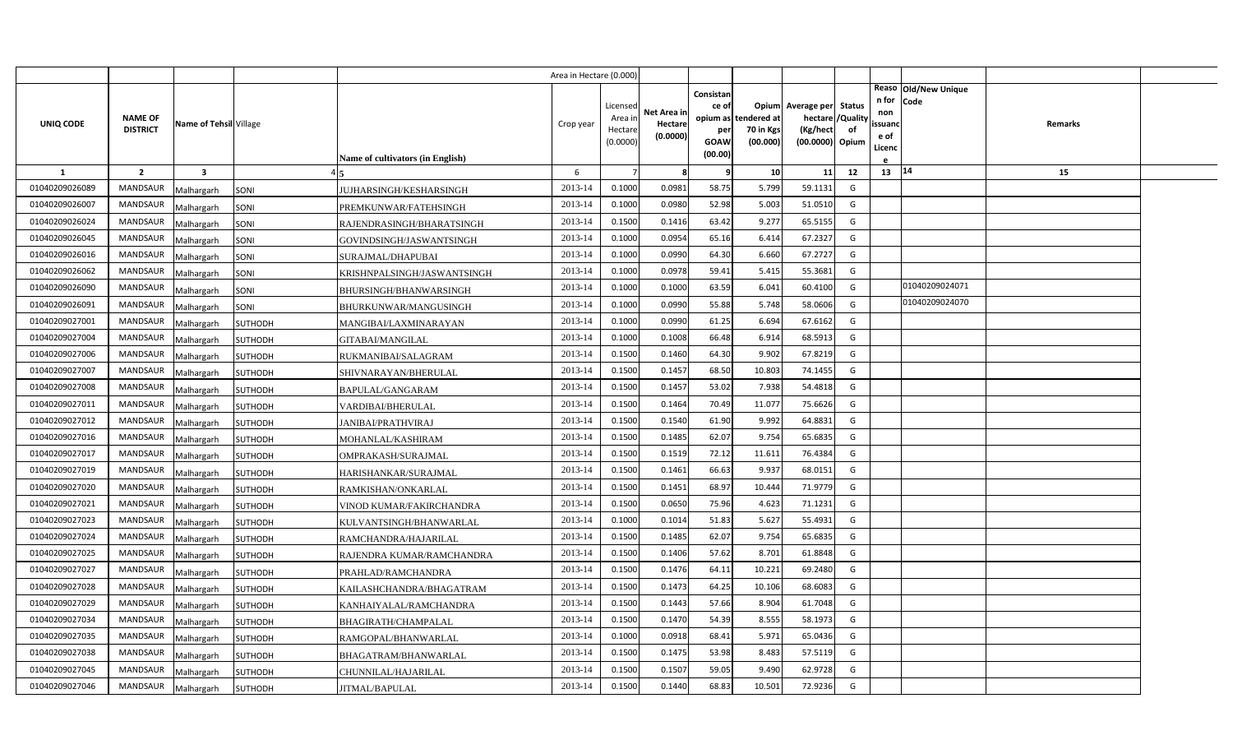|                |                                   |                         |                                             | Area in Hectare (0.000) |                                            |                                    |                                                     |                                               |                                                                    |                |                                          |                              |         |  |
|----------------|-----------------------------------|-------------------------|---------------------------------------------|-------------------------|--------------------------------------------|------------------------------------|-----------------------------------------------------|-----------------------------------------------|--------------------------------------------------------------------|----------------|------------------------------------------|------------------------------|---------|--|
| UNIQ CODE      | <b>NAME OF</b><br><b>DISTRICT</b> | Name of Tehsil Village  | Name of cultivators (in English)            | Crop year               | Licensed<br>Area in<br>Hectare<br>(0.0000) | Net Area in<br>Hectare<br>(0.0000) | Consistan<br>ce of<br>per<br><b>GOAW</b><br>(00.00) | opium as tendered at<br>70 in Kgs<br>(00.000) | Opium Average per Status<br>hectare<br>(Kg/hect<br>(00.0000) Opium | /Quality<br>of | n for<br>non<br>ssuand<br>e of<br>Licenc | Reaso Old/New Unique<br>Code | Remarks |  |
| 1              | $\overline{2}$                    | $\overline{\mathbf{3}}$ |                                             | 6                       |                                            | -8                                 | q                                                   | 10                                            | 11                                                                 | 12             | 13 14                                    |                              | 15      |  |
| 01040209026089 | <b>MANDSAUR</b>                   | Malhargarh              | JUJHARSINGH/KESHARSINGH<br>SONI             | 2013-14                 | 0.1000                                     | 0.0981                             | 58.75                                               | 5.799                                         | 59.1131                                                            | G              |                                          |                              |         |  |
| 01040209026007 | <b>MANDSAUR</b>                   | Malhargarh              | SONI<br>PREMKUNWAR/FATEHSINGH               | 2013-14                 | 0.1000                                     | 0.0980                             | 52.98                                               | 5.003                                         | 51.0510                                                            | G              |                                          |                              |         |  |
| 01040209026024 | <b>MANDSAUR</b>                   | Malhargarh              | SONI<br>RAJENDRASINGH/BHARATSINGH           | 2013-14                 | 0.1500                                     | 0.1416                             | 63.42                                               | 9.277                                         | 65.5155                                                            | G              |                                          |                              |         |  |
| 01040209026045 | <b>MANDSAUR</b>                   | Malhargarh              | SONI<br>GOVINDSINGH/JASWANTSINGH            | 2013-14                 | 0.1000                                     | 0.0954                             | 65.16                                               | 6.414                                         | 67.2327                                                            | G              |                                          |                              |         |  |
| 01040209026016 | <b>MANDSAUR</b>                   | Malhargarh              | SONI<br>SURAJMAL/DHAPUBAI                   | 2013-14                 | 0.1000                                     | 0.0990                             | 64.30                                               | 6.660                                         | 67.2727                                                            | G              |                                          |                              |         |  |
| 01040209026062 | <b>MANDSAUR</b>                   | Malhargarh              | SONI<br>KRISHNPALSINGH/JASWANTSINGH         | 2013-14                 | 0.1000                                     | 0.0978                             | 59.41                                               | 5.415                                         | 55.3681                                                            | G              |                                          |                              |         |  |
| 01040209026090 | <b>MANDSAUR</b>                   | Malhargarh              | SONI<br>BHURSINGH/BHANWARSINGH              | 2013-14                 | 0.1000                                     | 0.1000                             | 63.59                                               | 6.041                                         | 60.4100                                                            | G              |                                          | 01040209024071               |         |  |
| 01040209026091 | <b>MANDSAUR</b>                   | Malhargarh              | SONI<br>BHURKUNWAR/MANGUSINGH               | 2013-14                 | 0.1000                                     | 0.0990                             | 55.88                                               | 5.748                                         | 58.0606                                                            | G              |                                          | 01040209024070               |         |  |
| 01040209027001 | <b>MANDSAUR</b>                   | Malhargarh              | <b>SUTHODH</b><br>MANGIBAI/LAXMINARAYAN     | 2013-14                 | 0.1000                                     | 0.0990                             | 61.25                                               | 6.694                                         | 67.6162                                                            | G              |                                          |                              |         |  |
| 01040209027004 | <b>MANDSAUR</b>                   | Malhargarh              | SUTHODH<br>GITABAI/MANGILAL                 | 2013-14                 | 0.1000                                     | 0.1008                             | 66.48                                               | 6.914                                         | 68.5913                                                            | G              |                                          |                              |         |  |
| 01040209027006 | <b>MANDSAUR</b>                   | Malhargarh              | SUTHODH<br>RUKMANIBAI/SALAGRAM              | 2013-14                 | 0.1500                                     | 0.1460                             | 64.30                                               | 9.902                                         | 67.8219                                                            | G              |                                          |                              |         |  |
| 01040209027007 | <b>MANDSAUR</b>                   | Malhargarh              | SHIVNARAYAN/BHERULAL<br>SUTHODH             | 2013-14                 | 0.1500                                     | 0.1457                             | 68.50                                               | 10.803                                        | 74.1455                                                            | G              |                                          |                              |         |  |
| 01040209027008 | <b>MANDSAUR</b>                   | Malhargarh              | SUTHODH<br>BAPULAL/GANGARAM                 | 2013-14                 | 0.1500                                     | 0.1457                             | 53.02                                               | 7.938                                         | 54.4818                                                            | G              |                                          |                              |         |  |
| 01040209027011 | <b>MANDSAUR</b>                   | Malhargarh              | SUTHODH<br>VARDIBAI/BHERULAL                | 2013-14                 | 0.1500                                     | 0.1464                             | 70.49                                               | 11.077                                        | 75.6626                                                            | G              |                                          |                              |         |  |
| 01040209027012 | <b>MANDSAUR</b>                   | Malhargarh              | SUTHODH<br><b>JANIBAI/PRATHVIRAJ</b>        | 2013-14                 | 0.1500                                     | 0.1540                             | 61.90                                               | 9.992                                         | 64.8831                                                            | G              |                                          |                              |         |  |
| 01040209027016 | <b>MANDSAUR</b>                   | Malhargarh              | <b>SUTHODH</b><br>MOHANLAL/KASHIRAM         | 2013-14                 | 0.1500                                     | 0.1485                             | 62.07                                               | 9.754                                         | 65.6835                                                            | G              |                                          |                              |         |  |
| 01040209027017 | <b>MANDSAUR</b>                   | Malhargarh              | SUTHODH<br>OMPRAKASH/SURAJMAL               | 2013-14                 | 0.1500                                     | 0.1519                             | 72.12                                               | 11.611                                        | 76.4384                                                            | G              |                                          |                              |         |  |
| 01040209027019 | <b>MANDSAUR</b>                   | Malhargarh              | <b>SUTHODH</b><br>HARISHANKAR/SURAJMAL      | 2013-14                 | 0.1500                                     | 0.1461                             | 66.63                                               | 9.937                                         | 68.0151                                                            | G              |                                          |                              |         |  |
| 01040209027020 | <b>MANDSAUR</b>                   | Malhargarh              | <b>SUTHODH</b><br>RAMKISHAN/ONKARLAL        | 2013-14                 | 0.1500                                     | 0.1451                             | 68.97                                               | 10.444                                        | 71.9779                                                            | G              |                                          |                              |         |  |
| 01040209027021 | <b>MANDSAUR</b>                   | Malhargarh              | <b>SUTHODH</b><br>VINOD KUMAR/FAKIRCHANDRA  | 2013-14                 | 0.1500                                     | 0.0650                             | 75.96                                               | 4.623                                         | 71.1231                                                            | G              |                                          |                              |         |  |
| 01040209027023 | <b>MANDSAUR</b>                   | Malhargarh              | SUTHODH<br>KULVANTSINGH/BHANWARLAL          | 2013-14                 | 0.1000                                     | 0.1014                             | 51.83                                               | 5.627                                         | 55.4931                                                            | G              |                                          |                              |         |  |
| 01040209027024 | <b>MANDSAUR</b>                   | Malhargarh              | SUTHODH<br>RAMCHANDRA/HAJARILAL             | 2013-14                 | 0.1500                                     | 0.1485                             | 62.07                                               | 9.754                                         | 65.6835                                                            | G              |                                          |                              |         |  |
| 01040209027025 | <b>MANDSAUR</b>                   | Malhargarh              | <b>SUTHODH</b><br>RAJENDRA KUMAR/RAMCHANDRA | 2013-14                 | 0.1500                                     | 0.1406                             | 57.62                                               | 8.701                                         | 61.8848                                                            | G              |                                          |                              |         |  |
| 01040209027027 | <b>MANDSAUR</b>                   | Malhargarh              | SUTHODH<br>PRAHLAD/RAMCHANDRA               | 2013-14                 | 0.1500                                     | 0.1476                             | 64.11                                               | 10.221                                        | 69.2480                                                            | G              |                                          |                              |         |  |
| 01040209027028 | <b>MANDSAUR</b>                   | Malhargarh              | SUTHODH<br>KAILASHCHANDRA/BHAGATRAM         | 2013-14                 | 0.1500                                     | 0.1473                             | 64.25                                               | 10.106                                        | 68.6083                                                            | G              |                                          |                              |         |  |
| 01040209027029 | <b>MANDSAUR</b>                   | Malhargarh              | SUTHODH<br>KANHAIYALAL/RAMCHANDRA           | 2013-14                 | 0.1500                                     | 0.1443                             | 57.66                                               | 8.904                                         | 61.7048                                                            | G              |                                          |                              |         |  |
| 01040209027034 | <b>MANDSAUR</b>                   | Malhargarh              | SUTHODH<br>BHAGIRATH/CHAMPALAL              | 2013-14                 | 0.1500                                     | 0.1470                             | 54.39                                               | 8.555                                         | 58.1973                                                            | G              |                                          |                              |         |  |
| 01040209027035 | <b>MANDSAUR</b>                   | Malhargarh              | SUTHODH<br>RAMGOPAL/BHANWARLAL              | 2013-14                 | 0.1000                                     | 0.0918                             | 68.41                                               | 5.971                                         | 65.0436                                                            | G              |                                          |                              |         |  |
| 01040209027038 | <b>MANDSAUR</b>                   | Malhargarh              | <b>SUTHODH</b><br>BHAGATRAM/BHANWARLAL      | 2013-14                 | 0.1500                                     | 0.1475                             | 53.98                                               | 8.483                                         | 57.5119                                                            | G              |                                          |                              |         |  |
| 01040209027045 | <b>MANDSAUR</b>                   | Malhargarh              | SUTHODH<br>CHUNNILAL/HAJARILAL              | 2013-14                 | 0.1500                                     | 0.1507                             | 59.05                                               | 9.490                                         | 62.9728                                                            | G              |                                          |                              |         |  |
| 01040209027046 | MANDSAUR                          | Malhargarh              | SUTHODH<br>JITMAL/BAPULAL                   | 2013-14                 | 0.1500                                     | 0.1440                             | 68.83                                               | 10.501                                        | 72.9236                                                            | G              |                                          |                              |         |  |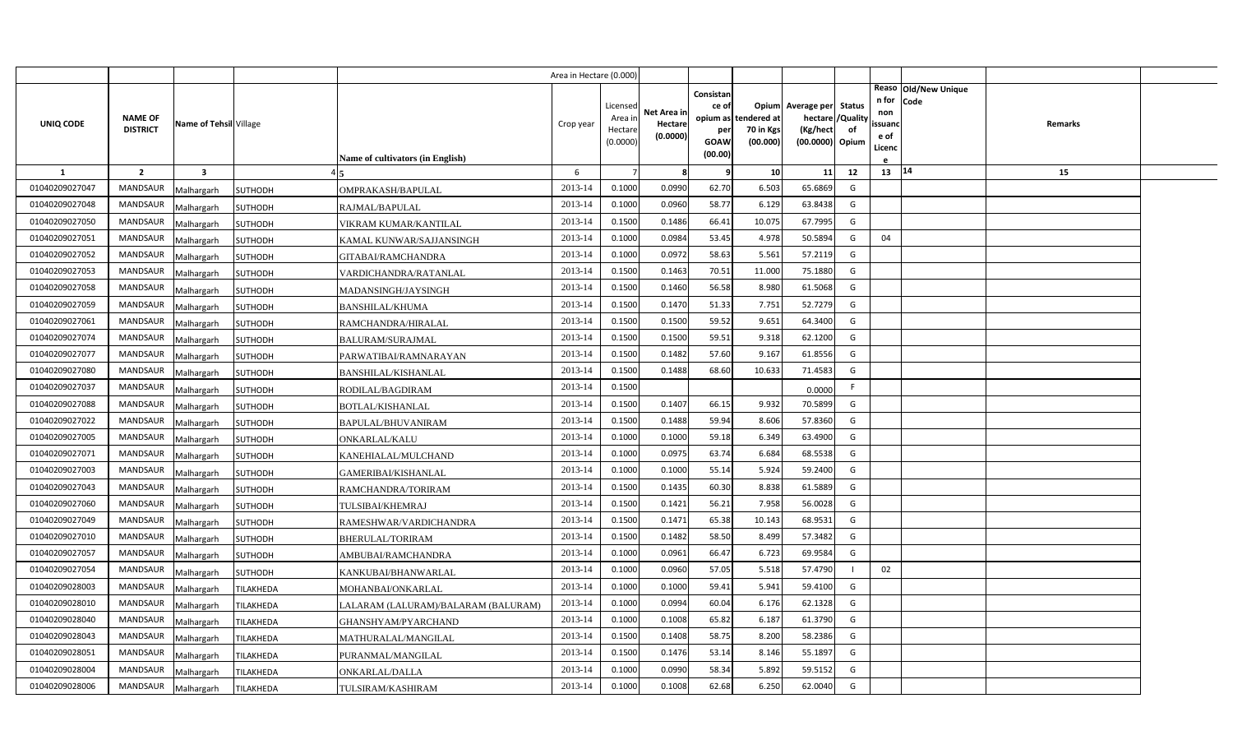|                |                 |                         |                  |                                     | Area in Hectare (0.000 |                     |                        |                    |                       |                             |          |               |                              |         |  |
|----------------|-----------------|-------------------------|------------------|-------------------------------------|------------------------|---------------------|------------------------|--------------------|-----------------------|-----------------------------|----------|---------------|------------------------------|---------|--|
|                |                 |                         |                  |                                     |                        | Licensed            |                        | Consistan<br>ce of |                       | Opium Average per Status    |          | n for         | Reaso Old/New Unique<br>Code |         |  |
| UNIQ CODE      | <b>NAME OF</b>  | Name of Tehsil Village  |                  |                                     | Crop year              | Area in             | Net Area in<br>Hectare |                    | opium as tendered at  | hectare /                   | /Quality | non<br>ssuanc |                              | Remarks |  |
|                | <b>DISTRICT</b> |                         |                  |                                     |                        | Hectare<br>(0.0000) | (0.0000)               | per<br>GOAW        | 70 in Kgs<br>(00.000) | (Kg/hect<br>(00.0000) Opium | of       | e of          |                              |         |  |
|                |                 |                         |                  | Name of cultivators (in English)    |                        |                     |                        | (00.00)            |                       |                             |          | Licenc        |                              |         |  |
| <b>1</b>       | $\overline{2}$  | $\overline{\mathbf{3}}$ |                  |                                     | 6                      |                     | -8                     | q                  | 10                    | 11                          | 12       | 13   14       |                              | 15      |  |
| 01040209027047 | <b>MANDSAUR</b> | Malhargarh              | SUTHODH          | OMPRAKASH/BAPULAL                   | 2013-14                | 0.1000              | 0.0990                 | 62.70              | 6.503                 | 65.6869                     | G        |               |                              |         |  |
| 01040209027048 | MANDSAUR        | Malhargarh              | SUTHODH          | RAJMAL/BAPULAL                      | 2013-14                | 0.1000              | 0.0960                 | 58.77              | 6.129                 | 63.8438                     | G        |               |                              |         |  |
| 01040209027050 | <b>MANDSAUR</b> | Malhargarh              | SUTHODH          | VIKRAM KUMAR/KANTILAL               | 2013-14                | 0.1500              | 0.1486                 | 66.41              | 10.075                | 67.7995                     | G        |               |                              |         |  |
| 01040209027051 | <b>MANDSAUR</b> | Malhargarh              | SUTHODH          | KAMAL KUNWAR/SAJJANSINGH            | 2013-14                | 0.1000              | 0.0984                 | 53.45              | 4.978                 | 50.5894                     | G        | 04            |                              |         |  |
| 01040209027052 | <b>MANDSAUR</b> | Malhargarh              | SUTHODH          | GITABAI/RAMCHANDRA                  | 2013-14                | 0.1000              | 0.0972                 | 58.63              | 5.56                  | 57.2119                     | G        |               |                              |         |  |
| 01040209027053 | <b>MANDSAUR</b> | Malhargarh              | SUTHODH          | VARDICHANDRA/RATANLAL               | 2013-14                | 0.1500              | 0.1463                 | 70.51              | 11.000                | 75.1880                     | G        |               |                              |         |  |
| 01040209027058 | <b>MANDSAUR</b> | Malhargarh              | SUTHODH          | MADANSINGH/JAYSINGH                 | 2013-14                | 0.1500              | 0.1460                 | 56.58              | 8.980                 | 61.5068                     | G        |               |                              |         |  |
| 01040209027059 | <b>MANDSAUR</b> | Malhargarh              | SUTHODH          | <b>BANSHILAL/KHUMA</b>              | 2013-14                | 0.1500              | 0.1470                 | 51.33              | 7.751                 | 52.7279                     | G        |               |                              |         |  |
| 01040209027061 | <b>MANDSAUR</b> | Malhargarh              | SUTHODH          | RAMCHANDRA/HIRALAL                  | 2013-14                | 0.1500              | 0.1500                 | 59.52              | 9.651                 | 64.3400                     | G        |               |                              |         |  |
| 01040209027074 | <b>MANDSAUR</b> | Malhargarh              | SUTHODH          | <b>BALURAM/SURAJMAL</b>             | 2013-14                | 0.1500              | 0.1500                 | 59.51              | 9.318                 | 62.1200                     | G        |               |                              |         |  |
| 01040209027077 | <b>MANDSAUR</b> | Malhargarh              | SUTHODH          | PARWATIBAI/RAMNARAYAN               | 2013-14                | 0.1500              | 0.1482                 | 57.60              | 9.167                 | 61.8556                     | G        |               |                              |         |  |
| 01040209027080 | <b>MANDSAUR</b> | Malhargarh              | SUTHODH          | <b>BANSHILAL/KISHANLAL</b>          | 2013-14                | 0.1500              | 0.1488                 | 68.60              | 10.633                | 71.4583                     | G        |               |                              |         |  |
| 01040209027037 | MANDSAUR        | Malhargarh              | SUTHODH          | RODILAL/BAGDIRAM                    | 2013-14                | 0.1500              |                        |                    |                       | 0.0000                      | F.       |               |                              |         |  |
| 01040209027088 | <b>MANDSAUR</b> | Malhargarh              | SUTHODH          | <b>BOTLAL/KISHANLAL</b>             | 2013-14                | 0.1500              | 0.1407                 | 66.15              | 9.932                 | 70.5899                     | G        |               |                              |         |  |
| 01040209027022 | MANDSAUR        | Malhargarh              | SUTHODH          | BAPULAL/BHUVANIRAM                  | 2013-14                | 0.1500              | 0.1488                 | 59.94              | 8.606                 | 57.8360                     | G        |               |                              |         |  |
| 01040209027005 | MANDSAUR        | Malhargarh              | SUTHODH          | ONKARLAL/KALU                       | 2013-14                | 0.1000              | 0.1000                 | 59.18              | 6.349                 | 63.4900                     | G        |               |                              |         |  |
| 01040209027071 | MANDSAUR        | Malhargarh              | SUTHODH          | KANEHIALAL/MULCHAND                 | 2013-14                | 0.1000              | 0.0975                 | 63.74              | 6.684                 | 68.5538                     | G        |               |                              |         |  |
| 01040209027003 | MANDSAUR        | Malhargarh              | SUTHODH          | <b>GAMERIBAI/KISHANLAL</b>          | 2013-14                | 0.1000              | 0.1000                 | 55.14              | 5.924                 | 59.2400                     | G        |               |                              |         |  |
| 01040209027043 | <b>MANDSAUR</b> | Malhargarh              | SUTHODH          | RAMCHANDRA/TORIRAM                  | 2013-14                | 0.1500              | 0.1435                 | 60.30              | 8.838                 | 61.5889                     | G        |               |                              |         |  |
| 01040209027060 | <b>MANDSAUR</b> | Malhargarh              | SUTHODH          | TULSIBAI/KHEMRAJ                    | 2013-14                | 0.1500              | 0.1421                 | 56.21              | 7.958                 | 56.0028                     | G        |               |                              |         |  |
| 01040209027049 | <b>MANDSAUR</b> | Malhargarh              | SUTHODH          | RAMESHWAR/VARDICHANDRA              | 2013-14                | 0.1500              | 0.1471                 | 65.38              | 10.143                | 68.9531                     | G        |               |                              |         |  |
| 01040209027010 | <b>MANDSAUR</b> | Malhargarh              | SUTHODH          | <b>BHERULAL/TORIRAM</b>             | 2013-14                | 0.1500              | 0.1482                 | 58.50              | 8.499                 | 57.3482                     | G        |               |                              |         |  |
| 01040209027057 | <b>MANDSAUR</b> | Malhargarh              | SUTHODH          | AMBUBAI/RAMCHANDRA                  | 2013-14                | 0.1000              | 0.0961                 | 66.47              | 6.723                 | 69.9584                     | G        |               |                              |         |  |
| 01040209027054 | MANDSAUR        | Malhargarh              | SUTHODH          | KANKUBAI/BHANWARLAL                 | 2013-14                | 0.1000              | 0.0960                 | 57.05              | 5.518                 | 57.4790                     |          | 02            |                              |         |  |
| 01040209028003 | <b>MANDSAUR</b> | Malhargarh              | TILAKHEDA        | MOHANBAI/ONKARLAL                   | 2013-14                | 0.1000              | 0.1000                 | 59.41              | 5.94                  | 59.4100                     | G        |               |                              |         |  |
| 01040209028010 | <b>MANDSAUR</b> | Malhargarh              | TILAKHEDA        | LALARAM (LALURAM)/BALARAM (BALURAM) | 2013-14                | 0.1000              | 0.0994                 | 60.04              | 6.176                 | 62.1328                     | G        |               |                              |         |  |
| 01040209028040 | <b>MANDSAUR</b> | Malhargarh              | TILAKHEDA        | GHANSHYAM/PYARCHAND                 | 2013-14                | 0.1000              | 0.1008                 | 65.82              | 6.187                 | 61.3790                     | G        |               |                              |         |  |
| 01040209028043 | <b>MANDSAUR</b> | Malhargarh              | TILAKHEDA        | MATHURALAL/MANGILAL                 | 2013-14                | 0.1500              | 0.1408                 | 58.75              | 8.200                 | 58.2386                     | G        |               |                              |         |  |
| 01040209028051 | <b>MANDSAUR</b> | Malhargarh              | TILAKHEDA        | PURANMAL/MANGILAL                   | 2013-14                | 0.1500              | 0.1476                 | 53.14              | 8.146                 | 55.1897                     | G        |               |                              |         |  |
| 01040209028004 | <b>MANDSAUR</b> | Malhargarh              | TILAKHEDA        | ONKARLAL/DALLA                      | 2013-14                | 0.1000              | 0.0990                 | 58.34              | 5.892                 | 59.5152                     | G        |               |                              |         |  |
| 01040209028006 | MANDSAUR        | Malhargarh              | <b>TILAKHEDA</b> | TULSIRAM/KASHIRAM                   | 2013-14                | 0.1000              | 0.1008                 | 62.68              | 6.250                 | 62.0040                     | G        |               |                              |         |  |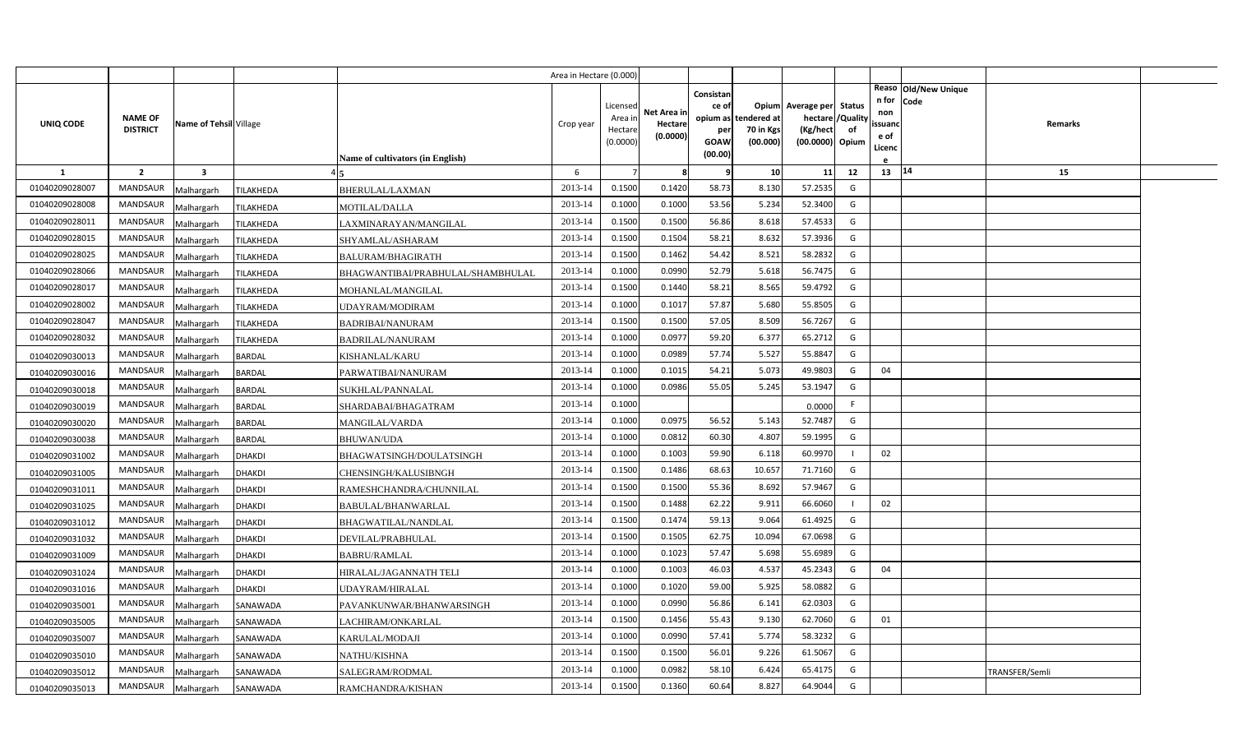|                |                                   |                         |                                                | Area in Hectare (0.000) |                                            |                                    |                                              |                                                        |                                                       |                                 |                                          |                              |                |  |
|----------------|-----------------------------------|-------------------------|------------------------------------------------|-------------------------|--------------------------------------------|------------------------------------|----------------------------------------------|--------------------------------------------------------|-------------------------------------------------------|---------------------------------|------------------------------------------|------------------------------|----------------|--|
| UNIQ CODE      | <b>NAME OF</b><br><b>DISTRICT</b> | Name of Tehsil Village  | Name of cultivators (in English)               | Crop year               | Licensed<br>Area in<br>Hectare<br>(0.0000) | Net Area in<br>Hectare<br>(0.0000) | Consistan<br>ce of<br>per<br>GOAW<br>(00.00) | Opium<br>opium as tendered at<br>70 in Kgs<br>(00.000) | Average per<br>hectare<br>(Kg/hect<br>(00.0000) Opium | <b>Status</b><br>/Quality<br>of | n for<br>non<br>ssuand<br>e of<br>Licenc | Reaso Old/New Unique<br>Code | Remarks        |  |
| -1             | $\overline{2}$                    | $\overline{\mathbf{3}}$ |                                                | 6                       |                                            | 8                                  | q                                            | 10 <sup>1</sup>                                        | 11                                                    | 12                              | 13   14                                  |                              | 15             |  |
| 01040209028007 | <b>MANDSAUR</b>                   | Malhargarh              | TILAKHEDA<br>BHERULAL/LAXMAN                   | 2013-14                 | 0.1500                                     | 0.1420                             | 58.73                                        | 8.130                                                  | 57.2535                                               | G                               |                                          |                              |                |  |
| 01040209028008 | <b>MANDSAUR</b>                   | Malhargarh              | TILAKHEDA<br><b>MOTILAL/DALLA</b>              | 2013-14                 | 0.1000                                     | 0.1000                             | 53.56                                        | 5.234                                                  | 52.3400                                               | G                               |                                          |                              |                |  |
| 01040209028011 | <b>MANDSAUR</b>                   | Malhargarh              | TILAKHEDA<br>LAXMINARAYAN/MANGILAL             | 2013-14                 | 0.1500                                     | 0.1500                             | 56.86                                        | 8.618                                                  | 57.4533                                               | G                               |                                          |                              |                |  |
| 01040209028015 | <b>MANDSAUR</b>                   | Malhargarh              | TILAKHEDA<br>SHYAMLAL/ASHARAM                  | 2013-14                 | 0.1500                                     | 0.1504                             | 58.21                                        | 8.632                                                  | 57.3936                                               | G                               |                                          |                              |                |  |
| 01040209028025 | <b>MANDSAUR</b>                   | Malhargarh              | TILAKHEDA<br><b>BALURAM/BHAGIRATH</b>          | 2013-14                 | 0.1500                                     | 0.1462                             | 54.42                                        | 8.521                                                  | 58.2832                                               | G                               |                                          |                              |                |  |
| 01040209028066 | <b>MANDSAUR</b>                   | Malhargarh              | TILAKHEDA<br>BHAGWANTIBAI/PRABHULAL/SHAMBHULAL | 2013-14                 | 0.1000                                     | 0.0990                             | 52.79                                        | 5.618                                                  | 56.7475                                               | G                               |                                          |                              |                |  |
| 01040209028017 | <b>MANDSAUR</b>                   | Malhargarh              | TILAKHEDA<br>MOHANLAL/MANGILAL                 | 2013-14                 | 0.1500                                     | 0.1440                             | 58.21                                        | 8.565                                                  | 59.4792                                               | G                               |                                          |                              |                |  |
| 01040209028002 | MANDSAUR                          | Malhargarh              | TILAKHEDA<br>UDAYRAM/MODIRAM                   | 2013-14                 | 0.1000                                     | 0.1017                             | 57.87                                        | 5.680                                                  | 55.8505                                               | G                               |                                          |                              |                |  |
| 01040209028047 | <b>MANDSAUR</b>                   | Malhargarh              | TILAKHEDA<br><b>BADRIBAI/NANURAM</b>           | 2013-14                 | 0.1500                                     | 0.1500                             | 57.05                                        | 8.509                                                  | 56.7267                                               | G                               |                                          |                              |                |  |
| 01040209028032 | <b>MANDSAUR</b>                   | Malhargarh              | TILAKHEDA<br><b>BADRILAL/NANURAM</b>           | 2013-14                 | 0.1000                                     | 0.0977                             | 59.20                                        | 6.377                                                  | 65.2712                                               | G                               |                                          |                              |                |  |
| 01040209030013 | <b>MANDSAUR</b>                   | Malhargarh              | <b>BARDAL</b><br>KISHANLAL/KARU                | 2013-14                 | 0.1000                                     | 0.0989                             | 57.74                                        | 5.527                                                  | 55.8847                                               | G                               |                                          |                              |                |  |
| 01040209030016 | <b>MANDSAUR</b>                   | Malhargarh              | <b>BARDAL</b><br>PARWATIBAI/NANURAM            | 2013-14                 | 0.1000                                     | 0.1015                             | 54.21                                        | 5.073                                                  | 49.9803                                               | G                               | 04                                       |                              |                |  |
| 01040209030018 | <b>MANDSAUR</b>                   | Malhargarh              | <b>BARDAL</b><br>SUKHLAL/PANNALAL              | 2013-14                 | 0.1000                                     | 0.0986                             | 55.05                                        | 5.245                                                  | 53.1947                                               | G                               |                                          |                              |                |  |
| 01040209030019 | <b>MANDSAUR</b>                   | Malhargarh              | <b>BARDAL</b><br>SHARDABAI/BHAGATRAM           | 2013-14                 | 0.1000                                     |                                    |                                              |                                                        | 0.0000                                                | F.                              |                                          |                              |                |  |
| 01040209030020 | <b>MANDSAUR</b>                   | Malhargarh              | <b>BARDAL</b><br>MANGILAL/VARDA                | 2013-14                 | 0.1000                                     | 0.0975                             | 56.52                                        | 5.143                                                  | 52.7487                                               | G                               |                                          |                              |                |  |
| 01040209030038 | <b>MANDSAUR</b>                   | Malhargarh              | <b>BARDAL</b><br><b>BHUWAN/UDA</b>             | 2013-14                 | 0.1000                                     | 0.0812                             | 60.30                                        | 4.807                                                  | 59.1995                                               | G                               |                                          |                              |                |  |
| 01040209031002 | <b>MANDSAUR</b>                   | Malhargarh              | <b>DHAKDI</b><br>BHAGWATSINGH/DOULATSINGH      | 2013-14                 | 0.1000                                     | 0.1003                             | 59.90                                        | 6.118                                                  | 60.9970                                               |                                 | 02                                       |                              |                |  |
| 01040209031005 | <b>MANDSAUR</b>                   | Malhargarh              | <b>DHAKDI</b><br>CHENSINGH/KALUSIBNGH          | 2013-14                 | 0.1500                                     | 0.1486                             | 68.63                                        | 10.657                                                 | 71.7160                                               | G                               |                                          |                              |                |  |
| 01040209031011 | MANDSAUR                          | Malhargarh              | <b>DHAKDI</b><br>RAMESHCHANDRA/CHUNNILAL       | 2013-14                 | 0.1500                                     | 0.1500                             | 55.36                                        | 8.692                                                  | 57.9467                                               | G                               |                                          |                              |                |  |
| 01040209031025 | <b>MANDSAUR</b>                   | Malhargarh              | <b>DHAKDI</b><br>BABULAL/BHANWARLAL            | 2013-14                 | 0.1500                                     | 0.1488                             | 62.22                                        | 9.911                                                  | 66.6060                                               |                                 | 02                                       |                              |                |  |
| 01040209031012 | MANDSAUR                          | Malhargarh              | <b>DHAKDI</b><br>BHAGWATILAL/NANDLAL           | 2013-14                 | 0.1500                                     | 0.1474                             | 59.13                                        | 9.064                                                  | 61.4925                                               | G                               |                                          |                              |                |  |
| 01040209031032 | <b>MANDSAUR</b>                   | Malhargarh              | <b>DHAKDI</b><br>DEVILAL/PRABHULAL             | 2013-14                 | 0.1500                                     | 0.1505                             | 62.75                                        | 10.094                                                 | 67.0698                                               | G                               |                                          |                              |                |  |
| 01040209031009 | <b>MANDSAUR</b>                   | Malhargarh              | <b>DHAKDI</b><br><b>BABRU/RAMLAL</b>           | 2013-14                 | 0.1000                                     | 0.1023                             | 57.47                                        | 5.698                                                  | 55.6989                                               | G                               |                                          |                              |                |  |
| 01040209031024 | <b>MANDSAUR</b>                   | Malhargarh              | <b>DHAKDI</b><br>HIRALAL/JAGANNATH TELI        | 2013-14                 | 0.1000                                     | 0.1003                             | 46.03                                        | 4.537                                                  | 45.2343                                               | G                               | 04                                       |                              |                |  |
| 01040209031016 | <b>MANDSAUR</b>                   | Malhargarh              | <b>DHAKDI</b><br>UDAYRAM/HIRALAL               | 2013-14                 | 0.1000                                     | 0.1020                             | 59.00                                        | 5.925                                                  | 58.0882                                               | G                               |                                          |                              |                |  |
| 01040209035001 | <b>MANDSAUR</b>                   | Malhargarh              | SANAWADA<br>PAVANKUNWAR/BHANWARSINGH           | 2013-14                 | 0.1000                                     | 0.0990                             | 56.86                                        | 6.141                                                  | 62.0303                                               | G                               |                                          |                              |                |  |
| 01040209035005 | <b>MANDSAUR</b>                   | Malhargarh              | SANAWADA<br>LACHIRAM/ONKARLAL                  | 2013-14                 | 0.1500                                     | 0.1456                             | 55.43                                        | 9.130                                                  | 62.7060                                               | G                               | 01                                       |                              |                |  |
| 01040209035007 | <b>MANDSAUR</b>                   | Malhargarh              | SANAWADA<br>KARULAL/MODAJI                     | 2013-14                 | 0.1000                                     | 0.0990                             | 57.41                                        | 5.774                                                  | 58.3232                                               | G                               |                                          |                              |                |  |
| 01040209035010 | <b>MANDSAUR</b>                   | Malhargarh              | NATHU/KISHNA<br>SANAWADA                       | 2013-14                 | 0.1500                                     | 0.1500                             | 56.01                                        | 9.226                                                  | 61.5067                                               | G                               |                                          |                              |                |  |
| 01040209035012 | <b>MANDSAUR</b>                   | Malhargarh              | SANAWADA<br>SALEGRAM/RODMAL                    | 2013-14                 | 0.1000                                     | 0.0982                             | 58.10                                        | 6.424                                                  | 65.4175                                               | G                               |                                          |                              | TRANSFER/Semli |  |
| 01040209035013 | MANDSAUR                          | Malhargarh              | SANAWADA<br>RAMCHANDRA/KISHAN                  | 2013-14                 | 0.1500                                     | 0.1360                             | 60.64                                        | 8.827                                                  | 64.9044                                               | G                               |                                          |                              |                |  |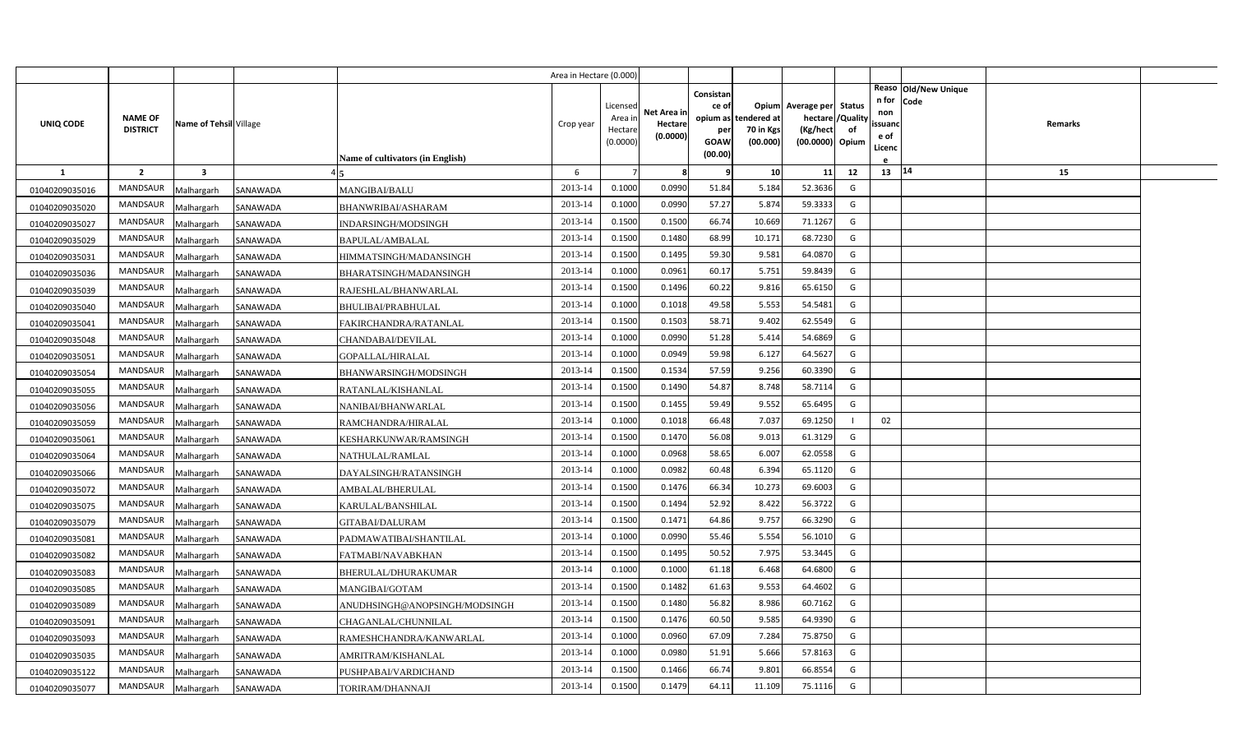|                |                                   |                         |          |                                         | Area in Hectare (0.000) |                                            |                                    |                                              |                                               |                                                                    |                |                                                                          |         |  |
|----------------|-----------------------------------|-------------------------|----------|-----------------------------------------|-------------------------|--------------------------------------------|------------------------------------|----------------------------------------------|-----------------------------------------------|--------------------------------------------------------------------|----------------|--------------------------------------------------------------------------|---------|--|
| UNIQ CODE      | <b>NAME OF</b><br><b>DISTRICT</b> | Name of Tehsil Village  |          | <b>Name of cultivators (in English)</b> | Crop year               | Licensed<br>Area in<br>Hectare<br>(0.0000) | Net Area in<br>Hectare<br>(0.0000) | Consistan<br>ce of<br>per<br>GOAW<br>(00.00) | opium as tendered at<br>70 in Kgs<br>(00.000) | Opium Average per Status<br>hectare<br>(Kg/hect<br>(00.0000) Opium | /Quality<br>of | Reaso Old/New Unique<br>n for<br>Code<br>non<br>ssuand<br>e of<br>Licenc | Remarks |  |
| $\mathbf{1}$   | $\overline{2}$                    | $\overline{\mathbf{3}}$ |          |                                         | 6                       |                                            | 8                                  | 9                                            | 10                                            | 11                                                                 | 12             | 13 14                                                                    | 15      |  |
| 01040209035016 | <b>MANDSAUR</b>                   | Malhargarh              | SANAWADA | MANGIBAI/BALU                           | 2013-14                 | 0.1000                                     | 0.0990                             | 51.84                                        | 5.184                                         | 52.3636                                                            | G              |                                                                          |         |  |
| 01040209035020 | MANDSAUR                          | Malhargarh              | SANAWADA | BHANWRIBAI/ASHARAM                      | 2013-14                 | 0.1000                                     | 0.0990                             | 57.27                                        | 5.874                                         | 59.3333                                                            | G              |                                                                          |         |  |
| 01040209035027 | <b>MANDSAUR</b>                   | Malhargarh              | SANAWADA | INDARSINGH/MODSINGH                     | 2013-14                 | 0.1500                                     | 0.1500                             | 66.74                                        | 10.669                                        | 71.1267                                                            | G              |                                                                          |         |  |
| 01040209035029 | <b>MANDSAUR</b>                   | Malhargarh              | SANAWADA | BAPULAL/AMBALAL                         | 2013-14                 | 0.1500                                     | 0.1480                             | 68.99                                        | 10.17                                         | 68.7230                                                            | G              |                                                                          |         |  |
| 01040209035031 | <b>MANDSAUR</b>                   | Malhargarh              | SANAWADA | HIMMATSINGH/MADANSINGH                  | 2013-14                 | 0.1500                                     | 0.1495                             | 59.30                                        | 9.581                                         | 64.0870                                                            | G              |                                                                          |         |  |
| 01040209035036 | <b>MANDSAUR</b>                   | Malhargarh              | SANAWADA | BHARATSINGH/MADANSINGH                  | 2013-14                 | 0.1000                                     | 0.0961                             | 60.17                                        | 5.751                                         | 59.8439                                                            | G              |                                                                          |         |  |
| 01040209035039 | <b>MANDSAUR</b>                   | Malhargarh              | SANAWADA | RAJESHLAL/BHANWARLAL                    | 2013-14                 | 0.1500                                     | 0.1496                             | 60.22                                        | 9.816                                         | 65.6150                                                            | G              |                                                                          |         |  |
| 01040209035040 | MANDSAUR                          | Malhargarh              | SANAWADA | BHULIBAI/PRABHULAL                      | 2013-14                 | 0.1000                                     | 0.1018                             | 49.58                                        | 5.553                                         | 54.5481                                                            | G              |                                                                          |         |  |
| 01040209035041 | <b>MANDSAUR</b>                   | Malhargarh              | SANAWADA | FAKIRCHANDRA/RATANLAL                   | 2013-14                 | 0.1500                                     | 0.1503                             | 58.71                                        | 9.402                                         | 62.5549                                                            | G              |                                                                          |         |  |
| 01040209035048 | <b>MANDSAUR</b>                   | Malhargarh              | SANAWADA | CHANDABAI/DEVILAL                       | 2013-14                 | 0.1000                                     | 0.0990                             | 51.28                                        | 5.414                                         | 54.6869                                                            | G              |                                                                          |         |  |
| 01040209035051 | <b>MANDSAUR</b>                   | Malhargarh              | SANAWADA | GOPALLAL/HIRALAL                        | 2013-14                 | 0.1000                                     | 0.0949                             | 59.98                                        | 6.127                                         | 64.5627                                                            | G              |                                                                          |         |  |
| 01040209035054 | <b>MANDSAUR</b>                   | Malhargarh              | SANAWADA | BHANWARSINGH/MODSINGH                   | 2013-14                 | 0.1500                                     | 0.1534                             | 57.59                                        | 9.256                                         | 60.3390                                                            | G              |                                                                          |         |  |
| 01040209035055 | <b>MANDSAUR</b>                   | Malhargarh              | SANAWADA | RATANLAL/KISHANLAL                      | 2013-14                 | 0.1500                                     | 0.1490                             | 54.87                                        | 8.748                                         | 58.7114                                                            | G              |                                                                          |         |  |
| 01040209035056 | <b>MANDSAUR</b>                   | Malhargarh              | SANAWADA | NANIBAI/BHANWARLAL                      | 2013-14                 | 0.1500                                     | 0.1455                             | 59.49                                        | 9.552                                         | 65.6495                                                            | G              |                                                                          |         |  |
| 01040209035059 | <b>MANDSAUR</b>                   | Malhargarh              | SANAWADA | RAMCHANDRA/HIRALAL                      | 2013-14                 | 0.1000                                     | 0.1018                             | 66.48                                        | 7.037                                         | 69.1250                                                            |                | 02                                                                       |         |  |
| 01040209035061 | <b>MANDSAUR</b>                   | Malhargarh              | SANAWADA | KESHARKUNWAR/RAMSINGH                   | 2013-14                 | 0.1500                                     | 0.1470                             | 56.08                                        | 9.013                                         | 61.3129                                                            | G              |                                                                          |         |  |
| 01040209035064 | <b>MANDSAUR</b>                   | Malhargarh              | SANAWADA | NATHULAL/RAMLAL                         | 2013-14                 | 0.1000                                     | 0.0968                             | 58.65                                        | 6.007                                         | 62.0558                                                            | G              |                                                                          |         |  |
| 01040209035066 | <b>MANDSAUR</b>                   | Malhargarh              | SANAWADA | DAYALSINGH/RATANSINGH                   | 2013-14                 | 0.1000                                     | 0.0982                             | 60.48                                        | 6.394                                         | 65.1120                                                            | G              |                                                                          |         |  |
| 01040209035072 | <b>MANDSAUR</b>                   | Malhargarh              | SANAWADA | AMBALAL/BHERULAL                        | 2013-14                 | 0.1500                                     | 0.1476                             | 66.34                                        | 10.273                                        | 69.6003                                                            | G              |                                                                          |         |  |
| 01040209035075 | <b>MANDSAUR</b>                   | Malhargarh              | SANAWADA | KARULAL/BANSHILAL                       | 2013-14                 | 0.1500                                     | 0.1494                             | 52.92                                        | 8.422                                         | 56.3722                                                            | G              |                                                                          |         |  |
| 01040209035079 | <b>MANDSAUR</b>                   | Malhargarh              | SANAWADA | GITABAI/DALURAM                         | 2013-14                 | 0.1500                                     | 0.1471                             | 64.86                                        | 9.757                                         | 66.3290                                                            | G              |                                                                          |         |  |
| 01040209035081 | <b>MANDSAUR</b>                   | Malhargarh              | SANAWADA | PADMAWATIBAI/SHANTILAL                  | 2013-14                 | 0.1000                                     | 0.0990                             | 55.46                                        | 5.554                                         | 56.1010                                                            | G              |                                                                          |         |  |
| 01040209035082 | <b>MANDSAUR</b>                   | Malhargarh              | SANAWADA | FATMABI/NAVABKHAN                       | 2013-14                 | 0.1500                                     | 0.1495                             | 50.52                                        | 7.975                                         | 53.3445                                                            | G              |                                                                          |         |  |
| 01040209035083 | <b>MANDSAUR</b>                   | Malhargarh              | SANAWADA | BHERULAL/DHURAKUMAR                     | 2013-14                 | 0.1000                                     | 0.1000                             | 61.18                                        | 6.468                                         | 64.6800                                                            | G              |                                                                          |         |  |
| 01040209035085 | <b>MANDSAUR</b>                   | Malhargarh              | SANAWADA | MANGIBAI/GOTAM                          | 2013-14                 | 0.1500                                     | 0.1482                             | 61.63                                        | 9.553                                         | 64.4602                                                            | G              |                                                                          |         |  |
| 01040209035089 | <b>MANDSAUR</b>                   | Malhargarh              | SANAWADA | ANUDHSINGH@ANOPSINGH/MODSINGH           | 2013-14                 | 0.1500                                     | 0.1480                             | 56.82                                        | 8.986                                         | 60.7162                                                            | G              |                                                                          |         |  |
| 01040209035091 | <b>MANDSAUR</b>                   | Malhargarh              | SANAWADA | CHAGANLAL/CHUNNILAL                     | 2013-14                 | 0.1500                                     | 0.1476                             | 60.50                                        | 9.585                                         | 64.9390                                                            | G              |                                                                          |         |  |
| 01040209035093 | <b>MANDSAUR</b>                   | Malhargarh              | SANAWADA | RAMESHCHANDRA/KANWARLAL                 | 2013-14                 | 0.1000                                     | 0.0960                             | 67.09                                        | 7.284                                         | 75.8750                                                            | G              |                                                                          |         |  |
| 01040209035035 | MANDSAUR                          | Malhargarh              | SANAWADA | AMRITRAM/KISHANLAL                      | 2013-14                 | 0.1000                                     | 0.0980                             | 51.91                                        | 5.666                                         | 57.8163                                                            | G              |                                                                          |         |  |
| 01040209035122 | MANDSAUR                          | Malhargarh              | SANAWADA | PUSHPABAI/VARDICHAND                    | 2013-14                 | 0.1500                                     | 0.1466                             | 66.74                                        | 9.801                                         | 66.8554                                                            | G              |                                                                          |         |  |
| 01040209035077 | MANDSAUR                          | Malhargarh              | SANAWADA | TORIRAM/DHANNAJI                        | 2013-14                 | 0.1500                                     | 0.1479                             | 64.11                                        | 11.109                                        | 75.1116                                                            | G              |                                                                          |         |  |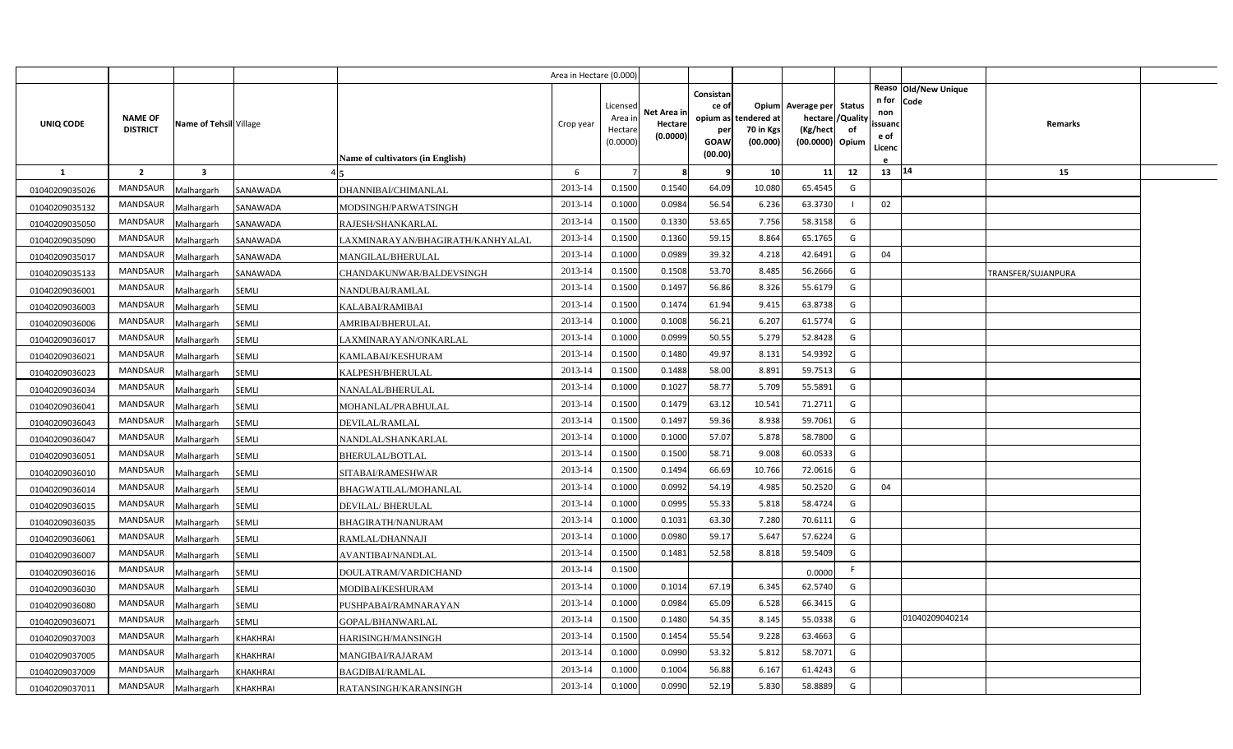|                |                                   |                         |                 |                                  | Area in Hectare (0.000 |                                           |                                    |                                                                 |                                      |                                                                              |     |                                          |                                |                    |  |
|----------------|-----------------------------------|-------------------------|-----------------|----------------------------------|------------------------|-------------------------------------------|------------------------------------|-----------------------------------------------------------------|--------------------------------------|------------------------------------------------------------------------------|-----|------------------------------------------|--------------------------------|--------------------|--|
| UNIQ CODE      | <b>NAME OF</b><br><b>DISTRICT</b> | Name of Tehsil Village  |                 | Name of cultivators (in English) | Crop year              | Licensed<br>Area i<br>Hectare<br>(0.0000) | Net Area ir<br>Hectare<br>(0.0000) | Consistan<br>ce of<br>opium as<br>per<br><b>GOAW</b><br>(00.00) | tendered at<br>70 in Kgs<br>(00.000) | Opium Average per Status<br>hectare / Quality<br>(Kg/hect<br>(00.0000) Opium | of  | n for<br>non<br>ssuano<br>e of<br>Licenc | Reaso   Old/New Unique<br>Code | <b>Remarks</b>     |  |
| $\mathbf{1}$   | $\overline{2}$                    | $\overline{\mathbf{3}}$ |                 |                                  | 6                      |                                           |                                    |                                                                 | 10                                   | 11                                                                           | 12  | 13                                       | 14                             | 15                 |  |
| 01040209035026 | <b>MANDSAUR</b>                   | Malhargarh              | SANAWADA        | DHANNIBAI/CHIMANLAL              | 2013-14                | 0.1500                                    | 0.1540                             | 64.09                                                           | 10.080                               | 65.4545                                                                      | G   |                                          |                                |                    |  |
| 01040209035132 | MANDSAUR                          | Malhargarh              | SANAWADA        | MODSINGH/PARWATSINGH             | 2013-14                | 0.1000                                    | 0.0984                             | 56.54                                                           | 6.236                                | 63.3730                                                                      | - 1 | 02                                       |                                |                    |  |
| 01040209035050 | MANDSAUR                          | Malhargarh              | SANAWADA        | RAJESH/SHANKARLAL                | 2013-14                | 0.1500                                    | 0.1330                             | 53.65                                                           | 7.756                                | 58.3158                                                                      | G   |                                          |                                |                    |  |
| 01040209035090 | MANDSAUR                          | Malhargarh              | SANAWADA        | LAXMINARAYAN/BHAGIRATH/KANHYALAL | 2013-14                | 0.1500                                    | 0.1360                             | 59.15                                                           | 8.864                                | 65.1765                                                                      | G   |                                          |                                |                    |  |
| 01040209035017 | MANDSAUR                          | Malhargarh              | SANAWADA        | MANGILAL/BHERULAL                | 2013-14                | 0.1000                                    | 0.0989                             | 39.32                                                           | 4.218                                | 42.6491                                                                      | G   | 04                                       |                                |                    |  |
| 01040209035133 | <b>MANDSAUR</b>                   | Malhargarh              | SANAWADA        | CHANDAKUNWAR/BALDEVSINGH         | 2013-14                | 0.1500                                    | 0.1508                             | 53.70                                                           | 8.485                                | 56.2666                                                                      | G   |                                          |                                | TRANSFER/SUJANPURA |  |
| 01040209036001 | MANDSAUR                          | Malhargarh              | SEMLI           | NANDUBAI/RAMLAL                  | 2013-14                | 0.1500                                    | 0.1497                             | 56.86                                                           | 8.326                                | 55.6179                                                                      | G   |                                          |                                |                    |  |
| 01040209036003 | MANDSAUR                          | Malhargarh              | SEMLI           | KALABAI/RAMIBAI                  | 2013-14                | 0.1500                                    | 0.1474                             | 61.94                                                           | 9.415                                | 63.8738                                                                      | G   |                                          |                                |                    |  |
| 01040209036006 | MANDSAUR                          | Malhargarh              | SEMLI           | AMRIBAI/BHERULAL                 | 2013-14                | 0.1000                                    | 0.1008                             | 56.21                                                           | 6.207                                | 61.5774                                                                      | G   |                                          |                                |                    |  |
| 01040209036017 | MANDSAUR                          | Malhargarh              | SEMLI           | LAXMINARAYAN/ONKARLAL            | 2013-14                | 0.1000                                    | 0.0999                             | 50.55                                                           | 5.279                                | 52.8428                                                                      | G   |                                          |                                |                    |  |
| 01040209036021 | MANDSAUR                          | Malhargarh              | SEMLI           | KAMLABAI/KESHURAM                | 2013-14                | 0.1500                                    | 0.1480                             | 49.97                                                           | 8.131                                | 54.9392                                                                      | G   |                                          |                                |                    |  |
| 01040209036023 | MANDSAUR                          | Malhargarh              | SEMLI           | KALPESH/BHERULAL                 | 2013-14                | 0.1500                                    | 0.1488                             | 58.00                                                           | 8.891                                | 59.7513                                                                      | G   |                                          |                                |                    |  |
| 01040209036034 | MANDSAUR                          | Malhargarh              | SEMLI           | NANALAL/BHERULAL                 | 2013-14                | 0.1000                                    | 0.1027                             | 58.77                                                           | 5.709                                | 55.5891                                                                      | G   |                                          |                                |                    |  |
| 01040209036041 | MANDSAUR                          | Malhargarh              | <b>SEMLI</b>    | MOHANLAL/PRABHULAL               | 2013-14                | 0.1500                                    | 0.1479                             | 63.12                                                           | 10.541                               | 71.2711                                                                      | G   |                                          |                                |                    |  |
| 01040209036043 | MANDSAUR                          | Malhargarh              | <b>SEMLI</b>    | DEVILAL/RAMLAL                   | 2013-14                | 0.1500                                    | 0.1497                             | 59.36                                                           | 8.938                                | 59.7061                                                                      | G   |                                          |                                |                    |  |
| 01040209036047 | MANDSAUR                          | Malhargarh              | SEMLI           | NANDLAL/SHANKARLAL               | 2013-14                | 0.1000                                    | 0.1000                             | 57.07                                                           | 5.878                                | 58.7800                                                                      | G   |                                          |                                |                    |  |
| 01040209036051 | MANDSAUR                          | Malhargarh              | SEMLI           | BHERULAL/BOTLAL                  | 2013-14                | 0.1500                                    | 0.1500                             | 58.71                                                           | 9.008                                | 60.0533                                                                      | G   |                                          |                                |                    |  |
| 01040209036010 | <b>MANDSAUR</b>                   | <b>Malhargarh</b>       | <b>SEMLI</b>    | SITABAI/RAMESHWAR                | 2013-14                | 0.1500                                    | 0.1494                             | 66.69                                                           | 10.766                               | 72.0616                                                                      | G   |                                          |                                |                    |  |
| 01040209036014 | MANDSAUR                          | Malhargarh              | SEMLI           | BHAGWATILAL/MOHANLAL             | 2013-14                | 0.1000                                    | 0.0992                             | 54.19                                                           | 4.985                                | 50.2520                                                                      | G   | 04                                       |                                |                    |  |
| 01040209036015 | MANDSAUR                          | Malhargarh              | SEMLI           | <b>DEVILAL/BHERULAL</b>          | 2013-14                | 0.1000                                    | 0.0995                             | 55.33                                                           | 5.818                                | 58.4724                                                                      | G   |                                          |                                |                    |  |
| 01040209036035 | MANDSAUR                          | Malhargarh              | SEMLI           | <b>BHAGIRATH/NANURAM</b>         | 2013-14                | 0.1000                                    | 0.1031                             | 63.30                                                           | 7.280                                | 70.6111                                                                      | G   |                                          |                                |                    |  |
| 01040209036061 | MANDSAUR                          | Malhargarh              | SEMLI           | RAMLAL/DHANNAJI                  | 2013-14                | 0.1000                                    | 0.0980                             | 59.17                                                           | 5.647                                | 57.6224                                                                      | G   |                                          |                                |                    |  |
| 01040209036007 | MANDSAUR                          | Malhargarh              | <b>SEMLI</b>    | AVANTIBAI/NANDLAL                | 2013-14                | 0.1500                                    | 0.1481                             | 52.58                                                           | 8.818                                | 59.5409                                                                      | G   |                                          |                                |                    |  |
| 01040209036016 | <b>MANDSAUR</b>                   | Malhargarh              | <b>SEMLI</b>    | DOULATRAM/VARDICHAND             | 2013-14                | 0.1500                                    |                                    |                                                                 |                                      | 0.0000                                                                       | F   |                                          |                                |                    |  |
| 01040209036030 | MANDSAUR                          | Malhargarh              | <b>SEMLI</b>    | MODIBAI/KESHURAM                 | 2013-14                | 0.1000                                    | 0.1014                             | 67.19                                                           | 6.345                                | 62.5740                                                                      | G   |                                          |                                |                    |  |
| 01040209036080 | MANDSAUR                          | Malhargarh              | <b>SEMLI</b>    | PUSHPABAI/RAMNARAYAN             | 2013-14                | 0.1000                                    | 0.0984                             | 65.09                                                           | 6.528                                | 66.3415                                                                      | G   |                                          |                                |                    |  |
| 01040209036071 | MANDSAUR                          | Malhargarh              | <b>SEMLI</b>    | GOPAL/BHANWARLAL                 | 2013-14                | 0.1500                                    | 0.1480                             | 54.35                                                           | 8.145                                | 55.0338                                                                      | G   |                                          | 01040209040214                 |                    |  |
| 01040209037003 | <b>MANDSAUR</b>                   | Malhargarh              | <b>KHAKHRAI</b> | HARISINGH/MANSINGH               | 2013-14                | 0.1500                                    | 0.1454                             | 55.54                                                           | 9.228                                | 63.4663                                                                      | G   |                                          |                                |                    |  |
| 01040209037005 | MANDSAUR                          | Malhargarh              | <b>KHAKHRAI</b> | MANGIBAI/RAJARAM                 | 2013-14                | 0.1000                                    | 0.0990                             | 53.32                                                           | 5.812                                | 58.7071                                                                      | G   |                                          |                                |                    |  |
| 01040209037009 | MANDSAUR                          | Malhargarh              | <b>KHAKHRAI</b> | BAGDIBAI/RAMLAL                  | 2013-14                | 0.1000                                    | 0.1004                             | 56.88                                                           | 6.167                                | 61.4243                                                                      | G   |                                          |                                |                    |  |
| 01040209037011 | MANDSAUR                          | Malhargarh              | <b>KHAKHRAI</b> | RATANSINGH/KARANSINGH            | 2013-14                | 0.1000                                    | 0.0990                             | 52.19                                                           | 5.830                                | 58.8889                                                                      | G   |                                          |                                |                    |  |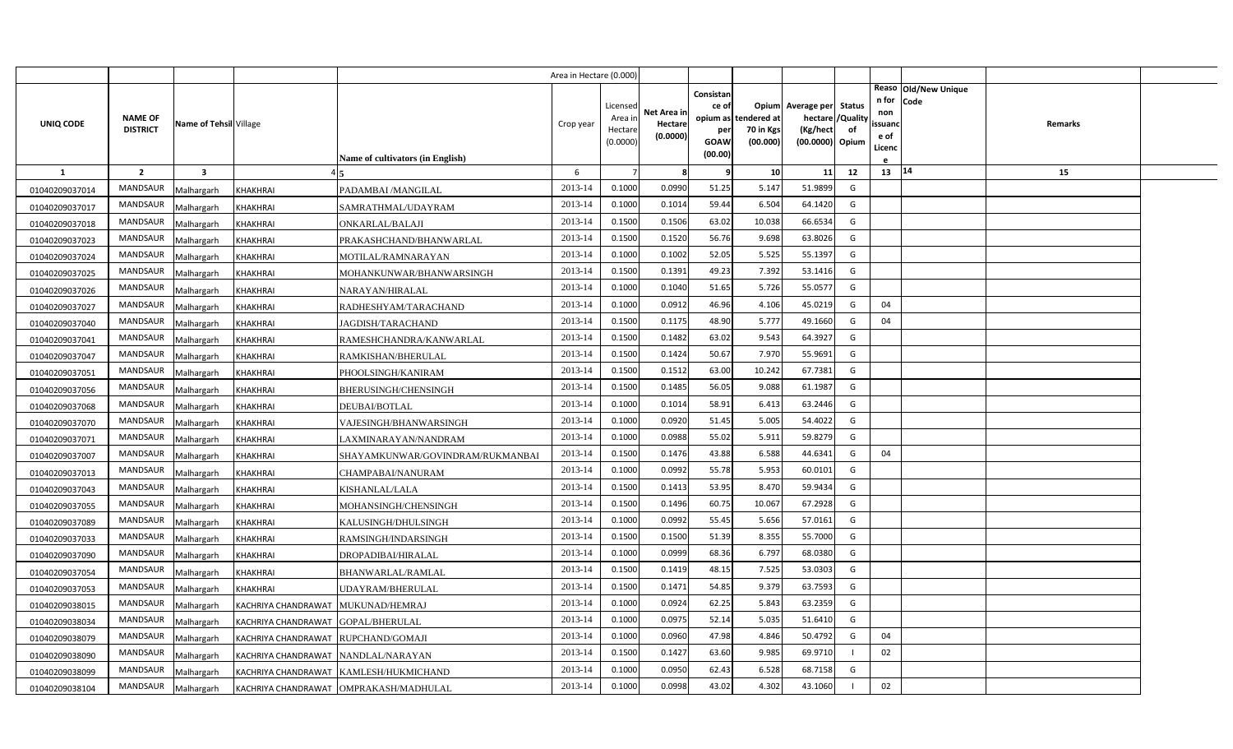|                |                 |                         |                                     |                                          | Area in Hectare (0.000 |                     |                     |                    |                      |                                     |          |                                              |         |  |
|----------------|-----------------|-------------------------|-------------------------------------|------------------------------------------|------------------------|---------------------|---------------------|--------------------|----------------------|-------------------------------------|----------|----------------------------------------------|---------|--|
|                | <b>NAME OF</b>  |                         |                                     |                                          |                        | Licensed<br>Area in | Net Area in         | Consistan<br>ce of | opium as tendered at | Opium Average per Status<br>hectare | /Quality | Reaso Old/New Unique<br>n for<br>Code<br>non |         |  |
| UNIQ CODE      | <b>DISTRICT</b> | Name of Tehsil Village  |                                     |                                          | Crop year              | Hectare             | Hectare<br>(0.0000) | per                | 70 in Kgs            | (Kg/hect                            | of       | ssuand<br>e of                               | Remarks |  |
|                |                 |                         |                                     |                                          |                        | (0.0000)            |                     | GOAW<br>(00.00)    | (00.000)             | (00.0000) Opium                     |          | Licenc                                       |         |  |
| $\mathbf{1}$   | $\overline{2}$  | $\overline{\mathbf{3}}$ |                                     | <b>Name of cultivators (in English)</b>  | 6                      |                     | 8                   | 9                  | 10                   | 11                                  | 12       | 13   14                                      | 15      |  |
|                | <b>MANDSAUR</b> |                         |                                     |                                          | 2013-14                | 0.1000              | 0.0990              | 51.25              | 5.147                | 51.9899                             | G        |                                              |         |  |
| 01040209037014 | <b>MANDSAUR</b> | Malhargarh              | <b>KHAKHRAI</b>                     | PADAMBAI /MANGILAL                       | 2013-14                | 0.1000              | 0.1014              | 59.44              | 6.504                | 64.1420                             | G        |                                              |         |  |
| 01040209037017 | <b>MANDSAUR</b> | Malhargarh              | <b>KHAKHRAI</b>                     | SAMRATHMAL/UDAYRAM                       | 2013-14                | 0.1500              | 0.1506              | 63.02              | 10.038               | 66.6534                             | G        |                                              |         |  |
| 01040209037018 | <b>MANDSAUR</b> | Malhargarh              | <b>KHAKHRAI</b>                     | ONKARLAL/BALAJI                          | 2013-14                | 0.1500              | 0.1520              | 56.76              | 9.698                | 63.8026                             | G        |                                              |         |  |
| 01040209037023 | <b>MANDSAUR</b> | Malhargarh              | <b>KHAKHRAI</b>                     | PRAKASHCHAND/BHANWARLAL                  | 2013-14                | 0.1000              | 0.1002              | 52.05              | 5.525                | 55.1397                             | G        |                                              |         |  |
| 01040209037024 | <b>MANDSAUR</b> | Malhargarh              | <b>KHAKHRAI</b>                     | MOTILAL/RAMNARAYAN                       | 2013-14                | 0.1500              | 0.1391              | 49.23              | 7.392                | 53.1416                             | G        |                                              |         |  |
| 01040209037025 | <b>MANDSAUR</b> | Malhargarh              | <b>KHAKHRAI</b>                     | MOHANKUNWAR/BHANWARSINGH                 | 2013-14                | 0.1000              | 0.1040              | 51.65              | 5.726                | 55.0577                             | G        |                                              |         |  |
| 01040209037026 | MANDSAUR        | Malhargarh              | <b>KHAKHRAI</b>                     | NARAYAN/HIRALAL                          | 2013-14                | 0.1000              | 0.0912              | 46.96              | 4.106                | 45.0219                             | G        | 04                                           |         |  |
| 01040209037027 |                 | Malhargarh              | KHAKHRAI                            | RADHESHYAM/TARACHAND                     | 2013-14                | 0.1500              | 0.1175              | 48.90              | 5.777                |                                     |          | 04                                           |         |  |
| 01040209037040 | <b>MANDSAUR</b> | Malhargarh              | KHAKHRAI                            | JAGDISH/TARACHAND                        |                        |                     |                     |                    |                      | 49.1660                             | G        |                                              |         |  |
| 01040209037041 | <b>MANDSAUR</b> | Malhargarh              | KHAKHRAI                            | RAMESHCHANDRA/KANWARLAL                  | 2013-14                | 0.1500              | 0.1482              | 63.02              | 9.543                | 64.3927                             | G        |                                              |         |  |
| 01040209037047 | <b>MANDSAUR</b> | Malhargarh              | KHAKHRAI                            | RAMKISHAN/BHERULAL                       | 2013-14                | 0.1500              | 0.1424              | 50.67              | 7.970                | 55.9691                             | G        |                                              |         |  |
| 01040209037051 | <b>MANDSAUR</b> | Malhargarh              | <b>KHAKHRAI</b>                     | PHOOLSINGH/KANIRAM                       | 2013-14                | 0.1500              | 0.1512              | 63.00              | 10.242               | 67.7381                             | G        |                                              |         |  |
| 01040209037056 | <b>MANDSAUR</b> | Malhargarh              | KHAKHRAI                            | BHERUSINGH/CHENSINGH                     | 2013-14                | 0.1500              | 0.1485              | 56.05              | 9.088                | 61.1987                             | G        |                                              |         |  |
| 01040209037068 | <b>MANDSAUR</b> | Malhargarh              | <b>KHAKHRAI</b>                     | <b>DEUBAI/BOTLAL</b>                     | 2013-14                | 0.1000              | 0.1014              | 58.91              | 6.413                | 63.2446                             | G        |                                              |         |  |
| 01040209037070 | MANDSAUR        | Malhargarh              | KHAKHRAI                            | VAJESINGH/BHANWARSINGH                   | 2013-14                | 0.1000              | 0.0920              | 51.45              | 5.005                | 54.4022                             | G        |                                              |         |  |
| 01040209037071 | <b>MANDSAUR</b> | Malhargarh              | KHAKHRAI                            | LAXMINARAYAN/NANDRAM                     | 2013-14                | 0.1000              | 0.0988              | 55.02              | 5.91                 | 59.8279                             | G        |                                              |         |  |
| 01040209037007 | <b>MANDSAUR</b> | Malhargarh              | KHAKHRAI                            | SHAYAMKUNWAR/GOVINDRAM/RUKMANBAI         | 2013-14                | 0.1500              | 0.1476              | 43.88              | 6.588                | 44.6341                             | G        | 04                                           |         |  |
| 01040209037013 | <b>MANDSAUR</b> | Malhargarh              | KHAKHRAI                            | CHAMPABAI/NANURAM                        | 2013-14                | 0.1000              | 0.0992              | 55.78              | 5.953                | 60.0101                             | G        |                                              |         |  |
| 01040209037043 | <b>MANDSAUR</b> | Malhargarh              | KHAKHRAI                            | KISHANLAL/LALA                           | 2013-14                | 0.1500              | 0.1413              | 53.95              | 8.470                | 59.9434                             | G        |                                              |         |  |
| 01040209037055 | <b>MANDSAUR</b> | Malhargarh              | KHAKHRAI                            | MOHANSINGH/CHENSINGH                     | 2013-14                | 0.1500              | 0.1496              | 60.75              | 10.067               | 67.2928                             | G        |                                              |         |  |
| 01040209037089 | <b>MANDSAUR</b> | Malhargarh              | KHAKHRAI                            | KALUSINGH/DHULSINGH                      | 2013-14                | 0.1000              | 0.0992              | 55.45              | 5.656                | 57.0161                             | G        |                                              |         |  |
| 01040209037033 | <b>MANDSAUR</b> | Malhargarh              | KHAKHRAI                            | RAMSINGH/INDARSINGH                      | 2013-14                | 0.1500              | 0.1500              | 51.39              | 8.355                | 55.7000                             | G        |                                              |         |  |
| 01040209037090 | <b>MANDSAUR</b> | Malhargarh              | KHAKHRAI                            | DROPADIBAI/HIRALAL                       | 2013-14                | 0.1000              | 0.0999              | 68.36              | 6.797                | 68.0380                             | G        |                                              |         |  |
| 01040209037054 | <b>MANDSAUR</b> | Malhargarh              | <b>KHAKHRAI</b>                     | BHANWARLAL/RAMLAL                        | 2013-14                | 0.1500              | 0.1419              | 48.15              | 7.525                | 53.0303                             | G        |                                              |         |  |
| 01040209037053 | <b>MANDSAUR</b> | Malhargarh              | <b>KHAKHRAI</b>                     | <b>JDAYRAM/BHERULAL</b>                  | 2013-14                | 0.1500              | 0.1471              | 54.85              | 9.379                | 63.7593                             | G        |                                              |         |  |
| 01040209038015 | <b>MANDSAUR</b> | Malhargarh              | KACHRIYA CHANDRAWAT MUKUNAD/HEMRAJ  |                                          | 2013-14                | 0.1000              | 0.0924              | 62.25              | 5.843                | 63.2359                             | G        |                                              |         |  |
| 01040209038034 | <b>MANDSAUR</b> | Malhargarh              | KACHRIYA CHANDRAWAT GOPAL/BHERULAL  |                                          | 2013-14                | 0.1000              | 0.0975              | 52.14              | 5.035                | 51.6410                             | G        |                                              |         |  |
| 01040209038079 | <b>MANDSAUR</b> | Malhargarh              | KACHRIYA CHANDRAWAT RUPCHAND/GOMAJI |                                          | 2013-14                | 0.1000              | 0.0960              | 47.98              | 4.846                | 50.4792                             | G        | 04                                           |         |  |
| 01040209038090 | MANDSAUR        | Malhargarh              | KACHRIYA CHANDRAWAT NANDLAL/NARAYAN |                                          | 2013-14                | 0.1500              | 0.1427              | 63.60              | 9.985                | 69.9710                             |          | 02                                           |         |  |
| 01040209038099 | MANDSAUR        | Malhargarh              |                                     | KACHRIYA CHANDRAWAT KAMLESH/HUKMICHAND   | 2013-14                | 0.1000              | 0.0950              | 62.43              | 6.528                | 68.7158                             | G        |                                              |         |  |
| 01040209038104 | MANDSAUR        | Malhargarh              |                                     | KACHRIYA CHANDRAWAT   OMPRAKASH/MADHULAL | 2013-14                | 0.1000              | 0.0998              | 43.02              | 4.302                | 43.1060                             |          | 02                                           |         |  |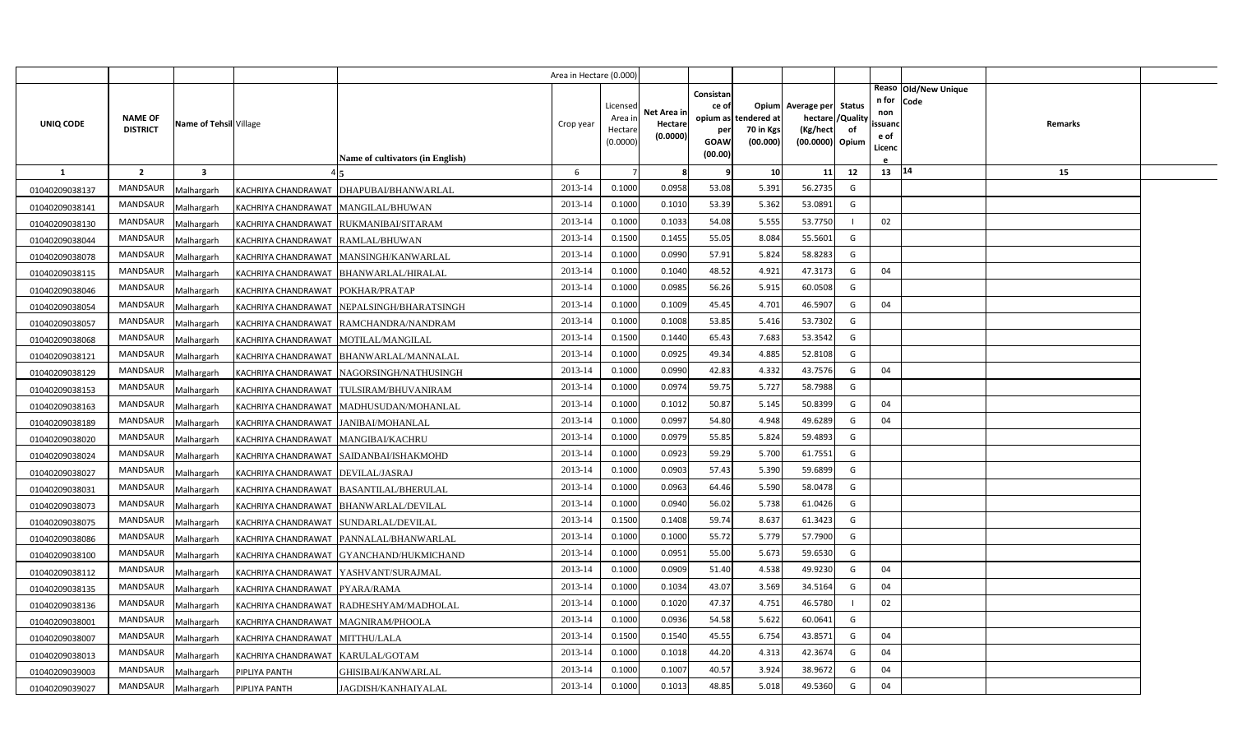|                |                                   |                         |                                       |                                            | Area in Hectare (0.000) |                                           |                                    |                                                          |                                      |                                                                    |                |                                          |                              |         |  |
|----------------|-----------------------------------|-------------------------|---------------------------------------|--------------------------------------------|-------------------------|-------------------------------------------|------------------------------------|----------------------------------------------------------|--------------------------------------|--------------------------------------------------------------------|----------------|------------------------------------------|------------------------------|---------|--|
| UNIQ CODE      | <b>NAME OF</b><br><b>DISTRICT</b> | Name of Tehsil Village  |                                       |                                            | Crop year               | Licensec<br>Area ir<br>Hectar<br>(0.0000) | Net Area ir<br>Hectare<br>(0.0000) | Consistan<br>ce of<br>opium as<br>per<br>GOAW<br>(00.00) | tendered at<br>70 in Kgs<br>(00.000) | Opium Average per Status<br>hectare<br>(Kg/hect<br>(00.0000) Opium | /Quality<br>of | n for<br>non<br>ssuand<br>e of<br>Licenc | Reaso Old/New Unique<br>Code | Remarks |  |
| $\mathbf{1}$   | $\overline{2}$                    | $\overline{\mathbf{3}}$ |                                       | <b>Name of cultivators (in English)</b>    | 6                       |                                           | 8                                  | 9                                                        | 10                                   | 11                                                                 | 12             | 13                                       | 14                           | 15      |  |
| 01040209038137 | <b>MANDSAUR</b>                   | Malhargarh              |                                       | KACHRIYA CHANDRAWAT   DHAPUBAI/BHANWARLAL  | 2013-14                 | 0.1000                                    | 0.0958                             | 53.08                                                    | 5.391                                | 56.2735                                                            | G              |                                          |                              |         |  |
| 01040209038141 | MANDSAUR                          | Malhargarh              | KACHRIYA CHANDRAWAT MANGILAL/BHUWAN   |                                            | 2013-14                 | 0.1000                                    | 0.101                              | 53.39                                                    | 5.362                                | 53.0891                                                            | G              |                                          |                              |         |  |
| 01040209038130 | <b>MANDSAUR</b>                   | Malhargarh              |                                       | KACHRIYA CHANDRAWAT RUKMANIBAI/SITARAM     | 2013-14                 | 0.1000                                    | 0.1033                             | 54.08                                                    | 5.555                                | 53.7750                                                            |                | 02                                       |                              |         |  |
| 01040209038044 | <b>MANDSAUR</b>                   | Malhargarh              | KACHRIYA CHANDRAWAT RAMLAL/BHUWAN     |                                            | 2013-14                 | 0.1500                                    | 0.1455                             | 55.05                                                    | 8.084                                | 55.5601                                                            | G              |                                          |                              |         |  |
| 01040209038078 | MANDSAUR                          | Malhargarh              |                                       | KACHRIYA CHANDRAWAT   MANSINGH/KANWARLAL   | 2013-14                 | 0.1000                                    | 0.0990                             | 57.91                                                    | 5.824                                | 58.8283                                                            | G              |                                          |                              |         |  |
| 01040209038115 | <b>MANDSAUR</b>                   | Malhargarh              |                                       | KACHRIYA CHANDRAWAT BHANWARLAL/HIRALAL     | 2013-14                 | 0.1000                                    | 0.1040                             | 48.52                                                    | 4.921                                | 47.3173                                                            | G              | 04                                       |                              |         |  |
| 01040209038046 | MANDSAUR                          | Malhargarh              | KACHRIYA CHANDRAWAT POKHAR/PRATAP     |                                            | 2013-14                 | 0.1000                                    | 0.0985                             | 56.26                                                    | 5.915                                | 60.0508                                                            | G              |                                          |                              |         |  |
| 01040209038054 | <b>MANDSAUR</b>                   | Malhargarh              |                                       | KACHRIYA CHANDRAWAT NEPALSINGH/BHARATSINGH | 2013-14                 | 0.1000                                    | 0.1009                             | 45.45                                                    | 4.701                                | 46.5907                                                            | G              | 04                                       |                              |         |  |
| 01040209038057 | MANDSAUR                          | Malhargarh              |                                       | KACHRIYA CHANDRAWAT RAMCHANDRA/NANDRAM     | 2013-14                 | 0.1000                                    | 0.1008                             | 53.85                                                    | 5.416                                | 53.7302                                                            | G              |                                          |                              |         |  |
| 01040209038068 | MANDSAUR                          | Malhargarh              | KACHRIYA CHANDRAWAT MOTILAL/MANGILAL  |                                            | 2013-14                 | 0.1500                                    | 0.1440                             | 65.43                                                    | 7.683                                | 53.3542                                                            | G              |                                          |                              |         |  |
| 01040209038121 | MANDSAUR                          | Malhargarh              |                                       | KACHRIYA CHANDRAWAT BHANWARLAL/MANNALAL    | 2013-14                 | 0.1000                                    | 0.0925                             | 49.34                                                    | 4.885                                | 52.8108                                                            | G              |                                          |                              |         |  |
| 01040209038129 | MANDSAUR                          | Malhargarh              |                                       | KACHRIYA CHANDRAWAT NAGORSINGH/NATHUSINGH  | 2013-14                 | 0.1000                                    | 0.0990                             | 42.83                                                    | 4.332                                | 43.7576                                                            | G              | 04                                       |                              |         |  |
| 01040209038153 | <b>MANDSAUR</b>                   | Malhargarh              |                                       | KACHRIYA CHANDRAWAT TULSIRAM/BHUVANIRAM    | 2013-14                 | 0.1000                                    | 0.0974                             | 59.75                                                    | 5.727                                | 58.7988                                                            | G              |                                          |                              |         |  |
| 01040209038163 | MANDSAUR                          | Malhargarh              |                                       | KACHRIYA CHANDRAWAT MADHUSUDAN/MOHANLAL    | 2013-14                 | 0.1000                                    | 0.1012                             | 50.87                                                    | 5.145                                | 50.8399                                                            | G              | 04                                       |                              |         |  |
| 01040209038189 | <b>MANDSAUR</b>                   | Malhargarh              | KACHRIYA CHANDRAWAT  JANIBAI/MOHANLAL |                                            | 2013-14                 | 0.1000                                    | 0.0997                             | 54.80                                                    | 4.948                                | 49.6289                                                            | G              | 04                                       |                              |         |  |
| 01040209038020 | MANDSAUR                          | Malhargarh              | KACHRIYA CHANDRAWAT   MANGIBAI/KACHRU |                                            | 2013-14                 | 0.1000                                    | 0.0979                             | 55.85                                                    | 5.824                                | 59.4893                                                            | G              |                                          |                              |         |  |
| 01040209038024 | MANDSAUR                          | Malhargarh              |                                       | KACHRIYA CHANDRAWAT SAIDANBAI/ISHAKMOHD    | 2013-14                 | 0.1000                                    | 0.0923                             | 59.29                                                    | 5.700                                | 61.7551                                                            | G              |                                          |                              |         |  |
| 01040209038027 | MANDSAUR                          | Malhargarh              | KACHRIYA CHANDRAWAT DEVILAL/JASRAJ    |                                            | 2013-14                 | 0.1000                                    | 0.0903                             | 57.43                                                    | 5.390                                | 59.6899                                                            | G              |                                          |                              |         |  |
| 01040209038031 | MANDSAUR                          | Malhargarh              |                                       | KACHRIYA CHANDRAWAT  BASANTILAL/BHERULAL   | 2013-14                 | 0.1000                                    | 0.0963                             | 64.46                                                    | 5.590                                | 58.0478                                                            | G              |                                          |                              |         |  |
| 01040209038073 | MANDSAUR                          | Malhargarh              | KACHRIYA CHANDRAWAT                   | <b>BHANWARLAL/DEVILAL</b>                  | 2013-14                 | 0.1000                                    | 0.0940                             | 56.02                                                    | 5.738                                | 61.0426                                                            | G              |                                          |                              |         |  |
| 01040209038075 | MANDSAUR                          | Malhargarh              | KACHRIYA CHANDRAWAT SUNDARLAL/DEVILAL |                                            | 2013-14                 | 0.1500                                    | 0.1408                             | 59.74                                                    | 8.637                                | 61.3423                                                            | G              |                                          |                              |         |  |
| 01040209038086 | MANDSAUR                          | Malhargarh              |                                       | KACHRIYA CHANDRAWAT PANNALAL/BHANWARLAL    | 2013-14                 | 0.1000                                    | 0.1000                             | 55.72                                                    | 5.779                                | 57.7900                                                            | G              |                                          |                              |         |  |
| 01040209038100 | MANDSAUR                          | Malhargarh              | KACHRIYA CHANDRAWAT                   | GYANCHAND/HUKMICHAND                       | 2013-14                 | 0.1000                                    | 0.0951                             | 55.00                                                    | 5.673                                | 59.6530                                                            | G              |                                          |                              |         |  |
| 01040209038112 | MANDSAUR                          | Malhargarh              |                                       | KACHRIYA CHANDRAWAT YASHVANT/SURAJMAL      | 2013-14                 | 0.1000                                    | 0.0909                             | 51.40                                                    | 4.538                                | 49.9230                                                            | G              | 04                                       |                              |         |  |
| 01040209038135 | MANDSAUR                          | Malhargarh              | KACHRIYA CHANDRAWAT PYARA/RAMA        |                                            | 2013-14                 | 0.1000                                    | 0.1034                             | 43.07                                                    | 3.569                                | 34.5164                                                            | G              | 04                                       |                              |         |  |
| 01040209038136 | MANDSAUR                          | Malhargarh              |                                       | KACHRIYA CHANDRAWAT RADHESHYAM/MADHOLAL    | 2013-14                 | 0.1000                                    | 0.1020                             | 47.37                                                    | 4.751                                | 46.5780                                                            |                | 02                                       |                              |         |  |
| 01040209038001 | MANDSAUR                          | Malhargarh              | KACHRIYA CHANDRAWAT MAGNIRAM/PHOOLA   |                                            | 2013-14                 | 0.1000                                    | 0.0936                             | 54.58                                                    | 5.622                                | 60.0641                                                            | G              |                                          |                              |         |  |
| 01040209038007 | MANDSAUR                          | Malhargarh              | KACHRIYA CHANDRAWAT MITTHU/LALA       |                                            | 2013-14                 | 0.1500                                    | 0.1540                             | 45.55                                                    | 6.754                                | 43.8571                                                            | G              | 04                                       |                              |         |  |
| 01040209038013 | MANDSAUR                          | Malhargarh              | KACHRIYA CHANDRAWAT KARULAL/GOTAM     |                                            | 2013-14                 | 0.1000                                    | 0.1018                             | 44.20                                                    | 4.313                                | 42.3674                                                            | G              | 04                                       |                              |         |  |
| 01040209039003 | <b>MANDSAUR</b>                   | Malhargarh              | PIPLIYA PANTH                         | GHISIBAI/KANWARLAL                         | 2013-14                 | 0.1000                                    | 0.1007                             | 40.57                                                    | 3.924                                | 38.9672                                                            | G              | 04                                       |                              |         |  |
| 01040209039027 | MANDSAUR                          | Malhargarh              | PIPLIYA PANTH                         | JAGDISH/KANHAIYALAL                        | 2013-14                 | 0.1000                                    | 0.1013                             | 48.85                                                    | 5.018                                | 49.5360                                                            | G              | 04                                       |                              |         |  |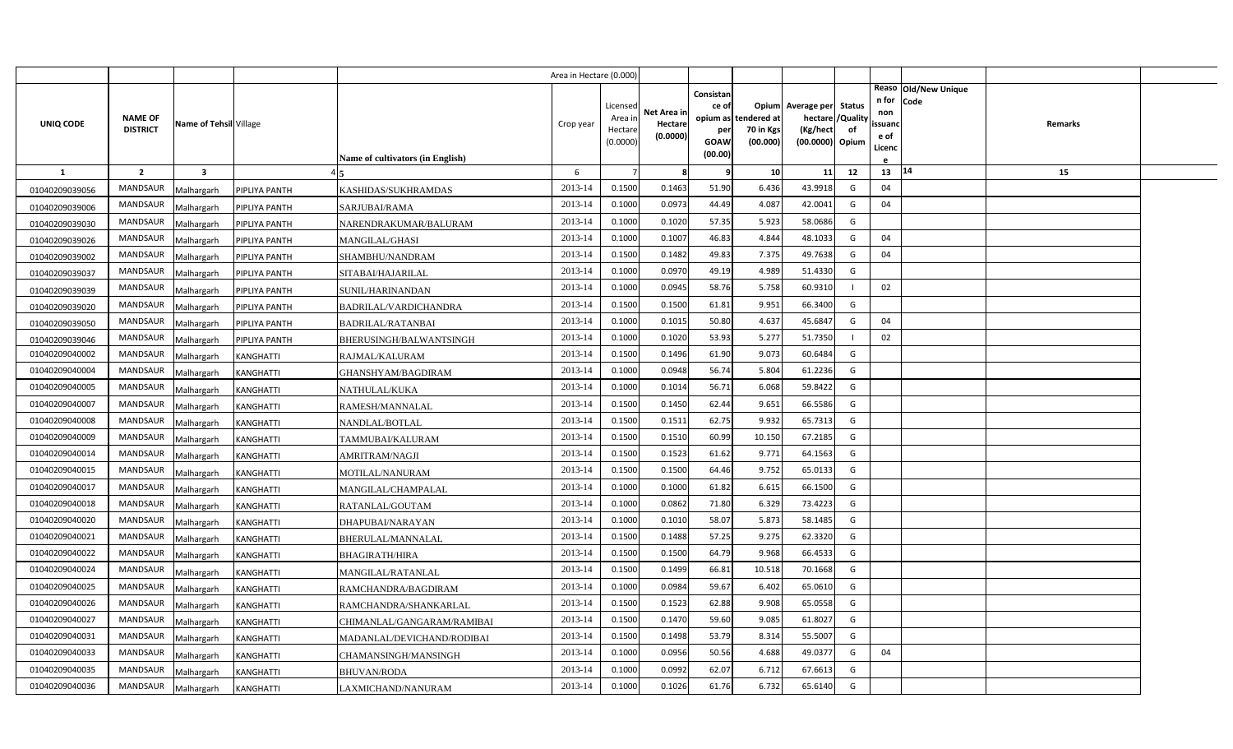|                  |                 |                         |                  |                                  | Area in Hectare (0.000) |                     |             |                   |             |                                     |          |                |                              |         |  |
|------------------|-----------------|-------------------------|------------------|----------------------------------|-------------------------|---------------------|-------------|-------------------|-------------|-------------------------------------|----------|----------------|------------------------------|---------|--|
|                  |                 |                         |                  |                                  |                         |                     |             | Consistan         |             |                                     |          | n for          | Reaso Old/New Unique<br>Code |         |  |
|                  | <b>NAME OF</b>  |                         |                  |                                  |                         | Licensed<br>Area ir | Net Area ir | ce of<br>opium as | tendered at | Opium Average per Status<br>hectare | /Quality | non            |                              |         |  |
| <b>UNIQ CODE</b> | <b>DISTRICT</b> | Name of Tehsil Village  |                  |                                  | Crop year               | Hectar              | Hectare     | per               | 70 in Kgs   | (Kg/hect                            | of       | ssuand         |                              | Remarks |  |
|                  |                 |                         |                  |                                  |                         | (0.0000)            | (0.0000)    | GOAW              | (00.000)    | (00.0000) Opium                     |          | e of<br>Licenc |                              |         |  |
|                  |                 |                         |                  | Name of cultivators (in English) |                         |                     |             | (00.00)           |             |                                     |          |                |                              |         |  |
| $\mathbf{1}$     | $\overline{2}$  | $\overline{\mathbf{3}}$ |                  |                                  | 6                       |                     | 8           | q                 | 10          | 11                                  | 12       | 13             | 14                           | 15      |  |
| 01040209039056   | <b>MANDSAUR</b> | Malhargarh              | PIPLIYA PANTH    | KASHIDAS/SUKHRAMDAS              | 2013-14                 | 0.1500              | 0.1463      | 51.90             | 6.436       | 43.9918                             | G        | 04             |                              |         |  |
| 01040209039006   | MANDSAUR        | Malhargarh              | PIPLIYA PANTH    | SARJUBAI/RAMA                    | 2013-14                 | 0.1000              | 0.0973      | 44.49             | 4.087       | 42.0041                             | G        | 04             |                              |         |  |
| 01040209039030   | <b>MANDSAUR</b> | Malhargarh              | PIPLIYA PANTH    | NARENDRAKUMAR/BALURAM            | 2013-14                 | 0.1000              | 0.1020      | 57.35             | 5.923       | 58.0686                             | G        |                |                              |         |  |
| 01040209039026   | MANDSAUR        | Malhargarh              | PIPLIYA PANTH    | MANGILAL/GHASI                   | 2013-14                 | 0.1000              | 0.1007      | 46.83             | 4.844       | 48.1033                             | G        | 04             |                              |         |  |
| 01040209039002   | <b>MANDSAUR</b> | Malhargarh              | PIPLIYA PANTH    | SHAMBHU/NANDRAM                  | 2013-14                 | 0.1500              | 0.1482      | 49.83             | 7.375       | 49.7638                             | G        | 04             |                              |         |  |
| 01040209039037   | MANDSAUR        | Malhargarh              | PIPLIYA PANTH    | SITABAI/HAJARILAL                | 2013-14                 | 0.1000              | 0.0970      | 49.19             | 4.989       | 51.4330                             | G        |                |                              |         |  |
| 01040209039039   | <b>MANDSAUR</b> | Malhargarh              | PIPLIYA PANTH    | SUNIL/HARINANDAN                 | 2013-14                 | 0.1000              | 0.0945      | 58.76             | 5.758       | 60.9310                             |          | 02             |                              |         |  |
| 01040209039020   | <b>MANDSAUR</b> | Malhargarh              | PIPLIYA PANTH    | BADRILAL/VARDICHANDRA            | 2013-14                 | 0.1500              | 0.1500      | 61.81             | 9.951       | 66.3400                             | G        |                |                              |         |  |
| 01040209039050   | MANDSAUR        | Malhargarh              | PIPLIYA PANTH    | <b>BADRILAL/RATANBAI</b>         | 2013-14                 | 0.1000              | 0.1015      | 50.80             | 4.637       | 45.6847                             | G        | 04             |                              |         |  |
| 01040209039046   | <b>MANDSAUR</b> | Malhargarh              | PIPLIYA PANTH    | BHERUSINGH/BALWANTSINGH          | 2013-14                 | 0.1000              | 0.1020      | 53.93             | 5.277       | 51.7350                             |          | 02             |                              |         |  |
| 01040209040002   | MANDSAUR        | Malhargarh              | <b>KANGHATTI</b> | RAJMAL/KALURAM                   | 2013-14                 | 0.1500              | 0.1496      | 61.90             | 9.073       | 60.6484                             | G        |                |                              |         |  |
| 01040209040004   | <b>MANDSAUR</b> | Malhargarh              | KANGHATTI        | GHANSHYAM/BAGDIRAM               | 2013-14                 | 0.1000              | 0.0948      | 56.74             | 5.804       | 61.2236                             | G        |                |                              |         |  |
| 01040209040005   | <b>MANDSAUR</b> | Malhargarh              | <b>KANGHATTI</b> | NATHULAL/KUKA                    | 2013-14                 | 0.1000              | 0.1014      | 56.71             | 6.068       | 59.8422                             | G        |                |                              |         |  |
| 01040209040007   | <b>MANDSAUR</b> | Malhargarh              | KANGHATTI        | RAMESH/MANNALAL                  | 2013-14                 | 0.1500              | 0.1450      | 62.44             | 9.651       | 66.5586                             | G        |                |                              |         |  |
| 01040209040008   | <b>MANDSAUR</b> | Malhargarh              | KANGHATTI        | NANDLAL/BOTLAL                   | 2013-14                 | 0.1500              | 0.1511      | 62.75             | 9.932       | 65.7313                             | G        |                |                              |         |  |
| 01040209040009   | MANDSAUR        | Malhargarh              | KANGHATTI        | TAMMUBAI/KALURAM                 | 2013-14                 | 0.1500              | 0.1510      | 60.99             | 10.150      | 67.2185                             | G        |                |                              |         |  |
| 01040209040014   | <b>MANDSAUR</b> | Malhargarh              | KANGHATTI        | AMRITRAM/NAGJI                   | 2013-14                 | 0.1500              | 0.1523      | 61.62             | 9.771       | 64.1563                             | G        |                |                              |         |  |
| 01040209040015   | MANDSAUR        | Malhargarh              | KANGHATTI        | MOTILAL/NANURAM                  | 2013-14                 | 0.1500              | 0.1500      | 64.46             | 9.752       | 65.0133                             | G        |                |                              |         |  |
| 01040209040017   | <b>MANDSAUR</b> | Malhargarh              | KANGHATTI        | MANGILAL/CHAMPALAL               | 2013-14                 | 0.1000              | 0.1000      | 61.82             | 6.615       | 66.1500                             | G        |                |                              |         |  |
| 01040209040018   | MANDSAUR        | Malhargarh              | KANGHATTI        | RATANLAL/GOUTAM                  | 2013-14                 | 0.1000              | 0.0862      | 71.80             | 6.329       | 73.4223                             | G        |                |                              |         |  |
| 01040209040020   | MANDSAUR        | Malhargarh              | KANGHATTI        | DHAPUBAI/NARAYAN                 | 2013-14                 | 0.1000              | 0.1010      | 58.07             | 5.873       | 58.1485                             | G        |                |                              |         |  |
| 01040209040021   | MANDSAUR        | Malhargarh              | KANGHATTI        | BHERULAL/MANNALAL                | 2013-14                 | 0.1500              | 0.1488      | 57.25             | 9.275       | 62.3320                             | G        |                |                              |         |  |
| 01040209040022   | <b>MANDSAUR</b> | Malhargarh              | KANGHATTI        | BHAGIRATH/HIRA                   | 2013-14                 | 0.1500              | 0.1500      | 64.79             | 9.968       | 66.4533                             | G        |                |                              |         |  |
| 01040209040024   | MANDSAUR        | Malhargarh              | KANGHATTI        | MANGILAL/RATANLAL                | 2013-14                 | 0.1500              | 0.1499      | 66.81             | 10.518      | 70.1668                             | G        |                |                              |         |  |
| 01040209040025   | MANDSAUR        | Malhargarh              | KANGHATTI        | RAMCHANDRA/BAGDIRAM              | 2013-14                 | 0.1000              | 0.0984      | 59.67             | 6.402       | 65.0610                             | G        |                |                              |         |  |
| 01040209040026   | MANDSAUR        | Malhargarh              | KANGHATTI        | RAMCHANDRA/SHANKARLAL            | 2013-14                 | 0.1500              | 0.1523      | 62.88             | 9.908       | 65.0558                             | G        |                |                              |         |  |
| 01040209040027   | MANDSAUR        | Malhargarh              | KANGHATTI        | CHIMANLAL/GANGARAM/RAMIBAI       | 2013-14                 | 0.1500              | 0.1470      | 59.60             | 9.085       | 61.8027                             | G        |                |                              |         |  |
| 01040209040031   | MANDSAUR        | Malhargarh              | KANGHATTI        | MADANLAL/DEVICHAND/RODIBAI       | 2013-14                 | 0.1500              | 0.1498      | 53.79             | 8.314       | 55.5007                             | G        |                |                              |         |  |
| 01040209040033   | MANDSAUR        | Malhargarh              | KANGHATTI        | CHAMANSINGH/MANSINGH             | 2013-14                 | 0.1000              | 0.0956      | 50.56             | 4.688       | 49.0377                             | G        | 04             |                              |         |  |
| 01040209040035   | MANDSAUR        | Malhargarh              | KANGHATTI        | <b>BHUVAN/RODA</b>               | 2013-14                 | 0.1000              | 0.0992      | 62.07             | 6.712       | 67.6613                             | G        |                |                              |         |  |
| 01040209040036   | MANDSAUR        | Malhargarh              | <b>KANGHATTI</b> | LAXMICHAND/NANURAM               | 2013-14                 | 0.1000              | 0.1026      | 61.76             | 6.732       | 65.6140                             | G        |                |                              |         |  |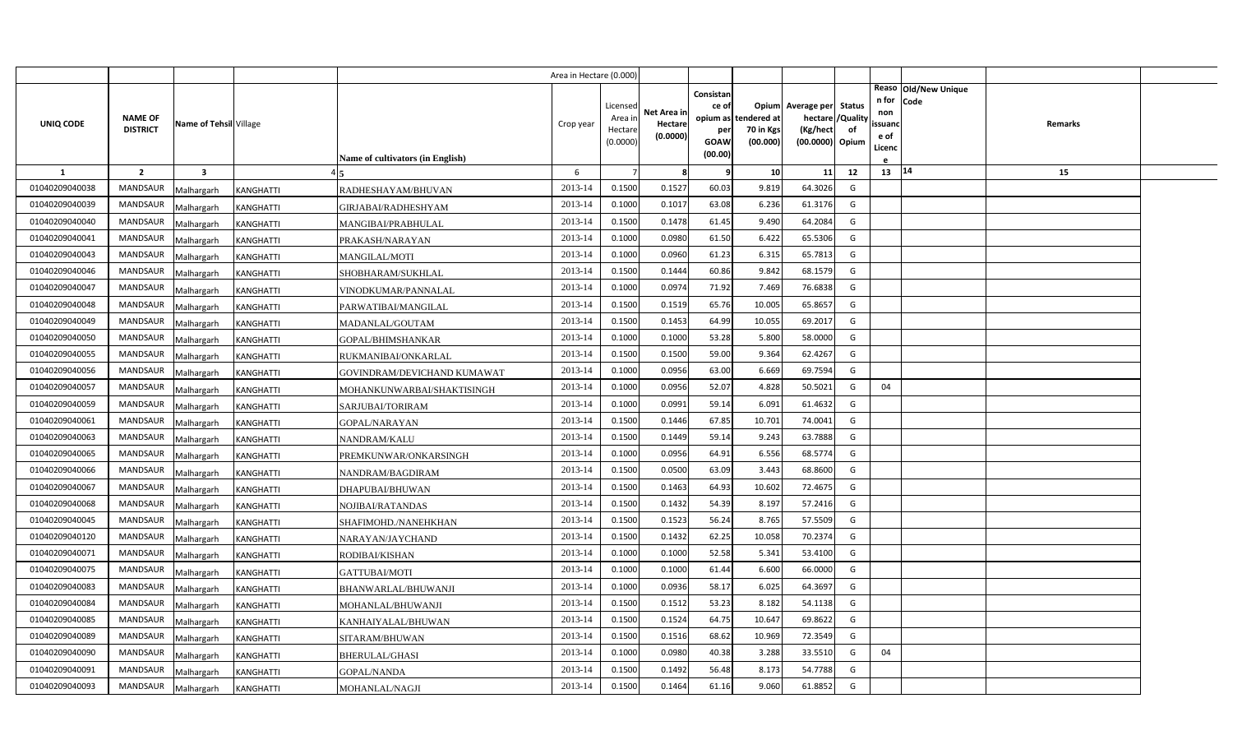|                |                                   |                         |                  |                                         | Area in Hectare (0.000) |                                            |                                    |                                                     |                                               |                                                                    |                |                                          |                              |         |  |
|----------------|-----------------------------------|-------------------------|------------------|-----------------------------------------|-------------------------|--------------------------------------------|------------------------------------|-----------------------------------------------------|-----------------------------------------------|--------------------------------------------------------------------|----------------|------------------------------------------|------------------------------|---------|--|
| UNIQ CODE      | <b>NAME OF</b><br><b>DISTRICT</b> | Name of Tehsil Village  |                  | <b>Name of cultivators (in English)</b> | Crop year               | Licensed<br>Area in<br>Hectare<br>(0.0000) | Net Area in<br>Hectare<br>(0.0000) | Consistan<br>ce of<br>per<br><b>GOAW</b><br>(00.00) | opium as tendered at<br>70 in Kgs<br>(00.000) | Opium Average per Status<br>hectare<br>(Kg/hect<br>(00.0000) Opium | /Quality<br>of | n for<br>non<br>ssuanc<br>e of<br>Licenc | Reaso Old/New Unique<br>Code | Remarks |  |
| 1              | $\overline{2}$                    | $\overline{\mathbf{3}}$ |                  |                                         | 6                       |                                            | -8                                 | -9                                                  | 10                                            | 11                                                                 | 12             | 13 14                                    |                              | 15      |  |
| 01040209040038 | <b>MANDSAUR</b>                   | Malhargarh              | KANGHATTI        | RADHESHAYAM/BHUVAN                      | 2013-14                 | 0.1500                                     | 0.1527                             | 60.03                                               | 9.819                                         | 64.3026                                                            | G              |                                          |                              |         |  |
| 01040209040039 | <b>MANDSAUR</b>                   | Malhargarh              | <b>KANGHATTI</b> | GIRJABAI/RADHESHYAM                     | 2013-14                 | 0.1000                                     | 0.1017                             | 63.08                                               | 6.236                                         | 61.3176                                                            | G              |                                          |                              |         |  |
| 01040209040040 | <b>MANDSAUR</b>                   | Malhargarh              | <b>KANGHATTI</b> | MANGIBAI/PRABHULAL                      | 2013-14                 | 0.1500                                     | 0.1478                             | 61.45                                               | 9.490                                         | 64.2084                                                            | G              |                                          |                              |         |  |
| 01040209040041 | <b>MANDSAUR</b>                   | Malhargarh              | KANGHATTI        | PRAKASH/NARAYAN                         | 2013-14                 | 0.1000                                     | 0.0980                             | 61.50                                               | 6.422                                         | 65.5306                                                            | G              |                                          |                              |         |  |
| 01040209040043 | <b>MANDSAUR</b>                   | Malhargarh              | <b>KANGHATTI</b> | <b>MANGILAL/MOTI</b>                    | 2013-14                 | 0.1000                                     | 0.0960                             | 61.23                                               | 6.31                                          | 65.7813                                                            | G              |                                          |                              |         |  |
| 01040209040046 | <b>MANDSAUR</b>                   | Malhargarh              | KANGHATTI        | SHOBHARAM/SUKHLAL                       | 2013-14                 | 0.1500                                     | 0.1444                             | 60.86                                               | 9.842                                         | 68.1579                                                            | G              |                                          |                              |         |  |
| 01040209040047 | <b>MANDSAUR</b>                   | Malhargarh              | <b>KANGHATTI</b> | VINODKUMAR/PANNALAL                     | 2013-14                 | 0.1000                                     | 0.0974                             | 71.92                                               | 7.469                                         | 76.6838                                                            | G              |                                          |                              |         |  |
| 01040209040048 | <b>MANDSAUR</b>                   | Malhargarh              | KANGHATTI        | PARWATIBAI/MANGILAL                     | 2013-14                 | 0.1500                                     | 0.1519                             | 65.76                                               | 10.005                                        | 65.8657                                                            | G              |                                          |                              |         |  |
| 01040209040049 | <b>MANDSAUR</b>                   | Malhargarh              | <b>KANGHATTI</b> | MADANLAL/GOUTAM                         | 2013-14                 | 0.1500                                     | 0.1453                             | 64.99                                               | 10.055                                        | 69.2017                                                            | G              |                                          |                              |         |  |
| 01040209040050 | <b>MANDSAUR</b>                   | Malhargarh              | <b>KANGHATTI</b> | GOPAL/BHIMSHANKAR                       | 2013-14                 | 0.1000                                     | 0.1000                             | 53.28                                               | 5.800                                         | 58.0000                                                            | G              |                                          |                              |         |  |
| 01040209040055 | <b>MANDSAUR</b>                   | Malhargarh              | KANGHATTI        | RUKMANIBAI/ONKARLAL                     | 2013-14                 | 0.1500                                     | 0.1500                             | 59.00                                               | 9.364                                         | 62.4267                                                            | G              |                                          |                              |         |  |
| 01040209040056 | <b>MANDSAUR</b>                   | Malhargarh              | KANGHATTI        | GOVINDRAM/DEVICHAND KUMAWAT             | 2013-14                 | 0.1000                                     | 0.0956                             | 63.00                                               | 6.669                                         | 69.7594                                                            | G              |                                          |                              |         |  |
| 01040209040057 | <b>MANDSAUR</b>                   | Malhargarh              | KANGHATTI        | MOHANKUNWARBAI/SHAKTISINGH              | 2013-14                 | 0.1000                                     | 0.0956                             | 52.07                                               | 4.828                                         | 50.5021                                                            | G              | 04                                       |                              |         |  |
| 01040209040059 | <b>MANDSAUR</b>                   | Malhargarh              | KANGHATTI        | SARJUBAI/TORIRAM                        | 2013-14                 | 0.1000                                     | 0.0991                             | 59.14                                               | 6.091                                         | 61.4632                                                            | G              |                                          |                              |         |  |
| 01040209040061 | <b>MANDSAUR</b>                   | Malhargarh              | KANGHATTI        | GOPAL/NARAYAN                           | 2013-14                 | 0.1500                                     | 0.1446                             | 67.85                                               | 10.701                                        | 74.0041                                                            | G              |                                          |                              |         |  |
| 01040209040063 | <b>MANDSAUR</b>                   | Malhargarh              | KANGHATTI        | NANDRAM/KALU                            | 2013-14                 | 0.1500                                     | 0.1449                             | 59.14                                               | 9.243                                         | 63.7888                                                            | G              |                                          |                              |         |  |
| 01040209040065 | <b>MANDSAUR</b>                   | Malhargarh              | KANGHATTI        | PREMKUNWAR/ONKARSINGH                   | 2013-14                 | 0.1000                                     | 0.0956                             | 64.91                                               | 6.556                                         | 68.5774                                                            | G              |                                          |                              |         |  |
| 01040209040066 | <b>MANDSAUR</b>                   | Malhargarh              | <b>KANGHATTI</b> | NANDRAM/BAGDIRAM                        | 2013-14                 | 0.1500                                     | 0.0500                             | 63.09                                               | 3.443                                         | 68.8600                                                            | G              |                                          |                              |         |  |
| 01040209040067 | <b>MANDSAUR</b>                   | Malhargarh              | <b>KANGHATTI</b> | DHAPUBAI/BHUWAN                         | 2013-14                 | 0.1500                                     | 0.1463                             | 64.93                                               | 10.602                                        | 72.4675                                                            | G              |                                          |                              |         |  |
| 01040209040068 | <b>MANDSAUR</b>                   | Malhargarh              | <b>KANGHATTI</b> | NOJIBAI/RATANDAS                        | 2013-14                 | 0.1500                                     | 0.1432                             | 54.39                                               | 8.197                                         | 57.2416                                                            | G              |                                          |                              |         |  |
| 01040209040045 | <b>MANDSAUR</b>                   | Malhargarh              | KANGHATTI        | SHAFIMOHD./NANEHKHAN                    | 2013-14                 | 0.1500                                     | 0.1523                             | 56.24                                               | 8.765                                         | 57.5509                                                            | G              |                                          |                              |         |  |
| 01040209040120 | <b>MANDSAUR</b>                   | Malhargarh              | KANGHATTI        | NARAYAN/JAYCHAND                        | 2013-14                 | 0.1500                                     | 0.1432                             | 62.25                                               | 10.058                                        | 70.2374                                                            | G              |                                          |                              |         |  |
| 01040209040071 | <b>MANDSAUR</b>                   | Malhargarh              | <b>KANGHATTI</b> | RODIBAI/KISHAN                          | 2013-14                 | 0.1000                                     | 0.1000                             | 52.58                                               | 5.341                                         | 53.4100                                                            | G              |                                          |                              |         |  |
| 01040209040075 | <b>MANDSAUR</b>                   | Malhargarh              | <b>KANGHATTI</b> | GATTUBAI/MOTI                           | 2013-14                 | 0.1000                                     | 0.1000                             | 61.44                                               | 6.600                                         | 66.0000                                                            | G              |                                          |                              |         |  |
| 01040209040083 | <b>MANDSAUR</b>                   | Malhargarh              | <b>KANGHATTI</b> | BHANWARLAL/BHUWANJI                     | 2013-14                 | 0.1000                                     | 0.0936                             | 58.17                                               | 6.025                                         | 64.3697                                                            | G              |                                          |                              |         |  |
| 01040209040084 | <b>MANDSAUR</b>                   | Malhargarh              | KANGHATTI        | MOHANLAL/BHUWANJI                       | 2013-14                 | 0.1500                                     | 0.1512                             | 53.23                                               | 8.182                                         | 54.1138                                                            | G              |                                          |                              |         |  |
| 01040209040085 | <b>MANDSAUR</b>                   | Malhargarh              | KANGHATTI        | KANHAIYALAL/BHUWAN                      | 2013-14                 | 0.1500                                     | 0.1524                             | 64.75                                               | 10.647                                        | 69.8622                                                            | G              |                                          |                              |         |  |
| 01040209040089 | <b>MANDSAUR</b>                   | Malhargarh              | KANGHATTI        | SITARAM/BHUWAN                          | 2013-14                 | 0.1500                                     | 0.1516                             | 68.62                                               | 10.969                                        | 72.3549                                                            | G              |                                          |                              |         |  |
| 01040209040090 | <b>MANDSAUR</b>                   | Malhargarh              | KANGHATTI        | <b>BHERULAL/GHASI</b>                   | 2013-14                 | 0.1000                                     | 0.0980                             | 40.38                                               | 3.288                                         | 33.5510                                                            | G              | 04                                       |                              |         |  |
| 01040209040091 | <b>MANDSAUR</b>                   | Malhargarh              | KANGHATTI        | GOPAL/NANDA                             | 2013-14                 | 0.1500                                     | 0.1492                             | 56.48                                               | 8.173                                         | 54.7788                                                            | G              |                                          |                              |         |  |
| 01040209040093 | MANDSAUR                          | Malhargarh              | <b>KANGHATTI</b> | MOHANLAL/NAGJI                          | 2013-14                 | 0.1500                                     | 0.1464                             | 61.16                                               | 9.060                                         | 61.8852                                                            | G              |                                          |                              |         |  |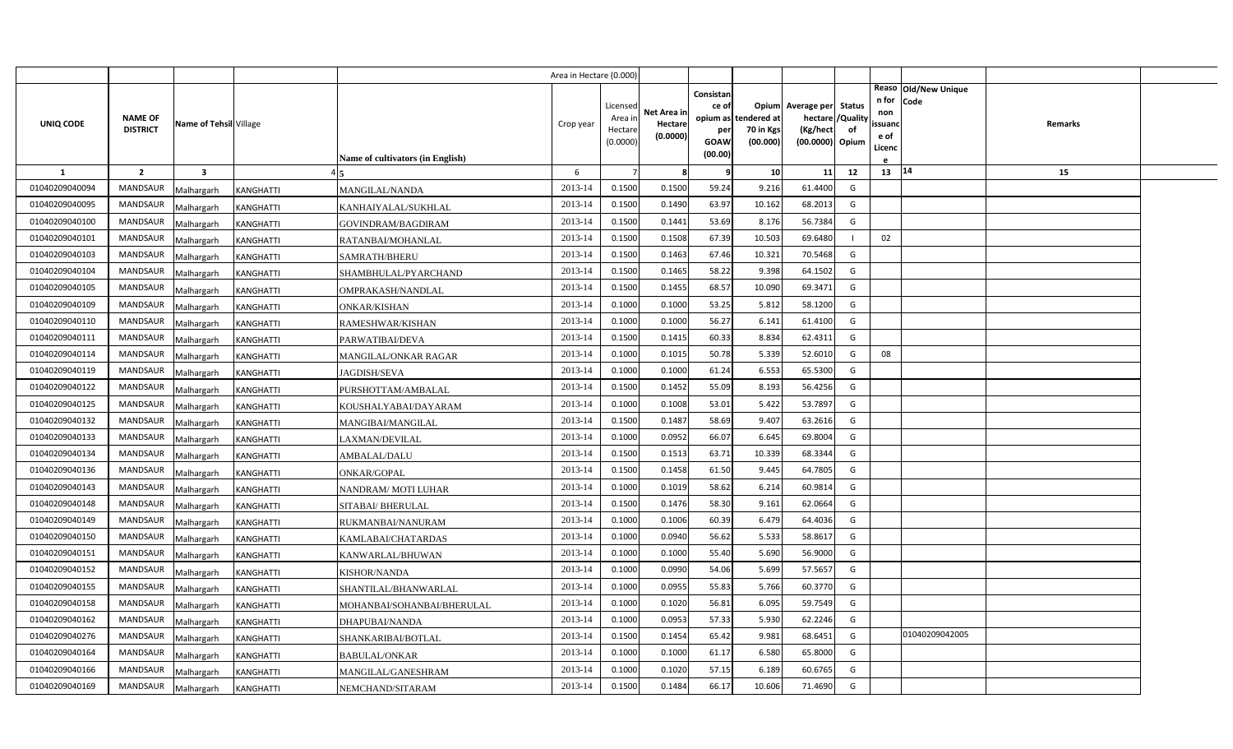|                |                                   |                         |                  |                                  | Area in Hectare (0.000) |                                            |                                    |                                                          |                                      |                                                                       |                     |                                          |                                |                |  |
|----------------|-----------------------------------|-------------------------|------------------|----------------------------------|-------------------------|--------------------------------------------|------------------------------------|----------------------------------------------------------|--------------------------------------|-----------------------------------------------------------------------|---------------------|------------------------------------------|--------------------------------|----------------|--|
| UNIQ CODE      | <b>NAME OF</b><br><b>DISTRICT</b> | Name of Tehsil Village  |                  | Name of cultivators (in English) | Crop year               | Licensed<br>Area in<br>Hectare<br>(0.0000) | Net Area in<br>Hectare<br>(0.0000) | Consistan<br>ce of<br>opium as<br>per<br>GOAW<br>(00.00) | tendered at<br>70 in Kgs<br>(00.000) | Opium Average per<br>hectare / Quality<br>(Kg/hect<br>(00.0000) Opium | <b>Status</b><br>of | n for<br>non<br>ssuand<br>e of<br>Licenc | Reaso   Old/New Unique<br>Code | <b>Remarks</b> |  |
| -1             | $\overline{2}$                    | $\overline{\mathbf{3}}$ |                  |                                  | 6                       |                                            | 8                                  | q                                                        | 10                                   | 11                                                                    | 12                  | 13   14                                  |                                | 15             |  |
| 01040209040094 | MANDSAUR                          | Malhargarh              | KANGHATTI        | MANGILAL/NANDA                   | 2013-14                 | 0.1500                                     | 0.1500                             | 59.24                                                    | 9.216                                | 61.4400                                                               | G                   |                                          |                                |                |  |
| 01040209040095 | <b>MANDSAUR</b>                   | Malhargarh              | KANGHATTI        | KANHAIYALAL/SUKHLAL              | 2013-14                 | 0.1500                                     | 0.1490                             | 63.97                                                    | 10.162                               | 68.2013                                                               | G                   |                                          |                                |                |  |
| 01040209040100 | <b>MANDSAUR</b>                   | Malhargarh              | KANGHATTI        | GOVINDRAM/BAGDIRAM               | 2013-14                 | 0.1500                                     | 0.1441                             | 53.69                                                    | 8.176                                | 56.7384                                                               | G                   |                                          |                                |                |  |
| 01040209040101 | <b>MANDSAUR</b>                   | Malhargarh              | KANGHATTI        | RATANBAI/MOHANLAL                | 2013-14                 | 0.1500                                     | 0.1508                             | 67.39                                                    | 10.503                               | 69.6480                                                               |                     | 02                                       |                                |                |  |
| 01040209040103 | <b>MANDSAUR</b>                   | Malhargarh              | KANGHATTI        | SAMRATH/BHERU                    | 2013-14                 | 0.1500                                     | 0.1463                             | 67.46                                                    | 10.32                                | 70.5468                                                               | G                   |                                          |                                |                |  |
| 01040209040104 | <b>MANDSAUR</b>                   | Malhargarh              | KANGHATTI        | SHAMBHULAL/PYARCHAND             | 2013-14                 | 0.1500                                     | 0.1465                             | 58.22                                                    | 9.398                                | 64.1502                                                               | G                   |                                          |                                |                |  |
| 01040209040105 | <b>MANDSAUR</b>                   | Malhargarh              | <b>KANGHATTI</b> | OMPRAKASH/NANDLAL                | 2013-14                 | 0.1500                                     | 0.1455                             | 68.57                                                    | 10.090                               | 69.3471                                                               | G                   |                                          |                                |                |  |
| 01040209040109 | <b>MANDSAUR</b>                   | Malhargarh              | KANGHATTI        | <b>ONKAR/KISHAN</b>              | 2013-14                 | 0.1000                                     | 0.1000                             | 53.25                                                    | 5.812                                | 58.1200                                                               | G                   |                                          |                                |                |  |
| 01040209040110 | <b>MANDSAUR</b>                   | Malhargarh              | KANGHATTI        | RAMESHWAR/KISHAN                 | 2013-14                 | 0.1000                                     | 0.1000                             | 56.27                                                    | 6.141                                | 61.4100                                                               | G                   |                                          |                                |                |  |
| 01040209040111 | <b>MANDSAUR</b>                   | Malhargarh              | KANGHATTI        | PARWATIBAI/DEVA                  | 2013-14                 | 0.1500                                     | 0.1415                             | 60.33                                                    | 8.834                                | 62.4311                                                               | G                   |                                          |                                |                |  |
| 01040209040114 | <b>MANDSAUR</b>                   | Malhargarh              | KANGHATTI        | MANGILAL/ONKAR RAGAR             | 2013-14                 | 0.1000                                     | 0.1015                             | 50.78                                                    | 5.339                                | 52.6010                                                               | G                   | 08                                       |                                |                |  |
| 01040209040119 | MANDSAUR                          | Malhargarh              | KANGHATTI        | <b>JAGDISH/SEVA</b>              | 2013-14                 | 0.1000                                     | 0.1000                             | 61.24                                                    | 6.553                                | 65.5300                                                               | G                   |                                          |                                |                |  |
| 01040209040122 | <b>MANDSAUR</b>                   | Malhargarh              | KANGHATTI        | PURSHOTTAM/AMBALAL               | 2013-14                 | 0.1500                                     | 0.1452                             | 55.09                                                    | 8.193                                | 56.4256                                                               | G                   |                                          |                                |                |  |
| 01040209040125 | MANDSAUR                          | Malhargarh              | KANGHATTI        | KOUSHALYABAI/DAYARAM             | 2013-14                 | 0.1000                                     | 0.1008                             | 53.01                                                    | 5.422                                | 53.7897                                                               | G                   |                                          |                                |                |  |
| 01040209040132 | <b>MANDSAUR</b>                   | Malhargarh              | KANGHATTI        | MANGIBAI/MANGILAL                | 2013-14                 | 0.1500                                     | 0.1487                             | 58.69                                                    | 9.407                                | 63.2616                                                               | G                   |                                          |                                |                |  |
| 01040209040133 | MANDSAUR                          | Malhargarh              | KANGHATTI        | LAXMAN/DEVILAL                   | 2013-14                 | 0.1000                                     | 0.0952                             | 66.07                                                    | 6.645                                | 69.8004                                                               | G                   |                                          |                                |                |  |
| 01040209040134 | <b>MANDSAUR</b>                   | Malhargarh              | KANGHATTI        | AMBALAL/DALU                     | 2013-14                 | 0.1500                                     | 0.1513                             | 63.71                                                    | 10.339                               | 68.3344                                                               | G                   |                                          |                                |                |  |
| 01040209040136 | MANDSAUR                          | Malhargarh              | KANGHATTI        | ONKAR/GOPAL                      | 2013-14                 | 0.1500                                     | 0.1458                             | 61.50                                                    | 9.445                                | 64.7805                                                               | G                   |                                          |                                |                |  |
| 01040209040143 | <b>MANDSAUR</b>                   | Malhargarh              | KANGHATTI        | NANDRAM/MOTI LUHAR               | 2013-14                 | 0.1000                                     | 0.1019                             | 58.62                                                    | 6.214                                | 60.9814                                                               | G                   |                                          |                                |                |  |
| 01040209040148 | <b>MANDSAUR</b>                   | Malhargarh              | KANGHATTI        | SITABAI/ BHERULAL                | 2013-14                 | 0.1500                                     | 0.1476                             | 58.30                                                    | 9.161                                | 62.0664                                                               | G                   |                                          |                                |                |  |
| 01040209040149 | <b>MANDSAUR</b>                   | Malhargarh              | KANGHATTI        | RUKMANBAI/NANURAM                | 2013-14                 | 0.1000                                     | 0.1006                             | 60.39                                                    | 6.479                                | 64.4036                                                               | G                   |                                          |                                |                |  |
| 01040209040150 | <b>MANDSAUR</b>                   | Malhargarh              | KANGHATTI        | KAMLABAI/CHATARDAS               | 2013-14                 | 0.1000                                     | 0.0940                             | 56.62                                                    | 5.533                                | 58.8617                                                               | G                   |                                          |                                |                |  |
| 01040209040151 | <b>MANDSAUR</b>                   | Malhargarh              | KANGHATTI        | KANWARLAL/BHUWAN                 | 2013-14                 | 0.1000                                     | 0.1000                             | 55.40                                                    | 5.690                                | 56.9000                                                               | G                   |                                          |                                |                |  |
| 01040209040152 | <b>MANDSAUR</b>                   | Malhargarh              | KANGHATTI        | KISHOR/NANDA                     | 2013-14                 | 0.1000                                     | 0.0990                             | 54.06                                                    | 5.699                                | 57.5657                                                               | G                   |                                          |                                |                |  |
| 01040209040155 | <b>MANDSAUR</b>                   | Malhargarh              | <b>KANGHATTI</b> | SHANTILAL/BHANWARLAL             | 2013-14                 | 0.1000                                     | 0.0955                             | 55.83                                                    | 5.766                                | 60.3770                                                               | G                   |                                          |                                |                |  |
| 01040209040158 | <b>MANDSAUR</b>                   | Malhargarh              | KANGHATTI        | MOHANBAI/SOHANBAI/BHERULAL       | 2013-14                 | 0.1000                                     | 0.1020                             | 56.81                                                    | 6.095                                | 59.7549                                                               | G                   |                                          |                                |                |  |
| 01040209040162 | <b>MANDSAUR</b>                   | Malhargarh              | <b>KANGHATTI</b> | DHAPUBAI/NANDA                   | 2013-14                 | 0.1000                                     | 0.0953                             | 57.33                                                    | 5.930                                | 62.2246                                                               | G                   |                                          |                                |                |  |
| 01040209040276 | <b>MANDSAUR</b>                   | Malhargarh              | KANGHATTI        | SHANKARIBAI/BOTLAL               | 2013-14                 | 0.1500                                     | 0.1454                             | 65.42                                                    | 9.981                                | 68.6451                                                               | G                   |                                          | 01040209042005                 |                |  |
| 01040209040164 | <b>MANDSAUR</b>                   | Malhargarh              | KANGHATTI        | <b>BABULAL/ONKAR</b>             | 2013-14                 | 0.1000                                     | 0.1000                             | 61.17                                                    | 6.580                                | 65.8000                                                               | G                   |                                          |                                |                |  |
| 01040209040166 | <b>MANDSAUR</b>                   | Malhargarh              | <b>KANGHATTI</b> | MANGILAL/GANESHRAM               | 2013-14                 | 0.1000                                     | 0.1020                             | 57.15                                                    | 6.189                                | 60.6765                                                               | G                   |                                          |                                |                |  |
| 01040209040169 | MANDSAUR                          | Malhargarh              | KANGHATTI        | NEMCHAND/SITARAM                 | 2013-14                 | 0.1500                                     | 0.1484                             | 66.17                                                    | 10.606                               | 71.4690                                                               | G                   |                                          |                                |                |  |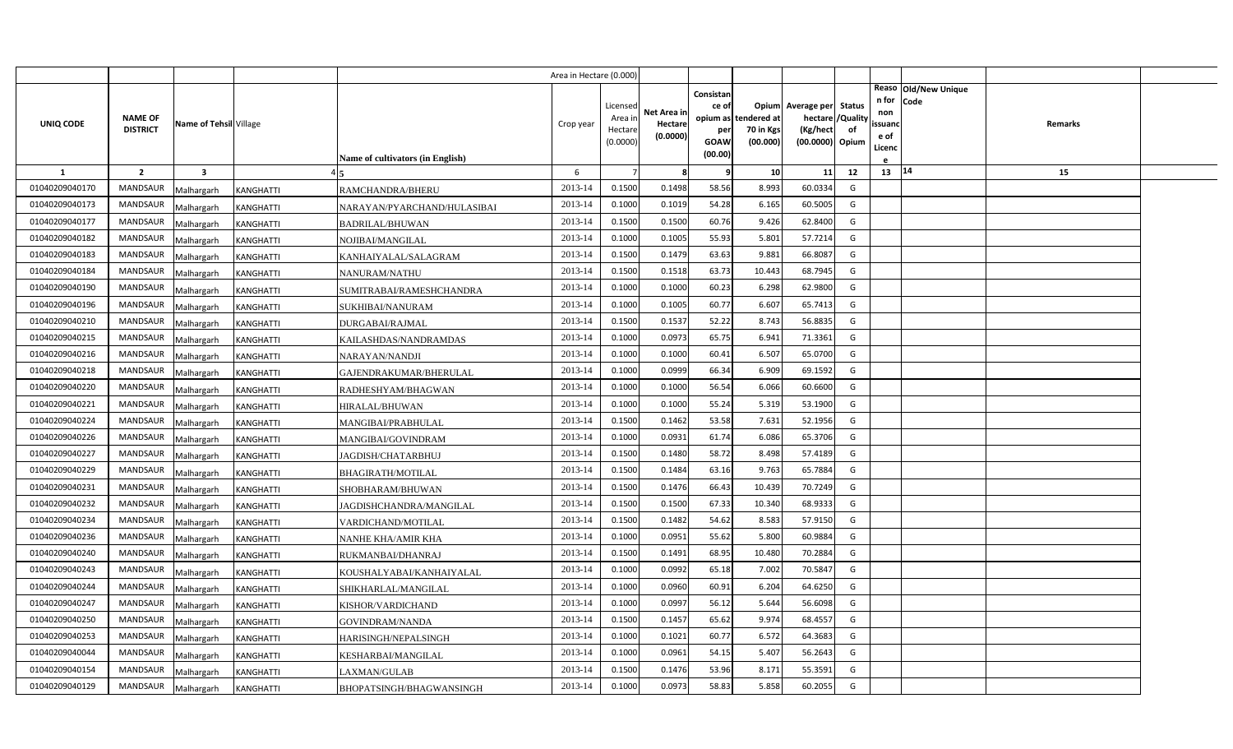|                |                                   |                         |                  |                                         | Area in Hectare (0.000) |                                            |                                    |                                                     |                                               |                                                                    |                |                                          |                              |         |  |
|----------------|-----------------------------------|-------------------------|------------------|-----------------------------------------|-------------------------|--------------------------------------------|------------------------------------|-----------------------------------------------------|-----------------------------------------------|--------------------------------------------------------------------|----------------|------------------------------------------|------------------------------|---------|--|
| UNIQ CODE      | <b>NAME OF</b><br><b>DISTRICT</b> | Name of Tehsil Village  |                  | <b>Name of cultivators (in English)</b> | Crop year               | Licensed<br>Area in<br>Hectare<br>(0.0000) | Net Area in<br>Hectare<br>(0.0000) | Consistan<br>ce of<br>per<br><b>GOAW</b><br>(00.00) | opium as tendered at<br>70 in Kgs<br>(00.000) | Opium Average per Status<br>hectare<br>(Kg/hect<br>(00.0000) Opium | /Quality<br>of | n for<br>non<br>ssuand<br>e of<br>Licenc | Reaso Old/New Unique<br>Code | Remarks |  |
| 1              | $\overline{2}$                    | $\overline{\mathbf{3}}$ |                  |                                         | 6                       |                                            | -8                                 | q                                                   | 10                                            | 11                                                                 | 12             | 13 14                                    |                              | 15      |  |
| 01040209040170 | <b>MANDSAUR</b>                   | Malhargarh              | KANGHATTI        | RAMCHANDRA/BHERU                        | 2013-14                 | 0.1500                                     | 0.1498                             | 58.56                                               | 8.993                                         | 60.0334                                                            | G              |                                          |                              |         |  |
| 01040209040173 | <b>MANDSAUR</b>                   | Malhargarh              | <b>KANGHATTI</b> | NARAYAN/PYARCHAND/HULASIBAI             | 2013-14                 | 0.1000                                     | 0.1019                             | 54.28                                               | 6.165                                         | 60.5005                                                            | G              |                                          |                              |         |  |
| 01040209040177 | <b>MANDSAUR</b>                   | Malhargarh              | <b>KANGHATTI</b> | <b>BADRILAL/BHUWAN</b>                  | 2013-14                 | 0.1500                                     | 0.1500                             | 60.76                                               | 9.426                                         | 62.8400                                                            | G              |                                          |                              |         |  |
| 01040209040182 | <b>MANDSAUR</b>                   | Malhargarh              | KANGHATTI        | NOJIBAI/MANGILAL                        | 2013-14                 | 0.1000                                     | 0.1005                             | 55.93                                               | 5.801                                         | 57.7214                                                            | G              |                                          |                              |         |  |
| 01040209040183 | <b>MANDSAUR</b>                   | Malhargarh              | <b>KANGHATTI</b> | KANHAIYALAL/SALAGRAM                    | 2013-14                 | 0.1500                                     | 0.1479                             | 63.63                                               | 9.881                                         | 66.8087                                                            | G              |                                          |                              |         |  |
| 01040209040184 | <b>MANDSAUR</b>                   | Malhargarh              | KANGHATTI        | NANURAM/NATHU                           | 2013-14                 | 0.1500                                     | 0.1518                             | 63.73                                               | 10.443                                        | 68.7945                                                            | G              |                                          |                              |         |  |
| 01040209040190 | <b>MANDSAUR</b>                   | Malhargarh              | <b>KANGHATTI</b> | SUMITRABAI/RAMESHCHANDRA                | 2013-14                 | 0.1000                                     | 0.1000                             | 60.23                                               | 6.298                                         | 62.9800                                                            | G              |                                          |                              |         |  |
| 01040209040196 | <b>MANDSAUR</b>                   | Malhargarh              | KANGHATTI        | SUKHIBAI/NANURAM                        | 2013-14                 | 0.1000                                     | 0.1005                             | 60.77                                               | 6.607                                         | 65.7413                                                            | G              |                                          |                              |         |  |
| 01040209040210 | <b>MANDSAUR</b>                   | Malhargarh              | <b>KANGHATTI</b> | <b>DURGABAI/RAJMAL</b>                  | 2013-14                 | 0.1500                                     | 0.1537                             | 52.22                                               | 8.743                                         | 56.8835                                                            | G              |                                          |                              |         |  |
| 01040209040215 | <b>MANDSAUR</b>                   | Malhargarh              | <b>KANGHATTI</b> | KAILASHDAS/NANDRAMDAS                   | 2013-14                 | 0.1000                                     | 0.0973                             | 65.75                                               | 6.941                                         | 71.3361                                                            | G              |                                          |                              |         |  |
| 01040209040216 | <b>MANDSAUR</b>                   | Malhargarh              | KANGHATTI        | NARAYAN/NANDJI                          | 2013-14                 | 0.1000                                     | 0.1000                             | 60.41                                               | 6.507                                         | 65.0700                                                            | G              |                                          |                              |         |  |
| 01040209040218 | <b>MANDSAUR</b>                   | Malhargarh              | <b>KANGHATTI</b> | GAJENDRAKUMAR/BHERULAL                  | 2013-14                 | 0.1000                                     | 0.0999                             | 66.34                                               | 6.909                                         | 69.1592                                                            | G              |                                          |                              |         |  |
| 01040209040220 | <b>MANDSAUR</b>                   | Malhargarh              | KANGHATTI        | RADHESHYAM/BHAGWAN                      | 2013-14                 | 0.1000                                     | 0.1000                             | 56.54                                               | 6.066                                         | 60.6600                                                            | G              |                                          |                              |         |  |
| 01040209040221 | <b>MANDSAUR</b>                   | Malhargarh              | KANGHATTI        | HIRALAL/BHUWAN                          | 2013-14                 | 0.1000                                     | 0.1000                             | 55.24                                               | 5.319                                         | 53.1900                                                            | G              |                                          |                              |         |  |
| 01040209040224 | <b>MANDSAUR</b>                   | Malhargarh              | KANGHATTI        | MANGIBAI/PRABHULAL                      | 2013-14                 | 0.1500                                     | 0.1462                             | 53.58                                               | 7.631                                         | 52.1956                                                            | G              |                                          |                              |         |  |
| 01040209040226 | <b>MANDSAUR</b>                   | Malhargarh              | <b>KANGHATTI</b> | MANGIBAI/GOVINDRAM                      | 2013-14                 | 0.1000                                     | 0.0931                             | 61.74                                               | 6.086                                         | 65.3706                                                            | G              |                                          |                              |         |  |
| 01040209040227 | <b>MANDSAUR</b>                   | Malhargarh              | KANGHATTI        | JAGDISH/CHATARBHUJ                      | 2013-14                 | 0.1500                                     | 0.1480                             | 58.72                                               | 8.498                                         | 57.4189                                                            | G              |                                          |                              |         |  |
| 01040209040229 | <b>MANDSAUR</b>                   | Malhargarh              | KANGHATTI        | <b>BHAGIRATH/MOTILAL</b>                | 2013-14                 | 0.1500                                     | 0.1484                             | 63.16                                               | 9.763                                         | 65.7884                                                            | G              |                                          |                              |         |  |
| 01040209040231 | <b>MANDSAUR</b>                   | Malhargarh              | <b>KANGHATTI</b> | SHOBHARAM/BHUWAN                        | 2013-14                 | 0.1500                                     | 0.1476                             | 66.43                                               | 10.439                                        | 70.7249                                                            | G              |                                          |                              |         |  |
| 01040209040232 | <b>MANDSAUR</b>                   | Malhargarh              | <b>KANGHATTI</b> | JAGDISHCHANDRA/MANGILAL                 | 2013-14                 | 0.1500                                     | 0.1500                             | 67.33                                               | 10.340                                        | 68.9333                                                            | G              |                                          |                              |         |  |
| 01040209040234 | <b>MANDSAUR</b>                   | Malhargarh              | KANGHATTI        | VARDICHAND/MOTILAL                      | 2013-14                 | 0.1500                                     | 0.1482                             | 54.62                                               | 8.583                                         | 57.9150                                                            | G              |                                          |                              |         |  |
| 01040209040236 | <b>MANDSAUR</b>                   | Malhargarh              | KANGHATTI        | NANHE KHA/AMIR KHA                      | 2013-14                 | 0.1000                                     | 0.0951                             | 55.62                                               | 5.800                                         | 60.9884                                                            | G              |                                          |                              |         |  |
| 01040209040240 | <b>MANDSAUR</b>                   | Malhargarh              | <b>KANGHATTI</b> | RUKMANBAI/DHANRAJ                       | 2013-14                 | 0.1500                                     | 0.1491                             | 68.95                                               | 10.480                                        | 70.2884                                                            | G              |                                          |                              |         |  |
| 01040209040243 | <b>MANDSAUR</b>                   | Malhargarh              | <b>KANGHATTI</b> | KOUSHALYABAI/KANHAIYALAL                | 2013-14                 | 0.1000                                     | 0.0992                             | 65.18                                               | 7.002                                         | 70.5847                                                            | G              |                                          |                              |         |  |
| 01040209040244 | <b>MANDSAUR</b>                   | Malhargarh              | <b>KANGHATTI</b> | SHIKHARLAL/MANGILAL                     | 2013-14                 | 0.1000                                     | 0.0960                             | 60.91                                               | 6.204                                         | 64.6250                                                            | G              |                                          |                              |         |  |
| 01040209040247 | <b>MANDSAUR</b>                   | Malhargarh              | KANGHATTI        | KISHOR/VARDICHAND                       | 2013-14                 | 0.1000                                     | 0.0997                             | 56.12                                               | 5.644                                         | 56.6098                                                            | G              |                                          |                              |         |  |
| 01040209040250 | <b>MANDSAUR</b>                   | Malhargarh              | KANGHATTI        | GOVINDRAM/NANDA                         | 2013-14                 | 0.1500                                     | 0.1457                             | 65.62                                               | 9.974                                         | 68.4557                                                            | G              |                                          |                              |         |  |
| 01040209040253 | <b>MANDSAUR</b>                   | Malhargarh              | KANGHATTI        | HARISINGH/NEPALSINGH                    | 2013-14                 | 0.1000                                     | 0.1021                             | 60.77                                               | 6.572                                         | 64.3683                                                            | G              |                                          |                              |         |  |
| 01040209040044 | <b>MANDSAUR</b>                   | Malhargarh              | KANGHATTI        | KESHARBAI/MANGILAL                      | 2013-14                 | 0.1000                                     | 0.0961                             | 54.15                                               | 5.407                                         | 56.2643                                                            | G              |                                          |                              |         |  |
| 01040209040154 | <b>MANDSAUR</b>                   | Malhargarh              | KANGHATTI        | LAXMAN/GULAB                            | 2013-14                 | 0.1500                                     | 0.1476                             | 53.96                                               | 8.171                                         | 55.3591                                                            | G              |                                          |                              |         |  |
| 01040209040129 | MANDSAUR                          | Malhargarh              | <b>KANGHATTI</b> | BHOPATSINGH/BHAGWANSINGH                | 2013-14                 | 0.1000                                     | 0.0973                             | 58.83                                               | 5.858                                         | 60.2055                                                            | G              |                                          |                              |         |  |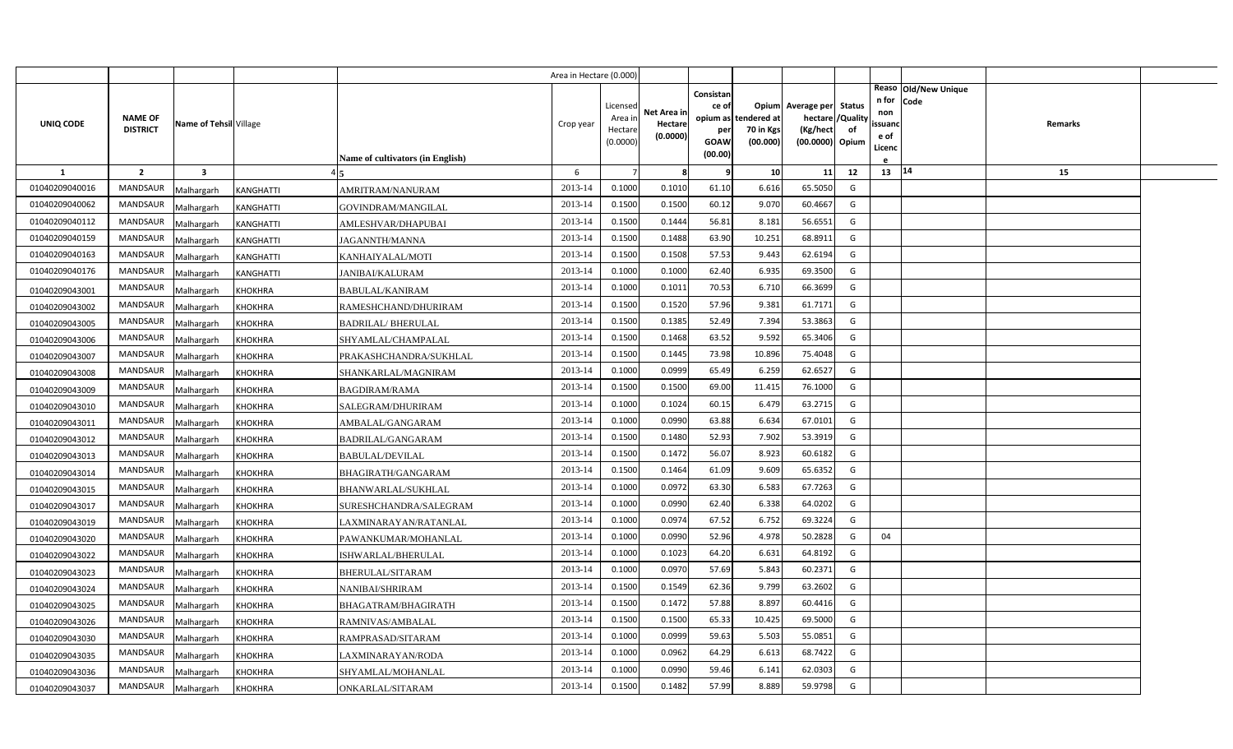|                |                                   |                         |                  |                                  | Area in Hectare (0.000) |                                            |                                    |                                              |                                               |                                                                    |                |                                                                          |         |  |
|----------------|-----------------------------------|-------------------------|------------------|----------------------------------|-------------------------|--------------------------------------------|------------------------------------|----------------------------------------------|-----------------------------------------------|--------------------------------------------------------------------|----------------|--------------------------------------------------------------------------|---------|--|
| UNIQ CODE      | <b>NAME OF</b><br><b>DISTRICT</b> | Name of Tehsil Village  |                  | Name of cultivators (in English) | Crop year               | Licensed<br>Area in<br>Hectare<br>(0.0000) | Net Area in<br>Hectare<br>(0.0000) | Consistan<br>ce of<br>per<br>GOAW<br>(00.00) | opium as tendered at<br>70 in Kgs<br>(00.000) | Opium Average per Status<br>hectare<br>(Kg/hect<br>(00.0000) Opium | /Quality<br>of | Reaso Old/New Unique<br>n for<br>Code<br>non<br>ssuano<br>e of<br>Licenc | Remarks |  |
| -1             | $\overline{2}$                    | $\overline{\mathbf{3}}$ |                  |                                  | 6                       |                                            | -8                                 | q                                            | 10                                            | 11                                                                 | 12             | 13 14                                                                    | 15      |  |
| 01040209040016 | <b>MANDSAUR</b>                   | Malhargarh              | <b>KANGHATTI</b> | AMRITRAM/NANURAM                 | 2013-14                 | 0.1000                                     | 0.1010                             | 61.10                                        | 6.616                                         | 65.5050                                                            | G              |                                                                          |         |  |
| 01040209040062 | <b>MANDSAUR</b>                   | Malhargarh              | <b>KANGHATTI</b> | GOVINDRAM/MANGILAL               | 2013-14                 | 0.1500                                     | 0.1500                             | 60.12                                        | 9.070                                         | 60.4667                                                            | G              |                                                                          |         |  |
| 01040209040112 | <b>MANDSAUR</b>                   | Malhargarh              | <b>KANGHATTI</b> | AMLESHVAR/DHAPUBAI               | 2013-14                 | 0.1500                                     | 0.1444                             | 56.81                                        | 8.181                                         | 56.6551                                                            | G              |                                                                          |         |  |
| 01040209040159 | <b>MANDSAUR</b>                   | Malhargarh              | <b>KANGHATTI</b> | <b>JAGANNTH/MANNA</b>            | 2013-14                 | 0.1500                                     | 0.1488                             | 63.90                                        | 10.251                                        | 68.8911                                                            | G              |                                                                          |         |  |
| 01040209040163 | <b>MANDSAUR</b>                   | Malhargarh              | <b>KANGHATTI</b> | KANHAIYALAL/MOTI                 | 2013-14                 | 0.1500                                     | 0.1508                             | 57.53                                        | 9.443                                         | 62.6194                                                            | G              |                                                                          |         |  |
| 01040209040176 | MANDSAUR                          | Malhargarh              | <b>KANGHATTI</b> | <b>JANIBAI/KALURAM</b>           | 2013-14                 | 0.1000                                     | 0.1000                             | 62.40                                        | 6.935                                         | 69.3500                                                            | G              |                                                                          |         |  |
| 01040209043001 | <b>MANDSAUR</b>                   | Malhargarh              | <b>KHOKHRA</b>   | BABULAL/KANIRAM                  | 2013-14                 | 0.1000                                     | 0.1011                             | 70.53                                        | 6.710                                         | 66.3699                                                            | G              |                                                                          |         |  |
| 01040209043002 | <b>MANDSAUR</b>                   | Malhargarh              | <b>KHOKHRA</b>   | RAMESHCHAND/DHURIRAM             | 2013-14                 | 0.1500                                     | 0.1520                             | 57.96                                        | 9.381                                         | 61.7171                                                            | G              |                                                                          |         |  |
| 01040209043005 | <b>MANDSAUR</b>                   | Malhargarh              | <b>KHOKHRA</b>   | <b>BADRILAL/BHERULAL</b>         | 2013-14                 | 0.1500                                     | 0.1385                             | 52.49                                        | 7.394                                         | 53.3863                                                            | G              |                                                                          |         |  |
| 01040209043006 | <b>MANDSAUR</b>                   | Malhargarh              | <b>KHOKHRA</b>   | SHYAMLAL/CHAMPALAL               | 2013-14                 | 0.1500                                     | 0.1468                             | 63.52                                        | 9.592                                         | 65.3406                                                            | G              |                                                                          |         |  |
| 01040209043007 | MANDSAUR                          | Malhargarh              | <b>KHOKHRA</b>   | PRAKASHCHANDRA/SUKHLAL           | 2013-14                 | 0.1500                                     | 0.1445                             | 73.98                                        | 10.896                                        | 75.4048                                                            | G              |                                                                          |         |  |
| 01040209043008 | <b>MANDSAUR</b>                   | Malhargarh              | <b>KHOKHRA</b>   | SHANKARLAL/MAGNIRAM              | 2013-14                 | 0.1000                                     | 0.0999                             | 65.49                                        | 6.259                                         | 62.6527                                                            | G              |                                                                          |         |  |
| 01040209043009 | MANDSAUR                          | Malhargarh              | <b>KHOKHRA</b>   | BAGDIRAM/RAMA                    | 2013-14                 | 0.1500                                     | 0.1500                             | 69.00                                        | 11.415                                        | 76.1000                                                            | G              |                                                                          |         |  |
| 01040209043010 | <b>MANDSAUR</b>                   | Malhargarh              | <b>KHOKHRA</b>   | SALEGRAM/DHURIRAM                | 2013-14                 | 0.1000                                     | 0.1024                             | 60.15                                        | 6.479                                         | 63.2715                                                            | G              |                                                                          |         |  |
| 01040209043011 | MANDSAUR                          | Malhargarh              | <b>KHOKHRA</b>   | AMBALAL/GANGARAM                 | 2013-14                 | 0.1000                                     | 0.0990                             | 63.88                                        | 6.634                                         | 67.0101                                                            | G              |                                                                          |         |  |
| 01040209043012 | <b>MANDSAUR</b>                   | Malhargarh              | <b>KHOKHRA</b>   | BADRILAL/GANGARAM                | 2013-14                 | 0.1500                                     | 0.1480                             | 52.93                                        | 7.902                                         | 53.3919                                                            | G              |                                                                          |         |  |
| 01040209043013 | MANDSAUR                          | Malhargarh              | <b>KHOKHRA</b>   | BABULAL/DEVILAL                  | 2013-14                 | 0.1500                                     | 0.1472                             | 56.07                                        | 8.923                                         | 60.6182                                                            | G              |                                                                          |         |  |
| 01040209043014 | <b>MANDSAUR</b>                   | Malhargarh              | <b>KHOKHRA</b>   | BHAGIRATH/GANGARAM               | 2013-14                 | 0.1500                                     | 0.1464                             | 61.09                                        | 9.609                                         | 65.6352                                                            | G              |                                                                          |         |  |
| 01040209043015 | <b>MANDSAUR</b>                   | Malhargarh              | <b>KHOKHRA</b>   | BHANWARLAL/SUKHLAL               | 2013-14                 | 0.1000                                     | 0.0972                             | 63.30                                        | 6.583                                         | 67.7263                                                            | G              |                                                                          |         |  |
| 01040209043017 | <b>MANDSAUR</b>                   | Malhargarh              | <b>KHOKHRA</b>   | SURESHCHANDRA/SALEGRAM           | 2013-14                 | 0.1000                                     | 0.0990                             | 62.40                                        | 6.338                                         | 64.0202                                                            | G              |                                                                          |         |  |
| 01040209043019 | <b>MANDSAUR</b>                   | Malhargarh              | <b>KHOKHRA</b>   | LAXMINARAYAN/RATANLAL            | 2013-14                 | 0.1000                                     | 0.0974                             | 67.52                                        | 6.752                                         | 69.3224                                                            | G              |                                                                          |         |  |
| 01040209043020 | <b>MANDSAUR</b>                   | Malhargarh              | <b>KHOKHRA</b>   | PAWANKUMAR/MOHANLAL              | 2013-14                 | 0.1000                                     | 0.0990                             | 52.96                                        | 4.978                                         | 50.2828                                                            | G              | 04                                                                       |         |  |
| 01040209043022 | <b>MANDSAUR</b>                   | Malhargarh              | <b>KHOKHRA</b>   | ISHWARLAL/BHERULAL               | 2013-14                 | 0.1000                                     | 0.1023                             | 64.20                                        | 6.631                                         | 64.8192                                                            | G              |                                                                          |         |  |
| 01040209043023 | <b>MANDSAUR</b>                   | Malhargarh              | <b>KHOKHRA</b>   | BHERULAL/SITARAM                 | 2013-14                 | 0.1000                                     | 0.0970                             | 57.69                                        | 5.843                                         | 60.2371                                                            | G              |                                                                          |         |  |
| 01040209043024 | <b>MANDSAUR</b>                   | Malhargarh              | <b>KHOKHRA</b>   | NANIBAI/SHRIRAM                  | 2013-14                 | 0.1500                                     | 0.1549                             | 62.36                                        | 9.799                                         | 63.2602                                                            | G              |                                                                          |         |  |
| 01040209043025 | <b>MANDSAUR</b>                   | Malhargarh              | <b>KHOKHRA</b>   | BHAGATRAM/BHAGIRATH              | 2013-14                 | 0.1500                                     | 0.1472                             | 57.88                                        | 8.897                                         | 60.4416                                                            | G              |                                                                          |         |  |
| 01040209043026 | <b>MANDSAUR</b>                   | Malhargarh              | KHOKHRA          | RAMNIVAS/AMBALAL                 | 2013-14                 | 0.1500                                     | 0.1500                             | 65.33                                        | 10.425                                        | 69.5000                                                            | G              |                                                                          |         |  |
| 01040209043030 | <b>MANDSAUR</b>                   | Malhargarh              | KHOKHRA          | RAMPRASAD/SITARAM                | 2013-14                 | 0.1000                                     | 0.0999                             | 59.63                                        | 5.503                                         | 55.0851                                                            | G              |                                                                          |         |  |
| 01040209043035 | <b>MANDSAUR</b>                   | Malhargarh              | KHOKHRA          | AXMINARAYAN/RODA.                | 2013-14                 | 0.1000                                     | 0.0962                             | 64.29                                        | 6.613                                         | 68.7422                                                            | G              |                                                                          |         |  |
| 01040209043036 | MANDSAUR                          | Malhargarh              | KHOKHRA          | SHYAMLAL/MOHANLAL                | 2013-14                 | 0.1000                                     | 0.0990                             | 59.46                                        | 6.141                                         | 62.0303                                                            | G              |                                                                          |         |  |
| 01040209043037 | MANDSAUR                          | Malhargarh              | <b>KHOKHRA</b>   | ONKARLAL/SITARAM                 | 2013-14                 | 0.1500                                     | 0.1482                             | 57.99                                        | 8.889                                         | 59.9798                                                            | G              |                                                                          |         |  |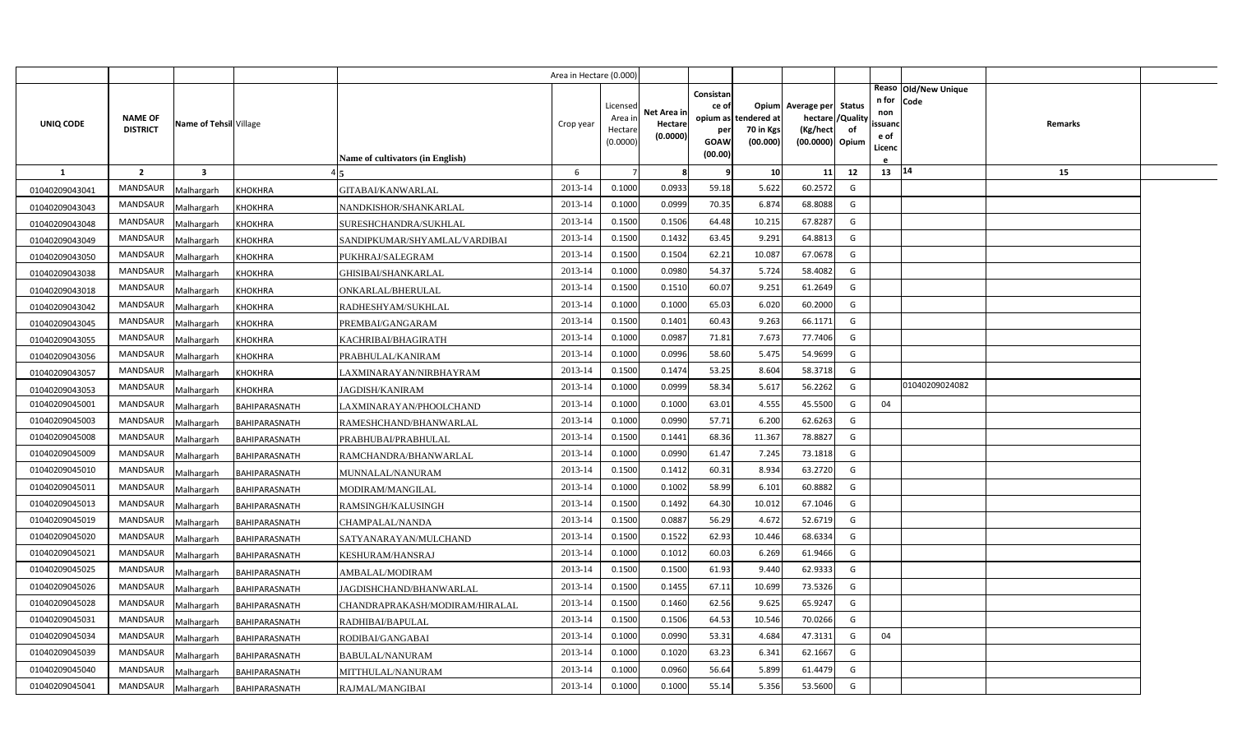|                |                                   |                         |                      |                                  | Area in Hectare (0.000 |                    |             |           |                                   |                          |                |                      |         |  |
|----------------|-----------------------------------|-------------------------|----------------------|----------------------------------|------------------------|--------------------|-------------|-----------|-----------------------------------|--------------------------|----------------|----------------------|---------|--|
|                |                                   |                         |                      |                                  |                        |                    |             | Consistan |                                   |                          |                | Reaso Old/New Unique |         |  |
|                |                                   |                         |                      |                                  |                        | Licensed           | Net Area in | ce of     |                                   | Opium Average per Status |                | n for<br>Code<br>non |         |  |
| UNIQ CODE      | <b>NAME OF</b><br><b>DISTRICT</b> | Name of Tehsil Village  |                      |                                  | Crop year              | Area in<br>Hectare | Hectare     | per       | opium as tendered at<br>70 in Kgs | hectare<br>(Kg/hect      | /Quality<br>of | ssuanc               | Remarks |  |
|                |                                   |                         |                      |                                  |                        | (0.0000)           | (0.0000)    | GOAW      | (00.000)                          | (00.0000) Opium          |                | e of<br>Licenc       |         |  |
|                |                                   |                         |                      | Name of cultivators (in English) |                        |                    |             | (00.00)   |                                   |                          |                |                      |         |  |
| -1             | $\overline{2}$                    | $\overline{\mathbf{3}}$ |                      |                                  | 6                      |                    | -8          | q         | 10                                | 11                       | 12             | 13 14                | 15      |  |
| 01040209043041 | <b>MANDSAUR</b>                   | Malhargarh              | <b>KHOKHRA</b>       | GITABAI/KANWARLAL                | 2013-14                | 0.1000             | 0.0933      | 59.18     | 5.622                             | 60.2572                  | G              |                      |         |  |
| 01040209043043 | <b>MANDSAUR</b>                   | Malhargarh              | <b>KHOKHRA</b>       | NANDKISHOR/SHANKARLAL            | 2013-14                | 0.1000             | 0.0999      | 70.35     | 6.874                             | 68.8088                  | G              |                      |         |  |
| 01040209043048 | <b>MANDSAUR</b>                   | Malhargarh              | <b>KHOKHRA</b>       | SURESHCHANDRA/SUKHLAL            | 2013-14                | 0.1500             | 0.1506      | 64.48     | 10.215                            | 67.8287                  | G              |                      |         |  |
| 01040209043049 | <b>MANDSAUR</b>                   | Malhargarh              | <b>KHOKHRA</b>       | SANDIPKUMAR/SHYAMLAL/VARDIBAI    | 2013-14                | 0.1500             | 0.1432      | 63.45     | 9.291                             | 64.8813                  | G              |                      |         |  |
| 01040209043050 | <b>MANDSAUR</b>                   | Malhargarh              | <b>KHOKHRA</b>       | PUKHRAJ/SALEGRAM                 | 2013-14                | 0.1500             | 0.1504      | 62.21     | 10.087                            | 67.0678                  | G              |                      |         |  |
| 01040209043038 | <b>MANDSAUR</b>                   | Malhargarh              | <b>KHOKHRA</b>       | GHISIBAI/SHANKARLAL              | 2013-14                | 0.1000             | 0.0980      | 54.37     | 5.724                             | 58.4082                  | G              |                      |         |  |
| 01040209043018 | MANDSAUR                          | Malhargarh              | <b>KHOKHRA</b>       | ONKARLAL/BHERULAL                | 2013-14                | 0.1500             | 0.1510      | 60.07     | 9.251                             | 61.2649                  | G              |                      |         |  |
| 01040209043042 | <b>MANDSAUR</b>                   | Malhargarh              | <b>KHOKHRA</b>       | RADHESHYAM/SUKHLAL               | 2013-14                | 0.1000             | 0.1000      | 65.03     | 6.020                             | 60.2000                  | G              |                      |         |  |
| 01040209043045 | <b>MANDSAUR</b>                   | Malhargarh              | <b>KHOKHRA</b>       | PREMBAI/GANGARAM                 | 2013-14                | 0.1500             | 0.1401      | 60.43     | 9.263                             | 66.1171                  | G              |                      |         |  |
| 01040209043055 | <b>MANDSAUR</b>                   | Malhargarh              | <b>KHOKHRA</b>       | KACHRIBAI/BHAGIRATH              | 2013-14                | 0.1000             | 0.0987      | 71.81     | 7.673                             | 77.7406                  | G              |                      |         |  |
| 01040209043056 | MANDSAUR                          | Malhargarh              | <b>KHOKHRA</b>       | PRABHULAL/KANIRAM                | 2013-14                | 0.1000             | 0.0996      | 58.60     | 5.475                             | 54.9699                  | G              |                      |         |  |
| 01040209043057 | <b>MANDSAUR</b>                   | Malhargarh              | <b>KHOKHRA</b>       | LAXMINARAYAN/NIRBHAYRAM          | 2013-14                | 0.1500             | 0.1474      | 53.25     | 8.604                             | 58.3718                  | G              |                      |         |  |
| 01040209043053 | MANDSAUR                          | Malhargarh              | <b>KHOKHRA</b>       | <b>JAGDISH/KANIRAM</b>           | 2013-14                | 0.1000             | 0.0999      | 58.34     | 5.617                             | 56.2262                  | G              | 01040209024082       |         |  |
| 01040209045001 | <b>MANDSAUR</b>                   | Malhargarh              | BAHIPARASNATH        | LAXMINARAYAN/PHOOLCHAND          | 2013-14                | 0.1000             | 0.1000      | 63.01     | 4.555                             | 45.5500                  | G              | 04                   |         |  |
| 01040209045003 | MANDSAUR                          | Malhargarh              | BAHIPARASNATH        | RAMESHCHAND/BHANWARLAL           | 2013-14                | 0.1000             | 0.0990      | 57.71     | 6.200                             | 62.6263                  | G              |                      |         |  |
| 01040209045008 | <b>MANDSAUR</b>                   | Malhargarh              | BAHIPARASNATH        | PRABHUBAI/PRABHULAL              | 2013-14                | 0.1500             | 0.1441      | 68.36     | 11.367                            | 78.8827                  | G              |                      |         |  |
| 01040209045009 | MANDSAUR                          | Malhargarh              | BAHIPARASNATH        | RAMCHANDRA/BHANWARLAL            | 2013-14                | 0.1000             | 0.0990      | 61.47     | 7.245                             | 73.1818                  | G              |                      |         |  |
| 01040209045010 | <b>MANDSAUR</b>                   | Malhargarh              | BAHIPARASNATH        | MUNNALAL/NANURAM                 | 2013-14                | 0.1500             | 0.1412      | 60.31     | 8.934                             | 63.2720                  | G              |                      |         |  |
| 01040209045011 | <b>MANDSAUR</b>                   | Malhargarh              | BAHIPARASNATH        | MODIRAM/MANGILAL                 | 2013-14                | 0.1000             | 0.1002      | 58.99     | 6.101                             | 60.8882                  | G              |                      |         |  |
| 01040209045013 | <b>MANDSAUR</b>                   | Malhargarh              | BAHIPARASNATH        | RAMSINGH/KALUSINGH               | 2013-14                | 0.1500             | 0.1492      | 64.30     | 10.012                            | 67.1046                  | G              |                      |         |  |
| 01040209045019 | <b>MANDSAUR</b>                   | Malhargarh              | <b>BAHIPARASNATH</b> | CHAMPALAL/NANDA                  | 2013-14                | 0.1500             | 0.0887      | 56.29     | 4.672                             | 52.6719                  | G              |                      |         |  |
| 01040209045020 | <b>MANDSAUR</b>                   | Malhargarh              | BAHIPARASNATH        | SATYANARAYAN/MULCHAND            | 2013-14                | 0.1500             | 0.1522      | 62.93     | 10.446                            | 68.6334                  | G              |                      |         |  |
| 01040209045021 | <b>MANDSAUR</b>                   | Malhargarh              | BAHIPARASNATH        | KESHURAM/HANSRAJ                 | 2013-14                | 0.1000             | 0.1012      | 60.03     | 6.269                             | 61.9466                  | G              |                      |         |  |
| 01040209045025 | MANDSAUR                          | Malhargarh              | BAHIPARASNATH        | AMBALAL/MODIRAM                  | 2013-14                | 0.1500             | 0.1500      | 61.93     | 9.440                             | 62.9333                  | G              |                      |         |  |
| 01040209045026 | <b>MANDSAUR</b>                   | Malhargarh              | BAHIPARASNATH        | JAGDISHCHAND/BHANWARLAL          | 2013-14                | 0.1500             | 0.1455      | 67.11     | 10.699                            | 73.5326                  | G              |                      |         |  |
| 01040209045028 | <b>MANDSAUR</b>                   | Malhargarh              | BAHIPARASNATH        | CHANDRAPRAKASH/MODIRAM/HIRALAL   | 2013-14                | 0.1500             | 0.1460      | 62.56     | 9.625                             | 65.9247                  | G              |                      |         |  |
| 01040209045031 | <b>MANDSAUR</b>                   | Malhargarh              | BAHIPARASNATH        | RADHIBAI/BAPULAL                 | 2013-14                | 0.1500             | 0.1506      | 64.53     | 10.546                            | 70.0266                  | G              |                      |         |  |
| 01040209045034 | MANDSAUR                          | Malhargarh              | BAHIPARASNATH        | RODIBAI/GANGABAI                 | 2013-14                | 0.1000             | 0.0990      | 53.31     | 4.684                             | 47.3131                  | G              | 04                   |         |  |
| 01040209045039 | MANDSAUR                          | Malhargarh              | BAHIPARASNATH        | 3ABULAL/NANURAM                  | 2013-14                | 0.1000             | 0.1020      | 63.23     | 6.341                             | 62.1667                  | G              |                      |         |  |
| 01040209045040 | MANDSAUR                          | Malhargarh              | BAHIPARASNATH        | MITTHULAL/NANURAM                | 2013-14                | 0.1000             | 0.0960      | 56.64     | 5.899                             | 61.4479                  | G              |                      |         |  |
| 01040209045041 | MANDSAUR                          | Malhargarh              | <b>BAHIPARASNATH</b> | RAJMAL/MANGIBAI                  | 2013-14                | 0.1000             | 0.1000      | 55.14     | 5.356                             | 53.5600                  | G              |                      |         |  |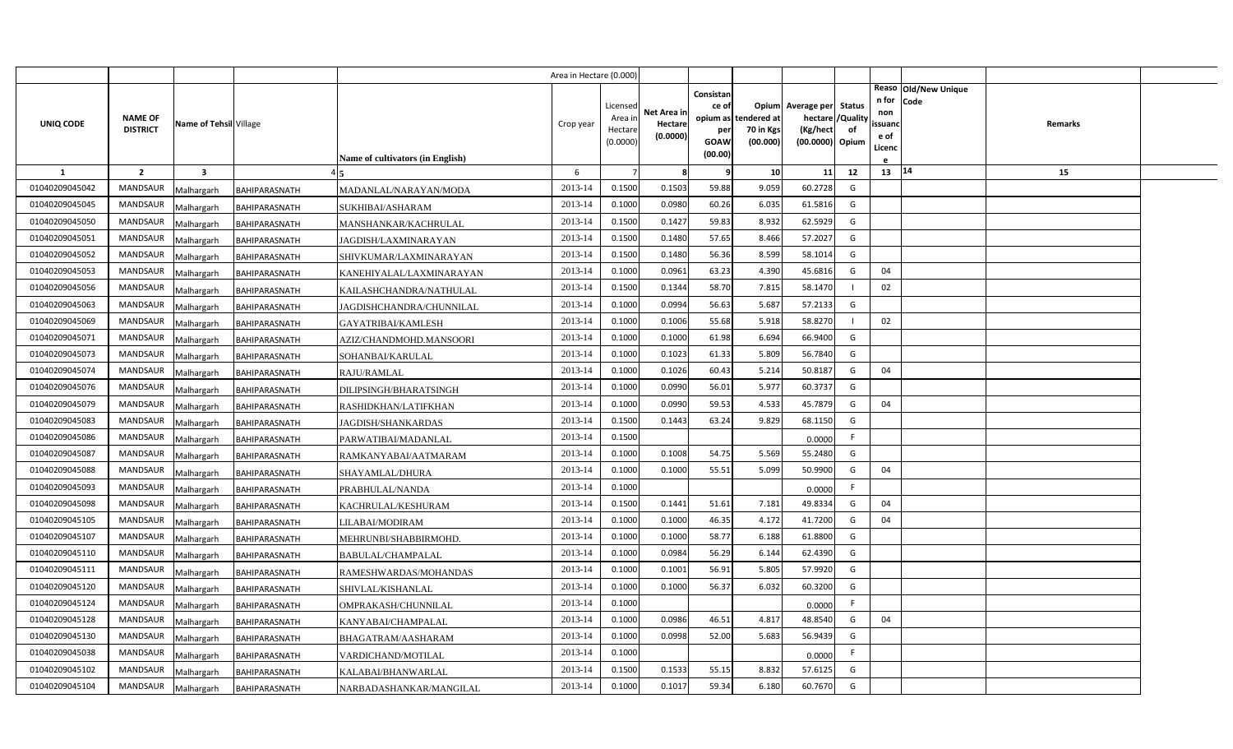|                |                                   |                         |                      |                                  | Area in Hectare (0.000) |                                            |                                    |                                                     |                                               |                                                                    |                |                                          |                              |         |  |
|----------------|-----------------------------------|-------------------------|----------------------|----------------------------------|-------------------------|--------------------------------------------|------------------------------------|-----------------------------------------------------|-----------------------------------------------|--------------------------------------------------------------------|----------------|------------------------------------------|------------------------------|---------|--|
| UNIQ CODE      | <b>NAME OF</b><br><b>DISTRICT</b> | Name of Tehsil Village  |                      | Name of cultivators (in English) | Crop year               | Licensed<br>Area in<br>Hectare<br>(0.0000) | Net Area in<br>Hectare<br>(0.0000) | Consistan<br>ce of<br>per<br><b>GOAW</b><br>(00.00) | opium as tendered at<br>70 in Kgs<br>(00.000) | Opium Average per Status<br>hectare<br>(Kg/hect<br>(00.0000) Opium | /Quality<br>of | n for<br>non<br>ssuand<br>e of<br>Licenc | Reaso Old/New Unique<br>Code | Remarks |  |
| -1             | $\overline{2}$                    | $\overline{\mathbf{3}}$ |                      |                                  | 6                       |                                            | 8                                  | q                                                   | 10                                            | 11                                                                 | 12             | 13   14                                  |                              | 15      |  |
| 01040209045042 | MANDSAUR                          | Malhargarh              | <b>BAHIPARASNATH</b> | MADANLAL/NARAYAN/MODA            | 2013-14                 | 0.1500                                     | 0.1503                             | 59.88                                               | 9.059                                         | 60.2728                                                            | G              |                                          |                              |         |  |
| 01040209045045 | <b>MANDSAUR</b>                   | Malhargarh              | BAHIPARASNATH        | SUKHIBAI/ASHARAM                 | 2013-14                 | 0.1000                                     | 0.0980                             | 60.26                                               | 6.035                                         | 61.5816                                                            | G              |                                          |                              |         |  |
| 01040209045050 | <b>MANDSAUR</b>                   | Malhargarh              | BAHIPARASNATH        | MANSHANKAR/KACHRULAL             | 2013-14                 | 0.1500                                     | 0.1427                             | 59.83                                               | 8.932                                         | 62.5929                                                            | G              |                                          |                              |         |  |
| 01040209045051 | <b>MANDSAUR</b>                   | Malhargarh              | BAHIPARASNATH        | <b>JAGDISH/LAXMINARAYAN</b>      | 2013-14                 | 0.1500                                     | 0.1480                             | 57.65                                               | 8.466                                         | 57.2027                                                            | G              |                                          |                              |         |  |
| 01040209045052 | <b>MANDSAUR</b>                   | Malhargarh              | BAHIPARASNATH        | SHIVKUMAR/LAXMINARAYAN           | 2013-14                 | 0.1500                                     | 0.1480                             | 56.36                                               | 8.599                                         | 58.1014                                                            | G              |                                          |                              |         |  |
| 01040209045053 | <b>MANDSAUR</b>                   | Malhargarh              | BAHIPARASNATH        | KANEHIYALAL/LAXMINARAYAN         | 2013-14                 | 0.1000                                     | 0.0961                             | 63.23                                               | 4.390                                         | 45.6816                                                            | G              | 04                                       |                              |         |  |
| 01040209045056 | <b>MANDSAUR</b>                   | Malhargarh              | BAHIPARASNATH        | KAILASHCHANDRA/NATHULAL          | 2013-14                 | 0.1500                                     | 0.1344                             | 58.70                                               | 7.815                                         | 58.1470                                                            |                | 02                                       |                              |         |  |
| 01040209045063 | <b>MANDSAUR</b>                   | Malhargarh              | BAHIPARASNATH        | JAGDISHCHANDRA/CHUNNILAL         | 2013-14                 | 0.1000                                     | 0.0994                             | 56.63                                               | 5.687                                         | 57.2133                                                            | G              |                                          |                              |         |  |
| 01040209045069 | <b>MANDSAUR</b>                   | Malhargarh              | BAHIPARASNATH        | <b>GAYATRIBAI/KAMLESH</b>        | 2013-14                 | 0.1000                                     | 0.1006                             | 55.68                                               | 5.918                                         | 58.8270                                                            |                | 02                                       |                              |         |  |
| 01040209045071 | <b>MANDSAUR</b>                   | Malhargarh              | BAHIPARASNATH        | AZIZ/CHANDMOHD.MANSOORI          | 2013-14                 | 0.1000                                     | 0.1000                             | 61.98                                               | 6.694                                         | 66.9400                                                            | G              |                                          |                              |         |  |
| 01040209045073 | <b>MANDSAUR</b>                   | Malhargarh              | BAHIPARASNATH        | SOHANBAI/KARULAL                 | 2013-14                 | 0.1000                                     | 0.1023                             | 61.33                                               | 5.809                                         | 56.7840                                                            | G              |                                          |                              |         |  |
| 01040209045074 | <b>MANDSAUR</b>                   | Malhargarh              | <b>BAHIPARASNATH</b> | RAJU/RAMLAL                      | 2013-14                 | 0.1000                                     | 0.1026                             | 60.43                                               | 5.214                                         | 50.8187                                                            | G              | 04                                       |                              |         |  |
| 01040209045076 | <b>MANDSAUR</b>                   | Malhargarh              | BAHIPARASNATH        | DILIPSINGH/BHARATSINGH           | 2013-14                 | 0.1000                                     | 0.0990                             | 56.01                                               | 5.977                                         | 60.3737                                                            | G              |                                          |                              |         |  |
| 01040209045079 | <b>MANDSAUR</b>                   | Malhargarh              | BAHIPARASNATH        | RASHIDKHAN/LATIFKHAN             | 2013-14                 | 0.1000                                     | 0.0990                             | 59.53                                               | 4.533                                         | 45.7879                                                            | G              | 04                                       |                              |         |  |
| 01040209045083 | <b>MANDSAUR</b>                   | Malhargarh              | BAHIPARASNATH        | <b>JAGDISH/SHANKARDAS</b>        | 2013-14                 | 0.1500                                     | 0.1443                             | 63.24                                               | 9.829                                         | 68.1150                                                            | G              |                                          |                              |         |  |
| 01040209045086 | <b>MANDSAUR</b>                   | Malhargarh              | BAHIPARASNATH        | PARWATIBAI/MADANLAL              | 2013-14                 | 0.1500                                     |                                    |                                                     |                                               | 0.0000                                                             | F              |                                          |                              |         |  |
| 01040209045087 | <b>MANDSAUR</b>                   | Malhargarh              | BAHIPARASNATH        | RAMKANYABAI/AATMARAM             | 2013-14                 | 0.1000                                     | 0.1008                             | 54.75                                               | 5.569                                         | 55.2480                                                            | G              |                                          |                              |         |  |
| 01040209045088 | <b>MANDSAUR</b>                   | Malhargarh              | BAHIPARASNATH        | SHAYAMLAL/DHURA                  | 2013-14                 | 0.1000                                     | 0.1000                             | 55.51                                               | 5.099                                         | 50.9900                                                            | G              | 04                                       |                              |         |  |
| 01040209045093 | MANDSAUR                          | Malhargarh              | BAHIPARASNATH        | PRABHULAL/NANDA                  | 2013-14                 | 0.1000                                     |                                    |                                                     |                                               | 0.0000                                                             | F.             |                                          |                              |         |  |
| 01040209045098 | <b>MANDSAUR</b>                   | Malhargarh              | BAHIPARASNATH        | KACHRULAL/KESHURAM               | 2013-14                 | 0.1500                                     | 0.1441                             | 51.61                                               | 7.181                                         | 49.8334                                                            | G              | 04                                       |                              |         |  |
| 01040209045105 | MANDSAUR                          | Malhargarh              | BAHIPARASNATH        | LILABAI/MODIRAM                  | 2013-14                 | 0.1000                                     | 0.1000                             | 46.35                                               | 4.172                                         | 41.7200                                                            | G              | 04                                       |                              |         |  |
| 01040209045107 | <b>MANDSAUR</b>                   | Malhargarh              | BAHIPARASNATH        | MEHRUNBI/SHABBIRMOHD.            | 2013-14                 | 0.1000                                     | 0.1000                             | 58.77                                               | 6.188                                         | 61.8800                                                            | G              |                                          |                              |         |  |
| 01040209045110 | <b>MANDSAUR</b>                   | Malhargarh              | BAHIPARASNATH        | BABULAL/CHAMPALAL                | 2013-14                 | 0.1000                                     | 0.0984                             | 56.29                                               | 6.144                                         | 62.4390                                                            | G              |                                          |                              |         |  |
| 01040209045111 | <b>MANDSAUR</b>                   | Malhargarh              | BAHIPARASNATH        | RAMESHWARDAS/MOHANDAS            | 2013-14                 | 0.1000                                     | 0.1001                             | 56.91                                               | 5.805                                         | 57.9920                                                            | G              |                                          |                              |         |  |
| 01040209045120 | <b>MANDSAUR</b>                   | Malhargarh              | BAHIPARASNATH        | SHIVLAL/KISHANLAL                | 2013-14                 | 0.1000                                     | 0.1000                             | 56.37                                               | 6.032                                         | 60.3200                                                            | G              |                                          |                              |         |  |
| 01040209045124 | <b>MANDSAUR</b>                   | Malhargarh              | BAHIPARASNATH        | OMPRAKASH/CHUNNILAL              | 2013-14                 | 0.1000                                     |                                    |                                                     |                                               | 0.0000                                                             | F              |                                          |                              |         |  |
| 01040209045128 | <b>MANDSAUR</b>                   | Malhargarh              | BAHIPARASNATH        | KANYABAI/CHAMPALAL               | 2013-14                 | 0.1000                                     | 0.0986                             | 46.51                                               | 4.817                                         | 48.8540                                                            | G              | 04                                       |                              |         |  |
| 01040209045130 | <b>MANDSAUR</b>                   | Malhargarh              | BAHIPARASNATH        | BHAGATRAM/AASHARAM               | 2013-14                 | 0.1000                                     | 0.0998                             | 52.00                                               | 5.683                                         | 56.9439                                                            | G              |                                          |                              |         |  |
| 01040209045038 | <b>MANDSAUR</b>                   | Malhargarh              | BAHIPARASNATH        | VARDICHAND/MOTILAL               | 2013-14                 | 0.1000                                     |                                    |                                                     |                                               | 0.0000                                                             | F.             |                                          |                              |         |  |
| 01040209045102 | <b>MANDSAUR</b>                   | Malhargarh              | BAHIPARASNATH        | KALABAI/BHANWARLAL               | 2013-14                 | 0.1500                                     | 0.1533                             | 55.15                                               | 8.832                                         | 57.6125                                                            | G              |                                          |                              |         |  |
| 01040209045104 | MANDSAUR                          | Malhargarh              | <b>BAHIPARASNATH</b> | NARBADASHANKAR/MANGILAL          | 2013-14                 | 0.1000                                     | 0.1017                             | 59.34                                               | 6.180                                         | 60.7670                                                            | G              |                                          |                              |         |  |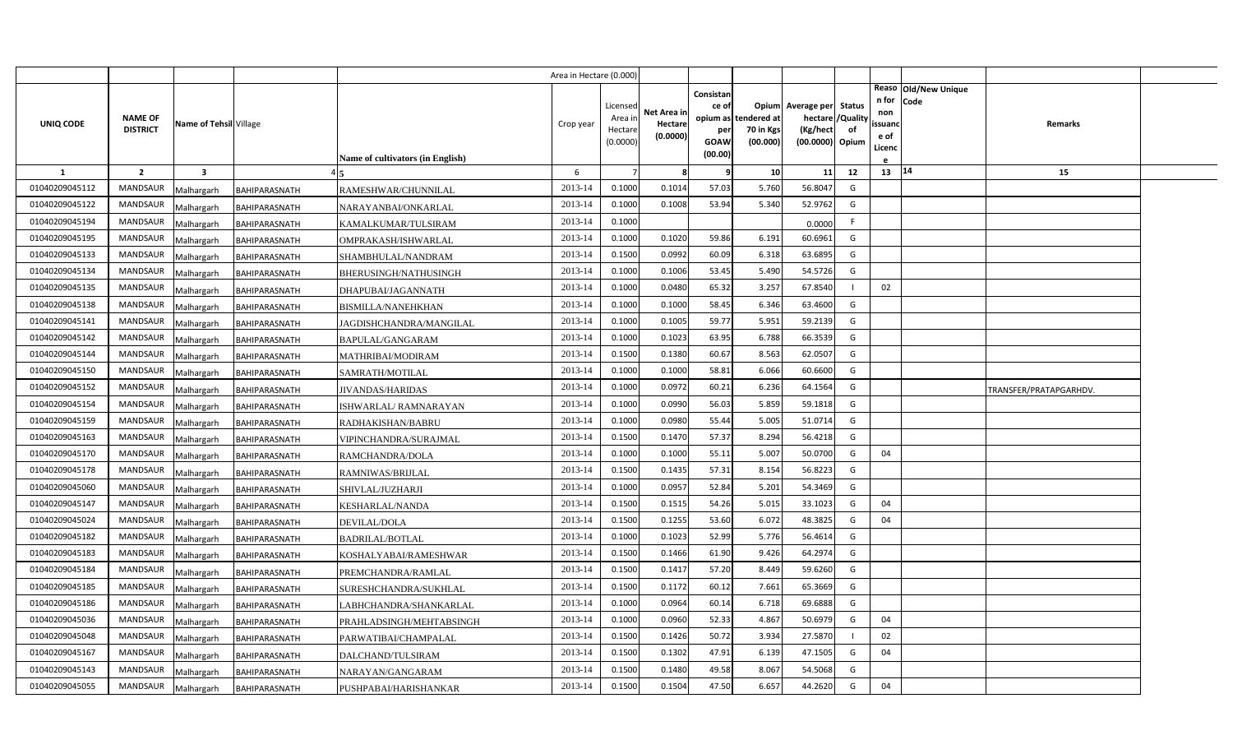|                |                                   |                         |                      |                                         | Area in Hectare (0.000 |                                            |                                    |                                              |                                               |                                                                    |                |                                                                          |                        |  |
|----------------|-----------------------------------|-------------------------|----------------------|-----------------------------------------|------------------------|--------------------------------------------|------------------------------------|----------------------------------------------|-----------------------------------------------|--------------------------------------------------------------------|----------------|--------------------------------------------------------------------------|------------------------|--|
| UNIQ CODE      | <b>NAME OF</b><br><b>DISTRICT</b> | Name of Tehsil Village  |                      | <b>Name of cultivators (in English)</b> | Crop year              | Licensed<br>Area in<br>Hectare<br>(0.0000) | Net Area in<br>Hectare<br>(0.0000) | Consistan<br>ce of<br>per<br>GOAW<br>(00.00) | opium as tendered at<br>70 in Kgs<br>(00.000) | Opium Average per Status<br>hectare<br>(Kg/hect<br>(00.0000) Opium | /Quality<br>of | Reaso Old/New Unique<br>n for<br>Code<br>non<br>ssuand<br>e of<br>Licenc | Remarks                |  |
| 1              | $\overline{2}$                    | $\overline{\mathbf{3}}$ |                      |                                         | 6                      |                                            | 8                                  | 9                                            | 10                                            | 11                                                                 | 12             | 13 14                                                                    | 15                     |  |
| 01040209045112 | <b>MANDSAUR</b>                   | Malhargarh              | BAHIPARASNATH        | RAMESHWAR/CHUNNILAL                     | 2013-14                | 0.1000                                     | 0.1014                             | 57.03                                        | 5.760                                         | 56.8047                                                            | G              |                                                                          |                        |  |
| 01040209045122 | <b>MANDSAUR</b>                   | Malhargarh              | <b>BAHIPARASNATH</b> | NARAYANBAI/ONKARLAL                     | 2013-14                | 0.1000                                     | 0.1008                             | 53.94                                        | 5.340                                         | 52.9762                                                            | G              |                                                                          |                        |  |
| 01040209045194 | <b>MANDSAUR</b>                   | Malhargarh              | BAHIPARASNATH        | KAMALKUMAR/TULSIRAM                     | 2013-14                | 0.1000                                     |                                    |                                              |                                               | 0.0000                                                             | F.             |                                                                          |                        |  |
| 01040209045195 | <b>MANDSAUR</b>                   | Malhargarh              | BAHIPARASNATH        | OMPRAKASH/ISHWARLAL                     | 2013-14                | 0.1000                                     | 0.1020                             | 59.86                                        | 6.192                                         | 60.6961                                                            | G              |                                                                          |                        |  |
| 01040209045133 | <b>MANDSAUR</b>                   | Malhargarh              | BAHIPARASNATH        | SHAMBHULAL/NANDRAM                      | 2013-14                | 0.1500                                     | 0.0992                             | 60.09                                        | 6.318                                         | 63.6895                                                            | G              |                                                                          |                        |  |
| 01040209045134 | MANDSAUR                          | Malhargarh              | BAHIPARASNATH        | BHERUSINGH/NATHUSINGH                   | 2013-14                | 0.1000                                     | 0.1006                             | 53.45                                        | 5.490                                         | 54.5726                                                            | G              |                                                                          |                        |  |
| 01040209045135 | <b>MANDSAUR</b>                   | Malhargarh              | BAHIPARASNATH        | DHAPUBAI/JAGANNATH                      | 2013-14                | 0.1000                                     | 0.0480                             | 65.32                                        | 3.257                                         | 67.8540                                                            |                | 02                                                                       |                        |  |
| 01040209045138 | MANDSAUR                          | Malhargarh              | BAHIPARASNATH        | BISMILLA/NANEHKHAN                      | 2013-14                | 0.1000                                     | 0.1000                             | 58.45                                        | 6.346                                         | 63.4600                                                            | G              |                                                                          |                        |  |
| 01040209045141 | <b>MANDSAUR</b>                   | Malhargarh              | BAHIPARASNATH        | JAGDISHCHANDRA/MANGILAL                 | 2013-14                | 0.1000                                     | 0.1005                             | 59.77                                        | 5.951                                         | 59.2139                                                            | G              |                                                                          |                        |  |
| 01040209045142 | MANDSAUR                          | Malhargarh              | BAHIPARASNATH        | BAPULAL/GANGARAM                        | 2013-14                | 0.1000                                     | 0.1023                             | 63.95                                        | 6.788                                         | 66.3539                                                            | G              |                                                                          |                        |  |
| 01040209045144 | <b>MANDSAUR</b>                   | Malhargarh              | BAHIPARASNATH        | MATHRIBAI/MODIRAM                       | 2013-14                | 0.1500                                     | 0.1380                             | 60.67                                        | 8.563                                         | 62.0507                                                            | G              |                                                                          |                        |  |
| 01040209045150 | <b>MANDSAUR</b>                   | Malhargarh              | <b>BAHIPARASNATH</b> | SAMRATH/MOTILAL                         | 2013-14                | 0.1000                                     | 0.1000                             | 58.81                                        | 6.066                                         | 60.6600                                                            | G              |                                                                          |                        |  |
| 01040209045152 | <b>MANDSAUR</b>                   | Malhargarh              | BAHIPARASNATH        | <b>JIVANDAS/HARIDAS</b>                 | 2013-14                | 0.1000                                     | 0.0972                             | 60.21                                        | 6.236                                         | 64.1564                                                            | G              |                                                                          | TRANSFER/PRATAPGARHDV. |  |
| 01040209045154 | <b>MANDSAUR</b>                   | Malhargarh              | BAHIPARASNATH        | ISHWARLAL/ RAMNARAYAN                   | 2013-14                | 0.1000                                     | 0.0990                             | 56.03                                        | 5.859                                         | 59.1818                                                            | G              |                                                                          |                        |  |
| 01040209045159 | <b>MANDSAUR</b>                   | Malhargarh              | BAHIPARASNATH        | RADHAKISHAN/BABRU                       | 2013-14                | 0.1000                                     | 0.0980                             | 55.44                                        | 5.005                                         | 51.0714                                                            | G              |                                                                          |                        |  |
| 01040209045163 | <b>MANDSAUR</b>                   | Malhargarh              | BAHIPARASNATH        | VIPINCHANDRA/SURAJMAL                   | 2013-14                | 0.1500                                     | 0.1470                             | 57.37                                        | 8.294                                         | 56.4218                                                            | G              |                                                                          |                        |  |
| 01040209045170 | <b>MANDSAUR</b>                   | Malhargarh              | BAHIPARASNATH        | RAMCHANDRA/DOLA                         | 2013-14                | 0.1000                                     | 0.1000                             | 55.11                                        | 5.007                                         | 50.0700                                                            | G              | 04                                                                       |                        |  |
| 01040209045178 | <b>MANDSAUR</b>                   | Malhargarh              | BAHIPARASNATH        | RAMNIWAS/BRIJLAL                        | 2013-14                | 0.1500                                     | 0.1435                             | 57.31                                        | 8.154                                         | 56.8223                                                            | G              |                                                                          |                        |  |
| 01040209045060 | MANDSAUR                          | Malhargarh              | BAHIPARASNATH        | SHIVLAL/JUZHARJI                        | 2013-14                | 0.1000                                     | 0.0957                             | 52.84                                        | 5.201                                         | 54.3469                                                            | G              |                                                                          |                        |  |
| 01040209045147 | <b>MANDSAUR</b>                   | Malhargarh              | BAHIPARASNATH        | KESHARLAL/NANDA                         | 2013-14                | 0.1500                                     | 0.1515                             | 54.26                                        | 5.01                                          | 33.1023                                                            | G              | 04                                                                       |                        |  |
| 01040209045024 | <b>MANDSAUR</b>                   | Malhargarh              | BAHIPARASNATH        | DEVILAL/DOLA                            | 2013-14                | 0.1500                                     | 0.1255                             | 53.60                                        | 6.072                                         | 48.3825                                                            | G              | 04                                                                       |                        |  |
| 01040209045182 | MANDSAUR                          | Malhargarh              | BAHIPARASNATH        | BADRILAL/BOTLAL                         | 2013-14                | 0.1000                                     | 0.1023                             | 52.99                                        | 5.776                                         | 56.4614                                                            | G              |                                                                          |                        |  |
| 01040209045183 | <b>MANDSAUR</b>                   | Malhargarh              | BAHIPARASNATH        | KOSHALYABAI/RAMESHWAR                   | 2013-14                | 0.1500                                     | 0.1466                             | 61.90                                        | 9.426                                         | 64.2974                                                            | G              |                                                                          |                        |  |
| 01040209045184 | MANDSAUR                          | Malhargarh              | BAHIPARASNATH        | PREMCHANDRA/RAMLAL                      | 2013-14                | 0.1500                                     | 0.1417                             | 57.20                                        | 8.449                                         | 59.6260                                                            | G              |                                                                          |                        |  |
| 01040209045185 | MANDSAUR                          | Malhargarh              | BAHIPARASNATH        | SURESHCHANDRA/SUKHLAL                   | 2013-14                | 0.1500                                     | 0.1172                             | 60.12                                        | 7.661                                         | 65.3669                                                            | G              |                                                                          |                        |  |
| 01040209045186 | <b>MANDSAUR</b>                   | Malhargarh              | BAHIPARASNATH        | ABHCHANDRA/SHANKARLAL.                  | 2013-14                | 0.1000                                     | 0.0964                             | 60.14                                        | 6.718                                         | 69.6888                                                            | G              |                                                                          |                        |  |
| 01040209045036 | <b>MANDSAUR</b>                   | Malhargarh              | BAHIPARASNATH        | PRAHLADSINGH/MEHTABSINGH                | 2013-14                | 0.1000                                     | 0.0960                             | 52.33                                        | 4.867                                         | 50.6979                                                            | G              | 04                                                                       |                        |  |
| 01040209045048 | <b>MANDSAUR</b>                   | Malhargarh              | BAHIPARASNATH        | PARWATIBAI/CHAMPALAL                    | 2013-14                | 0.1500                                     | 0.1426                             | 50.72                                        | 3.934                                         | 27.5870                                                            |                | 02                                                                       |                        |  |
| 01040209045167 | MANDSAUR                          | Malhargarh              | BAHIPARASNATH        | DALCHAND/TULSIRAM                       | 2013-14                | 0.1500                                     | 0.1302                             | 47.91                                        | 6.139                                         | 47.1505                                                            | G              | 04                                                                       |                        |  |
| 01040209045143 | MANDSAUR                          | Malhargarh              | BAHIPARASNATH        | NARAYAN/GANGARAM                        | 2013-14                | 0.1500                                     | 0.1480                             | 49.58                                        | 8.067                                         | 54.5068                                                            | G              |                                                                          |                        |  |
| 01040209045055 | MANDSAUR                          | Malhargarh              | <b>BAHIPARASNATH</b> | PUSHPABAI/HARISHANKAR                   | 2013-14                | 0.1500                                     | 0.1504                             | 47.50                                        | 6.657                                         | 44.2620                                                            | G              | 04                                                                       |                        |  |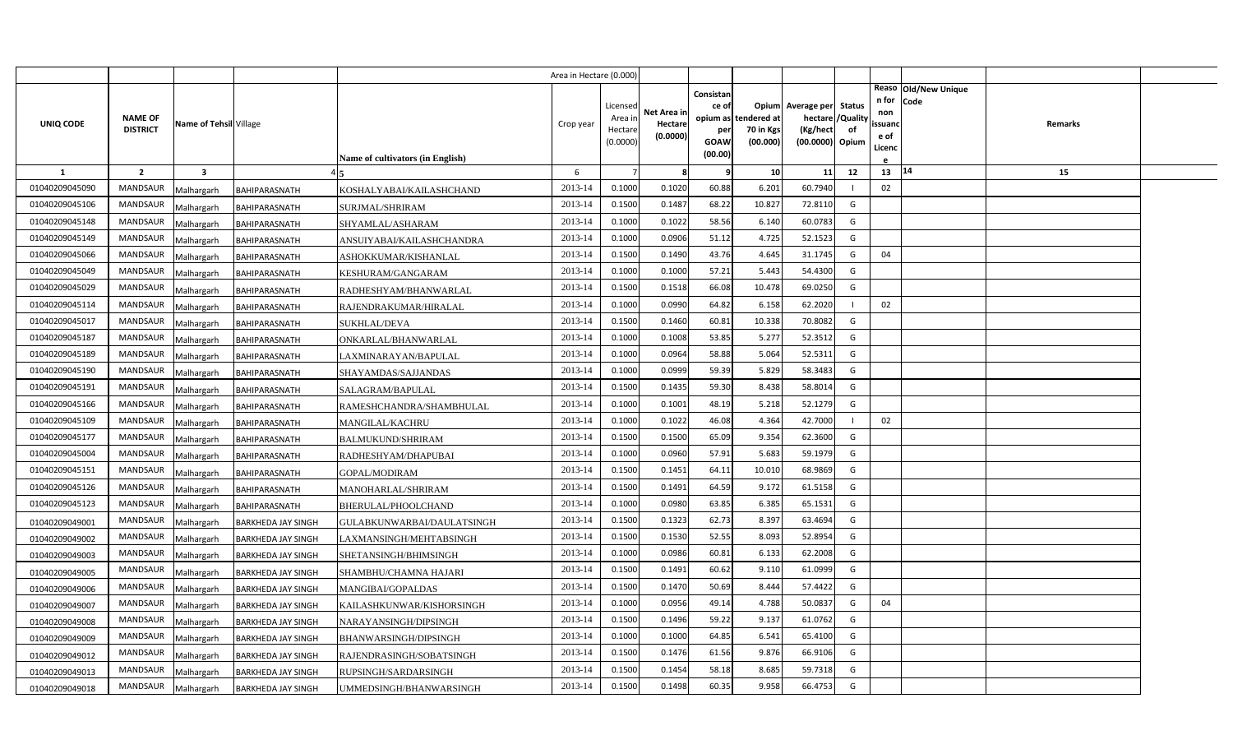|                |                                   |                         |                           |                                  | Area in Hectare (0.000) |                     |             |             |                       |                             |    |                   |                        |  |
|----------------|-----------------------------------|-------------------------|---------------------------|----------------------------------|-------------------------|---------------------|-------------|-------------|-----------------------|-----------------------------|----|-------------------|------------------------|--|
|                |                                   |                         |                           |                                  |                         |                     |             | Consistan   |                       |                             |    |                   | Reaso   Old/New Unique |  |
|                |                                   |                         |                           |                                  |                         | Licensed            | Net Area in | ce of       |                       | Opium Average per Status    |    | n for Code<br>non |                        |  |
| UNIQ CODE      | <b>NAME OF</b><br><b>DISTRICT</b> | Name of Tehsil Village  |                           |                                  | Crop year               | Area ir             | Hectare     | opium as    | tendered at           | hectare / Quality           |    | ssuanc            | Remarks                |  |
|                |                                   |                         |                           |                                  |                         | Hectare<br>(0.0000) | (0.0000)    | per<br>GOAW | 70 in Kgs<br>(00.000) | (Kg/hect<br>(00.0000) Opium | of | e of              |                        |  |
|                |                                   |                         |                           | Name of cultivators (in English) |                         |                     |             | (00.00)     |                       |                             |    | Licenc            |                        |  |
| -1             | $\overline{2}$                    | $\overline{\mathbf{3}}$ |                           |                                  | 6                       | $\overline{7}$      | 8           | q           | 10                    | 11                          | 12 | 13                | 14<br>15               |  |
| 01040209045090 | MANDSAUR                          | Malhargarh              | <b>BAHIPARASNATH</b>      | KOSHALYABAI/KAILASHCHAND         | 2013-14                 | 0.1000              | 0.1020      | 60.88       | 6.201                 | 60.7940                     |    | 02                |                        |  |
| 01040209045106 | <b>MANDSAUR</b>                   | Malhargarh              | BAHIPARASNATH             | SURJMAL/SHRIRAM                  | 2013-14                 | 0.1500              | 0.1487      | 68.22       | 10.827                | 72.8110                     | G  |                   |                        |  |
| 01040209045148 | <b>MANDSAUR</b>                   | Malhargarh              | BAHIPARASNATH             | SHYAMLAL/ASHARAM                 | 2013-14                 | 0.1000              | 0.1022      | 58.56       | 6.140                 | 60.0783                     | G  |                   |                        |  |
| 01040209045149 | MANDSAUR                          | Malhargarh              | BAHIPARASNATH             | ANSUIYABAI/KAILASHCHANDRA        | 2013-14                 | 0.1000              | 0.0906      | 51.12       | 4.725                 | 52.1523                     | G  |                   |                        |  |
| 01040209045066 | <b>MANDSAUR</b>                   | Malhargarh              | BAHIPARASNATH             | ASHOKKUMAR/KISHANLAL             | 2013-14                 | 0.1500              | 0.1490      | 43.76       | 4.645                 | 31.1745                     | G  | 04                |                        |  |
| 01040209045049 | MANDSAUR                          | Malhargarh              | BAHIPARASNATH             | KESHURAM/GANGARAM                | 2013-14                 | 0.1000              | 0.1000      | 57.21       | 5.443                 | 54.4300                     | G  |                   |                        |  |
| 01040209045029 | MANDSAUR                          | Malhargarh              | BAHIPARASNATH             | RADHESHYAM/BHANWARLAL            | 2013-14                 | 0.1500              | 0.1518      | 66.08       | 10.478                | 69.0250                     | G  |                   |                        |  |
| 01040209045114 | MANDSAUR                          | Malhargarh              | BAHIPARASNATH             | RAJENDRAKUMAR/HIRALAL            | 2013-14                 | 0.1000              | 0.0990      | 64.82       | 6.158                 | 62.2020                     |    | 02                |                        |  |
| 01040209045017 | MANDSAUR                          | Malhargarh              | BAHIPARASNATH             | <b>SUKHLAL/DEVA</b>              | 2013-14                 | 0.1500              | 0.1460      | 60.81       | 10.338                | 70.8082                     | G  |                   |                        |  |
| 01040209045187 | MANDSAUR                          | Malhargarh              | BAHIPARASNATH             | ONKARLAL/BHANWARLAL              | 2013-14                 | 0.1000              | 0.1008      | 53.85       | 5.277                 | 52.3512                     | G  |                   |                        |  |
| 01040209045189 | <b>MANDSAUR</b>                   | Malhargarh              | BAHIPARASNATH             | LAXMINARAYAN/BAPULAL             | 2013-14                 | 0.1000              | 0.0964      | 58.88       | 5.064                 | 52.5311                     | G  |                   |                        |  |
| 01040209045190 | MANDSAUR                          | Malhargarh              | BAHIPARASNATH             | SHAYAMDAS/SAJJANDAS              | 2013-14                 | 0.1000              | 0.0999      | 59.39       | 5.829                 | 58.3483                     | G  |                   |                        |  |
| 01040209045191 | <b>MANDSAUR</b>                   | Malhargarh              | BAHIPARASNATH             | SALAGRAM/BAPULAL                 | 2013-14                 | 0.1500              | 0.1435      | 59.30       | 8.438                 | 58.8014                     | G  |                   |                        |  |
| 01040209045166 | MANDSAUR                          | Malhargarh              | BAHIPARASNATH             | RAMESHCHANDRA/SHAMBHULAL         | 2013-14                 | 0.1000              | 0.1001      | 48.19       | 5.218                 | 52.1279                     | G  |                   |                        |  |
| 01040209045109 | <b>MANDSAUR</b>                   | Malhargarh              | BAHIPARASNATH             | <b>MANGILAL/KACHRU</b>           | 2013-14                 | 0.1000              | 0.1022      | 46.08       | 4.364                 | 42.7000                     |    | 02                |                        |  |
| 01040209045177 | <b>MANDSAUR</b>                   | Malhargarh              | BAHIPARASNATH             | <b>BALMUKUND/SHRIRAM</b>         | 2013-14                 | 0.1500              | 0.1500      | 65.09       | 9.354                 | 62.3600                     | G  |                   |                        |  |
| 01040209045004 | <b>MANDSAUR</b>                   | Malhargarh              | BAHIPARASNATH             | RADHESHYAM/DHAPUBAI              | 2013-14                 | 0.1000              | 0.0960      | 57.91       | 5.683                 | 59.1979                     | G  |                   |                        |  |
| 01040209045151 | MANDSAUR                          | Malhargarh              | BAHIPARASNATH             | GOPAL/MODIRAM                    | 2013-14                 | 0.1500              | 0.1451      | 64.11       | 10.010                | 68.9869                     | G  |                   |                        |  |
| 01040209045126 | <b>MANDSAUR</b>                   | Malhargarh              | BAHIPARASNATH             | MANOHARLAL/SHRIRAM               | 2013-14                 | 0.1500              | 0.1491      | 64.59       | 9.172                 | 61.5158                     | G  |                   |                        |  |
| 01040209045123 | MANDSAUR                          | Malhargarh              | BAHIPARASNATH             | BHERULAL/PHOOLCHAND              | 2013-14                 | 0.1000              | 0.0980      | 63.85       | 6.385                 | 65.1531                     | G  |                   |                        |  |
| 01040209049001 | MANDSAUR                          | Malhargarh              | BARKHEDA JAY SINGH        | GULABKUNWARBAI/DAULATSINGH       | 2013-14                 | 0.1500              | 0.1323      | 62.73       | 8.397                 | 63.4694                     | G  |                   |                        |  |
| 01040209049002 | MANDSAUR                          | Malhargarh              | <b>BARKHEDA JAY SINGH</b> | LAXMANSINGH/MEHTABSINGH          | 2013-14                 | 0.1500              | 0.1530      | 52.55       | 8.093                 | 52.8954                     | G  |                   |                        |  |
| 01040209049003 | MANDSAUR                          | Malhargarh              | <b>BARKHEDA JAY SINGH</b> | SHETANSINGH/BHIMSINGH            | 2013-14                 | 0.1000              | 0.0986      | 60.81       | 6.133                 | 62.2008                     | G  |                   |                        |  |
| 01040209049005 | MANDSAUR                          | Malhargarh              | <b>BARKHEDA JAY SINGH</b> | SHAMBHU/CHAMNA HAJARI            | 2013-14                 | 0.1500              | 0.1491      | 60.62       | 9.110                 | 61.0999                     | G  |                   |                        |  |
| 01040209049006 | MANDSAUR                          | Malhargarh              | BARKHEDA JAY SINGH        | MANGIBAI/GOPALDAS                | 2013-14                 | 0.1500              | 0.1470      | 50.69       | 8.444                 | 57.4422                     | G  |                   |                        |  |
| 01040209049007 | MANDSAUR                          | Malhargarh              | BARKHEDA JAY SINGH        | KAILASHKUNWAR/KISHORSINGH        | 2013-14                 | 0.1000              | 0.0956      | 49.14       | 4.788                 | 50.0837                     | G  | 04                |                        |  |
| 01040209049008 | MANDSAUR                          | Malhargarh              | BARKHEDA JAY SINGH        | NARAYANSINGH/DIPSINGH            | 2013-14                 | 0.1500              | 0.1496      | 59.22       | 9.137                 | 61.0762                     | G  |                   |                        |  |
| 01040209049009 | <b>MANDSAUR</b>                   | Malhargarh              | BARKHEDA JAY SINGH        | BHANWARSINGH/DIPSINGH            | 2013-14                 | 0.1000              | 0.1000      | 64.85       | 6.541                 | 65.4100                     | G  |                   |                        |  |
| 01040209049012 | MANDSAUR                          | Malhargarh              | BARKHEDA JAY SINGH        | RAJENDRASINGH/SOBATSINGH         | 2013-14                 | 0.1500              | 0.1476      | 61.56       | 9.876                 | 66.9106                     | G  |                   |                        |  |
| 01040209049013 | <b>MANDSAUR</b>                   | Malhargarh              | BARKHEDA JAY SINGH        | RUPSINGH/SARDARSINGH             | 2013-14                 | 0.1500              | 0.1454      | 58.18       | 8.685                 | 59.7318                     | G  |                   |                        |  |
| 01040209049018 | MANDSAUR                          | Malhargarh              | <b>BARKHEDA JAY SINGH</b> | UMMEDSINGH/BHANWARSINGH          | 2013-14                 | 0.1500              | 0.1498      | 60.35       | 9.958                 | 66.4753                     | G  |                   |                        |  |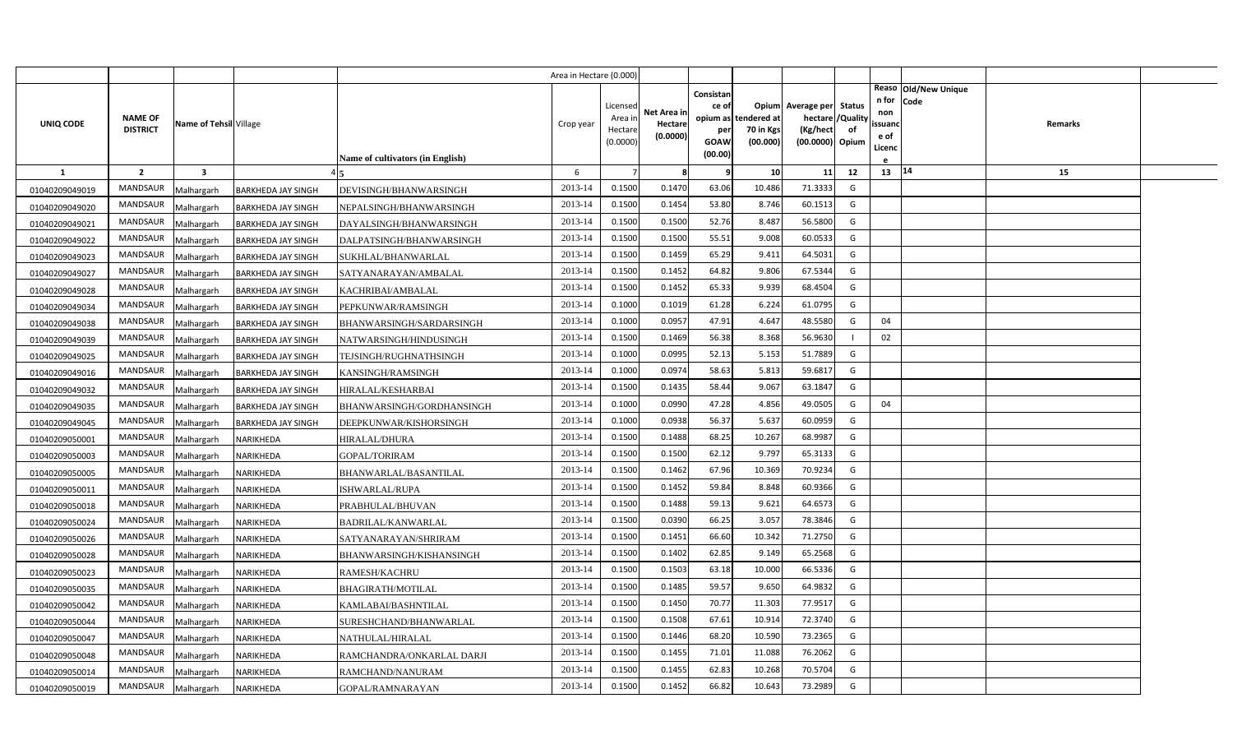|                |                                   |                         |                           |                                  | Area in Hectare (0.000) |                     |             |             |                          |                               |    |                   |                      |  |
|----------------|-----------------------------------|-------------------------|---------------------------|----------------------------------|-------------------------|---------------------|-------------|-------------|--------------------------|-------------------------------|----|-------------------|----------------------|--|
|                |                                   |                         |                           |                                  |                         |                     |             | Consistan   |                          |                               |    |                   | Reaso Old/New Unique |  |
|                |                                   |                         |                           |                                  |                         | Licensed            | Net Area in | ce of       |                          | Opium Average per Status      |    | n for Code<br>non |                      |  |
| UNIQ CODE      | <b>NAME OF</b><br><b>DISTRICT</b> | Name of Tehsil Village  |                           |                                  | Crop year               | Area ir             | Hectare     | opium as    | tendered at<br>70 in Kgs | hectare / Quality<br>(Kg/hect |    | ssuanc            | Remarks              |  |
|                |                                   |                         |                           |                                  |                         | Hectare<br>(0.0000) | (0.0000)    | per<br>GOAW | (00.000)                 | (00.0000) Opium               | of | e of              |                      |  |
|                |                                   |                         |                           | Name of cultivators (in English) |                         |                     |             | (00.00)     |                          |                               |    | Licenc            |                      |  |
| -1             | $\overline{2}$                    | $\overline{\mathbf{3}}$ |                           |                                  | 6                       | $\overline{7}$      | 8           | q           | 10 <sup>1</sup>          | 11                            | 12 | 13   14           | 15                   |  |
| 01040209049019 | MANDSAUR                          | Malhargarh              | <b>BARKHEDA JAY SINGH</b> | DEVISINGH/BHANWARSINGH           | 2013-14                 | 0.1500              | 0.1470      | 63.06       | 10.486                   | 71.3333                       | G  |                   |                      |  |
| 01040209049020 | <b>MANDSAUR</b>                   | Malhargarh              | BARKHEDA JAY SINGH        | NEPALSINGH/BHANWARSINGH          | 2013-14                 | 0.1500              | 0.1454      | 53.80       | 8.746                    | 60.1513                       | G  |                   |                      |  |
| 01040209049021 | MANDSAUR                          | Malhargarh              | <b>BARKHEDA JAY SINGH</b> | DAYALSINGH/BHANWARSINGH          | 2013-14                 | 0.1500              | 0.1500      | 52.76       | 8.487                    | 56.5800                       | G  |                   |                      |  |
| 01040209049022 | MANDSAUR                          | Malhargarh              | BARKHEDA JAY SINGH        | DALPATSINGH/BHANWARSINGH         | 2013-14                 | 0.1500              | 0.1500      | 55.51       | 9.008                    | 60.0533                       | G  |                   |                      |  |
| 01040209049023 | <b>MANDSAUR</b>                   | Malhargarh              | BARKHEDA JAY SINGH        | SUKHLAL/BHANWARLAL               | 2013-14                 | 0.1500              | 0.1459      | 65.29       | 9.411                    | 64.5031                       | G  |                   |                      |  |
| 01040209049027 | MANDSAUR                          | Malhargarh              | BARKHEDA JAY SINGH        | SATYANARAYAN/AMBALAL             | 2013-14                 | 0.1500              | 0.1452      | 64.82       | 9.806                    | 67.5344                       | G  |                   |                      |  |
| 01040209049028 | <b>MANDSAUR</b>                   | Malhargarh              | BARKHEDA JAY SINGH        | KACHRIBAI/AMBALAL                | 2013-14                 | 0.1500              | 0.1452      | 65.33       | 9.939                    | 68.4504                       | G  |                   |                      |  |
| 01040209049034 | MANDSAUR                          | Malhargarh              | <b>BARKHEDA JAY SINGH</b> | PEPKUNWAR/RAMSINGH               | 2013-14                 | 0.1000              | 0.1019      | 61.28       | 6.224                    | 61.0795                       | G  |                   |                      |  |
| 01040209049038 | MANDSAUR                          | Malhargarh              | BARKHEDA JAY SINGH        | BHANWARSINGH/SARDARSINGH         | 2013-14                 | 0.1000              | 0.0957      | 47.91       | 4.647                    | 48.5580                       | G  | 04                |                      |  |
| 01040209049039 | MANDSAUR                          | Malhargarh              | <b>BARKHEDA JAY SINGH</b> | NATWARSINGH/HINDUSINGH           | 2013-14                 | 0.1500              | 0.1469      | 56.38       | 8.368                    | 56.9630                       |    | 02                |                      |  |
| 01040209049025 | <b>MANDSAUR</b>                   | Malhargarh              | BARKHEDA JAY SINGH        | TEJSINGH/RUGHNATHSINGH           | 2013-14                 | 0.1000              | 0.0995      | 52.13       | 5.153                    | 51.7889                       | G  |                   |                      |  |
| 01040209049016 | MANDSAUR                          | Malhargarh              | <b>BARKHEDA JAY SINGH</b> | KANSINGH/RAMSINGH                | 2013-14                 | 0.1000              | 0.0974      | 58.63       | 5.813                    | 59.6817                       | G  |                   |                      |  |
| 01040209049032 | <b>MANDSAUR</b>                   | Malhargarh              | <b>BARKHEDA JAY SINGH</b> | HIRALAL/KESHARBAI                | 2013-14                 | 0.1500              | 0.1435      | 58.44       | 9.067                    | 63.1847                       | G  |                   |                      |  |
| 01040209049035 | MANDSAUR                          | Malhargarh              | <b>BARKHEDA JAY SINGH</b> | BHANWARSINGH/GORDHANSINGH        | 2013-14                 | 0.1000              | 0.0990      | 47.28       | 4.856                    | 49.0505                       | G  | 04                |                      |  |
| 01040209049045 | <b>MANDSAUR</b>                   | Malhargarh              | BARKHEDA JAY SINGH        | DEEPKUNWAR/KISHORSINGH           | 2013-14                 | 0.1000              | 0.0938      | 56.37       | 5.637                    | 60.0959                       | G  |                   |                      |  |
| 01040209050001 | MANDSAUR                          | Malhargarh              | NARIKHEDA                 | <b>HIRALAL/DHURA</b>             | 2013-14                 | 0.1500              | 0.1488      | 68.25       | 10.267                   | 68.9987                       | G  |                   |                      |  |
| 01040209050003 | <b>MANDSAUR</b>                   | Malhargarh              | NARIKHEDA                 | <b>GOPAL/TORIRAM</b>             | 2013-14                 | 0.1500              | 0.1500      | 62.12       | 9.797                    | 65.3133                       | G  |                   |                      |  |
| 01040209050005 | MANDSAUR                          | Malhargarh              | NARIKHEDA                 | BHANWARLAL/BASANTILAL            | 2013-14                 | 0.1500              | 0.1462      | 67.96       | 10.369                   | 70.9234                       | G  |                   |                      |  |
| 01040209050011 | <b>MANDSAUR</b>                   | Malhargarh              | NARIKHEDA                 | ISHWARLAL/RUPA                   | 2013-14                 | 0.1500              | 0.1452      | 59.84       | 8.848                    | 60.9366                       | G  |                   |                      |  |
| 01040209050018 | MANDSAUR                          | Malhargarh              | NARIKHEDA                 | PRABHULAL/BHUVAN                 | 2013-14                 | 0.1500              | 0.1488      | 59.13       | 9.621                    | 64.6573                       | G  |                   |                      |  |
| 01040209050024 | MANDSAUR                          | Malhargarh              | NARIKHEDA                 | BADRILAL/KANWARLAL               | 2013-14                 | 0.1500              | 0.0390      | 66.25       | 3.057                    | 78.3846                       | G  |                   |                      |  |
| 01040209050026 | MANDSAUR                          | Malhargarh              | <b>VARIKHEDA</b>          | SATYANARAYAN/SHRIRAM             | 2013-14                 | 0.1500              | 0.1451      | 66.60       | 10.342                   | 71.2750                       | G  |                   |                      |  |
| 01040209050028 | MANDSAUR                          | Malhargarh              | NARIKHEDA                 | BHANWARSINGH/KISHANSINGH         | 2013-14                 | 0.1500              | 0.1402      | 62.85       | 9.149                    | 65.2568                       | G  |                   |                      |  |
| 01040209050023 | MANDSAUR                          | Malhargarh              | <b>VARIKHEDA</b>          | RAMESH/KACHRU                    | 2013-14                 | 0.1500              | 0.1503      | 63.18       | 10.000                   | 66.5336                       | G  |                   |                      |  |
| 01040209050035 | MANDSAUR                          | Malhargarh              | <b>VARIKHEDA</b>          | BHAGIRATH/MOTILAL                | 2013-14                 | 0.1500              | 0.1485      | 59.57       | 9.650                    | 64.9832                       | G  |                   |                      |  |
| 01040209050042 | MANDSAUR                          | Malhargarh              | <b>VARIKHEDA</b>          | KAMLABAI/BASHNTILAL              | 2013-14                 | 0.1500              | 0.1450      | 70.77       | 11.303                   | 77.9517                       | G  |                   |                      |  |
| 01040209050044 | MANDSAUR                          | Malhargarh              | <b>VARIKHEDA</b>          | SURESHCHAND/BHANWARLAL           | 2013-14                 | 0.1500              | 0.1508      | 67.61       | 10.914                   | 72.3740                       | G  |                   |                      |  |
| 01040209050047 | <b>MANDSAUR</b>                   | Malhargarh              | <b>VARIKHEDA</b>          | NATHULAL/HIRALAL                 | 2013-14                 | 0.1500              | 0.1446      | 68.20       | 10.590                   | 73.2365                       | G  |                   |                      |  |
| 01040209050048 | MANDSAUR                          | Malhargarh              | <b>VARIKHEDA</b>          | RAMCHANDRA/ONKARLAL DARJI        | 2013-14                 | 0.1500              | 0.1455      | 71.01       | 11.088                   | 76.2062                       | G  |                   |                      |  |
| 01040209050014 | <b>MANDSAUR</b>                   | Malhargarh              | <b>VARIKHEDA</b>          | RAMCHAND/NANURAM                 | 2013-14                 | 0.1500              | 0.1455      | 62.83       | 10.268                   | 70.5704                       | G  |                   |                      |  |
| 01040209050019 | MANDSAUR                          | Malhargarh              | NARIKHEDA                 | GOPAL/RAMNARAYAN                 | 2013-14                 | 0.1500              | 0.1452      | 66.82       | 10.643                   | 73.2989                       | G  |                   |                      |  |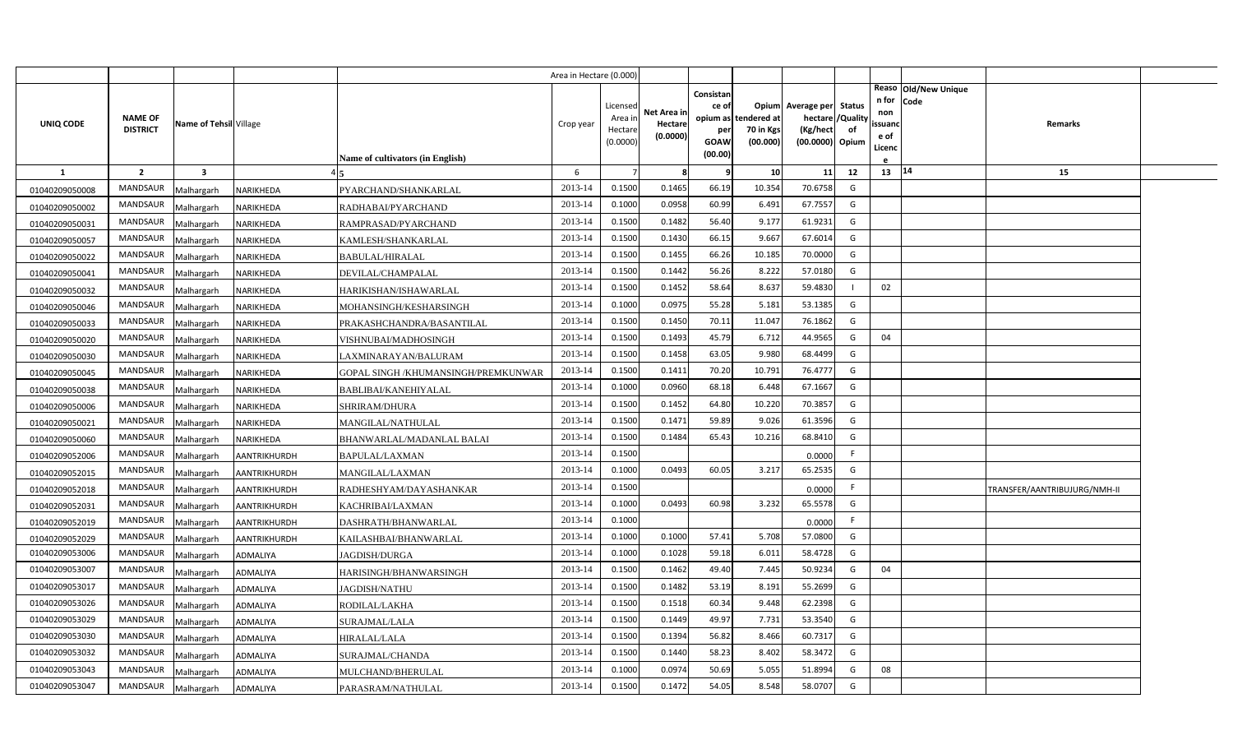|                |                                   |                        |                     |                                         | Area in Hectare (0.000 |                    |             |           |                                   |                          |                |                               |                              |  |
|----------------|-----------------------------------|------------------------|---------------------|-----------------------------------------|------------------------|--------------------|-------------|-----------|-----------------------------------|--------------------------|----------------|-------------------------------|------------------------------|--|
|                |                                   |                        |                     |                                         |                        |                    |             | Consistan |                                   |                          |                | Reaso Old/New Unique<br>n for |                              |  |
|                |                                   |                        |                     |                                         |                        | Licensed           | Net Area in | ce of     |                                   | Opium Average per Status |                | Code<br>non                   |                              |  |
| UNIQ CODE      | <b>NAME OF</b><br><b>DISTRICT</b> | Name of Tehsil Village |                     |                                         | Crop year              | Area in<br>Hectare | Hectare     | per       | opium as tendered at<br>70 in Kgs | hectare<br>(Kg/hect      | 'Quality<br>of | ssuand                        | Remarks                      |  |
|                |                                   |                        |                     |                                         |                        | (0.0000)           | (0.0000)    | GOAW      | (00.000)                          | (00.0000) Opium          |                | e of<br>Licenc                |                              |  |
|                |                                   |                        |                     | <b>Name of cultivators (in English)</b> |                        |                    |             | (00.00)   |                                   |                          |                |                               |                              |  |
| $\mathbf{1}$   | $\overline{2}$                    | $\mathbf{3}$           |                     |                                         | 6                      |                    | -8          | q         | 10                                | 11                       | 12             | 13 14                         | 15                           |  |
| 01040209050008 | <b>MANDSAUR</b>                   | Malhargarh             | NARIKHEDA           | PYARCHAND/SHANKARLAL                    | 2013-14                | 0.1500             | 0.1465      | 66.19     | 10.354                            | 70.6758                  | G              |                               |                              |  |
| 01040209050002 | <b>MANDSAUR</b>                   | Malhargarh             | NARIKHEDA           | RADHABAI/PYARCHAND                      | 2013-14                | 0.1000             | 0.0958      | 60.99     | 6.491                             | 67.7557                  | G              |                               |                              |  |
| 01040209050031 | <b>MANDSAUR</b>                   | Malhargarh             | NARIKHEDA           | RAMPRASAD/PYARCHAND                     | 2013-14                | 0.1500             | 0.1482      | 56.40     | 9.177                             | 61.9231                  | G              |                               |                              |  |
| 01040209050057 | <b>MANDSAUR</b>                   | Malhargarh             | NARIKHEDA           | KAMLESH/SHANKARLAL                      | 2013-14                | 0.1500             | 0.1430      | 66.15     | 9.667                             | 67.6014                  | G              |                               |                              |  |
| 01040209050022 | <b>MANDSAUR</b>                   | Malhargarh             | NARIKHEDA           | BABULAL/HIRALAL                         | 2013-14                | 0.1500             | 0.1455      | 66.26     | 10.185                            | 70.0000                  | G              |                               |                              |  |
| 01040209050041 | <b>MANDSAUR</b>                   | Malhargarh             | NARIKHEDA           | DEVILAL/CHAMPALAL                       | 2013-14                | 0.1500             | 0.1442      | 56.26     | 8.222                             | 57.0180                  | G              |                               |                              |  |
| 01040209050032 | <b>MANDSAUR</b>                   | Malhargarh             | NARIKHEDA           | HARIKISHAN/ISHAWARLAL                   | 2013-14                | 0.1500             | 0.1452      | 58.64     | 8.637                             | 59.4830                  |                | 02                            |                              |  |
| 01040209050046 | MANDSAUR                          | Malhargarh             | NARIKHEDA           | MOHANSINGH/KESHARSINGH                  | 2013-14                | 0.1000             | 0.0975      | 55.28     | 5.181                             | 53.1385                  | G              |                               |                              |  |
| 01040209050033 | MANDSAUR                          | Malhargarh             | NARIKHEDA           | PRAKASHCHANDRA/BASANTILAL               | 2013-14                | 0.1500             | 0.1450      | 70.11     | 11.047                            | 76.1862                  | G              |                               |                              |  |
| 01040209050020 | MANDSAUR                          | Malhargarh             | NARIKHEDA           | VISHNUBAI/MADHOSINGH                    | 2013-14                | 0.1500             | 0.1493      | 45.79     | 6.712                             | 44.9565                  | G              | 04                            |                              |  |
| 01040209050030 | <b>MANDSAUR</b>                   | Malhargarh             | NARIKHEDA           | LAXMINARAYAN/BALURAM                    | 2013-14                | 0.1500             | 0.1458      | 63.05     | 9.980                             | 68.4499                  | G              |                               |                              |  |
| 01040209050045 | <b>MANDSAUR</b>                   | Malhargarh             | NARIKHEDA           | GOPAL SINGH /KHUMANSINGH/PREMKUNWAR     | 2013-14                | 0.1500             | 0.1411      | 70.20     | 10.791                            | 76.4777                  | G              |                               |                              |  |
| 01040209050038 | <b>MANDSAUR</b>                   | Malhargarh             | NARIKHEDA           | BABLIBAI/KANEHIYALAL                    | 2013-14                | 0.1000             | 0.0960      | 68.18     | 6.448                             | 67.1667                  | G              |                               |                              |  |
| 01040209050006 | <b>MANDSAUR</b>                   | Malhargarh             | NARIKHEDA           | <b>SHRIRAM/DHURA</b>                    | 2013-14                | 0.1500             | 0.1452      | 64.80     | 10.220                            | 70.3857                  | G              |                               |                              |  |
| 01040209050021 | <b>MANDSAUR</b>                   | Malhargarh             | NARIKHEDA           | MANGILAL/NATHULAL                       | 2013-14                | 0.1500             | 0.1471      | 59.89     | 9.026                             | 61.3596                  | G              |                               |                              |  |
| 01040209050060 | MANDSAUR                          | Malhargarh             | NARIKHEDA           | BHANWARLAL/MADANLAL BALAI               | 2013-14                | 0.1500             | 0.1484      | 65.43     | 10.216                            | 68.8410                  | G              |                               |                              |  |
| 01040209052006 | <b>MANDSAUR</b>                   | Malhargarh             | AANTRIKHURDH        | BAPULAL/LAXMAN                          | 2013-14                | 0.1500             |             |           |                                   | 0.0000                   | F              |                               |                              |  |
| 01040209052015 | <b>MANDSAUR</b>                   | Malhargarh             | <b>AANTRIKHURDH</b> | MANGILAL/LAXMAN                         | 2013-14                | 0.1000             | 0.0493      | 60.05     | 3.217                             | 65.2535                  | G              |                               |                              |  |
| 01040209052018 | <b>MANDSAUR</b>                   | Malhargarh             | AANTRIKHURDH        | RADHESHYAM/DAYASHANKAR                  | 2013-14                | 0.1500             |             |           |                                   | 0.0000                   | F.             |                               | TRANSFER/AANTRIBUJURG/NMH-II |  |
| 01040209052031 | <b>MANDSAUR</b>                   | Malhargarh             | AANTRIKHURDH        | KACHRIBAI/LAXMAN                        | 2013-14                | 0.1000             | 0.0493      | 60.98     | 3.232                             | 65.5578                  | G              |                               |                              |  |
| 01040209052019 | <b>MANDSAUR</b>                   | Malhargarh             | AANTRIKHURDH        | DASHRATH/BHANWARLAL                     | 2013-14                | 0.1000             |             |           |                                   | 0.0000                   | F.             |                               |                              |  |
| 01040209052029 | <b>MANDSAUR</b>                   | Malhargarh             | AANTRIKHURDH        | KAILASHBAI/BHANWARLAL                   | 2013-14                | 0.1000             | 0.1000      | 57.41     | 5.708                             | 57.0800                  | G              |                               |                              |  |
| 01040209053006 | MANDSAUR                          | Malhargarh             | ADMALIYA            | <b>JAGDISH/DURGA</b>                    | 2013-14                | 0.1000             | 0.1028      | 59.18     | 6.011                             | 58.4728                  | G              |                               |                              |  |
| 01040209053007 | <b>MANDSAUR</b>                   | Malhargarh             | ADMALIYA            | HARISINGH/BHANWARSINGH                  | 2013-14                | 0.1500             | 0.1462      | 49.40     | 7.445                             | 50.9234                  | G              | 04                            |                              |  |
| 01040209053017 | <b>MANDSAUR</b>                   | Malhargarh             | ADMALIYA            | JAGDISH/NATHU                           | 2013-14                | 0.1500             | 0.1482      | 53.19     | 8.191                             | 55.2699                  | G              |                               |                              |  |
| 01040209053026 | MANDSAUR                          | Malhargarh             | ADMALIYA            | RODILAL/LAKHA                           | 2013-14                | 0.1500             | 0.1518      | 60.34     | 9.448                             | 62.2398                  | G              |                               |                              |  |
| 01040209053029 | MANDSAUR                          | Malhargarh             | ADMALIYA            | SURAJMAL/LALA                           | 2013-14                | 0.1500             | 0.1449      | 49.97     | 7.731                             | 53.3540                  | G              |                               |                              |  |
| 01040209053030 | MANDSAUR                          | Malhargarh             | ADMALIYA            | HIRALAL/LALA                            | 2013-14                | 0.1500             | 0.1394      | 56.82     | 8.466                             | 60.7317                  | G              |                               |                              |  |
| 01040209053032 | MANDSAUR                          | Malhargarh             | ADMALIYA            | SURAJMAL/CHANDA                         | 2013-14                | 0.1500             | 0.1440      | 58.23     | 8.402                             | 58.3472                  | G              |                               |                              |  |
| 01040209053043 | MANDSAUR                          | Malhargarh             | ADMALIYA            | MULCHAND/BHERULAL                       | 2013-14                | 0.1000             | 0.0974      | 50.69     | 5.055                             | 51.8994                  | G              | 08                            |                              |  |
| 01040209053047 | MANDSAUR                          | Malhargarh             | <b>ADMALIYA</b>     | PARASRAM/NATHULAL                       | 2013-14                | 0.1500             | 0.1472      | 54.05     | 8.548                             | 58.0707                  | G              |                               |                              |  |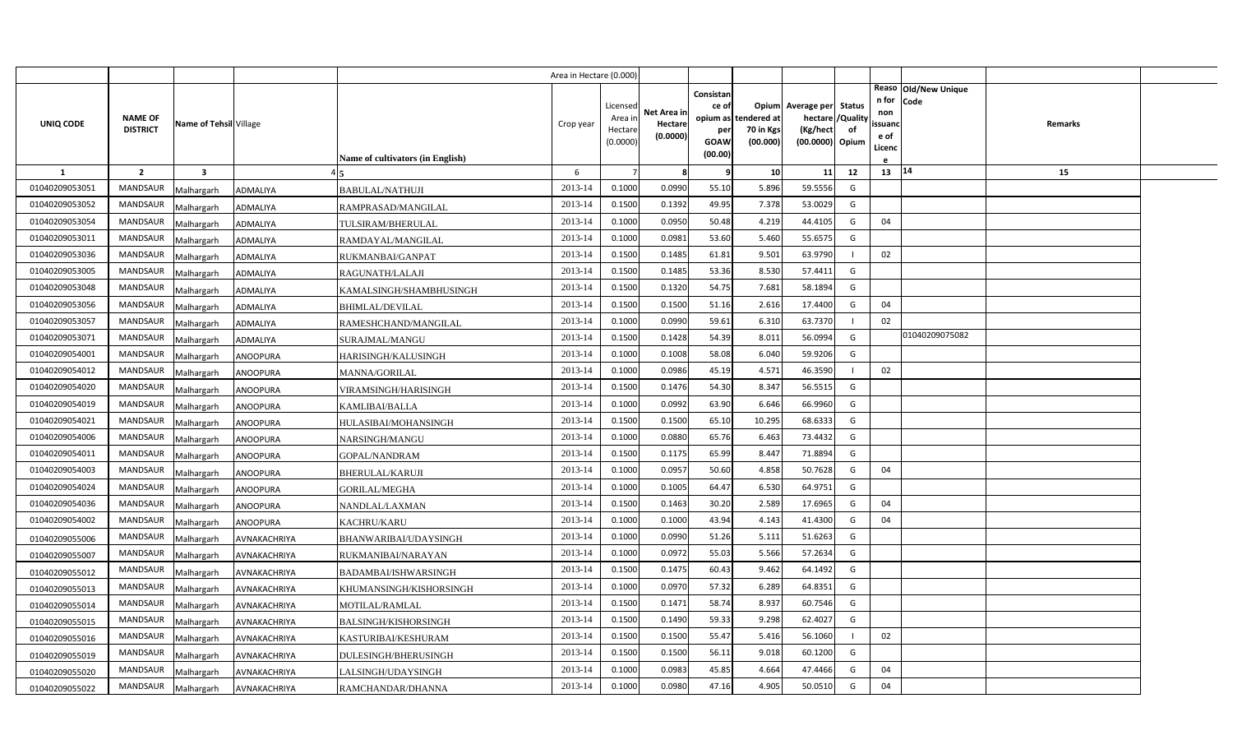|                |                                   |                         |                     |                                         | Area in Hectare (0.000) |                                            |                                    |                                                     |                                               |                                                                    |                |                                          |                              |         |  |
|----------------|-----------------------------------|-------------------------|---------------------|-----------------------------------------|-------------------------|--------------------------------------------|------------------------------------|-----------------------------------------------------|-----------------------------------------------|--------------------------------------------------------------------|----------------|------------------------------------------|------------------------------|---------|--|
| UNIQ CODE      | <b>NAME OF</b><br><b>DISTRICT</b> | Name of Tehsil Village  |                     | <b>Name of cultivators (in English)</b> | Crop year               | Licensed<br>Area in<br>Hectare<br>(0.0000) | Net Area in<br>Hectare<br>(0.0000) | Consistan<br>ce of<br>per<br><b>GOAW</b><br>(00.00) | opium as tendered at<br>70 in Kgs<br>(00.000) | Opium Average per Status<br>hectare<br>(Kg/hect<br>(00.0000) Opium | /Quality<br>of | n for<br>non<br>ssuanc<br>e of<br>Licenc | Reaso Old/New Unique<br>Code | Remarks |  |
| <b>1</b>       | $\overline{2}$                    | $\overline{\mathbf{3}}$ |                     |                                         | 6                       |                                            | 8                                  | 9                                                   | 10                                            | 11                                                                 | 12             | 13 14                                    |                              | 15      |  |
| 01040209053051 | <b>MANDSAUR</b>                   | Malhargarh              | ADMALIYA            | <b>BABULAL/NATHUJI</b>                  | 2013-14                 | 0.1000                                     | 0.0990                             | 55.10                                               | 5.896                                         | 59.5556                                                            | G              |                                          |                              |         |  |
| 01040209053052 | <b>MANDSAUR</b>                   | Malhargarh              | ADMALIYA            | RAMPRASAD/MANGILAL                      | 2013-14                 | 0.1500                                     | 0.1392                             | 49.95                                               | 7.378                                         | 53.0029                                                            | G              |                                          |                              |         |  |
| 01040209053054 | <b>MANDSAUR</b>                   | Malhargarh              | ADMALIYA            | TULSIRAM/BHERULAL                       | 2013-14                 | 0.1000                                     | 0.0950                             | 50.48                                               | 4.219                                         | 44.4105                                                            | G              | 04                                       |                              |         |  |
| 01040209053011 | <b>MANDSAUR</b>                   | Malhargarh              | ADMALIYA            | RAMDAYAL/MANGILAL                       | 2013-14                 | 0.1000                                     | 0.0981                             | 53.60                                               | 5.460                                         | 55.6575                                                            | G              |                                          |                              |         |  |
| 01040209053036 | <b>MANDSAUR</b>                   | Malhargarh              | ADMALIYA            | RUKMANBAI/GANPAT                        | 2013-14                 | 0.1500                                     | 0.1485                             | 61.81                                               | 9.501                                         | 63.9790                                                            |                | 02                                       |                              |         |  |
| 01040209053005 | <b>MANDSAUR</b>                   | Malhargarh              | ADMALIYA            | RAGUNATH/LALAJI                         | 2013-14                 | 0.1500                                     | 0.1485                             | 53.36                                               | 8.530                                         | 57.4411                                                            | G              |                                          |                              |         |  |
| 01040209053048 | <b>MANDSAUR</b>                   | Malhargarh              | <b>ADMALIYA</b>     | KAMALSINGH/SHAMBHUSINGH                 | 2013-14                 | 0.1500                                     | 0.1320                             | 54.75                                               | 7.681                                         | 58.1894                                                            | G              |                                          |                              |         |  |
| 01040209053056 | <b>MANDSAUR</b>                   | Malhargarh              | ADMALIYA            | <b>BHIMLAL/DEVILAL</b>                  | 2013-14                 | 0.1500                                     | 0.1500                             | 51.16                                               | 2.616                                         | 17.4400                                                            | G              | 04                                       |                              |         |  |
| 01040209053057 | <b>MANDSAUR</b>                   | Malhargarh              | ADMALIYA            | RAMESHCHAND/MANGILAL                    | 2013-14                 | 0.1000                                     | 0.0990                             | 59.61                                               | 6.310                                         | 63.7370                                                            | $\blacksquare$ | 02                                       |                              |         |  |
| 01040209053071 | <b>MANDSAUR</b>                   | Malhargarh              | ADMALIYA            | SURAJMAL/MANGU                          | 2013-14                 | 0.1500                                     | 0.1428                             | 54.39                                               | 8.011                                         | 56.0994                                                            | G              |                                          | 01040209075082               |         |  |
| 01040209054001 | <b>MANDSAUR</b>                   | Malhargarh              | <b>ANOOPURA</b>     | HARISINGH/KALUSINGH                     | 2013-14                 | 0.1000                                     | 0.1008                             | 58.08                                               | 6.040                                         | 59.9206                                                            | G              |                                          |                              |         |  |
| 01040209054012 | <b>MANDSAUR</b>                   | Malhargarh              | <b>ANOOPURA</b>     | MANNA/GORILAL                           | 2013-14                 | 0.1000                                     | 0.0986                             | 45.19                                               | 4.571                                         | 46.3590                                                            | $\blacksquare$ | 02                                       |                              |         |  |
| 01040209054020 | <b>MANDSAUR</b>                   | Malhargarh              | <b>ANOOPURA</b>     | VIRAMSINGH/HARISINGH                    | 2013-14                 | 0.1500                                     | 0.1476                             | 54.30                                               | 8.347                                         | 56.5515                                                            | G              |                                          |                              |         |  |
| 01040209054019 | <b>MANDSAUR</b>                   | Malhargarh              | ANOOPURA            | <b>KAMLIBAI/BALLA</b>                   | 2013-14                 | 0.1000                                     | 0.0992                             | 63.90                                               | 6.646                                         | 66.9960                                                            | G              |                                          |                              |         |  |
| 01040209054021 | <b>MANDSAUR</b>                   | Malhargarh              | <b>ANOOPURA</b>     | HULASIBAI/MOHANSINGH                    | 2013-14                 | 0.1500                                     | 0.1500                             | 65.10                                               | 10.295                                        | 68.6333                                                            | G              |                                          |                              |         |  |
| 01040209054006 | <b>MANDSAUR</b>                   | Malhargarh              | <b>ANOOPURA</b>     | NARSINGH/MANGU                          | 2013-14                 | 0.1000                                     | 0.0880                             | 65.76                                               | 6.463                                         | 73.4432                                                            | G              |                                          |                              |         |  |
| 01040209054011 | MANDSAUR                          | Malhargarh              | <b>ANOOPURA</b>     | GOPAL/NANDRAM                           | 2013-14                 | 0.1500                                     | 0.1175                             | 65.99                                               | 8.447                                         | 71.8894                                                            | G              |                                          |                              |         |  |
| 01040209054003 | <b>MANDSAUR</b>                   | Malhargarh              | <b>ANOOPURA</b>     | <b>BHERULAL/KARUJI</b>                  | 2013-14                 | 0.1000                                     | 0.0957                             | 50.60                                               | 4.858                                         | 50.7628                                                            | G              | 04                                       |                              |         |  |
| 01040209054024 | <b>MANDSAUR</b>                   | Malhargarh              | ANOOPURA            | GORILAL/MEGHA                           | 2013-14                 | 0.1000                                     | 0.1005                             | 64.47                                               | 6.530                                         | 64.9751                                                            | G              |                                          |                              |         |  |
| 01040209054036 | <b>MANDSAUR</b>                   | Malhargarh              | <b>ANOOPURA</b>     | NANDLAL/LAXMAN                          | 2013-14                 | 0.1500                                     | 0.1463                             | 30.20                                               | 2.589                                         | 17.6965                                                            | G              | 04                                       |                              |         |  |
| 01040209054002 | <b>MANDSAUR</b>                   | Malhargarh              | ANOOPURA            | <b>KACHRU/KARU</b>                      | 2013-14                 | 0.1000                                     | 0.1000                             | 43.94                                               | 4.143                                         | 41.4300                                                            | G              | 04                                       |                              |         |  |
| 01040209055006 | <b>MANDSAUR</b>                   | Malhargarh              | AVNAKACHRIYA        | BHANWARIBAI/UDAYSINGH                   | 2013-14                 | 0.1000                                     | 0.0990                             | 51.26                                               | 5.111                                         | 51.6263                                                            | G              |                                          |                              |         |  |
| 01040209055007 | <b>MANDSAUR</b>                   | Malhargarh              | AVNAKACHRIYA        | RUKMANIBAI/NARAYAN                      | 2013-14                 | 0.1000                                     | 0.0972                             | 55.03                                               | 5.566                                         | 57.2634                                                            | G              |                                          |                              |         |  |
| 01040209055012 | <b>MANDSAUR</b>                   | Malhargarh              | AVNAKACHRIYA        | BADAMBAI/ISHWARSINGH                    | 2013-14                 | 0.1500                                     | 0.1475                             | 60.43                                               | 9.462                                         | 64.1492                                                            | G              |                                          |                              |         |  |
| 01040209055013 | <b>MANDSAUR</b>                   | Malhargarh              | AVNAKACHRIYA        | KHUMANSINGH/KISHORSINGH                 | 2013-14                 | 0.1000                                     | 0.0970                             | 57.32                                               | 6.289                                         | 64.8351                                                            | G              |                                          |                              |         |  |
| 01040209055014 | <b>MANDSAUR</b>                   | Malhargarh              | AVNAKACHRIYA        | <b>MOTILAL/RAMLAL</b>                   | 2013-14                 | 0.1500                                     | 0.1471                             | 58.74                                               | 8.937                                         | 60.7546                                                            | G              |                                          |                              |         |  |
| 01040209055015 | <b>MANDSAUR</b>                   | Malhargarh              | AVNAKACHRIYA        | BALSINGH/KISHORSINGH                    | 2013-14                 | 0.1500                                     | 0.1490                             | 59.33                                               | 9.298                                         | 62.4027                                                            | G              |                                          |                              |         |  |
| 01040209055016 | MANDSAUR                          | Malhargarh              | AVNAKACHRIYA        | KASTURIBAI/KESHURAM                     | 2013-14                 | 0.1500                                     | 0.1500                             | 55.47                                               | 5.416                                         | 56.1060                                                            | $\blacksquare$ | 02                                       |                              |         |  |
| 01040209055019 | <b>MANDSAUR</b>                   | Malhargarh              | AVNAKACHRIYA        | DULESINGH/BHERUSINGH                    | 2013-14                 | 0.1500                                     | 0.1500                             | 56.11                                               | 9.018                                         | 60.1200                                                            | G              |                                          |                              |         |  |
| 01040209055020 | <b>MANDSAUR</b>                   | Malhargarh              | AVNAKACHRIYA        | LALSINGH/UDAYSINGH                      | 2013-14                 | 0.1000                                     | 0.0983                             | 45.85                                               | 4.664                                         | 47.4466                                                            | G              | 04                                       |                              |         |  |
| 01040209055022 | MANDSAUR                          | Malhargarh              | <b>AVNAKACHRIYA</b> | RAMCHANDAR/DHANNA                       | 2013-14                 | 0.1000                                     | 0.0980                             | 47.16                                               | 4.905                                         | 50.0510                                                            | G              | 04                                       |                              |         |  |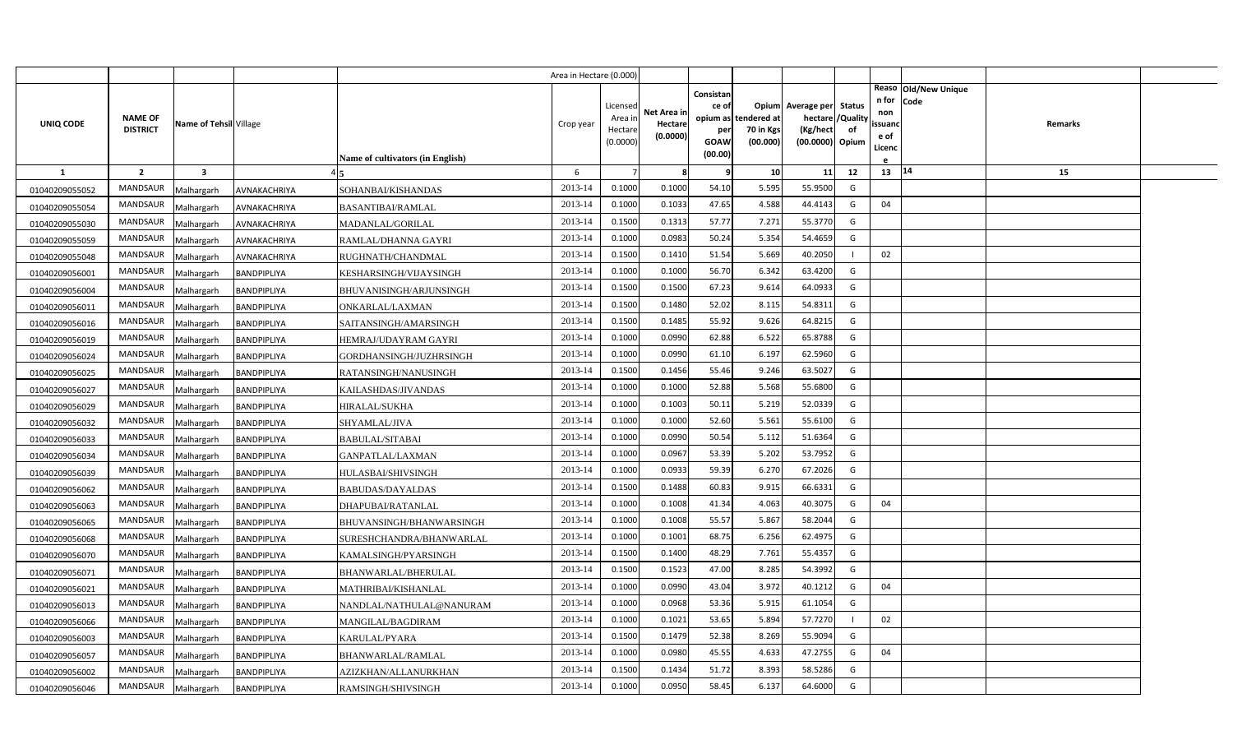|                |                                   |                         |                    |                                  | Area in Hectare (0.000) |                     |             |             |                       |                             |    |                   |                      |  |
|----------------|-----------------------------------|-------------------------|--------------------|----------------------------------|-------------------------|---------------------|-------------|-------------|-----------------------|-----------------------------|----|-------------------|----------------------|--|
|                |                                   |                         |                    |                                  |                         |                     |             | Consistan   |                       |                             |    |                   | Reaso Old/New Unique |  |
|                |                                   |                         |                    |                                  |                         | Licensed            | Net Area in | ce of       |                       | Opium Average per Status    |    | n for Code<br>non |                      |  |
| UNIQ CODE      | <b>NAME OF</b><br><b>DISTRICT</b> | Name of Tehsil Village  |                    |                                  | Crop year               | Area ir             | Hectare     | opium as    | tendered at           | hectare / Quality           |    | ssuanc            | Remarks              |  |
|                |                                   |                         |                    |                                  |                         | Hectare<br>(0.0000) | (0.0000)    | per<br>GOAW | 70 in Kgs<br>(00.000) | (Kg/hect<br>(00.0000) Opium | of | e of              |                      |  |
|                |                                   |                         |                    | Name of cultivators (in English) |                         |                     |             | (00.00)     |                       |                             |    | Licenc            |                      |  |
| -1             | $\overline{2}$                    | $\overline{\mathbf{3}}$ |                    |                                  | 6                       | $\overline{7}$      | 8           | q           | 10 <sup>1</sup>       | 11                          | 12 | 13   14           | 15                   |  |
| 01040209055052 | MANDSAUR                          | Malhargarh              | AVNAKACHRIYA       | SOHANBAI/KISHANDAS               | 2013-14                 | 0.1000              | 0.1000      | 54.10       | 5.595                 | 55.9500                     | G  |                   |                      |  |
| 01040209055054 | <b>MANDSAUR</b>                   | Malhargarh              | AVNAKACHRIYA       | BASANTIBAI/RAMLAL                | 2013-14                 | 0.1000              | 0.1033      | 47.65       | 4.588                 | 44.4143                     | G  | 04                |                      |  |
| 01040209055030 | MANDSAUR                          | Malhargarh              | AVNAKACHRIYA       | MADANLAL/GORILAL                 | 2013-14                 | 0.1500              | 0.1313      | 57.77       | 7.271                 | 55.3770                     | G  |                   |                      |  |
| 01040209055059 | MANDSAUR                          | Malhargarh              | AVNAKACHRIYA       | RAMLAL/DHANNA GAYRI              | 2013-14                 | 0.1000              | 0.0983      | 50.24       | 5.354                 | 54.4659                     | G  |                   |                      |  |
| 01040209055048 | <b>MANDSAUR</b>                   | Malhargarh              | AVNAKACHRIYA       | RUGHNATH/CHANDMAL                | 2013-14                 | 0.1500              | 0.1410      | 51.54       | 5.669                 | 40.2050                     |    | 02                |                      |  |
| 01040209056001 | MANDSAUR                          | Malhargarh              | BANDPIPLIYA        | KESHARSINGH/VIJAYSINGH           | 2013-14                 | 0.1000              | 0.1000      | 56.70       | 6.342                 | 63.4200                     | G  |                   |                      |  |
| 01040209056004 | <b>MANDSAUR</b>                   | Malhargarh              | BANDPIPLIYA        | BHUVANISINGH/ARJUNSINGH          | 2013-14                 | 0.1500              | 0.1500      | 67.23       | 9.614                 | 64.0933                     | G  |                   |                      |  |
| 01040209056011 | MANDSAUR                          | Malhargarh              | BANDPIPLIYA        | ONKARLAL/LAXMAN                  | 2013-14                 | 0.1500              | 0.1480      | 52.02       | 8.115                 | 54.8311                     | G  |                   |                      |  |
| 01040209056016 | MANDSAUR                          | Malhargarh              | BANDPIPLIYA        | SAITANSINGH/AMARSINGH            | 2013-14                 | 0.1500              | 0.1485      | 55.92       | 9.626                 | 64.8215                     | G  |                   |                      |  |
| 01040209056019 | MANDSAUR                          | Malhargarh              | BANDPIPLIYA        | HEMRAJ/UDAYRAM GAYRI             | 2013-14                 | 0.1000              | 0.0990      | 62.88       | 6.522                 | 65.8788                     | G  |                   |                      |  |
| 01040209056024 | <b>MANDSAUR</b>                   | Malhargarh              | BANDPIPLIYA        | GORDHANSINGH/JUZHRSINGH          | 2013-14                 | 0.1000              | 0.0990      | 61.10       | 6.197                 | 62.5960                     | G  |                   |                      |  |
| 01040209056025 | MANDSAUR                          | Malhargarh              | BANDPIPLIYA        | RATANSINGH/NANUSINGH             | 2013-14                 | 0.1500              | 0.1456      | 55.46       | 9.246                 | 63.5027                     | G  |                   |                      |  |
| 01040209056027 | <b>MANDSAUR</b>                   | Malhargarh              | BANDPIPLIYA        | KAILASHDAS/JIVANDAS              | 2013-14                 | 0.1000              | 0.1000      | 52.88       | 5.568                 | 55.6800                     | G  |                   |                      |  |
| 01040209056029 | MANDSAUR                          | Malhargarh              | BANDPIPLIYA        | HIRALAL/SUKHA                    | 2013-14                 | 0.1000              | 0.1003      | 50.11       | 5.219                 | 52.0339                     | G  |                   |                      |  |
| 01040209056032 | <b>MANDSAUR</b>                   | Malhargarh              | BANDPIPLIYA        | SHYAMLAL/JIVA                    | 2013-14                 | 0.1000              | 0.1000      | 52.60       | 5.561                 | 55.6100                     | G  |                   |                      |  |
| 01040209056033 | MANDSAUR                          | Malhargarh              | BANDPIPLIYA        | <b>BABULAL/SITABAI</b>           | 2013-14                 | 0.1000              | 0.0990      | 50.54       | 5.112                 | 51.6364                     | G  |                   |                      |  |
| 01040209056034 | <b>MANDSAUR</b>                   | Malhargarh              | BANDPIPLIYA        | GANPATLAL/LAXMAN                 | 2013-14                 | 0.1000              | 0.0967      | 53.39       | 5.202                 | 53.7952                     | G  |                   |                      |  |
| 01040209056039 | MANDSAUR                          | Malhargarh              | BANDPIPLIYA        | HULASBAI/SHIVSINGH               | 2013-14                 | 0.1000              | 0.0933      | 59.39       | 6.270                 | 67.2026                     | G  |                   |                      |  |
| 01040209056062 | <b>MANDSAUR</b>                   | Malhargarh              | BANDPIPLIYA        | <b>BABUDAS/DAYALDAS</b>          | 2013-14                 | 0.1500              | 0.1488      | 60.83       | 9.915                 | 66.6331                     | G  |                   |                      |  |
| 01040209056063 | MANDSAUR                          | Malhargarh              | BANDPIPLIYA        | DHAPUBAI/RATANLAL                | 2013-14                 | 0.1000              | 0.1008      | 41.34       | 4.063                 | 40.3075                     | G  | 04                |                      |  |
| 01040209056065 | MANDSAUR                          | Malhargarh              | BANDPIPLIYA        | BHUVANSINGH/BHANWARSINGH         | 2013-14                 | 0.1000              | 0.1008      | 55.57       | 5.867                 | 58.2044                     | G  |                   |                      |  |
| 01040209056068 | MANDSAUR                          | Malhargarh              | BANDPIPLIYA        | SURESHCHANDRA/BHANWARLAL         | 2013-14                 | 0.1000              | 0.1001      | 68.75       | 6.256                 | 62.4975                     | G  |                   |                      |  |
| 01040209056070 | MANDSAUR                          | Malhargarh              | BANDPIPLIYA        | KAMALSINGH/PYARSINGH             | 2013-14                 | 0.1500              | 0.1400      | 48.29       | 7.761                 | 55.4357                     | G  |                   |                      |  |
| 01040209056071 | MANDSAUR                          | Malhargarh              | BANDPIPLIYA        | BHANWARLAL/BHERULAL              | 2013-14                 | 0.1500              | 0.1523      | 47.00       | 8.285                 | 54.3992                     | G  |                   |                      |  |
| 01040209056021 | MANDSAUR                          | Malhargarh              | BANDPIPLIYA        | MATHRIBAI/KISHANLAL              | 2013-14                 | 0.1000              | 0.0990      | 43.04       | 3.972                 | 40.1212                     | G  | 04                |                      |  |
| 01040209056013 | MANDSAUR                          | Malhargarh              | BANDPIPLIYA        | NANDLAL/NATHULAL@NANURAM         | 2013-14                 | 0.1000              | 0.0968      | 53.36       | 5.915                 | 61.1054                     | G  |                   |                      |  |
| 01040209056066 | MANDSAUR                          | Malhargarh              | BANDPIPLIYA        | MANGILAL/BAGDIRAM                | 2013-14                 | 0.1000              | 0.1021      | 53.65       | 5.894                 | 57.7270                     |    | 02                |                      |  |
| 01040209056003 | MANDSAUR                          | Malhargarh              | BANDPIPLIYA        | KARULAL/PYARA                    | 2013-14                 | 0.1500              | 0.1479      | 52.38       | 8.269                 | 55.9094                     | G  |                   |                      |  |
| 01040209056057 | MANDSAUR                          | Malhargarh              | BANDPIPLIYA        | BHANWARLAL/RAMLAL                | 2013-14                 | 0.1000              | 0.0980      | 45.55       | 4.633                 | 47.2755                     | G  | 04                |                      |  |
| 01040209056002 | <b>MANDSAUR</b>                   | Malhargarh              | BANDPIPLIYA        | AZIZKHAN/ALLANURKHAN             | 2013-14                 | 0.1500              | 0.1434      | 51.72       | 8.393                 | 58.5286                     | G  |                   |                      |  |
| 01040209056046 | MANDSAUR                          | Malhargarh              | <b>BANDPIPLIYA</b> | RAMSINGH/SHIVSINGH               | 2013-14                 | 0.1000              | 0.0950      | 58.45       | 6.137                 | 64.6000                     | G  |                   |                      |  |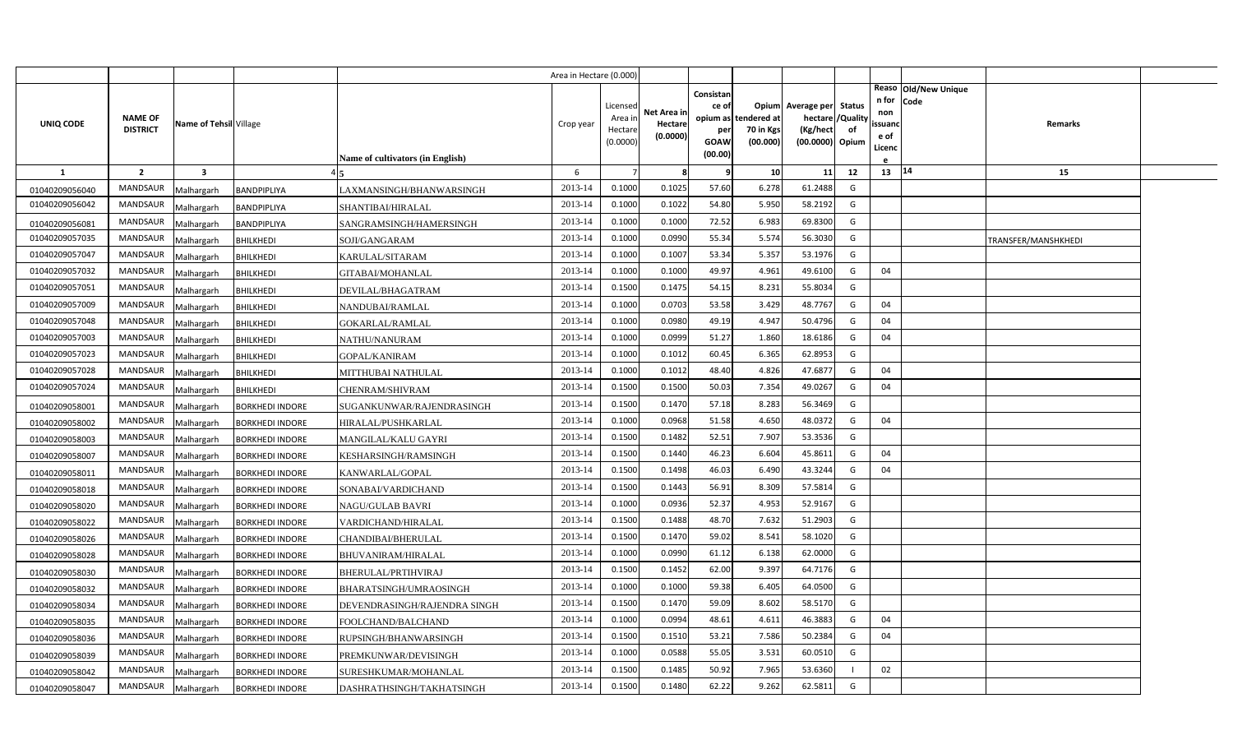|                |                                   |                         |                        |                                  | Area in Hectare (0.000) |                                            |                                    |                                                     |                                               |                                                         |                         |                                          |                              |                     |  |
|----------------|-----------------------------------|-------------------------|------------------------|----------------------------------|-------------------------|--------------------------------------------|------------------------------------|-----------------------------------------------------|-----------------------------------------------|---------------------------------------------------------|-------------------------|------------------------------------------|------------------------------|---------------------|--|
| UNIQ CODE      | <b>NAME OF</b><br><b>DISTRICT</b> | Name of Tehsil Village  |                        | Name of cultivators (in English) | Crop year               | Licensed<br>Area in<br>Hectare<br>(0.0000) | Net Area in<br>Hectare<br>(0.0000) | Consistan<br>ce of<br>per<br><b>GOAW</b><br>(00.00) | opium as tendered at<br>70 in Kgs<br>(00.000) | Opium Average per Status<br>(Kg/hect<br>(00.0000) Opium | hectare / Quality<br>of | n for<br>non<br>ssuand<br>e of<br>Licenc | Reaso Old/New Unique<br>Code | Remarks             |  |
| $\mathbf{1}$   | $\overline{2}$                    | $\overline{\mathbf{3}}$ |                        |                                  | 6                       |                                            | 8                                  | q                                                   | 10                                            | 11                                                      | 12                      | 13   14                                  |                              | 15                  |  |
| 01040209056040 | MANDSAUR                          | Malhargarh              | <b>BANDPIPLIYA</b>     | LAXMANSINGH/BHANWARSINGH         | 2013-14                 | 0.1000                                     | 0.1025                             | 57.60                                               | 6.278                                         | 61.2488                                                 | G                       |                                          |                              |                     |  |
| 01040209056042 | <b>MANDSAUR</b>                   | Malhargarh              | BANDPIPLIYA            | SHANTIBAI/HIRALAL                | 2013-14                 | 0.1000                                     | 0.1022                             | 54.80                                               | 5.950                                         | 58.2192                                                 | G                       |                                          |                              |                     |  |
| 01040209056081 | <b>MANDSAUR</b>                   | Malhargarh              | BANDPIPLIYA            | SANGRAMSINGH/HAMERSINGH          | 2013-14                 | 0.1000                                     | 0.1000                             | 72.52                                               | 6.983                                         | 69.8300                                                 | G                       |                                          |                              |                     |  |
| 01040209057035 | <b>MANDSAUR</b>                   | Malhargarh              | <b>BHILKHEDI</b>       | SOJI/GANGARAM                    | 2013-14                 | 0.1000                                     | 0.0990                             | 55.34                                               | 5.574                                         | 56.3030                                                 | G                       |                                          |                              | TRANSFER/MANSHKHEDI |  |
| 01040209057047 | <b>MANDSAUR</b>                   | Malhargarh              | <b>BHILKHEDI</b>       | KARULAL/SITARAM                  | 2013-14                 | 0.1000                                     | 0.1007                             | 53.34                                               | 5.357                                         | 53.1976                                                 | G                       |                                          |                              |                     |  |
| 01040209057032 | <b>MANDSAUR</b>                   | Malhargarh              | <b>BHILKHEDI</b>       | GITABAI/MOHANLAL                 | 2013-14                 | 0.1000                                     | 0.1000                             | 49.97                                               | 4.961                                         | 49.6100                                                 | G                       | 04                                       |                              |                     |  |
| 01040209057051 | <b>MANDSAUR</b>                   | Malhargarh              | <b>BHILKHEDI</b>       | DEVILAL/BHAGATRAM                | 2013-14                 | 0.1500                                     | 0.1475                             | 54.15                                               | 8.231                                         | 55.8034                                                 | G                       |                                          |                              |                     |  |
| 01040209057009 | <b>MANDSAUR</b>                   | Malhargarh              | <b>BHILKHEDI</b>       | NANDUBAI/RAMLAL                  | 2013-14                 | 0.1000                                     | 0.0703                             | 53.58                                               | 3.429                                         | 48.7767                                                 | G                       | 04                                       |                              |                     |  |
| 01040209057048 | <b>MANDSAUR</b>                   | Malhargarh              | <b>BHILKHEDI</b>       | <b>GOKARLAL/RAMLAL</b>           | 2013-14                 | 0.1000                                     | 0.0980                             | 49.19                                               | 4.947                                         | 50.4796                                                 | G                       | 04                                       |                              |                     |  |
| 01040209057003 | <b>MANDSAUR</b>                   | Malhargarh              | <b>BHILKHEDI</b>       | NATHU/NANURAM                    | 2013-14                 | 0.1000                                     | 0.0999                             | 51.27                                               | 1.860                                         | 18.6186                                                 | G                       | 04                                       |                              |                     |  |
| 01040209057023 | <b>MANDSAUR</b>                   | Malhargarh              | <b>BHILKHEDI</b>       | GOPAL/KANIRAM                    | 2013-14                 | 0.1000                                     | 0.1012                             | 60.45                                               | 6.365                                         | 62.8953                                                 | G                       |                                          |                              |                     |  |
| 01040209057028 | <b>MANDSAUR</b>                   | Malhargarh              | <b>BHILKHEDI</b>       | MITTHUBAI NATHULAL               | 2013-14                 | 0.1000                                     | 0.1012                             | 48.40                                               | 4.826                                         | 47.6877                                                 | G                       | 04                                       |                              |                     |  |
| 01040209057024 | <b>MANDSAUR</b>                   | Malhargarh              | <b>BHILKHEDI</b>       | CHENRAM/SHIVRAM                  | 2013-14                 | 0.1500                                     | 0.1500                             | 50.03                                               | 7.354                                         | 49.0267                                                 | G                       | 04                                       |                              |                     |  |
| 01040209058001 | <b>MANDSAUR</b>                   | Malhargarh              | <b>BORKHEDI INDORE</b> | SUGANKUNWAR/RAJENDRASINGH        | 2013-14                 | 0.1500                                     | 0.1470                             | 57.18                                               | 8.283                                         | 56.3469                                                 | G                       |                                          |                              |                     |  |
| 01040209058002 | <b>MANDSAUR</b>                   | Malhargarh              | <b>BORKHEDI INDORE</b> | HIRALAL/PUSHKARLAL               | 2013-14                 | 0.1000                                     | 0.0968                             | 51.58                                               | 4.650                                         | 48.0372                                                 | G                       | 04                                       |                              |                     |  |
| 01040209058003 | <b>MANDSAUR</b>                   | Malhargarh              | <b>BORKHEDI INDORE</b> | MANGILAL/KALU GAYRI              | 2013-14                 | 0.1500                                     | 0.1482                             | 52.51                                               | 7.907                                         | 53.3536                                                 | G                       |                                          |                              |                     |  |
| 01040209058007 | MANDSAUR                          | Malhargarh              | <b>BORKHEDI INDORE</b> | KESHARSINGH/RAMSINGH             | 2013-14                 | 0.1500                                     | 0.1440                             | 46.23                                               | 6.604                                         | 45.8611                                                 | G                       | 04                                       |                              |                     |  |
| 01040209058011 | <b>MANDSAUR</b>                   | Malhargarh              | <b>BORKHEDI INDORE</b> | KANWARLAL/GOPAL                  | 2013-14                 | 0.1500                                     | 0.1498                             | 46.03                                               | 6.490                                         | 43.3244                                                 | G                       | 04                                       |                              |                     |  |
| 01040209058018 | MANDSAUR                          | Malhargarh              | <b>BORKHEDI INDORE</b> | SONABAI/VARDICHAND               | 2013-14                 | 0.1500                                     | 0.1443                             | 56.91                                               | 8.309                                         | 57.5814                                                 | G                       |                                          |                              |                     |  |
| 01040209058020 | <b>MANDSAUR</b>                   | Malhargarh              | <b>BORKHEDI INDORE</b> | NAGU/GULAB BAVRI                 | 2013-14                 | 0.1000                                     | 0.0936                             | 52.37                                               | 4.953                                         | 52.9167                                                 | G                       |                                          |                              |                     |  |
| 01040209058022 | MANDSAUR                          | Malhargarh              | <b>BORKHEDI INDORE</b> | VARDICHAND/HIRALAL               | 2013-14                 | 0.1500                                     | 0.1488                             | 48.70                                               | 7.632                                         | 51.2903                                                 | G                       |                                          |                              |                     |  |
| 01040209058026 | <b>MANDSAUR</b>                   | Malhargarh              | <b>BORKHEDI INDORE</b> | CHANDIBAI/BHERULAL               | 2013-14                 | 0.1500                                     | 0.1470                             | 59.02                                               | 8.541                                         | 58.1020                                                 | G                       |                                          |                              |                     |  |
| 01040209058028 | <b>MANDSAUR</b>                   | Malhargarh              | <b>BORKHEDI INDORE</b> | <b>BHUVANIRAM/HIRALAL</b>        | 2013-14                 | 0.1000                                     | 0.0990                             | 61.12                                               | 6.138                                         | 62.0000                                                 | G                       |                                          |                              |                     |  |
| 01040209058030 | <b>MANDSAUR</b>                   | Malhargarh              | <b>BORKHEDI INDORE</b> | BHERULAL/PRTIHVIRAJ              | 2013-14                 | 0.1500                                     | 0.1452                             | 62.00                                               | 9.397                                         | 64.7176                                                 | G                       |                                          |                              |                     |  |
| 01040209058032 | <b>MANDSAUR</b>                   | Malhargarh              | <b>BORKHEDI INDORE</b> | BHARATSINGH/UMRAOSINGH           | 2013-14                 | 0.1000                                     | 0.1000                             | 59.38                                               | 6.405                                         | 64.0500                                                 | G                       |                                          |                              |                     |  |
| 01040209058034 | <b>MANDSAUR</b>                   | Malhargarh              | <b>BORKHEDI INDORE</b> | DEVENDRASINGH/RAJENDRA SINGH     | 2013-14                 | 0.1500                                     | 0.1470                             | 59.09                                               | 8.602                                         | 58.5170                                                 | G                       |                                          |                              |                     |  |
| 01040209058035 | <b>MANDSAUR</b>                   | Malhargarh              | <b>BORKHEDI INDORE</b> | FOOLCHAND/BALCHAND               | 2013-14                 | 0.1000                                     | 0.0994                             | 48.61                                               | 4.611                                         | 46.3883                                                 | G                       | 04                                       |                              |                     |  |
| 01040209058036 | <b>MANDSAUR</b>                   | Malhargarh              | <b>BORKHEDI INDORE</b> | RUPSINGH/BHANWARSINGH            | 2013-14                 | 0.1500                                     | 0.1510                             | 53.21                                               | 7.586                                         | 50.2384                                                 | G                       | 04                                       |                              |                     |  |
| 01040209058039 | <b>MANDSAUR</b>                   | Malhargarh              | <b>BORKHEDI INDORE</b> | PREMKUNWAR/DEVISINGH             | 2013-14                 | 0.1000                                     | 0.0588                             | 55.05                                               | 3.531                                         | 60.0510                                                 | G                       |                                          |                              |                     |  |
| 01040209058042 | <b>MANDSAUR</b>                   | Malhargarh              | <b>BORKHEDI INDORE</b> | SURESHKUMAR/MOHANLAL             | 2013-14                 | 0.1500                                     | 0.1485                             | 50.92                                               | 7.965                                         | 53.6360                                                 |                         | 02                                       |                              |                     |  |
| 01040209058047 | MANDSAUR                          | Malhargarh              | <b>BORKHEDI INDORE</b> | DASHRATHSINGH/TAKHATSINGH        | 2013-14                 | 0.1500                                     | 0.1480                             | 62.22                                               | 9.262                                         | 62.5811                                                 | G                       |                                          |                              |                     |  |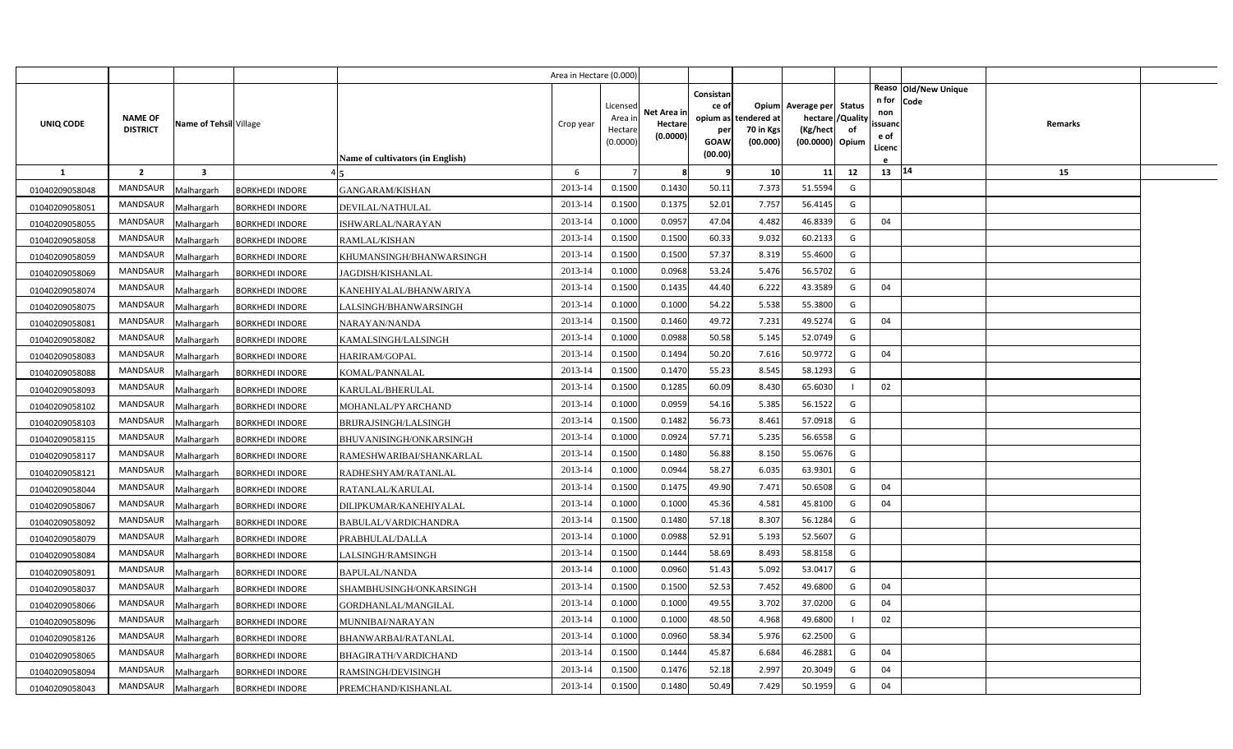|                |                 |                         |                        |                                         | Area in Hectare (0.000) |          |                        |                    |             |                          |          |                |                              |         |  |
|----------------|-----------------|-------------------------|------------------------|-----------------------------------------|-------------------------|----------|------------------------|--------------------|-------------|--------------------------|----------|----------------|------------------------------|---------|--|
|                |                 |                         |                        |                                         |                         | Licensed |                        | Consistan<br>ce of |             | Opium Average per Status |          | n for          | Reaso Old/New Unique<br>Code |         |  |
|                | <b>NAME OF</b>  | Name of Tehsil Village  |                        |                                         |                         | Area ir  | Net Area ir<br>Hectare | opium as           | tendered at | hectare                  | /Quality | non            |                              | Remarks |  |
| UNIQ CODE      | <b>DISTRICT</b> |                         |                        |                                         | Crop year               | Hectar   | (0.0000)               | per                | 70 in Kgs   | (Kg/hect                 | of       | ssuand<br>e of |                              |         |  |
|                |                 |                         |                        |                                         |                         | (0.0000) |                        | GOAW<br>(00.00)    | (00.000)    | (00.0000) Opium          |          | Licenc         |                              |         |  |
| $\mathbf{1}$   | $\overline{2}$  | $\overline{\mathbf{3}}$ |                        | <b>Name of cultivators (in English)</b> | 6                       |          | 8                      | 9                  | 10          | 11                       | 12       | 13 14          |                              | 15      |  |
| 01040209058048 | <b>MANDSAUR</b> | Malhargarh              | <b>BORKHEDI INDORE</b> | GANGARAM/KISHAN                         | 2013-14                 | 0.1500   | 0.1430                 | 50.11              | 7.373       | 51.5594                  | G        |                |                              |         |  |
| 01040209058051 | MANDSAUR        | Malhargarh              | <b>BORKHEDI INDORE</b> | DEVILAL/NATHULAL                        | 2013-14                 | 0.1500   | 0.1375                 | 52.01              | 7.757       | 56.4145                  | G        |                |                              |         |  |
| 01040209058055 | <b>MANDSAUR</b> | Malhargarh              | <b>BORKHEDI INDORE</b> | ISHWARLAL/NARAYAN                       | 2013-14                 | 0.1000   | 0.0957                 | 47.04              | 4.482       | 46.8339                  | G        | 04             |                              |         |  |
| 01040209058058 | <b>MANDSAUR</b> | Malhargarh              | <b>BORKHEDI INDORE</b> | RAMLAL/KISHAN                           | 2013-14                 | 0.1500   | 0.1500                 | 60.33              | 9.032       | 60.2133                  | G        |                |                              |         |  |
| 01040209058059 | MANDSAUR        | Malhargarh              | <b>BORKHEDI INDORE</b> | KHUMANSINGH/BHANWARSINGH                | 2013-14                 | 0.1500   | 0.1500                 | 57.37              | 8.319       | 55.4600                  | G        |                |                              |         |  |
| 01040209058069 | <b>MANDSAUR</b> | Malhargarh              | BORKHEDI INDORE        | JAGDISH/KISHANLAL                       | 2013-14                 | 0.1000   | 0.0968                 | 53.24              | 5.476       | 56.5702                  | G        |                |                              |         |  |
| 01040209058074 | MANDSAUR        | Malhargarh              | <b>BORKHEDI INDORE</b> | KANEHIYALAL/BHANWARIYA                  | 2013-14                 | 0.1500   | 0.1435                 | 44.40              | 6.222       | 43.3589                  | G        | 04             |                              |         |  |
| 01040209058075 | <b>MANDSAUR</b> | Malhargarh              | <b>BORKHEDI INDORE</b> | LALSINGH/BHANWARSINGH                   | 2013-14                 | 0.1000   | 0.1000                 | 54.22              | 5.538       | 55.3800                  | G        |                |                              |         |  |
| 01040209058081 | MANDSAUR        | Malhargarh              | <b>BORKHEDI INDORE</b> | NARAYAN/NANDA                           | 2013-14                 | 0.1500   | 0.1460                 | 49.72              | 7.231       | 49.5274                  | G        | 04             |                              |         |  |
| 01040209058082 | MANDSAUR        | Malhargarh              | <b>BORKHEDI INDORE</b> | KAMALSINGH/LALSINGH                     | 2013-14                 | 0.1000   | 0.0988                 | 50.58              | 5.145       | 52.0749                  | G        |                |                              |         |  |
| 01040209058083 | MANDSAUR        | Malhargarh              | BORKHEDI INDORE        | HARIRAM/GOPAL                           | 2013-14                 | 0.1500   | 0.1494                 | 50.20              | 7.616       | 50.9772                  | G        | 04             |                              |         |  |
| 01040209058088 | MANDSAUR        | Malhargarh              | <b>BORKHEDI INDORE</b> | KOMAL/PANNALAL                          | 2013-14                 | 0.1500   | 0.1470                 | 55.23              | 8.545       | 58.1293                  | G        |                |                              |         |  |
| 01040209058093 | <b>MANDSAUR</b> | Malhargarh              | <b>BORKHEDI INDORE</b> | KARULAL/BHERULAL                        | 2013-14                 | 0.1500   | 0.1285                 | 60.09              | 8.430       | 65.6030                  |          | 02             |                              |         |  |
| 01040209058102 | MANDSAUR        | Malhargarh              | <b>BORKHEDI INDORE</b> | MOHANLAL/PYARCHAND                      | 2013-14                 | 0.1000   | 0.0959                 | 54.16              | 5.385       | 56.1522                  | G        |                |                              |         |  |
| 01040209058103 | MANDSAUR        | Malhargarh              | <b>BORKHEDI INDORE</b> | BRIJRAJSINGH/LALSINGH                   | 2013-14                 | 0.1500   | 0.1482                 | 56.73              | 8.461       | 57.0918                  | G        |                |                              |         |  |
| 01040209058115 | MANDSAUR        | Malhargarh              | <b>BORKHEDI INDORE</b> | BHUVANISINGH/ONKARSINGH                 | 2013-14                 | 0.1000   | 0.0924                 | 57.71              | 5.235       | 56.6558                  | G        |                |                              |         |  |
| 01040209058117 | MANDSAUR        | Malhargarh              | <b>BORKHEDI INDORE</b> | RAMESHWARIBAI/SHANKARLAL                | 2013-14                 | 0.1500   | 0.1480                 | 56.88              | 8.150       | 55.0676                  | G        |                |                              |         |  |
| 01040209058121 | MANDSAUR        | Malhargarh              | <b>BORKHEDI INDORE</b> | RADHESHYAM/RATANLAL                     | 2013-14                 | 0.1000   | 0.0944                 | 58.27              | 6.035       | 63.9301                  | G        |                |                              |         |  |
| 01040209058044 | MANDSAUR        | Malhargarh              | <b>BORKHEDI INDORE</b> | RATANLAL/KARULAL                        | 2013-14                 | 0.1500   | 0.1475                 | 49.90              | 7.471       | 50.6508                  | G        | 04             |                              |         |  |
| 01040209058067 | MANDSAUR        | Malhargarh              | <b>BORKHEDI INDORE</b> | DILIPKUMAR/KANEHIYALAL                  | 2013-14                 | 0.1000   | 0.1000                 | 45.36              | 4.581       | 45.8100                  | G        | 04             |                              |         |  |
| 01040209058092 | MANDSAUR        | Malhargarh              | <b>BORKHEDI INDORE</b> | BABULAL/VARDICHANDRA                    | 2013-14                 | 0.1500   | 0.1480                 | 57.18              | 8.307       | 56.1284                  | G        |                |                              |         |  |
| 01040209058079 | MANDSAUR        | Malhargarh              | <b>BORKHEDI INDORE</b> | PRABHULAL/DALLA                         | 2013-14                 | 0.1000   | 0.0988                 | 52.91              | 5.193       | 52.5607                  | G        |                |                              |         |  |
| 01040209058084 | MANDSAUR        | Malhargarh              | <b>BORKHEDI INDORE</b> | LALSINGH/RAMSINGH                       | 2013-14                 | 0.1500   | 0.1444                 | 58.69              | 8.493       | 58.8158                  | G        |                |                              |         |  |
| 01040209058091 | MANDSAUR        | Malhargarh              | <b>BORKHEDI INDORE</b> | BAPULAL/NANDA                           | 2013-14                 | 0.1000   | 0.0960                 | 51.43              | 5.092       | 53.0417                  | G        |                |                              |         |  |
| 01040209058037 | MANDSAUR        | Malhargarh              | <b>BORKHEDI INDORE</b> | SHAMBHUSINGH/ONKARSINGH                 | 2013-14                 | 0.1500   | 0.1500                 | 52.53              | 7.452       | 49.6800                  | G        | 04             |                              |         |  |
| 01040209058066 | MANDSAUR        | Malhargarh              | BORKHEDI INDORE        | GORDHANLAL/MANGILAL                     | 2013-14                 | 0.1000   | 0.1000                 | 49.55              | 3.702       | 37.0200                  | G        | 04             |                              |         |  |
| 01040209058096 | MANDSAUR        | Malhargarh              | <b>BORKHEDI INDORE</b> | MUNNIBAI/NARAYAN                        | 2013-14                 | 0.1000   | 0.1000                 | 48.50              | 4.968       | 49.6800                  |          | 02             |                              |         |  |
| 01040209058126 | MANDSAUR        | Malhargarh              | <b>BORKHEDI INDORE</b> | BHANWARBAI/RATANLAL                     | 2013-14                 | 0.1000   | 0.0960                 | 58.34              | 5.976       | 62.2500                  | G        |                |                              |         |  |
| 01040209058065 | MANDSAUR        | Malhargarh              | <b>BORKHEDI INDORE</b> | BHAGIRATH/VARDICHAND                    | 2013-14                 | 0.1500   | 0.1444                 | 45.87              | 6.684       | 46.2881                  | G        | 04             |                              |         |  |
| 01040209058094 | MANDSAUR        | Malhargarh              | <b>BORKHEDI INDORE</b> | RAMSINGH/DEVISINGH                      | 2013-14                 | 0.1500   | 0.1476                 | 52.18              | 2.997       | 20.3049                  | G        | 04             |                              |         |  |
| 01040209058043 | MANDSAUR        | Malhargarh              | <b>BORKHEDI INDORE</b> | PREMCHAND/KISHANLAL                     | 2013-14                 | 0.1500   | 0.1480                 | 50.49              | 7.429       | 50.1959                  | G        | 04             |                              |         |  |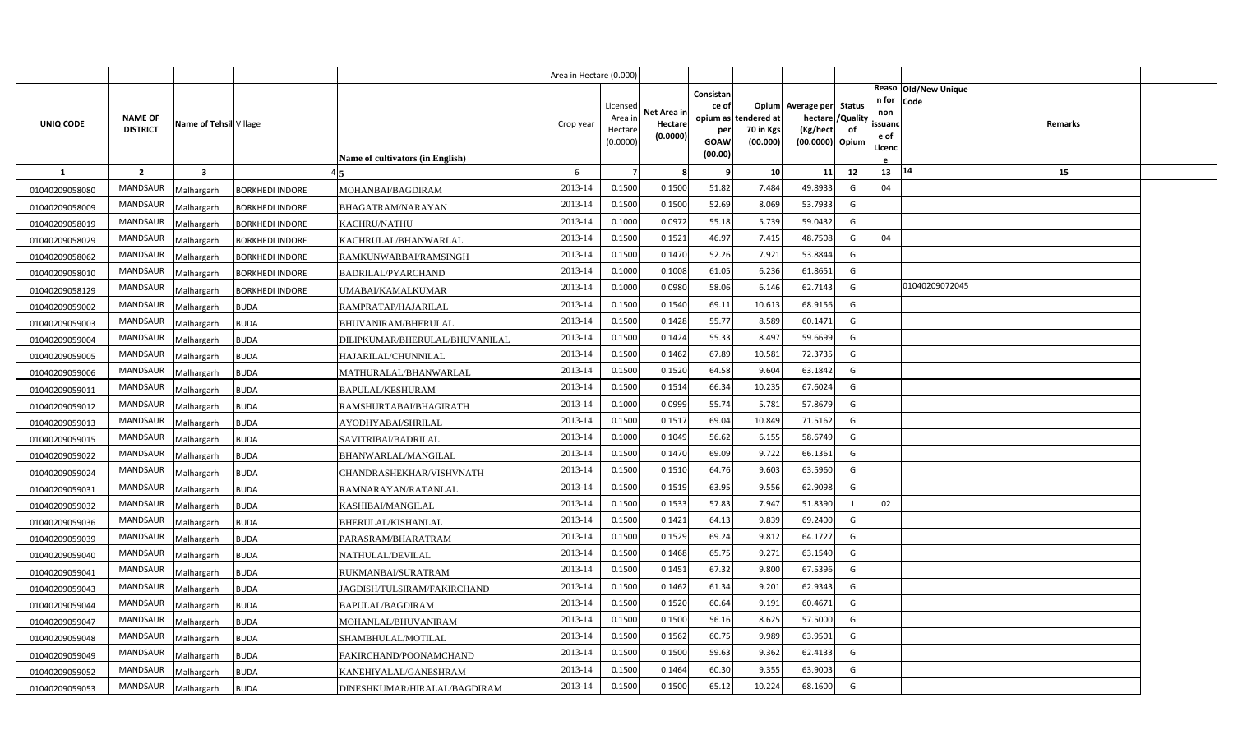|                |                                   |                         |                        |                                         | Area in Hectare (0.000) |                                            |                                    |                                                                 |                                      |                                                                    |                |                                          |                              |         |  |
|----------------|-----------------------------------|-------------------------|------------------------|-----------------------------------------|-------------------------|--------------------------------------------|------------------------------------|-----------------------------------------------------------------|--------------------------------------|--------------------------------------------------------------------|----------------|------------------------------------------|------------------------------|---------|--|
| UNIQ CODE      | <b>NAME OF</b><br><b>DISTRICT</b> | Name of Tehsil Village  |                        | <b>Name of cultivators (in English)</b> | Crop year               | Licensed<br>Area in<br>Hectare<br>(0.0000) | Net Area in<br>Hectare<br>(0.0000) | Consistan<br>ce of<br>opium as<br>per<br><b>GOAW</b><br>(00.00) | tendered at<br>70 in Kgs<br>(00.000) | Opium Average per Status<br>hectare<br>(Kg/hect<br>(00.0000) Opium | /Quality<br>of | n for<br>non<br>ssuand<br>e of<br>Licenc | Reaso Old/New Unique<br>Code | Remarks |  |
| <b>1</b>       | $\overline{2}$                    | $\overline{\mathbf{3}}$ |                        |                                         | 6                       |                                            | 8                                  | ¢                                                               | 10                                   | 11                                                                 | 12             | $13 \mid 14$                             |                              | 15      |  |
| 01040209058080 | <b>MANDSAUR</b>                   | Malhargarh              | <b>BORKHEDI INDORE</b> | MOHANBAI/BAGDIRAM                       | 2013-14                 | 0.1500                                     | 0.1500                             | 51.82                                                           | 7.484                                | 49.8933                                                            | G              | 04                                       |                              |         |  |
| 01040209058009 | MANDSAUR                          | Malhargarh              | <b>BORKHEDI INDORE</b> | BHAGATRAM/NARAYAN                       | 2013-14                 | 0.1500                                     | 0.1500                             | 52.69                                                           | 8.069                                | 53.7933                                                            | G              |                                          |                              |         |  |
| 01040209058019 | <b>MANDSAUR</b>                   | Malhargarh              | <b>BORKHEDI INDORE</b> | <b>KACHRU/NATHU</b>                     | 2013-14                 | 0.1000                                     | 0.0972                             | 55.18                                                           | 5.739                                | 59.0432                                                            | G              |                                          |                              |         |  |
| 01040209058029 | <b>MANDSAUR</b>                   | Malhargarh              | <b>BORKHEDI INDORE</b> | KACHRULAL/BHANWARLAL                    | 2013-14                 | 0.1500                                     | 0.1521                             | 46.97                                                           | 7.41                                 | 48.7508                                                            | G              | 04                                       |                              |         |  |
| 01040209058062 | MANDSAUR                          | Malhargarh              | <b>BORKHEDI INDORE</b> | RAMKUNWARBAI/RAMSINGH                   | 2013-14                 | 0.1500                                     | 0.1470                             | 52.26                                                           | 7.921                                | 53.8844                                                            | G              |                                          |                              |         |  |
| 01040209058010 | <b>MANDSAUR</b>                   | Malhargarh              | <b>BORKHEDI INDORE</b> | BADRILAL/PYARCHAND                      | 2013-14                 | 0.1000                                     | 0.1008                             | 61.05                                                           | 6.236                                | 61.8651                                                            | G              |                                          |                              |         |  |
| 01040209058129 | MANDSAUR                          | Malhargarh              | <b>BORKHEDI INDORE</b> | <b>JMABAI/KAMALKUMAR</b>                | 2013-14                 | 0.1000                                     | 0.0980                             | 58.06                                                           | 6.146                                | 62.7143                                                            | G              |                                          | 01040209072045               |         |  |
| 01040209059002 | <b>MANDSAUR</b>                   | Malhargarh              | <b>BUDA</b>            | RAMPRATAP/HAJARILAL                     | 2013-14                 | 0.1500                                     | 0.1540                             | 69.11                                                           | 10.613                               | 68.9156                                                            | G              |                                          |                              |         |  |
| 01040209059003 | MANDSAUR                          | Malhargarh              | BUDA                   | <b>BHUVANIRAM/BHERULAL</b>              | 2013-14                 | 0.1500                                     | 0.1428                             | 55.77                                                           | 8.589                                | 60.1471                                                            | G              |                                          |                              |         |  |
| 01040209059004 | MANDSAUR                          | Malhargarh              | <b>BUDA</b>            | DILIPKUMAR/BHERULAL/BHUVANILAL          | 2013-14                 | 0.1500                                     | 0.1424                             | 55.33                                                           | 8.497                                | 59.6699                                                            | G              |                                          |                              |         |  |
| 01040209059005 | <b>MANDSAUR</b>                   | Malhargarh              | <b>BUDA</b>            | HAJARILAL/CHUNNILAL                     | 2013-14                 | 0.1500                                     | 0.1462                             | 67.89                                                           | 10.581                               | 72.3735                                                            | G              |                                          |                              |         |  |
| 01040209059006 | MANDSAUR                          | Malhargarh              | <b>BUDA</b>            | MATHURALAL/BHANWARLAL                   | 2013-14                 | 0.1500                                     | 0.1520                             | 64.58                                                           | 9.604                                | 63.1842                                                            | G              |                                          |                              |         |  |
| 01040209059011 | <b>MANDSAUR</b>                   | Malhargarh              | <b>BUDA</b>            | <b>BAPULAL/KESHURAM</b>                 | 2013-14                 | 0.1500                                     | 0.1514                             | 66.34                                                           | 10.235                               | 67.6024                                                            | G              |                                          |                              |         |  |
| 01040209059012 | MANDSAUR                          | Malhargarh              | <b>BUDA</b>            | RAMSHURTABAI/BHAGIRATH                  | 2013-14                 | 0.1000                                     | 0.0999                             | 55.74                                                           | 5.781                                | 57.8679                                                            | G              |                                          |                              |         |  |
| 01040209059013 | <b>MANDSAUR</b>                   | Malhargarh              | <b>BUDA</b>            | AYODHYABAI/SHRILAL                      | 2013-14                 | 0.1500                                     | 0.1517                             | 69.04                                                           | 10.849                               | 71.5162                                                            | G              |                                          |                              |         |  |
| 01040209059015 | MANDSAUR                          | Malhargarh              | BUDA                   | SAVITRIBAI/BADRILAL                     | 2013-14                 | 0.1000                                     | 0.1049                             | 56.62                                                           | 6.155                                | 58.6749                                                            | G              |                                          |                              |         |  |
| 01040209059022 | MANDSAUR                          | Malhargarh              | <b>BUDA</b>            | BHANWARLAL/MANGILAL                     | 2013-14                 | 0.1500                                     | 0.1470                             | 69.09                                                           | 9.722                                | 66.1361                                                            | G              |                                          |                              |         |  |
| 01040209059024 | MANDSAUR                          | Malhargarh              | <b>BUDA</b>            | CHANDRASHEKHAR/VISHVNATH                | 2013-14                 | 0.1500                                     | 0.1510                             | 64.76                                                           | 9.603                                | 63.5960                                                            | G              |                                          |                              |         |  |
| 01040209059031 | MANDSAUR                          | Malhargarh              | <b>BUDA</b>            | RAMNARAYAN/RATANLAL                     | 2013-14                 | 0.1500                                     | 0.1519                             | 63.95                                                           | 9.556                                | 62.9098                                                            | G              |                                          |                              |         |  |
| 01040209059032 | MANDSAUR                          | Malhargarh              | <b>BUDA</b>            | KASHIBAI/MANGILAL                       | 2013-14                 | 0.1500                                     | 0.1533                             | 57.83                                                           | 7.947                                | 51.8390                                                            |                | 02                                       |                              |         |  |
| 01040209059036 | MANDSAUR                          | Malhargarh              | <b>BUDA</b>            | BHERULAL/KISHANLAL                      | 2013-14                 | 0.1500                                     | 0.1421                             | 64.13                                                           | 9.839                                | 69.2400                                                            | G              |                                          |                              |         |  |
| 01040209059039 | MANDSAUR                          | Malhargarh              | <b>BUDA</b>            | PARASRAM/BHARATRAM                      | 2013-14                 | 0.1500                                     | 0.1529                             | 69.24                                                           | 9.812                                | 64.1727                                                            | G              |                                          |                              |         |  |
| 01040209059040 | MANDSAUR                          | Malhargarh              | <b>BUDA</b>            | NATHULAL/DEVILAL                        | 2013-14                 | 0.1500                                     | 0.1468                             | 65.75                                                           | 9.27                                 | 63.1540                                                            | G              |                                          |                              |         |  |
| 01040209059041 | MANDSAUR                          | Malhargarh              | <b>BUDA</b>            | RUKMANBAI/SURATRAM                      | 2013-14                 | 0.1500                                     | 0.1451                             | 67.32                                                           | 9.800                                | 67.5396                                                            | G              |                                          |                              |         |  |
| 01040209059043 | MANDSAUR                          | Malhargarh              | <b>BUDA</b>            | JAGDISH/TULSIRAM/FAKIRCHAND             | 2013-14                 | 0.1500                                     | 0.1462                             | 61.34                                                           | 9.201                                | 62.9343                                                            | G              |                                          |                              |         |  |
| 01040209059044 | MANDSAUR                          | Malhargarh              | <b>BUDA</b>            | BAPULAL/BAGDIRAM                        | 2013-14                 | 0.1500                                     | 0.1520                             | 60.64                                                           | 9.191                                | 60.4671                                                            | G              |                                          |                              |         |  |
| 01040209059047 | MANDSAUR                          | Malhargarh              | <b>BUDA</b>            | MOHANLAL/BHUVANIRAM                     | 2013-14                 | 0.1500                                     | 0.1500                             | 56.16                                                           | 8.625                                | 57.5000                                                            | G              |                                          |                              |         |  |
| 01040209059048 | MANDSAUR                          | Malhargarh              | BUDA                   | SHAMBHULAL/MOTILAL                      | 2013-14                 | 0.1500                                     | 0.1562                             | 60.75                                                           | 9.989                                | 63.9501                                                            | G              |                                          |                              |         |  |
| 01040209059049 | MANDSAUR                          | Malhargarh              | <b>BUDA</b>            | FAKIRCHAND/POONAMCHAND                  | 2013-14                 | 0.1500                                     | 0.1500                             | 59.63                                                           | 9.362                                | 62.4133                                                            | G              |                                          |                              |         |  |
| 01040209059052 | <b>MANDSAUR</b>                   | Malhargarh              | <b>BUDA</b>            | KANEHIYALAL/GANESHRAM                   | 2013-14                 | 0.1500                                     | 0.1464                             | 60.30                                                           | 9.355                                | 63.9003                                                            | G              |                                          |                              |         |  |
| 01040209059053 | MANDSAUR                          | Malhargarh              | <b>BUDA</b>            | DINESHKUMAR/HIRALAL/BAGDIRAM            | 2013-14                 | 0.1500                                     | 0.1500                             | 65.12                                                           | 10.224                               | 68.1600                                                            | G              |                                          |                              |         |  |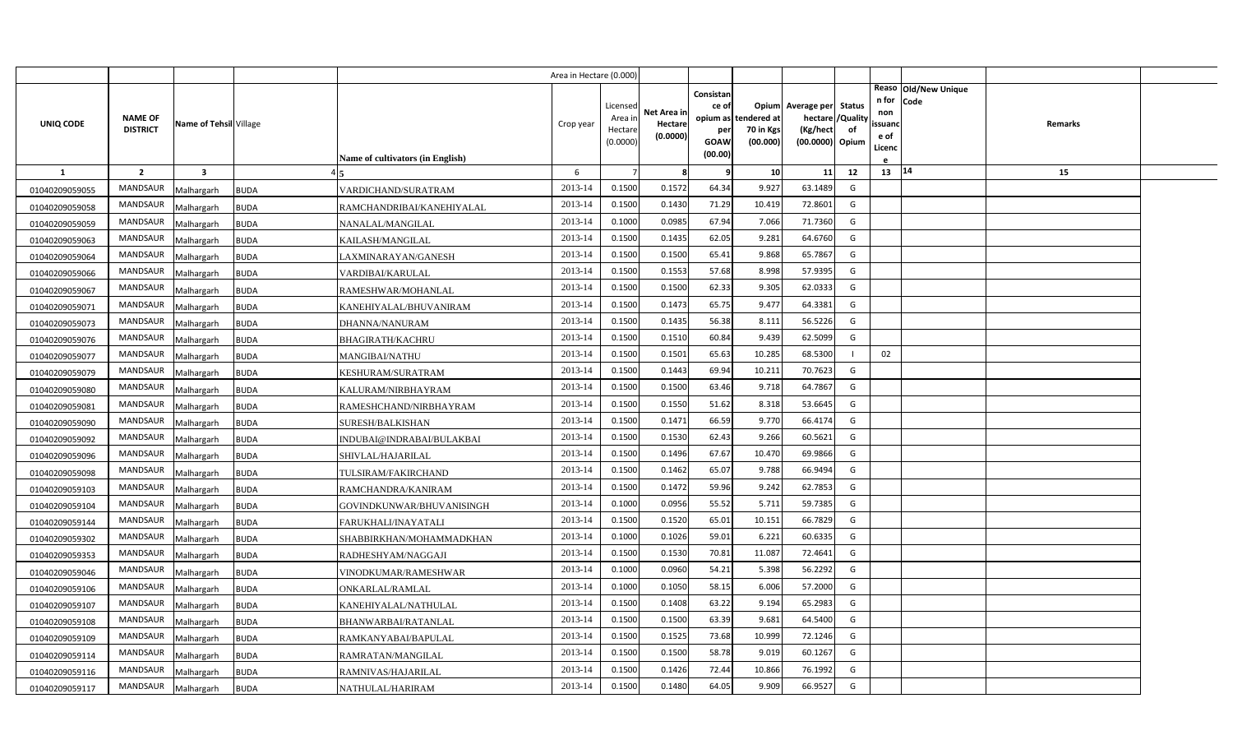|                |                                   |                        |             |                                         | Area in Hectare (0.000) |                                            |                                    |                                              |                                               |                                                                    |                |                                                                          |         |  |
|----------------|-----------------------------------|------------------------|-------------|-----------------------------------------|-------------------------|--------------------------------------------|------------------------------------|----------------------------------------------|-----------------------------------------------|--------------------------------------------------------------------|----------------|--------------------------------------------------------------------------|---------|--|
| UNIQ CODE      | <b>NAME OF</b><br><b>DISTRICT</b> | Name of Tehsil Village |             | <b>Name of cultivators (in English)</b> | Crop year               | Licensed<br>Area in<br>Hectare<br>(0.0000) | Net Area in<br>Hectare<br>(0.0000) | Consistan<br>ce of<br>per<br>GOAW<br>(00.00) | opium as tendered at<br>70 in Kgs<br>(00.000) | Opium Average per Status<br>hectare<br>(Kg/hect<br>(00.0000) Opium | /Quality<br>of | Reaso Old/New Unique<br>n for<br>Code<br>non<br>ssuand<br>e of<br>Licenc | Remarks |  |
| $\mathbf{1}$   | $\overline{2}$                    | $\mathbf{3}$           |             |                                         | 6                       |                                            | -8                                 | q                                            | 10                                            | 11                                                                 | 12             | 13   14                                                                  | 15      |  |
| 01040209059055 | <b>MANDSAUR</b>                   | Malhargarh             | <b>BUDA</b> | VARDICHAND/SURATRAM                     | 2013-14                 | 0.1500                                     | 0.1572                             | 64.34                                        | 9.927                                         | 63.1489                                                            | G              |                                                                          |         |  |
| 01040209059058 | MANDSAUR                          | Malhargarh             | <b>BUDA</b> | RAMCHANDRIBAI/KANEHIYALAL               | 2013-14                 | 0.1500                                     | 0.1430                             | 71.29                                        | 10.419                                        | 72.8601                                                            | G              |                                                                          |         |  |
| 01040209059059 | <b>MANDSAUR</b>                   | Malhargarh             | <b>BUDA</b> | NANALAL/MANGILAL                        | 2013-14                 | 0.1000                                     | 0.0985                             | 67.94                                        | 7.066                                         | 71.7360                                                            | G              |                                                                          |         |  |
| 01040209059063 | <b>MANDSAUR</b>                   | Malhargarh             | <b>BUDA</b> | KAILASH/MANGILAL                        | 2013-14                 | 0.1500                                     | 0.1435                             | 62.05                                        | 9.281                                         | 64.6760                                                            | G              |                                                                          |         |  |
| 01040209059064 | <b>MANDSAUR</b>                   | Malhargarh             | <b>BUDA</b> | LAXMINARAYAN/GANESH                     | 2013-14                 | 0.1500                                     | 0.1500                             | 65.41                                        | 9.868                                         | 65.7867                                                            | G              |                                                                          |         |  |
| 01040209059066 | <b>MANDSAUR</b>                   | Malhargarh             | <b>BUDA</b> | VARDIBAI/KARULAL                        | 2013-14                 | 0.1500                                     | 0.1553                             | 57.68                                        | 8.998                                         | 57.9395                                                            | G              |                                                                          |         |  |
| 01040209059067 | <b>MANDSAUR</b>                   | Malhargarh             | <b>BUDA</b> | RAMESHWAR/MOHANLAL                      | 2013-14                 | 0.1500                                     | 0.1500                             | 62.33                                        | 9.305                                         | 62.0333                                                            | G              |                                                                          |         |  |
| 01040209059071 | MANDSAUR                          | Malhargarh             | <b>BUDA</b> | KANEHIYALAL/BHUVANIRAM                  | 2013-14                 | 0.1500                                     | 0.1473                             | 65.75                                        | 9.477                                         | 64.3381                                                            | G              |                                                                          |         |  |
| 01040209059073 | MANDSAUR                          | Malhargarh             | <b>BUDA</b> | DHANNA/NANURAM                          | 2013-14                 | 0.1500                                     | 0.1435                             | 56.38                                        | 8.111                                         | 56.5226                                                            | G              |                                                                          |         |  |
| 01040209059076 | MANDSAUR                          | Malhargarh             | <b>BUDA</b> | <b>BHAGIRATH/KACHRU</b>                 | 2013-14                 | 0.1500                                     | 0.1510                             | 60.84                                        | 9.439                                         | 62.5099                                                            | G              |                                                                          |         |  |
| 01040209059077 | <b>MANDSAUR</b>                   | Malhargarh             | <b>BUDA</b> | MANGIBAI/NATHU                          | 2013-14                 | 0.1500                                     | 0.1501                             | 65.63                                        | 10.285                                        | 68.5300                                                            |                | 02                                                                       |         |  |
| 01040209059079 | <b>MANDSAUR</b>                   | Malhargarh             | <b>BUDA</b> | KESHURAM/SURATRAM                       | 2013-14                 | 0.1500                                     | 0.1443                             | 69.94                                        | 10.21:                                        | 70.7623                                                            | G              |                                                                          |         |  |
| 01040209059080 | <b>MANDSAUR</b>                   | Malhargarh             | <b>BUDA</b> | KALURAM/NIRBHAYRAM                      | 2013-14                 | 0.1500                                     | 0.1500                             | 63.46                                        | 9.718                                         | 64.7867                                                            | G              |                                                                          |         |  |
| 01040209059081 | <b>MANDSAUR</b>                   | Malhargarh             | <b>BUDA</b> | RAMESHCHAND/NIRBHAYRAM                  | 2013-14                 | 0.1500                                     | 0.1550                             | 51.62                                        | 8.318                                         | 53.6645                                                            | G              |                                                                          |         |  |
| 01040209059090 | <b>MANDSAUR</b>                   | Malhargarh             | <b>BUDA</b> | SURESH/BALKISHAN                        | 2013-14                 | 0.1500                                     | 0.1471                             | 66.59                                        | 9.770                                         | 66.4174                                                            | G              |                                                                          |         |  |
| 01040209059092 | MANDSAUR                          | Malhargarh             | <b>BUDA</b> | INDUBAI@INDRABAI/BULAKBAI               | 2013-14                 | 0.1500                                     | 0.1530                             | 62.43                                        | 9.266                                         | 60.5621                                                            | G              |                                                                          |         |  |
| 01040209059096 | MANDSAUR                          | Malhargarh             | <b>BUDA</b> | SHIVLAL/HAJARILAL                       | 2013-14                 | 0.1500                                     | 0.1496                             | 67.67                                        | 10.470                                        | 69.9866                                                            | G              |                                                                          |         |  |
| 01040209059098 | <b>MANDSAUR</b>                   | Malhargarh             | <b>BUDA</b> | TULSIRAM/FAKIRCHAND                     | 2013-14                 | 0.1500                                     | 0.1462                             | 65.07                                        | 9.788                                         | 66.9494                                                            | G              |                                                                          |         |  |
| 01040209059103 | <b>MANDSAUR</b>                   | Malhargarh             | <b>BUDA</b> | RAMCHANDRA/KANIRAM                      | 2013-14                 | 0.1500                                     | 0.1472                             | 59.96                                        | 9.242                                         | 62.7853                                                            | G              |                                                                          |         |  |
| 01040209059104 | <b>MANDSAUR</b>                   | Malhargarh             | <b>BUDA</b> | GOVINDKUNWAR/BHUVANISINGH               | 2013-14                 | 0.1000                                     | 0.0956                             | 55.52                                        | 5.711                                         | 59.7385                                                            | G              |                                                                          |         |  |
| 01040209059144 | <b>MANDSAUR</b>                   | Malhargarh             | <b>BUDA</b> | FARUKHALI/INAYATALI                     | 2013-14                 | 0.1500                                     | 0.1520                             | 65.01                                        | 10.151                                        | 66.7829                                                            | G              |                                                                          |         |  |
| 01040209059302 | <b>MANDSAUR</b>                   | Malhargarh             | <b>BUDA</b> | SHABBIRKHAN/MOHAMMADKHAN                | 2013-14                 | 0.1000                                     | 0.1026                             | 59.01                                        | 6.221                                         | 60.6335                                                            | G              |                                                                          |         |  |
| 01040209059353 | <b>MANDSAUR</b>                   | Malhargarh             | <b>BUDA</b> | RADHESHYAM/NAGGAJI                      | 2013-14                 | 0.1500                                     | 0.1530                             | 70.81                                        | 11.087                                        | 72.4641                                                            | G              |                                                                          |         |  |
| 01040209059046 | <b>MANDSAUR</b>                   | Malhargarh             | <b>BUDA</b> | VINODKUMAR/RAMESHWAR                    | 2013-14                 | 0.1000                                     | 0.0960                             | 54.21                                        | 5.398                                         | 56.2292                                                            | G              |                                                                          |         |  |
| 01040209059106 | <b>MANDSAUR</b>                   | Malhargarh             | <b>BUDA</b> | ONKARLAL/RAMLAL                         | 2013-14                 | 0.1000                                     | 0.1050                             | 58.15                                        | 6.006                                         | 57.2000                                                            | G              |                                                                          |         |  |
| 01040209059107 | <b>MANDSAUR</b>                   | Malhargarh             | <b>BUDA</b> | KANEHIYALAL/NATHULAL                    | 2013-14                 | 0.1500                                     | 0.1408                             | 63.22                                        | 9.194                                         | 65.2983                                                            | G              |                                                                          |         |  |
| 01040209059108 | <b>MANDSAUR</b>                   | Malhargarh             | <b>BUDA</b> | BHANWARBAI/RATANLAL                     | 2013-14                 | 0.1500                                     | 0.1500                             | 63.39                                        | 9.681                                         | 64.5400                                                            | G              |                                                                          |         |  |
| 01040209059109 | MANDSAUR                          | Malhargarh             | <b>BUDA</b> | RAMKANYABAI/BAPULAL                     | 2013-14                 | 0.1500                                     | 0.1525                             | 73.68                                        | 10.999                                        | 72.1246                                                            | G              |                                                                          |         |  |
| 01040209059114 | MANDSAUR                          | Malhargarh             | <b>BUDA</b> | RAMRATAN/MANGILAL                       | 2013-14                 | 0.1500                                     | 0.1500                             | 58.78                                        | 9.019                                         | 60.1267                                                            | G              |                                                                          |         |  |
| 01040209059116 | MANDSAUR                          | Malhargarh             | <b>BUDA</b> | RAMNIVAS/HAJARILAL                      | 2013-14                 | 0.1500                                     | 0.1426                             | 72.44                                        | 10.866                                        | 76.1992                                                            | G              |                                                                          |         |  |
| 01040209059117 | MANDSAUR                          | Malhargarh             | <b>BUDA</b> | NATHULAL/HARIRAM                        | 2013-14                 | 0.1500                                     | 0.1480                             | 64.05                                        | 9.909                                         | 66.9527                                                            | G              |                                                                          |         |  |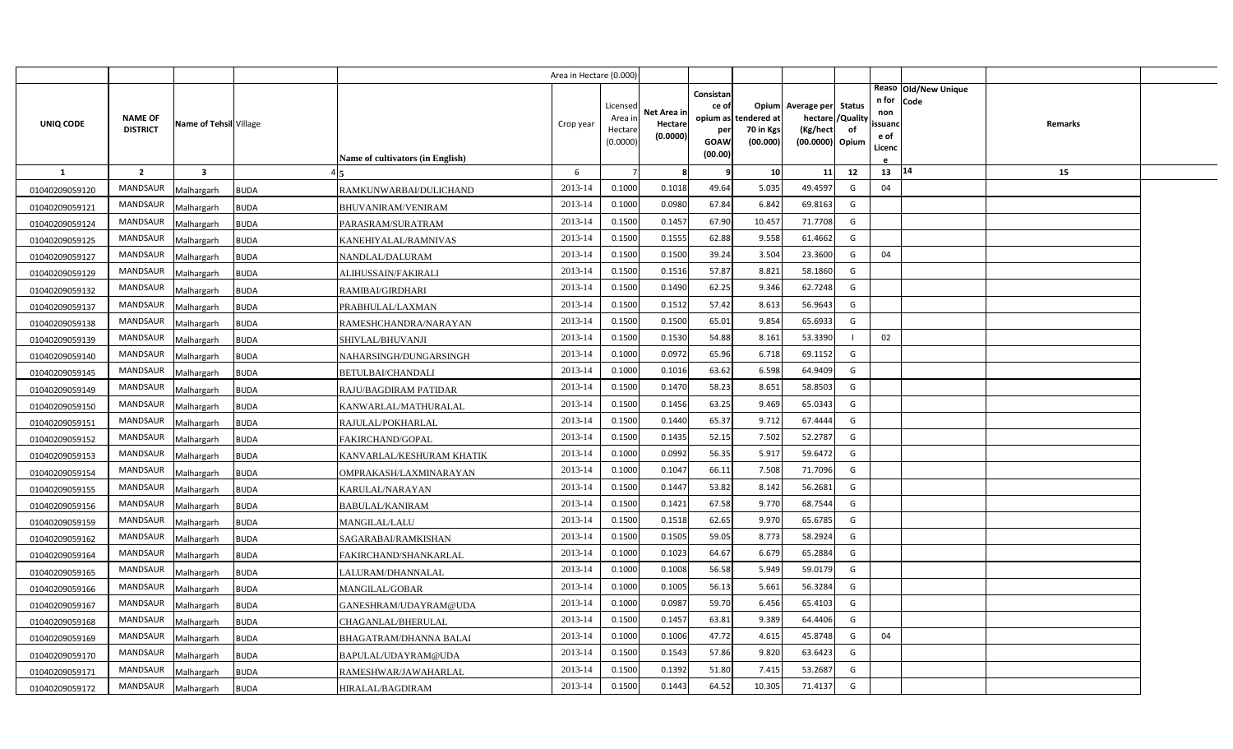|                |                                   |                         |                                          | Area in Hectare (0.000) |                                            |                                    |                                                     |                                               |                                                                    |                |                                          |                              |         |  |
|----------------|-----------------------------------|-------------------------|------------------------------------------|-------------------------|--------------------------------------------|------------------------------------|-----------------------------------------------------|-----------------------------------------------|--------------------------------------------------------------------|----------------|------------------------------------------|------------------------------|---------|--|
| UNIQ CODE      | <b>NAME OF</b><br><b>DISTRICT</b> | Name of Tehsil Village  | <b>Name of cultivators (in English)</b>  | Crop year               | Licensed<br>Area in<br>Hectare<br>(0.0000) | Net Area in<br>Hectare<br>(0.0000) | Consistan<br>ce of<br>per<br><b>GOAW</b><br>(00.00) | opium as tendered at<br>70 in Kgs<br>(00.000) | Opium Average per Status<br>hectare<br>(Kg/hect<br>(00.0000) Opium | /Quality<br>of | n for<br>non<br>ssuand<br>e of<br>Licenc | Reaso Old/New Unique<br>Code | Remarks |  |
| <b>1</b>       | $\overline{2}$                    | $\overline{\mathbf{3}}$ |                                          | 6                       |                                            | 8                                  | 9                                                   | 10                                            | 11                                                                 | 12             | 13                                       | 14                           | 15      |  |
| 01040209059120 | <b>MANDSAUR</b>                   | Malhargarh              | <b>BUDA</b><br>RAMKUNWARBAI/DULICHAND    | 2013-14                 | 0.1000                                     | 0.1018                             | 49.64                                               | 5.035                                         | 49.4597                                                            | G              | 04                                       |                              |         |  |
| 01040209059121 | MANDSAUR                          | Malhargarh              | <b>BUDA</b><br>BHUVANIRAM/VENIRAM        | 2013-14                 | 0.1000                                     | 0.0980                             | 67.84                                               | 6.842                                         | 69.8163                                                            | G              |                                          |                              |         |  |
| 01040209059124 | MANDSAUR                          | Malhargarh              | <b>BUDA</b><br>PARASRAM/SURATRAM         | 2013-14                 | 0.1500                                     | 0.1457                             | 67.90                                               | 10.457                                        | 71.7708                                                            | G              |                                          |                              |         |  |
| 01040209059125 | <b>MANDSAUR</b>                   | Malhargarh              | <b>BUDA</b><br>KANEHIYALAL/RAMNIVAS      | 2013-14                 | 0.1500                                     | 0.1555                             | 62.88                                               | 9.558                                         | 61.4662                                                            | G              |                                          |                              |         |  |
| 01040209059127 | <b>MANDSAUR</b>                   | Malhargarh              | <b>BUDA</b><br>NANDLAL/DALURAM           | 2013-14                 | 0.1500                                     | 0.1500                             | 39.24                                               | 3.504                                         | 23.3600                                                            | G              | 04                                       |                              |         |  |
| 01040209059129 | <b>MANDSAUR</b>                   | Malhargarh              | <b>BUDA</b><br>ALIHUSSAIN/FAKIRALI       | 2013-14                 | 0.1500                                     | 0.1516                             | 57.87                                               | 8.821                                         | 58.1860                                                            | G              |                                          |                              |         |  |
| 01040209059132 | MANDSAUR                          | Malhargarh              | <b>BUDA</b><br>RAMIBAI/GIRDHARI          | 2013-14                 | 0.1500                                     | 0.1490                             | 62.25                                               | 9.346                                         | 62.7248                                                            | G              |                                          |                              |         |  |
| 01040209059137 | <b>MANDSAUR</b>                   | Malhargarh              | <b>BUDA</b><br>PRABHULAL/LAXMAN          | 2013-14                 | 0.1500                                     | 0.1512                             | 57.42                                               | 8.613                                         | 56.9643                                                            | G              |                                          |                              |         |  |
| 01040209059138 | <b>MANDSAUR</b>                   | Malhargarh              | <b>BUDA</b><br>RAMESHCHANDRA/NARAYAN     | 2013-14                 | 0.1500                                     | 0.1500                             | 65.01                                               | 9.854                                         | 65.6933                                                            | G              |                                          |                              |         |  |
| 01040209059139 | <b>MANDSAUR</b>                   | Malhargarh              | <b>BUDA</b><br>SHIVLAL/BHUVANJI          | 2013-14                 | 0.1500                                     | 0.1530                             | 54.88                                               | 8.161                                         | 53.3390                                                            | $\blacksquare$ | 02                                       |                              |         |  |
| 01040209059140 | <b>MANDSAUR</b>                   | Malhargarh              | NAHARSINGH/DUNGARSINGH<br><b>BUDA</b>    | 2013-14                 | 0.1000                                     | 0.0972                             | 65.96                                               | 6.718                                         | 69.1152                                                            | G              |                                          |                              |         |  |
| 01040209059145 | <b>MANDSAUR</b>                   | Malhargarh              | <b>BUDA</b><br><b>BETULBAI/CHANDALI</b>  | 2013-14                 | 0.1000                                     | 0.1016                             | 63.62                                               | 6.598                                         | 64.9409                                                            | G              |                                          |                              |         |  |
| 01040209059149 | <b>MANDSAUR</b>                   | Malhargarh              | <b>BUDA</b><br>RAJU/BAGDIRAM PATIDAR     | 2013-14                 | 0.1500                                     | 0.1470                             | 58.23                                               | 8.651                                         | 58.8503                                                            | G              |                                          |                              |         |  |
| 01040209059150 | <b>MANDSAUR</b>                   | Malhargarh              | <b>BUDA</b><br>KANWARLAL/MATHURALAL      | 2013-14                 | 0.1500                                     | 0.1456                             | 63.25                                               | 9.469                                         | 65.0343                                                            | G              |                                          |                              |         |  |
| 01040209059151 | MANDSAUR                          | Malhargarh              | <b>BUDA</b><br>RAJULAL/POKHARLAL         | 2013-14                 | 0.1500                                     | 0.1440                             | 65.37                                               | 9.712                                         | 67.4444                                                            | G              |                                          |                              |         |  |
| 01040209059152 | <b>MANDSAUR</b>                   | Malhargarh              | <b>BUDA</b><br>FAKIRCHAND/GOPAL          | 2013-14                 | 0.1500                                     | 0.1435                             | 52.15                                               | 7.502                                         | 52.2787                                                            | G              |                                          |                              |         |  |
| 01040209059153 | MANDSAUR                          | Malhargarh              | <b>BUDA</b><br>KANVARLAL/KESHURAM KHATIK | 2013-14                 | 0.1000                                     | 0.0992                             | 56.35                                               | 5.917                                         | 59.6472                                                            | G              |                                          |                              |         |  |
| 01040209059154 | <b>MANDSAUR</b>                   | Malhargarh              | <b>BUDA</b><br>OMPRAKASH/LAXMINARAYAN    | 2013-14                 | 0.1000                                     | 0.1047                             | 66.11                                               | 7.508                                         | 71.7096                                                            | G              |                                          |                              |         |  |
| 01040209059155 | <b>MANDSAUR</b>                   | Malhargarh              | <b>BUDA</b><br>KARULAL/NARAYAN           | 2013-14                 | 0.1500                                     | 0.1447                             | 53.82                                               | 8.142                                         | 56.2681                                                            | G              |                                          |                              |         |  |
| 01040209059156 | <b>MANDSAUR</b>                   | Malhargarh              | <b>BUDA</b><br><b>BABULAL/KANIRAM</b>    | 2013-14                 | 0.1500                                     | 0.1421                             | 67.58                                               | 9.770                                         | 68.7544                                                            | G              |                                          |                              |         |  |
| 01040209059159 | <b>MANDSAUR</b>                   | Malhargarh              | <b>BUDA</b><br>MANGILAL/LALU             | 2013-14                 | 0.1500                                     | 0.1518                             | 62.65                                               | 9.970                                         | 65.6785                                                            | G              |                                          |                              |         |  |
| 01040209059162 | <b>MANDSAUR</b>                   | Malhargarh              | <b>BUDA</b><br>SAGARABAI/RAMKISHAN       | 2013-14                 | 0.1500                                     | 0.1505                             | 59.05                                               | 8.773                                         | 58.2924                                                            | G              |                                          |                              |         |  |
| 01040209059164 | <b>MANDSAUR</b>                   | Malhargarh              | <b>BUDA</b><br>FAKIRCHAND/SHANKARLAL     | 2013-14                 | 0.1000                                     | 0.1023                             | 64.67                                               | 6.679                                         | 65.2884                                                            | G              |                                          |                              |         |  |
| 01040209059165 | <b>MANDSAUR</b>                   | Malhargarh              | <b>BUDA</b><br>LALURAM/DHANNALAL         | 2013-14                 | 0.1000                                     | 0.1008                             | 56.58                                               | 5.949                                         | 59.0179                                                            | G              |                                          |                              |         |  |
| 01040209059166 | <b>MANDSAUR</b>                   | Malhargarh              | <b>BUDA</b><br>MANGILAL/GOBAR            | 2013-14                 | 0.1000                                     | 0.1005                             | 56.13                                               | 5.661                                         | 56.3284                                                            | G              |                                          |                              |         |  |
| 01040209059167 | <b>MANDSAUR</b>                   | Malhargarh              | <b>BUDA</b><br>GANESHRAM/UDAYRAM@UDA     | 2013-14                 | 0.1000                                     | 0.0987                             | 59.70                                               | 6.456                                         | 65.4103                                                            | G              |                                          |                              |         |  |
| 01040209059168 | <b>MANDSAUR</b>                   | Malhargarh              | <b>BUDA</b><br>CHAGANLAL/BHERULAL        | 2013-14                 | 0.1500                                     | 0.1457                             | 63.81                                               | 9.389                                         | 64.4406                                                            | G              |                                          |                              |         |  |
| 01040209059169 | MANDSAUR                          | Malhargarh              | <b>BUDA</b><br>BHAGATRAM/DHANNA BALAI    | 2013-14                 | 0.1000                                     | 0.1006                             | 47.72                                               | 4.615                                         | 45.8748                                                            | G              | 04                                       |                              |         |  |
| 01040209059170 | <b>MANDSAUR</b>                   | Malhargarh              | <b>BUDA</b><br>BAPULAL/UDAYRAM@UDA       | 2013-14                 | 0.1500                                     | 0.1543                             | 57.86                                               | 9.820                                         | 63.6423                                                            | G              |                                          |                              |         |  |
| 01040209059171 | <b>MANDSAUR</b>                   | Malhargarh              | <b>BUDA</b><br>RAMESHWAR/JAWAHARLAL      | 2013-14                 | 0.1500                                     | 0.1392                             | 51.80                                               | 7.415                                         | 53.2687                                                            | G              |                                          |                              |         |  |
| 01040209059172 | MANDSAUR                          | Malhargarh              | <b>BUDA</b><br>HIRALAL/BAGDIRAM          | 2013-14                 | 0.1500                                     | 0.1443                             | 64.52                                               | 10.305                                        | 71.4137                                                            | G              |                                          |                              |         |  |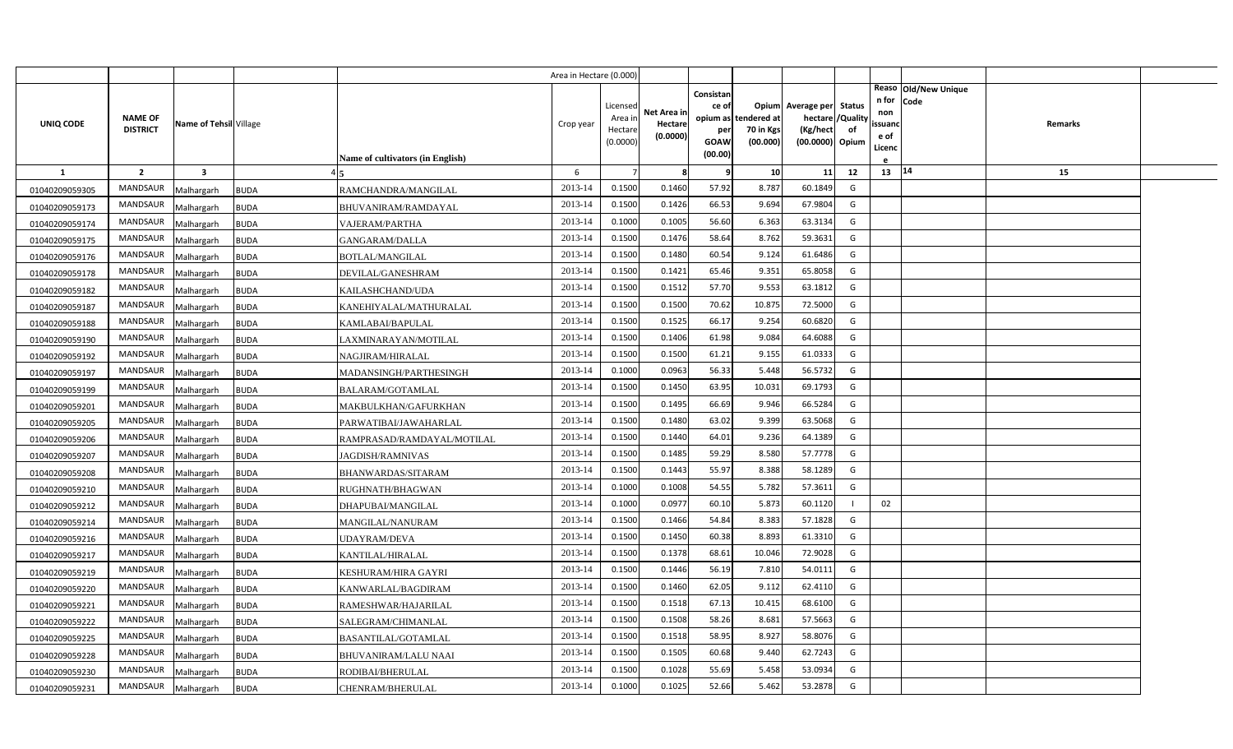|                |                                   |                         |                                           | Area in Hectare (0.000) |                                            |                                    |                                              |                                               |                                                                    |                |                                          |                              |         |  |
|----------------|-----------------------------------|-------------------------|-------------------------------------------|-------------------------|--------------------------------------------|------------------------------------|----------------------------------------------|-----------------------------------------------|--------------------------------------------------------------------|----------------|------------------------------------------|------------------------------|---------|--|
| UNIQ CODE      | <b>NAME OF</b><br><b>DISTRICT</b> | Name of Tehsil Village  | Name of cultivators (in English)          | Crop year               | Licensed<br>Area in<br>Hectare<br>(0.0000) | Net Area in<br>Hectare<br>(0.0000) | Consistan<br>ce of<br>per<br>GOAW<br>(00.00) | opium as tendered at<br>70 in Kgs<br>(00.000) | Opium Average per Status<br>hectare<br>(Kg/hect<br>(00.0000) Opium | /Quality<br>of | n for<br>non<br>ssuand<br>e of<br>Licenc | Reaso Old/New Unique<br>Code | Remarks |  |
| <b>1</b>       | $\overline{2}$                    | $\overline{\mathbf{3}}$ |                                           | 6                       |                                            | -8                                 | -9                                           | 10                                            | 11                                                                 | 12             | 13 14                                    |                              | 15      |  |
| 01040209059305 | MANDSAUR                          | Malhargarh              | RAMCHANDRA/MANGILAL<br><b>BUDA</b>        | 2013-14                 | 0.1500                                     | 0.1460                             | 57.92                                        | 8.787                                         | 60.1849                                                            | G              |                                          |                              |         |  |
| 01040209059173 | MANDSAUR                          | Malhargarh              | <b>BUDA</b><br>BHUVANIRAM/RAMDAYAL        | 2013-14                 | 0.1500                                     | 0.1426                             | 66.53                                        | 9.694                                         | 67.9804                                                            | G              |                                          |                              |         |  |
| 01040209059174 | MANDSAUR                          | Malhargarh              | <b>BUDA</b><br>VAJERAM/PARTHA             | 2013-14                 | 0.1000                                     | 0.1005                             | 56.60                                        | 6.363                                         | 63.3134                                                            | G              |                                          |                              |         |  |
| 01040209059175 | <b>MANDSAUR</b>                   | Malhargarh              | <b>BUDA</b><br>GANGARAM/DALLA             | 2013-14                 | 0.1500                                     | 0.1476                             | 58.64                                        | 8.762                                         | 59.3631                                                            | G              |                                          |                              |         |  |
| 01040209059176 | <b>MANDSAUR</b>                   | Malhargarh              | <b>BUDA</b><br><b>BOTLAL/MANGILAL</b>     | 2013-14                 | 0.1500                                     | 0.1480                             | 60.54                                        | 9.124                                         | 61.6486                                                            | G              |                                          |                              |         |  |
| 01040209059178 | <b>MANDSAUR</b>                   | Malhargarh              | <b>BUDA</b><br>DEVILAL/GANESHRAM          | 2013-14                 | 0.1500                                     | 0.1421                             | 65.46                                        | 9.352                                         | 65.8058                                                            | G              |                                          |                              |         |  |
| 01040209059182 | <b>MANDSAUR</b>                   | Malhargarh              | <b>BUDA</b><br>KAILASHCHAND/UDA           | 2013-14                 | 0.1500                                     | 0.1512                             | 57.70                                        | 9.553                                         | 63.1812                                                            | G              |                                          |                              |         |  |
| 01040209059187 | <b>MANDSAUR</b>                   | Malhargarh              | <b>BUDA</b><br>KANEHIYALAL/MATHURALAL     | 2013-14                 | 0.1500                                     | 0.1500                             | 70.62                                        | 10.875                                        | 72.5000                                                            | G              |                                          |                              |         |  |
| 01040209059188 | <b>MANDSAUR</b>                   | Malhargarh              | <b>BUDA</b><br>KAMLABAI/BAPULAL           | 2013-14                 | 0.1500                                     | 0.1525                             | 66.17                                        | 9.254                                         | 60.6820                                                            | G              |                                          |                              |         |  |
| 01040209059190 | MANDSAUR                          | Malhargarh              | <b>BUDA</b><br>LAXMINARAYAN/MOTILAL       | 2013-14                 | 0.1500                                     | 0.1406                             | 61.98                                        | 9.084                                         | 64.6088                                                            | G              |                                          |                              |         |  |
| 01040209059192 | <b>MANDSAUR</b>                   | Malhargarh              | <b>BUDA</b><br>NAGJIRAM/HIRALAL           | 2013-14                 | 0.1500                                     | 0.1500                             | 61.21                                        | 9.155                                         | 61.0333                                                            | G              |                                          |                              |         |  |
| 01040209059197 | <b>MANDSAUR</b>                   | Malhargarh              | <b>BUDA</b><br>MADANSINGH/PARTHESINGH     | 2013-14                 | 0.1000                                     | 0.0963                             | 56.33                                        | 5.448                                         | 56.5732                                                            | G              |                                          |                              |         |  |
| 01040209059199 | <b>MANDSAUR</b>                   | Malhargarh              | <b>BUDA</b><br>BALARAM/GOTAMLAL           | 2013-14                 | 0.1500                                     | 0.1450                             | 63.95                                        | 10.031                                        | 69.1793                                                            | G              |                                          |                              |         |  |
| 01040209059201 | <b>MANDSAUR</b>                   | Malhargarh              | <b>BUDA</b><br>MAKBULKHAN/GAFURKHAN       | 2013-14                 | 0.1500                                     | 0.1495                             | 66.69                                        | 9.946                                         | 66.5284                                                            | G              |                                          |                              |         |  |
| 01040209059205 | <b>MANDSAUR</b>                   | Malhargarh              | <b>BUDA</b><br>PARWATIBAI/JAWAHARLAL      | 2013-14                 | 0.1500                                     | 0.1480                             | 63.02                                        | 9.399                                         | 63.5068                                                            | G              |                                          |                              |         |  |
| 01040209059206 | <b>MANDSAUR</b>                   | Malhargarh              | <b>BUDA</b><br>RAMPRASAD/RAMDAYAL/MOTILAL | 2013-14                 | 0.1500                                     | 0.1440                             | 64.01                                        | 9.236                                         | 64.1389                                                            | G              |                                          |                              |         |  |
| 01040209059207 | <b>MANDSAUR</b>                   | Malhargarh              | <b>BUDA</b><br><b>JAGDISH/RAMNIVAS</b>    | 2013-14                 | 0.1500                                     | 0.1485                             | 59.29                                        | 8.580                                         | 57.7778                                                            | G              |                                          |                              |         |  |
| 01040209059208 | <b>MANDSAUR</b>                   | Malhargarh              | <b>BUDA</b><br>BHANWARDAS/SITARAM         | 2013-14                 | 0.1500                                     | 0.1443                             | 55.97                                        | 8.388                                         | 58.1289                                                            | G              |                                          |                              |         |  |
| 01040209059210 | <b>MANDSAUR</b>                   | Malhargarh              | <b>BUDA</b><br>RUGHNATH/BHAGWAN           | 2013-14                 | 0.1000                                     | 0.1008                             | 54.55                                        | 5.782                                         | 57.3611                                                            | G              |                                          |                              |         |  |
| 01040209059212 | <b>MANDSAUR</b>                   | Malhargarh              | <b>BUDA</b><br>DHAPUBAI/MANGILAL          | 2013-14                 | 0.1000                                     | 0.0977                             | 60.10                                        | 5.873                                         | 60.1120                                                            |                | 02                                       |                              |         |  |
| 01040209059214 | <b>MANDSAUR</b>                   | Malhargarh              | <b>BUDA</b><br>MANGILAL/NANURAM           | 2013-14                 | 0.1500                                     | 0.1466                             | 54.84                                        | 8.383                                         | 57.1828                                                            | G              |                                          |                              |         |  |
| 01040209059216 | <b>MANDSAUR</b>                   | Malhargarh              | <b>BUDA</b><br>UDAYRAM/DEVA               | 2013-14                 | 0.1500                                     | 0.1450                             | 60.38                                        | 8.893                                         | 61.3310                                                            | G              |                                          |                              |         |  |
| 01040209059217 | MANDSAUR                          | Malhargarh              | <b>BUDA</b><br>KANTILAL/HIRALAL           | 2013-14                 | 0.1500                                     | 0.1378                             | 68.61                                        | 10.046                                        | 72.9028                                                            | G              |                                          |                              |         |  |
| 01040209059219 | <b>MANDSAUR</b>                   | Malhargarh              | <b>BUDA</b><br>KESHURAM/HIRA GAYRI        | 2013-14                 | 0.1500                                     | 0.1446                             | 56.19                                        | 7.81                                          | 54.0111                                                            | G              |                                          |                              |         |  |
| 01040209059220 | <b>MANDSAUR</b>                   | Malhargarh              | <b>BUDA</b><br>KANWARLAL/BAGDIRAM         | 2013-14                 | 0.1500                                     | 0.1460                             | 62.05                                        | 9.112                                         | 62.4110                                                            | G              |                                          |                              |         |  |
| 01040209059221 | <b>MANDSAUR</b>                   | Malhargarh              | <b>BUDA</b><br>RAMESHWAR/HAJARILAL        | 2013-14                 | 0.1500                                     | 0.1518                             | 67.13                                        | 10.415                                        | 68.6100                                                            | G              |                                          |                              |         |  |
| 01040209059222 | <b>MANDSAUR</b>                   | Malhargarh              | <b>BUDA</b><br>SALEGRAM/CHIMANLAL         | 2013-14                 | 0.1500                                     | 0.1508                             | 58.26                                        | 8.681                                         | 57.5663                                                            | G              |                                          |                              |         |  |
| 01040209059225 | <b>MANDSAUR</b>                   | Malhargarh              | <b>BUDA</b><br><b>BASANTILAL/GOTAMLAL</b> | 2013-14                 | 0.1500                                     | 0.1518                             | 58.95                                        | 8.927                                         | 58.8076                                                            | G              |                                          |                              |         |  |
| 01040209059228 | <b>MANDSAUR</b>                   | Malhargarh              | <b>BUDA</b><br>BHUVANIRAM/LALU NAAI       | 2013-14                 | 0.1500                                     | 0.1505                             | 60.68                                        | 9.440                                         | 62.7243                                                            | G              |                                          |                              |         |  |
| 01040209059230 | <b>MANDSAUR</b>                   | Malhargarh              | <b>BUDA</b><br>RODIBAI/BHERULAL           | 2013-14                 | 0.1500                                     | 0.1028                             | 55.69                                        | 5.458                                         | 53.0934                                                            | G              |                                          |                              |         |  |
| 01040209059231 | MANDSAUR                          | Malhargarh              | <b>BUDA</b><br>CHENRAM/BHERULAL           | 2013-14                 | 0.1000                                     | 0.1025                             | 52.66                                        | 5.462                                         | 53.2878                                                            | G              |                                          |                              |         |  |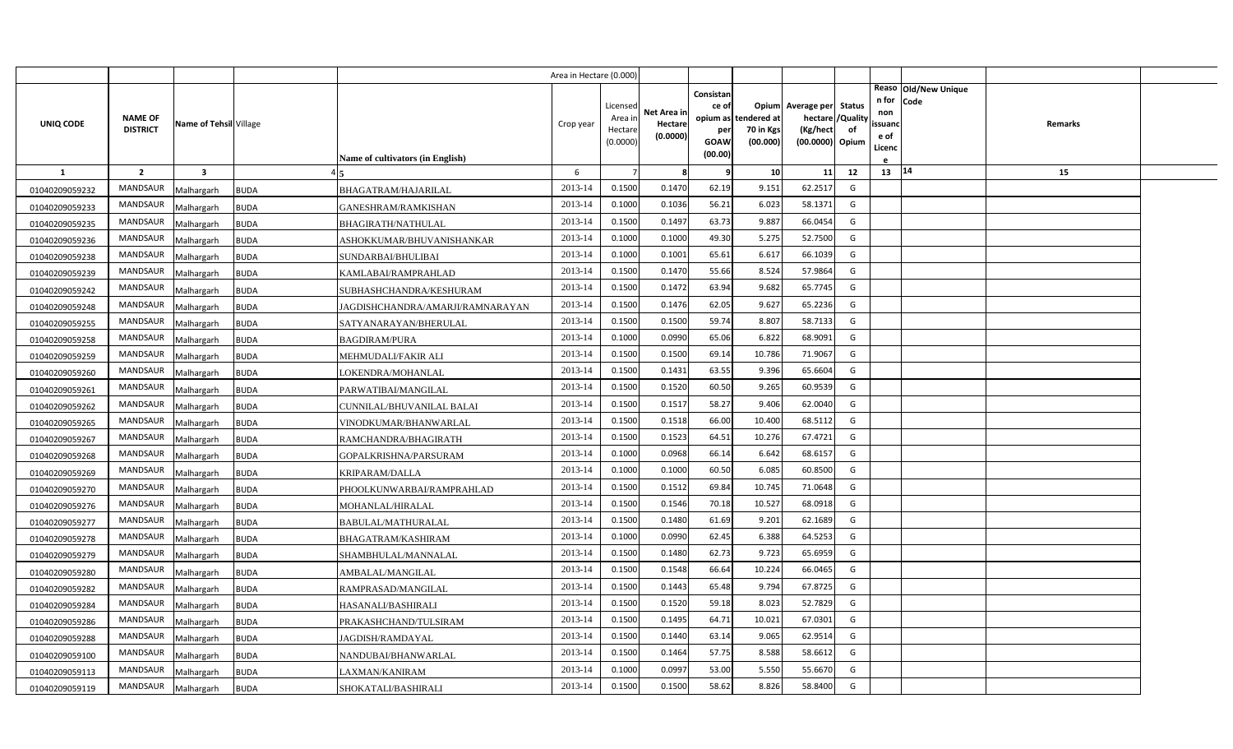|                |                                   |                        |             |                                         | Area in Hectare (0.000) |                                            |                                    |                                          |                                               |                                                                    |                |                                                                          |         |  |
|----------------|-----------------------------------|------------------------|-------------|-----------------------------------------|-------------------------|--------------------------------------------|------------------------------------|------------------------------------------|-----------------------------------------------|--------------------------------------------------------------------|----------------|--------------------------------------------------------------------------|---------|--|
| UNIQ CODE      | <b>NAME OF</b><br><b>DISTRICT</b> | Name of Tehsil Village |             |                                         | Crop year               | Licensed<br>Area in<br>Hectare<br>(0.0000) | Net Area in<br>Hectare<br>(0.0000) | Consistan<br>ce of<br>per<br><b>GOAW</b> | opium as tendered at<br>70 in Kgs<br>(00.000) | Opium Average per Status<br>hectare<br>(Kg/hect<br>(00.0000) Opium | /Quality<br>of | Reaso Old/New Unique<br>n for<br>Code<br>non<br>ssuand<br>e of<br>Licenc | Remarks |  |
|                |                                   |                        |             | <b>Name of cultivators (in English)</b> |                         |                                            |                                    | (00.00)                                  |                                               |                                                                    |                |                                                                          |         |  |
| $\mathbf{1}$   | $\overline{2}$                    | $\mathbf{3}$           |             |                                         | 6                       |                                            | -8                                 | q                                        | 10                                            | 11                                                                 | 12             | 13   14                                                                  | 15      |  |
| 01040209059232 | <b>MANDSAUR</b>                   | Malhargarh             | <b>BUDA</b> | BHAGATRAM/HAJARILAL                     | 2013-14                 | 0.1500                                     | 0.1470                             | 62.19                                    | 9.151                                         | 62.2517                                                            | G              |                                                                          |         |  |
| 01040209059233 | MANDSAUR                          | Malhargarh             | <b>BUDA</b> | GANESHRAM/RAMKISHAN                     | 2013-14                 | 0.1000                                     | 0.1036                             | 56.21                                    | 6.023                                         | 58.1371                                                            | G              |                                                                          |         |  |
| 01040209059235 | <b>MANDSAUR</b>                   | Malhargarh             | <b>BUDA</b> | <b>BHAGIRATH/NATHULAL</b>               | 2013-14                 | 0.1500                                     | 0.1497                             | 63.73                                    | 9.887                                         | 66.0454                                                            | G              |                                                                          |         |  |
| 01040209059236 | <b>MANDSAUR</b>                   | Malhargarh             | <b>BUDA</b> | ASHOKKUMAR/BHUVANISHANKAR               | 2013-14                 | 0.1000                                     | 0.1000                             | 49.30                                    | 5.275                                         | 52.7500                                                            | G              |                                                                          |         |  |
| 01040209059238 | <b>MANDSAUR</b>                   | Malhargarh             | <b>BUDA</b> | SUNDARBAI/BHULIBAI                      | 2013-14                 | 0.1000                                     | 0.1001                             | 65.61                                    | 6.617                                         | 66.1039                                                            | G              |                                                                          |         |  |
| 01040209059239 | <b>MANDSAUR</b>                   | Malhargarh             | <b>BUDA</b> | KAMLABAI/RAMPRAHLAD                     | 2013-14                 | 0.1500                                     | 0.1470                             | 55.66                                    | 8.524                                         | 57.9864                                                            | G              |                                                                          |         |  |
| 01040209059242 | <b>MANDSAUR</b>                   | Malhargarh             | <b>BUDA</b> | SUBHASHCHANDRA/KESHURAM                 | 2013-14                 | 0.1500                                     | 0.1472                             | 63.94                                    | 9.682                                         | 65.7745                                                            | G              |                                                                          |         |  |
| 01040209059248 | MANDSAUR                          | Malhargarh             | <b>BUDA</b> | JAGDISHCHANDRA/AMARJI/RAMNARAYAN        | 2013-14                 | 0.1500                                     | 0.1476                             | 62.05                                    | 9.627                                         | 65.2236                                                            | G              |                                                                          |         |  |
| 01040209059255 | <b>MANDSAUR</b>                   | Malhargarh             | <b>BUDA</b> | SATYANARAYAN/BHERULAL                   | 2013-14                 | 0.1500                                     | 0.1500                             | 59.74                                    | 8.807                                         | 58.7133                                                            | G              |                                                                          |         |  |
| 01040209059258 | MANDSAUR                          | Malhargarh             | <b>BUDA</b> | <b>BAGDIRAM/PURA</b>                    | 2013-14                 | 0.1000                                     | 0.0990                             | 65.06                                    | 6.822                                         | 68.9091                                                            | G              |                                                                          |         |  |
| 01040209059259 | <b>MANDSAUR</b>                   | Malhargarh             | <b>BUDA</b> | MEHMUDALI/FAKIR ALI                     | 2013-14                 | 0.1500                                     | 0.1500                             | 69.14                                    | 10.786                                        | 71.9067                                                            | G              |                                                                          |         |  |
| 01040209059260 | <b>MANDSAUR</b>                   | Malhargarh             | <b>BUDA</b> | LOKENDRA/MOHANLAL                       | 2013-14                 | 0.1500                                     | 0.1431                             | 63.55                                    | 9.396                                         | 65.6604                                                            | G              |                                                                          |         |  |
| 01040209059261 | <b>MANDSAUR</b>                   | Malhargarh             | <b>BUDA</b> | PARWATIBAI/MANGILAL                     | 2013-14                 | 0.1500                                     | 0.1520                             | 60.50                                    | 9.265                                         | 60.9539                                                            | G              |                                                                          |         |  |
| 01040209059262 | <b>MANDSAUR</b>                   | Malhargarh             | <b>BUDA</b> | CUNNILAL/BHUVANILAL BALAI               | 2013-14                 | 0.1500                                     | 0.1517                             | 58.27                                    | 9.406                                         | 62.0040                                                            | G              |                                                                          |         |  |
| 01040209059265 | <b>MANDSAUR</b>                   | Malhargarh             | <b>BUDA</b> | VINODKUMAR/BHANWARLAL                   | 2013-14                 | 0.1500                                     | 0.1518                             | 66.00                                    | 10.400                                        | 68.5112                                                            | G              |                                                                          |         |  |
| 01040209059267 | MANDSAUR                          | Malhargarh             | <b>BUDA</b> | RAMCHANDRA/BHAGIRATH                    | 2013-14                 | 0.1500                                     | 0.1523                             | 64.51                                    | 10.276                                        | 67.4721                                                            | G              |                                                                          |         |  |
| 01040209059268 | <b>MANDSAUR</b>                   | Malhargarh             | <b>BUDA</b> | GOPALKRISHNA/PARSURAM                   | 2013-14                 | 0.1000                                     | 0.0968                             | 66.14                                    | 6.642                                         | 68.6157                                                            | G              |                                                                          |         |  |
| 01040209059269 | <b>MANDSAUR</b>                   | Malhargarh             | <b>BUDA</b> | <b>KRIPARAM/DALLA</b>                   | 2013-14                 | 0.1000                                     | 0.1000                             | 60.50                                    | 6.085                                         | 60.8500                                                            | G              |                                                                          |         |  |
| 01040209059270 | <b>MANDSAUR</b>                   | Malhargarh             | <b>BUDA</b> | PHOOLKUNWARBAI/RAMPRAHLAD               | 2013-14                 | 0.1500                                     | 0.1512                             | 69.84                                    | 10.745                                        | 71.0648                                                            | G              |                                                                          |         |  |
| 01040209059276 | <b>MANDSAUR</b>                   | Malhargarh             | <b>BUDA</b> | MOHANLAL/HIRALAL                        | 2013-14                 | 0.1500                                     | 0.1546                             | 70.18                                    | 10.527                                        | 68.0918                                                            | G              |                                                                          |         |  |
| 01040209059277 | <b>MANDSAUR</b>                   | Malhargarh             | <b>BUDA</b> | BABULAL/MATHURALAL                      | 2013-14                 | 0.1500                                     | 0.1480                             | 61.69                                    | 9.201                                         | 62.1689                                                            | G              |                                                                          |         |  |
| 01040209059278 | <b>MANDSAUR</b>                   | Malhargarh             | <b>BUDA</b> | BHAGATRAM/KASHIRAM                      | 2013-14                 | 0.1000                                     | 0.0990                             | 62.45                                    | 6.388                                         | 64.5253                                                            | G              |                                                                          |         |  |
| 01040209059279 | <b>MANDSAUR</b>                   | Malhargarh             | <b>BUDA</b> | SHAMBHULAL/MANNALAL                     | 2013-14                 | 0.1500                                     | 0.1480                             | 62.73                                    | 9.723                                         | 65.6959                                                            | G              |                                                                          |         |  |
| 01040209059280 | <b>MANDSAUR</b>                   | Malhargarh             | <b>BUDA</b> | AMBALAL/MANGILAL                        | 2013-14                 | 0.1500                                     | 0.1548                             | 66.64                                    | 10.224                                        | 66.0465                                                            | G              |                                                                          |         |  |
| 01040209059282 | <b>MANDSAUR</b>                   | Malhargarh             | <b>BUDA</b> | RAMPRASAD/MANGILAL                      | 2013-14                 | 0.1500                                     | 0.1443                             | 65.48                                    | 9.794                                         | 67.8725                                                            | G              |                                                                          |         |  |
| 01040209059284 | MANDSAUR                          | Malhargarh             | <b>BUDA</b> | HASANALI/BASHIRALI                      | 2013-14                 | 0.1500                                     | 0.1520                             | 59.18                                    | 8.023                                         | 52.7829                                                            | G              |                                                                          |         |  |
| 01040209059286 | <b>MANDSAUR</b>                   | Malhargarh             | <b>BUDA</b> | PRAKASHCHAND/TULSIRAM                   | 2013-14                 | 0.1500                                     | 0.1495                             | 64.71                                    | 10.02                                         | 67.0301                                                            | G              |                                                                          |         |  |
| 01040209059288 | MANDSAUR                          | Malhargarh             | <b>BUDA</b> | JAGDISH/RAMDAYAL                        | 2013-14                 | 0.1500                                     | 0.1440                             | 63.14                                    | 9.065                                         | 62.9514                                                            | G              |                                                                          |         |  |
| 01040209059100 | MANDSAUR                          | Malhargarh             | <b>BUDA</b> | NANDUBAI/BHANWARLAL                     | 2013-14                 | 0.1500                                     | 0.1464                             | 57.75                                    | 8.588                                         | 58.6612                                                            | G              |                                                                          |         |  |
| 01040209059113 | MANDSAUR                          | Malhargarh             | <b>BUDA</b> | LAXMAN/KANIRAM                          | 2013-14                 | 0.1000                                     | 0.0997                             | 53.00                                    | 5.550                                         | 55.6670                                                            | G              |                                                                          |         |  |
| 01040209059119 | MANDSAUR                          | Malhargarh             | <b>BUDA</b> | SHOKATALI/BASHIRALI                     | 2013-14                 | 0.1500                                     | 0.1500                             | 58.62                                    | 8.826                                         | 58.8400                                                            | G              |                                                                          |         |  |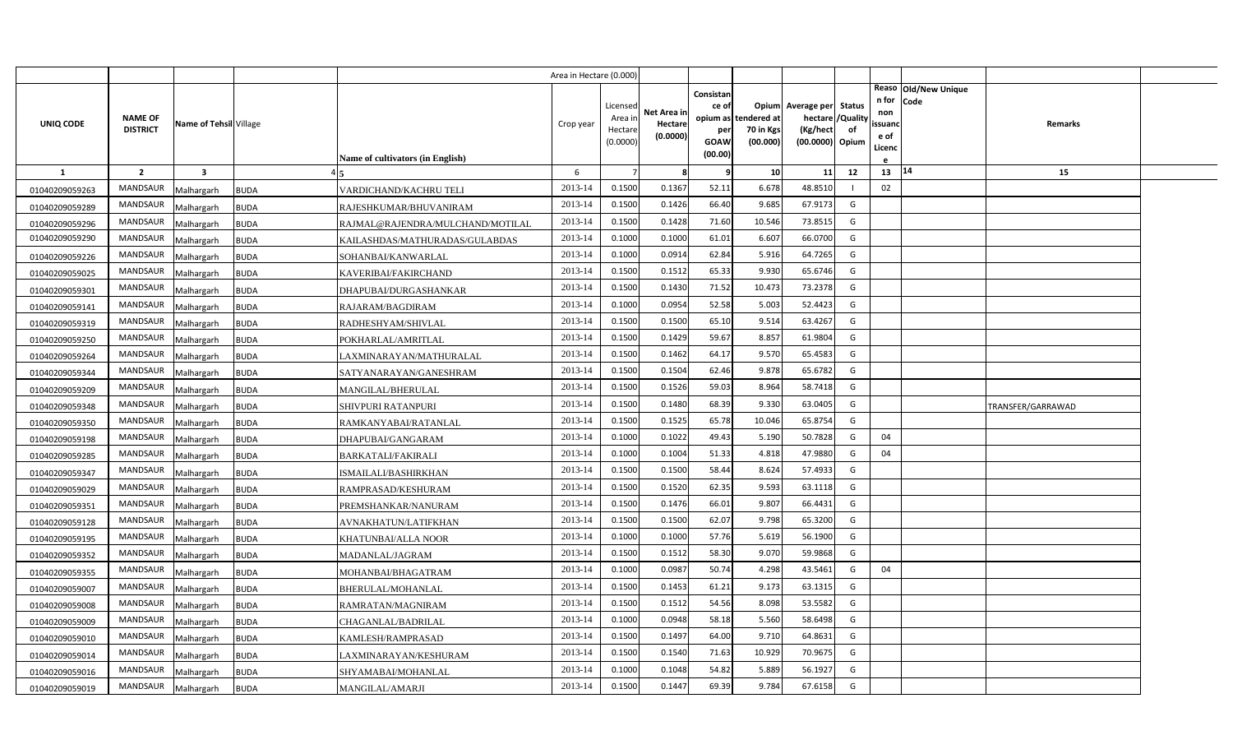|                |                                   |                        |             |                                  | Area in Hectare (0.000) |                                            |                                    |                                                                 |                                     |                                                         |                         |                                          |                              |                   |  |
|----------------|-----------------------------------|------------------------|-------------|----------------------------------|-------------------------|--------------------------------------------|------------------------------------|-----------------------------------------------------------------|-------------------------------------|---------------------------------------------------------|-------------------------|------------------------------------------|------------------------------|-------------------|--|
| UNIQ CODE      | <b>NAME OF</b><br><b>DISTRICT</b> | Name of Tehsil Village |             | Name of cultivators (in English) | Crop year               | Licensed<br>Area in<br>Hectare<br>(0.0000) | Net Area in<br>Hectare<br>(0.0000) | Consistan<br>ce of<br>opium as<br>per<br><b>GOAW</b><br>(00.00) | ndered at:<br>70 in Kgs<br>(00.000) | Opium Average per Status<br>(Kg/hect<br>(00.0000) Opium | hectare / Quality<br>of | n for<br>non<br>ssuand<br>e of<br>Licenc | Reaso Old/New Unique<br>Code | <b>Remarks</b>    |  |
| $\mathbf{1}$   | $\overline{2}$                    | $\mathbf{3}$           |             |                                  | 6                       |                                            | -8                                 | -9                                                              | 10                                  | 11                                                      | 12                      | 13                                       | 14                           | 15                |  |
| 01040209059263 | <b>MANDSAUR</b>                   | Malhargarh             | <b>BUDA</b> | VARDICHAND/KACHRU TELI           | 2013-14                 | 0.1500                                     | 0.1367                             | 52.11                                                           | 6.678                               | 48.8510                                                 |                         | 02                                       |                              |                   |  |
| 01040209059289 | MANDSAUR                          | Malhargarh             | <b>BUDA</b> | RAJESHKUMAR/BHUVANIRAM           | 2013-14                 | 0.1500                                     | 0.1426                             | 66.40                                                           | 9.685                               | 67.9173                                                 | G                       |                                          |                              |                   |  |
| 01040209059296 | <b>MANDSAUR</b>                   | Malhargarh             | <b>BUDA</b> | RAJMAL@RAJENDRA/MULCHAND/MOTILAL | 2013-14                 | 0.1500                                     | 0.1428                             | 71.60                                                           | 10.546                              | 73.8515                                                 | G                       |                                          |                              |                   |  |
| 01040209059290 | <b>MANDSAUR</b>                   | Malhargarh             | <b>BUDA</b> | KAILASHDAS/MATHURADAS/GULABDAS   | 2013-14                 | 0.1000                                     | 0.1000                             | 61.01                                                           | 6.607                               | 66.0700                                                 | G                       |                                          |                              |                   |  |
| 01040209059226 | <b>MANDSAUR</b>                   | Malhargarh             | <b>BUDA</b> | SOHANBAI/KANWARLAL               | 2013-14                 | 0.1000                                     | 0.0914                             | 62.84                                                           | 5.91                                | 64.7265                                                 | G                       |                                          |                              |                   |  |
| 01040209059025 | <b>MANDSAUR</b>                   | Malhargarh             | <b>BUDA</b> | KAVERIBAI/FAKIRCHAND             | 2013-14                 | 0.1500                                     | 0.1512                             | 65.33                                                           | 9.930                               | 65.6746                                                 | G                       |                                          |                              |                   |  |
| 01040209059301 | <b>MANDSAUR</b>                   | Malhargarh             | <b>BUDA</b> | DHAPUBAI/DURGASHANKAR            | 2013-14                 | 0.1500                                     | 0.1430                             | 71.52                                                           | 10.473                              | 73.2378                                                 | G                       |                                          |                              |                   |  |
| 01040209059141 | <b>MANDSAUR</b>                   | Malhargarh             | <b>BUDA</b> | RAJARAM/BAGDIRAM                 | 2013-14                 | 0.1000                                     | 0.0954                             | 52.58                                                           | 5.003                               | 52.4423                                                 | G                       |                                          |                              |                   |  |
| 01040209059319 | <b>MANDSAUR</b>                   | Malhargarh             | <b>BUDA</b> | RADHESHYAM/SHIVLAL               | 2013-14                 | 0.1500                                     | 0.1500                             | 65.10                                                           | 9.514                               | 63.4267                                                 | G                       |                                          |                              |                   |  |
| 01040209059250 | MANDSAUR                          | Malhargarh             | <b>BUDA</b> | POKHARLAL/AMRITLAL               | 2013-14                 | 0.1500                                     | 0.1429                             | 59.67                                                           | 8.857                               | 61.9804                                                 | G                       |                                          |                              |                   |  |
| 01040209059264 | <b>MANDSAUR</b>                   | Malhargarh             | <b>BUDA</b> | LAXMINARAYAN/MATHURALAL          | 2013-14                 | 0.1500                                     | 0.1462                             | 64.17                                                           | 9.570                               | 65.4583                                                 | G                       |                                          |                              |                   |  |
| 01040209059344 | <b>MANDSAUR</b>                   | Malhargarh             | <b>BUDA</b> | SATYANARAYAN/GANESHRAM           | 2013-14                 | 0.1500                                     | 0.1504                             | 62.46                                                           | 9.878                               | 65.6782                                                 | G                       |                                          |                              |                   |  |
| 01040209059209 | <b>MANDSAUR</b>                   | Malhargarh             | <b>BUDA</b> | MANGILAL/BHERULAL                | 2013-14                 | 0.1500                                     | 0.1526                             | 59.03                                                           | 8.964                               | 58.7418                                                 | G                       |                                          |                              |                   |  |
| 01040209059348 | <b>MANDSAUR</b>                   | Malhargarh             | <b>BUDA</b> | SHIVPURI RATANPURI               | 2013-14                 | 0.1500                                     | 0.1480                             | 68.39                                                           | 9.330                               | 63.0405                                                 | G                       |                                          |                              | TRANSFER/GARRAWAD |  |
| 01040209059350 | <b>MANDSAUR</b>                   | Malhargarh             | <b>BUDA</b> | RAMKANYABAI/RATANLAL             | 2013-14                 | 0.1500                                     | 0.1525                             | 65.78                                                           | 10.046                              | 65.8754                                                 | G                       |                                          |                              |                   |  |
| 01040209059198 | MANDSAUR                          | Malhargarh             | <b>BUDA</b> | DHAPUBAI/GANGARAM                | 2013-14                 | 0.1000                                     | 0.1022                             | 49.43                                                           | 5.190                               | 50.7828                                                 | G                       | 04                                       |                              |                   |  |
| 01040209059285 | <b>MANDSAUR</b>                   | Malhargarh             | <b>BUDA</b> | <b>BARKATALI/FAKIRALI</b>        | 2013-14                 | 0.1000                                     | 0.1004                             | 51.33                                                           | 4.818                               | 47.9880                                                 | G                       | 04                                       |                              |                   |  |
| 01040209059347 | <b>MANDSAUR</b>                   | Malhargarh             | <b>BUDA</b> | ISMAILALI/BASHIRKHAN             | 2013-14                 | 0.1500                                     | 0.1500                             | 58.44                                                           | 8.624                               | 57.4933                                                 | G                       |                                          |                              |                   |  |
| 01040209059029 | <b>MANDSAUR</b>                   | Malhargarh             | <b>BUDA</b> | RAMPRASAD/KESHURAM               | 2013-14                 | 0.1500                                     | 0.1520                             | 62.35                                                           | 9.593                               | 63.1118                                                 | G                       |                                          |                              |                   |  |
| 01040209059351 | <b>MANDSAUR</b>                   | Malhargarh             | <b>BUDA</b> | PREMSHANKAR/NANURAM              | 2013-14                 | 0.1500                                     | 0.1476                             | 66.01                                                           | 9.807                               | 66.4431                                                 | G                       |                                          |                              |                   |  |
| 01040209059128 | <b>MANDSAUR</b>                   | Malhargarh             | <b>BUDA</b> | AVNAKHATUN/LATIFKHAN             | 2013-14                 | 0.1500                                     | 0.1500                             | 62.07                                                           | 9.798                               | 65.3200                                                 | G                       |                                          |                              |                   |  |
| 01040209059195 | <b>MANDSAUR</b>                   | Malhargarh             | <b>BUDA</b> | KHATUNBAI/ALLA NOOR              | 2013-14                 | 0.1000                                     | 0.1000                             | 57.76                                                           | 5.619                               | 56.1900                                                 | G                       |                                          |                              |                   |  |
| 01040209059352 | <b>MANDSAUR</b>                   | Malhargarh             | <b>BUDA</b> | MADANLAL/JAGRAM                  | 2013-14                 | 0.1500                                     | 0.1512                             | 58.30                                                           | 9.070                               | 59.9868                                                 | G                       |                                          |                              |                   |  |
| 01040209059355 | <b>MANDSAUR</b>                   | Malhargarh             | <b>BUDA</b> | MOHANBAI/BHAGATRAM               | 2013-14                 | 0.1000                                     | 0.0987                             | 50.74                                                           | 4.298                               | 43.5461                                                 | G                       | 04                                       |                              |                   |  |
| 01040209059007 | <b>MANDSAUR</b>                   | Malhargarh             | <b>BUDA</b> | BHERULAL/MOHANLAL                | 2013-14                 | 0.1500                                     | 0.1453                             | 61.21                                                           | 9.173                               | 63.1315                                                 | G                       |                                          |                              |                   |  |
| 01040209059008 | <b>MANDSAUR</b>                   | Malhargarh             | <b>BUDA</b> | RAMRATAN/MAGNIRAM                | 2013-14                 | 0.1500                                     | 0.1512                             | 54.56                                                           | 8.098                               | 53.5582                                                 | G                       |                                          |                              |                   |  |
| 01040209059009 | <b>MANDSAUR</b>                   | Malhargarh             | <b>BUDA</b> | CHAGANLAL/BADRILAL               | 2013-14                 | 0.1000                                     | 0.0948                             | 58.18                                                           | 5.560                               | 58.6498                                                 | G                       |                                          |                              |                   |  |
| 01040209059010 | <b>MANDSAUR</b>                   | Malhargarh             | <b>BUDA</b> | KAMLESH/RAMPRASAD                | 2013-14                 | 0.1500                                     | 0.1497                             | 64.00                                                           | 9.710                               | 64.8631                                                 | G                       |                                          |                              |                   |  |
| 01040209059014 | MANDSAUR                          | Malhargarh             | <b>BUDA</b> | LAXMINARAYAN/KESHURAM            | 2013-14                 | 0.1500                                     | 0.1540                             | 71.63                                                           | 10.929                              | 70.9675                                                 | G                       |                                          |                              |                   |  |
| 01040209059016 | <b>MANDSAUR</b>                   | Malhargarh             | <b>BUDA</b> | SHYAMABAI/MOHANLAL               | 2013-14                 | 0.1000                                     | 0.1048                             | 54.82                                                           | 5.889                               | 56.1927                                                 | G                       |                                          |                              |                   |  |
| 01040209059019 | MANDSAUR                          | Malhargarh             | <b>BUDA</b> | MANGILAL/AMARJI                  | 2013-14                 | 0.1500                                     | 0.1447                             | 69.39                                                           | 9.784                               | 67.6158                                                 | G                       |                                          |                              |                   |  |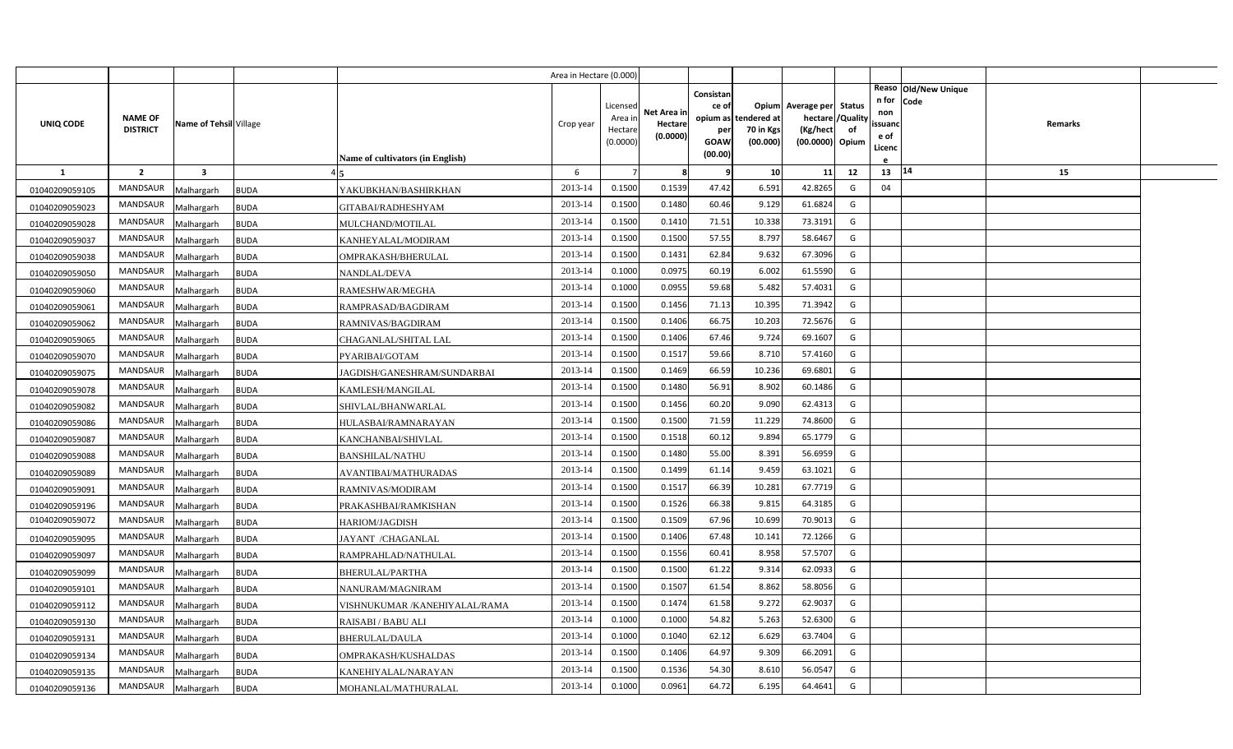|                |                                   |                        |             |                                         | Area in Hectare (0.000) |                                            |                                    |                                                     |                                               |                                                                    |                |                                                                          |         |  |
|----------------|-----------------------------------|------------------------|-------------|-----------------------------------------|-------------------------|--------------------------------------------|------------------------------------|-----------------------------------------------------|-----------------------------------------------|--------------------------------------------------------------------|----------------|--------------------------------------------------------------------------|---------|--|
| UNIQ CODE      | <b>NAME OF</b><br><b>DISTRICT</b> | Name of Tehsil Village |             | <b>Name of cultivators (in English)</b> | Crop year               | Licensed<br>Area in<br>Hectare<br>(0.0000) | Net Area in<br>Hectare<br>(0.0000) | Consistan<br>ce of<br>per<br><b>GOAW</b><br>(00.00) | opium as tendered at<br>70 in Kgs<br>(00.000) | Opium Average per Status<br>hectare<br>(Kg/hect<br>(00.0000) Opium | /Quality<br>of | Reaso Old/New Unique<br>n for<br>Code<br>non<br>ssuand<br>e of<br>Licenc | Remarks |  |
| $\mathbf{1}$   | $\overline{2}$                    | $\mathbf{3}$           |             |                                         | 6                       |                                            | -8                                 | q                                                   | 10                                            | 11                                                                 | 12             | 14<br>13                                                                 | 15      |  |
| 01040209059105 | <b>MANDSAUR</b>                   | Malhargarh             | <b>BUDA</b> | YAKUBKHAN/BASHIRKHAN                    | 2013-14                 | 0.1500                                     | 0.1539                             | 47.42                                               | 6.591                                         | 42.8265                                                            | G              | 04                                                                       |         |  |
| 01040209059023 | MANDSAUR                          | Malhargarh             | <b>BUDA</b> | GITABAI/RADHESHYAM                      | 2013-14                 | 0.1500                                     | 0.1480                             | 60.46                                               | 9.129                                         | 61.6824                                                            | G              |                                                                          |         |  |
| 01040209059028 | <b>MANDSAUR</b>                   | Malhargarh             | <b>BUDA</b> | MULCHAND/MOTILAL                        | 2013-14                 | 0.1500                                     | 0.1410                             | 71.51                                               | 10.338                                        | 73.3191                                                            | G              |                                                                          |         |  |
| 01040209059037 | <b>MANDSAUR</b>                   | Malhargarh             | <b>BUDA</b> | KANHEYALAL/MODIRAM                      | 2013-14                 | 0.1500                                     | 0.1500                             | 57.55                                               | 8.797                                         | 58.6467                                                            | G              |                                                                          |         |  |
| 01040209059038 | <b>MANDSAUR</b>                   | Malhargarh             | <b>BUDA</b> | OMPRAKASH/BHERULAL                      | 2013-14                 | 0.1500                                     | 0.1431                             | 62.84                                               | 9.632                                         | 67.3096                                                            | G              |                                                                          |         |  |
| 01040209059050 | <b>MANDSAUR</b>                   | Malhargarh             | <b>BUDA</b> | NANDLAL/DEVA                            | 2013-14                 | 0.1000                                     | 0.0975                             | 60.19                                               | 6.002                                         | 61.5590                                                            | G              |                                                                          |         |  |
| 01040209059060 | <b>MANDSAUR</b>                   | Malhargarh             | <b>BUDA</b> | RAMESHWAR/MEGHA                         | 2013-14                 | 0.1000                                     | 0.0955                             | 59.68                                               | 5.482                                         | 57.4031                                                            | G              |                                                                          |         |  |
| 01040209059061 | MANDSAUR                          | Malhargarh             | <b>BUDA</b> | RAMPRASAD/BAGDIRAM                      | 2013-14                 | 0.1500                                     | 0.1456                             | 71.13                                               | 10.395                                        | 71.3942                                                            | G              |                                                                          |         |  |
| 01040209059062 | <b>MANDSAUR</b>                   | Malhargarh             | <b>BUDA</b> | RAMNIVAS/BAGDIRAM                       | 2013-14                 | 0.1500                                     | 0.1406                             | 66.75                                               | 10.203                                        | 72.5676                                                            | G              |                                                                          |         |  |
| 01040209059065 | MANDSAUR                          | Malhargarh             | <b>BUDA</b> | CHAGANLAL/SHITAL LAL                    | 2013-14                 | 0.1500                                     | 0.1406                             | 67.46                                               | 9.724                                         | 69.1607                                                            | G              |                                                                          |         |  |
| 01040209059070 | <b>MANDSAUR</b>                   | Malhargarh             | <b>BUDA</b> | PYARIBAI/GOTAM                          | 2013-14                 | 0.1500                                     | 0.1517                             | 59.66                                               | 8.710                                         | 57.4160                                                            | G              |                                                                          |         |  |
| 01040209059075 | <b>MANDSAUR</b>                   | Malhargarh             | <b>BUDA</b> | JAGDISH/GANESHRAM/SUNDARBAI             | 2013-14                 | 0.1500                                     | 0.1469                             | 66.59                                               | 10.236                                        | 69.6801                                                            | G              |                                                                          |         |  |
| 01040209059078 | <b>MANDSAUR</b>                   | Malhargarh             | <b>BUDA</b> | KAMLESH/MANGILAL                        | 2013-14                 | 0.1500                                     | 0.1480                             | 56.91                                               | 8.902                                         | 60.1486                                                            | G              |                                                                          |         |  |
| 01040209059082 | <b>MANDSAUR</b>                   | Malhargarh             | <b>BUDA</b> | SHIVLAL/BHANWARLAL                      | 2013-14                 | 0.1500                                     | 0.1456                             | 60.20                                               | 9.090                                         | 62.4313                                                            | G              |                                                                          |         |  |
| 01040209059086 | <b>MANDSAUR</b>                   | Malhargarh             | <b>BUDA</b> | HULASBAI/RAMNARAYAN                     | 2013-14                 | 0.1500                                     | 0.1500                             | 71.59                                               | 11.229                                        | 74.8600                                                            | G              |                                                                          |         |  |
| 01040209059087 | MANDSAUR                          | Malhargarh             | <b>BUDA</b> | KANCHANBAI/SHIVLAL                      | 2013-14                 | 0.1500                                     | 0.1518                             | 60.12                                               | 9.894                                         | 65.1779                                                            | G              |                                                                          |         |  |
| 01040209059088 | <b>MANDSAUR</b>                   | Malhargarh             | <b>BUDA</b> | <b>BANSHILAL/NATHU</b>                  | 2013-14                 | 0.1500                                     | 0.1480                             | 55.00                                               | 8.391                                         | 56.6959                                                            | G              |                                                                          |         |  |
| 01040209059089 | <b>MANDSAUR</b>                   | Malhargarh             | <b>BUDA</b> | <b>AVANTIBAI/MATHURADAS</b>             | 2013-14                 | 0.1500                                     | 0.1499                             | 61.14                                               | 9.459                                         | 63.1021                                                            | G              |                                                                          |         |  |
| 01040209059091 | <b>MANDSAUR</b>                   | Malhargarh             | <b>BUDA</b> | RAMNIVAS/MODIRAM                        | 2013-14                 | 0.1500                                     | 0.1517                             | 66.39                                               | 10.281                                        | 67.7719                                                            | G              |                                                                          |         |  |
| 01040209059196 | <b>MANDSAUR</b>                   | Malhargarh             | <b>BUDA</b> | PRAKASHBAI/RAMKISHAN                    | 2013-14                 | 0.1500                                     | 0.1526                             | 66.38                                               | 9.815                                         | 64.3185                                                            | G              |                                                                          |         |  |
| 01040209059072 | <b>MANDSAUR</b>                   | Malhargarh             | <b>BUDA</b> | HARIOM/JAGDISH                          | 2013-14                 | 0.1500                                     | 0.1509                             | 67.96                                               | 10.699                                        | 70.9013                                                            | G              |                                                                          |         |  |
| 01040209059095 | <b>MANDSAUR</b>                   | Malhargarh             | <b>BUDA</b> | JAYANT /CHAGANLAL                       | 2013-14                 | 0.1500                                     | 0.1406                             | 67.48                                               | 10.141                                        | 72.1266                                                            | G              |                                                                          |         |  |
| 01040209059097 | <b>MANDSAUR</b>                   | Malhargarh             | <b>BUDA</b> | RAMPRAHLAD/NATHULAL                     | 2013-14                 | 0.1500                                     | 0.1556                             | 60.41                                               | 8.958                                         | 57.5707                                                            | G              |                                                                          |         |  |
| 01040209059099 | <b>MANDSAUR</b>                   | Malhargarh             | <b>BUDA</b> | BHERULAL/PARTHA                         | 2013-14                 | 0.1500                                     | 0.1500                             | 61.22                                               | 9.314                                         | 62.0933                                                            | G              |                                                                          |         |  |
| 01040209059101 | <b>MANDSAUR</b>                   | Malhargarh             | <b>BUDA</b> | NANURAM/MAGNIRAM                        | 2013-14                 | 0.1500                                     | 0.1507                             | 61.54                                               | 8.862                                         | 58.8056                                                            | G              |                                                                          |         |  |
| 01040209059112 | MANDSAUR                          | Malhargarh             | <b>BUDA</b> | VISHNUKUMAR /KANEHIYALAL/RAMA           | 2013-14                 | 0.1500                                     | 0.1474                             | 61.58                                               | 9.272                                         | 62.9037                                                            | G              |                                                                          |         |  |
| 01040209059130 | <b>MANDSAUR</b>                   | Malhargarh             | <b>BUDA</b> | RAISABI / BABU ALI                      | 2013-14                 | 0.1000                                     | 0.1000                             | 54.82                                               | 5.263                                         | 52.6300                                                            | G              |                                                                          |         |  |
| 01040209059131 | <b>MANDSAUR</b>                   | Malhargarh             | <b>BUDA</b> | BHERULAL/DAULA                          | 2013-14                 | 0.1000                                     | 0.1040                             | 62.12                                               | 6.629                                         | 63.7404                                                            | G              |                                                                          |         |  |
| 01040209059134 | <b>MANDSAUR</b>                   | Malhargarh             | <b>BUDA</b> | OMPRAKASH/KUSHALDAS                     | 2013-14                 | 0.1500                                     | 0.1406                             | 64.97                                               | 9.309                                         | 66.2091                                                            | G              |                                                                          |         |  |
| 01040209059135 | MANDSAUR                          | Malhargarh             | <b>BUDA</b> | KANEHIYALAL/NARAYAN                     | 2013-14                 | 0.1500                                     | 0.1536                             | 54.30                                               | 8.61                                          | 56.0547                                                            | G              |                                                                          |         |  |
| 01040209059136 | <b>MANDSAUR</b>                   | Malhargarh             | <b>BUDA</b> | MOHANLAL/MATHURALAL                     | 2013-14                 | 0.1000                                     | 0.0961                             | 64.72                                               | 6.195                                         | 64.4641                                                            | G              |                                                                          |         |  |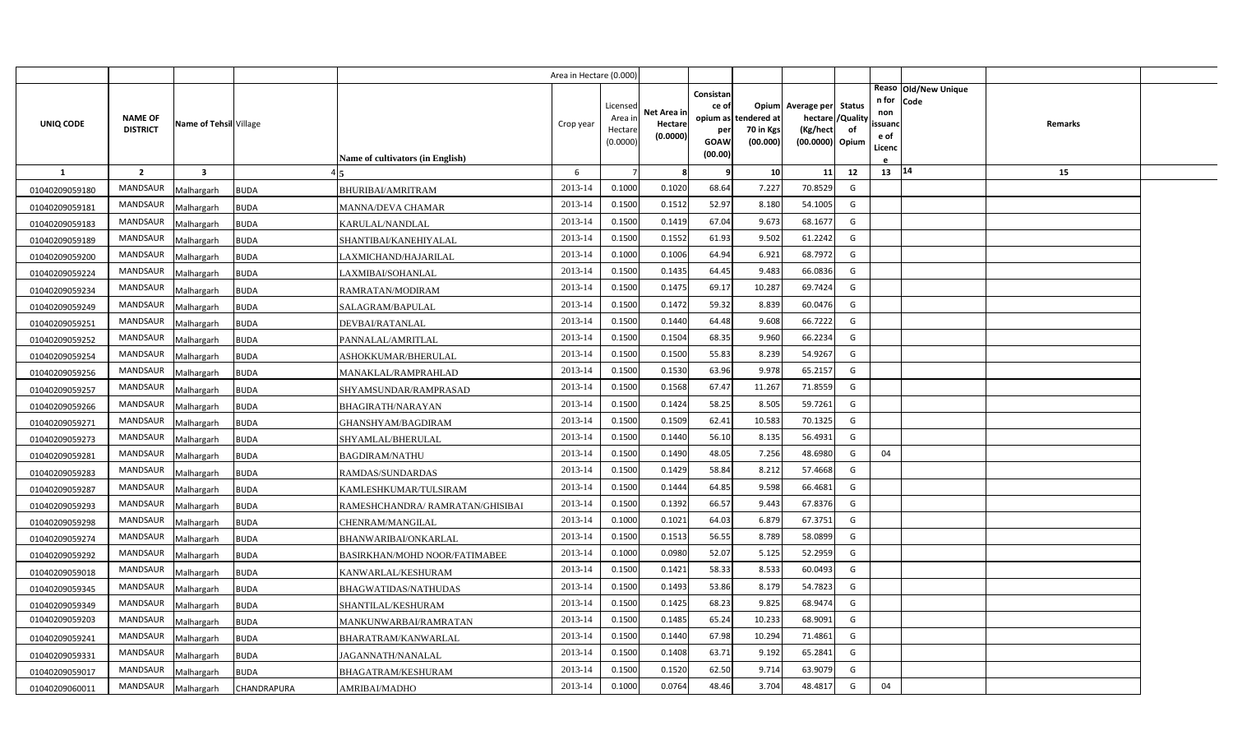|                |                                   |                         |             |                                         | Area in Hectare (0.000) |                                            |                                    |                                   |                                               |                                                                    |                |                                                                |         |  |
|----------------|-----------------------------------|-------------------------|-------------|-----------------------------------------|-------------------------|--------------------------------------------|------------------------------------|-----------------------------------|-----------------------------------------------|--------------------------------------------------------------------|----------------|----------------------------------------------------------------|---------|--|
| UNIQ CODE      | <b>NAME OF</b><br><b>DISTRICT</b> | Name of Tehsil Village  |             |                                         | Crop year               | Licensed<br>Area in<br>Hectare<br>(0.0000) | Net Area in<br>Hectare<br>(0.0000) | Consistan<br>ce of<br>per<br>GOAW | opium as tendered at<br>70 in Kgs<br>(00.000) | Opium Average per Status<br>hectare<br>(Kg/hect<br>(00.0000) Opium | /Quality<br>of | Reaso Old/New Unique<br>n for<br>Code<br>non<br>ssuand<br>e of | Remarks |  |
|                |                                   |                         |             | <b>Name of cultivators (in English)</b> |                         |                                            |                                    | (00.00)                           |                                               |                                                                    |                | Licenc                                                         |         |  |
| $\mathbf{1}$   | $\overline{2}$                    | $\overline{\mathbf{3}}$ |             |                                         | 6                       |                                            | 8                                  | 9                                 | 10                                            | 11                                                                 | 12             | 13   14                                                        | 15      |  |
| 01040209059180 | <b>MANDSAUR</b>                   | Malhargarh              | <b>BUDA</b> | <b>BHURIBAI/AMRITRAM</b>                | 2013-14                 | 0.1000                                     | 0.1020                             | 68.64                             | 7.227                                         | 70.8529                                                            | G              |                                                                |         |  |
| 01040209059181 | <b>MANDSAUR</b>                   | Malhargarh              | <b>BUDA</b> | MANNA/DEVA CHAMAR                       | 2013-14                 | 0.1500                                     | 0.1512                             | 52.97                             | 8.180                                         | 54.1005                                                            | G              |                                                                |         |  |
| 01040209059183 | <b>MANDSAUR</b>                   | Malhargarh              | <b>BUDA</b> | KARULAL/NANDLAL                         | 2013-14                 | 0.1500                                     | 0.1419                             | 67.04                             | 9.673                                         | 68.1677                                                            | G              |                                                                |         |  |
| 01040209059189 | <b>MANDSAUR</b>                   | Malhargarh              | <b>BUDA</b> | SHANTIBAI/KANEHIYALAL                   | 2013-14                 | 0.1500                                     | 0.1552                             | 61.93                             | 9.502                                         | 61.2242                                                            | G              |                                                                |         |  |
| 01040209059200 | <b>MANDSAUR</b>                   | Malhargarh              | <b>BUDA</b> | LAXMICHAND/HAJARILAL                    | 2013-14                 | 0.1000                                     | 0.1006                             | 64.94                             | 6.921                                         | 68.7972                                                            | G              |                                                                |         |  |
| 01040209059224 | <b>MANDSAUR</b>                   | Malhargarh              | <b>BUDA</b> | LAXMIBAI/SOHANLAL                       | 2013-14                 | 0.1500                                     | 0.1435                             | 64.45                             | 9.483                                         | 66.0836                                                            | G              |                                                                |         |  |
| 01040209059234 | <b>MANDSAUR</b>                   | Malhargarh              | <b>BUDA</b> | RAMRATAN/MODIRAM                        | 2013-14                 | 0.1500                                     | 0.1475                             | 69.17                             | 10.287                                        | 69.7424                                                            | G              |                                                                |         |  |
| 01040209059249 | MANDSAUR                          | Malhargarh              | <b>BUDA</b> | SALAGRAM/BAPULAL                        | 2013-14                 | 0.1500                                     | 0.1472                             | 59.32                             | 8.839                                         | 60.0476                                                            | G              |                                                                |         |  |
| 01040209059251 | <b>MANDSAUR</b>                   | Malhargarh              | <b>BUDA</b> | DEVBAI/RATANLAL                         | 2013-14                 | 0.1500                                     | 0.1440                             | 64.48                             | 9.608                                         | 66.7222                                                            | G              |                                                                |         |  |
| 01040209059252 | MANDSAUR                          | Malhargarh              | <b>BUDA</b> | PANNALAL/AMRITLAL                       | 2013-14                 | 0.1500                                     | 0.1504                             | 68.35                             | 9.960                                         | 66.2234                                                            | G              |                                                                |         |  |
| 01040209059254 | <b>MANDSAUR</b>                   | Malhargarh              | <b>BUDA</b> | ASHOKKUMAR/BHERULAL                     | 2013-14                 | 0.1500                                     | 0.1500                             | 55.83                             | 8.239                                         | 54.9267                                                            | G              |                                                                |         |  |
| 01040209059256 | <b>MANDSAUR</b>                   | Malhargarh              | <b>BUDA</b> | MANAKLAL/RAMPRAHLAD                     | 2013-14                 | 0.1500                                     | 0.1530                             | 63.96                             | 9.978                                         | 65.2157                                                            | G              |                                                                |         |  |
| 01040209059257 | <b>MANDSAUR</b>                   | Malhargarh              | <b>BUDA</b> | SHYAMSUNDAR/RAMPRASAD                   | 2013-14                 | 0.1500                                     | 0.1568                             | 67.47                             | 11.267                                        | 71.8559                                                            | G              |                                                                |         |  |
| 01040209059266 | <b>MANDSAUR</b>                   | Malhargarh              | <b>BUDA</b> | <b>BHAGIRATH/NARAYAN</b>                | 2013-14                 | 0.1500                                     | 0.1424                             | 58.25                             | 8.505                                         | 59.7261                                                            | G              |                                                                |         |  |
| 01040209059271 | <b>MANDSAUR</b>                   | Malhargarh              | <b>BUDA</b> | GHANSHYAM/BAGDIRAM                      | 2013-14                 | 0.1500                                     | 0.1509                             | 62.41                             | 10.583                                        | 70.1325                                                            | G              |                                                                |         |  |
| 01040209059273 | <b>MANDSAUR</b>                   | Malhargarh              | <b>BUDA</b> | SHYAMLAL/BHERULAL                       | 2013-14                 | 0.1500                                     | 0.1440                             | 56.10                             | 8.135                                         | 56.4931                                                            | G              |                                                                |         |  |
| 01040209059281 | <b>MANDSAUR</b>                   | Malhargarh              | <b>BUDA</b> | <b>BAGDIRAM/NATHU</b>                   | 2013-14                 | 0.1500                                     | 0.1490                             | 48.05                             | 7.256                                         | 48.6980                                                            | G              | 04                                                             |         |  |
| 01040209059283 | <b>MANDSAUR</b>                   | Malhargarh              | <b>BUDA</b> | RAMDAS/SUNDARDAS                        | 2013-14                 | 0.1500                                     | 0.1429                             | 58.84                             | 8.212                                         | 57.4668                                                            | G              |                                                                |         |  |
| 01040209059287 | <b>MANDSAUR</b>                   | Malhargarh              | <b>BUDA</b> | KAMLESHKUMAR/TULSIRAM                   | 2013-14                 | 0.1500                                     | 0.1444                             | 64.85                             | 9.598                                         | 66.4681                                                            | G              |                                                                |         |  |
| 01040209059293 | <b>MANDSAUR</b>                   | Malhargarh              | <b>BUDA</b> | RAMESHCHANDRA/ RAMRATAN/GHISIBAI        | 2013-14                 | 0.1500                                     | 0.1392                             | 66.57                             | 9.443                                         | 67.8376                                                            | G              |                                                                |         |  |
| 01040209059298 | <b>MANDSAUR</b>                   | Malhargarh              | <b>BUDA</b> | CHENRAM/MANGILAL                        | 2013-14                 | 0.1000                                     | 0.1021                             | 64.03                             | 6.879                                         | 67.3751                                                            | G              |                                                                |         |  |
| 01040209059274 | <b>MANDSAUR</b>                   | Malhargarh              | <b>BUDA</b> | BHANWARIBAI/ONKARLAL                    | 2013-14                 | 0.1500                                     | 0.1513                             | 56.55                             | 8.789                                         | 58.0899                                                            | G              |                                                                |         |  |
| 01040209059292 | <b>MANDSAUR</b>                   | Malhargarh              | <b>BUDA</b> | BASIRKHAN/MOHD NOOR/FATIMABEE           | 2013-14                 | 0.1000                                     | 0.0980                             | 52.07                             | 5.125                                         | 52.2959                                                            | G              |                                                                |         |  |
| 01040209059018 | <b>MANDSAUR</b>                   | Malhargarh              | <b>BUDA</b> | KANWARLAL/KESHURAM                      | 2013-14                 | 0.1500                                     | 0.1421                             | 58.33                             | 8.533                                         | 60.0493                                                            | G              |                                                                |         |  |
| 01040209059345 | <b>MANDSAUR</b>                   | Malhargarh              | <b>BUDA</b> | BHAGWATIDAS/NATHUDAS                    | 2013-14                 | 0.1500                                     | 0.1493                             | 53.86                             | 8.179                                         | 54.7823                                                            | G              |                                                                |         |  |
| 01040209059349 | <b>MANDSAUR</b>                   | Malhargarh              | <b>BUDA</b> | SHANTILAL/KESHURAM                      | 2013-14                 | 0.1500                                     | 0.1425                             | 68.23                             | 9.825                                         | 68.9474                                                            | G              |                                                                |         |  |
| 01040209059203 | <b>MANDSAUR</b>                   | Malhargarh              | <b>BUDA</b> | MANKUNWARBAI/RAMRATAN                   | 2013-14                 | 0.1500                                     | 0.1485                             | 65.24                             | 10.233                                        | 68.9091                                                            | G              |                                                                |         |  |
| 01040209059241 | <b>MANDSAUR</b>                   | Malhargarh              | <b>BUDA</b> | BHARATRAM/KANWARLAL                     | 2013-14                 | 0.1500                                     | 0.1440                             | 67.98                             | 10.294                                        | 71.4861                                                            | G              |                                                                |         |  |
| 01040209059331 | MANDSAUR                          | Malhargarh              | <b>BUDA</b> | JAGANNATH/NANALAL                       | 2013-14                 | 0.1500                                     | 0.1408                             | 63.71                             | 9.192                                         | 65.2841                                                            | G              |                                                                |         |  |
| 01040209059017 | MANDSAUR                          | Malhargarh              | <b>BUDA</b> | BHAGATRAM/KESHURAM                      | 2013-14                 | 0.1500                                     | 0.1520                             | 62.50                             | 9.714                                         | 63.9079                                                            | G              |                                                                |         |  |
| 01040209060011 | MANDSAUR                          | Malhargarh              | CHANDRAPURA | AMRIBAI/MADHO                           | 2013-14                 | 0.1000                                     | 0.0764                             | 48.46                             | 3.704                                         | 48.4817                                                            | G              | 04                                                             |         |  |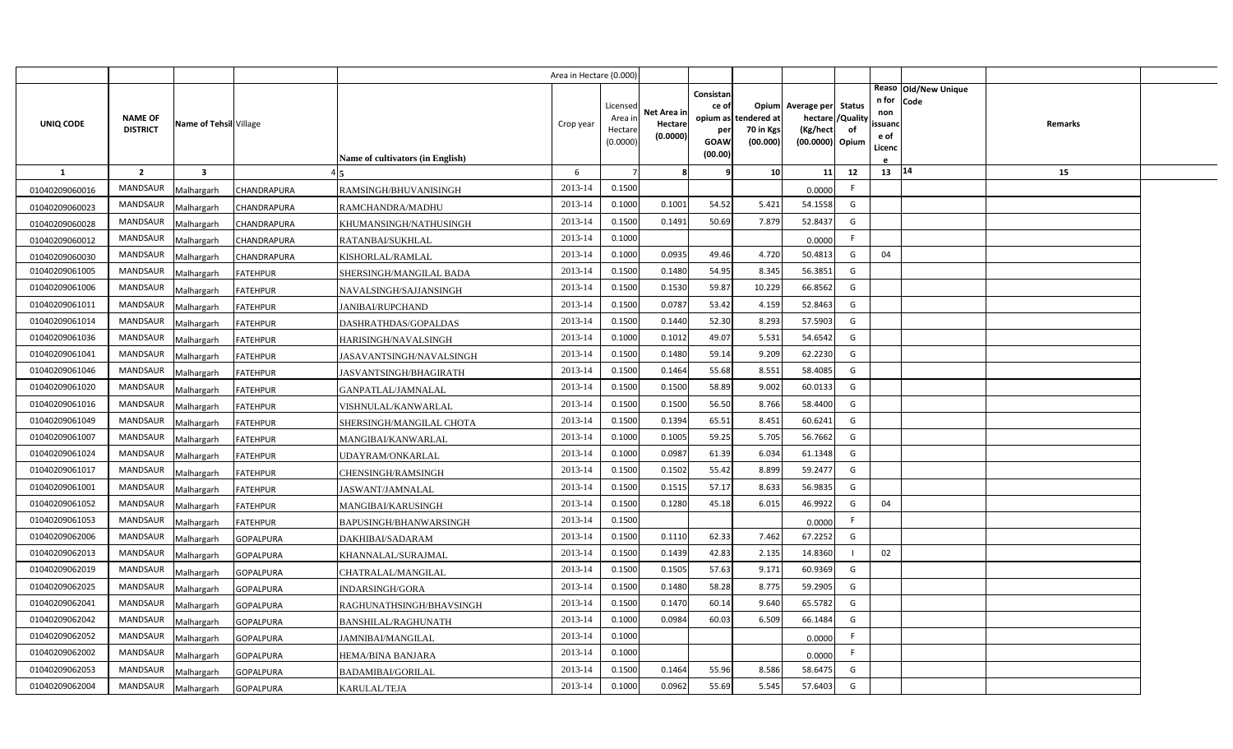|                |                 |                         |                  |                                  | Area in Hectare (0.000) |                     |                     |                                |                       |                                               |    |                          |                              |         |  |
|----------------|-----------------|-------------------------|------------------|----------------------------------|-------------------------|---------------------|---------------------|--------------------------------|-----------------------|-----------------------------------------------|----|--------------------------|------------------------------|---------|--|
|                | <b>NAME OF</b>  |                         |                  |                                  |                         | Licensed<br>Area ir | Net Area in         | Consistan<br>ce of<br>opium as | tendered at           | Opium Average per Status<br>hectare / Quality |    | n for<br>non             | Reaso Old/New Unique<br>Code |         |  |
| UNIQ CODE      | <b>DISTRICT</b> | Name of Tehsil Village  |                  | Name of cultivators (in English) | Crop year               | Hectare<br>(0.0000) | Hectare<br>(0.0000) | per<br>GOAW<br>(00.00)         | 70 in Kgs<br>(00.000) | (Kg/hect<br>(00.0000) Opium                   | of | ssuand<br>e of<br>Licenc |                              | Remarks |  |
| -1             | $\overline{2}$  | $\overline{\mathbf{3}}$ |                  |                                  | 6                       | 7                   | 8                   | <b>C</b>                       | 10 <sup>1</sup>       | 11                                            | 12 | $13 \mid 14$             |                              | 15      |  |
| 01040209060016 | <b>MANDSAUR</b> | Malhargarh              | CHANDRAPURA      | RAMSINGH/BHUVANISINGH            | 2013-14                 | 0.1500              |                     |                                |                       | 0.0000                                        | F. |                          |                              |         |  |
| 01040209060023 | MANDSAUR        | Malhargarh              | CHANDRAPURA      | RAMCHANDRA/MADHU                 | 2013-14                 | 0.1000              | 0.1001              | 54.52                          | 5.421                 | 54.1558                                       | G  |                          |                              |         |  |
| 01040209060028 | MANDSAUR        | Malhargarh              | CHANDRAPURA      | KHUMANSINGH/NATHUSINGH           | 2013-14                 | 0.1500              | 0.1491              | 50.69                          | 7.879                 | 52.8437                                       | G  |                          |                              |         |  |
| 01040209060012 | MANDSAUR        | Malhargarh              | CHANDRAPURA      | RATANBAI/SUKHLAL                 | 2013-14                 | 0.1000              |                     |                                |                       | 0.0000                                        | F. |                          |                              |         |  |
| 01040209060030 | <b>MANDSAUR</b> | Malhargarh              | CHANDRAPURA      | KISHORLAL/RAMLAL                 | 2013-14                 | 0.1000              | 0.0935              | 49.46                          | 4.720                 | 50.4813                                       | G  | 04                       |                              |         |  |
| 01040209061005 | MANDSAUR        | Malhargarh              | <b>FATEHPUR</b>  | SHERSINGH/MANGILAL BADA          | 2013-14                 | 0.1500              | 0.1480              | 54.95                          | 8.345                 | 56.3851                                       | G  |                          |                              |         |  |
| 01040209061006 | MANDSAUR        | Malhargarh              | <b>FATEHPUR</b>  | NAVALSINGH/SAJJANSINGH           | 2013-14                 | 0.1500              | 0.1530              | 59.87                          | 10.229                | 66.8562                                       | G  |                          |                              |         |  |
| 01040209061011 | MANDSAUR        | Malhargarh              | <b>FATEHPUR</b>  | JANIBAI/RUPCHAND                 | 2013-14                 | 0.1500              | 0.0787              | 53.42                          | 4.159                 | 52.8463                                       | G  |                          |                              |         |  |
| 01040209061014 | MANDSAUR        | Malhargarh              | <b>FATEHPUR</b>  | DASHRATHDAS/GOPALDAS             | 2013-14                 | 0.1500              | 0.1440              | 52.30                          | 8.293                 | 57.5903                                       | G  |                          |                              |         |  |
| 01040209061036 | <b>MANDSAUR</b> | Malhargarh              | <b>FATEHPUR</b>  | HARISINGH/NAVALSINGH             | 2013-14                 | 0.1000              | 0.1012              | 49.07                          | 5.531                 | 54.6542                                       | G  |                          |                              |         |  |
| 01040209061041 | MANDSAUR        | Malhargarh              | <b>FATEHPUR</b>  | JASAVANTSINGH/NAVALSINGH         | 2013-14                 | 0.1500              | 0.1480              | 59.14                          | 9.209                 | 62.2230                                       | G  |                          |                              |         |  |
| 01040209061046 | MANDSAUR        | Malhargarh              | <b>FATEHPUR</b>  | <b>JASVANTSINGH/BHAGIRATH</b>    | 2013-14                 | 0.1500              | 0.1464              | 55.68                          | 8.551                 | 58.4085                                       | G  |                          |                              |         |  |
| 01040209061020 | MANDSAUR        | Malhargarh              | <b>FATEHPUR</b>  | GANPATLAL/JAMNALAL               | 2013-14                 | 0.1500              | 0.1500              | 58.89                          | 9.002                 | 60.0133                                       | G  |                          |                              |         |  |
| 01040209061016 | <b>MANDSAUR</b> | Malhargarh              | <b>FATEHPUR</b>  | VISHNULAL/KANWARLAL              | 2013-14                 | 0.1500              | 0.1500              | 56.50                          | 8.766                 | 58.4400                                       | G  |                          |                              |         |  |
| 01040209061049 | MANDSAUR        | Malhargarh              | <b>FATEHPUR</b>  | SHERSINGH/MANGILAL CHOTA         | 2013-14                 | 0.1500              | 0.1394              | 65.51                          | 8.451                 | 60.6241                                       | G  |                          |                              |         |  |
| 01040209061007 | <b>MANDSAUR</b> | Malhargarh              | <b>FATEHPUR</b>  | MANGIBAI/KANWARLAL               | 2013-14                 | 0.1000              | 0.1005              | 59.25                          | 5.705                 | 56.7662                                       | G  |                          |                              |         |  |
| 01040209061024 | <b>MANDSAUR</b> | Malhargarh              | <b>FATEHPUR</b>  | UDAYRAM/ONKARLAL                 | 2013-14                 | 0.1000              | 0.0987              | 61.39                          | 6.034                 | 61.1348                                       | G  |                          |                              |         |  |
| 01040209061017 | <b>MANDSAUR</b> | Malhargarh              | <b>FATEHPUR</b>  | CHENSINGH/RAMSINGH               | 2013-14                 | 0.1500              | 0.1502              | 55.42                          | 8.899                 | 59.2477                                       | G  |                          |                              |         |  |
| 01040209061001 | <b>MANDSAUR</b> | Malhargarh              | <b>FATEHPUR</b>  | <b>JASWANT/JAMNALAL</b>          | 2013-14                 | 0.1500              | 0.1515              | 57.17                          | 8.633                 | 56.9835                                       | G  |                          |                              |         |  |
| 01040209061052 | <b>MANDSAUR</b> | Malhargarh              | <b>FATEHPUR</b>  | MANGIBAI/KARUSINGH               | 2013-14                 | 0.1500              | 0.1280              | 45.18                          | 6.015                 | 46.9922                                       | G  | 04                       |                              |         |  |
| 01040209061053 | MANDSAUR        | Malhargarh              | <b>FATEHPUR</b>  | BAPUSINGH/BHANWARSINGH           | 2013-14                 | 0.1500              |                     |                                |                       | 0.0000                                        | F. |                          |                              |         |  |
| 01040209062006 | MANDSAUR        | Malhargarh              | <b>GOPALPURA</b> | DAKHIBAI/SADARAM                 | 2013-14                 | 0.1500              | 0.1110              | 62.33                          | 7.462                 | 67.2252                                       | G  |                          |                              |         |  |
| 01040209062013 | <b>MANDSAUR</b> | Malhargarh              | <b>GOPALPURA</b> | KHANNALAL/SURAJMAL               | 2013-14                 | 0.1500              | 0.1439              | 42.83                          | 2.135                 | 14.8360                                       |    | 02                       |                              |         |  |
| 01040209062019 | MANDSAUR        | Malhargarh              | <b>GOPALPURA</b> | CHATRALAL/MANGILAL               | 2013-14                 | 0.1500              | 0.1505              | 57.63                          | 9.171                 | 60.9369                                       | G  |                          |                              |         |  |
| 01040209062025 | <b>MANDSAUR</b> | Malhargarh              | <b>GOPALPURA</b> | INDARSINGH/GORA                  | 2013-14                 | 0.1500              | 0.1480              | 58.28                          | 8.775                 | 59.2905                                       | G  |                          |                              |         |  |
| 01040209062041 | MANDSAUR        | Malhargarh              | GOPALPURA        | RAGHUNATHSINGH/BHAVSINGH         | 2013-14                 | 0.1500              | 0.1470              | 60.14                          | 9.640                 | 65.5782                                       | G  |                          |                              |         |  |
| 01040209062042 | <b>MANDSAUR</b> | Malhargarh              | GOPALPURA        | BANSHILAL/RAGHUNATH              | 2013-14                 | 0.1000              | 0.0984              | 60.03                          | 6.509                 | 66.1484                                       | G  |                          |                              |         |  |
| 01040209062052 | MANDSAUR        | Malhargarh              | <b>GOPALPURA</b> | <b>JAMNIBAI/MANGILAL</b>         | 2013-14                 | 0.1000              |                     |                                |                       | 0.0000                                        | F. |                          |                              |         |  |
| 01040209062002 | MANDSAUR        | Malhargarh              | GOPALPURA        | HEMA/BINA BANJARA                | 2013-14                 | 0.1000              |                     |                                |                       | 0.0000                                        | F. |                          |                              |         |  |
| 01040209062053 | MANDSAUR        | Malhargarh              | GOPALPURA        | BADAMIBAI/GORILAL                | 2013-14                 | 0.1500              | 0.1464              | 55.96                          | 8.586                 | 58.6475                                       | G  |                          |                              |         |  |
| 01040209062004 | MANDSAUR        | Malhargarh              | <b>GOPALPURA</b> | KARULAL/TEJA                     | 2013-14                 | 0.1000              | 0.0962              | 55.69                          | 5.545                 | 57.6403                                       | G  |                          |                              |         |  |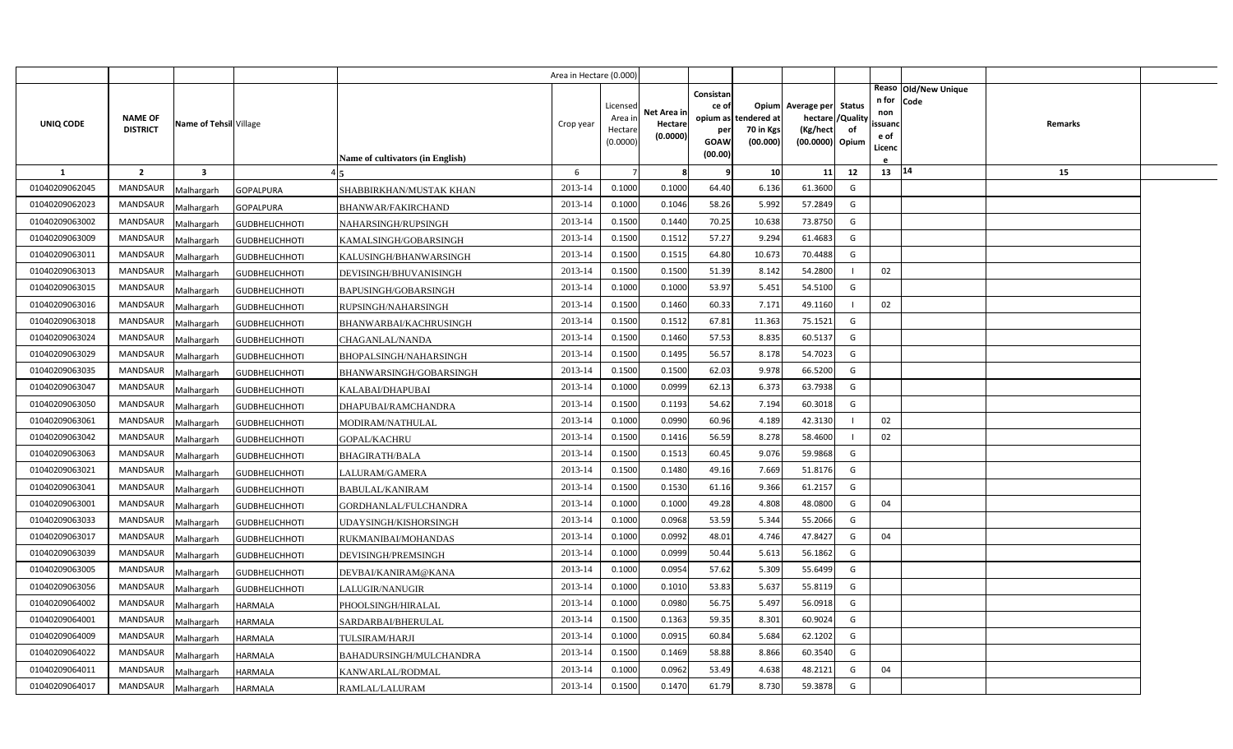|                |                 |                         |                       |                                  | Area in Hectare (0.000) |                     |                        |                    |                       |                          |    |               |                              |         |  |
|----------------|-----------------|-------------------------|-----------------------|----------------------------------|-------------------------|---------------------|------------------------|--------------------|-----------------------|--------------------------|----|---------------|------------------------------|---------|--|
|                |                 |                         |                       |                                  |                         | Licensed            |                        | Consistan<br>ce of |                       | Opium Average per Status |    | n for         | Reaso Old/New Unique<br>Code |         |  |
| UNIQ CODE      | <b>NAME OF</b>  | Name of Tehsil Village  |                       |                                  | Crop year               | Area ir             | Net Area in<br>Hectare | opium as           | tendered at           | hectare / Quality        |    | non<br>ssuand |                              | Remarks |  |
|                | <b>DISTRICT</b> |                         |                       |                                  |                         | Hectare<br>(0.0000) | (0.0000)               | per<br>GOAW        | 70 in Kgs<br>(00.000) | (Kg/hect                 | of | e of          |                              |         |  |
|                |                 |                         |                       | Name of cultivators (in English) |                         |                     |                        | (00.00)            |                       | (00.0000) Opium          |    | Licenc        |                              |         |  |
| $\mathbf{1}$   | $\overline{2}$  | $\overline{\mathbf{3}}$ |                       |                                  | 6                       | $\overline{7}$      | 8                      | q                  | 10                    | 11                       | 12 | 13   14       |                              | 15      |  |
| 01040209062045 | <b>MANDSAUR</b> | Malhargarh              | <b>GOPALPURA</b>      | SHABBIRKHAN/MUSTAK KHAN          | 2013-14                 | 0.1000              | 0.1000                 | 64.40              | 6.136                 | 61.3600                  | G  |               |                              |         |  |
| 01040209062023 | MANDSAUR        | Malhargarh              | <b>GOPALPURA</b>      | BHANWAR/FAKIRCHAND               | 2013-14                 | 0.1000              | 0.1046                 | 58.26              | 5.992                 | 57.2849                  | G  |               |                              |         |  |
| 01040209063002 | MANDSAUR        | Malhargarh              | <b>GUDBHELICHHOTI</b> | NAHARSINGH/RUPSINGH              | 2013-14                 | 0.1500              | 0.1440                 | 70.25              | 10.638                | 73.8750                  | G  |               |                              |         |  |
| 01040209063009 | <b>MANDSAUR</b> | Malhargarh              | <b>GUDBHELICHHOTI</b> | KAMALSINGH/GOBARSINGH            | 2013-14                 | 0.1500              | 0.1512                 | 57.27              | 9.294                 | 61.4683                  | G  |               |                              |         |  |
| 01040209063011 | MANDSAUR        | Malhargarh              | <b>GUDBHELICHHOTI</b> | KALUSINGH/BHANWARSINGH           | 2013-14                 | 0.1500              | 0.1515                 | 64.80              | 10.673                | 70.4488                  | G  |               |                              |         |  |
| 01040209063013 | <b>MANDSAUR</b> | Malhargarh              | <b>GUDBHELICHHOTI</b> | DEVISINGH/BHUVANISINGH           | 2013-14                 | 0.1500              | 0.1500                 | 51.39              | 8.142                 | 54.2800                  |    | 02            |                              |         |  |
| 01040209063015 | MANDSAUR        | Malhargarh              | <b>GUDBHELICHHOTI</b> | BAPUSINGH/GOBARSINGH             | 2013-14                 | 0.1000              | 0.1000                 | 53.97              | 5.451                 | 54.5100                  | G  |               |                              |         |  |
| 01040209063016 | MANDSAUR        | Malhargarh              | <b>GUDBHELICHHOTI</b> | RUPSINGH/NAHARSINGH              | 2013-14                 | 0.1500              | 0.1460                 | 60.33              | 7.171                 | 49.1160                  |    | 02            |                              |         |  |
| 01040209063018 | MANDSAUR        | Malhargarh              | <b>GUDBHELICHHOTI</b> | BHANWARBAI/KACHRUSINGH           | 2013-14                 | 0.1500              | 0.1512                 | 67.81              | 11.363                | 75.1521                  | G  |               |                              |         |  |
| 01040209063024 | MANDSAUR        | Malhargarh              | <b>GUDBHELICHHOTI</b> | CHAGANLAL/NANDA                  | 2013-14                 | 0.1500              | 0.1460                 | 57.53              | 8.835                 | 60.5137                  | G  |               |                              |         |  |
| 01040209063029 | MANDSAUR        | Malhargarh              | <b>GUDBHELICHHOTI</b> | BHOPALSINGH/NAHARSINGH           | 2013-14                 | 0.1500              | 0.1495                 | 56.57              | 8.178                 | 54.7023                  | G  |               |                              |         |  |
| 01040209063035 | <b>MANDSAUR</b> | Malhargarh              | <b>GUDBHELICHHOTI</b> | BHANWARSINGH/GOBARSINGH          | 2013-14                 | 0.1500              | 0.1500                 | 62.03              | 9.978                 | 66.5200                  | G  |               |                              |         |  |
| 01040209063047 | <b>MANDSAUR</b> | Malhargarh              | <b>GUDBHELICHHOTI</b> | KALABAI/DHAPUBAI                 | 2013-14                 | 0.1000              | 0.0999                 | 62.13              | 6.373                 | 63.7938                  | G  |               |                              |         |  |
| 01040209063050 | <b>MANDSAUR</b> | Malhargarh              | <b>GUDBHELICHHOTI</b> | DHAPUBAI/RAMCHANDRA              | 2013-14                 | 0.1500              | 0.1193                 | 54.62              | 7.194                 | 60.3018                  | G  |               |                              |         |  |
| 01040209063061 | <b>MANDSAUR</b> | Malhargarh              | <b>GUDBHELICHHOTI</b> | MODIRAM/NATHULAL                 | 2013-14                 | 0.1000              | 0.0990                 | 60.96              | 4.189                 | 42.3130                  |    | 02            |                              |         |  |
| 01040209063042 | <b>MANDSAUR</b> | Malhargarh              | <b>GUDBHELICHHOTI</b> | <b>GOPAL/KACHRU</b>              | 2013-14                 | 0.1500              | 0.1416                 | 56.59              | 8.278                 | 58.4600                  |    | 02            |                              |         |  |
| 01040209063063 | <b>MANDSAUR</b> | Malhargarh              | <b>GUDBHELICHHOTI</b> | <b>BHAGIRATH/BALA</b>            | 2013-14                 | 0.1500              | 0.1513                 | 60.45              | 9.076                 | 59.9868                  | G  |               |                              |         |  |
| 01040209063021 | <b>MANDSAUR</b> | Malhargarh              | <b>GUDBHELICHHOTI</b> | LALURAM/GAMERA                   | 2013-14                 | 0.1500              | 0.1480                 | 49.16              | 7.669                 | 51.8176                  | G  |               |                              |         |  |
| 01040209063041 | <b>MANDSAUR</b> | Malhargarh              | <b>GUDBHELICHHOTI</b> | <b>BABULAL/KANIRAM</b>           | 2013-14                 | 0.1500              | 0.1530                 | 61.16              | 9.366                 | 61.2157                  | G  |               |                              |         |  |
| 01040209063001 | MANDSAUR        | Malhargarh              | <b>GUDBHELICHHOTI</b> | GORDHANLAL/FULCHANDRA            | 2013-14                 | 0.1000              | 0.1000                 | 49.28              | 4.808                 | 48.0800                  | G  | 04            |                              |         |  |
| 01040209063033 | MANDSAUR        | Malhargarh              | <b>GUDBHELICHHOTI</b> | UDAYSINGH/KISHORSINGH            | 2013-14                 | 0.1000              | 0.0968                 | 53.59              | 5.344                 | 55.2066                  | G  |               |                              |         |  |
| 01040209063017 | <b>MANDSAUR</b> | Malhargarh              | <b>GUDBHELICHHOTI</b> | RUKMANIBAI/MOHANDAS              | 2013-14                 | 0.1000              | 0.0992                 | 48.01              | 4.746                 | 47.8427                  | G  | 04            |                              |         |  |
| 01040209063039 | MANDSAUR        | Malhargarh              | <b>GUDBHELICHHOTI</b> | DEVISINGH/PREMSINGH              | 2013-14                 | 0.1000              | 0.0999                 | 50.44              | 5.613                 | 56.1862                  | G  |               |                              |         |  |
| 01040209063005 | <b>MANDSAUR</b> | Malhargarh              | <b>GUDBHELICHHOTI</b> | DEVBAI/KANIRAM@KANA              | 2013-14                 | 0.1000              | 0.0954                 | 57.62              | 5.309                 | 55.6499                  | G  |               |                              |         |  |
| 01040209063056 | MANDSAUR        | Malhargarh              | <b>GUDBHELICHHOTI</b> | LALUGIR/NANUGIR                  | 2013-14                 | 0.1000              | 0.1010                 | 53.83              | 5.637                 | 55.8119                  | G  |               |                              |         |  |
| 01040209064002 | MANDSAUR        | Malhargarh              | HARMALA               | PHOOLSINGH/HIRALAL               | 2013-14                 | 0.1000              | 0.0980                 | 56.75              | 5.497                 | 56.0918                  | G  |               |                              |         |  |
| 01040209064001 | MANDSAUR        | Malhargarh              | HARMALA               | SARDARBAI/BHERULAL               | 2013-14                 | 0.1500              | 0.1363                 | 59.35              | 8.301                 | 60.9024                  | G  |               |                              |         |  |
| 01040209064009 | MANDSAUR        | Malhargarh              | HARMALA               | TULSIRAM/HARJI                   | 2013-14                 | 0.1000              | 0.0915                 | 60.84              | 5.684                 | 62.1202                  | G  |               |                              |         |  |
| 01040209064022 | MANDSAUR        | Malhargarh              | HARMALA               | BAHADURSINGH/MULCHANDRA          | 2013-14                 | 0.1500              | 0.1469                 | 58.88              | 8.866                 | 60.3540                  | G  |               |                              |         |  |
| 01040209064011 | MANDSAUR        | Malhargarh              | HARMALA               | KANWARLAL/RODMAL                 | 2013-14                 | 0.1000              | 0.0962                 | 53.49              | 4.638                 | 48.2121                  | G  | 04            |                              |         |  |
| 01040209064017 | MANDSAUR        | Malhargarh              | <b>HARMALA</b>        | RAMLAL/LALURAM                   | 2013-14                 | 0.1500              | 0.1470                 | 61.79              | 8.730                 | 59.3878                  | G  |               |                              |         |  |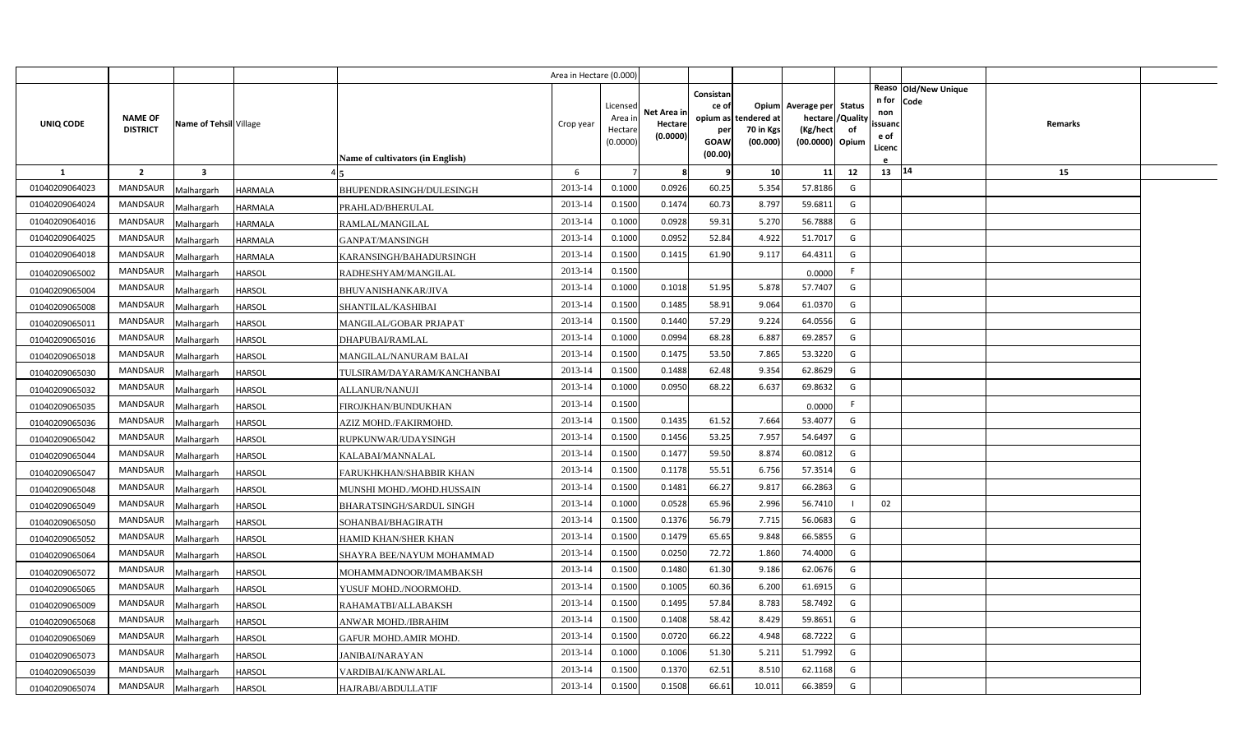|                |                                   |                         |                                                  | Area in Hectare (0.000) |                     |             |             |                       |                             |               |              |                      |         |  |
|----------------|-----------------------------------|-------------------------|--------------------------------------------------|-------------------------|---------------------|-------------|-------------|-----------------------|-----------------------------|---------------|--------------|----------------------|---------|--|
|                |                                   |                         |                                                  |                         |                     |             | Consistan   |                       |                             |               |              | Reaso Old/New Unique |         |  |
|                |                                   |                         |                                                  |                         | Licensed            | Net Area in | ce of       | Opium                 | Average per                 | <b>Status</b> | n for<br>non | <b>Code</b>          |         |  |
| UNIQ CODE      | <b>NAME OF</b><br><b>DISTRICT</b> | Name of Tehsil Village  |                                                  | Crop year               | Area in             | Hectare     |             | opium as tendered at  | hectare                     | /Quality      | ssuanc       |                      | Remarks |  |
|                |                                   |                         |                                                  |                         | Hectare<br>(0.0000) | (0.0000)    | per<br>GOAW | 70 in Kgs<br>(00.000) | (Kg/hect<br>(00.0000) Opium | of            | e of         |                      |         |  |
|                |                                   |                         | <b>Name of cultivators (in English)</b>          |                         |                     |             | (00.00)     |                       |                             |               | Licenc       |                      |         |  |
| <b>1</b>       | $\overline{2}$                    | $\overline{\mathbf{3}}$ |                                                  | 6                       |                     | -8          | 9           | 10                    | 11                          | 12            | 13   14      |                      | 15      |  |
| 01040209064023 | <b>MANDSAUR</b>                   | Malhargarh              | <b>HARMALA</b><br>BHUPENDRASINGH/DULESINGH       | 2013-14                 | 0.1000              | 0.0926      | 60.25       | 5.354                 | 57.8186                     | G             |              |                      |         |  |
| 01040209064024 | <b>MANDSAUR</b>                   | Malhargarh              | <b>HARMALA</b><br>PRAHLAD/BHERULAL               | 2013-14                 | 0.1500              | 0.1474      | 60.73       | 8.797                 | 59.6811                     | G             |              |                      |         |  |
| 01040209064016 | <b>MANDSAUR</b>                   | Malhargarh              | <b>HARMALA</b><br>RAMLAL/MANGILAL                | 2013-14                 | 0.1000              | 0.0928      | 59.31       | 5.270                 | 56.7888                     | G             |              |                      |         |  |
| 01040209064025 | MANDSAUR                          | Malhargarh              | <b>HARMALA</b><br>GANPAT/MANSINGH                | 2013-14                 | 0.1000              | 0.0952      | 52.84       | 4.922                 | 51.7017                     | G             |              |                      |         |  |
| 01040209064018 | <b>MANDSAUR</b>                   | Malhargarh              | <b>HARMALA</b><br>KARANSINGH/BAHADURSINGH        | 2013-14                 | 0.1500              | 0.1415      | 61.90       | 9.117                 | 64.4311                     | G             |              |                      |         |  |
| 01040209065002 | <b>MANDSAUR</b>                   | Malhargarh              | <b>HARSOL</b><br>RADHESHYAM/MANGILAL             | 2013-14                 | 0.1500              |             |             |                       | 0.0000                      | F.            |              |                      |         |  |
| 01040209065004 | <b>MANDSAUR</b>                   | Malhargarh              | <b>HARSOL</b><br><b>BHUVANISHANKAR/JIVA</b>      | 2013-14                 | 0.1000              | 0.1018      | 51.95       | 5.878                 | 57.7407                     | G             |              |                      |         |  |
| 01040209065008 | <b>MANDSAUR</b>                   | Malhargarh              | <b>HARSOL</b><br><b>SHANTILAL/KASHIBAI</b>       | 2013-14                 | 0.1500              | 0.1485      | 58.91       | 9.064                 | 61.0370                     | G             |              |                      |         |  |
| 01040209065011 | <b>MANDSAUR</b>                   | Malhargarh              | <b>HARSOL</b><br>MANGILAL/GOBAR PRJAPAT          | 2013-14                 | 0.1500              | 0.1440      | 57.29       | 9.224                 | 64.0556                     | G             |              |                      |         |  |
| 01040209065016 | <b>MANDSAUR</b>                   | Malhargarh              | <b>HARSOL</b><br>DHAPUBAI/RAMLAL                 | 2013-14                 | 0.1000              | 0.0994      | 68.28       | 6.887                 | 69.2857                     | G             |              |                      |         |  |
| 01040209065018 | <b>MANDSAUR</b>                   | Malhargarh              | <b>HARSOL</b><br>MANGILAL/NANURAM BALAI          | 2013-14                 | 0.1500              | 0.1475      | 53.50       | 7.865                 | 53.3220                     | G             |              |                      |         |  |
| 01040209065030 | <b>MANDSAUR</b>                   | Malhargarh              | <b>HARSOL</b><br>TULSIRAM/DAYARAM/KANCHANBAI     | 2013-14                 | 0.1500              | 0.1488      | 62.48       | 9.354                 | 62.8629                     | G             |              |                      |         |  |
| 01040209065032 | <b>MANDSAUR</b>                   | Malhargarh              | <b>HARSOL</b><br>ALLANUR/NANUJI                  | 2013-14                 | 0.1000              | 0.0950      | 68.22       | 6.637                 | 69.8632                     | G             |              |                      |         |  |
| 01040209065035 | <b>MANDSAUR</b>                   | Malhargarh              | <b>HARSOL</b><br>FIROJKHAN/BUNDUKHAN             | 2013-14                 | 0.1500              |             |             |                       | 0.0000                      | F.            |              |                      |         |  |
| 01040209065036 | <b>MANDSAUR</b>                   | Malhargarh              | <b>HARSOL</b><br>AZIZ MOHD./FAKIRMOHD.           | 2013-14                 | 0.1500              | 0.1435      | 61.52       | 7.664                 | 53.4077                     | G             |              |                      |         |  |
| 01040209065042 | <b>MANDSAUR</b>                   | Malhargarh              | <b>HARSOL</b><br>RUPKUNWAR/UDAYSINGH             | 2013-14                 | 0.1500              | 0.1456      | 53.25       | 7.957                 | 54.6497                     | G             |              |                      |         |  |
| 01040209065044 | <b>MANDSAUR</b>                   | Malhargarh              | <b>HARSOL</b><br>KALABAI/MANNALAL                | 2013-14                 | 0.1500              | 0.1477      | 59.50       | 8.874                 | 60.0812                     | G             |              |                      |         |  |
| 01040209065047 | <b>MANDSAUR</b>                   | Malhargarh              | <b>HARSOL</b><br>FARUKHKHAN/SHABBIR KHAN         | 2013-14                 | 0.1500              | 0.1178      | 55.51       | 6.756                 | 57.3514                     | G             |              |                      |         |  |
| 01040209065048 | <b>MANDSAUR</b>                   | Malhargarh              | <b>HARSOL</b><br>MUNSHI MOHD./MOHD.HUSSAIN       | 2013-14                 | 0.1500              | 0.1481      | 66.27       | 9.817                 | 66.2863                     | G             |              |                      |         |  |
| 01040209065049 | <b>MANDSAUR</b>                   | Malhargarh              | <b>HARSOL</b><br><b>BHARATSINGH/SARDUL SINGH</b> | 2013-14                 | 0.1000              | 0.0528      | 65.96       | 2.996                 | 56.7410                     |               | 02           |                      |         |  |
| 01040209065050 | <b>MANDSAUR</b>                   | Malhargarh              | <b>HARSOL</b><br>SOHANBAI/BHAGIRATH              | 2013-14                 | 0.1500              | 0.1376      | 56.79       | 7.715                 | 56.0683                     | G             |              |                      |         |  |
| 01040209065052 | <b>MANDSAUR</b>                   | Malhargarh              | <b>HARSOL</b><br>HAMID KHAN/SHER KHAN            | 2013-14                 | 0.1500              | 0.1479      | 65.65       | 9.848                 | 66.5855                     | G             |              |                      |         |  |
| 01040209065064 | <b>MANDSAUR</b>                   | Malhargarh              | <b>HARSOL</b><br>SHAYRA BEE/NAYUM MOHAMMAD       | 2013-14                 | 0.1500              | 0.0250      | 72.72       | 1.860                 | 74.4000                     | G             |              |                      |         |  |
| 01040209065072 | <b>MANDSAUR</b>                   | Malhargarh              | <b>HARSOL</b><br>MOHAMMADNOOR/IMAMBAKSH          | 2013-14                 | 0.1500              | 0.1480      | 61.30       | 9.186                 | 62.0676                     | G             |              |                      |         |  |
| 01040209065065 | <b>MANDSAUR</b>                   | Malhargarh              | <b>HARSOL</b><br>YUSUF MOHD./NOORMOHD.           | 2013-14                 | 0.1500              | 0.1005      | 60.36       | 6.200                 | 61.6915                     | G             |              |                      |         |  |
| 01040209065009 | <b>MANDSAUR</b>                   | Malhargarh              | <b>HARSOL</b><br>RAHAMATBI/ALLABAKSH             | 2013-14                 | 0.1500              | 0.1495      | 57.84       | 8.783                 | 58.7492                     | G             |              |                      |         |  |
| 01040209065068 | <b>MANDSAUR</b>                   | Malhargarh              | <b>HARSOL</b><br>ANWAR MOHD./IBRAHIM             | 2013-14                 | 0.1500              | 0.1408      | 58.42       | 8.429                 | 59.8651                     | G             |              |                      |         |  |
| 01040209065069 | <b>MANDSAUR</b>                   | Malhargarh              | <b>HARSOL</b><br>GAFUR MOHD.AMIR MOHD.           | 2013-14                 | 0.1500              | 0.0720      | 66.22       | 4.948                 | 68.7222                     | G             |              |                      |         |  |
| 01040209065073 | <b>MANDSAUR</b>                   | Malhargarh              | <b>HARSOL</b><br><b>JANIBAI/NARAYAN</b>          | 2013-14                 | 0.1000              | 0.1006      | 51.30       | 5.211                 | 51.7992                     | G             |              |                      |         |  |
| 01040209065039 | <b>MANDSAUR</b>                   | Malhargarh              | <b>HARSOL</b><br>VARDIBAI/KANWARLAL              | 2013-14                 | 0.1500              | 0.1370      | 62.51       | 8.510                 | 62.1168                     | G             |              |                      |         |  |
| 01040209065074 | MANDSAUR                          | Malhargarh              | <b>HARSOL</b><br>HAJRABI/ABDULLATIF              | 2013-14                 | 0.1500              | 0.1508      | 66.61       | 10.011                | 66.3859                     | G             |              |                      |         |  |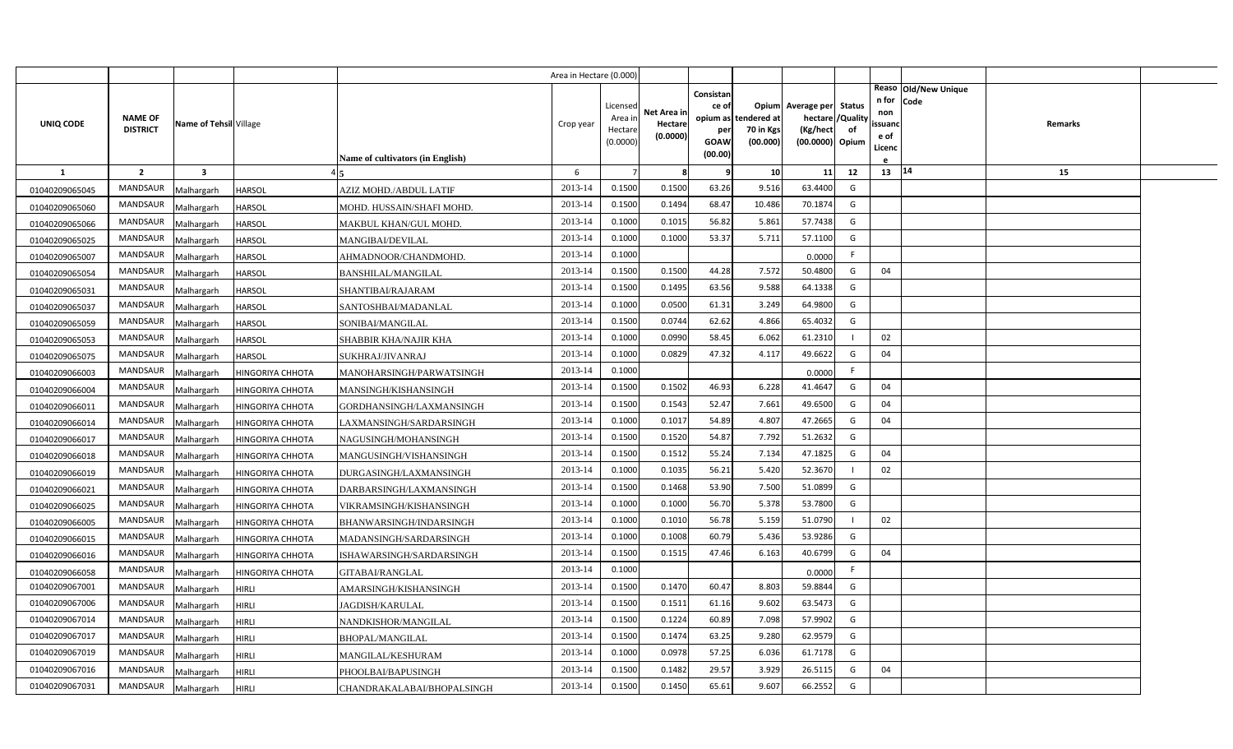|                |                 |                         |                         |                                         | Area in Hectare (0.000) |                    |                        |                                |                       |                                     |          |                        |                              |         |  |
|----------------|-----------------|-------------------------|-------------------------|-----------------------------------------|-------------------------|--------------------|------------------------|--------------------------------|-----------------------|-------------------------------------|----------|------------------------|------------------------------|---------|--|
| UNIQ CODE      | <b>NAME OF</b>  | Name of Tehsil Village  |                         |                                         | Crop year               | Licensec<br>Area i | Net Area ir<br>Hectare | Consistan<br>ce of<br>opium as | tendered at           | Opium Average per Status<br>hectare | /Quality | n for<br>non<br>ssuand | Reaso Old/New Unique<br>Code | Remarks |  |
|                | <b>DISTRICT</b> |                         |                         | <b>Name of cultivators (in English)</b> |                         | Hectar<br>(0.0000) | (0.0000)               | per<br>GOAW<br>(00.00)         | 70 in Kgs<br>(00.000) | (Kg/hect<br>(00.0000) Opium         | of       | e of<br>Licenc         |                              |         |  |
| <b>1</b>       | $\overline{2}$  | $\overline{\mathbf{3}}$ |                         |                                         | 6                       |                    | 8                      | 9                              | 10                    | 11                                  | 12       | 13 14                  |                              | 15      |  |
| 01040209065045 | <b>MANDSAUR</b> | Malhargarh              | <b>HARSOL</b>           | AZIZ MOHD./ABDUL LATIF                  | 2013-14                 | 0.1500             | 0.1500                 | 63.26                          | 9.516                 | 63.4400                             | G        |                        |                              |         |  |
| 01040209065060 | MANDSAUR        | Malhargarh              | <b>HARSOL</b>           | MOHD. HUSSAIN/SHAFI MOHD.               | 2013-14                 | 0.1500             | 0.1494                 | 68.47                          | 10.486                | 70.1874                             | G        |                        |                              |         |  |
| 01040209065066 | <b>MANDSAUR</b> | Malhargarh              | HARSOL                  | MAKBUL KHAN/GUL MOHD.                   | 2013-14                 | 0.1000             | 0.1015                 | 56.82                          | 5.861                 | 57.7438                             | G        |                        |                              |         |  |
| 01040209065025 | <b>MANDSAUR</b> | Malhargarh              | <b>HARSOL</b>           | MANGIBAI/DEVILAL                        | 2013-14                 | 0.1000             | 0.100                  | 53.37                          | 5.711                 | 57.1100                             | G        |                        |                              |         |  |
| 01040209065007 | MANDSAUR        | Malhargarh              | HARSOL                  | AHMADNOOR/CHANDMOHD.                    | 2013-14                 | 0.1000             |                        |                                |                       | 0.0000                              | F.       |                        |                              |         |  |
| 01040209065054 | <b>MANDSAUR</b> | Malhargarh              | HARSOL                  | <b>BANSHILAL/MANGILAL</b>               | 2013-14                 | 0.1500             | 0.1500                 | 44.28                          | 7.572                 | 50.4800                             | G        | 04                     |                              |         |  |
| 01040209065031 | MANDSAUR        | Malhargarh              | HARSOL                  | SHANTIBAI/RAJARAM                       | 2013-14                 | 0.1500             | 0.1495                 | 63.56                          | 9.588                 | 64.1338                             | G        |                        |                              |         |  |
| 01040209065037 | <b>MANDSAUR</b> | Malhargarh              | HARSOL                  | SANTOSHBAI/MADANLAL                     | 2013-14                 | 0.1000             | 0.0500                 | 61.31                          | 3.249                 | 64.9800                             | G        |                        |                              |         |  |
| 01040209065059 | MANDSAUR        | Malhargarh              | HARSOL                  | SONIBAI/MANGILAL                        | 2013-14                 | 0.1500             | 0.0744                 | 62.62                          | 4.866                 | 65.4032                             | G        |                        |                              |         |  |
| 01040209065053 | MANDSAUR        | Malhargarh              | HARSOL                  | SHABBIR KHA/NAJIR KHA                   | 2013-14                 | 0.1000             | 0.0990                 | 58.45                          | 6.062                 | 61.2310                             |          | 02                     |                              |         |  |
| 01040209065075 | MANDSAUR        | Malhargarh              | HARSOL                  | SUKHRAJ/JIVANRAJ                        | 2013-14                 | 0.1000             | 0.0829                 | 47.32                          | 4.117                 | 49.6622                             | G        | 04                     |                              |         |  |
| 01040209066003 | MANDSAUR        | Malhargarh              | HINGORIYA CHHOTA        | MANOHARSINGH/PARWATSINGH                | 2013-14                 | 0.1000             |                        |                                |                       | 0.0000                              | F.       |                        |                              |         |  |
| 01040209066004 | <b>MANDSAUR</b> | Malhargarh              | HINGORIYA CHHOTA        | MANSINGH/KISHANSINGH                    | 2013-14                 | 0.1500             | 0.1502                 | 46.93                          | 6.228                 | 41.4647                             | G        | 04                     |                              |         |  |
| 01040209066011 | MANDSAUR        | Malhargarh              | HINGORIYA CHHOTA        | GORDHANSINGH/LAXMANSINGH                | 2013-14                 | 0.1500             | 0.1543                 | 52.47                          | 7.661                 | 49.6500                             | G        | 04                     |                              |         |  |
| 01040209066014 | <b>MANDSAUR</b> | Malhargarh              | HINGORIYA CHHOTA        | LAXMANSINGH/SARDARSINGH                 | 2013-14                 | 0.1000             | 0.1017                 | 54.89                          | 4.807                 | 47.2665                             | G        | 04                     |                              |         |  |
| 01040209066017 | MANDSAUR        | Malhargarh              | HINGORIYA CHHOTA        | NAGUSINGH/MOHANSINGH                    | 2013-14                 | 0.1500             | 0.1520                 | 54.87                          | 7.792                 | 51.2632                             | G        |                        |                              |         |  |
| 01040209066018 | MANDSAUR        | Malhargarh              | HINGORIYA CHHOTA        | MANGUSINGH/VISHANSINGH                  | 2013-14                 | 0.1500             | 0.1512                 | 55.24                          | 7.134                 | 47.1825                             | G        | 04                     |                              |         |  |
| 01040209066019 | MANDSAUR        | Malhargarh              | HINGORIYA CHHOTA        | DURGASINGH/LAXMANSINGH                  | 2013-14                 | 0.1000             | 0.1035                 | 56.21                          | 5.420                 | 52.3670                             |          | 02                     |                              |         |  |
| 01040209066021 | MANDSAUR        | Malhargarh              | HINGORIYA CHHOTA        | DARBARSINGH/LAXMANSINGH                 | 2013-14                 | 0.1500             | 0.1468                 | 53.90                          | 7.500                 | 51.0899                             | G        |                        |                              |         |  |
| 01040209066025 | MANDSAUR        | Malhargarh              | HINGORIYA CHHOTA        | VIKRAMSINGH/KISHANSINGH                 | 2013-14                 | 0.1000             | 0.1000                 | 56.70                          | 5.378                 | 53.7800                             | G        |                        |                              |         |  |
| 01040209066005 | MANDSAUR        | Malhargarh              | HINGORIYA CHHOTA        | BHANWARSINGH/INDARSINGH                 | 2013-14                 | 0.1000             | 0.1010                 | 56.78                          | 5.159                 | 51.0790                             |          | 02                     |                              |         |  |
| 01040209066015 | MANDSAUR        | Malhargarh              | HINGORIYA CHHOTA        | MADANSINGH/SARDARSINGH                  | 2013-14                 | 0.1000             | 0.1008                 | 60.79                          | 5.436                 | 53.9286                             | G        |                        |                              |         |  |
| 01040209066016 | MANDSAUR        | Malhargarh              | HINGORIYA CHHOTA        | ISHAWARSINGH/SARDARSINGH                | 2013-14                 | 0.1500             | 0.1515                 | 47.46                          | 6.163                 | 40.6799                             | G        | 04                     |                              |         |  |
| 01040209066058 | MANDSAUR        | Malhargarh              | <b>IINGORIYA CHHOTA</b> | GITABAI/RANGLAL                         | 2013-14                 | 0.1000             |                        |                                |                       | 0.0000                              | F.       |                        |                              |         |  |
| 01040209067001 | MANDSAUR        | Malhargarh              | HIRLI                   | AMARSINGH/KISHANSINGH                   | 2013-14                 | 0.1500             | 0.1470                 | 60.47                          | 8.803                 | 59.8844                             | G        |                        |                              |         |  |
| 01040209067006 | MANDSAUR        | Malhargarh              | <b>HIRLI</b>            | JAGDISH/KARULAL                         | 2013-14                 | 0.1500             | 0.1511                 | 61.16                          | 9.602                 | 63.5473                             | G        |                        |                              |         |  |
| 01040209067014 | MANDSAUR        | Malhargarh              | <b>HIRLI</b>            | NANDKISHOR/MANGILAL                     | 2013-14                 | 0.1500             | 0.1224                 | 60.89                          | 7.098                 | 57.9902                             | G        |                        |                              |         |  |
| 01040209067017 | MANDSAUR        | Malhargarh              | HIRLI                   | BHOPAL/MANGILAL                         | 2013-14                 | 0.1500             | 0.1474                 | 63.25                          | 9.280                 | 62.9579                             | G        |                        |                              |         |  |
| 01040209067019 | MANDSAUR        | Malhargarh              | <b>HIRLI</b>            | MANGILAL/KESHURAM                       | 2013-14                 | 0.1000             | 0.0978                 | 57.25                          | 6.036                 | 61.7178                             | G        |                        |                              |         |  |
| 01040209067016 | MANDSAUR        | Malhargarh              | HIRLI                   | PHOOLBAI/BAPUSINGH                      | 2013-14                 | 0.1500             | 0.1482                 | 29.57                          | 3.929                 | 26.5115                             | G        | 04                     |                              |         |  |
| 01040209067031 | MANDSAUR        | Malhargarh              | HIRLI                   | CHANDRAKALABAI/BHOPALSINGH              | 2013-14                 | 0.1500             | 0.1450                 | 65.61                          | 9.607                 | 66.2552                             | G        |                        |                              |         |  |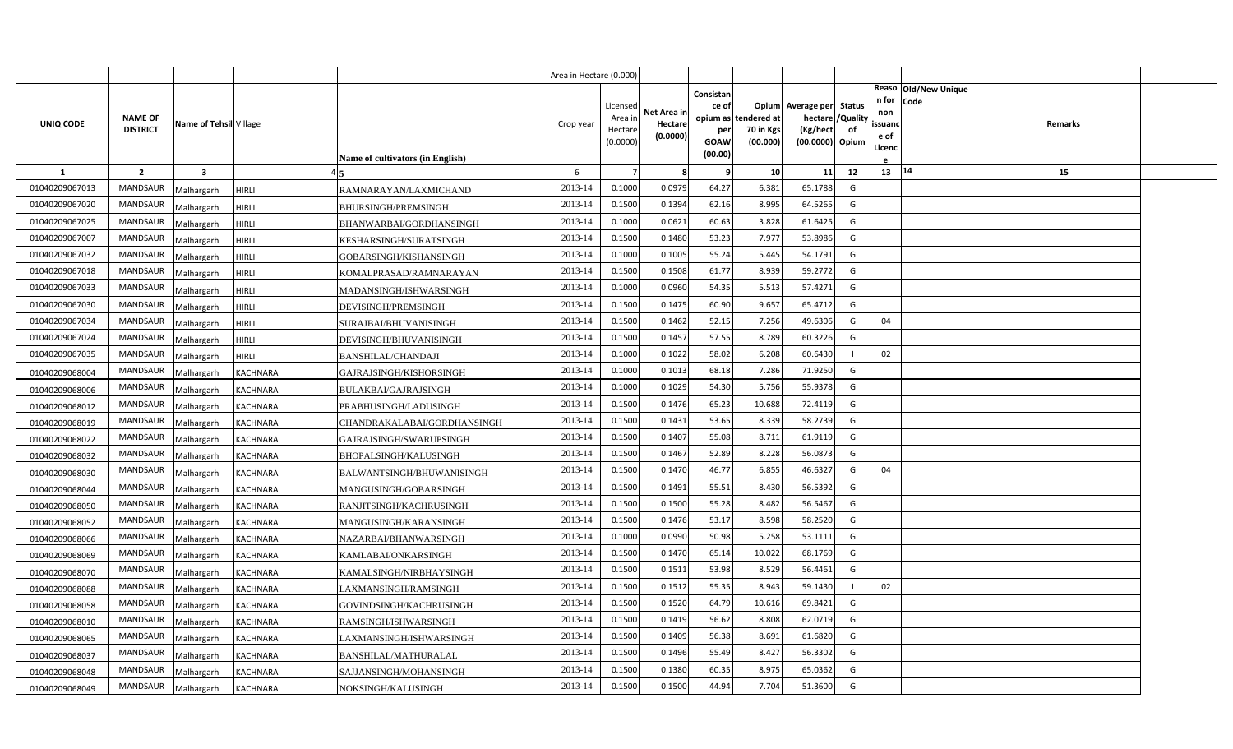|                |                                   |                         |                                                | Area in Hectare (0.000) |                                            |                                    |                                                     |                                               |                                                                    |                |                                          |                              |         |  |
|----------------|-----------------------------------|-------------------------|------------------------------------------------|-------------------------|--------------------------------------------|------------------------------------|-----------------------------------------------------|-----------------------------------------------|--------------------------------------------------------------------|----------------|------------------------------------------|------------------------------|---------|--|
| UNIQ CODE      | <b>NAME OF</b><br><b>DISTRICT</b> | Name of Tehsil Village  | <b>Name of cultivators (in English)</b>        | Crop year               | Licensed<br>Area in<br>Hectare<br>(0.0000) | Net Area in<br>Hectare<br>(0.0000) | Consistan<br>ce of<br>per<br><b>GOAW</b><br>(00.00) | opium as tendered at<br>70 in Kgs<br>(00.000) | Opium Average per Status<br>hectare<br>(Kg/hect<br>(00.0000) Opium | /Quality<br>of | n for<br>non<br>ssuanc<br>e of<br>Licenc | Reaso Old/New Unique<br>Code | Remarks |  |
| 1              | $\overline{2}$                    | $\overline{\mathbf{3}}$ |                                                | 6                       |                                            | 8                                  | 9                                                   | 10                                            | 11                                                                 | 12             | 13 14                                    |                              | 15      |  |
| 01040209067013 | <b>MANDSAUR</b>                   | Malhargarh              | <b>HIRLI</b><br>RAMNARAYAN/LAXMICHAND          | 2013-14                 | 0.1000                                     | 0.0979                             | 64.27                                               | 6.381                                         | 65.1788                                                            | G              |                                          |                              |         |  |
| 01040209067020 | <b>MANDSAUR</b>                   | Malhargarh              | <b>HIRLI</b><br><b>BHURSINGH/PREMSINGH</b>     | 2013-14                 | 0.1500                                     | 0.1394                             | 62.16                                               | 8.995                                         | 64.5265                                                            | G              |                                          |                              |         |  |
| 01040209067025 | <b>MANDSAUR</b>                   | Malhargarh              | <b>HIRLI</b><br>BHANWARBAI/GORDHANSINGH        | 2013-14                 | 0.1000                                     | 0.0621                             | 60.63                                               | 3.828                                         | 61.6425                                                            | G              |                                          |                              |         |  |
| 01040209067007 | <b>MANDSAUR</b>                   | Malhargarh              | HIRLI<br>KESHARSINGH/SURATSINGH                | 2013-14                 | 0.1500                                     | 0.1480                             | 53.23                                               | 7.977                                         | 53.8986                                                            | G              |                                          |                              |         |  |
| 01040209067032 | <b>MANDSAUR</b>                   | Malhargarh              | <b>HIRLI</b><br>GOBARSINGH/KISHANSINGH         | 2013-14                 | 0.1000                                     | 0.1005                             | 55.24                                               | 5.445                                         | 54.1791                                                            | G              |                                          |                              |         |  |
| 01040209067018 | <b>MANDSAUR</b>                   | Malhargarh              | <b>HIRLI</b><br>KOMALPRASAD/RAMNARAYAN         | 2013-14                 | 0.1500                                     | 0.1508                             | 61.77                                               | 8.939                                         | 59.2772                                                            | G              |                                          |                              |         |  |
| 01040209067033 | <b>MANDSAUR</b>                   | Malhargarh              | <b>HIRLI</b><br>MADANSINGH/ISHWARSINGH         | 2013-14                 | 0.1000                                     | 0.0960                             | 54.35                                               | 5.513                                         | 57.4271                                                            | G              |                                          |                              |         |  |
| 01040209067030 | <b>MANDSAUR</b>                   | Malhargarh              | <b>HIRLI</b><br>DEVISINGH/PREMSINGH            | 2013-14                 | 0.1500                                     | 0.1475                             | 60.90                                               | 9.657                                         | 65.4712                                                            | G              |                                          |                              |         |  |
| 01040209067034 | <b>MANDSAUR</b>                   | Malhargarh              | <b>HIRLI</b><br>SURAJBAI/BHUVANISINGH          | 2013-14                 | 0.1500                                     | 0.1462                             | 52.15                                               | 7.256                                         | 49.6306                                                            | G              | 04                                       |                              |         |  |
| 01040209067024 | <b>MANDSAUR</b>                   | Malhargarh              | <b>HIRLI</b><br>DEVISINGH/BHUVANISINGH         | 2013-14                 | 0.1500                                     | 0.1457                             | 57.55                                               | 8.789                                         | 60.3226                                                            | G              |                                          |                              |         |  |
| 01040209067035 | <b>MANDSAUR</b>                   | Malhargarh              | <b>HIRLI</b><br><b>BANSHILAL/CHANDAJI</b>      | 2013-14                 | 0.1000                                     | 0.1022                             | 58.02                                               | 6.208                                         | 60.6430                                                            |                | 02                                       |                              |         |  |
| 01040209068004 | <b>MANDSAUR</b>                   | Malhargarh              | <b>KACHNARA</b><br>GAJRAJSINGH/KISHORSINGH     | 2013-14                 | 0.1000                                     | 0.1013                             | 68.18                                               | 7.286                                         | 71.9250                                                            | G              |                                          |                              |         |  |
| 01040209068006 | <b>MANDSAUR</b>                   | Malhargarh              | KACHNARA<br>BULAKBAI/GAJRAJSINGH               | 2013-14                 | 0.1000                                     | 0.1029                             | 54.30                                               | 5.756                                         | 55.9378                                                            | G              |                                          |                              |         |  |
| 01040209068012 | <b>MANDSAUR</b>                   | Malhargarh              | PRABHUSINGH/LADUSINGH<br>KACHNARA              | 2013-14                 | 0.1500                                     | 0.1476                             | 65.23                                               | 10.688                                        | 72.4119                                                            | G              |                                          |                              |         |  |
| 01040209068019 | MANDSAUR                          | Malhargarh              | KACHNARA<br>CHANDRAKALABAI/GORDHANSINGH        | 2013-14                 | 0.1500                                     | 0.1431                             | 53.65                                               | 8.339                                         | 58.2739                                                            | G              |                                          |                              |         |  |
| 01040209068022 | <b>MANDSAUR</b>                   | Malhargarh              | GAJRAJSINGH/SWARUPSINGH<br>KACHNARA            | 2013-14                 | 0.1500                                     | 0.1407                             | 55.08                                               | 8.711                                         | 61.9119                                                            | G              |                                          |                              |         |  |
| 01040209068032 | <b>MANDSAUR</b>                   | Malhargarh              | KACHNARA<br>BHOPALSINGH/KALUSINGH              | 2013-14                 | 0.1500                                     | 0.1467                             | 52.89                                               | 8.228                                         | 56.0873                                                            | G              |                                          |                              |         |  |
| 01040209068030 | <b>MANDSAUR</b>                   | Malhargarh              | KACHNARA<br>BALWANTSINGH/BHUWANISINGH          | 2013-14                 | 0.1500                                     | 0.1470                             | 46.77                                               | 6.855                                         | 46.6327                                                            | G              | 04                                       |                              |         |  |
| 01040209068044 | <b>MANDSAUR</b>                   | Malhargarh              | KACHNARA<br>MANGUSINGH/GOBARSINGH              | 2013-14                 | 0.1500                                     | 0.1491                             | 55.51                                               | 8.430                                         | 56.5392                                                            | G              |                                          |                              |         |  |
| 01040209068050 | <b>MANDSAUR</b>                   | Malhargarh              | KACHNARA<br>RANJITSINGH/KACHRUSINGH            | 2013-14                 | 0.1500                                     | 0.1500                             | 55.28                                               | 8.482                                         | 56.5467                                                            | G              |                                          |                              |         |  |
| 01040209068052 | <b>MANDSAUR</b>                   | Malhargarh              | KACHNARA<br>MANGUSINGH/KARANSINGH              | 2013-14                 | 0.1500                                     | 0.1476                             | 53.17                                               | 8.598                                         | 58.2520                                                            | G              |                                          |                              |         |  |
| 01040209068066 | <b>MANDSAUR</b>                   | Malhargarh              | KACHNARA<br>NAZARBAI/BHANWARSINGH              | 2013-14                 | 0.1000                                     | 0.0990                             | 50.98                                               | 5.258                                         | 53.1111                                                            | G              |                                          |                              |         |  |
| 01040209068069 | <b>MANDSAUR</b>                   | Malhargarh              | KACHNARA<br>KAMLABAI/ONKARSINGH                | 2013-14                 | 0.1500                                     | 0.1470                             | 65.14                                               | 10.022                                        | 68.1769                                                            | G              |                                          |                              |         |  |
| 01040209068070 | <b>MANDSAUR</b>                   | Malhargarh              | KACHNARA<br>KAMALSINGH/NIRBHAYSINGH            | 2013-14                 | 0.1500                                     | 0.1511                             | 53.98                                               | 8.529                                         | 56.4461                                                            | G              |                                          |                              |         |  |
| 01040209068088 | <b>MANDSAUR</b>                   | Malhargarh              | KACHNARA<br>LAXMANSINGH/RAMSINGH               | 2013-14                 | 0.1500                                     | 0.1512                             | 55.35                                               | 8.943                                         | 59.1430                                                            |                | 02                                       |                              |         |  |
| 01040209068058 | <b>MANDSAUR</b>                   | Malhargarh              | KACHNARA<br>GOVINDSINGH/KACHRUSINGH            | 2013-14                 | 0.1500                                     | 0.1520                             | 64.79                                               | 10.616                                        | 69.8421                                                            | G              |                                          |                              |         |  |
| 01040209068010 | <b>MANDSAUR</b>                   | Malhargarh              | <b>KACHNARA</b><br>RAMSINGH/ISHWARSINGH        | 2013-14                 | 0.1500                                     | 0.1419                             | 56.62                                               | 8.808                                         | 62.0719                                                            | G              |                                          |                              |         |  |
| 01040209068065 | MANDSAUR                          | Malhargarh              | KACHNARA<br>LAXMANSINGH/ISHWARSINGH            | 2013-14                 | 0.1500                                     | 0.1409                             | 56.38                                               | 8.691                                         | 61.6820                                                            | G              |                                          |                              |         |  |
| 01040209068037 | <b>MANDSAUR</b>                   | Malhargarh              | <b>KACHNARA</b><br><b>BANSHILAL/MATHURALAL</b> | 2013-14                 | 0.1500                                     | 0.1496                             | 55.49                                               | 8.427                                         | 56.3302                                                            | G              |                                          |                              |         |  |
| 01040209068048 | <b>MANDSAUR</b>                   | Malhargarh              | <b>KACHNARA</b><br>SAJJANSINGH/MOHANSINGH      | 2013-14                 | 0.1500                                     | 0.1380                             | 60.35                                               | 8.975                                         | 65.0362                                                            | G              |                                          |                              |         |  |
| 01040209068049 | MANDSAUR                          | Malhargarh              | <b>KACHNARA</b><br>NOKSINGH/KALUSINGH          | 2013-14                 | 0.1500                                     | 0.1500                             | 44.94                                               | 7.704                                         | 51.3600                                                            | G              |                                          |                              |         |  |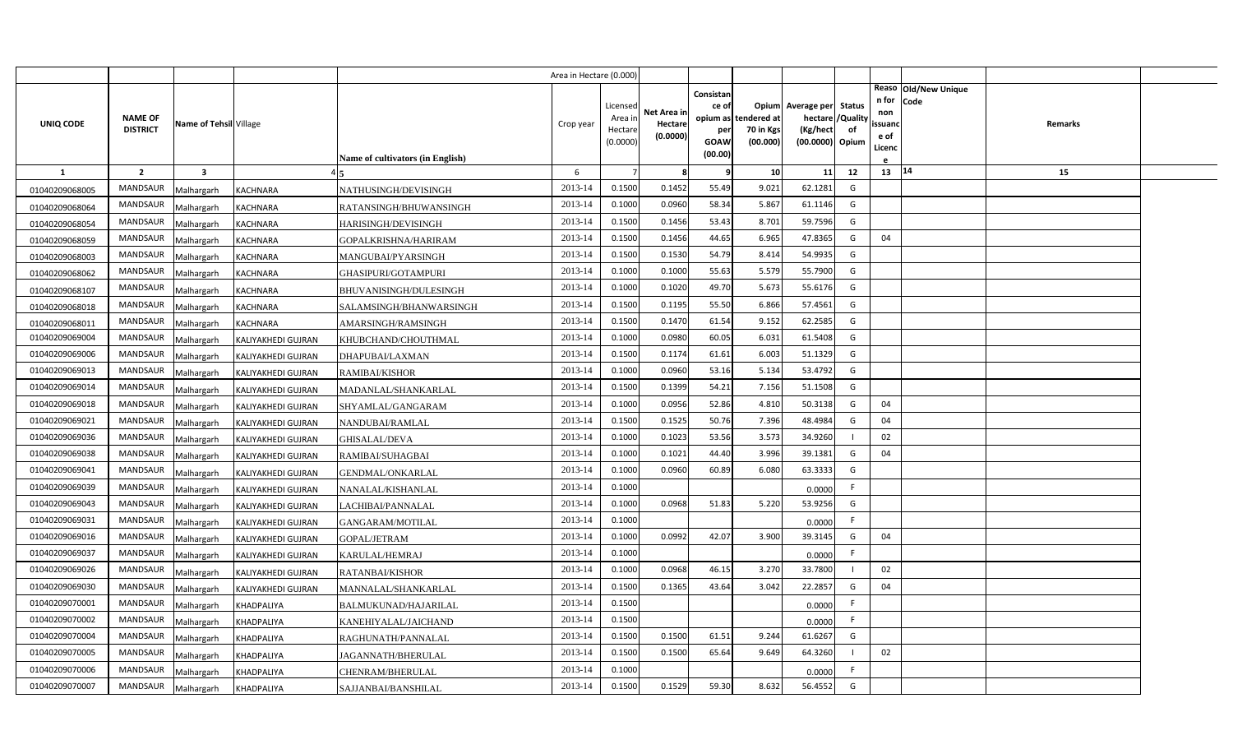|                |                 |                         |                    |                                         | Area in Hectare (0.000) |                    |                        |                    |                       |                             |              |               |                              |         |  |
|----------------|-----------------|-------------------------|--------------------|-----------------------------------------|-------------------------|--------------------|------------------------|--------------------|-----------------------|-----------------------------|--------------|---------------|------------------------------|---------|--|
|                |                 |                         |                    |                                         |                         | Licensed           |                        | Consistan<br>ce of |                       | Opium Average per Status    |              | n for         | Reaso Old/New Unique<br>Code |         |  |
| UNIQ CODE      | <b>NAME OF</b>  | Name of Tehsil Village  |                    |                                         | Crop year               | Area ir            | Net Area ir<br>Hectare | opium as           | tendered at           | hectare                     | /Quality     | non<br>ssuand |                              | Remarks |  |
|                | <b>DISTRICT</b> |                         |                    |                                         |                         | Hectar<br>(0.0000) | (0.0000)               | per<br>GOAW        | 70 in Kgs<br>(00.000) | (Kg/hect<br>(00.0000) Opium | of           | e of          |                              |         |  |
|                |                 |                         |                    | <b>Name of cultivators (in English)</b> |                         |                    |                        | (00.00)            |                       |                             |              | Licenc        |                              |         |  |
| $\mathbf{1}$   | $\overline{2}$  | $\overline{\mathbf{3}}$ |                    |                                         | 6                       |                    | 8                      | 9                  | 10                    | 11                          | 12           | 13 14         |                              | 15      |  |
| 01040209068005 | <b>MANDSAUR</b> | Malhargarh              | <b>KACHNARA</b>    | NATHUSINGH/DEVISINGH                    | 2013-14                 | 0.1500             | 0.1452                 | 55.49              | 9.021                 | 62.1281                     | G            |               |                              |         |  |
| 01040209068064 | MANDSAUR        | Malhargarh              | KACHNARA           | RATANSINGH/BHUWANSINGH                  | 2013-14                 | 0.1000             | 0.0960                 | 58.34              | 5.867                 | 61.1146                     | G            |               |                              |         |  |
| 01040209068054 | <b>MANDSAUR</b> | Malhargarh              | KACHNARA           | <b>HARISINGH/DEVISINGH</b>              | 2013-14                 | 0.1500             | 0.1456                 | 53.43              | 8.701                 | 59.7596                     | G            |               |                              |         |  |
| 01040209068059 | <b>MANDSAUR</b> | Malhargarh              | KACHNARA           | GOPALKRISHNA/HARIRAM                    | 2013-14                 | 0.1500             | 0.1456                 | 44.65              | 6.965                 | 47.8365                     | G            | 04            |                              |         |  |
| 01040209068003 | MANDSAUR        | Malhargarh              | KACHNARA           | MANGUBAI/PYARSINGH                      | 2013-14                 | 0.1500             | 0.1530                 | 54.79              | 8.414                 | 54.9935                     | G            |               |                              |         |  |
| 01040209068062 | <b>MANDSAUR</b> | Malhargarh              | KACHNARA           | GHASIPURI/GOTAMPURI                     | 2013-14                 | 0.1000             | 0.1000                 | 55.63              | 5.579                 | 55.7900                     | G            |               |                              |         |  |
| 01040209068107 | MANDSAUR        | Malhargarh              | KACHNARA           | <b>BHUVANISINGH/DULESINGH</b>           | 2013-14                 | 0.1000             | 0.1020                 | 49.70              | 5.673                 | 55.6176                     | G            |               |                              |         |  |
| 01040209068018 | <b>MANDSAUR</b> | Malhargarh              | KACHNARA           | SALAMSINGH/BHANWARSINGH                 | 2013-14                 | 0.1500             | 0.1195                 | 55.50              | 6.866                 | 57.4561                     | G            |               |                              |         |  |
| 01040209068011 | MANDSAUR        | Malhargarh              | KACHNARA           | AMARSINGH/RAMSINGH                      | 2013-14                 | 0.1500             | 0.1470                 | 61.54              | 9.152                 | 62.2585                     | G            |               |                              |         |  |
| 01040209069004 | MANDSAUR        | Malhargarh              | KALIYAKHEDI GUJRAN | KHUBCHAND/CHOUTHMAL                     | 2013-14                 | 0.1000             | 0.0980                 | 60.05              | 6.031                 | 61.5408                     | G            |               |                              |         |  |
| 01040209069006 | <b>MANDSAUR</b> | Malhargarh              | KALIYAKHEDI GUJRAN | DHAPUBAI/LAXMAN                         | 2013-14                 | 0.1500             | 0.1174                 | 61.61              | 6.003                 | 51.1329                     | G            |               |                              |         |  |
| 01040209069013 | <b>MANDSAUR</b> | Malhargarh              | KALIYAKHEDI GUJRAN | RAMIBAI/KISHOR                          | 2013-14                 | 0.1000             | 0.0960                 | 53.16              | 5.134                 | 53.4792                     | G            |               |                              |         |  |
| 01040209069014 | <b>MANDSAUR</b> | Malhargarh              | KALIYAKHEDI GUJRAN | MADANLAL/SHANKARLAL                     | 2013-14                 | 0.1500             | 0.1399                 | 54.21              | 7.156                 | 51.1508                     | G            |               |                              |         |  |
| 01040209069018 | <b>MANDSAUR</b> | Malhargarh              | KALIYAKHEDI GUJRAN | SHYAMLAL/GANGARAM                       | 2013-14                 | 0.1000             | 0.0956                 | 52.86              | 4.810                 | 50.3138                     | G            | 04            |                              |         |  |
| 01040209069021 | <b>MANDSAUR</b> | Malhargarh              | KALIYAKHEDI GUJRAN | NANDUBAI/RAMLAL                         | 2013-14                 | 0.1500             | 0.1525                 | 50.76              | 7.396                 | 48.4984                     | G            | 04            |                              |         |  |
| 01040209069036 | <b>MANDSAUR</b> | Malhargarh              | KALIYAKHEDI GUJRAN | GHISALAL/DEVA                           | 2013-14                 | 0.1000             | 0.1023                 | 53.56              | 3.573                 | 34.9260                     |              | 02            |                              |         |  |
| 01040209069038 | MANDSAUR        | Malhargarh              | KALIYAKHEDI GUJRAN | RAMIBAI/SUHAGBAI                        | 2013-14                 | 0.1000             | 0.1021                 | 44.40              | 3.996                 | 39.1381                     | G            | 04            |                              |         |  |
| 01040209069041 | MANDSAUR        | Malhargarh              | KALIYAKHEDI GUJRAN | GENDMAL/ONKARLAL                        | 2013-14                 | 0.1000             | 0.0960                 | 60.89              | 6.080                 | 63.3333                     | G            |               |                              |         |  |
| 01040209069039 | MANDSAUR        | Malhargarh              | KALIYAKHEDI GUJRAN | NANALAL/KISHANLAL                       | 2013-14                 | 0.1000             |                        |                    |                       | 0.0000                      | F.           |               |                              |         |  |
| 01040209069043 | MANDSAUR        | Malhargarh              | KALIYAKHEDI GUJRAN | LACHIBAI/PANNALAL                       | 2013-14                 | 0.1000             | 0.0968                 | 51.83              | 5.220                 | 53.9256                     | G            |               |                              |         |  |
| 01040209069031 | MANDSAUR        | Malhargarh              | KALIYAKHEDI GUJRAN | GANGARAM/MOTILAL                        | 2013-14                 | 0.1000             |                        |                    |                       | 0.0000                      | F.           |               |                              |         |  |
| 01040209069016 | MANDSAUR        | Malhargarh              | KALIYAKHEDI GUJRAN | GOPAL/JETRAM                            | 2013-14                 | 0.1000             | 0.0992                 | 42.07              | 3.900                 | 39.3145                     | G            | 04            |                              |         |  |
| 01040209069037 | MANDSAUR        | Malhargarh              | KALIYAKHEDI GUJRAN | KARULAL/HEMRAJ                          | 2013-14                 | 0.1000             |                        |                    |                       | 0.0000                      | F.           |               |                              |         |  |
| 01040209069026 | MANDSAUR        | Malhargarh              | KALIYAKHEDI GUJRAN | RATANBAI/KISHOR                         | 2013-14                 | 0.1000             | 0.0968                 | 46.15              | 3.270                 | 33.7800                     |              | 02            |                              |         |  |
| 01040209069030 | MANDSAUR        | Malhargarh              | KALIYAKHEDI GUJRAN | MANNALAL/SHANKARLAL                     | 2013-14                 | 0.1500             | 0.1365                 | 43.64              | 3.042                 | 22.2857                     | G            | 04            |                              |         |  |
| 01040209070001 | MANDSAUR        | Malhargarh              | KHADPALIYA         | BALMUKUNAD/HAJARILAL                    | 2013-14                 | 0.1500             |                        |                    |                       | 0.0000                      | F.           |               |                              |         |  |
| 01040209070002 | MANDSAUR        | Malhargarh              | KHADPALIYA         | KANEHIYALAL/JAICHAND                    | 2013-14                 | 0.1500             |                        |                    |                       | 0.0000                      | F            |               |                              |         |  |
| 01040209070004 | MANDSAUR        | Malhargarh              | KHADPALIYA         | RAGHUNATH/PANNALAL                      | 2013-14                 | 0.1500             | 0.1500                 | 61.51              | 9.244                 | 61.6267                     | G            |               |                              |         |  |
| 01040209070005 | MANDSAUR        | Malhargarh              | KHADPALIYA         | <b>JAGANNATH/BHERULAL</b>               | 2013-14                 | 0.1500             | 0.1500                 | 65.64              | 9.649                 | 64.3260                     | $\mathbf{I}$ | 02            |                              |         |  |
| 01040209070006 | MANDSAUR        | Malhargarh              | KHADPALIYA         | CHENRAM/BHERULAL                        | 2013-14                 | 0.1000             |                        |                    |                       | 0.0000                      | F.           |               |                              |         |  |
| 01040209070007 | MANDSAUR        | Malhargarh              | KHADPALIYA         | SAJJANBAI/BANSHILAL                     | 2013-14                 | 0.1500             | 0.1529                 | 59.30              | 8.632                 | 56.4552                     | G            |               |                              |         |  |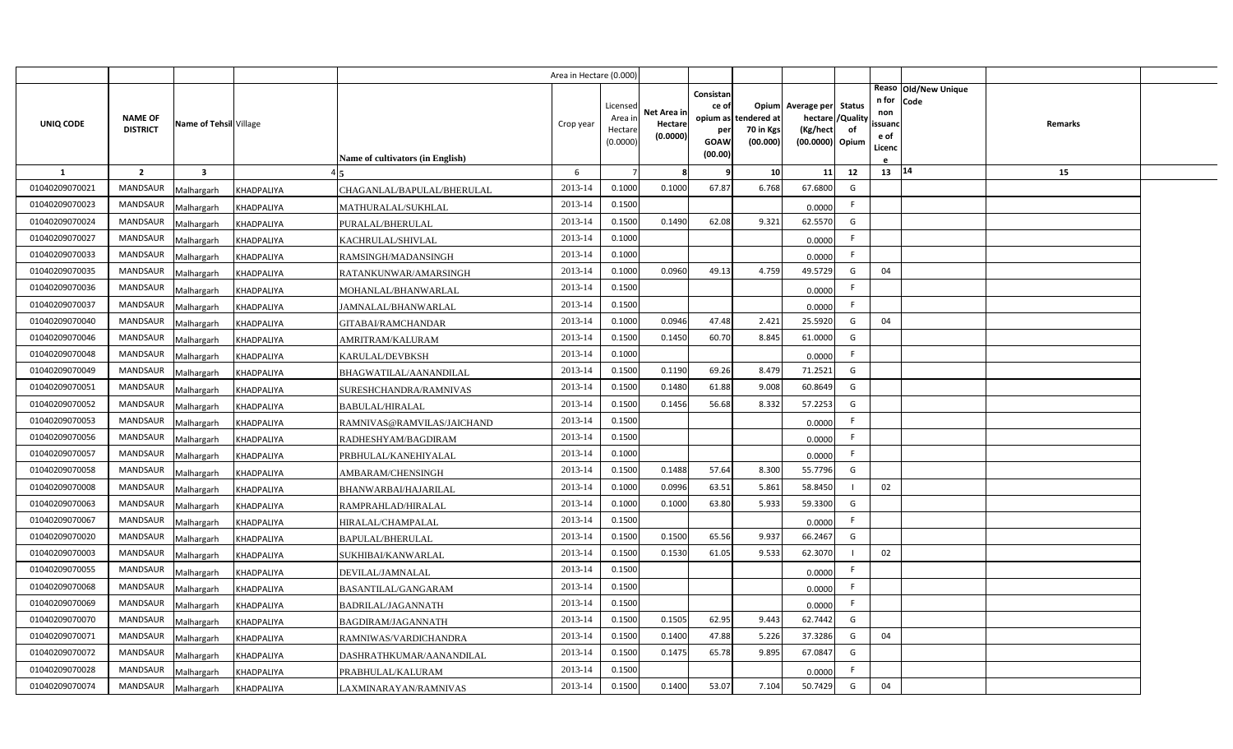|                |                                   |                         |            |                                         | Area in Hectare (0.000) |                                           |                                    |                                                          |                                      |                                                                    |                |                                          |                              |         |  |
|----------------|-----------------------------------|-------------------------|------------|-----------------------------------------|-------------------------|-------------------------------------------|------------------------------------|----------------------------------------------------------|--------------------------------------|--------------------------------------------------------------------|----------------|------------------------------------------|------------------------------|---------|--|
| UNIQ CODE      | <b>NAME OF</b><br><b>DISTRICT</b> | Name of Tehsil Village  |            | <b>Name of cultivators (in English)</b> | Crop year               | Licensed<br>Area ir<br>Hectar<br>(0.0000) | Net Area ir<br>Hectare<br>(0.0000) | Consistan<br>ce of<br>opium as<br>per<br>GOAW<br>(00.00) | tendered at<br>70 in Kgs<br>(00.000) | Opium Average per Status<br>hectare<br>(Kg/hect<br>(00.0000) Opium | /Quality<br>of | n for<br>non<br>ssuand<br>e of<br>Licenc | Reaso Old/New Unique<br>Code | Remarks |  |
| 1              | $\overline{2}$                    | $\overline{\mathbf{3}}$ |            |                                         | 6                       |                                           | 8                                  | q                                                        | 10                                   | 11                                                                 | 12             | $13 \mid 14$                             |                              | 15      |  |
| 01040209070021 | MANDSAUR                          | Malhargarh              | KHADPALIYA | CHAGANLAL/BAPULAL/BHERULAL              | 2013-14                 | 0.1000                                    | 0.1000                             | 67.87                                                    | 6.768                                | 67.6800                                                            | G              |                                          |                              |         |  |
| 01040209070023 | <b>MANDSAUR</b>                   | Malhargarh              | KHADPALIYA | MATHURALAL/SUKHLAL                      | 2013-14                 | 0.1500                                    |                                    |                                                          |                                      | 0.0000                                                             | F.             |                                          |                              |         |  |
| 01040209070024 | MANDSAUR                          | Malhargarh              | KHADPALIYA | PURALAL/BHERULAL                        | 2013-14                 | 0.1500                                    | 0.1490                             | 62.08                                                    | 9.321                                | 62.5570                                                            | G              |                                          |                              |         |  |
| 01040209070027 | <b>MANDSAUR</b>                   | Malhargarh              | KHADPALIYA | KACHRULAL/SHIVLAL                       | 2013-14                 | 0.1000                                    |                                    |                                                          |                                      | 0.0000                                                             | F.             |                                          |                              |         |  |
| 01040209070033 | MANDSAUR                          | Malhargarh              | KHADPALIYA | RAMSINGH/MADANSINGH                     | 2013-14                 | 0.1000                                    |                                    |                                                          |                                      | 0.0000                                                             | F.             |                                          |                              |         |  |
| 01040209070035 | MANDSAUR                          | Malhargarh              | KHADPALIYA | RATANKUNWAR/AMARSINGH                   | 2013-14                 | 0.1000                                    | 0.0960                             | 49.13                                                    | 4.759                                | 49.5729                                                            | G              | 04                                       |                              |         |  |
| 01040209070036 | MANDSAUR                          | Malhargarh              | KHADPALIYA | MOHANLAL/BHANWARLAL                     | 2013-14                 | 0.1500                                    |                                    |                                                          |                                      | 0.0000                                                             | F.             |                                          |                              |         |  |
| 01040209070037 | MANDSAUR                          | Malhargarh              | KHADPALIYA | JAMNALAL/BHANWARLAL                     | 2013-14                 | 0.1500                                    |                                    |                                                          |                                      | 0.0000                                                             | F.             |                                          |                              |         |  |
| 01040209070040 | <b>MANDSAUR</b>                   | Malhargarh              | KHADPALIYA | GITABAI/RAMCHANDAR                      | 2013-14                 | 0.1000                                    | 0.0946                             | 47.48                                                    | 2.421                                | 25.5920                                                            | G              | 04                                       |                              |         |  |
| 01040209070046 | <b>MANDSAUR</b>                   | Malhargarh              | KHADPALIYA | AMRITRAM/KALURAM                        | 2013-14                 | 0.1500                                    | 0.1450                             | 60.70                                                    | 8.845                                | 61.0000                                                            | G              |                                          |                              |         |  |
| 01040209070048 | MANDSAUR                          | Malhargarh              | KHADPALIYA | KARULAL/DEVBKSH                         | 2013-14                 | 0.1000                                    |                                    |                                                          |                                      | 0.0000                                                             | F.             |                                          |                              |         |  |
| 01040209070049 | <b>MANDSAUR</b>                   | Malhargarh              | KHADPALIYA | BHAGWATILAL/AANANDILAL                  | 2013-14                 | 0.1500                                    | 0.1190                             | 69.26                                                    | 8.479                                | 71.2521                                                            | G              |                                          |                              |         |  |
| 01040209070051 | MANDSAUR                          | Malhargarh              | KHADPALIYA | SURESHCHANDRA/RAMNIVAS                  | 2013-14                 | 0.1500                                    | 0.1480                             | 61.88                                                    | 9.008                                | 60.8649                                                            | G              |                                          |                              |         |  |
| 01040209070052 | <b>MANDSAUR</b>                   | Malhargarh              | KHADPALIYA | <b>BABULAL/HIRALAL</b>                  | 2013-14                 | 0.1500                                    | 0.1456                             | 56.68                                                    | 8.332                                | 57.2253                                                            | G              |                                          |                              |         |  |
| 01040209070053 | MANDSAUR                          | Malhargarh              | KHADPALIYA | RAMNIVAS@RAMVILAS/JAICHAND              | 2013-14                 | 0.1500                                    |                                    |                                                          |                                      | 0.0000                                                             | F.             |                                          |                              |         |  |
| 01040209070056 | MANDSAUR                          | Malhargarh              | KHADPALIYA | RADHESHYAM/BAGDIRAM                     | 2013-14                 | 0.1500                                    |                                    |                                                          |                                      | 0.0000                                                             | F.             |                                          |                              |         |  |
| 01040209070057 | MANDSAUR                          | Malhargarh              | KHADPALIYA | PRBHULAL/KANEHIYALAL                    | 2013-14                 | 0.1000                                    |                                    |                                                          |                                      | 0.0000                                                             | F.             |                                          |                              |         |  |
| 01040209070058 | MANDSAUR                          | Malhargarh              | KHADPALIYA | AMBARAM/CHENSINGH                       | 2013-14                 | 0.1500                                    | 0.1488                             | 57.64                                                    | 8.300                                | 55.7796                                                            | G              |                                          |                              |         |  |
| 01040209070008 | MANDSAUR                          | Malhargarh              | KHADPALIYA | BHANWARBAI/HAJARILAL                    | 2013-14                 | 0.1000                                    | 0.0996                             | 63.51                                                    | 5.861                                | 58.8450                                                            |                | 02                                       |                              |         |  |
| 01040209070063 | MANDSAUR                          | Malhargarh              | KHADPALIYA | RAMPRAHLAD/HIRALAL                      | 2013-14                 | 0.1000                                    | 0.1000                             | 63.80                                                    | 5.933                                | 59.3300                                                            | G              |                                          |                              |         |  |
| 01040209070067 | MANDSAUR                          | Malhargarh              | KHADPALIYA | HIRALAL/CHAMPALAL                       | 2013-14                 | 0.1500                                    |                                    |                                                          |                                      | 0.0000                                                             | F.             |                                          |                              |         |  |
| 01040209070020 | <b>MANDSAUR</b>                   | Malhargarh              | KHADPALIYA | BAPULAL/BHERULAL                        | 2013-14                 | 0.1500                                    | 0.1500                             | 65.56                                                    | 9.937                                | 66.2467                                                            | G              |                                          |                              |         |  |
| 01040209070003 | MANDSAUR                          | Malhargarh              | KHADPALIYA | SUKHIBAI/KANWARLAL                      | 2013-14                 | 0.1500                                    | 0.1530                             | 61.05                                                    | 9.533                                | 62.3070                                                            |                | 02                                       |                              |         |  |
| 01040209070055 | MANDSAUR                          | Malhargarh              | KHADPALIYA | DEVILAL/JAMNALAL                        | 2013-14                 | 0.1500                                    |                                    |                                                          |                                      | 0.0000                                                             | F.             |                                          |                              |         |  |
| 01040209070068 | MANDSAUR                          | Malhargarh              | KHADPALIYA | BASANTILAL/GANGARAM                     | 2013-14                 | 0.1500                                    |                                    |                                                          |                                      | 0.0000                                                             | F.             |                                          |                              |         |  |
| 01040209070069 | MANDSAUR                          | Malhargarh              | KHADPALIYA | <b>BADRILAL/JAGANNATH</b>               | 2013-14                 | 0.1500                                    |                                    |                                                          |                                      | 0.0000                                                             | F.             |                                          |                              |         |  |
| 01040209070070 | MANDSAUR                          | Malhargarh              | KHADPALIYA | BAGDIRAM/JAGANNATH                      | 2013-14                 | 0.1500                                    | 0.1505                             | 62.95                                                    | 9.443                                | 62.7442                                                            | G              |                                          |                              |         |  |
| 01040209070071 | MANDSAUR                          | Malhargarh              | KHADPALIYA | RAMNIWAS/VARDICHANDRA                   | 2013-14                 | 0.1500                                    | 0.1400                             | 47.88                                                    | 5.226                                | 37.3286                                                            | G              | 04                                       |                              |         |  |
| 01040209070072 | MANDSAUR                          | Malhargarh              | KHADPALIYA | DASHRATHKUMAR/AANANDILAL                | 2013-14                 | 0.1500                                    | 0.1475                             | 65.78                                                    | 9.895                                | 67.0847                                                            | G              |                                          |                              |         |  |
| 01040209070028 | MANDSAUR                          | Malhargarh              | KHADPALIYA | PRABHULAL/KALURAM                       | 2013-14                 | 0.1500                                    |                                    |                                                          |                                      | 0.0000                                                             | F.             |                                          |                              |         |  |
| 01040209070074 | <b>MANDSAUR</b>                   | Malhargarh              | KHADPALIYA | LAXMINARAYAN/RAMNIVAS                   | 2013-14                 | 0.1500                                    | 0.1400                             | 53.07                                                    | 7.104                                | 50.7429                                                            | G              | 04                                       |                              |         |  |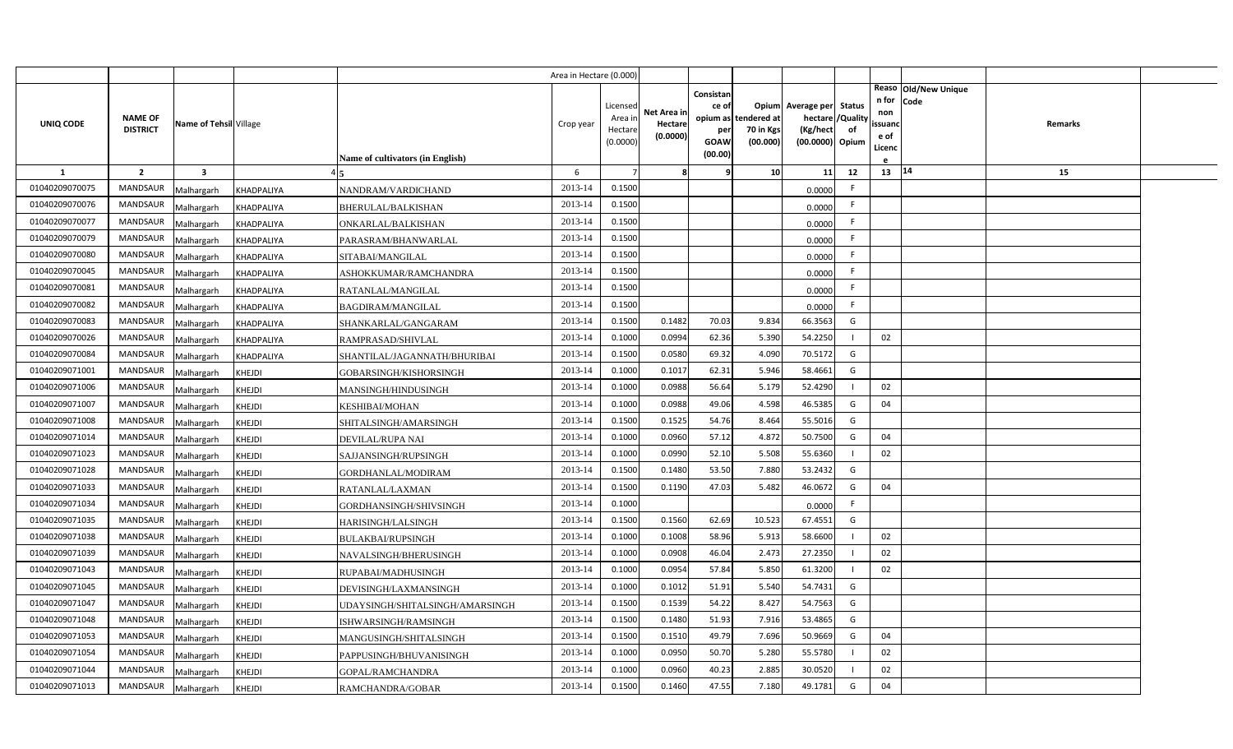|                |                                   |                         |               |                                  | Area in Hectare (0.000 |                                            |                                    |                                              |                                               |                                                                      |                |                                          |                              |                |  |
|----------------|-----------------------------------|-------------------------|---------------|----------------------------------|------------------------|--------------------------------------------|------------------------------------|----------------------------------------------|-----------------------------------------------|----------------------------------------------------------------------|----------------|------------------------------------------|------------------------------|----------------|--|
| UNIQ CODE      | <b>NAME OF</b><br><b>DISTRICT</b> | Name of Tehsil Village  |               | Name of cultivators (in English) | Crop year              | Licensed<br>Area in<br>Hectare<br>(0.0000) | Net Area in<br>Hectare<br>(0.0000) | Consistan<br>ce of<br>per<br>GOAW<br>(00.00) | opium as tendered at<br>70 in Kgs<br>(00.000) | Opium Average per Status<br>hectare /<br>(Kg/hect<br>(00.0000) Opium | /Quality<br>of | n for<br>non<br>ssuanc<br>e of<br>Licenc | Reaso Old/New Unique<br>Code | <b>Remarks</b> |  |
| <b>1</b>       | $\overline{2}$                    | $\overline{\mathbf{3}}$ |               |                                  | 6                      |                                            | -8                                 |                                              | 10                                            | 11                                                                   | 12             | 13   14                                  |                              | 15             |  |
| 01040209070075 | <b>MANDSAUR</b>                   | Malhargarh              | KHADPALIYA    | NANDRAM/VARDICHAND               | 2013-14                | 0.1500                                     |                                    |                                              |                                               | 0.0000                                                               | F.             |                                          |                              |                |  |
| 01040209070076 | <b>MANDSAUR</b>                   | Malhargarh              | KHADPALIYA    | BHERULAL/BALKISHAN               | 2013-14                | 0.1500                                     |                                    |                                              |                                               | 0.0000                                                               | F.             |                                          |                              |                |  |
| 01040209070077 | <b>MANDSAUR</b>                   | Malhargarh              | KHADPALIYA    | ONKARLAL/BALKISHAN               | 2013-14                | 0.1500                                     |                                    |                                              |                                               | 0.0000                                                               | F.             |                                          |                              |                |  |
| 01040209070079 | <b>MANDSAUR</b>                   | Malhargarh              | KHADPALIYA    | PARASRAM/BHANWARLAL              | 2013-14                | 0.1500                                     |                                    |                                              |                                               | 0.0000                                                               | F.             |                                          |                              |                |  |
| 01040209070080 | <b>MANDSAUR</b>                   | Malhargarh              | KHADPALIYA    | SITABAI/MANGILAL                 | 2013-14                | 0.1500                                     |                                    |                                              |                                               | 0.0000                                                               | F.             |                                          |                              |                |  |
| 01040209070045 | <b>MANDSAUR</b>                   | Malhargarh              | KHADPALIYA    | ASHOKKUMAR/RAMCHANDRA            | 2013-14                | 0.1500                                     |                                    |                                              |                                               | 0.0000                                                               | F              |                                          |                              |                |  |
| 01040209070081 | <b>MANDSAUR</b>                   | Malhargarh              | KHADPALIYA    | RATANLAL/MANGILAL                | 2013-14                | 0.1500                                     |                                    |                                              |                                               | 0.0000                                                               | F              |                                          |                              |                |  |
| 01040209070082 | <b>MANDSAUR</b>                   | Malhargarh              | KHADPALIYA    | <b>BAGDIRAM/MANGILAL</b>         | 2013-14                | 0.1500                                     |                                    |                                              |                                               | 0.0000                                                               | F              |                                          |                              |                |  |
| 01040209070083 | <b>MANDSAUR</b>                   | Malhargarh              | KHADPALIYA    | SHANKARLAL/GANGARAM              | 2013-14                | 0.1500                                     | 0.1482                             | 70.03                                        | 9.834                                         | 66.3563                                                              | G              |                                          |                              |                |  |
| 01040209070026 | <b>MANDSAUR</b>                   | Malhargarh              | KHADPALIYA    | RAMPRASAD/SHIVLAL                | 2013-14                | 0.1000                                     | 0.0994                             | 62.36                                        | 5.390                                         | 54.2250                                                              |                | 02                                       |                              |                |  |
| 01040209070084 | <b>MANDSAUR</b>                   | Malhargarh              | KHADPALIYA    | SHANTILAL/JAGANNATH/BHURIBAI     | 2013-14                | 0.1500                                     | 0.0580                             | 69.32                                        | 4.090                                         | 70.5172                                                              | G              |                                          |                              |                |  |
| 01040209071001 | MANDSAUR                          | Malhargarh              | KHEJDI        | GOBARSINGH/KISHORSINGH           | 2013-14                | 0.1000                                     | 0.1017                             | 62.31                                        | 5.946                                         | 58.4661                                                              | G              |                                          |                              |                |  |
| 01040209071006 | <b>MANDSAUR</b>                   | Malhargarh              | KHEJDI        | MANSINGH/HINDUSINGH              | 2013-14                | 0.1000                                     | 0.0988                             | 56.64                                        | 5.179                                         | 52.4290                                                              |                | 02                                       |                              |                |  |
| 01040209071007 | MANDSAUR                          | Malhargarh              | KHEJDI        | <b>KESHIBAI/MOHAN</b>            | 2013-14                | 0.1000                                     | 0.0988                             | 49.06                                        | 4.598                                         | 46.5385                                                              | G              | 04                                       |                              |                |  |
| 01040209071008 | <b>MANDSAUR</b>                   | Malhargarh              | KHEJDI        | SHITALSINGH/AMARSINGH            | 2013-14                | 0.1500                                     | 0.1525                             | 54.76                                        | 8.464                                         | 55.5016                                                              | G              |                                          |                              |                |  |
| 01040209071014 | MANDSAUR                          | Malhargarh              | KHEJDI        | <b>DEVILAL/RUPA NAI</b>          | 2013-14                | 0.1000                                     | 0.0960                             | 57.12                                        | 4.872                                         | 50.7500                                                              | G              | 04                                       |                              |                |  |
| 01040209071023 | MANDSAUR                          | Malhargarh              | KHEJDI        | SAJJANSINGH/RUPSINGH             | 2013-14                | 0.1000                                     | 0.0990                             | 52.10                                        | 5.508                                         | 55.6360                                                              |                | 02                                       |                              |                |  |
| 01040209071028 | <b>MANDSAUR</b>                   | Malhargarh              | KHEJDI        | GORDHANLAL/MODIRAM               | 2013-14                | 0.1500                                     | 0.1480                             | 53.50                                        | 7.880                                         | 53.2432                                                              | G              |                                          |                              |                |  |
| 01040209071033 | <b>MANDSAUR</b>                   | Malhargarh              | KHEJDI        | RATANLAL/LAXMAN                  | 2013-14                | 0.1500                                     | 0.1190                             | 47.03                                        | 5.482                                         | 46.0672                                                              | G              | 04                                       |                              |                |  |
| 01040209071034 | <b>MANDSAUR</b>                   | Malhargarh              | KHEJDI        | GORDHANSINGH/SHIVSINGH           | 2013-14                | 0.1000                                     |                                    |                                              |                                               | 0.0000                                                               | F              |                                          |                              |                |  |
| 01040209071035 | <b>MANDSAUR</b>                   | Malhargarh              | KHEJDI        | <b>HARISINGH/LALSINGH</b>        | 2013-14                | 0.1500                                     | 0.1560                             | 62.69                                        | 10.523                                        | 67.4551                                                              | G              |                                          |                              |                |  |
| 01040209071038 | <b>MANDSAUR</b>                   | Malhargarh              | KHEJDI        | BULAKBAI/RUPSINGH                | 2013-14                | 0.1000                                     | 0.1008                             | 58.96                                        | 5.913                                         | 58.6600                                                              |                | 02                                       |                              |                |  |
| 01040209071039 | <b>MANDSAUR</b>                   | Malhargarh              | KHEJDI        | NAVALSINGH/BHERUSINGH            | 2013-14                | 0.1000                                     | 0.0908                             | 46.04                                        | 2.473                                         | 27.2350                                                              |                | 02                                       |                              |                |  |
| 01040209071043 | <b>MANDSAUR</b>                   | Malhargarh              | KHEJDI        | RUPABAI/MADHUSINGH               | 2013-14                | 0.1000                                     | 0.0954                             | 57.84                                        | 5.850                                         | 61.3200                                                              |                | 02                                       |                              |                |  |
| 01040209071045 | <b>MANDSAUR</b>                   | Malhargarh              | KHEJDI        | DEVISINGH/LAXMANSINGH            | 2013-14                | 0.1000                                     | 0.1012                             | 51.91                                        | 5.540                                         | 54.7431                                                              | G              |                                          |                              |                |  |
| 01040209071047 | <b>MANDSAUR</b>                   | Malhargarh              | <b>KHEJDI</b> | UDAYSINGH/SHITALSINGH/AMARSINGH  | 2013-14                | 0.1500                                     | 0.1539                             | 54.22                                        | 8.427                                         | 54.7563                                                              | G              |                                          |                              |                |  |
| 01040209071048 | <b>MANDSAUR</b>                   | Malhargarh              | KHEJDI        | ISHWARSINGH/RAMSINGH             | 2013-14                | 0.1500                                     | 0.1480                             | 51.93                                        | 7.916                                         | 53.4865                                                              | G              |                                          |                              |                |  |
| 01040209071053 | MANDSAUR                          | Malhargarh              | KHEJDI        | MANGUSINGH/SHITALSINGH           | 2013-14                | 0.1500                                     | 0.1510                             | 49.79                                        | 7.696                                         | 50.9669                                                              | G              | 04                                       |                              |                |  |
| 01040209071054 | <b>MANDSAUR</b>                   | Malhargarh              | KHEJDI        | PAPPUSINGH/BHUVANISINGH          | 2013-14                | 0.1000                                     | 0.0950                             | 50.70                                        | 5.280                                         | 55.5780                                                              |                | 02                                       |                              |                |  |
| 01040209071044 | <b>MANDSAUR</b>                   | Malhargarh              | KHEJDI        | GOPAL/RAMCHANDRA                 | 2013-14                | 0.1000                                     | 0.0960                             | 40.23                                        | 2.885                                         | 30.0520                                                              |                | 02                                       |                              |                |  |
| 01040209071013 | MANDSAUR                          | Malhargarh              | KHEJDI        | RAMCHANDRA/GOBAR                 | 2013-14                | 0.1500                                     | 0.1460                             | 47.55                                        | 7.180                                         | 49.1781                                                              | G              | 04                                       |                              |                |  |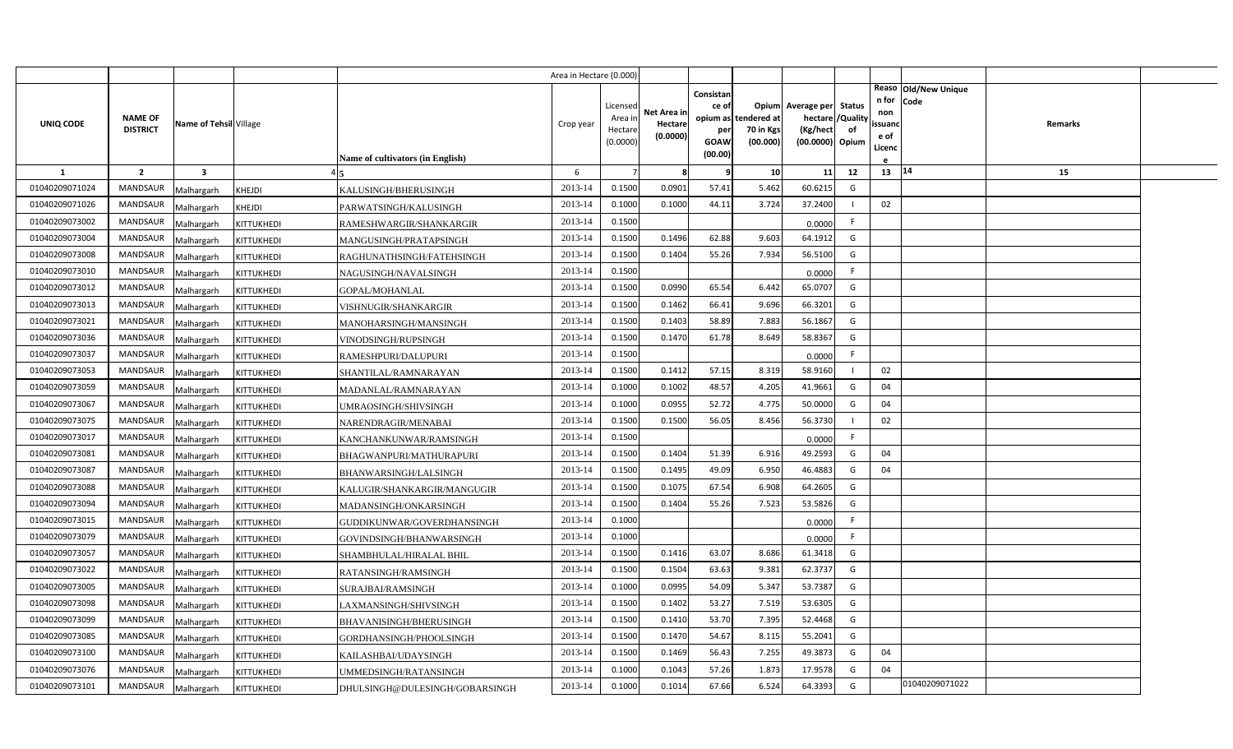|                |                                   |                         |                                                     | Area in Hectare (0.000) |                                            |                                    |                                                     |                                               |                                                                    |                |                                          |                              |         |  |
|----------------|-----------------------------------|-------------------------|-----------------------------------------------------|-------------------------|--------------------------------------------|------------------------------------|-----------------------------------------------------|-----------------------------------------------|--------------------------------------------------------------------|----------------|------------------------------------------|------------------------------|---------|--|
| UNIQ CODE      | <b>NAME OF</b><br><b>DISTRICT</b> | Name of Tehsil Village  | <b>Name of cultivators (in English)</b>             | Crop year               | Licensed<br>Area in<br>Hectare<br>(0.0000) | Net Area in<br>Hectare<br>(0.0000) | Consistan<br>ce of<br>per<br><b>GOAW</b><br>(00.00) | opium as tendered at<br>70 in Kgs<br>(00.000) | Opium Average per Status<br>hectare<br>(Kg/hect<br>(00.0000) Opium | /Quality<br>of | n for<br>non<br>ssuanc<br>e of<br>Licenc | Reaso Old/New Unique<br>Code | Remarks |  |
| 1              | $\overline{2}$                    | $\overline{\mathbf{3}}$ |                                                     | 6                       |                                            | 8                                  | 9                                                   | 10                                            | 11                                                                 | 12             | 13 14                                    |                              | 15      |  |
| 01040209071024 | <b>MANDSAUR</b>                   | Malhargarh              | KHEJDI<br>KALUSINGH/BHERUSINGH                      | 2013-14                 | 0.1500                                     | 0.0901                             | 57.41                                               | 5.462                                         | 60.6215                                                            | G              |                                          |                              |         |  |
| 01040209071026 | MANDSAUR                          | Malhargarh              | KHEJDI<br>PARWATSINGH/KALUSINGH                     | 2013-14                 | 0.1000                                     | 0.1000                             | 44.11                                               | 3.724                                         | 37.2400                                                            |                | 02                                       |                              |         |  |
| 01040209073002 | <b>MANDSAUR</b>                   | Malhargarh              | KITTUKHEDI<br>RAMESHWARGIR/SHANKARGIR               | 2013-14                 | 0.1500                                     |                                    |                                                     |                                               | 0.0000                                                             | F.             |                                          |                              |         |  |
| 01040209073004 | <b>MANDSAUR</b>                   | Malhargarh              | KITTUKHEDI<br>MANGUSINGH/PRATAPSINGH                | 2013-14                 | 0.1500                                     | 0.1496                             | 62.88                                               | 9.603                                         | 64.1912                                                            | G              |                                          |                              |         |  |
| 01040209073008 | <b>MANDSAUR</b>                   | Malhargarh              | KITTUKHEDI<br>RAGHUNATHSINGH/FATEHSINGH             | 2013-14                 | 0.1500                                     | 0.1404                             | 55.26                                               | 7.934                                         | 56.5100                                                            | G              |                                          |                              |         |  |
| 01040209073010 | <b>MANDSAUR</b>                   | Malhargarh              | KITTUKHEDI<br>NAGUSINGH/NAVALSINGH                  | 2013-14                 | 0.1500                                     |                                    |                                                     |                                               | 0.0000                                                             | F              |                                          |                              |         |  |
| 01040209073012 | <b>MANDSAUR</b>                   | Malhargarh              | KITTUKHEDI<br>GOPAL/MOHANLAL                        | 2013-14                 | 0.1500                                     | 0.0990                             | 65.54                                               | 6.442                                         | 65.0707                                                            | G              |                                          |                              |         |  |
| 01040209073013 | <b>MANDSAUR</b>                   | Malhargarh              | KITTUKHEDI<br>VISHNUGIR/SHANKARGIR                  | 2013-14                 | 0.1500                                     | 0.1462                             | 66.41                                               | 9.696                                         | 66.3201                                                            | G              |                                          |                              |         |  |
| 01040209073021 | <b>MANDSAUR</b>                   | Malhargarh              | KITTUKHEDI<br>MANOHARSINGH/MANSINGH                 | 2013-14                 | 0.1500                                     | 0.1403                             | 58.89                                               | 7.883                                         | 56.1867                                                            | G              |                                          |                              |         |  |
| 01040209073036 | <b>MANDSAUR</b>                   | Malhargarh              | KITTUKHEDI<br>VINODSINGH/RUPSINGH                   | 2013-14                 | 0.1500                                     | 0.1470                             | 61.78                                               | 8.649                                         | 58.8367                                                            | G              |                                          |                              |         |  |
| 01040209073037 | <b>MANDSAUR</b>                   | Malhargarh              | KITTUKHEDI<br>RAMESHPURI/DALUPURI                   | 2013-14                 | 0.1500                                     |                                    |                                                     |                                               | 0.0000                                                             | F              |                                          |                              |         |  |
| 01040209073053 | <b>MANDSAUR</b>                   | Malhargarh              | KITTUKHEDI<br>SHANTILAL/RAMNARAYAN                  | 2013-14                 | 0.1500                                     | 0.1412                             | 57.15                                               | 8.319                                         | 58.9160                                                            | $\mathbf{I}$   | 02                                       |                              |         |  |
| 01040209073059 | <b>MANDSAUR</b>                   | Malhargarh              | KITTUKHEDI<br>MADANLAL/RAMNARAYAN                   | 2013-14                 | 0.1000                                     | 0.1002                             | 48.57                                               | 4.205                                         | 41.9661                                                            | G              | 04                                       |                              |         |  |
| 01040209073067 | <b>MANDSAUR</b>                   | Malhargarh              | KITTUKHEDI<br>UMRAOSINGH/SHIVSINGH                  | 2013-14                 | 0.1000                                     | 0.0955                             | 52.72                                               | 4.775                                         | 50.0000                                                            | G              | 04                                       |                              |         |  |
| 01040209073075 | <b>MANDSAUR</b>                   | Malhargarh              | KITTUKHEDI<br>NARENDRAGIR/MENABAI                   | 2013-14                 | 0.1500                                     | 0.1500                             | 56.05                                               | 8.456                                         | 56.3730                                                            |                | 02                                       |                              |         |  |
| 01040209073017 | <b>MANDSAUR</b>                   | Malhargarh              | KITTUKHEDI<br>KANCHANKUNWAR/RAMSINGH                | 2013-14                 | 0.1500                                     |                                    |                                                     |                                               | 0.0000                                                             | F              |                                          |                              |         |  |
| 01040209073081 | MANDSAUR                          | Malhargarh              | KITTUKHEDI<br>BHAGWANPURI/MATHURAPURI               | 2013-14                 | 0.1500                                     | 0.1404                             | 51.39                                               | 6.916                                         | 49.2593                                                            | G              | 04                                       |                              |         |  |
| 01040209073087 | <b>MANDSAUR</b>                   | Malhargarh              | KITTUKHEDI<br>BHANWARSINGH/LALSINGH                 | 2013-14                 | 0.1500                                     | 0.1495                             | 49.09                                               | 6.950                                         | 46.4883                                                            | G              | 04                                       |                              |         |  |
| 01040209073088 | <b>MANDSAUR</b>                   | Malhargarh              | KITTUKHEDI<br>KALUGIR/SHANKARGIR/MANGUGIR           | 2013-14                 | 0.1500                                     | 0.1075                             | 67.54                                               | 6.908                                         | 64.2605                                                            | G              |                                          |                              |         |  |
| 01040209073094 | <b>MANDSAUR</b>                   | Malhargarh              | KITTUKHEDI<br>MADANSINGH/ONKARSINGH                 | 2013-14                 | 0.1500                                     | 0.1404                             | 55.26                                               | 7.523                                         | 53.5826                                                            | G              |                                          |                              |         |  |
| 01040209073015 | <b>MANDSAUR</b>                   | Malhargarh              | KITTUKHEDI<br>GUDDIKUNWAR/GOVERDHANSINGH            | 2013-14                 | 0.1000                                     |                                    |                                                     |                                               | 0.0000                                                             | F.             |                                          |                              |         |  |
| 01040209073079 | <b>MANDSAUR</b>                   | Malhargarh              | KITTUKHEDI<br>GOVINDSINGH/BHANWARSINGH              | 2013-14                 | 0.1000                                     |                                    |                                                     |                                               | 0.0000                                                             | F.             |                                          |                              |         |  |
| 01040209073057 | <b>MANDSAUR</b>                   | Malhargarh              | KITTUKHEDI<br>SHAMBHULAL/HIRALAL BHIL               | 2013-14                 | 0.1500                                     | 0.1416                             | 63.07                                               | 8.686                                         | 61.3418                                                            | G              |                                          |                              |         |  |
| 01040209073022 | <b>MANDSAUR</b>                   | Malhargarh              | KITTUKHEDI<br>RATANSINGH/RAMSINGH                   | 2013-14                 | 0.1500                                     | 0.1504                             | 63.63                                               | 9.381                                         | 62.3737                                                            | G              |                                          |                              |         |  |
| 01040209073005 | <b>MANDSAUR</b>                   | Malhargarh              | KITTUKHEDI<br>SURAJBAI/RAMSINGH                     | 2013-14                 | 0.1000                                     | 0.0995                             | 54.09                                               | 5.347                                         | 53.7387                                                            | G              |                                          |                              |         |  |
| 01040209073098 | <b>MANDSAUR</b>                   | Malhargarh              | KITTUKHEDI<br>LAXMANSINGH/SHIVSINGH                 | 2013-14                 | 0.1500                                     | 0.1402                             | 53.27                                               | 7.519                                         | 53.6305                                                            | G              |                                          |                              |         |  |
| 01040209073099 | MANDSAUR                          | Malhargarh              | KITTUKHEDI<br>BHAVANISINGH/BHERUSINGH               | 2013-14                 | 0.1500                                     | 0.1410                             | 53.70                                               | 7.395                                         | 52.4468                                                            | G              |                                          |                              |         |  |
| 01040209073085 | MANDSAUR                          | Malhargarh              | KITTUKHEDI<br>GORDHANSINGH/PHOOLSINGH               | 2013-14                 | 0.1500                                     | 0.1470                             | 54.67                                               | 8.115                                         | 55.2041                                                            | G              |                                          |                              |         |  |
| 01040209073100 | MANDSAUR                          | Malhargarh              | KITTUKHEDI<br>KAILASHBAI/UDAYSINGH                  | 2013-14                 | 0.1500                                     | 0.1469                             | 56.43                                               | 7.255                                         | 49.3873                                                            | G              | 04                                       |                              |         |  |
| 01040209073076 | <b>MANDSAUR</b>                   | Malhargarh              | KITTUKHEDI<br>UMMEDSINGH/RATANSINGH                 | 2013-14                 | 0.1000                                     | 0.1043                             | 57.26                                               | 1.873                                         | 17.9578                                                            | G              | 04                                       |                              |         |  |
| 01040209073101 | MANDSAUR                          | Malhargarh              | <b>KITTUKHEDI</b><br>DHULSINGH@DULESINGH/GOBARSINGH | 2013-14                 | 0.1000                                     | 0.1014                             | 67.66                                               | 6.524                                         | 64.3393                                                            | G              |                                          | 01040209071022               |         |  |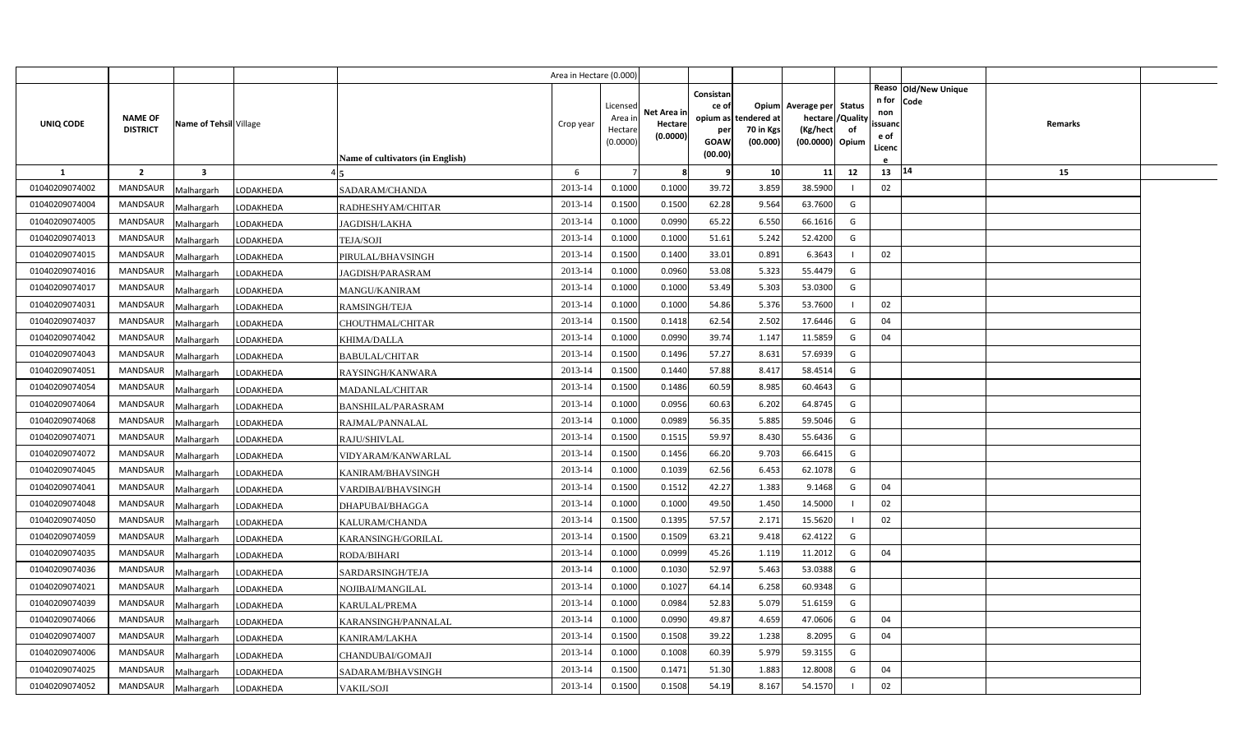|                |                                   |                        |                                        | Area in Hectare (0.000) |                                            |                                    |                                                     |                                               |                                                                    |                |                                          |                              |         |  |
|----------------|-----------------------------------|------------------------|----------------------------------------|-------------------------|--------------------------------------------|------------------------------------|-----------------------------------------------------|-----------------------------------------------|--------------------------------------------------------------------|----------------|------------------------------------------|------------------------------|---------|--|
| UNIQ CODE      | <b>NAME OF</b><br><b>DISTRICT</b> | Name of Tehsil Village | Name of cultivators (in English)       | Crop year               | Licensed<br>Area in<br>Hectare<br>(0.0000) | Net Area in<br>Hectare<br>(0.0000) | Consistan<br>ce of<br>per<br><b>GOAW</b><br>(00.00) | opium as tendered at<br>70 in Kgs<br>(00.000) | Opium Average per Status<br>hectare<br>(Kg/hect<br>(00.0000) Opium | /Quality<br>of | n for<br>non<br>ssuand<br>e of<br>Licenc | Reaso Old/New Unique<br>Code | Remarks |  |
| <b>1</b>       | $\overline{2}$                    | 3                      |                                        | 6                       |                                            | 8                                  | 9                                                   | 10                                            | 11                                                                 | 12             | 13                                       | 14                           | 15      |  |
| 01040209074002 | <b>MANDSAUR</b>                   | Malhargarh             | LODAKHEDA<br>SADARAM/CHANDA            | 2013-14                 | 0.1000                                     | 0.1000                             | 39.72                                               | 3.859                                         | 38.5900                                                            |                | 02                                       |                              |         |  |
| 01040209074004 | <b>MANDSAUR</b>                   | Malhargarh             | LODAKHEDA<br>RADHESHYAM/CHITAR         | 2013-14                 | 0.1500                                     | 0.1500                             | 62.28                                               | 9.564                                         | 63.7600                                                            | G              |                                          |                              |         |  |
| 01040209074005 | MANDSAUR                          | Malhargarh             | LODAKHEDA<br><b>JAGDISH/LAKHA</b>      | 2013-14                 | 0.1000                                     | 0.0990                             | 65.22                                               | 6.550                                         | 66.1616                                                            | G              |                                          |                              |         |  |
| 01040209074013 | <b>MANDSAUR</b>                   | Malhargarh             | LODAKHEDA<br><b>TEJA/SOJI</b>          | 2013-14                 | 0.1000                                     | 0.1000                             | 51.61                                               | 5.242                                         | 52.4200                                                            | G              |                                          |                              |         |  |
| 01040209074015 | <b>MANDSAUR</b>                   | Malhargarh             | PIRULAL/BHAVSINGH<br>LODAKHEDA         | 2013-14                 | 0.1500                                     | 0.1400                             | 33.01                                               | 0.891                                         | 6.3643                                                             |                | 02                                       |                              |         |  |
| 01040209074016 | <b>MANDSAUR</b>                   | Malhargarh             | LODAKHEDA<br>JAGDISH/PARASRAM          | 2013-14                 | 0.1000                                     | 0.0960                             | 53.08                                               | 5.323                                         | 55.4479                                                            | G              |                                          |                              |         |  |
| 01040209074017 | <b>MANDSAUR</b>                   | Malhargarh             | LODAKHEDA<br><b>MANGU/KANIRAM</b>      | 2013-14                 | 0.1000                                     | 0.1000                             | 53.49                                               | 5.303                                         | 53.0300                                                            | G              |                                          |                              |         |  |
| 01040209074031 | <b>MANDSAUR</b>                   | Malhargarh             | LODAKHEDA<br><b>RAMSINGH/TEJA</b>      | 2013-14                 | 0.1000                                     | 0.1000                             | 54.86                                               | 5.376                                         | 53.7600                                                            |                | 02                                       |                              |         |  |
| 01040209074037 | <b>MANDSAUR</b>                   | Malhargarh             | LODAKHEDA<br>CHOUTHMAL/CHITAR          | 2013-14                 | 0.1500                                     | 0.1418                             | 62.54                                               | 2.502                                         | 17.6446                                                            | G              | 04                                       |                              |         |  |
| 01040209074042 | <b>MANDSAUR</b>                   | Malhargarh             | LODAKHEDA<br>KHIMA/DALLA               | 2013-14                 | 0.1000                                     | 0.0990                             | 39.74                                               | 1.147                                         | 11.5859                                                            | G              | 04                                       |                              |         |  |
| 01040209074043 | <b>MANDSAUR</b>                   | Malhargarh             | LODAKHEDA<br><b>BABULAL/CHITAR</b>     | 2013-14                 | 0.1500                                     | 0.1496                             | 57.27                                               | 8.631                                         | 57.6939                                                            | G              |                                          |                              |         |  |
| 01040209074051 | <b>MANDSAUR</b>                   | Malhargarh             | LODAKHEDA<br>RAYSINGH/KANWARA          | 2013-14                 | 0.1500                                     | 0.1440                             | 57.88                                               | 8.417                                         | 58.4514                                                            | G              |                                          |                              |         |  |
| 01040209074054 | <b>MANDSAUR</b>                   | Malhargarh             | LODAKHEDA<br>MADANLAL/CHITAR           | 2013-14                 | 0.1500                                     | 0.1486                             | 60.59                                               | 8.985                                         | 60.4643                                                            | G              |                                          |                              |         |  |
| 01040209074064 | <b>MANDSAUR</b>                   | Malhargarh             | LODAKHEDA<br><b>BANSHILAL/PARASRAM</b> | 2013-14                 | 0.1000                                     | 0.0956                             | 60.63                                               | 6.202                                         | 64.8745                                                            | G              |                                          |                              |         |  |
| 01040209074068 | <b>MANDSAUR</b>                   | Malhargarh             | LODAKHEDA<br>RAJMAL/PANNALAL           | 2013-14                 | 0.1000                                     | 0.0989                             | 56.35                                               | 5.885                                         | 59.5046                                                            | G              |                                          |                              |         |  |
| 01040209074071 | <b>MANDSAUR</b>                   | Malhargarh             | LODAKHEDA<br>RAJU/SHIVLAL              | 2013-14                 | 0.1500                                     | 0.1515                             | 59.97                                               | 8.430                                         | 55.6436                                                            | G              |                                          |                              |         |  |
| 01040209074072 | MANDSAUR                          | Malhargarh             | LODAKHEDA<br>VIDYARAM/KANWARLAL        | 2013-14                 | 0.1500                                     | 0.1456                             | 66.20                                               | 9.703                                         | 66.6415                                                            | G              |                                          |                              |         |  |
| 01040209074045 | <b>MANDSAUR</b>                   | Malhargarh             | LODAKHEDA<br>KANIRAM/BHAVSINGH         | 2013-14                 | 0.1000                                     | 0.1039                             | 62.56                                               | 6.453                                         | 62.1078                                                            | G              |                                          |                              |         |  |
| 01040209074041 | <b>MANDSAUR</b>                   | Malhargarh             | LODAKHEDA<br>VARDIBAI/BHAVSINGH        | 2013-14                 | 0.1500                                     | 0.1512                             | 42.27                                               | 1.383                                         | 9.1468                                                             | G              | 04                                       |                              |         |  |
| 01040209074048 | <b>MANDSAUR</b>                   | Malhargarh             | LODAKHEDA<br>DHAPUBAI/BHAGGA           | 2013-14                 | 0.1000                                     | 0.1000                             | 49.50                                               | 1.450                                         | 14.5000                                                            |                | 02                                       |                              |         |  |
| 01040209074050 | <b>MANDSAUR</b>                   | Malhargarh             | LODAKHEDA<br>KALURAM/CHANDA            | 2013-14                 | 0.1500                                     | 0.1395                             | 57.57                                               | 2.171                                         | 15.5620                                                            |                | 02                                       |                              |         |  |
| 01040209074059 | <b>MANDSAUR</b>                   | Malhargarh             | LODAKHEDA<br>KARANSINGH/GORILAL        | 2013-14                 | 0.1500                                     | 0.1509                             | 63.21                                               | 9.418                                         | 62.4122                                                            | G              |                                          |                              |         |  |
| 01040209074035 | <b>MANDSAUR</b>                   | Malhargarh             | LODAKHEDA<br>RODA/BIHARI               | 2013-14                 | 0.1000                                     | 0.0999                             | 45.26                                               | 1.119                                         | 11.2012                                                            | G              | 04                                       |                              |         |  |
| 01040209074036 | <b>MANDSAUR</b>                   | Malhargarh             | LODAKHEDA<br>SARDARSINGH/TEJA          | 2013-14                 | 0.1000                                     | 0.1030                             | 52.97                                               | 5.463                                         | 53.0388                                                            | G              |                                          |                              |         |  |
| 01040209074021 | <b>MANDSAUR</b>                   | Malhargarh             | LODAKHEDA<br>NOJIBAI/MANGILAL          | 2013-14                 | 0.1000                                     | 0.1027                             | 64.14                                               | 6.258                                         | 60.9348                                                            | G              |                                          |                              |         |  |
| 01040209074039 | <b>MANDSAUR</b>                   | Malhargarh             | LODAKHEDA<br>KARULAL/PREMA             | 2013-14                 | 0.1000                                     | 0.0984                             | 52.83                                               | 5.079                                         | 51.6159                                                            | G              |                                          |                              |         |  |
| 01040209074066 | MANDSAUR                          | Malhargarh             | LODAKHEDA<br>KARANSINGH/PANNALAL       | 2013-14                 | 0.1000                                     | 0.0990                             | 49.87                                               | 4.659                                         | 47.0606                                                            | G              | 04                                       |                              |         |  |
| 01040209074007 | MANDSAUR                          | Malhargarh             | LODAKHEDA<br><b>KANIRAM/LAKHA</b>      | 2013-14                 | 0.1500                                     | 0.1508                             | 39.22                                               | 1.238                                         | 8.2095                                                             | G              | 04                                       |                              |         |  |
| 01040209074006 | <b>MANDSAUR</b>                   | Malhargarh             | LODAKHEDA<br>CHANDUBAI/GOMAJI          | 2013-14                 | 0.1000                                     | 0.1008                             | 60.39                                               | 5.979                                         | 59.3155                                                            | G              |                                          |                              |         |  |
| 01040209074025 | <b>MANDSAUR</b>                   | Malhargarh             | LODAKHEDA<br>SADARAM/BHAVSINGH         | 2013-14                 | 0.1500                                     | 0.1471                             | 51.30                                               | 1.883                                         | 12.8008                                                            | G              | 04                                       |                              |         |  |
| 01040209074052 | MANDSAUR                          | Malhargarh             | LODAKHEDA<br>VAKIL/SOJI                | 2013-14                 | 0.1500                                     | 0.1508                             | 54.19                                               | 8.167                                         | 54.1570                                                            |                | 02                                       |                              |         |  |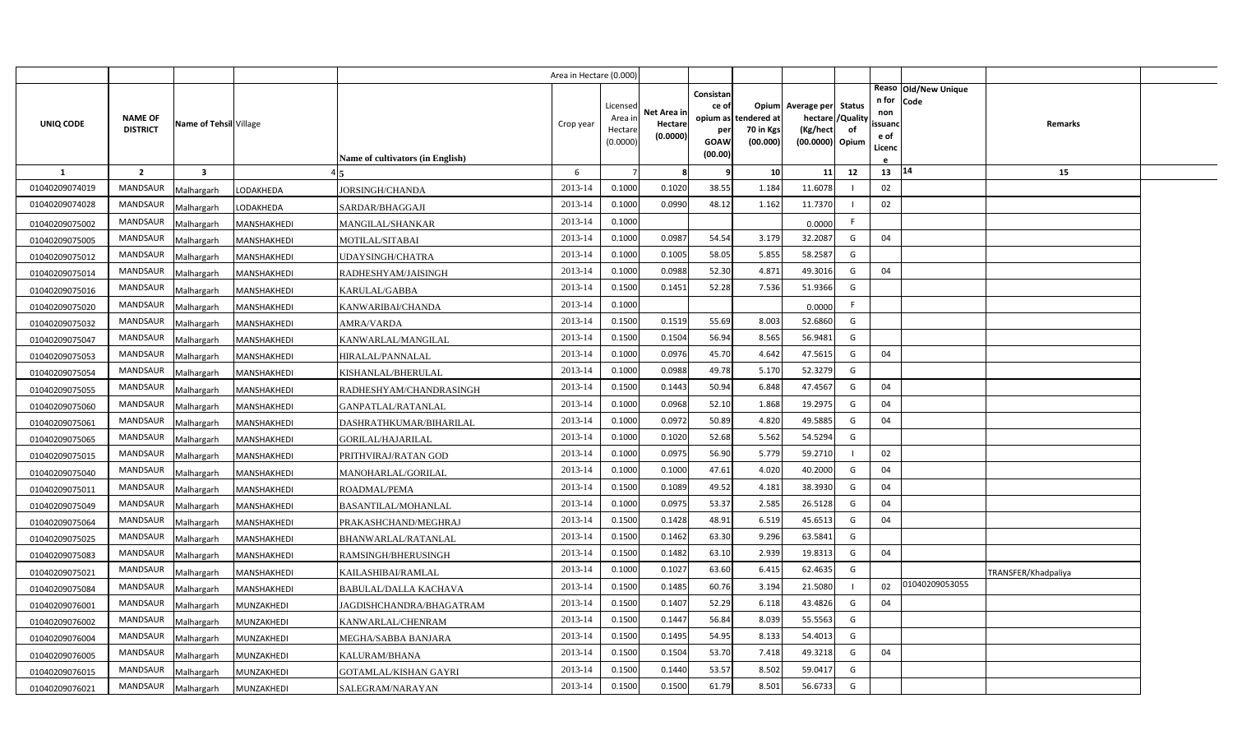|                |                                   |                         |                   |                                  | Area in Hectare (0.000) |                                            |                                    |                                                          |                                      |                                                                       |                     |                                          |                                |                     |  |
|----------------|-----------------------------------|-------------------------|-------------------|----------------------------------|-------------------------|--------------------------------------------|------------------------------------|----------------------------------------------------------|--------------------------------------|-----------------------------------------------------------------------|---------------------|------------------------------------------|--------------------------------|---------------------|--|
| UNIQ CODE      | <b>NAME OF</b><br><b>DISTRICT</b> | Name of Tehsil Village  |                   | Name of cultivators (in English) | Crop year               | Licensed<br>Area in<br>Hectare<br>(0.0000) | Net Area in<br>Hectare<br>(0.0000) | Consistan<br>ce of<br>opium as<br>per<br>GOAW<br>(00.00) | tendered at<br>70 in Kgs<br>(00.000) | Opium Average per<br>hectare / Quality<br>(Kg/hect<br>(00.0000) Opium | <b>Status</b><br>of | n for<br>non<br>ssuand<br>e of<br>Licenc | Reaso   Old/New Unique<br>Code | Remarks             |  |
| -1             | $\overline{2}$                    | $\overline{\mathbf{3}}$ |                   |                                  | 6                       |                                            | 8                                  | q                                                        | 10                                   | 11                                                                    | 12                  | 13                                       | 14                             | 15                  |  |
| 01040209074019 | <b>MANDSAUR</b>                   | Malhargarh              | LODAKHEDA         | <b>JORSINGH/CHANDA</b>           | 2013-14                 | 0.1000                                     | 0.1020                             | 38.55                                                    | 1.184                                | 11.6078                                                               |                     | 02                                       |                                |                     |  |
| 01040209074028 | MANDSAUR                          | Malhargarh              | LODAKHEDA         | SARDAR/BHAGGAJI                  | 2013-14                 | 0.1000                                     | 0.0990                             | 48.12                                                    | 1.162                                | 11.7370                                                               |                     | 02                                       |                                |                     |  |
| 01040209075002 | MANDSAUR                          | Malhargarh              | MANSHAKHEDI       | <b>MANGILAL/SHANKAR</b>          | 2013-14                 | 0.1000                                     |                                    |                                                          |                                      | 0.0000                                                                | F.                  |                                          |                                |                     |  |
| 01040209075005 | MANDSAUR                          | Malhargarh              | MANSHAKHEDI       | MOTILAL/SITABAI                  | 2013-14                 | 0.1000                                     | 0.0987                             | 54.54                                                    | 3.179                                | 32.2087                                                               | G                   | 04                                       |                                |                     |  |
| 01040209075012 | <b>MANDSAUR</b>                   | Malhargarh              | MANSHAKHEDI       | UDAYSINGH/CHATRA                 | 2013-14                 | 0.1000                                     | 0.1005                             | 58.05                                                    | 5.855                                | 58.2587                                                               | G                   |                                          |                                |                     |  |
| 01040209075014 | MANDSAUR                          | Malhargarh              | MANSHAKHEDI       | RADHESHYAM/JAISINGH              | 2013-14                 | 0.1000                                     | 0.0988                             | 52.30                                                    | 4.87                                 | 49.3016                                                               | G                   | 04                                       |                                |                     |  |
| 01040209075016 | MANDSAUR                          | Malhargarh              | MANSHAKHEDI       | KARULAL/GABBA                    | 2013-14                 | 0.1500                                     | 0.1451                             | 52.28                                                    | 7.536                                | 51.9366                                                               | G                   |                                          |                                |                     |  |
| 01040209075020 | MANDSAUR                          | Malhargarh              | MANSHAKHEDI       | KANWARIBAI/CHANDA                | 2013-14                 | 0.1000                                     |                                    |                                                          |                                      | 0.0000                                                                | F.                  |                                          |                                |                     |  |
| 01040209075032 | <b>MANDSAUR</b>                   | Malhargarh              | MANSHAKHEDI       | AMRA/VARDA                       | 2013-14                 | 0.1500                                     | 0.1519                             | 55.69                                                    | 8.003                                | 52.6860                                                               | G                   |                                          |                                |                     |  |
| 01040209075047 | MANDSAUR                          | Malhargarh              | MANSHAKHEDI       | KANWARLAL/MANGILAL               | 2013-14                 | 0.1500                                     | 0.1504                             | 56.94                                                    | 8.565                                | 56.9481                                                               | G                   |                                          |                                |                     |  |
| 01040209075053 | <b>MANDSAUR</b>                   | Malhargarh              | MANSHAKHEDI       | HIRALAL/PANNALAL                 | 2013-14                 | 0.1000                                     | 0.0976                             | 45.70                                                    | 4.642                                | 47.5615                                                               | G                   | 04                                       |                                |                     |  |
| 01040209075054 | MANDSAUR                          | Malhargarh              | MANSHAKHEDI       | KISHANLAL/BHERULAL               | 2013-14                 | 0.1000                                     | 0.0988                             | 49.78                                                    | 5.170                                | 52.3279                                                               | G                   |                                          |                                |                     |  |
| 01040209075055 | <b>MANDSAUR</b>                   | Malhargarh              | MANSHAKHEDI       | RADHESHYAM/CHANDRASINGH          | 2013-14                 | 0.1500                                     | 0.1443                             | 50.94                                                    | 6.848                                | 47.4567                                                               | G                   | 04                                       |                                |                     |  |
| 01040209075060 | MANDSAUR                          | Malhargarh              | MANSHAKHEDI       | GANPATLAL/RATANLAL               | 2013-14                 | 0.1000                                     | 0.0968                             | 52.10                                                    | 1.868                                | 19.2975                                                               | G                   | 04                                       |                                |                     |  |
| 01040209075061 | <b>MANDSAUR</b>                   | Malhargarh              | MANSHAKHEDI       | DASHRATHKUMAR/BIHARILAL          | 2013-14                 | 0.1000                                     | 0.0972                             | 50.89                                                    | 4.820                                | 49.5885                                                               | G                   | 04                                       |                                |                     |  |
| 01040209075065 | MANDSAUR                          | Malhargarh              | MANSHAKHEDI       | <b>GORILAL/HAJARILAL</b>         | 2013-14                 | 0.1000                                     | 0.1020                             | 52.68                                                    | 5.562                                | 54.5294                                                               | G                   |                                          |                                |                     |  |
| 01040209075015 | <b>MANDSAUR</b>                   | Malhargarh              | MANSHAKHEDI       | PRITHVIRAJ/RATAN GOD             | 2013-14                 | 0.1000                                     | 0.0975                             | 56.90                                                    | 5.779                                | 59.2710                                                               |                     | 02                                       |                                |                     |  |
| 01040209075040 | MANDSAUR                          | Malhargarh              | MANSHAKHEDI       | MANOHARLAL/GORILAL               | 2013-14                 | 0.1000                                     | 0.1000                             | 47.61                                                    | 4.020                                | 40.2000                                                               | G                   | 04                                       |                                |                     |  |
| 01040209075011 | <b>MANDSAUR</b>                   | Malhargarh              | MANSHAKHEDI       | ROADMAL/PEMA                     | 2013-14                 | 0.1500                                     | 0.1089                             | 49.52                                                    | 4.181                                | 38.3930                                                               | G                   | 04                                       |                                |                     |  |
| 01040209075049 | MANDSAUR                          | Malhargarh              | MANSHAKHEDI       | BASANTILAL/MOHANLAL              | 2013-14                 | 0.1000                                     | 0.0975                             | 53.37                                                    | 2.585                                | 26.5128                                                               | G                   | 04                                       |                                |                     |  |
| 01040209075064 | <b>MANDSAUR</b>                   | Malhargarh              | MANSHAKHEDI       | PRAKASHCHAND/MEGHRAJ             | 2013-14                 | 0.1500                                     | 0.1428                             | 48.91                                                    | 6.519                                | 45.6513                                                               | G                   | 04                                       |                                |                     |  |
| 01040209075025 | MANDSAUR                          | Malhargarh              | MANSHAKHEDI       | BHANWARLAL/RATANLAL              | 2013-14                 | 0.1500                                     | 0.1462                             | 63.30                                                    | 9.296                                | 63.5841                                                               | G                   |                                          |                                |                     |  |
| 01040209075083 | MANDSAUR                          | Malhargarh              | MANSHAKHEDI       | RAMSINGH/BHERUSINGH              | 2013-14                 | 0.1500                                     | 0.1482                             | 63.10                                                    | 2.939                                | 19.8313                                                               | G                   | 04                                       |                                |                     |  |
| 01040209075021 | <b>MANDSAUR</b>                   | Malhargarh              | MANSHAKHEDI       | KAILASHIBAI/RAMLAL               | 2013-14                 | 0.1000                                     | 0.1027                             | 63.60                                                    | 6.415                                | 62.4635                                                               | G                   |                                          |                                | TRANSFER/Khadpaliya |  |
| 01040209075084 | MANDSAUR                          | Malhargarh              | MANSHAKHEDI       | BABULAL/DALLA KACHAVA            | 2013-14                 | 0.1500                                     | 0.1485                             | 60.76                                                    | 3.194                                | 21.5080                                                               |                     | 02                                       | 01040209053055                 |                     |  |
| 01040209076001 | MANDSAUR                          | Malhargarh              | MUNZAKHEDI        | JAGDISHCHANDRA/BHAGATRAM         | 2013-14                 | 0.1500                                     | 0.1407                             | 52.29                                                    | 6.118                                | 43.4826                                                               | G                   | 04                                       |                                |                     |  |
| 01040209076002 | MANDSAUR                          | Malhargarh              | MUNZAKHEDI        | KANWARLAL/CHENRAM                | 2013-14                 | 0.1500                                     | 0.1447                             | 56.84                                                    | 8.039                                | 55.5563                                                               | G                   |                                          |                                |                     |  |
| 01040209076004 | MANDSAUR                          | Malhargarh              | MUNZAKHEDI        | MEGHA/SABBA BANJARA              | 2013-14                 | 0.1500                                     | 0.1495                             | 54.95                                                    | 8.133                                | 54.4013                                                               | G                   |                                          |                                |                     |  |
| 01040209076005 | MANDSAUR                          | Malhargarh              | MUNZAKHEDI        | KALURAM/BHANA                    | 2013-14                 | 0.1500                                     | 0.1504                             | 53.70                                                    | 7.418                                | 49.3218                                                               | G                   | 04                                       |                                |                     |  |
| 01040209076015 | MANDSAUR                          | Malhargarh              | MUNZAKHEDI        | GOTAMLAL/KISHAN GAYRI            | 2013-14                 | 0.1500                                     | 0.1440                             | 53.57                                                    | 8.502                                | 59.0417                                                               | G                   |                                          |                                |                     |  |
| 01040209076021 | MANDSAUR                          | Malhargarh              | <b>MUNZAKHEDI</b> | SALEGRAM/NARAYAN                 | 2013-14                 | 0.1500                                     | 0.1500                             | 61.79                                                    | 8.501                                | 56.6733                                                               | G                   |                                          |                                |                     |  |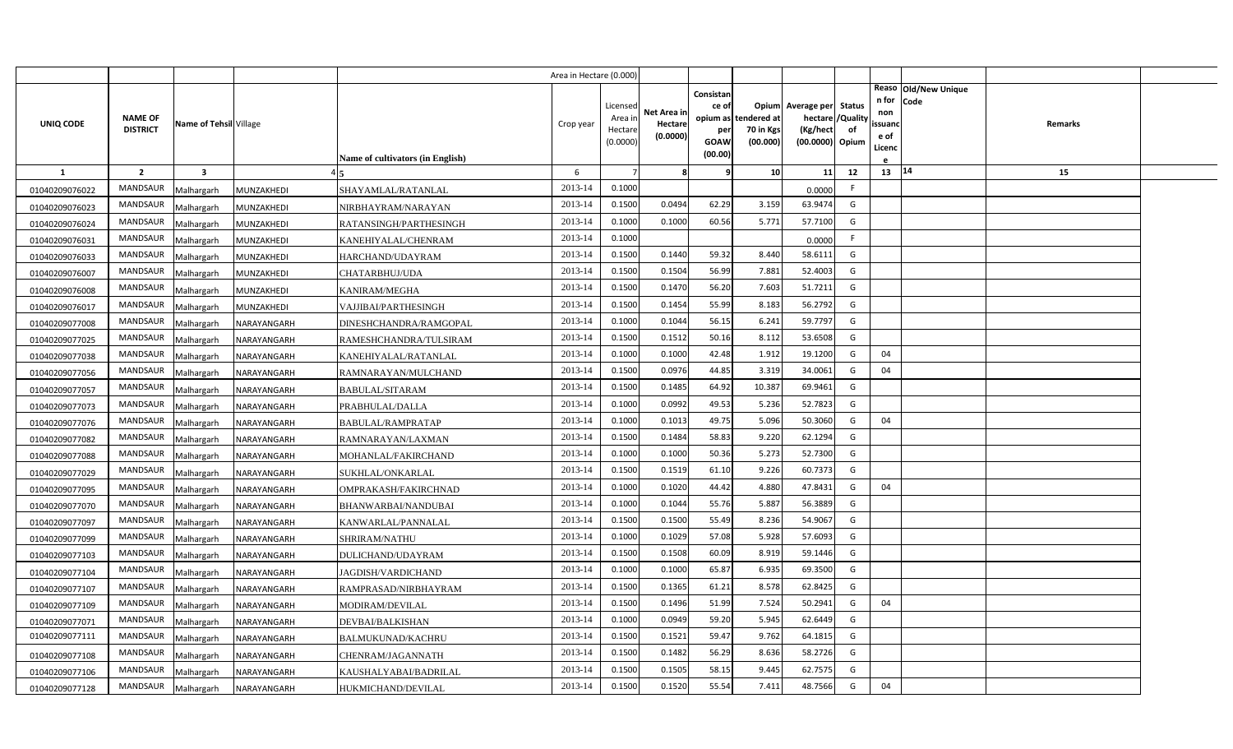|                |                 |                         |                    |                                  | Area in Hectare (0.000) |                     |             |             |                       |                             |    |                   |                      |  |
|----------------|-----------------|-------------------------|--------------------|----------------------------------|-------------------------|---------------------|-------------|-------------|-----------------------|-----------------------------|----|-------------------|----------------------|--|
|                |                 |                         |                    |                                  |                         |                     |             | Consistan   |                       |                             |    |                   | Reaso Old/New Unique |  |
|                |                 |                         |                    |                                  |                         | Licensed            | Net Area in | ce of       |                       | Opium Average per Status    |    | n for Code<br>non |                      |  |
| UNIQ CODE      | <b>NAME OF</b>  | Name of Tehsil Village  |                    |                                  | Crop year               | Area ir             | Hectare     | opium as    | tendered at           | hectare / Quality           |    | ssuand            | Remarks              |  |
|                | <b>DISTRICT</b> |                         |                    |                                  |                         | Hectare<br>(0.0000) | (0.0000)    | per<br>GOAW | 70 in Kgs<br>(00.000) | (Kg/hect<br>(00.0000) Opium | of | e of              |                      |  |
|                |                 |                         |                    | Name of cultivators (in English) |                         |                     |             | (00.00)     |                       |                             |    | Licenc            |                      |  |
| -1             | $\overline{2}$  | $\overline{\mathbf{3}}$ |                    |                                  | 6                       | $\overline{7}$      | 8           | ę           | 10 <sup>1</sup>       | 11                          | 12 | 13   14           | 15                   |  |
| 01040209076022 | MANDSAUR        | Malhargarh              | MUNZAKHEDI         | SHAYAMLAL/RATANLAL               | 2013-14                 | 0.1000              |             |             |                       | 0.0000                      | F. |                   |                      |  |
| 01040209076023 | <b>MANDSAUR</b> | Malhargarh              | MUNZAKHEDI         | NIRBHAYRAM/NARAYAN               | 2013-14                 | 0.1500              | 0.0494      | 62.29       | 3.159                 | 63.9474                     | G  |                   |                      |  |
| 01040209076024 | MANDSAUR        | Malhargarh              | MUNZAKHEDI         | RATANSINGH/PARTHESINGH           | 2013-14                 | 0.1000              | 0.1000      | 60.56       | 5.771                 | 57.7100                     | G  |                   |                      |  |
| 01040209076031 | MANDSAUR        | Malhargarh              | MUNZAKHEDI         | KANEHIYALAL/CHENRAM              | 2013-14                 | 0.1000              |             |             |                       | 0.0000                      | F. |                   |                      |  |
| 01040209076033 | <b>MANDSAUR</b> | Malhargarh              | MUNZAKHEDI         | HARCHAND/UDAYRAM                 | 2013-14                 | 0.1500              | 0.1440      | 59.32       | 8.440                 | 58.6111                     | G  |                   |                      |  |
| 01040209076007 | MANDSAUR        | Malhargarh              | MUNZAKHEDI         | CHATARBHUJ/UDA                   | 2013-14                 | 0.1500              | 0.1504      | 56.99       | 7.881                 | 52.4003                     | G  |                   |                      |  |
| 01040209076008 | <b>MANDSAUR</b> | Malhargarh              | MUNZAKHEDI         | KANIRAM/MEGHA                    | 2013-14                 | 0.1500              | 0.1470      | 56.20       | 7.603                 | 51.7211                     | G  |                   |                      |  |
| 01040209076017 | MANDSAUR        | Malhargarh              | MUNZAKHEDI         | VAJJIBAI/PARTHESINGH             | 2013-14                 | 0.1500              | 0.1454      | 55.99       | 8.183                 | 56.2792                     | G  |                   |                      |  |
| 01040209077008 | MANDSAUR        | Malhargarh              | NARAYANGARH        | DINESHCHANDRA/RAMGOPAL           | 2013-14                 | 0.1000              | 0.1044      | 56.15       | 6.241                 | 59.7797                     | G  |                   |                      |  |
| 01040209077025 | MANDSAUR        | Malhargarh              | NARAYANGARH        | RAMESHCHANDRA/TULSIRAM           | 2013-14                 | 0.1500              | 0.1512      | 50.16       | 8.112                 | 53.6508                     | G  |                   |                      |  |
| 01040209077038 | <b>MANDSAUR</b> | Malhargarh              | NARAYANGARH        | KANEHIYALAL/RATANLAL             | 2013-14                 | 0.1000              | 0.1000      | 42.48       | 1.912                 | 19.1200                     | G  | 04                |                      |  |
| 01040209077056 | MANDSAUR        | Malhargarh              | NARAYANGARH        | RAMNARAYAN/MULCHAND              | 2013-14                 | 0.1500              | 0.0976      | 44.85       | 3.319                 | 34.0061                     | G  | 04                |                      |  |
| 01040209077057 | <b>MANDSAUR</b> | Malhargarh              | NARAYANGARH        | BABULAL/SITARAM                  | 2013-14                 | 0.1500              | 0.1485      | 64.92       | 10.387                | 69.9461                     | G  |                   |                      |  |
| 01040209077073 | MANDSAUR        | Malhargarh              | NARAYANGARH        | PRABHULAL/DALLA                  | 2013-14                 | 0.1000              | 0.0992      | 49.53       | 5.236                 | 52.7823                     | G  |                   |                      |  |
| 01040209077076 | <b>MANDSAUR</b> | Malhargarh              | NARAYANGARH        | <b>BABULAL/RAMPRATAP</b>         | 2013-14                 | 0.1000              | 0.1013      | 49.75       | 5.096                 | 50.3060                     | G  | 04                |                      |  |
| 01040209077082 | MANDSAUR        | Malhargarh              | NARAYANGARH        | RAMNARAYAN/LAXMAN                | 2013-14                 | 0.1500              | 0.1484      | 58.83       | 9.220                 | 62.1294                     | G  |                   |                      |  |
| 01040209077088 | <b>MANDSAUR</b> | Malhargarh              | NARAYANGARH        | MOHANLAL/FAKIRCHAND              | 2013-14                 | 0.1000              | 0.1000      | 50.36       | 5.273                 | 52.7300                     | G  |                   |                      |  |
| 01040209077029 | MANDSAUR        | Malhargarh              | NARAYANGARH        | SUKHLAL/ONKARLAL                 | 2013-14                 | 0.1500              | 0.1519      | 61.10       | 9.226                 | 60.7373                     | G  |                   |                      |  |
| 01040209077095 | <b>MANDSAUR</b> | Malhargarh              | NARAYANGARH        | OMPRAKASH/FAKIRCHNAD             | 2013-14                 | 0.1000              | 0.1020      | 44.42       | 4.880                 | 47.8431                     | G  | 04                |                      |  |
| 01040209077070 | MANDSAUR        | Malhargarh              | NARAYANGARH        | BHANWARBAI/NANDUBAI              | 2013-14                 | 0.1000              | 0.1044      | 55.76       | 5.887                 | 56.3889                     | G  |                   |                      |  |
| 01040209077097 | MANDSAUR        | Malhargarh              | NARAYANGARH        | KANWARLAL/PANNALAL               | 2013-14                 | 0.1500              | 0.1500      | 55.49       | 8.236                 | 54.9067                     | G  |                   |                      |  |
| 01040209077099 | MANDSAUR        | Malhargarh              | NARAYANGARH        | SHRIRAM/NATHU                    | 2013-14                 | 0.1000              | 0.1029      | 57.08       | 5.928                 | 57.6093                     | G  |                   |                      |  |
| 01040209077103 | MANDSAUR        | Malhargarh              | NARAYANGARH        | DULICHAND/UDAYRAM                | 2013-14                 | 0.1500              | 0.1508      | 60.09       | 8.919                 | 59.1446                     | G  |                   |                      |  |
| 01040209077104 | MANDSAUR        | Malhargarh              | NARAYANGARH        | JAGDISH/VARDICHAND               | 2013-14                 | 0.1000              | 0.1000      | 65.87       | 6.935                 | 69.3500                     | G  |                   |                      |  |
| 01040209077107 | MANDSAUR        | Malhargarh              | VARAYANGARH        | RAMPRASAD/NIRBHAYRAM             | 2013-14                 | 0.1500              | 0.1365      | 61.21       | 8.578                 | 62.8425                     | G  |                   |                      |  |
| 01040209077109 | MANDSAUR        | Malhargarh              | VARAYANGARH        | MODIRAM/DEVILAL                  | 2013-14                 | 0.1500              | 0.1496      | 51.99       | 7.524                 | 50.2941                     | G  | 04                |                      |  |
| 01040209077071 | MANDSAUR        | Malhargarh              | VARAYANGARH        | DEVBAI/BALKISHAN                 | 2013-14                 | 0.1000              | 0.0949      | 59.20       | 5.945                 | 62.6449                     | G  |                   |                      |  |
| 01040209077111 | MANDSAUR        | Malhargarh              | NARAYANGARH        | <b>BALMUKUNAD/KACHRU</b>         | 2013-14                 | 0.1500              | 0.1521      | 59.47       | 9.762                 | 64.1815                     | G  |                   |                      |  |
| 01040209077108 | MANDSAUR        | Malhargarh              | <b>VARAYANGARH</b> | CHENRAM/JAGANNATH                | 2013-14                 | 0.1500              | 0.1482      | 56.29       | 8.636                 | 58.2726                     | G  |                   |                      |  |
| 01040209077106 | <b>MANDSAUR</b> | Malhargarh              | VARAYANGARH        | KAUSHALYABAI/BADRILAL            | 2013-14                 | 0.1500              | 0.1505      | 58.15       | 9.445                 | 62.7575                     | G  |                   |                      |  |
| 01040209077128 | MANDSAUR        | Malhargarh              | NARAYANGARH        | HUKMICHAND/DEVILAL               | 2013-14                 | 0.1500              | 0.1520      | 55.54       | 7.411                 | 48.7566                     | G  | 04                |                      |  |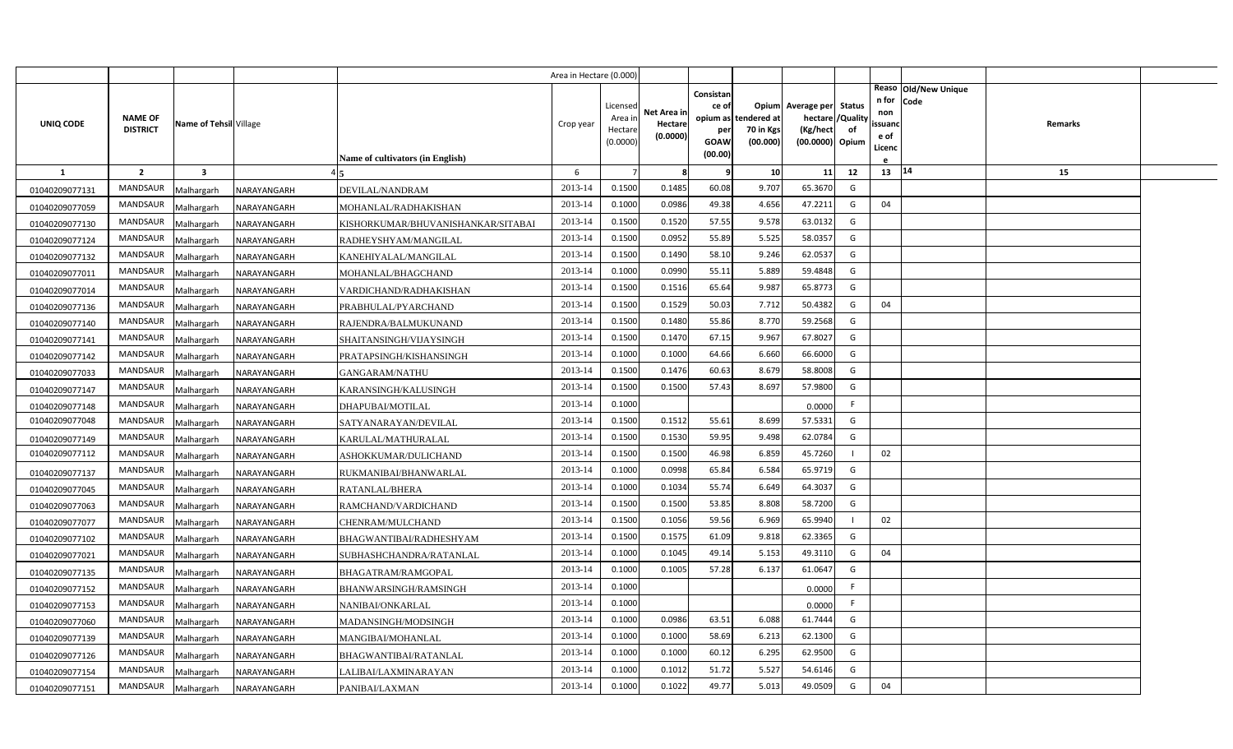|                |                                   |                         |             |                                         | Area in Hectare (0.000) |                                            |                                    |                                                                 |                                      |                                                                              |    |                                               |                                          |  |
|----------------|-----------------------------------|-------------------------|-------------|-----------------------------------------|-------------------------|--------------------------------------------|------------------------------------|-----------------------------------------------------------------|--------------------------------------|------------------------------------------------------------------------------|----|-----------------------------------------------|------------------------------------------|--|
| UNIQ CODE      | <b>NAME OF</b><br><b>DISTRICT</b> | Name of Tehsil Village  |             | <b>Name of cultivators (in English)</b> | Crop year               | Licensed<br>Area ir<br>Hectare<br>(0.0000) | Net Area in<br>Hectare<br>(0.0000) | Consistan<br>ce of<br>opium as<br>per<br><b>GOAW</b><br>(00.00) | tendered at<br>70 in Kgs<br>(00.000) | Opium Average per Status<br>hectare / Quality<br>(Kg/hect<br>(00.0000) Opium | of | n for Code<br>non<br>ssuand<br>e of<br>Licenc | Reaso   Old/New Unique<br><b>Remarks</b> |  |
| <b>1</b>       | $\overline{2}$                    | $\overline{\mathbf{3}}$ |             |                                         | 6                       | $\overline{7}$                             | 8                                  | <b>C</b>                                                        | 10 <sup>1</sup>                      | 11                                                                           | 12 | $13 \mid 14$                                  | 15                                       |  |
| 01040209077131 | <b>MANDSAUR</b>                   | Malhargarh              | NARAYANGARH | DEVILAL/NANDRAM                         | 2013-14                 | 0.1500                                     | 0.1485                             | 60.08                                                           | 9.707                                | 65.3670                                                                      | G  |                                               |                                          |  |
| 01040209077059 | MANDSAUR                          | Malhargarh              | NARAYANGARH | MOHANLAL/RADHAKISHAN                    | 2013-14                 | 0.1000                                     | 0.0986                             | 49.38                                                           | 4.656                                | 47.2211                                                                      | G  | 04                                            |                                          |  |
| 01040209077130 | <b>MANDSAUR</b>                   | Malhargarh              | NARAYANGARH | KISHORKUMAR/BHUVANISHANKAR/SITABAI      | 2013-14                 | 0.1500                                     | 0.1520                             | 57.55                                                           | 9.578                                | 63.0132                                                                      | G  |                                               |                                          |  |
| 01040209077124 | <b>MANDSAUR</b>                   | Malhargarh              | NARAYANGARH | RADHEYSHYAM/MANGILAL                    | 2013-14                 | 0.1500                                     | 0.0952                             | 55.89                                                           | 5.525                                | 58.0357                                                                      | G  |                                               |                                          |  |
| 01040209077132 | MANDSAUR                          | Malhargarh              | NARAYANGARH | KANEHIYALAL/MANGILAL                    | 2013-14                 | 0.1500                                     | 0.1490                             | 58.10                                                           | 9.246                                | 62.0537                                                                      | G  |                                               |                                          |  |
| 01040209077011 | <b>MANDSAUR</b>                   | Malhargarh              | NARAYANGARH | MOHANLAL/BHAGCHAND                      | 2013-14                 | 0.1000                                     | 0.0990                             | 55.11                                                           | 5.889                                | 59.4848                                                                      | G  |                                               |                                          |  |
| 01040209077014 | MANDSAUR                          | Malhargarh              | NARAYANGARH | VARDICHAND/RADHAKISHAN                  | 2013-14                 | 0.1500                                     | 0.1516                             | 65.64                                                           | 9.987                                | 65.8773                                                                      | G  |                                               |                                          |  |
| 01040209077136 | <b>MANDSAUR</b>                   | Malhargarh              | NARAYANGARH | PRABHULAL/PYARCHAND                     | 2013-14                 | 0.1500                                     | 0.1529                             | 50.03                                                           | 7.712                                | 50.4382                                                                      | G  | 04                                            |                                          |  |
| 01040209077140 | MANDSAUR                          | Malhargarh              | NARAYANGARH | RAJENDRA/BALMUKUNAND                    | 2013-14                 | 0.1500                                     | 0.1480                             | 55.86                                                           | 8.770                                | 59.2568                                                                      | G  |                                               |                                          |  |
| 01040209077141 | MANDSAUR                          | Malhargarh              | NARAYANGARH | SHAITANSINGH/VIJAYSINGH                 | 2013-14                 | 0.1500                                     | 0.1470                             | 67.15                                                           | 9.967                                | 67.8027                                                                      | G  |                                               |                                          |  |
| 01040209077142 | MANDSAUR                          | Malhargarh              | NARAYANGARH | PRATAPSINGH/KISHANSINGH                 | 2013-14                 | 0.1000                                     | 0.1000                             | 64.66                                                           | 6.660                                | 66.6000                                                                      | G  |                                               |                                          |  |
| 01040209077033 | MANDSAUR                          | Malhargarh              | NARAYANGARH | GANGARAM/NATHU                          | 2013-14                 | 0.1500                                     | 0.1476                             | 60.63                                                           | 8.679                                | 58.8008                                                                      | G  |                                               |                                          |  |
| 01040209077147 | <b>MANDSAUR</b>                   | Malhargarh              | NARAYANGARH | KARANSINGH/KALUSINGH                    | 2013-14                 | 0.1500                                     | 0.1500                             | 57.43                                                           | 8.697                                | 57.9800                                                                      | G  |                                               |                                          |  |
| 01040209077148 | MANDSAUR                          | Malhargarh              | NARAYANGARH | <b>DHAPUBAI/MOTILAL</b>                 | 2013-14                 | 0.1000                                     |                                    |                                                                 |                                      | 0.0000                                                                       | F. |                                               |                                          |  |
| 01040209077048 | <b>MANDSAUR</b>                   | Malhargarh              | NARAYANGARH | SATYANARAYAN/DEVILAL                    | 2013-14                 | 0.1500                                     | 0.1512                             | 55.61                                                           | 8.699                                | 57.5331                                                                      | G  |                                               |                                          |  |
| 01040209077149 | MANDSAUR                          | Malhargarh              | NARAYANGARH | KARULAL/MATHURALAL                      | 2013-14                 | 0.1500                                     | 0.1530                             | 59.95                                                           | 9.498                                | 62.0784                                                                      | G  |                                               |                                          |  |
| 01040209077112 | <b>MANDSAUR</b>                   | Malhargarh              | NARAYANGARH | ASHOKKUMAR/DULICHAND                    | 2013-14                 | 0.1500                                     | 0.1500                             | 46.98                                                           | 6.859                                | 45.7260                                                                      |    | 02                                            |                                          |  |
| 01040209077137 | MANDSAUR                          | Malhargarh              | NARAYANGARH | RUKMANIBAI/BHANWARLAL                   | 2013-14                 | 0.1000                                     | 0.0998                             | 65.84                                                           | 6.584                                | 65.9719                                                                      | G  |                                               |                                          |  |
| 01040209077045 | MANDSAUR                          | Malhargarh              | NARAYANGARH | RATANLAL/BHERA                          | 2013-14                 | 0.1000                                     | 0.1034                             | 55.74                                                           | 6.649                                | 64.3037                                                                      | G  |                                               |                                          |  |
| 01040209077063 | MANDSAUR                          | Malhargarh              | NARAYANGARH | RAMCHAND/VARDICHAND                     | 2013-14                 | 0.1500                                     | 0.1500                             | 53.85                                                           | 8.808                                | 58.7200                                                                      | G  |                                               |                                          |  |
| 01040209077077 | MANDSAUR                          | Malhargarh              | NARAYANGARH | CHENRAM/MULCHAND                        | 2013-14                 | 0.1500                                     | 0.1056                             | 59.56                                                           | 6.969                                | 65.9940                                                                      |    | 02                                            |                                          |  |
| 01040209077102 | MANDSAUR                          | Malhargarh              | VARAYANGARH | BHAGWANTIBAI/RADHESHYAM                 | 2013-14                 | 0.1500                                     | 0.1575                             | 61.09                                                           | 9.818                                | 62.3365                                                                      | G  |                                               |                                          |  |
| 01040209077021 | MANDSAUR                          | Malhargarh              | NARAYANGARH | SUBHASHCHANDRA/RATANLAL                 | 2013-14                 | 0.1000                                     | 0.1045                             | 49.14                                                           | 5.153                                | 49.3110                                                                      | G  | 04                                            |                                          |  |
| 01040209077135 | MANDSAUR                          | Malhargarh              | VARAYANGARH | BHAGATRAM/RAMGOPAL                      | 2013-14                 | 0.1000                                     | 0.1005                             | 57.28                                                           | 6.137                                | 61.0647                                                                      | G  |                                               |                                          |  |
| 01040209077152 | MANDSAUR                          | Malhargarh              | VARAYANGARH | BHANWARSINGH/RAMSINGH                   | 2013-14                 | 0.1000                                     |                                    |                                                                 |                                      | 0.0000                                                                       |    |                                               |                                          |  |
| 01040209077153 | MANDSAUR                          | Malhargarh              | NARAYANGARH | NANIBAI/ONKARLAL                        | 2013-14                 | 0.1000                                     |                                    |                                                                 |                                      | 0.0000                                                                       | F. |                                               |                                          |  |
| 01040209077060 | MANDSAUR                          | Malhargarh              | NARAYANGARH | MADANSINGH/MODSINGH                     | 2013-14                 | 0.1000                                     | 0.0986                             | 63.51                                                           | 6.088                                | 61.7444                                                                      | G  |                                               |                                          |  |
| 01040209077139 | MANDSAUR                          | Malhargarh              | NARAYANGARH | MANGIBAI/MOHANLAL                       | 2013-14                 | 0.1000                                     | 0.1000                             | 58.69                                                           | 6.213                                | 62.1300                                                                      | G  |                                               |                                          |  |
| 01040209077126 | MANDSAUR                          | Malhargarh              | NARAYANGARH | BHAGWANTIBAI/RATANLAL                   | 2013-14                 | 0.1000                                     | 0.1000                             | 60.12                                                           | 6.295                                | 62.9500                                                                      | G  |                                               |                                          |  |
| 01040209077154 | <b>MANDSAUR</b>                   | Malhargarh              | NARAYANGARH | LALIBAI/LAXMINARAYAN                    | 2013-14                 | 0.1000                                     | 0.1012                             | 51.72                                                           | 5.527                                | 54.6146                                                                      | G  |                                               |                                          |  |
| 01040209077151 | MANDSAUR                          | Malhargarh              | NARAYANGARH | PANIBAI/LAXMAN                          | 2013-14                 | 0.1000                                     | 0.1022                             | 49.77                                                           | 5.013                                | 49.0509                                                                      | G  | 04                                            |                                          |  |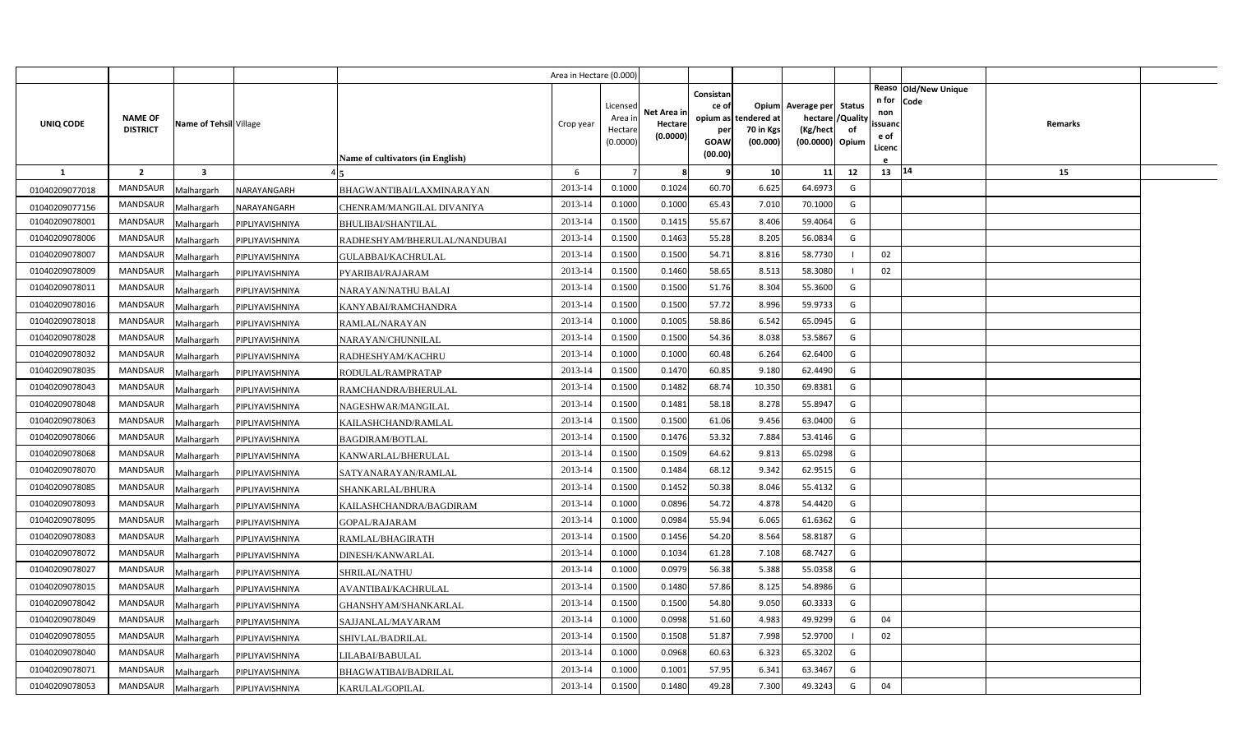|                |                                   |                         |                 |                                  | Area in Hectare (0.000) |                                            |                                    |                                                          |                                      |                                                                              |    |                                          |                              |         |  |
|----------------|-----------------------------------|-------------------------|-----------------|----------------------------------|-------------------------|--------------------------------------------|------------------------------------|----------------------------------------------------------|--------------------------------------|------------------------------------------------------------------------------|----|------------------------------------------|------------------------------|---------|--|
| UNIQ CODE      | <b>NAME OF</b><br><b>DISTRICT</b> | Name of Tehsil Village  |                 | Name of cultivators (in English) | Crop year               | Licensed<br>Area ir<br>Hectare<br>(0.0000) | Net Area in<br>Hectare<br>(0.0000) | Consistan<br>ce of<br>opium as<br>per<br>GOAW<br>(00.00) | tendered at<br>70 in Kgs<br>(00.000) | Opium Average per Status<br>hectare / Quality<br>(Kg/hect<br>(00.0000) Opium | of | n for<br>non<br>ssuand<br>e of<br>Licenc | Reaso Old/New Unique<br>Code | Remarks |  |
| $\mathbf{1}$   | $\overline{2}$                    | $\overline{\mathbf{3}}$ |                 |                                  | 6                       | $\overline{7}$                             | 8                                  | q                                                        | 10                                   | 11                                                                           | 12 | 13   14                                  |                              | 15      |  |
| 01040209077018 | <b>MANDSAUR</b>                   | Malhargarh              | NARAYANGARH     | BHAGWANTIBAI/LAXMINARAYAN        | 2013-14                 | 0.1000                                     | 0.1024                             | 60.70                                                    | 6.625                                | 64.6973                                                                      | G  |                                          |                              |         |  |
| 01040209077156 | <b>MANDSAUR</b>                   | Malhargarh              | NARAYANGARH     | CHENRAM/MANGILAL DIVANIYA        | 2013-14                 | 0.1000                                     | 0.1000                             | 65.43                                                    | 7.010                                | 70.1000                                                                      | G  |                                          |                              |         |  |
| 01040209078001 | MANDSAUR                          | Malhargarh              | PIPLIYAVISHNIYA | BHULIBAI/SHANTILAL               | 2013-14                 | 0.1500                                     | 0.1415                             | 55.67                                                    | 8.406                                | 59.4064                                                                      | G  |                                          |                              |         |  |
| 01040209078006 | <b>MANDSAUR</b>                   | Malhargarh              | PIPLIYAVISHNIYA | RADHESHYAM/BHERULAL/NANDUBAI     | 2013-14                 | 0.1500                                     | 0.1463                             | 55.28                                                    | 8.205                                | 56.0834                                                                      | G  |                                          |                              |         |  |
| 01040209078007 | MANDSAUR                          | Malhargarh              | PIPLIYAVISHNIYA | GULABBAI/KACHRULAL               | 2013-14                 | 0.1500                                     | 0.1500                             | 54.71                                                    | 8.816                                | 58.7730                                                                      |    | 02                                       |                              |         |  |
| 01040209078009 | <b>MANDSAUR</b>                   | Malhargarh              | PIPLIYAVISHNIYA | PYARIBAI/RAJARAM                 | 2013-14                 | 0.1500                                     | 0.1460                             | 58.65                                                    | 8.513                                | 58.3080                                                                      |    | 02                                       |                              |         |  |
| 01040209078011 | MANDSAUR                          | Malhargarh              | PIPLIYAVISHNIYA | NARAYAN/NATHU BALAI              | 2013-14                 | 0.1500                                     | 0.1500                             | 51.76                                                    | 8.304                                | 55.3600                                                                      | G  |                                          |                              |         |  |
| 01040209078016 | MANDSAUR                          | Malhargarh              | PIPLIYAVISHNIYA | KANYABAI/RAMCHANDRA              | 2013-14                 | 0.1500                                     | 0.1500                             | 57.72                                                    | 8.996                                | 59.9733                                                                      | G  |                                          |                              |         |  |
| 01040209078018 | MANDSAUR                          | Malhargarh              | PIPLIYAVISHNIYA | RAMLAL/NARAYAN                   | 2013-14                 | 0.1000                                     | 0.1005                             | 58.86                                                    | 6.542                                | 65.0945                                                                      | G  |                                          |                              |         |  |
| 01040209078028 | MANDSAUR                          | Malhargarh              | PIPLIYAVISHNIYA | NARAYAN/CHUNNILAL                | 2013-14                 | 0.1500                                     | 0.1500                             | 54.36                                                    | 8.038                                | 53.5867                                                                      | G  |                                          |                              |         |  |
| 01040209078032 | <b>MANDSAUR</b>                   | Malhargarh              | PIPLIYAVISHNIYA | RADHESHYAM/KACHRU                | 2013-14                 | 0.1000                                     | 0.1000                             | 60.48                                                    | 6.264                                | 62.6400                                                                      | G  |                                          |                              |         |  |
| 01040209078035 | <b>MANDSAUR</b>                   | Malhargarh              | PIPLIYAVISHNIYA | RODULAL/RAMPRATAP                | 2013-14                 | 0.1500                                     | 0.1470                             | 60.85                                                    | 9.180                                | 62.4490                                                                      | G  |                                          |                              |         |  |
| 01040209078043 | <b>MANDSAUR</b>                   | Malhargarh              | PIPLIYAVISHNIYA | RAMCHANDRA/BHERULAL              | 2013-14                 | 0.1500                                     | 0.1482                             | 68.74                                                    | 10.350                               | 69.8381                                                                      | G  |                                          |                              |         |  |
| 01040209078048 | <b>MANDSAUR</b>                   | Malhargarh              | PIPLIYAVISHNIYA | NAGESHWAR/MANGILAL               | 2013-14                 | 0.1500                                     | 0.1481                             | 58.18                                                    | 8.278                                | 55.8947                                                                      | G  |                                          |                              |         |  |
| 01040209078063 | <b>MANDSAUR</b>                   | Malhargarh              | PIPLIYAVISHNIYA | KAILASHCHAND/RAMLAL              | 2013-14                 | 0.1500                                     | 0.1500                             | 61.06                                                    | 9.456                                | 63.0400                                                                      | G  |                                          |                              |         |  |
| 01040209078066 | <b>MANDSAUR</b>                   | Malhargarh              | PIPLIYAVISHNIYA | <b>BAGDIRAM/BOTLAL</b>           | 2013-14                 | 0.1500                                     | 0.1476                             | 53.32                                                    | 7.884                                | 53.4146                                                                      | G  |                                          |                              |         |  |
| 01040209078068 | <b>MANDSAUR</b>                   | Malhargarh              | PIPLIYAVISHNIYA | KANWARLAL/BHERULAL               | 2013-14                 | 0.1500                                     | 0.1509                             | 64.62                                                    | 9.813                                | 65.0298                                                                      | G  |                                          |                              |         |  |
| 01040209078070 | <b>MANDSAUR</b>                   | Malhargarh              | PIPLIYAVISHNIYA | SATYANARAYAN/RAMLAL              | 2013-14                 | 0.1500                                     | 0.1484                             | 68.12                                                    | 9.342                                | 62.9515                                                                      | G  |                                          |                              |         |  |
| 01040209078085 | <b>MANDSAUR</b>                   | Malhargarh              | PIPLIYAVISHNIYA | SHANKARLAL/BHURA                 | 2013-14                 | 0.1500                                     | 0.1452                             | 50.38                                                    | 8.046                                | 55.4132                                                                      | G  |                                          |                              |         |  |
| 01040209078093 | <b>MANDSAUR</b>                   | Malhargarh              | PIPLIYAVISHNIYA | KAILASHCHANDRA/BAGDIRAM          | 2013-14                 | 0.1000                                     | 0.0896                             | 54.72                                                    | 4.878                                | 54.4420                                                                      | G  |                                          |                              |         |  |
| 01040209078095 | MANDSAUR                          | Malhargarh              | PIPLIYAVISHNIYA | GOPAL/RAJARAM                    | 2013-14                 | 0.1000                                     | 0.0984                             | 55.94                                                    | 6.065                                | 61.6362                                                                      | G  |                                          |                              |         |  |
| 01040209078083 | <b>MANDSAUR</b>                   | Malhargarh              | PIPLIYAVISHNIYA | RAMLAL/BHAGIRATH                 | 2013-14                 | 0.1500                                     | 0.1456                             | 54.20                                                    | 8.564                                | 58.8187                                                                      | G  |                                          |                              |         |  |
| 01040209078072 | MANDSAUR                          | Malhargarh              | PIPLIYAVISHNIYA | DINESH/KANWARLAL                 | 2013-14                 | 0.1000                                     | 0.1034                             | 61.28                                                    | 7.108                                | 68.7427                                                                      | G  |                                          |                              |         |  |
| 01040209078027 | <b>MANDSAUR</b>                   | Malhargarh              | PIPLIYAVISHNIYA | SHRILAL/NATHU                    | 2013-14                 | 0.1000                                     | 0.0979                             | 56.38                                                    | 5.388                                | 55.0358                                                                      | G  |                                          |                              |         |  |
| 01040209078015 | MANDSAUR                          | Malhargarh              | PIPLIYAVISHNIYA | AVANTIBAI/KACHRULAL              | 2013-14                 | 0.1500                                     | 0.1480                             | 57.86                                                    | 8.125                                | 54.8986                                                                      | G  |                                          |                              |         |  |
| 01040209078042 | MANDSAUR                          | Malhargarh              | PIPLIYAVISHNIYA | GHANSHYAM/SHANKARLAL             | 2013-14                 | 0.1500                                     | 0.1500                             | 54.80                                                    | 9.050                                | 60.3333                                                                      | G  |                                          |                              |         |  |
| 01040209078049 | <b>MANDSAUR</b>                   | Malhargarh              | PIPLIYAVISHNIYA | SAJJANLAL/MAYARAM                | 2013-14                 | 0.1000                                     | 0.0998                             | 51.60                                                    | 4.983                                | 49.9299                                                                      | G  | 04                                       |                              |         |  |
| 01040209078055 | MANDSAUR                          | Malhargarh              | PIPLIYAVISHNIYA | SHIVLAL/BADRILAL                 | 2013-14                 | 0.1500                                     | 0.1508                             | 51.87                                                    | 7.998                                | 52.9700                                                                      |    | 02                                       |                              |         |  |
| 01040209078040 | <b>MANDSAUR</b>                   | Malhargarh              | PIPLIYAVISHNIYA | LILABAI/BABULAL                  | 2013-14                 | 0.1000                                     | 0.0968                             | 60.63                                                    | 6.323                                | 65.3202                                                                      | G  |                                          |                              |         |  |
| 01040209078071 | MANDSAUR                          | Malhargarh              | PIPLIYAVISHNIYA | BHAGWATIBAI/BADRILAL             | 2013-14                 | 0.1000                                     | 0.1001                             | 57.95                                                    | 6.341                                | 63.3467                                                                      | G  |                                          |                              |         |  |
| 01040209078053 | MANDSAUR                          | Malhargarh              | PIPLIYAVISHNIYA | KARULAL/GOPILAL                  | 2013-14                 | 0.1500                                     | 0.1480                             | 49.28                                                    | 7.300                                | 49.3243                                                                      | G  | 04                                       |                              |         |  |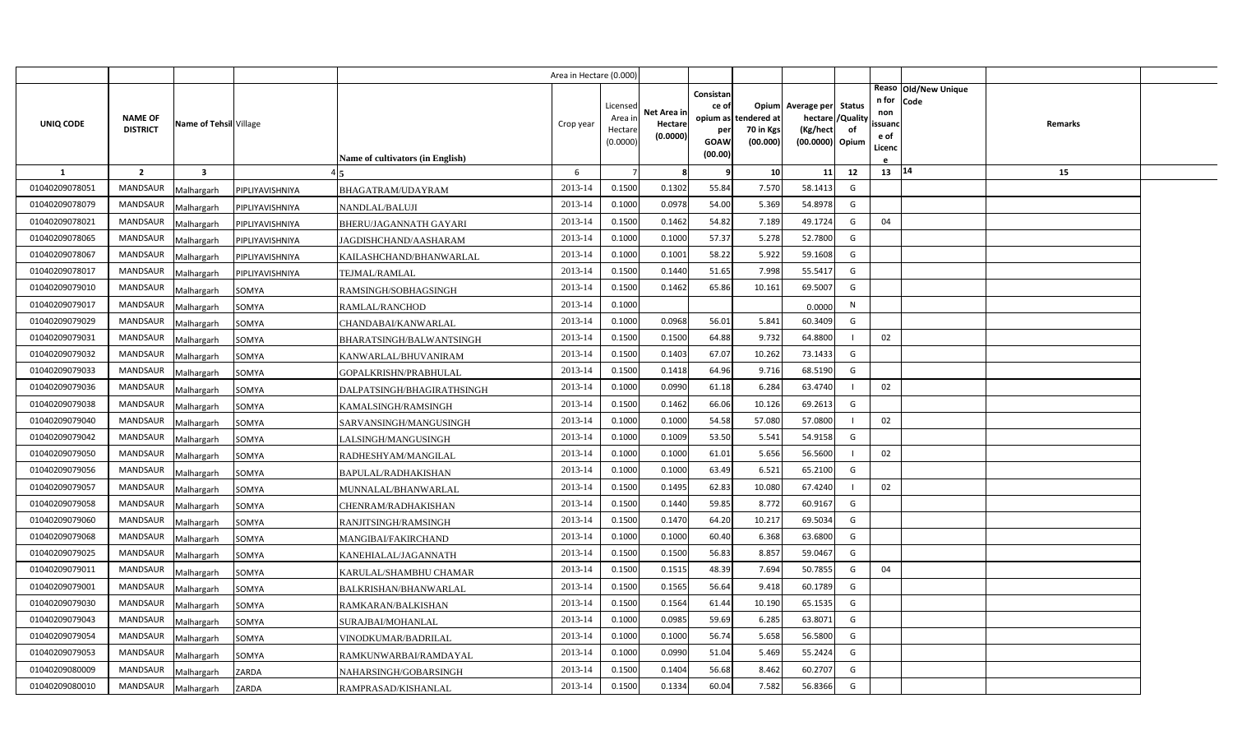|                |                                   |                         |                 |                                  | Area in Hectare (0.000 |                    |             |                    |                                   |                          |                |                |                              |         |  |
|----------------|-----------------------------------|-------------------------|-----------------|----------------------------------|------------------------|--------------------|-------------|--------------------|-----------------------------------|--------------------------|----------------|----------------|------------------------------|---------|--|
|                |                                   |                         |                 |                                  |                        | Licensed           | Net Area in | Consistan<br>ce of |                                   | Opium Average per Status |                | n for<br>non   | Reaso Old/New Unique<br>Code |         |  |
| UNIQ CODE      | <b>NAME OF</b><br><b>DISTRICT</b> | Name of Tehsil Village  |                 |                                  | Crop year              | Area in<br>Hectare | Hectare     | per                | opium as tendered at<br>70 in Kgs | hectare /<br>(Kg/hect    | /Quality<br>of | ssuanc         |                              | Remarks |  |
|                |                                   |                         |                 |                                  |                        | (0.0000)           | (0.0000)    | GOAW               | (00.000)                          | (00.0000) Opium          |                | e of<br>Licenc |                              |         |  |
|                |                                   |                         |                 | Name of cultivators (in English) |                        |                    |             | (00.00)            |                                   |                          |                |                |                              |         |  |
| <b>1</b>       | $\overline{2}$                    | $\overline{\mathbf{3}}$ |                 |                                  | 6                      |                    | -8          | q                  | 10                                | 11                       | 12             | 13   14        |                              | 15      |  |
| 01040209078051 | <b>MANDSAUR</b>                   | Malhargarh              | PIPLIYAVISHNIYA | BHAGATRAM/UDAYRAM                | 2013-14                | 0.1500             | 0.1302      | 55.84              | 7.570                             | 58.1413                  | G              |                |                              |         |  |
| 01040209078079 | MANDSAUR                          | Malhargarh              | PIPLIYAVISHNIYA | NANDLAL/BALUJI                   | 2013-14                | 0.1000             | 0.0978      | 54.00              | 5.369                             | 54.8978                  | G              |                |                              |         |  |
| 01040209078021 | <b>MANDSAUR</b>                   | Malhargarh              | PIPLIYAVISHNIYA | BHERU/JAGANNATH GAYARI           | 2013-14                | 0.1500             | 0.1462      | 54.82              | 7.189                             | 49.1724                  | G              | 04             |                              |         |  |
| 01040209078065 | <b>MANDSAUR</b>                   | Malhargarh              | PIPLIYAVISHNIYA | JAGDISHCHAND/AASHARAM            | 2013-14                | 0.1000             | 0.1000      | 57.37              | 5.278                             | 52.7800                  | G              |                |                              |         |  |
| 01040209078067 | <b>MANDSAUR</b>                   | Malhargarh              | PIPLIYAVISHNIYA | KAILASHCHAND/BHANWARLAL          | 2013-14                | 0.1000             | 0.1001      | 58.22              | 5.922                             | 59.1608                  | G              |                |                              |         |  |
| 01040209078017 | <b>MANDSAUR</b>                   | Malhargarh              | PIPLIYAVISHNIYA | TEJMAL/RAMLAL                    | 2013-14                | 0.1500             | 0.1440      | 51.65              | 7.998                             | 55.5417                  | G              |                |                              |         |  |
| 01040209079010 | <b>MANDSAUR</b>                   | Malhargarh              | SOMYA           | RAMSINGH/SOBHAGSINGH             | 2013-14                | 0.1500             | 0.1462      | 65.86              | 10.161                            | 69.5007                  | G              |                |                              |         |  |
| 01040209079017 | <b>MANDSAUR</b>                   | Malhargarh              | SOMYA           | <b>RAMLAL/RANCHOD</b>            | 2013-14                | 0.1000             |             |                    |                                   | 0.0000                   | N              |                |                              |         |  |
| 01040209079029 | <b>MANDSAUR</b>                   | Malhargarh              | SOMYA           | CHANDABAI/KANWARLAL              | 2013-14                | 0.1000             | 0.0968      | 56.01              | 5.841                             | 60.3409                  | G              |                |                              |         |  |
| 01040209079031 | <b>MANDSAUR</b>                   | Malhargarh              | SOMYA           | BHARATSINGH/BALWANTSINGH         | 2013-14                | 0.1500             | 0.1500      | 64.88              | 9.732                             | 64.8800                  |                | 02             |                              |         |  |
| 01040209079032 | <b>MANDSAUR</b>                   | Malhargarh              | SOMYA           | KANWARLAL/BHUVANIRAM             | 2013-14                | 0.1500             | 0.1403      | 67.07              | 10.262                            | 73.1433                  | G              |                |                              |         |  |
| 01040209079033 | <b>MANDSAUR</b>                   | Malhargarh              | SOMYA           | GOPALKRISHN/PRABHULAL            | 2013-14                | 0.1500             | 0.1418      | 64.96              | 9.716                             | 68.5190                  | G              |                |                              |         |  |
| 01040209079036 | MANDSAUR                          | Malhargarh              | SOMYA           | DALPATSINGH/BHAGIRATHSINGH       | 2013-14                | 0.1000             | 0.0990      | 61.18              | 6.284                             | 63.4740                  |                | 02             |                              |         |  |
| 01040209079038 | <b>MANDSAUR</b>                   | Malhargarh              | SOMYA           | KAMALSINGH/RAMSINGH              | 2013-14                | 0.1500             | 0.1462      | 66.06              | 10.126                            | 69.2613                  | G              |                |                              |         |  |
| 01040209079040 | MANDSAUR                          | Malhargarh              | SOMYA           | SARVANSINGH/MANGUSINGH           | 2013-14                | 0.1000             | 0.1000      | 54.58              | 57.080                            | 57.0800                  |                | 02             |                              |         |  |
| 01040209079042 | MANDSAUR                          | Malhargarh              | SOMYA           | LALSINGH/MANGUSINGH              | 2013-14                | 0.1000             | 0.1009      | 53.50              | 5.541                             | 54.9158                  | G              |                |                              |         |  |
| 01040209079050 | MANDSAUR                          | Malhargarh              | SOMYA           | RADHESHYAM/MANGILAL              | 2013-14                | 0.1000             | 0.1000      | 61.01              | 5.656                             | 56.5600                  |                | 02             |                              |         |  |
| 01040209079056 | MANDSAUR                          | Malhargarh              | SOMYA           | BAPULAL/RADHAKISHAN              | 2013-14                | 0.1000             | 0.1000      | 63.49              | 6.521                             | 65.2100                  | G              |                |                              |         |  |
| 01040209079057 | MANDSAUR                          | Malhargarh              | SOMYA           | MUNNALAL/BHANWARLAL              | 2013-14                | 0.1500             | 0.1495      | 62.83              | 10.080                            | 67.4240                  |                | 02             |                              |         |  |
| 01040209079058 | <b>MANDSAUR</b>                   | Malhargarh              | SOMYA           | CHENRAM/RADHAKISHAN              | 2013-14                | 0.1500             | 0.1440      | 59.85              | 8.772                             | 60.9167                  | G              |                |                              |         |  |
| 01040209079060 | <b>MANDSAUR</b>                   | Malhargarh              | SOMYA           | RANJITSINGH/RAMSINGH             | 2013-14                | 0.1500             | 0.1470      | 64.20              | 10.217                            | 69.5034                  | G              |                |                              |         |  |
| 01040209079068 | <b>MANDSAUR</b>                   | Malhargarh              | SOMYA           | MANGIBAI/FAKIRCHAND              | 2013-14                | 0.1000             | 0.1000      | 60.40              | 6.368                             | 63.6800                  | G              |                |                              |         |  |
| 01040209079025 | <b>MANDSAUR</b>                   | Malhargarh              | SOMYA           | KANEHIALAL/JAGANNATH             | 2013-14                | 0.1500             | 0.1500      | 56.83              | 8.857                             | 59.0467                  | G              |                |                              |         |  |
| 01040209079011 | MANDSAUR                          | Malhargarh              | SOMYA           | KARULAL/SHAMBHU CHAMAR           | 2013-14                | 0.1500             | 0.1515      | 48.39              | 7.694                             | 50.7855                  | G              | 04             |                              |         |  |
| 01040209079001 | <b>MANDSAUR</b>                   | Malhargarh              | SOMYA           | BALKRISHAN/BHANWARLAL            | 2013-14                | 0.1500             | 0.1565      | 56.64              | 9.418                             | 60.1789                  | G              |                |                              |         |  |
| 01040209079030 | <b>MANDSAUR</b>                   | Malhargarh              | SOMYA           | RAMKARAN/BALKISHAN               | 2013-14                | 0.1500             | 0.1564      | 61.44              | 10.190                            | 65.1535                  | G              |                |                              |         |  |
| 01040209079043 | <b>MANDSAUR</b>                   | Malhargarh              | SOMYA           | SURAJBAI/MOHANLAL                | 2013-14                | 0.1000             | 0.0985      | 59.69              | 6.285                             | 63.8071                  | G              |                |                              |         |  |
| 01040209079054 | <b>MANDSAUR</b>                   | Malhargarh              | SOMYA           | VINODKUMAR/BADRILAL              | 2013-14                | 0.1000             | 0.1000      | 56.74              | 5.658                             | 56.5800                  | G              |                |                              |         |  |
| 01040209079053 | <b>MANDSAUR</b>                   | Malhargarh              | SOMYA           | RAMKUNWARBAI/RAMDAYAL            | 2013-14                | 0.1000             | 0.0990      | 51.04              | 5.469                             | 55.2424                  | G              |                |                              |         |  |
| 01040209080009 | <b>MANDSAUR</b>                   | Malhargarh              | ZARDA           | NAHARSINGH/GOBARSINGH            | 2013-14                | 0.1500             | 0.1404      | 56.68              | 8.462                             | 60.2707                  | G              |                |                              |         |  |
| 01040209080010 | MANDSAUR                          | Malhargarh              | ZARDA           | RAMPRASAD/KISHANLAL              | 2013-14                | 0.1500             | 0.1334      | 60.04              | 7.582                             | 56.8366                  | G              |                |                              |         |  |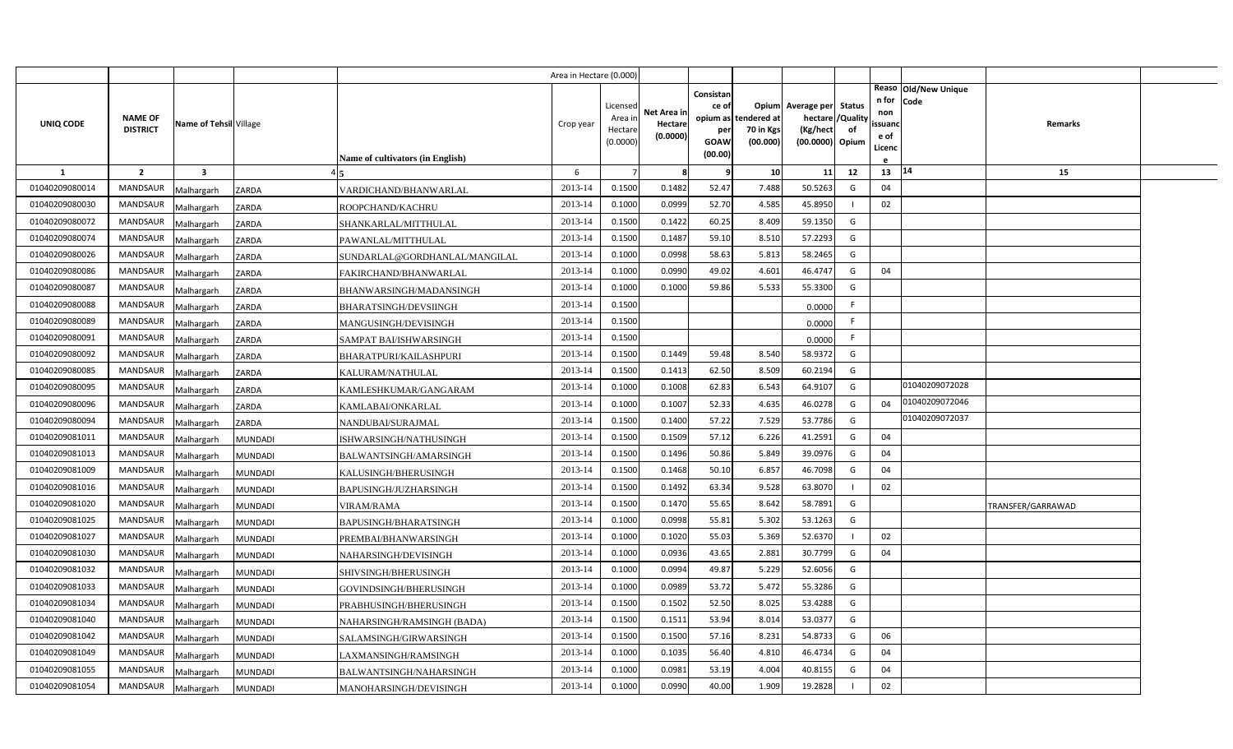|                |                                   |                         |                                              | Area in Hectare (0.000) |                                            |                                    |                                                     |                                               |                                                                    |                |                                          |                              |                   |  |
|----------------|-----------------------------------|-------------------------|----------------------------------------------|-------------------------|--------------------------------------------|------------------------------------|-----------------------------------------------------|-----------------------------------------------|--------------------------------------------------------------------|----------------|------------------------------------------|------------------------------|-------------------|--|
| UNIQ CODE      | <b>NAME OF</b><br><b>DISTRICT</b> | Name of Tehsil Village  | <b>Name of cultivators (in English)</b>      | Crop year               | Licensed<br>Area in<br>Hectare<br>(0.0000) | Net Area in<br>Hectare<br>(0.0000) | Consistan<br>ce of<br>per<br><b>GOAW</b><br>(00.00) | opium as tendered at<br>70 in Kgs<br>(00.000) | Opium Average per Status<br>hectare<br>(Kg/hect<br>(00.0000) Opium | /Quality<br>of | n for<br>non<br>ssuand<br>e of<br>Licenc | Reaso Old/New Unique<br>Code | Remarks           |  |
| 1              | $\overline{2}$                    | $\overline{\mathbf{3}}$ |                                              | 6                       |                                            | 8                                  | 9                                                   | 10                                            | 11                                                                 | 12             | 13                                       | 14                           | 15                |  |
| 01040209080014 | <b>MANDSAUR</b>                   | Malhargarh              | ZARDA<br>VARDICHAND/BHANWARLAL               | 2013-14                 | 0.1500                                     | 0.1482                             | 52.47                                               | 7.488                                         | 50.5263                                                            | G              | 04                                       |                              |                   |  |
| 01040209080030 | <b>MANDSAUR</b>                   | Malhargarh              | ZARDA<br>ROOPCHAND/KACHRU                    | 2013-14                 | 0.1000                                     | 0.0999                             | 52.70                                               | 4.585                                         | 45.8950                                                            |                | 02                                       |                              |                   |  |
| 01040209080072 | <b>MANDSAUR</b>                   | Malhargarh              | ZARDA<br>SHANKARLAL/MITTHULAL                | 2013-14                 | 0.1500                                     | 0.1422                             | 60.25                                               | 8.409                                         | 59.1350                                                            | G              |                                          |                              |                   |  |
| 01040209080074 | <b>MANDSAUR</b>                   | Malhargarh              | ZARDA<br>PAWANLAL/MITTHULAL                  | 2013-14                 | 0.1500                                     | 0.1487                             | 59.10                                               | 8.51                                          | 57.2293                                                            | G              |                                          |                              |                   |  |
| 01040209080026 | <b>MANDSAUR</b>                   | Malhargarh              | ZARDA<br>SUNDARLAL@GORDHANLAL/MANGILAL       | 2013-14                 | 0.1000                                     | 0.0998                             | 58.63                                               | 5.813                                         | 58.2465                                                            | G              |                                          |                              |                   |  |
| 01040209080086 | <b>MANDSAUR</b>                   | Malhargarh              | ZARDA<br>FAKIRCHAND/BHANWARLAL               | 2013-14                 | 0.1000                                     | 0.0990                             | 49.02                                               | 4.601                                         | 46.4747                                                            | G              | 04                                       |                              |                   |  |
| 01040209080087 | <b>MANDSAUR</b>                   | Malhargarh              | ZARDA<br>BHANWARSINGH/MADANSINGH             | 2013-14                 | 0.1000                                     | 0.1000                             | 59.86                                               | 5.533                                         | 55.3300                                                            | G              |                                          |                              |                   |  |
| 01040209080088 | <b>MANDSAUR</b>                   | Malhargarh              | ZARDA<br><b>BHARATSINGH/DEVSIINGH</b>        | 2013-14                 | 0.1500                                     |                                    |                                                     |                                               | 0.0000                                                             | F              |                                          |                              |                   |  |
| 01040209080089 | <b>MANDSAUR</b>                   | Malhargarh              | ZARDA<br>MANGUSINGH/DEVISINGH                | 2013-14                 | 0.1500                                     |                                    |                                                     |                                               | 0.0000                                                             | F              |                                          |                              |                   |  |
| 01040209080091 | <b>MANDSAUR</b>                   | Malhargarh              | ZARDA<br>SAMPAT BAI/ISHWARSINGH              | 2013-14                 | 0.1500                                     |                                    |                                                     |                                               | 0.0000                                                             | F.             |                                          |                              |                   |  |
| 01040209080092 | <b>MANDSAUR</b>                   | Malhargarh              | ZARDA<br>BHARATPURI/KAILASHPURI              | 2013-14                 | 0.1500                                     | 0.1449                             | 59.48                                               | 8.540                                         | 58.9372                                                            | G              |                                          |                              |                   |  |
| 01040209080085 | <b>MANDSAUR</b>                   | Malhargarh              | ZARDA<br>KALURAM/NATHULAL                    | 2013-14                 | 0.1500                                     | 0.1413                             | 62.50                                               | 8.509                                         | 60.2194                                                            | G              |                                          |                              |                   |  |
| 01040209080095 | <b>MANDSAUR</b>                   | Malhargarh              | ZARDA<br>KAMLESHKUMAR/GANGARAM               | 2013-14                 | 0.1000                                     | 0.1008                             | 62.83                                               | 6.543                                         | 64.9107                                                            | G              |                                          | 01040209072028               |                   |  |
| 01040209080096 | <b>MANDSAUR</b>                   | Malhargarh              | ZARDA<br>KAMLABAI/ONKARLAL                   | 2013-14                 | 0.1000                                     | 0.1007                             | 52.33                                               | 4.635                                         | 46.0278                                                            | G              | 04                                       | 01040209072046               |                   |  |
| 01040209080094 | <b>MANDSAUR</b>                   | Malhargarh              | ZARDA<br>NANDUBAI/SURAJMAL                   | 2013-14                 | 0.1500                                     | 0.1400                             | 57.22                                               | 7.529                                         | 53.7786                                                            | G              |                                          | 01040209072037               |                   |  |
| 01040209081011 | <b>MANDSAUR</b>                   | Malhargarh              | <b>MUNDADI</b><br>ISHWARSINGH/NATHUSINGH     | 2013-14                 | 0.1500                                     | 0.1509                             | 57.12                                               | 6.226                                         | 41.2591                                                            | G              | 04                                       |                              |                   |  |
| 01040209081013 | MANDSAUR                          | Malhargarh              | <b>MUNDADI</b><br>BALWANTSINGH/AMARSINGH     | 2013-14                 | 0.1500                                     | 0.1496                             | 50.86                                               | 5.849                                         | 39.0976                                                            | G              | 04                                       |                              |                   |  |
| 01040209081009 | <b>MANDSAUR</b>                   | Malhargarh              | <b>MUNDADI</b><br>KALUSINGH/BHERUSINGH       | 2013-14                 | 0.1500                                     | 0.1468                             | 50.10                                               | 6.857                                         | 46.7098                                                            | G              | 04                                       |                              |                   |  |
| 01040209081016 | <b>MANDSAUR</b>                   | Malhargarh              | MUNDADI<br>BAPUSINGH/JUZHARSINGH             | 2013-14                 | 0.1500                                     | 0.1492                             | 63.34                                               | 9.528                                         | 63.8070                                                            |                | 02                                       |                              |                   |  |
| 01040209081020 | <b>MANDSAUR</b>                   | Malhargarh              | <b>MUNDADI</b><br>VIRAM/RAMA                 | 2013-14                 | 0.1500                                     | 0.1470                             | 55.65                                               | 8.642                                         | 58.7891                                                            | G              |                                          |                              | TRANSFER/GARRAWAD |  |
| 01040209081025 | <b>MANDSAUR</b>                   | Malhargarh              | MUNDADI<br>BAPUSINGH/BHARATSINGH             | 2013-14                 | 0.1000                                     | 0.0998                             | 55.81                                               | 5.302                                         | 53.1263                                                            | G              |                                          |                              |                   |  |
| 01040209081027 | <b>MANDSAUR</b>                   | Malhargarh              | <b>MUNDADI</b><br>PREMBAI/BHANWARSINGH       | 2013-14                 | 0.1000                                     | 0.1020                             | 55.03                                               | 5.369                                         | 52.6370                                                            |                | 02                                       |                              |                   |  |
| 01040209081030 | <b>MANDSAUR</b>                   | Malhargarh              | <b>MUNDADI</b><br>NAHARSINGH/DEVISINGH       | 2013-14                 | 0.1000                                     | 0.0936                             | 43.65                                               | 2.881                                         | 30.7799                                                            | G              | 04                                       |                              |                   |  |
| 01040209081032 | <b>MANDSAUR</b>                   | Malhargarh              | <b>MUNDADI</b><br>SHIVSINGH/BHERUSINGH       | 2013-14                 | 0.1000                                     | 0.0994                             | 49.87                                               | 5.229                                         | 52.6056                                                            | G              |                                          |                              |                   |  |
| 01040209081033 | <b>MANDSAUR</b>                   | Malhargarh              | <b>MUNDADI</b><br>GOVINDSINGH/BHERUSINGH     | 2013-14                 | 0.1000                                     | 0.0989                             | 53.72                                               | 5.472                                         | 55.3286                                                            | G              |                                          |                              |                   |  |
| 01040209081034 | <b>MANDSAUR</b>                   | Malhargarh              | <b>MUNDADI</b><br>PRABHUSINGH/BHERUSINGH     | 2013-14                 | 0.1500                                     | 0.1502                             | 52.50                                               | 8.025                                         | 53.4288                                                            | G              |                                          |                              |                   |  |
| 01040209081040 | MANDSAUR                          | Malhargarh              | <b>MUNDADI</b><br>NAHARSINGH/RAMSINGH (BADA) | 2013-14                 | 0.1500                                     | 0.1511                             | 53.94                                               | 8.014                                         | 53.0377                                                            | G              |                                          |                              |                   |  |
| 01040209081042 | MANDSAUR                          | Malhargarh              | <b>MUNDADI</b><br>SALAMSINGH/GIRWARSINGH     | 2013-14                 | 0.1500                                     | 0.1500                             | 57.16                                               | 8.231                                         | 54.8733                                                            | G              | 06                                       |                              |                   |  |
| 01040209081049 | <b>MANDSAUR</b>                   | Malhargarh              | <b>MUNDADI</b><br>LAXMANSINGH/RAMSINGH       | 2013-14                 | 0.1000                                     | 0.1035                             | 56.40                                               | 4.810                                         | 46.4734                                                            | G              | 04                                       |                              |                   |  |
| 01040209081055 | <b>MANDSAUR</b>                   | Malhargarh              | <b>MUNDADI</b><br>BALWANTSINGH/NAHARSINGH    | 2013-14                 | 0.1000                                     | 0.0981                             | 53.19                                               | 4.004                                         | 40.8155                                                            | G              | 04                                       |                              |                   |  |
| 01040209081054 | MANDSAUR                          | Malhargarh              | <b>MUNDADI</b><br>MANOHARSINGH/DEVISINGH     | 2013-14                 | 0.1000                                     | 0.0990                             | 40.00                                               | 1.909                                         | 19.2828                                                            |                | 02                                       |                              |                   |  |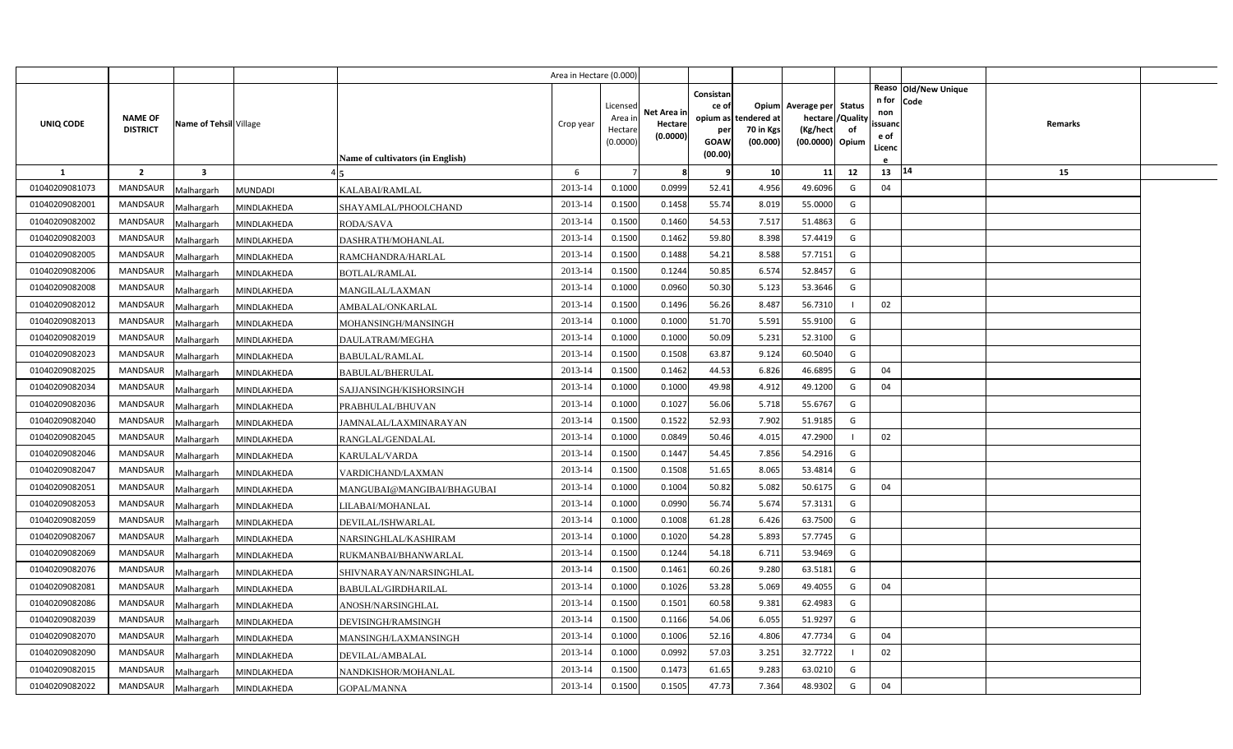|                |                                   |                         |                |                                         | Area in Hectare (0.000) |                                            |                                    |                                                     |                                               |                                                                    |                |                                          |                              |         |  |
|----------------|-----------------------------------|-------------------------|----------------|-----------------------------------------|-------------------------|--------------------------------------------|------------------------------------|-----------------------------------------------------|-----------------------------------------------|--------------------------------------------------------------------|----------------|------------------------------------------|------------------------------|---------|--|
| UNIQ CODE      | <b>NAME OF</b><br><b>DISTRICT</b> | Name of Tehsil Village  |                | <b>Name of cultivators (in English)</b> | Crop year               | Licensed<br>Area in<br>Hectare<br>(0.0000) | Net Area in<br>Hectare<br>(0.0000) | Consistan<br>ce of<br>per<br><b>GOAW</b><br>(00.00) | opium as tendered at<br>70 in Kgs<br>(00.000) | Opium Average per Status<br>hectare<br>(Kg/hect<br>(00.0000) Opium | /Quality<br>of | n for<br>non<br>ssuand<br>e of<br>Licenc | Reaso Old/New Unique<br>Code | Remarks |  |
| <b>1</b>       | $\overline{2}$                    | $\overline{\mathbf{3}}$ |                |                                         | 6                       |                                            | 8                                  | 9                                                   | 10                                            | 11                                                                 | 12             | 13                                       | 14                           | 15      |  |
| 01040209081073 | <b>MANDSAUR</b>                   | Malhargarh              | <b>MUNDADI</b> | KALABAI/RAMLAL                          | 2013-14                 | 0.1000                                     | 0.0999                             | 52.41                                               | 4.956                                         | 49.6096                                                            | G              | 04                                       |                              |         |  |
| 01040209082001 | <b>MANDSAUR</b>                   | Malhargarh              | MINDLAKHEDA    | SHAYAMLAL/PHOOLCHAND                    | 2013-14                 | 0.1500                                     | 0.1458                             | 55.74                                               | 8.019                                         | 55.0000                                                            | G              |                                          |                              |         |  |
| 01040209082002 | <b>MANDSAUR</b>                   | Malhargarh              | MINDLAKHEDA    | <b>RODA/SAVA</b>                        | 2013-14                 | 0.1500                                     | 0.1460                             | 54.53                                               | 7.517                                         | 51.4863                                                            | G              |                                          |                              |         |  |
| 01040209082003 | <b>MANDSAUR</b>                   | Malhargarh              | MINDLAKHEDA    | DASHRATH/MOHANLAL                       | 2013-14                 | 0.1500                                     | 0.1462                             | 59.80                                               | 8.398                                         | 57.4419                                                            | G              |                                          |                              |         |  |
| 01040209082005 | <b>MANDSAUR</b>                   | Malhargarh              | MINDLAKHEDA    | RAMCHANDRA/HARLAL                       | 2013-14                 | 0.1500                                     | 0.1488                             | 54.21                                               | 8.588                                         | 57.7151                                                            | G              |                                          |                              |         |  |
| 01040209082006 | <b>MANDSAUR</b>                   | Malhargarh              | MINDLAKHEDA    | <b>BOTLAL/RAMLAL</b>                    | 2013-14                 | 0.1500                                     | 0.1244                             | 50.85                                               | 6.574                                         | 52.8457                                                            | G              |                                          |                              |         |  |
| 01040209082008 | <b>MANDSAUR</b>                   | Malhargarh              | MINDLAKHEDA    | MANGILAL/LAXMAN                         | 2013-14                 | 0.1000                                     | 0.0960                             | 50.30                                               | 5.123                                         | 53.3646                                                            | G              |                                          |                              |         |  |
| 01040209082012 | <b>MANDSAUR</b>                   | Malhargarh              | MINDLAKHEDA    | AMBALAL/ONKARLAL                        | 2013-14                 | 0.1500                                     | 0.1496                             | 56.26                                               | 8.487                                         | 56.7310                                                            |                | 02                                       |                              |         |  |
| 01040209082013 | <b>MANDSAUR</b>                   | Malhargarh              | MINDLAKHEDA    | MOHANSINGH/MANSINGH                     | 2013-14                 | 0.1000                                     | 0.1000                             | 51.70                                               | 5.591                                         | 55.9100                                                            | G              |                                          |                              |         |  |
| 01040209082019 | <b>MANDSAUR</b>                   | Malhargarh              | MINDLAKHEDA    | DAULATRAM/MEGHA                         | 2013-14                 | 0.1000                                     | 0.1000                             | 50.09                                               | 5.231                                         | 52.3100                                                            | G              |                                          |                              |         |  |
| 01040209082023 | <b>MANDSAUR</b>                   | Malhargarh              | MINDLAKHEDA    | <b>BABULAL/RAMLAL</b>                   | 2013-14                 | 0.1500                                     | 0.1508                             | 63.87                                               | 9.124                                         | 60.5040                                                            | G              |                                          |                              |         |  |
| 01040209082025 | <b>MANDSAUR</b>                   | Malhargarh              | MINDLAKHEDA    | <b>BABULAL/BHERULAL</b>                 | 2013-14                 | 0.1500                                     | 0.1462                             | 44.53                                               | 6.826                                         | 46.6895                                                            | G              | 04                                       |                              |         |  |
| 01040209082034 | <b>MANDSAUR</b>                   | Malhargarh              | MINDLAKHEDA    | SAJJANSINGH/KISHORSINGH                 | 2013-14                 | 0.1000                                     | 0.1000                             | 49.98                                               | 4.912                                         | 49.1200                                                            | G              | 04                                       |                              |         |  |
| 01040209082036 | <b>MANDSAUR</b>                   | Malhargarh              | MINDLAKHEDA    | PRABHULAL/BHUVAN                        | 2013-14                 | 0.1000                                     | 0.1027                             | 56.06                                               | 5.718                                         | 55.6767                                                            | G              |                                          |                              |         |  |
| 01040209082040 | <b>MANDSAUR</b>                   | Malhargarh              | MINDLAKHEDA    | JAMNALAL/LAXMINARAYAN                   | 2013-14                 | 0.1500                                     | 0.1522                             | 52.93                                               | 7.902                                         | 51.9185                                                            | G              |                                          |                              |         |  |
| 01040209082045 | <b>MANDSAUR</b>                   | Malhargarh              | MINDLAKHEDA    | RANGLAL/GENDALAL                        | 2013-14                 | 0.1000                                     | 0.0849                             | 50.46                                               | 4.015                                         | 47.2900                                                            |                | 02                                       |                              |         |  |
| 01040209082046 | MANDSAUR                          | Malhargarh              | MINDLAKHEDA    | KARULAL/VARDA                           | 2013-14                 | 0.1500                                     | 0.1447                             | 54.45                                               | 7.856                                         | 54.2916                                                            | G              |                                          |                              |         |  |
| 01040209082047 | <b>MANDSAUR</b>                   | Malhargarh              | MINDLAKHEDA    | VARDICHAND/LAXMAN                       | 2013-14                 | 0.1500                                     | 0.1508                             | 51.65                                               | 8.065                                         | 53.4814                                                            | G              |                                          |                              |         |  |
| 01040209082051 | <b>MANDSAUR</b>                   | Malhargarh              | MINDLAKHEDA    | MANGUBAI@MANGIBAI/BHAGUBAI              | 2013-14                 | 0.1000                                     | 0.1004                             | 50.82                                               | 5.082                                         | 50.6175                                                            | G              | 04                                       |                              |         |  |
| 01040209082053 | <b>MANDSAUR</b>                   | Malhargarh              | MINDLAKHEDA    | LILABAI/MOHANLAL                        | 2013-14                 | 0.1000                                     | 0.0990                             | 56.74                                               | 5.674                                         | 57.3131                                                            | G              |                                          |                              |         |  |
| 01040209082059 | <b>MANDSAUR</b>                   | Malhargarh              | MINDLAKHEDA    | DEVILAL/ISHWARLAL                       | 2013-14                 | 0.1000                                     | 0.1008                             | 61.28                                               | 6.426                                         | 63.7500                                                            | G              |                                          |                              |         |  |
| 01040209082067 | <b>MANDSAUR</b>                   | Malhargarh              | MINDLAKHEDA    | NARSINGHLAL/KASHIRAM                    | 2013-14                 | 0.1000                                     | 0.1020                             | 54.28                                               | 5.893                                         | 57.7745                                                            | G              |                                          |                              |         |  |
| 01040209082069 | <b>MANDSAUR</b>                   | Malhargarh              | MINDLAKHEDA    | RUKMANBAI/BHANWARLAL                    | 2013-14                 | 0.1500                                     | 0.1244                             | 54.18                                               | 6.711                                         | 53.9469                                                            | G              |                                          |                              |         |  |
| 01040209082076 | <b>MANDSAUR</b>                   | Malhargarh              | MINDLAKHEDA    | SHIVNARAYAN/NARSINGHLAL                 | 2013-14                 | 0.1500                                     | 0.1461                             | 60.26                                               | 9.280                                         | 63.5181                                                            | G              |                                          |                              |         |  |
| 01040209082081 | <b>MANDSAUR</b>                   | Malhargarh              | MINDLAKHEDA    | BABULAL/GIRDHARILAL                     | 2013-14                 | 0.1000                                     | 0.1026                             | 53.28                                               | 5.069                                         | 49.4055                                                            | G              | 04                                       |                              |         |  |
| 01040209082086 | <b>MANDSAUR</b>                   | Malhargarh              | MINDLAKHEDA    | ANOSH/NARSINGHLAL                       | 2013-14                 | 0.1500                                     | 0.1501                             | 60.58                                               | 9.381                                         | 62.4983                                                            | G              |                                          |                              |         |  |
| 01040209082039 | <b>MANDSAUR</b>                   | Malhargarh              | MINDLAKHEDA    | DEVISINGH/RAMSINGH                      | 2013-14                 | 0.1500                                     | 0.1166                             | 54.06                                               | 6.055                                         | 51.9297                                                            | G              |                                          |                              |         |  |
| 01040209082070 | MANDSAUR                          | Malhargarh              | MINDLAKHEDA    | MANSINGH/LAXMANSINGH                    | 2013-14                 | 0.1000                                     | 0.1006                             | 52.16                                               | 4.806                                         | 47.7734                                                            | G              | 04                                       |                              |         |  |
| 01040209082090 | <b>MANDSAUR</b>                   | Malhargarh              | MINDLAKHEDA    | DEVILAL/AMBALAL                         | 2013-14                 | 0.1000                                     | 0.0992                             | 57.03                                               | 3.251                                         | 32.7722                                                            | $\blacksquare$ | 02                                       |                              |         |  |
| 01040209082015 | <b>MANDSAUR</b>                   | Malhargarh              | MINDLAKHEDA    | NANDKISHOR/MOHANLAL                     | 2013-14                 | 0.1500                                     | 0.1473                             | 61.65                                               | 9.283                                         | 63.0210                                                            | G              |                                          |                              |         |  |
| 01040209082022 | MANDSAUR                          | Malhargarh              | MINDLAKHEDA    | GOPAL/MANNA                             | 2013-14                 | 0.1500                                     | 0.1505                             | 47.73                                               | 7.364                                         | 48.9302                                                            | G              | 04                                       |                              |         |  |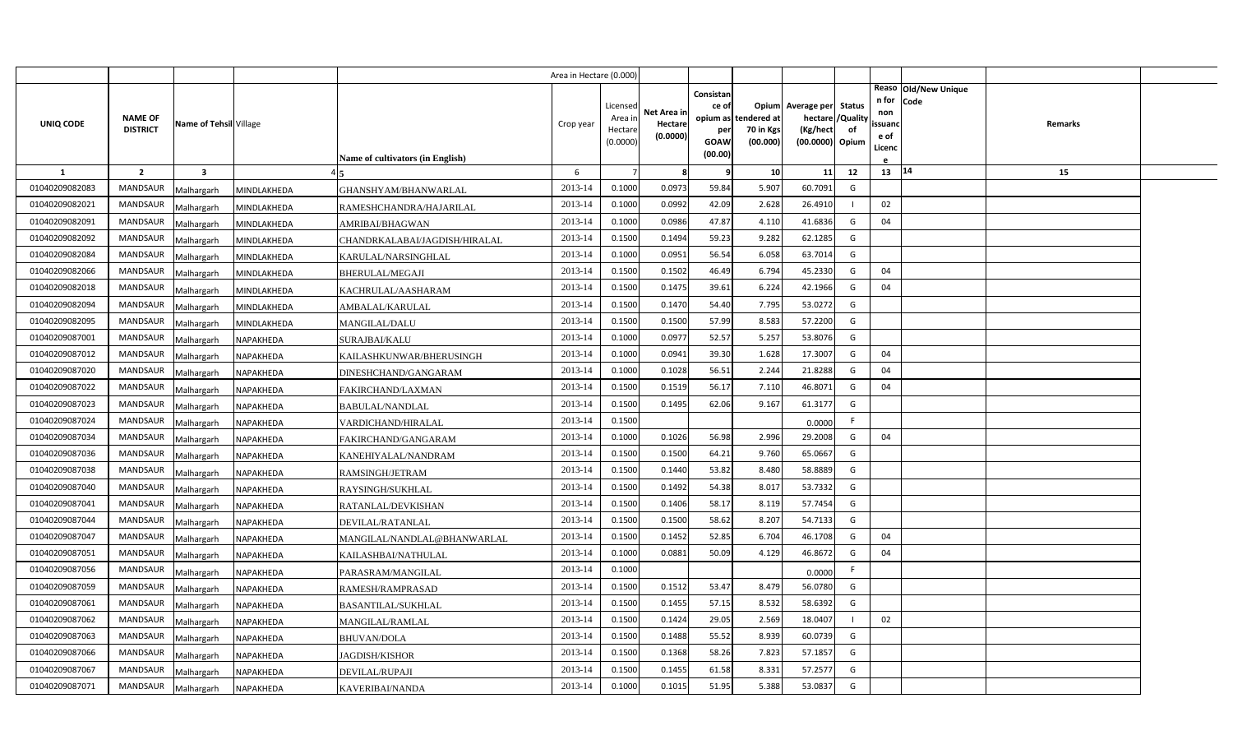|                |                                   |                         |                  |                                  | Area in Hectare (0.000) |                                            |                                    |                                                          |                                      |                                                                       |                     |                                          |                                |                |  |
|----------------|-----------------------------------|-------------------------|------------------|----------------------------------|-------------------------|--------------------------------------------|------------------------------------|----------------------------------------------------------|--------------------------------------|-----------------------------------------------------------------------|---------------------|------------------------------------------|--------------------------------|----------------|--|
| UNIQ CODE      | <b>NAME OF</b><br><b>DISTRICT</b> | Name of Tehsil Village  |                  | Name of cultivators (in English) | Crop year               | Licensed<br>Area in<br>Hectare<br>(0.0000) | Net Area in<br>Hectare<br>(0.0000) | Consistan<br>ce of<br>opium as<br>per<br>GOAW<br>(00.00) | tendered at<br>70 in Kgs<br>(00.000) | Opium Average per<br>hectare / Quality<br>(Kg/hect<br>(00.0000) Opium | <b>Status</b><br>of | n for<br>non<br>ssuand<br>e of<br>Licenc | Reaso   Old/New Unique<br>Code | <b>Remarks</b> |  |
| -1             | $\overline{2}$                    | $\overline{\mathbf{3}}$ |                  |                                  | 6                       |                                            | 8                                  | q                                                        | 10                                   | 11                                                                    | 12                  | 13   14                                  |                                | 15             |  |
| 01040209082083 | MANDSAUR                          | Malhargarh              | MINDLAKHEDA      | GHANSHYAM/BHANWARLAL             | 2013-14                 | 0.1000                                     | 0.0973                             | 59.84                                                    | 5.907                                | 60.7091                                                               | G                   |                                          |                                |                |  |
| 01040209082021 | <b>MANDSAUR</b>                   | Malhargarh              | MINDLAKHEDA      | RAMESHCHANDRA/HAJARILAL          | 2013-14                 | 0.1000                                     | 0.0992                             | 42.09                                                    | 2.628                                | 26.4910                                                               |                     | 02                                       |                                |                |  |
| 01040209082091 | <b>MANDSAUR</b>                   | Malhargarh              | MINDLAKHEDA      | AMRIBAI/BHAGWAN                  | 2013-14                 | 0.1000                                     | 0.0986                             | 47.87                                                    | 4.11                                 | 41.6836                                                               | G                   | 04                                       |                                |                |  |
| 01040209082092 | <b>MANDSAUR</b>                   | Malhargarh              | MINDLAKHEDA      | CHANDRKALABAI/JAGDISH/HIRALAL    | 2013-14                 | 0.1500                                     | 0.1494                             | 59.23                                                    | 9.282                                | 62.1285                                                               | G                   |                                          |                                |                |  |
| 01040209082084 | <b>MANDSAUR</b>                   | Malhargarh              | MINDLAKHEDA      | KARULAL/NARSINGHLAL              | 2013-14                 | 0.1000                                     | 0.0951                             | 56.54                                                    | 6.058                                | 63.7014                                                               | G                   |                                          |                                |                |  |
| 01040209082066 | <b>MANDSAUR</b>                   | Malhargarh              | MINDLAKHEDA      | <b>BHERULAL/MEGAJI</b>           | 2013-14                 | 0.1500                                     | 0.1502                             | 46.49                                                    | 6.794                                | 45.2330                                                               | G                   | 04                                       |                                |                |  |
| 01040209082018 | <b>MANDSAUR</b>                   | Malhargarh              | MINDLAKHEDA      | KACHRULAL/AASHARAM               | 2013-14                 | 0.1500                                     | 0.1475                             | 39.61                                                    | 6.224                                | 42.1966                                                               | G                   | 04                                       |                                |                |  |
| 01040209082094 | <b>MANDSAUR</b>                   | Malhargarh              | MINDLAKHEDA      | AMBALAL/KARULAL                  | 2013-14                 | 0.1500                                     | 0.1470                             | 54.40                                                    | 7.795                                | 53.0272                                                               | G                   |                                          |                                |                |  |
| 01040209082095 | <b>MANDSAUR</b>                   | Malhargarh              | MINDLAKHEDA      | MANGILAL/DALU                    | 2013-14                 | 0.1500                                     | 0.1500                             | 57.99                                                    | 8.583                                | 57.2200                                                               | G                   |                                          |                                |                |  |
| 01040209087001 | <b>MANDSAUR</b>                   | Malhargarh              | NAPAKHEDA        | SURAJBAI/KALU                    | 2013-14                 | 0.1000                                     | 0.0977                             | 52.57                                                    | 5.257                                | 53.8076                                                               | G                   |                                          |                                |                |  |
| 01040209087012 | <b>MANDSAUR</b>                   | Malhargarh              | NAPAKHEDA        | KAILASHKUNWAR/BHERUSINGH         | 2013-14                 | 0.1000                                     | 0.0941                             | 39.30                                                    | 1.628                                | 17.3007                                                               | G                   | 04                                       |                                |                |  |
| 01040209087020 | MANDSAUR                          | Malhargarh              | NAPAKHEDA        | DINESHCHAND/GANGARAM             | 2013-14                 | 0.1000                                     | 0.1028                             | 56.51                                                    | 2.244                                | 21.8288                                                               | G                   | 04                                       |                                |                |  |
| 01040209087022 | <b>MANDSAUR</b>                   | Malhargarh              | NAPAKHEDA        | FAKIRCHAND/LAXMAN                | 2013-14                 | 0.1500                                     | 0.1519                             | 56.17                                                    | 7.110                                | 46.8071                                                               | G                   | 04                                       |                                |                |  |
| 01040209087023 | MANDSAUR                          | Malhargarh              | NAPAKHEDA        | <b>BABULAL/NANDLAL</b>           | 2013-14                 | 0.1500                                     | 0.1495                             | 62.06                                                    | 9.167                                | 61.3177                                                               | G                   |                                          |                                |                |  |
| 01040209087024 | <b>MANDSAUR</b>                   | Malhargarh              | NAPAKHEDA        | VARDICHAND/HIRALAL               | 2013-14                 | 0.1500                                     |                                    |                                                          |                                      | 0.0000                                                                | F.                  |                                          |                                |                |  |
| 01040209087034 | MANDSAUR                          | Malhargarh              | NAPAKHEDA        | FAKIRCHAND/GANGARAM              | 2013-14                 | 0.1000                                     | 0.1026                             | 56.98                                                    | 2.996                                | 29.2008                                                               | G                   | 04                                       |                                |                |  |
| 01040209087036 | <b>MANDSAUR</b>                   | Malhargarh              | NAPAKHEDA        | KANEHIYALAL/NANDRAM              | 2013-14                 | 0.1500                                     | 0.1500                             | 64.21                                                    | 9.760                                | 65.0667                                                               | G                   |                                          |                                |                |  |
| 01040209087038 | <b>MANDSAUR</b>                   | Malhargarh              | NAPAKHEDA        | RAMSINGH/JETRAM                  | 2013-14                 | 0.1500                                     | 0.1440                             | 53.82                                                    | 8.480                                | 58.8889                                                               | G                   |                                          |                                |                |  |
| 01040209087040 | <b>MANDSAUR</b>                   | Malhargarh              | NAPAKHEDA        | RAYSINGH/SUKHLAL                 | 2013-14                 | 0.1500                                     | 0.1492                             | 54.38                                                    | 8.017                                | 53.7332                                                               | G                   |                                          |                                |                |  |
| 01040209087041 | <b>MANDSAUR</b>                   | Malhargarh              | NAPAKHEDA        | RATANLAL/DEVKISHAN               | 2013-14                 | 0.1500                                     | 0.1406                             | 58.17                                                    | 8.119                                | 57.7454                                                               | G                   |                                          |                                |                |  |
| 01040209087044 | <b>MANDSAUR</b>                   | Malhargarh              | NAPAKHEDA        | DEVILAL/RATANLAL                 | 2013-14                 | 0.1500                                     | 0.1500                             | 58.62                                                    | 8.207                                | 54.7133                                                               | G                   |                                          |                                |                |  |
| 01040209087047 | <b>MANDSAUR</b>                   | Malhargarh              | NAPAKHEDA        | MANGILAL/NANDLAL@BHANWARLAL      | 2013-14                 | 0.1500                                     | 0.1452                             | 52.85                                                    | 6.704                                | 46.1708                                                               | G                   | 04                                       |                                |                |  |
| 01040209087051 | <b>MANDSAUR</b>                   | Malhargarh              | NAPAKHEDA        | KAILASHBAI/NATHULAL              | 2013-14                 | 0.1000                                     | 0.0881                             | 50.09                                                    | 4.129                                | 46.8672                                                               | G                   | 04                                       |                                |                |  |
| 01040209087056 | <b>MANDSAUR</b>                   | Malhargarh              | NAPAKHEDA        | PARASRAM/MANGILAL                | 2013-14                 | 0.1000                                     |                                    |                                                          |                                      | 0.0000                                                                | F.                  |                                          |                                |                |  |
| 01040209087059 | <b>MANDSAUR</b>                   | Malhargarh              | NAPAKHEDA        | RAMESH/RAMPRASAD                 | 2013-14                 | 0.1500                                     | 0.1512                             | 53.47                                                    | 8.479                                | 56.0780                                                               | G                   |                                          |                                |                |  |
| 01040209087061 | <b>MANDSAUR</b>                   | Malhargarh              | NAPAKHEDA        | BASANTILAL/SUKHLAL               | 2013-14                 | 0.1500                                     | 0.1455                             | 57.15                                                    | 8.532                                | 58.6392                                                               | G                   |                                          |                                |                |  |
| 01040209087062 | <b>MANDSAUR</b>                   | Malhargarh              | NAPAKHEDA        | MANGILAL/RAMLAL                  | 2013-14                 | 0.1500                                     | 0.1424                             | 29.05                                                    | 2.569                                | 18.0407                                                               |                     | 02                                       |                                |                |  |
| 01040209087063 | <b>MANDSAUR</b>                   | Malhargarh              | NAPAKHEDA        | <b>BHUVAN/DOLA</b>               | 2013-14                 | 0.1500                                     | 0.1488                             | 55.52                                                    | 8.939                                | 60.0739                                                               | G                   |                                          |                                |                |  |
| 01040209087066 | <b>MANDSAUR</b>                   | Malhargarh              | NAPAKHEDA        | JAGDISH/KISHOR                   | 2013-14                 | 0.1500                                     | 0.1368                             | 58.26                                                    | 7.823                                | 57.1857                                                               | G                   |                                          |                                |                |  |
| 01040209087067 | <b>MANDSAUR</b>                   | Malhargarh              | NAPAKHEDA        | DEVILAL/RUPAJI                   | 2013-14                 | 0.1500                                     | 0.1455                             | 61.58                                                    | 8.331                                | 57.2577                                                               | G                   |                                          |                                |                |  |
| 01040209087071 | MANDSAUR                          | Malhargarh              | <b>NAPAKHEDA</b> | KAVERIBAI/NANDA                  | 2013-14                 | 0.1000                                     | 0.1015                             | 51.95                                                    | 5.388                                | 53.0837                                                               | G                   |                                          |                                |                |  |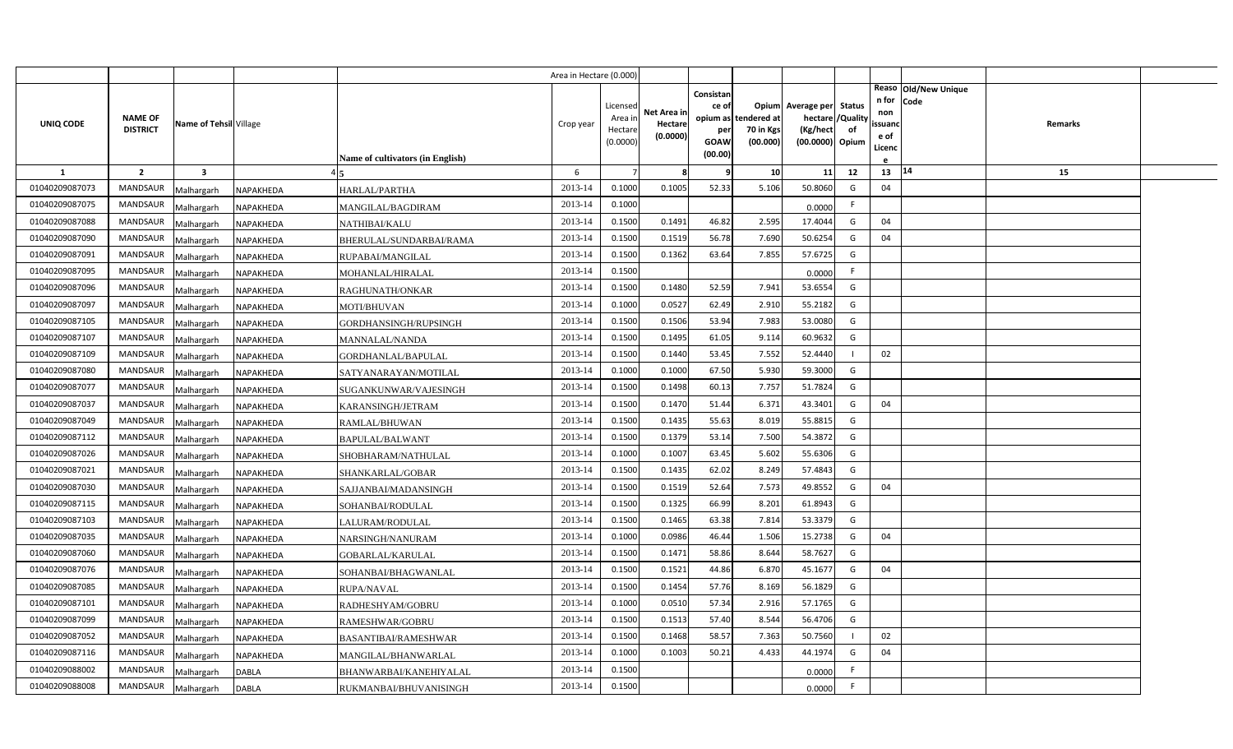|                |                                   |                         |              |                                  | Area in Hectare (0.000) |                                            |                                    |                                                                 |                                      |                                                                              |    |                                          |                              |         |  |
|----------------|-----------------------------------|-------------------------|--------------|----------------------------------|-------------------------|--------------------------------------------|------------------------------------|-----------------------------------------------------------------|--------------------------------------|------------------------------------------------------------------------------|----|------------------------------------------|------------------------------|---------|--|
| UNIQ CODE      | <b>NAME OF</b><br><b>DISTRICT</b> | Name of Tehsil Village  |              | Name of cultivators (in English) | Crop year               | Licensed<br>Area ir<br>Hectare<br>(0.0000) | Net Area in<br>Hectare<br>(0.0000) | Consistan<br>ce of<br>opium as<br>per<br><b>GOAW</b><br>(00.00) | tendered at<br>70 in Kgs<br>(00.000) | Opium Average per Status<br>hectare / Quality<br>(Kg/hect<br>(00.0000) Opium | of | n for<br>non<br>ssuand<br>e of<br>Licenc | Reaso Old/New Unique<br>Code | Remarks |  |
| $\mathbf{1}$   | $\overline{2}$                    | $\overline{\mathbf{3}}$ |              |                                  | 6                       | $\overline{7}$                             | 8                                  | c                                                               | 10                                   | 11                                                                           | 12 | 13                                       | 14                           | 15      |  |
| 01040209087073 | <b>MANDSAUR</b>                   | Malhargarh              | NAPAKHEDA    | HARLAL/PARTHA                    | 2013-14                 | 0.1000                                     | 0.1005                             | 52.33                                                           | 5.106                                | 50.8060                                                                      | G  | 04                                       |                              |         |  |
| 01040209087075 | <b>MANDSAUR</b>                   | Malhargarh              | NAPAKHEDA    | MANGILAL/BAGDIRAM                | 2013-14                 | 0.1000                                     |                                    |                                                                 |                                      | 0.0000                                                                       | F. |                                          |                              |         |  |
| 01040209087088 | MANDSAUR                          | Malhargarh              | NAPAKHEDA    | NATHIBAI/KALU                    | 2013-14                 | 0.1500                                     | 0.1491                             | 46.82                                                           | 2.595                                | 17.4044                                                                      | G  | 04                                       |                              |         |  |
| 01040209087090 | MANDSAUR                          | Malhargarh              | NAPAKHEDA    | BHERULAL/SUNDARBAI/RAMA          | 2013-14                 | 0.1500                                     | 0.1519                             | 56.78                                                           | 7.690                                | 50.6254                                                                      | G  | 04                                       |                              |         |  |
| 01040209087091 | <b>MANDSAUR</b>                   | Malhargarh              | NAPAKHEDA    | RUPABAI/MANGILAL                 | 2013-14                 | 0.1500                                     | 0.1362                             | 63.64                                                           | 7.855                                | 57.6725                                                                      | G  |                                          |                              |         |  |
| 01040209087095 | MANDSAUR                          | Malhargarh              | NAPAKHEDA    | MOHANLAL/HIRALAL                 | 2013-14                 | 0.1500                                     |                                    |                                                                 |                                      | 0.0000                                                                       | F. |                                          |                              |         |  |
| 01040209087096 | <b>MANDSAUR</b>                   | Malhargarh              | NAPAKHEDA    | RAGHUNATH/ONKAR                  | 2013-14                 | 0.1500                                     | 0.1480                             | 52.59                                                           | 7.941                                | 53.6554                                                                      | G  |                                          |                              |         |  |
| 01040209087097 | MANDSAUR                          | Malhargarh              | NAPAKHEDA    | MOTI/BHUVAN                      | 2013-14                 | 0.1000                                     | 0.0527                             | 62.49                                                           | 2.910                                | 55.2182                                                                      | G  |                                          |                              |         |  |
| 01040209087105 | MANDSAUR                          | Malhargarh              | NAPAKHEDA    | GORDHANSINGH/RUPSINGH            | 2013-14                 | 0.1500                                     | 0.1506                             | 53.94                                                           | 7.983                                | 53.0080                                                                      | G  |                                          |                              |         |  |
| 01040209087107 | MANDSAUR                          | Malhargarh              | NAPAKHEDA    | MANNALAL/NANDA                   | 2013-14                 | 0.1500                                     | 0.1495                             | 61.05                                                           | 9.114                                | 60.9632                                                                      | G  |                                          |                              |         |  |
| 01040209087109 | MANDSAUR                          | Malhargarh              | NAPAKHEDA    | GORDHANLAL/BAPULAL               | 2013-14                 | 0.1500                                     | 0.1440                             | 53.45                                                           | 7.552                                | 52.4440                                                                      |    | 02                                       |                              |         |  |
| 01040209087080 | <b>MANDSAUR</b>                   | Malhargarh              | NAPAKHEDA    | SATYANARAYAN/MOTILAL             | 2013-14                 | 0.1000                                     | 0.1000                             | 67.50                                                           | 5.930                                | 59.3000                                                                      | G  |                                          |                              |         |  |
| 01040209087077 | <b>MANDSAUR</b>                   | Malhargarh              | NAPAKHEDA    | SUGANKUNWAR/VAJESINGH            | 2013-14                 | 0.1500                                     | 0.1498                             | 60.13                                                           | 7.757                                | 51.7824                                                                      | G  |                                          |                              |         |  |
| 01040209087037 | <b>MANDSAUR</b>                   | Malhargarh              | NAPAKHEDA    | KARANSINGH/JETRAM                | 2013-14                 | 0.1500                                     | 0.1470                             | 51.44                                                           | 6.371                                | 43.3401                                                                      | G  | 04                                       |                              |         |  |
| 01040209087049 | <b>MANDSAUR</b>                   | Malhargarh              | NAPAKHEDA    | RAMLAL/BHUWAN                    | 2013-14                 | 0.1500                                     | 0.1435                             | 55.63                                                           | 8.019                                | 55.8815                                                                      | G  |                                          |                              |         |  |
| 01040209087112 | <b>MANDSAUR</b>                   | Malhargarh              | NAPAKHEDA    | <b>BAPULAL/BALWANT</b>           | 2013-14                 | 0.1500                                     | 0.1379                             | 53.14                                                           | 7.500                                | 54.3872                                                                      | G  |                                          |                              |         |  |
| 01040209087026 | <b>MANDSAUR</b>                   | Malhargarh              | NAPAKHEDA    | SHOBHARAM/NATHULAL               | 2013-14                 | 0.1000                                     | 0.1007                             | 63.45                                                           | 5.602                                | 55.6306                                                                      | G  |                                          |                              |         |  |
| 01040209087021 | <b>MANDSAUR</b>                   | Malhargarh              | NAPAKHEDA    | SHANKARLAL/GOBAR                 | 2013-14                 | 0.1500                                     | 0.1435                             | 62.02                                                           | 8.249                                | 57.4843                                                                      | G  |                                          |                              |         |  |
| 01040209087030 | MANDSAUR                          | Malhargarh              | NAPAKHEDA    | SAJJANBAI/MADANSINGH             | 2013-14                 | 0.1500                                     | 0.1519                             | 52.64                                                           | 7.573                                | 49.8552                                                                      | G  | 04                                       |                              |         |  |
| 01040209087115 | <b>MANDSAUR</b>                   | Malhargarh              | NAPAKHEDA    | SOHANBAI/RODULAL                 | 2013-14                 | 0.1500                                     | 0.1325                             | 66.99                                                           | 8.201                                | 61.8943                                                                      | G  |                                          |                              |         |  |
| 01040209087103 | MANDSAUR                          | Malhargarh              | NAPAKHEDA    | ALURAM/RODULAL                   | 2013-14                 | 0.1500                                     | 0.1465                             | 63.38                                                           | 7.814                                | 53.3379                                                                      | G  |                                          |                              |         |  |
| 01040209087035 | MANDSAUR                          | Malhargarh              | NAPAKHEDA    | NARSINGH/NANURAM                 | 2013-14                 | 0.1000                                     | 0.0986                             | 46.44                                                           | 1.506                                | 15.2738                                                                      | G  | 04                                       |                              |         |  |
| 01040209087060 | <b>MANDSAUR</b>                   | Malhargarh              | NAPAKHEDA    | <b>GOBARLAL/KARULAL</b>          | 2013-14                 | 0.1500                                     | 0.1471                             | 58.86                                                           | 8.644                                | 58.7627                                                                      | G  |                                          |                              |         |  |
| 01040209087076 | MANDSAUR                          | Malhargarh              | NAPAKHEDA    | SOHANBAI/BHAGWANLAL              | 2013-14                 | 0.1500                                     | 0.1521                             | 44.86                                                           | 6.870                                | 45.1677                                                                      | G  | 04                                       |                              |         |  |
| 01040209087085 | MANDSAUR                          | Malhargarh              | NAPAKHEDA    | RUPA/NAVAL                       | 2013-14                 | 0.1500                                     | 0.1454                             | 57.76                                                           | 8.169                                | 56.1829                                                                      | G  |                                          |                              |         |  |
| 01040209087101 | MANDSAUR                          | Malhargarh              | NAPAKHEDA    | RADHESHYAM/GOBRU                 | 2013-14                 | 0.1000                                     | 0.0510                             | 57.34                                                           | 2.916                                | 57.1765                                                                      | G  |                                          |                              |         |  |
| 01040209087099 | MANDSAUR                          | Malhargarh              | NAPAKHEDA    | RAMESHWAR/GOBRU                  | 2013-14                 | 0.1500                                     | 0.1513                             | 57.40                                                           | 8.544                                | 56.4706                                                                      | G  |                                          |                              |         |  |
| 01040209087052 | MANDSAUR                          | Malhargarh              | NAPAKHEDA    | BASANTIBAI/RAMESHWAR             | 2013-14                 | 0.1500                                     | 0.1468                             | 58.57                                                           | 7.363                                | 50.7560                                                                      |    | 02                                       |                              |         |  |
| 01040209087116 | MANDSAUR                          | Malhargarh              | NAPAKHEDA    | MANGILAL/BHANWARLAL              | 2013-14                 | 0.1000                                     | 0.1003                             | 50.21                                                           | 4.433                                | 44.1974                                                                      | G  | 04                                       |                              |         |  |
| 01040209088002 | MANDSAUR                          | Malhargarh              | <b>DABLA</b> | BHANWARBAI/KANEHIYALAL           | 2013-14                 | 0.1500                                     |                                    |                                                                 |                                      | 0.0000                                                                       | F  |                                          |                              |         |  |
| 01040209088008 | MANDSAUR                          | Malhargarh              | <b>DABLA</b> | RUKMANBAI/BHUVANISINGH           | 2013-14                 | 0.1500                                     |                                    |                                                                 |                                      | 0.0000                                                                       | F. |                                          |                              |         |  |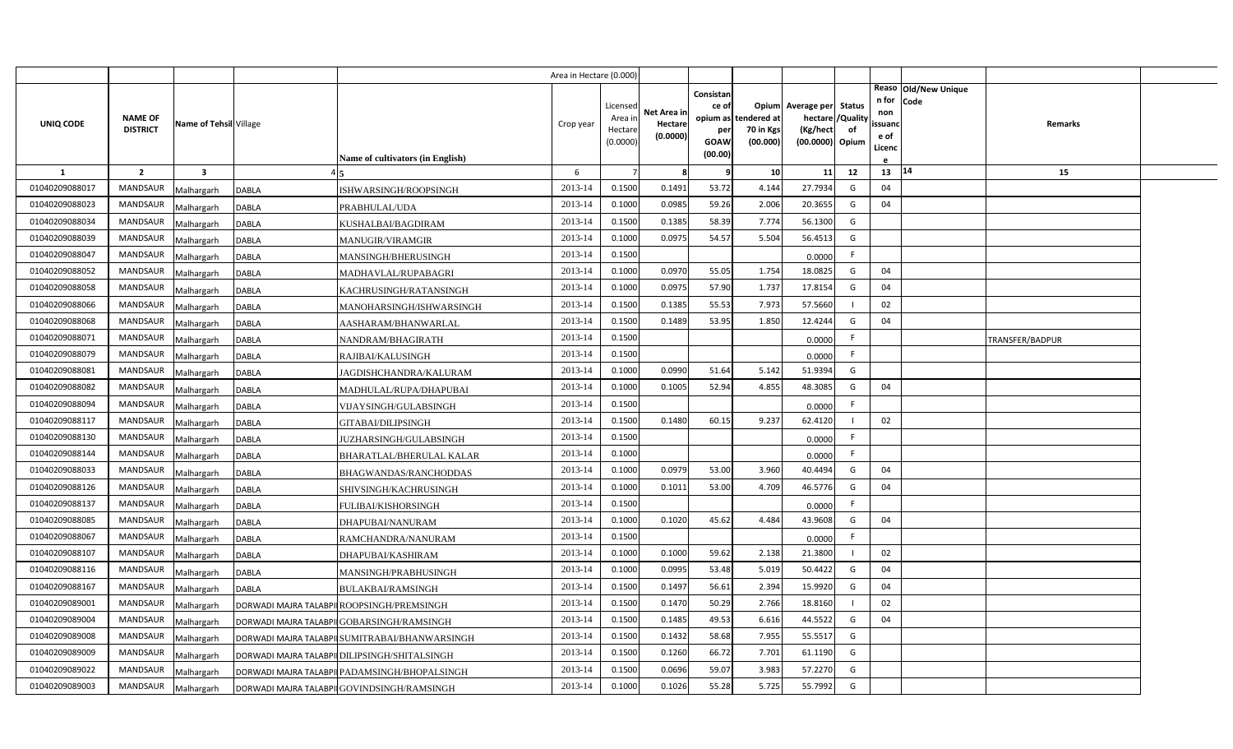|                |                                   |                         |                                               |                                  | Area in Hectare (0.000 |                                            |                                    |                                              |                                               |                                                                              |    |                                          |                              |                 |  |
|----------------|-----------------------------------|-------------------------|-----------------------------------------------|----------------------------------|------------------------|--------------------------------------------|------------------------------------|----------------------------------------------|-----------------------------------------------|------------------------------------------------------------------------------|----|------------------------------------------|------------------------------|-----------------|--|
| UNIQ CODE      | <b>NAME OF</b><br><b>DISTRICT</b> | Name of Tehsil Village  |                                               |                                  | Crop year              | Licensed<br>Area in<br>Hectare<br>(0.0000) | Net Area in<br>Hectare<br>(0.0000) | Consistan<br>ce of<br>per<br>GOAW<br>(00.00) | opium as tendered at<br>70 in Kgs<br>(00.000) | Opium Average per Status<br>hectare / Quality<br>(Kg/hect<br>(00.0000) Opium | of | n for<br>non<br>ssuand<br>e of<br>Licenc | Reaso Old/New Unique<br>Code | <b>Remarks</b>  |  |
| <b>1</b>       | $\overline{2}$                    | $\overline{\mathbf{3}}$ |                                               | Name of cultivators (in English) | 6                      |                                            | 8                                  | 9                                            | 10                                            | 11                                                                           | 12 | 13                                       | 14                           | 15              |  |
| 01040209088017 | <b>MANDSAUR</b>                   | Malhargarh              | <b>DABLA</b>                                  | ISHWARSINGH/ROOPSINGH            | 2013-14                | 0.1500                                     | 0.1491                             | 53.72                                        | 4.144                                         | 27.7934                                                                      | G  | 04                                       |                              |                 |  |
| 01040209088023 | <b>MANDSAUR</b>                   | Malhargarh              | DABLA<br>PRABHULAL/UDA                        |                                  | 2013-14                | 0.1000                                     | 0.0985                             | 59.26                                        | 2.006                                         | 20.3655                                                                      | G  | 04                                       |                              |                 |  |
| 01040209088034 | <b>MANDSAUR</b>                   | Malhargarh              | DABLA<br>KUSHALBAI/BAGDIRAM                   |                                  | 2013-14                | 0.1500                                     | 0.1385                             | 58.39                                        | 7.774                                         | 56.1300                                                                      | G  |                                          |                              |                 |  |
| 01040209088039 | <b>MANDSAUR</b>                   | Malhargarh              | DABLA<br><b>MANUGIR/VIRAMGIR</b>              |                                  | 2013-14                | 0.1000                                     | 0.0975                             | 54.57                                        | 5.504                                         | 56.4513                                                                      | G  |                                          |                              |                 |  |
| 01040209088047 | <b>MANDSAUR</b>                   | Malhargarh              | <b>DABLA</b>                                  | MANSINGH/BHERUSINGH              | 2013-14                | 0.1500                                     |                                    |                                              |                                               | 0.0000                                                                       | F. |                                          |                              |                 |  |
| 01040209088052 | <b>MANDSAUR</b>                   | Malhargarh              | <b>DABLA</b>                                  | MADHAVLAL/RUPABAGRI              | 2013-14                | 0.1000                                     | 0.0970                             | 55.05                                        | 1.754                                         | 18.0825                                                                      | G  | 04                                       |                              |                 |  |
| 01040209088058 | <b>MANDSAUR</b>                   | Malhargarh              | <b>DABLA</b>                                  | KACHRUSINGH/RATANSINGH           | 2013-14                | 0.1000                                     | 0.0975                             | 57.90                                        | 1.737                                         | 17.8154                                                                      | G  | 04                                       |                              |                 |  |
| 01040209088066 | <b>MANDSAUR</b>                   | Malhargarh              | <b>DABLA</b>                                  | MANOHARSINGH/ISHWARSINGH         | 2013-14                | 0.1500                                     | 0.1385                             | 55.53                                        | 7.973                                         | 57.5660                                                                      |    | 02                                       |                              |                 |  |
| 01040209088068 | <b>MANDSAUR</b>                   | Malhargarh              | DABLA                                         | AASHARAM/BHANWARLAL              | 2013-14                | 0.1500                                     | 0.1489                             | 53.95                                        | 1.850                                         | 12.4244                                                                      | G  | 04                                       |                              |                 |  |
| 01040209088071 | <b>MANDSAUR</b>                   | Malhargarh              | DABLA<br>NANDRAM/BHAGIRATH                    |                                  | 2013-14                | 0.1500                                     |                                    |                                              |                                               | 0.0000                                                                       | F. |                                          |                              | TRANSFER/BADPUR |  |
| 01040209088079 | <b>MANDSAUR</b>                   | Malhargarh              | <b>DABLA</b><br>RAJIBAI/KALUSINGH             |                                  | 2013-14                | 0.1500                                     |                                    |                                              |                                               | 0.0000                                                                       | F. |                                          |                              |                 |  |
| 01040209088081 | MANDSAUR                          | Malhargarh              | DABLA                                         | JAGDISHCHANDRA/KALURAM           | 2013-14                | 0.1000                                     | 0.0990                             | 51.64                                        | 5.142                                         | 51.9394                                                                      | G  |                                          |                              |                 |  |
| 01040209088082 | <b>MANDSAUR</b>                   | Malhargarh              | <b>DABLA</b>                                  | MADHULAL/RUPA/DHAPUBAI           | 2013-14                | 0.1000                                     | 0.1005                             | 52.94                                        | 4.855                                         | 48.3085                                                                      | G  | 04                                       |                              |                 |  |
| 01040209088094 | MANDSAUR                          | Malhargarh              | DABLA                                         | VIJAYSINGH/GULABSINGH            | 2013-14                | 0.1500                                     |                                    |                                              |                                               | 0.0000                                                                       | F  |                                          |                              |                 |  |
| 01040209088117 | <b>MANDSAUR</b>                   | Malhargarh              | DABLA<br>GITABAI/DILIPSINGH                   |                                  | 2013-14                | 0.1500                                     | 0.1480                             | 60.15                                        | 9.237                                         | 62.4120                                                                      |    | 02                                       |                              |                 |  |
| 01040209088130 | MANDSAUR                          | Malhargarh              | DABLA                                         | <b>JUZHARSINGH/GULABSINGH</b>    | 2013-14                | 0.1500                                     |                                    |                                              |                                               | 0.0000                                                                       | F  |                                          |                              |                 |  |
| 01040209088144 | MANDSAUR                          | Malhargarh              | DABLA                                         | BHARATLAL/BHERULAL KALAR         | 2013-14                | 0.1000                                     |                                    |                                              |                                               | 0.0000                                                                       | F. |                                          |                              |                 |  |
| 01040209088033 | <b>MANDSAUR</b>                   | Malhargarh              | DABLA                                         | BHAGWANDAS/RANCHODDAS            | 2013-14                | 0.1000                                     | 0.0979                             | 53.00                                        | 3.960                                         | 40.4494                                                                      | G  | 04                                       |                              |                 |  |
| 01040209088126 | <b>MANDSAUR</b>                   | Malhargarh              | <b>DABLA</b>                                  | SHIVSINGH/KACHRUSINGH            | 2013-14                | 0.1000                                     | 0.1011                             | 53.00                                        | 4.709                                         | 46.5776                                                                      | G  | 04                                       |                              |                 |  |
| 01040209088137 | <b>MANDSAUR</b>                   | Malhargarh              | DABLA<br>FULIBAI/KISHORSINGH                  |                                  | 2013-14                | 0.1500                                     |                                    |                                              |                                               | 0.0000                                                                       | F. |                                          |                              |                 |  |
| 01040209088085 | <b>MANDSAUR</b>                   | Malhargarh              | DABLA<br>DHAPUBAI/NANURAM                     |                                  | 2013-14                | 0.1000                                     | 0.1020                             | 45.62                                        | 4.484                                         | 43.9608                                                                      | G  | 04                                       |                              |                 |  |
| 01040209088067 | <b>MANDSAUR</b>                   | Malhargarh              | DABLA                                         | RAMCHANDRA/NANURAM               | 2013-14                | 0.1500                                     |                                    |                                              |                                               | 0.0000                                                                       | F. |                                          |                              |                 |  |
| 01040209088107 | MANDSAUR                          | Malhargarh              | <b>DABLA</b><br>DHAPUBAI/KASHIRAM             |                                  | 2013-14                | 0.1000                                     | 0.1000                             | 59.62                                        | 2.138                                         | 21.3800                                                                      |    | 02                                       |                              |                 |  |
| 01040209088116 | <b>MANDSAUR</b>                   | Malhargarh              | <b>DABLA</b>                                  | MANSINGH/PRABHUSINGH             | 2013-14                | 0.1000                                     | 0.0995                             | 53.48                                        | 5.019                                         | 50.4422                                                                      | G  | 04                                       |                              |                 |  |
| 01040209088167 | <b>MANDSAUR</b>                   | Malhargarh              | <b>DABLA</b><br>BULAKBAI/RAMSINGH             |                                  | 2013-14                | 0.1500                                     | 0.1497                             | 56.61                                        | 2.394                                         | 15.9920                                                                      | G  | 04                                       |                              |                 |  |
| 01040209089001 | <b>MANDSAUR</b>                   | Malhargarh              | DORWADI MAJRA TALABPII ROOPSINGH/PREMSINGH    |                                  | 2013-14                | 0.1500                                     | 0.1470                             | 50.29                                        | 2.766                                         | 18.8160                                                                      |    | 02                                       |                              |                 |  |
| 01040209089004 | <b>MANDSAUR</b>                   | Malhargarh              | DORWADI MAJRA TALABPII GOBARSINGH/RAMSINGH    |                                  | 2013-14                | 0.1500                                     | 0.1485                             | 49.53                                        | 6.616                                         | 44.5522                                                                      | G  | 04                                       |                              |                 |  |
| 01040209089008 | MANDSAUR                          | Malhargarh              | DORWADI MAJRA TALABPI SUMITRABAI/BHANWARSINGH |                                  | 2013-14                | 0.1500                                     | 0.1432                             | 58.68                                        | 7.955                                         | 55.5517                                                                      | G  |                                          |                              |                 |  |
| 01040209089009 | MANDSAUR                          | Malhargarh              | DORWADI MAJRA TALABPI DILIPSINGH/SHITALSINGH  |                                  | 2013-14                | 0.1500                                     | 0.1260                             | 66.72                                        | 7.701                                         | 61.1190                                                                      | G  |                                          |                              |                 |  |
| 01040209089022 | <b>MANDSAUR</b>                   | Malhargarh              | DORWADI MAJRA TALABPI PADAMSINGH/BHOPALSINGH  |                                  | 2013-14                | 0.1500                                     | 0.0696                             | 59.07                                        | 3.983                                         | 57.2270                                                                      | G  |                                          |                              |                 |  |
| 01040209089003 | MANDSAUR                          | Malhargarh              | DORWADI MAJRA TALABPII GOVINDSINGH/RAMSINGH   |                                  | 2013-14                | 0.1000                                     | 0.1026                             | 55.28                                        | 5.725                                         | 55.7992                                                                      | G  |                                          |                              |                 |  |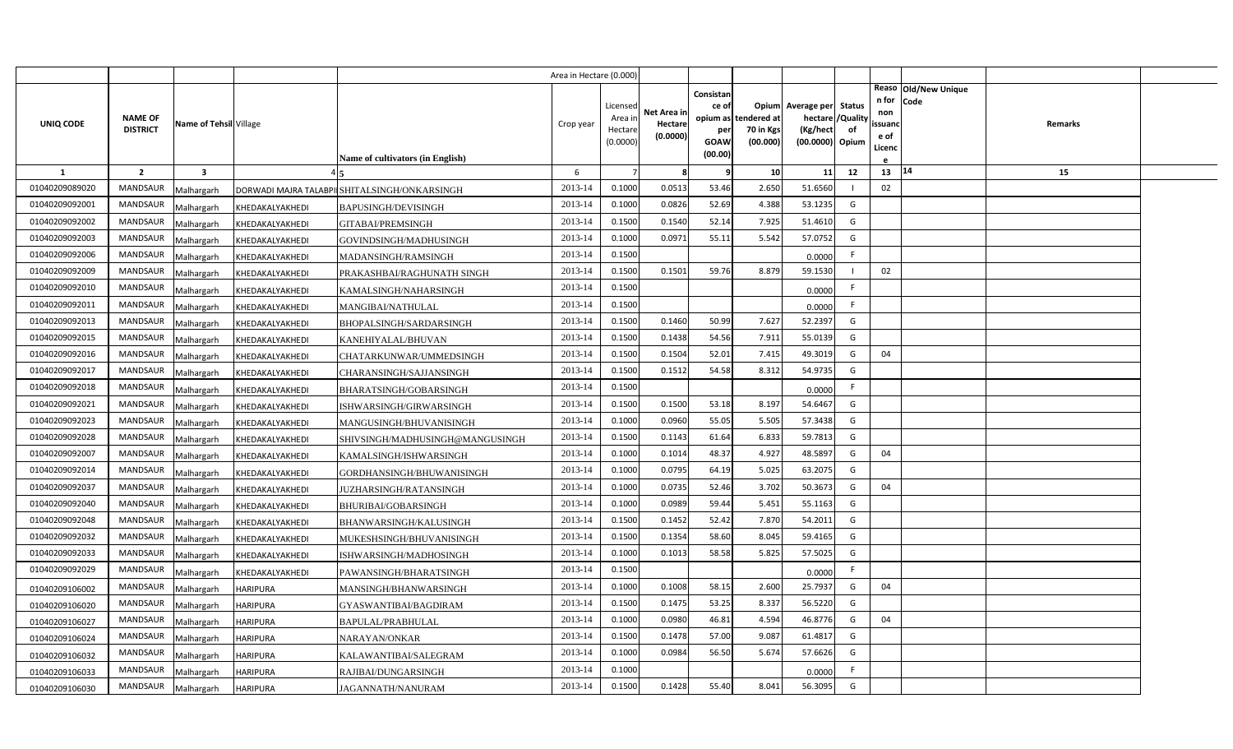|                |                                   |                         |                 |                                              | Area in Hectare (0.000) |                                            |                                    |                                                                 |                                      |                                                                              |    |                                          |                              |         |  |
|----------------|-----------------------------------|-------------------------|-----------------|----------------------------------------------|-------------------------|--------------------------------------------|------------------------------------|-----------------------------------------------------------------|--------------------------------------|------------------------------------------------------------------------------|----|------------------------------------------|------------------------------|---------|--|
| UNIQ CODE      | <b>NAME OF</b><br><b>DISTRICT</b> | Name of Tehsil Village  |                 | Name of cultivators (in English)             | Crop year               | Licensed<br>Area ir<br>Hectare<br>(0.0000) | Net Area in<br>Hectare<br>(0.0000) | Consistan<br>ce of<br>opium as<br>per<br><b>GOAW</b><br>(00.00) | tendered at<br>70 in Kgs<br>(00.000) | Opium Average per Status<br>hectare / Quality<br>(Kg/hect<br>(00.0000) Opium | of | n for<br>non<br>ssuand<br>e of<br>Licenc | Reaso Old/New Unique<br>Code | Remarks |  |
| $\mathbf{1}$   | $\overline{2}$                    | $\overline{\mathbf{3}}$ |                 |                                              | 6                       | $\overline{7}$                             | 8                                  | q                                                               | 10                                   | 11                                                                           | 12 | 13                                       | 14                           | 15      |  |
| 01040209089020 | <b>MANDSAUR</b>                   | Malhargarh              |                 | DORWADI MAJRA TALABPI SHITALSINGH/ONKARSINGH | 2013-14                 | 0.1000                                     | 0.0513                             | 53.46                                                           | 2.650                                | 51.6560                                                                      |    | 02                                       |                              |         |  |
| 01040209092001 | <b>MANDSAUR</b>                   | Malhargarh              | KHEDAKALYAKHEDI | BAPUSINGH/DEVISINGH                          | 2013-14                 | 0.1000                                     | 0.0826                             | 52.69                                                           | 4.388                                | 53.1235                                                                      | G  |                                          |                              |         |  |
| 01040209092002 | MANDSAUR                          | Malhargarh              | KHEDAKALYAKHEDI | GITABAI/PREMSINGH                            | 2013-14                 | 0.1500                                     | 0.1540                             | 52.14                                                           | 7.925                                | 51.4610                                                                      | G  |                                          |                              |         |  |
| 01040209092003 | MANDSAUR                          | Malhargarh              | KHEDAKALYAKHEDI | GOVINDSINGH/MADHUSINGH                       | 2013-14                 | 0.1000                                     | 0.0971                             | 55.11                                                           | 5.542                                | 57.0752                                                                      | G  |                                          |                              |         |  |
| 01040209092006 | MANDSAUR                          | Malhargarh              | KHEDAKALYAKHEDI | MADANSINGH/RAMSINGH                          | 2013-14                 | 0.1500                                     |                                    |                                                                 |                                      | 0.0000                                                                       | F. |                                          |                              |         |  |
| 01040209092009 | MANDSAUR                          | Malhargarh              | KHEDAKALYAKHEDI | PRAKASHBAI/RAGHUNATH SINGH                   | 2013-14                 | 0.1500                                     | 0.1501                             | 59.76                                                           | 8.879                                | 59.1530                                                                      |    | 02                                       |                              |         |  |
| 01040209092010 | MANDSAUR                          | Malhargarh              | KHEDAKALYAKHEDI | KAMALSINGH/NAHARSINGH                        | 2013-14                 | 0.1500                                     |                                    |                                                                 |                                      | 0.0000                                                                       | F. |                                          |                              |         |  |
| 01040209092011 | MANDSAUR                          | Malhargarh              | KHEDAKALYAKHEDI | MANGIBAI/NATHULAL                            | 2013-14                 | 0.1500                                     |                                    |                                                                 |                                      | 0.0000                                                                       | F. |                                          |                              |         |  |
| 01040209092013 | MANDSAUR                          | Malhargarh              | KHEDAKALYAKHEDI | BHOPALSINGH/SARDARSINGH                      | 2013-14                 | 0.1500                                     | 0.1460                             | 50.99                                                           | 7.627                                | 52.2397                                                                      | G  |                                          |                              |         |  |
| 01040209092015 | MANDSAUR                          | Malhargarh              | KHEDAKALYAKHEDI | KANEHIYALAL/BHUVAN                           | 2013-14                 | 0.1500                                     | 0.1438                             | 54.56                                                           | 7.911                                | 55.0139                                                                      | G  |                                          |                              |         |  |
| 01040209092016 | MANDSAUR                          | Malhargarh              | KHEDAKALYAKHEDI | CHATARKUNWAR/UMMEDSINGH                      | 2013-14                 | 0.1500                                     | 0.1504                             | 52.01                                                           | 7.415                                | 49.3019                                                                      | G  | 04                                       |                              |         |  |
| 01040209092017 | <b>MANDSAUR</b>                   | Malhargarh              | KHEDAKALYAKHEDI | CHARANSINGH/SAJJANSINGH                      | 2013-14                 | 0.1500                                     | 0.1512                             | 54.58                                                           | 8.312                                | 54.9735                                                                      | G  |                                          |                              |         |  |
| 01040209092018 | <b>MANDSAUR</b>                   | Malhargarh              | KHEDAKALYAKHEDI | BHARATSINGH/GOBARSINGH                       | 2013-14                 | 0.1500                                     |                                    |                                                                 |                                      | 0.0000                                                                       | F. |                                          |                              |         |  |
| 01040209092021 | <b>MANDSAUR</b>                   | Malhargarh              | KHEDAKALYAKHEDI | ISHWARSINGH/GIRWARSINGH                      | 2013-14                 | 0.1500                                     | 0.1500                             | 53.18                                                           | 8.197                                | 54.6467                                                                      | G  |                                          |                              |         |  |
| 01040209092023 | <b>MANDSAUR</b>                   | Malhargarh              | KHEDAKALYAKHEDI | MANGUSINGH/BHUVANISINGH                      | 2013-14                 | 0.1000                                     | 0.0960                             | 55.05                                                           | 5.505                                | 57.3438                                                                      | G  |                                          |                              |         |  |
| 01040209092028 | <b>MANDSAUR</b>                   | Malhargarh              | KHEDAKALYAKHEDI | SHIVSINGH/MADHUSINGH@MANGUSINGH              | 2013-14                 | 0.1500                                     | 0.1143                             | 61.64                                                           | 6.833                                | 59.7813                                                                      | G  |                                          |                              |         |  |
| 01040209092007 | <b>MANDSAUR</b>                   | Malhargarh              | KHEDAKALYAKHEDI | KAMALSINGH/ISHWARSINGH                       | 2013-14                 | 0.1000                                     | 0.1014                             | 48.37                                                           | 4.927                                | 48.5897                                                                      | G  | 04                                       |                              |         |  |
| 01040209092014 | <b>MANDSAUR</b>                   | Malhargarh              | KHEDAKALYAKHEDI | GORDHANSINGH/BHUWANISINGH                    | 2013-14                 | 0.1000                                     | 0.0795                             | 64.19                                                           | 5.025                                | 63.2075                                                                      | G  |                                          |                              |         |  |
| 01040209092037 | MANDSAUR                          | Malhargarh              | KHEDAKALYAKHEDI | <b>UZHARSINGH/RATANSINGH</b>                 | 2013-14                 | 0.1000                                     | 0.0735                             | 52.46                                                           | 3.702                                | 50.3673                                                                      | G  | 04                                       |                              |         |  |
| 01040209092040 | <b>MANDSAUR</b>                   | Malhargarh              | KHEDAKALYAKHEDI | BHURIBAI/GOBARSINGH                          | 2013-14                 | 0.1000                                     | 0.0989                             | 59.44                                                           | 5.451                                | 55.1163                                                                      | G  |                                          |                              |         |  |
| 01040209092048 | MANDSAUR                          | Malhargarh              | KHEDAKALYAKHEDI | BHANWARSINGH/KALUSINGH                       | 2013-14                 | 0.1500                                     | 0.1452                             | 52.42                                                           | 7.870                                | 54.2011                                                                      | G  |                                          |                              |         |  |
| 01040209092032 | MANDSAUR                          | Malhargarh              | KHEDAKALYAKHEDI | MUKESHSINGH/BHUVANISINGH                     | 2013-14                 | 0.1500                                     | 0.1354                             | 58.60                                                           | 8.045                                | 59.4165                                                                      | G  |                                          |                              |         |  |
| 01040209092033 | <b>MANDSAUR</b>                   | Malhargarh              | KHEDAKALYAKHEDI | ISHWARSINGH/MADHOSINGH                       | 2013-14                 | 0.1000                                     | 0.1013                             | 58.58                                                           | 5.825                                | 57.5025                                                                      | G  |                                          |                              |         |  |
| 01040209092029 | MANDSAUR                          | Malhargarh              | KHEDAKALYAKHEDI | PAWANSINGH/BHARATSINGH                       | 2013-14                 | 0.1500                                     |                                    |                                                                 |                                      | 0.0000                                                                       | F. |                                          |                              |         |  |
| 01040209106002 | <b>MANDSAUR</b>                   | Malhargarh              | <b>HARIPURA</b> | MANSINGH/BHANWARSINGH                        | 2013-14                 | 0.1000                                     | 0.1008                             | 58.15                                                           | 2.600                                | 25.7937                                                                      | G  | 04                                       |                              |         |  |
| 01040209106020 | <b>MANDSAUR</b>                   | Malhargarh              | <b>HARIPURA</b> | GYASWANTIBAI/BAGDIRAM                        | 2013-14                 | 0.1500                                     | 0.1475                             | 53.25                                                           | 8.337                                | 56.5220                                                                      | G  |                                          |                              |         |  |
| 01040209106027 | <b>MANDSAUR</b>                   | Malhargarh              | <b>HARIPURA</b> | BAPULAL/PRABHULAL                            | 2013-14                 | 0.1000                                     | 0.0980                             | 46.81                                                           | 4.594                                | 46.8776                                                                      | G  | 04                                       |                              |         |  |
| 01040209106024 | <b>MANDSAUR</b>                   | Malhargarh              | <b>HARIPURA</b> | NARAYAN/ONKAR                                | 2013-14                 | 0.1500                                     | 0.1478                             | 57.00                                                           | 9.087                                | 61.4817                                                                      | G  |                                          |                              |         |  |
| 01040209106032 | MANDSAUR                          | Malhargarh              | <b>HARIPURA</b> | KALAWANTIBAI/SALEGRAM                        | 2013-14                 | 0.1000                                     | 0.0984                             | 56.50                                                           | 5.674                                | 57.6626                                                                      | G  |                                          |                              |         |  |
| 01040209106033 | MANDSAUR                          | Malhargarh              | <b>HARIPURA</b> | RAJIBAI/DUNGARSINGH                          | 2013-14                 | 0.1000                                     |                                    |                                                                 |                                      | 0.0000                                                                       | F. |                                          |                              |         |  |
| 01040209106030 | MANDSAUR                          | Malhargarh              | <b>HARIPURA</b> | <b>JAGANNATH/NANURAM</b>                     | 2013-14                 | 0.1500                                     | 0.1428                             | 55.40                                                           | 8.041                                | 56.3095                                                                      | G  |                                          |                              |         |  |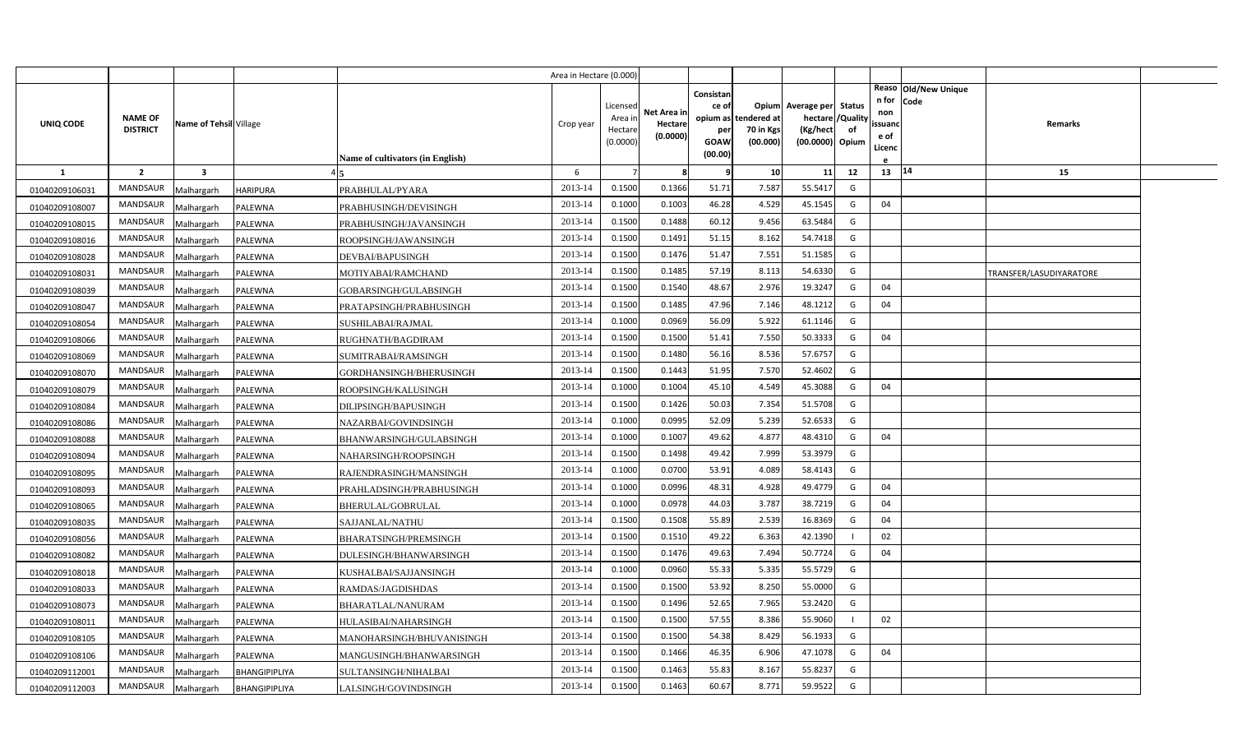|                |                                   |                         |                 |                                  | Area in Hectare (0.000 |                                           |                                    |                                                          |                                      |                                                                    |                |                                          |                                |                         |  |
|----------------|-----------------------------------|-------------------------|-----------------|----------------------------------|------------------------|-------------------------------------------|------------------------------------|----------------------------------------------------------|--------------------------------------|--------------------------------------------------------------------|----------------|------------------------------------------|--------------------------------|-------------------------|--|
| UNIQ CODE      | <b>NAME OF</b><br><b>DISTRICT</b> | Name of Tehsil Village  |                 | Name of cultivators (in English) | Crop year              | Licensed<br>Area i<br>Hectare<br>(0.0000) | Net Area ir<br>Hectare<br>(0.0000) | Consistan<br>ce of<br>opium as<br>per<br>GOAW<br>(00.00) | tendered at<br>70 in Kgs<br>(00.000) | Opium Average per Status<br>hectare<br>(Kg/hect<br>(00.0000) Opium | /Quality<br>of | n for<br>non<br>ssuano<br>e of<br>Licenc | Reaso   Old/New Unique<br>Code | Remarks                 |  |
| <b>1</b>       | $\overline{2}$                    | $\overline{\mathbf{3}}$ |                 |                                  | 6                      |                                           |                                    |                                                          | 10                                   | 11                                                                 | 12             | 13                                       | $ 14\rangle$                   | 15                      |  |
| 01040209106031 | <b>MANDSAUR</b>                   | Malhargarh              | <b>HARIPURA</b> | PRABHULAL/PYARA                  | 2013-14                | 0.1500                                    | 0.1366                             | 51.71                                                    | 7.587                                | 55.5417                                                            | G              |                                          |                                |                         |  |
| 01040209108007 | <b>MANDSAUR</b>                   | Malhargarh              | PALEWNA         | PRABHUSINGH/DEVISINGH            | 2013-14                | 0.1000                                    | 0.1003                             | 46.28                                                    | 4.529                                | 45.1545                                                            | G              | 04                                       |                                |                         |  |
| 01040209108015 | MANDSAUR                          | Malhargarh              | PALEWNA         | PRABHUSINGH/JAVANSINGH           | 2013-14                | 0.1500                                    | 0.1488                             | 60.12                                                    | 9.456                                | 63.5484                                                            | G              |                                          |                                |                         |  |
| 01040209108016 | MANDSAUR                          | Malhargarh              | PALEWNA         | ROOPSINGH/JAWANSINGH             | 2013-14                | 0.1500                                    | 0.1491                             | 51.15                                                    | 8.162                                | 54.7418                                                            | G              |                                          |                                |                         |  |
| 01040209108028 | MANDSAUR                          | Malhargarh              | PALEWNA         | DEVBAI/BAPUSINGH                 | 2013-14                | 0.1500                                    | 0.1476                             | 51.47                                                    | 7.551                                | 51.1585                                                            | G              |                                          |                                |                         |  |
| 01040209108031 | MANDSAUR                          | Malhargarh              | PALEWNA         | MOTIYABAI/RAMCHAND               | 2013-14                | 0.1500                                    | 0.1485                             | 57.19                                                    | 8.113                                | 54.6330                                                            | G              |                                          |                                | TRANSFER/LASUDIYARATORE |  |
| 01040209108039 | MANDSAUR                          | Malhargarh              | PALEWNA         | GOBARSINGH/GULABSINGH            | 2013-14                | 0.1500                                    | 0.1540                             | 48.67                                                    | 2.976                                | 19.3247                                                            | G              | 04                                       |                                |                         |  |
| 01040209108047 | MANDSAUR                          | Malhargarh              | PALEWNA         | PRATAPSINGH/PRABHUSINGH          | 2013-14                | 0.1500                                    | 0.1485                             | 47.96                                                    | 7.146                                | 48.1212                                                            | G              | 04                                       |                                |                         |  |
| 01040209108054 | MANDSAUR                          | Malhargarh              | PALEWNA         | SUSHILABAI/RAJMAL                | 2013-14                | 0.1000                                    | 0.0969                             | 56.09                                                    | 5.922                                | 61.1146                                                            | G              |                                          |                                |                         |  |
| 01040209108066 | MANDSAUR                          | Malhargarh              | PALEWNA         | RUGHNATH/BAGDIRAM                | 2013-14                | 0.1500                                    | 0.1500                             | 51.41                                                    | 7.550                                | 50.3333                                                            | G              | 04                                       |                                |                         |  |
| 01040209108069 | MANDSAUR                          | Malhargarh              | PALEWNA         | SUMITRABAI/RAMSINGH              | 2013-14                | 0.1500                                    | 0.1480                             | 56.16                                                    | 8.536                                | 57.6757                                                            | G              |                                          |                                |                         |  |
| 01040209108070 | <b>MANDSAUR</b>                   | Malhargarh              | PALEWNA         | GORDHANSINGH/BHERUSINGH          | 2013-14                | 0.1500                                    | 0.1443                             | 51.95                                                    | 7.570                                | 52.4602                                                            | G              |                                          |                                |                         |  |
| 01040209108079 | MANDSAUR                          | Malhargarh              | PALEWNA         | ROOPSINGH/KALUSINGH              | 2013-14                | 0.1000                                    | 0.1004                             | 45.10                                                    | 4.549                                | 45.3088                                                            | G              | 04                                       |                                |                         |  |
| 01040209108084 | MANDSAUR                          | Malhargarh              | PALEWNA         | DILIPSINGH/BAPUSINGH             | 2013-14                | 0.1500                                    | 0.1426                             | 50.03                                                    | 7.354                                | 51.5708                                                            | G              |                                          |                                |                         |  |
| 01040209108086 | MANDSAUR                          | Malhargarh              | PALEWNA         | NAZARBAI/GOVINDSINGH             | 2013-14                | 0.1000                                    | 0.0995                             | 52.09                                                    | 5.239                                | 52.6533                                                            | G              |                                          |                                |                         |  |
| 01040209108088 | MANDSAUR                          | Malhargarh              | PALEWNA         | BHANWARSINGH/GULABSINGH          | 2013-14                | 0.1000                                    | 0.1007                             | 49.62                                                    | 4.877                                | 48.4310                                                            | G              | 04                                       |                                |                         |  |
| 01040209108094 | <b>MANDSAUR</b>                   | Malhargarh              | PALEWNA         | NAHARSINGH/ROOPSINGH             | 2013-14                | 0.1500                                    | 0.1498                             | 49.42                                                    | 7.999                                | 53.3979                                                            | G              |                                          |                                |                         |  |
| 01040209108095 | <b>MANDSAUR</b>                   | Malhargarh              | PALEWNA         | RAJENDRASINGH/MANSINGH           | 2013-14                | 0.1000                                    | 0.0700                             | 53.91                                                    | 4.089                                | 58.4143                                                            | G              |                                          |                                |                         |  |
| 01040209108093 | <b>MANDSAUR</b>                   | Malhargarh              | PALEWNA         | PRAHLADSINGH/PRABHUSINGH         | 2013-14                | 0.1000                                    | 0.0996                             | 48.31                                                    | 4.928                                | 49.4779                                                            | G              | 04                                       |                                |                         |  |
| 01040209108065 | <b>MANDSAUR</b>                   | Malhargarh              | PALEWNA         | BHERULAL/GOBRULAL                | 2013-14                | 0.1000                                    | 0.0978                             | 44.03                                                    | 3.787                                | 38.7219                                                            | G              | 04                                       |                                |                         |  |
| 01040209108035 | <b>MANDSAUR</b>                   | Malhargarh              | PALEWNA         | SAJJANLAL/NATHU                  | 2013-14                | 0.1500                                    | 0.1508                             | 55.89                                                    | 2.539                                | 16.8369                                                            | G              | 04                                       |                                |                         |  |
| 01040209108056 | <b>MANDSAUR</b>                   | Malhargarh              | PALEWNA         | BHARATSINGH/PREMSINGH            | 2013-14                | 0.1500                                    | 0.1510                             | 49.22                                                    | 6.363                                | 42.1390                                                            | $\blacksquare$ | 02                                       |                                |                         |  |
| 01040209108082 | MANDSAUR                          | Malhargarh              | PALEWNA         | DULESINGH/BHANWARSINGH           | 2013-14                | 0.1500                                    | 0.1476                             | 49.63                                                    | 7.494                                | 50.7724                                                            | G              | 04                                       |                                |                         |  |
| 01040209108018 | <b>MANDSAUR</b>                   | Malhargarh              | PALEWNA         | KUSHALBAI/SAJJANSINGH            | 2013-14                | 0.1000                                    | 0.0960                             | 55.33                                                    | 5.335                                | 55.5729                                                            | G              |                                          |                                |                         |  |
| 01040209108033 | <b>MANDSAUR</b>                   | Malhargarh              | PALEWNA         | RAMDAS/JAGDISHDAS                | 2013-14                | 0.1500                                    | 0.1500                             | 53.92                                                    | 8.250                                | 55.0000                                                            | G              |                                          |                                |                         |  |
| 01040209108073 | MANDSAUR                          | Malhargarh              | PALEWNA         | BHARATLAL/NANURAM                | 2013-14                | 0.1500                                    | 0.1496                             | 52.65                                                    | 7.965                                | 53.2420                                                            | G              |                                          |                                |                         |  |
| 01040209108011 | MANDSAUR                          | Malhargarh              | PALEWNA         | HULASIBAI/NAHARSINGH             | 2013-14                | 0.1500                                    | 0.1500                             | 57.55                                                    | 8.386                                | 55.9060                                                            |                | 02                                       |                                |                         |  |
| 01040209108105 | <b>MANDSAUR</b>                   | Malhargarh              | PALEWNA         | MANOHARSINGH/BHUVANISINGH        | 2013-14                | 0.1500                                    | 0.1500                             | 54.38                                                    | 8.429                                | 56.1933                                                            | G              |                                          |                                |                         |  |
| 01040209108106 | <b>MANDSAUR</b>                   | Malhargarh              | PALEWNA         | MANGUSINGH/BHANWARSINGH          | 2013-14                | 0.1500                                    | 0.1466                             | 46.35                                                    | 6.906                                | 47.1078                                                            | G              | 04                                       |                                |                         |  |
| 01040209112001 | <b>MANDSAUR</b>                   | Malhargarh              | BHANGIPIPLIYA   | SULTANSINGH/NIHALBAI             | 2013-14                | 0.1500                                    | 0.1463                             | 55.83                                                    | 8.167                                | 55.8237                                                            | G              |                                          |                                |                         |  |
| 01040209112003 | <b>MANDSAUR</b>                   | Malhargarh              | BHANGIPIPLIYA   | LALSINGH/GOVINDSINGH             | 2013-14                | 0.1500                                    | 0.1463                             | 60.67                                                    | 8.771                                | 59.9522                                                            | G              |                                          |                                |                         |  |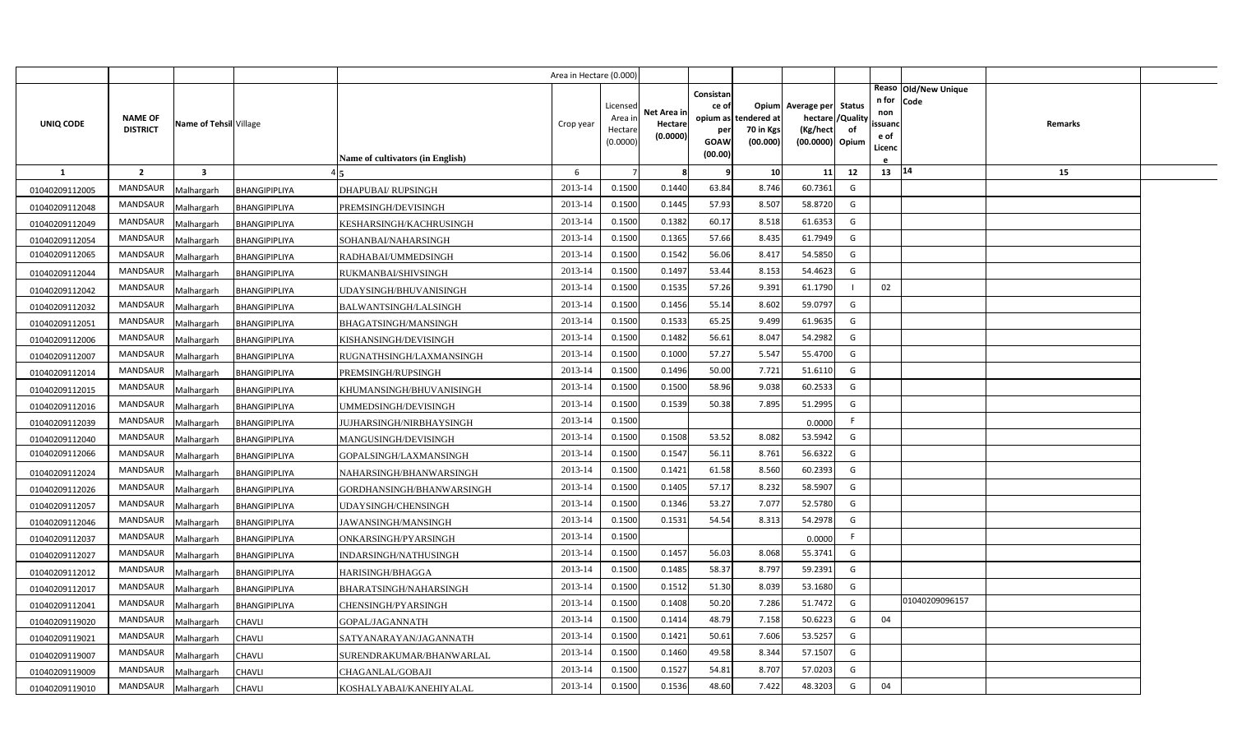|                |                                   |                         |               |                                  | Area in Hectare (0.000) |                                            |                                    |                                                                 |                                      |                                                                              |    |                                               |                                          |  |
|----------------|-----------------------------------|-------------------------|---------------|----------------------------------|-------------------------|--------------------------------------------|------------------------------------|-----------------------------------------------------------------|--------------------------------------|------------------------------------------------------------------------------|----|-----------------------------------------------|------------------------------------------|--|
| UNIQ CODE      | <b>NAME OF</b><br><b>DISTRICT</b> | Name of Tehsil Village  |               | Name of cultivators (in English) | Crop year               | Licensed<br>Area ir<br>Hectare<br>(0.0000) | Net Area in<br>Hectare<br>(0.0000) | Consistan<br>ce of<br>opium as<br>per<br><b>GOAW</b><br>(00.00) | tendered at<br>70 in Kgs<br>(00.000) | Opium Average per Status<br>hectare / Quality<br>(Kg/hect<br>(00.0000) Opium | of | n for Code<br>non<br>ssuand<br>e of<br>Licenc | Reaso   Old/New Unique<br><b>Remarks</b> |  |
| <b>1</b>       | $\overline{2}$                    | $\overline{\mathbf{3}}$ |               |                                  | 6                       | $\overline{7}$                             | 8                                  |                                                                 | 10                                   | 11                                                                           | 12 | $13 \mid 14$                                  | 15                                       |  |
| 01040209112005 | <b>MANDSAUR</b>                   | Malhargarh              | BHANGIPIPLIYA | <b>DHAPUBAI/ RUPSINGH</b>        | 2013-14                 | 0.1500                                     | 0.1440                             | 63.84                                                           | 8.746                                | 60.7361                                                                      | G  |                                               |                                          |  |
| 01040209112048 | MANDSAUR                          | Malhargarh              | BHANGIPIPLIYA | PREMSINGH/DEVISINGH              | 2013-14                 | 0.1500                                     | 0.1445                             | 57.93                                                           | 8.507                                | 58.8720                                                                      | G  |                                               |                                          |  |
| 01040209112049 | <b>MANDSAUR</b>                   | Malhargarh              | BHANGIPIPLIYA | KESHARSINGH/KACHRUSINGH          | 2013-14                 | 0.1500                                     | 0.1382                             | 60.17                                                           | 8.518                                | 61.6353                                                                      | G  |                                               |                                          |  |
| 01040209112054 | <b>MANDSAUR</b>                   | Malhargarh              | BHANGIPIPLIYA | SOHANBAI/NAHARSINGH              | 2013-14                 | 0.1500                                     | 0.1365                             | 57.66                                                           | 8.435                                | 61.7949                                                                      | G  |                                               |                                          |  |
| 01040209112065 | MANDSAUR                          | Malhargarh              | BHANGIPIPLIYA | RADHABAI/UMMEDSINGH              | 2013-14                 | 0.1500                                     | 0.1542                             | 56.06                                                           | 8.417                                | 54.5850                                                                      | G  |                                               |                                          |  |
| 01040209112044 | <b>MANDSAUR</b>                   | Malhargarh              | BHANGIPIPLIYA | RUKMANBAI/SHIVSINGH              | 2013-14                 | 0.1500                                     | 0.1497                             | 53.44                                                           | 8.153                                | 54.4623                                                                      | G  |                                               |                                          |  |
| 01040209112042 | MANDSAUR                          | Malhargarh              | BHANGIPIPLIYA | UDAYSINGH/BHUVANISINGH           | 2013-14                 | 0.1500                                     | 0.1535                             | 57.26                                                           | 9.391                                | 61.1790                                                                      |    | 02                                            |                                          |  |
| 01040209112032 | <b>MANDSAUR</b>                   | Malhargarh              | BHANGIPIPLIYA | BALWANTSINGH/LALSINGH            | 2013-14                 | 0.1500                                     | 0.1456                             | 55.14                                                           | 8.602                                | 59.0797                                                                      | G  |                                               |                                          |  |
| 01040209112051 | MANDSAUR                          | Malhargarh              | BHANGIPIPLIYA | BHAGATSINGH/MANSINGH             | 2013-14                 | 0.1500                                     | 0.1533                             | 65.25                                                           | 9.499                                | 61.9635                                                                      | G  |                                               |                                          |  |
| 01040209112006 | MANDSAUR                          | Malhargarh              | BHANGIPIPLIYA | KISHANSINGH/DEVISINGH            | 2013-14                 | 0.1500                                     | 0.1482                             | 56.61                                                           | 8.047                                | 54.2982                                                                      | G  |                                               |                                          |  |
| 01040209112007 | MANDSAUR                          | Malhargarh              | BHANGIPIPLIYA | RUGNATHSINGH/LAXMANSINGH         | 2013-14                 | 0.1500                                     | 0.1000                             | 57.27                                                           | 5.547                                | 55.4700                                                                      | G  |                                               |                                          |  |
| 01040209112014 | MANDSAUR                          | Malhargarh              | BHANGIPIPLIYA | PREMSINGH/RUPSINGH               | 2013-14                 | 0.1500                                     | 0.1496                             | 50.00                                                           | 7.721                                | 51.6110                                                                      | G  |                                               |                                          |  |
| 01040209112015 | <b>MANDSAUR</b>                   | Malhargarh              | BHANGIPIPLIYA | KHUMANSINGH/BHUVANISINGH         | 2013-14                 | 0.1500                                     | 0.1500                             | 58.96                                                           | 9.038                                | 60.2533                                                                      | G  |                                               |                                          |  |
| 01040209112016 | MANDSAUR                          | Malhargarh              | BHANGIPIPLIYA | UMMEDSINGH/DEVISINGH             | 2013-14                 | 0.1500                                     | 0.1539                             | 50.38                                                           | 7.895                                | 51.2995                                                                      | G  |                                               |                                          |  |
| 01040209112039 | <b>MANDSAUR</b>                   | Malhargarh              | BHANGIPIPLIYA | JUJHARSINGH/NIRBHAYSINGH         | 2013-14                 | 0.1500                                     |                                    |                                                                 |                                      | 0.0000                                                                       |    |                                               |                                          |  |
| 01040209112040 | MANDSAUR                          | Malhargarh              | BHANGIPIPLIYA | MANGUSINGH/DEVISINGH             | 2013-14                 | 0.1500                                     | 0.1508                             | 53.52                                                           | 8.082                                | 53.5942                                                                      | G  |                                               |                                          |  |
| 01040209112066 | MANDSAUR                          | Malhargarh              | BHANGIPIPLIYA | GOPALSINGH/LAXMANSINGH           | 2013-14                 | 0.1500                                     | 0.1547                             | 56.11                                                           | 8.761                                | 56.6322                                                                      | G  |                                               |                                          |  |
| 01040209112024 | MANDSAUR                          | Malhargarh              | BHANGIPIPLIYA | NAHARSINGH/BHANWARSINGH          | 2013-14                 | 0.1500                                     | 0.1421                             | 61.58                                                           | 8.560                                | 60.2393                                                                      | G  |                                               |                                          |  |
| 01040209112026 | MANDSAUR                          | Malhargarh              | BHANGIPIPLIYA | GORDHANSINGH/BHANWARSINGH        | 2013-14                 | 0.1500                                     | 0.1405                             | 57.17                                                           | 8.232                                | 58.5907                                                                      | G  |                                               |                                          |  |
| 01040209112057 | MANDSAUR                          | Malhargarh              | BHANGIPIPLIYA | <b>JDAYSINGH/CHENSINGH</b>       | 2013-14                 | 0.1500                                     | 0.1346                             | 53.27                                                           | 7.077                                | 52.5780                                                                      | G  |                                               |                                          |  |
| 01040209112046 | MANDSAUR                          | Malhargarh              | BHANGIPIPLIYA | JAWANSINGH/MANSINGH              | 2013-14                 | 0.1500                                     | 0.1531                             | 54.54                                                           | 8.313                                | 54.2978                                                                      | G  |                                               |                                          |  |
| 01040209112037 | MANDSAUR                          | Malhargarh              | BHANGIPIPLIYA | ONKARSINGH/PYARSINGH             | 2013-14                 | 0.1500                                     |                                    |                                                                 |                                      | 0.0000                                                                       | F. |                                               |                                          |  |
| 01040209112027 | MANDSAUR                          | Malhargarh              | BHANGIPIPLIYA | INDARSINGH/NATHUSINGH            | 2013-14                 | 0.1500                                     | 0.1457                             | 56.03                                                           | 8.068                                | 55.3741                                                                      | G  |                                               |                                          |  |
| 01040209112012 | MANDSAUR                          | Malhargarh              | BHANGIPIPLIYA | HARISINGH/BHAGGA                 | 2013-14                 | 0.1500                                     | 0.1485                             | 58.37                                                           | 8.797                                | 59.2391                                                                      | G  |                                               |                                          |  |
| 01040209112017 | MANDSAUR                          | Malhargarh              | BHANGIPIPLIYA | BHARATSINGH/NAHARSINGH           | 2013-14                 | 0.1500                                     | 0.1512                             | 51.30                                                           | 8.039                                | 53.1680                                                                      | G  |                                               |                                          |  |
| 01040209112041 | MANDSAUR                          | Malhargarh              | BHANGIPIPLIYA | CHENSINGH/PYARSINGH              | 2013-14                 | 0.1500                                     | 0.1408                             | 50.20                                                           | 7.286                                | 51.7472                                                                      | G  |                                               | 01040209096157                           |  |
| 01040209119020 | MANDSAUR                          | Malhargarh              | CHAVLI        | GOPAL/JAGANNATH                  | 2013-14                 | 0.1500                                     | 0.1414                             | 48.79                                                           | 7.158                                | 50.6223                                                                      | G  | 04                                            |                                          |  |
| 01040209119021 | MANDSAUR                          | Malhargarh              | CHAVLI        | SATYANARAYAN/JAGANNATH           | 2013-14                 | 0.1500                                     | 0.1421                             | 50.61                                                           | 7.606                                | 53.5257                                                                      | G  |                                               |                                          |  |
| 01040209119007 | MANDSAUR                          | Malhargarh              | <b>CHAVLI</b> | SURENDRAKUMAR/BHANWARLAL         | 2013-14                 | 0.1500                                     | 0.1460                             | 49.58                                                           | 8.344                                | 57.1507                                                                      | G  |                                               |                                          |  |
| 01040209119009 | MANDSAUR                          | Malhargarh              | <b>CHAVLI</b> | CHAGANLAL/GOBAJI                 | 2013-14                 | 0.1500                                     | 0.1527                             | 54.81                                                           | 8.707                                | 57.0203                                                                      | G  |                                               |                                          |  |
| 01040209119010 | MANDSAUR                          | Malhargarh              | CHAVLI        | KOSHALYABAI/KANEHIYALAL          | 2013-14                 | 0.1500                                     | 0.1536                             | 48.60                                                           | 7.422                                | 48.3203                                                                      | G  | 04                                            |                                          |  |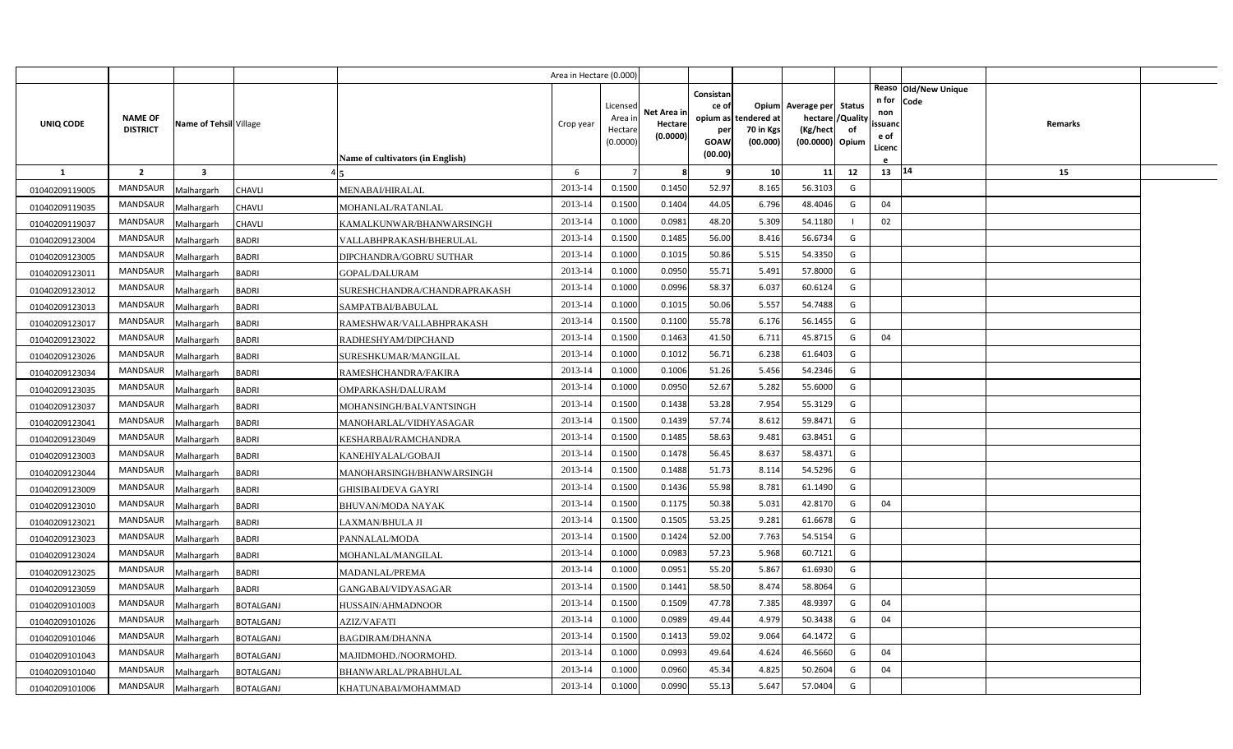|                |                                   |                         |                                              | Area in Hectare (0.000) |                                            |                                    |                                                     |                                               |                                                                    |                |                                          |                              |         |  |
|----------------|-----------------------------------|-------------------------|----------------------------------------------|-------------------------|--------------------------------------------|------------------------------------|-----------------------------------------------------|-----------------------------------------------|--------------------------------------------------------------------|----------------|------------------------------------------|------------------------------|---------|--|
| UNIQ CODE      | <b>NAME OF</b><br><b>DISTRICT</b> | Name of Tehsil Village  | <b>Name of cultivators (in English)</b>      | Crop year               | Licensed<br>Area in<br>Hectare<br>(0.0000) | Net Area in<br>Hectare<br>(0.0000) | Consistan<br>ce of<br>per<br><b>GOAW</b><br>(00.00) | opium as tendered at<br>70 in Kgs<br>(00.000) | Opium Average per Status<br>hectare<br>(Kg/hect<br>(00.0000) Opium | /Quality<br>of | n for<br>non<br>ssuand<br>e of<br>Licenc | Reaso Old/New Unique<br>Code | Remarks |  |
| <b>1</b>       | $\overline{2}$                    | $\overline{\mathbf{3}}$ |                                              | 6                       |                                            | 8                                  | 9                                                   | 10                                            | 11                                                                 | 12             | 13 14                                    |                              | 15      |  |
| 01040209119005 | <b>MANDSAUR</b>                   | Malhargarh              | <b>CHAVLI</b><br>MENABAI/HIRALAL             | 2013-14                 | 0.1500                                     | 0.1450                             | 52.97                                               | 8.165                                         | 56.3103                                                            | G              |                                          |                              |         |  |
| 01040209119035 | MANDSAUR                          | Malhargarh              | CHAVLI<br>MOHANLAL/RATANLAL                  | 2013-14                 | 0.1500                                     | 0.1404                             | 44.05                                               | 6.796                                         | 48.4046                                                            | G              | 04                                       |                              |         |  |
| 01040209119037 | <b>MANDSAUR</b>                   | Malhargarh              | <b>CHAVLI</b><br>KAMALKUNWAR/BHANWARSINGH    | 2013-14                 | 0.1000                                     | 0.0981                             | 48.20                                               | 5.309                                         | 54.1180                                                            |                | 02                                       |                              |         |  |
| 01040209123004 | <b>MANDSAUR</b>                   | Malhargarh              | <b>BADRI</b><br>VALLABHPRAKASH/BHERULAL      | 2013-14                 | 0.1500                                     | 0.1485                             | 56.00                                               | 8.416                                         | 56.6734                                                            | G              |                                          |                              |         |  |
| 01040209123005 | <b>MANDSAUR</b>                   | Malhargarh              | <b>BADRI</b><br>DIPCHANDRA/GOBRU SUTHAR      | 2013-14                 | 0.1000                                     | 0.1015                             | 50.86                                               | 5.515                                         | 54.3350                                                            | G              |                                          |                              |         |  |
| 01040209123011 | <b>MANDSAUR</b>                   | Malhargarh              | <b>BADRI</b><br>GOPAL/DALURAM                | 2013-14                 | 0.1000                                     | 0.0950                             | 55.71                                               | 5.491                                         | 57.8000                                                            | G              |                                          |                              |         |  |
| 01040209123012 | MANDSAUR                          | Malhargarh              | <b>BADRI</b><br>SURESHCHANDRA/CHANDRAPRAKASH | 2013-14                 | 0.1000                                     | 0.0996                             | 58.37                                               | 6.037                                         | 60.6124                                                            | G              |                                          |                              |         |  |
| 01040209123013 | <b>MANDSAUR</b>                   | Malhargarh              | <b>BADRI</b><br>SAMPATBAI/BABULAL            | 2013-14                 | 0.1000                                     | 0.1015                             | 50.06                                               | 5.557                                         | 54.7488                                                            | G              |                                          |                              |         |  |
| 01040209123017 | <b>MANDSAUR</b>                   | Malhargarh              | <b>BADRI</b><br>RAMESHWAR/VALLABHPRAKASH     | 2013-14                 | 0.1500                                     | 0.1100                             | 55.78                                               | 6.176                                         | 56.1455                                                            | G              |                                          |                              |         |  |
| 01040209123022 | MANDSAUR                          | Malhargarh              | <b>BADRI</b><br>RADHESHYAM/DIPCHAND          | 2013-14                 | 0.1500                                     | 0.1463                             | 41.50                                               | 6.711                                         | 45.8715                                                            | G              | 04                                       |                              |         |  |
| 01040209123026 | <b>MANDSAUR</b>                   | Malhargarh              | <b>BADRI</b><br>SURESHKUMAR/MANGILAL         | 2013-14                 | 0.1000                                     | 0.1012                             | 56.71                                               | 6.238                                         | 61.6403                                                            | G              |                                          |                              |         |  |
| 01040209123034 | <b>MANDSAUR</b>                   | Malhargarh              | <b>BADRI</b><br>RAMESHCHANDRA/FAKIRA         | 2013-14                 | 0.1000                                     | 0.1006                             | 51.26                                               | 5.456                                         | 54.2346                                                            | G              |                                          |                              |         |  |
| 01040209123035 | <b>MANDSAUR</b>                   | Malhargarh              | <b>BADRI</b><br>OMPARKASH/DALURAM            | 2013-14                 | 0.1000                                     | 0.0950                             | 52.67                                               | 5.282                                         | 55.6000                                                            | G              |                                          |                              |         |  |
| 01040209123037 | <b>MANDSAUR</b>                   | Malhargarh              | <b>BADRI</b><br>MOHANSINGH/BALVANTSINGH      | 2013-14                 | 0.1500                                     | 0.1438                             | 53.28                                               | 7.954                                         | 55.3129                                                            | G              |                                          |                              |         |  |
| 01040209123041 | MANDSAUR                          | Malhargarh              | <b>BADRI</b><br>MANOHARLAL/VIDHYASAGAR       | 2013-14                 | 0.1500                                     | 0.1439                             | 57.74                                               | 8.612                                         | 59.8471                                                            | G              |                                          |                              |         |  |
| 01040209123049 | <b>MANDSAUR</b>                   | Malhargarh              | <b>BADRI</b><br>KESHARBAI/RAMCHANDRA         | 2013-14                 | 0.1500                                     | 0.1485                             | 58.63                                               | 9.481                                         | 63.8451                                                            | G              |                                          |                              |         |  |
| 01040209123003 | MANDSAUR                          | Malhargarh              | <b>BADRI</b><br>KANEHIYALAL/GOBAJI           | 2013-14                 | 0.1500                                     | 0.1478                             | 56.45                                               | 8.637                                         | 58.4371                                                            | G              |                                          |                              |         |  |
| 01040209123044 | <b>MANDSAUR</b>                   | Malhargarh              | <b>BADRI</b><br>MANOHARSINGH/BHANWARSINGH    | 2013-14                 | 0.1500                                     | 0.1488                             | 51.73                                               | 8.114                                         | 54.5296                                                            | G              |                                          |                              |         |  |
| 01040209123009 | <b>MANDSAUR</b>                   | Malhargarh              | <b>BADRI</b><br>GHISIBAI/DEVA GAYRI          | 2013-14                 | 0.1500                                     | 0.1436                             | 55.98                                               | 8.781                                         | 61.1490                                                            | G              |                                          |                              |         |  |
| 01040209123010 | <b>MANDSAUR</b>                   | Malhargarh              | <b>BADRI</b><br><b>BHUVAN/MODA NAYAK</b>     | 2013-14                 | 0.1500                                     | 0.1175                             | 50.38                                               | 5.031                                         | 42.8170                                                            | G              | 04                                       |                              |         |  |
| 01040209123021 | <b>MANDSAUR</b>                   | Malhargarh              | <b>BADRI</b><br>LAXMAN/BHULA JI              | 2013-14                 | 0.1500                                     | 0.1505                             | 53.25                                               | 9.281                                         | 61.6678                                                            | G              |                                          |                              |         |  |
| 01040209123023 | <b>MANDSAUR</b>                   | Malhargarh              | <b>BADRI</b><br>PANNALAL/MODA                | 2013-14                 | 0.1500                                     | 0.1424                             | 52.00                                               | 7.763                                         | 54.5154                                                            | G              |                                          |                              |         |  |
| 01040209123024 | <b>MANDSAUR</b>                   | Malhargarh              | <b>BADRI</b><br>MOHANLAL/MANGILAL            | 2013-14                 | 0.1000                                     | 0.0983                             | 57.23                                               | 5.968                                         | 60.7121                                                            | G              |                                          |                              |         |  |
| 01040209123025 | <b>MANDSAUR</b>                   | Malhargarh              | <b>BADRI</b><br>MADANLAL/PREMA               | 2013-14                 | 0.1000                                     | 0.0951                             | 55.20                                               | 5.867                                         | 61.6930                                                            | G              |                                          |                              |         |  |
| 01040209123059 | <b>MANDSAUR</b>                   | Malhargarh              | <b>BADRI</b><br>GANGABAI/VIDYASAGAR          | 2013-14                 | 0.1500                                     | 0.1441                             | 58.50                                               | 8.474                                         | 58.8064                                                            | G              |                                          |                              |         |  |
| 01040209101003 | <b>MANDSAUR</b>                   | Malhargarh              | <b>BOTALGANJ</b><br>HUSSAIN/AHMADNOOR        | 2013-14                 | 0.1500                                     | 0.1509                             | 47.78                                               | 7.385                                         | 48.9397                                                            | G              | 04                                       |                              |         |  |
| 01040209101026 | <b>MANDSAUR</b>                   | Malhargarh              | AZIZ/VAFATI<br><b>BOTALGANJ</b>              | 2013-14                 | 0.1000                                     | 0.0989                             | 49.44                                               | 4.979                                         | 50.3438                                                            | G              | 04                                       |                              |         |  |
| 01040209101046 | MANDSAUR                          | Malhargarh              | <b>BOTALGANJ</b><br><b>BAGDIRAM/DHANNA</b>   | 2013-14                 | 0.1500                                     | 0.1413                             | 59.02                                               | 9.064                                         | 64.1472                                                            | G              |                                          |                              |         |  |
| 01040209101043 | <b>MANDSAUR</b>                   | Malhargarh              | <b>BOTALGANJ</b><br>MAJIDMOHD./NOORMOHD.     | 2013-14                 | 0.1000                                     | 0.0993                             | 49.64                                               | 4.624                                         | 46.5660                                                            | G              | 04                                       |                              |         |  |
| 01040209101040 | <b>MANDSAUR</b>                   | Malhargarh              | <b>BOTALGANJ</b><br>BHANWARLAL/PRABHULAL     | 2013-14                 | 0.1000                                     | 0.0960                             | 45.34                                               | 4.825                                         | 50.2604                                                            | G              | 04                                       |                              |         |  |
| 01040209101006 | MANDSAUR                          | Malhargarh              | <b>BOTALGANJ</b><br>KHATUNABAI/MOHAMMAD      | 2013-14                 | 0.1000                                     | 0.0990                             | 55.13                                               | 5.647                                         | 57.0404                                                            | G              |                                          |                              |         |  |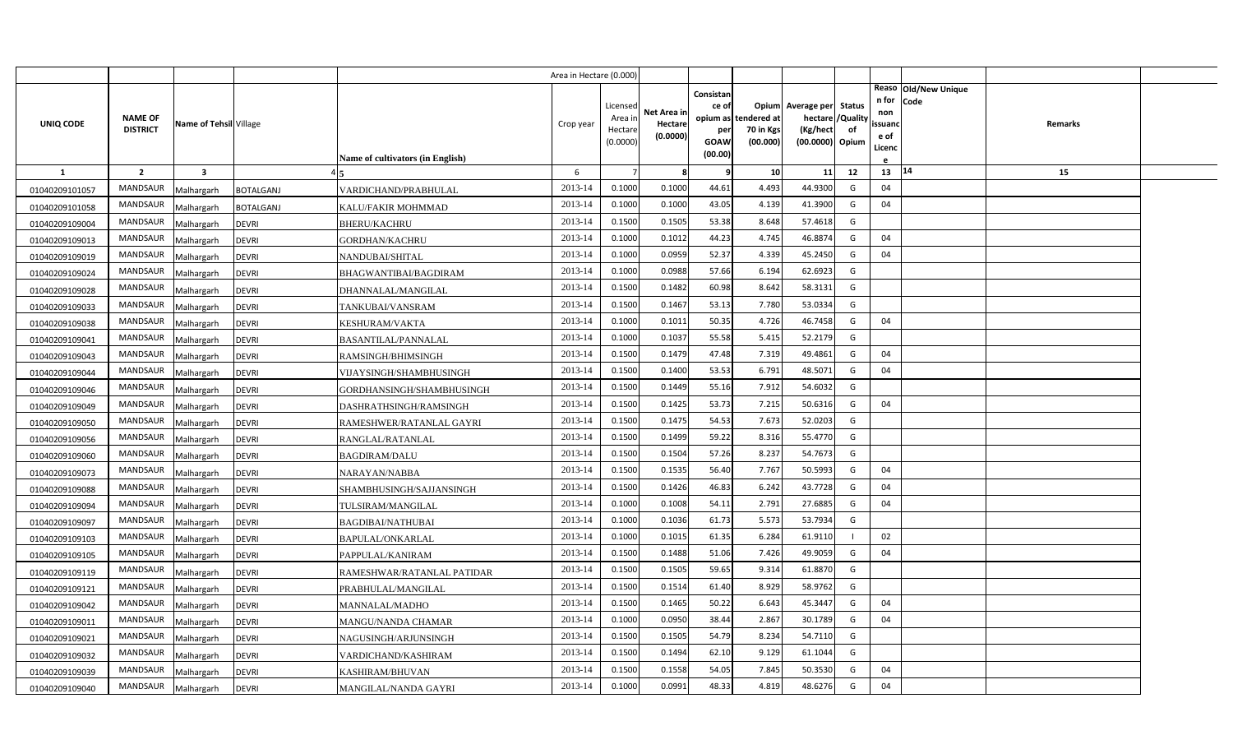|                |                                   |                         |                                            | Area in Hectare (0.000) |                                            |                                    |                                              |                                               |                                                                    |                |                                          |                              |         |  |
|----------------|-----------------------------------|-------------------------|--------------------------------------------|-------------------------|--------------------------------------------|------------------------------------|----------------------------------------------|-----------------------------------------------|--------------------------------------------------------------------|----------------|------------------------------------------|------------------------------|---------|--|
| UNIQ CODE      | <b>NAME OF</b><br><b>DISTRICT</b> | Name of Tehsil Village  | Name of cultivators (in English)           | Crop year               | Licensed<br>Area in<br>Hectare<br>(0.0000) | Net Area in<br>Hectare<br>(0.0000) | Consistan<br>ce of<br>per<br>GOAW<br>(00.00) | opium as tendered at<br>70 in Kgs<br>(00.000) | Opium Average per Status<br>hectare<br>(Kg/hect<br>(00.0000) Opium | /Quality<br>of | n for<br>non<br>ssuand<br>e of<br>Licenc | Reaso Old/New Unique<br>Code | Remarks |  |
| <b>1</b>       | $\overline{2}$                    | $\overline{\mathbf{3}}$ |                                            | 6                       |                                            | -8                                 | q                                            | 10                                            | 11                                                                 | 12             | 13                                       | 14                           | 15      |  |
| 01040209101057 | MANDSAUR                          | Malhargarh              | VARDICHAND/PRABHULAL<br><b>BOTALGANJ</b>   | 2013-14                 | 0.1000                                     | 0.1000                             | 44.61                                        | 4.493                                         | 44.9300                                                            | G              | 04                                       |                              |         |  |
| 01040209101058 | MANDSAUR                          | Malhargarh              | <b>BOTALGANJ</b><br>KALU/FAKIR MOHMMAD     | 2013-14                 | 0.1000                                     | 0.1000                             | 43.05                                        | 4.139                                         | 41.3900                                                            | G              | 04                                       |                              |         |  |
| 01040209109004 | <b>MANDSAUR</b>                   | Malhargarh              | <b>DEVRI</b><br><b>BHERU/KACHRU</b>        | 2013-14                 | 0.1500                                     | 0.1505                             | 53.38                                        | 8.648                                         | 57.4618                                                            | G              |                                          |                              |         |  |
| 01040209109013 | <b>MANDSAUR</b>                   | Malhargarh              | <b>DEVRI</b><br>GORDHAN/KACHRU             | 2013-14                 | 0.1000                                     | 0.1012                             | 44.23                                        | 4.745                                         | 46.8874                                                            | G              | 04                                       |                              |         |  |
| 01040209109019 | <b>MANDSAUR</b>                   | Malhargarh              | <b>DEVRI</b><br>NANDUBAI/SHITAL            | 2013-14                 | 0.1000                                     | 0.0959                             | 52.37                                        | 4.339                                         | 45.2450                                                            | G              | 04                                       |                              |         |  |
| 01040209109024 | <b>MANDSAUR</b>                   | Malhargarh              | <b>DEVRI</b><br>BHAGWANTIBAI/BAGDIRAM      | 2013-14                 | 0.1000                                     | 0.0988                             | 57.66                                        | 6.194                                         | 62.6923                                                            | G              |                                          |                              |         |  |
| 01040209109028 | <b>MANDSAUR</b>                   | Malhargarh              | <b>DEVRI</b><br>DHANNALAL/MANGILAL         | 2013-14                 | 0.1500                                     | 0.1482                             | 60.98                                        | 8.642                                         | 58.3131                                                            | G              |                                          |                              |         |  |
| 01040209109033 | <b>MANDSAUR</b>                   | Malhargarh              | <b>DEVRI</b><br>TANKUBAI/VANSRAM           | 2013-14                 | 0.1500                                     | 0.1467                             | 53.13                                        | 7.780                                         | 53.0334                                                            | G              |                                          |                              |         |  |
| 01040209109038 | MANDSAUR                          | Malhargarh              | <b>DEVRI</b><br><b>KESHURAM/VAKTA</b>      | 2013-14                 | 0.1000                                     | 0.1011                             | 50.35                                        | 4.726                                         | 46.7458                                                            | G              | 04                                       |                              |         |  |
| 01040209109041 | MANDSAUR                          | Malhargarh              | <b>DEVRI</b><br><b>BASANTILAL/PANNALAL</b> | 2013-14                 | 0.1000                                     | 0.1037                             | 55.58                                        | 5.415                                         | 52.2179                                                            | G              |                                          |                              |         |  |
| 01040209109043 | <b>MANDSAUR</b>                   | Malhargarh              | <b>DEVRI</b><br>RAMSINGH/BHIMSINGH         | 2013-14                 | 0.1500                                     | 0.1479                             | 47.48                                        | 7.319                                         | 49.4861                                                            | G              | 04                                       |                              |         |  |
| 01040209109044 | <b>MANDSAUR</b>                   | Malhargarh              | <b>DEVRI</b><br>VIJAYSINGH/SHAMBHUSINGH    | 2013-14                 | 0.1500                                     | 0.1400                             | 53.53                                        | 6.791                                         | 48.5071                                                            | G              | 04                                       |                              |         |  |
| 01040209109046 | <b>MANDSAUR</b>                   | Malhargarh              | <b>DEVRI</b><br>GORDHANSINGH/SHAMBHUSINGH  | 2013-14                 | 0.1500                                     | 0.1449                             | 55.16                                        | 7.912                                         | 54.6032                                                            | G              |                                          |                              |         |  |
| 01040209109049 | <b>MANDSAUR</b>                   | Malhargarh              | <b>DEVRI</b><br>DASHRATHSINGH/RAMSINGH     | 2013-14                 | 0.1500                                     | 0.1425                             | 53.73                                        | 7.215                                         | 50.6316                                                            | G              | 04                                       |                              |         |  |
| 01040209109050 | <b>MANDSAUR</b>                   | Malhargarh              | <b>DEVRI</b><br>RAMESHWER/RATANLAL GAYRI   | 2013-14                 | 0.1500                                     | 0.1475                             | 54.53                                        | 7.673                                         | 52.0203                                                            | G              |                                          |                              |         |  |
| 01040209109056 | <b>MANDSAUR</b>                   | Malhargarh              | <b>DEVRI</b><br>RANGLAL/RATANLAL           | 2013-14                 | 0.1500                                     | 0.1499                             | 59.22                                        | 8.316                                         | 55.4770                                                            | G              |                                          |                              |         |  |
| 01040209109060 | <b>MANDSAUR</b>                   | Malhargarh              | <b>DEVRI</b><br><b>BAGDIRAM/DALU</b>       | 2013-14                 | 0.1500                                     | 0.1504                             | 57.26                                        | 8.237                                         | 54.7673                                                            | G              |                                          |                              |         |  |
| 01040209109073 | <b>MANDSAUR</b>                   | Malhargarh              | <b>DEVRI</b><br>NARAYAN/NABBA              | 2013-14                 | 0.1500                                     | 0.1535                             | 56.40                                        | 7.767                                         | 50.5993                                                            | G              | 04                                       |                              |         |  |
| 01040209109088 | <b>MANDSAUR</b>                   | Malhargarh              | <b>DEVRI</b><br>SHAMBHUSINGH/SAJJANSINGH   | 2013-14                 | 0.1500                                     | 0.1426                             | 46.83                                        | 6.242                                         | 43.7728                                                            | G              | 04                                       |                              |         |  |
| 01040209109094 | <b>MANDSAUR</b>                   | Malhargarh              | <b>DEVRI</b><br>TULSIRAM/MANGILAL          | 2013-14                 | 0.1000                                     | 0.1008                             | 54.11                                        | 2.791                                         | 27.6885                                                            | G              | 04                                       |                              |         |  |
| 01040209109097 | <b>MANDSAUR</b>                   | Malhargarh              | <b>DEVRI</b><br><b>BAGDIBAI/NATHUBAI</b>   | 2013-14                 | 0.1000                                     | 0.1036                             | 61.73                                        | 5.573                                         | 53.7934                                                            | G              |                                          |                              |         |  |
| 01040209109103 | <b>MANDSAUR</b>                   | Malhargarh              | <b>DEVRI</b><br>BAPULAL/ONKARLAL           | 2013-14                 | 0.1000                                     | 0.1015                             | 61.35                                        | 6.284                                         | 61.9110                                                            |                | 02                                       |                              |         |  |
| 01040209109105 | MANDSAUR                          | Malhargarh              | <b>DEVRI</b><br>PAPPULAL/KANIRAM           | 2013-14                 | 0.1500                                     | 0.1488                             | 51.06                                        | 7.426                                         | 49.9059                                                            | G              | 04                                       |                              |         |  |
| 01040209109119 | <b>MANDSAUR</b>                   | Malhargarh              | <b>DEVRI</b><br>RAMESHWAR/RATANLAL PATIDAR | 2013-14                 | 0.1500                                     | 0.1505                             | 59.65                                        | 9.314                                         | 61.8870                                                            | G              |                                          |                              |         |  |
| 01040209109121 | <b>MANDSAUR</b>                   | Malhargarh              | <b>DEVRI</b><br>PRABHULAL/MANGILAL         | 2013-14                 | 0.1500                                     | 0.1514                             | 61.40                                        | 8.929                                         | 58.9762                                                            | G              |                                          |                              |         |  |
| 01040209109042 | <b>MANDSAUR</b>                   | Malhargarh              | <b>DEVRI</b><br><b>MANNALAL/MADHO</b>      | 2013-14                 | 0.1500                                     | 0.1465                             | 50.22                                        | 6.643                                         | 45.3447                                                            | G              | 04                                       |                              |         |  |
| 01040209109011 | <b>MANDSAUR</b>                   | Malhargarh              | <b>DEVRI</b><br>MANGU/NANDA CHAMAR         | 2013-14                 | 0.1000                                     | 0.0950                             | 38.44                                        | 2.867                                         | 30.1789                                                            | G              | 04                                       |                              |         |  |
| 01040209109021 | <b>MANDSAUR</b>                   | Malhargarh              | <b>DEVRI</b><br>NAGUSINGH/ARJUNSINGH       | 2013-14                 | 0.1500                                     | 0.1505                             | 54.79                                        | 8.234                                         | 54.7110                                                            | G              |                                          |                              |         |  |
| 01040209109032 | <b>MANDSAUR</b>                   | Malhargarh              | <b>DEVRI</b><br>VARDICHAND/KASHIRAM        | 2013-14                 | 0.1500                                     | 0.1494                             | 62.10                                        | 9.129                                         | 61.1044                                                            | G              |                                          |                              |         |  |
| 01040209109039 | <b>MANDSAUR</b>                   | Malhargarh              | <b>DEVRI</b><br>KASHIRAM/BHUVAN            | 2013-14                 | 0.1500                                     | 0.1558                             | 54.05                                        | 7.845                                         | 50.3530                                                            | G              | 04                                       |                              |         |  |
| 01040209109040 | MANDSAUR                          | Malhargarh              | <b>DEVRI</b><br>MANGILAL/NANDA GAYRI       | 2013-14                 | 0.1000                                     | 0.0991                             | 48.33                                        | 4.819                                         | 48.6276                                                            | G              | 04                                       |                              |         |  |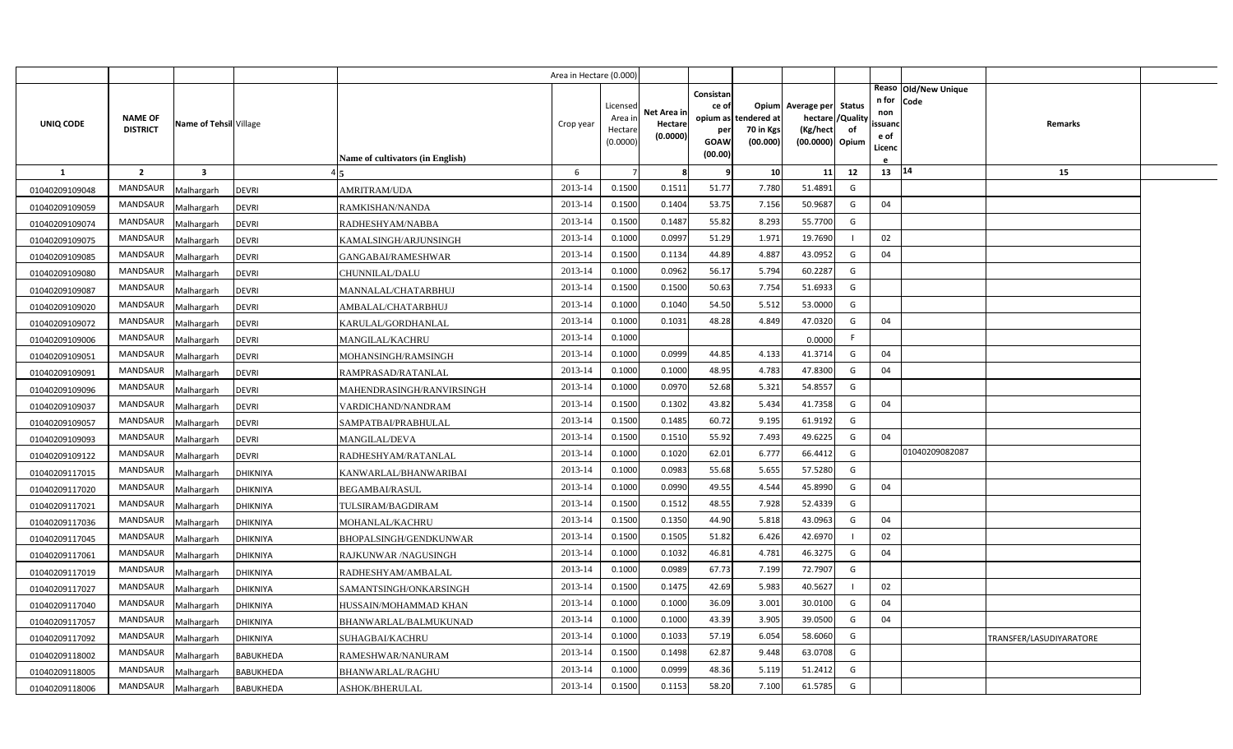|                |                                   |                         |                                           | Area in Hectare (0.000) |                                            |                                    |                                                     |                                               |                                                                    |                |                                          |                              |                         |  |
|----------------|-----------------------------------|-------------------------|-------------------------------------------|-------------------------|--------------------------------------------|------------------------------------|-----------------------------------------------------|-----------------------------------------------|--------------------------------------------------------------------|----------------|------------------------------------------|------------------------------|-------------------------|--|
| UNIQ CODE      | <b>NAME OF</b><br><b>DISTRICT</b> | Name of Tehsil Village  | <b>Name of cultivators (in English)</b>   | Crop year               | Licensed<br>Area in<br>Hectare<br>(0.0000) | Net Area in<br>Hectare<br>(0.0000) | Consistan<br>ce of<br>per<br><b>GOAW</b><br>(00.00) | opium as tendered at<br>70 in Kgs<br>(00.000) | Opium Average per Status<br>hectare<br>(Kg/hect<br>(00.0000) Opium | /Quality<br>of | n for<br>non<br>ssuand<br>e of<br>Licenc | Reaso Old/New Unique<br>Code | Remarks                 |  |
| <b>1</b>       | $\overline{2}$                    | $\overline{\mathbf{3}}$ |                                           | 6                       |                                            | 8                                  | 9                                                   | 10                                            | 11                                                                 | 12             | 13 14                                    |                              | 15                      |  |
| 01040209109048 | <b>MANDSAUR</b>                   | Malhargarh              | <b>DEVRI</b><br>AMRITRAM/UDA              | 2013-14                 | 0.1500                                     | 0.1511                             | 51.77                                               | 7.780                                         | 51.4891                                                            | G              |                                          |                              |                         |  |
| 01040209109059 | MANDSAUR                          | Malhargarh              | <b>DEVRI</b><br>RAMKISHAN/NANDA           | 2013-14                 | 0.1500                                     | 0.1404                             | 53.75                                               | 7.156                                         | 50.9687                                                            | G              | 04                                       |                              |                         |  |
| 01040209109074 | <b>MANDSAUR</b>                   | Malhargarh              | <b>DEVRI</b><br>RADHESHYAM/NABBA          | 2013-14                 | 0.1500                                     | 0.1487                             | 55.82                                               | 8.293                                         | 55.7700                                                            | G              |                                          |                              |                         |  |
| 01040209109075 | <b>MANDSAUR</b>                   | Malhargarh              | <b>DEVRI</b><br>KAMALSINGH/ARJUNSINGH     | 2013-14                 | 0.1000                                     | 0.0997                             | 51.29                                               | 1.97                                          | 19.7690                                                            |                | 02                                       |                              |                         |  |
| 01040209109085 | <b>MANDSAUR</b>                   | Malhargarh              | <b>DEVRI</b><br><b>GANGABAI/RAMESHWAR</b> | 2013-14                 | 0.1500                                     | 0.1134                             | 44.89                                               | 4.887                                         | 43.0952                                                            | G              | 04                                       |                              |                         |  |
| 01040209109080 | <b>MANDSAUR</b>                   | Malhargarh              | <b>DEVRI</b><br>CHUNNILAL/DALU            | 2013-14                 | 0.1000                                     | 0.0962                             | 56.17                                               | 5.794                                         | 60.2287                                                            | G              |                                          |                              |                         |  |
| 01040209109087 | MANDSAUR                          | Malhargarh              | <b>DEVRI</b><br>MANNALAL/CHATARBHUJ       | 2013-14                 | 0.1500                                     | 0.1500                             | 50.63                                               | 7.754                                         | 51.6933                                                            | G              |                                          |                              |                         |  |
| 01040209109020 | <b>MANDSAUR</b>                   | Malhargarh              | <b>DEVRI</b><br>AMBALAL/CHATARBHUJ        | 2013-14                 | 0.1000                                     | 0.1040                             | 54.50                                               | 5.512                                         | 53.0000                                                            | G              |                                          |                              |                         |  |
| 01040209109072 | MANDSAUR                          | Malhargarh              | <b>DEVRI</b><br>KARULAL/GORDHANLAL        | 2013-14                 | 0.1000                                     | 0.1031                             | 48.28                                               | 4.849                                         | 47.0320                                                            | G              | 04                                       |                              |                         |  |
| 01040209109006 | MANDSAUR                          | Malhargarh              | <b>DEVRI</b><br>MANGILAL/KACHRU           | 2013-14                 | 0.1000                                     |                                    |                                                     |                                               | 0.0000                                                             | F.             |                                          |                              |                         |  |
| 01040209109051 | <b>MANDSAUR</b>                   | Malhargarh              | <b>DEVRI</b><br>MOHANSINGH/RAMSINGH       | 2013-14                 | 0.1000                                     | 0.0999                             | 44.85                                               | 4.133                                         | 41.3714                                                            | G              | 04                                       |                              |                         |  |
| 01040209109091 | <b>MANDSAUR</b>                   | Malhargarh              | <b>DEVRI</b><br>RAMPRASAD/RATANLAL        | 2013-14                 | 0.1000                                     | 0.1000                             | 48.95                                               | 4.783                                         | 47.8300                                                            | G              | 04                                       |                              |                         |  |
| 01040209109096 | <b>MANDSAUR</b>                   | Malhargarh              | <b>DEVRI</b><br>MAHENDRASINGH/RANVIRSINGH | 2013-14                 | 0.1000                                     | 0.0970                             | 52.68                                               | 5.321                                         | 54.8557                                                            | G              |                                          |                              |                         |  |
| 01040209109037 | <b>MANDSAUR</b>                   | Malhargarh              | <b>DEVRI</b><br>VARDICHAND/NANDRAM        | 2013-14                 | 0.1500                                     | 0.1302                             | 43.82                                               | 5.434                                         | 41.7358                                                            | G              | 04                                       |                              |                         |  |
| 01040209109057 | MANDSAUR                          | Malhargarh              | <b>DEVRI</b><br>SAMPATBAI/PRABHULAL       | 2013-14                 | 0.1500                                     | 0.1485                             | 60.72                                               | 9.195                                         | 61.9192                                                            | G              |                                          |                              |                         |  |
| 01040209109093 | <b>MANDSAUR</b>                   | Malhargarh              | <b>DEVRI</b><br><b>MANGILAL/DEVA</b>      | 2013-14                 | 0.1500                                     | 0.1510                             | 55.92                                               | 7.493                                         | 49.6225                                                            | G              | 04                                       |                              |                         |  |
| 01040209109122 | MANDSAUR                          | Malhargarh              | <b>DEVRI</b><br>RADHESHYAM/RATANLAL       | 2013-14                 | 0.1000                                     | 0.1020                             | 62.01                                               | 6.777                                         | 66.4412                                                            | G              |                                          | 01040209082087               |                         |  |
| 01040209117015 | <b>MANDSAUR</b>                   | Malhargarh              | DHIKNIYA<br>KANWARLAL/BHANWARIBAI         | 2013-14                 | 0.1000                                     | 0.0983                             | 55.68                                               | 5.655                                         | 57.5280                                                            | G              |                                          |                              |                         |  |
| 01040209117020 | <b>MANDSAUR</b>                   | Malhargarh              | DHIKNIYA<br><b>BEGAMBAI/RASUL</b>         | 2013-14                 | 0.1000                                     | 0.0990                             | 49.55                                               | 4.544                                         | 45.8990                                                            | G              | 04                                       |                              |                         |  |
| 01040209117021 | <b>MANDSAUR</b>                   | Malhargarh              | DHIKNIYA<br>TULSIRAM/BAGDIRAM             | 2013-14                 | 0.1500                                     | 0.1512                             | 48.55                                               | 7.928                                         | 52.4339                                                            | G              |                                          |                              |                         |  |
| 01040209117036 | <b>MANDSAUR</b>                   | Malhargarh              | DHIKNIYA<br>MOHANLAL/KACHRU               | 2013-14                 | 0.1500                                     | 0.1350                             | 44.90                                               | 5.818                                         | 43.0963                                                            | G              | 04                                       |                              |                         |  |
| 01040209117045 | <b>MANDSAUR</b>                   | Malhargarh              | DHIKNIYA<br>BHOPALSINGH/GENDKUNWAR        | 2013-14                 | 0.1500                                     | 0.1505                             | 51.82                                               | 6.426                                         | 42.6970                                                            |                | 02                                       |                              |                         |  |
| 01040209117061 | <b>MANDSAUR</b>                   | Malhargarh              | DHIKNIYA<br>RAJKUNWAR /NAGUSINGH          | 2013-14                 | 0.1000                                     | 0.1032                             | 46.81                                               | 4.781                                         | 46.3275                                                            | G              | 04                                       |                              |                         |  |
| 01040209117019 | <b>MANDSAUR</b>                   | Malhargarh              | DHIKNIYA<br>RADHESHYAM/AMBALAL            | 2013-14                 | 0.1000                                     | 0.0989                             | 67.73                                               | 7.199                                         | 72.7907                                                            | G              |                                          |                              |                         |  |
| 01040209117027 | <b>MANDSAUR</b>                   | Malhargarh              | DHIKNIYA<br>SAMANTSINGH/ONKARSINGH        | 2013-14                 | 0.1500                                     | 0.1475                             | 42.69                                               | 5.983                                         | 40.5627                                                            |                | 02                                       |                              |                         |  |
| 01040209117040 | <b>MANDSAUR</b>                   | Malhargarh              | DHIKNIYA<br>HUSSAIN/MOHAMMAD KHAN         | 2013-14                 | 0.1000                                     | 0.1000                             | 36.09                                               | 3.001                                         | 30.0100                                                            | G              | 04                                       |                              |                         |  |
| 01040209117057 | <b>MANDSAUR</b>                   | Malhargarh              | <b>DHIKNIYA</b><br>BHANWARLAL/BALMUKUNAD  | 2013-14                 | 0.1000                                     | 0.1000                             | 43.39                                               | 3.905                                         | 39.0500                                                            | G              | 04                                       |                              |                         |  |
| 01040209117092 | MANDSAUR                          | Malhargarh              | DHIKNIYA<br>SUHAGBAI/KACHRU               | 2013-14                 | 0.1000                                     | 0.1033                             | 57.19                                               | 6.054                                         | 58.6060                                                            | G              |                                          |                              | TRANSFER/LASUDIYARATORE |  |
| 01040209118002 | <b>MANDSAUR</b>                   | Malhargarh              | BABUKHEDA<br>RAMESHWAR/NANURAM            | 2013-14                 | 0.1500                                     | 0.1498                             | 62.87                                               | 9.448                                         | 63.0708                                                            | G              |                                          |                              |                         |  |
| 01040209118005 | <b>MANDSAUR</b>                   | Malhargarh              | BABUKHEDA<br>BHANWARLAL/RAGHU             | 2013-14                 | 0.1000                                     | 0.0999                             | 48.36                                               | 5.119                                         | 51.2412                                                            | G              |                                          |                              |                         |  |
| 01040209118006 | MANDSAUR                          | Malhargarh              | BABUKHEDA<br><b>ASHOK/BHERULAL</b>        | 2013-14                 | 0.1500                                     | 0.1153                             | 58.20                                               | 7.100                                         | 61.5785                                                            | G              |                                          |                              |                         |  |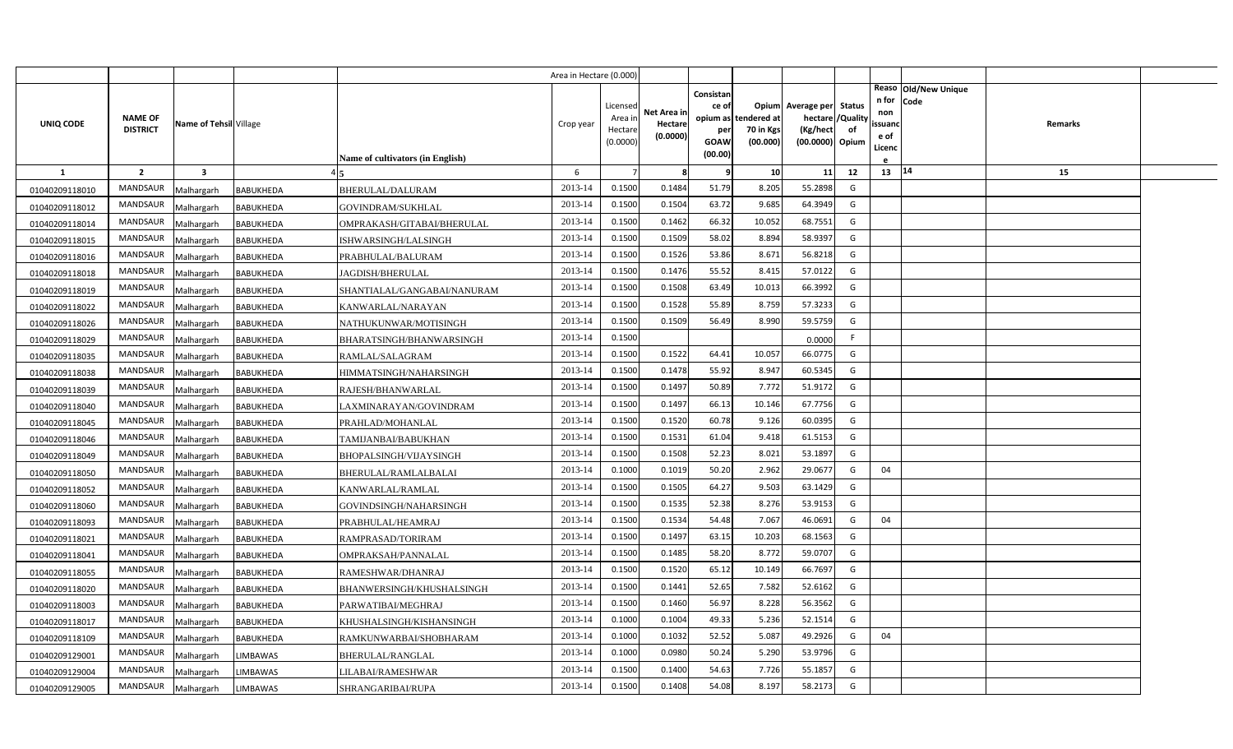|                |                                   |                        |                  |                                         | Area in Hectare (0.000) |                                            |                                    |                                                     |                                               |                                                                    |                |                                                                          |         |  |
|----------------|-----------------------------------|------------------------|------------------|-----------------------------------------|-------------------------|--------------------------------------------|------------------------------------|-----------------------------------------------------|-----------------------------------------------|--------------------------------------------------------------------|----------------|--------------------------------------------------------------------------|---------|--|
| UNIQ CODE      | <b>NAME OF</b><br><b>DISTRICT</b> | Name of Tehsil Village |                  |                                         | Crop year               | Licensed<br>Area in<br>Hectare<br>(0.0000) | Net Area in<br>Hectare<br>(0.0000) | Consistan<br>ce of<br>per<br><b>GOAW</b><br>(00.00) | opium as tendered at<br>70 in Kgs<br>(00.000) | Opium Average per Status<br>hectare<br>(Kg/hect<br>(00.0000) Opium | /Quality<br>of | Reaso Old/New Unique<br>n for<br>Code<br>non<br>ssuand<br>e of<br>Licenc | Remarks |  |
| $\mathbf{1}$   | $\overline{2}$                    | $\mathbf{3}$           |                  | <b>Name of cultivators (in English)</b> | 6                       |                                            | -8                                 | q                                                   | 10                                            | 11                                                                 | 12             | 13 14                                                                    | 15      |  |
| 01040209118010 | <b>MANDSAUR</b>                   | Malhargarh             | BABUKHEDA        | BHERULAL/DALURAM                        | 2013-14                 | 0.1500                                     | 0.1484                             | 51.79                                               | 8.205                                         | 55.2898                                                            | G              |                                                                          |         |  |
| 01040209118012 | MANDSAUR                          | Malhargarh             | <b>BABUKHEDA</b> | GOVINDRAM/SUKHLAL                       | 2013-14                 | 0.1500                                     | 0.1504                             | 63.72                                               | 9.685                                         | 64.3949                                                            | G              |                                                                          |         |  |
| 01040209118014 | <b>MANDSAUR</b>                   | Malhargarh             | <b>BABUKHEDA</b> | OMPRAKASH/GITABAI/BHERULAL              | 2013-14                 | 0.1500                                     | 0.1462                             | 66.32                                               | 10.052                                        | 68.7551                                                            | G              |                                                                          |         |  |
| 01040209118015 | <b>MANDSAUR</b>                   | Malhargarh             | BABUKHEDA        | ISHWARSINGH/LALSINGH                    | 2013-14                 | 0.1500                                     | 0.1509                             | 58.02                                               | 8.894                                         | 58.9397                                                            | G              |                                                                          |         |  |
| 01040209118016 | <b>MANDSAUR</b>                   | Malhargarh             | <b>BABUKHEDA</b> | PRABHULAL/BALURAM                       | 2013-14                 | 0.1500                                     | 0.1526                             | 53.86                                               | 8.672                                         | 56.8218                                                            | G              |                                                                          |         |  |
| 01040209118018 | <b>MANDSAUR</b>                   | Malhargarh             | BABUKHEDA        | JAGDISH/BHERULAL                        | 2013-14                 | 0.1500                                     | 0.1476                             | 55.52                                               | 8.41                                          | 57.0122                                                            | G              |                                                                          |         |  |
| 01040209118019 | <b>MANDSAUR</b>                   | Malhargarh             | <b>BABUKHEDA</b> | SHANTIALAL/GANGABAI/NANURAM             | 2013-14                 | 0.1500                                     | 0.1508                             | 63.49                                               | 10.013                                        | 66.3992                                                            | G              |                                                                          |         |  |
| 01040209118022 | MANDSAUR                          | Malhargarh             | <b>BABUKHEDA</b> | KANWARLAL/NARAYAN                       | 2013-14                 | 0.1500                                     | 0.1528                             | 55.89                                               | 8.759                                         | 57.3233                                                            | G              |                                                                          |         |  |
| 01040209118026 | MANDSAUR                          | Malhargarh             | <b>BABUKHEDA</b> | NATHUKUNWAR/MOTISINGH                   | 2013-14                 | 0.1500                                     | 0.1509                             | 56.49                                               | 8.990                                         | 59.5759                                                            | G              |                                                                          |         |  |
| 01040209118029 | MANDSAUR                          | Malhargarh             | BABUKHEDA        | BHARATSINGH/BHANWARSINGH                | 2013-14                 | 0.1500                                     |                                    |                                                     |                                               | 0.0000                                                             | F              |                                                                          |         |  |
| 01040209118035 | MANDSAUR                          | Malhargarh             | BABUKHEDA        | RAMLAL/SALAGRAM                         | 2013-14                 | 0.1500                                     | 0.1522                             | 64.41                                               | 10.057                                        | 66.0775                                                            | G              |                                                                          |         |  |
| 01040209118038 | <b>MANDSAUR</b>                   | Malhargarh             | <b>BABUKHEDA</b> | HIMMATSINGH/NAHARSINGH                  | 2013-14                 | 0.1500                                     | 0.1478                             | 55.92                                               | 8.947                                         | 60.5345                                                            | G              |                                                                          |         |  |
| 01040209118039 | <b>MANDSAUR</b>                   | Malhargarh             | <b>BABUKHEDA</b> | RAJESH/BHANWARLAL                       | 2013-14                 | 0.1500                                     | 0.1497                             | 50.89                                               | 7.772                                         | 51.9172                                                            | G              |                                                                          |         |  |
| 01040209118040 | <b>MANDSAUR</b>                   | Malhargarh             | BABUKHEDA        | LAXMINARAYAN/GOVINDRAM                  | 2013-14                 | 0.1500                                     | 0.1497                             | 66.13                                               | 10.146                                        | 67.7756                                                            | G              |                                                                          |         |  |
| 01040209118045 | <b>MANDSAUR</b>                   | Malhargarh             | BABUKHEDA        | PRAHLAD/MOHANLAL                        | 2013-14                 | 0.1500                                     | 0.1520                             | 60.78                                               | 9.126                                         | 60.0395                                                            | G              |                                                                          |         |  |
| 01040209118046 | MANDSAUR                          | Malhargarh             | <b>BABUKHEDA</b> | TAMIJANBAI/BABUKHAN                     | 2013-14                 | 0.1500                                     | 0.1531                             | 61.04                                               | 9.418                                         | 61.5153                                                            | G              |                                                                          |         |  |
| 01040209118049 | <b>MANDSAUR</b>                   | Malhargarh             | BABUKHEDA        | BHOPALSINGH/VIJAYSINGH                  | 2013-14                 | 0.1500                                     | 0.1508                             | 52.23                                               | 8.021                                         | 53.1897                                                            | G              |                                                                          |         |  |
| 01040209118050 | <b>MANDSAUR</b>                   | Malhargarh             | <b>BABUKHEDA</b> | BHERULAL/RAMLALBALAI                    | 2013-14                 | 0.1000                                     | 0.1019                             | 50.20                                               | 2.962                                         | 29.0677                                                            | G              | 04                                                                       |         |  |
| 01040209118052 | <b>MANDSAUR</b>                   | Malhargarh             | <b>BABUKHEDA</b> | KANWARLAL/RAMLAL                        | 2013-14                 | 0.1500                                     | 0.1505                             | 64.27                                               | 9.503                                         | 63.1429                                                            | G              |                                                                          |         |  |
| 01040209118060 | <b>MANDSAUR</b>                   | Malhargarh             | BABUKHEDA        | GOVINDSINGH/NAHARSINGH                  | 2013-14                 | 0.1500                                     | 0.1535                             | 52.38                                               | 8.276                                         | 53.9153                                                            | G              |                                                                          |         |  |
| 01040209118093 | <b>MANDSAUR</b>                   | Malhargarh             | BABUKHEDA        | PRABHULAL/HEAMRAJ                       | 2013-14                 | 0.1500                                     | 0.1534                             | 54.48                                               | 7.067                                         | 46.0691                                                            | G              | 04                                                                       |         |  |
| 01040209118021 | <b>MANDSAUR</b>                   | Malhargarh             | BABUKHEDA        | RAMPRASAD/TORIRAM                       | 2013-14                 | 0.1500                                     | 0.1497                             | 63.15                                               | 10.203                                        | 68.1563                                                            | G              |                                                                          |         |  |
| 01040209118041 | <b>MANDSAUR</b>                   | Malhargarh             | BABUKHEDA        | OMPRAKSAH/PANNALAL                      | 2013-14                 | 0.1500                                     | 0.1485                             | 58.20                                               | 8.772                                         | 59.0707                                                            | G              |                                                                          |         |  |
| 01040209118055 | <b>MANDSAUR</b>                   | Malhargarh             | BABUKHEDA        | RAMESHWAR/DHANRAJ                       | 2013-14                 | 0.1500                                     | 0.1520                             | 65.12                                               | 10.149                                        | 66.7697                                                            | G              |                                                                          |         |  |
| 01040209118020 | <b>MANDSAUR</b>                   | Malhargarh             | BABUKHEDA        | BHANWERSINGH/KHUSHALSINGH               | 2013-14                 | 0.1500                                     | 0.1441                             | 52.65                                               | 7.582                                         | 52.6162                                                            | G              |                                                                          |         |  |
| 01040209118003 | <b>MANDSAUR</b>                   | Malhargarh             | BABUKHEDA        | PARWATIBAI/MEGHRAJ                      | 2013-14                 | 0.1500                                     | 0.1460                             | 56.97                                               | 8.228                                         | 56.3562                                                            | G              |                                                                          |         |  |
| 01040209118017 | <b>MANDSAUR</b>                   | Malhargarh             | BABUKHEDA        | KHUSHALSINGH/KISHANSINGH                | 2013-14                 | 0.1000                                     | 0.1004                             | 49.33                                               | 5.236                                         | 52.1514                                                            | G              |                                                                          |         |  |
| 01040209118109 | <b>MANDSAUR</b>                   | Malhargarh             | <b>BABUKHEDA</b> | RAMKUNWARBAI/SHOBHARAM                  | 2013-14                 | 0.1000                                     | 0.1032                             | 52.52                                               | 5.087                                         | 49.2926                                                            | G              | 04                                                                       |         |  |
| 01040209129001 | <b>MANDSAUR</b>                   | Malhargarh             | LIMBAWAS         | BHERULAL/RANGLAL                        | 2013-14                 | 0.1000                                     | 0.0980                             | 50.24                                               | 5.290                                         | 53.9796                                                            | G              |                                                                          |         |  |
| 01040209129004 | MANDSAUR                          | Malhargarh             | LIMBAWAS         | LILABAI/RAMESHWAR                       | 2013-14                 | 0.1500                                     | 0.1400                             | 54.63                                               | 7.726                                         | 55.1857                                                            | G              |                                                                          |         |  |
| 01040209129005 | MANDSAUR                          | Malhargarh             | <b>LIMBAWAS</b>  | SHRANGARIBAI/RUPA                       | 2013-14                 | 0.1500                                     | 0.1408                             | 54.08                                               | 8.197                                         | 58.2173                                                            | G              |                                                                          |         |  |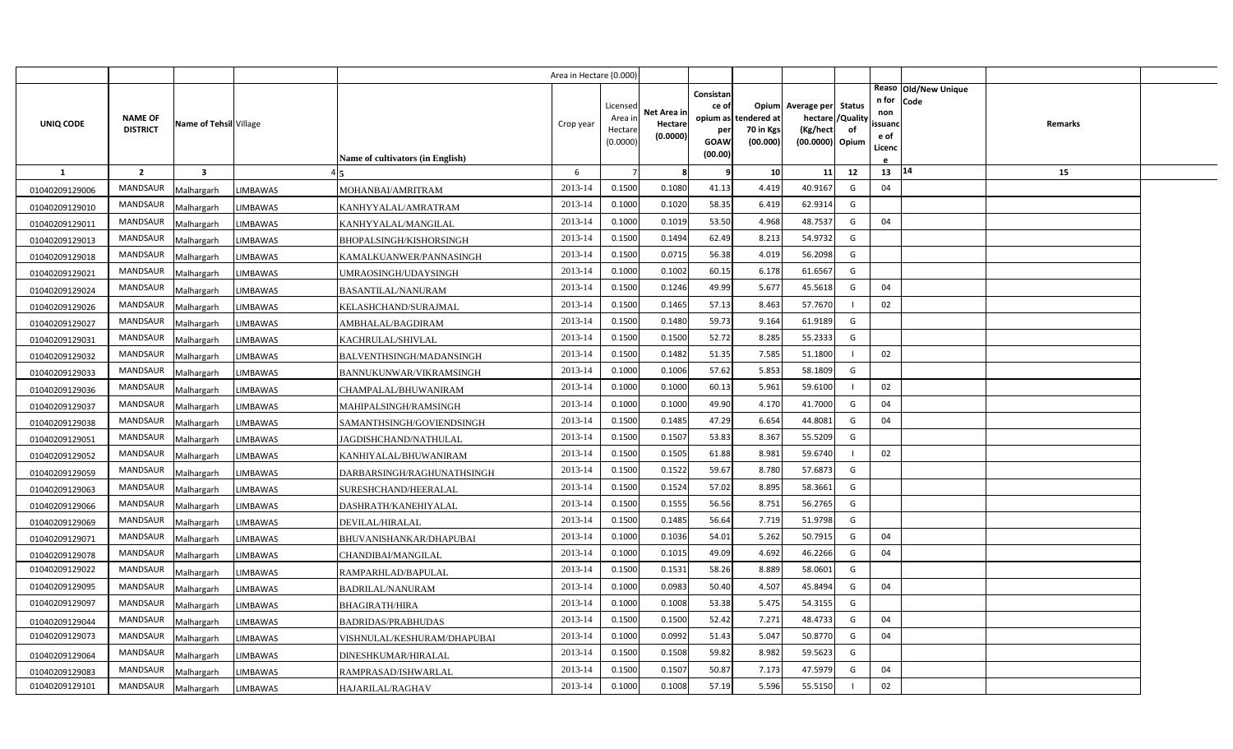|                |                 |                         |                 |                                  | Area in Hectare (0.000) |                     |             |             |                       |                             |    |                   |                      |  |
|----------------|-----------------|-------------------------|-----------------|----------------------------------|-------------------------|---------------------|-------------|-------------|-----------------------|-----------------------------|----|-------------------|----------------------|--|
|                |                 |                         |                 |                                  |                         |                     |             | Consistan   |                       |                             |    |                   | Reaso Old/New Unique |  |
|                |                 |                         |                 |                                  |                         | Licensed            | Net Area in | ce of       |                       | Opium Average per Status    |    | n for Code<br>non |                      |  |
| UNIQ CODE      | <b>NAME OF</b>  | Name of Tehsil Village  |                 |                                  | Crop year               | Area ir             | Hectare     | opium as    | tendered at           | hectare / Quality           |    | ssuanc            | Remarks              |  |
|                | <b>DISTRICT</b> |                         |                 |                                  |                         | Hectare<br>(0.0000) | (0.0000)    | per<br>GOAW | 70 in Kgs<br>(00.000) | (Kg/hect<br>(00.0000) Opium | of | e of              |                      |  |
|                |                 |                         |                 | Name of cultivators (in English) |                         |                     |             | (00.00)     |                       |                             |    | Licenc            |                      |  |
| -1             | $\overline{2}$  | $\overline{\mathbf{3}}$ |                 |                                  | 6                       | $\overline{7}$      | 8           | q           | 10 <sup>1</sup>       | 11                          | 12 | 13 14             | 15                   |  |
| 01040209129006 | MANDSAUR        | Malhargarh              | <b>LIMBAWAS</b> | MOHANBAI/AMRITRAM                | 2013-14                 | 0.1500              | 0.1080      | 41.13       | 4.419                 | 40.9167                     | G  | 04                |                      |  |
| 01040209129010 | <b>MANDSAUR</b> | Malhargarh              | LIMBAWAS        | KANHYYALAL/AMRATRAM              | 2013-14                 | 0.1000              | 0.1020      | 58.35       | 6.419                 | 62.9314                     | G  |                   |                      |  |
| 01040209129011 | MANDSAUR        | Malhargarh              | LIMBAWAS        | KANHYYALAL/MANGILAL              | 2013-14                 | 0.1000              | 0.1019      | 53.50       | 4.968                 | 48.7537                     | G  | 04                |                      |  |
| 01040209129013 | MANDSAUR        | Malhargarh              | LIMBAWAS        | BHOPALSINGH/KISHORSINGH          | 2013-14                 | 0.1500              | 0.1494      | 62.49       | 8.213                 | 54.9732                     | G  |                   |                      |  |
| 01040209129018 | <b>MANDSAUR</b> | Malhargarh              | LIMBAWAS        | KAMALKUANWER/PANNASINGH          | 2013-14                 | 0.1500              | 0.0715      | 56.38       | 4.019                 | 56.2098                     | G  |                   |                      |  |
| 01040209129021 | MANDSAUR        | Malhargarh              | LIMBAWAS        | UMRAOSINGH/UDAYSINGH             | 2013-14                 | 0.1000              | 0.1002      | 60.15       | 6.178                 | 61.6567                     | G  |                   |                      |  |
| 01040209129024 | <b>MANDSAUR</b> | Malhargarh              | LIMBAWAS        | BASANTILAL/NANURAM               | 2013-14                 | 0.1500              | 0.1246      | 49.99       | 5.677                 | 45.5618                     | G  | 04                |                      |  |
| 01040209129026 | MANDSAUR        | Malhargarh              | LIMBAWAS        | KELASHCHAND/SURAJMAL             | 2013-14                 | 0.1500              | 0.1465      | 57.13       | 8.463                 | 57.7670                     |    | 02                |                      |  |
| 01040209129027 | MANDSAUR        | Malhargarh              | LIMBAWAS        | AMBHALAL/BAGDIRAM                | 2013-14                 | 0.1500              | 0.1480      | 59.73       | 9.164                 | 61.9189                     | G  |                   |                      |  |
| 01040209129031 | MANDSAUR        | Malhargarh              | LIMBAWAS        | KACHRULAL/SHIVLAL                | 2013-14                 | 0.1500              | 0.1500      | 52.72       | 8.285                 | 55.2333                     | G  |                   |                      |  |
| 01040209129032 | <b>MANDSAUR</b> | Malhargarh              | LIMBAWAS        | BALVENTHSINGH/MADANSINGH         | 2013-14                 | 0.1500              | 0.1482      | 51.35       | 7.585                 | 51.1800                     |    | 02                |                      |  |
| 01040209129033 | MANDSAUR        | Malhargarh              | LIMBAWAS        | BANNUKUNWAR/VIKRAMSINGH          | 2013-14                 | 0.1000              | 0.1006      | 57.62       | 5.853                 | 58.1809                     | G  |                   |                      |  |
| 01040209129036 | <b>MANDSAUR</b> | Malhargarh              | LIMBAWAS        | CHAMPALAL/BHUWANIRAM             | 2013-14                 | 0.1000              | 0.1000      | 60.13       | 5.961                 | 59.6100                     |    | 02                |                      |  |
| 01040209129037 | MANDSAUR        | Malhargarh              | <b>IMBAWAS</b>  | MAHIPALSINGH/RAMSINGH            | 2013-14                 | 0.1000              | 0.1000      | 49.90       | 4.170                 | 41.7000                     | G  | 04                |                      |  |
| 01040209129038 | <b>MANDSAUR</b> | Malhargarh              | <b>IMBAWAS</b>  | SAMANTHSINGH/GOVIENDSINGH        | 2013-14                 | 0.1500              | 0.1485      | 47.29       | 6.654                 | 44.8081                     | G  | 04                |                      |  |
| 01040209129051 | MANDSAUR        | Malhargarh              | LIMBAWAS        | JAGDISHCHAND/NATHULAL            | 2013-14                 | 0.1500              | 0.1507      | 53.83       | 8.367                 | 55.5209                     | G  |                   |                      |  |
| 01040209129052 | <b>MANDSAUR</b> | Malhargarh              | <b>IMBAWAS</b>  | KANHIYALAL/BHUWANIRAM            | 2013-14                 | 0.1500              | 0.1505      | 61.88       | 8.981                 | 59.6740                     |    | 02                |                      |  |
| 01040209129059 | MANDSAUR        | Malhargarh              | <b>IMBAWAS</b>  | DARBARSINGH/RAGHUNATHSINGH       | 2013-14                 | 0.1500              | 0.1522      | 59.67       | 8.780                 | 57.6873                     | G  |                   |                      |  |
| 01040209129063 | <b>MANDSAUR</b> | Malhargarh              | <b>IMBAWAS</b>  | SURESHCHAND/HEERALAL             | 2013-14                 | 0.1500              | 0.1524      | 57.02       | 8.895                 | 58.3661                     | G  |                   |                      |  |
| 01040209129066 | MANDSAUR        | Malhargarh              | <b>IMBAWAS</b>  | DASHRATH/KANEHIYALAL             | 2013-14                 | 0.1500              | 0.1555      | 56.56       | 8.751                 | 56.2765                     | G  |                   |                      |  |
| 01040209129069 | MANDSAUR        | Malhargarh              | <b>IMBAWAS</b>  | DEVILAL/HIRALAL                  | 2013-14                 | 0.1500              | 0.1485      | 56.64       | 7.719                 | 51.9798                     | G  |                   |                      |  |
| 01040209129071 | MANDSAUR        | Malhargarh              | <b>IMBAWAS</b>  | BHUVANISHANKAR/DHAPUBAI          | 2013-14                 | 0.1000              | 0.1036      | 54.01       | 5.262                 | 50.7915                     | G  | 04                |                      |  |
| 01040209129078 | MANDSAUR        | Malhargarh              | <b>IMBAWAS</b>  | CHANDIBAI/MANGILAL               | 2013-14                 | 0.1000              | 0.1015      | 49.09       | 4.692                 | 46.2266                     | G  | 04                |                      |  |
| 01040209129022 | MANDSAUR        | Malhargarh              | LIMBAWAS        | RAMPARHLAD/BAPULAL               | 2013-14                 | 0.1500              | 0.1531      | 58.26       | 8.889                 | 58.0601                     | G  |                   |                      |  |
| 01040209129095 | MANDSAUR        | Malhargarh              | <b>IMBAWAS</b>  | BADRILAL/NANURAM                 | 2013-14                 | 0.1000              | 0.0983      | 50.40       | 4.507                 | 45.8494                     | G  | 04                |                      |  |
| 01040209129097 | MANDSAUR        | Malhargarh              | <b>IMBAWAS</b>  | BHAGIRATH/HIRA                   | 2013-14                 | 0.1000              | 0.1008      | 53.38       | 5.475                 | 54.3155                     | G  |                   |                      |  |
| 01040209129044 | MANDSAUR        | Malhargarh              | <b>IMBAWAS</b>  | <b>BADRIDAS/PRABHUDAS</b>        | 2013-14                 | 0.1500              | 0.1500      | 52.42       | 7.271                 | 48.4733                     | G  | 04                |                      |  |
| 01040209129073 | MANDSAUR        | Malhargarh              | <b>IMBAWAS</b>  | VISHNULAL/KESHURAM/DHAPUBAI      | 2013-14                 | 0.1000              | 0.0992      | 51.43       | 5.047                 | 50.8770                     | G  | 04                |                      |  |
| 01040209129064 | MANDSAUR        | Malhargarh              | <b>IMBAWAS</b>  | DINESHKUMAR/HIRALAL              | 2013-14                 | 0.1500              | 0.1508      | 59.82       | 8.982                 | 59.5623                     | G  |                   |                      |  |
| 01040209129083 | <b>MANDSAUR</b> | Malhargarh              | <b>IMBAWAS</b>  | RAMPRASAD/ISHWARLAL              | 2013-14                 | 0.1500              | 0.1507      | 50.87       | 7.173                 | 47.5979                     | G  | 04                |                      |  |
| 01040209129101 | MANDSAUR        | Malhargarh              | <b>LIMBAWAS</b> | HAJARILAL/RAGHAV                 | 2013-14                 | 0.1000              | 0.1008      | 57.19       | 5.596                 | 55.5150                     |    | 02                |                      |  |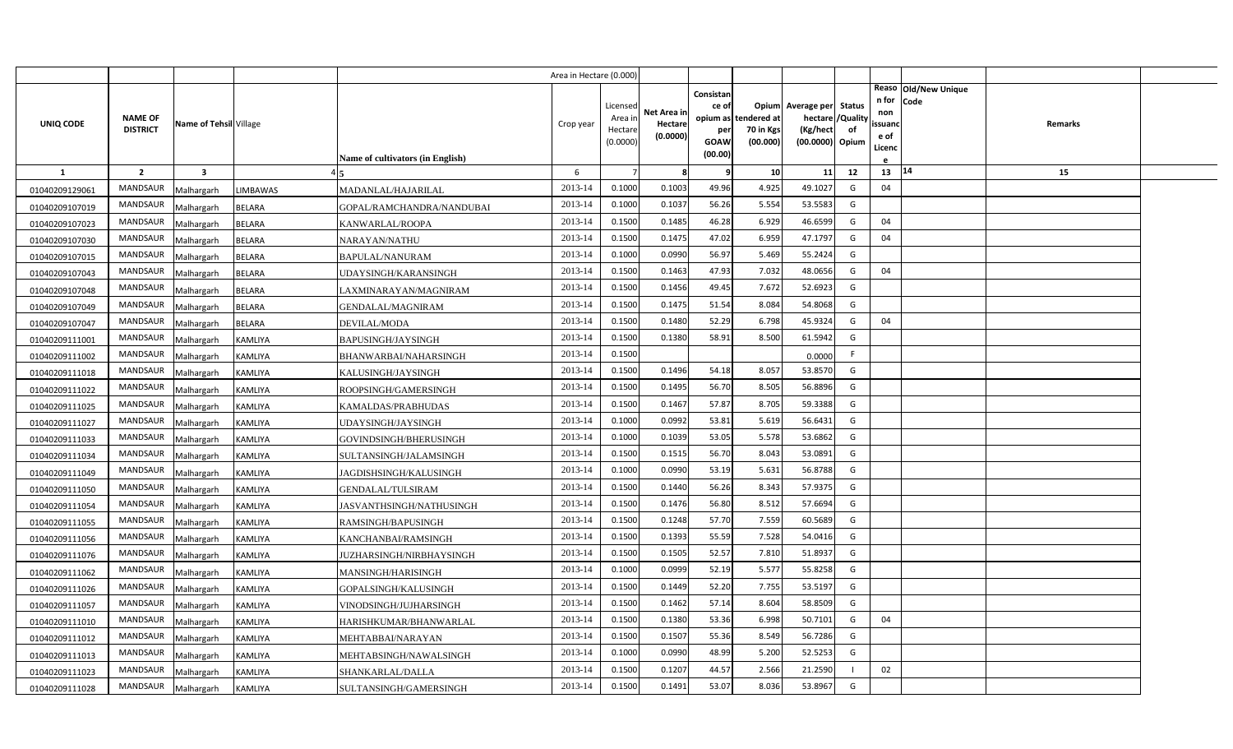|                |                                   |                         |                                            | Area in Hectare (0.000) |                                            |                                    |                                                     |                                               |                                                                    |                |                                          |                              |         |  |
|----------------|-----------------------------------|-------------------------|--------------------------------------------|-------------------------|--------------------------------------------|------------------------------------|-----------------------------------------------------|-----------------------------------------------|--------------------------------------------------------------------|----------------|------------------------------------------|------------------------------|---------|--|
| UNIQ CODE      | <b>NAME OF</b><br><b>DISTRICT</b> | Name of Tehsil Village  | <b>Name of cultivators (in English)</b>    | Crop year               | Licensed<br>Area in<br>Hectare<br>(0.0000) | Net Area in<br>Hectare<br>(0.0000) | Consistan<br>ce of<br>per<br><b>GOAW</b><br>(00.00) | opium as tendered at<br>70 in Kgs<br>(00.000) | Opium Average per Status<br>hectare<br>(Kg/hect<br>(00.0000) Opium | /Quality<br>of | n for<br>non<br>ssuand<br>e of<br>Licenc | Reaso Old/New Unique<br>Code | Remarks |  |
| <b>1</b>       | $\overline{2}$                    | $\overline{\mathbf{3}}$ |                                            | 6                       |                                            | 8                                  | 9                                                   | 10                                            | 11                                                                 | 12             | 13                                       | 14                           | 15      |  |
| 01040209129061 | <b>MANDSAUR</b>                   | Malhargarh              | MADANLAL/HAJARILAL<br>LIMBAWAS             | 2013-14                 | 0.1000                                     | 0.1003                             | 49.96                                               | 4.925                                         | 49.1027                                                            | G              | 04                                       |                              |         |  |
| 01040209107019 | MANDSAUR                          | Malhargarh              | <b>BELARA</b><br>GOPAL/RAMCHANDRA/NANDUBAI | 2013-14                 | 0.1000                                     | 0.1037                             | 56.26                                               | 5.554                                         | 53.5583                                                            | G              |                                          |                              |         |  |
| 01040209107023 | <b>MANDSAUR</b>                   | Malhargarh              | <b>BELARA</b><br>KANWARLAL/ROOPA           | 2013-14                 | 0.1500                                     | 0.1485                             | 46.28                                               | 6.929                                         | 46.6599                                                            | G              | 04                                       |                              |         |  |
| 01040209107030 | <b>MANDSAUR</b>                   | Malhargarh              | <b>BELARA</b><br>NARAYAN/NATHU             | 2013-14                 | 0.1500                                     | 0.1475                             | 47.02                                               | 6.959                                         | 47.1797                                                            | G              | 04                                       |                              |         |  |
| 01040209107015 | <b>MANDSAUR</b>                   | Malhargarh              | <b>BELARA</b><br><b>BAPULAL/NANURAM</b>    | 2013-14                 | 0.1000                                     | 0.0990                             | 56.97                                               | 5.469                                         | 55.2424                                                            | G              |                                          |                              |         |  |
| 01040209107043 | <b>MANDSAUR</b>                   | Malhargarh              | <b>BELARA</b><br>UDAYSINGH/KARANSINGH      | 2013-14                 | 0.1500                                     | 0.1463                             | 47.93                                               | 7.032                                         | 48.0656                                                            | G              | 04                                       |                              |         |  |
| 01040209107048 | MANDSAUR                          | Malhargarh              | <b>BELARA</b><br>LAXMINARAYAN/MAGNIRAM     | 2013-14                 | 0.1500                                     | 0.1456                             | 49.45                                               | 7.672                                         | 52.6923                                                            | G              |                                          |                              |         |  |
| 01040209107049 | <b>MANDSAUR</b>                   | Malhargarh              | <b>BELARA</b><br>GENDALAL/MAGNIRAM         | 2013-14                 | 0.1500                                     | 0.1475                             | 51.54                                               | 8.084                                         | 54.8068                                                            | G              |                                          |                              |         |  |
| 01040209107047 | <b>MANDSAUR</b>                   | Malhargarh              | <b>BELARA</b><br>DEVILAL/MODA              | 2013-14                 | 0.1500                                     | 0.1480                             | 52.29                                               | 6.798                                         | 45.9324                                                            | G              | 04                                       |                              |         |  |
| 01040209111001 | MANDSAUR                          | Malhargarh              | BAPUSINGH/JAYSINGH<br>KAMLIYA              | 2013-14                 | 0.1500                                     | 0.1380                             | 58.91                                               | 8.500                                         | 61.5942                                                            | G              |                                          |                              |         |  |
| 01040209111002 | <b>MANDSAUR</b>                   | Malhargarh              | KAMLIYA<br>BHANWARBAI/NAHARSINGH           | 2013-14                 | 0.1500                                     |                                    |                                                     |                                               | 0.0000                                                             | F.             |                                          |                              |         |  |
| 01040209111018 | <b>MANDSAUR</b>                   | Malhargarh              | KAMLIYA<br>KALUSINGH/JAYSINGH              | 2013-14                 | 0.1500                                     | 0.1496                             | 54.18                                               | 8.057                                         | 53.8570                                                            | G              |                                          |                              |         |  |
| 01040209111022 | <b>MANDSAUR</b>                   | Malhargarh              | KAMLIYA<br>ROOPSINGH/GAMERSINGH            | 2013-14                 | 0.1500                                     | 0.1495                             | 56.70                                               | 8.505                                         | 56.8896                                                            | G              |                                          |                              |         |  |
| 01040209111025 | <b>MANDSAUR</b>                   | Malhargarh              | KAMALDAS/PRABHUDAS<br>KAMLIYA              | 2013-14                 | 0.1500                                     | 0.1467                             | 57.87                                               | 8.705                                         | 59.3388                                                            | G              |                                          |                              |         |  |
| 01040209111027 | MANDSAUR                          | Malhargarh              | KAMLIYA<br>UDAYSINGH/JAYSINGH              | 2013-14                 | 0.1000                                     | 0.0992                             | 53.81                                               | 5.619                                         | 56.6431                                                            | G              |                                          |                              |         |  |
| 01040209111033 | <b>MANDSAUR</b>                   | Malhargarh              | KAMLIYA<br>GOVINDSINGH/BHERUSINGH          | 2013-14                 | 0.1000                                     | 0.1039                             | 53.05                                               | 5.578                                         | 53.6862                                                            | G              |                                          |                              |         |  |
| 01040209111034 | <b>MANDSAUR</b>                   | Malhargarh              | KAMLIYA<br>SULTANSINGH/JALAMSINGH          | 2013-14                 | 0.1500                                     | 0.1515                             | 56.70                                               | 8.043                                         | 53.0891                                                            | G              |                                          |                              |         |  |
| 01040209111049 | <b>MANDSAUR</b>                   | Malhargarh              | KAMLIYA<br>JAGDISHSINGH/KALUSINGH          | 2013-14                 | 0.1000                                     | 0.0990                             | 53.19                                               | 5.631                                         | 56.8788                                                            | G              |                                          |                              |         |  |
| 01040209111050 | <b>MANDSAUR</b>                   | Malhargarh              | KAMLIYA<br>GENDALAL/TULSIRAM               | 2013-14                 | 0.1500                                     | 0.1440                             | 56.26                                               | 8.343                                         | 57.9375                                                            | G              |                                          |                              |         |  |
| 01040209111054 | <b>MANDSAUR</b>                   | Malhargarh              | KAMLIYA<br>JASVANTHSINGH/NATHUSINGH        | 2013-14                 | 0.1500                                     | 0.1476                             | 56.80                                               | 8.512                                         | 57.6694                                                            | G              |                                          |                              |         |  |
| 01040209111055 | <b>MANDSAUR</b>                   | Malhargarh              | KAMLIYA<br>RAMSINGH/BAPUSINGH              | 2013-14                 | 0.1500                                     | 0.1248                             | 57.70                                               | 7.559                                         | 60.5689                                                            | G              |                                          |                              |         |  |
| 01040209111056 | <b>MANDSAUR</b>                   | Malhargarh              | KAMLIYA<br>KANCHANBAI/RAMSINGH             | 2013-14                 | 0.1500                                     | 0.1393                             | 55.59                                               | 7.528                                         | 54.0416                                                            | G              |                                          |                              |         |  |
| 01040209111076 | <b>MANDSAUR</b>                   | Malhargarh              | KAMLIYA<br>JUZHARSINGH/NIRBHAYSINGH        | 2013-14                 | 0.1500                                     | 0.1505                             | 52.57                                               | 7.81                                          | 51.8937                                                            | G              |                                          |                              |         |  |
| 01040209111062 | <b>MANDSAUR</b>                   | Malhargarh              | KAMLIYA<br>MANSINGH/HARISINGH              | 2013-14                 | 0.1000                                     | 0.0999                             | 52.19                                               | 5.577                                         | 55.8258                                                            | G              |                                          |                              |         |  |
| 01040209111026 | <b>MANDSAUR</b>                   | Malhargarh              | KAMLIYA<br>GOPALSINGH/KALUSINGH            | 2013-14                 | 0.1500                                     | 0.1449                             | 52.20                                               | 7.755                                         | 53.5197                                                            | G              |                                          |                              |         |  |
| 01040209111057 | <b>MANDSAUR</b>                   | Malhargarh              | KAMLIYA<br>VINODSINGH/JUJHARSINGH          | 2013-14                 | 0.1500                                     | 0.1462                             | 57.14                                               | 8.604                                         | 58.8509                                                            | G              |                                          |                              |         |  |
| 01040209111010 | <b>MANDSAUR</b>                   | Malhargarh              | KAMLIYA<br>HARISHKUMAR/BHANWARLAL          | 2013-14                 | 0.1500                                     | 0.1380                             | 53.36                                               | 6.998                                         | 50.7101                                                            | G              | 04                                       |                              |         |  |
| 01040209111012 | MANDSAUR                          | Malhargarh              | KAMLIYA<br>MEHTABBAI/NARAYAN               | 2013-14                 | 0.1500                                     | 0.1507                             | 55.36                                               | 8.549                                         | 56.7286                                                            | G              |                                          |                              |         |  |
| 01040209111013 | <b>MANDSAUR</b>                   | Malhargarh              | KAMLIYA<br>MEHTABSINGH/NAWALSINGH          | 2013-14                 | 0.1000                                     | 0.0990                             | 48.99                                               | 5.200                                         | 52.5253                                                            | G              |                                          |                              |         |  |
| 01040209111023 | <b>MANDSAUR</b>                   | Malhargarh              | KAMLIYA<br>SHANKARLAL/DALLA                | 2013-14                 | 0.1500                                     | 0.1207                             | 44.57                                               | 2.566                                         | 21.2590                                                            | $\blacksquare$ | 02                                       |                              |         |  |
| 01040209111028 | MANDSAUR                          | Malhargarh              | <b>KAMLIYA</b><br>SULTANSINGH/GAMERSINGH   | 2013-14                 | 0.1500                                     | 0.1491                             | 53.07                                               | 8.036                                         | 53.8967                                                            | G              |                                          |                              |         |  |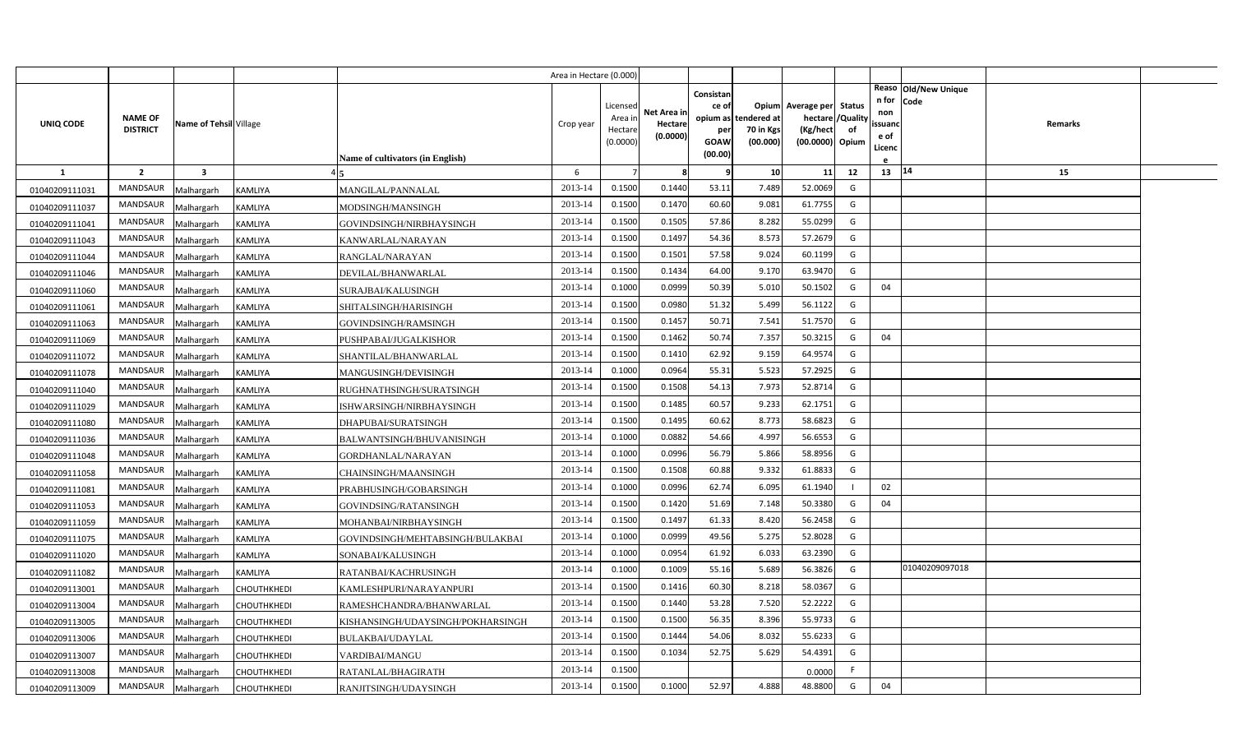|                |                                   |                         |                    |                                         | Area in Hectare (0.000) |                    |             |           |                                   |                          |                |                             |         |  |
|----------------|-----------------------------------|-------------------------|--------------------|-----------------------------------------|-------------------------|--------------------|-------------|-----------|-----------------------------------|--------------------------|----------------|-----------------------------|---------|--|
|                |                                   |                         |                    |                                         |                         |                    |             | Consistan |                                   |                          |                | Reaso Old/New Unique        |         |  |
|                |                                   |                         |                    |                                         |                         | Licensed           | Net Area in | ce of     |                                   | Opium Average per Status |                | n for<br><b>Code</b><br>non |         |  |
| UNIQ CODE      | <b>NAME OF</b><br><b>DISTRICT</b> | Name of Tehsil Village  |                    |                                         | Crop year               | Area in<br>Hectare | Hectare     | per       | opium as tendered at<br>70 in Kgs | hectare<br>(Kg/hect      | 'Quality<br>of | ssuand                      | Remarks |  |
|                |                                   |                         |                    |                                         |                         | (0.0000)           | (0.0000)    | GOAW      | (00.000)                          | (00.0000) Opium          |                | e of<br>Licenc              |         |  |
|                |                                   |                         |                    | <b>Name of cultivators (in English)</b> |                         |                    |             | (00.00)   |                                   |                          |                |                             |         |  |
| 1              | $\overline{2}$                    | $\overline{\mathbf{3}}$ |                    |                                         | 6                       |                    | 8           | q         | 10                                | 11                       | 12             | 13   14                     | 15      |  |
| 01040209111031 | <b>MANDSAUR</b>                   | Malhargarh              | <b>KAMLIYA</b>     | MANGILAL/PANNALAL                       | 2013-14                 | 0.1500             | 0.1440      | 53.11     | 7.489                             | 52.0069                  | G              |                             |         |  |
| 01040209111037 | <b>MANDSAUR</b>                   | Malhargarh              | KAMLIYA            | MODSINGH/MANSINGH                       | 2013-14                 | 0.1500             | 0.1470      | 60.60     | 9.081                             | 61.7755                  | G              |                             |         |  |
| 01040209111041 | <b>MANDSAUR</b>                   | Malhargarh              | KAMLIYA            | GOVINDSINGH/NIRBHAYSINGH                | 2013-14                 | 0.1500             | 0.1505      | 57.86     | 8.282                             | 55.0299                  | G              |                             |         |  |
| 01040209111043 | <b>MANDSAUR</b>                   | Malhargarh              | KAMLIYA            | KANWARLAL/NARAYAN                       | 2013-14                 | 0.1500             | 0.1497      | 54.36     | 8.573                             | 57.2679                  | G              |                             |         |  |
| 01040209111044 | <b>MANDSAUR</b>                   | Malhargarh              | KAMLIYA            | RANGLAL/NARAYAN                         | 2013-14                 | 0.1500             | 0.1501      | 57.58     | 9.024                             | 60.1199                  | G              |                             |         |  |
| 01040209111046 | <b>MANDSAUR</b>                   | Malhargarh              | <b>KAMLIYA</b>     | DEVILAL/BHANWARLAL                      | 2013-14                 | 0.1500             | 0.1434      | 64.00     | 9.170                             | 63.9470                  | G              |                             |         |  |
| 01040209111060 | <b>MANDSAUR</b>                   | Malhargarh              | KAMLIYA            | SURAJBAI/KALUSINGH                      | 2013-14                 | 0.1000             | 0.0999      | 50.39     | 5.01                              | 50.1502                  | G              | 04                          |         |  |
| 01040209111061 | MANDSAUR                          | Malhargarh              | KAMLIYA            | SHITALSINGH/HARISINGH                   | 2013-14                 | 0.1500             | 0.0980      | 51.32     | 5.499                             | 56.1122                  | G              |                             |         |  |
| 01040209111063 | <b>MANDSAUR</b>                   | Malhargarh              | KAMLIYA            | GOVINDSINGH/RAMSINGH                    | 2013-14                 | 0.1500             | 0.1457      | 50.71     | 7.541                             | 51.7570                  | G              |                             |         |  |
| 01040209111069 | <b>MANDSAUR</b>                   | Malhargarh              | KAMLIYA            | PUSHPABAI/JUGALKISHOR                   | 2013-14                 | 0.1500             | 0.1462      | 50.74     | 7.357                             | 50.3215                  | G              | 04                          |         |  |
| 01040209111072 | <b>MANDSAUR</b>                   | Malhargarh              | KAMLIYA            | SHANTILAL/BHANWARLAL                    | 2013-14                 | 0.1500             | 0.1410      | 62.92     | 9.159                             | 64.9574                  | G              |                             |         |  |
| 01040209111078 | <b>MANDSAUR</b>                   | Malhargarh              | KAMLIYA            | MANGUSINGH/DEVISINGH                    | 2013-14                 | 0.1000             | 0.0964      | 55.31     | 5.523                             | 57.2925                  | G              |                             |         |  |
| 01040209111040 | <b>MANDSAUR</b>                   | Malhargarh              | KAMLIYA            | RUGHNATHSINGH/SURATSINGH                | 2013-14                 | 0.1500             | 0.1508      | 54.13     | 7.973                             | 52.8714                  | G              |                             |         |  |
| 01040209111029 | <b>MANDSAUR</b>                   | Malhargarh              | KAMLIYA            | ISHWARSINGH/NIRBHAYSINGH                | 2013-14                 | 0.1500             | 0.1485      | 60.57     | 9.233                             | 62.1751                  | G              |                             |         |  |
| 01040209111080 | <b>MANDSAUR</b>                   | Malhargarh              | KAMLIYA            | DHAPUBAI/SURATSINGH                     | 2013-14                 | 0.1500             | 0.1495      | 60.62     | 8.773                             | 58.6823                  | G              |                             |         |  |
| 01040209111036 | <b>MANDSAUR</b>                   | Malhargarh              | KAMLIYA            | BALWANTSINGH/BHUVANISINGH               | 2013-14                 | 0.1000             | 0.0882      | 54.66     | 4.997                             | 56.6553                  | G              |                             |         |  |
| 01040209111048 | <b>MANDSAUR</b>                   | Malhargarh              | KAMLIYA            | GORDHANLAL/NARAYAN                      | 2013-14                 | 0.1000             | 0.0996      | 56.79     | 5.866                             | 58.8956                  | G              |                             |         |  |
| 01040209111058 | <b>MANDSAUR</b>                   | Malhargarh              | KAMLIYA            | CHAINSINGH/MAANSINGH                    | 2013-14                 | 0.1500             | 0.1508      | 60.88     | 9.332                             | 61.8833                  | G              |                             |         |  |
| 01040209111081 | <b>MANDSAUR</b>                   | Malhargarh              | KAMLIYA            | PRABHUSINGH/GOBARSINGH                  | 2013-14                 | 0.1000             | 0.0996      | 62.74     | 6.095                             | 61.1940                  |                | 02                          |         |  |
| 01040209111053 | <b>MANDSAUR</b>                   | Malhargarh              | KAMLIYA            | GOVINDSING/RATANSINGH                   | 2013-14                 | 0.1500             | 0.1420      | 51.69     | 7.148                             | 50.3380                  | G              | 04                          |         |  |
| 01040209111059 | <b>MANDSAUR</b>                   | Malhargarh              | KAMLIYA            | MOHANBAI/NIRBHAYSINGH                   | 2013-14                 | 0.1500             | 0.1497      | 61.33     | 8.420                             | 56.2458                  | G              |                             |         |  |
| 01040209111075 | <b>MANDSAUR</b>                   | Malhargarh              | KAMLIYA            | GOVINDSINGH/MEHTABSINGH/BULAKBAI        | 2013-14                 | 0.1000             | 0.0999      | 49.56     | 5.275                             | 52.8028                  | G              |                             |         |  |
| 01040209111020 | <b>MANDSAUR</b>                   | Malhargarh              | <b>KAMLIYA</b>     | SONABAI/KALUSINGH                       | 2013-14                 | 0.1000             | 0.0954      | 61.92     | 6.033                             | 63.2390                  | G              |                             |         |  |
| 01040209111082 | MANDSAUR                          | Malhargarh              | KAMLIYA            | RATANBAI/KACHRUSINGH                    | 2013-14                 | 0.1000             | 0.1009      | 55.16     | 5.689                             | 56.3826                  | G              | 01040209097018              |         |  |
| 01040209113001 | <b>MANDSAUR</b>                   | Malhargarh              | CHOUTHKHEDI        | KAMLESHPURI/NARAYANPURI                 | 2013-14                 | 0.1500             | 0.1416      | 60.30     | 8.218                             | 58.0367                  | G              |                             |         |  |
| 01040209113004 | MANDSAUR                          | Malhargarh              | CHOUTHKHEDI        | RAMESHCHANDRA/BHANWARLAL                | 2013-14                 | 0.1500             | 0.1440      | 53.28     | 7.520                             | 52.2222                  | G              |                             |         |  |
| 01040209113005 | MANDSAUR                          | Malhargarh              | CHOUTHKHEDI        | KISHANSINGH/UDAYSINGH/POKHARSINGH       | 2013-14                 | 0.1500             | 0.1500      | 56.35     | 8.396                             | 55.9733                  | G              |                             |         |  |
| 01040209113006 | MANDSAUR                          | Malhargarh              | CHOUTHKHEDI        | BULAKBAI/UDAYLAL                        | 2013-14                 | 0.1500             | 0.1444      | 54.06     | 8.032                             | 55.6233                  | G              |                             |         |  |
| 01040209113007 | <b>MANDSAUR</b>                   | Malhargarh              | CHOUTHKHEDI        | VARDIBAI/MANGU                          | 2013-14                 | 0.1500             | 0.1034      | 52.75     | 5.629                             | 54.4391                  | G              |                             |         |  |
| 01040209113008 | <b>MANDSAUR</b>                   | Malhargarh              | CHOUTHKHEDI        | RATANLAL/BHAGIRATH                      | 2013-14                 | 0.1500             |             |           |                                   | 0.0000                   | -F             |                             |         |  |
| 01040209113009 | <b>MANDSAUR</b>                   | Malhargarh              | <b>CHOUTHKHEDI</b> | RANJITSINGH/UDAYSINGH                   | 2013-14                 | 0.1500             | 0.1000      | 52.97     | 4.888                             | 48.8800                  | G              | 04                          |         |  |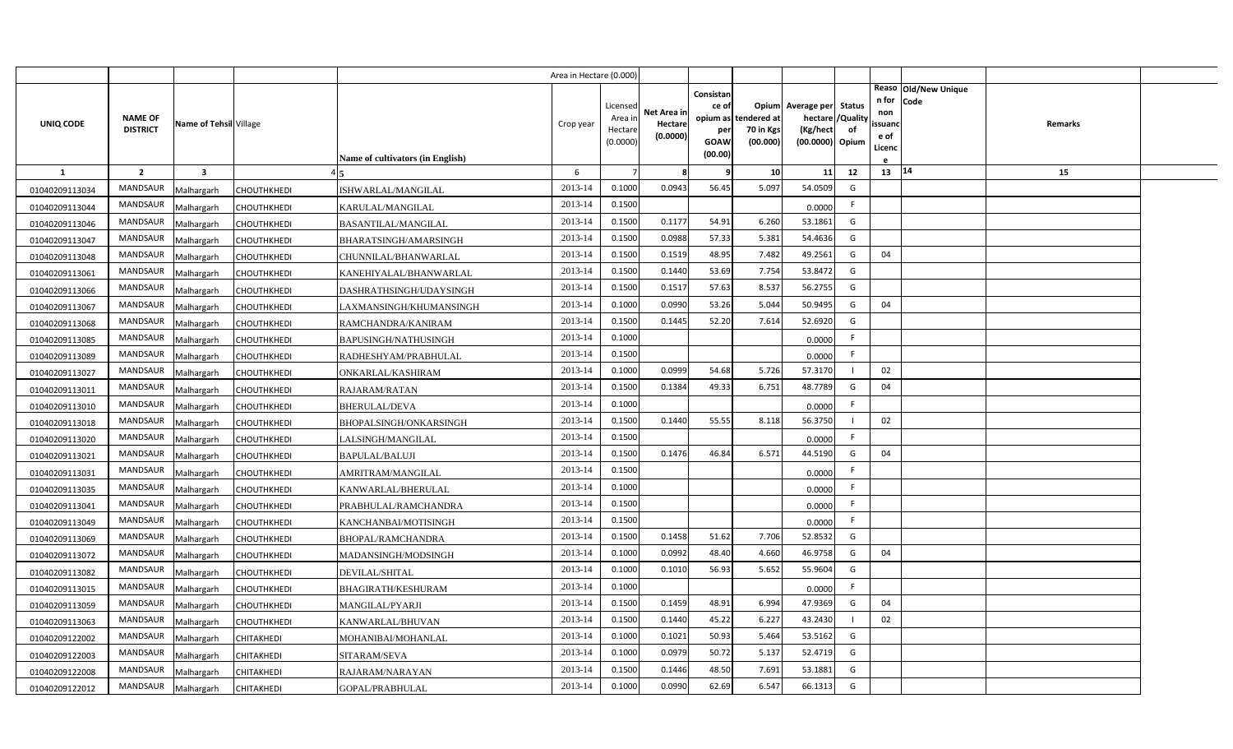|                                  |                 |                          |                                   |                                                   | Area in Hectare (0.000) |          |                     |                    |                      |                          |                |                                       |         |  |
|----------------------------------|-----------------|--------------------------|-----------------------------------|---------------------------------------------------|-------------------------|----------|---------------------|--------------------|----------------------|--------------------------|----------------|---------------------------------------|---------|--|
|                                  |                 |                          |                                   |                                                   |                         | Licensed |                     | Consistan<br>ce of |                      | Opium Average per Status |                | Reaso Old/New Unique<br>n for<br>Code |         |  |
|                                  | <b>NAME OF</b>  |                          |                                   |                                                   |                         | Area in  | Net Area in         |                    | opium as tendered at | hectare                  | /Quality       | non                                   |         |  |
| UNIQ CODE                        | <b>DISTRICT</b> | Name of Tehsil Village   |                                   |                                                   | Crop year               | Hectare  | Hectare<br>(0.0000) | per                | 70 in Kgs            | (Kg/hect                 | of             | ssuanc<br>e of                        | Remarks |  |
|                                  |                 |                          |                                   |                                                   |                         | (0.0000) |                     | GOAW<br>(00.00)    | (00.000)             | (00.0000) Opium          |                | Licenc                                |         |  |
| 1                                | $\overline{2}$  | $\overline{\mathbf{3}}$  |                                   | Name of cultivators (in English)                  | 6                       |          | -8                  | q                  | 10 <sup>1</sup>      | 11                       | 12             | $13 \mid 14$                          | 15      |  |
|                                  | <b>MANDSAUR</b> |                          |                                   |                                                   | 2013-14                 | 0.1000   | 0.0943              | 56.45              | 5.097                | 54.0509                  | G              |                                       |         |  |
| 01040209113034                   | <b>MANDSAUR</b> | Malhargarh               | CHOUTHKHEDI                       | ISHWARLAL/MANGILAL                                | 2013-14                 | 0.1500   |                     |                    |                      |                          | F              |                                       |         |  |
| 01040209113044                   | MANDSAUR        | Malhargarh               | <b>CHOUTHKHEDI</b>                | KARULAL/MANGILAL                                  | 2013-14                 | 0.1500   | 0.1177              | 54.91              | 6.260                | 0.0000<br>53.1861        | G              |                                       |         |  |
| 01040209113046                   | MANDSAUR        | Malhargarh               | CHOUTHKHEDI                       | <b>BASANTILAL/MANGILAL</b>                        | 2013-14                 | 0.1500   | 0.0988              | 57.33              | 5.381                | 54.4636                  | G              |                                       |         |  |
| 01040209113047                   | <b>MANDSAUR</b> | Malhargarh               | <b>CHOUTHKHEDI</b>                | BHARATSINGH/AMARSINGH                             | 2013-14                 | 0.1500   | 0.1519              | 48.95              | 7.482                | 49.2561                  | G              | 04                                    |         |  |
| 01040209113048                   | MANDSAUR        | Malhargarh<br>Malhargarh | CHOUTHKHEDI<br><b>CHOUTHKHEDI</b> | CHUNNILAL/BHANWARLAL                              | 2013-14                 | 0.1500   | 0.1440              | 53.69              | 7.754                | 53.8472                  | G              |                                       |         |  |
| 01040209113061<br>01040209113066 | MANDSAUR        | Malhargarh               | <b>CHOUTHKHEDI</b>                | KANEHIYALAL/BHANWARLAL<br>DASHRATHSINGH/UDAYSINGH | 2013-14                 | 0.1500   | 0.1517              | 57.63              | 8.537                | 56.2755                  | G              |                                       |         |  |
| 01040209113067                   | MANDSAUR        | Malhargarh               | <b>CHOUTHKHEDI</b>                | LAXMANSINGH/KHUMANSINGH                           | 2013-14                 | 0.1000   | 0.0990              | 53.26              | 5.044                | 50.9495                  | G              | 04                                    |         |  |
| 01040209113068                   | <b>MANDSAUR</b> | Malhargarh               | CHOUTHKHEDI                       | RAMCHANDRA/KANIRAM                                | 2013-14                 | 0.1500   | 0.1445              | 52.20              | 7.614                | 52.6920                  | G              |                                       |         |  |
| 01040209113085                   | <b>MANDSAUR</b> | Malhargarh               | CHOUTHKHEDI                       | BAPUSINGH/NATHUSINGH                              | 2013-14                 | 0.1000   |                     |                    |                      | 0.0000                   | F              |                                       |         |  |
| 01040209113089                   | MANDSAUR        | Malhargarh               | CHOUTHKHEDI                       | RADHESHYAM/PRABHULAL                              | 2013-14                 | 0.1500   |                     |                    |                      | 0.0000                   | F              |                                       |         |  |
| 01040209113027                   | <b>MANDSAUR</b> | Malhargarh               | CHOUTHKHEDI                       | ONKARLAL/KASHIRAM                                 | 2013-14                 | 0.1000   | 0.0999              | 54.68              | 5.726                | 57.3170                  | $\blacksquare$ | 02                                    |         |  |
| 01040209113011                   | MANDSAUR        | Malhargarh               | CHOUTHKHEDI                       | RAJARAM/RATAN                                     | 2013-14                 | 0.1500   | 0.1384              | 49.33              | 6.751                | 48.7789                  | G              | 04                                    |         |  |
| 01040209113010                   | <b>MANDSAUR</b> | Malhargarh               | CHOUTHKHEDI                       | BHERULAL/DEVA                                     | 2013-14                 | 0.1000   |                     |                    |                      | 0.0000                   | F.             |                                       |         |  |
| 01040209113018                   | MANDSAUR        | Malhargarh               | CHOUTHKHEDI                       | BHOPALSINGH/ONKARSINGH                            | 2013-14                 | 0.1500   | 0.1440              | 55.55              | 8.118                | 56.3750                  |                | 02                                    |         |  |
| 01040209113020                   | <b>MANDSAUR</b> | Malhargarh               | CHOUTHKHEDI                       | LALSINGH/MANGILAL                                 | 2013-14                 | 0.1500   |                     |                    |                      | 0.0000                   | F.             |                                       |         |  |
| 01040209113021                   | MANDSAUR        | Malhargarh               | CHOUTHKHEDI                       | BAPULAL/BALUJI                                    | 2013-14                 | 0.1500   | 0.1476              | 46.84              | 6.571                | 44.5190                  | G              | 04                                    |         |  |
| 01040209113031                   | <b>MANDSAUR</b> | Malhargarh               | CHOUTHKHEDI                       | AMRITRAM/MANGILAL                                 | 2013-14                 | 0.1500   |                     |                    |                      | 0.0000                   | F.             |                                       |         |  |
| 01040209113035                   | <b>MANDSAUR</b> | Malhargarh               | CHOUTHKHEDI                       | KANWARLAL/BHERULAL                                | 2013-14                 | 0.1000   |                     |                    |                      | 0.0000                   | F.             |                                       |         |  |
| 01040209113041                   | <b>MANDSAUR</b> | Malhargarh               | CHOUTHKHEDI                       | PRABHULAL/RAMCHANDRA                              | 2013-14                 | 0.1500   |                     |                    |                      | 0.0000                   | F.             |                                       |         |  |
| 01040209113049                   | <b>MANDSAUR</b> | Malhargarh               | CHOUTHKHEDI                       | KANCHANBAI/MOTISINGH                              | 2013-14                 | 0.1500   |                     |                    |                      | 0.0000                   | F.             |                                       |         |  |
| 01040209113069                   | <b>MANDSAUR</b> | Malhargarh               | CHOUTHKHEDI                       | <b>BHOPAL/RAMCHANDRA</b>                          | 2013-14                 | 0.1500   | 0.1458              | 51.62              | 7.706                | 52.8532                  | G              |                                       |         |  |
| 01040209113072                   | <b>MANDSAUR</b> | Malhargarh               | CHOUTHKHEDI                       | MADANSINGH/MODSINGH                               | 2013-14                 | 0.1000   | 0.0992              | 48.40              | 4.660                | 46.9758                  | G              | 04                                    |         |  |
| 01040209113082                   | <b>MANDSAUR</b> | Malhargarh               | CHOUTHKHEDI                       | DEVILAL/SHITAL                                    | 2013-14                 | 0.1000   | 0.1010              | 56.93              | 5.652                | 55.9604                  | G              |                                       |         |  |
| 01040209113015                   | <b>MANDSAUR</b> | Malhargarh               | CHOUTHKHEDI                       | BHAGIRATH/KESHURAM                                | 2013-14                 | 0.1000   |                     |                    |                      | 0.0000                   | F.             |                                       |         |  |
| 01040209113059                   | <b>MANDSAUR</b> | Malhargarh               | CHOUTHKHEDI                       | MANGILAL/PYARJI                                   | 2013-14                 | 0.1500   | 0.1459              | 48.91              | 6.994                | 47.9369                  | G              | 04                                    |         |  |
| 01040209113063                   | <b>MANDSAUR</b> | Malhargarh               | <b>CHOUTHKHEDI</b>                | KANWARLAL/BHUVAN                                  | 2013-14                 | 0.1500   | 0.1440              | 45.22              | 6.227                | 43.2430                  |                | 02                                    |         |  |
| 01040209122002                   | <b>MANDSAUR</b> | Malhargarh               | CHITAKHEDI                        | MOHANIBAI/MOHANLAL                                | 2013-14                 | 0.1000   | 0.1021              | 50.93              | 5.464                | 53.5162                  | G              |                                       |         |  |
| 01040209122003                   | <b>MANDSAUR</b> | Malhargarh               | CHITAKHEDI                        | SITARAM/SEVA                                      | 2013-14                 | 0.1000   | 0.0979              | 50.72              | 5.137                | 52.4719                  | G              |                                       |         |  |
| 01040209122008                   | MANDSAUR        | Malhargarh               | CHITAKHEDI                        | RAJARAM/NARAYAN                                   | 2013-14                 | 0.1500   | 0.1446              | 48.50              | 7.691                | 53.1881                  | G              |                                       |         |  |
| 01040209122012                   | MANDSAUR        | Malhargarh               | <b>CHITAKHEDI</b>                 | GOPAL/PRABHULAL                                   | 2013-14                 | 0.1000   | 0.0990              | 62.69              | 6.547                | 66.1313                  | G              |                                       |         |  |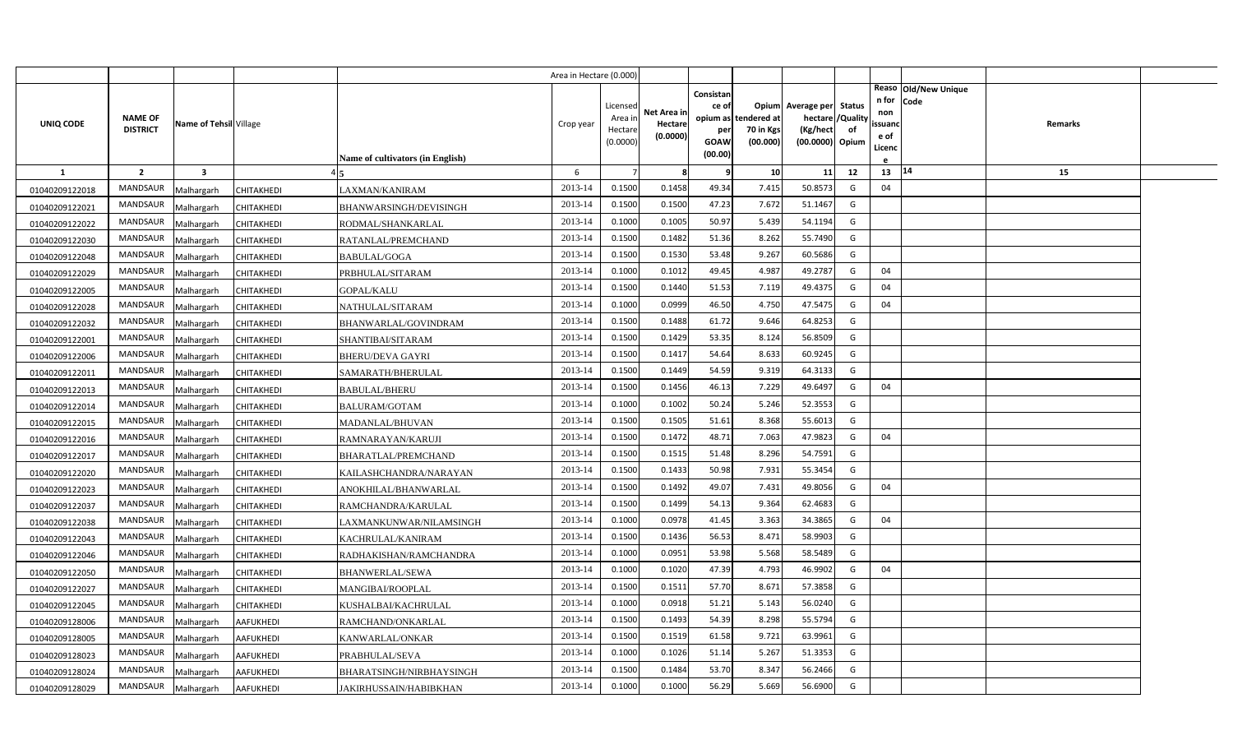|                |                                   |                         |                   |                                  | Area in Hectare (0.000) |                                            |                                    |                                                     |                                               |                                                  |                                          |                                                                          |         |  |
|----------------|-----------------------------------|-------------------------|-------------------|----------------------------------|-------------------------|--------------------------------------------|------------------------------------|-----------------------------------------------------|-----------------------------------------------|--------------------------------------------------|------------------------------------------|--------------------------------------------------------------------------|---------|--|
| UNIQ CODE      | <b>NAME OF</b><br><b>DISTRICT</b> | Name of Tehsil Village  |                   | Name of cultivators (in English) | Crop year               | Licensed<br>Area in<br>Hectare<br>(0.0000) | Net Area in<br>Hectare<br>(0.0000) | Consistan<br>ce of<br>per<br><b>GOAW</b><br>(00.00) | opium as tendered at<br>70 in Kgs<br>(00.000) | Opium Average per<br>(Kg/hect<br>(00.0000) Opium | <b>Status</b><br>hectare / Quality<br>of | Reaso Old/New Unique<br>n for<br>Code<br>non<br>ssuand<br>e of<br>Licenc | Remarks |  |
| $\mathbf{1}$   | $\overline{2}$                    | $\overline{\mathbf{3}}$ |                   |                                  | 6                       |                                            | 8                                  | q                                                   | 10                                            | 11                                               | 12                                       | 14<br>13                                                                 | 15      |  |
| 01040209122018 | MANDSAUR                          | Malhargarh              | CHITAKHEDI        | LAXMAN/KANIRAM                   | 2013-14                 | 0.1500                                     | 0.1458                             | 49.34                                               | 7.415                                         | 50.8573                                          | G                                        | 04                                                                       |         |  |
| 01040209122021 | <b>MANDSAUR</b>                   | Malhargarh              | CHITAKHEDI        | BHANWARSINGH/DEVISINGH           | 2013-14                 | 0.1500                                     | 0.1500                             | 47.23                                               | 7.672                                         | 51.1467                                          | G                                        |                                                                          |         |  |
| 01040209122022 | <b>MANDSAUR</b>                   | Malhargarh              | CHITAKHEDI        | RODMAL/SHANKARLAL                | 2013-14                 | 0.1000                                     | 0.1005                             | 50.97                                               | 5.439                                         | 54.1194                                          | G                                        |                                                                          |         |  |
| 01040209122030 | <b>MANDSAUR</b>                   | Malhargarh              | <b>CHITAKHEDI</b> | RATANLAL/PREMCHAND               | 2013-14                 | 0.1500                                     | 0.1482                             | 51.36                                               | 8.262                                         | 55.7490                                          | G                                        |                                                                          |         |  |
| 01040209122048 | <b>MANDSAUR</b>                   | Malhargarh              | CHITAKHEDI        | BABULAL/GOGA                     | 2013-14                 | 0.1500                                     | 0.1530                             | 53.48                                               | 9.267                                         | 60.5686                                          | G                                        |                                                                          |         |  |
| 01040209122029 | MANDSAUR                          | Malhargarh              | CHITAKHEDI        | PRBHULAL/SITARAM                 | 2013-14                 | 0.1000                                     | 0.1012                             | 49.45                                               | 4.987                                         | 49.2787                                          | G                                        | 04                                                                       |         |  |
| 01040209122005 | MANDSAUR                          | Malhargarh              | <b>CHITAKHEDI</b> | <b>GOPAL/KALU</b>                | 2013-14                 | 0.1500                                     | 0.1440                             | 51.53                                               | 7.119                                         | 49.4375                                          | G                                        | 04                                                                       |         |  |
| 01040209122028 | MANDSAUR                          | Malhargarh              | CHITAKHEDI        | NATHULAL/SITARAM                 | 2013-14                 | 0.1000                                     | 0.0999                             | 46.50                                               | 4.750                                         | 47.5475                                          | G                                        | 04                                                                       |         |  |
| 01040209122032 | <b>MANDSAUR</b>                   | Malhargarh              | CHITAKHEDI        | BHANWARLAL/GOVINDRAM             | 2013-14                 | 0.1500                                     | 0.1488                             | 61.72                                               | 9.646                                         | 64.8253                                          | G                                        |                                                                          |         |  |
| 01040209122001 | <b>MANDSAUR</b>                   | Malhargarh              | CHITAKHEDI        | SHANTIBAI/SITARAM                | 2013-14                 | 0.1500                                     | 0.1429                             | 53.35                                               | 8.124                                         | 56.8509                                          | G                                        |                                                                          |         |  |
| 01040209122006 | <b>MANDSAUR</b>                   | Malhargarh              | CHITAKHEDI        | BHERU/DEVA GAYRI                 | 2013-14                 | 0.1500                                     | 0.1417                             | 54.64                                               | 8.633                                         | 60.9245                                          | G                                        |                                                                          |         |  |
| 01040209122011 | <b>MANDSAUR</b>                   | Malhargarh              | <b>CHITAKHEDI</b> | SAMARATH/BHERULAL                | 2013-14                 | 0.1500                                     | 0.1449                             | 54.59                                               | 9.319                                         | 64.3133                                          | G                                        |                                                                          |         |  |
| 01040209122013 | <b>MANDSAUR</b>                   | Malhargarh              | CHITAKHEDI        | BABULAL/BHERU                    | 2013-14                 | 0.1500                                     | 0.1456                             | 46.13                                               | 7.229                                         | 49.6497                                          | G                                        | 04                                                                       |         |  |
| 01040209122014 | <b>MANDSAUR</b>                   | Malhargarh              | CHITAKHEDI        | <b>BALURAM/GOTAM</b>             | 2013-14                 | 0.1000                                     | 0.1002                             | 50.24                                               | 5.246                                         | 52.3553                                          | G                                        |                                                                          |         |  |
| 01040209122015 | <b>MANDSAUR</b>                   | Malhargarh              | CHITAKHEDI        | MADANLAL/BHUVAN                  | 2013-14                 | 0.1500                                     | 0.1505                             | 51.61                                               | 8.368                                         | 55.6013                                          | G                                        |                                                                          |         |  |
| 01040209122016 | <b>MANDSAUR</b>                   | Malhargarh              | <b>CHITAKHEDI</b> | RAMNARAYAN/KARUJI                | 2013-14                 | 0.1500                                     | 0.1472                             | 48.71                                               | 7.063                                         | 47.9823                                          | G                                        | 04                                                                       |         |  |
| 01040209122017 | <b>MANDSAUR</b>                   | Malhargarh              | CHITAKHEDI        | <b>BHARATLAL/PREMCHAND</b>       | 2013-14                 | 0.1500                                     | 0.1515                             | 51.48                                               | 8.296                                         | 54.7591                                          | G                                        |                                                                          |         |  |
| 01040209122020 | <b>MANDSAUR</b>                   | Malhargarh              | CHITAKHEDI        | KAILASHCHANDRA/NARAYAN           | 2013-14                 | 0.1500                                     | 0.1433                             | 50.98                                               | 7.931                                         | 55.3454                                          | G                                        |                                                                          |         |  |
| 01040209122023 | <b>MANDSAUR</b>                   | Malhargarh              | CHITAKHEDI        | ANOKHILAL/BHANWARLAL             | 2013-14                 | 0.1500                                     | 0.1492                             | 49.07                                               | 7.431                                         | 49.8056                                          | G                                        | 04                                                                       |         |  |
| 01040209122037 | <b>MANDSAUR</b>                   | Malhargarh              | CHITAKHEDI        | RAMCHANDRA/KARULAL               | 2013-14                 | 0.1500                                     | 0.1499                             | 54.13                                               | 9.364                                         | 62.4683                                          | G                                        |                                                                          |         |  |
| 01040209122038 | <b>MANDSAUR</b>                   | Malhargarh              | CHITAKHEDI        | LAXMANKUNWAR/NILAMSINGH          | 2013-14                 | 0.1000                                     | 0.0978                             | 41.45                                               | 3.363                                         | 34.3865                                          | G                                        | 04                                                                       |         |  |
| 01040209122043 | <b>MANDSAUR</b>                   | Malhargarh              | CHITAKHEDI        | KACHRULAL/KANIRAM                | 2013-14                 | 0.1500                                     | 0.1436                             | 56.53                                               | 8.471                                         | 58.9903                                          | G                                        |                                                                          |         |  |
| 01040209122046 | <b>MANDSAUR</b>                   | Malhargarh              | CHITAKHEDI        | RADHAKISHAN/RAMCHANDRA           | 2013-14                 | 0.1000                                     | 0.0951                             | 53.98                                               | 5.568                                         | 58.5489                                          | G                                        |                                                                          |         |  |
| 01040209122050 | <b>MANDSAUR</b>                   | Malhargarh              | CHITAKHEDI        | BHANWERLAL/SEWA                  | 2013-14                 | 0.1000                                     | 0.1020                             | 47.39                                               | 4.793                                         | 46.9902                                          | G                                        | 04                                                                       |         |  |
| 01040209122027 | <b>MANDSAUR</b>                   | Malhargarh              | CHITAKHEDI        | MANGIBAI/ROOPLAL                 | 2013-14                 | 0.1500                                     | 0.1511                             | 57.70                                               | 8.67                                          | 57.3858                                          | G                                        |                                                                          |         |  |
| 01040209122045 | <b>MANDSAUR</b>                   | Malhargarh              | CHITAKHEDI        | KUSHALBAI/KACHRULAL              | 2013-14                 | 0.1000                                     | 0.0918                             | 51.21                                               | 5.143                                         | 56.0240                                          | G                                        |                                                                          |         |  |
| 01040209128006 | MANDSAUR                          | Malhargarh              | AAFUKHEDI         | RAMCHAND/ONKARLAL                | 2013-14                 | 0.1500                                     | 0.1493                             | 54.39                                               | 8.298                                         | 55.5794                                          | G                                        |                                                                          |         |  |
| 01040209128005 | MANDSAUR                          | Malhargarh              | <b>AAFUKHEDI</b>  | KANWARLAL/ONKAR                  | 2013-14                 | 0.1500                                     | 0.1519                             | 61.58                                               | 9.721                                         | 63.9961                                          | G                                        |                                                                          |         |  |
| 01040209128023 | <b>MANDSAUR</b>                   | Malhargarh              | <b>AAFUKHEDI</b>  | PRABHULAL/SEVA                   | 2013-14                 | 0.1000                                     | 0.1026                             | 51.14                                               | 5.267                                         | 51.3353                                          | G                                        |                                                                          |         |  |
| 01040209128024 | MANDSAUR                          | Malhargarh              | AAFUKHEDI         | BHARATSINGH/NIRBHAYSINGH         | 2013-14                 | 0.1500                                     | 0.1484                             | 53.70                                               | 8.347                                         | 56.2466                                          | G                                        |                                                                          |         |  |
| 01040209128029 | MANDSAUR                          | Malhargarh              | <b>AAFUKHEDI</b>  | JAKIRHUSSAIN/HABIBKHAN           | 2013-14                 | 0.1000                                     | 0.1000                             | 56.29                                               | 5.669                                         | 56.6900                                          | G                                        |                                                                          |         |  |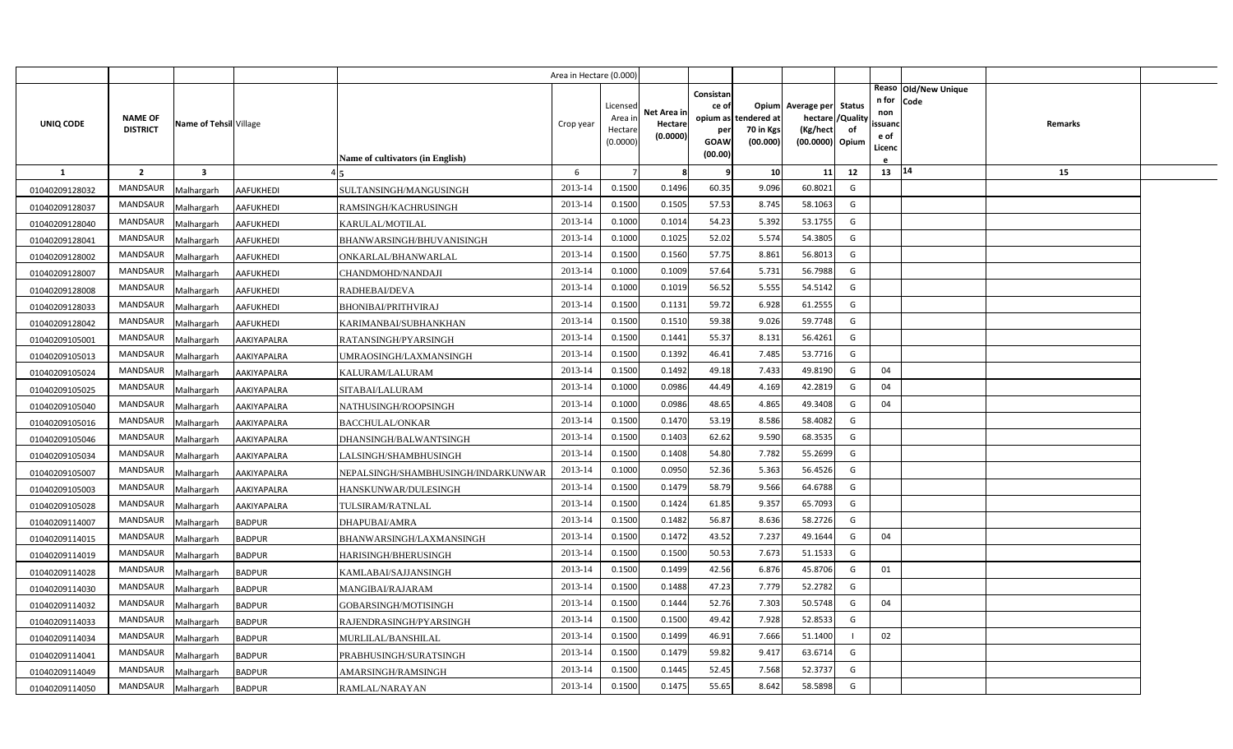|                |                                   |                         |                  |                                     | Area in Hectare (0.000 |                                            |                                    |                                                     |                                               |                                                                       |                     |                                                                          |         |  |
|----------------|-----------------------------------|-------------------------|------------------|-------------------------------------|------------------------|--------------------------------------------|------------------------------------|-----------------------------------------------------|-----------------------------------------------|-----------------------------------------------------------------------|---------------------|--------------------------------------------------------------------------|---------|--|
| UNIQ CODE      | <b>NAME OF</b><br><b>DISTRICT</b> | Name of Tehsil Village  |                  | Name of cultivators (in English)    | Crop year              | Licensed<br>Area in<br>Hectare<br>(0.0000) | Net Area in<br>Hectare<br>(0.0000) | Consistan<br>ce of<br>per<br><b>GOAW</b><br>(00.00) | opium as tendered at<br>70 in Kgs<br>(00.000) | Opium Average per<br>hectare / Quality<br>(Kg/hect<br>(00.0000) Opium | <b>Status</b><br>of | Reaso Old/New Unique<br>n for<br>Code<br>non<br>ssuand<br>e of<br>Licenc | Remarks |  |
| <sup>1</sup>   | $\overline{2}$                    | $\overline{\mathbf{3}}$ |                  |                                     | 6                      |                                            | 8                                  | q                                                   | 10                                            | 11                                                                    | 12                  | 13   14                                                                  | 15      |  |
| 01040209128032 | MANDSAUR                          | Malhargarh              | <b>AAFUKHEDI</b> | SULTANSINGH/MANGUSINGH              | 2013-14                | 0.1500                                     | 0.1496                             | 60.35                                               | 9.096                                         | 60.8021                                                               | G                   |                                                                          |         |  |
| 01040209128037 | <b>MANDSAUR</b>                   | Malhargarh              | <b>AAFUKHEDI</b> | RAMSINGH/KACHRUSINGH                | 2013-14                | 0.1500                                     | 0.1505                             | 57.53                                               | 8.745                                         | 58.1063                                                               | G                   |                                                                          |         |  |
| 01040209128040 | <b>MANDSAUR</b>                   | Malhargarh              | AAFUKHEDI        | KARULAL/MOTILAL                     | 2013-14                | 0.1000                                     | 0.1014                             | 54.23                                               | 5.392                                         | 53.1755                                                               | G                   |                                                                          |         |  |
| 01040209128041 | <b>MANDSAUR</b>                   | Malhargarh              | <b>AAFUKHEDI</b> | BHANWARSINGH/BHUVANISINGH           | 2013-14                | 0.1000                                     | 0.1025                             | 52.02                                               | 5.574                                         | 54.3805                                                               | G                   |                                                                          |         |  |
| 01040209128002 | MANDSAUR                          | Malhargarh              | <b>AAFUKHEDI</b> | ONKARLAL/BHANWARLAL                 | 2013-14                | 0.1500                                     | 0.1560                             | 57.75                                               | 8.861                                         | 56.8013                                                               | G                   |                                                                          |         |  |
| 01040209128007 | MANDSAUR                          | Malhargarh              | <b>AAFUKHEDI</b> | CHANDMOHD/NANDAJI                   | 2013-14                | 0.1000                                     | 0.1009                             | 57.64                                               | 5.731                                         | 56.7988                                                               | G                   |                                                                          |         |  |
| 01040209128008 | MANDSAUR                          | Malhargarh              | <b>AAFUKHEDI</b> | RADHEBAI/DEVA                       | 2013-14                | 0.1000                                     | 0.1019                             | 56.52                                               | 5.555                                         | 54.5142                                                               | G                   |                                                                          |         |  |
| 01040209128033 | MANDSAUR                          | Malhargarh              | <b>AAFUKHEDI</b> | <b>BHONIBAI/PRITHVIRAJ</b>          | 2013-14                | 0.1500                                     | 0.1131                             | 59.72                                               | 6.928                                         | 61.2555                                                               | G                   |                                                                          |         |  |
| 01040209128042 | <b>MANDSAUR</b>                   | Malhargarh              | <b>AAFUKHEDI</b> | KARIMANBAI/SUBHANKHAN               | 2013-14                | 0.1500                                     | 0.1510                             | 59.38                                               | 9.026                                         | 59.7748                                                               | G                   |                                                                          |         |  |
| 01040209105001 | MANDSAUR                          | Malhargarh              | AAKIYAPALRA      | RATANSINGH/PYARSINGH                | 2013-14                | 0.1500                                     | 0.1441                             | 55.37                                               | 8.131                                         | 56.4261                                                               | G                   |                                                                          |         |  |
| 01040209105013 | <b>MANDSAUR</b>                   | Malhargarh              | AAKIYAPALRA      | UMRAOSINGH/LAXMANSINGH              | 2013-14                | 0.1500                                     | 0.1392                             | 46.41                                               | 7.485                                         | 53.7716                                                               | G                   |                                                                          |         |  |
| 01040209105024 | <b>MANDSAUR</b>                   | Malhargarh              | AAKIYAPALRA      | KALURAM/LALURAM                     | 2013-14                | 0.1500                                     | 0.1492                             | 49.18                                               | 7.433                                         | 49.8190                                                               | G                   | 04                                                                       |         |  |
| 01040209105025 | <b>MANDSAUR</b>                   | Malhargarh              | AAKIYAPALRA      | SITABAI/LALURAM                     | 2013-14                | 0.1000                                     | 0.0986                             | 44.49                                               | 4.169                                         | 42.2819                                                               | G                   | 04                                                                       |         |  |
| 01040209105040 | <b>MANDSAUR</b>                   | Malhargarh              | AAKIYAPALRA      | NATHUSINGH/ROOPSINGH                | 2013-14                | 0.1000                                     | 0.0986                             | 48.65                                               | 4.865                                         | 49.3408                                                               | G                   | 04                                                                       |         |  |
| 01040209105016 | <b>MANDSAUR</b>                   | Malhargarh              | AAKIYAPALRA      | BACCHULAL/ONKAR                     | 2013-14                | 0.1500                                     | 0.1470                             | 53.19                                               | 8.586                                         | 58.4082                                                               | G                   |                                                                          |         |  |
| 01040209105046 | <b>MANDSAUR</b>                   | Malhargarh              | AAKIYAPALRA      | DHANSINGH/BALWANTSINGH              | 2013-14                | 0.1500                                     | 0.1403                             | 62.62                                               | 9.590                                         | 68.3535                                                               | G                   |                                                                          |         |  |
| 01040209105034 | <b>MANDSAUR</b>                   | Malhargarh              | AAKIYAPALRA      | LALSINGH/SHAMBHUSINGH               | 2013-14                | 0.1500                                     | 0.1408                             | 54.80                                               | 7.782                                         | 55.2699                                                               | G                   |                                                                          |         |  |
| 01040209105007 | MANDSAUR                          | Malhargarh              | AAKIYAPALRA      | NEPALSINGH/SHAMBHUSINGH/INDARKUNWAR | 2013-14                | 0.1000                                     | 0.0950                             | 52.36                                               | 5.363                                         | 56.4526                                                               | G                   |                                                                          |         |  |
| 01040209105003 | <b>MANDSAUR</b>                   | Malhargarh              | AAKIYAPALRA      | HANSKUNWAR/DULESINGH                | 2013-14                | 0.1500                                     | 0.1479                             | 58.79                                               | 9.566                                         | 64.6788                                                               | G                   |                                                                          |         |  |
| 01040209105028 | <b>MANDSAUR</b>                   | Malhargarh              | AAKIYAPALRA      | TULSIRAM/RATNLAL                    | 2013-14                | 0.1500                                     | 0.1424                             | 61.85                                               | 9.357                                         | 65.7093                                                               | G                   |                                                                          |         |  |
| 01040209114007 | <b>MANDSAUR</b>                   | Malhargarh              | <b>BADPUR</b>    | DHAPUBAI/AMRA                       | 2013-14                | 0.1500                                     | 0.1482                             | 56.87                                               | 8.636                                         | 58.2726                                                               | G                   |                                                                          |         |  |
| 01040209114015 | <b>MANDSAUR</b>                   | Malhargarh              | <b>BADPUR</b>    | BHANWARSINGH/LAXMANSINGH            | 2013-14                | 0.1500                                     | 0.1472                             | 43.52                                               | 7.237                                         | 49.1644                                                               | G                   | 04                                                                       |         |  |
| 01040209114019 | <b>MANDSAUR</b>                   | Malhargarh              | <b>BADPUR</b>    | HARISINGH/BHERUSINGH                | 2013-14                | 0.1500                                     | 0.1500                             | 50.53                                               | 7.673                                         | 51.1533                                                               | G                   |                                                                          |         |  |
| 01040209114028 | <b>MANDSAUR</b>                   | Malhargarh              | <b>BADPUR</b>    | KAMLABAI/SAJJANSINGH                | 2013-14                | 0.1500                                     | 0.1499                             | 42.56                                               | 6.876                                         | 45.8706                                                               | G                   | 01                                                                       |         |  |
| 01040209114030 | <b>MANDSAUR</b>                   | Malhargarh              | <b>BADPUR</b>    | MANGIBAI/RAJARAM                    | 2013-14                | 0.1500                                     | 0.1488                             | 47.23                                               | 7.779                                         | 52.2782                                                               | G                   |                                                                          |         |  |
| 01040209114032 | MANDSAUR                          | Malhargarh              | <b>BADPUR</b>    | GOBARSINGH/MOTISINGH                | 2013-14                | 0.1500                                     | 0.1444                             | 52.76                                               | 7.303                                         | 50.5748                                                               | G                   | 04                                                                       |         |  |
| 01040209114033 | MANDSAUR                          | Malhargarh              | <b>BADPUR</b>    | RAJENDRASINGH/PYARSINGH             | 2013-14                | 0.1500                                     | 0.1500                             | 49.42                                               | 7.928                                         | 52.8533                                                               | G                   |                                                                          |         |  |
| 01040209114034 | MANDSAUR                          | Malhargarh              | <b>BADPUR</b>    | MURLILAL/BANSHILAL                  | 2013-14                | 0.1500                                     | 0.1499                             | 46.91                                               | 7.666                                         | 51.1400                                                               |                     | 02                                                                       |         |  |
| 01040209114041 | MANDSAUR                          | Malhargarh              | <b>BADPUR</b>    | PRABHUSINGH/SURATSINGH              | 2013-14                | 0.1500                                     | 0.1479                             | 59.82                                               | 9.417                                         | 63.6714                                                               | G                   |                                                                          |         |  |
| 01040209114049 | MANDSAUR                          | Malhargarh              | <b>BADPUR</b>    | AMARSINGH/RAMSINGH                  | 2013-14                | 0.1500                                     | 0.1445                             | 52.45                                               | 7.568                                         | 52.3737                                                               | G                   |                                                                          |         |  |
| 01040209114050 | MANDSAUR                          | Malhargarh              | <b>BADPUR</b>    | RAMLAL/NARAYAN                      | 2013-14                | 0.1500                                     | 0.1475                             | 55.65                                               | 8.642                                         | 58.5898                                                               | G                   |                                                                          |         |  |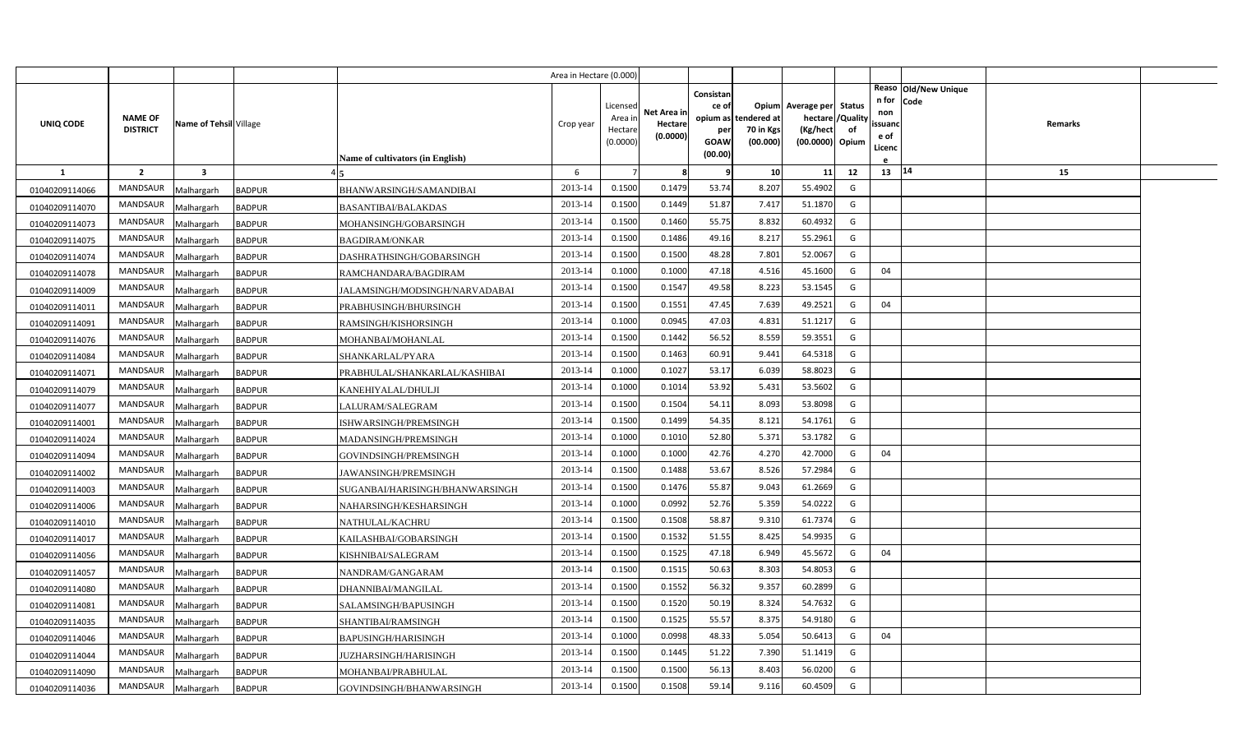|                |                                   |                         |                                                  | Area in Hectare (0.000) |                                            |                                    |                                              |                                               |                                                                    |                |                                          |                              |         |  |
|----------------|-----------------------------------|-------------------------|--------------------------------------------------|-------------------------|--------------------------------------------|------------------------------------|----------------------------------------------|-----------------------------------------------|--------------------------------------------------------------------|----------------|------------------------------------------|------------------------------|---------|--|
| UNIQ CODE      | <b>NAME OF</b><br><b>DISTRICT</b> | Name of Tehsil Village  | Name of cultivators (in English)                 | Crop year               | Licensed<br>Area in<br>Hectare<br>(0.0000) | Net Area in<br>Hectare<br>(0.0000) | Consistan<br>ce of<br>per<br>GOAW<br>(00.00) | opium as tendered at<br>70 in Kgs<br>(00.000) | Opium Average per Status<br>hectare<br>(Kg/hect<br>(00.0000) Opium | /Quality<br>of | n for<br>non<br>ssuand<br>e of<br>Licenc | Reaso Old/New Unique<br>Code | Remarks |  |
| <b>1</b>       | $\overline{2}$                    | $\overline{\mathbf{3}}$ |                                                  | 6                       |                                            | -8                                 | q                                            | 10                                            | 11                                                                 | 12             | 13 14                                    |                              | 15      |  |
| 01040209114066 | MANDSAUR                          | Malhargarh              | <b>BADPUR</b><br>BHANWARSINGH/SAMANDIBAI         | 2013-14                 | 0.1500                                     | 0.1479                             | 53.74                                        | 8.207                                         | 55.4902                                                            | G              |                                          |                              |         |  |
| 01040209114070 | MANDSAUR                          | Malhargarh              | <b>BADPUR</b><br><b>BASANTIBAI/BALAKDAS</b>      | 2013-14                 | 0.1500                                     | 0.1449                             | 51.87                                        | 7.417                                         | 51.1870                                                            | G              |                                          |                              |         |  |
| 01040209114073 | <b>MANDSAUR</b>                   | Malhargarh              | <b>BADPUR</b><br>MOHANSINGH/GOBARSINGH           | 2013-14                 | 0.1500                                     | 0.1460                             | 55.75                                        | 8.832                                         | 60.4932                                                            | G              |                                          |                              |         |  |
| 01040209114075 | <b>MANDSAUR</b>                   | Malhargarh              | <b>BADPUR</b><br><b>BAGDIRAM/ONKAR</b>           | 2013-14                 | 0.1500                                     | 0.1486                             | 49.16                                        | 8.217                                         | 55.2961                                                            | G              |                                          |                              |         |  |
| 01040209114074 | <b>MANDSAUR</b>                   | Malhargarh              | DASHRATHSINGH/GOBARSINGH<br><b>BADPUR</b>        | 2013-14                 | 0.1500                                     | 0.1500                             | 48.28                                        | 7.801                                         | 52.0067                                                            | G              |                                          |                              |         |  |
| 01040209114078 | <b>MANDSAUR</b>                   | Malhargarh              | <b>BADPUR</b><br>RAMCHANDARA/BAGDIRAM            | 2013-14                 | 0.1000                                     | 0.1000                             | 47.18                                        | 4.516                                         | 45.1600                                                            | G              | 04                                       |                              |         |  |
| 01040209114009 | <b>MANDSAUR</b>                   | Malhargarh              | <b>BADPUR</b><br>JALAMSINGH/MODSINGH/NARVADABAI  | 2013-14                 | 0.1500                                     | 0.1547                             | 49.58                                        | 8.223                                         | 53.1545                                                            | G              |                                          |                              |         |  |
| 01040209114011 | <b>MANDSAUR</b>                   | Malhargarh              | <b>BADPUR</b><br>PRABHUSINGH/BHURSINGH           | 2013-14                 | 0.1500                                     | 0.1551                             | 47.45                                        | 7.639                                         | 49.2521                                                            | G              | 04                                       |                              |         |  |
| 01040209114091 | <b>MANDSAUR</b>                   | Malhargarh              | <b>BADPUR</b><br>RAMSINGH/KISHORSINGH            | 2013-14                 | 0.1000                                     | 0.0945                             | 47.03                                        | 4.831                                         | 51.1217                                                            | G              |                                          |                              |         |  |
| 01040209114076 | <b>MANDSAUR</b>                   | Malhargarh              | <b>BADPUR</b><br>MOHANBAI/MOHANLAL               | 2013-14                 | 0.1500                                     | 0.1442                             | 56.52                                        | 8.559                                         | 59.3551                                                            | G              |                                          |                              |         |  |
| 01040209114084 | <b>MANDSAUR</b>                   | Malhargarh              | <b>BADPUR</b><br>SHANKARLAL/PYARA                | 2013-14                 | 0.1500                                     | 0.1463                             | 60.91                                        | 9.441                                         | 64.5318                                                            | G              |                                          |                              |         |  |
| 01040209114071 | <b>MANDSAUR</b>                   | Malhargarh              | <b>BADPUR</b><br>PRABHULAL/SHANKARLAL/KASHIBAI   | 2013-14                 | 0.1000                                     | 0.1027                             | 53.17                                        | 6.039                                         | 58.8023                                                            | G              |                                          |                              |         |  |
| 01040209114079 | <b>MANDSAUR</b>                   | Malhargarh              | <b>BADPUR</b><br>KANEHIYALAL/DHULJI              | 2013-14                 | 0.1000                                     | 0.1014                             | 53.92                                        | 5.431                                         | 53.5602                                                            | G              |                                          |                              |         |  |
| 01040209114077 | <b>MANDSAUR</b>                   | Malhargarh              | <b>BADPUR</b><br>LALURAM/SALEGRAM                | 2013-14                 | 0.1500                                     | 0.1504                             | 54.11                                        | 8.093                                         | 53.8098                                                            | G              |                                          |                              |         |  |
| 01040209114001 | <b>MANDSAUR</b>                   | Malhargarh              | <b>BADPUR</b><br>ISHWARSINGH/PREMSINGH           | 2013-14                 | 0.1500                                     | 0.1499                             | 54.35                                        | 8.121                                         | 54.1761                                                            | G              |                                          |                              |         |  |
| 01040209114024 | <b>MANDSAUR</b>                   | Malhargarh              | <b>BADPUR</b><br>MADANSINGH/PREMSINGH            | 2013-14                 | 0.1000                                     | 0.1010                             | 52.80                                        | 5.371                                         | 53.1782                                                            | G              |                                          |                              |         |  |
| 01040209114094 | <b>MANDSAUR</b>                   | Malhargarh              | <b>BADPUR</b><br>GOVINDSINGH/PREMSINGH           | 2013-14                 | 0.1000                                     | 0.1000                             | 42.76                                        | 4.270                                         | 42.7000                                                            | G              | 04                                       |                              |         |  |
| 01040209114002 | <b>MANDSAUR</b>                   | Malhargarh              | <b>BADPUR</b><br><b>JAWANSINGH/PREMSINGH</b>     | 2013-14                 | 0.1500                                     | 0.1488                             | 53.67                                        | 8.526                                         | 57.2984                                                            | G              |                                          |                              |         |  |
| 01040209114003 | <b>MANDSAUR</b>                   | Malhargarh              | <b>BADPUR</b><br>SUGANBAI/HARISINGH/BHANWARSINGH | 2013-14                 | 0.1500                                     | 0.1476                             | 55.87                                        | 9.043                                         | 61.2669                                                            | G              |                                          |                              |         |  |
| 01040209114006 | <b>MANDSAUR</b>                   | Malhargarh              | <b>BADPUR</b><br>NAHARSINGH/KESHARSINGH          | 2013-14                 | 0.1000                                     | 0.0992                             | 52.76                                        | 5.359                                         | 54.0222                                                            | G              |                                          |                              |         |  |
| 01040209114010 | <b>MANDSAUR</b>                   | Malhargarh              | <b>BADPUR</b><br>NATHULAL/KACHRU                 | 2013-14                 | 0.1500                                     | 0.1508                             | 58.87                                        | 9.310                                         | 61.7374                                                            | G              |                                          |                              |         |  |
| 01040209114017 | <b>MANDSAUR</b>                   | Malhargarh              | <b>BADPUR</b><br>KAILASHBAI/GOBARSINGH           | 2013-14                 | 0.1500                                     | 0.1532                             | 51.55                                        | 8.425                                         | 54.9935                                                            | G              |                                          |                              |         |  |
| 01040209114056 | MANDSAUR                          | Malhargarh              | <b>BADPUR</b><br>KISHNIBAI/SALEGRAM              | 2013-14                 | 0.1500                                     | 0.1525                             | 47.18                                        | 6.949                                         | 45.5672                                                            | G              | 04                                       |                              |         |  |
| 01040209114057 | <b>MANDSAUR</b>                   | Malhargarh              | <b>BADPUR</b><br>NANDRAM/GANGARAM                | 2013-14                 | 0.1500                                     | 0.1515                             | 50.63                                        | 8.303                                         | 54.8053                                                            | G              |                                          |                              |         |  |
| 01040209114080 | <b>MANDSAUR</b>                   | Malhargarh              | <b>BADPUR</b><br>DHANNIBAI/MANGILAL              | 2013-14                 | 0.1500                                     | 0.1552                             | 56.32                                        | 9.357                                         | 60.2899                                                            | G              |                                          |                              |         |  |
| 01040209114081 | <b>MANDSAUR</b>                   | Malhargarh              | <b>BADPUR</b><br>SALAMSINGH/BAPUSINGH            | 2013-14                 | 0.1500                                     | 0.1520                             | 50.19                                        | 8.324                                         | 54.7632                                                            | G              |                                          |                              |         |  |
| 01040209114035 | <b>MANDSAUR</b>                   | Malhargarh              | <b>BADPUR</b><br>SHANTIBAI/RAMSINGH              | 2013-14                 | 0.1500                                     | 0.1525                             | 55.57                                        | 8.375                                         | 54.9180                                                            | G              |                                          |                              |         |  |
| 01040209114046 | <b>MANDSAUR</b>                   | Malhargarh              | <b>BADPUR</b><br>BAPUSINGH/HARISINGH             | 2013-14                 | 0.1000                                     | 0.0998                             | 48.33                                        | 5.054                                         | 50.6413                                                            | G              | 04                                       |                              |         |  |
| 01040209114044 | <b>MANDSAUR</b>                   | Malhargarh              | <b>BADPUR</b><br>JUZHARSINGH/HARISINGH           | 2013-14                 | 0.1500                                     | 0.1445                             | 51.22                                        | 7.390                                         | 51.1419                                                            | G              |                                          |                              |         |  |
| 01040209114090 | <b>MANDSAUR</b>                   | Malhargarh              | <b>BADPUR</b><br>MOHANBAI/PRABHULAL              | 2013-14                 | 0.1500                                     | 0.1500                             | 56.13                                        | 8.403                                         | 56.0200                                                            | G              |                                          |                              |         |  |
| 01040209114036 | MANDSAUR                          | Malhargarh              | <b>BADPUR</b><br>GOVINDSINGH/BHANWARSINGH        | 2013-14                 | 0.1500                                     | 0.1508                             | 59.14                                        | 9.116                                         | 60.4509                                                            | G              |                                          |                              |         |  |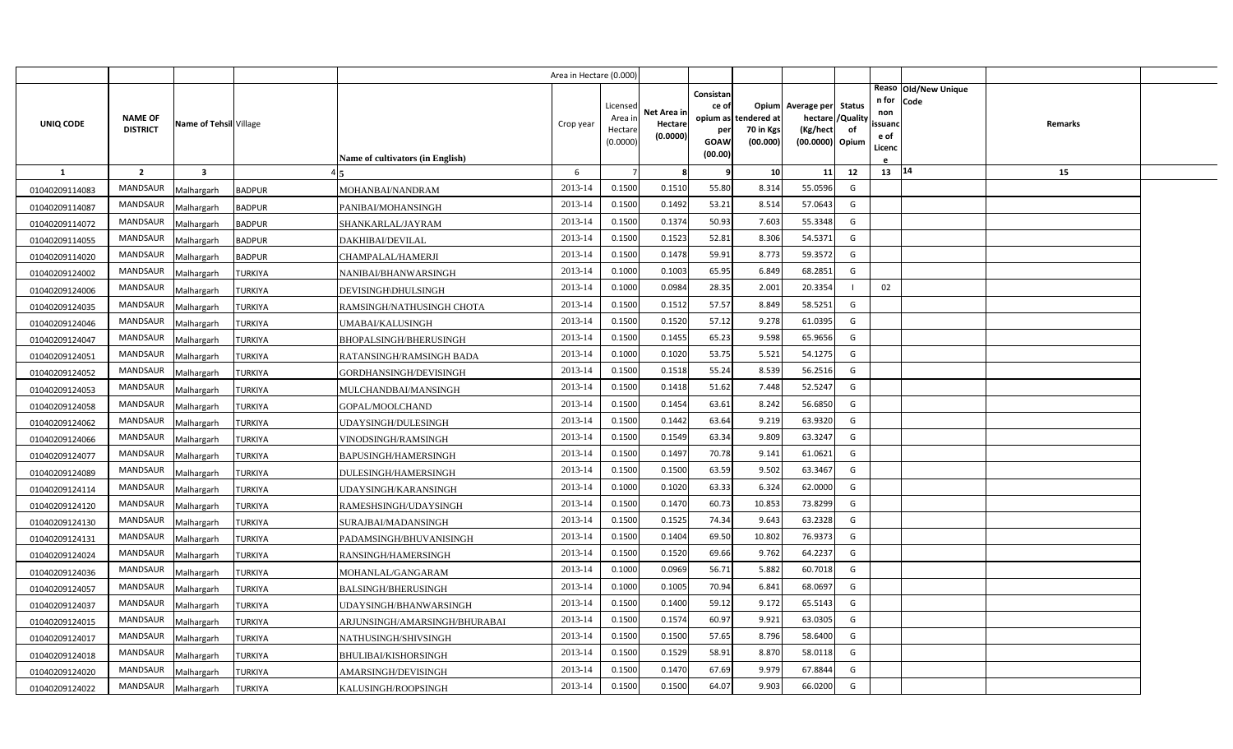|                |                                   |                         |                                               | Area in Hectare (0.000) |                                            |                                    |                                              |                                               |                                                         |                         |                                          |                              |         |  |
|----------------|-----------------------------------|-------------------------|-----------------------------------------------|-------------------------|--------------------------------------------|------------------------------------|----------------------------------------------|-----------------------------------------------|---------------------------------------------------------|-------------------------|------------------------------------------|------------------------------|---------|--|
| UNIQ CODE      | <b>NAME OF</b><br><b>DISTRICT</b> | Name of Tehsil Village  | Name of cultivators (in English)              | Crop year               | Licensed<br>Area in<br>Hectare<br>(0.0000) | Net Area in<br>Hectare<br>(0.0000) | Consistan<br>ce of<br>per<br>GOAW<br>(00.00) | opium as tendered at<br>70 in Kgs<br>(00.000) | Opium Average per Status<br>(Kg/hect<br>(00.0000) Opium | hectare / Quality<br>of | n for<br>non<br>ssuand<br>e of<br>Licenc | Reaso Old/New Unique<br>Code | Remarks |  |
| -1             | $\overline{2}$                    | $\overline{\mathbf{3}}$ |                                               | 6                       |                                            | 8                                  | q                                            | 10                                            | 11                                                      | 12                      | 13   14                                  |                              | 15      |  |
| 01040209114083 | MANDSAUR                          | Malhargarh              | <b>BADPUR</b><br>MOHANBAI/NANDRAM             | 2013-14                 | 0.1500                                     | 0.1510                             | 55.80                                        | 8.314                                         | 55.0596                                                 | G                       |                                          |                              |         |  |
| 01040209114087 | <b>MANDSAUR</b>                   | Malhargarh              | <b>BADPUR</b><br>PANIBAI/MOHANSINGH           | 2013-14                 | 0.1500                                     | 0.1492                             | 53.21                                        | 8.514                                         | 57.0643                                                 | G                       |                                          |                              |         |  |
| 01040209114072 | <b>MANDSAUR</b>                   | Malhargarh              | <b>BADPUR</b><br>SHANKARLAL/JAYRAM            | 2013-14                 | 0.1500                                     | 0.1374                             | 50.93                                        | 7.603                                         | 55.3348                                                 | G                       |                                          |                              |         |  |
| 01040209114055 | <b>MANDSAUR</b>                   | Malhargarh              | <b>BADPUR</b><br>DAKHIBAI/DEVILAL             | 2013-14                 | 0.1500                                     | 0.1523                             | 52.81                                        | 8.306                                         | 54.5371                                                 | G                       |                                          |                              |         |  |
| 01040209114020 | <b>MANDSAUR</b>                   | Malhargarh              | <b>BADPUR</b><br>CHAMPALAL/HAMERJI            | 2013-14                 | 0.1500                                     | 0.1478                             | 59.91                                        | 8.773                                         | 59.3572                                                 | G                       |                                          |                              |         |  |
| 01040209124002 | <b>MANDSAUR</b>                   | Malhargarh              | <b>TURKIYA</b><br>NANIBAI/BHANWARSINGH        | 2013-14                 | 0.1000                                     | 0.1003                             | 65.95                                        | 6.849                                         | 68.2851                                                 | G                       |                                          |                              |         |  |
| 01040209124006 | <b>MANDSAUR</b>                   | Malhargarh              | <b>TURKIYA</b><br>DEVISINGH\DHULSINGH         | 2013-14                 | 0.1000                                     | 0.0984                             | 28.35                                        | 2.001                                         | 20.3354                                                 |                         | 02                                       |                              |         |  |
| 01040209124035 | MANDSAUR                          | Malhargarh              | <b>TURKIYA</b><br>RAMSINGH/NATHUSINGH CHOTA   | 2013-14                 | 0.1500                                     | 0.1512                             | 57.57                                        | 8.849                                         | 58.5251                                                 | G                       |                                          |                              |         |  |
| 01040209124046 | <b>MANDSAUR</b>                   | Malhargarh              | <b>TURKIYA</b><br>UMABAI/KALUSINGH            | 2013-14                 | 0.1500                                     | 0.1520                             | 57.12                                        | 9.278                                         | 61.0395                                                 | G                       |                                          |                              |         |  |
| 01040209124047 | <b>MANDSAUR</b>                   | Malhargarh              | TURKIYA<br>BHOPALSINGH/BHERUSINGH             | 2013-14                 | 0.1500                                     | 0.1455                             | 65.23                                        | 9.598                                         | 65.9656                                                 | G                       |                                          |                              |         |  |
| 01040209124051 | <b>MANDSAUR</b>                   | Malhargarh              | <b>TURKIYA</b><br>RATANSINGH/RAMSINGH BADA    | 2013-14                 | 0.1000                                     | 0.1020                             | 53.75                                        | 5.521                                         | 54.1275                                                 | G                       |                                          |                              |         |  |
| 01040209124052 | <b>MANDSAUR</b>                   | Malhargarh              | TURKIYA<br>GORDHANSINGH/DEVISINGH             | 2013-14                 | 0.1500                                     | 0.1518                             | 55.24                                        | 8.539                                         | 56.2516                                                 | G                       |                                          |                              |         |  |
| 01040209124053 | <b>MANDSAUR</b>                   | Malhargarh              | <b>TURKIYA</b><br>MULCHANDBAI/MANSINGH        | 2013-14                 | 0.1500                                     | 0.1418                             | 51.62                                        | 7.448                                         | 52.5247                                                 | G                       |                                          |                              |         |  |
| 01040209124058 | <b>MANDSAUR</b>                   | Malhargarh              | TURKIYA<br>GOPAL/MOOLCHAND                    | 2013-14                 | 0.1500                                     | 0.1454                             | 63.61                                        | 8.242                                         | 56.6850                                                 | G                       |                                          |                              |         |  |
| 01040209124062 | <b>MANDSAUR</b>                   | Malhargarh              | <b>TURKIYA</b><br>UDAYSINGH/DULESINGH         | 2013-14                 | 0.1500                                     | 0.1442                             | 63.64                                        | 9.219                                         | 63.9320                                                 | G                       |                                          |                              |         |  |
| 01040209124066 | <b>MANDSAUR</b>                   | Malhargarh              | <b>TURKIYA</b><br>VINODSINGH/RAMSINGH         | 2013-14                 | 0.1500                                     | 0.1549                             | 63.34                                        | 9.809                                         | 63.3247                                                 | G                       |                                          |                              |         |  |
| 01040209124077 | <b>MANDSAUR</b>                   | Malhargarh              | <b>TURKIYA</b><br><b>BAPUSINGH/HAMERSINGH</b> | 2013-14                 | 0.1500                                     | 0.1497                             | 70.78                                        | 9.141                                         | 61.0621                                                 | G                       |                                          |                              |         |  |
| 01040209124089 | <b>MANDSAUR</b>                   | Malhargarh              | <b>TURKIYA</b><br>DULESINGH/HAMERSINGH        | 2013-14                 | 0.1500                                     | 0.1500                             | 63.59                                        | 9.502                                         | 63.3467                                                 | G                       |                                          |                              |         |  |
| 01040209124114 | MANDSAUR                          | Malhargarh              | <b>TURKIYA</b><br>UDAYSINGH/KARANSINGH        | 2013-14                 | 0.1000                                     | 0.1020                             | 63.33                                        | 6.324                                         | 62.0000                                                 | G                       |                                          |                              |         |  |
| 01040209124120 | <b>MANDSAUR</b>                   | Malhargarh              | <b>TURKIYA</b><br>RAMESHSINGH/UDAYSINGH       | 2013-14                 | 0.1500                                     | 0.1470                             | 60.73                                        | 10.853                                        | 73.8299                                                 | G                       |                                          |                              |         |  |
| 01040209124130 | MANDSAUR                          | Malhargarh              | TURKIYA<br>SURAJBAI/MADANSINGH                | 2013-14                 | 0.1500                                     | 0.1525                             | 74.34                                        | 9.643                                         | 63.2328                                                 | G                       |                                          |                              |         |  |
| 01040209124131 | <b>MANDSAUR</b>                   | Malhargarh              | TURKIYA<br>PADAMSINGH/BHUVANISINGH            | 2013-14                 | 0.1500                                     | 0.1404                             | 69.50                                        | 10.802                                        | 76.9373                                                 | G                       |                                          |                              |         |  |
| 01040209124024 | <b>MANDSAUR</b>                   | Malhargarh              | TURKIYA<br>RANSINGH/HAMERSINGH                | 2013-14                 | 0.1500                                     | 0.1520                             | 69.66                                        | 9.762                                         | 64.2237                                                 | G                       |                                          |                              |         |  |
| 01040209124036 | <b>MANDSAUR</b>                   | Malhargarh              | TURKIYA<br>MOHANLAL/GANGARAM                  | 2013-14                 | 0.1000                                     | 0.0969                             | 56.71                                        | 5.882                                         | 60.7018                                                 | G                       |                                          |                              |         |  |
| 01040209124057 | <b>MANDSAUR</b>                   | Malhargarh              | TURKIYA<br>BALSINGH/BHERUSINGH                | 2013-14                 | 0.1000                                     | 0.1005                             | 70.94                                        | 6.841                                         | 68.0697                                                 | G                       |                                          |                              |         |  |
| 01040209124037 | <b>MANDSAUR</b>                   | Malhargarh              | TURKIYA<br>UDAYSINGH/BHANWARSINGH             | 2013-14                 | 0.1500                                     | 0.1400                             | 59.12                                        | 9.172                                         | 65.5143                                                 | G                       |                                          |                              |         |  |
| 01040209124015 | <b>MANDSAUR</b>                   | Malhargarh              | TURKIYA<br>ARJUNSINGH/AMARSINGH/BHURABAI      | 2013-14                 | 0.1500                                     | 0.1574                             | 60.97                                        | 9.921                                         | 63.0305                                                 | G                       |                                          |                              |         |  |
| 01040209124017 | <b>MANDSAUR</b>                   | Malhargarh              | <b>TURKIYA</b><br>NATHUSINGH/SHIVSINGH        | 2013-14                 | 0.1500                                     | 0.1500                             | 57.65                                        | 8.796                                         | 58.6400                                                 | G                       |                                          |                              |         |  |
| 01040209124018 | <b>MANDSAUR</b>                   | Malhargarh              | <b>TURKIYA</b><br>BHULIBAI/KISHORSINGH        | 2013-14                 | 0.1500                                     | 0.1529                             | 58.91                                        | 8.870                                         | 58.0118                                                 | G                       |                                          |                              |         |  |
| 01040209124020 | <b>MANDSAUR</b>                   | Malhargarh              | TURKIYA<br>AMARSINGH/DEVISINGH                | 2013-14                 | 0.1500                                     | 0.1470                             | 67.69                                        | 9.979                                         | 67.8844                                                 | G                       |                                          |                              |         |  |
| 01040209124022 | MANDSAUR                          | Malhargarh              | <b>TURKIYA</b><br>KALUSINGH/ROOPSINGH         | 2013-14                 | 0.1500                                     | 0.1500                             | 64.07                                        | 9.903                                         | 66.0200                                                 | G                       |                                          |                              |         |  |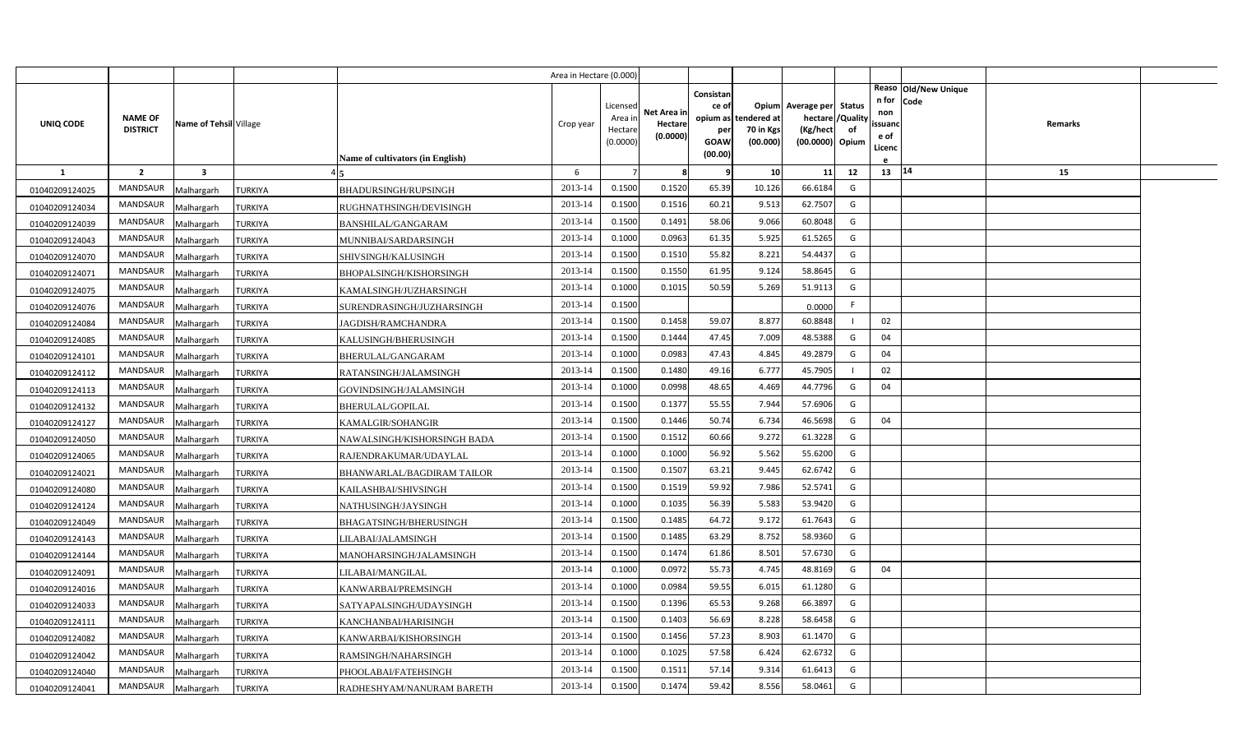|                |                                   |                        |                |                                  | Area in Hectare (0.000) |                                |                        |                           |                                   |                                                 |                |                                                        |         |  |
|----------------|-----------------------------------|------------------------|----------------|----------------------------------|-------------------------|--------------------------------|------------------------|---------------------------|-----------------------------------|-------------------------------------------------|----------------|--------------------------------------------------------|---------|--|
| UNIQ CODE      | <b>NAME OF</b><br><b>DISTRICT</b> | Name of Tehsil Village |                |                                  | Crop year               | Licensed<br>Area in<br>Hectare | Net Area in<br>Hectare | Consistan<br>ce of<br>per | opium as tendered at<br>70 in Kgs | Opium Average per Status<br>hectare<br>(Kg/hect | /Quality<br>of | Reaso Old/New Unique<br>n for<br>Code<br>non<br>ssuand | Remarks |  |
|                |                                   |                        |                |                                  |                         | (0.0000)                       | (0.0000)               | GOAW                      | (00.000)                          | (00.0000) Opium                                 |                | e of<br>Licenc                                         |         |  |
|                |                                   |                        |                | Name of cultivators (in English) |                         |                                |                        | (00.00)                   |                                   |                                                 |                |                                                        |         |  |
| $\mathbf{1}$   | $\overline{2}$                    | $\mathbf{3}$           |                |                                  | 6                       |                                | -8                     | q                         | 10                                | 11                                              | 12             | 13   14                                                | 15      |  |
| 01040209124025 | <b>MANDSAUR</b>                   | Malhargarh             | <b>TURKIYA</b> | BHADURSINGH/RUPSINGH             | 2013-14                 | 0.1500                         | 0.1520                 | 65.39                     | 10.126                            | 66.6184                                         | G              |                                                        |         |  |
| 01040209124034 | MANDSAUR                          | Malhargarh             | <b>TURKIYA</b> | RUGHNATHSINGH/DEVISINGH          | 2013-14                 | 0.1500                         | 0.1516                 | 60.21                     | 9.513                             | 62.7507                                         | G              |                                                        |         |  |
| 01040209124039 | <b>MANDSAUR</b>                   | Malhargarh             | <b>TURKIYA</b> | BANSHILAL/GANGARAM               | 2013-14                 | 0.1500                         | 0.1491                 | 58.06                     | 9.066                             | 60.8048                                         | G              |                                                        |         |  |
| 01040209124043 | <b>MANDSAUR</b>                   | Malhargarh             | <b>TURKIYA</b> | MUNNIBAI/SARDARSINGH             | 2013-14                 | 0.1000                         | 0.0963                 | 61.35                     | 5.925                             | 61.5265                                         | G              |                                                        |         |  |
| 01040209124070 | <b>MANDSAUR</b>                   | Malhargarh             | <b>TURKIYA</b> | SHIVSINGH/KALUSINGH              | 2013-14                 | 0.1500                         | 0.1510                 | 55.82                     | 8.221                             | 54.4437                                         | G              |                                                        |         |  |
| 01040209124071 | <b>MANDSAUR</b>                   | Malhargarh             | <b>TURKIYA</b> | BHOPALSINGH/KISHORSINGH          | 2013-14                 | 0.1500                         | 0.1550                 | 61.95                     | 9.124                             | 58.8645                                         | G              |                                                        |         |  |
| 01040209124075 | <b>MANDSAUR</b>                   | Malhargarh             | <b>TURKIYA</b> | KAMALSINGH/JUZHARSINGH           | 2013-14                 | 0.1000                         | 0.1015                 | 50.59                     | 5.269                             | 51.9113                                         | G              |                                                        |         |  |
| 01040209124076 | MANDSAUR                          | Malhargarh             | <b>TURKIYA</b> | SURENDRASINGH/JUZHARSINGH        | 2013-14                 | 0.1500                         |                        |                           |                                   | 0.0000                                          | F              |                                                        |         |  |
| 01040209124084 | <b>MANDSAUR</b>                   | Malhargarh             | <b>TURKIYA</b> | JAGDISH/RAMCHANDRA               | 2013-14                 | 0.1500                         | 0.1458                 | 59.07                     | 8.877                             | 60.8848                                         |                | 02                                                     |         |  |
| 01040209124085 | MANDSAUR                          | Malhargarh             | <b>TURKIYA</b> | KALUSINGH/BHERUSINGH             | 2013-14                 | 0.1500                         | 0.1444                 | 47.45                     | 7.009                             | 48.5388                                         | G              | 04                                                     |         |  |
| 01040209124101 | <b>MANDSAUR</b>                   | Malhargarh             | <b>TURKIYA</b> | BHERULAL/GANGARAM                | 2013-14                 | 0.1000                         | 0.0983                 | 47.43                     | 4.845                             | 49.2879                                         | G              | 04                                                     |         |  |
| 01040209124112 | <b>MANDSAUR</b>                   | Malhargarh             | <b>TURKIYA</b> | RATANSINGH/JALAMSINGH            | 2013-14                 | 0.1500                         | 0.1480                 | 49.16                     | 6.777                             | 45.7905                                         |                | 02                                                     |         |  |
| 01040209124113 | <b>MANDSAUR</b>                   | Malhargarh             | <b>TURKIYA</b> | GOVINDSINGH/JALAMSINGH           | 2013-14                 | 0.1000                         | 0.0998                 | 48.65                     | 4.469                             | 44.7796                                         | G              | 04                                                     |         |  |
| 01040209124132 | <b>MANDSAUR</b>                   | Malhargarh             | <b>TURKIYA</b> | <b>BHERULAL/GOPILAL</b>          | 2013-14                 | 0.1500                         | 0.1377                 | 55.55                     | 7.944                             | 57.6906                                         | G              |                                                        |         |  |
| 01040209124127 | <b>MANDSAUR</b>                   | Malhargarh             | <b>TURKIYA</b> | KAMALGIR/SOHANGIR                | 2013-14                 | 0.1500                         | 0.1446                 | 50.74                     | 6.734                             | 46.5698                                         | G              | 04                                                     |         |  |
| 01040209124050 | MANDSAUR                          | Malhargarh             | <b>TURKIYA</b> | NAWALSINGH/KISHORSINGH BADA      | 2013-14                 | 0.1500                         | 0.1512                 | 60.66                     | 9.272                             | 61.3228                                         | G              |                                                        |         |  |
| 01040209124065 | MANDSAUR                          | Malhargarh             | <b>TURKIYA</b> | RAJENDRAKUMAR/UDAYLAL            | 2013-14                 | 0.1000                         | 0.1000                 | 56.92                     | 5.562                             | 55.6200                                         | G              |                                                        |         |  |
| 01040209124021 | <b>MANDSAUR</b>                   | Malhargarh             | <b>TURKIYA</b> | BHANWARLAL/BAGDIRAM TAILOR       | 2013-14                 | 0.1500                         | 0.1507                 | 63.21                     | 9.445                             | 62.6742                                         | G              |                                                        |         |  |
| 01040209124080 | <b>MANDSAUR</b>                   | Malhargarh             | <b>TURKIYA</b> | KAILASHBAI/SHIVSINGH             | 2013-14                 | 0.1500                         | 0.1519                 | 59.92                     | 7.986                             | 52.5741                                         | G              |                                                        |         |  |
| 01040209124124 | <b>MANDSAUR</b>                   | Malhargarh             | <b>TURKIYA</b> | NATHUSINGH/JAYSINGH              | 2013-14                 | 0.1000                         | 0.1035                 | 56.39                     | 5.583                             | 53.9420                                         | G              |                                                        |         |  |
| 01040209124049 | <b>MANDSAUR</b>                   | Malhargarh             | <b>TURKIYA</b> | BHAGATSINGH/BHERUSINGH           | 2013-14                 | 0.1500                         | 0.1485                 | 64.72                     | 9.172                             | 61.7643                                         | G              |                                                        |         |  |
| 01040209124143 | <b>MANDSAUR</b>                   | Malhargarh             | TURKIYA        | LILABAI/JALAMSINGH               | 2013-14                 | 0.1500                         | 0.1485                 | 63.29                     | 8.752                             | 58.9360                                         | G              |                                                        |         |  |
| 01040209124144 | <b>MANDSAUR</b>                   | Malhargarh             | TURKIYA        | MANOHARSINGH/JALAMSINGH          | 2013-14                 | 0.1500                         | 0.1474                 | 61.86                     | 8.501                             | 57.6730                                         | G              |                                                        |         |  |
| 01040209124091 | <b>MANDSAUR</b>                   | Malhargarh             | TURKIYA        | LILABAI/MANGILAL                 | 2013-14                 | 0.1000                         | 0.0972                 | 55.73                     | 4.745                             | 48.8169                                         | G              | 04                                                     |         |  |
| 01040209124016 | <b>MANDSAUR</b>                   | Malhargarh             | TURKIYA        | KANWARBAI/PREMSINGH              | 2013-14                 | 0.1000                         | 0.0984                 | 59.55                     | 6.015                             | 61.1280                                         | G              |                                                        |         |  |
| 01040209124033 | MANDSAUR                          | Malhargarh             | TURKIYA        | SATYAPALSINGH/UDAYSINGH          | 2013-14                 | 0.1500                         | 0.1396                 | 65.53                     | 9.268                             | 66.3897                                         | G              |                                                        |         |  |
| 01040209124111 | <b>MANDSAUR</b>                   | Malhargarh             | TURKIYA        | KANCHANBAI/HARISINGH             | 2013-14                 | 0.1500                         | 0.1403                 | 56.69                     | 8.228                             | 58.6458                                         | G              |                                                        |         |  |
| 01040209124082 | <b>MANDSAUR</b>                   | Malhargarh             | <b>TURKIYA</b> | KANWARBAI/KISHORSINGH            | 2013-14                 | 0.1500                         | 0.1456                 | 57.23                     | 8.903                             | 61.1470                                         | G              |                                                        |         |  |
| 01040209124042 | MANDSAUR                          | Malhargarh             | TURKIYA        | RAMSINGH/NAHARSINGH              | 2013-14                 | 0.1000                         | 0.1025                 | 57.58                     | 6.424                             | 62.6732                                         | G              |                                                        |         |  |
| 01040209124040 | MANDSAUR                          | Malhargarh             | TURKIYA        | PHOOLABAI/FATEHSINGH             | 2013-14                 | 0.1500                         | 0.1511                 | 57.14                     | 9.314                             | 61.6413                                         | G              |                                                        |         |  |
| 01040209124041 | MANDSAUR                          | Malhargarh             | <b>TURKIYA</b> | RADHESHYAM/NANURAM BARETH        | 2013-14                 | 0.1500                         | 0.1474                 | 59.42                     | 8.556                             | 58.0461                                         | G              |                                                        |         |  |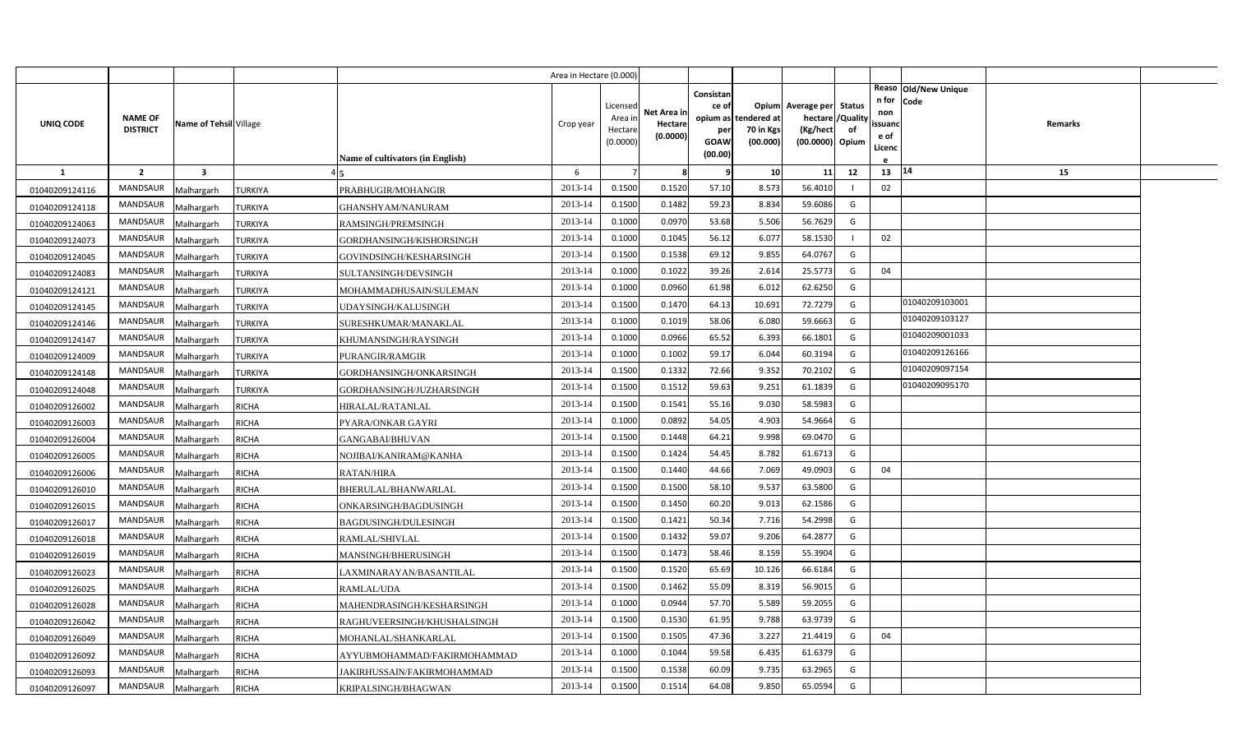|                |                                   |                         |                |                                  | Area in Hectare (0.000) |                                            |                                    |                                                                 |                                     |                                                         |                         |                                          |                              |                |  |
|----------------|-----------------------------------|-------------------------|----------------|----------------------------------|-------------------------|--------------------------------------------|------------------------------------|-----------------------------------------------------------------|-------------------------------------|---------------------------------------------------------|-------------------------|------------------------------------------|------------------------------|----------------|--|
| UNIQ CODE      | <b>NAME OF</b><br><b>DISTRICT</b> | Name of Tehsil Village  |                | Name of cultivators (in English) | Crop year               | Licensed<br>Area in<br>Hectare<br>(0.0000) | Net Area in<br>Hectare<br>(0.0000) | Consistan<br>ce of<br>opium as<br>per<br><b>GOAW</b><br>(00.00) | ndered at:<br>70 in Kgs<br>(00.000) | Opium Average per Status<br>(Kg/hect<br>(00.0000) Opium | hectare / Quality<br>of | n for<br>non<br>ssuand<br>e of<br>Licenc | Reaso Old/New Unique<br>Code | <b>Remarks</b> |  |
| $\mathbf{1}$   | $\overline{2}$                    | $\overline{\mathbf{3}}$ |                |                                  | 6                       |                                            | 8                                  | 9                                                               | 10                                  | 11                                                      | 12                      | 13                                       | 14                           | 15             |  |
| 01040209124116 | <b>MANDSAUR</b>                   | Malhargarh              | <b>TURKIYA</b> | PRABHUGIR/MOHANGIR               | 2013-14                 | 0.1500                                     | 0.1520                             | 57.10                                                           | 8.573                               | 56.4010                                                 |                         | 02                                       |                              |                |  |
| 01040209124118 | <b>MANDSAUR</b>                   | Malhargarh              | <b>TURKIYA</b> | GHANSHYAM/NANURAM                | 2013-14                 | 0.1500                                     | 0.1482                             | 59.23                                                           | 8.834                               | 59.6086                                                 | G                       |                                          |                              |                |  |
| 01040209124063 | <b>MANDSAUR</b>                   | Malhargarh              | <b>TURKIYA</b> | RAMSINGH/PREMSINGH               | 2013-14                 | 0.1000                                     | 0.0970                             | 53.68                                                           | 5.506                               | 56.7629                                                 | G                       |                                          |                              |                |  |
| 01040209124073 | <b>MANDSAUR</b>                   | Malhargarh              | <b>TURKIYA</b> | GORDHANSINGH/KISHORSINGH         | 2013-14                 | 0.1000                                     | 0.1045                             | 56.12                                                           | 6.07                                | 58.1530                                                 |                         | 02                                       |                              |                |  |
| 01040209124045 | <b>MANDSAUR</b>                   | Malhargarh              | <b>TURKIYA</b> | GOVINDSINGH/KESHARSINGH          | 2013-14                 | 0.1500                                     | 0.1538                             | 69.12                                                           | 9.855                               | 64.0767                                                 | G                       |                                          |                              |                |  |
| 01040209124083 | <b>MANDSAUR</b>                   | Malhargarh              | <b>TURKIYA</b> | SULTANSINGH/DEVSINGH             | 2013-14                 | 0.1000                                     | 0.1022                             | 39.26                                                           | 2.614                               | 25.5773                                                 | G                       | 04                                       |                              |                |  |
| 01040209124121 | <b>MANDSAUR</b>                   | Malhargarh              | <b>TURKIYA</b> | MOHAMMADHUSAIN/SULEMAN           | 2013-14                 | 0.1000                                     | 0.0960                             | 61.98                                                           | 6.012                               | 62.6250                                                 | G                       |                                          |                              |                |  |
| 01040209124145 | <b>MANDSAUR</b>                   | Malhargarh              | <b>TURKIYA</b> | UDAYSINGH/KALUSINGH              | 2013-14                 | 0.1500                                     | 0.1470                             | 64.13                                                           | 10.691                              | 72.7279                                                 | G                       |                                          | 01040209103001               |                |  |
| 01040209124146 | <b>MANDSAUR</b>                   | Malhargarh              | <b>TURKIYA</b> | SURESHKUMAR/MANAKLAL             | 2013-14                 | 0.1000                                     | 0.1019                             | 58.06                                                           | 6.080                               | 59.6663                                                 | G                       |                                          | 01040209103127               |                |  |
| 01040209124147 | <b>MANDSAUR</b>                   | Malhargarh              | <b>TURKIYA</b> | KHUMANSINGH/RAYSINGH             | 2013-14                 | 0.1000                                     | 0.0966                             | 65.52                                                           | 6.393                               | 66.1801                                                 | G                       |                                          | 01040209001033               |                |  |
| 01040209124009 | <b>MANDSAUR</b>                   | Malhargarh              | <b>TURKIYA</b> | PURANGIR/RAMGIR                  | 2013-14                 | 0.1000                                     | 0.1002                             | 59.17                                                           | 6.044                               | 60.3194                                                 | G                       |                                          | 01040209126166               |                |  |
| 01040209124148 | <b>MANDSAUR</b>                   | Malhargarh              | TURKIYA        | GORDHANSINGH/ONKARSINGH          | 2013-14                 | 0.1500                                     | 0.1332                             | 72.66                                                           | 9.352                               | 70.2102                                                 | G                       |                                          | 01040209097154               |                |  |
| 01040209124048 | <b>MANDSAUR</b>                   | Malhargarh              | <b>TURKIYA</b> | GORDHANSINGH/JUZHARSINGH         | 2013-14                 | 0.1500                                     | 0.1512                             | 59.63                                                           | 9.251                               | 61.1839                                                 | G                       |                                          | 01040209095170               |                |  |
| 01040209126002 | <b>MANDSAUR</b>                   | Malhargarh              | RICHA          | HIRALAL/RATANLAL                 | 2013-14                 | 0.1500                                     | 0.1541                             | 55.16                                                           | 9.030                               | 58.5983                                                 | G                       |                                          |                              |                |  |
| 01040209126003 | <b>MANDSAUR</b>                   | Malhargarh              | RICHA          | PYARA/ONKAR GAYRI                | 2013-14                 | 0.1000                                     | 0.0892                             | 54.05                                                           | 4.903                               | 54.9664                                                 | G                       |                                          |                              |                |  |
| 01040209126004 | <b>MANDSAUR</b>                   | Malhargarh              | <b>RICHA</b>   | <b>GANGABAI/BHUVAN</b>           | 2013-14                 | 0.1500                                     | 0.1448                             | 64.21                                                           | 9.998                               | 69.0470                                                 | G                       |                                          |                              |                |  |
| 01040209126005 | <b>MANDSAUR</b>                   | Malhargarh              | <b>RICHA</b>   | NOJIBAI/KANIRAM@KANHA            | 2013-14                 | 0.1500                                     | 0.1424                             | 54.45                                                           | 8.782                               | 61.6713                                                 | G                       |                                          |                              |                |  |
| 01040209126006 | <b>MANDSAUR</b>                   | Malhargarh              | <b>RICHA</b>   | <b>RATAN/HIRA</b>                | 2013-14                 | 0.1500                                     | 0.1440                             | 44.66                                                           | 7.069                               | 49.0903                                                 | G                       | 04                                       |                              |                |  |
| 01040209126010 | <b>MANDSAUR</b>                   | Malhargarh              | <b>RICHA</b>   | BHERULAL/BHANWARLAL              | 2013-14                 | 0.1500                                     | 0.1500                             | 58.10                                                           | 9.537                               | 63.5800                                                 | G                       |                                          |                              |                |  |
| 01040209126015 | <b>MANDSAUR</b>                   | Malhargarh              | <b>RICHA</b>   | ONKARSINGH/BAGDUSINGH            | 2013-14                 | 0.1500                                     | 0.1450                             | 60.20                                                           | 9.013                               | 62.1586                                                 | G                       |                                          |                              |                |  |
| 01040209126017 | <b>MANDSAUR</b>                   | Malhargarh              | RICHA          | BAGDUSINGH/DULESINGH             | 2013-14                 | 0.1500                                     | 0.1421                             | 50.34                                                           | 7.716                               | 54.2998                                                 | G                       |                                          |                              |                |  |
| 01040209126018 | <b>MANDSAUR</b>                   | Malhargarh              | RICHA          | RAMLAL/SHIVLAL                   | 2013-14                 | 0.1500                                     | 0.1432                             | 59.07                                                           | 9.206                               | 64.2877                                                 | G                       |                                          |                              |                |  |
| 01040209126019 | <b>MANDSAUR</b>                   | Malhargarh              | RICHA          | MANSINGH/BHERUSINGH              | 2013-14                 | 0.1500                                     | 0.1473                             | 58.46                                                           | 8.159                               | 55.3904                                                 | G                       |                                          |                              |                |  |
| 01040209126023 | <b>MANDSAUR</b>                   | Malhargarh              | RICHA          | LAXMINARAYAN/BASANTILAL          | 2013-14                 | 0.1500                                     | 0.1520                             | 65.69                                                           | 10.126                              | 66.6184                                                 | G                       |                                          |                              |                |  |
| 01040209126025 | MANDSAUR                          | Malhargarh              | RICHA          | RAMLAL/UDA                       | 2013-14                 | 0.1500                                     | 0.1462                             | 55.09                                                           | 8.319                               | 56.9015                                                 | G                       |                                          |                              |                |  |
| 01040209126028 | <b>MANDSAUR</b>                   | Malhargarh              | <b>RICHA</b>   | MAHENDRASINGH/KESHARSINGH        | 2013-14                 | 0.1000                                     | 0.0944                             | 57.70                                                           | 5.589                               | 59.2055                                                 | G                       |                                          |                              |                |  |
| 01040209126042 | <b>MANDSAUR</b>                   | Malhargarh              | <b>RICHA</b>   | RAGHUVEERSINGH/KHUSHALSINGH      | 2013-14                 | 0.1500                                     | 0.1530                             | 61.95                                                           | 9.788                               | 63.9739                                                 | G                       |                                          |                              |                |  |
| 01040209126049 | <b>MANDSAUR</b>                   | Malhargarh              | <b>RICHA</b>   | MOHANLAL/SHANKARLAL              | 2013-14                 | 0.1500                                     | 0.1505                             | 47.36                                                           | 3.227                               | 21.4419                                                 | G                       | 04                                       |                              |                |  |
| 01040209126092 | MANDSAUR                          | Malhargarh              | <b>RICHA</b>   | AYYUBMOHAMMAD/FAKIRMOHAMMAD      | 2013-14                 | 0.1000                                     | 0.1044                             | 59.58                                                           | 6.435                               | 61.6379                                                 | G                       |                                          |                              |                |  |
| 01040209126093 | MANDSAUR                          | Malhargarh              | <b>RICHA</b>   | JAKIRHUSSAIN/FAKIRMOHAMMAD       | 2013-14                 | 0.1500                                     | 0.1538                             | 60.09                                                           | 9.735                               | 63.2965                                                 | G                       |                                          |                              |                |  |
| 01040209126097 | MANDSAUR                          | Malhargarh              | <b>RICHA</b>   | KRIPALSINGH/BHAGWAN              | 2013-14                 | 0.1500                                     | 0.1514                             | 64.08                                                           | 9.850                               | 65.0594                                                 | G                       |                                          |                              |                |  |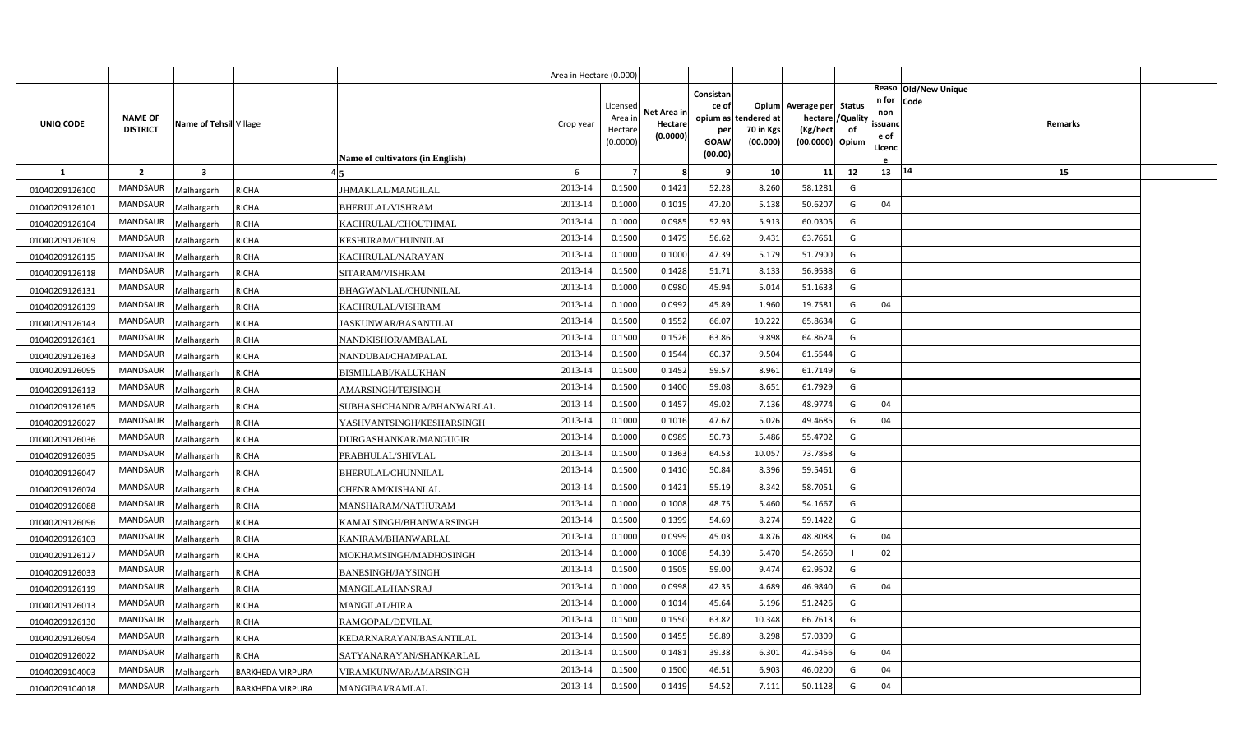|                |                                   |                         |                         |                                         | Area in Hectare (0.000) |                                            |                                    |                                                     |                                               |                                                                    |                |                                          |                              |         |  |
|----------------|-----------------------------------|-------------------------|-------------------------|-----------------------------------------|-------------------------|--------------------------------------------|------------------------------------|-----------------------------------------------------|-----------------------------------------------|--------------------------------------------------------------------|----------------|------------------------------------------|------------------------------|---------|--|
| UNIQ CODE      | <b>NAME OF</b><br><b>DISTRICT</b> | Name of Tehsil Village  |                         | <b>Name of cultivators (in English)</b> | Crop year               | Licensed<br>Area in<br>Hectare<br>(0.0000) | Net Area in<br>Hectare<br>(0.0000) | Consistan<br>ce of<br>per<br><b>GOAW</b><br>(00.00) | opium as tendered at<br>70 in Kgs<br>(00.000) | Opium Average per Status<br>hectare<br>(Kg/hect<br>(00.0000) Opium | /Quality<br>of | n for<br>non<br>ssuand<br>e of<br>Licenc | Reaso Old/New Unique<br>Code | Remarks |  |
| <b>1</b>       | $\overline{2}$                    | $\overline{\mathbf{3}}$ |                         |                                         | 6                       |                                            | 8                                  | 9                                                   | 10                                            | 11                                                                 | 12             | 13 14                                    |                              | 15      |  |
| 01040209126100 | <b>MANDSAUR</b>                   | Malhargarh              | <b>RICHA</b>            | JHMAKLAL/MANGILAL                       | 2013-14                 | 0.1500                                     | 0.1421                             | 52.28                                               | 8.260                                         | 58.1281                                                            | G              |                                          |                              |         |  |
| 01040209126101 | MANDSAUR                          | Malhargarh              | <b>RICHA</b>            | BHERULAL/VISHRAM                        | 2013-14                 | 0.1000                                     | 0.1015                             | 47.20                                               | 5.138                                         | 50.6207                                                            | G              | 04                                       |                              |         |  |
| 01040209126104 | <b>MANDSAUR</b>                   | Malhargarh              | <b>RICHA</b>            | KACHRULAL/CHOUTHMAL                     | 2013-14                 | 0.1000                                     | 0.0985                             | 52.93                                               | 5.913                                         | 60.0305                                                            | G              |                                          |                              |         |  |
| 01040209126109 | <b>MANDSAUR</b>                   | Malhargarh              | <b>RICHA</b>            | KESHURAM/CHUNNILAL                      | 2013-14                 | 0.1500                                     | 0.1479                             | 56.62                                               | 9.432                                         | 63.7661                                                            | G              |                                          |                              |         |  |
| 01040209126115 | <b>MANDSAUR</b>                   | Malhargarh              | <b>RICHA</b>            | KACHRULAL/NARAYAN                       | 2013-14                 | 0.1000                                     | 0.1000                             | 47.39                                               | 5.179                                         | 51.7900                                                            | G              |                                          |                              |         |  |
| 01040209126118 | <b>MANDSAUR</b>                   | Malhargarh              | <b>RICHA</b>            | SITARAM/VISHRAM                         | 2013-14                 | 0.1500                                     | 0.1428                             | 51.71                                               | 8.133                                         | 56.9538                                                            | G              |                                          |                              |         |  |
| 01040209126131 | MANDSAUR                          | Malhargarh              | <b>RICHA</b>            | BHAGWANLAL/CHUNNILAL                    | 2013-14                 | 0.1000                                     | 0.0980                             | 45.94                                               | 5.014                                         | 51.1633                                                            | G              |                                          |                              |         |  |
| 01040209126139 | <b>MANDSAUR</b>                   | Malhargarh              | <b>RICHA</b>            | KACHRULAL/VISHRAM                       | 2013-14                 | 0.1000                                     | 0.0992                             | 45.89                                               | 1.960                                         | 19.7581                                                            | G              | 04                                       |                              |         |  |
| 01040209126143 | <b>MANDSAUR</b>                   | Malhargarh              | <b>RICHA</b>            | JASKUNWAR/BASANTILAL                    | 2013-14                 | 0.1500                                     | 0.1552                             | 66.07                                               | 10.222                                        | 65.8634                                                            | G              |                                          |                              |         |  |
| 01040209126161 | MANDSAUR                          | Malhargarh              | <b>RICHA</b>            | NANDKISHOR/AMBALAL                      | 2013-14                 | 0.1500                                     | 0.1526                             | 63.86                                               | 9.898                                         | 64.8624                                                            | G              |                                          |                              |         |  |
| 01040209126163 | <b>MANDSAUR</b>                   | Malhargarh              | <b>RICHA</b>            | NANDUBAI/CHAMPALAL                      | 2013-14                 | 0.1500                                     | 0.1544                             | 60.37                                               | 9.504                                         | 61.5544                                                            | G              |                                          |                              |         |  |
| 01040209126095 | <b>MANDSAUR</b>                   | Malhargarh              | <b>RICHA</b>            | BISMILLABI/KALUKHAN                     | 2013-14                 | 0.1500                                     | 0.1452                             | 59.57                                               | 8.961                                         | 61.7149                                                            | G              |                                          |                              |         |  |
| 01040209126113 | <b>MANDSAUR</b>                   | Malhargarh              | <b>RICHA</b>            | AMARSINGH/TEJSINGH                      | 2013-14                 | 0.1500                                     | 0.1400                             | 59.08                                               | 8.651                                         | 61.7929                                                            | G              |                                          |                              |         |  |
| 01040209126165 | <b>MANDSAUR</b>                   | Malhargarh              | <b>RICHA</b>            | SUBHASHCHANDRA/BHANWARLAL               | 2013-14                 | 0.1500                                     | 0.1457                             | 49.02                                               | 7.136                                         | 48.9774                                                            | G              | 04                                       |                              |         |  |
| 01040209126027 | MANDSAUR                          | Malhargarh              | <b>RICHA</b>            | YASHVANTSINGH/KESHARSINGH               | 2013-14                 | 0.1000                                     | 0.1016                             | 47.67                                               | 5.026                                         | 49.4685                                                            | G              | 04                                       |                              |         |  |
| 01040209126036 | <b>MANDSAUR</b>                   | Malhargarh              | <b>RICHA</b>            | DURGASHANKAR/MANGUGIR                   | 2013-14                 | 0.1000                                     | 0.0989                             | 50.73                                               | 5.486                                         | 55.4702                                                            | G              |                                          |                              |         |  |
| 01040209126035 | MANDSAUR                          | Malhargarh              | <b>RICHA</b>            | PRABHULAL/SHIVLAL                       | 2013-14                 | 0.1500                                     | 0.1363                             | 64.53                                               | 10.057                                        | 73.7858                                                            | G              |                                          |                              |         |  |
| 01040209126047 | <b>MANDSAUR</b>                   | Malhargarh              | <b>RICHA</b>            | <b>BHERULAL/CHUNNILAL</b>               | 2013-14                 | 0.1500                                     | 0.1410                             | 50.84                                               | 8.396                                         | 59.5461                                                            | G              |                                          |                              |         |  |
| 01040209126074 | <b>MANDSAUR</b>                   | Malhargarh              | <b>RICHA</b>            | CHENRAM/KISHANLAL                       | 2013-14                 | 0.1500                                     | 0.1421                             | 55.19                                               | 8.342                                         | 58.7051                                                            | G              |                                          |                              |         |  |
| 01040209126088 | <b>MANDSAUR</b>                   | Malhargarh              | <b>RICHA</b>            | MANSHARAM/NATHURAM                      | 2013-14                 | 0.1000                                     | 0.1008                             | 48.75                                               | 5.460                                         | 54.1667                                                            | G              |                                          |                              |         |  |
| 01040209126096 | <b>MANDSAUR</b>                   | Malhargarh              | <b>RICHA</b>            | KAMALSINGH/BHANWARSINGH                 | 2013-14                 | 0.1500                                     | 0.1399                             | 54.69                                               | 8.274                                         | 59.1422                                                            | G              |                                          |                              |         |  |
| 01040209126103 | <b>MANDSAUR</b>                   | Malhargarh              | <b>RICHA</b>            | KANIRAM/BHANWARLAL                      | 2013-14                 | 0.1000                                     | 0.0999                             | 45.03                                               | 4.876                                         | 48.8088                                                            | G              | 04                                       |                              |         |  |
| 01040209126127 | <b>MANDSAUR</b>                   | Malhargarh              | <b>RICHA</b>            | MOKHAMSINGH/MADHOSINGH                  | 2013-14                 | 0.1000                                     | 0.1008                             | 54.39                                               | 5.47                                          | 54.2650                                                            |                | 02                                       |                              |         |  |
| 01040209126033 | <b>MANDSAUR</b>                   | Malhargarh              | <b>RICHA</b>            | BANESINGH/JAYSINGH                      | 2013-14                 | 0.1500                                     | 0.1505                             | 59.00                                               | 9.474                                         | 62.9502                                                            | G              |                                          |                              |         |  |
| 01040209126119 | <b>MANDSAUR</b>                   | Malhargarh              | <b>RICHA</b>            | MANGILAL/HANSRAJ                        | 2013-14                 | 0.1000                                     | 0.0998                             | 42.35                                               | 4.689                                         | 46.9840                                                            | G              | 04                                       |                              |         |  |
| 01040209126013 | <b>MANDSAUR</b>                   | Malhargarh              | <b>RICHA</b>            | <b>MANGILAL/HIRA</b>                    | 2013-14                 | 0.1000                                     | 0.1014                             | 45.64                                               | 5.196                                         | 51.2426                                                            | G              |                                          |                              |         |  |
| 01040209126130 | <b>MANDSAUR</b>                   | Malhargarh              | <b>RICHA</b>            | RAMGOPAL/DEVILAL                        | 2013-14                 | 0.1500                                     | 0.1550                             | 63.82                                               | 10.348                                        | 66.7613                                                            | G              |                                          |                              |         |  |
| 01040209126094 | MANDSAUR                          | Malhargarh              | <b>RICHA</b>            | KEDARNARAYAN/BASANTILAL                 | 2013-14                 | 0.1500                                     | 0.1455                             | 56.89                                               | 8.298                                         | 57.0309                                                            | G              |                                          |                              |         |  |
| 01040209126022 | <b>MANDSAUR</b>                   | Malhargarh              | <b>RICHA</b>            | SATYANARAYAN/SHANKARLAL                 | 2013-14                 | 0.1500                                     | 0.1481                             | 39.38                                               | 6.301                                         | 42.5456                                                            | G              | 04                                       |                              |         |  |
| 01040209104003 | <b>MANDSAUR</b>                   | Malhargarh              | <b>BARKHEDA VIRPURA</b> | VIRAMKUNWAR/AMARSINGH                   | 2013-14                 | 0.1500                                     | 0.1500                             | 46.51                                               | 6.903                                         | 46.0200                                                            | G              | 04                                       |                              |         |  |
| 01040209104018 | MANDSAUR                          | Malhargarh              | <b>BARKHEDA VIRPURA</b> | MANGIBAI/RAMLAL                         | 2013-14                 | 0.1500                                     | 0.1419                             | 54.52                                               | 7.111                                         | 50.1128                                                            | G              | 04                                       |                              |         |  |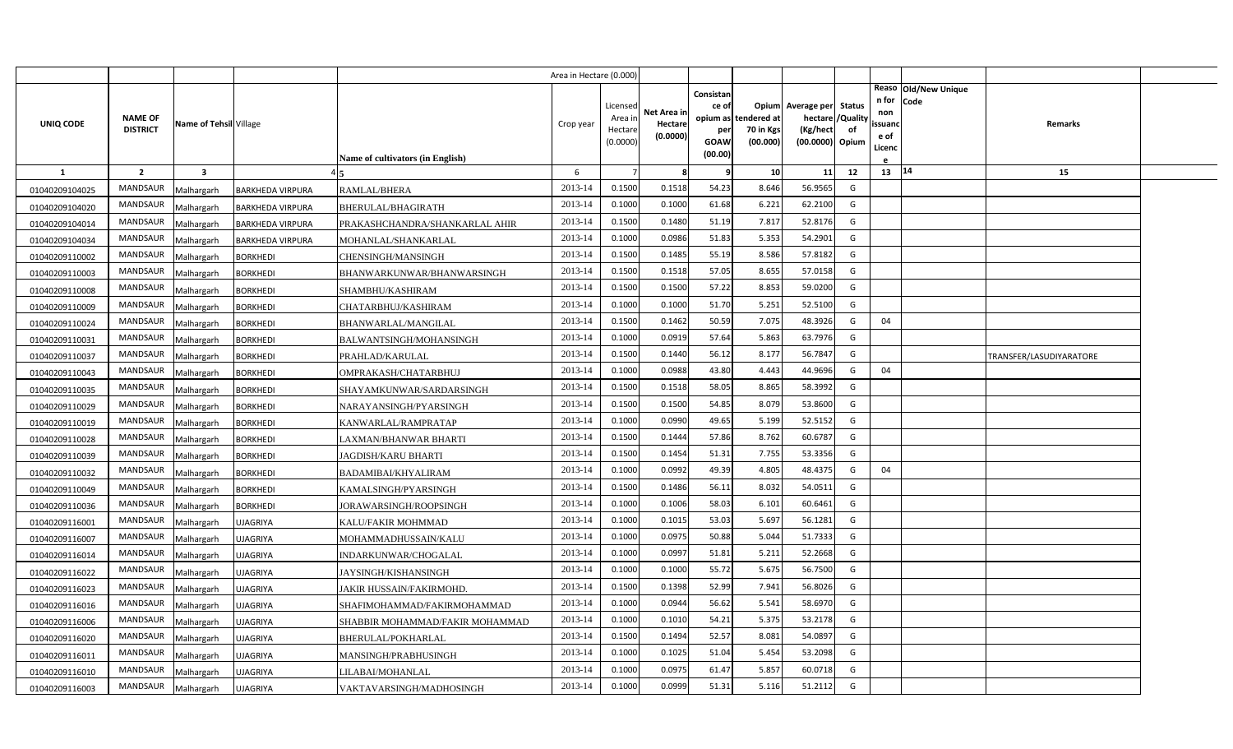|                |                                   |                         |                         |                                         | Area in Hectare (0.000 |                                            |                                    |                                                          |                                      |                                                             |                                 |                                          |                              |                         |  |
|----------------|-----------------------------------|-------------------------|-------------------------|-----------------------------------------|------------------------|--------------------------------------------|------------------------------------|----------------------------------------------------------|--------------------------------------|-------------------------------------------------------------|---------------------------------|------------------------------------------|------------------------------|-------------------------|--|
| UNIQ CODE      | <b>NAME OF</b><br><b>DISTRICT</b> | Name of Tehsil Village  |                         | <b>Name of cultivators (in English)</b> | Crop year              | Licensed<br>Area in<br>Hectare<br>(0.0000) | Net Area in<br>Hectare<br>(0.0000) | Consistan<br>ce of<br>opium as<br>per<br>GOAW<br>(00.00) | tendered at<br>70 in Kgs<br>(00.000) | Opium Average per<br>hectare<br>(Kg/hect<br>(00.0000) Opium | <b>Status</b><br>'Quality<br>of | n for<br>non<br>ssuand<br>e of<br>Licenc | Reaso Old/New Unique<br>Code | <b>Remarks</b>          |  |
| <b>1</b>       | $\overline{2}$                    | $\overline{\mathbf{3}}$ |                         |                                         | 6                      |                                            | 8                                  | ¢                                                        | 10                                   | 11                                                          | 12                              | 13   14                                  |                              | 15                      |  |
| 01040209104025 | <b>MANDSAUR</b>                   | Malhargarh              | <b>BARKHEDA VIRPURA</b> | RAMLAL/BHERA                            | 2013-14                | 0.1500                                     | 0.1518                             | 54.23                                                    | 8.646                                | 56.9565                                                     | G                               |                                          |                              |                         |  |
| 01040209104020 | MANDSAUR                          | Malhargarh              | <b>BARKHEDA VIRPURA</b> | BHERULAL/BHAGIRATH                      | 2013-14                | 0.1000                                     | 0.1000                             | 61.68                                                    | 6.222                                | 62.2100                                                     | G                               |                                          |                              |                         |  |
| 01040209104014 | <b>MANDSAUR</b>                   | Malhargarh              | <b>BARKHEDA VIRPURA</b> | PRAKASHCHANDRA/SHANKARLAL AHIR          | 2013-14                | 0.1500                                     | 0.1480                             | 51.19                                                    | 7.817                                | 52.8176                                                     | G                               |                                          |                              |                         |  |
| 01040209104034 | <b>MANDSAUR</b>                   | Malhargarh              | <b>BARKHEDA VIRPURA</b> | MOHANLAL/SHANKARLAL                     | 2013-14                | 0.1000                                     | 0.0986                             | 51.83                                                    | 5.353                                | 54.2901                                                     | G                               |                                          |                              |                         |  |
| 01040209110002 | MANDSAUR                          | Malhargarh              | <b>BORKHEDI</b>         | CHENSINGH/MANSINGH                      | 2013-14                | 0.1500                                     | 0.1485                             | 55.19                                                    | 8.586                                | 57.8182                                                     | G                               |                                          |                              |                         |  |
| 01040209110003 | <b>MANDSAUR</b>                   | Malhargarh              | BORKHEDI                | BHANWARKUNWAR/BHANWARSINGH              | 2013-14                | 0.1500                                     | 0.1518                             | 57.05                                                    | 8.65                                 | 57.0158                                                     | G                               |                                          |                              |                         |  |
| 01040209110008 | MANDSAUR                          | Malhargarh              | <b>BORKHEDI</b>         | SHAMBHU/KASHIRAM                        | 2013-14                | 0.1500                                     | 0.1500                             | 57.22                                                    | 8.853                                | 59.0200                                                     | G                               |                                          |                              |                         |  |
| 01040209110009 | <b>MANDSAUR</b>                   | Malhargarh              | <b>BORKHEDI</b>         | CHATARBHUJ/KASHIRAM                     | 2013-14                | 0.1000                                     | 0.1000                             | 51.70                                                    | 5.251                                | 52.5100                                                     | G                               |                                          |                              |                         |  |
| 01040209110024 | MANDSAUR                          | Malhargarh              | BORKHEDI                | BHANWARLAL/MANGILAL                     | 2013-14                | 0.1500                                     | 0.1462                             | 50.59                                                    | 7.075                                | 48.3926                                                     | G                               | 04                                       |                              |                         |  |
| 01040209110031 | MANDSAUR                          | Malhargarh              | BORKHEDI                | BALWANTSINGH/MOHANSINGH                 | 2013-14                | 0.1000                                     | 0.0919                             | 57.64                                                    | 5.863                                | 63.7976                                                     | G                               |                                          |                              |                         |  |
| 01040209110037 | <b>MANDSAUR</b>                   | Malhargarh              | BORKHEDI                | PRAHLAD/KARULAL                         | 2013-14                | 0.1500                                     | 0.1440                             | 56.12                                                    | 8.177                                | 56.7847                                                     | G                               |                                          |                              | TRANSFER/LASUDIYARATORE |  |
| 01040209110043 | MANDSAUR                          | Malhargarh              | <b>BORKHEDI</b>         | OMPRAKASH/CHATARBHUJ                    | 2013-14                | 0.1000                                     | 0.0988                             | 43.80                                                    | 4.443                                | 44.9696                                                     | G                               | 04                                       |                              |                         |  |
| 01040209110035 | <b>MANDSAUR</b>                   | Malhargarh              | BORKHEDI                | SHAYAMKUNWAR/SARDARSINGH                | 2013-14                | 0.1500                                     | 0.1518                             | 58.05                                                    | 8.865                                | 58.3992                                                     | G                               |                                          |                              |                         |  |
| 01040209110029 | MANDSAUR                          | Malhargarh              | <b>BORKHEDI</b>         | NARAYANSINGH/PYARSINGH                  | 2013-14                | 0.1500                                     | 0.1500                             | 54.85                                                    | 8.079                                | 53.8600                                                     | G                               |                                          |                              |                         |  |
| 01040209110019 | <b>MANDSAUR</b>                   | Malhargarh              | BORKHEDI                | KANWARLAL/RAMPRATAP                     | 2013-14                | 0.1000                                     | 0.0990                             | 49.65                                                    | 5.199                                | 52.5152                                                     | G                               |                                          |                              |                         |  |
| 01040209110028 | MANDSAUR                          | Malhargarh              | BORKHEDI                | LAXMAN/BHANWAR BHARTI                   | 2013-14                | 0.1500                                     | 0.1444                             | 57.86                                                    | 8.762                                | 60.6787                                                     | G                               |                                          |                              |                         |  |
| 01040209110039 | MANDSAUR                          | Malhargarh              | <b>BORKHEDI</b>         | JAGDISH/KARU BHARTI                     | 2013-14                | 0.1500                                     | 0.1454                             | 51.31                                                    | 7.755                                | 53.3356                                                     | G                               |                                          |                              |                         |  |
| 01040209110032 | MANDSAUR                          | Malhargarh              | BORKHEDI                | <b>BADAMIBAI/KHYALIRAM</b>              | 2013-14                | 0.1000                                     | 0.0992                             | 49.39                                                    | 4.805                                | 48.4375                                                     | G                               | 04                                       |                              |                         |  |
| 01040209110049 | MANDSAUR                          | Malhargarh              | <b>BORKHEDI</b>         | KAMALSINGH/PYARSINGH                    | 2013-14                | 0.1500                                     | 0.1486                             | 56.11                                                    | 8.032                                | 54.0511                                                     | G                               |                                          |                              |                         |  |
| 01040209110036 | MANDSAUR                          | Malhargarh              | BORKHEDI                | <b>JORAWARSINGH/ROOPSINGH</b>           | 2013-14                | 0.1000                                     | 0.1006                             | 58.03                                                    | 6.101                                | 60.6461                                                     | G                               |                                          |                              |                         |  |
| 01040209116001 | MANDSAUR                          | Malhargarh              | <b>JJAGRIYA</b>         | KALU/FAKIR MOHMMAD                      | 2013-14                | 0.1000                                     | 0.1015                             | 53.03                                                    | 5.697                                | 56.1281                                                     | G                               |                                          |                              |                         |  |
| 01040209116007 | MANDSAUR                          | Malhargarh              | <b>JJAGRIYA</b>         | MOHAMMADHUSSAIN/KALU                    | 2013-14                | 0.1000                                     | 0.0975                             | 50.88                                                    | 5.044                                | 51.7333                                                     | G                               |                                          |                              |                         |  |
| 01040209116014 | MANDSAUR                          | Malhargarh              | <b>JJAGRIYA</b>         | INDARKUNWAR/CHOGALAL                    | 2013-14                | 0.1000                                     | 0.0997                             | 51.81                                                    | 5.21                                 | 52.2668                                                     | G                               |                                          |                              |                         |  |
| 01040209116022 | MANDSAUR                          | Malhargarh              | <b>JJAGRIYA</b>         | JAYSINGH/KISHANSINGH                    | 2013-14                | 0.1000                                     | 0.1000                             | 55.72                                                    | 5.675                                | 56.7500                                                     | G                               |                                          |                              |                         |  |
| 01040209116023 | MANDSAUR                          | Malhargarh              | JJAGRIYA                | JAKIR HUSSAIN/FAKIRMOHD.                | 2013-14                | 0.1500                                     | 0.1398                             | 52.99                                                    | 7.941                                | 56.8026                                                     | G                               |                                          |                              |                         |  |
| 01040209116016 | MANDSAUR                          | Malhargarh              | JJAGRIYA                | SHAFIMOHAMMAD/FAKIRMOHAMMAD             | 2013-14                | 0.1000                                     | 0.0944                             | 56.62                                                    | 5.541                                | 58.6970                                                     | G                               |                                          |                              |                         |  |
| 01040209116006 | MANDSAUR                          | Malhargarh              | <b>JJAGRIYA</b>         | SHABBIR MOHAMMAD/FAKIR MOHAMMAD         | 2013-14                | 0.1000                                     | 0.1010                             | 54.21                                                    | 5.375                                | 53.2178                                                     | G                               |                                          |                              |                         |  |
| 01040209116020 | MANDSAUR                          | Malhargarh              | <b>JJAGRIYA</b>         | BHERULAL/POKHARLAL                      | 2013-14                | 0.1500                                     | 0.1494                             | 52.57                                                    | 8.081                                | 54.0897                                                     | G                               |                                          |                              |                         |  |
| 01040209116011 | MANDSAUR                          | Malhargarh              | <b>JJAGRIYA</b>         | MANSINGH/PRABHUSINGH                    | 2013-14                | 0.1000                                     | 0.1025                             | 51.04                                                    | 5.454                                | 53.2098                                                     | G                               |                                          |                              |                         |  |
| 01040209116010 | MANDSAUR                          | Malhargarh              | <b>JJAGRIYA</b>         | LILABAI/MOHANLAL                        | 2013-14                | 0.1000                                     | 0.0975                             | 61.47                                                    | 5.857                                | 60.0718                                                     | G                               |                                          |                              |                         |  |
| 01040209116003 | MANDSAUR                          | Malhargarh              | <b>UJAGRIYA</b>         | VAKTAVARSINGH/MADHOSINGH                | 2013-14                | 0.1000                                     | 0.0999                             | 51.31                                                    | 5.116                                | 51.2112                                                     | G                               |                                          |                              |                         |  |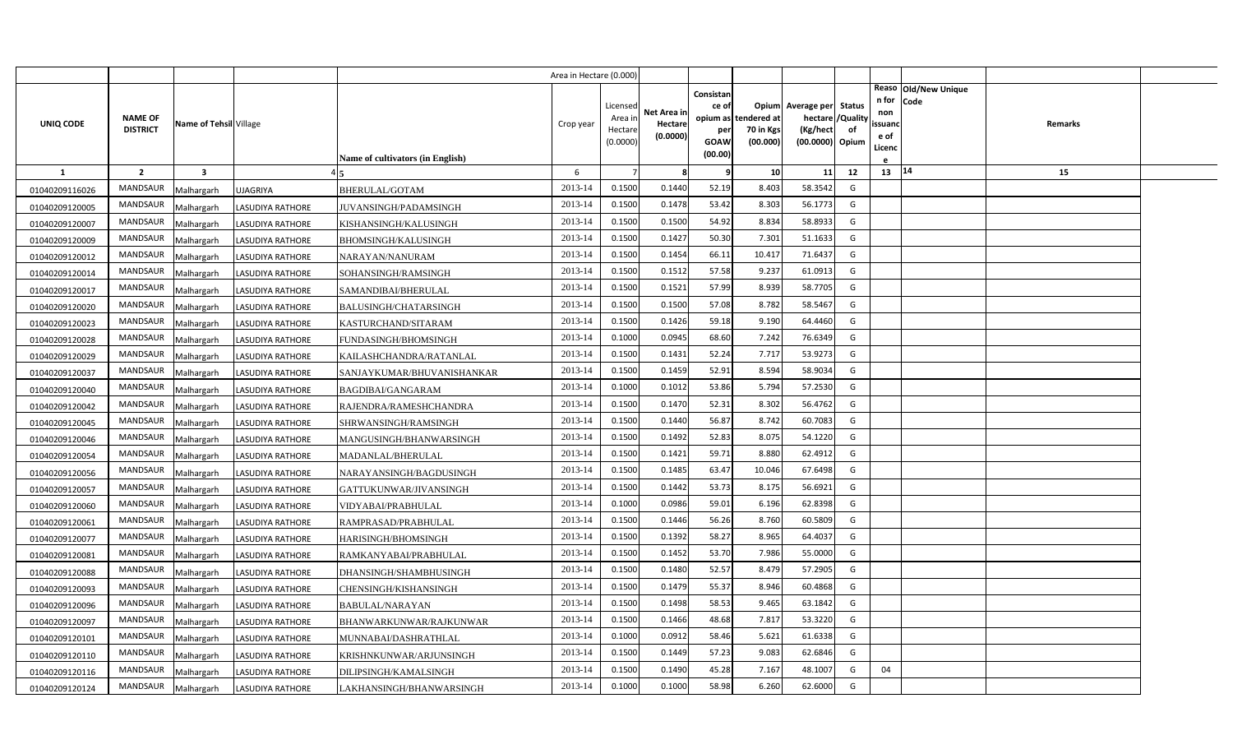|                |                 |                         |                         |                                  | Area in Hectare (0.000) |                     |             |             |                            |                             |    |                   |                      |  |
|----------------|-----------------|-------------------------|-------------------------|----------------------------------|-------------------------|---------------------|-------------|-------------|----------------------------|-----------------------------|----|-------------------|----------------------|--|
|                |                 |                         |                         |                                  |                         |                     |             | Consistan   |                            |                             |    |                   | Reaso Old/New Unique |  |
|                |                 |                         |                         |                                  |                         | Licensed            | Net Area in | ce of       |                            | Opium Average per Status    |    | n for Code<br>non |                      |  |
| UNIQ CODE      | <b>NAME OF</b>  | Name of Tehsil Village  |                         |                                  | Crop year               | Area ir             | Hectare     | opium as    | tendered at <mark>i</mark> | hectare / Quality           |    | ssuanc            | Remarks              |  |
|                | <b>DISTRICT</b> |                         |                         |                                  |                         | Hectare<br>(0.0000) | (0.0000)    | per<br>GOAW | 70 in Kgs<br>(00.000)      | (Kg/hect<br>(00.0000) Opium | of | e of              |                      |  |
|                |                 |                         |                         | Name of cultivators (in English) |                         |                     |             | (00.00)     |                            |                             |    | Licenc            |                      |  |
| -1             | $\overline{2}$  | $\overline{\mathbf{3}}$ |                         |                                  | 6                       | $\overline{7}$      | 8           | q           | 10                         | 11                          | 12 | 13   14           | 15                   |  |
| 01040209116026 | MANDSAUR        | Malhargarh              | <b>UJAGRIYA</b>         | BHERULAL/GOTAM                   | 2013-14                 | 0.1500              | 0.1440      | 52.19       | 8.403                      | 58.3542                     | G  |                   |                      |  |
| 01040209120005 | <b>MANDSAUR</b> | Malhargarh              | LASUDIYA RATHORE        | IUVANSINGH/PADAMSINGH            | 2013-14                 | 0.1500              | 0.1478      | 53.42       | 8.303                      | 56.1773                     | G  |                   |                      |  |
| 01040209120007 | MANDSAUR        | Malhargarh              | LASUDIYA RATHORE        | KISHANSINGH/KALUSINGH            | 2013-14                 | 0.1500              | 0.1500      | 54.92       | 8.834                      | 58.8933                     | G  |                   |                      |  |
| 01040209120009 | MANDSAUR        | Malhargarh              | LASUDIYA RATHORE        | BHOMSINGH/KALUSINGH              | 2013-14                 | 0.1500              | 0.1427      | 50.30       | 7.301                      | 51.1633                     | G  |                   |                      |  |
| 01040209120012 | <b>MANDSAUR</b> | Malhargarh              | <b>LASUDIYA RATHORE</b> | NARAYAN/NANURAM                  | 2013-14                 | 0.1500              | 0.1454      | 66.11       | 10.417                     | 71.6437                     | G  |                   |                      |  |
| 01040209120014 | MANDSAUR        | Malhargarh              | LASUDIYA RATHORE        | SOHANSINGH/RAMSINGH              | 2013-14                 | 0.1500              | 0.1512      | 57.58       | 9.237                      | 61.0913                     | G  |                   |                      |  |
| 01040209120017 | <b>MANDSAUR</b> | Malhargarh              | LASUDIYA RATHORE        | SAMANDIBAI/BHERULAL              | 2013-14                 | 0.1500              | 0.1521      | 57.99       | 8.939                      | 58.7705                     | G  |                   |                      |  |
| 01040209120020 | MANDSAUR        | Malhargarh              | <b>LASUDIYA RATHORE</b> | BALUSINGH/CHATARSINGH            | 2013-14                 | 0.1500              | 0.1500      | 57.08       | 8.782                      | 58.5467                     | G  |                   |                      |  |
| 01040209120023 | MANDSAUR        | Malhargarh              | <b>LASUDIYA RATHORE</b> | KASTURCHAND/SITARAM              | 2013-14                 | 0.1500              | 0.1426      | 59.18       | 9.190                      | 64.4460                     | G  |                   |                      |  |
| 01040209120028 | MANDSAUR        | Malhargarh              | LASUDIYA RATHORE        | FUNDASINGH/BHOMSINGH             | 2013-14                 | 0.1000              | 0.0945      | 68.60       | 7.242                      | 76.6349                     | G  |                   |                      |  |
| 01040209120029 | <b>MANDSAUR</b> | Malhargarh              | LASUDIYA RATHORE        | KAILASHCHANDRA/RATANLAL          | 2013-14                 | 0.1500              | 0.1431      | 52.24       | 7.717                      | 53.9273                     | G  |                   |                      |  |
| 01040209120037 | MANDSAUR        | Malhargarh              | LASUDIYA RATHORE        | SANJAYKUMAR/BHUVANISHANKAR       | 2013-14                 | 0.1500              | 0.1459      | 52.91       | 8.594                      | 58.9034                     | G  |                   |                      |  |
| 01040209120040 | <b>MANDSAUR</b> | Malhargarh              | <b>LASUDIYA RATHORE</b> | BAGDIBAI/GANGARAM                | 2013-14                 | 0.1000              | 0.1012      | 53.86       | 5.794                      | 57.2530                     | G  |                   |                      |  |
| 01040209120042 | MANDSAUR        | Malhargarh              | LASUDIYA RATHORE        | RAJENDRA/RAMESHCHANDRA           | 2013-14                 | 0.1500              | 0.1470      | 52.31       | 8.302                      | 56.4762                     | G  |                   |                      |  |
| 01040209120045 | <b>MANDSAUR</b> | Malhargarh              | <b>LASUDIYA RATHORE</b> | SHRWANSINGH/RAMSINGH             | 2013-14                 | 0.1500              | 0.1440      | 56.87       | 8.742                      | 60.7083                     | G  |                   |                      |  |
| 01040209120046 | MANDSAUR        | Malhargarh              | LASUDIYA RATHORE        | MANGUSINGH/BHANWARSINGH          | 2013-14                 | 0.1500              | 0.1492      | 52.83       | 8.075                      | 54.1220                     | G  |                   |                      |  |
| 01040209120054 | MANDSAUR        | Malhargarh              | LASUDIYA RATHORE        | MADANLAL/BHERULAL                | 2013-14                 | 0.1500              | 0.1421      | 59.71       | 8.880                      | 62.4912                     | G  |                   |                      |  |
| 01040209120056 | MANDSAUR        | Malhargarh              | LASUDIYA RATHORE        | NARAYANSINGH/BAGDUSINGH          | 2013-14                 | 0.1500              | 0.1485      | 63.47       | 10.046                     | 67.6498                     | G  |                   |                      |  |
| 01040209120057 | <b>MANDSAUR</b> | Malhargarh              | LASUDIYA RATHORE        | GATTUKUNWAR/JIVANSINGH           | 2013-14                 | 0.1500              | 0.1442      | 53.73       | 8.175                      | 56.6921                     | G  |                   |                      |  |
| 01040209120060 | MANDSAUR        | Malhargarh              | LASUDIYA RATHORE        | VIDYABAI/PRABHULAL               | 2013-14                 | 0.1000              | 0.0986      | 59.01       | 6.196                      | 62.8398                     | G  |                   |                      |  |
| 01040209120061 | MANDSAUR        | Malhargarh              | LASUDIYA RATHORE        | RAMPRASAD/PRABHULAL              | 2013-14                 | 0.1500              | 0.1446      | 56.26       | 8.760                      | 60.5809                     | G  |                   |                      |  |
| 01040209120077 | MANDSAUR        | Malhargarh              | LASUDIYA RATHORE        | HARISINGH/BHOMSINGH              | 2013-14                 | 0.1500              | 0.1392      | 58.27       | 8.965                      | 64.4037                     | G  |                   |                      |  |
| 01040209120081 | MANDSAUR        | Malhargarh              | <b>LASUDIYA RATHORE</b> | RAMKANYABAI/PRABHULAL            | 2013-14                 | 0.1500              | 0.1452      | 53.70       | 7.986                      | 55.0000                     | G  |                   |                      |  |
| 01040209120088 | MANDSAUR        | Malhargarh              | <b>LASUDIYA RATHORE</b> | DHANSINGH/SHAMBHUSINGH           | 2013-14                 | 0.1500              | 0.1480      | 52.57       | 8.479                      | 57.2905                     | G  |                   |                      |  |
| 01040209120093 | MANDSAUR        | Malhargarh              | LASUDIYA RATHORE        | CHENSINGH/KISHANSINGH            | 2013-14                 | 0.1500              | 0.1479      | 55.37       | 8.946                      | 60.4868                     | G  |                   |                      |  |
| 01040209120096 | MANDSAUR        | Malhargarh              | LASUDIYA RATHORE        | BABULAL/NARAYAN                  | 2013-14                 | 0.1500              | 0.1498      | 58.53       | 9.465                      | 63.1842                     | G  |                   |                      |  |
| 01040209120097 | MANDSAUR        | Malhargarh              | LASUDIYA RATHORE        | BHANWARKUNWAR/RAJKUNWAR          | 2013-14                 | 0.1500              | 0.1466      | 48.68       | 7.817                      | 53.3220                     | G  |                   |                      |  |
| 01040209120101 | MANDSAUR        | Malhargarh              | LASUDIYA RATHORE        | MUNNABAI/DASHRATHLAL             | 2013-14                 | 0.1000              | 0.0912      | 58.46       | 5.621                      | 61.6338                     | G  |                   |                      |  |
| 01040209120110 | MANDSAUR        | Malhargarh              | LASUDIYA RATHORE        | KRISHNKUNWAR/ARJUNSINGH          | 2013-14                 | 0.1500              | 0.1449      | 57.23       | 9.083                      | 62.6846                     | G  |                   |                      |  |
| 01040209120116 | <b>MANDSAUR</b> | Malhargarh              | LASUDIYA RATHORE        | DILIPSINGH/KAMALSINGH            | 2013-14                 | 0.1500              | 0.1490      | 45.28       | 7.167                      | 48.1007                     | G  | 04                |                      |  |
| 01040209120124 | MANDSAUR        | Malhargarh              | <b>LASUDIYA RATHORE</b> | LAKHANSINGH/BHANWARSINGH         | 2013-14                 | 0.1000              | 0.1000      | 58.98       | 6.260                      | 62.6000                     | G  |                   |                      |  |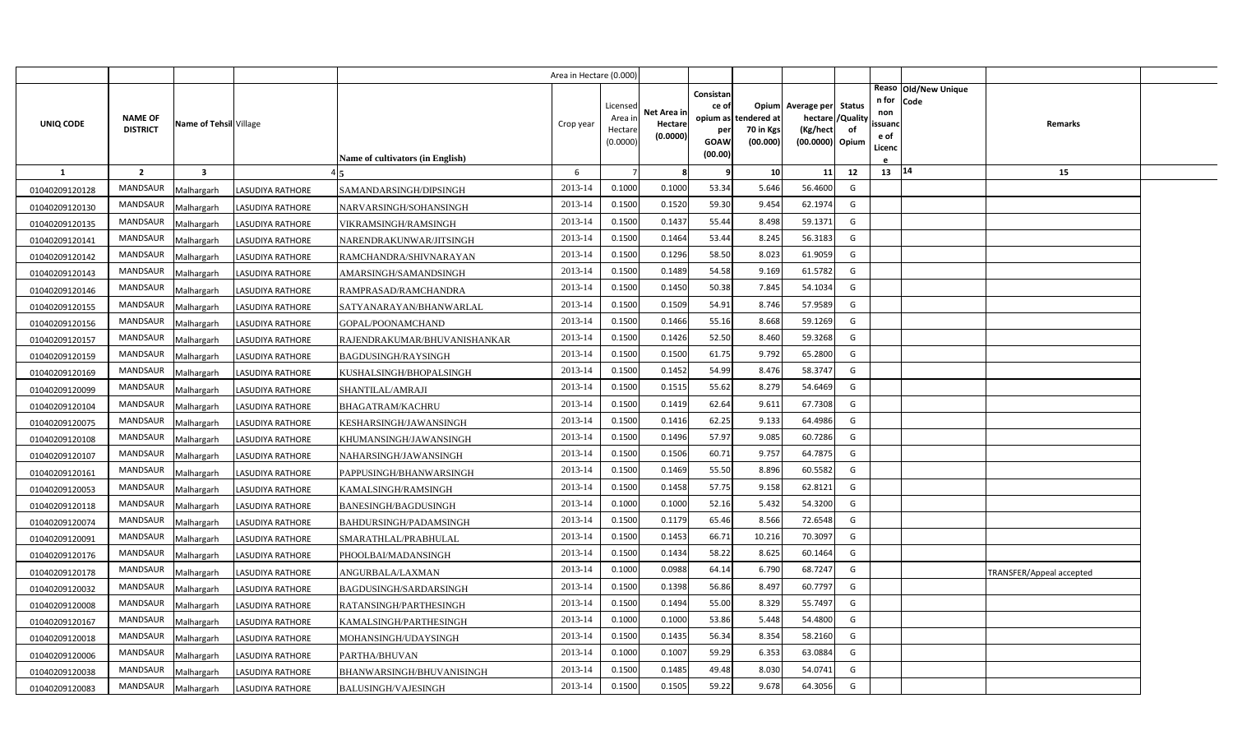|                |                                   |                         |                         |                                         | Area in Hectare (0.000 |                                            |                                    |                                                     |                                               |                                                                    |                |                                          |                              |                          |  |
|----------------|-----------------------------------|-------------------------|-------------------------|-----------------------------------------|------------------------|--------------------------------------------|------------------------------------|-----------------------------------------------------|-----------------------------------------------|--------------------------------------------------------------------|----------------|------------------------------------------|------------------------------|--------------------------|--|
| UNIQ CODE      | <b>NAME OF</b><br><b>DISTRICT</b> | Name of Tehsil Village  |                         | <b>Name of cultivators (in English)</b> | Crop year              | Licensed<br>Area in<br>Hectare<br>(0.0000) | Net Area in<br>Hectare<br>(0.0000) | Consistan<br>ce of<br>per<br><b>GOAW</b><br>(00.00) | opium as tendered at<br>70 in Kgs<br>(00.000) | Opium Average per Status<br>hectare<br>(Kg/hect<br>(00.0000) Opium | /Quality<br>of | n for<br>non<br>ssuanc<br>e of<br>Licenc | Reaso Old/New Unique<br>Code | Remarks                  |  |
| 1              | $\overline{2}$                    | $\overline{\mathbf{3}}$ |                         |                                         | 6                      |                                            | 8                                  | q                                                   | 10                                            | 11                                                                 | 12             | 13 14                                    |                              | 15                       |  |
| 01040209120128 | MANDSAUR                          | Malhargarh              | LASUDIYA RATHORE        | SAMANDARSINGH/DIPSINGH                  | 2013-14                | 0.1000                                     | 0.1000                             | 53.34                                               | 5.646                                         | 56.4600                                                            | G              |                                          |                              |                          |  |
| 01040209120130 | MANDSAUR                          | Malhargarh              | <b>LASUDIYA RATHORE</b> | NARVARSINGH/SOHANSINGH                  | 2013-14                | 0.1500                                     | 0.1520                             | 59.30                                               | 9.454                                         | 62.1974                                                            | G              |                                          |                              |                          |  |
| 01040209120135 | MANDSAUR                          | Malhargarh              | <b>LASUDIYA RATHORE</b> | VIKRAMSINGH/RAMSINGH                    | 2013-14                | 0.1500                                     | 0.1437                             | 55.44                                               | 8.498                                         | 59.1371                                                            | G              |                                          |                              |                          |  |
| 01040209120141 | <b>MANDSAUR</b>                   | Malhargarh              | LASUDIYA RATHORE        | NARENDRAKUNWAR/JITSINGH                 | 2013-14                | 0.1500                                     | 0.1464                             | 53.44                                               | 8.245                                         | 56.3183                                                            | G              |                                          |                              |                          |  |
| 01040209120142 | MANDSAUR                          | Malhargarh              | LASUDIYA RATHORE        | RAMCHANDRA/SHIVNARAYAN                  | 2013-14                | 0.1500                                     | 0.1296                             | 58.50                                               | 8.023                                         | 61.9059                                                            | G              |                                          |                              |                          |  |
| 01040209120143 | MANDSAUR                          | Malhargarh              | LASUDIYA RATHORE        | AMARSINGH/SAMANDSINGH                   | 2013-14                | 0.1500                                     | 0.1489                             | 54.58                                               | 9.169                                         | 61.5782                                                            | G              |                                          |                              |                          |  |
| 01040209120146 | MANDSAUR                          | Malhargarh              | <b>LASUDIYA RATHORE</b> | RAMPRASAD/RAMCHANDRA                    | 2013-14                | 0.1500                                     | 0.1450                             | 50.38                                               | 7.845                                         | 54.1034                                                            | G              |                                          |                              |                          |  |
| 01040209120155 | MANDSAUR                          | Malhargarh              | <b>LASUDIYA RATHORE</b> | SATYANARAYAN/BHANWARLAL                 | 2013-14                | 0.1500                                     | 0.1509                             | 54.91                                               | 8.746                                         | 57.9589                                                            | G              |                                          |                              |                          |  |
| 01040209120156 | <b>MANDSAUR</b>                   | Malhargarh              | <b>LASUDIYA RATHORE</b> | GOPAL/POONAMCHAND                       | 2013-14                | 0.1500                                     | 0.1466                             | 55.16                                               | 8.668                                         | 59.1269                                                            | G              |                                          |                              |                          |  |
| 01040209120157 | MANDSAUR                          | Malhargarh              | LASUDIYA RATHORE        | RAJENDRAKUMAR/BHUVANISHANKAR            | 2013-14                | 0.1500                                     | 0.1426                             | 52.50                                               | 8.460                                         | 59.3268                                                            | G              |                                          |                              |                          |  |
| 01040209120159 | MANDSAUR                          | Malhargarh              | <b>LASUDIYA RATHORE</b> | BAGDUSINGH/RAYSINGH                     | 2013-14                | 0.1500                                     | 0.1500                             | 61.75                                               | 9.792                                         | 65.2800                                                            | G              |                                          |                              |                          |  |
| 01040209120169 | <b>MANDSAUR</b>                   | Malhargarh              | <b>LASUDIYA RATHORE</b> | KUSHALSINGH/BHOPALSINGH                 | 2013-14                | 0.1500                                     | 0.1452                             | 54.99                                               | 8.476                                         | 58.3747                                                            | G              |                                          |                              |                          |  |
| 01040209120099 | MANDSAUR                          | Malhargarh              | LASUDIYA RATHORE        | SHANTILAL/AMRAJI                        | 2013-14                | 0.1500                                     | 0.1515                             | 55.62                                               | 8.279                                         | 54.6469                                                            | G              |                                          |                              |                          |  |
| 01040209120104 | MANDSAUR                          | Malhargarh              | LASUDIYA RATHORE        | <b>BHAGATRAM/KACHRU</b>                 | 2013-14                | 0.1500                                     | 0.1419                             | 62.64                                               | 9.611                                         | 67.7308                                                            | G              |                                          |                              |                          |  |
| 01040209120075 | MANDSAUR                          | Malhargarh              | LASUDIYA RATHORE        | KESHARSINGH/JAWANSINGH                  | 2013-14                | 0.1500                                     | 0.1416                             | 62.25                                               | 9.133                                         | 64.4986                                                            | G              |                                          |                              |                          |  |
| 01040209120108 | MANDSAUR                          | Malhargarh              | LASUDIYA RATHORE        | KHUMANSINGH/JAWANSINGH                  | 2013-14                | 0.1500                                     | 0.1496                             | 57.97                                               | 9.085                                         | 60.7286                                                            | G              |                                          |                              |                          |  |
| 01040209120107 | MANDSAUR                          | Malhargarh              | LASUDIYA RATHORE        | NAHARSINGH/JAWANSINGH                   | 2013-14                | 0.1500                                     | 0.1506                             | 60.71                                               | 9.757                                         | 64.7875                                                            | G              |                                          |                              |                          |  |
| 01040209120161 | MANDSAUR                          | Malhargarh              | LASUDIYA RATHORE        | PAPPUSINGH/BHANWARSINGH                 | 2013-14                | 0.1500                                     | 0.1469                             | 55.50                                               | 8.896                                         | 60.5582                                                            | G              |                                          |                              |                          |  |
| 01040209120053 | MANDSAUR                          | Malhargarh              | LASUDIYA RATHORE        | KAMALSINGH/RAMSINGH                     | 2013-14                | 0.1500                                     | 0.1458                             | 57.75                                               | 9.158                                         | 62.8121                                                            | G              |                                          |                              |                          |  |
| 01040209120118 | MANDSAUR                          | Malhargarh              | <b>LASUDIYA RATHORE</b> | BANESINGH/BAGDUSINGH                    | 2013-14                | 0.1000                                     | 0.1000                             | 52.16                                               | 5.432                                         | 54.3200                                                            | G              |                                          |                              |                          |  |
| 01040209120074 | MANDSAUR                          | Malhargarh              | <b>LASUDIYA RATHORE</b> | BAHDURSINGH/PADAMSINGH                  | 2013-14                | 0.1500                                     | 0.1179                             | 65.46                                               | 8.566                                         | 72.6548                                                            | G              |                                          |                              |                          |  |
| 01040209120091 | MANDSAUR                          | Malhargarh              | LASUDIYA RATHORE        | SMARATHLAL/PRABHULAL                    | 2013-14                | 0.1500                                     | 0.1453                             | 66.71                                               | 10.216                                        | 70.3097                                                            | G              |                                          |                              |                          |  |
| 01040209120176 | MANDSAUR                          | Malhargarh              | LASUDIYA RATHORE        | PHOOLBAI/MADANSINGH                     | 2013-14                | 0.1500                                     | 0.1434                             | 58.22                                               | 8.625                                         | 60.1464                                                            | G              |                                          |                              |                          |  |
| 01040209120178 | MANDSAUR                          | Malhargarh              | LASUDIYA RATHORE        | ANGURBALA/LAXMAN                        | 2013-14                | 0.1000                                     | 0.0988                             | 64.14                                               | 6.790                                         | 68.7247                                                            | G              |                                          |                              | TRANSFER/Appeal accepted |  |
| 01040209120032 | MANDSAUR                          | Malhargarh              | LASUDIYA RATHORE        | BAGDUSINGH/SARDARSINGH                  | 2013-14                | 0.1500                                     | 0.1398                             | 56.86                                               | 8.497                                         | 60.7797                                                            | G              |                                          |                              |                          |  |
| 01040209120008 | MANDSAUR                          | Malhargarh              | LASUDIYA RATHORE        | RATANSINGH/PARTHESINGH                  | 2013-14                | 0.1500                                     | 0.1494                             | 55.00                                               | 8.329                                         | 55.7497                                                            | G              |                                          |                              |                          |  |
| 01040209120167 | MANDSAUR                          | Malhargarh              | LASUDIYA RATHORE        | KAMALSINGH/PARTHESINGH                  | 2013-14                | 0.1000                                     | 0.1000                             | 53.86                                               | 5.448                                         | 54.4800                                                            | G              |                                          |                              |                          |  |
| 01040209120018 | MANDSAUR                          | Malhargarh              | <b>LASUDIYA RATHORE</b> | MOHANSINGH/UDAYSINGH                    | 2013-14                | 0.1500                                     | 0.1435                             | 56.34                                               | 8.354                                         | 58.2160                                                            | G              |                                          |                              |                          |  |
| 01040209120006 | MANDSAUR                          | Malhargarh              | <b>LASUDIYA RATHORE</b> | PARTHA/BHUVAN                           | 2013-14                | 0.1000                                     | 0.1007                             | 59.29                                               | 6.353                                         | 63.0884                                                            | G              |                                          |                              |                          |  |
| 01040209120038 | MANDSAUR                          | Malhargarh              | LASUDIYA RATHORE        | BHANWARSINGH/BHUVANISINGH               | 2013-14                | 0.1500                                     | 0.1485                             | 49.48                                               | 8.030                                         | 54.0741                                                            | G              |                                          |                              |                          |  |
| 01040209120083 | MANDSAUR                          | Malhargarh              | <b>LASUDIYA RATHORE</b> | <b>BALUSINGH/VAJESINGH</b>              | 2013-14                | 0.1500                                     | 0.1505                             | 59.22                                               | 9.678                                         | 64.3056                                                            | G              |                                          |                              |                          |  |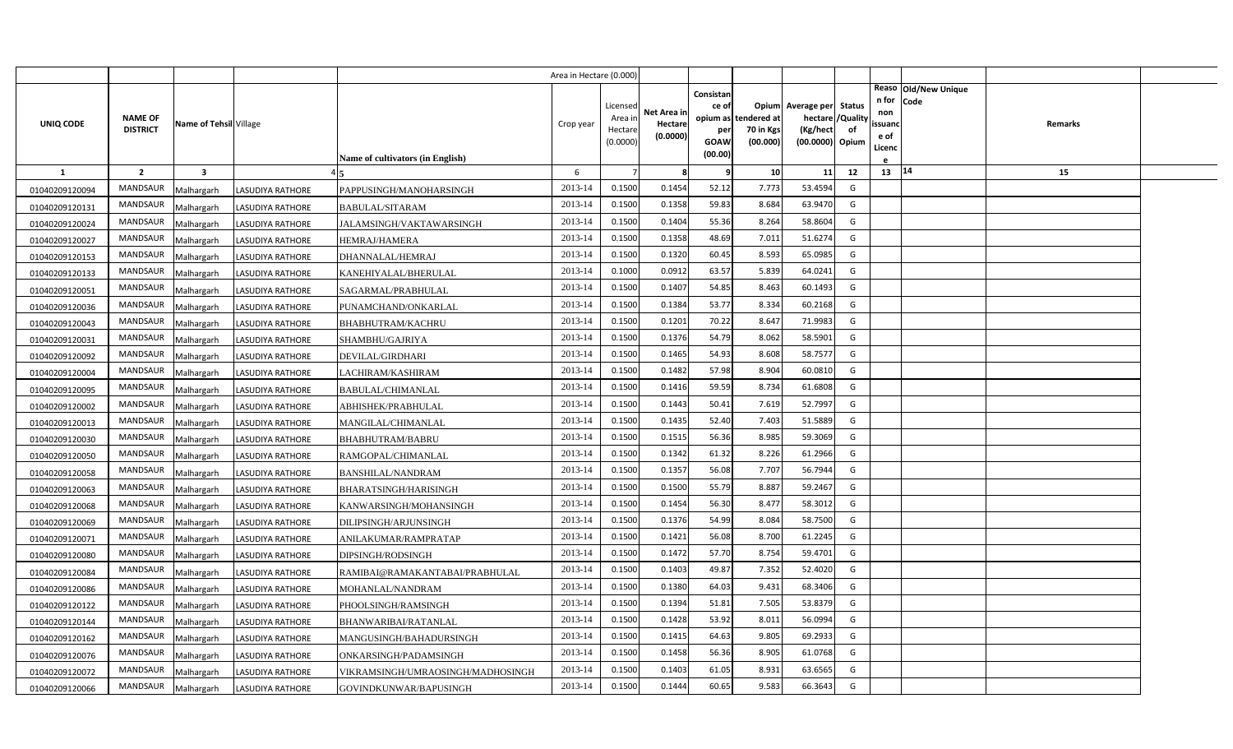|                |                                   |                         |                         |                                   | Area in Hectare (0.000) |                                            |                                    |                                                                 |                                      |                                                                              |    |                                               |                                 |  |
|----------------|-----------------------------------|-------------------------|-------------------------|-----------------------------------|-------------------------|--------------------------------------------|------------------------------------|-----------------------------------------------------------------|--------------------------------------|------------------------------------------------------------------------------|----|-----------------------------------------------|---------------------------------|--|
| UNIQ CODE      | <b>NAME OF</b><br><b>DISTRICT</b> | Name of Tehsil Village  |                         | Name of cultivators (in English)  | Crop year               | Licensed<br>Area ir<br>Hectare<br>(0.0000) | Net Area in<br>Hectare<br>(0.0000) | Consistan<br>ce of<br>opium as<br>per<br><b>GOAW</b><br>(00.00) | tendered at<br>70 in Kgs<br>(00.000) | Opium Average per Status<br>hectare / Quality<br>(Kg/hect<br>(00.0000) Opium | of | n for Code<br>non<br>ssuand<br>e of<br>Licenc | Reaso Old/New Unique<br>Remarks |  |
| 1              | $\overline{2}$                    | $\overline{\mathbf{3}}$ |                         |                                   | 6                       | $\overline{7}$                             | 8                                  | ę                                                               | 10 <sup>1</sup>                      | 11                                                                           | 12 | 13   14                                       | 15                              |  |
| 01040209120094 | MANDSAUR                          | Malhargarh              | <b>LASUDIYA RATHORE</b> | PAPPUSINGH/MANOHARSINGH           | 2013-14                 | 0.1500                                     | 0.1454                             | 52.12                                                           | 7.773                                | 53.4594                                                                      | G  |                                               |                                 |  |
| 01040209120131 | MANDSAUR                          | Malhargarh              | <b>LASUDIYA RATHORE</b> | BABULAL/SITARAM                   | 2013-14                 | 0.1500                                     | 0.1358                             | 59.83                                                           | 8.684                                | 63.9470                                                                      | G  |                                               |                                 |  |
| 01040209120024 | MANDSAUR                          | Malhargarh              | <b>LASUDIYA RATHORE</b> | JALAMSINGH/VAKTAWARSINGH          | 2013-14                 | 0.1500                                     | 0.1404                             | 55.36                                                           | 8.264                                | 58.8604                                                                      | G  |                                               |                                 |  |
| 01040209120027 | <b>MANDSAUR</b>                   | Malhargarh              | LASUDIYA RATHORE        | HEMRAJ/HAMERA                     | 2013-14                 | 0.1500                                     | 0.1358                             | 48.69                                                           | 7.011                                | 51.6274                                                                      | G  |                                               |                                 |  |
| 01040209120153 | MANDSAUR                          | Malhargarh              | LASUDIYA RATHORE        | DHANNALAL/HEMRAJ                  | 2013-14                 | 0.1500                                     | 0.1320                             | 60.45                                                           | 8.593                                | 65.0985                                                                      | G  |                                               |                                 |  |
| 01040209120133 | MANDSAUR                          | Malhargarh              | LASUDIYA RATHORE        | KANEHIYALAL/BHERULAL              | 2013-14                 | 0.1000                                     | 0.0912                             | 63.57                                                           | 5.839                                | 64.0241                                                                      | G  |                                               |                                 |  |
| 01040209120051 | MANDSAUR                          | Malhargarh              | LASUDIYA RATHORE        | SAGARMAL/PRABHULAL                | 2013-14                 | 0.1500                                     | 0.1407                             | 54.85                                                           | 8.463                                | 60.1493                                                                      | G  |                                               |                                 |  |
| 01040209120036 | MANDSAUR                          | Malhargarh              | <b>LASUDIYA RATHORE</b> | PUNAMCHAND/ONKARLAL               | 2013-14                 | 0.1500                                     | 0.1384                             | 53.77                                                           | 8.334                                | 60.2168                                                                      | G  |                                               |                                 |  |
| 01040209120043 | <b>MANDSAUR</b>                   | Malhargarh              | <b>LASUDIYA RATHORE</b> | BHABHUTRAM/KACHRU                 | 2013-14                 | 0.1500                                     | 0.1201                             | 70.22                                                           | 8.647                                | 71.9983                                                                      | G  |                                               |                                 |  |
| 01040209120031 | MANDSAUR                          | Malhargarh              | LASUDIYA RATHORE        | SHAMBHU/GAJRIYA                   | 2013-14                 | 0.1500                                     | 0.1376                             | 54.79                                                           | 8.062                                | 58.5901                                                                      | G  |                                               |                                 |  |
| 01040209120092 | MANDSAUR                          | Malhargarh              | <b>LASUDIYA RATHORE</b> | DEVILAL/GIRDHARI                  | 2013-14                 | 0.1500                                     | 0.1465                             | 54.93                                                           | 8.608                                | 58.7577                                                                      | G  |                                               |                                 |  |
| 01040209120004 | <b>MANDSAUR</b>                   | Malhargarh              | <b>LASUDIYA RATHORE</b> | LACHIRAM/KASHIRAM                 | 2013-14                 | 0.1500                                     | 0.1482                             | 57.98                                                           | 8.904                                | 60.0810                                                                      | G  |                                               |                                 |  |
| 01040209120095 | MANDSAUR                          | Malhargarh              | LASUDIYA RATHORE        | BABULAL/CHIMANLAL                 | 2013-14                 | 0.1500                                     | 0.1416                             | 59.59                                                           | 8.734                                | 61.6808                                                                      | G  |                                               |                                 |  |
| 01040209120002 | MANDSAUR                          | Malhargarh              | <b>LASUDIYA RATHORE</b> | ABHISHEK/PRABHULAL                | 2013-14                 | 0.1500                                     | 0.1443                             | 50.41                                                           | 7.619                                | 52.7997                                                                      | G  |                                               |                                 |  |
| 01040209120013 | MANDSAUR                          | Malhargarh              | LASUDIYA RATHORE        | MANGILAL/CHIMANLAL                | 2013-14                 | 0.1500                                     | 0.1435                             | 52.40                                                           | 7.403                                | 51.5889                                                                      | G  |                                               |                                 |  |
| 01040209120030 | MANDSAUR                          | Malhargarh              | LASUDIYA RATHORE        | BHABHUTRAM/BABRU                  | 2013-14                 | 0.1500                                     | 0.1515                             | 56.36                                                           | 8.985                                | 59.3069                                                                      | G  |                                               |                                 |  |
| 01040209120050 | MANDSAUR                          | Malhargarh              | LASUDIYA RATHORE        | RAMGOPAL/CHIMANLAL                | 2013-14                 | 0.1500                                     | 0.1342                             | 61.32                                                           | 8.226                                | 61.2966                                                                      | G  |                                               |                                 |  |
| 01040209120058 | MANDSAUR                          | Malhargarh              | LASUDIYA RATHORE        | <b>BANSHILAL/NANDRAM</b>          | 2013-14                 | 0.1500                                     | 0.1357                             | 56.08                                                           | 7.707                                | 56.7944                                                                      | G  |                                               |                                 |  |
| 01040209120063 | MANDSAUR                          | Malhargarh              | LASUDIYA RATHORE        | BHARATSINGH/HARISINGH             | 2013-14                 | 0.1500                                     | 0.1500                             | 55.79                                                           | 8.887                                | 59.2467                                                                      | G  |                                               |                                 |  |
| 01040209120068 | MANDSAUR                          | Malhargarh              | LASUDIYA RATHORE        | KANWARSINGH/MOHANSINGH            | 2013-14                 | 0.1500                                     | 0.1454                             | 56.30                                                           | 8.477                                | 58.3012                                                                      | G  |                                               |                                 |  |
| 01040209120069 | MANDSAUR                          | Malhargarh              | <b>LASUDIYA RATHORE</b> | DILIPSINGH/ARJUNSINGH             | 2013-14                 | 0.1500                                     | 0.1376                             | 54.99                                                           | 8.084                                | 58.7500                                                                      | G  |                                               |                                 |  |
| 01040209120071 | MANDSAUR                          | Malhargarh              | LASUDIYA RATHORE        | ANILAKUMAR/RAMPRATAP              | 2013-14                 | 0.1500                                     | 0.1421                             | 56.08                                                           | 8.700                                | 61.2245                                                                      | G  |                                               |                                 |  |
| 01040209120080 | MANDSAUR                          | Malhargarh              | LASUDIYA RATHORE        | DIPSINGH/RODSINGH                 | 2013-14                 | 0.1500                                     | 0.1472                             | 57.70                                                           | 8.754                                | 59.4701                                                                      | G  |                                               |                                 |  |
| 01040209120084 | MANDSAUR                          | Malhargarh              | LASUDIYA RATHORE        | RAMIBAI@RAMAKANTABAI/PRABHULAL    | 2013-14                 | 0.1500                                     | 0.1403                             | 49.87                                                           | 7.352                                | 52.4020                                                                      | G  |                                               |                                 |  |
| 01040209120086 | MANDSAUR                          | Malhargarh              | LASUDIYA RATHORE        | MOHANLAL/NANDRAM                  | 2013-14                 | 0.1500                                     | 0.1380                             | 64.03                                                           | 9.431                                | 68.3406                                                                      | G  |                                               |                                 |  |
| 01040209120122 | MANDSAUR                          | Malhargarh              | LASUDIYA RATHORE        | PHOOLSINGH/RAMSINGH               | 2013-14                 | 0.1500                                     | 0.1394                             | 51.81                                                           | 7.505                                | 53.8379                                                                      | G  |                                               |                                 |  |
| 01040209120144 | MANDSAUR                          | Malhargarh              | LASUDIYA RATHORE        | BHANWARIBAI/RATANLAL              | 2013-14                 | 0.1500                                     | 0.1428                             | 53.92                                                           | 8.011                                | 56.0994                                                                      | G  |                                               |                                 |  |
| 01040209120162 | MANDSAUR                          | Malhargarh              | <b>LASUDIYA RATHORE</b> | MANGUSINGH/BAHADURSINGH           | 2013-14                 | 0.1500                                     | 0.1415                             | 64.63                                                           | 9.805                                | 69.2933                                                                      | G  |                                               |                                 |  |
| 01040209120076 | MANDSAUR                          | Malhargarh              | LASUDIYA RATHORE        | ONKARSINGH/PADAMSINGH             | 2013-14                 | 0.1500                                     | 0.1458                             | 56.36                                                           | 8.905                                | 61.0768                                                                      | G  |                                               |                                 |  |
| 01040209120072 | MANDSAUR                          | Malhargarh              | <b>LASUDIYA RATHORE</b> | VIKRAMSINGH/UMRAOSINGH/MADHOSINGH | 2013-14                 | 0.1500                                     | 0.1403                             | 61.05                                                           | 8.931                                | 63.6565                                                                      | G  |                                               |                                 |  |
| 01040209120066 | MANDSAUR                          | Malhargarh              | <b>LASUDIYA RATHORE</b> | GOVINDKUNWAR/BAPUSINGH            | 2013-14                 | 0.1500                                     | 0.1444                             | 60.65                                                           | 9.583                                | 66.3643                                                                      | G  |                                               |                                 |  |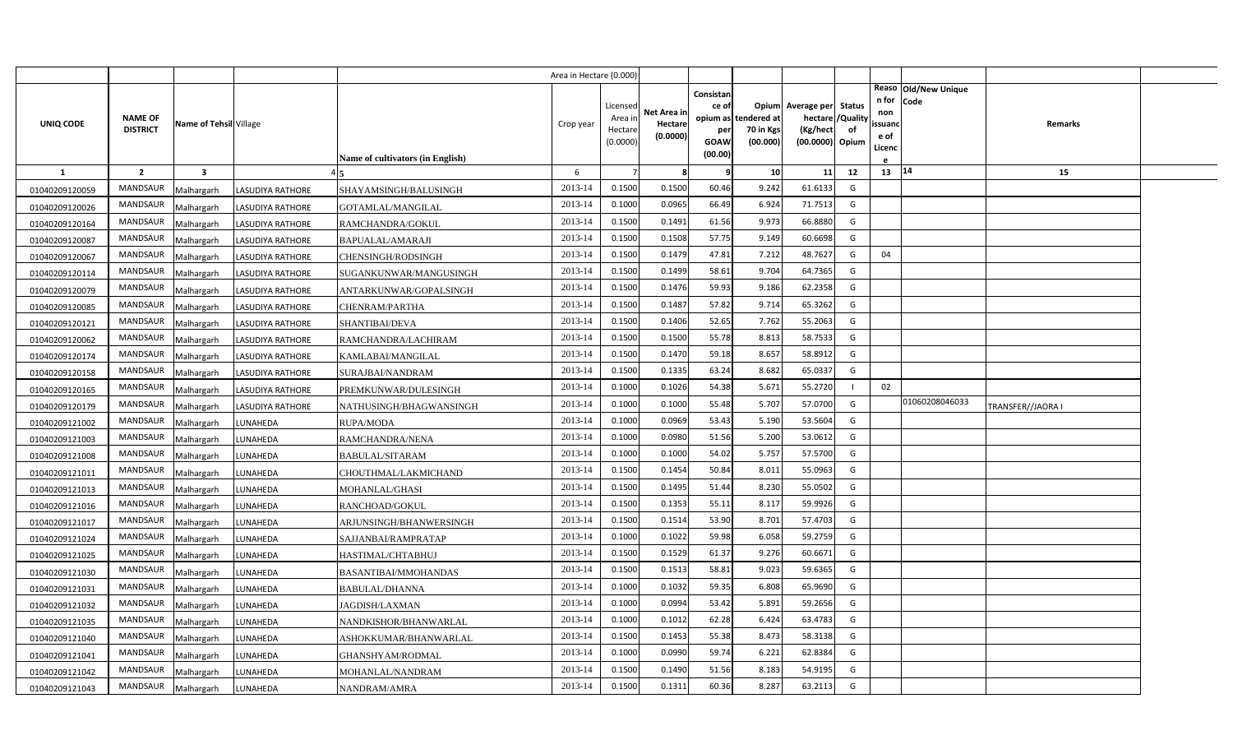|                |                                   |                         |                         |                                  | Area in Hectare (0.000 |                                           |                                    |                                                          |                                      |                                                                       |                     |                                          |                                |                   |  |
|----------------|-----------------------------------|-------------------------|-------------------------|----------------------------------|------------------------|-------------------------------------------|------------------------------------|----------------------------------------------------------|--------------------------------------|-----------------------------------------------------------------------|---------------------|------------------------------------------|--------------------------------|-------------------|--|
| UNIQ CODE      | <b>NAME OF</b><br><b>DISTRICT</b> | Name of Tehsil Village  |                         | Name of cultivators (in English) | Crop year              | Licensed<br>Area in<br>Hectar<br>(0.0000) | Net Area in<br>Hectare<br>(0.0000) | Consistan<br>ce of<br>opium as<br>per<br>GOAW<br>(00.00) | tendered at<br>70 in Kgs<br>(00.000) | Opium Average per<br>hectare / Quality<br>(Kg/hect<br>(00.0000) Opium | <b>Status</b><br>of | n for<br>non<br>ssuand<br>e of<br>Licenc | Reaso   Old/New Unique<br>Code | Remarks           |  |
| -1             | $\overline{2}$                    | $\overline{\mathbf{3}}$ |                         |                                  | 6                      |                                           | 8                                  | q                                                        | 10                                   | 11                                                                    | 12                  | 13   14                                  |                                | 15                |  |
| 01040209120059 | MANDSAUR                          | Malhargarh              | LASUDIYA RATHORE        | SHAYAMSINGH/BALUSINGH            | 2013-14                | 0.1500                                    | 0.1500                             | 60.46                                                    | 9.242                                | 61.6133                                                               | G                   |                                          |                                |                   |  |
| 01040209120026 | <b>MANDSAUR</b>                   | Malhargarh              | <b>LASUDIYA RATHORE</b> | GOTAMLAL/MANGILAL                | 2013-14                | 0.1000                                    | 0.0965                             | 66.49                                                    | 6.924                                | 71.7513                                                               | G                   |                                          |                                |                   |  |
| 01040209120164 | MANDSAUR                          | Malhargarh              | <b>LASUDIYA RATHORE</b> | RAMCHANDRA/GOKUL                 | 2013-14                | 0.1500                                    | 0.1491                             | 61.56                                                    | 9.973                                | 66.8880                                                               | G                   |                                          |                                |                   |  |
| 01040209120087 | MANDSAUR                          | Malhargarh              | LASUDIYA RATHORE        | BAPUALAL/AMARAJI                 | 2013-14                | 0.1500                                    | 0.1508                             | 57.75                                                    | 9.149                                | 60.6698                                                               | G                   |                                          |                                |                   |  |
| 01040209120067 | <b>MANDSAUR</b>                   | Malhargarh              | <b>LASUDIYA RATHORE</b> | CHENSINGH/RODSINGH               | 2013-14                | 0.1500                                    | 0.1479                             | 47.81                                                    | 7.212                                | 48.7627                                                               | G                   | 04                                       |                                |                   |  |
| 01040209120114 | MANDSAUR                          | Malhargarh              | LASUDIYA RATHORE        | SUGANKUNWAR/MANGUSINGH           | 2013-14                | 0.1500                                    | 0.1499                             | 58.61                                                    | 9.704                                | 64.7365                                                               | G                   |                                          |                                |                   |  |
| 01040209120079 | MANDSAUR                          | Malhargarh              | LASUDIYA RATHORE        | ANTARKUNWAR/GOPALSINGH           | 2013-14                | 0.1500                                    | 0.1476                             | 59.93                                                    | 9.186                                | 62.2358                                                               | G                   |                                          |                                |                   |  |
| 01040209120085 | MANDSAUR                          | Malhargarh              | <b>LASUDIYA RATHORE</b> | CHENRAM/PARTHA                   | 2013-14                | 0.1500                                    | 0.1487                             | 57.82                                                    | 9.714                                | 65.3262                                                               | G                   |                                          |                                |                   |  |
| 01040209120121 | <b>MANDSAUR</b>                   | Malhargarh              | LASUDIYA RATHORE        | SHANTIBAI/DEVA                   | 2013-14                | 0.1500                                    | 0.1406                             | 52.65                                                    | 7.762                                | 55.2063                                                               | G                   |                                          |                                |                   |  |
| 01040209120062 | MANDSAUR                          | Malhargarh              | <b>LASUDIYA RATHORE</b> | RAMCHANDRA/LACHIRAM              | 2013-14                | 0.1500                                    | 0.1500                             | 55.78                                                    | 8.81                                 | 58.7533                                                               | G                   |                                          |                                |                   |  |
| 01040209120174 | MANDSAUR                          | Malhargarh              | <b>LASUDIYA RATHORE</b> | KAMLABAI/MANGILAL                | 2013-14                | 0.1500                                    | 0.1470                             | 59.18                                                    | 8.657                                | 58.8912                                                               | G                   |                                          |                                |                   |  |
| 01040209120158 | MANDSAUR                          | Malhargarh              | <b>LASUDIYA RATHORE</b> | SURAJBAI/NANDRAM                 | 2013-14                | 0.1500                                    | 0.1335                             | 63.24                                                    | 8.682                                | 65.0337                                                               | G                   |                                          |                                |                   |  |
| 01040209120165 | <b>MANDSAUR</b>                   | Malhargarh              | LASUDIYA RATHORE        | PREMKUNWAR/DULESINGH             | 2013-14                | 0.1000                                    | 0.1026                             | 54.38                                                    | 5.67                                 | 55.2720                                                               |                     | 02                                       |                                |                   |  |
| 01040209120179 | MANDSAUR                          | Malhargarh              | <b>LASUDIYA RATHORE</b> | NATHUSINGH/BHAGWANSINGH          | 2013-14                | 0.1000                                    | 0.1000                             | 55.48                                                    | 5.707                                | 57.0700                                                               | G                   |                                          | 01060208046033                 | TRANSFER//JAORA I |  |
| 01040209121002 | <b>MANDSAUR</b>                   | Malhargarh              | LUNAHEDA                | <b>RUPA/MODA</b>                 | 2013-14                | 0.1000                                    | 0.0969                             | 53.43                                                    | 5.190                                | 53.5604                                                               | G                   |                                          |                                |                   |  |
| 01040209121003 | MANDSAUR                          | Malhargarh              | <b>UNAHEDA</b>          | RAMCHANDRA/NENA                  | 2013-14                | 0.1000                                    | 0.0980                             | 51.56                                                    | 5.200                                | 53.0612                                                               | G                   |                                          |                                |                   |  |
| 01040209121008 | <b>MANDSAUR</b>                   | Malhargarh              | UNAHEDA                 | <b>BABULAL/SITARAM</b>           | 2013-14                | 0.1000                                    | 0.1000                             | 54.02                                                    | 5.757                                | 57.5700                                                               | G                   |                                          |                                |                   |  |
| 01040209121011 | MANDSAUR                          | Malhargarh              | UNAHEDA                 | CHOUTHMAL/LAKMICHAND             | 2013-14                | 0.1500                                    | 0.1454                             | 50.84                                                    | 8.01                                 | 55.0963                                                               | G                   |                                          |                                |                   |  |
| 01040209121013 | <b>MANDSAUR</b>                   | Malhargarh              | UNAHEDA                 | MOHANLAL/GHASI                   | 2013-14                | 0.1500                                    | 0.1495                             | 51.44                                                    | 8.230                                | 55.0502                                                               | G                   |                                          |                                |                   |  |
| 01040209121016 | MANDSAUR                          | Malhargarh              | UNAHEDA                 | RANCHOAD/GOKUL                   | 2013-14                | 0.1500                                    | 0.1353                             | 55.11                                                    | 8.117                                | 59.9926                                                               | G                   |                                          |                                |                   |  |
| 01040209121017 | MANDSAUR                          | Malhargarh              | UNAHEDA                 | ARJUNSINGH/BHANWERSINGH          | 2013-14                | 0.1500                                    | 0.1514                             | 53.90                                                    | 8.701                                | 57.4703                                                               | G                   |                                          |                                |                   |  |
| 01040209121024 | MANDSAUR                          | Malhargarh              | <b>UNAHEDA</b>          | SAJJANBAI/RAMPRATAP              | 2013-14                | 0.1000                                    | 0.1022                             | 59.98                                                    | 6.058                                | 59.2759                                                               | G                   |                                          |                                |                   |  |
| 01040209121025 | MANDSAUR                          | Malhargarh              | UNAHEDA                 | HASTIMAL/CHTABHUJ                | 2013-14                | 0.1500                                    | 0.1529                             | 61.37                                                    | 9.276                                | 60.6671                                                               | G                   |                                          |                                |                   |  |
| 01040209121030 | MANDSAUR                          | Malhargarh              | LUNAHEDA                | BASANTIBAI/MMOHANDAS             | 2013-14                | 0.1500                                    | 0.1513                             | 58.81                                                    | 9.023                                | 59.6365                                                               | G                   |                                          |                                |                   |  |
| 01040209121031 | MANDSAUR                          | Malhargarh              | LUNAHEDA                | BABULAL/DHANNA                   | 2013-14                | 0.1000                                    | 0.1032                             | 59.35                                                    | 6.808                                | 65.9690                                                               | G                   |                                          |                                |                   |  |
| 01040209121032 | MANDSAUR                          | Malhargarh              | UNAHEDA                 | JAGDISH/LAXMAN                   | 2013-14                | 0.1000                                    | 0.0994                             | 53.42                                                    | 5.891                                | 59.2656                                                               | G                   |                                          |                                |                   |  |
| 01040209121035 | MANDSAUR                          | Malhargarh              | UNAHEDA                 | NANDKISHOR/BHANWARLAL            | 2013-14                | 0.1000                                    | 0.1012                             | 62.28                                                    | 6.424                                | 63.4783                                                               | G                   |                                          |                                |                   |  |
| 01040209121040 | MANDSAUR                          | Malhargarh              | UNAHEDA                 | ASHOKKUMAR/BHANWARLAL            | 2013-14                | 0.1500                                    | 0.1453                             | 55.38                                                    | 8.473                                | 58.3138                                                               | G                   |                                          |                                |                   |  |
| 01040209121041 | MANDSAUR                          | Malhargarh              | UNAHEDA.                | GHANSHYAM/RODMAL                 | 2013-14                | 0.1000                                    | 0.0990                             | 59.74                                                    | 6.221                                | 62.8384                                                               | G                   |                                          |                                |                   |  |
| 01040209121042 | MANDSAUR                          | Malhargarh              | UNAHEDA                 | MOHANLAL/NANDRAM                 | 2013-14                | 0.1500                                    | 0.1490                             | 51.56                                                    | 8.183                                | 54.9195                                                               | G                   |                                          |                                |                   |  |
| 01040209121043 | MANDSAUR                          | Malhargarh              | LUNAHEDA                | NANDRAM/AMRA                     | 2013-14                | 0.1500                                    | 0.1311                             | 60.36                                                    | 8.287                                | 63.2113                                                               | G                   |                                          |                                |                   |  |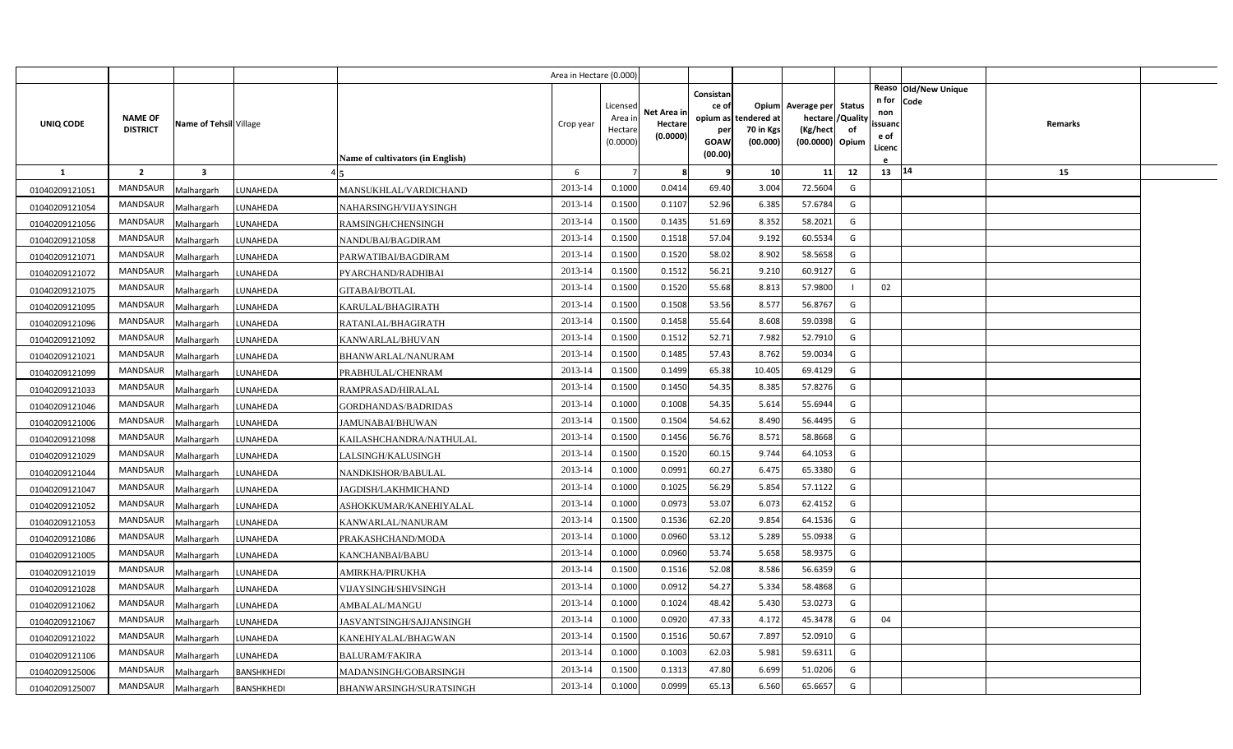|                  |                                   |                         |                   |                                  | Area in Hectare (0.000) |                   |             |                 |                          |                          |                |                |                      |         |  |
|------------------|-----------------------------------|-------------------------|-------------------|----------------------------------|-------------------------|-------------------|-------------|-----------------|--------------------------|--------------------------|----------------|----------------|----------------------|---------|--|
|                  |                                   |                         |                   |                                  |                         |                   |             | Consistan       |                          |                          |                |                | Reaso Old/New Unique |         |  |
|                  |                                   |                         |                   |                                  |                         | Licensed          | Net Area ir | ce of           |                          | Opium Average per Status |                | n for<br>non   | Code                 |         |  |
| <b>UNIQ CODE</b> | <b>NAME OF</b><br><b>DISTRICT</b> | Name of Tehsil Village  |                   |                                  | Crop year               | Area ir<br>Hectar | Hectare     | opium as<br>per | tendered at<br>70 in Kgs | hectare<br>(Kg/hect      | /Quality<br>of | ssuand         |                      | Remarks |  |
|                  |                                   |                         |                   |                                  |                         | (0.0000)          | (0.0000)    | GOAW            | (00.000)                 | (00.0000) Opium          |                | e of<br>Licenc |                      |         |  |
|                  |                                   |                         |                   | Name of cultivators (in English) |                         |                   |             | (00.00)         |                          |                          |                |                |                      |         |  |
| $\mathbf{1}$     | $\overline{2}$                    | $\overline{\mathbf{3}}$ |                   |                                  | 6                       |                   | 8           | q               | 10                       | 11                       | 12             | 13 14          |                      | 15      |  |
| 01040209121051   | MANDSAUR                          | Malhargarh              | UNAHEDA           | MANSUKHLAL/VARDICHAND            | 2013-14                 | 0.1000            | 0.0414      | 69.40           | 3.004                    | 72.5604                  | G              |                |                      |         |  |
| 01040209121054   | MANDSAUR                          | Malhargarh              | LUNAHEDA          | NAHARSINGH/VIJAYSINGH            | 2013-14                 | 0.1500            | 0.1107      | 52.96           | 6.385                    | 57.6784                  | G              |                |                      |         |  |
| 01040209121056   | MANDSAUR                          | Malhargarh              | LUNAHEDA          | RAMSINGH/CHENSINGH               | 2013-14                 | 0.1500            | 0.1435      | 51.69           | 8.352                    | 58.2021                  | G              |                |                      |         |  |
| 01040209121058   | MANDSAUR                          | Malhargarh              | LUNAHEDA          | NANDUBAI/BAGDIRAM                | 2013-14                 | 0.1500            | 0.1518      | 57.04           | 9.192                    | 60.5534                  | G              |                |                      |         |  |
| 01040209121071   | <b>MANDSAUR</b>                   | Malhargarh              | LUNAHEDA          | PARWATIBAI/BAGDIRAM              | 2013-14                 | 0.1500            | 0.1520      | 58.02           | 8.902                    | 58.5658                  | G              |                |                      |         |  |
| 01040209121072   | MANDSAUR                          | Malhargarh              | LUNAHEDA          | PYARCHAND/RADHIBAI               | 2013-14                 | 0.1500            | 0.1512      | 56.21           | 9.210                    | 60.9127                  | G              |                |                      |         |  |
| 01040209121075   | <b>MANDSAUR</b>                   | Malhargarh              | UNAHEDA           | <b>GITABAI/BOTLAL</b>            | 2013-14                 | 0.1500            | 0.1520      | 55.68           | 8.813                    | 57.9800                  |                | 02             |                      |         |  |
| 01040209121095   | <b>MANDSAUR</b>                   | Malhargarh              | UNAHEDA           | KARULAL/BHAGIRATH                | 2013-14                 | 0.1500            | 0.1508      | 53.56           | 8.577                    | 56.8767                  | G              |                |                      |         |  |
| 01040209121096   | MANDSAUR                          | Malhargarh              | LUNAHEDA          | RATANLAL/BHAGIRATH               | 2013-14                 | 0.1500            | 0.1458      | 55.64           | 8.608                    | 59.0398                  | G              |                |                      |         |  |
| 01040209121092   | MANDSAUR                          | Malhargarh              | LUNAHEDA          | KANWARLAL/BHUVAN                 | 2013-14                 | 0.1500            | 0.1512      | 52.71           | 7.982                    | 52.7910                  | G              |                |                      |         |  |
| 01040209121021   | MANDSAUR                          | Malhargarh              | UNAHEDA           | BHANWARLAL/NANURAM               | 2013-14                 | 0.1500            | 0.1485      | 57.43           | 8.762                    | 59.0034                  | G              |                |                      |         |  |
| 01040209121099   | <b>MANDSAUR</b>                   | Malhargarh              | UNAHEDA           | PRABHULAL/CHENRAM                | 2013-14                 | 0.1500            | 0.1499      | 65.38           | 10.405                   | 69.4129                  | G              |                |                      |         |  |
| 01040209121033   | MANDSAUR                          | Malhargarh              | LUNAHEDA          | RAMPRASAD/HIRALAL                | 2013-14                 | 0.1500            | 0.1450      | 54.35           | 8.385                    | 57.8276                  | G              |                |                      |         |  |
| 01040209121046   | <b>MANDSAUR</b>                   | Malhargarh              | LUNAHEDA          | GORDHANDAS/BADRIDAS              | 2013-14                 | 0.1000            | 0.1008      | 54.35           | 5.614                    | 55.6944                  | G              |                |                      |         |  |
| 01040209121006   | MANDSAUR                          | Malhargarh              | LUNAHEDA          | JAMUNABAI/BHUWAN                 | 2013-14                 | 0.1500            | 0.1504      | 54.62           | 8.490                    | 56.4495                  | G              |                |                      |         |  |
| 01040209121098   | MANDSAUR                          | Malhargarh              | UNAHEDA           | KAILASHCHANDRA/NATHULAL          | 2013-14                 | 0.1500            | 0.1456      | 56.76           | 8.571                    | 58.8668                  | G              |                |                      |         |  |
| 01040209121029   | MANDSAUR                          | Malhargarh              | UNAHEDA           | LALSINGH/KALUSINGH               | 2013-14                 | 0.1500            | 0.1520      | 60.15           | 9.744                    | 64.1053                  | G              |                |                      |         |  |
| 01040209121044   | MANDSAUR                          | Malhargarh              | UNAHEDA           | NANDKISHOR/BABULAL               | 2013-14                 | 0.1000            | 0.0991      | 60.27           | 6.475                    | 65.3380                  | G              |                |                      |         |  |
| 01040209121047   | MANDSAUR                          | Malhargarh              | UNAHEDA           | JAGDISH/LAKHMICHAND              | 2013-14                 | 0.1000            | 0.1025      | 56.29           | 5.854                    | 57.1122                  | G              |                |                      |         |  |
| 01040209121052   | MANDSAUR                          | Malhargarh              | UNAHEDA           | ASHOKKUMAR/KANEHIYALAL           | 2013-14                 | 0.1000            | 0.0973      | 53.07           | 6.073                    | 62.4152                  | G              |                |                      |         |  |
| 01040209121053   | MANDSAUR                          | Malhargarh              | UNAHEDA           | KANWARLAL/NANURAM                | 2013-14                 | 0.1500            | 0.1536      | 62.20           | 9.854                    | 64.1536                  | G              |                |                      |         |  |
| 01040209121086   | MANDSAUR                          | Malhargarh              | UNAHEDA           | PRAKASHCHAND/MODA                | 2013-14                 | 0.1000            | 0.0960      | 53.12           | 5.289                    | 55.0938                  | G              |                |                      |         |  |
| 01040209121005   | MANDSAUR                          | Malhargarh              | UNAHEDA           | KANCHANBAI/BABU                  | 2013-14                 | 0.1000            | 0.0960      | 53.74           | 5.658                    | 58.9375                  | G              |                |                      |         |  |
| 01040209121019   | MANDSAUR                          | Malhargarh              | LUNAHEDA          | AMIRKHA/PIRUKHA                  | 2013-14                 | 0.1500            | 0.1516      | 52.08           | 8.586                    | 56.6359                  | G              |                |                      |         |  |
| 01040209121028   | MANDSAUR                          | Malhargarh              | <b>UNAHEDA</b>    | VIJAYSINGH/SHIVSINGH             | 2013-14                 | 0.1000            | 0.0912      | 54.27           | 5.334                    | 58.4868                  | G              |                |                      |         |  |
| 01040209121062   | MANDSAUR                          | Malhargarh              | <b>UNAHEDA</b>    | AMBALAL/MANGU                    | 2013-14                 | 0.1000            | 0.1024      | 48.42           | 5.430                    | 53.0273                  | G              |                |                      |         |  |
| 01040209121067   | MANDSAUR                          | Malhargarh              | UNAHEDA           | JASVANTSINGH/SAJJANSINGH         | 2013-14                 | 0.1000            | 0.092       | 47.33           | 4.172                    | 45.3478                  | G              | 04             |                      |         |  |
| 01040209121022   | MANDSAUR                          | Malhargarh              | <b>UNAHEDA</b>    | KANEHIYALAL/BHAGWAN              | 2013-14                 | 0.1500            | 0.1516      | 50.67           | 7.897                    | 52.0910                  | G              |                |                      |         |  |
| 01040209121106   | MANDSAUR                          | Malhargarh              | UNAHEDA.          | <b>BALURAM/FAKIRA</b>            | 2013-14                 | 0.1000            | 0.1003      | 62.03           | 5.981                    | 59.6311                  | G              |                |                      |         |  |
| 01040209125006   | <b>MANDSAUR</b>                   | Malhargarh              | BANSHKHEDI        | MADANSINGH/GOBARSINGH            | 2013-14                 | 0.1500            | 0.1313      | 47.80           | 6.699                    | 51.0206                  | G              |                |                      |         |  |
| 01040209125007   | MANDSAUR                          | Malhargarh              | <b>BANSHKHEDI</b> | BHANWARSINGH/SURATSINGH          | 2013-14                 | 0.1000            | 0.0999      | 65.13           | 6.560                    | 65.6657                  | G              |                |                      |         |  |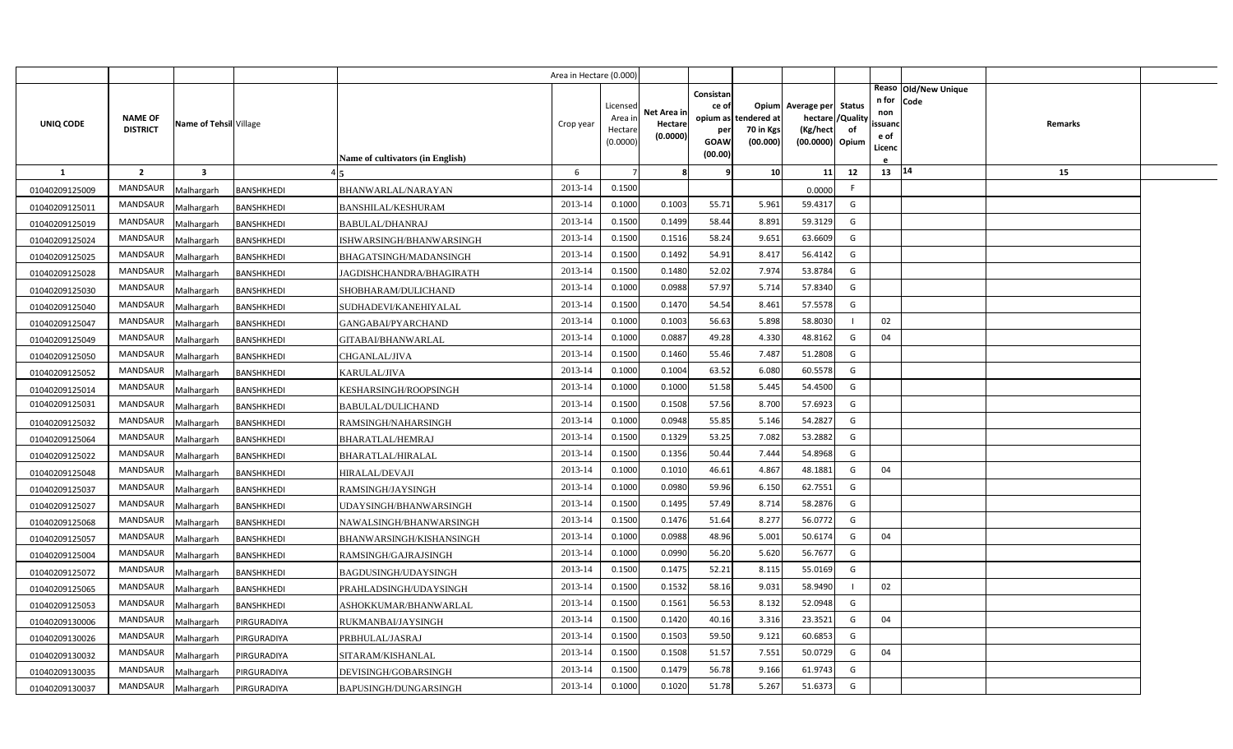|                |                                   |                         |                   |                                  | Area in Hectare (0.000) |                     |             |             |                       |                             |    |                   |                      |  |
|----------------|-----------------------------------|-------------------------|-------------------|----------------------------------|-------------------------|---------------------|-------------|-------------|-----------------------|-----------------------------|----|-------------------|----------------------|--|
|                |                                   |                         |                   |                                  |                         |                     |             | Consistan   |                       |                             |    |                   | Reaso Old/New Unique |  |
|                |                                   |                         |                   |                                  |                         | Licensed            | Net Area in | ce of       |                       | Opium Average per Status    |    | n for Code<br>non |                      |  |
| UNIQ CODE      | <b>NAME OF</b><br><b>DISTRICT</b> | Name of Tehsil Village  |                   |                                  | Crop year               | Area ir             | Hectare     | opium as    | tendered at           | hectare / Quality           |    | ssuanc            | Remarks              |  |
|                |                                   |                         |                   |                                  |                         | Hectare<br>(0.0000) | (0.0000)    | per<br>GOAW | 70 in Kgs<br>(00.000) | (Kg/hect<br>(00.0000) Opium | of | e of              |                      |  |
|                |                                   |                         |                   | Name of cultivators (in English) |                         |                     |             | (00.00)     |                       |                             |    | Licenc            |                      |  |
| -1             | $\overline{2}$                    | $\overline{\mathbf{3}}$ |                   |                                  | 6                       | $\overline{7}$      | 8           | ę           | 10 <sup>1</sup>       | 11                          | 12 | 13   14           | 15                   |  |
| 01040209125009 | MANDSAUR                          | Malhargarh              | BANSHKHEDI        | BHANWARLAL/NARAYAN               | 2013-14                 | 0.1500              |             |             |                       | 0.0000                      | F. |                   |                      |  |
| 01040209125011 | <b>MANDSAUR</b>                   | Malhargarh              | <b>BANSHKHEDI</b> | BANSHILAL/KESHURAM               | 2013-14                 | 0.1000              | 0.1003      | 55.71       | 5.961                 | 59.4317                     | G  |                   |                      |  |
| 01040209125019 | MANDSAUR                          | Malhargarh              | BANSHKHEDI        | BABULAL/DHANRAJ                  | 2013-14                 | 0.1500              | 0.1499      | 58.44       | 8.891                 | 59.3129                     | G  |                   |                      |  |
| 01040209125024 | MANDSAUR                          | Malhargarh              | <b>BANSHKHEDI</b> | ISHWARSINGH/BHANWARSINGH         | 2013-14                 | 0.1500              | 0.1516      | 58.24       | 9.651                 | 63.6609                     | G  |                   |                      |  |
| 01040209125025 | <b>MANDSAUR</b>                   | Malhargarh              | BANSHKHEDI        | BHAGATSINGH/MADANSINGH           | 2013-14                 | 0.1500              | 0.1492      | 54.91       | 8.417                 | 56.4142                     | G  |                   |                      |  |
| 01040209125028 | MANDSAUR                          | Malhargarh              | <b>BANSHKHEDI</b> | JAGDISHCHANDRA/BHAGIRATH         | 2013-14                 | 0.1500              | 0.1480      | 52.02       | 7.974                 | 53.8784                     | G  |                   |                      |  |
| 01040209125030 | <b>MANDSAUR</b>                   | Malhargarh              | BANSHKHEDI        | SHOBHARAM/DULICHAND              | 2013-14                 | 0.1000              | 0.0988      | 57.97       | 5.714                 | 57.8340                     | G  |                   |                      |  |
| 01040209125040 | MANDSAUR                          | Malhargarh              | <b>BANSHKHEDI</b> | SUDHADEVI/KANEHIYALAL            | 2013-14                 | 0.1500              | 0.1470      | 54.54       | 8.461                 | 57.5578                     | G  |                   |                      |  |
| 01040209125047 | MANDSAUR                          | Malhargarh              | BANSHKHEDI        | GANGABAI/PYARCHAND               | 2013-14                 | 0.1000              | 0.1003      | 56.63       | 5.898                 | 58.8030                     |    | 02                |                      |  |
| 01040209125049 | MANDSAUR                          | Malhargarh              | <b>BANSHKHEDI</b> | GITABAI/BHANWARLAL               | 2013-14                 | 0.1000              | 0.0887      | 49.28       | 4.330                 | 48.8162                     | G  | 04                |                      |  |
| 01040209125050 | <b>MANDSAUR</b>                   | Malhargarh              | BANSHKHEDI        | CHGANLAL/JIVA                    | 2013-14                 | 0.1500              | 0.1460      | 55.46       | 7.487                 | 51.2808                     | G  |                   |                      |  |
| 01040209125052 | MANDSAUR                          | Malhargarh              | BANSHKHEDI        | KARULAL/JIVA                     | 2013-14                 | 0.1000              | 0.1004      | 63.52       | 6.080                 | 60.5578                     | G  |                   |                      |  |
| 01040209125014 | <b>MANDSAUR</b>                   | Malhargarh              | BANSHKHEDI        | KESHARSINGH/ROOPSINGH            | 2013-14                 | 0.1000              | 0.1000      | 51.58       | 5.445                 | 54.4500                     | G  |                   |                      |  |
| 01040209125031 | MANDSAUR                          | Malhargarh              | BANSHKHEDI        | <b>BABULAL/DULICHAND</b>         | 2013-14                 | 0.1500              | 0.1508      | 57.56       | 8.700                 | 57.6923                     | G  |                   |                      |  |
| 01040209125032 | <b>MANDSAUR</b>                   | Malhargarh              | BANSHKHEDI        | RAMSINGH/NAHARSINGH              | 2013-14                 | 0.1000              | 0.0948      | 55.85       | 5.146                 | 54.2827                     | G  |                   |                      |  |
| 01040209125064 | MANDSAUR                          | Malhargarh              | BANSHKHEDI        | <b>BHARATLAL/HEMRAJ</b>          | 2013-14                 | 0.1500              | 0.1329      | 53.25       | 7.082                 | 53.2882                     | G  |                   |                      |  |
| 01040209125022 | <b>MANDSAUR</b>                   | Malhargarh              | BANSHKHEDI        | <b>BHARATLAL/HIRALAL</b>         | 2013-14                 | 0.1500              | 0.1356      | 50.44       | 7.444                 | 54.8968                     | G  |                   |                      |  |
| 01040209125048 | MANDSAUR                          | Malhargarh              | BANSHKHEDI        | <b>HIRALAL/DEVAJI</b>            | 2013-14                 | 0.1000              | 0.1010      | 46.61       | 4.867                 | 48.1881                     | G  | 04                |                      |  |
| 01040209125037 | <b>MANDSAUR</b>                   | Malhargarh              | BANSHKHEDI        | RAMSINGH/JAYSINGH                | 2013-14                 | 0.1000              | 0.0980      | 59.96       | 6.150                 | 62.7551                     | G  |                   |                      |  |
| 01040209125027 | MANDSAUR                          | Malhargarh              | BANSHKHEDI        | UDAYSINGH/BHANWARSINGH           | 2013-14                 | 0.1500              | 0.1495      | 57.49       | 8.714                 | 58.2876                     | G  |                   |                      |  |
| 01040209125068 | MANDSAUR                          | Malhargarh              | BANSHKHEDI        | NAWALSINGH/BHANWARSINGH          | 2013-14                 | 0.1500              | 0.1476      | 51.64       | 8.277                 | 56.0772                     | G  |                   |                      |  |
| 01040209125057 | MANDSAUR                          | Malhargarh              | BANSHKHEDI        | BHANWARSINGH/KISHANSINGH         | 2013-14                 | 0.1000              | 0.0988      | 48.96       | 5.001                 | 50.6174                     | G  | 04                |                      |  |
| 01040209125004 | MANDSAUR                          | Malhargarh              | BANSHKHEDI        | RAMSINGH/GAJRAJSINGH             | 2013-14                 | 0.1000              | 0.0990      | 56.20       | 5.620                 | 56.7677                     | G  |                   |                      |  |
| 01040209125072 | MANDSAUR                          | Malhargarh              | BANSHKHEDI        | BAGDUSINGH/UDAYSINGH             | 2013-14                 | 0.1500              | 0.1475      | 52.21       | 8.115                 | 55.0169                     | G  |                   |                      |  |
| 01040209125065 | MANDSAUR                          | Malhargarh              | BANSHKHEDI        | PRAHLADSINGH/UDAYSINGH           | 2013-14                 | 0.1500              | 0.1532      | 58.16       | 9.031                 | 58.9490                     |    | 02                |                      |  |
| 01040209125053 | MANDSAUR                          | Malhargarh              | BANSHKHEDI        | ASHOKKUMAR/BHANWARLAL            | 2013-14                 | 0.1500              | 0.1561      | 56.53       | 8.132                 | 52.0948                     | G  |                   |                      |  |
| 01040209130006 | MANDSAUR                          | Malhargarh              | <b>IRGURADIYA</b> | RUKMANBAI/JAYSINGH               | 2013-14                 | 0.1500              | 0.1420      | 40.16       | 3.316                 | 23.3521                     | G  | 04                |                      |  |
| 01040209130026 | MANDSAUR                          | Malhargarh              | <b>IRGURADIYA</b> | PRBHULAL/JASRAJ                  | 2013-14                 | 0.1500              | 0.1503      | 59.50       | 9.121                 | 60.6853                     | G  |                   |                      |  |
| 01040209130032 | MANDSAUR                          | Malhargarh              | <b>IRGURADIYA</b> | SITARAM/KISHANLAL                | 2013-14                 | 0.1500              | 0.1508      | 51.57       | 7.551                 | 50.0729                     | G  | 04                |                      |  |
| 01040209130035 | <b>MANDSAUR</b>                   | Malhargarh              | <b>IRGURADIYA</b> | DEVISINGH/GOBARSINGH             | 2013-14                 | 0.1500              | 0.1479      | 56.78       | 9.166                 | 61.9743                     | G  |                   |                      |  |
| 01040209130037 | MANDSAUR                          | Malhargarh              | PIRGURADIYA       | BAPUSINGH/DUNGARSINGH            | 2013-14                 | 0.1000              | 0.1020      | 51.78       | 5.267                 | 51.6373                     | G  |                   |                      |  |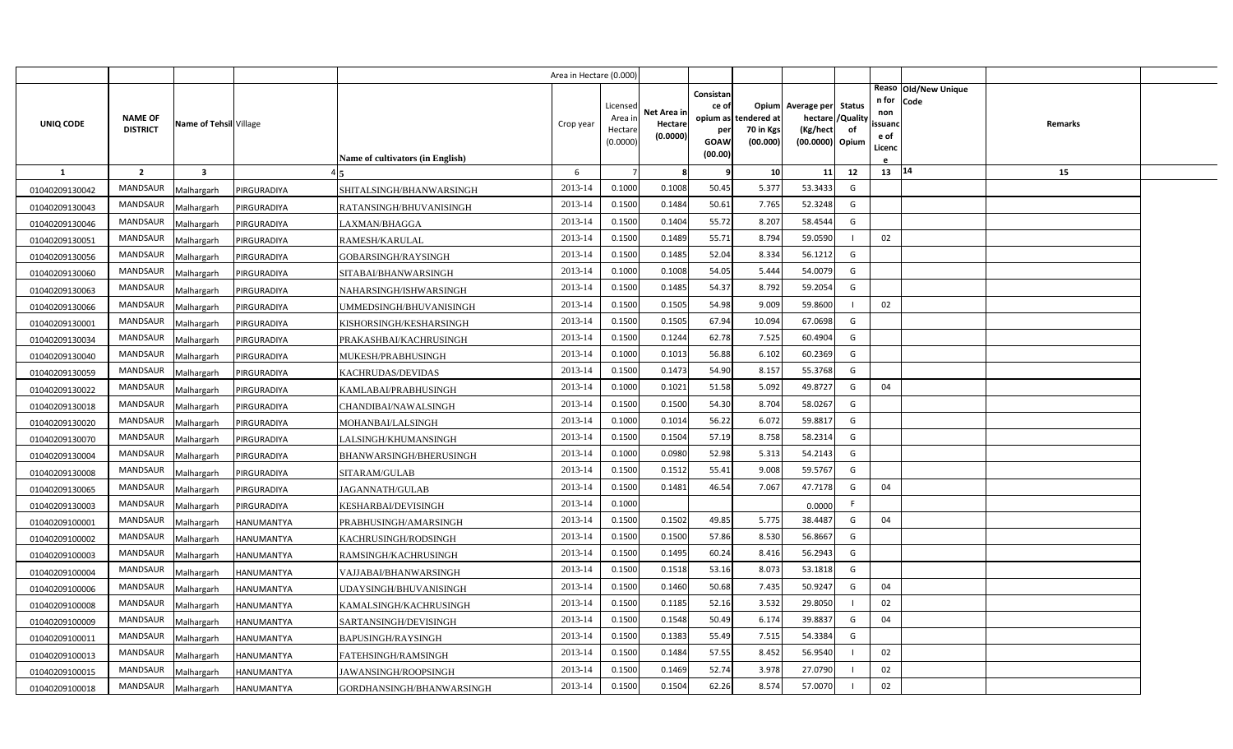|                |                                   |                         |                   |                                  | Area in Hectare (0.000) |                                            |                                    |                                                                 |                                      |                                                                              |    |                                               |                                        |  |
|----------------|-----------------------------------|-------------------------|-------------------|----------------------------------|-------------------------|--------------------------------------------|------------------------------------|-----------------------------------------------------------------|--------------------------------------|------------------------------------------------------------------------------|----|-----------------------------------------------|----------------------------------------|--|
| UNIQ CODE      | <b>NAME OF</b><br><b>DISTRICT</b> | Name of Tehsil Village  |                   | Name of cultivators (in English) | Crop year               | Licensed<br>Area ir<br>Hectare<br>(0.0000) | Net Area in<br>Hectare<br>(0.0000) | Consistan<br>ce of<br>opium as<br>per<br><b>GOAW</b><br>(00.00) | tendered at<br>70 in Kgs<br>(00.000) | Opium Average per Status<br>hectare / Quality<br>(Kg/hect<br>(00.0000) Opium | of | n for Code<br>non<br>ssuanc<br>e of<br>Licenc | Reaso Old/New Unique<br><b>Remarks</b> |  |
| <b>1</b>       | $\overline{2}$                    | $\overline{\mathbf{3}}$ |                   |                                  | 6                       | $\overline{7}$                             | 8                                  |                                                                 | 10 <sup>1</sup>                      | 11                                                                           | 12 | $13 \mid 14$                                  | 15                                     |  |
| 01040209130042 | <b>MANDSAUR</b>                   | Malhargarh              | PIRGURADIYA       | SHITALSINGH/BHANWARSINGH         | 2013-14                 | 0.1000                                     | 0.1008                             | 50.45                                                           | 5.377                                | 53.3433                                                                      | G  |                                               |                                        |  |
| 01040209130043 | MANDSAUR                          | Malhargarh              | PIRGURADIYA       | RATANSINGH/BHUVANISINGH          | 2013-14                 | 0.1500                                     | 0.1484                             | 50.61                                                           | 7.765                                | 52.3248                                                                      | G  |                                               |                                        |  |
| 01040209130046 | <b>MANDSAUR</b>                   | Malhargarh              | PIRGURADIYA       | LAXMAN/BHAGGA                    | 2013-14                 | 0.1500                                     | 0.1404                             | 55.72                                                           | 8.207                                | 58.4544                                                                      | G  |                                               |                                        |  |
| 01040209130051 | <b>MANDSAUR</b>                   | Malhargarh              | PIRGURADIYA       | RAMESH/KARULAL                   | 2013-14                 | 0.1500                                     | 0.1489                             | 55.71                                                           | 8.794                                | 59.0590                                                                      |    | 02                                            |                                        |  |
| 01040209130056 | MANDSAUR                          | Malhargarh              | PIRGURADIYA       | GOBARSINGH/RAYSINGH              | 2013-14                 | 0.1500                                     | 0.1485                             | 52.04                                                           | 8.334                                | 56.1212                                                                      | G  |                                               |                                        |  |
| 01040209130060 | <b>MANDSAUR</b>                   | Malhargarh              | PIRGURADIYA       | SITABAI/BHANWARSINGH             | 2013-14                 | 0.1000                                     | 0.1008                             | 54.05                                                           | 5.444                                | 54.0079                                                                      | G  |                                               |                                        |  |
| 01040209130063 | MANDSAUR                          | Malhargarh              | PIRGURADIYA       | NAHARSINGH/ISHWARSINGH           | 2013-14                 | 0.1500                                     | 0.1485                             | 54.37                                                           | 8.792                                | 59.2054                                                                      | G  |                                               |                                        |  |
| 01040209130066 | <b>MANDSAUR</b>                   | Malhargarh              | PIRGURADIYA       | UMMEDSINGH/BHUVANISINGH          | 2013-14                 | 0.1500                                     | 0.1505                             | 54.98                                                           | 9.009                                | 59.8600                                                                      |    | 02                                            |                                        |  |
| 01040209130001 | MANDSAUR                          | Malhargarh              | PIRGURADIYA       | KISHORSINGH/KESHARSINGH          | 2013-14                 | 0.1500                                     | 0.1505                             | 67.94                                                           | 10.094                               | 67.0698                                                                      | G  |                                               |                                        |  |
| 01040209130034 | MANDSAUR                          | Malhargarh              | PIRGURADIYA       | PRAKASHBAI/KACHRUSINGH           | 2013-14                 | 0.1500                                     | 0.1244                             | 62.78                                                           | 7.525                                | 60.4904                                                                      | G  |                                               |                                        |  |
| 01040209130040 | MANDSAUR                          | Malhargarh              | <b>IRGURADIYA</b> | MUKESH/PRABHUSINGH               | 2013-14                 | 0.1000                                     | 0.1013                             | 56.88                                                           | 6.102                                | 60.2369                                                                      | G  |                                               |                                        |  |
| 01040209130059 | MANDSAUR                          | Malhargarh              | PIRGURADIYA       | KACHRUDAS/DEVIDAS                | 2013-14                 | 0.1500                                     | 0.1473                             | 54.90                                                           | 8.157                                | 55.3768                                                                      | G  |                                               |                                        |  |
| 01040209130022 | <b>MANDSAUR</b>                   | Malhargarh              | PIRGURADIYA       | KAMLABAI/PRABHUSINGH             | 2013-14                 | 0.1000                                     | 0.1021                             | 51.58                                                           | 5.092                                | 49.8727                                                                      | G  | 04                                            |                                        |  |
| 01040209130018 | MANDSAUR                          | Malhargarh              | PIRGURADIYA       | CHANDIBAI/NAWALSINGH             | 2013-14                 | 0.1500                                     | 0.1500                             | 54.30                                                           | 8.704                                | 58.0267                                                                      | G  |                                               |                                        |  |
| 01040209130020 | MANDSAUR                          | Malhargarh              | PIRGURADIYA       | MOHANBAI/LALSINGH                | 2013-14                 | 0.1000                                     | 0.1014                             | 56.22                                                           | 6.072                                | 59.8817                                                                      | G  |                                               |                                        |  |
| 01040209130070 | MANDSAUR                          | Malhargarh              | <b>IRGURADIYA</b> | LALSINGH/KHUMANSINGH             | 2013-14                 | 0.1500                                     | 0.1504                             | 57.19                                                           | 8.758                                | 58.2314                                                                      | G  |                                               |                                        |  |
| 01040209130004 | MANDSAUR                          | Malhargarh              | PIRGURADIYA       | BHANWARSINGH/BHERUSINGH          | 2013-14                 | 0.1000                                     | 0.0980                             | 52.98                                                           | 5.313                                | 54.2143                                                                      | G  |                                               |                                        |  |
| 01040209130008 | MANDSAUR                          | Malhargarh              | PIRGURADIYA       | SITARAM/GULAB                    | 2013-14                 | 0.1500                                     | 0.1512                             | 55.41                                                           | 9.008                                | 59.5767                                                                      | G  |                                               |                                        |  |
| 01040209130065 | MANDSAUR                          | Malhargarh              | <b>IRGURADIYA</b> | JAGANNATH/GULAB                  | 2013-14                 | 0.1500                                     | 0.1481                             | 46.54                                                           | 7.067                                | 47.7178                                                                      | G  | 04                                            |                                        |  |
| 01040209130003 | MANDSAUR                          | Malhargarh              | PIRGURADIYA       | KESHARBAI/DEVISINGH              | 2013-14                 | 0.1000                                     |                                    |                                                                 |                                      | 0.0000                                                                       | F. |                                               |                                        |  |
| 01040209100001 | MANDSAUR                          | Malhargarh              | HANUMANTYA        | PRABHUSINGH/AMARSINGH            | 2013-14                 | 0.1500                                     | 0.1502                             | 49.85                                                           | 5.775                                | 38.4487                                                                      | G  | 04                                            |                                        |  |
| 01040209100002 | MANDSAUR                          | Malhargarh              | <b>HANUMANTYA</b> | KACHRUSINGH/RODSINGH             | 2013-14                 | 0.1500                                     | 0.1500                             | 57.86                                                           | 8.530                                | 56.8667                                                                      | G  |                                               |                                        |  |
| 01040209100003 | MANDSAUR                          | Malhargarh              | HANUMANTYA        | RAMSINGH/KACHRUSINGH             | 2013-14                 | 0.1500                                     | 0.1495                             | 60.24                                                           | 8.416                                | 56.2943                                                                      | G  |                                               |                                        |  |
| 01040209100004 | MANDSAUR                          | Malhargarh              | <b>HANUMANTYA</b> | VAJJABAI/BHANWARSINGH            | 2013-14                 | 0.1500                                     | 0.1518                             | 53.16                                                           | 8.073                                | 53.1818                                                                      | G  |                                               |                                        |  |
| 01040209100006 | MANDSAUR                          | Malhargarh              | HANUMANTYA        | UDAYSINGH/BHUVANISINGH           | 2013-14                 | 0.1500                                     | 0.1460                             | 50.68                                                           | 7.435                                | 50.9247                                                                      | G  | 04                                            |                                        |  |
| 01040209100008 | MANDSAUR                          | Malhargarh              | HANUMANTYA        | KAMALSINGH/KACHRUSINGH           | 2013-14                 | 0.1500                                     | 0.1185                             | 52.16                                                           | 3.532                                | 29.8050                                                                      |    | 02                                            |                                        |  |
| 01040209100009 | MANDSAUR                          | Malhargarh              | HANUMANTYA        | SARTANSINGH/DEVISINGH            | 2013-14                 | 0.1500                                     | 0.1548                             | 50.49                                                           | 6.174                                | 39.8837                                                                      | G  | 04                                            |                                        |  |
| 01040209100011 | MANDSAUR                          | Malhargarh              | HANUMANTYA        | BAPUSINGH/RAYSINGH               | 2013-14                 | 0.1500                                     | 0.1383                             | 55.49                                                           | 7.515                                | 54.3384                                                                      | G  |                                               |                                        |  |
| 01040209100013 | MANDSAUR                          | Malhargarh              | HANUMANTYA        | FATEHSINGH/RAMSINGH              | 2013-14                 | 0.1500                                     | 0.1484                             | 57.55                                                           | 8.452                                | 56.9540                                                                      |    | 02                                            |                                        |  |
| 01040209100015 | MANDSAUR                          | Malhargarh              | HANUMANTYA        | JAWANSINGH/ROOPSINGH             | 2013-14                 | 0.1500                                     | 0.1469                             | 52.74                                                           | 3.978                                | 27.0790                                                                      |    | 02                                            |                                        |  |
| 01040209100018 | MANDSAUR                          | Malhargarh              | <b>HANUMANTYA</b> | GORDHANSINGH/BHANWARSINGH        | 2013-14                 | 0.1500                                     | 0.1504                             | 62.26                                                           | 8.574                                | 57.0070                                                                      |    | 02                                            |                                        |  |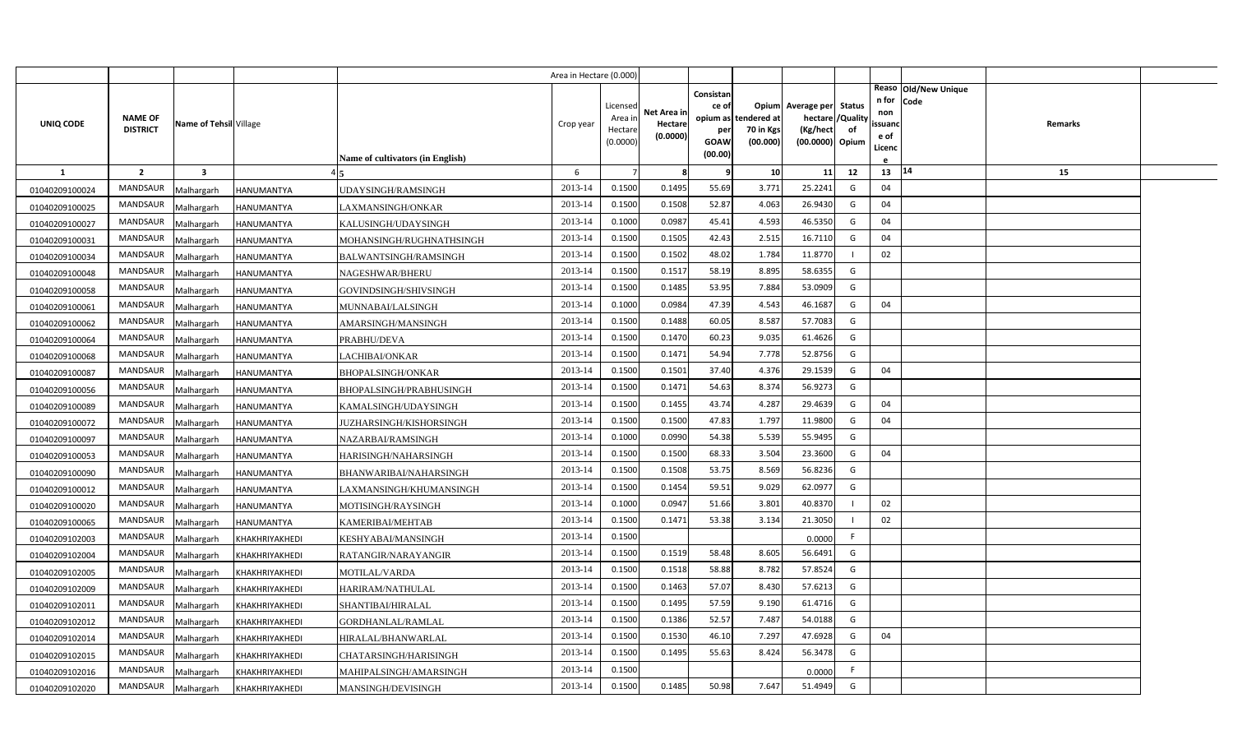|                |                                   |                         |                |                                  | Area in Hectare (0.000) |                     |             |             |                       |                             |    |                   |                      |  |
|----------------|-----------------------------------|-------------------------|----------------|----------------------------------|-------------------------|---------------------|-------------|-------------|-----------------------|-----------------------------|----|-------------------|----------------------|--|
|                |                                   |                         |                |                                  |                         |                     |             | Consistan   |                       |                             |    |                   | Reaso Old/New Unique |  |
|                |                                   |                         |                |                                  |                         | Licensed            | Net Area in | ce of       |                       | Opium Average per Status    |    | n for Code<br>non |                      |  |
| UNIQ CODE      | <b>NAME OF</b><br><b>DISTRICT</b> | Name of Tehsil Village  |                |                                  | Crop year               | Area ir             | Hectare     | opium as    | tendered at           | hectare / Quality           |    | ssuanc            | Remarks              |  |
|                |                                   |                         |                |                                  |                         | Hectare<br>(0.0000) | (0.0000)    | per<br>GOAW | 70 in Kgs<br>(00.000) | (Kg/hect<br>(00.0000) Opium | of | e of              |                      |  |
|                |                                   |                         |                | Name of cultivators (in English) |                         |                     |             | (00.00)     |                       |                             |    | Licenc            |                      |  |
| -1             | $\overline{2}$                    | $\overline{\mathbf{3}}$ |                |                                  | 6                       | $\overline{7}$      | 8           | q           | 10 <sup>1</sup>       | 11                          | 12 | 13                | 14<br>15             |  |
| 01040209100024 | MANDSAUR                          | Malhargarh              | HANUMANTYA     | <b>JDAYSINGH/RAMSINGH</b>        | 2013-14                 | 0.1500              | 0.1495      | 55.69       | 3.771                 | 25.2241                     | G  | 04                |                      |  |
| 01040209100025 | <b>MANDSAUR</b>                   | Malhargarh              | HANUMANTYA     | LAXMANSINGH/ONKAR                | 2013-14                 | 0.1500              | 0.1508      | 52.87       | 4.063                 | 26.9430                     | G  | 04                |                      |  |
| 01040209100027 | MANDSAUR                          | Malhargarh              | HANUMANTYA     | KALUSINGH/UDAYSINGH              | 2013-14                 | 0.1000              | 0.0987      | 45.41       | 4.593                 | 46.5350                     | G  | 04                |                      |  |
| 01040209100031 | MANDSAUR                          | Malhargarh              | HANUMANTYA     | MOHANSINGH/RUGHNATHSINGH         | 2013-14                 | 0.1500              | 0.1505      | 42.43       | 2.515                 | 16.7110                     | G  | 04                |                      |  |
| 01040209100034 | <b>MANDSAUR</b>                   | Malhargarh              | HANUMANTYA     | <b>BALWANTSINGH/RAMSINGH</b>     | 2013-14                 | 0.1500              | 0.1502      | 48.02       | 1.784                 | 11.8770                     |    | 02                |                      |  |
| 01040209100048 | MANDSAUR                          | Malhargarh              | HANUMANTYA     | NAGESHWAR/BHERU                  | 2013-14                 | 0.1500              | 0.1517      | 58.19       | 8.895                 | 58.6355                     | G  |                   |                      |  |
| 01040209100058 | <b>MANDSAUR</b>                   | Malhargarh              | HANUMANTYA     | GOVINDSINGH/SHIVSINGH            | 2013-14                 | 0.1500              | 0.1485      | 53.95       | 7.884                 | 53.0909                     | G  |                   |                      |  |
| 01040209100061 | MANDSAUR                          | Malhargarh              | HANUMANTYA     | MUNNABAI/LALSINGH                | 2013-14                 | 0.1000              | 0.0984      | 47.39       | 4.543                 | 46.1687                     | G  | 04                |                      |  |
| 01040209100062 | MANDSAUR                          | Malhargarh              | HANUMANTYA     | AMARSINGH/MANSINGH               | 2013-14                 | 0.1500              | 0.1488      | 60.05       | 8.587                 | 57.7083                     | G  |                   |                      |  |
| 01040209100064 | MANDSAUR                          | Malhargarh              | HANUMANTYA     | PRABHU/DEVA                      | 2013-14                 | 0.1500              | 0.1470      | 60.23       | 9.035                 | 61.4626                     | G  |                   |                      |  |
| 01040209100068 | <b>MANDSAUR</b>                   | Malhargarh              | HANUMANTYA     | LACHIBAI/ONKAR                   | 2013-14                 | 0.1500              | 0.1471      | 54.94       | 7.778                 | 52.8756                     | G  |                   |                      |  |
| 01040209100087 | MANDSAUR                          | Malhargarh              | HANUMANTYA     | <b>BHOPALSINGH/ONKAR</b>         | 2013-14                 | 0.1500              | 0.1501      | 37.40       | 4.376                 | 29.1539                     | G  | 04                |                      |  |
| 01040209100056 | <b>MANDSAUR</b>                   | Malhargarh              | HANUMANTYA     | BHOPALSINGH/PRABHUSINGH          | 2013-14                 | 0.1500              | 0.1471      | 54.63       | 8.374                 | 56.9273                     | G  |                   |                      |  |
| 01040209100089 | MANDSAUR                          | Malhargarh              | HANUMANTYA     | KAMALSINGH/UDAYSINGH             | 2013-14                 | 0.1500              | 0.1455      | 43.74       | 4.287                 | 29.4639                     | G  | 04                |                      |  |
| 01040209100072 | <b>MANDSAUR</b>                   | Malhargarh              | HANUMANTYA     | JUZHARSINGH/KISHORSINGH          | 2013-14                 | 0.1500              | 0.1500      | 47.83       | 1.797                 | 11.9800                     | G  | 04                |                      |  |
| 01040209100097 | MANDSAUR                          | Malhargarh              | HANUMANTYA     | <b>NAZARBAI/RAMSINGH</b>         | 2013-14                 | 0.1000              | 0.0990      | 54.38       | 5.539                 | 55.9495                     | G  |                   |                      |  |
| 01040209100053 | <b>MANDSAUR</b>                   | Malhargarh              | HANUMANTYA     | HARISINGH/NAHARSINGH             | 2013-14                 | 0.1500              | 0.1500      | 68.33       | 3.504                 | 23.3600                     | G  | 04                |                      |  |
| 01040209100090 | MANDSAUR                          | Malhargarh              | HANUMANTYA     | BHANWARIBAI/NAHARSINGH           | 2013-14                 | 0.1500              | 0.1508      | 53.75       | 8.569                 | 56.8236                     | G  |                   |                      |  |
| 01040209100012 | <b>MANDSAUR</b>                   | Malhargarh              | HANUMANTYA     | LAXMANSINGH/KHUMANSINGH          | 2013-14                 | 0.1500              | 0.1454      | 59.51       | 9.029                 | 62.0977                     | G  |                   |                      |  |
| 01040209100020 | MANDSAUR                          | Malhargarh              | HANUMANTYA     | MOTISINGH/RAYSINGH               | 2013-14                 | 0.1000              | 0.0947      | 51.66       | 3.801                 | 40.8370                     |    | 02                |                      |  |
| 01040209100065 | MANDSAUR                          | Malhargarh              | HANUMANTYA     | KAMERIBAI/MEHTAB                 | 2013-14                 | 0.1500              | 0.1471      | 53.38       | 3.134                 | 21.3050                     |    | 02                |                      |  |
| 01040209102003 | MANDSAUR                          | Malhargarh              | KHAKHRIYAKHEDI | KESHYABAI/MANSINGH               | 2013-14                 | 0.1500              |             |             |                       | 0.0000                      | F. |                   |                      |  |
| 01040209102004 | MANDSAUR                          | Malhargarh              | KHAKHRIYAKHEDI | RATANGIR/NARAYANGIR              | 2013-14                 | 0.1500              | 0.1519      | 58.48       | 8.605                 | 56.6491                     | G  |                   |                      |  |
| 01040209102005 | MANDSAUR                          | Malhargarh              | KHAKHRIYAKHEDI | MOTILAL/VARDA                    | 2013-14                 | 0.1500              | 0.1518      | 58.88       | 8.782                 | 57.8524                     | G  |                   |                      |  |
| 01040209102009 | MANDSAUR                          | Malhargarh              | KHAKHRIYAKHEDI | HARIRAM/NATHULAL                 | 2013-14                 | 0.1500              | 0.1463      | 57.07       | 8.430                 | 57.6213                     | G  |                   |                      |  |
| 01040209102011 | MANDSAUR                          | Malhargarh              | KHAKHRIYAKHEDI | SHANTIBAI/HIRALAL                | 2013-14                 | 0.1500              | 0.1495      | 57.59       | 9.190                 | 61.4716                     | G  |                   |                      |  |
| 01040209102012 | MANDSAUR                          | Malhargarh              | KHAKHRIYAKHEDI | GORDHANLAL/RAMLAL                | 2013-14                 | 0.1500              | 0.1386      | 52.57       | 7.487                 | 54.0188                     | G  |                   |                      |  |
| 01040209102014 | MANDSAUR                          | Malhargarh              | KHAKHRIYAKHEDI | HIRALAL/BHANWARLAL               | 2013-14                 | 0.1500              | 0.1530      | 46.10       | 7.297                 | 47.6928                     | G  | 04                |                      |  |
| 01040209102015 | MANDSAUR                          | Malhargarh              | KHAKHRIYAKHEDI | CHATARSINGH/HARISINGH            | 2013-14                 | 0.1500              | 0.1495      | 55.63       | 8.424                 | 56.3478                     | G  |                   |                      |  |
| 01040209102016 | <b>MANDSAUR</b>                   | Malhargarh              | KHAKHRIYAKHEDI | MAHIPALSINGH/AMARSINGH           | 2013-14                 | 0.1500              |             |             |                       | 0.0000                      | F. |                   |                      |  |
| 01040209102020 | MANDSAUR                          | Malhargarh              | KHAKHRIYAKHEDI | MANSINGH/DEVISINGH               | 2013-14                 | 0.1500              | 0.1485      | 50.98       | 7.647                 | 51.4949                     | G  |                   |                      |  |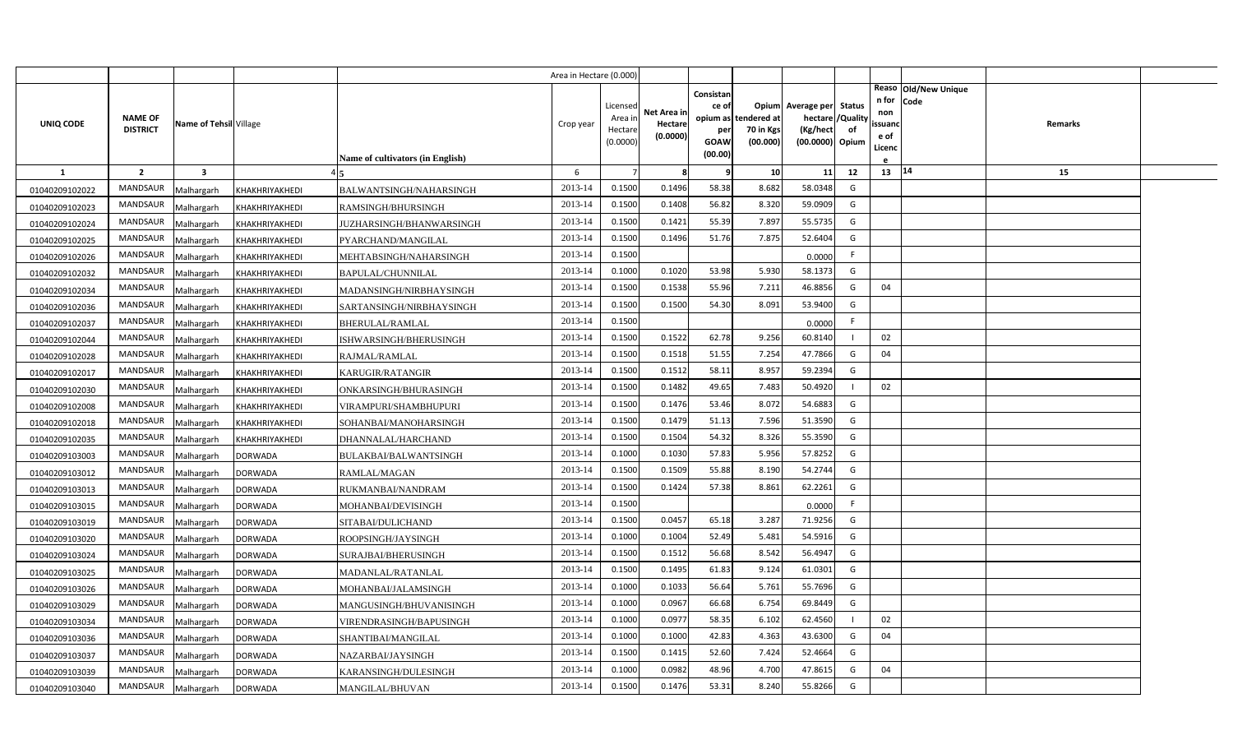|                |                                   |                         |                |                                  | Area in Hectare (0.000) |                                |                        |                                       |                          |                                                           |    |                        |                              |         |  |
|----------------|-----------------------------------|-------------------------|----------------|----------------------------------|-------------------------|--------------------------------|------------------------|---------------------------------------|--------------------------|-----------------------------------------------------------|----|------------------------|------------------------------|---------|--|
| UNIQ CODE      | <b>NAME OF</b><br><b>DISTRICT</b> | Name of Tehsil Village  |                |                                  | Crop year               | Licensed<br>Area ir<br>Hectare | Net Area in<br>Hectare | Consistan<br>ce of<br>opium as<br>per | tendered at<br>70 in Kgs | Opium Average per Status<br>hectare / Quality<br>(Kg/hect | of | n for<br>non<br>ssuand | Reaso Old/New Unique<br>Code | Remarks |  |
|                |                                   |                         |                |                                  |                         | (0.0000)                       | (0.0000)               | GOAW                                  | (00.000)                 | (00.0000) Opium                                           |    | e of<br>Licenc         |                              |         |  |
|                |                                   |                         |                | Name of cultivators (in English) |                         |                                |                        | (00.00)                               |                          |                                                           |    |                        |                              |         |  |
| <sup>1</sup>   | $\overline{2}$                    | $\overline{\mathbf{3}}$ |                |                                  | 6                       | $\overline{7}$                 | 8                      | q                                     | 10                       | 11                                                        | 12 | $13 \mid 14$           |                              | 15      |  |
| 01040209102022 | <b>MANDSAUR</b>                   | Malhargarh              | KHAKHRIYAKHEDI | BALWANTSINGH/NAHARSINGH          | 2013-14                 | 0.1500                         | 0.1496                 | 58.38                                 | 8.682                    | 58.0348                                                   | G  |                        |                              |         |  |
| 01040209102023 | <b>MANDSAUR</b>                   | Malhargarh              | KHAKHRIYAKHEDI | RAMSINGH/BHURSINGH               | 2013-14                 | 0.1500                         | 0.1408                 | 56.82                                 | 8.320                    | 59.0909                                                   | G  |                        |                              |         |  |
| 01040209102024 | <b>MANDSAUR</b>                   | Malhargarh              | KHAKHRIYAKHEDI | JUZHARSINGH/BHANWARSINGH         | 2013-14                 | 0.1500                         | 0.1421                 | 55.39                                 | 7.897                    | 55.5735                                                   | G  |                        |                              |         |  |
| 01040209102025 | <b>MANDSAUR</b>                   | Malhargarh              | KHAKHRIYAKHEDI | PYARCHAND/MANGILAL               | 2013-14                 | 0.1500                         | 0.1496                 | 51.76                                 | 7.875                    | 52.6404                                                   | G  |                        |                              |         |  |
| 01040209102026 | MANDSAUR                          | Malhargarh              | KHAKHRIYAKHEDI | MEHTABSINGH/NAHARSINGH           | 2013-14                 | 0.1500                         |                        |                                       |                          | 0.0000                                                    | F. |                        |                              |         |  |
| 01040209102032 | <b>MANDSAUR</b>                   | Malhargarh              | KHAKHRIYAKHEDI | BAPULAL/CHUNNILAL                | 2013-14                 | 0.1000                         | 0.1020                 | 53.98                                 | 5.930                    | 58.1373                                                   | G  |                        |                              |         |  |
| 01040209102034 | MANDSAUR                          | Malhargarh              | KHAKHRIYAKHEDI | MADANSINGH/NIRBHAYSINGH          | 2013-14                 | 0.1500                         | 0.1538                 | 55.96                                 | 7.211                    | 46.8856                                                   | G  | 04                     |                              |         |  |
| 01040209102036 | MANDSAUR                          | Malhargarh              | KHAKHRIYAKHEDI | SARTANSINGH/NIRBHAYSINGH         | 2013-14                 | 0.1500                         | 0.1500                 | 54.30                                 | 8.091                    | 53.9400                                                   | G  |                        |                              |         |  |
| 01040209102037 | MANDSAUR                          | Malhargarh              | KHAKHRIYAKHEDI | BHERULAL/RAMLAL                  | 2013-14                 | 0.1500                         |                        |                                       |                          | 0.0000                                                    | F. |                        |                              |         |  |
| 01040209102044 | MANDSAUR                          | Malhargarh              | KHAKHRIYAKHEDI | ISHWARSINGH/BHERUSINGH           | 2013-14                 | 0.1500                         | 0.1522                 | 62.78                                 | 9.256                    | 60.8140                                                   |    | 02                     |                              |         |  |
| 01040209102028 | MANDSAUR                          | Malhargarh              | KHAKHRIYAKHEDI | RAJMAL/RAMLAL                    | 2013-14                 | 0.1500                         | 0.1518                 | 51.55                                 | 7.254                    | 47.7866                                                   | G  | 04                     |                              |         |  |
| 01040209102017 | <b>MANDSAUR</b>                   | Malhargarh              | KHAKHRIYAKHEDI | KARUGIR/RATANGIR                 | 2013-14                 | 0.1500                         | 0.1512                 | 58.11                                 | 8.957                    | 59.2394                                                   | G  |                        |                              |         |  |
| 01040209102030 | <b>MANDSAUR</b>                   | Malhargarh              | KHAKHRIYAKHEDI | ONKARSINGH/BHURASINGH            | 2013-14                 | 0.1500                         | 0.1482                 | 49.65                                 | 7.483                    | 50.4920                                                   |    | 02                     |                              |         |  |
| 01040209102008 | <b>MANDSAUR</b>                   | Malhargarh              | KHAKHRIYAKHEDI | VIRAMPURI/SHAMBHUPURI            | 2013-14                 | 0.1500                         | 0.1476                 | 53.46                                 | 8.072                    | 54.6883                                                   | G  |                        |                              |         |  |
| 01040209102018 | <b>MANDSAUR</b>                   | Malhargarh              | KHAKHRIYAKHEDI | SOHANBAI/MANOHARSINGH            | 2013-14                 | 0.1500                         | 0.1479                 | 51.13                                 | 7.596                    | 51.3590                                                   | G  |                        |                              |         |  |
| 01040209102035 | <b>MANDSAUR</b>                   | Malhargarh              | KHAKHRIYAKHEDI | DHANNALAL/HARCHAND               | 2013-14                 | 0.1500                         | 0.1504                 | 54.32                                 | 8.326                    | 55.3590                                                   | G  |                        |                              |         |  |
| 01040209103003 | <b>MANDSAUR</b>                   | Malhargarh              | <b>DORWADA</b> | BULAKBAI/BALWANTSINGH            | 2013-14                 | 0.1000                         | 0.1030                 | 57.83                                 | 5.956                    | 57.8252                                                   | G  |                        |                              |         |  |
| 01040209103012 | <b>MANDSAUR</b>                   | Malhargarh              | <b>DORWADA</b> | RAMLAL/MAGAN                     | 2013-14                 | 0.1500                         | 0.1509                 | 55.88                                 | 8.190                    | 54.2744                                                   | G  |                        |                              |         |  |
| 01040209103013 | <b>MANDSAUR</b>                   | Malhargarh              | <b>DORWADA</b> | RUKMANBAI/NANDRAM                | 2013-14                 | 0.1500                         | 0.1424                 | 57.38                                 | 8.861                    | 62.2261                                                   | G  |                        |                              |         |  |
| 01040209103015 | <b>MANDSAUR</b>                   | Malhargarh              | <b>DORWADA</b> | MOHANBAI/DEVISINGH               | 2013-14                 | 0.1500                         |                        |                                       |                          | 0.0000                                                    | F. |                        |                              |         |  |
| 01040209103019 | <b>MANDSAUR</b>                   | Malhargarh              | <b>DORWADA</b> | SITABAI/DULICHAND                | 2013-14                 | 0.1500                         | 0.0457                 | 65.18                                 | 3.287                    | 71.9256                                                   | G  |                        |                              |         |  |
| 01040209103020 | <b>MANDSAUR</b>                   | Malhargarh              | <b>DORWADA</b> | ROOPSINGH/JAYSINGH               | 2013-14                 | 0.1000                         | 0.1004                 | 52.49                                 | 5.481                    | 54.5916                                                   | G  |                        |                              |         |  |
| 01040209103024 | <b>MANDSAUR</b>                   | Malhargarh              | <b>DORWADA</b> | SURAJBAI/BHERUSINGH              | 2013-14                 | 0.1500                         | 0.1512                 | 56.68                                 | 8.542                    | 56.4947                                                   | G  |                        |                              |         |  |
| 01040209103025 | <b>MANDSAUR</b>                   | Malhargarh              | <b>DORWADA</b> | MADANLAL/RATANLAL                | 2013-14                 | 0.1500                         | 0.1495                 | 61.83                                 | 9.124                    | 61.0301                                                   | G  |                        |                              |         |  |
| 01040209103026 | <b>MANDSAUR</b>                   | Malhargarh              | <b>DORWADA</b> | MOHANBAI/JALAMSINGH              | 2013-14                 | 0.1000                         | 0.1033                 | 56.64                                 | 5.761                    | 55.7696                                                   | G  |                        |                              |         |  |
| 01040209103029 | <b>MANDSAUR</b>                   | Malhargarh              | <b>DORWADA</b> | MANGUSINGH/BHUVANISINGH          | 2013-14                 | 0.1000                         | 0.0967                 | 66.68                                 | 6.754                    | 69.8449                                                   | G  |                        |                              |         |  |
| 01040209103034 | <b>MANDSAUR</b>                   | Malhargarh              | <b>DORWADA</b> | VIRENDRASINGH/BAPUSINGH          | 2013-14                 | 0.1000                         | 0.0977                 | 58.35                                 | 6.102                    | 62.4560                                                   |    | 02                     |                              |         |  |
| 01040209103036 | MANDSAUR                          | Malhargarh              | <b>DORWADA</b> | SHANTIBAI/MANGILAL               | 2013-14                 | 0.1000                         | 0.1000                 | 42.83                                 | 4.363                    | 43.6300                                                   | G  | 04                     |                              |         |  |
| 01040209103037 | <b>MANDSAUR</b>                   | Malhargarh              | <b>DORWADA</b> | NAZARBAI/JAYSINGH                | 2013-14                 | 0.1500                         | 0.1415                 | 52.60                                 | 7.424                    | 52.4664                                                   | G  |                        |                              |         |  |
| 01040209103039 | MANDSAUR                          | Malhargarh              | <b>DORWADA</b> | KARANSINGH/DULESINGH             | 2013-14                 | 0.1000                         | 0.0982                 | 48.96                                 | 4.700                    | 47.8615                                                   | G  | 04                     |                              |         |  |
| 01040209103040 | MANDSAUR                          | Malhargarh              | <b>DORWADA</b> | MANGILAL/BHUVAN                  | 2013-14                 | 0.1500                         | 0.1476                 | 53.31                                 | 8.240                    | 55.8266                                                   | G  |                        |                              |         |  |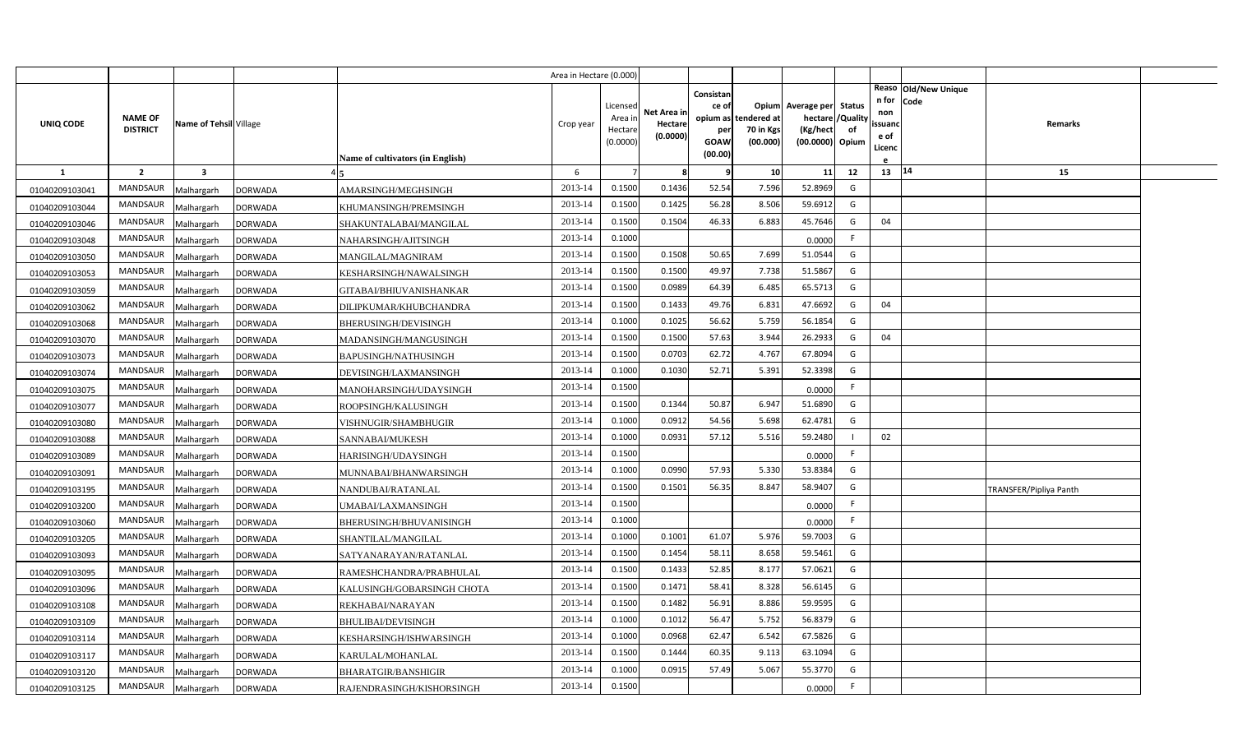| Reaso Old/New Unique<br>Consistan<br>n for<br>Code<br>Opium Average per Status<br>Licensed<br>ce of<br>Net Area in<br>non<br><b>NAME OF</b><br>/Quality<br>Area in<br>opium as tendered at<br>hectare<br>UNIQ CODE<br>Name of Tehsil Village<br>Crop year<br>Hectare<br>Remarks<br>ssuand<br><b>DISTRICT</b><br>(Kg/hect<br>of<br>Hectare<br>70 in Kgs<br>per<br>(0.0000)<br>e of<br>(00.000)<br>(0.0000)<br>GOAW<br>(00.0000) Opium<br>Licenc<br>(00.00)<br><b>Name of cultivators (in English)</b><br>13   14<br>$\overline{2}$<br>$\overline{\mathbf{3}}$<br>6<br>10<br>11<br>12<br>15<br>$\mathbf{1}$<br>9<br>8<br>2013-14<br>0.1436<br>52.54<br>7.596<br><b>MANDSAUR</b><br>0.1500<br>52.8969<br>G<br><b>DORWADA</b><br>AMARSINGH/MEGHSINGH<br>01040209103041<br>Malhargarh<br>56.28<br>8.506<br><b>MANDSAUR</b><br>2013-14<br>0.1500<br>0.1425<br>59.6912<br>G<br><b>DORWADA</b><br>01040209103044<br>Malhargarh<br>KHUMANSINGH/PREMSINGH<br>2013-14<br>0.1504<br>6.883<br><b>MANDSAUR</b><br>0.1500<br>46.33<br>45.7646<br>04<br>G<br><b>DORWADA</b><br>01040209103046<br>Malhargarh<br>SHAKUNTALABAI/MANGILAL<br><b>MANDSAUR</b><br>2013-14<br>0.1000<br>F.<br><b>DORWADA</b><br>Malhargarh<br>NAHARSINGH/AJITSINGH<br>01040209103048<br>0.0000<br>0.1508<br><b>MANDSAUR</b><br>2013-14<br>0.1500<br>50.65<br>7.699<br>51.0544<br>G<br><b>DORWADA</b><br>01040209103050<br>Malhargarh<br>MANGILAL/MAGNIRAM<br>2013-14<br>0.1500<br>49.97<br>7.738<br><b>MANDSAUR</b><br>0.1500<br>51.5867<br>G<br><b>DORWADA</b><br>01040209103053<br>Malhargarh<br>KESHARSINGH/NAWALSINGH<br><b>MANDSAUR</b><br>2013-14<br>0.1500<br>0.0989<br>64.39<br>6.485<br>65.5713<br>G<br><b>DORWADA</b><br>Malhargarh<br>GITABAI/BHIUVANISHANKAR<br>01040209103059<br>2013-14<br>0.1500<br>49.76<br>6.831<br>MANDSAUR<br>0.1433<br>47.6692<br>G<br>04<br><b>DORWADA</b><br>01040209103062<br>Malhargarh<br>DILIPKUMAR/KHUBCHANDRA<br>2013-14<br>0.1000<br>0.1025<br>56.62<br>5.759<br>56.1854<br><b>MANDSAUR</b><br>G<br>01040209103068<br>Malhargarh<br><b>DORWADA</b><br>BHERUSINGH/DEVISINGH<br>2013-14<br>0.1500<br>0.1500<br>57.63<br>3.944<br>26.2933<br>04<br><b>MANDSAUR</b><br>G<br><b>DORWADA</b><br>MADANSINGH/MANGUSINGH<br>01040209103070<br>Malhargarh<br>62.72<br>2013-14<br>0.1500<br>0.0703<br>4.767<br>67.8094<br>G<br><b>MANDSAUR</b><br>01040209103073<br>Malhargarh<br><b>DORWADA</b><br>BAPUSINGH/NATHUSINGH<br>52.71<br>5.391<br><b>MANDSAUR</b><br>2013-14<br>0.1000<br>0.1030<br>52.3398<br>G<br>01040209103074<br>Malhargarh<br><b>DORWADA</b><br>DEVISINGH/LAXMANSINGH<br>2013-14<br>0.1500<br><b>MANDSAUR</b><br>F.<br>01040209103075<br>Malhargarh<br><b>DORWADA</b><br>MANOHARSINGH/UDAYSINGH<br>0.0000<br>0.1344<br>50.87<br>6.947<br>G<br><b>MANDSAUR</b><br>2013-14<br>0.1500<br>51.6890<br>01040209103077<br><b>DORWADA</b><br>ROOPSINGH/KALUSINGH<br>Malhargarh<br>2013-14<br>54.56<br>5.698<br>62.4781<br>MANDSAUR<br>0.1000<br>0.0912<br>G<br><b>DORWADA</b><br>01040209103080<br>Malhargarh<br>VISHNUGIR/SHAMBHUGIR<br>0.0931<br>57.12<br>MANDSAUR<br>2013-14<br>0.1000<br>5.516<br>59.2480<br>02<br>01040209103088<br>Malhargarh<br><b>DORWADA</b><br>SANNABAI/MUKESH<br>2013-14<br><b>MANDSAUR</b><br>0.1500<br>F.<br>01040209103089<br><b>DORWADA</b><br>0.0000<br>Malhargarh<br>HARISINGH/UDAYSINGH<br>57.93<br>5.330<br>53.8384<br>MANDSAUR<br>2013-14<br>0.1000<br>0.0990<br>G<br><b>DORWADA</b><br>01040209103091<br>Malhargarh<br>MUNNABAI/BHANWARSINGH<br>56.35<br>2013-14<br>0.1500<br>0.1501<br>8.847<br>58.9407<br>G<br><b>MANDSAUR</b><br>01040209103195<br>Malhargarh<br><b>DORWADA</b><br>NANDUBAI/RATANLAL<br>TRANSFER/Pipliya Panth<br>0.1500<br><b>MANDSAUR</b><br>2013-14<br>F.<br><b>DORWADA</b><br>01040209103200<br>Malhargarh<br>UMABAI/LAXMANSINGH<br>0.0000<br>2013-14<br>0.1000<br><b>MANDSAUR</b><br>F.<br>Malhargarh<br><b>DORWADA</b><br>BHERUSINGH/BHUVANISINGH<br>0.0000<br>01040209103060<br>2013-14<br>5.976<br><b>MANDSAUR</b><br>0.1000<br>0.1001<br>61.07<br>59.7003<br>G<br>01040209103205<br>Malhargarh<br><b>DORWADA</b><br>SHANTILAL/MANGILAL<br>58.11<br>8.658<br>59.5461<br><b>MANDSAUR</b><br>2013-14<br>0.1500<br>0.1454<br>G<br>01040209103093<br>Malhargarh<br><b>DORWADA</b><br>SATYANARAYAN/RATANLAL<br>2013-14<br>0.1433<br>52.85<br>8.17<br><b>MANDSAUR</b><br>0.1500<br>57.0621<br>G<br>01040209103095<br>Malhargarh<br><b>DORWADA</b><br>RAMESHCHANDRA/PRABHULAL<br>2013-14<br>0.1471<br>58.41<br>8.328<br>56.6145<br><b>MANDSAUR</b><br>0.1500<br>G<br>Malhargarh<br><b>DORWADA</b><br>KALUSINGH/GOBARSINGH CHOTA<br>01040209103096<br><b>MANDSAUR</b><br>2013-14<br>0.1500<br>0.1482<br>56.91<br>8.886<br>59.9595<br>G<br><b>DORWADA</b><br>01040209103108<br>Malhargarh<br>REKHABAI/NARAYAN<br>2013-14<br>5.752<br><b>MANDSAUR</b><br>0.1000<br>0.1012<br>56.47<br>56.8379<br>G<br><b>DORWADA</b><br>Malhargarh<br><b>BHULIBAI/DEVISINGH</b><br>01040209103109<br><b>MANDSAUR</b><br>2013-14<br>0.1000<br>0.0968<br>62.47<br>6.542<br>67.5826<br>G<br><b>DORWADA</b><br>KESHARSINGH/ISHWARSINGH<br>01040209103114<br>Malhargarh<br>2013-14<br>MANDSAUR<br>0.1500<br>0.1444<br>60.35<br>9.113<br>63.1094<br>G<br><b>DORWADA</b><br>01040209103117<br>Malhargarh<br>KARULAL/MOHANLAL<br><b>MANDSAUR</b><br>2013-14<br>0.1000<br>0.0915<br>57.49<br>5.067<br>55.3770<br>G<br>01040209103120<br>Malhargarh<br><b>DORWADA</b><br>BHARATGIR/BANSHIGIR<br>2013-14<br>0.1500<br>MANDSAUR<br>F.<br>0.0000 |                |            |                |                           | Area in Hectare (0.000) |  |  |  |  |  |
|--------------------------------------------------------------------------------------------------------------------------------------------------------------------------------------------------------------------------------------------------------------------------------------------------------------------------------------------------------------------------------------------------------------------------------------------------------------------------------------------------------------------------------------------------------------------------------------------------------------------------------------------------------------------------------------------------------------------------------------------------------------------------------------------------------------------------------------------------------------------------------------------------------------------------------------------------------------------------------------------------------------------------------------------------------------------------------------------------------------------------------------------------------------------------------------------------------------------------------------------------------------------------------------------------------------------------------------------------------------------------------------------------------------------------------------------------------------------------------------------------------------------------------------------------------------------------------------------------------------------------------------------------------------------------------------------------------------------------------------------------------------------------------------------------------------------------------------------------------------------------------------------------------------------------------------------------------------------------------------------------------------------------------------------------------------------------------------------------------------------------------------------------------------------------------------------------------------------------------------------------------------------------------------------------------------------------------------------------------------------------------------------------------------------------------------------------------------------------------------------------------------------------------------------------------------------------------------------------------------------------------------------------------------------------------------------------------------------------------------------------------------------------------------------------------------------------------------------------------------------------------------------------------------------------------------------------------------------------------------------------------------------------------------------------------------------------------------------------------------------------------------------------------------------------------------------------------------------------------------------------------------------------------------------------------------------------------------------------------------------------------------------------------------------------------------------------------------------------------------------------------------------------------------------------------------------------------------------------------------------------------------------------------------------------------------------------------------------------------------------------------------------------------------------------------------------------------------------------------------------------------------------------------------------------------------------------------------------------------------------------------------------------------------------------------------------------------------------------------------------------------------------------------------------------------------------------------------------------------------------------------------------------------------------------------------------------------------------------------------------------------------------------------------------------------------------------------------------------------------------------------------------------------------------------------------------------------------------------------------------------------------------------------------------------------------------------------------------------------------------------------------------------------------------------------------------------------------------------------------------------------------------------------------------------------------------------------------------------------------------------------------------------------------------------------------------------------------------------------------------------------------------------------------------------------------------------------------------------------------------------------------------------------------------------------------------------------------------------------------------------------------------------------------------------------------------------------------------------------|----------------|------------|----------------|---------------------------|-------------------------|--|--|--|--|--|
|                                                                                                                                                                                                                                                                                                                                                                                                                                                                                                                                                                                                                                                                                                                                                                                                                                                                                                                                                                                                                                                                                                                                                                                                                                                                                                                                                                                                                                                                                                                                                                                                                                                                                                                                                                                                                                                                                                                                                                                                                                                                                                                                                                                                                                                                                                                                                                                                                                                                                                                                                                                                                                                                                                                                                                                                                                                                                                                                                                                                                                                                                                                                                                                                                                                                                                                                                                                                                                                                                                                                                                                                                                                                                                                                                                                                                                                                                                                                                                                                                                                                                                                                                                                                                                                                                                                                                                                                                                                                                                                                                                                                                                                                                                                                                                                                                                                                                                                                                                                                                                                                                                                                                                                                                                                                                                                                                                                                                                                                                |                |            |                |                           |                         |  |  |  |  |  |
|                                                                                                                                                                                                                                                                                                                                                                                                                                                                                                                                                                                                                                                                                                                                                                                                                                                                                                                                                                                                                                                                                                                                                                                                                                                                                                                                                                                                                                                                                                                                                                                                                                                                                                                                                                                                                                                                                                                                                                                                                                                                                                                                                                                                                                                                                                                                                                                                                                                                                                                                                                                                                                                                                                                                                                                                                                                                                                                                                                                                                                                                                                                                                                                                                                                                                                                                                                                                                                                                                                                                                                                                                                                                                                                                                                                                                                                                                                                                                                                                                                                                                                                                                                                                                                                                                                                                                                                                                                                                                                                                                                                                                                                                                                                                                                                                                                                                                                                                                                                                                                                                                                                                                                                                                                                                                                                                                                                                                                                                                |                |            |                |                           |                         |  |  |  |  |  |
|                                                                                                                                                                                                                                                                                                                                                                                                                                                                                                                                                                                                                                                                                                                                                                                                                                                                                                                                                                                                                                                                                                                                                                                                                                                                                                                                                                                                                                                                                                                                                                                                                                                                                                                                                                                                                                                                                                                                                                                                                                                                                                                                                                                                                                                                                                                                                                                                                                                                                                                                                                                                                                                                                                                                                                                                                                                                                                                                                                                                                                                                                                                                                                                                                                                                                                                                                                                                                                                                                                                                                                                                                                                                                                                                                                                                                                                                                                                                                                                                                                                                                                                                                                                                                                                                                                                                                                                                                                                                                                                                                                                                                                                                                                                                                                                                                                                                                                                                                                                                                                                                                                                                                                                                                                                                                                                                                                                                                                                                                |                |            |                |                           |                         |  |  |  |  |  |
|                                                                                                                                                                                                                                                                                                                                                                                                                                                                                                                                                                                                                                                                                                                                                                                                                                                                                                                                                                                                                                                                                                                                                                                                                                                                                                                                                                                                                                                                                                                                                                                                                                                                                                                                                                                                                                                                                                                                                                                                                                                                                                                                                                                                                                                                                                                                                                                                                                                                                                                                                                                                                                                                                                                                                                                                                                                                                                                                                                                                                                                                                                                                                                                                                                                                                                                                                                                                                                                                                                                                                                                                                                                                                                                                                                                                                                                                                                                                                                                                                                                                                                                                                                                                                                                                                                                                                                                                                                                                                                                                                                                                                                                                                                                                                                                                                                                                                                                                                                                                                                                                                                                                                                                                                                                                                                                                                                                                                                                                                |                |            |                |                           |                         |  |  |  |  |  |
|                                                                                                                                                                                                                                                                                                                                                                                                                                                                                                                                                                                                                                                                                                                                                                                                                                                                                                                                                                                                                                                                                                                                                                                                                                                                                                                                                                                                                                                                                                                                                                                                                                                                                                                                                                                                                                                                                                                                                                                                                                                                                                                                                                                                                                                                                                                                                                                                                                                                                                                                                                                                                                                                                                                                                                                                                                                                                                                                                                                                                                                                                                                                                                                                                                                                                                                                                                                                                                                                                                                                                                                                                                                                                                                                                                                                                                                                                                                                                                                                                                                                                                                                                                                                                                                                                                                                                                                                                                                                                                                                                                                                                                                                                                                                                                                                                                                                                                                                                                                                                                                                                                                                                                                                                                                                                                                                                                                                                                                                                |                |            |                |                           |                         |  |  |  |  |  |
|                                                                                                                                                                                                                                                                                                                                                                                                                                                                                                                                                                                                                                                                                                                                                                                                                                                                                                                                                                                                                                                                                                                                                                                                                                                                                                                                                                                                                                                                                                                                                                                                                                                                                                                                                                                                                                                                                                                                                                                                                                                                                                                                                                                                                                                                                                                                                                                                                                                                                                                                                                                                                                                                                                                                                                                                                                                                                                                                                                                                                                                                                                                                                                                                                                                                                                                                                                                                                                                                                                                                                                                                                                                                                                                                                                                                                                                                                                                                                                                                                                                                                                                                                                                                                                                                                                                                                                                                                                                                                                                                                                                                                                                                                                                                                                                                                                                                                                                                                                                                                                                                                                                                                                                                                                                                                                                                                                                                                                                                                |                |            |                |                           |                         |  |  |  |  |  |
|                                                                                                                                                                                                                                                                                                                                                                                                                                                                                                                                                                                                                                                                                                                                                                                                                                                                                                                                                                                                                                                                                                                                                                                                                                                                                                                                                                                                                                                                                                                                                                                                                                                                                                                                                                                                                                                                                                                                                                                                                                                                                                                                                                                                                                                                                                                                                                                                                                                                                                                                                                                                                                                                                                                                                                                                                                                                                                                                                                                                                                                                                                                                                                                                                                                                                                                                                                                                                                                                                                                                                                                                                                                                                                                                                                                                                                                                                                                                                                                                                                                                                                                                                                                                                                                                                                                                                                                                                                                                                                                                                                                                                                                                                                                                                                                                                                                                                                                                                                                                                                                                                                                                                                                                                                                                                                                                                                                                                                                                                |                |            |                |                           |                         |  |  |  |  |  |
|                                                                                                                                                                                                                                                                                                                                                                                                                                                                                                                                                                                                                                                                                                                                                                                                                                                                                                                                                                                                                                                                                                                                                                                                                                                                                                                                                                                                                                                                                                                                                                                                                                                                                                                                                                                                                                                                                                                                                                                                                                                                                                                                                                                                                                                                                                                                                                                                                                                                                                                                                                                                                                                                                                                                                                                                                                                                                                                                                                                                                                                                                                                                                                                                                                                                                                                                                                                                                                                                                                                                                                                                                                                                                                                                                                                                                                                                                                                                                                                                                                                                                                                                                                                                                                                                                                                                                                                                                                                                                                                                                                                                                                                                                                                                                                                                                                                                                                                                                                                                                                                                                                                                                                                                                                                                                                                                                                                                                                                                                |                |            |                |                           |                         |  |  |  |  |  |
|                                                                                                                                                                                                                                                                                                                                                                                                                                                                                                                                                                                                                                                                                                                                                                                                                                                                                                                                                                                                                                                                                                                                                                                                                                                                                                                                                                                                                                                                                                                                                                                                                                                                                                                                                                                                                                                                                                                                                                                                                                                                                                                                                                                                                                                                                                                                                                                                                                                                                                                                                                                                                                                                                                                                                                                                                                                                                                                                                                                                                                                                                                                                                                                                                                                                                                                                                                                                                                                                                                                                                                                                                                                                                                                                                                                                                                                                                                                                                                                                                                                                                                                                                                                                                                                                                                                                                                                                                                                                                                                                                                                                                                                                                                                                                                                                                                                                                                                                                                                                                                                                                                                                                                                                                                                                                                                                                                                                                                                                                |                |            |                |                           |                         |  |  |  |  |  |
|                                                                                                                                                                                                                                                                                                                                                                                                                                                                                                                                                                                                                                                                                                                                                                                                                                                                                                                                                                                                                                                                                                                                                                                                                                                                                                                                                                                                                                                                                                                                                                                                                                                                                                                                                                                                                                                                                                                                                                                                                                                                                                                                                                                                                                                                                                                                                                                                                                                                                                                                                                                                                                                                                                                                                                                                                                                                                                                                                                                                                                                                                                                                                                                                                                                                                                                                                                                                                                                                                                                                                                                                                                                                                                                                                                                                                                                                                                                                                                                                                                                                                                                                                                                                                                                                                                                                                                                                                                                                                                                                                                                                                                                                                                                                                                                                                                                                                                                                                                                                                                                                                                                                                                                                                                                                                                                                                                                                                                                                                |                |            |                |                           |                         |  |  |  |  |  |
|                                                                                                                                                                                                                                                                                                                                                                                                                                                                                                                                                                                                                                                                                                                                                                                                                                                                                                                                                                                                                                                                                                                                                                                                                                                                                                                                                                                                                                                                                                                                                                                                                                                                                                                                                                                                                                                                                                                                                                                                                                                                                                                                                                                                                                                                                                                                                                                                                                                                                                                                                                                                                                                                                                                                                                                                                                                                                                                                                                                                                                                                                                                                                                                                                                                                                                                                                                                                                                                                                                                                                                                                                                                                                                                                                                                                                                                                                                                                                                                                                                                                                                                                                                                                                                                                                                                                                                                                                                                                                                                                                                                                                                                                                                                                                                                                                                                                                                                                                                                                                                                                                                                                                                                                                                                                                                                                                                                                                                                                                |                |            |                |                           |                         |  |  |  |  |  |
|                                                                                                                                                                                                                                                                                                                                                                                                                                                                                                                                                                                                                                                                                                                                                                                                                                                                                                                                                                                                                                                                                                                                                                                                                                                                                                                                                                                                                                                                                                                                                                                                                                                                                                                                                                                                                                                                                                                                                                                                                                                                                                                                                                                                                                                                                                                                                                                                                                                                                                                                                                                                                                                                                                                                                                                                                                                                                                                                                                                                                                                                                                                                                                                                                                                                                                                                                                                                                                                                                                                                                                                                                                                                                                                                                                                                                                                                                                                                                                                                                                                                                                                                                                                                                                                                                                                                                                                                                                                                                                                                                                                                                                                                                                                                                                                                                                                                                                                                                                                                                                                                                                                                                                                                                                                                                                                                                                                                                                                                                |                |            |                |                           |                         |  |  |  |  |  |
|                                                                                                                                                                                                                                                                                                                                                                                                                                                                                                                                                                                                                                                                                                                                                                                                                                                                                                                                                                                                                                                                                                                                                                                                                                                                                                                                                                                                                                                                                                                                                                                                                                                                                                                                                                                                                                                                                                                                                                                                                                                                                                                                                                                                                                                                                                                                                                                                                                                                                                                                                                                                                                                                                                                                                                                                                                                                                                                                                                                                                                                                                                                                                                                                                                                                                                                                                                                                                                                                                                                                                                                                                                                                                                                                                                                                                                                                                                                                                                                                                                                                                                                                                                                                                                                                                                                                                                                                                                                                                                                                                                                                                                                                                                                                                                                                                                                                                                                                                                                                                                                                                                                                                                                                                                                                                                                                                                                                                                                                                |                |            |                |                           |                         |  |  |  |  |  |
|                                                                                                                                                                                                                                                                                                                                                                                                                                                                                                                                                                                                                                                                                                                                                                                                                                                                                                                                                                                                                                                                                                                                                                                                                                                                                                                                                                                                                                                                                                                                                                                                                                                                                                                                                                                                                                                                                                                                                                                                                                                                                                                                                                                                                                                                                                                                                                                                                                                                                                                                                                                                                                                                                                                                                                                                                                                                                                                                                                                                                                                                                                                                                                                                                                                                                                                                                                                                                                                                                                                                                                                                                                                                                                                                                                                                                                                                                                                                                                                                                                                                                                                                                                                                                                                                                                                                                                                                                                                                                                                                                                                                                                                                                                                                                                                                                                                                                                                                                                                                                                                                                                                                                                                                                                                                                                                                                                                                                                                                                |                |            |                |                           |                         |  |  |  |  |  |
|                                                                                                                                                                                                                                                                                                                                                                                                                                                                                                                                                                                                                                                                                                                                                                                                                                                                                                                                                                                                                                                                                                                                                                                                                                                                                                                                                                                                                                                                                                                                                                                                                                                                                                                                                                                                                                                                                                                                                                                                                                                                                                                                                                                                                                                                                                                                                                                                                                                                                                                                                                                                                                                                                                                                                                                                                                                                                                                                                                                                                                                                                                                                                                                                                                                                                                                                                                                                                                                                                                                                                                                                                                                                                                                                                                                                                                                                                                                                                                                                                                                                                                                                                                                                                                                                                                                                                                                                                                                                                                                                                                                                                                                                                                                                                                                                                                                                                                                                                                                                                                                                                                                                                                                                                                                                                                                                                                                                                                                                                |                |            |                |                           |                         |  |  |  |  |  |
|                                                                                                                                                                                                                                                                                                                                                                                                                                                                                                                                                                                                                                                                                                                                                                                                                                                                                                                                                                                                                                                                                                                                                                                                                                                                                                                                                                                                                                                                                                                                                                                                                                                                                                                                                                                                                                                                                                                                                                                                                                                                                                                                                                                                                                                                                                                                                                                                                                                                                                                                                                                                                                                                                                                                                                                                                                                                                                                                                                                                                                                                                                                                                                                                                                                                                                                                                                                                                                                                                                                                                                                                                                                                                                                                                                                                                                                                                                                                                                                                                                                                                                                                                                                                                                                                                                                                                                                                                                                                                                                                                                                                                                                                                                                                                                                                                                                                                                                                                                                                                                                                                                                                                                                                                                                                                                                                                                                                                                                                                |                |            |                |                           |                         |  |  |  |  |  |
|                                                                                                                                                                                                                                                                                                                                                                                                                                                                                                                                                                                                                                                                                                                                                                                                                                                                                                                                                                                                                                                                                                                                                                                                                                                                                                                                                                                                                                                                                                                                                                                                                                                                                                                                                                                                                                                                                                                                                                                                                                                                                                                                                                                                                                                                                                                                                                                                                                                                                                                                                                                                                                                                                                                                                                                                                                                                                                                                                                                                                                                                                                                                                                                                                                                                                                                                                                                                                                                                                                                                                                                                                                                                                                                                                                                                                                                                                                                                                                                                                                                                                                                                                                                                                                                                                                                                                                                                                                                                                                                                                                                                                                                                                                                                                                                                                                                                                                                                                                                                                                                                                                                                                                                                                                                                                                                                                                                                                                                                                |                |            |                |                           |                         |  |  |  |  |  |
|                                                                                                                                                                                                                                                                                                                                                                                                                                                                                                                                                                                                                                                                                                                                                                                                                                                                                                                                                                                                                                                                                                                                                                                                                                                                                                                                                                                                                                                                                                                                                                                                                                                                                                                                                                                                                                                                                                                                                                                                                                                                                                                                                                                                                                                                                                                                                                                                                                                                                                                                                                                                                                                                                                                                                                                                                                                                                                                                                                                                                                                                                                                                                                                                                                                                                                                                                                                                                                                                                                                                                                                                                                                                                                                                                                                                                                                                                                                                                                                                                                                                                                                                                                                                                                                                                                                                                                                                                                                                                                                                                                                                                                                                                                                                                                                                                                                                                                                                                                                                                                                                                                                                                                                                                                                                                                                                                                                                                                                                                |                |            |                |                           |                         |  |  |  |  |  |
|                                                                                                                                                                                                                                                                                                                                                                                                                                                                                                                                                                                                                                                                                                                                                                                                                                                                                                                                                                                                                                                                                                                                                                                                                                                                                                                                                                                                                                                                                                                                                                                                                                                                                                                                                                                                                                                                                                                                                                                                                                                                                                                                                                                                                                                                                                                                                                                                                                                                                                                                                                                                                                                                                                                                                                                                                                                                                                                                                                                                                                                                                                                                                                                                                                                                                                                                                                                                                                                                                                                                                                                                                                                                                                                                                                                                                                                                                                                                                                                                                                                                                                                                                                                                                                                                                                                                                                                                                                                                                                                                                                                                                                                                                                                                                                                                                                                                                                                                                                                                                                                                                                                                                                                                                                                                                                                                                                                                                                                                                |                |            |                |                           |                         |  |  |  |  |  |
|                                                                                                                                                                                                                                                                                                                                                                                                                                                                                                                                                                                                                                                                                                                                                                                                                                                                                                                                                                                                                                                                                                                                                                                                                                                                                                                                                                                                                                                                                                                                                                                                                                                                                                                                                                                                                                                                                                                                                                                                                                                                                                                                                                                                                                                                                                                                                                                                                                                                                                                                                                                                                                                                                                                                                                                                                                                                                                                                                                                                                                                                                                                                                                                                                                                                                                                                                                                                                                                                                                                                                                                                                                                                                                                                                                                                                                                                                                                                                                                                                                                                                                                                                                                                                                                                                                                                                                                                                                                                                                                                                                                                                                                                                                                                                                                                                                                                                                                                                                                                                                                                                                                                                                                                                                                                                                                                                                                                                                                                                |                |            |                |                           |                         |  |  |  |  |  |
|                                                                                                                                                                                                                                                                                                                                                                                                                                                                                                                                                                                                                                                                                                                                                                                                                                                                                                                                                                                                                                                                                                                                                                                                                                                                                                                                                                                                                                                                                                                                                                                                                                                                                                                                                                                                                                                                                                                                                                                                                                                                                                                                                                                                                                                                                                                                                                                                                                                                                                                                                                                                                                                                                                                                                                                                                                                                                                                                                                                                                                                                                                                                                                                                                                                                                                                                                                                                                                                                                                                                                                                                                                                                                                                                                                                                                                                                                                                                                                                                                                                                                                                                                                                                                                                                                                                                                                                                                                                                                                                                                                                                                                                                                                                                                                                                                                                                                                                                                                                                                                                                                                                                                                                                                                                                                                                                                                                                                                                                                |                |            |                |                           |                         |  |  |  |  |  |
|                                                                                                                                                                                                                                                                                                                                                                                                                                                                                                                                                                                                                                                                                                                                                                                                                                                                                                                                                                                                                                                                                                                                                                                                                                                                                                                                                                                                                                                                                                                                                                                                                                                                                                                                                                                                                                                                                                                                                                                                                                                                                                                                                                                                                                                                                                                                                                                                                                                                                                                                                                                                                                                                                                                                                                                                                                                                                                                                                                                                                                                                                                                                                                                                                                                                                                                                                                                                                                                                                                                                                                                                                                                                                                                                                                                                                                                                                                                                                                                                                                                                                                                                                                                                                                                                                                                                                                                                                                                                                                                                                                                                                                                                                                                                                                                                                                                                                                                                                                                                                                                                                                                                                                                                                                                                                                                                                                                                                                                                                |                |            |                |                           |                         |  |  |  |  |  |
|                                                                                                                                                                                                                                                                                                                                                                                                                                                                                                                                                                                                                                                                                                                                                                                                                                                                                                                                                                                                                                                                                                                                                                                                                                                                                                                                                                                                                                                                                                                                                                                                                                                                                                                                                                                                                                                                                                                                                                                                                                                                                                                                                                                                                                                                                                                                                                                                                                                                                                                                                                                                                                                                                                                                                                                                                                                                                                                                                                                                                                                                                                                                                                                                                                                                                                                                                                                                                                                                                                                                                                                                                                                                                                                                                                                                                                                                                                                                                                                                                                                                                                                                                                                                                                                                                                                                                                                                                                                                                                                                                                                                                                                                                                                                                                                                                                                                                                                                                                                                                                                                                                                                                                                                                                                                                                                                                                                                                                                                                |                |            |                |                           |                         |  |  |  |  |  |
|                                                                                                                                                                                                                                                                                                                                                                                                                                                                                                                                                                                                                                                                                                                                                                                                                                                                                                                                                                                                                                                                                                                                                                                                                                                                                                                                                                                                                                                                                                                                                                                                                                                                                                                                                                                                                                                                                                                                                                                                                                                                                                                                                                                                                                                                                                                                                                                                                                                                                                                                                                                                                                                                                                                                                                                                                                                                                                                                                                                                                                                                                                                                                                                                                                                                                                                                                                                                                                                                                                                                                                                                                                                                                                                                                                                                                                                                                                                                                                                                                                                                                                                                                                                                                                                                                                                                                                                                                                                                                                                                                                                                                                                                                                                                                                                                                                                                                                                                                                                                                                                                                                                                                                                                                                                                                                                                                                                                                                                                                |                |            |                |                           |                         |  |  |  |  |  |
|                                                                                                                                                                                                                                                                                                                                                                                                                                                                                                                                                                                                                                                                                                                                                                                                                                                                                                                                                                                                                                                                                                                                                                                                                                                                                                                                                                                                                                                                                                                                                                                                                                                                                                                                                                                                                                                                                                                                                                                                                                                                                                                                                                                                                                                                                                                                                                                                                                                                                                                                                                                                                                                                                                                                                                                                                                                                                                                                                                                                                                                                                                                                                                                                                                                                                                                                                                                                                                                                                                                                                                                                                                                                                                                                                                                                                                                                                                                                                                                                                                                                                                                                                                                                                                                                                                                                                                                                                                                                                                                                                                                                                                                                                                                                                                                                                                                                                                                                                                                                                                                                                                                                                                                                                                                                                                                                                                                                                                                                                |                |            |                |                           |                         |  |  |  |  |  |
|                                                                                                                                                                                                                                                                                                                                                                                                                                                                                                                                                                                                                                                                                                                                                                                                                                                                                                                                                                                                                                                                                                                                                                                                                                                                                                                                                                                                                                                                                                                                                                                                                                                                                                                                                                                                                                                                                                                                                                                                                                                                                                                                                                                                                                                                                                                                                                                                                                                                                                                                                                                                                                                                                                                                                                                                                                                                                                                                                                                                                                                                                                                                                                                                                                                                                                                                                                                                                                                                                                                                                                                                                                                                                                                                                                                                                                                                                                                                                                                                                                                                                                                                                                                                                                                                                                                                                                                                                                                                                                                                                                                                                                                                                                                                                                                                                                                                                                                                                                                                                                                                                                                                                                                                                                                                                                                                                                                                                                                                                |                |            |                |                           |                         |  |  |  |  |  |
|                                                                                                                                                                                                                                                                                                                                                                                                                                                                                                                                                                                                                                                                                                                                                                                                                                                                                                                                                                                                                                                                                                                                                                                                                                                                                                                                                                                                                                                                                                                                                                                                                                                                                                                                                                                                                                                                                                                                                                                                                                                                                                                                                                                                                                                                                                                                                                                                                                                                                                                                                                                                                                                                                                                                                                                                                                                                                                                                                                                                                                                                                                                                                                                                                                                                                                                                                                                                                                                                                                                                                                                                                                                                                                                                                                                                                                                                                                                                                                                                                                                                                                                                                                                                                                                                                                                                                                                                                                                                                                                                                                                                                                                                                                                                                                                                                                                                                                                                                                                                                                                                                                                                                                                                                                                                                                                                                                                                                                                                                |                |            |                |                           |                         |  |  |  |  |  |
|                                                                                                                                                                                                                                                                                                                                                                                                                                                                                                                                                                                                                                                                                                                                                                                                                                                                                                                                                                                                                                                                                                                                                                                                                                                                                                                                                                                                                                                                                                                                                                                                                                                                                                                                                                                                                                                                                                                                                                                                                                                                                                                                                                                                                                                                                                                                                                                                                                                                                                                                                                                                                                                                                                                                                                                                                                                                                                                                                                                                                                                                                                                                                                                                                                                                                                                                                                                                                                                                                                                                                                                                                                                                                                                                                                                                                                                                                                                                                                                                                                                                                                                                                                                                                                                                                                                                                                                                                                                                                                                                                                                                                                                                                                                                                                                                                                                                                                                                                                                                                                                                                                                                                                                                                                                                                                                                                                                                                                                                                |                |            |                |                           |                         |  |  |  |  |  |
|                                                                                                                                                                                                                                                                                                                                                                                                                                                                                                                                                                                                                                                                                                                                                                                                                                                                                                                                                                                                                                                                                                                                                                                                                                                                                                                                                                                                                                                                                                                                                                                                                                                                                                                                                                                                                                                                                                                                                                                                                                                                                                                                                                                                                                                                                                                                                                                                                                                                                                                                                                                                                                                                                                                                                                                                                                                                                                                                                                                                                                                                                                                                                                                                                                                                                                                                                                                                                                                                                                                                                                                                                                                                                                                                                                                                                                                                                                                                                                                                                                                                                                                                                                                                                                                                                                                                                                                                                                                                                                                                                                                                                                                                                                                                                                                                                                                                                                                                                                                                                                                                                                                                                                                                                                                                                                                                                                                                                                                                                |                |            |                |                           |                         |  |  |  |  |  |
|                                                                                                                                                                                                                                                                                                                                                                                                                                                                                                                                                                                                                                                                                                                                                                                                                                                                                                                                                                                                                                                                                                                                                                                                                                                                                                                                                                                                                                                                                                                                                                                                                                                                                                                                                                                                                                                                                                                                                                                                                                                                                                                                                                                                                                                                                                                                                                                                                                                                                                                                                                                                                                                                                                                                                                                                                                                                                                                                                                                                                                                                                                                                                                                                                                                                                                                                                                                                                                                                                                                                                                                                                                                                                                                                                                                                                                                                                                                                                                                                                                                                                                                                                                                                                                                                                                                                                                                                                                                                                                                                                                                                                                                                                                                                                                                                                                                                                                                                                                                                                                                                                                                                                                                                                                                                                                                                                                                                                                                                                |                |            |                |                           |                         |  |  |  |  |  |
|                                                                                                                                                                                                                                                                                                                                                                                                                                                                                                                                                                                                                                                                                                                                                                                                                                                                                                                                                                                                                                                                                                                                                                                                                                                                                                                                                                                                                                                                                                                                                                                                                                                                                                                                                                                                                                                                                                                                                                                                                                                                                                                                                                                                                                                                                                                                                                                                                                                                                                                                                                                                                                                                                                                                                                                                                                                                                                                                                                                                                                                                                                                                                                                                                                                                                                                                                                                                                                                                                                                                                                                                                                                                                                                                                                                                                                                                                                                                                                                                                                                                                                                                                                                                                                                                                                                                                                                                                                                                                                                                                                                                                                                                                                                                                                                                                                                                                                                                                                                                                                                                                                                                                                                                                                                                                                                                                                                                                                                                                |                |            |                |                           |                         |  |  |  |  |  |
|                                                                                                                                                                                                                                                                                                                                                                                                                                                                                                                                                                                                                                                                                                                                                                                                                                                                                                                                                                                                                                                                                                                                                                                                                                                                                                                                                                                                                                                                                                                                                                                                                                                                                                                                                                                                                                                                                                                                                                                                                                                                                                                                                                                                                                                                                                                                                                                                                                                                                                                                                                                                                                                                                                                                                                                                                                                                                                                                                                                                                                                                                                                                                                                                                                                                                                                                                                                                                                                                                                                                                                                                                                                                                                                                                                                                                                                                                                                                                                                                                                                                                                                                                                                                                                                                                                                                                                                                                                                                                                                                                                                                                                                                                                                                                                                                                                                                                                                                                                                                                                                                                                                                                                                                                                                                                                                                                                                                                                                                                |                |            |                |                           |                         |  |  |  |  |  |
|                                                                                                                                                                                                                                                                                                                                                                                                                                                                                                                                                                                                                                                                                                                                                                                                                                                                                                                                                                                                                                                                                                                                                                                                                                                                                                                                                                                                                                                                                                                                                                                                                                                                                                                                                                                                                                                                                                                                                                                                                                                                                                                                                                                                                                                                                                                                                                                                                                                                                                                                                                                                                                                                                                                                                                                                                                                                                                                                                                                                                                                                                                                                                                                                                                                                                                                                                                                                                                                                                                                                                                                                                                                                                                                                                                                                                                                                                                                                                                                                                                                                                                                                                                                                                                                                                                                                                                                                                                                                                                                                                                                                                                                                                                                                                                                                                                                                                                                                                                                                                                                                                                                                                                                                                                                                                                                                                                                                                                                                                |                |            |                |                           |                         |  |  |  |  |  |
|                                                                                                                                                                                                                                                                                                                                                                                                                                                                                                                                                                                                                                                                                                                                                                                                                                                                                                                                                                                                                                                                                                                                                                                                                                                                                                                                                                                                                                                                                                                                                                                                                                                                                                                                                                                                                                                                                                                                                                                                                                                                                                                                                                                                                                                                                                                                                                                                                                                                                                                                                                                                                                                                                                                                                                                                                                                                                                                                                                                                                                                                                                                                                                                                                                                                                                                                                                                                                                                                                                                                                                                                                                                                                                                                                                                                                                                                                                                                                                                                                                                                                                                                                                                                                                                                                                                                                                                                                                                                                                                                                                                                                                                                                                                                                                                                                                                                                                                                                                                                                                                                                                                                                                                                                                                                                                                                                                                                                                                                                |                |            |                |                           |                         |  |  |  |  |  |
|                                                                                                                                                                                                                                                                                                                                                                                                                                                                                                                                                                                                                                                                                                                                                                                                                                                                                                                                                                                                                                                                                                                                                                                                                                                                                                                                                                                                                                                                                                                                                                                                                                                                                                                                                                                                                                                                                                                                                                                                                                                                                                                                                                                                                                                                                                                                                                                                                                                                                                                                                                                                                                                                                                                                                                                                                                                                                                                                                                                                                                                                                                                                                                                                                                                                                                                                                                                                                                                                                                                                                                                                                                                                                                                                                                                                                                                                                                                                                                                                                                                                                                                                                                                                                                                                                                                                                                                                                                                                                                                                                                                                                                                                                                                                                                                                                                                                                                                                                                                                                                                                                                                                                                                                                                                                                                                                                                                                                                                                                |                |            |                |                           |                         |  |  |  |  |  |
|                                                                                                                                                                                                                                                                                                                                                                                                                                                                                                                                                                                                                                                                                                                                                                                                                                                                                                                                                                                                                                                                                                                                                                                                                                                                                                                                                                                                                                                                                                                                                                                                                                                                                                                                                                                                                                                                                                                                                                                                                                                                                                                                                                                                                                                                                                                                                                                                                                                                                                                                                                                                                                                                                                                                                                                                                                                                                                                                                                                                                                                                                                                                                                                                                                                                                                                                                                                                                                                                                                                                                                                                                                                                                                                                                                                                                                                                                                                                                                                                                                                                                                                                                                                                                                                                                                                                                                                                                                                                                                                                                                                                                                                                                                                                                                                                                                                                                                                                                                                                                                                                                                                                                                                                                                                                                                                                                                                                                                                                                | 01040209103125 | Malhargarh | <b>DORWADA</b> | RAJENDRASINGH/KISHORSINGH |                         |  |  |  |  |  |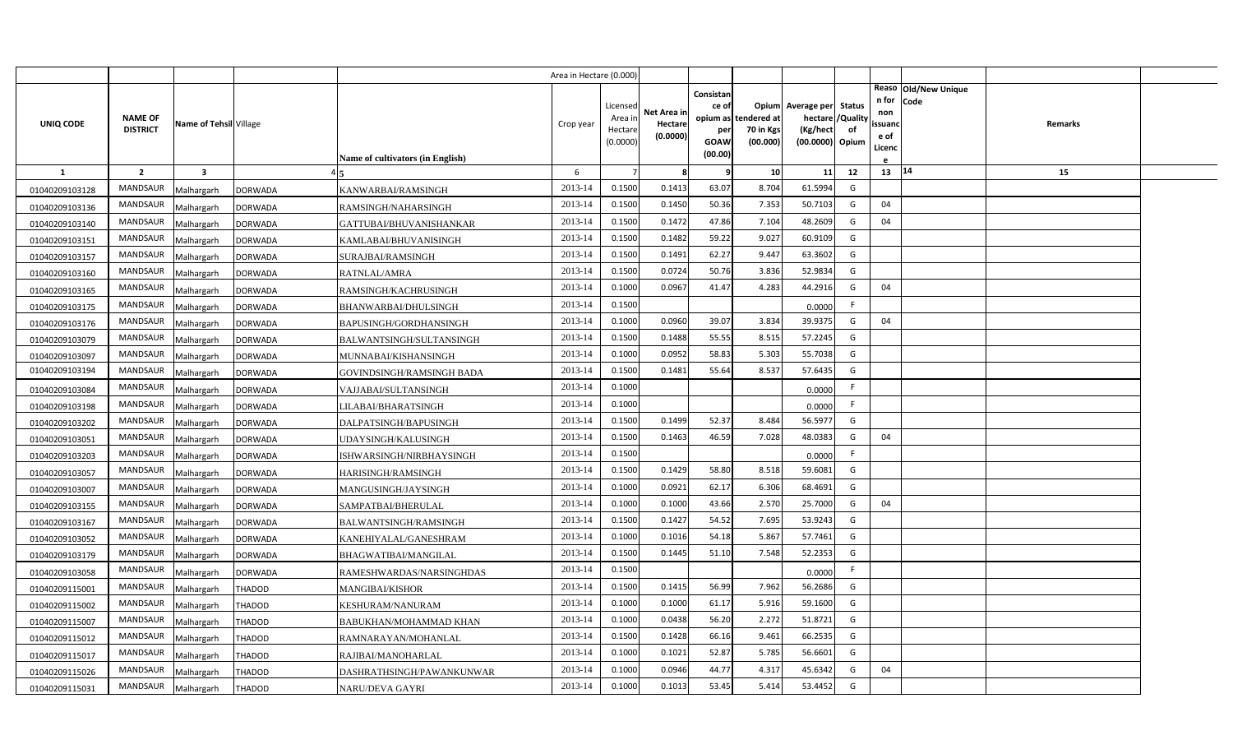|                                  |                                   |                          |                                  |                                           | Area in Hectare (0.000) |                               |                                    |                                       |                          |                                                 |                |                                |                              |         |  |
|----------------------------------|-----------------------------------|--------------------------|----------------------------------|-------------------------------------------|-------------------------|-------------------------------|------------------------------------|---------------------------------------|--------------------------|-------------------------------------------------|----------------|--------------------------------|------------------------------|---------|--|
| UNIQ CODE                        | <b>NAME OF</b><br><b>DISTRICT</b> | Name of Tehsil Village   |                                  |                                           | Crop year               | Licensec<br>Area ir<br>Hectar | Net Area ir<br>Hectare<br>(0.0000) | Consistan<br>ce of<br>opium as<br>per | tendered at<br>70 in Kgs | Opium Average per Status<br>hectare<br>(Kg/hect | /Quality<br>of | n for<br>non<br>ssuand<br>e of | Reaso Old/New Unique<br>Code | Remarks |  |
|                                  |                                   |                          |                                  |                                           |                         | (0.0000)                      |                                    | GOAW<br>(00.00)                       | (00.000)                 | (00.0000) Opium                                 |                | Licenc                         |                              |         |  |
| $\mathbf{1}$                     | $\overline{2}$                    | $\overline{\mathbf{3}}$  |                                  | Name of cultivators (in English)          | 6                       |                               | 8                                  | 9                                     | 10                       | 11                                              | 12             | 13                             | 14                           | 15      |  |
|                                  | <b>MANDSAUR</b>                   |                          |                                  |                                           | 2013-14                 | 0.1500                        | 0.1413                             | 63.07                                 | 8.704                    | 61.5994                                         | G              |                                |                              |         |  |
| 01040209103128                   | MANDSAUR                          | Malhargarh               | <b>DORWADA</b><br><b>DORWADA</b> | KANWARBAI/RAMSINGH<br>RAMSINGH/NAHARSINGH | 2013-14                 | 0.1500                        | 0.1450                             | 50.36                                 | 7.353                    | 50.7103                                         | G              | 04                             |                              |         |  |
| 01040209103136<br>01040209103140 | <b>MANDSAUR</b>                   | Malhargarh<br>Malhargarh | <b>DORWADA</b>                   | GATTUBAI/BHUVANISHANKAR                   | 2013-14                 | 0.1500                        | 0.1472                             | 47.86                                 | 7.104                    | 48.2609                                         | G              | 04                             |                              |         |  |
| 01040209103151                   | <b>MANDSAUR</b>                   | Malhargarh               | <b>DORWADA</b>                   | KAMLABAI/BHUVANISINGH                     | 2013-14                 | 0.1500                        | 0.1482                             | 59.22                                 | 9.027                    | 60.9109                                         | G              |                                |                              |         |  |
| 01040209103157                   | MANDSAUR                          | Malhargarh               | <b>DORWADA</b>                   | SURAJBAI/RAMSINGH                         | 2013-14                 | 0.1500                        | 0.1491                             | 62.27                                 | 9.447                    | 63.3602                                         | G              |                                |                              |         |  |
| 01040209103160                   | <b>MANDSAUR</b>                   | Malhargarh               | <b>DORWADA</b>                   | RATNLAL/AMRA                              | 2013-14                 | 0.1500                        | 0.0724                             | 50.76                                 | 3.836                    | 52.9834                                         | G              |                                |                              |         |  |
| 01040209103165                   | MANDSAUR                          | Malhargarh               | <b>DORWADA</b>                   | RAMSINGH/KACHRUSINGH                      | 2013-14                 | 0.1000                        | 0.0967                             | 41.47                                 | 4.283                    | 44.2916                                         | G              | 04                             |                              |         |  |
| 01040209103175                   | <b>MANDSAUR</b>                   | Malhargarh               | <b>DORWADA</b>                   | BHANWARBAI/DHULSINGH                      | 2013-14                 | 0.1500                        |                                    |                                       |                          | 0.0000                                          | F              |                                |                              |         |  |
| 01040209103176                   | MANDSAUR                          | Malhargarh               | <b>DORWADA</b>                   | BAPUSINGH/GORDHANSINGH                    | 2013-14                 | 0.1000                        | 0.0960                             | 39.07                                 | 3.834                    | 39.9375                                         | G              | 04                             |                              |         |  |
| 01040209103079                   | MANDSAUR                          | Malhargarh               | <b>DORWADA</b>                   | BALWANTSINGH/SULTANSINGH                  | 2013-14                 | 0.1500                        | 0.1488                             | 55.55                                 | 8.515                    | 57.2245                                         | G              |                                |                              |         |  |
| 01040209103097                   | MANDSAUR                          | Malhargarh               | DORWADA                          | MUNNABAI/KISHANSINGH                      | 2013-14                 | 0.1000                        | 0.0952                             | 58.83                                 | 5.303                    | 55.7038                                         | G              |                                |                              |         |  |
| 01040209103194                   | <b>MANDSAUR</b>                   | Malhargarh               | <b>DORWADA</b>                   | GOVINDSINGH/RAMSINGH BADA                 | 2013-14                 | 0.1500                        | 0.1481                             | 55.64                                 | 8.537                    | 57.6435                                         | G              |                                |                              |         |  |
| 01040209103084                   | <b>MANDSAUR</b>                   | Malhargarh               | DORWADA                          | VAJJABAI/SULTANSINGH                      | 2013-14                 | 0.1000                        |                                    |                                       |                          | 0.0000                                          | F.             |                                |                              |         |  |
| 01040209103198                   | MANDSAUR                          | Malhargarh               | <b>DORWADA</b>                   | LILABAI/BHARATSINGH                       | 2013-14                 | 0.1000                        |                                    |                                       |                          | 0.0000                                          | F.             |                                |                              |         |  |
| 01040209103202                   | <b>MANDSAUR</b>                   | Malhargarh               | <b>DORWADA</b>                   | DALPATSINGH/BAPUSINGH                     | 2013-14                 | 0.1500                        | 0.1499                             | 52.37                                 | 8.484                    | 56.5977                                         | G              |                                |                              |         |  |
| 01040209103051                   | MANDSAUR                          | Malhargarh               | <b>DORWADA</b>                   | UDAYSINGH/KALUSINGH                       | 2013-14                 | 0.1500                        | 0.1463                             | 46.59                                 | 7.028                    | 48.0383                                         | G              | 04                             |                              |         |  |
| 01040209103203                   | MANDSAUR                          | Malhargarh               | <b>DORWADA</b>                   | ISHWARSINGH/NIRBHAYSINGH                  | 2013-14                 | 0.1500                        |                                    |                                       |                          | 0.0000                                          | F.             |                                |                              |         |  |
| 01040209103057                   | MANDSAUR                          | Malhargarh               | <b>DORWADA</b>                   | HARISINGH/RAMSINGH                        | 2013-14                 | 0.1500                        | 0.1429                             | 58.80                                 | 8.518                    | 59.6081                                         | G              |                                |                              |         |  |
| 01040209103007                   | MANDSAUR                          | Malhargarh               | DORWADA                          | MANGUSINGH/JAYSINGH                       | 2013-14                 | 0.1000                        | 0.0921                             | 62.17                                 | 6.306                    | 68.4691                                         | G              |                                |                              |         |  |
| 01040209103155                   | MANDSAUR                          | Malhargarh               | DORWADA                          | SAMPATBAI/BHERULAL                        | 2013-14                 | 0.1000                        | 0.1000                             | 43.66                                 | 2.570                    | 25.7000                                         | G              | 04                             |                              |         |  |
| 01040209103167                   | MANDSAUR                          | Malhargarh               | <b>DORWADA</b>                   | BALWANTSINGH/RAMSINGH                     | 2013-14                 | 0.1500                        | 0.1427                             | 54.52                                 | 7.695                    | 53.9243                                         | G              |                                |                              |         |  |
| 01040209103052                   | MANDSAUR                          | Malhargarh               | DORWADA                          | KANEHIYALAL/GANESHRAM                     | 2013-14                 | 0.1000                        | 0.1016                             | 54.18                                 | 5.867                    | 57.7461                                         | G              |                                |                              |         |  |
| 01040209103179                   | MANDSAUR                          | Malhargarh               | DORWADA                          | BHAGWATIBAI/MANGILAL                      | 2013-14                 | 0.1500                        | 0.1445                             | 51.10                                 | 7.548                    | 52.2353                                         | G              |                                |                              |         |  |
| 01040209103058                   | MANDSAUR                          | Malhargarh               | DORWADA                          | RAMESHWARDAS/NARSINGHDAS                  | 2013-14                 | 0.1500                        |                                    |                                       |                          | 0.0000                                          | F.             |                                |                              |         |  |
| 01040209115001                   | MANDSAUR                          | Malhargarh               | THADOD                           | <b>MANGIBAI/KISHOR</b>                    | 2013-14                 | 0.1500                        | 0.1415                             | 56.99                                 | 7.962                    | 56.2686                                         | G              |                                |                              |         |  |
| 01040209115002                   | MANDSAUR                          | Malhargarh               | THADOD                           | KESHURAM/NANURAM                          | 2013-14                 | 0.1000                        | 0.1000                             | 61.17                                 | 5.916                    | 59.1600                                         | G              |                                |                              |         |  |
| 01040209115007                   | MANDSAUR                          | Malhargarh               | <b>THADOD</b>                    | BABUKHAN/MOHAMMAD KHAN                    | 2013-14                 | 0.1000                        | 0.0438                             | 56.20                                 | 2.272                    | 51.8721                                         | G              |                                |                              |         |  |
| 01040209115012                   | MANDSAUR                          | Malhargarh               | <b>THADOD</b>                    | RAMNARAYAN/MOHANLAL                       | 2013-14                 | 0.1500                        | 0.1428                             | 66.16                                 | 9.461                    | 66.2535                                         | G              |                                |                              |         |  |
| 01040209115017                   | MANDSAUR                          | Malhargarh               | THADOD                           | RAJIBAI/MANOHARLAL                        | 2013-14                 | 0.1000                        | 0.1021                             | 52.87                                 | 5.785                    | 56.6601                                         | G              |                                |                              |         |  |
| 01040209115026                   | MANDSAUR                          | Malhargarh               | <b>THADOD</b>                    | DASHRATHSINGH/PAWANKUNWAR                 | 2013-14                 | 0.1000                        | 0.0946                             | 44.77                                 | 4.317                    | 45.6342                                         | G              | 04                             |                              |         |  |
| 01040209115031                   | MANDSAUR                          | Malhargarh               | <b>THADOD</b>                    | NARU/DEVA GAYRI                           | 2013-14                 | 0.1000                        | 0.1013                             | 53.45                                 | 5.414                    | 53.4452                                         | G              |                                |                              |         |  |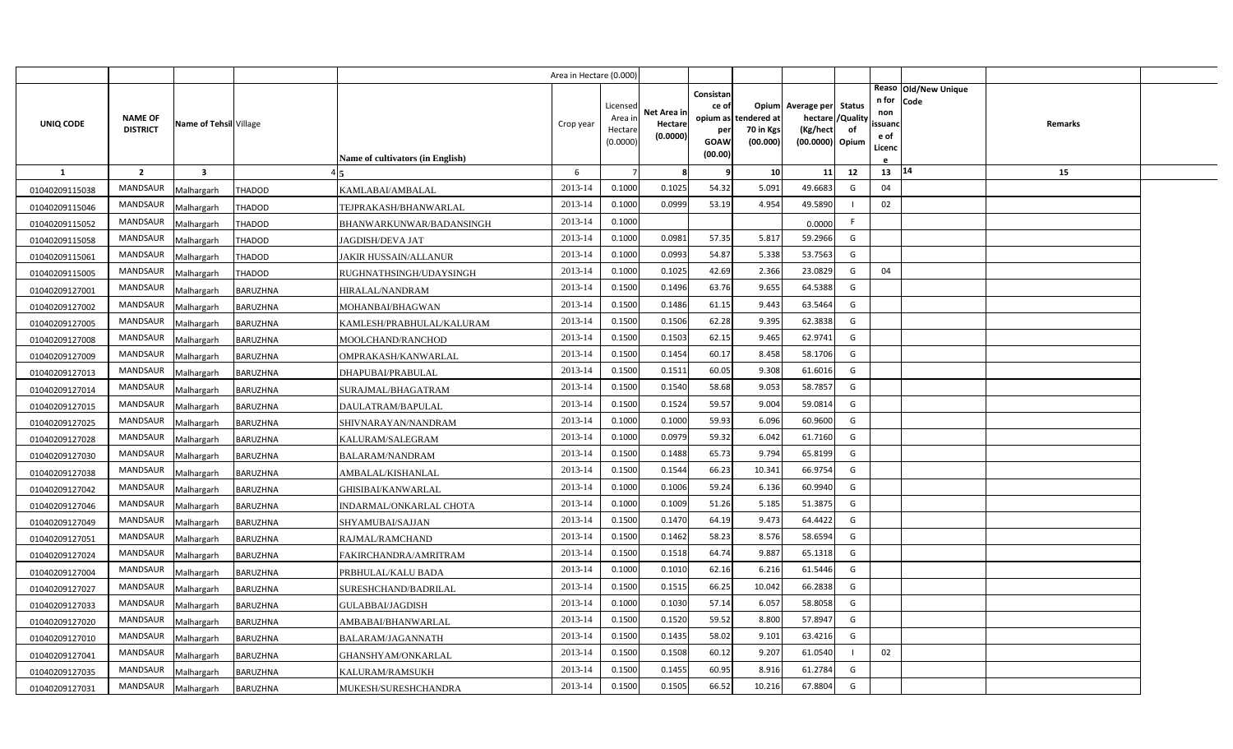|                |                                   |                         |                 |                                  | Area in Hectare (0.000)<br>Consistan<br>Licensed<br>ce of<br>Net Area in<br>Area ir<br>opium as<br>Crop year<br>Hectare<br>Hectare<br>per<br>(0.0000)<br>(0.0000)<br><b>GOAW</b><br>(00.00)<br>6<br>$\overline{7}$<br>8 |        |        |       |                                      |                                                                              |    |                                               |                                          |  |
|----------------|-----------------------------------|-------------------------|-----------------|----------------------------------|-------------------------------------------------------------------------------------------------------------------------------------------------------------------------------------------------------------------------|--------|--------|-------|--------------------------------------|------------------------------------------------------------------------------|----|-----------------------------------------------|------------------------------------------|--|
| UNIQ CODE      | <b>NAME OF</b><br><b>DISTRICT</b> | Name of Tehsil Village  |                 | Name of cultivators (in English) |                                                                                                                                                                                                                         |        |        |       | tendered at<br>70 in Kgs<br>(00.000) | Opium Average per Status<br>hectare / Quality<br>(Kg/hect<br>(00.0000) Opium | of | n for Code<br>non<br>ssuand<br>e of<br>Licenc | Reaso   Old/New Unique<br><b>Remarks</b> |  |
| <b>1</b>       | $\overline{2}$                    | $\overline{\mathbf{3}}$ |                 |                                  |                                                                                                                                                                                                                         |        |        |       | 10 <sup>1</sup>                      | 11                                                                           | 12 | 13                                            | 14<br>15                                 |  |
| 01040209115038 | <b>MANDSAUR</b>                   | Malhargarh              | <b>THADOD</b>   | KAMLABAI/AMBALAL                 | 2013-14                                                                                                                                                                                                                 | 0.1000 | 0.1025 | 54.32 | 5.091                                | 49.6683                                                                      | G  | 04                                            |                                          |  |
| 01040209115046 | MANDSAUR                          | Malhargarh              | <b>THADOD</b>   | TEJPRAKASH/BHANWARLAL            | 2013-14                                                                                                                                                                                                                 | 0.1000 | 0.0999 | 53.19 | 4.954                                | 49.5890                                                                      |    | 02                                            |                                          |  |
| 01040209115052 | <b>MANDSAUR</b>                   | Malhargarh              | <b>THADOD</b>   | BHANWARKUNWAR/BADANSINGH         | 2013-14                                                                                                                                                                                                                 | 0.1000 |        |       |                                      | 0.0000                                                                       | F. |                                               |                                          |  |
| 01040209115058 | <b>MANDSAUR</b>                   | Malhargarh              | THADOD          | JAGDISH/DEVA JAT                 | 2013-14                                                                                                                                                                                                                 | 0.1000 | 0.0981 | 57.35 | 5.817                                | 59.2966                                                                      | G  |                                               |                                          |  |
| 01040209115061 | MANDSAUR                          | Malhargarh              | THADOD          | JAKIR HUSSAIN/ALLANUR            | 2013-14                                                                                                                                                                                                                 | 0.1000 | 0.0993 | 54.87 | 5.338                                | 53.7563                                                                      | G  |                                               |                                          |  |
| 01040209115005 | <b>MANDSAUR</b>                   | Malhargarh              | THADOD          | RUGHNATHSINGH/UDAYSINGH          | 2013-14                                                                                                                                                                                                                 | 0.1000 | 0.1025 | 42.69 | 2.366                                | 23.0829                                                                      | G  | 04                                            |                                          |  |
| 01040209127001 | MANDSAUR                          | Malhargarh              | <b>BARUZHNA</b> | HIRALAL/NANDRAM                  | 2013-14                                                                                                                                                                                                                 | 0.1500 | 0.1496 | 63.76 | 9.655                                | 64.5388                                                                      | G  |                                               |                                          |  |
| 01040209127002 | <b>MANDSAUR</b>                   | Malhargarh              | BARUZHNA        | MOHANBAI/BHAGWAN                 | 2013-14                                                                                                                                                                                                                 | 0.1500 | 0.1486 | 61.15 | 9.443                                | 63.5464                                                                      | G  |                                               |                                          |  |
| 01040209127005 | MANDSAUR                          | Malhargarh              | BARUZHNA        | KAMLESH/PRABHULAL/KALURAM        | 2013-14                                                                                                                                                                                                                 | 0.1500 | 0.1506 | 62.28 | 9.395                                | 62.3838                                                                      | G  |                                               |                                          |  |
| 01040209127008 | MANDSAUR                          | Malhargarh              | BARUZHNA        | MOOLCHAND/RANCHOD                | 2013-14                                                                                                                                                                                                                 | 0.1500 | 0.1503 | 62.15 | 9.465                                | 62.9741                                                                      | G  |                                               |                                          |  |
| 01040209127009 | MANDSAUR                          | Malhargarh              | BARUZHNA        | OMPRAKASH/KANWARLAL              | 2013-14                                                                                                                                                                                                                 | 0.1500 | 0.1454 | 60.17 | 8.458                                | 58.1706                                                                      | G  |                                               |                                          |  |
| 01040209127013 | MANDSAUR                          | Malhargarh              | BARUZHNA        | DHAPUBAI/PRABULAL                | 2013-14                                                                                                                                                                                                                 | 0.1500 | 0.1511 | 60.05 | 9.308                                | 61.6016                                                                      | G  |                                               |                                          |  |
| 01040209127014 | <b>MANDSAUR</b>                   | Malhargarh              | BARUZHNA        | SURAJMAL/BHAGATRAM               | 2013-14                                                                                                                                                                                                                 | 0.1500 | 0.1540 | 58.68 | 9.053                                | 58.7857                                                                      | G  |                                               |                                          |  |
| 01040209127015 | MANDSAUR                          | Malhargarh              | BARUZHNA        | DAULATRAM/BAPULAL                | 2013-14                                                                                                                                                                                                                 | 0.1500 | 0.1524 | 59.57 | 9.004                                | 59.0814                                                                      | G  |                                               |                                          |  |
| 01040209127025 | MANDSAUR                          | Malhargarh              | BARUZHNA        | SHIVNARAYAN/NANDRAM              | 2013-14                                                                                                                                                                                                                 | 0.1000 | 0.1000 | 59.93 | 6.096                                | 60.9600                                                                      | G  |                                               |                                          |  |
| 01040209127028 | MANDSAUR                          | Malhargarh              | BARUZHNA        | KALURAM/SALEGRAM                 | 2013-14                                                                                                                                                                                                                 | 0.1000 | 0.0979 | 59.32 | 6.042                                | 61.7160                                                                      | G  |                                               |                                          |  |
| 01040209127030 | MANDSAUR                          | Malhargarh              | BARUZHNA        | <b>BALARAM/NANDRAM</b>           | 2013-14                                                                                                                                                                                                                 | 0.1500 | 0.1488 | 65.73 | 9.794                                | 65.8199                                                                      | G  |                                               |                                          |  |
| 01040209127038 | MANDSAUR                          | Malhargarh              | BARUZHNA        | AMBALAL/KISHANLAL                | 2013-14                                                                                                                                                                                                                 | 0.1500 | 0.1544 | 66.23 | 10.341                               | 66.9754                                                                      | G  |                                               |                                          |  |
| 01040209127042 | MANDSAUR                          | Malhargarh              | BARUZHNA        | GHISIBAI/KANWARLAL               | 2013-14                                                                                                                                                                                                                 | 0.1000 | 0.1006 | 59.24 | 6.136                                | 60.9940                                                                      | G  |                                               |                                          |  |
| 01040209127046 | MANDSAUR                          | Malhargarh              | BARUZHNA        | INDARMAL/ONKARLAL CHOTA          | 2013-14                                                                                                                                                                                                                 | 0.1000 | 0.1009 | 51.26 | 5.185                                | 51.3875                                                                      | G  |                                               |                                          |  |
| 01040209127049 | MANDSAUR                          | Malhargarh              | BARUZHNA        | SHYAMUBAI/SAJJAN                 | 2013-14                                                                                                                                                                                                                 | 0.1500 | 0.1470 | 64.19 | 9.473                                | 64.4422                                                                      | G  |                                               |                                          |  |
| 01040209127051 | MANDSAUR                          | Malhargarh              | BARUZHNA        | RAJMAL/RAMCHAND                  | 2013-14                                                                                                                                                                                                                 | 0.1500 | 0.1462 | 58.23 | 8.576                                | 58.6594                                                                      | G  |                                               |                                          |  |
| 01040209127024 | MANDSAUR                          | Malhargarh              | BARUZHNA        | FAKIRCHANDRA/AMRITRAM            | 2013-14                                                                                                                                                                                                                 | 0.1500 | 0.1518 | 64.74 | 9.887                                | 65.1318                                                                      | G  |                                               |                                          |  |
| 01040209127004 | MANDSAUR                          | Malhargarh              | BARUZHNA        | PRBHULAL/KALU BADA               | 2013-14                                                                                                                                                                                                                 | 0.1000 | 0.1010 | 62.16 | 6.216                                | 61.5446                                                                      | G  |                                               |                                          |  |
| 01040209127027 | MANDSAUR                          | Malhargarh              | BARUZHNA        | SURESHCHAND/BADRILAL             | 2013-14                                                                                                                                                                                                                 | 0.1500 | 0.1515 | 66.25 | 10.042                               | 66.2838                                                                      | G  |                                               |                                          |  |
| 01040209127033 | MANDSAUR                          | Malhargarh              | BARUZHNA        | GULABBAI/JAGDISH                 | 2013-14                                                                                                                                                                                                                 | 0.1000 | 0.1030 | 57.14 | 6.057                                | 58.8058                                                                      | G  |                                               |                                          |  |
| 01040209127020 | MANDSAUR                          | Malhargarh              | BARUZHNA        | AMBABAI/BHANWARLAL               | 2013-14                                                                                                                                                                                                                 | 0.1500 | 0.1520 | 59.52 | 8.800                                | 57.8947                                                                      | G  |                                               |                                          |  |
| 01040209127010 | MANDSAUR                          | Malhargarh              | BARUZHNA        | BALARAM/JAGANNATH                | 2013-14                                                                                                                                                                                                                 | 0.1500 | 0.1435 | 58.02 | 9.101                                | 63.4216                                                                      | G  |                                               |                                          |  |
| 01040209127041 | MANDSAUR                          | Malhargarh              | <b>BARUZHNA</b> | GHANSHYAM/ONKARLAL               | 2013-14                                                                                                                                                                                                                 | 0.1500 | 0.1508 | 60.12 | 9.207                                | 61.0540                                                                      |    | 02                                            |                                          |  |
| 01040209127035 | MANDSAUR                          | Malhargarh              | BARUZHNA        | KALURAM/RAMSUKH                  | 2013-14                                                                                                                                                                                                                 | 0.1500 | 0.1455 | 60.95 | 8.916                                | 61.2784                                                                      | G  |                                               |                                          |  |
| 01040209127031 | MANDSAUR                          | Malhargarh              | <b>BARUZHNA</b> | MUKESH/SURESHCHANDRA             | 2013-14                                                                                                                                                                                                                 | 0.1500 | 0.1505 | 66.52 | 10.216                               | 67.8804                                                                      | G  |                                               |                                          |  |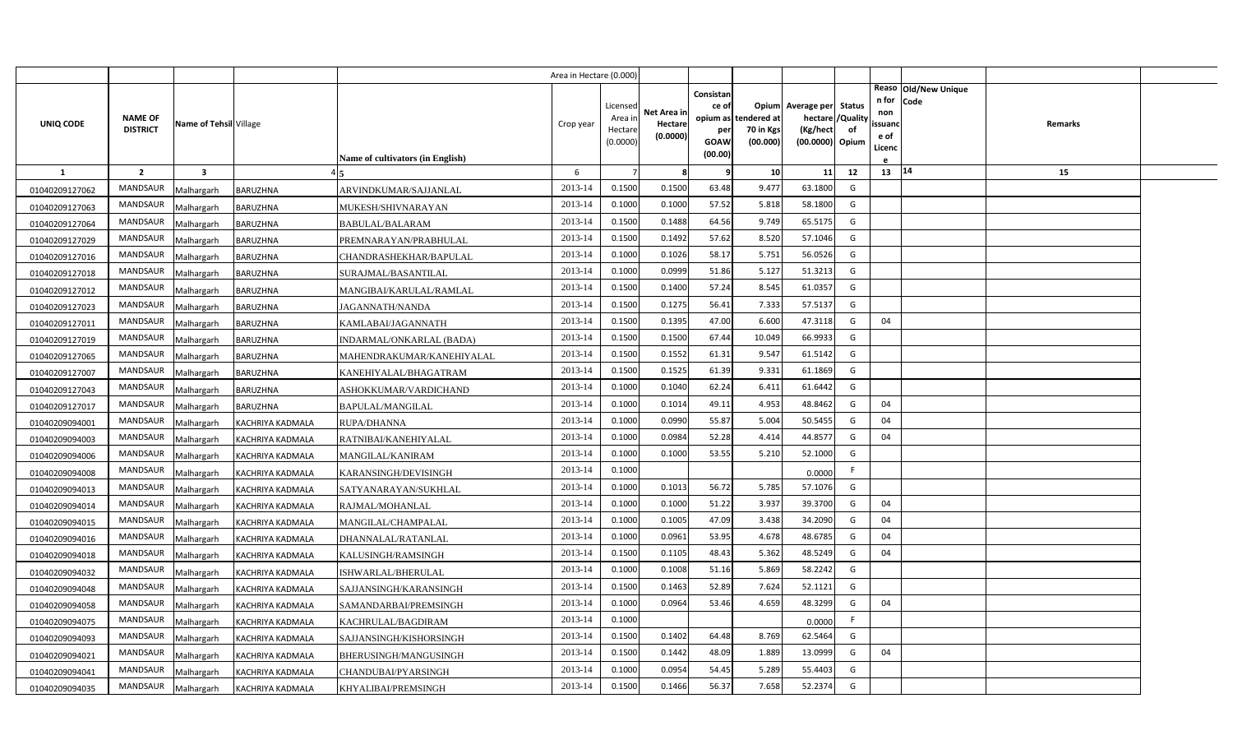|                |                 |                         |                         |                                         | Area in Hectare (0.000) |                     |                        |                    |                       |                             |          |                                              |         |  |
|----------------|-----------------|-------------------------|-------------------------|-----------------------------------------|-------------------------|---------------------|------------------------|--------------------|-----------------------|-----------------------------|----------|----------------------------------------------|---------|--|
|                |                 |                         |                         |                                         |                         | Licensed            |                        | Consistan<br>ce of |                       | Opium Average per Status    |          | Reaso Old/New Unique<br>n for<br><b>Code</b> |         |  |
| UNIQ CODE      | <b>NAME OF</b>  | Name of Tehsil Village  |                         |                                         | Crop year               | Area in             | Net Area in<br>Hectare |                    | opium as tendered at  | hectare                     | 'Quality | non<br>ssuand                                | Remarks |  |
|                | <b>DISTRICT</b> |                         |                         |                                         |                         | Hectare<br>(0.0000) | (0.0000)               | per<br>GOAW        | 70 in Kgs<br>(00.000) | (Kg/hect<br>(00.0000) Opium | of       | e of                                         |         |  |
|                |                 |                         |                         | <b>Name of cultivators (in English)</b> |                         |                     |                        | (00.00)            |                       |                             |          | Licenc                                       |         |  |
| 1              | $\overline{2}$  | $\overline{\mathbf{3}}$ |                         |                                         | 6                       |                     | 8                      | 9                  | 10                    | 11                          | 12       | 13   14                                      | 15      |  |
| 01040209127062 | <b>MANDSAUR</b> | Malhargarh              | <b>BARUZHNA</b>         | ARVINDKUMAR/SAJJANLAL                   | 2013-14                 | 0.1500              | 0.1500                 | 63.48              | 9.477                 | 63.1800                     | G        |                                              |         |  |
| 01040209127063 | <b>MANDSAUR</b> | Malhargarh              | BARUZHNA                | MUKESH/SHIVNARAYAN                      | 2013-14                 | 0.1000              | 0.1000                 | 57.52              | 5.818                 | 58.1800                     | G        |                                              |         |  |
| 01040209127064 | <b>MANDSAUR</b> | Malhargarh              | BARUZHNA                | BABULAL/BALARAM                         | 2013-14                 | 0.1500              | 0.1488                 | 64.56              | 9.749                 | 65.5175                     | G        |                                              |         |  |
| 01040209127029 | <b>MANDSAUR</b> | Malhargarh              | BARUZHNA                | PREMNARAYAN/PRABHULAL                   | 2013-14                 | 0.1500              | 0.1492                 | 57.62              | 8.520                 | 57.1046                     | G        |                                              |         |  |
| 01040209127016 | <b>MANDSAUR</b> | Malhargarh              | BARUZHNA                | CHANDRASHEKHAR/BAPULAL                  | 2013-14                 | 0.1000              | 0.1026                 | 58.17              | 5.751                 | 56.0526                     | G        |                                              |         |  |
| 01040209127018 | <b>MANDSAUR</b> | Malhargarh              | BARUZHNA                | SURAJMAL/BASANTILAL                     | 2013-14                 | 0.1000              | 0.0999                 | 51.86              | 5.127                 | 51.3213                     | G        |                                              |         |  |
| 01040209127012 | <b>MANDSAUR</b> | Malhargarh              | BARUZHNA                | MANGIBAI/KARULAL/RAMLAL                 | 2013-14                 | 0.1500              | 0.1400                 | 57.24              | 8.545                 | 61.0357                     | G        |                                              |         |  |
| 01040209127023 | <b>MANDSAUR</b> | Malhargarh              | BARUZHNA                | <b>JAGANNATH/NANDA</b>                  | 2013-14                 | 0.1500              | 0.1275                 | 56.41              | 7.333                 | 57.5137                     | G        |                                              |         |  |
| 01040209127011 | <b>MANDSAUR</b> | Malhargarh              | BARUZHNA                | KAMLABAI/JAGANNATH                      | 2013-14                 | 0.1500              | 0.1395                 | 47.00              | 6.600                 | 47.3118                     | G        | 04                                           |         |  |
| 01040209127019 | <b>MANDSAUR</b> | Malhargarh              | BARUZHNA                | INDARMAL/ONKARLAL (BADA)                | 2013-14                 | 0.1500              | 0.1500                 | 67.44              | 10.049                | 66.9933                     | G        |                                              |         |  |
| 01040209127065 | MANDSAUR        | Malhargarh              | BARUZHNA                | MAHENDRAKUMAR/KANEHIYALAL               | 2013-14                 | 0.1500              | 0.1552                 | 61.31              | 9.547                 | 61.5142                     | G        |                                              |         |  |
| 01040209127007 | <b>MANDSAUR</b> | Malhargarh              | BARUZHNA                | KANEHIYALAL/BHAGATRAM                   | 2013-14                 | 0.1500              | 0.1525                 | 61.39              | 9.331                 | 61.1869                     | G        |                                              |         |  |
| 01040209127043 | MANDSAUR        | Malhargarh              | BARUZHNA                | ASHOKKUMAR/VARDICHAND                   | 2013-14                 | 0.1000              | 0.1040                 | 62.24              | 6.411                 | 61.6442                     | G        |                                              |         |  |
| 01040209127017 | <b>MANDSAUR</b> | Malhargarh              | BARUZHNA                | BAPULAL/MANGILAL                        | 2013-14                 | 0.1000              | 0.1014                 | 49.11              | 4.953                 | 48.8462                     | G        | 04                                           |         |  |
| 01040209094001 | <b>MANDSAUR</b> | Malhargarh              | KACHRIYA KADMALA        | RUPA/DHANNA                             | 2013-14                 | 0.1000              | 0.0990                 | 55.87              | 5.004                 | 50.5455                     | G        | 04                                           |         |  |
| 01040209094003 | <b>MANDSAUR</b> | Malhargarh              | KACHRIYA KADMALA        | RATNIBAI/KANEHIYALAL                    | 2013-14                 | 0.1000              | 0.0984                 | 52.28              | 4.414                 | 44.8577                     | G        | 04                                           |         |  |
| 01040209094006 | MANDSAUR        | Malhargarh              | KACHRIYA KADMALA        | MANGILAL/KANIRAM                        | 2013-14                 | 0.1000              | 0.1000                 | 53.55              | 5.210                 | 52.1000                     | G        |                                              |         |  |
| 01040209094008 | <b>MANDSAUR</b> | Malhargarh              | KACHRIYA KADMALA        | KARANSINGH/DEVISINGH                    | 2013-14                 | 0.1000              |                        |                    |                       | 0.0000                      | F.       |                                              |         |  |
| 01040209094013 | <b>MANDSAUR</b> | Malhargarh              | KACHRIYA KADMALA        | SATYANARAYAN/SUKHLAL                    | 2013-14                 | 0.1000              | 0.1013                 | 56.72              | 5.785                 | 57.1076                     | G        |                                              |         |  |
| 01040209094014 | <b>MANDSAUR</b> | Malhargarh              | KACHRIYA KADMALA        | RAJMAL/MOHANLAL                         | 2013-14                 | 0.1000              | 0.1000                 | 51.22              | 3.937                 | 39.3700                     | G        | 04                                           |         |  |
| 01040209094015 | <b>MANDSAUR</b> | Malhargarh              | KACHRIYA KADMALA        | MANGILAL/CHAMPALAL                      | 2013-14                 | 0.1000              | 0.1005                 | 47.09              | 3.438                 | 34.2090                     | G        | 04                                           |         |  |
| 01040209094016 | <b>MANDSAUR</b> | Malhargarh              | KACHRIYA KADMALA        | DHANNALAL/RATANLAL                      | 2013-14                 | 0.1000              | 0.0961                 | 53.95              | 4.678                 | 48.6785                     | G        | 04                                           |         |  |
| 01040209094018 | <b>MANDSAUR</b> | Malhargarh              | KACHRIYA KADMALA        | KALUSINGH/RAMSINGH                      | 2013-14                 | 0.1500              | 0.1105                 | 48.43              | 5.362                 | 48.5249                     | G        | 04                                           |         |  |
| 01040209094032 | MANDSAUR        | Malhargarh              | KACHRIYA KADMALA        | ISHWARLAL/BHERULAL                      | 2013-14                 | 0.1000              | 0.1008                 | 51.16              | 5.869                 | 58.2242                     | G        |                                              |         |  |
| 01040209094048 | MANDSAUR        | Malhargarh              | KACHRIYA KADMALA        | SAJJANSINGH/KARANSINGH                  | 2013-14                 | 0.1500              | 0.1463                 | 52.89              | 7.624                 | 52.1121                     | G        |                                              |         |  |
| 01040209094058 | MANDSAUR        | Malhargarh              | KACHRIYA KADMALA        | SAMANDARBAI/PREMSINGH                   | 2013-14                 | 0.1000              | 0.0964                 | 53.46              | 4.659                 | 48.3299                     | G        | 04                                           |         |  |
| 01040209094075 | MANDSAUR        | Malhargarh              | KACHRIYA KADMALA        | KACHRULAL/BAGDIRAM                      | 2013-14                 | 0.1000              |                        |                    |                       | 0.0000                      | F.       |                                              |         |  |
| 01040209094093 | MANDSAUR        | Malhargarh              | <b>KACHRIYA KADMALA</b> | SAJJANSINGH/KISHORSINGH                 | 2013-14                 | 0.1500              | 0.1402                 | 64.48              | 8.769                 | 62.5464                     | G        |                                              |         |  |
| 01040209094021 | MANDSAUR        | Malhargarh              | <b>KACHRIYA KADMALA</b> | BHERUSINGH/MANGUSINGH                   | 2013-14                 | 0.1500              | 0.1442                 | 48.09              | 1.889                 | 13.0999                     | G        | 04                                           |         |  |
| 01040209094041 | <b>MANDSAUR</b> | Malhargarh              | <b>KACHRIYA KADMALA</b> | CHANDUBAI/PYARSINGH                     | 2013-14                 | 0.1000              | 0.0954                 | 54.45              | 5.289                 | 55.4403                     | G        |                                              |         |  |
| 01040209094035 | <b>MANDSAUR</b> | Malhargarh              | <b>KACHRIYA KADMALA</b> | KHYALIBAI/PREMSINGH                     | 2013-14                 | 0.1500              | 0.1466                 | 56.37              | 7.658                 | 52.2374                     | G        |                                              |         |  |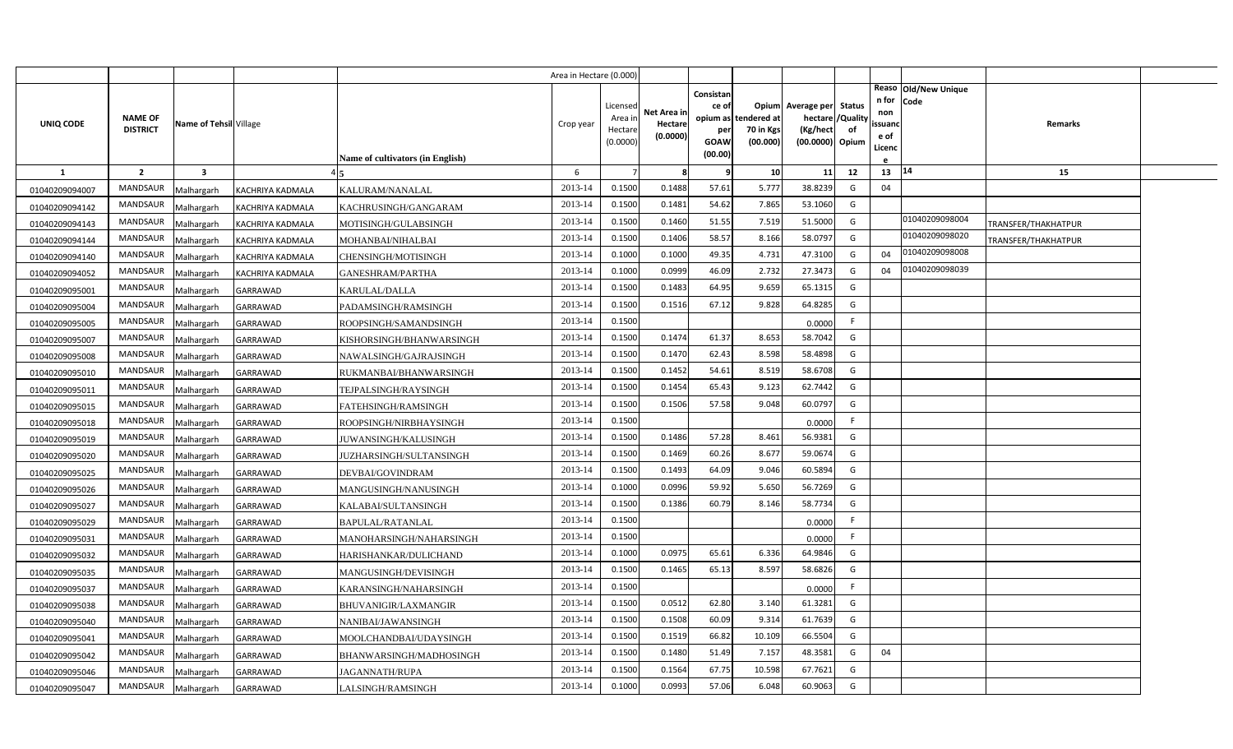|                |                                   |                         |                         |                                  | Area in Hectare (0.000 |                                           |                                    |                                                          |                                               |                                                       |                                 |                                          |                                |                     |  |
|----------------|-----------------------------------|-------------------------|-------------------------|----------------------------------|------------------------|-------------------------------------------|------------------------------------|----------------------------------------------------------|-----------------------------------------------|-------------------------------------------------------|---------------------------------|------------------------------------------|--------------------------------|---------------------|--|
| UNIQ CODE      | <b>NAME OF</b><br><b>DISTRICT</b> | Name of Tehsil Village  |                         | Name of cultivators (in English) | Crop year              | Licensed<br>Area i<br>Hectare<br>(0.0000) | Net Area ir<br>Hectare<br>(0.0000) | Consistan<br>ce of<br>opium as<br>per<br>GOAW<br>(00.00) | Opium<br>tendered at<br>70 in Kgs<br>(00.000) | Average per<br>hectare<br>(Kg/hect<br>(00.0000) Opium | <b>Status</b><br>/Quality<br>of | n for<br>non<br>ssuano<br>e of<br>Licenc | Reaso   Old/New Unique<br>Code | <b>Remarks</b>      |  |
| <b>1</b>       | $\overline{2}$                    | $\overline{\mathbf{3}}$ |                         |                                  | 6                      |                                           |                                    |                                                          | 10                                            | 11                                                    | 12                              | 13                                       | 14                             | 15                  |  |
| 01040209094007 | <b>MANDSAUR</b>                   | Malhargarh              | KACHRIYA KADMALA        | KALURAM/NANALAL                  | 2013-14                | 0.1500                                    | 0.1488                             | 57.61                                                    | 5.777                                         | 38.8239                                               | G                               | 04                                       |                                |                     |  |
| 01040209094142 | MANDSAUR                          | Malhargarh              | <b>KACHRIYA KADMALA</b> | KACHRUSINGH/GANGARAM             | 2013-14                | 0.1500                                    | 0.1481                             | 54.62                                                    | 7.865                                         | 53.1060                                               | G                               |                                          |                                |                     |  |
| 01040209094143 | MANDSAUR                          | Malhargarh              | <b>KACHRIYA KADMALA</b> | MOTISINGH/GULABSINGH             | 2013-14                | 0.1500                                    | 0.1460                             | 51.55                                                    | 7.519                                         | 51.5000                                               | G                               |                                          | 01040209098004                 | TRANSFER/THAKHATPUR |  |
| 01040209094144 | MANDSAUR                          | Malhargarh              | KACHRIYA KADMALA        | MOHANBAI/NIHALBAI                | 2013-14                | 0.1500                                    | 0.1406                             | 58.57                                                    | 8.166                                         | 58.0797                                               | G                               |                                          | 01040209098020                 | TRANSFER/THAKHATPUR |  |
| 01040209094140 | MANDSAUR                          | Malhargarh              | KACHRIYA KADMALA        | CHENSINGH/MOTISINGH              | 2013-14                | 0.1000                                    | 0.1000                             | 49.35                                                    | 4.731                                         | 47.3100                                               | G                               | 04                                       | 01040209098008                 |                     |  |
| 01040209094052 | <b>MANDSAUR</b>                   | Malhargarh              | KACHRIYA KADMALA        | GANESHRAM/PARTHA                 | 2013-14                | 0.1000                                    | 0.0999                             | 46.09                                                    | 2.732                                         | 27.3473                                               | G                               | 04                                       | 01040209098039                 |                     |  |
| 01040209095001 | MANDSAUR                          | Malhargarh              | GARRAWAD                | KARULAL/DALLA                    | 2013-14                | 0.1500                                    | 0.1483                             | 64.95                                                    | 9.659                                         | 65.1315                                               | G                               |                                          |                                |                     |  |
| 01040209095004 | MANDSAUR                          | Malhargarh              | GARRAWAD                | PADAMSINGH/RAMSINGH              | 2013-14                | 0.1500                                    | 0.1516                             | 67.12                                                    | 9.828                                         | 64.8285                                               | G                               |                                          |                                |                     |  |
| 01040209095005 | MANDSAUR                          | Malhargarh              | <b>GARRAWAD</b>         | ROOPSINGH/SAMANDSINGH            | 2013-14                | 0.1500                                    |                                    |                                                          |                                               | 0.0000                                                | F                               |                                          |                                |                     |  |
| 01040209095007 | MANDSAUR                          | Malhargarh              | GARRAWAD                | KISHORSINGH/BHANWARSINGH         | 2013-14                | 0.1500                                    | 0.1474                             | 61.37                                                    | 8.653                                         | 58.7042                                               | G                               |                                          |                                |                     |  |
| 01040209095008 | MANDSAUR                          | Malhargarh              | GARRAWAD                | NAWALSINGH/GAJRAJSINGH           | 2013-14                | 0.1500                                    | 0.1470                             | 62.43                                                    | 8.598                                         | 58.4898                                               | G                               |                                          |                                |                     |  |
| 01040209095010 | MANDSAUR                          | Malhargarh              | GARRAWAD                | RUKMANBAI/BHANWARSINGH           | 2013-14                | 0.1500                                    | 0.1452                             | 54.61                                                    | 8.519                                         | 58.6708                                               | G                               |                                          |                                |                     |  |
| 01040209095011 | MANDSAUR                          | Malhargarh              | <b>GARRAWAD</b>         | TEJPALSINGH/RAYSINGH             | 2013-14                | 0.1500                                    | 0.1454                             | 65.43                                                    | 9.123                                         | 62.7442                                               | G                               |                                          |                                |                     |  |
| 01040209095015 | <b>MANDSAUR</b>                   | Malhargarh              | <b>GARRAWAD</b>         | FATEHSINGH/RAMSINGH              | 2013-14                | 0.1500                                    | 0.1506                             | 57.58                                                    | 9.048                                         | 60.0797                                               | G                               |                                          |                                |                     |  |
| 01040209095018 | <b>MANDSAUR</b>                   | Malhargarh              | GARRAWAD                | ROOPSINGH/NIRBHAYSINGH           | 2013-14                | 0.1500                                    |                                    |                                                          |                                               | 0.0000                                                | -F                              |                                          |                                |                     |  |
| 01040209095019 | <b>MANDSAUR</b>                   | Malhargarh              | <b>GARRAWAD</b>         | JUWANSINGH/KALUSINGH             | 2013-14                | 0.1500                                    | 0.1486                             | 57.28                                                    | 8.461                                         | 56.9381                                               | G                               |                                          |                                |                     |  |
| 01040209095020 | <b>MANDSAUR</b>                   | Malhargarh              | <b>GARRAWAD</b>         | JUZHARSINGH/SULTANSINGH          | 2013-14                | 0.1500                                    | 0.1469                             | 60.26                                                    | 8.677                                         | 59.0674                                               | G                               |                                          |                                |                     |  |
| 01040209095025 | <b>MANDSAUR</b>                   | <b>Malhargarh</b>       | <b>GARRAWAD</b>         | DEVBAI/GOVINDRAM                 | 2013-14                | 0.1500                                    | 0.1493                             | 64.09                                                    | 9.046                                         | 60.5894                                               | G                               |                                          |                                |                     |  |
| 01040209095026 | <b>MANDSAUR</b>                   | Malhargarh              | <b>GARRAWAD</b>         | MANGUSINGH/NANUSINGH             | 2013-14                | 0.1000                                    | 0.0996                             | 59.92                                                    | 5.650                                         | 56.7269                                               | G                               |                                          |                                |                     |  |
| 01040209095027 | MANDSAUR                          | Malhargarh              | <b>GARRAWAD</b>         | KALABAI/SULTANSINGH              | 2013-14                | 0.1500                                    | 0.1386                             | 60.79                                                    | 8.146                                         | 58.7734                                               | G                               |                                          |                                |                     |  |
| 01040209095029 | MANDSAUR                          | Malhargarh              | <b>GARRAWAD</b>         | BAPULAL/RATANLAL                 | 2013-14                | 0.1500                                    |                                    |                                                          |                                               | 0.0000                                                | -F                              |                                          |                                |                     |  |
| 01040209095031 | MANDSAUR                          | Malhargarh              | <b>GARRAWAD</b>         | MANOHARSINGH/NAHARSINGH          | 2013-14                | 0.1500                                    |                                    |                                                          |                                               | 0.0000                                                | -F                              |                                          |                                |                     |  |
| 01040209095032 | MANDSAUR                          | Malhargarh              | <b>GARRAWAD</b>         | HARISHANKAR/DULICHAND            | 2013-14                | 0.1000                                    | 0.0975                             | 65.61                                                    | 6.336                                         | 64.9846                                               | G                               |                                          |                                |                     |  |
| 01040209095035 | <b>MANDSAUR</b>                   | Malhargarh              | <b>GARRAWAD</b>         | MANGUSINGH/DEVISINGH             | 2013-14                | 0.1500                                    | 0.1465                             | 65.13                                                    | 8.597                                         | 58.6826                                               | G                               |                                          |                                |                     |  |
| 01040209095037 | MANDSAUR                          | Malhargarh              | GARRAWAD                | KARANSINGH/NAHARSINGH            | 2013-14                | 0.1500                                    |                                    |                                                          |                                               | 0.0000                                                | - F                             |                                          |                                |                     |  |
| 01040209095038 | MANDSAUR                          | Malhargarh              | <b>GARRAWAD</b>         | BHUVANIGIR/LAXMANGIR             | 2013-14                | 0.1500                                    | 0.0512                             | 62.80                                                    | 3.140                                         | 61.3281                                               | G                               |                                          |                                |                     |  |
| 01040209095040 | MANDSAUR                          | Malhargarh              | GARRAWAD                | NANIBAI/JAWANSINGH               | 2013-14                | 0.1500                                    | 0.1508                             | 60.09                                                    | 9.314                                         | 61.7639                                               | G                               |                                          |                                |                     |  |
| 01040209095041 | <b>MANDSAUR</b>                   | Malhargarh              | <b>GARRAWAD</b>         | MOOLCHANDBAI/UDAYSINGH           | 2013-14                | 0.1500                                    | 0.1519                             | 66.82                                                    | 10.109                                        | 66.5504                                               | G                               |                                          |                                |                     |  |
| 01040209095042 | MANDSAUR                          | Malhargarh              | <b>GARRAWAD</b>         | BHANWARSINGH/MADHOSINGH          | 2013-14                | 0.1500                                    | 0.1480                             | 51.49                                                    | 7.157                                         | 48.3581                                               | G                               | 04                                       |                                |                     |  |
| 01040209095046 | MANDSAUR                          | Malhargarh              | <b>GARRAWAD</b>         | JAGANNATH/RUPA                   | 2013-14                | 0.1500                                    | 0.1564                             | 67.75                                                    | 10.598                                        | 67.7621                                               | G                               |                                          |                                |                     |  |
| 01040209095047 | MANDSAUR                          | Malhargarh              | <b>GARRAWAD</b>         | LALSINGH/RAMSINGH                | 2013-14                | 0.1000                                    | 0.0993                             | 57.06                                                    | 6.048                                         | 60.9063                                               | G                               |                                          |                                |                     |  |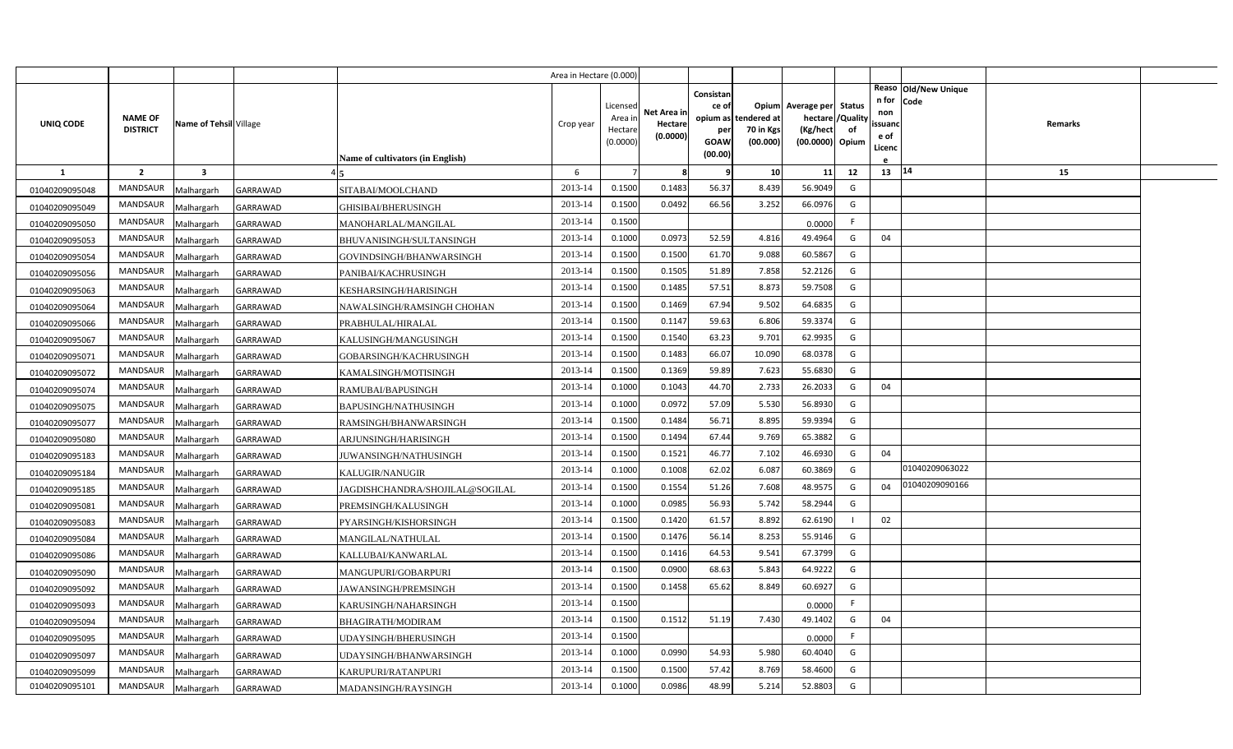|                |                                   |                         |                 |                                  | Area in Hectare (0.000 |                                            |                                    |                                                     |                                               |                                                  |                                          |                                          |                              |         |  |
|----------------|-----------------------------------|-------------------------|-----------------|----------------------------------|------------------------|--------------------------------------------|------------------------------------|-----------------------------------------------------|-----------------------------------------------|--------------------------------------------------|------------------------------------------|------------------------------------------|------------------------------|---------|--|
| UNIQ CODE      | <b>NAME OF</b><br><b>DISTRICT</b> | Name of Tehsil Village  |                 | Name of cultivators (in English) | Crop year              | Licensed<br>Area in<br>Hectare<br>(0.0000) | Net Area in<br>Hectare<br>(0.0000) | Consistan<br>ce of<br>per<br><b>GOAW</b><br>(00.00) | opium as tendered at<br>70 in Kgs<br>(00.000) | Opium Average per<br>(Kg/hect<br>(00.0000) Opium | <b>Status</b><br>hectare / Quality<br>of | n for<br>non<br>ssuand<br>e of<br>Licenc | Reaso Old/New Unique<br>Code | Remarks |  |
| $\mathbf{1}$   | $\overline{2}$                    | $\overline{\mathbf{3}}$ |                 |                                  | 6                      |                                            | 8                                  | q                                                   | 10                                            | 11                                               | 12                                       | 13   14                                  |                              | 15      |  |
| 01040209095048 | MANDSAUR                          | Malhargarh              | <b>GARRAWAD</b> | SITABAI/MOOLCHAND                | 2013-14                | 0.1500                                     | 0.1483                             | 56.37                                               | 8.439                                         | 56.9049                                          | G                                        |                                          |                              |         |  |
| 01040209095049 | <b>MANDSAUR</b>                   | Malhargarh              | <b>GARRAWAD</b> | GHISIBAI/BHERUSINGH              | 2013-14                | 0.1500                                     | 0.0492                             | 66.56                                               | 3.252                                         | 66.0976                                          | G                                        |                                          |                              |         |  |
| 01040209095050 | <b>MANDSAUR</b>                   | Malhargarh              | <b>GARRAWAD</b> | MANOHARLAL/MANGILAL              | 2013-14                | 0.1500                                     |                                    |                                                     |                                               | 0.0000                                           | F.                                       |                                          |                              |         |  |
| 01040209095053 | <b>MANDSAUR</b>                   | Malhargarh              | <b>GARRAWAD</b> | BHUVANISINGH/SULTANSINGH         | 2013-14                | 0.1000                                     | 0.0973                             | 52.59                                               | 4.816                                         | 49.4964                                          | G                                        | 04                                       |                              |         |  |
| 01040209095054 | <b>MANDSAUR</b>                   | Malhargarh              | GARRAWAD        | GOVINDSINGH/BHANWARSINGH         | 2013-14                | 0.1500                                     | 0.1500                             | 61.70                                               | 9.088                                         | 60.5867                                          | G                                        |                                          |                              |         |  |
| 01040209095056 | <b>MANDSAUR</b>                   | Malhargarh              | <b>GARRAWAD</b> | PANIBAI/KACHRUSINGH              | 2013-14                | 0.1500                                     | 0.1505                             | 51.89                                               | 7.858                                         | 52.2126                                          | G                                        |                                          |                              |         |  |
| 01040209095063 | MANDSAUR                          | Malhargarh              | <b>GARRAWAD</b> | KESHARSINGH/HARISINGH            | 2013-14                | 0.1500                                     | 0.1485                             | 57.51                                               | 8.873                                         | 59.7508                                          | G                                        |                                          |                              |         |  |
| 01040209095064 | MANDSAUR                          | Malhargarh              | <b>GARRAWAD</b> | NAWALSINGH/RAMSINGH CHOHAN       | 2013-14                | 0.1500                                     | 0.1469                             | 67.94                                               | 9.502                                         | 64.6835                                          | G                                        |                                          |                              |         |  |
| 01040209095066 | <b>MANDSAUR</b>                   | Malhargarh              | GARRAWAD        | PRABHULAL/HIRALAL                | 2013-14                | 0.1500                                     | 0.1147                             | 59.63                                               | 6.806                                         | 59.3374                                          | G                                        |                                          |                              |         |  |
| 01040209095067 | MANDSAUR                          | Malhargarh              | <b>GARRAWAD</b> | KALUSINGH/MANGUSINGH             | 2013-14                | 0.1500                                     | 0.1540                             | 63.23                                               | 9.701                                         | 62.9935                                          | G                                        |                                          |                              |         |  |
| 01040209095071 | <b>MANDSAUR</b>                   | Malhargarh              | GARRAWAD        | GOBARSINGH/KACHRUSINGH           | 2013-14                | 0.1500                                     | 0.1483                             | 66.07                                               | 10.090                                        | 68.0378                                          | G                                        |                                          |                              |         |  |
| 01040209095072 | <b>MANDSAUR</b>                   | Malhargarh              | <b>GARRAWAD</b> | KAMALSINGH/MOTISINGH             | 2013-14                | 0.1500                                     | 0.1369                             | 59.89                                               | 7.623                                         | 55.6830                                          | G                                        |                                          |                              |         |  |
| 01040209095074 | <b>MANDSAUR</b>                   | Malhargarh              | GARRAWAD        | RAMUBAI/BAPUSINGH                | 2013-14                | 0.1000                                     | 0.1043                             | 44.70                                               | 2.733                                         | 26.2033                                          | G                                        | 04                                       |                              |         |  |
| 01040209095075 | <b>MANDSAUR</b>                   | Malhargarh              | GARRAWAD        | BAPUSINGH/NATHUSINGH             | 2013-14                | 0.1000                                     | 0.0972                             | 57.09                                               | 5.530                                         | 56.8930                                          | G                                        |                                          |                              |         |  |
| 01040209095077 | <b>MANDSAUR</b>                   | Malhargarh              | GARRAWAD        | RAMSINGH/BHANWARSINGH            | 2013-14                | 0.1500                                     | 0.1484                             | 56.71                                               | 8.895                                         | 59.9394                                          | G                                        |                                          |                              |         |  |
| 01040209095080 | <b>MANDSAUR</b>                   | Malhargarh              | GARRAWAD        | ARJUNSINGH/HARISINGH             | 2013-14                | 0.1500                                     | 0.1494                             | 67.44                                               | 9.769                                         | 65.3882                                          | G                                        |                                          |                              |         |  |
| 01040209095183 | <b>MANDSAUR</b>                   | Malhargarh              | GARRAWAD        | JUWANSINGH/NATHUSINGH            | 2013-14                | 0.1500                                     | 0.1521                             | 46.77                                               | 7.102                                         | 46.6930                                          | G                                        | 04                                       |                              |         |  |
| 01040209095184 | MANDSAUR                          | Malhargarh              | GARRAWAD        | KALUGIR/NANUGIR                  | 2013-14                | 0.1000                                     | 0.1008                             | 62.02                                               | 6.087                                         | 60.3869                                          | G                                        |                                          | 01040209063022               |         |  |
| 01040209095185 | <b>MANDSAUR</b>                   | Malhargarh              | GARRAWAD        | JAGDISHCHANDRA/SHOJILAL@SOGILAL  | 2013-14                | 0.1500                                     | 0.1554                             | 51.26                                               | 7.608                                         | 48.9575                                          | G                                        | 04                                       | 01040209090166               |         |  |
| 01040209095081 | <b>MANDSAUR</b>                   | Malhargarh              | GARRAWAD        | PREMSINGH/KALUSINGH              | 2013-14                | 0.1000                                     | 0.0985                             | 56.93                                               | 5.742                                         | 58.2944                                          | G                                        |                                          |                              |         |  |
| 01040209095083 | <b>MANDSAUR</b>                   | Malhargarh              | <b>GARRAWAD</b> | PYARSINGH/KISHORSINGH            | 2013-14                | 0.1500                                     | 0.1420                             | 61.57                                               | 8.892                                         | 62.6190                                          |                                          | 02                                       |                              |         |  |
| 01040209095084 | <b>MANDSAUR</b>                   | Malhargarh              | GARRAWAD        | MANGILAL/NATHULAL                | 2013-14                | 0.1500                                     | 0.1476                             | 56.14                                               | 8.253                                         | 55.9146                                          | G                                        |                                          |                              |         |  |
| 01040209095086 | <b>MANDSAUR</b>                   | Malhargarh              | GARRAWAD        | KALLUBAI/KANWARLAL               | 2013-14                | 0.1500                                     | 0.1416                             | 64.53                                               | 9.541                                         | 67.3799                                          | G                                        |                                          |                              |         |  |
| 01040209095090 | <b>MANDSAUR</b>                   | Malhargarh              | GARRAWAD        | MANGUPURI/GOBARPURI              | 2013-14                | 0.1500                                     | 0.0900                             | 68.63                                               | 5.843                                         | 64.9222                                          | G                                        |                                          |                              |         |  |
| 01040209095092 | <b>MANDSAUR</b>                   | Malhargarh              | GARRAWAD        | JAWANSINGH/PREMSINGH             | 2013-14                | 0.1500                                     | 0.1458                             | 65.62                                               | 8.849                                         | 60.6927                                          | G                                        |                                          |                              |         |  |
| 01040209095093 | <b>MANDSAUR</b>                   | Malhargarh              | GARRAWAD        | KARUSINGH/NAHARSINGH             | 2013-14                | 0.1500                                     |                                    |                                                     |                                               | 0.0000                                           | F                                        |                                          |                              |         |  |
| 01040209095094 | MANDSAUR                          | Malhargarh              | GARRAWAD        | BHAGIRATH/MODIRAM                | 2013-14                | 0.1500                                     | 0.1512                             | 51.19                                               | 7.430                                         | 49.1402                                          | G                                        | 04                                       |                              |         |  |
| 01040209095095 | MANDSAUR                          | Malhargarh              | <b>GARRAWAD</b> | UDAYSINGH/BHERUSINGH             | 2013-14                | 0.1500                                     |                                    |                                                     |                                               | 0.0000                                           |                                          |                                          |                              |         |  |
| 01040209095097 | <b>MANDSAUR</b>                   | Malhargarh              | <b>GARRAWAD</b> | UDAYSINGH/BHANWARSINGH           | 2013-14                | 0.1000                                     | 0.0990                             | 54.93                                               | 5.980                                         | 60.4040                                          | G                                        |                                          |                              |         |  |
| 01040209095099 | MANDSAUR                          | Malhargarh              | GARRAWAD        | KARUPURI/RATANPURI               | 2013-14                | 0.1500                                     | 0.1500                             | 57.42                                               | 8.769                                         | 58.4600                                          | G                                        |                                          |                              |         |  |
| 01040209095101 | MANDSAUR                          | Malhargarh              | <b>GARRAWAD</b> | MADANSINGH/RAYSINGH              | 2013-14                | 0.1000                                     | 0.0986                             | 48.99                                               | 5.214                                         | 52.8803                                          | G                                        |                                          |                              |         |  |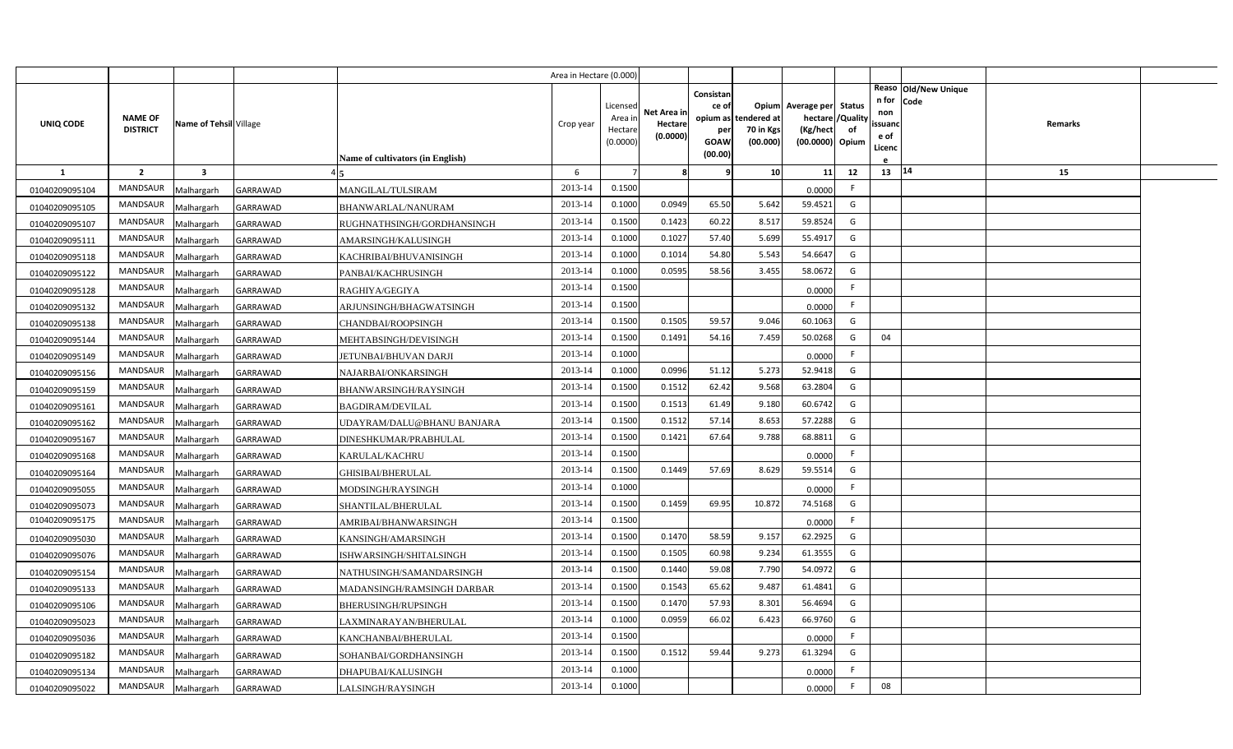|                |                 |                         |                 |                                  | Area in Hectare (0.000 |                    |             |                 |             |                                     |          |                |                              |         |  |
|----------------|-----------------|-------------------------|-----------------|----------------------------------|------------------------|--------------------|-------------|-----------------|-------------|-------------------------------------|----------|----------------|------------------------------|---------|--|
|                |                 |                         |                 |                                  |                        |                    |             | Consistan       |             |                                     |          | n for          | Reaso Old/New Unique<br>Code |         |  |
|                | <b>NAME OF</b>  |                         |                 |                                  |                        | Licensed<br>Area i | Net Area in | ce of           | tendered at | Opium Average per Status<br>hectare | /Quality | non            |                              |         |  |
| UNIQ CODE      | <b>DISTRICT</b> | Name of Tehsil Village  |                 |                                  | Crop year              | Hectar             | Hectare     | opium as<br>per | 70 in Kgs   | (Kg/hect                            | of       | ssuand         |                              | Remarks |  |
|                |                 |                         |                 |                                  |                        | (0.0000)           | (0.0000)    | GOAW            | (00.000)    | (00.0000) Opium                     |          | e of<br>Licenc |                              |         |  |
|                |                 |                         |                 | Name of cultivators (in English) |                        |                    |             | (00.00)         |             |                                     |          |                |                              |         |  |
| -1             | $\overline{2}$  | $\overline{\mathbf{3}}$ |                 |                                  | 6                      |                    | 8           | q               | 10          | 11                                  | 12       | $13 \mid 14$   |                              | 15      |  |
| 01040209095104 | MANDSAUR        | Malhargarh              | <b>GARRAWAD</b> | MANGILAL/TULSIRAM                | 2013-14                | 0.1500             |             |                 |             | 0.0000                              | F.       |                |                              |         |  |
| 01040209095105 | <b>MANDSAUR</b> | Malhargarh              | GARRAWAD        | BHANWARLAL/NANURAM               | 2013-14                | 0.1000             | 0.0949      | 65.50           | 5.642       | 59.4521                             | G        |                |                              |         |  |
| 01040209095107 | MANDSAUR        | Malhargarh              | GARRAWAD        | RUGHNATHSINGH/GORDHANSINGH       | 2013-14                | 0.1500             | 0.1423      | 60.22           | 8.517       | 59.8524                             | G        |                |                              |         |  |
| 01040209095111 | MANDSAUR        | Malhargarh              | GARRAWAD        | AMARSINGH/KALUSINGH              | 2013-14                | 0.1000             | 0.1027      | 57.40           | 5.699       | 55.4917                             | G        |                |                              |         |  |
| 01040209095118 | <b>MANDSAUR</b> | Malhargarh              | GARRAWAD        | KACHRIBAI/BHUVANISINGH           | 2013-14                | 0.1000             | 0.101       | 54.80           | 5.543       | 54.6647                             | G        |                |                              |         |  |
| 01040209095122 | MANDSAUR        | Malhargarh              | GARRAWAD        | PANBAI/KACHRUSINGH               | 2013-14                | 0.1000             | 0.0595      | 58.56           | 3.455       | 58.0672                             | G        |                |                              |         |  |
| 01040209095128 | MANDSAUR        | Malhargarh              | GARRAWAD        | RAGHIYA/GEGIYA                   | 2013-14                | 0.1500             |             |                 |             | 0.0000                              | F.       |                |                              |         |  |
| 01040209095132 | MANDSAUR        | Malhargarh              | GARRAWAD        | ARJUNSINGH/BHAGWATSINGH          | 2013-14                | 0.1500             |             |                 |             | 0.0000                              | F.       |                |                              |         |  |
| 01040209095138 | MANDSAUR        | Malhargarh              | GARRAWAD        | CHANDBAI/ROOPSINGH               | 2013-14                | 0.1500             | 0.1505      | 59.57           | 9.046       | 60.1063                             | G        |                |                              |         |  |
| 01040209095144 | MANDSAUR        | Malhargarh              | GARRAWAD        | MEHTABSINGH/DEVISINGH            | 2013-14                | 0.1500             | 0.1491      | 54.16           | 7.459       | 50.0268                             | G        | 04             |                              |         |  |
| 01040209095149 | <b>MANDSAUR</b> | Malhargarh              | GARRAWAD        | <b>JETUNBAI/BHUVAN DARJI</b>     | 2013-14                | 0.1000             |             |                 |             | 0.0000                              | F.       |                |                              |         |  |
| 01040209095156 | MANDSAUR        | Malhargarh              | GARRAWAD        | NAJARBAI/ONKARSINGH              | 2013-14                | 0.1000             | 0.0996      | 51.12           | 5.273       | 52.9418                             | G        |                |                              |         |  |
| 01040209095159 | <b>MANDSAUR</b> | Malhargarh              | GARRAWAD        | BHANWARSINGH/RAYSINGH            | 2013-14                | 0.1500             | 0.1512      | 62.42           | 9.568       | 63.2804                             | G        |                |                              |         |  |
| 01040209095161 | MANDSAUR        | Malhargarh              | GARRAWAD        | <b>BAGDIRAM/DEVILAL</b>          | 2013-14                | 0.1500             | 0.1513      | 61.49           | 9.180       | 60.6742                             | G        |                |                              |         |  |
| 01040209095162 | <b>MANDSAUR</b> | Malhargarh              | GARRAWAD        | UDAYRAM/DALU@BHANU BANJARA       | 2013-14                | 0.1500             | 0.1512      | 57.14           | 8.653       | 57.2288                             | G        |                |                              |         |  |
| 01040209095167 | MANDSAUR        | Malhargarh              | GARRAWAD        | DINESHKUMAR/PRABHULAL            | 2013-14                | 0.1500             | 0.1421      | 67.64           | 9.788       | 68.8811                             | G        |                |                              |         |  |
| 01040209095168 | <b>MANDSAUR</b> | Malhargarh              | GARRAWAD        | KARULAL/KACHRU                   | 2013-14                | 0.1500             |             |                 |             | 0.0000                              | F.       |                |                              |         |  |
| 01040209095164 | MANDSAUR        | Malhargarh              | GARRAWAD        | GHISIBAI/BHERULAL                | 2013-14                | 0.1500             | 0.1449      | 57.69           | 8.629       | 59.5514                             | G        |                |                              |         |  |
| 01040209095055 | <b>MANDSAUR</b> | Malhargarh              | GARRAWAD        | MODSINGH/RAYSINGH                | 2013-14                | 0.1000             |             |                 |             | 0.0000                              | F.       |                |                              |         |  |
| 01040209095073 | MANDSAUR        | Malhargarh              | GARRAWAD        | SHANTILAL/BHERULAL               | 2013-14                | 0.1500             | 0.1459      | 69.95           | 10.872      | 74.5168                             | G        |                |                              |         |  |
| 01040209095175 | <b>MANDSAUR</b> | Malhargarh              | GARRAWAD        | AMRIBAI/BHANWARSINGH             | 2013-14                | 0.1500             |             |                 |             | 0.0000                              | F.       |                |                              |         |  |
| 01040209095030 | MANDSAUR        | Malhargarh              | GARRAWAD        | KANSINGH/AMARSINGH               | 2013-14                | 0.1500             | 0.1470      | 58.59           | 9.157       | 62.2925                             | G        |                |                              |         |  |
| 01040209095076 | MANDSAUR        | Malhargarh              | GARRAWAD        | ISHWARSINGH/SHITALSINGH          | 2013-14                | 0.1500             | 0.1505      | 60.98           | 9.234       | 61.3555                             | G        |                |                              |         |  |
| 01040209095154 | MANDSAUR        | Malhargarh              | GARRAWAD        | NATHUSINGH/SAMANDARSINGH         | 2013-14                | 0.1500             | 0.1440      | 59.08           | 7.790       | 54.0972                             | G        |                |                              |         |  |
| 01040209095133 | MANDSAUR        | Malhargarh              | GARRAWAD        | MADANSINGH/RAMSINGH DARBAR       | 2013-14                | 0.1500             | 0.1543      | 65.62           | 9.487       | 61.4841                             | G        |                |                              |         |  |
| 01040209095106 | MANDSAUR        | Malhargarh              | GARRAWAD        | BHERUSINGH/RUPSINGH              | 2013-14                | 0.1500             | 0.1470      | 57.93           | 8.301       | 56.4694                             | G        |                |                              |         |  |
| 01040209095023 | MANDSAUR        | Malhargarh              | GARRAWAD        | LAXMINARAYAN/BHERULAL            | 2013-14                | 0.1000             | 0.0959      | 66.02           | 6.423       | 66.9760                             | G        |                |                              |         |  |
| 01040209095036 | MANDSAUR        | Malhargarh              | GARRAWAD        | KANCHANBAI/BHERULAL              | 2013-14                | 0.1500             |             |                 |             | 0.0000                              | F.       |                |                              |         |  |
| 01040209095182 | MANDSAUR        | Malhargarh              | GARRAWAD        | SOHANBAI/GORDHANSINGH            | 2013-14                | 0.1500             | 0.1512      | 59.44           | 9.273       | 61.3294                             | G        |                |                              |         |  |
| 01040209095134 | MANDSAUR        | Malhargarh              | GARRAWAD        | DHAPUBAI/KALUSINGH               | 2013-14                | 0.1000             |             |                 |             | 0.0000                              | F.       |                |                              |         |  |
| 01040209095022 | MANDSAUR        | Malhargarh              | <b>GARRAWAD</b> | LALSINGH/RAYSINGH                | 2013-14                | 0.1000             |             |                 |             | 0.0000                              | F.       | 08             |                              |         |  |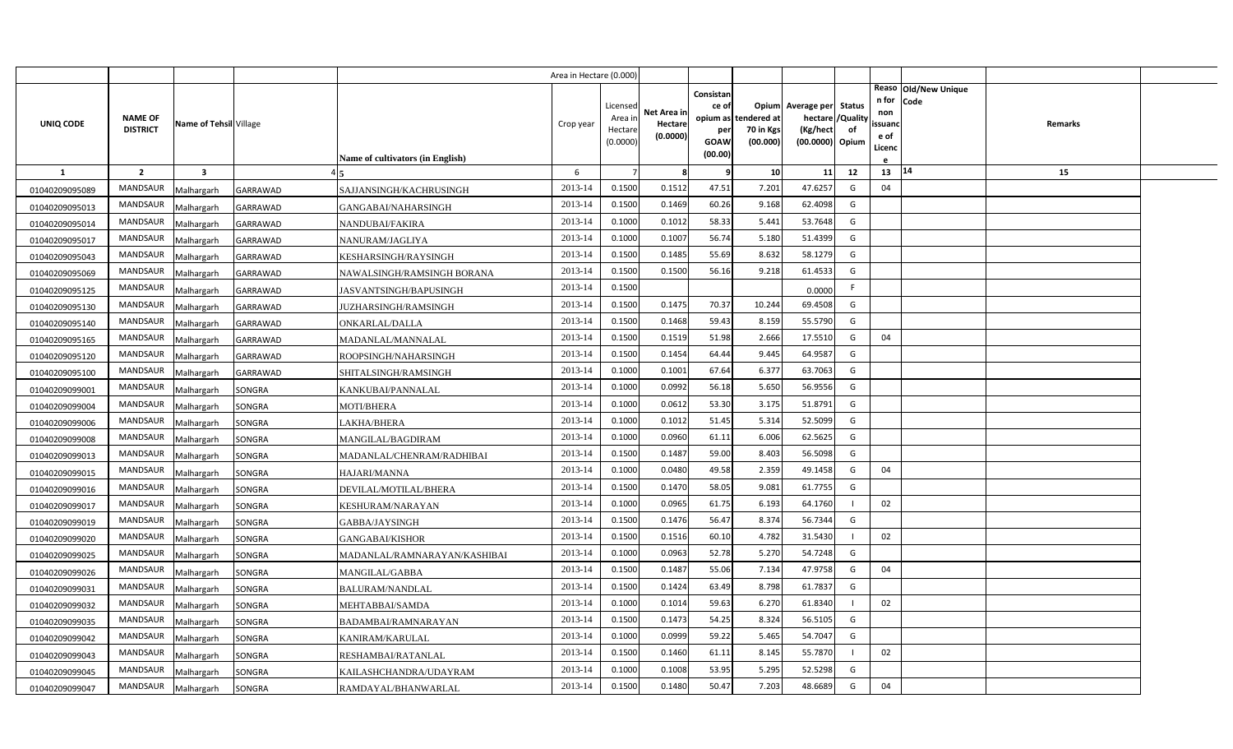|                |                                   |                         |                 |                                         | Area in Hectare (0.000) |                     |             |                    |                       |                             |               |                      |         |  |
|----------------|-----------------------------------|-------------------------|-----------------|-----------------------------------------|-------------------------|---------------------|-------------|--------------------|-----------------------|-----------------------------|---------------|----------------------|---------|--|
|                |                                   |                         |                 |                                         |                         |                     |             | Consistan          |                       |                             |               | Reaso Old/New Unique |         |  |
|                |                                   |                         |                 |                                         |                         | Licensed            | Net Area in | ce of              |                       | Opium Average per           | <b>Status</b> | n for Code<br>non    |         |  |
| UNIQ CODE      | <b>NAME OF</b><br><b>DISTRICT</b> | Name of Tehsil Village  |                 |                                         | Crop year               | Area in             | Hectare     |                    | opium as tendered at  | hectare                     | /Quality      | ssuanc               | Remarks |  |
|                |                                   |                         |                 |                                         |                         | Hectare<br>(0.0000) | (0.0000)    | per<br><b>GOAW</b> | 70 in Kgs<br>(00.000) | (Kg/hect<br>(00.0000) Opium | of            | e of                 |         |  |
|                |                                   |                         |                 | <b>Name of cultivators (in English)</b> |                         |                     |             | (00.00)            |                       |                             |               | Licenc               |         |  |
| <b>1</b>       | $\overline{2}$                    | $\overline{\mathbf{3}}$ |                 |                                         | 6                       |                     | -8          | 9                  | 10                    | 11                          | 12            | 13   14              | 15      |  |
| 01040209095089 | <b>MANDSAUR</b>                   | Malhargarh              | GARRAWAD        | SAJJANSINGH/KACHRUSINGH                 | 2013-14                 | 0.1500              | 0.1512      | 47.51              | 7.201                 | 47.6257                     | G             | 04                   |         |  |
| 01040209095013 | <b>MANDSAUR</b>                   | Malhargarh              | <b>GARRAWAD</b> | GANGABAI/NAHARSINGH                     | 2013-14                 | 0.1500              | 0.1469      | 60.26              | 9.168                 | 62.4098                     | G             |                      |         |  |
| 01040209095014 | <b>MANDSAUR</b>                   | Malhargarh              | <b>GARRAWAD</b> | NANDUBAI/FAKIRA                         | 2013-14                 | 0.1000              | 0.1012      | 58.33              | 5.441                 | 53.7648                     | G             |                      |         |  |
| 01040209095017 | MANDSAUR                          | Malhargarh              | <b>GARRAWAD</b> | NANURAM/JAGLIYA                         | 2013-14                 | 0.1000              | 0.1007      | 56.74              | 5.180                 | 51.4399                     | G             |                      |         |  |
| 01040209095043 | <b>MANDSAUR</b>                   | Malhargarh              | <b>GARRAWAD</b> | KESHARSINGH/RAYSINGH                    | 2013-14                 | 0.1500              | 0.1485      | 55.69              | 8.632                 | 58.1279                     | G             |                      |         |  |
| 01040209095069 | <b>MANDSAUR</b>                   | Malhargarh              | <b>GARRAWAD</b> | NAWALSINGH/RAMSINGH BORANA              | 2013-14                 | 0.1500              | 0.1500      | 56.16              | 9.218                 | 61.4533                     | G             |                      |         |  |
| 01040209095125 | <b>MANDSAUR</b>                   | Malhargarh              | <b>GARRAWAD</b> | JASVANTSINGH/BAPUSINGH                  | 2013-14                 | 0.1500              |             |                    |                       | 0.0000                      | F.            |                      |         |  |
| 01040209095130 | MANDSAUR                          | Malhargarh              | <b>GARRAWAD</b> | JUZHARSINGH/RAMSINGH                    | 2013-14                 | 0.1500              | 0.1475      | 70.37              | 10.244                | 69.4508                     | G             |                      |         |  |
| 01040209095140 | MANDSAUR                          | Malhargarh              | <b>GARRAWAD</b> | ONKARLAL/DALLA                          | 2013-14                 | 0.1500              | 0.1468      | 59.43              | 8.159                 | 55.5790                     | G             |                      |         |  |
| 01040209095165 | <b>MANDSAUR</b>                   | Malhargarh              | <b>GARRAWAD</b> | MADANLAL/MANNALAL                       | 2013-14                 | 0.1500              | 0.1519      | 51.98              | 2.666                 | 17.5510                     | G             | 04                   |         |  |
| 01040209095120 | MANDSAUR                          | Malhargarh              | <b>GARRAWAD</b> | ROOPSINGH/NAHARSINGH                    | 2013-14                 | 0.1500              | 0.1454      | 64.44              | 9.445                 | 64.9587                     | G             |                      |         |  |
| 01040209095100 | <b>MANDSAUR</b>                   | Malhargarh              | <b>GARRAWAD</b> | SHITALSINGH/RAMSINGH                    | 2013-14                 | 0.1000              | 0.1001      | 67.64              | 6.377                 | 63.7063                     | G             |                      |         |  |
| 01040209099001 | MANDSAUR                          | Malhargarh              | SONGRA          | KANKUBAI/PANNALAL                       | 2013-14                 | 0.1000              | 0.0992      | 56.18              | 5.650                 | 56.9556                     | G             |                      |         |  |
| 01040209099004 | <b>MANDSAUR</b>                   | Malhargarh              | SONGRA          | <b>MOTI/BHERA</b>                       | 2013-14                 | 0.1000              | 0.0612      | 53.30              | 3.175                 | 51.8791                     | G             |                      |         |  |
| 01040209099006 | MANDSAUR                          | Malhargarh              | SONGRA          | LAKHA/BHERA                             | 2013-14                 | 0.1000              | 0.1012      | 51.45              | 5.314                 | 52.5099                     | G             |                      |         |  |
| 01040209099008 | <b>MANDSAUR</b>                   | Malhargarh              | SONGRA          | MANGILAL/BAGDIRAM                       | 2013-14                 | 0.1000              | 0.0960      | 61.11              | 6.006                 | 62.5625                     | G             |                      |         |  |
| 01040209099013 | <b>MANDSAUR</b>                   | Malhargarh              | SONGRA          | MADANLAL/CHENRAM/RADHIBAI               | 2013-14                 | 0.1500              | 0.1487      | 59.00              | 8.403                 | 56.5098                     | G             |                      |         |  |
| 01040209099015 | <b>MANDSAUR</b>                   | Malhargarh              | SONGRA          | HAJARI/MANNA                            | 2013-14                 | 0.1000              | 0.0480      | 49.58              | 2.359                 | 49.1458                     | G             | 04                   |         |  |
| 01040209099016 | MANDSAUR                          | Malhargarh              | SONGRA          | DEVILAL/MOTILAL/BHERA                   | 2013-14                 | 0.1500              | 0.1470      | 58.05              | 9.081                 | 61.7755                     | G             |                      |         |  |
| 01040209099017 | <b>MANDSAUR</b>                   | Malhargarh              | SONGRA          | KESHURAM/NARAYAN                        | 2013-14                 | 0.1000              | 0.0965      | 61.75              | 6.193                 | 64.1760                     |               | 02                   |         |  |
| 01040209099019 | <b>MANDSAUR</b>                   | Malhargarh              | SONGRA          | GABBA/JAYSINGH                          | 2013-14                 | 0.1500              | 0.1476      | 56.47              | 8.374                 | 56.7344                     | G             |                      |         |  |
| 01040209099020 | <b>MANDSAUR</b>                   | Malhargarh              | SONGRA          | GANGABAI/KISHOR                         | 2013-14                 | 0.1500              | 0.1516      | 60.10              | 4.782                 | 31.5430                     |               | 02                   |         |  |
| 01040209099025 | <b>MANDSAUR</b>                   | Malhargarh              | SONGRA          | MADANLAL/RAMNARAYAN/KASHIBAI            | 2013-14                 | 0.1000              | 0.0963      | 52.78              | 5.270                 | 54.7248                     | G             |                      |         |  |
| 01040209099026 | <b>MANDSAUR</b>                   | Malhargarh              | SONGRA          | MANGILAL/GABBA                          | 2013-14                 | 0.1500              | 0.1487      | 55.06              | 7.134                 | 47.9758                     | G             | 04                   |         |  |
| 01040209099031 | <b>MANDSAUR</b>                   | Malhargarh              | SONGRA          | BALURAM/NANDLAL                         | 2013-14                 | 0.1500              | 0.1424      | 63.49              | 8.798                 | 61.7837                     | G             |                      |         |  |
| 01040209099032 | <b>MANDSAUR</b>                   | Malhargarh              | SONGRA          | MEHTABBAI/SAMDA                         | 2013-14                 | 0.1000              | 0.1014      | 59.63              | 6.270                 | 61.8340                     |               | 02                   |         |  |
| 01040209099035 | <b>MANDSAUR</b>                   | Malhargarh              | SONGRA          | 3ADAMBAI/RAMNARAYAN                     | 2013-14                 | 0.1500              | 0.1473      | 54.25              | 8.324                 | 56.5105                     | G             |                      |         |  |
| 01040209099042 | <b>MANDSAUR</b>                   | Malhargarh              | SONGRA          | KANIRAM/KARULAL                         | 2013-14                 | 0.1000              | 0.0999      | 59.22              | 5.465                 | 54.7047                     | G             |                      |         |  |
| 01040209099043 | <b>MANDSAUR</b>                   | Malhargarh              | SONGRA          | RESHAMBAI/RATANLAL                      | 2013-14                 | 0.1500              | 0.1460      | 61.11              | 8.145                 | 55.7870                     |               | 02                   |         |  |
| 01040209099045 | MANDSAUR                          | Malhargarh              | SONGRA          | KAILASHCHANDRA/UDAYRAM                  | 2013-14                 | 0.1000              | 0.1008      | 53.95              | 5.295                 | 52.5298                     | G             |                      |         |  |
| 01040209099047 | <b>MANDSAUR</b>                   | Malhargarh              | SONGRA          | RAMDAYAL/BHANWARLAL                     | 2013-14                 | 0.1500              | 0.1480      | 50.47              | 7.203                 | 48.6689                     | G             | 04                   |         |  |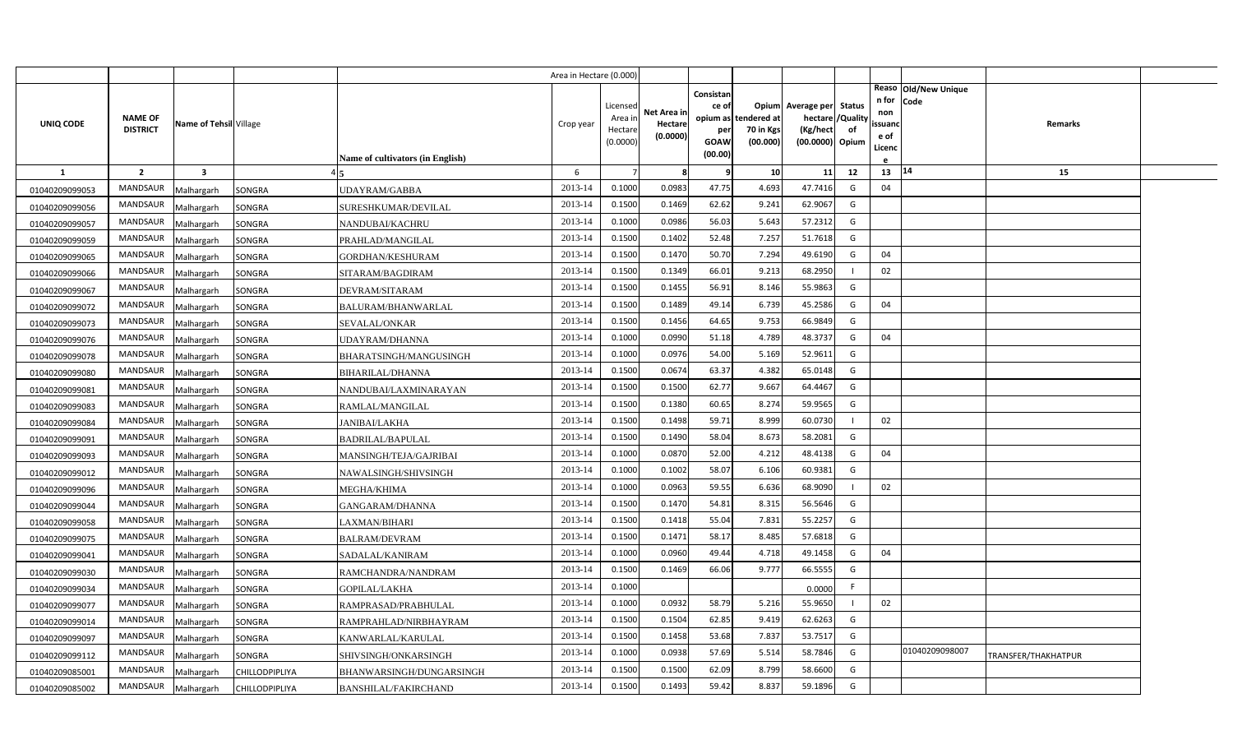|                |                                   |                         |                       |                                         | Area in Hectare (0.000) |                                            |                                    |                                                     |                                               |                                                                    |                |                                                                          |                     |  |
|----------------|-----------------------------------|-------------------------|-----------------------|-----------------------------------------|-------------------------|--------------------------------------------|------------------------------------|-----------------------------------------------------|-----------------------------------------------|--------------------------------------------------------------------|----------------|--------------------------------------------------------------------------|---------------------|--|
| UNIQ CODE      | <b>NAME OF</b><br><b>DISTRICT</b> | Name of Tehsil Village  |                       | <b>Name of cultivators (in English)</b> | Crop year               | Licensed<br>Area in<br>Hectare<br>(0.0000) | Net Area in<br>Hectare<br>(0.0000) | Consistan<br>ce of<br>per<br><b>GOAW</b><br>(00.00) | opium as tendered at<br>70 in Kgs<br>(00.000) | Opium Average per Status<br>hectare<br>(Kg/hect<br>(00.0000) Opium | /Quality<br>of | Reaso Old/New Unique<br>n for<br>Code<br>non<br>ssuand<br>e of<br>Licenc | Remarks             |  |
| $\mathbf{1}$   | $\overline{2}$                    | $\overline{\mathbf{3}}$ |                       |                                         | 6                       |                                            | 8                                  | 9                                                   | 10                                            | 11                                                                 | 12             | 14<br>13                                                                 | 15                  |  |
| 01040209099053 | <b>MANDSAUR</b>                   | Malhargarh              | SONGRA                | UDAYRAM/GABBA                           | 2013-14                 | 0.1000                                     | 0.0983                             | 47.75                                               | 4.693                                         | 47.7416                                                            | G              | 04                                                                       |                     |  |
| 01040209099056 | MANDSAUR                          | Malhargarh              | SONGRA                | SURESHKUMAR/DEVILAL                     | 2013-14                 | 0.1500                                     | 0.1469                             | 62.62                                               | 9.241                                         | 62.9067                                                            | G              |                                                                          |                     |  |
| 01040209099057 | <b>MANDSAUR</b>                   | Malhargarh              | SONGRA                | NANDUBAI/KACHRU                         | 2013-14                 | 0.1000                                     | 0.0986                             | 56.03                                               | 5.643                                         | 57.2312                                                            | G              |                                                                          |                     |  |
| 01040209099059 | <b>MANDSAUR</b>                   | Malhargarh              | SONGRA                | PRAHLAD/MANGILAL                        | 2013-14                 | 0.1500                                     | 0.1402                             | 52.48                                               | 7.257                                         | 51.7618                                                            | G              |                                                                          |                     |  |
| 01040209099065 | <b>MANDSAUR</b>                   | Malhargarh              | SONGRA                | <b>GORDHAN/KESHURAM</b>                 | 2013-14                 | 0.1500                                     | 0.1470                             | 50.70                                               | 7.294                                         | 49.6190                                                            | G              | 04                                                                       |                     |  |
| 01040209099066 | <b>MANDSAUR</b>                   | Malhargarh              | SONGRA                | SITARAM/BAGDIRAM                        | 2013-14                 | 0.1500                                     | 0.1349                             | 66.01                                               | 9.213                                         | 68.2950                                                            |                | 02                                                                       |                     |  |
| 01040209099067 | <b>MANDSAUR</b>                   | Malhargarh              | SONGRA                | DEVRAM/SITARAM                          | 2013-14                 | 0.1500                                     | 0.1455                             | 56.91                                               | 8.146                                         | 55.9863                                                            | G              |                                                                          |                     |  |
| 01040209099072 | MANDSAUR                          | Malhargarh              | SONGRA                | BALURAM/BHANWARLAL                      | 2013-14                 | 0.1500                                     | 0.1489                             | 49.14                                               | 6.739                                         | 45.2586                                                            | G              | 04                                                                       |                     |  |
| 01040209099073 | <b>MANDSAUR</b>                   | Malhargarh              | SONGRA                | SEVALAL/ONKAR                           | 2013-14                 | 0.1500                                     | 0.1456                             | 64.65                                               | 9.753                                         | 66.9849                                                            | G              |                                                                          |                     |  |
| 01040209099076 | <b>MANDSAUR</b>                   | Malhargarh              | SONGRA                | UDAYRAM/DHANNA                          | 2013-14                 | 0.1000                                     | 0.0990                             | 51.18                                               | 4.789                                         | 48.3737                                                            | G              | 04                                                                       |                     |  |
| 01040209099078 | <b>MANDSAUR</b>                   | Malhargarh              | SONGRA                | BHARATSINGH/MANGUSINGH                  | 2013-14                 | 0.1000                                     | 0.0976                             | 54.00                                               | 5.169                                         | 52.9611                                                            | G              |                                                                          |                     |  |
| 01040209099080 | <b>MANDSAUR</b>                   | Malhargarh              | SONGRA                | <b>BIHARILAL/DHANNA</b>                 | 2013-14                 | 0.1500                                     | 0.0674                             | 63.37                                               | 4.382                                         | 65.0148                                                            | G              |                                                                          |                     |  |
| 01040209099081 | <b>MANDSAUR</b>                   | Malhargarh              | SONGRA                | NANDUBAI/LAXMINARAYAN                   | 2013-14                 | 0.1500                                     | 0.1500                             | 62.77                                               | 9.667                                         | 64.4467                                                            | G              |                                                                          |                     |  |
| 01040209099083 | <b>MANDSAUR</b>                   | Malhargarh              | SONGRA                | RAMLAL/MANGILAL                         | 2013-14                 | 0.1500                                     | 0.1380                             | 60.65                                               | 8.274                                         | 59.9565                                                            | G              |                                                                          |                     |  |
| 01040209099084 | <b>MANDSAUR</b>                   | Malhargarh              | SONGRA                | JANIBAI/LAKHA                           | 2013-14                 | 0.1500                                     | 0.1498                             | 59.71                                               | 8.999                                         | 60.0730                                                            |                | 02                                                                       |                     |  |
| 01040209099091 | MANDSAUR                          | Malhargarh              | SONGRA                | BADRILAL/BAPULAL                        | 2013-14                 | 0.1500                                     | 0.1490                             | 58.04                                               | 8.673                                         | 58.2081                                                            | G              |                                                                          |                     |  |
| 01040209099093 | <b>MANDSAUR</b>                   | Malhargarh              | SONGRA                | MANSINGH/TEJA/GAJRIBAI                  | 2013-14                 | 0.1000                                     | 0.0870                             | 52.00                                               | 4.212                                         | 48.4138                                                            | G              | 04                                                                       |                     |  |
| 01040209099012 | MANDSAUR                          | Malhargarh              | SONGRA                | NAWALSINGH/SHIVSINGH                    | 2013-14                 | 0.1000                                     | 0.1002                             | 58.07                                               | 6.106                                         | 60.9381                                                            | G              |                                                                          |                     |  |
| 01040209099096 | <b>MANDSAUR</b>                   | Malhargarh              | SONGRA                | MEGHA/KHIMA                             | 2013-14                 | 0.1000                                     | 0.0963                             | 59.55                                               | 6.636                                         | 68.9090                                                            |                | 02                                                                       |                     |  |
| 01040209099044 | <b>MANDSAUR</b>                   | Malhargarh              | SONGRA                | GANGARAM/DHANNA                         | 2013-14                 | 0.1500                                     | 0.1470                             | 54.81                                               | 8.315                                         | 56.5646                                                            | G              |                                                                          |                     |  |
| 01040209099058 | <b>MANDSAUR</b>                   | Malhargarh              | SONGRA                | LAXMAN/BIHARI                           | 2013-14                 | 0.1500                                     | 0.1418                             | 55.04                                               | 7.831                                         | 55.2257                                                            | G              |                                                                          |                     |  |
| 01040209099075 | <b>MANDSAUR</b>                   | Malhargarh              | SONGRA                | BALRAM/DEVRAM                           | 2013-14                 | 0.1500                                     | 0.1471                             | 58.17                                               | 8.485                                         | 57.6818                                                            | G              |                                                                          |                     |  |
| 01040209099041 | <b>MANDSAUR</b>                   | Malhargarh              | SONGRA                | SADALAL/KANIRAM                         | 2013-14                 | 0.1000                                     | 0.0960                             | 49.44                                               | 4.718                                         | 49.1458                                                            | G              | 04                                                                       |                     |  |
| 01040209099030 | <b>MANDSAUR</b>                   | Malhargarh              | SONGRA                | RAMCHANDRA/NANDRAM                      | 2013-14                 | 0.1500                                     | 0.1469                             | 66.06                                               | 9.777                                         | 66.5555                                                            | G              |                                                                          |                     |  |
| 01040209099034 | <b>MANDSAUR</b>                   | Malhargarh              | SONGRA                | GOPILAL/LAKHA                           | 2013-14                 | 0.1000                                     |                                    |                                                     |                                               | 0.0000                                                             | F              |                                                                          |                     |  |
| 01040209099077 | <b>MANDSAUR</b>                   | Malhargarh              | SONGRA                | RAMPRASAD/PRABHULAL                     | 2013-14                 | 0.1000                                     | 0.0932                             | 58.79                                               | 5.216                                         | 55.9650                                                            | $\blacksquare$ | 02                                                                       |                     |  |
| 01040209099014 | <b>MANDSAUR</b>                   | Malhargarh              | SONGRA                | RAMPRAHLAD/NIRBHAYRAM                   | 2013-14                 | 0.1500                                     | 0.1504                             | 62.85                                               | 9.419                                         | 62.6263                                                            | G              |                                                                          |                     |  |
| 01040209099097 | <b>MANDSAUR</b>                   | Malhargarh              | SONGRA                | KANWARLAL/KARULAL                       | 2013-14                 | 0.1500                                     | 0.1458                             | 53.68                                               | 7.837                                         | 53.7517                                                            | G              |                                                                          |                     |  |
| 01040209099112 | MANDSAUR                          | Malhargarh              | SONGRA                | SHIVSINGH/ONKARSINGH                    | 2013-14                 | 0.1000                                     | 0.0938                             | 57.69                                               | 5.514                                         | 58.7846                                                            | G              | 01040209098007                                                           | TRANSFER/THAKHATPUR |  |
| 01040209085001 | MANDSAUR                          | Malhargarh              | CHILLODPIPLIYA        | BHANWARSINGH/DUNGARSINGH                | 2013-14                 | 0.1500                                     | 0.1500                             | 62.09                                               | 8.799                                         | 58.6600                                                            | G              |                                                                          |                     |  |
| 01040209085002 | MANDSAUR                          | Malhargarh              | <b>CHILLODPIPLIYA</b> | <b>BANSHILAL/FAKIRCHAND</b>             | 2013-14                 | 0.1500                                     | 0.1493                             | 59.42                                               | 8.837                                         | 59.1896                                                            | G              |                                                                          |                     |  |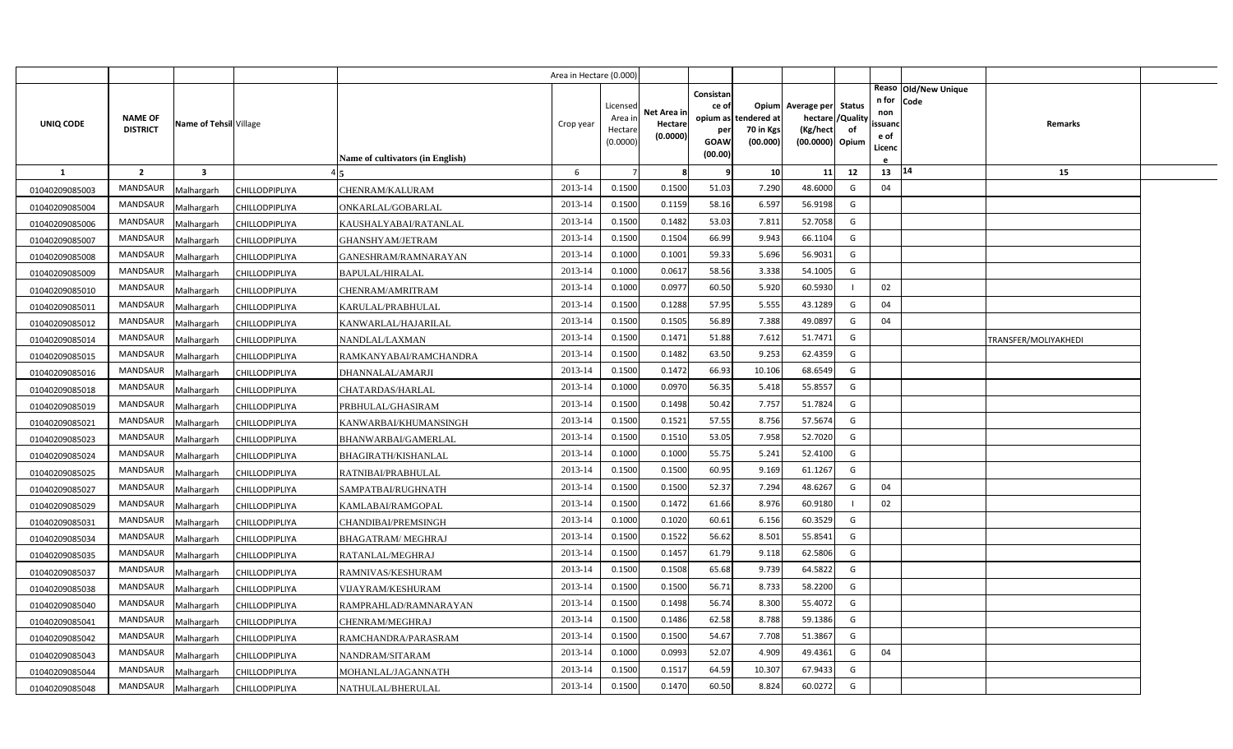|                |                                   |                         |                |                                         | Area in Hectare (0.000) |                                            |                                    |                                                          |                                      |                                                       |                                   |                                          |                              |                      |  |
|----------------|-----------------------------------|-------------------------|----------------|-----------------------------------------|-------------------------|--------------------------------------------|------------------------------------|----------------------------------------------------------|--------------------------------------|-------------------------------------------------------|-----------------------------------|------------------------------------------|------------------------------|----------------------|--|
| UNIQ CODE      | <b>NAME OF</b><br><b>DISTRICT</b> | Name of Tehsil Village  |                | <b>Name of cultivators (in English)</b> | Crop year               | Licensed<br>Area in<br>Hectare<br>(0.0000) | Net Area in<br>Hectare<br>(0.0000) | Consistan<br>ce of<br>opium as<br>per<br>GOAW<br>(00.00) | tendered at<br>70 in Kgs<br>(00.000) | Opium Average per<br>hectare<br>(Kg/hect<br>(00.0000) | Status<br>'Quality<br>of<br>Opium | n for<br>non<br>ssuand<br>e of<br>Licenc | Reaso Old/New Unique<br>Code | <b>Remarks</b>       |  |
| <b>1</b>       | $\overline{2}$                    | $\overline{\mathbf{3}}$ |                |                                         | 6                       |                                            | 8                                  | ¢                                                        | 10 <sup>1</sup>                      | 11                                                    | 12                                | 13   14                                  |                              | 15                   |  |
| 01040209085003 | <b>MANDSAUR</b>                   | Malhargarh              | CHILLODPIPLIYA | CHENRAM/KALURAM                         | 2013-14                 | 0.1500                                     | 0.1500                             | 51.03                                                    | 7.290                                | 48.6000                                               | G                                 | 04                                       |                              |                      |  |
| 01040209085004 | MANDSAUR                          | Malhargarh              | CHILLODPIPLIYA | ONKARLAL/GOBARLAL                       | 2013-14                 | 0.1500                                     | 0.1159                             | 58.16                                                    | 6.597                                | 56.9198                                               | G                                 |                                          |                              |                      |  |
| 01040209085006 | <b>MANDSAUR</b>                   | Malhargarh              | CHILLODPIPLIYA | KAUSHALYABAI/RATANLAL                   | 2013-14                 | 0.1500                                     | 0.1482                             | 53.03                                                    | 7.811                                | 52.7058                                               | G                                 |                                          |                              |                      |  |
| 01040209085007 | <b>MANDSAUR</b>                   | Malhargarh              | CHILLODPIPLIYA | GHANSHYAM/JETRAM                        | 2013-14                 | 0.1500                                     | 0.1504                             | 66.99                                                    | 9.943                                | 66.1104                                               | G                                 |                                          |                              |                      |  |
| 01040209085008 | MANDSAUR                          | Malhargarh              | CHILLODPIPLIYA | GANESHRAM/RAMNARAYAN                    | 2013-14                 | 0.1000                                     | 0.1001                             | 59.33                                                    | 5.696                                | 56.9031                                               | G                                 |                                          |                              |                      |  |
| 01040209085009 | <b>MANDSAUR</b>                   | Malhargarh              | CHILLODPIPLIYA | <b>BAPULAL/HIRALAL</b>                  | 2013-14                 | 0.1000                                     | 0.0617                             | 58.56                                                    | 3.338                                | 54.1005                                               | G                                 |                                          |                              |                      |  |
| 01040209085010 | MANDSAUR                          | Malhargarh              | CHILLODPIPLIYA | CHENRAM/AMRITRAM                        | 2013-14                 | 0.1000                                     | 0.0977                             | 60.50                                                    | 5.920                                | 60.5930                                               |                                   | 02                                       |                              |                      |  |
| 01040209085011 | <b>MANDSAUR</b>                   | Malhargarh              | CHILLODPIPLIYA | KARULAL/PRABHULAL                       | 2013-14                 | 0.1500                                     | 0.1288                             | 57.95                                                    | 5.555                                | 43.1289                                               | G                                 | 04                                       |                              |                      |  |
| 01040209085012 | MANDSAUR                          | Malhargarh              | CHILLODPIPLIYA | KANWARLAL/HAJARILAL                     | 2013-14                 | 0.1500                                     | 0.1505                             | 56.89                                                    | 7.388                                | 49.0897                                               | G                                 | 04                                       |                              |                      |  |
| 01040209085014 | MANDSAUR                          | Malhargarh              | CHILLODPIPLIYA | NANDLAL/LAXMAN                          | 2013-14                 | 0.1500                                     | 0.1471                             | 51.88                                                    | 7.612                                | 51.7471                                               | G                                 |                                          |                              | TRANSFER/MOLIYAKHEDI |  |
| 01040209085015 | <b>MANDSAUR</b>                   | Malhargarh              | CHILLODPIPLIYA | RAMKANYABAI/RAMCHANDRA                  | 2013-14                 | 0.1500                                     | 0.1482                             | 63.50                                                    | 9.253                                | 62.4359                                               | G                                 |                                          |                              |                      |  |
| 01040209085016 | MANDSAUR                          | Malhargarh              | CHILLODPIPLIYA | DHANNALAL/AMARJI                        | 2013-14                 | 0.1500                                     | 0.1472                             | 66.93                                                    | 10.106                               | 68.6549                                               | G                                 |                                          |                              |                      |  |
| 01040209085018 | <b>MANDSAUR</b>                   | Malhargarh              | CHILLODPIPLIYA | CHATARDAS/HARLAL                        | 2013-14                 | 0.1000                                     | 0.0970                             | 56.35                                                    | 5.418                                | 55.8557                                               | G                                 |                                          |                              |                      |  |
| 01040209085019 | MANDSAUR                          | Malhargarh              | CHILLODPIPLIYA | PRBHULAL/GHASIRAM                       | 2013-14                 | 0.1500                                     | 0.1498                             | 50.42                                                    | 7.757                                | 51.7824                                               | G                                 |                                          |                              |                      |  |
| 01040209085021 | <b>MANDSAUR</b>                   | Malhargarh              | CHILLODPIPLIYA | KANWARBAI/KHUMANSINGH                   | 2013-14                 | 0.1500                                     | 0.1521                             | 57.55                                                    | 8.756                                | 57.5674                                               | G                                 |                                          |                              |                      |  |
| 01040209085023 | MANDSAUR                          | Malhargarh              | CHILLODPIPLIYA | BHANWARBAI/GAMERLAL                     | 2013-14                 | 0.1500                                     | 0.1510                             | 53.05                                                    | 7.958                                | 52.7020                                               | G                                 |                                          |                              |                      |  |
| 01040209085024 | MANDSAUR                          | Malhargarh              | CHILLODPIPLIYA | BHAGIRATH/KISHANLAL                     | 2013-14                 | 0.1000                                     | 0.1000                             | 55.75                                                    | 5.241                                | 52.4100                                               | G                                 |                                          |                              |                      |  |
| 01040209085025 | MANDSAUR                          | Malhargarh              | CHILLODPIPLIYA | RATNIBAI/PRABHULAL                      | 2013-14                 | 0.1500                                     | 0.1500                             | 60.95                                                    | 9.169                                | 61.1267                                               | G                                 |                                          |                              |                      |  |
| 01040209085027 | MANDSAUR                          | Malhargarh              | CHILLODPIPLIYA | SAMPATBAI/RUGHNATH                      | 2013-14                 | 0.1500                                     | 0.1500                             | 52.37                                                    | 7.294                                | 48.6267                                               | G                                 | 04                                       |                              |                      |  |
| 01040209085029 | MANDSAUR                          | Malhargarh              | CHILLODPIPLIYA | KAMLABAI/RAMGOPAL                       | 2013-14                 | 0.1500                                     | 0.1472                             | 61.66                                                    | 8.976                                | 60.9180                                               |                                   | 02                                       |                              |                      |  |
| 01040209085031 | MANDSAUR                          | Malhargarh              | CHILLODPIPLIYA | CHANDIBAI/PREMSINGH                     | 2013-14                 | 0.1000                                     | 0.1020                             | 60.61                                                    | 6.156                                | 60.3529                                               | G                                 |                                          |                              |                      |  |
| 01040209085034 | MANDSAUR                          | Malhargarh              | CHILLODPIPLIYA | BHAGATRAM/ MEGHRAJ                      | 2013-14                 | 0.1500                                     | 0.1522                             | 56.62                                                    | 8.501                                | 55.8541                                               | G                                 |                                          |                              |                      |  |
| 01040209085035 | MANDSAUR                          | Malhargarh              | CHILLODPIPLIYA | RATANLAL/MEGHRAJ                        | 2013-14                 | 0.1500                                     | 0.1457                             | 61.79                                                    | 9.118                                | 62.5806                                               | G                                 |                                          |                              |                      |  |
| 01040209085037 | MANDSAUR                          | Malhargarh              | CHILLODPIPLIYA | RAMNIVAS/KESHURAM                       | 2013-14                 | 0.1500                                     | 0.1508                             | 65.68                                                    | 9.739                                | 64.5822                                               | G                                 |                                          |                              |                      |  |
| 01040209085038 | MANDSAUR                          | Malhargarh              | CHILLODPIPLIYA | VIJAYRAM/KESHURAM                       | 2013-14                 | 0.1500                                     | 0.1500                             | 56.71                                                    | 8.733                                | 58.2200                                               | G                                 |                                          |                              |                      |  |
| 01040209085040 | MANDSAUR                          | Malhargarh              | CHILLODPIPLIYA | RAMPRAHLAD/RAMNARAYAN                   | 2013-14                 | 0.1500                                     | 0.1498                             | 56.74                                                    | 8.300                                | 55.4072                                               | G                                 |                                          |                              |                      |  |
| 01040209085041 | MANDSAUR                          | Malhargarh              | CHILLODPIPLIYA | CHENRAM/MEGHRAJ                         | 2013-14                 | 0.1500                                     | 0.1486                             | 62.58                                                    | 8.788                                | 59.1386                                               | G                                 |                                          |                              |                      |  |
| 01040209085042 | MANDSAUR                          | Malhargarh              | CHILLODPIPLIYA | RAMCHANDRA/PARASRAM                     | 2013-14                 | 0.1500                                     | 0.1500                             | 54.67                                                    | 7.708                                | 51.3867                                               | G                                 |                                          |                              |                      |  |
| 01040209085043 | MANDSAUR                          | Malhargarh              | CHILLODPIPLIYA | NANDRAM/SITARAM                         | 2013-14                 | 0.1000                                     | 0.0993                             | 52.07                                                    | 4.909                                | 49.4361                                               | G                                 | 04                                       |                              |                      |  |
| 01040209085044 | <b>MANDSAUR</b>                   | Malhargarh              | CHILLODPIPLIYA | MOHANLAL/JAGANNATH                      | 2013-14                 | 0.1500                                     | 0.1517                             | 64.59                                                    | 10.307                               | 67.9433                                               | G                                 |                                          |                              |                      |  |
| 01040209085048 | MANDSAUR                          | Malhargarh              | CHILLODPIPLIYA | NATHULAL/BHERULAL                       | 2013-14                 | 0.1500                                     | 0.1470                             | 60.50                                                    | 8.824                                | 60.0272                                               | G                                 |                                          |                              |                      |  |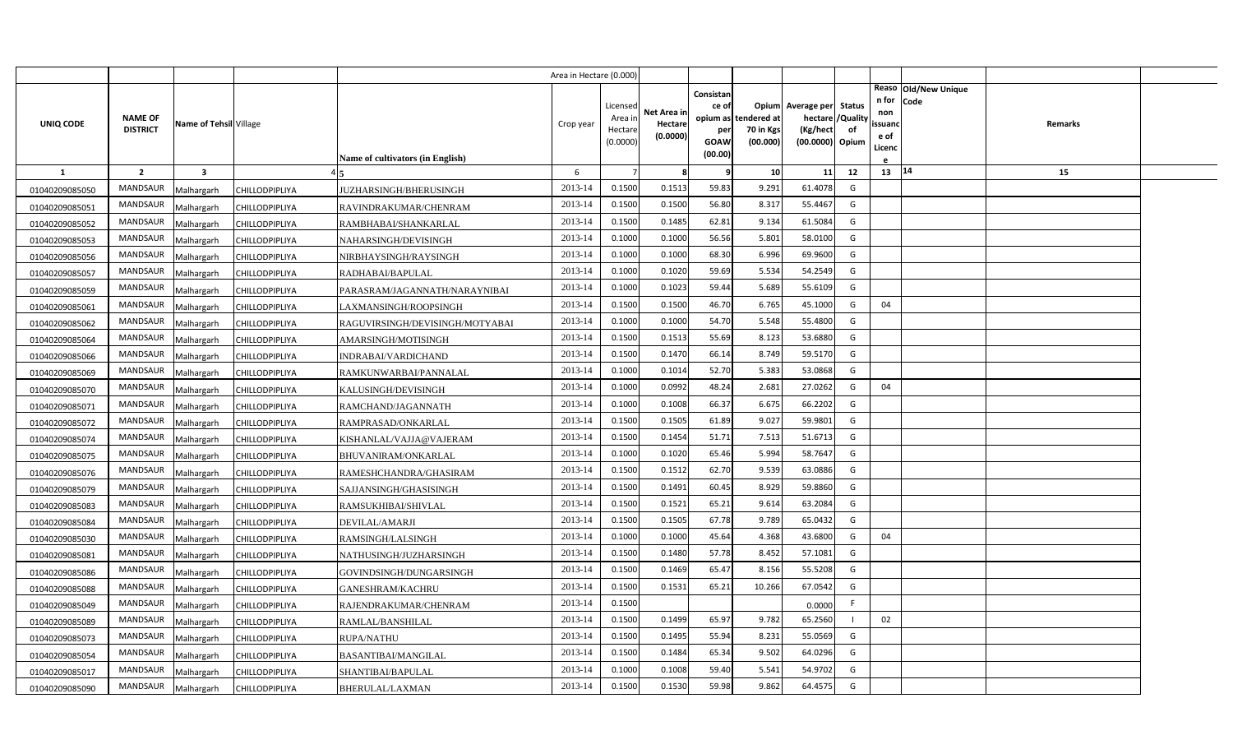|                |                                   |                         |                       |                                         | Area in Hectare (0.000) |                                            |                                    |                                   |                                               |                                                                    |                |                                                                |         |  |
|----------------|-----------------------------------|-------------------------|-----------------------|-----------------------------------------|-------------------------|--------------------------------------------|------------------------------------|-----------------------------------|-----------------------------------------------|--------------------------------------------------------------------|----------------|----------------------------------------------------------------|---------|--|
| UNIQ CODE      | <b>NAME OF</b><br><b>DISTRICT</b> | Name of Tehsil Village  |                       |                                         | Crop year               | Licensed<br>Area in<br>Hectare<br>(0.0000) | Net Area in<br>Hectare<br>(0.0000) | Consistan<br>ce of<br>per<br>GOAW | opium as tendered at<br>70 in Kgs<br>(00.000) | Opium Average per Status<br>hectare<br>(Kg/hect<br>(00.0000) Opium | /Quality<br>of | Reaso Old/New Unique<br>n for<br>Code<br>non<br>ssuand<br>e of | Remarks |  |
|                |                                   |                         |                       | <b>Name of cultivators (in English)</b> |                         |                                            |                                    | (00.00)                           |                                               |                                                                    |                | Licenc                                                         |         |  |
| $\mathbf{1}$   | $\overline{2}$                    | $\overline{\mathbf{3}}$ |                       |                                         | 6                       |                                            | 8                                  | 9                                 | 10                                            | 11                                                                 | 12             | 13 14                                                          | 15      |  |
| 01040209085050 | <b>MANDSAUR</b>                   | Malhargarh              | CHILLODPIPLIYA        | JUZHARSINGH/BHERUSINGH                  | 2013-14                 | 0.1500                                     | 0.1513                             | 59.83                             | 9.291                                         | 61.4078                                                            | G              |                                                                |         |  |
| 01040209085051 | <b>MANDSAUR</b>                   | Malhargarh              | CHILLODPIPLIYA        | RAVINDRAKUMAR/CHENRAM                   | 2013-14                 | 0.1500                                     | 0.1500                             | 56.80                             | 8.317                                         | 55.4467                                                            | G              |                                                                |         |  |
| 01040209085052 | <b>MANDSAUR</b>                   | Malhargarh              | CHILLODPIPLIYA        | RAMBHABAI/SHANKARLAL                    | 2013-14                 | 0.1500                                     | 0.1485                             | 62.81                             | 9.134                                         | 61.5084                                                            | G              |                                                                |         |  |
| 01040209085053 | <b>MANDSAUR</b>                   | Malhargarh              | CHILLODPIPLIYA        | NAHARSINGH/DEVISINGH                    | 2013-14                 | 0.1000                                     | 0.1000                             | 56.56                             | 5.80                                          | 58.0100                                                            | G              |                                                                |         |  |
| 01040209085056 | <b>MANDSAUR</b>                   | Malhargarh              | CHILLODPIPLIYA        | NIRBHAYSINGH/RAYSINGH                   | 2013-14                 | 0.1000                                     | 0.1000                             | 68.30                             | 6.996                                         | 69.9600                                                            | G              |                                                                |         |  |
| 01040209085057 | <b>MANDSAUR</b>                   | Malhargarh              | CHILLODPIPLIYA        | RADHABAI/BAPULAL                        | 2013-14                 | 0.1000                                     | 0.1020                             | 59.69                             | 5.534                                         | 54.2549                                                            | G              |                                                                |         |  |
| 01040209085059 | <b>MANDSAUR</b>                   | Malhargarh              | CHILLODPIPLIYA        | PARASRAM/JAGANNATH/NARAYNIBAI           | 2013-14                 | 0.1000                                     | 0.1023                             | 59.44                             | 5.689                                         | 55.6109                                                            | G              |                                                                |         |  |
| 01040209085061 | MANDSAUR                          | Malhargarh              | CHILLODPIPLIYA        | LAXMANSINGH/ROOPSINGH                   | 2013-14                 | 0.1500                                     | 0.1500                             | 46.70                             | 6.765                                         | 45.1000                                                            | G              | 04                                                             |         |  |
| 01040209085062 | <b>MANDSAUR</b>                   | Malhargarh              | CHILLODPIPLIYA        | RAGUVIRSINGH/DEVISINGH/MOTYABAI         | 2013-14                 | 0.1000                                     | 0.1000                             | 54.70                             | 5.548                                         | 55.4800                                                            | G              |                                                                |         |  |
| 01040209085064 | <b>MANDSAUR</b>                   | Malhargarh              | CHILLODPIPLIYA        | AMARSINGH/MOTISINGH                     | 2013-14                 | 0.1500                                     | 0.1513                             | 55.69                             | 8.123                                         | 53.6880                                                            | G              |                                                                |         |  |
| 01040209085066 | <b>MANDSAUR</b>                   | Malhargarh              | CHILLODPIPLIYA        | INDRABAI/VARDICHAND                     | 2013-14                 | 0.1500                                     | 0.1470                             | 66.14                             | 8.749                                         | 59.5170                                                            | G              |                                                                |         |  |
| 01040209085069 | <b>MANDSAUR</b>                   | Malhargarh              | CHILLODPIPLIYA        | RAMKUNWARBAI/PANNALAL                   | 2013-14                 | 0.1000                                     | 0.1014                             | 52.70                             | 5.383                                         | 53.0868                                                            | G              |                                                                |         |  |
| 01040209085070 | <b>MANDSAUR</b>                   | Malhargarh              | CHILLODPIPLIYA        | KALUSINGH/DEVISINGH                     | 2013-14                 | 0.1000                                     | 0.0992                             | 48.24                             | 2.68                                          | 27.0262                                                            | G              | 04                                                             |         |  |
| 01040209085071 | <b>MANDSAUR</b>                   | Malhargarh              | CHILLODPIPLIYA        | RAMCHAND/JAGANNATH                      | 2013-14                 | 0.1000                                     | 0.1008                             | 66.37                             | 6.675                                         | 66.2202                                                            | G              |                                                                |         |  |
| 01040209085072 | <b>MANDSAUR</b>                   | Malhargarh              | CHILLODPIPLIYA        | RAMPRASAD/ONKARLAL                      | 2013-14                 | 0.1500                                     | 0.1505                             | 61.89                             | 9.027                                         | 59.9801                                                            | G              |                                                                |         |  |
| 01040209085074 | <b>MANDSAUR</b>                   | Malhargarh              | CHILLODPIPLIYA        | KISHANLAL/VAJJA@VAJERAM                 | 2013-14                 | 0.1500                                     | 0.1454                             | 51.71                             | 7.513                                         | 51.6713                                                            | G              |                                                                |         |  |
| 01040209085075 | <b>MANDSAUR</b>                   | Malhargarh              | CHILLODPIPLIYA        | <b>BHUVANIRAM/ONKARLAL</b>              | 2013-14                 | 0.1000                                     | 0.1020                             | 65.46                             | 5.994                                         | 58.7647                                                            | G              |                                                                |         |  |
| 01040209085076 | <b>MANDSAUR</b>                   | Malhargarh              | CHILLODPIPLIYA        | RAMESHCHANDRA/GHASIRAM                  | 2013-14                 | 0.1500                                     | 0.1512                             | 62.70                             | 9.539                                         | 63.0886                                                            | G              |                                                                |         |  |
| 01040209085079 | <b>MANDSAUR</b>                   | Malhargarh              | CHILLODPIPLIYA        | SAJJANSINGH/GHASISINGH                  | 2013-14                 | 0.1500                                     | 0.1491                             | 60.45                             | 8.929                                         | 59.8860                                                            | G              |                                                                |         |  |
| 01040209085083 | <b>MANDSAUR</b>                   | Malhargarh              | CHILLODPIPLIYA        | RAMSUKHIBAI/SHIVLAL                     | 2013-14                 | 0.1500                                     | 0.1521                             | 65.21                             | 9.614                                         | 63.2084                                                            | G              |                                                                |         |  |
| 01040209085084 | <b>MANDSAUR</b>                   | Malhargarh              | CHILLODPIPLIYA        | DEVILAL/AMARJI                          | 2013-14                 | 0.1500                                     | 0.1505                             | 67.78                             | 9.789                                         | 65.0432                                                            | G              |                                                                |         |  |
| 01040209085030 | <b>MANDSAUR</b>                   | Malhargarh              | CHILLODPIPLIYA        | RAMSINGH/LALSINGH                       | 2013-14                 | 0.1000                                     | 0.1000                             | 45.64                             | 4.368                                         | 43.6800                                                            | G              | 04                                                             |         |  |
| 01040209085081 | <b>MANDSAUR</b>                   | Malhargarh              | CHILLODPIPLIYA        | NATHUSINGH/JUZHARSINGH                  | 2013-14                 | 0.1500                                     | 0.1480                             | 57.78                             | 8.452                                         | 57.1081                                                            | G              |                                                                |         |  |
| 01040209085086 | <b>MANDSAUR</b>                   | Malhargarh              | CHILLODPIPLIYA        | GOVINDSINGH/DUNGARSINGH                 | 2013-14                 | 0.1500                                     | 0.1469                             | 65.47                             | 8.156                                         | 55.5208                                                            | G              |                                                                |         |  |
| 01040209085088 | <b>MANDSAUR</b>                   | Malhargarh              | CHILLODPIPLIYA        | GANESHRAM/KACHRU                        | 2013-14                 | 0.1500                                     | 0.1531                             | 65.21                             | 10.266                                        | 67.0542                                                            | G              |                                                                |         |  |
| 01040209085049 | <b>MANDSAUR</b>                   | Malhargarh              | <b>CHILLODPIPLIYA</b> | RAJENDRAKUMAR/CHENRAM                   | 2013-14                 | 0.1500                                     |                                    |                                   |                                               | 0.0000                                                             | -F             |                                                                |         |  |
| 01040209085089 | <b>MANDSAUR</b>                   | Malhargarh              | CHILLODPIPLIYA        | RAMLAL/BANSHILAL                        | 2013-14                 | 0.1500                                     | 0.1499                             | 65.97                             | 9.782                                         | 65.2560                                                            | $\blacksquare$ | 02                                                             |         |  |
| 01040209085073 | <b>MANDSAUR</b>                   | Malhargarh              | CHILLODPIPLIYA        | RUPA/NATHU                              | 2013-14                 | 0.1500                                     | 0.1495                             | 55.94                             | 8.231                                         | 55.0569                                                            | G              |                                                                |         |  |
| 01040209085054 | MANDSAUR                          | Malhargarh              | <b>CHILLODPIPLIYA</b> | <b>BASANTIBAI/MANGILAL</b>              | 2013-14                 | 0.1500                                     | 0.1484                             | 65.34                             | 9.502                                         | 64.0296                                                            | G              |                                                                |         |  |
| 01040209085017 | MANDSAUR                          | Malhargarh              | CHILLODPIPLIYA        | SHANTIBAI/BAPULAL                       | 2013-14                 | 0.1000                                     | 0.1008                             | 59.40                             | 5.541                                         | 54.9702                                                            | G              |                                                                |         |  |
| 01040209085090 | MANDSAUR                          | Malhargarh              | <b>CHILLODPIPLIYA</b> | BHERULAL/LAXMAN                         | 2013-14                 | 0.1500                                     | 0.1530                             | 59.98                             | 9.862                                         | 64.4575                                                            | G              |                                                                |         |  |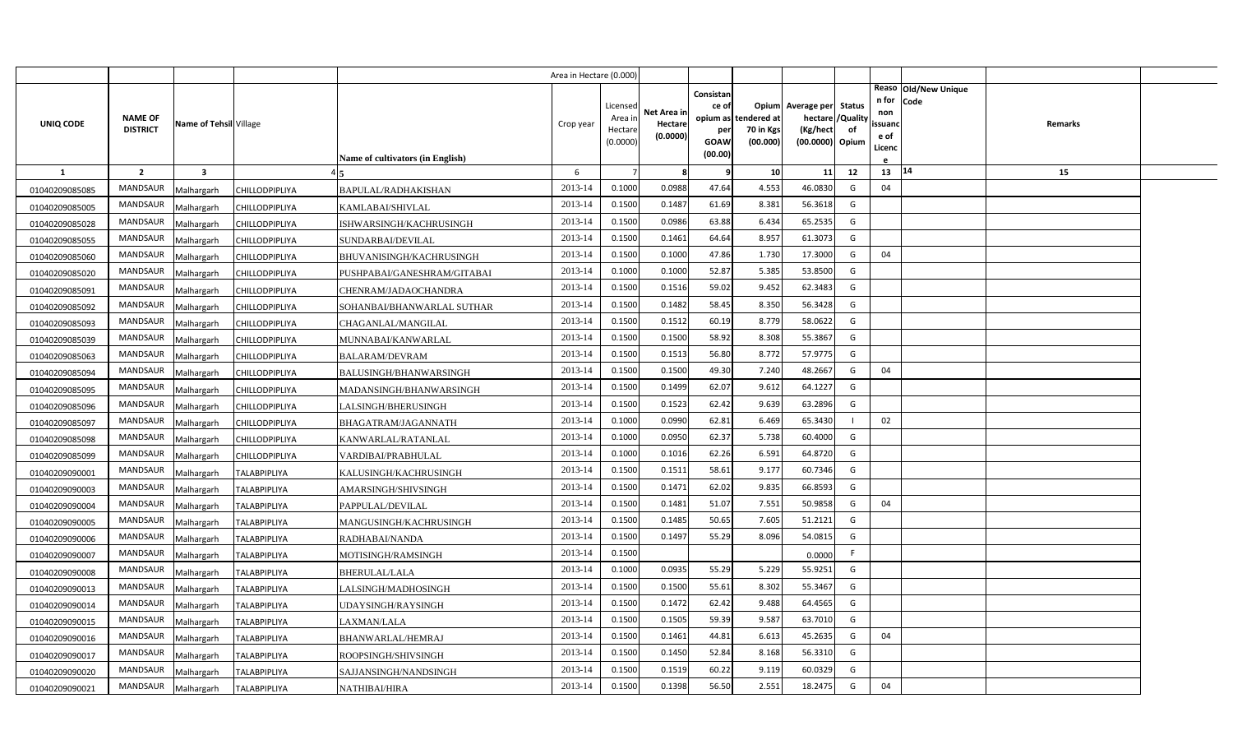|                |                                   |                         |                       |                                         | Area in Hectare (0.000) |                                            |                                    |                                                                 |                                      |                                                                              |    |                                               |                                          |  |
|----------------|-----------------------------------|-------------------------|-----------------------|-----------------------------------------|-------------------------|--------------------------------------------|------------------------------------|-----------------------------------------------------------------|--------------------------------------|------------------------------------------------------------------------------|----|-----------------------------------------------|------------------------------------------|--|
| UNIQ CODE      | <b>NAME OF</b><br><b>DISTRICT</b> | Name of Tehsil Village  |                       | <b>Name of cultivators (in English)</b> | Crop year               | Licensed<br>Area ir<br>Hectare<br>(0.0000) | Net Area in<br>Hectare<br>(0.0000) | Consistan<br>ce of<br>opium as<br>per<br><b>GOAW</b><br>(00.00) | tendered at<br>70 in Kgs<br>(00.000) | Opium Average per Status<br>hectare / Quality<br>(Kg/hect<br>(00.0000) Opium | of | n for Code<br>non<br>ssuanc<br>e of<br>Licenc | Reaso   Old/New Unique<br><b>Remarks</b> |  |
| $\mathbf{1}$   | $\overline{2}$                    | $\overline{\mathbf{3}}$ |                       |                                         | 6                       | $\overline{7}$                             | 8                                  |                                                                 | 10 <sup>1</sup>                      | 11                                                                           | 12 | 13                                            | 14<br>15                                 |  |
| 01040209085085 | <b>MANDSAUR</b>                   | Malhargarh              | CHILLODPIPLIYA        | BAPULAL/RADHAKISHAN                     | 2013-14                 | 0.1000                                     | 0.0988                             | 47.64                                                           | 4.553                                | 46.0830                                                                      | G  | 04                                            |                                          |  |
| 01040209085005 | MANDSAUR                          | Malhargarh              | CHILLODPIPLIYA        | KAMLABAI/SHIVLAL                        | 2013-14                 | 0.1500                                     | 0.1487                             | 61.69                                                           | 8.381                                | 56.3618                                                                      | G  |                                               |                                          |  |
| 01040209085028 | <b>MANDSAUR</b>                   | Malhargarh              | CHILLODPIPLIYA        | ISHWARSINGH/KACHRUSINGH                 | 2013-14                 | 0.1500                                     | 0.0986                             | 63.88                                                           | 6.434                                | 65.2535                                                                      | G  |                                               |                                          |  |
| 01040209085055 | <b>MANDSAUR</b>                   | Malhargarh              | CHILLODPIPLIYA        | SUNDARBAI/DEVILAL                       | 2013-14                 | 0.1500                                     | 0.1461                             | 64.64                                                           | 8.957                                | 61.3073                                                                      | G  |                                               |                                          |  |
| 01040209085060 | MANDSAUR                          | Malhargarh              | CHILLODPIPLIYA        | BHUVANISINGH/KACHRUSINGH                | 2013-14                 | 0.1500                                     | 0.1000                             | 47.86                                                           | 1.730                                | 17.3000                                                                      | G  | 04                                            |                                          |  |
| 01040209085020 | <b>MANDSAUR</b>                   | Malhargarh              | CHILLODPIPLIYA        | PUSHPABAI/GANESHRAM/GITABAI             | 2013-14                 | 0.1000                                     | 0.1000                             | 52.87                                                           | 5.385                                | 53.8500                                                                      | G  |                                               |                                          |  |
| 01040209085091 | MANDSAUR                          | Malhargarh              | CHILLODPIPLIYA        | CHENRAM/JADAOCHANDRA                    | 2013-14                 | 0.1500                                     | 0.1516                             | 59.02                                                           | 9.452                                | 62.3483                                                                      | G  |                                               |                                          |  |
| 01040209085092 | <b>MANDSAUR</b>                   | Malhargarh              | CHILLODPIPLIYA        | SOHANBAI/BHANWARLAL SUTHAR              | 2013-14                 | 0.1500                                     | 0.1482                             | 58.45                                                           | 8.350                                | 56.3428                                                                      | G  |                                               |                                          |  |
| 01040209085093 | MANDSAUR                          | Malhargarh              | CHILLODPIPLIYA        | CHAGANLAL/MANGILAL                      | 2013-14                 | 0.1500                                     | 0.1512                             | 60.19                                                           | 8.779                                | 58.0622                                                                      | G  |                                               |                                          |  |
| 01040209085039 | MANDSAUR                          | Malhargarh              | CHILLODPIPLIYA        | MUNNABAI/KANWARLAL                      | 2013-14                 | 0.1500                                     | 0.1500                             | 58.92                                                           | 8.308                                | 55.3867                                                                      | G  |                                               |                                          |  |
| 01040209085063 | MANDSAUR                          | Malhargarh              | CHILLODPIPLIYA        | BALARAM/DEVRAM                          | 2013-14                 | 0.1500                                     | 0.1513                             | 56.80                                                           | 8.772                                | 57.9775                                                                      | G  |                                               |                                          |  |
| 01040209085094 | MANDSAUR                          | Malhargarh              | CHILLODPIPLIYA        | BALUSINGH/BHANWARSINGH                  | 2013-14                 | 0.1500                                     | 0.1500                             | 49.30                                                           | 7.240                                | 48.2667                                                                      | G  | 04                                            |                                          |  |
| 01040209085095 | <b>MANDSAUR</b>                   | Malhargarh              | CHILLODPIPLIYA        | MADANSINGH/BHANWARSINGH                 | 2013-14                 | 0.1500                                     | 0.1499                             | 62.07                                                           | 9.612                                | 64.1227                                                                      | G  |                                               |                                          |  |
| 01040209085096 | MANDSAUR                          | Malhargarh              | <b>CHILLODPIPLIYA</b> | LALSINGH/BHERUSINGH                     | 2013-14                 | 0.1500                                     | 0.1523                             | 62.42                                                           | 9.639                                | 63.2896                                                                      | G  |                                               |                                          |  |
| 01040209085097 | <b>MANDSAUR</b>                   | Malhargarh              | CHILLODPIPLIYA        | BHAGATRAM/JAGANNATH                     | 2013-14                 | 0.1000                                     | 0.0990                             | 62.81                                                           | 6.469                                | 65.3430                                                                      |    | 02                                            |                                          |  |
| 01040209085098 | MANDSAUR                          | Malhargarh              | CHILLODPIPLIYA        | KANWARLAL/RATANLAL                      | 2013-14                 | 0.1000                                     | 0.0950                             | 62.37                                                           | 5.738                                | 60.4000                                                                      | G  |                                               |                                          |  |
| 01040209085099 | MANDSAUR                          | Malhargarh              | CHILLODPIPLIYA        | VARDIBAI/PRABHULAL                      | 2013-14                 | 0.1000                                     | 0.1016                             | 62.26                                                           | 6.591                                | 64.8720                                                                      | G  |                                               |                                          |  |
| 01040209090001 | MANDSAUR                          | Malhargarh              | <b>TALABPIPLIYA</b>   | KALUSINGH/KACHRUSINGH                   | 2013-14                 | 0.1500                                     | 0.1511                             | 58.61                                                           | 9.177                                | 60.7346                                                                      | G  |                                               |                                          |  |
| 01040209090003 | MANDSAUR                          | Malhargarh              | <b>TALABPIPLIYA</b>   | AMARSINGH/SHIVSINGH                     | 2013-14                 | 0.1500                                     | 0.1471                             | 62.02                                                           | 9.835                                | 66.8593                                                                      | G  |                                               |                                          |  |
| 01040209090004 | MANDSAUR                          | Malhargarh              | <b>TALABPIPLIYA</b>   | PAPPULAL/DEVILAL                        | 2013-14                 | 0.1500                                     | 0.1481                             | 51.07                                                           | 7.551                                | 50.9858                                                                      | G  | 04                                            |                                          |  |
| 01040209090005 | MANDSAUR                          | Malhargarh              | <b>TALABPIPLIYA</b>   | MANGUSINGH/KACHRUSINGH                  | 2013-14                 | 0.1500                                     | 0.1485                             | 50.65                                                           | 7.605                                | 51.2121                                                                      | G  |                                               |                                          |  |
| 01040209090006 | MANDSAUR                          | Malhargarh              | <b>TALABPIPLIYA</b>   | RADHABAI/NANDA                          | 2013-14                 | 0.1500                                     | 0.1497                             | 55.29                                                           | 8.096                                | 54.0815                                                                      | G  |                                               |                                          |  |
| 01040209090007 | MANDSAUR                          | Malhargarh              | <b>TALABPIPLIYA</b>   | MOTISINGH/RAMSINGH                      | 2013-14                 | 0.1500                                     |                                    |                                                                 |                                      | 0.0000                                                                       | F. |                                               |                                          |  |
| 01040209090008 | MANDSAUR                          | Malhargarh              | <b>TALABPIPLIYA</b>   | BHERULAL/LALA                           | 2013-14                 | 0.1000                                     | 0.0935                             | 55.29                                                           | 5.229                                | 55.9251                                                                      | G  |                                               |                                          |  |
| 01040209090013 | MANDSAUR                          | Malhargarh              | <b>TALABPIPLIYA</b>   | LALSINGH/MADHOSINGH                     | 2013-14                 | 0.1500                                     | 0.1500                             | 55.61                                                           | 8.302                                | 55.3467                                                                      | G  |                                               |                                          |  |
| 01040209090014 | MANDSAUR                          | Malhargarh              | TALABPIPLIYA          | JDAYSINGH/RAYSINGH                      | 2013-14                 | 0.1500                                     | 0.1472                             | 62.42                                                           | 9.488                                | 64.4565                                                                      | G  |                                               |                                          |  |
| 01040209090015 | MANDSAUR                          | Malhargarh              | <b>TALABPIPLIYA</b>   | LAXMAN/LALA                             | 2013-14                 | 0.1500                                     | 0.1505                             | 59.39                                                           | 9.587                                | 63.7010                                                                      | G  |                                               |                                          |  |
| 01040209090016 | MANDSAUR                          | Malhargarh              | <b>TALABPIPLIYA</b>   | BHANWARLAL/HEMRAJ                       | 2013-14                 | 0.1500                                     | 0.1461                             | 44.81                                                           | 6.613                                | 45.2635                                                                      | G  | 04                                            |                                          |  |
| 01040209090017 | MANDSAUR                          | Malhargarh              | <b>TALABPIPLIYA</b>   | ROOPSINGH/SHIVSINGH                     | 2013-14                 | 0.1500                                     | 0.1450                             | 52.84                                                           | 8.168                                | 56.3310                                                                      | G  |                                               |                                          |  |
| 01040209090020 | MANDSAUR                          | Malhargarh              | <b>TALABPIPLIYA</b>   | SAJJANSINGH/NANDSINGH                   | 2013-14                 | 0.1500                                     | 0.1519                             | 60.22                                                           | 9.119                                | 60.0329                                                                      | G  |                                               |                                          |  |
| 01040209090021 | MANDSAUR                          | Malhargarh              | <b>TALABPIPLIYA</b>   | NATHIBAI/HIRA                           | 2013-14                 | 0.1500                                     | 0.1398                             | 56.50                                                           | 2.551                                | 18.2475                                                                      | G  | 04                                            |                                          |  |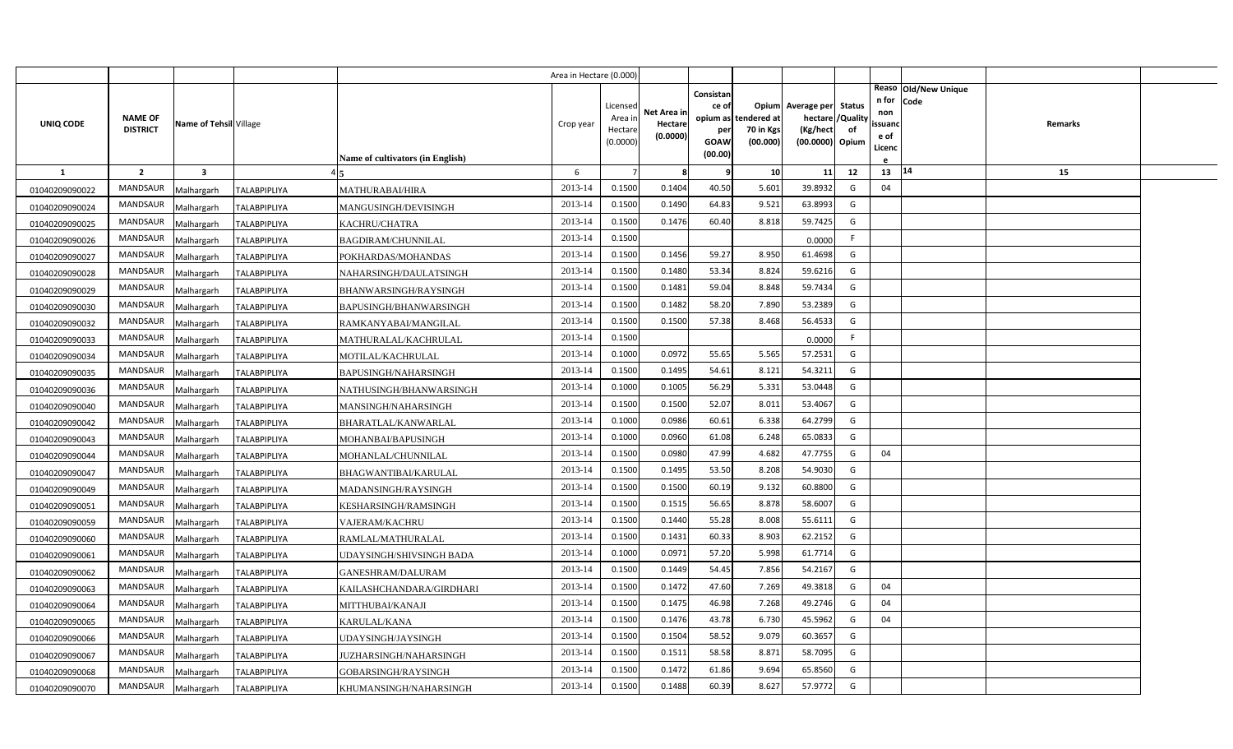|                |                                   |                         |                     |                                  | Area in Hectare (0.000) |                                            |                                    |                                                                 |                                      |                                                                              |    |                                               |                                          |  |
|----------------|-----------------------------------|-------------------------|---------------------|----------------------------------|-------------------------|--------------------------------------------|------------------------------------|-----------------------------------------------------------------|--------------------------------------|------------------------------------------------------------------------------|----|-----------------------------------------------|------------------------------------------|--|
| UNIQ CODE      | <b>NAME OF</b><br><b>DISTRICT</b> | Name of Tehsil Village  |                     | Name of cultivators (in English) | Crop year               | Licensed<br>Area ir<br>Hectare<br>(0.0000) | Net Area in<br>Hectare<br>(0.0000) | Consistan<br>ce of<br>opium as<br>per<br><b>GOAW</b><br>(00.00) | tendered at<br>70 in Kgs<br>(00.000) | Opium Average per Status<br>hectare / Quality<br>(Kg/hect<br>(00.0000) Opium | of | n for Code<br>non<br>ssuanc<br>e of<br>Licenc | Reaso   Old/New Unique<br><b>Remarks</b> |  |
| <b>1</b>       | $\overline{2}$                    | $\overline{\mathbf{3}}$ |                     |                                  | 6                       | $\overline{7}$                             | 8                                  |                                                                 | 10 <sup>1</sup>                      | 11                                                                           | 12 | 13                                            | 14<br>15                                 |  |
| 01040209090022 | <b>MANDSAUR</b>                   | Malhargarh              | <b>TALABPIPLIYA</b> | <b>MATHURABAI/HIRA</b>           | 2013-14                 | 0.1500                                     | 0.1404                             | 40.50                                                           | 5.601                                | 39.8932                                                                      | G  | 04                                            |                                          |  |
| 01040209090024 | MANDSAUR                          | Malhargarh              | <b>TALABPIPLIYA</b> | MANGUSINGH/DEVISINGH             | 2013-14                 | 0.1500                                     | 0.1490                             | 64.83                                                           | 9.521                                | 63.8993                                                                      | G  |                                               |                                          |  |
| 01040209090025 | <b>MANDSAUR</b>                   | Malhargarh              | <b>TALABPIPLIYA</b> | KACHRU/CHATRA                    | 2013-14                 | 0.1500                                     | 0.1476                             | 60.40                                                           | 8.818                                | 59.7425                                                                      | G  |                                               |                                          |  |
| 01040209090026 | <b>MANDSAUR</b>                   | Malhargarh              | TALABPIPLIYA        | <b>BAGDIRAM/CHUNNILAL</b>        | 2013-14                 | 0.1500                                     |                                    |                                                                 |                                      | 0.0000                                                                       | F. |                                               |                                          |  |
| 01040209090027 | MANDSAUR                          | Malhargarh              | <b>TALABPIPLIYA</b> | POKHARDAS/MOHANDAS               | 2013-14                 | 0.1500                                     | 0.1456                             | 59.27                                                           | 8.950                                | 61.4698                                                                      | G  |                                               |                                          |  |
| 01040209090028 | <b>MANDSAUR</b>                   | Malhargarh              | <b>TALABPIPLIYA</b> | NAHARSINGH/DAULATSINGH           | 2013-14                 | 0.1500                                     | 0.1480                             | 53.34                                                           | 8.824                                | 59.6216                                                                      | G  |                                               |                                          |  |
| 01040209090029 | MANDSAUR                          | Malhargarh              | <b>TALABPIPLIYA</b> | BHANWARSINGH/RAYSINGH            | 2013-14                 | 0.1500                                     | 0.1481                             | 59.04                                                           | 8.848                                | 59.7434                                                                      | G  |                                               |                                          |  |
| 01040209090030 | <b>MANDSAUR</b>                   | Malhargarh              | <b>TALABPIPLIYA</b> | BAPUSINGH/BHANWARSINGH           | 2013-14                 | 0.1500                                     | 0.1482                             | 58.20                                                           | 7.890                                | 53.2389                                                                      | G  |                                               |                                          |  |
| 01040209090032 | MANDSAUR                          | Malhargarh              | <b>TALABPIPLIYA</b> | RAMKANYABAI/MANGILAL             | 2013-14                 | 0.1500                                     | 0.1500                             | 57.38                                                           | 8.468                                | 56.4533                                                                      | G  |                                               |                                          |  |
| 01040209090033 | MANDSAUR                          | Malhargarh              | <b>TALABPIPLIYA</b> | MATHURALAL/KACHRULAL             | 2013-14                 | 0.1500                                     |                                    |                                                                 |                                      | 0.0000                                                                       | F. |                                               |                                          |  |
| 01040209090034 | MANDSAUR                          | Malhargarh              | <b>TALABPIPLIYA</b> | MOTILAL/KACHRULAL                | 2013-14                 | 0.1000                                     | 0.0972                             | 55.65                                                           | 5.565                                | 57.2531                                                                      | G  |                                               |                                          |  |
| 01040209090035 | MANDSAUR                          | Malhargarh              | <b>TALABPIPLIYA</b> | BAPUSINGH/NAHARSINGH             | 2013-14                 | 0.1500                                     | 0.1495                             | 54.61                                                           | 8.121                                | 54.3211                                                                      | G  |                                               |                                          |  |
| 01040209090036 | <b>MANDSAUR</b>                   | Malhargarh              | <b>TALABPIPLIYA</b> | NATHUSINGH/BHANWARSINGH          | 2013-14                 | 0.1000                                     | 0.1005                             | 56.29                                                           | 5.331                                | 53.0448                                                                      | G  |                                               |                                          |  |
| 01040209090040 | MANDSAUR                          | Malhargarh              | TALABPIPLIYA        | MANSINGH/NAHARSINGH              | 2013-14                 | 0.1500                                     | 0.1500                             | 52.07                                                           | 8.011                                | 53.4067                                                                      | G  |                                               |                                          |  |
| 01040209090042 | <b>MANDSAUR</b>                   | Malhargarh              | <b>TALABPIPLIYA</b> | BHARATLAL/KANWARLAL              | 2013-14                 | 0.1000                                     | 0.0986                             | 60.61                                                           | 6.338                                | 64.2799                                                                      | G  |                                               |                                          |  |
| 01040209090043 | MANDSAUR                          | Malhargarh              | TALABPIPLIYA        | MOHANBAI/BAPUSINGH               | 2013-14                 | 0.1000                                     | 0.0960                             | 61.08                                                           | 6.248                                | 65.0833                                                                      | G  |                                               |                                          |  |
| 01040209090044 | MANDSAUR                          | Malhargarh              | <b>TALABPIPLIYA</b> | MOHANLAL/CHUNNILAL               | 2013-14                 | 0.1500                                     | 0.0980                             | 47.99                                                           | 4.682                                | 47.7755                                                                      | G  | 04                                            |                                          |  |
| 01040209090047 | MANDSAUR                          | Malhargarh              | <b>TALABPIPLIYA</b> | BHAGWANTIBAI/KARULAL             | 2013-14                 | 0.1500                                     | 0.1495                             | 53.50                                                           | 8.208                                | 54.9030                                                                      | G  |                                               |                                          |  |
| 01040209090049 | MANDSAUR                          | Malhargarh              | <b>TALABPIPLIYA</b> | MADANSINGH/RAYSINGH              | 2013-14                 | 0.1500                                     | 0.1500                             | 60.19                                                           | 9.132                                | 60.8800                                                                      | G  |                                               |                                          |  |
| 01040209090051 | MANDSAUR                          | Malhargarh              | <b>TALABPIPLIYA</b> | KESHARSINGH/RAMSINGH             | 2013-14                 | 0.1500                                     | 0.1515                             | 56.65                                                           | 8.878                                | 58.6007                                                                      | G  |                                               |                                          |  |
| 01040209090059 | MANDSAUR                          | Malhargarh              | TALABPIPLIYA        | VAJERAM/KACHRU                   | 2013-14                 | 0.1500                                     | 0.1440                             | 55.28                                                           | 8.008                                | 55.6111                                                                      | G  |                                               |                                          |  |
| 01040209090060 | MANDSAUR                          | Malhargarh              | <b>TALABPIPLIYA</b> | RAMLAL/MATHURALAL                | 2013-14                 | 0.1500                                     | 0.1431                             | 60.33                                                           | 8.903                                | 62.2152                                                                      | G  |                                               |                                          |  |
| 01040209090061 | MANDSAUR                          | Malhargarh              | TALABPIPLIYA        | UDAYSINGH/SHIVSINGH BADA         | 2013-14                 | 0.1000                                     | 0.0971                             | 57.20                                                           | 5.998                                | 61.7714                                                                      | G  |                                               |                                          |  |
| 01040209090062 | MANDSAUR                          | Malhargarh              | <b>TALABPIPLIYA</b> | GANESHRAM/DALURAM                | 2013-14                 | 0.1500                                     | 0.1449                             | 54.45                                                           | 7.856                                | 54.2167                                                                      | G  |                                               |                                          |  |
| 01040209090063 | MANDSAUR                          | Malhargarh              | <b>TALABPIPLIYA</b> | KAILASHCHANDARA/GIRDHARI         | 2013-14                 | 0.1500                                     | 0.1472                             | 47.60                                                           | 7.269                                | 49.3818                                                                      | G  | 04                                            |                                          |  |
| 01040209090064 | MANDSAUR                          | Malhargarh              | TALABPIPLIYA        | MITTHUBAI/KANAJI                 | 2013-14                 | 0.1500                                     | 0.1475                             | 46.98                                                           | 7.268                                | 49.2746                                                                      | G  | 04                                            |                                          |  |
| 01040209090065 | MANDSAUR                          | Malhargarh              | <b>TALABPIPLIYA</b> | KARULAL/KANA                     | 2013-14                 | 0.1500                                     | 0.1476                             | 43.78                                                           | 6.730                                | 45.5962                                                                      | G  | 04                                            |                                          |  |
| 01040209090066 | MANDSAUR                          | Malhargarh              | <b>TALABPIPLIYA</b> | UDAYSINGH/JAYSINGH               | 2013-14                 | 0.1500                                     | 0.1504                             | 58.52                                                           | 9.079                                | 60.3657                                                                      | G  |                                               |                                          |  |
| 01040209090067 | MANDSAUR                          | Malhargarh              | <b>TALABPIPLIYA</b> | JUZHARSINGH/NAHARSINGH           | 2013-14                 | 0.1500                                     | 0.1511                             | 58.58                                                           | 8.871                                | 58.7095                                                                      | G  |                                               |                                          |  |
| 01040209090068 | MANDSAUR                          | Malhargarh              | <b>TALABPIPLIYA</b> | GOBARSINGH/RAYSINGH              | 2013-14                 | 0.1500                                     | 0.1472                             | 61.86                                                           | 9.694                                | 65.8560                                                                      | G  |                                               |                                          |  |
| 01040209090070 | MANDSAUR                          | Malhargarh              | <b>TALABPIPLIYA</b> | KHUMANSINGH/NAHARSINGH           | 2013-14                 | 0.1500                                     | 0.1488                             | 60.39                                                           | 8.627                                | 57.9772                                                                      | G  |                                               |                                          |  |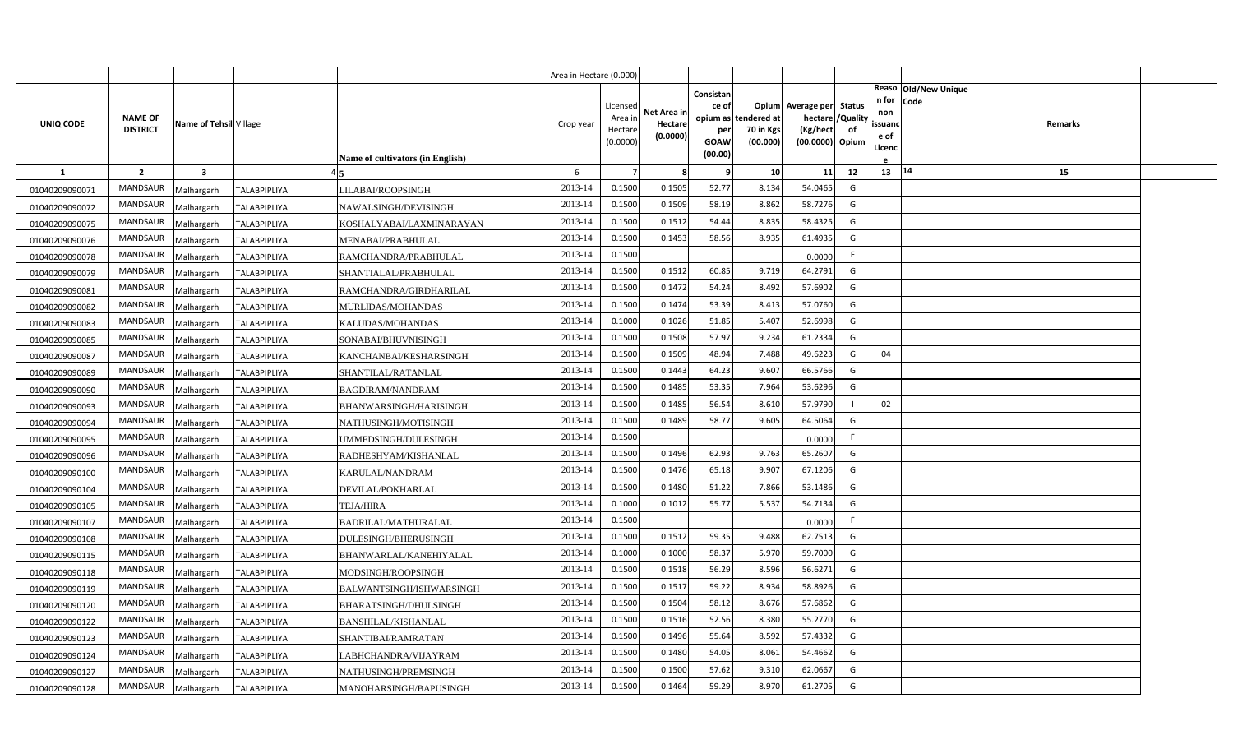|                |                 |                         |                     |                                         | Area in Hectare (0.000) |                    |                        |                    |                       |                             |          |               |                              |         |  |
|----------------|-----------------|-------------------------|---------------------|-----------------------------------------|-------------------------|--------------------|------------------------|--------------------|-----------------------|-----------------------------|----------|---------------|------------------------------|---------|--|
|                |                 |                         |                     |                                         |                         | Licensed           |                        | Consistan<br>ce of |                       | Opium Average per Status    |          | n for         | Reaso Old/New Unique<br>Code |         |  |
| UNIQ CODE      | <b>NAME OF</b>  | Name of Tehsil Village  |                     |                                         | Crop year               | Area ir            | Net Area ir<br>Hectare | opium as           | tendered at           | hectare                     | /Quality | non<br>ssuand |                              | Remarks |  |
|                | <b>DISTRICT</b> |                         |                     |                                         |                         | Hectar<br>(0.0000) | (0.0000)               | per<br>GOAW        | 70 in Kgs<br>(00.000) | (Kg/hect<br>(00.0000) Opium | of       | e of          |                              |         |  |
|                |                 |                         |                     | <b>Name of cultivators (in English)</b> |                         |                    |                        | (00.00)            |                       |                             |          | Licenc        |                              |         |  |
| $\mathbf{1}$   | $\overline{2}$  | $\overline{\mathbf{3}}$ |                     |                                         | 6                       |                    | 8                      | 9                  | 10                    | 11                          | 12       | 13 14         |                              | 15      |  |
| 01040209090071 | <b>MANDSAUR</b> | Malhargarh              | <b>TALABPIPLIYA</b> | LILABAI/ROOPSINGH                       | 2013-14                 | 0.1500             | 0.1505                 | 52.77              | 8.134                 | 54.0465                     | G        |               |                              |         |  |
| 01040209090072 | MANDSAUR        | Malhargarh              | <b>TALABPIPLIYA</b> | NAWALSINGH/DEVISINGH                    | 2013-14                 | 0.1500             | 0.1509                 | 58.19              | 8.862                 | 58.7276                     | G        |               |                              |         |  |
| 01040209090075 | <b>MANDSAUR</b> | Malhargarh              | <b>TALABPIPLIYA</b> | KOSHALYABAI/LAXMINARAYAN                | 2013-14                 | 0.1500             | 0.1512                 | 54.44              | 8.835                 | 58.4325                     | G        |               |                              |         |  |
| 01040209090076 | <b>MANDSAUR</b> | Malhargarh              | <b>TALABPIPLIYA</b> | MENABAI/PRABHULAL                       | 2013-14                 | 0.1500             | 0.1453                 | 58.56              | 8.935                 | 61.4935                     | G        |               |                              |         |  |
| 01040209090078 | MANDSAUR        | Malhargarh              | <b>TALABPIPLIYA</b> | RAMCHANDRA/PRABHULAL                    | 2013-14                 | 0.1500             |                        |                    |                       | 0.0000                      | F.       |               |                              |         |  |
| 01040209090079 | <b>MANDSAUR</b> | Malhargarh              | <b>TALABPIPLIYA</b> | SHANTIALAL/PRABHULAL                    | 2013-14                 | 0.1500             | 0.1512                 | 60.85              | 9.719                 | 64.2791                     | G        |               |                              |         |  |
| 01040209090081 | MANDSAUR        | Malhargarh              | <b>TALABPIPLIYA</b> | RAMCHANDRA/GIRDHARILAL                  | 2013-14                 | 0.1500             | 0.1472                 | 54.24              | 8.492                 | 57.6902                     | G        |               |                              |         |  |
| 01040209090082 | <b>MANDSAUR</b> | Malhargarh              | <b>TALABPIPLIYA</b> | MURLIDAS/MOHANDAS                       | 2013-14                 | 0.1500             | 0.1474                 | 53.39              | 8.413                 | 57.0760                     | G        |               |                              |         |  |
| 01040209090083 | MANDSAUR        | Malhargarh              | <b>TALABPIPLIYA</b> | KALUDAS/MOHANDAS                        | 2013-14                 | 0.1000             | 0.1026                 | 51.85              | 5.407                 | 52.6998                     | G        |               |                              |         |  |
| 01040209090085 | MANDSAUR        | Malhargarh              | <b>TALABPIPLIYA</b> | SONABAI/BHUVNISINGH                     | 2013-14                 | 0.1500             | 0.1508                 | 57.97              | 9.234                 | 61.2334                     | G        |               |                              |         |  |
| 01040209090087 | MANDSAUR        | Malhargarh              | <b>TALABPIPLIYA</b> | KANCHANBAI/KESHARSINGH                  | 2013-14                 | 0.1500             | 0.1509                 | 48.94              | 7.488                 | 49.6223                     | G        | 04            |                              |         |  |
| 01040209090089 | MANDSAUR        | Malhargarh              | <b>TALABPIPLIYA</b> | SHANTILAL/RATANLAL                      | 2013-14                 | 0.1500             | 0.1443                 | 64.23              | 9.607                 | 66.5766                     | G        |               |                              |         |  |
| 01040209090090 | <b>MANDSAUR</b> | Malhargarh              | <b>TALABPIPLIYA</b> | BAGDIRAM/NANDRAM                        | 2013-14                 | 0.1500             | 0.1485                 | 53.35              | 7.964                 | 53.6296                     | G        |               |                              |         |  |
| 01040209090093 | MANDSAUR        | Malhargarh              | TALABPIPLIYA        | BHANWARSINGH/HARISINGH                  | 2013-14                 | 0.1500             | 0.1485                 | 56.54              | 8.610                 | 57.9790                     |          | 02            |                              |         |  |
| 01040209090094 | <b>MANDSAUR</b> | Malhargarh              | <b>TALABPIPLIYA</b> | NATHUSINGH/MOTISINGH                    | 2013-14                 | 0.1500             | 0.1489                 | 58.77              | 9.605                 | 64.5064                     | G        |               |                              |         |  |
| 01040209090095 | MANDSAUR        | Malhargarh              | TALABPIPLIYA        | UMMEDSINGH/DULESINGH                    | 2013-14                 | 0.1500             |                        |                    |                       | 0.0000                      | F.       |               |                              |         |  |
| 01040209090096 | MANDSAUR        | Malhargarh              | <b>TALABPIPLIYA</b> | RADHESHYAM/KISHANLAL                    | 2013-14                 | 0.1500             | 0.1496                 | 62.93              | 9.763                 | 65.2607                     | G        |               |                              |         |  |
| 01040209090100 | MANDSAUR        | Malhargarh              | <b>TALABPIPLIYA</b> | KARULAL/NANDRAM                         | 2013-14                 | 0.1500             | 0.1476                 | 65.18              | 9.907                 | 67.1206                     | G        |               |                              |         |  |
| 01040209090104 | MANDSAUR        | Malhargarh              | <b>TALABPIPLIYA</b> | DEVILAL/POKHARLAL                       | 2013-14                 | 0.1500             | 0.1480                 | 51.22              | 7.866                 | 53.1486                     | G        |               |                              |         |  |
| 01040209090105 | MANDSAUR        | Malhargarh              | <b>TALABPIPLIYA</b> | <b>TEJA/HIRA</b>                        | 2013-14                 | 0.1000             | 0.1012                 | 55.77              | 5.537                 | 54.7134                     | G        |               |                              |         |  |
| 01040209090107 | MANDSAUR        | Malhargarh              | <b>TALABPIPLIYA</b> | BADRILAL/MATHURALAL                     | 2013-14                 | 0.1500             |                        |                    |                       | 0.0000                      | F.       |               |                              |         |  |
| 01040209090108 | MANDSAUR        | Malhargarh              | <b>TALABPIPLIYA</b> | DULESINGH/BHERUSINGH                    | 2013-14                 | 0.1500             | 0.1512                 | 59.35              | 9.488                 | 62.7513                     | G        |               |                              |         |  |
| 01040209090115 | MANDSAUR        | Malhargarh              | <b>TALABPIPLIYA</b> | BHANWARLAL/KANEHIYALAL                  | 2013-14                 | 0.1000             | 0.1000                 | 58.37              | 5.970                 | 59.7000                     | G        |               |                              |         |  |
| 01040209090118 | MANDSAUR        | Malhargarh              | <b>TALABPIPLIYA</b> | MODSINGH/ROOPSINGH                      | 2013-14                 | 0.1500             | 0.1518                 | 56.29              | 8.596                 | 56.6271                     | G        |               |                              |         |  |
| 01040209090119 | MANDSAUR        | Malhargarh              | <b>TALABPIPLIYA</b> | BALWANTSINGH/ISHWARSINGH                | 2013-14                 | 0.1500             | 0.1517                 | 59.22              | 8.934                 | 58.8926                     | G        |               |                              |         |  |
| 01040209090120 | MANDSAUR        | Malhargarh              | <b>TALABPIPLIYA</b> | BHARATSINGH/DHULSINGH                   | 2013-14                 | 0.1500             | 0.1504                 | 58.12              | 8.676                 | 57.6862                     | G        |               |                              |         |  |
| 01040209090122 | MANDSAUR        | Malhargarh              | <b>TALABPIPLIYA</b> | <b>BANSHILAL/KISHANLAL</b>              | 2013-14                 | 0.1500             | 0.1516                 | 52.56              | 8.380                 | 55.2770                     | G        |               |                              |         |  |
| 01040209090123 | MANDSAUR        | Malhargarh              | <b>TALABPIPLIYA</b> | SHANTIBAI/RAMRATAN                      | 2013-14                 | 0.1500             | 0.1496                 | 55.64              | 8.592                 | 57.4332                     | G        |               |                              |         |  |
| 01040209090124 | MANDSAUR        | Malhargarh              | <b>TALABPIPLIYA</b> | LABHCHANDRA/VIJAYRAM                    | 2013-14                 | 0.1500             | 0.1480                 | 54.05              | 8.061                 | 54.4662                     | G        |               |                              |         |  |
| 01040209090127 | MANDSAUR        | Malhargarh              | <b>TALABPIPLIYA</b> | NATHUSINGH/PREMSINGH                    | 2013-14                 | 0.1500             | 0.1500                 | 57.62              | 9.310                 | 62.0667                     | G        |               |                              |         |  |
| 01040209090128 | MANDSAUR        | Malhargarh              | <b>TALABPIPLIYA</b> | MANOHARSINGH/BAPUSINGH                  | 2013-14                 | 0.1500             | 0.1464                 | 59.29              | 8.970                 | 61.2705                     | G        |               |                              |         |  |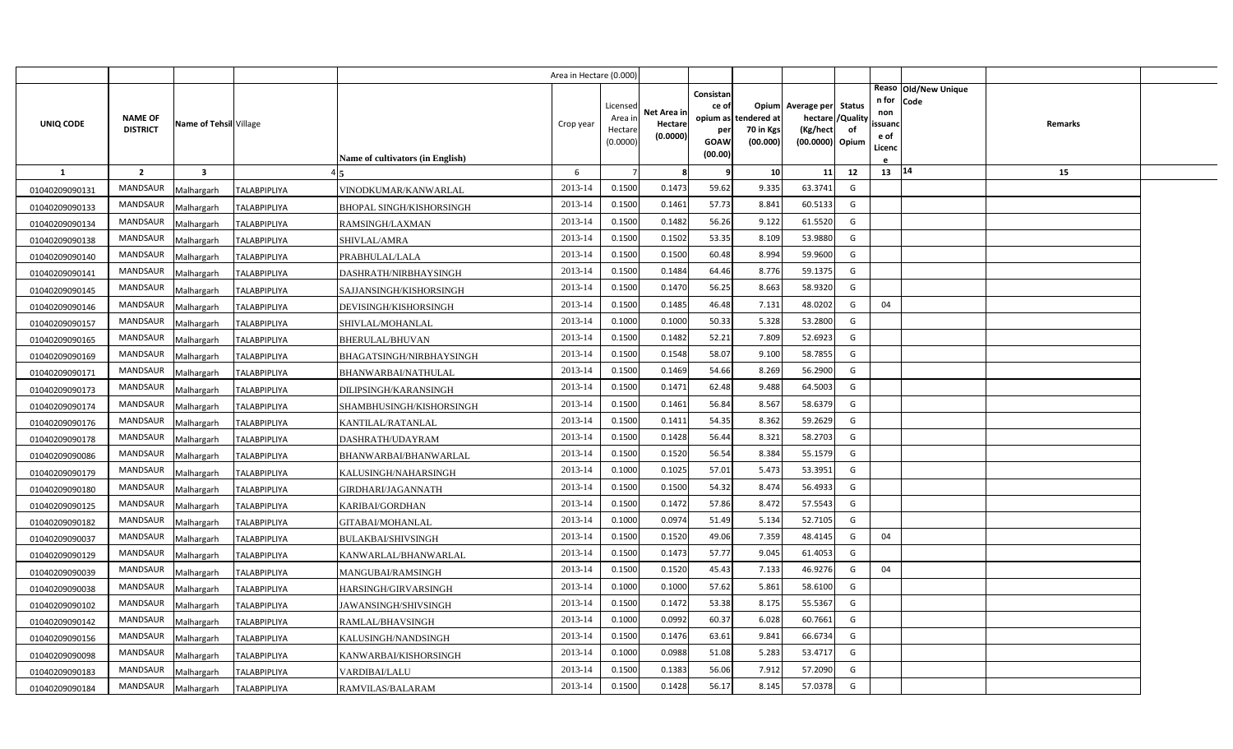|                |                                   |                         |                     |                                         | Area in Hectare (0.000) |                                            |                                    |                                              |                                               |                                                                    |                |                                                                          |                |  |
|----------------|-----------------------------------|-------------------------|---------------------|-----------------------------------------|-------------------------|--------------------------------------------|------------------------------------|----------------------------------------------|-----------------------------------------------|--------------------------------------------------------------------|----------------|--------------------------------------------------------------------------|----------------|--|
| UNIQ CODE      | <b>NAME OF</b><br><b>DISTRICT</b> | Name of Tehsil Village  |                     | <b>Name of cultivators (in English)</b> | Crop year               | Licensed<br>Area in<br>Hectare<br>(0.0000) | Net Area in<br>Hectare<br>(0.0000) | Consistan<br>ce of<br>per<br>GOAW<br>(00.00) | opium as tendered at<br>70 in Kgs<br>(00.000) | Opium Average per Status<br>hectare<br>(Kg/hect<br>(00.0000) Opium | /Quality<br>of | Reaso Old/New Unique<br>n for<br>Code<br>non<br>ssuand<br>e of<br>Licenc | <b>Remarks</b> |  |
| $\mathbf{1}$   | $\overline{2}$                    | $\overline{\mathbf{3}}$ |                     |                                         | 6                       |                                            | 8                                  | 9                                            | 10                                            | 11                                                                 | 12             | 13   14                                                                  | 15             |  |
| 01040209090131 | <b>MANDSAUR</b>                   | Malhargarh              | <b>TALABPIPLIYA</b> | VINODKUMAR/KANWARLAL                    | 2013-14                 | 0.1500                                     | 0.1473                             | 59.62                                        | 9.335                                         | 63.3741                                                            | G              |                                                                          |                |  |
| 01040209090133 | MANDSAUR                          | Malhargarh              | <b>TALABPIPLIYA</b> | <b>BHOPAL SINGH/KISHORSINGH</b>         | 2013-14                 | 0.1500                                     | 0.1461                             | 57.73                                        | 8.841                                         | 60.5133                                                            | G              |                                                                          |                |  |
| 01040209090134 | <b>MANDSAUR</b>                   | Malhargarh              | <b>TALABPIPLIYA</b> | RAMSINGH/LAXMAN                         | 2013-14                 | 0.1500                                     | 0.1482                             | 56.26                                        | 9.122                                         | 61.5520                                                            | G              |                                                                          |                |  |
| 01040209090138 | <b>MANDSAUR</b>                   | Malhargarh              | TALABPIPLIYA        | SHIVLAL/AMRA                            | 2013-14                 | 0.1500                                     | 0.1502                             | 53.35                                        | 8.109                                         | 53.9880                                                            | G              |                                                                          |                |  |
| 01040209090140 | <b>MANDSAUR</b>                   | Malhargarh              | <b>TALABPIPLIYA</b> | PRABHULAL/LALA                          | 2013-14                 | 0.1500                                     | 0.1500                             | 60.48                                        | 8.994                                         | 59.9600                                                            | G              |                                                                          |                |  |
| 01040209090141 | <b>MANDSAUR</b>                   | Malhargarh              | <b>TALABPIPLIYA</b> | DASHRATH/NIRBHAYSINGH                   | 2013-14                 | 0.1500                                     | 0.1484                             | 64.46                                        | 8.776                                         | 59.1375                                                            | G              |                                                                          |                |  |
| 01040209090145 | <b>MANDSAUR</b>                   | Malhargarh              | <b>TALABPIPLIYA</b> | SAJJANSINGH/KISHORSINGH                 | 2013-14                 | 0.1500                                     | 0.1470                             | 56.25                                        | 8.663                                         | 58.9320                                                            | G              |                                                                          |                |  |
| 01040209090146 | MANDSAUR                          | Malhargarh              | <b>TALABPIPLIYA</b> | DEVISINGH/KISHORSINGH                   | 2013-14                 | 0.1500                                     | 0.1485                             | 46.48                                        | 7.131                                         | 48.0202                                                            | G              | 04                                                                       |                |  |
| 01040209090157 | <b>MANDSAUR</b>                   | Malhargarh              | TALABPIPLIYA        | SHIVLAL/MOHANLAL                        | 2013-14                 | 0.1000                                     | 0.1000                             | 50.33                                        | 5.328                                         | 53.2800                                                            | G              |                                                                          |                |  |
| 01040209090165 | MANDSAUR                          | Malhargarh              | <b>TALABPIPLIYA</b> | BHERULAL/BHUVAN                         | 2013-14                 | 0.1500                                     | 0.1482                             | 52.21                                        | 7.809                                         | 52.6923                                                            | G              |                                                                          |                |  |
| 01040209090169 | <b>MANDSAUR</b>                   | Malhargarh              | <b>TALABPIPLIYA</b> | BHAGATSINGH/NIRBHAYSINGH                | 2013-14                 | 0.1500                                     | 0.1548                             | 58.07                                        | 9.100                                         | 58.7855                                                            | G              |                                                                          |                |  |
| 01040209090171 | <b>MANDSAUR</b>                   | Malhargarh              | <b>TALABPIPLIYA</b> | BHANWARBAI/NATHULAL                     | 2013-14                 | 0.1500                                     | 0.1469                             | 54.66                                        | 8.269                                         | 56.2900                                                            | G              |                                                                          |                |  |
| 01040209090173 | <b>MANDSAUR</b>                   | Malhargarh              | <b>TALABPIPLIYA</b> | DILIPSINGH/KARANSINGH                   | 2013-14                 | 0.1500                                     | 0.1471                             | 62.48                                        | 9.488                                         | 64.5003                                                            | G              |                                                                          |                |  |
| 01040209090174 | <b>MANDSAUR</b>                   | Malhargarh              | TALABPIPLIYA        | SHAMBHUSINGH/KISHORSINGH                | 2013-14                 | 0.1500                                     | 0.1461                             | 56.84                                        | 8.567                                         | 58.6379                                                            | G              |                                                                          |                |  |
| 01040209090176 | <b>MANDSAUR</b>                   | Malhargarh              | <b>TALABPIPLIYA</b> | KANTILAL/RATANLAL                       | 2013-14                 | 0.1500                                     | 0.1411                             | 54.35                                        | 8.362                                         | 59.2629                                                            | G              |                                                                          |                |  |
| 01040209090178 | <b>MANDSAUR</b>                   | Malhargarh              | TALABPIPLIYA        | DASHRATH/UDAYRAM                        | 2013-14                 | 0.1500                                     | 0.1428                             | 56.44                                        | 8.321                                         | 58.2703                                                            | G              |                                                                          |                |  |
| 01040209090086 | <b>MANDSAUR</b>                   | Malhargarh              | <b>TALABPIPLIYA</b> | BHANWARBAI/BHANWARLAL                   | 2013-14                 | 0.1500                                     | 0.1520                             | 56.54                                        | 8.384                                         | 55.1579                                                            | G              |                                                                          |                |  |
| 01040209090179 | <b>MANDSAUR</b>                   | Malhargarh              | <b>TALABPIPLIYA</b> | KALUSINGH/NAHARSINGH                    | 2013-14                 | 0.1000                                     | 0.1025                             | 57.01                                        | 5.473                                         | 53.3951                                                            | G              |                                                                          |                |  |
| 01040209090180 | <b>MANDSAUR</b>                   | Malhargarh              | <b>TALABPIPLIYA</b> | <b>GIRDHARI/JAGANNATH</b>               | 2013-14                 | 0.1500                                     | 0.1500                             | 54.32                                        | 8.474                                         | 56.4933                                                            | G              |                                                                          |                |  |
| 01040209090125 | <b>MANDSAUR</b>                   | Malhargarh              | <b>TALABPIPLIYA</b> | KARIBAI/GORDHAN                         | 2013-14                 | 0.1500                                     | 0.1472                             | 57.86                                        | 8.472                                         | 57.5543                                                            | G              |                                                                          |                |  |
| 01040209090182 | <b>MANDSAUR</b>                   | Malhargarh              | TALABPIPLIYA        | GITABAI/MOHANLAL                        | 2013-14                 | 0.1000                                     | 0.0974                             | 51.49                                        | 5.134                                         | 52.7105                                                            | G              |                                                                          |                |  |
| 01040209090037 | <b>MANDSAUR</b>                   | Malhargarh              | <b>TALABPIPLIYA</b> | BULAKBAI/SHIVSINGH                      | 2013-14                 | 0.1500                                     | 0.1520                             | 49.06                                        | 7.359                                         | 48.4145                                                            | G              | 04                                                                       |                |  |
| 01040209090129 | <b>MANDSAUR</b>                   | Malhargarh              | <b>TALABPIPLIYA</b> | KANWARLAL/BHANWARLAL                    | 2013-14                 | 0.1500                                     | 0.1473                             | 57.77                                        | 9.045                                         | 61.4053                                                            | G              |                                                                          |                |  |
| 01040209090039 | <b>MANDSAUR</b>                   | Malhargarh              | <b>TALABPIPLIYA</b> | MANGUBAI/RAMSINGH                       | 2013-14                 | 0.1500                                     | 0.1520                             | 45.43                                        | 7.133                                         | 46.9276                                                            | G              | 04                                                                       |                |  |
| 01040209090038 | <b>MANDSAUR</b>                   | Malhargarh              | <b>TALABPIPLIYA</b> | HARSINGH/GIRVARSINGH                    | 2013-14                 | 0.1000                                     | 0.1000                             | 57.62                                        | 5.861                                         | 58.6100                                                            | G              |                                                                          |                |  |
| 01040209090102 | <b>MANDSAUR</b>                   | Malhargarh              | TALABPIPLIYA        | JAWANSINGH/SHIVSINGH                    | 2013-14                 | 0.1500                                     | 0.1472                             | 53.38                                        | 8.175                                         | 55.5367                                                            | G              |                                                                          |                |  |
| 01040209090142 | <b>MANDSAUR</b>                   | Malhargarh              | <b>TALABPIPLIYA</b> | RAMLAL/BHAVSINGH                        | 2013-14                 | 0.1000                                     | 0.0992                             | 60.37                                        | 6.028                                         | 60.7661                                                            | G              |                                                                          |                |  |
| 01040209090156 | <b>MANDSAUR</b>                   | Malhargarh              | TALABPIPLIYA        | KALUSINGH/NANDSINGH                     | 2013-14                 | 0.1500                                     | 0.1476                             | 63.61                                        | 9.841                                         | 66.6734                                                            | G              |                                                                          |                |  |
| 01040209090098 | MANDSAUR                          | Malhargarh              | <b>TALABPIPLIYA</b> | KANWARBAI/KISHORSINGH                   | 2013-14                 | 0.1000                                     | 0.0988                             | 51.08                                        | 5.283                                         | 53.4717                                                            | G              |                                                                          |                |  |
| 01040209090183 | MANDSAUR                          | Malhargarh              | <b>TALABPIPLIYA</b> | VARDIBAI/LALU                           | 2013-14                 | 0.1500                                     | 0.1383                             | 56.06                                        | 7.912                                         | 57.2090                                                            | G              |                                                                          |                |  |
| 01040209090184 | MANDSAUR                          | Malhargarh              | <b>TALABPIPLIYA</b> | RAMVILAS/BALARAM                        | 2013-14                 | 0.1500                                     | 0.1428                             | 56.17                                        | 8.145                                         | 57.0378                                                            | G              |                                                                          |                |  |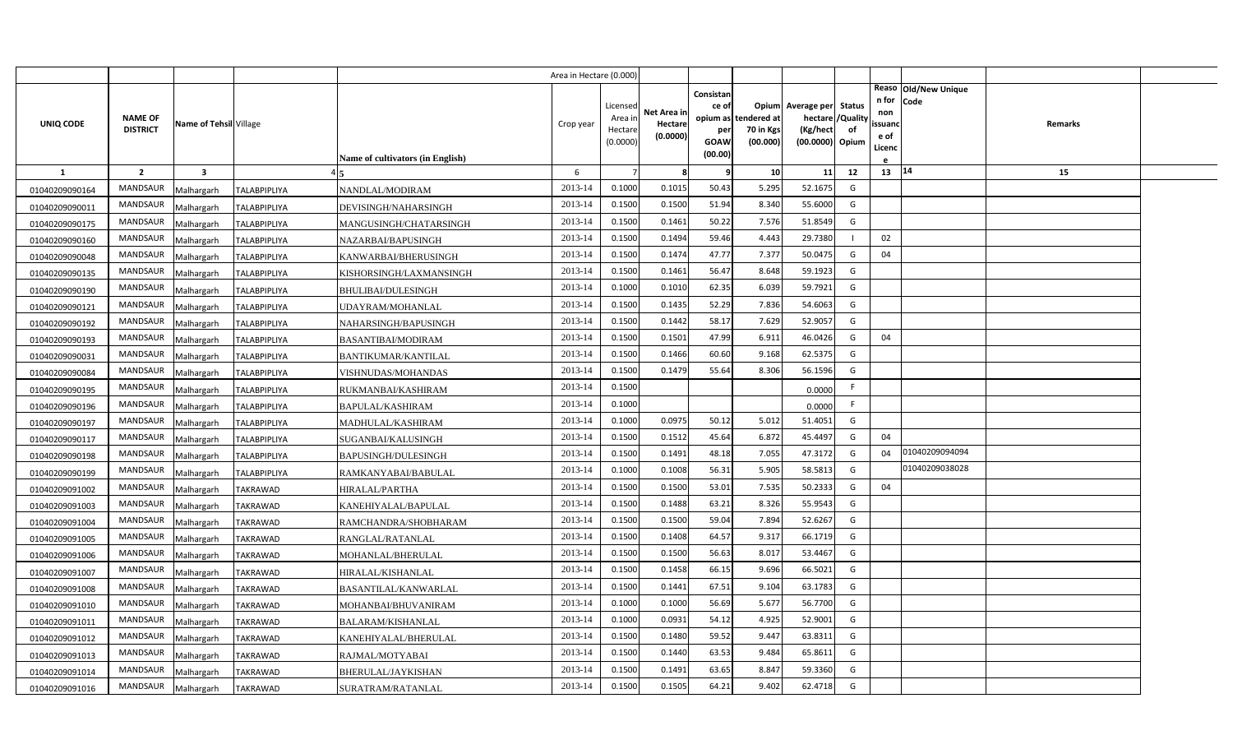|                |                                   |                        |                     |                                  | Area in Hectare (0.000) |                    |             |             |                       |                             |          |              |                      |         |  |
|----------------|-----------------------------------|------------------------|---------------------|----------------------------------|-------------------------|--------------------|-------------|-------------|-----------------------|-----------------------------|----------|--------------|----------------------|---------|--|
|                |                                   |                        |                     |                                  |                         |                    |             | Consistan   |                       |                             |          |              | Reaso Old/New Unique |         |  |
|                |                                   |                        |                     |                                  |                         | Licensed           | Net Area ir | ce of       |                       | Opium Average per Status    |          | n for<br>non | Code                 |         |  |
| UNIQ CODE      | <b>NAME OF</b><br><b>DISTRICT</b> | Name of Tehsil Village |                     |                                  | Crop year               | Area ir            | Hectare     | opium as    | tendered at           | hectare                     | /Quality | ssuano       |                      | Remarks |  |
|                |                                   |                        |                     |                                  |                         | Hectar<br>(0.0000) | (0.0000)    | per<br>GOAW | 70 in Kgs<br>(00.000) | (Kg/hect<br>(00.0000) Opium | of       | e of         |                      |         |  |
|                |                                   |                        |                     | Name of cultivators (in English) |                         |                    |             | (00.00)     |                       |                             |          | Licenc       |                      |         |  |
| 1              | $\overline{2}$                    | 3                      |                     |                                  | 6                       |                    | 8           | q           | 10                    | 11                          | 12       | $13 \mid 14$ |                      | 15      |  |
| 01040209090164 | MANDSAUR                          | Malhargarh             | <b>TALABPIPLIYA</b> | NANDLAL/MODIRAM                  | 2013-14                 | 0.1000             | 0.1015      | 50.43       | 5.295                 | 52.1675                     | G        |              |                      |         |  |
| 01040209090011 | MANDSAUR                          | Malhargarh             | <b>TALABPIPLIYA</b> | DEVISINGH/NAHARSINGH             | 2013-14                 | 0.1500             | 0.1500      | 51.94       | 8.340                 | 55.6000                     | G        |              |                      |         |  |
| 01040209090175 | MANDSAUR                          | Malhargarh             | <b>TALABPIPLIYA</b> | MANGUSINGH/CHATARSINGH           | 2013-14                 | 0.1500             | 0.1461      | 50.22       | 7.576                 | 51.8549                     | G        |              |                      |         |  |
| 01040209090160 | MANDSAUR                          | Malhargarh             | <b>TALABPIPLIYA</b> | NAZARBAI/BAPUSINGH               | 2013-14                 | 0.1500             | 0.1494      | 59.46       | 4.443                 | 29.7380                     |          | 02           |                      |         |  |
| 01040209090048 | <b>MANDSAUR</b>                   | Malhargarh             | <b>TALABPIPLIYA</b> | KANWARBAI/BHERUSINGH             | 2013-14                 | 0.1500             | 0.1474      | 47.77       | 7.377                 | 50.0475                     | G        | 04           |                      |         |  |
| 01040209090135 | MANDSAUR                          | Malhargarh             | TALABPIPLIYA        | KISHORSINGH/LAXMANSINGH          | 2013-14                 | 0.1500             | 0.1461      | 56.47       | 8.648                 | 59.1923                     | G        |              |                      |         |  |
| 01040209090190 | MANDSAUR                          | Malhargarh             | <b>TALABPIPLIYA</b> | BHULIBAI/DULESINGH               | 2013-14                 | 0.1000             | 0.1010      | 62.35       | 6.039                 | 59.7921                     | G        |              |                      |         |  |
| 01040209090121 | MANDSAUR                          | Malhargarh             | <b>TALABPIPLIYA</b> | UDAYRAM/MOHANLAL                 | 2013-14                 | 0.1500             | 0.1435      | 52.29       | 7.836                 | 54.6063                     | G        |              |                      |         |  |
| 01040209090192 | MANDSAUR                          | Malhargarh             | <b>TALABPIPLIYA</b> | NAHARSINGH/BAPUSINGH             | 2013-14                 | 0.1500             | 0.1442      | 58.17       | 7.629                 | 52.9057                     | G        |              |                      |         |  |
| 01040209090193 | MANDSAUR                          | Malhargarh             | <b>TALABPIPLIYA</b> | <b>BASANTIBAI/MODIRAM</b>        | 2013-14                 | 0.1500             | 0.1501      | 47.99       | 6.911                 | 46.0426                     | G        | 04           |                      |         |  |
| 01040209090031 | <b>MANDSAUR</b>                   | Malhargarh             | <b>TALABPIPLIYA</b> | <b>BANTIKUMAR/KANTILAL</b>       | 2013-14                 | 0.1500             | 0.1466      | 60.60       | 9.168                 | 62.5375                     | G        |              |                      |         |  |
| 01040209090084 | MANDSAUR                          | Malhargarh             | <b>TALABPIPLIYA</b> | VISHNUDAS/MOHANDAS               | 2013-14                 | 0.1500             | 0.1479      | 55.64       | 8.306                 | 56.1596                     | G        |              |                      |         |  |
| 01040209090195 | <b>MANDSAUR</b>                   | Malhargarh             | <b>TALABPIPLIYA</b> | RUKMANBAI/KASHIRAM               | 2013-14                 | 0.1500             |             |             |                       | 0.0000                      | F.       |              |                      |         |  |
| 01040209090196 | <b>MANDSAUR</b>                   | Malhargarh             | <b>TALABPIPLIYA</b> | BAPULAL/KASHIRAM                 | 2013-14                 | 0.1000             |             |             |                       | 0.0000                      | F.       |              |                      |         |  |
| 01040209090197 | <b>MANDSAUR</b>                   | Malhargarh             | <b>TALABPIPLIYA</b> | MADHULAL/KASHIRAM                | 2013-14                 | 0.1000             | 0.0975      | 50.12       | 5.012                 | 51.4051                     | G        |              |                      |         |  |
| 01040209090117 | <b>MANDSAUR</b>                   | Malhargarh             | TALABPIPLIYA        | SUGANBAI/KALUSINGH               | 2013-14                 | 0.1500             | 0.1512      | 45.64       | 6.872                 | 45.4497                     | G        | 04           |                      |         |  |
| 01040209090198 | MANDSAUR                          | Malhargarh             | <b>TALABPIPLIYA</b> | <b>BAPUSINGH/DULESINGH</b>       | 2013-14                 | 0.1500             | 0.1491      | 48.18       | 7.055                 | 47.3172                     | G        | 04           | 01040209094094       |         |  |
| 01040209090199 | MANDSAUR                          | Malhargarh             | TALABPIPLIYA        | RAMKANYABAI/BABULAL              | 2013-14                 | 0.1000             | 0.1008      | 56.31       | 5.905                 | 58.5813                     | G        |              | 01040209038028       |         |  |
| 01040209091002 | MANDSAUR                          | Malhargarh             | <b>TAKRAWAD</b>     | <b>HIRALAL/PARTHA</b>            | 2013-14                 | 0.1500             | 0.1500      | 53.01       | 7.535                 | 50.2333                     | G        | 04           |                      |         |  |
| 01040209091003 | MANDSAUR                          | Malhargarh             | TAKRAWAD            | KANEHIYALAL/BAPULAL              | 2013-14                 | 0.1500             | 0.1488      | 63.21       | 8.326                 | 55.9543                     | G        |              |                      |         |  |
| 01040209091004 | MANDSAUR                          | Malhargarh             | <b>TAKRAWAD</b>     | RAMCHANDRA/SHOBHARAM             | 2013-14                 | 0.1500             | 0.1500      | 59.04       | 7.894                 | 52.6267                     | G        |              |                      |         |  |
| 01040209091005 | <b>MANDSAUR</b>                   | Malhargarh             | TAKRAWAD            | RANGLAL/RATANLAL                 | 2013-14                 | 0.1500             | 0.1408      | 64.57       | 9.317                 | 66.1719                     | G        |              |                      |         |  |
| 01040209091006 | MANDSAUR                          | Malhargarh             | TAKRAWAD            | MOHANLAL/BHERULAL                | 2013-14                 | 0.1500             | 0.1500      | 56.63       | 8.017                 | 53.4467                     | G        |              |                      |         |  |
| 01040209091007 | MANDSAUR                          | Malhargarh             | TAKRAWAD            | HIRALAL/KISHANLAL                | 2013-14                 | 0.1500             | 0.1458      | 66.15       | 9.696                 | 66.5021                     | G        |              |                      |         |  |
| 01040209091008 | MANDSAUR                          | Malhargarh             | TAKRAWAD            | BASANTILAL/KANWARLAL             | 2013-14                 | 0.1500             | 0.1441      | 67.51       | 9.104                 | 63.1783                     | G        |              |                      |         |  |
| 01040209091010 | MANDSAUR                          | Malhargarh             | TAKRAWAD            | MOHANBAI/BHUVANIRAM              | 2013-14                 | 0.1000             | 0.1000      | 56.69       | 5.677                 | 56.7700                     | G        |              |                      |         |  |
| 01040209091011 | MANDSAUR                          | Malhargarh             | TAKRAWAD            | BALARAM/KISHANLAL                | 2013-14                 | 0.1000             | 0.0931      | 54.12       | 4.925                 | 52.9001                     | G        |              |                      |         |  |
| 01040209091012 | <b>MANDSAUR</b>                   | Malhargarh             | TAKRAWAD            | KANEHIYALAL/BHERULAL             | 2013-14                 | 0.1500             | 0.1480      | 59.52       | 9.447                 | 63.8311                     | G        |              |                      |         |  |
| 01040209091013 | MANDSAUR                          | Malhargarh             | TAKRAWAD            | RAJMAL/MOTYABAI                  | 2013-14                 | 0.1500             | 0.1440      | 63.53       | 9.484                 | 65.8611                     | G        |              |                      |         |  |
| 01040209091014 | <b>MANDSAUR</b>                   | Malhargarh             | TAKRAWAD            | BHERULAL/JAYKISHAN               | 2013-14                 | 0.1500             | 0.1491      | 63.65       | 8.847                 | 59.3360                     | G        |              |                      |         |  |
| 01040209091016 | MANDSAUR                          | Malhargarh             | <b>TAKRAWAD</b>     | SURATRAM/RATANLAL                | 2013-14                 | 0.1500             | 0.1505      | 64.21       | 9.402                 | 62.4718                     | G        |              |                      |         |  |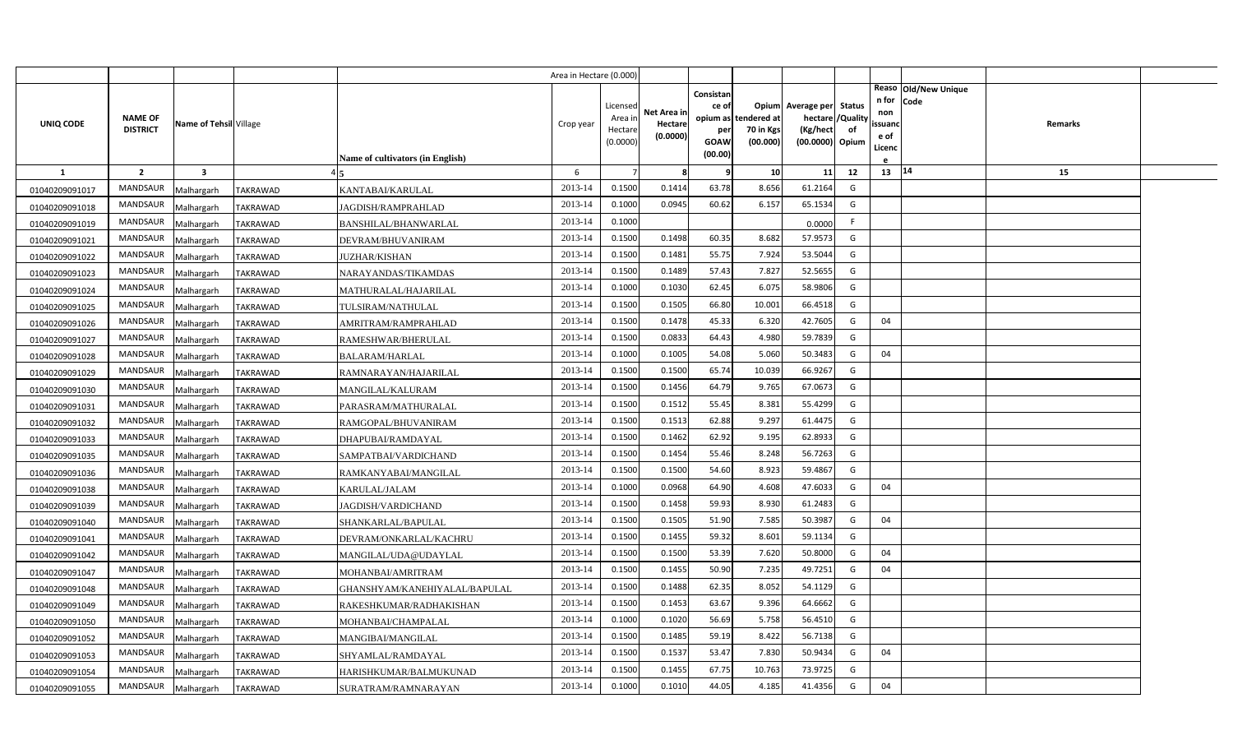|                |                                   |                        |                 |                                         | Area in Hectare (0.000) |                                            |                                    |                                              |                                               |                                                                    |                |                                                                          |         |  |
|----------------|-----------------------------------|------------------------|-----------------|-----------------------------------------|-------------------------|--------------------------------------------|------------------------------------|----------------------------------------------|-----------------------------------------------|--------------------------------------------------------------------|----------------|--------------------------------------------------------------------------|---------|--|
| UNIQ CODE      | <b>NAME OF</b><br><b>DISTRICT</b> | Name of Tehsil Village |                 | <b>Name of cultivators (in English)</b> | Crop year               | Licensed<br>Area in<br>Hectare<br>(0.0000) | Net Area in<br>Hectare<br>(0.0000) | Consistan<br>ce of<br>per<br>GOAW<br>(00.00) | opium as tendered at<br>70 in Kgs<br>(00.000) | Opium Average per Status<br>hectare<br>(Kg/hect<br>(00.0000) Opium | /Quality<br>of | Reaso Old/New Unique<br>n for<br>Code<br>non<br>ssuand<br>e of<br>Licenc | Remarks |  |
| $\mathbf{1}$   | $\overline{2}$                    | $\mathbf{3}$           |                 |                                         | 6                       |                                            | -8                                 | q                                            | 10                                            | 11                                                                 | 12             | 13   14                                                                  | 15      |  |
| 01040209091017 | <b>MANDSAUR</b>                   | Malhargarh             | TAKRAWAD        | KANTABAI/KARULAL                        | 2013-14                 | 0.1500                                     | 0.1414                             | 63.78                                        | 8.656                                         | 61.2164                                                            | G              |                                                                          |         |  |
| 01040209091018 | MANDSAUR                          | Malhargarh             | <b>TAKRAWAD</b> | JAGDISH/RAMPRAHLAD                      | 2013-14                 | 0.1000                                     | 0.0945                             | 60.62                                        | 6.157                                         | 65.1534                                                            | G              |                                                                          |         |  |
| 01040209091019 | <b>MANDSAUR</b>                   | Malhargarh             | <b>TAKRAWAD</b> | BANSHILAL/BHANWARLAL                    | 2013-14                 | 0.1000                                     |                                    |                                              |                                               | 0.0000                                                             | F.             |                                                                          |         |  |
| 01040209091021 | <b>MANDSAUR</b>                   | Malhargarh             | TAKRAWAD        | DEVRAM/BHUVANIRAM                       | 2013-14                 | 0.1500                                     | 0.1498                             | 60.35                                        | 8.682                                         | 57.9573                                                            | G              |                                                                          |         |  |
| 01040209091022 | <b>MANDSAUR</b>                   | Malhargarh             | <b>TAKRAWAD</b> | JUZHAR/KISHAN                           | 2013-14                 | 0.1500                                     | 0.1481                             | 55.75                                        | 7.924                                         | 53.5044                                                            | G              |                                                                          |         |  |
| 01040209091023 | <b>MANDSAUR</b>                   | Malhargarh             | <b>TAKRAWAD</b> | NARAYANDAS/TIKAMDAS                     | 2013-14                 | 0.1500                                     | 0.1489                             | 57.43                                        | 7.827                                         | 52.5655                                                            | G              |                                                                          |         |  |
| 01040209091024 | <b>MANDSAUR</b>                   | Malhargarh             | <b>TAKRAWAD</b> | MATHURALAL/HAJARILAL                    | 2013-14                 | 0.1000                                     | 0.1030                             | 62.45                                        | 6.075                                         | 58.9806                                                            | G              |                                                                          |         |  |
| 01040209091025 | MANDSAUR                          | Malhargarh             | <b>TAKRAWAD</b> | TULSIRAM/NATHULAL                       | 2013-14                 | 0.1500                                     | 0.1505                             | 66.80                                        | 10.00                                         | 66.4518                                                            | G              |                                                                          |         |  |
| 01040209091026 | MANDSAUR                          | Malhargarh             | <b>TAKRAWAD</b> | AMRITRAM/RAMPRAHLAD                     | 2013-14                 | 0.1500                                     | 0.1478                             | 45.33                                        | 6.320                                         | 42.7605                                                            | G              | 04                                                                       |         |  |
| 01040209091027 | MANDSAUR                          | Malhargarh             | TAKRAWAD        | RAMESHWAR/BHERULAL                      | 2013-14                 | 0.1500                                     | 0.0833                             | 64.43                                        | 4.980                                         | 59.7839                                                            | G              |                                                                          |         |  |
| 01040209091028 | <b>MANDSAUR</b>                   | Malhargarh             | <b>TAKRAWAD</b> | BALARAM/HARLAL                          | 2013-14                 | 0.1000                                     | 0.1005                             | 54.08                                        | 5.060                                         | 50.3483                                                            | G              | 04                                                                       |         |  |
| 01040209091029 | <b>MANDSAUR</b>                   | Malhargarh             | <b>TAKRAWAD</b> | RAMNARAYAN/HAJARILAL                    | 2013-14                 | 0.1500                                     | 0.1500                             | 65.74                                        | 10.039                                        | 66.9267                                                            | G              |                                                                          |         |  |
| 01040209091030 | <b>MANDSAUR</b>                   | Malhargarh             | TAKRAWAD        | MANGILAL/KALURAM                        | 2013-14                 | 0.1500                                     | 0.1456                             | 64.79                                        | 9.765                                         | 67.0673                                                            | G              |                                                                          |         |  |
| 01040209091031 | <b>MANDSAUR</b>                   | Malhargarh             | TAKRAWAD        | PARASRAM/MATHURALAL                     | 2013-14                 | 0.1500                                     | 0.1512                             | 55.45                                        | 8.381                                         | 55.4299                                                            | G              |                                                                          |         |  |
| 01040209091032 | <b>MANDSAUR</b>                   | Malhargarh             | TAKRAWAD        | RAMGOPAL/BHUVANIRAM                     | 2013-14                 | 0.1500                                     | 0.1513                             | 62.88                                        | 9.297                                         | 61.4475                                                            | G              |                                                                          |         |  |
| 01040209091033 | MANDSAUR                          | Malhargarh             | TAKRAWAD        | DHAPUBAI/RAMDAYAL                       | 2013-14                 | 0.1500                                     | 0.1462                             | 62.92                                        | 9.195                                         | 62.8933                                                            | G              |                                                                          |         |  |
| 01040209091035 | <b>MANDSAUR</b>                   | Malhargarh             | TAKRAWAD        | SAMPATBAI/VARDICHAND                    | 2013-14                 | 0.1500                                     | 0.1454                             | 55.46                                        | 8.248                                         | 56.7263                                                            | G              |                                                                          |         |  |
| 01040209091036 | <b>MANDSAUR</b>                   | Malhargarh             | TAKRAWAD        | RAMKANYABAI/MANGILAL                    | 2013-14                 | 0.1500                                     | 0.1500                             | 54.60                                        | 8.923                                         | 59.4867                                                            | G              |                                                                          |         |  |
| 01040209091038 | <b>MANDSAUR</b>                   | Malhargarh             | TAKRAWAD        | KARULAL/JALAM                           | 2013-14                 | 0.1000                                     | 0.0968                             | 64.90                                        | 4.608                                         | 47.6033                                                            | G              | 04                                                                       |         |  |
| 01040209091039 | <b>MANDSAUR</b>                   | Malhargarh             | <b>TAKRAWAD</b> | JAGDISH/VARDICHAND                      | 2013-14                 | 0.1500                                     | 0.1458                             | 59.93                                        | 8.930                                         | 61.2483                                                            | G              |                                                                          |         |  |
| 01040209091040 | <b>MANDSAUR</b>                   | Malhargarh             | TAKRAWAD        | SHANKARLAL/BAPULAL                      | 2013-14                 | 0.1500                                     | 0.1505                             | 51.90                                        | 7.585                                         | 50.3987                                                            | G              | 04                                                                       |         |  |
| 01040209091041 | <b>MANDSAUR</b>                   | Malhargarh             | TAKRAWAD        | DEVRAM/ONKARLAL/KACHRU                  | 2013-14                 | 0.1500                                     | 0.1455                             | 59.32                                        | 8.601                                         | 59.1134                                                            | G              |                                                                          |         |  |
| 01040209091042 | <b>MANDSAUR</b>                   | Malhargarh             | TAKRAWAD        | MANGILAL/UDA@UDAYLAL                    | 2013-14                 | 0.1500                                     | 0.1500                             | 53.39                                        | 7.620                                         | 50.8000                                                            | G              | 04                                                                       |         |  |
| 01040209091047 | <b>MANDSAUR</b>                   | Malhargarh             | TAKRAWAD        | MOHANBAI/AMRITRAM                       | 2013-14                 | 0.1500                                     | 0.1455                             | 50.90                                        | 7.235                                         | 49.7251                                                            | G              | 04                                                                       |         |  |
| 01040209091048 | <b>MANDSAUR</b>                   | Malhargarh             | TAKRAWAD        | GHANSHYAM/KANEHIYALAL/BAPULAL           | 2013-14                 | 0.1500                                     | 0.1488                             | 62.35                                        | 8.052                                         | 54.1129                                                            | G              |                                                                          |         |  |
| 01040209091049 | <b>MANDSAUR</b>                   | Malhargarh             | TAKRAWAD        | RAKESHKUMAR/RADHAKISHAN                 | 2013-14                 | 0.1500                                     | 0.1453                             | 63.67                                        | 9.396                                         | 64.6662                                                            | G              |                                                                          |         |  |
| 01040209091050 | <b>MANDSAUR</b>                   | Malhargarh             | TAKRAWAD        | MOHANBAI/CHAMPALAL                      | 2013-14                 | 0.1000                                     | 0.1020                             | 56.69                                        | 5.758                                         | 56.4510                                                            | G              |                                                                          |         |  |
| 01040209091052 | <b>MANDSAUR</b>                   | Malhargarh             | <b>TAKRAWAD</b> | MANGIBAI/MANGILAL                       | 2013-14                 | 0.1500                                     | 0.1485                             | 59.19                                        | 8.422                                         | 56.7138                                                            | G              |                                                                          |         |  |
| 01040209091053 | <b>MANDSAUR</b>                   | Malhargarh             | TAKRAWAD        | SHYAMLAL/RAMDAYAL                       | 2013-14                 | 0.1500                                     | 0.1537                             | 53.47                                        | 7.830                                         | 50.9434                                                            | G              | 04                                                                       |         |  |
| 01040209091054 | MANDSAUR                          | Malhargarh             | TAKRAWAD        | HARISHKUMAR/BALMUKUNAD                  | 2013-14                 | 0.1500                                     | 0.1455                             | 67.75                                        | 10.763                                        | 73.9725                                                            | G              |                                                                          |         |  |
| 01040209091055 | <b>MANDSAUR</b>                   | Malhargarh             | <b>TAKRAWAD</b> | SURATRAM/RAMNARAYAN                     | 2013-14                 | 0.1000                                     | 0.1010                             | 44.05                                        | 4.185                                         | 41.4356                                                            | G              | 04                                                                       |         |  |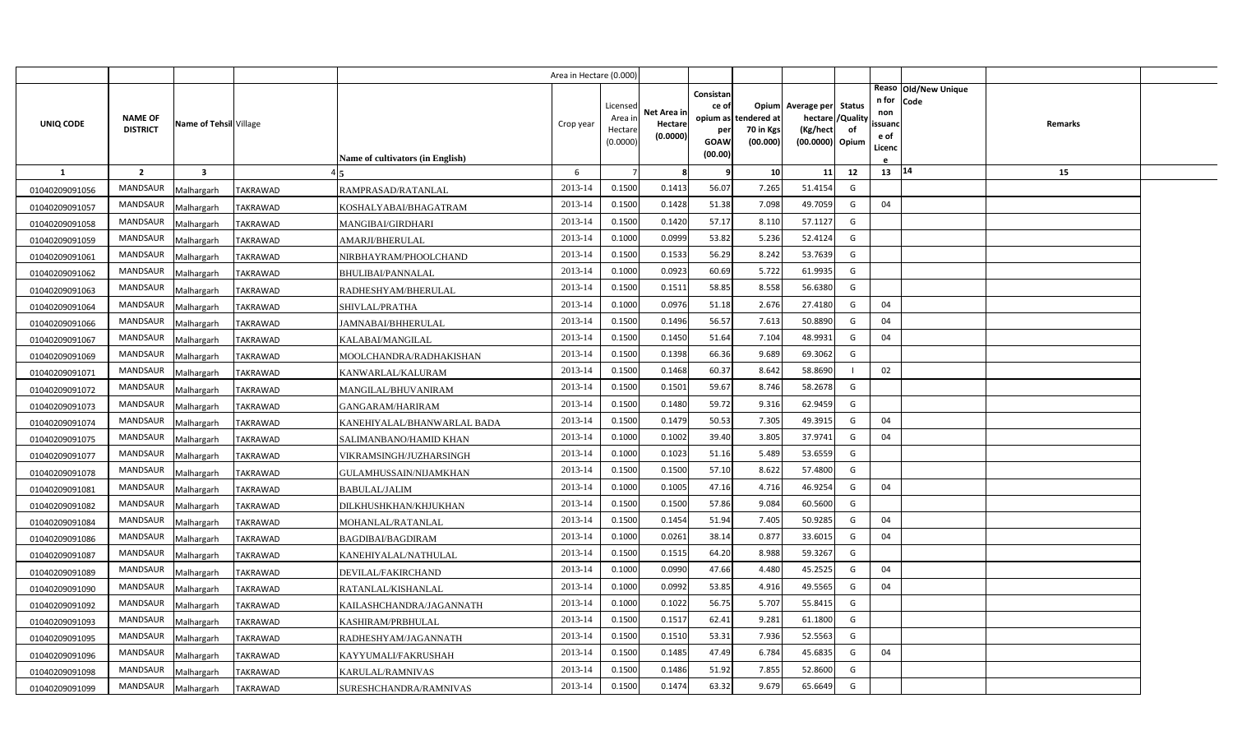|                |                                   |                         |                                                  | Area in Hectare (0.000) |                                            |                                    |                                              |                                               |                                                                    |                |                                          |                              |         |  |
|----------------|-----------------------------------|-------------------------|--------------------------------------------------|-------------------------|--------------------------------------------|------------------------------------|----------------------------------------------|-----------------------------------------------|--------------------------------------------------------------------|----------------|------------------------------------------|------------------------------|---------|--|
| UNIQ CODE      | <b>NAME OF</b><br><b>DISTRICT</b> | Name of Tehsil Village  | <b>Name of cultivators (in English)</b>          | Crop year               | Licensed<br>Area in<br>Hectare<br>(0.0000) | Net Area in<br>Hectare<br>(0.0000) | Consistan<br>ce of<br>per<br>GOAW<br>(00.00) | opium as tendered at<br>70 in Kgs<br>(00.000) | Opium Average per Status<br>hectare<br>(Kg/hect<br>(00.0000) Opium | /Quality<br>of | n for<br>non<br>ssuand<br>e of<br>Licenc | Reaso Old/New Unique<br>Code | Remarks |  |
| <b>1</b>       | $\overline{2}$                    | $\overline{\mathbf{3}}$ |                                                  | 6                       |                                            | -8                                 | q                                            | 10                                            | 11                                                                 | 12             | 13 14                                    |                              | 15      |  |
| 01040209091056 | MANDSAUR                          | Malhargarh              | <b>TAKRAWAD</b><br>RAMPRASAD/RATANLAL            | 2013-14                 | 0.1500                                     | 0.1413                             | 56.07                                        | 7.265                                         | 51.4154                                                            | G              |                                          |                              |         |  |
| 01040209091057 | MANDSAUR                          | Malhargarh              | <b>TAKRAWAD</b><br>KOSHALYABAI/BHAGATRAM         | 2013-14                 | 0.1500                                     | 0.1428                             | 51.38                                        | 7.098                                         | 49.7059                                                            | G              | 04                                       |                              |         |  |
| 01040209091058 | <b>MANDSAUR</b>                   | Malhargarh              | <b>TAKRAWAD</b><br>MANGIBAI/GIRDHARI             | 2013-14                 | 0.1500                                     | 0.1420                             | 57.17                                        | 8.110                                         | 57.1127                                                            | G              |                                          |                              |         |  |
| 01040209091059 | <b>MANDSAUR</b>                   | Malhargarh              | <b>TAKRAWAD</b><br>AMARJI/BHERULAL               | 2013-14                 | 0.1000                                     | 0.0999                             | 53.82                                        | 5.236                                         | 52.4124                                                            | G              |                                          |                              |         |  |
| 01040209091061 | <b>MANDSAUR</b>                   | Malhargarh              | <b>TAKRAWAD</b><br>NIRBHAYRAM/PHOOLCHAND         | 2013-14                 | 0.1500                                     | 0.1533                             | 56.29                                        | 8.242                                         | 53.7639                                                            | G              |                                          |                              |         |  |
| 01040209091062 | <b>MANDSAUR</b>                   | Malhargarh              | TAKRAWAD<br>BHULIBAI/PANNALAL                    | 2013-14                 | 0.1000                                     | 0.0923                             | 60.69                                        | 5.722                                         | 61.9935                                                            | G              |                                          |                              |         |  |
| 01040209091063 | <b>MANDSAUR</b>                   | Malhargarh              | TAKRAWAD<br>RADHESHYAM/BHERULAL                  | 2013-14                 | 0.1500                                     | 0.1511                             | 58.85                                        | 8.558                                         | 56.6380                                                            | G              |                                          |                              |         |  |
| 01040209091064 | <b>MANDSAUR</b>                   | Malhargarh              | TAKRAWAD<br>SHIVLAL/PRATHA                       | 2013-14                 | 0.1000                                     | 0.0976                             | 51.18                                        | 2.676                                         | 27.4180                                                            | G              | 04                                       |                              |         |  |
| 01040209091066 | <b>MANDSAUR</b>                   | Malhargarh              | TAKRAWAD<br>JAMNABAI/BHHERULAL                   | 2013-14                 | 0.1500                                     | 0.1496                             | 56.57                                        | 7.613                                         | 50.8890                                                            | G              | 04                                       |                              |         |  |
| 01040209091067 | <b>MANDSAUR</b>                   | Malhargarh              | TAKRAWAD<br>KALABAI/MANGILAL                     | 2013-14                 | 0.1500                                     | 0.1450                             | 51.64                                        | 7.104                                         | 48.9931                                                            | G              | 04                                       |                              |         |  |
| 01040209091069 | <b>MANDSAUR</b>                   | Malhargarh              | <b>TAKRAWAD</b><br>MOOLCHANDRA/RADHAKISHAN       | 2013-14                 | 0.1500                                     | 0.1398                             | 66.36                                        | 9.689                                         | 69.3062                                                            | G              |                                          |                              |         |  |
| 01040209091071 | <b>MANDSAUR</b>                   | Malhargarh              | <b>TAKRAWAD</b><br>KANWARLAL/KALURAM             | 2013-14                 | 0.1500                                     | 0.1468                             | 60.37                                        | 8.642                                         | 58.8690                                                            |                | 02                                       |                              |         |  |
| 01040209091072 | <b>MANDSAUR</b>                   | Malhargarh              | TAKRAWAD<br>MANGILAL/BHUVANIRAM                  | 2013-14                 | 0.1500                                     | 0.1501                             | 59.67                                        | 8.746                                         | 58.2678                                                            | G              |                                          |                              |         |  |
| 01040209091073 | <b>MANDSAUR</b>                   | Malhargarh              | TAKRAWAD<br>GANGARAM/HARIRAM                     | 2013-14                 | 0.1500                                     | 0.1480                             | 59.72                                        | 9.316                                         | 62.9459                                                            | G              |                                          |                              |         |  |
| 01040209091074 | <b>MANDSAUR</b>                   | Malhargarh              | TAKRAWAD<br>KANEHIYALAL/BHANWARLAL BADA          | 2013-14                 | 0.1500                                     | 0.1479                             | 50.53                                        | 7.305                                         | 49.3915                                                            | G              | 04                                       |                              |         |  |
| 01040209091075 | <b>MANDSAUR</b>                   | Malhargarh              | <b>TAKRAWAD</b><br>SALIMANBANO/HAMID KHAN        | 2013-14                 | 0.1000                                     | 0.1002                             | 39.40                                        | 3.805                                         | 37.9741                                                            | G              | 04                                       |                              |         |  |
| 01040209091077 | <b>MANDSAUR</b>                   | Malhargarh              | TAKRAWAD<br>VIKRAMSINGH/JUZHARSINGH              | 2013-14                 | 0.1000                                     | 0.1023                             | 51.16                                        | 5.489                                         | 53.6559                                                            | G              |                                          |                              |         |  |
| 01040209091078 | <b>MANDSAUR</b>                   | Malhargarh              | <b>TAKRAWAD</b><br><b>GULAMHUSSAIN/NIJAMKHAN</b> | 2013-14                 | 0.1500                                     | 0.1500                             | 57.10                                        | 8.622                                         | 57.4800                                                            | G              |                                          |                              |         |  |
| 01040209091081 | <b>MANDSAUR</b>                   | Malhargarh              | TAKRAWAD<br><b>BABULAL/JALIM</b>                 | 2013-14                 | 0.1000                                     | 0.1005                             | 47.16                                        | 4.716                                         | 46.9254                                                            | G              | 04                                       |                              |         |  |
| 01040209091082 | <b>MANDSAUR</b>                   | Malhargarh              | <b>TAKRAWAD</b><br>DILKHUSHKHAN/KHJUKHAN         | 2013-14                 | 0.1500                                     | 0.1500                             | 57.86                                        | 9.084                                         | 60.5600                                                            | G              |                                          |                              |         |  |
| 01040209091084 | <b>MANDSAUR</b>                   | Malhargarh              | TAKRAWAD<br>MOHANLAL/RATANLAL                    | 2013-14                 | 0.1500                                     | 0.1454                             | 51.94                                        | 7.405                                         | 50.9285                                                            | G              | 04                                       |                              |         |  |
| 01040209091086 | <b>MANDSAUR</b>                   | Malhargarh              | TAKRAWAD<br>BAGDIBAI/BAGDIRAM                    | 2013-14                 | 0.1000                                     | 0.0261                             | 38.14                                        | 0.877                                         | 33.6015                                                            | G              | 04                                       |                              |         |  |
| 01040209091087 | MANDSAUR                          | Malhargarh              | TAKRAWAD<br>KANEHIYALAL/NATHULAL                 | 2013-14                 | 0.1500                                     | 0.1515                             | 64.20                                        | 8.988                                         | 59.3267                                                            | G              |                                          |                              |         |  |
| 01040209091089 | <b>MANDSAUR</b>                   | Malhargarh              | TAKRAWAD<br>DEVILAL/FAKIRCHAND                   | 2013-14                 | 0.1000                                     | 0.0990                             | 47.66                                        | 4.480                                         | 45.2525                                                            | G              | 04                                       |                              |         |  |
| 01040209091090 | <b>MANDSAUR</b>                   | Malhargarh              | TAKRAWAD<br>RATANLAL/KISHANLAL                   | 2013-14                 | 0.1000                                     | 0.0992                             | 53.85                                        | 4.916                                         | 49.5565                                                            | G              | 04                                       |                              |         |  |
| 01040209091092 | <b>MANDSAUR</b>                   | Malhargarh              | TAKRAWAD<br>KAILASHCHANDRA/JAGANNATH             | 2013-14                 | 0.1000                                     | 0.1022                             | 56.75                                        | 5.707                                         | 55.8415                                                            | G              |                                          |                              |         |  |
| 01040209091093 | <b>MANDSAUR</b>                   | Malhargarh              | TAKRAWAD<br>KASHIRAM/PRBHULAL                    | 2013-14                 | 0.1500                                     | 0.1517                             | 62.41                                        | 9.281                                         | 61.1800                                                            | G              |                                          |                              |         |  |
| 01040209091095 | <b>MANDSAUR</b>                   | Malhargarh              | <b>TAKRAWAD</b><br>RADHESHYAM/JAGANNATH          | 2013-14                 | 0.1500                                     | 0.1510                             | 53.31                                        | 7.936                                         | 52.5563                                                            | G              |                                          |                              |         |  |
| 01040209091096 | <b>MANDSAUR</b>                   | Malhargarh              | <b>TAKRAWAD</b><br>KAYYUMALI/FAKRUSHAH           | 2013-14                 | 0.1500                                     | 0.1485                             | 47.49                                        | 6.784                                         | 45.6835                                                            | G              | 04                                       |                              |         |  |
| 01040209091098 | <b>MANDSAUR</b>                   | Malhargarh              | <b>TAKRAWAD</b><br>KARULAL/RAMNIVAS              | 2013-14                 | 0.1500                                     | 0.1486                             | 51.92                                        | 7.855                                         | 52.8600                                                            | G              |                                          |                              |         |  |
| 01040209091099 | MANDSAUR                          | Malhargarh              | <b>TAKRAWAD</b><br>SURESHCHANDRA/RAMNIVAS        | 2013-14                 | 0.1500                                     | 0.1474                             | 63.32                                        | 9.679                                         | 65.6649                                                            | G              |                                          |                              |         |  |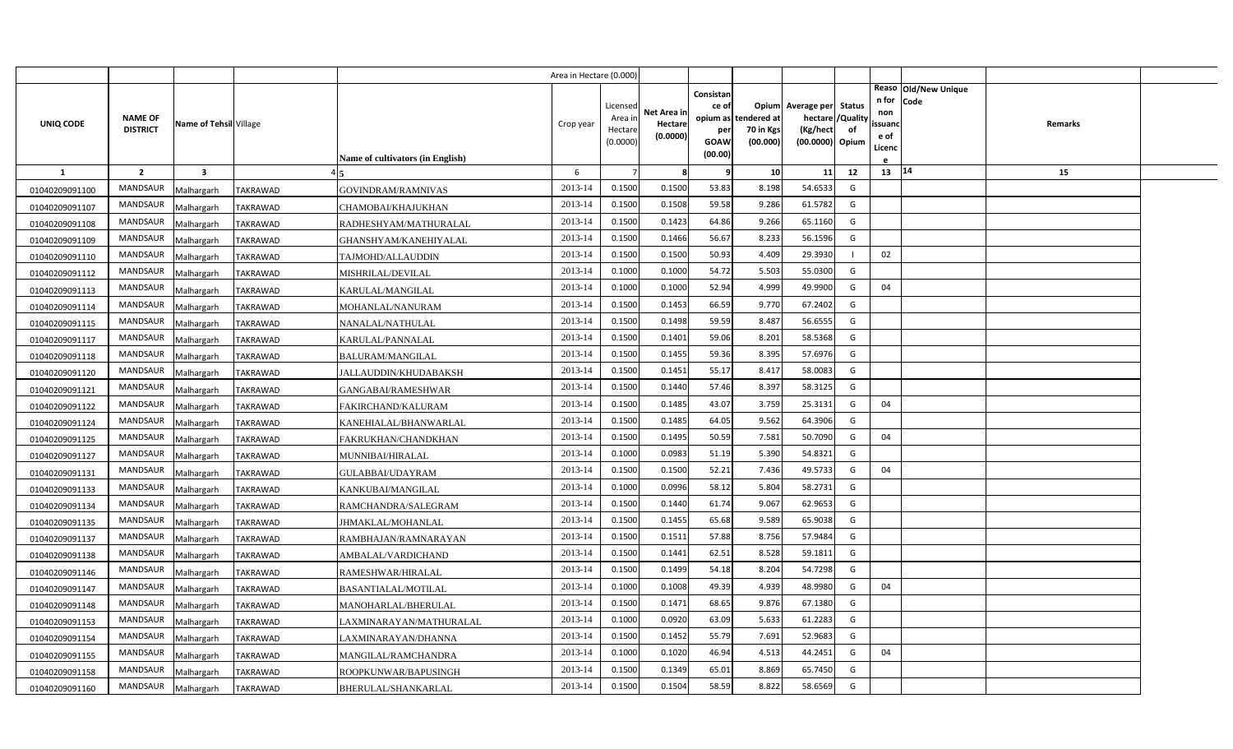|                |                                   |                         |                 |                                  | Area in Hectare (0.000 |                  |             |                 |                          |                          |                |                |                      |         |  |
|----------------|-----------------------------------|-------------------------|-----------------|----------------------------------|------------------------|------------------|-------------|-----------------|--------------------------|--------------------------|----------------|----------------|----------------------|---------|--|
|                |                                   |                         |                 |                                  |                        |                  |             | Consistan       |                          |                          |                |                | Reaso Old/New Unique |         |  |
|                |                                   |                         |                 |                                  |                        | Licensed         | Net Area in | ce of           |                          | Opium Average per Status |                | n for<br>non   | Code                 |         |  |
| UNIQ CODE      | <b>NAME OF</b><br><b>DISTRICT</b> | Name of Tehsil Village  |                 |                                  | Crop year              | Area i<br>Hectar | Hectare     | opium as<br>per | tendered at<br>70 in Kgs | hectare<br>(Kg/hect      | /Quality<br>of | ssuand         |                      | Remarks |  |
|                |                                   |                         |                 |                                  |                        | (0.0000)         | (0.0000)    | GOAW            | (00.000)                 | (00.0000) Opium          |                | e of<br>Licenc |                      |         |  |
|                |                                   |                         |                 | Name of cultivators (in English) |                        |                  |             | (00.00)         |                          |                          |                |                |                      |         |  |
| -1             | $\overline{2}$                    | $\overline{\mathbf{3}}$ |                 |                                  | 6                      |                  | 8           | 9               | 10                       | 11                       | 12             | $13 \mid 14$   |                      | 15      |  |
| 01040209091100 | MANDSAUR                          | Malhargarh              | <b>TAKRAWAD</b> | GOVINDRAM/RAMNIVAS               | 2013-14                | 0.1500           | 0.1500      | 53.83           | 8.198                    | 54.6533                  | G              |                |                      |         |  |
| 01040209091107 | <b>MANDSAUR</b>                   | Malhargarh              | <b>TAKRAWAD</b> | CHAMOBAI/KHAJUKHAN               | 2013-14                | 0.1500           | 0.1508      | 59.58           | 9.286                    | 61.5782                  | G              |                |                      |         |  |
| 01040209091108 | MANDSAUR                          | Malhargarh              | TAKRAWAD        | RADHESHYAM/MATHURALAL            | 2013-14                | 0.1500           | 0.1423      | 64.86           | 9.266                    | 65.1160                  | G              |                |                      |         |  |
| 01040209091109 | MANDSAUR                          | Malhargarh              | TAKRAWAD        | GHANSHYAM/KANEHIYALAL            | 2013-14                | 0.1500           | 0.1466      | 56.67           | 8.233                    | 56.1596                  | G              |                |                      |         |  |
| 01040209091110 | <b>MANDSAUR</b>                   | Malhargarh              | <b>TAKRAWAD</b> | TAJMOHD/ALLAUDDIN                | 2013-14                | 0.1500           | 0.1500      | 50.93           | 4.409                    | 29.3930                  |                | 02             |                      |         |  |
| 01040209091112 | MANDSAUR                          | Malhargarh              | TAKRAWAD        | MISHRILAL/DEVILAL                | 2013-14                | 0.1000           | 0.1000      | 54.72           | 5.503                    | 55.0300                  | G              |                |                      |         |  |
| 01040209091113 | <b>MANDSAUR</b>                   | Malhargarh              | <b>TAKRAWAD</b> | KARULAL/MANGILAL                 | 2013-14                | 0.1000           | 0.1000      | 52.94           | 4.999                    | 49.9900                  | G              | 04             |                      |         |  |
| 01040209091114 | MANDSAUR                          | Malhargarh              | <b>TAKRAWAD</b> | MOHANLAL/NANURAM                 | 2013-14                | 0.1500           | 0.1453      | 66.59           | 9.770                    | 67.2402                  | G              |                |                      |         |  |
| 01040209091115 | MANDSAUR                          | Malhargarh              | TAKRAWAD        | NANALAL/NATHULAL                 | 2013-14                | 0.1500           | 0.1498      | 59.59           | 8.487                    | 56.6555                  | G              |                |                      |         |  |
| 01040209091117 | MANDSAUR                          | Malhargarh              | <b>TAKRAWAD</b> | KARULAL/PANNALAL                 | 2013-14                | 0.1500           | 0.1401      | 59.06           | 8.201                    | 58.5368                  | G              |                |                      |         |  |
| 01040209091118 | <b>MANDSAUR</b>                   | Malhargarh              | TAKRAWAD        | <b>BALURAM/MANGILAL</b>          | 2013-14                | 0.1500           | 0.1455      | 59.36           | 8.395                    | 57.6976                  | G              |                |                      |         |  |
| 01040209091120 | MANDSAUR                          | Malhargarh              | <b>TAKRAWAD</b> | JALLAUDDIN/KHUDABAKSH            | 2013-14                | 0.1500           | 0.1451      | 55.17           | 8.417                    | 58.0083                  | G              |                |                      |         |  |
| 01040209091121 | <b>MANDSAUR</b>                   | Malhargarh              | TAKRAWAD        | GANGABAI/RAMESHWAR               | 2013-14                | 0.1500           | 0.1440      | 57.46           | 8.397                    | 58.3125                  | G              |                |                      |         |  |
| 01040209091122 | MANDSAUR                          | Malhargarh              | TAKRAWAD        | FAKIRCHAND/KALURAM               | 2013-14                | 0.1500           | 0.1485      | 43.07           | 3.759                    | 25.3131                  | G              | 04             |                      |         |  |
| 01040209091124 | <b>MANDSAUR</b>                   | Malhargarh              | TAKRAWAD        | KANEHIALAL/BHANWARLAL            | 2013-14                | 0.1500           | 0.1485      | 64.05           | 9.562                    | 64.3906                  | G              |                |                      |         |  |
| 01040209091125 | MANDSAUR                          | Malhargarh              | <b>TAKRAWAD</b> | FAKRUKHAN/CHANDKHAN              | 2013-14                | 0.1500           | 0.1495      | 50.59           | 7.581                    | 50.7090                  | G              | 04             |                      |         |  |
| 01040209091127 | <b>MANDSAUR</b>                   | Malhargarh              | TAKRAWAD        | MUNNIBAI/HIRALAL                 | 2013-14                | 0.1000           | 0.0983      | 51.19           | 5.390                    | 54.8321                  | G              |                |                      |         |  |
| 01040209091131 | MANDSAUR                          | Malhargarh              | TAKRAWAD        | <b>GULABBAI/UDAYRAM</b>          | 2013-14                | 0.1500           | 0.1500      | 52.21           | 7.436                    | 49.5733                  | G              | 04             |                      |         |  |
| 01040209091133 | <b>MANDSAUR</b>                   | Malhargarh              | <b>TAKRAWAD</b> | KANKUBAI/MANGILAL                | 2013-14                | 0.1000           | 0.0996      | 58.12           | 5.804                    | 58.2731                  | G              |                |                      |         |  |
| 01040209091134 | MANDSAUR                          | Malhargarh              | TAKRAWAD        | RAMCHANDRA/SALEGRAM              | 2013-14                | 0.1500           | 0.1440      | 61.74           | 9.067                    | 62.9653                  | G              |                |                      |         |  |
| 01040209091135 | MANDSAUR                          | Malhargarh              | <b>TAKRAWAD</b> | JHMAKLAL/MOHANLAL                | 2013-14                | 0.1500           | 0.1455      | 65.68           | 9.589                    | 65.9038                  | G              |                |                      |         |  |
| 01040209091137 | MANDSAUR                          | Malhargarh              | TAKRAWAD        | RAMBHAJAN/RAMNARAYAN             | 2013-14                | 0.1500           | 0.1511      | 57.88           | 8.756                    | 57.9484                  | G              |                |                      |         |  |
| 01040209091138 | MANDSAUR                          | Malhargarh              | TAKRAWAD        | AMBALAL/VARDICHAND               | 2013-14                | 0.1500           | 0.1441      | 62.51           | 8.528                    | 59.1811                  | G              |                |                      |         |  |
| 01040209091146 | MANDSAUR                          | Malhargarh              | TAKRAWAD        | RAMESHWAR/HIRALAL                | 2013-14                | 0.1500           | 0.1499      | 54.18           | 8.204                    | 54.7298                  | G              |                |                      |         |  |
| 01040209091147 | MANDSAUR                          | Malhargarh              | TAKRAWAD        | BASANTIALAL/MOTILAL              | 2013-14                | 0.1000           | 0.1008      | 49.39           | 4.939                    | 48.9980                  | G              | 04             |                      |         |  |
| 01040209091148 | MANDSAUR                          | Malhargarh              | TAKRAWAD        | MANOHARLAL/BHERULAL              | 2013-14                | 0.1500           | 0.1471      | 68.65           | 9.876                    | 67.1380                  | G              |                |                      |         |  |
| 01040209091153 | MANDSAUR                          | Malhargarh              | TAKRAWAD        | LAXMINARAYAN/MATHURALAL          | 2013-14                | 0.1000           | 0.0920      | 63.09           | 5.633                    | 61.2283                  | G              |                |                      |         |  |
| 01040209091154 | MANDSAUR                          | Malhargarh              | TAKRAWAD        | LAXMINARAYAN/DHANNA              | 2013-14                | 0.1500           | 0.1452      | 55.79           | 7.691                    | 52.9683                  | G              |                |                      |         |  |
| 01040209091155 | MANDSAUR                          | Malhargarh              | <b>TAKRAWAD</b> | MANGILAL/RAMCHANDRA              | 2013-14                | 0.1000           | 0.1020      | 46.94           | 4.513                    | 44.2451                  | G              | 04             |                      |         |  |
| 01040209091158 | <b>MANDSAUR</b>                   | Malhargarh              | TAKRAWAD        | ROOPKUNWAR/BAPUSINGH             | 2013-14                | 0.1500           | 0.1349      | 65.01           | 8.869                    | 65.7450                  | G              |                |                      |         |  |
| 01040209091160 | MANDSAUR                          | Malhargarh              | <b>TAKRAWAD</b> | BHERULAL/SHANKARLAL              | 2013-14                | 0.1500           | 0.1504      | 58.59           | 8.822                    | 58.6569                  | G              |                |                      |         |  |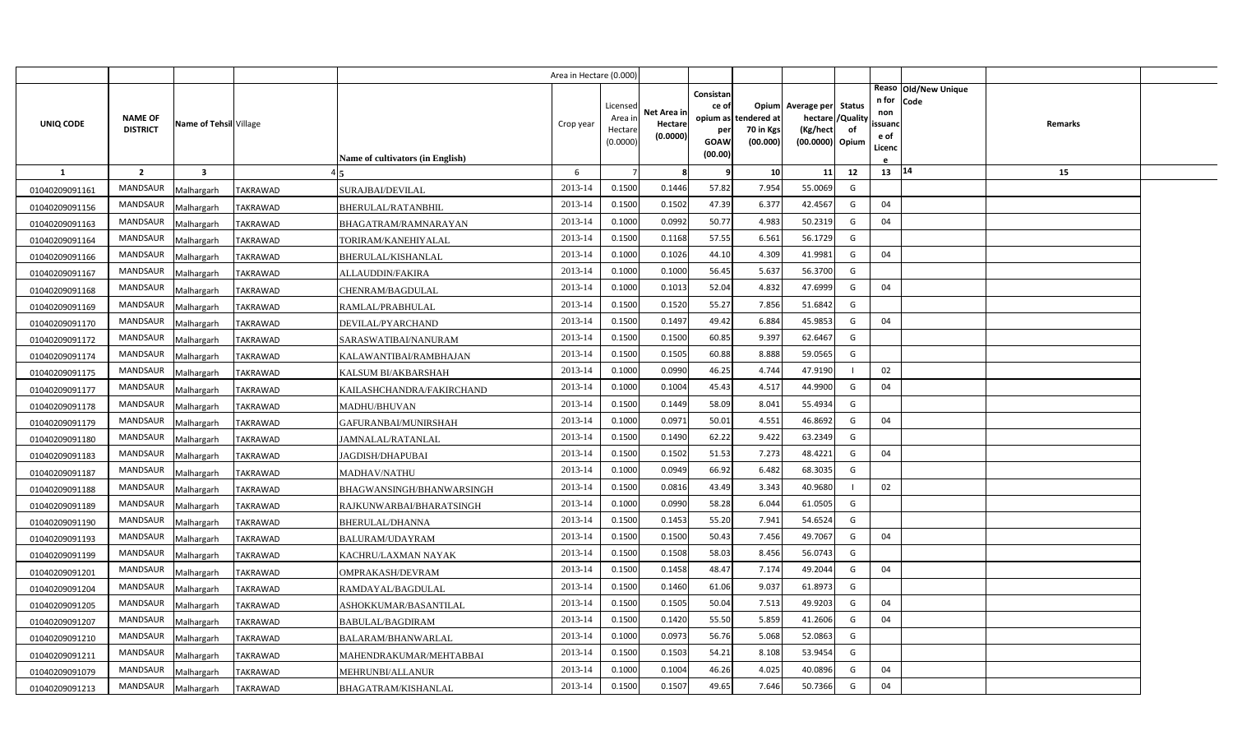|                |                 |                         |                 |                                         | Area in Hectare (0.000) |                    |                        |                    |                       |                              |          |               |                              |         |  |
|----------------|-----------------|-------------------------|-----------------|-----------------------------------------|-------------------------|--------------------|------------------------|--------------------|-----------------------|------------------------------|----------|---------------|------------------------------|---------|--|
|                |                 |                         |                 |                                         |                         | Licensed           |                        | Consistan<br>ce of |                       | Opium Average per Status     |          | n for         | Reaso Old/New Unique<br>Code |         |  |
| UNIQ CODE      | <b>NAME OF</b>  | Name of Tehsil Village  |                 |                                         | Crop year               | Area ir            | Net Area ir<br>Hectare | opium as           | tendered at           | hectare                      | /Quality | non<br>ssuand |                              | Remarks |  |
|                | <b>DISTRICT</b> |                         |                 |                                         |                         | Hectar<br>(0.0000) | (0.0000)               | per<br>GOAW        | 70 in Kgs<br>(00.000) | (Kg/hect)<br>(00.0000) Opium | of       | e of          |                              |         |  |
|                |                 |                         |                 | <b>Name of cultivators (in English)</b> |                         |                    |                        | (00.00)            |                       |                              |          | Licenc        |                              |         |  |
| $\mathbf{1}$   | $\overline{2}$  | $\overline{\mathbf{3}}$ |                 |                                         | 6                       |                    | 8                      | 9                  | 10                    | 11                           | 12       | 13 14         |                              | 15      |  |
| 01040209091161 | <b>MANDSAUR</b> | Malhargarh              | <b>TAKRAWAD</b> | SURAJBAI/DEVILAL                        | 2013-14                 | 0.1500             | 0.1446                 | 57.82              | 7.954                 | 55.0069                      | G        |               |                              |         |  |
| 01040209091156 | MANDSAUR        | Malhargarh              | <b>TAKRAWAD</b> | <b>BHERULAL/RATANBHIL</b>               | 2013-14                 | 0.1500             | 0.1502                 | 47.39              | 6.377                 | 42.4567                      | G        | 04            |                              |         |  |
| 01040209091163 | <b>MANDSAUR</b> | Malhargarh              | <b>TAKRAWAD</b> | BHAGATRAM/RAMNARAYAN                    | 2013-14                 | 0.1000             | 0.0992                 | 50.77              | 4.983                 | 50.2319                      | G        | 04            |                              |         |  |
| 01040209091164 | <b>MANDSAUR</b> | Malhargarh              | <b>TAKRAWAD</b> | TORIRAM/KANEHIYALAL                     | 2013-14                 | 0.1500             | 0.1168                 | 57.55              | 6.561                 | 56.1729                      | G        |               |                              |         |  |
| 01040209091166 | MANDSAUR        | Malhargarh              | TAKRAWAD        | BHERULAL/KISHANLAL                      | 2013-14                 | 0.1000             | 0.1026                 | 44.10              | 4.309                 | 41.9981                      | G        | 04            |                              |         |  |
| 01040209091167 | <b>MANDSAUR</b> | Malhargarh              | TAKRAWAD        | ALLAUDDIN/FAKIRA                        | 2013-14                 | 0.1000             | 0.1000                 | 56.45              | 5.637                 | 56.3700                      | G        |               |                              |         |  |
| 01040209091168 | MANDSAUR        | Malhargarh              | <b>TAKRAWAD</b> | CHENRAM/BAGDULAL                        | 2013-14                 | 0.1000             | 0.1013                 | 52.04              | 4.832                 | 47.6999                      | G        | 04            |                              |         |  |
| 01040209091169 | <b>MANDSAUR</b> | Malhargarh              | <b>TAKRAWAD</b> | RAMLAL/PRABHULAL                        | 2013-14                 | 0.1500             | 0.1520                 | 55.27              | 7.856                 | 51.6842                      | G        |               |                              |         |  |
| 01040209091170 | MANDSAUR        | Malhargarh              | TAKRAWAD        | DEVILAL/PYARCHAND                       | 2013-14                 | 0.1500             | 0.1497                 | 49.42              | 6.884                 | 45.9853                      | G        | 04            |                              |         |  |
| 01040209091172 | MANDSAUR        | Malhargarh              | <b>TAKRAWAD</b> | SARASWATIBAI/NANURAM                    | 2013-14                 | 0.1500             | 0.1500                 | 60.85              | 9.397                 | 62.6467                      | G        |               |                              |         |  |
| 01040209091174 | MANDSAUR        | Malhargarh              | <b>TAKRAWAD</b> | KALAWANTIBAI/RAMBHAJAN                  | 2013-14                 | 0.1500             | 0.1505                 | 60.88              | 8.888                 | 59.0565                      | G        |               |                              |         |  |
| 01040209091175 | MANDSAUR        | Malhargarh              | <b>TAKRAWAD</b> | KALSUM BI/AKBARSHAH                     | 2013-14                 | 0.1000             | 0.0990                 | 46.25              | 4.744                 | 47.9190                      |          | 02            |                              |         |  |
| 01040209091177 | <b>MANDSAUR</b> | Malhargarh              | TAKRAWAD        | KAILASHCHANDRA/FAKIRCHAND               | 2013-14                 | 0.1000             | 0.1004                 | 45.43              | 4.517                 | 44.9900                      | G        | 04            |                              |         |  |
| 01040209091178 | MANDSAUR        | Malhargarh              | <b>TAKRAWAD</b> | <b>MADHU/BHUVAN</b>                     | 2013-14                 | 0.1500             | 0.1449                 | 58.09              | 8.041                 | 55.4934                      | G        |               |                              |         |  |
| 01040209091179 | MANDSAUR        | Malhargarh              | <b>TAKRAWAD</b> | GAFURANBAI/MUNIRSHAH                    | 2013-14                 | 0.1000             | 0.0971                 | 50.01              | 4.551                 | 46.8692                      | G        | 04            |                              |         |  |
| 01040209091180 | MANDSAUR        | Malhargarh              | TAKRAWAD        | JAMNALAL/RATANLAL                       | 2013-14                 | 0.1500             | 0.1490                 | 62.22              | 9.422                 | 63.2349                      | G        |               |                              |         |  |
| 01040209091183 | MANDSAUR        | Malhargarh              | <b>TAKRAWAD</b> | JAGDISH/DHAPUBAI                        | 2013-14                 | 0.1500             | 0.1502                 | 51.53              | 7.273                 | 48.4221                      | G        | 04            |                              |         |  |
| 01040209091187 | MANDSAUR        | Malhargarh              | TAKRAWAD        | MADHAV/NATHU                            | 2013-14                 | 0.1000             | 0.0949                 | 66.92              | 6.482                 | 68.3035                      | G        |               |                              |         |  |
| 01040209091188 | MANDSAUR        | Malhargarh              | TAKRAWAD        | BHAGWANSINGH/BHANWARSINGH               | 2013-14                 | 0.1500             | 0.0816                 | 43.49              | 3.343                 | 40.9680                      |          | 02            |                              |         |  |
| 01040209091189 | MANDSAUR        | Malhargarh              | TAKRAWAD        | RAJKUNWARBAI/BHARATSINGH                | 2013-14                 | 0.1000             | 0.0990                 | 58.28              | 6.044                 | 61.0505                      | G        |               |                              |         |  |
| 01040209091190 | MANDSAUR        | Malhargarh              | TAKRAWAD        | <b>BHERULAL/DHANNA</b>                  | 2013-14                 | 0.1500             | 0.1453                 | 55.20              | 7.941                 | 54.6524                      | G        |               |                              |         |  |
| 01040209091193 | MANDSAUR        | Malhargarh              | TAKRAWAD        | BALURAM/UDAYRAM                         | 2013-14                 | 0.1500             | 0.1500                 | 50.43              | 7.456                 | 49.7067                      | G        | 04            |                              |         |  |
| 01040209091199 | MANDSAUR        | Malhargarh              | TAKRAWAD        | KACHRU/LAXMAN NAYAK                     | 2013-14                 | 0.1500             | 0.1508                 | 58.03              | 8.456                 | 56.0743                      | G        |               |                              |         |  |
| 01040209091201 | MANDSAUR        | Malhargarh              | TAKRAWAD        | OMPRAKASH/DEVRAM                        | 2013-14                 | 0.1500             | 0.1458                 | 48.47              | 7.174                 | 49.2044                      | G        | 04            |                              |         |  |
| 01040209091204 | MANDSAUR        | Malhargarh              | TAKRAWAD        | RAMDAYAL/BAGDULAL                       | 2013-14                 | 0.1500             | 0.1460                 | 61.06              | 9.037                 | 61.8973                      | G        |               |                              |         |  |
| 01040209091205 | MANDSAUR        | Malhargarh              | TAKRAWAD        | ASHOKKUMAR/BASANTILAL                   | 2013-14                 | 0.1500             | 0.1505                 | 50.04              | 7.513                 | 49.9203                      | G        | 04            |                              |         |  |
| 01040209091207 | MANDSAUR        | Malhargarh              | TAKRAWAD        | <b>BABULAL/BAGDIRAM</b>                 | 2013-14                 | 0.1500             | 0.1420                 | 55.50              | 5.859                 | 41.2606                      | G        | 04            |                              |         |  |
| 01040209091210 | MANDSAUR        | Malhargarh              | TAKRAWAD        | BALARAM/BHANWARLAL                      | 2013-14                 | 0.1000             | 0.0973                 | 56.76              | 5.068                 | 52.0863                      | G        |               |                              |         |  |
| 01040209091211 | MANDSAUR        | Malhargarh              | <b>TAKRAWAD</b> | MAHENDRAKUMAR/MEHTABBAI                 | 2013-14                 | 0.1500             | 0.1503                 | 54.21              | 8.108                 | 53.9454                      | G        |               |                              |         |  |
| 01040209091079 | <b>MANDSAUR</b> | Malhargarh              | TAKRAWAD        | MEHRUNBI/ALLANUR                        | 2013-14                 | 0.1000             | 0.1004                 | 46.26              | 4.025                 | 40.0896                      | G        | 04            |                              |         |  |
| 01040209091213 | MANDSAUR        | Malhargarh              | <b>TAKRAWAD</b> | BHAGATRAM/KISHANLAL                     | 2013-14                 | 0.1500             | 0.1507                 | 49.65              | 7.646                 | 50.7366                      | G        | 04            |                              |         |  |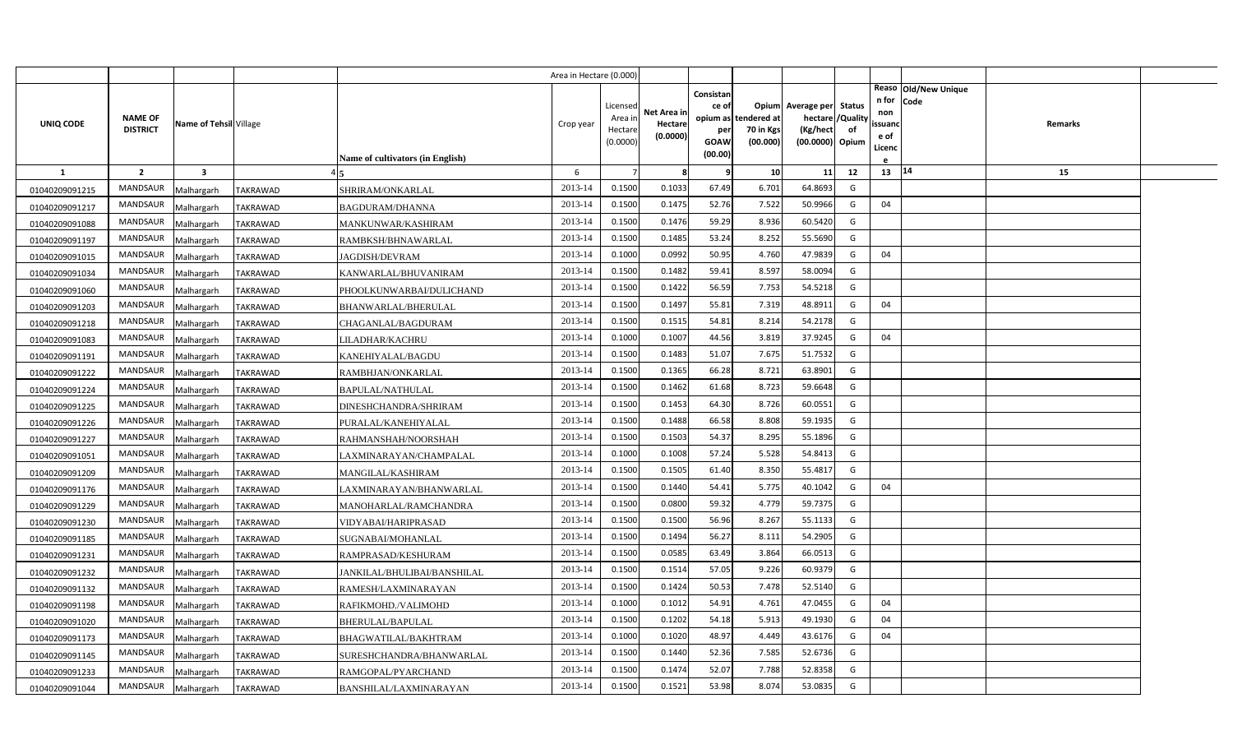|                |                                   |                         |                                           | Area in Hectare (0.000) |                                            |                                    |                                                     |                                               |                                                                    |                |                                          |                              |                |  |
|----------------|-----------------------------------|-------------------------|-------------------------------------------|-------------------------|--------------------------------------------|------------------------------------|-----------------------------------------------------|-----------------------------------------------|--------------------------------------------------------------------|----------------|------------------------------------------|------------------------------|----------------|--|
| UNIQ CODE      | <b>NAME OF</b><br><b>DISTRICT</b> | Name of Tehsil Village  | <b>Name of cultivators (in English)</b>   | Crop year               | Licensed<br>Area in<br>Hectare<br>(0.0000) | Net Area in<br>Hectare<br>(0.0000) | Consistan<br>ce of<br>per<br><b>GOAW</b><br>(00.00) | opium as tendered at<br>70 in Kgs<br>(00.000) | Opium Average per Status<br>hectare<br>(Kg/hect<br>(00.0000) Opium | /Quality<br>of | n for<br>non<br>ssuand<br>e of<br>Licenc | Reaso Old/New Unique<br>Code | <b>Remarks</b> |  |
| <b>1</b>       | $\overline{2}$                    | $\overline{\mathbf{3}}$ |                                           | 6                       |                                            | 8                                  | 9                                                   | 10                                            | 11                                                                 | 12             | 13 14                                    |                              | 15             |  |
| 01040209091215 | <b>MANDSAUR</b>                   | Malhargarh              | <b>TAKRAWAD</b><br>SHRIRAM/ONKARLAL       | 2013-14                 | 0.1500                                     | 0.1033                             | 67.49                                               | 6.701                                         | 64.8693                                                            | G              |                                          |                              |                |  |
| 01040209091217 | MANDSAUR                          | Malhargarh              | <b>TAKRAWAD</b><br><b>BAGDURAM/DHANNA</b> | 2013-14                 | 0.1500                                     | 0.1475                             | 52.76                                               | 7.522                                         | 50.9966                                                            | G              | 04                                       |                              |                |  |
| 01040209091088 | MANDSAUR                          | Malhargarh              | <b>TAKRAWAD</b><br>MANKUNWAR/KASHIRAM     | 2013-14                 | 0.1500                                     | 0.1476                             | 59.29                                               | 8.936                                         | 60.5420                                                            | G              |                                          |                              |                |  |
| 01040209091197 | <b>MANDSAUR</b>                   | Malhargarh              | <b>TAKRAWAD</b><br>RAMBKSH/BHNAWARLAL     | 2013-14                 | 0.1500                                     | 0.1485                             | 53.24                                               | 8.252                                         | 55.5690                                                            | G              |                                          |                              |                |  |
| 01040209091015 | <b>MANDSAUR</b>                   | Malhargarh              | <b>TAKRAWAD</b><br><b>JAGDISH/DEVRAM</b>  | 2013-14                 | 0.1000                                     | 0.0992                             | 50.95                                               | 4.760                                         | 47.9839                                                            | G              | 04                                       |                              |                |  |
| 01040209091034 | <b>MANDSAUR</b>                   | Malhargarh              | TAKRAWAD<br>KANWARLAL/BHUVANIRAM          | 2013-14                 | 0.1500                                     | 0.1482                             | 59.41                                               | 8.597                                         | 58.0094                                                            | G              |                                          |                              |                |  |
| 01040209091060 | <b>MANDSAUR</b>                   | Malhargarh              | TAKRAWAD<br>PHOOLKUNWARBAI/DULICHAND      | 2013-14                 | 0.1500                                     | 0.1422                             | 56.59                                               | 7.753                                         | 54.5218                                                            | G              |                                          |                              |                |  |
| 01040209091203 | <b>MANDSAUR</b>                   | Malhargarh              | <b>TAKRAWAD</b><br>BHANWARLAL/BHERULAL    | 2013-14                 | 0.1500                                     | 0.1497                             | 55.81                                               | 7.319                                         | 48.8911                                                            | G              | 04                                       |                              |                |  |
| 01040209091218 | <b>MANDSAUR</b>                   | Malhargarh              | TAKRAWAD<br>CHAGANLAL/BAGDURAM            | 2013-14                 | 0.1500                                     | 0.1515                             | 54.81                                               | 8.214                                         | 54.2178                                                            | G              |                                          |                              |                |  |
| 01040209091083 | <b>MANDSAUR</b>                   | Malhargarh              | TAKRAWAD<br>LILADHAR/KACHRU               | 2013-14                 | 0.1000                                     | 0.1007                             | 44.56                                               | 3.819                                         | 37.9245                                                            | G              | 04                                       |                              |                |  |
| 01040209091191 | <b>MANDSAUR</b>                   | Malhargarh              | TAKRAWAD<br>KANEHIYALAL/BAGDU             | 2013-14                 | 0.1500                                     | 0.1483                             | 51.07                                               | 7.675                                         | 51.7532                                                            | G              |                                          |                              |                |  |
| 01040209091222 | <b>MANDSAUR</b>                   | Malhargarh              | TAKRAWAD<br>RAMBHJAN/ONKARLAL             | 2013-14                 | 0.1500                                     | 0.1365                             | 66.28                                               | 8.721                                         | 63.8901                                                            | G              |                                          |                              |                |  |
| 01040209091224 | <b>MANDSAUR</b>                   | Malhargarh              | TAKRAWAD<br>BAPULAL/NATHULAL              | 2013-14                 | 0.1500                                     | 0.1462                             | 61.68                                               | 8.723                                         | 59.6648                                                            | G              |                                          |                              |                |  |
| 01040209091225 | <b>MANDSAUR</b>                   | Malhargarh              | TAKRAWAD<br>DINESHCHANDRA/SHRIRAM         | 2013-14                 | 0.1500                                     | 0.1453                             | 64.30                                               | 8.726                                         | 60.0551                                                            | G              |                                          |                              |                |  |
| 01040209091226 | MANDSAUR                          | Malhargarh              | TAKRAWAD<br>PURALAL/KANEHIYALAL           | 2013-14                 | 0.1500                                     | 0.1488                             | 66.58                                               | 8.808                                         | 59.1935                                                            | G              |                                          |                              |                |  |
| 01040209091227 | <b>MANDSAUR</b>                   | Malhargarh              | TAKRAWAD<br>RAHMANSHAH/NOORSHAH           | 2013-14                 | 0.1500                                     | 0.1503                             | 54.37                                               | 8.295                                         | 55.1896                                                            | G              |                                          |                              |                |  |
| 01040209091051 | <b>MANDSAUR</b>                   | Malhargarh              | <b>TAKRAWAD</b><br>LAXMINARAYAN/CHAMPALAL | 2013-14                 | 0.1000                                     | 0.1008                             | 57.24                                               | 5.528                                         | 54.8413                                                            | G              |                                          |                              |                |  |
| 01040209091209 | <b>MANDSAUR</b>                   | Malhargarh              | TAKRAWAD<br>MANGILAL/KASHIRAM             | 2013-14                 | 0.1500                                     | 0.1505                             | 61.40                                               | 8.350                                         | 55.4817                                                            | G              |                                          |                              |                |  |
| 01040209091176 | <b>MANDSAUR</b>                   | Malhargarh              | TAKRAWAD<br>LAXMINARAYAN/BHANWARLAL       | 2013-14                 | 0.1500                                     | 0.1440                             | 54.41                                               | 5.775                                         | 40.1042                                                            | G              | 04                                       |                              |                |  |
| 01040209091229 | <b>MANDSAUR</b>                   | Malhargarh              | TAKRAWAD<br>MANOHARLAL/RAMCHANDRA         | 2013-14                 | 0.1500                                     | 0.0800                             | 59.32                                               | 4.779                                         | 59.7375                                                            | G              |                                          |                              |                |  |
| 01040209091230 | <b>MANDSAUR</b>                   | Malhargarh              | TAKRAWAD<br>VIDYABAI/HARIPRASAD           | 2013-14                 | 0.1500                                     | 0.1500                             | 56.96                                               | 8.267                                         | 55.1133                                                            | G              |                                          |                              |                |  |
| 01040209091185 | <b>MANDSAUR</b>                   | Malhargarh              | TAKRAWAD<br>SUGNABAI/MOHANLAL             | 2013-14                 | 0.1500                                     | 0.1494                             | 56.27                                               | 8.111                                         | 54.2905                                                            | G              |                                          |                              |                |  |
| 01040209091231 | <b>MANDSAUR</b>                   | Malhargarh              | TAKRAWAD<br>RAMPRASAD/KESHURAM            | 2013-14                 | 0.1500                                     | 0.0585                             | 63.49                                               | 3.864                                         | 66.0513                                                            | G              |                                          |                              |                |  |
| 01040209091232 | <b>MANDSAUR</b>                   | Malhargarh              | TAKRAWAD<br>JANKILAL/BHULIBAI/BANSHILAL   | 2013-14                 | 0.1500                                     | 0.1514                             | 57.05                                               | 9.226                                         | 60.9379                                                            | G              |                                          |                              |                |  |
| 01040209091132 | <b>MANDSAUR</b>                   | Malhargarh              | <b>TAKRAWAD</b><br>RAMESH/LAXMINARAYAN    | 2013-14                 | 0.1500                                     | 0.1424                             | 50.53                                               | 7.478                                         | 52.5140                                                            | G              |                                          |                              |                |  |
| 01040209091198 | <b>MANDSAUR</b>                   | Malhargarh              | <b>TAKRAWAD</b><br>RAFIKMOHD./VALIMOHD    | 2013-14                 | 0.1000                                     | 0.1012                             | 54.91                                               | 4.761                                         | 47.0455                                                            | G              | 04                                       |                              |                |  |
| 01040209091020 | <b>MANDSAUR</b>                   | Malhargarh              | TAKRAWAD<br>BHERULAL/BAPULAL              | 2013-14                 | 0.1500                                     | 0.1202                             | 54.18                                               | 5.913                                         | 49.1930                                                            | G              | 04                                       |                              |                |  |
| 01040209091173 | MANDSAUR                          | Malhargarh              | TAKRAWAD<br>BHAGWATILAL/BAKHTRAM          | 2013-14                 | 0.1000                                     | 0.1020                             | 48.97                                               | 4.449                                         | 43.6176                                                            | G              | 04                                       |                              |                |  |
| 01040209091145 | <b>MANDSAUR</b>                   | Malhargarh              | TAKRAWAD<br>SURESHCHANDRA/BHANWARLAL      | 2013-14                 | 0.1500                                     | 0.1440                             | 52.36                                               | 7.585                                         | 52.6736                                                            | G              |                                          |                              |                |  |
| 01040209091233 | <b>MANDSAUR</b>                   | Malhargarh              | TAKRAWAD<br>RAMGOPAL/PYARCHAND            | 2013-14                 | 0.1500                                     | 0.1474                             | 52.07                                               | 7.788                                         | 52.8358                                                            | G              |                                          |                              |                |  |
| 01040209091044 | MANDSAUR                          | Malhargarh              | <b>TAKRAWAD</b><br>BANSHILAL/LAXMINARAYAN | 2013-14                 | 0.1500                                     | 0.1521                             | 53.98                                               | 8.074                                         | 53.0835                                                            | G              |                                          |                              |                |  |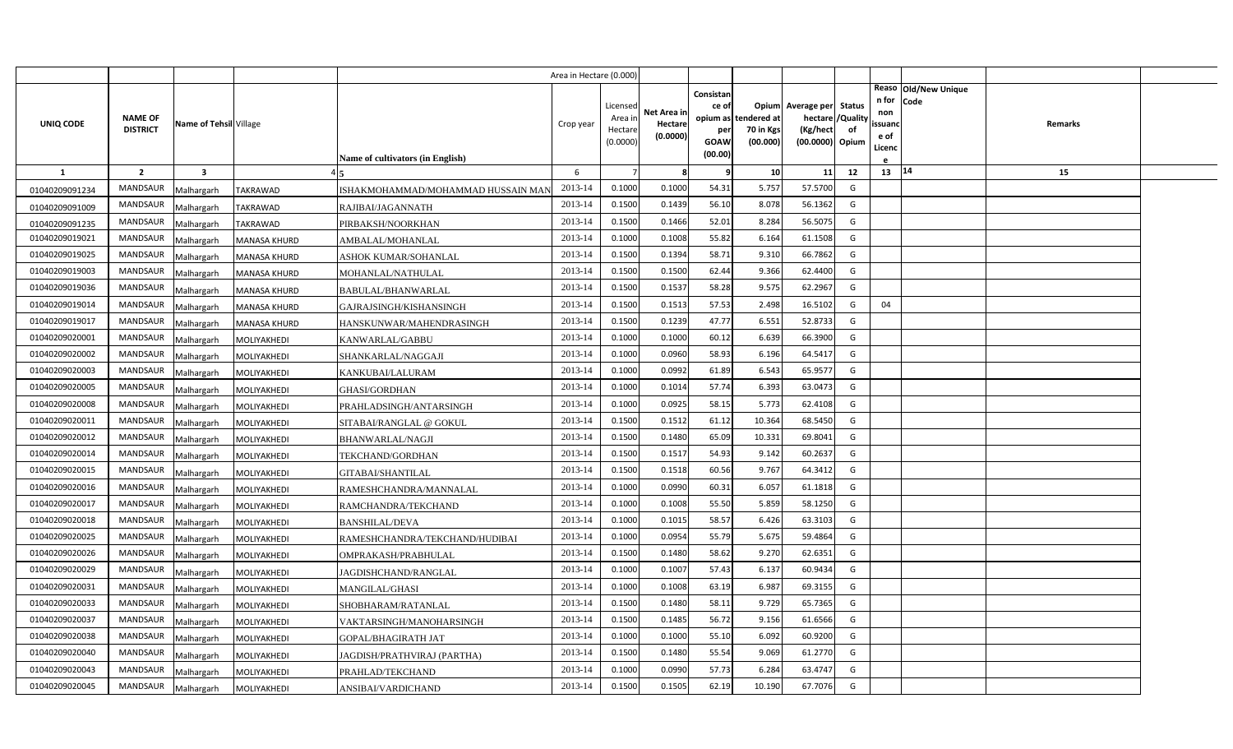|                |                                   |                         |                     |                                    | Area in Hectare (0.000 |                   |             |                 |                          |                          |                |                |                      |         |  |
|----------------|-----------------------------------|-------------------------|---------------------|------------------------------------|------------------------|-------------------|-------------|-----------------|--------------------------|--------------------------|----------------|----------------|----------------------|---------|--|
|                |                                   |                         |                     |                                    |                        |                   |             | Consistan       |                          |                          |                |                | Reaso Old/New Unique |         |  |
|                |                                   |                         |                     |                                    |                        | Licensec          | Net Area ir | ce of           |                          | Opium Average per Status |                | n for<br>non   | Code                 |         |  |
| UNIQ CODE      | <b>NAME OF</b><br><b>DISTRICT</b> | Name of Tehsil Village  |                     |                                    | Crop year              | Area ir<br>Hectar | Hectare     | opium as<br>per | tendered at<br>70 in Kgs | hectare<br>(Kg/hect      | /Quality<br>of | ssuand         |                      | Remarks |  |
|                |                                   |                         |                     |                                    |                        | (0.0000)          | (0.0000)    | GOAW            | (00.000)                 | (00.0000) Opium          |                | e of<br>Licenc |                      |         |  |
|                |                                   |                         |                     | Name of cultivators (in English)   |                        |                   |             | (00.00)         |                          |                          |                |                |                      |         |  |
| $\mathbf{1}$   | $\overline{2}$                    | $\overline{\mathbf{3}}$ |                     |                                    | 6                      |                   | 8           | 9               | 10                       | 11                       | 12             | 13 14          |                      | 15      |  |
| 01040209091234 | <b>MANDSAUR</b>                   | Malhargarh              | <b>TAKRAWAD</b>     | ISHAKMOHAMMAD/MOHAMMAD HUSSAIN MAN | 2013-14                | 0.1000            | 0.1000      | 54.31           | 5.757                    | 57.5700                  | G              |                |                      |         |  |
| 01040209091009 | MANDSAUR                          | Malhargarh              | <b>TAKRAWAD</b>     | RAJIBAI/JAGANNATH                  | 2013-14                | 0.1500            | 0.1439      | 56.10           | 8.078                    | 56.1362                  | G              |                |                      |         |  |
| 01040209091235 | <b>MANDSAUR</b>                   | Malhargarh              | <b>TAKRAWAD</b>     | PIRBAKSH/NOORKHAN                  | 2013-14                | 0.1500            | 0.1466      | 52.01           | 8.284                    | 56.5075                  | G              |                |                      |         |  |
| 01040209019021 | <b>MANDSAUR</b>                   | Malhargarh              | <b>MANASA KHURD</b> | AMBALAL/MOHANLAL                   | 2013-14                | 0.1000            | 0.1008      | 55.82           | 6.164                    | 61.1508                  | G              |                |                      |         |  |
| 01040209019025 | MANDSAUR                          | Malhargarh              | <b>MANASA KHURD</b> | ASHOK KUMAR/SOHANLAL               | 2013-14                | 0.1500            | 0.1394      | 58.71           | 9.310                    | 66.7862                  | G              |                |                      |         |  |
| 01040209019003 | <b>MANDSAUR</b>                   | Malhargarh              | <b>MANASA KHURD</b> | MOHANLAL/NATHULAL                  | 2013-14                | 0.1500            | 0.1500      | 62.44           | 9.366                    | 62.4400                  | G              |                |                      |         |  |
| 01040209019036 | MANDSAUR                          | Malhargarh              | MANASA KHURD        | BABULAL/BHANWARLAL                 | 2013-14                | 0.1500            | 0.1537      | 58.28           | 9.575                    | 62.2967                  | G              |                |                      |         |  |
| 01040209019014 | MANDSAUR                          | Malhargarh              | <b>MANASA KHURD</b> | GAJRAJSINGH/KISHANSINGH            | 2013-14                | 0.1500            | 0.1513      | 57.53           | 2.498                    | 16.5102                  | G              | 04             |                      |         |  |
| 01040209019017 | <b>MANDSAUR</b>                   | Malhargarh              | MANASA KHURD        | HANSKUNWAR/MAHENDRASINGH           | 2013-14                | 0.1500            | 0.1239      | 47.77           | 6.551                    | 52.8733                  | G              |                |                      |         |  |
| 01040209020001 | MANDSAUR                          | Malhargarh              | MOLIYAKHEDI         | KANWARLAL/GABBU                    | 2013-14                | 0.1000            | 0.1000      | 60.12           | 6.639                    | 66.3900                  | G              |                |                      |         |  |
| 01040209020002 | <b>MANDSAUR</b>                   | Malhargarh              | MOLIYAKHEDI         | SHANKARLAL/NAGGAJI                 | 2013-14                | 0.1000            | 0.0960      | 58.93           | 6.196                    | 64.5417                  | G              |                |                      |         |  |
| 01040209020003 | <b>MANDSAUR</b>                   | Malhargarh              | MOLIYAKHEDI         | <b>KANKUBAI/LALURAM</b>            | 2013-14                | 0.1000            | 0.0992      | 61.89           | 6.543                    | 65.9577                  | G              |                |                      |         |  |
| 01040209020005 | <b>MANDSAUR</b>                   | Malhargarh              | MOLIYAKHEDI         | GHASI/GORDHAN                      | 2013-14                | 0.1000            | 0.1014      | 57.74           | 6.393                    | 63.0473                  | G              |                |                      |         |  |
| 01040209020008 | <b>MANDSAUR</b>                   | Malhargarh              | MOLIYAKHEDI         | PRAHLADSINGH/ANTARSINGH            | 2013-14                | 0.1000            | 0.0925      | 58.15           | 5.773                    | 62.4108                  | G              |                |                      |         |  |
| 01040209020011 | <b>MANDSAUR</b>                   | Malhargarh              | MOLIYAKHEDI         | SITABAI/RANGLAL @ GOKUL            | 2013-14                | 0.1500            | 0.1512      | 61.12           | 10.364                   | 68.5450                  | G              |                |                      |         |  |
| 01040209020012 | <b>MANDSAUR</b>                   | Malhargarh              | MOLIYAKHEDI         | <b>BHANWARLAL/NAGJI</b>            | 2013-14                | 0.1500            | 0.1480      | 65.09           | 10.331                   | 69.8041                  | G              |                |                      |         |  |
| 01040209020014 | <b>MANDSAUR</b>                   | Malhargarh              | MOLIYAKHEDI         | TEKCHAND/GORDHAN                   | 2013-14                | 0.1500            | 0.1517      | 54.93           | 9.142                    | 60.2637                  | G              |                |                      |         |  |
| 01040209020015 | <b>MANDSAUR</b>                   | Malhargarh              | MOLIYAKHEDI         | <b>GITABAI/SHANTILAL</b>           | 2013-14                | 0.1500            | 0.1518      | 60.56           | 9.767                    | 64.3412                  | G              |                |                      |         |  |
| 01040209020016 | MANDSAUR                          | Malhargarh              | MOLIYAKHEDI         | RAMESHCHANDRA/MANNALAL             | 2013-14                | 0.1000            | 0.0990      | 60.31           | 6.057                    | 61.1818                  | G              |                |                      |         |  |
| 01040209020017 | MANDSAUR                          | Malhargarh              | MOLIYAKHEDI         | RAMCHANDRA/TEKCHAND                | 2013-14                | 0.1000            | 0.1008      | 55.50           | 5.859                    | 58.1250                  | G              |                |                      |         |  |
| 01040209020018 | MANDSAUR                          | Malhargarh              | MOLIYAKHEDI         | <b>BANSHILAL/DEVA</b>              | 2013-14                | 0.1000            | 0.1015      | 58.57           | 6.426                    | 63.3103                  | G              |                |                      |         |  |
| 01040209020025 | MANDSAUR                          | Malhargarh              | MOLIYAKHEDI         | RAMESHCHANDRA/TEKCHAND/HUDIBAI     | 2013-14                | 0.1000            | 0.0954      | 55.79           | 5.675                    | 59.4864                  | G              |                |                      |         |  |
| 01040209020026 | MANDSAUR                          | Malhargarh              | MOLIYAKHEDI         | OMPRAKASH/PRABHULAL                | 2013-14                | 0.1500            | 0.1480      | 58.62           | 9.270                    | 62.6351                  | G              |                |                      |         |  |
| 01040209020029 | MANDSAUR                          | Malhargarh              | MOLIYAKHEDI         | JAGDISHCHAND/RANGLAL               | 2013-14                | 0.1000            | 0.1007      | 57.43           | 6.137                    | 60.9434                  | G              |                |                      |         |  |
| 01040209020031 | MANDSAUR                          | Malhargarh              | MOLIYAKHEDI         | <b>MANGILAL/GHASI</b>              | 2013-14                | 0.1000            | 0.1008      | 63.19           | 6.987                    | 69.3155                  | G              |                |                      |         |  |
| 01040209020033 | MANDSAUR                          | Malhargarh              | MOLIYAKHEDI         | SHOBHARAM/RATANLAL                 | 2013-14                | 0.1500            | 0.1480      | 58.11           | 9.729                    | 65.7365                  | G              |                |                      |         |  |
| 01040209020037 | MANDSAUR                          | Malhargarh              | MOLIYAKHEDI         | VAKTARSINGH/MANOHARSINGH           | 2013-14                | 0.1500            | 0.1485      | 56.72           | 9.156                    | 61.6566                  | G              |                |                      |         |  |
| 01040209020038 | MANDSAUR                          | Malhargarh              | MOLIYAKHEDI         | GOPAL/BHAGIRATH JAT                | 2013-14                | 0.1000            | 0.1000      | 55.10           | 6.092                    | 60.9200                  | G              |                |                      |         |  |
| 01040209020040 | MANDSAUR                          | Malhargarh              | MOLIYAKHEDI         | JAGDISH/PRATHVIRAJ (PARTHA)        | 2013-14                | 0.1500            | 0.1480      | 55.54           | 9.069                    | 61.2770                  | G              |                |                      |         |  |
| 01040209020043 | MANDSAUR                          | Malhargarh              | MOLIYAKHEDI         | PRAHLAD/TEKCHAND                   | 2013-14                | 0.1000            | 0.0990      | 57.73           | 6.284                    | 63.4747                  | G              |                |                      |         |  |
| 01040209020045 | MANDSAUR                          | Malhargarh              | MOLIYAKHEDI         | ANSIBAI/VARDICHAND                 | 2013-14                | 0.1500            | 0.1505      | 62.19           | 10.190                   | 67.7076                  | G              |                |                      |         |  |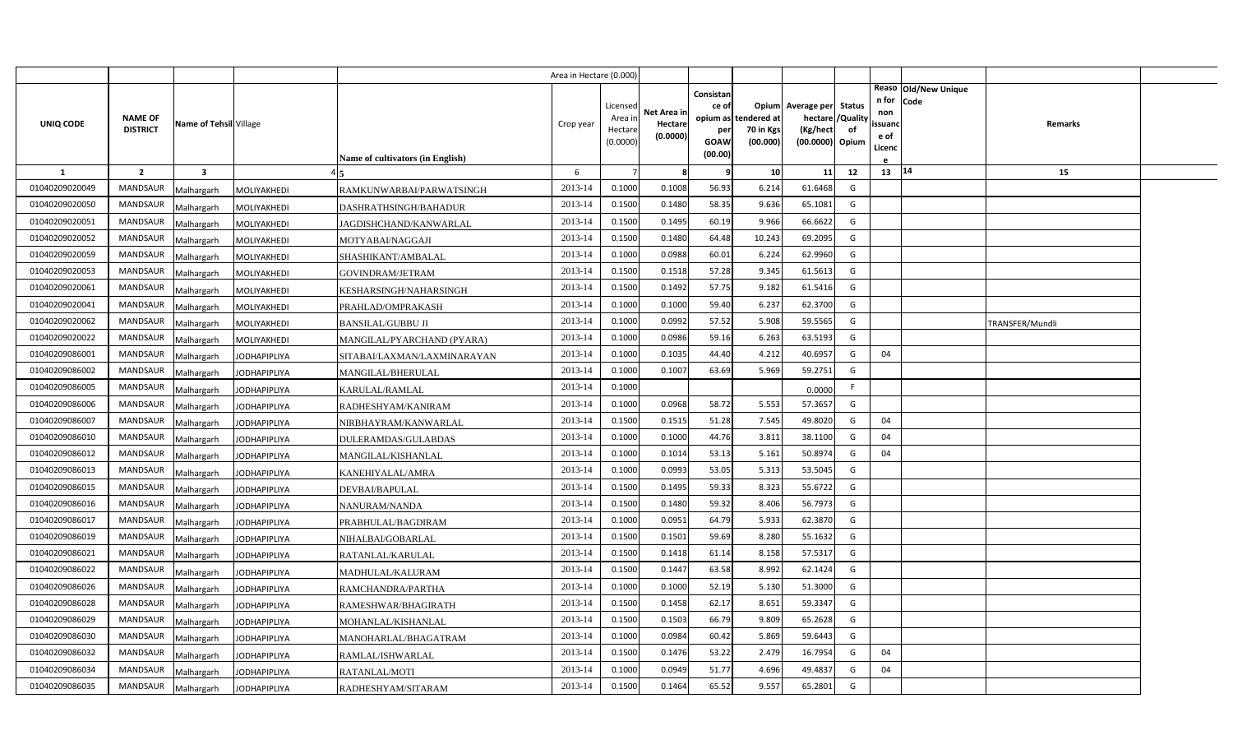|                |                                   |                        |                                         |                                  | Area in Hectare (0.000) |                                            |                                    |                                                     |                                               |                                                                    |                |                                          |                              |                 |  |
|----------------|-----------------------------------|------------------------|-----------------------------------------|----------------------------------|-------------------------|--------------------------------------------|------------------------------------|-----------------------------------------------------|-----------------------------------------------|--------------------------------------------------------------------|----------------|------------------------------------------|------------------------------|-----------------|--|
| UNIQ CODE      | <b>NAME OF</b><br><b>DISTRICT</b> | Name of Tehsil Village |                                         | Name of cultivators (in English) | Crop year               | Licensed<br>Area in<br>Hectare<br>(0.0000) | Net Area in<br>Hectare<br>(0.0000) | Consistan<br>ce of<br>per<br><b>GOAW</b><br>(00.00) | opium as tendered at<br>70 in Kgs<br>(00.000) | Opium Average per Status<br>hectare<br>(Kg/hect<br>(00.0000) Opium | /Quality<br>of | n for<br>non<br>ssuand<br>e of<br>Licenc | Reaso Old/New Unique<br>Code | <b>Remarks</b>  |  |
| <b>1</b>       | $\overline{2}$                    | 3                      |                                         |                                  | 6                       |                                            | 8                                  | 9                                                   | 10                                            | 11                                                                 | 12             | 13 14                                    |                              | 15              |  |
| 01040209020049 | <b>MANDSAUR</b>                   | Malhargarh             | MOLIYAKHEDI                             | RAMKUNWARBAI/PARWATSINGH         | 2013-14                 | 0.1000                                     | 0.1008                             | 56.93                                               | 6.214                                         | 61.6468                                                            | G              |                                          |                              |                 |  |
| 01040209020050 | <b>MANDSAUR</b>                   | Malhargarh             | MOLIYAKHEDI                             | DASHRATHSINGH/BAHADUR            | 2013-14                 | 0.1500                                     | 0.1480                             | 58.35                                               | 9.636                                         | 65.1081                                                            | G              |                                          |                              |                 |  |
| 01040209020051 | <b>MANDSAUR</b>                   | Malhargarh             | MOLIYAKHEDI                             | JAGDISHCHAND/KANWARLAL           | 2013-14                 | 0.1500                                     | 0.1495                             | 60.19                                               | 9.966                                         | 66.6622                                                            | G              |                                          |                              |                 |  |
| 01040209020052 | <b>MANDSAUR</b>                   | Malhargarh             | MOLIYAKHEDI<br>MOTYABAI/NAGGAJI         |                                  | 2013-14                 | 0.1500                                     | 0.1480                             | 64.48                                               | 10.243                                        | 69.2095                                                            | G              |                                          |                              |                 |  |
| 01040209020059 | <b>MANDSAUR</b>                   | Malhargarh             | MOLIYAKHEDI                             | SHASHIKANT/AMBALAL               | 2013-14                 | 0.1000                                     | 0.0988                             | 60.01                                               | 6.224                                         | 62.9960                                                            | G              |                                          |                              |                 |  |
| 01040209020053 | <b>MANDSAUR</b>                   | Malhargarh             | MOLIYAKHEDI<br>GOVINDRAM/JETRAM         |                                  | 2013-14                 | 0.1500                                     | 0.1518                             | 57.28                                               | 9.345                                         | 61.5613                                                            | G              |                                          |                              |                 |  |
| 01040209020061 | <b>MANDSAUR</b>                   | Malhargarh             | MOLIYAKHEDI                             | KESHARSINGH/NAHARSINGH           | 2013-14                 | 0.1500                                     | 0.1492                             | 57.75                                               | 9.182                                         | 61.5416                                                            | G              |                                          |                              |                 |  |
| 01040209020041 | <b>MANDSAUR</b>                   | Malhargarh             | MOLIYAKHEDI                             | PRAHLAD/OMPRAKASH                | 2013-14                 | 0.1000                                     | 0.1000                             | 59.40                                               | 6.237                                         | 62.3700                                                            | G              |                                          |                              |                 |  |
| 01040209020062 | <b>MANDSAUR</b>                   | Malhargarh             | MOLIYAKHEDI<br><b>BANSILAL/GUBBU JI</b> |                                  | 2013-14                 | 0.1000                                     | 0.0992                             | 57.52                                               | 5.908                                         | 59.5565                                                            | G              |                                          |                              | TRANSFER/Mundli |  |
| 01040209020022 | <b>MANDSAUR</b>                   | Malhargarh             | MOLIYAKHEDI                             | MANGILAL/PYARCHAND (PYARA)       | 2013-14                 | 0.1000                                     | 0.0986                             | 59.16                                               | 6.263                                         | 63.5193                                                            | G              |                                          |                              |                 |  |
| 01040209086001 | <b>MANDSAUR</b>                   | Malhargarh             | <b>JODHAPIPLIYA</b>                     | SITABAI/LAXMAN/LAXMINARAYAN      | 2013-14                 | 0.1000                                     | 0.1035                             | 44.40                                               | 4.212                                         | 40.6957                                                            | G              | 04                                       |                              |                 |  |
| 01040209086002 | <b>MANDSAUR</b>                   | Malhargarh             | <b>JODHAPIPLIYA</b>                     | MANGILAL/BHERULAL                | 2013-14                 | 0.1000                                     | 0.1007                             | 63.69                                               | 5.969                                         | 59.2751                                                            | G              |                                          |                              |                 |  |
| 01040209086005 | <b>MANDSAUR</b>                   | Malhargarh             | <b>JODHAPIPLIYA</b><br>KARULAL/RAMLAL   |                                  | 2013-14                 | 0.1000                                     |                                    |                                                     |                                               | 0.0000                                                             | F.             |                                          |                              |                 |  |
| 01040209086006 | <b>MANDSAUR</b>                   | Malhargarh             | JODHAPIPLIYA                            | RADHESHYAM/KANIRAM               | 2013-14                 | 0.1000                                     | 0.0968                             | 58.72                                               | 5.553                                         | 57.3657                                                            | G              |                                          |                              |                 |  |
| 01040209086007 | <b>MANDSAUR</b>                   | Malhargarh             | <b>JODHAPIPLIYA</b>                     | NIRBHAYRAM/KANWARLAL             | 2013-14                 | 0.1500                                     | 0.1515                             | 51.28                                               | 7.545                                         | 49.8020                                                            | G              | 04                                       |                              |                 |  |
| 01040209086010 | <b>MANDSAUR</b>                   | Malhargarh             | JODHAPIPLIYA                            | DULERAMDAS/GULABDAS              | 2013-14                 | 0.1000                                     | 0.1000                             | 44.76                                               | 3.811                                         | 38.1100                                                            | G              | 04                                       |                              |                 |  |
| 01040209086012 | MANDSAUR                          | Malhargarh             | <b>JODHAPIPLIYA</b>                     | MANGILAL/KISHANLAL               | 2013-14                 | 0.1000                                     | 0.1014                             | 53.13                                               | 5.161                                         | 50.8974                                                            | G              | 04                                       |                              |                 |  |
| 01040209086013 | <b>MANDSAUR</b>                   | Malhargarh             | <b>JODHAPIPLIYA</b><br>KANEHIYALAL/AMRA |                                  | 2013-14                 | 0.1000                                     | 0.0993                             | 53.05                                               | 5.313                                         | 53.5045                                                            | G              |                                          |                              |                 |  |
| 01040209086015 | <b>MANDSAUR</b>                   | Malhargarh             | <b>JODHAPIPLIYA</b><br>DEVBAI/BAPULAL   |                                  | 2013-14                 | 0.1500                                     | 0.1495                             | 59.33                                               | 8.323                                         | 55.6722                                                            | G              |                                          |                              |                 |  |
| 01040209086016 | <b>MANDSAUR</b>                   | Malhargarh             | <b>JODHAPIPLIYA</b><br>NANURAM/NANDA    |                                  | 2013-14                 | 0.1500                                     | 0.1480                             | 59.32                                               | 8.406                                         | 56.7973                                                            | G              |                                          |                              |                 |  |
| 01040209086017 | <b>MANDSAUR</b>                   | Malhargarh             | <b>JODHAPIPLIYA</b>                     | PRABHULAL/BAGDIRAM               | 2013-14                 | 0.1000                                     | 0.0951                             | 64.79                                               | 5.933                                         | 62.3870                                                            | G              |                                          |                              |                 |  |
| 01040209086019 | <b>MANDSAUR</b>                   | Malhargarh             | <b>JODHAPIPLIYA</b>                     | NIHALBAI/GOBARLAL                | 2013-14                 | 0.1500                                     | 0.1501                             | 59.69                                               | 8.280                                         | 55.1632                                                            | G              |                                          |                              |                 |  |
| 01040209086021 | <b>MANDSAUR</b>                   | Malhargarh             | <b>JODHAPIPLIYA</b><br>RATANLAL/KARULAL |                                  | 2013-14                 | 0.1500                                     | 0.1418                             | 61.14                                               | 8.158                                         | 57.5317                                                            | G              |                                          |                              |                 |  |
| 01040209086022 | <b>MANDSAUR</b>                   | Malhargarh             | <b>JODHAPIPLIYA</b>                     | MADHULAL/KALURAM                 | 2013-14                 | 0.1500                                     | 0.1447                             | 63.58                                               | 8.992                                         | 62.1424                                                            | G              |                                          |                              |                 |  |
| 01040209086026 | <b>MANDSAUR</b>                   | Malhargarh             | <b>JODHAPIPLIYA</b>                     | RAMCHANDRA/PARTHA                | 2013-14                 | 0.1000                                     | 0.1000                             | 52.19                                               | 5.130                                         | 51.3000                                                            | G              |                                          |                              |                 |  |
| 01040209086028 | <b>MANDSAUR</b>                   | Malhargarh             | JODHAPIPLIYA                            | RAMESHWAR/BHAGIRATH              | 2013-14                 | 0.1500                                     | 0.1458                             | 62.17                                               | 8.651                                         | 59.3347                                                            | G              |                                          |                              |                 |  |
| 01040209086029 | MANDSAUR                          | Malhargarh             | <b>JODHAPIPLIYA</b>                     | MOHANLAL/KISHANLAL               | 2013-14                 | 0.1500                                     | 0.1503                             | 66.79                                               | 9.809                                         | 65.2628                                                            | G              |                                          |                              |                 |  |
| 01040209086030 | MANDSAUR                          | Malhargarh             | <b>JODHAPIPLIYA</b>                     | MANOHARLAL/BHAGATRAM             | 2013-14                 | 0.1000                                     | 0.0984                             | 60.42                                               | 5.869                                         | 59.6443                                                            | G              |                                          |                              |                 |  |
| 01040209086032 | <b>MANDSAUR</b>                   | Malhargarh             | <b>JODHAPIPLIYA</b><br>RAMLAL/ISHWARLAL |                                  | 2013-14                 | 0.1500                                     | 0.1476                             | 53.22                                               | 2.479                                         | 16.7954                                                            | G              | 04                                       |                              |                 |  |
| 01040209086034 | <b>MANDSAUR</b>                   | Malhargarh             | <b>JODHAPIPLIYA</b><br>RATANLAL/MOTI    |                                  | 2013-14                 | 0.1000                                     | 0.0949                             | 51.77                                               | 4.696                                         | 49.4837                                                            | G              | 04                                       |                              |                 |  |
| 01040209086035 | MANDSAUR                          | Malhargarh             | <b>JODHAPIPLIYA</b>                     | RADHESHYAM/SITARAM               | 2013-14                 | 0.1500                                     | 0.1464                             | 65.52                                               | 9.557                                         | 65.2801                                                            | G              |                                          |                              |                 |  |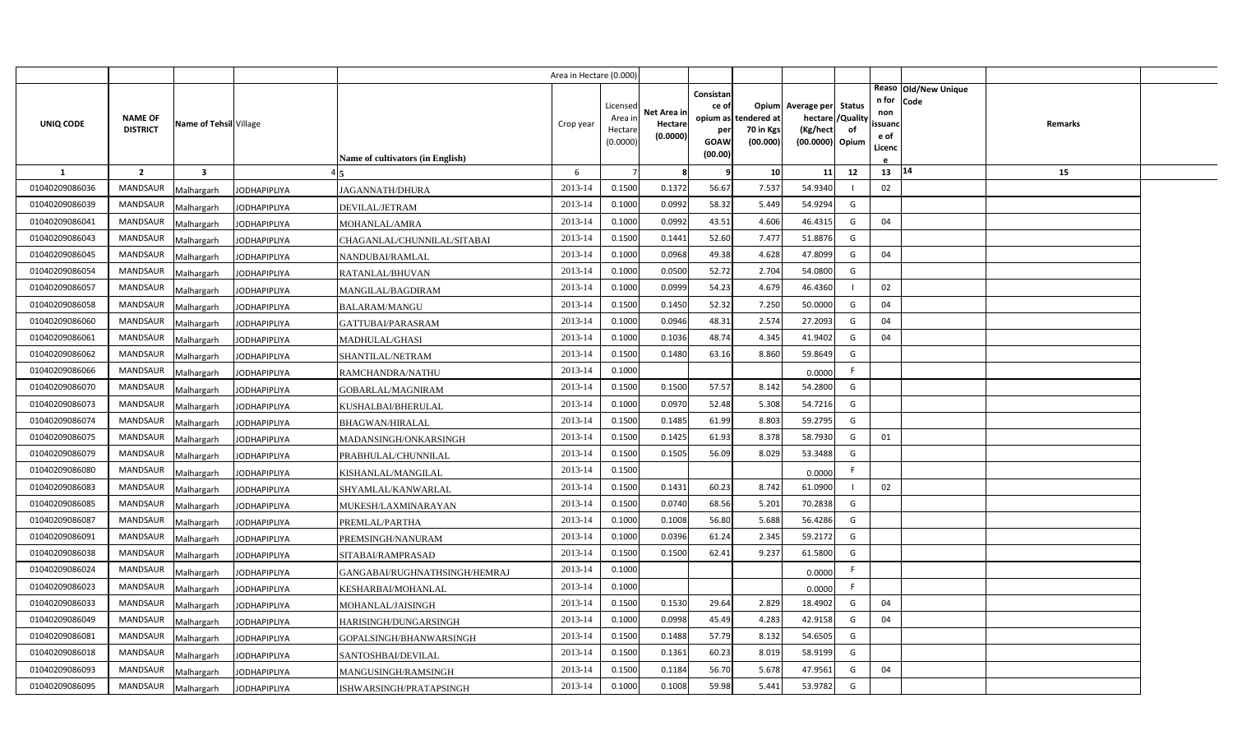|                |                                   |                        |                                                      | Area in Hectare (0.000) |                                            |                                    |                                                     |                                               |                                                                    |                |                                          |                              |                |  |
|----------------|-----------------------------------|------------------------|------------------------------------------------------|-------------------------|--------------------------------------------|------------------------------------|-----------------------------------------------------|-----------------------------------------------|--------------------------------------------------------------------|----------------|------------------------------------------|------------------------------|----------------|--|
| UNIQ CODE      | <b>NAME OF</b><br><b>DISTRICT</b> | Name of Tehsil Village | Name of cultivators (in English)                     | Crop year               | Licensed<br>Area in<br>Hectare<br>(0.0000) | Net Area in<br>Hectare<br>(0.0000) | Consistan<br>ce of<br>per<br><b>GOAW</b><br>(00.00) | opium as tendered at<br>70 in Kgs<br>(00.000) | Opium Average per Status<br>hectare<br>(Kg/hect<br>(00.0000) Opium | /Quality<br>of | n for<br>non<br>ssuanc<br>e of<br>Licenc | Reaso Old/New Unique<br>Code | <b>Remarks</b> |  |
| <b>1</b>       | $\overline{2}$                    | 3                      |                                                      | 6                       |                                            | 8                                  | 9                                                   | 10                                            | 11                                                                 | 12             | 13                                       | 14                           | 15             |  |
| 01040209086036 | <b>MANDSAUR</b>                   | Malhargarh             | <b>JAGANNATH/DHURA</b><br><b>JODHAPIPLIYA</b>        | 2013-14                 | 0.1500                                     | 0.1372                             | 56.67                                               | 7.537                                         | 54.9340                                                            |                | 02                                       |                              |                |  |
| 01040209086039 | MANDSAUR                          | Malhargarh             | <b>JODHAPIPLIYA</b><br>DEVILAL/JETRAM                | 2013-14                 | 0.1000                                     | 0.0992                             | 58.32                                               | 5.449                                         | 54.9294                                                            | G              |                                          |                              |                |  |
| 01040209086041 | <b>MANDSAUR</b>                   | Malhargarh             | <b>JODHAPIPLIYA</b><br>MOHANLAL/AMRA                 | 2013-14                 | 0.1000                                     | 0.0992                             | 43.51                                               | 4.606                                         | 46.4315                                                            | G              | 04                                       |                              |                |  |
| 01040209086043 | <b>MANDSAUR</b>                   | Malhargarh             | <b>JODHAPIPLIYA</b><br>CHAGANLAL/CHUNNILAL/SITABAI   | 2013-14                 | 0.1500                                     | 0.1441                             | 52.60                                               | 7.477                                         | 51.8876                                                            | G              |                                          |                              |                |  |
| 01040209086045 | <b>MANDSAUR</b>                   | Malhargarh             | <b>JODHAPIPLIYA</b><br>NANDUBAI/RAMLAL               | 2013-14                 | 0.1000                                     | 0.0968                             | 49.38                                               | 4.628                                         | 47.8099                                                            | G              | 04                                       |                              |                |  |
| 01040209086054 | <b>MANDSAUR</b>                   | Malhargarh             | <b>JODHAPIPLIYA</b><br>RATANLAL/BHUVAN               | 2013-14                 | 0.1000                                     | 0.0500                             | 52.72                                               | 2.704                                         | 54.0800                                                            | G              |                                          |                              |                |  |
| 01040209086057 | <b>MANDSAUR</b>                   | Malhargarh             | <b>JODHAPIPLIYA</b><br>MANGILAL/BAGDIRAM             | 2013-14                 | 0.1000                                     | 0.0999                             | 54.23                                               | 4.679                                         | 46.4360                                                            |                | 02                                       |                              |                |  |
| 01040209086058 | <b>MANDSAUR</b>                   | Malhargarh             | <b>JODHAPIPLIYA</b><br><b>BALARAM/MANGU</b>          | 2013-14                 | 0.1500                                     | 0.1450                             | 52.32                                               | 7.250                                         | 50.0000                                                            | G              | 04                                       |                              |                |  |
| 01040209086060 | <b>MANDSAUR</b>                   | Malhargarh             | <b>JODHAPIPLIYA</b><br>GATTUBAI/PARASRAM             | 2013-14                 | 0.1000                                     | 0.0946                             | 48.31                                               | 2.574                                         | 27.2093                                                            | G              | 04                                       |                              |                |  |
| 01040209086061 | <b>MANDSAUR</b>                   | Malhargarh             | MADHULAL/GHASI<br><b>JODHAPIPLIYA</b>                | 2013-14                 | 0.1000                                     | 0.1036                             | 48.74                                               | 4.345                                         | 41.9402                                                            | G              | 04                                       |                              |                |  |
| 01040209086062 | <b>MANDSAUR</b>                   | Malhargarh             | <b>JODHAPIPLIYA</b><br>SHANTILAL/NETRAM              | 2013-14                 | 0.1500                                     | 0.1480                             | 63.16                                               | 8.860                                         | 59.8649                                                            | G              |                                          |                              |                |  |
| 01040209086066 | <b>MANDSAUR</b>                   | Malhargarh             | <b>JODHAPIPLIYA</b><br>RAMCHANDRA/NATHU              | 2013-14                 | 0.1000                                     |                                    |                                                     |                                               | 0.0000                                                             | F.             |                                          |                              |                |  |
| 01040209086070 | <b>MANDSAUR</b>                   | Malhargarh             | <b>JODHAPIPLIYA</b><br>GOBARLAL/MAGNIRAM             | 2013-14                 | 0.1500                                     | 0.1500                             | 57.57                                               | 8.142                                         | 54.2800                                                            | G              |                                          |                              |                |  |
| 01040209086073 | <b>MANDSAUR</b>                   | Malhargarh             | KUSHALBAI/BHERULAL<br>JODHAPIPLIYA                   | 2013-14                 | 0.1000                                     | 0.0970                             | 52.48                                               | 5.308                                         | 54.7216                                                            | G              |                                          |                              |                |  |
| 01040209086074 | <b>MANDSAUR</b>                   | Malhargarh             | <b>JODHAPIPLIYA</b><br><b>BHAGWAN/HIRALAL</b>        | 2013-14                 | 0.1500                                     | 0.1485                             | 61.99                                               | 8.803                                         | 59.2795                                                            | G              |                                          |                              |                |  |
| 01040209086075 | <b>MANDSAUR</b>                   | Malhargarh             | MADANSINGH/ONKARSINGH<br>JODHAPIPLIYA                | 2013-14                 | 0.1500                                     | 0.1425                             | 61.93                                               | 8.378                                         | 58.7930                                                            | G              | 01                                       |                              |                |  |
| 01040209086079 | MANDSAUR                          | Malhargarh             | <b>JODHAPIPLIYA</b><br>PRABHULAL/CHUNNILAL           | 2013-14                 | 0.1500                                     | 0.1505                             | 56.09                                               | 8.029                                         | 53.3488                                                            | G              |                                          |                              |                |  |
| 01040209086080 | <b>MANDSAUR</b>                   | Malhargarh             | <b>JODHAPIPLIYA</b><br>KISHANLAL/MANGILAL            | 2013-14                 | 0.1500                                     |                                    |                                                     |                                               | 0.0000                                                             | F.             |                                          |                              |                |  |
| 01040209086083 | <b>MANDSAUR</b>                   | Malhargarh             | <b>JODHAPIPLIYA</b><br>SHYAMLAL/KANWARLAL            | 2013-14                 | 0.1500                                     | 0.1431                             | 60.23                                               | 8.742                                         | 61.0900                                                            |                | 02                                       |                              |                |  |
| 01040209086085 | <b>MANDSAUR</b>                   | Malhargarh             | <b>JODHAPIPLIYA</b><br>MUKESH/LAXMINARAYAN           | 2013-14                 | 0.1500                                     | 0.0740                             | 68.56                                               | 5.201                                         | 70.2838                                                            | G              |                                          |                              |                |  |
| 01040209086087 | <b>MANDSAUR</b>                   | Malhargarh             | PREMLAL/PARTHA<br><b>JODHAPIPLIYA</b>                | 2013-14                 | 0.1000                                     | 0.1008                             | 56.80                                               | 5.688                                         | 56.4286                                                            | G              |                                          |                              |                |  |
| 01040209086091 | <b>MANDSAUR</b>                   | Malhargarh             | <b>JODHAPIPLIYA</b><br>PREMSINGH/NANURAM             | 2013-14                 | 0.1000                                     | 0.0396                             | 61.24                                               | 2.345                                         | 59.2172                                                            | G              |                                          |                              |                |  |
| 01040209086038 | <b>MANDSAUR</b>                   | Malhargarh             | <b>JODHAPIPLIYA</b><br>SITABAI/RAMPRASAD             | 2013-14                 | 0.1500                                     | 0.1500                             | 62.41                                               | 9.237                                         | 61.5800                                                            | G              |                                          |                              |                |  |
| 01040209086024 | <b>MANDSAUR</b>                   | Malhargarh             | <b>JODHAPIPLIYA</b><br>GANGABAI/RUGHNATHSINGH/HEMRAJ | 2013-14                 | 0.1000                                     |                                    |                                                     |                                               | 0.0000                                                             | F.             |                                          |                              |                |  |
| 01040209086023 | <b>MANDSAUR</b>                   | Malhargarh             | <b>JODHAPIPLIYA</b><br>KESHARBAI/MOHANLAL            | 2013-14                 | 0.1000                                     |                                    |                                                     |                                               | 0.0000                                                             | F.             |                                          |                              |                |  |
| 01040209086033 | <b>MANDSAUR</b>                   | Malhargarh             | JODHAPIPLIYA<br>MOHANLAL/JAISINGH                    | 2013-14                 | 0.1500                                     | 0.1530                             | 29.64                                               | 2.829                                         | 18.4902                                                            | G              | 04                                       |                              |                |  |
| 01040209086049 | MANDSAUR                          | Malhargarh             | <b>JODHAPIPLIYA</b><br>HARISINGH/DUNGARSINGH         | 2013-14                 | 0.1000                                     | 0.0998                             | 45.49                                               | 4.283                                         | 42.9158                                                            | G              | 04                                       |                              |                |  |
| 01040209086081 | MANDSAUR                          | Malhargarh             | <b>JODHAPIPLIYA</b><br>GOPALSINGH/BHANWARSINGH       | 2013-14                 | 0.1500                                     | 0.1488                             | 57.79                                               | 8.132                                         | 54.6505                                                            | G              |                                          |                              |                |  |
| 01040209086018 | <b>MANDSAUR</b>                   | Malhargarh             | <b>JODHAPIPLIYA</b><br>SANTOSHBAI/DEVILAL            | 2013-14                 | 0.1500                                     | 0.1361                             | 60.23                                               | 8.019                                         | 58.9199                                                            | G              |                                          |                              |                |  |
| 01040209086093 | <b>MANDSAUR</b>                   | Malhargarh             | <b>JODHAPIPLIYA</b><br>MANGUSINGH/RAMSINGH           | 2013-14                 | 0.1500                                     | 0.1184                             | 56.70                                               | 5.678                                         | 47.9561                                                            | G              | 04                                       |                              |                |  |
| 01040209086095 | MANDSAUR                          | Malhargarh             | <b>JODHAPIPLIYA</b><br>ISHWARSINGH/PRATAPSINGH       | 2013-14                 | 0.1000                                     | 0.1008                             | 59.98                                               | 5.441                                         | 53.9782                                                            | G              |                                          |                              |                |  |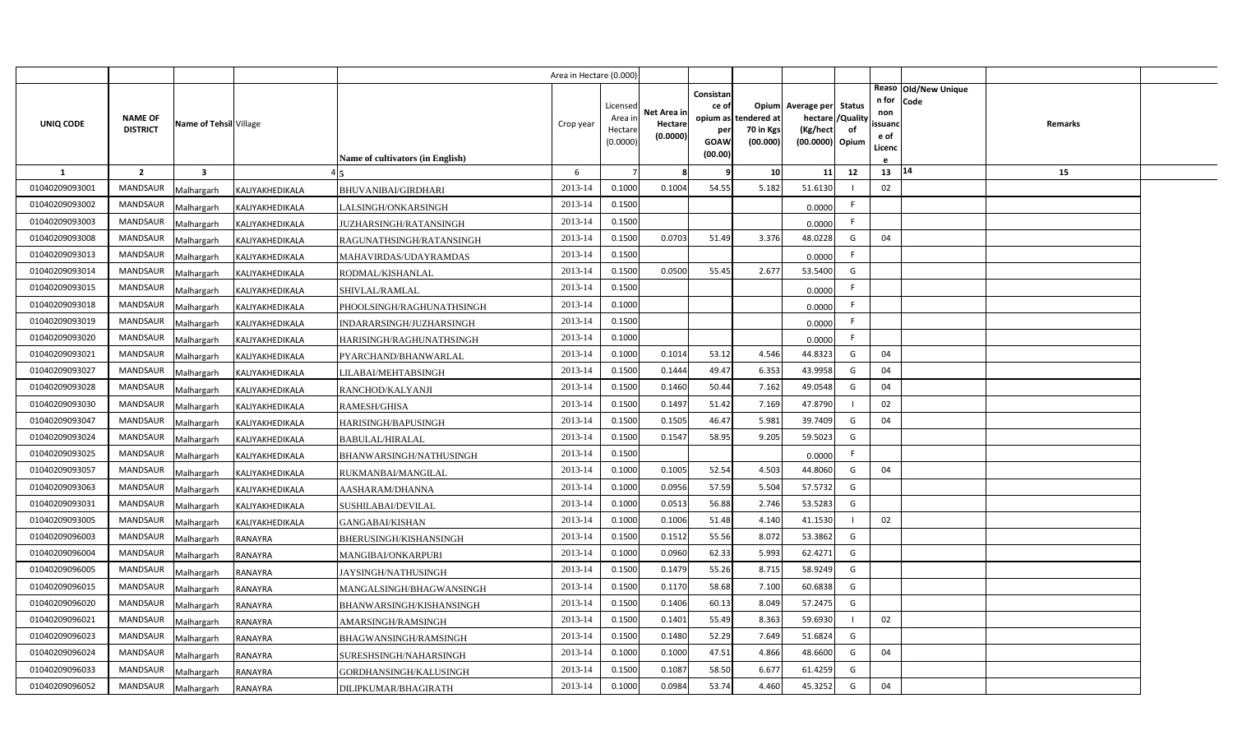|                            |                                   |                          |                                    |                                           | Area in Hectare (0.000) |                                           |                                    |                                                          |                                      |                                                                    |                |                                          |                              |         |  |
|----------------------------|-----------------------------------|--------------------------|------------------------------------|-------------------------------------------|-------------------------|-------------------------------------------|------------------------------------|----------------------------------------------------------|--------------------------------------|--------------------------------------------------------------------|----------------|------------------------------------------|------------------------------|---------|--|
| UNIQ CODE                  | <b>NAME OF</b><br><b>DISTRICT</b> | Name of Tehsil Village   |                                    |                                           | Crop year               | Licensec<br>Area ir<br>Hectar<br>(0.0000) | Net Area ir<br>Hectare<br>(0.0000) | Consistan<br>ce of<br>opium as<br>per<br>GOAW<br>(00.00) | tendered at<br>70 in Kgs<br>(00.000) | Opium Average per Status<br>hectare<br>(Kg/hect<br>(00.0000) Opium | /Quality<br>of | n for<br>non<br>ssuand<br>e of<br>Licenc | Reaso Old/New Unique<br>Code | Remarks |  |
|                            |                                   |                          |                                    | <b>Name of cultivators (in English)</b>   |                         |                                           | я                                  | q                                                        |                                      |                                                                    |                |                                          | 14                           |         |  |
| <b>1</b><br>01040209093001 | $\overline{2}$<br><b>MANDSAUR</b> | $\overline{\mathbf{3}}$  |                                    |                                           | 6<br>2013-14            | 0.1000                                    | 0.1004                             | 54.55                                                    | 10<br>5.182                          | 11<br>51.6130                                                      | 12             | 13<br>02                                 |                              | 15      |  |
| 01040209093002             | MANDSAUR                          | Malhargarh               | KALIYAKHEDIKALA                    | <b>BHUVANIBAI/GIRDHARI</b>                | 2013-14                 | 0.1500                                    |                                    |                                                          |                                      |                                                                    | F.             |                                          |                              |         |  |
| 01040209093003             | <b>MANDSAUR</b>                   | Malhargarh               | KALIYAKHEDIKALA                    | LALSINGH/ONKARSINGH                       | 2013-14                 | 0.1500                                    |                                    |                                                          |                                      | 0.0000                                                             | F.             |                                          |                              |         |  |
| 01040209093008             | <b>MANDSAUR</b>                   | Malhargarh               | KALIYAKHEDIKALA                    | JUZHARSINGH/RATANSINGH                    | 2013-14                 | 0.1500                                    | 0.0703                             | 51.49                                                    | 3.376                                | 0.0000<br>48.0228                                                  | G              | 04                                       |                              |         |  |
| 01040209093013             | MANDSAUR                          | Malhargarh               | KALIYAKHEDIKALA                    | RAGUNATHSINGH/RATANSINGH                  | 2013-14                 | 0.1500                                    |                                    |                                                          |                                      |                                                                    | F.             |                                          |                              |         |  |
| 01040209093014             | <b>MANDSAUR</b>                   | Malhargarh<br>Malhargarh | KALIYAKHEDIKALA                    | MAHAVIRDAS/UDAYRAMDAS<br>RODMAL/KISHANLAL | 2013-14                 | 0.1500                                    | 0.0500                             | 55.45                                                    | 2.677                                | 0.0000<br>53.5400                                                  | G              |                                          |                              |         |  |
| 01040209093015             | MANDSAUR                          | Malhargarh               | KALIYAKHEDIKALA<br>KALIYAKHEDIKALA | SHIVLAL/RAMLAL                            | 2013-14                 | 0.1500                                    |                                    |                                                          |                                      | 0.0000                                                             | F.             |                                          |                              |         |  |
| 01040209093018             | MANDSAUR                          | Malhargarh               | KALIYAKHEDIKALA                    | PHOOLSINGH/RAGHUNATHSINGH                 | 2013-14                 | 0.1000                                    |                                    |                                                          |                                      | 0.0000                                                             | F.             |                                          |                              |         |  |
| 01040209093019             | MANDSAUR                          | Malhargarh               | KALIYAKHEDIKALA                    | INDARARSINGH/JUZHARSINGH                  | 2013-14                 | 0.1500                                    |                                    |                                                          |                                      | 0.0000                                                             | F.             |                                          |                              |         |  |
| 01040209093020             | MANDSAUR                          | Malhargarh               | KALIYAKHEDIKALA                    | HARISINGH/RAGHUNATHSINGH                  | 2013-14                 | 0.1000                                    |                                    |                                                          |                                      | 0.0000                                                             | F.             |                                          |                              |         |  |
| 01040209093021             | <b>MANDSAUR</b>                   | Malhargarh               | KALIYAKHEDIKALA                    | PYARCHAND/BHANWARLAL                      | 2013-14                 | 0.1000                                    | 0.1014                             | 53.12                                                    | 4.546                                | 44.8323                                                            | G              | 04                                       |                              |         |  |
| 01040209093027             | MANDSAUR                          | Malhargarh               | KALIYAKHEDIKALA                    | LILABAI/MEHTABSINGH                       | 2013-14                 | 0.1500                                    | 0.1444                             | 49.47                                                    | 6.353                                | 43.9958                                                            | G              | 04                                       |                              |         |  |
| 01040209093028             | <b>MANDSAUR</b>                   | Malhargarh               | KALIYAKHEDIKALA                    | RANCHOD/KALYANJI                          | 2013-14                 | 0.1500                                    | 0.1460                             | 50.44                                                    | 7.162                                | 49.0548                                                            | G              | 04                                       |                              |         |  |
| 01040209093030             | <b>MANDSAUR</b>                   | Malhargarh               | KALIYAKHEDIKALA                    | RAMESH/GHISA                              | 2013-14                 | 0.1500                                    | 0.1497                             | 51.42                                                    | 7.169                                | 47.8790                                                            |                | 02                                       |                              |         |  |
| 01040209093047             | <b>MANDSAUR</b>                   | Malhargarh               | KALIYAKHEDIKALA                    | HARISINGH/BAPUSINGH                       | 2013-14                 | 0.1500                                    | 0.1505                             | 46.47                                                    | 5.981                                | 39.7409                                                            | G              | 04                                       |                              |         |  |
| 01040209093024             | <b>MANDSAUR</b>                   | Malhargarh               | KALIYAKHEDIKALA                    | <b>BABULAL/HIRALAL</b>                    | 2013-14                 | 0.1500                                    | 0.1547                             | 58.95                                                    | 9.205                                | 59.5023                                                            | G              |                                          |                              |         |  |
| 01040209093025             | MANDSAUR                          | Malhargarh               | KALIYAKHEDIKALA                    | BHANWARSINGH/NATHUSINGH                   | 2013-14                 | 0.1500                                    |                                    |                                                          |                                      | 0.0000                                                             | F.             |                                          |                              |         |  |
| 01040209093057             | <b>MANDSAUR</b>                   | Malhargarh               | KALIYAKHEDIKALA                    | RUKMANBAI/MANGILAL                        | 2013-14                 | 0.1000                                    | 0.1005                             | 52.54                                                    | 4.503                                | 44.8060                                                            | G              | 04                                       |                              |         |  |
| 01040209093063             | MANDSAUR                          | Malhargarh               | KALIYAKHEDIKALA                    | AASHARAM/DHANNA                           | 2013-14                 | 0.1000                                    | 0.0956                             | 57.59                                                    | 5.504                                | 57.5732                                                            | G              |                                          |                              |         |  |
| 01040209093031             | MANDSAUR                          | Malhargarh               | KALIYAKHEDIKALA                    | SUSHILABAI/DEVILAL                        | 2013-14                 | 0.1000                                    | 0.0513                             | 56.88                                                    | 2.746                                | 53.5283                                                            | G              |                                          |                              |         |  |
| 01040209093005             | MANDSAUR                          | Malhargarh               | KALIYAKHEDIKALA                    | GANGABAI/KISHAN                           | 2013-14                 | 0.1000                                    | 0.1006                             | 51.48                                                    | 4.140                                | 41.1530                                                            |                | 02                                       |                              |         |  |
| 01040209096003             | MANDSAUR                          | Malhargarh               | RANAYRA                            | BHERUSINGH/KISHANSINGH                    | 2013-14                 | 0.1500                                    | 0.1512                             | 55.56                                                    | 8.072                                | 53.3862                                                            | G              |                                          |                              |         |  |
| 01040209096004             | MANDSAUR                          | Malhargarh               | RANAYRA                            | MANGIBAI/ONKARPURI                        | 2013-14                 | 0.1000                                    | 0.0960                             | 62.33                                                    | 5.993                                | 62.4271                                                            | G              |                                          |                              |         |  |
| 01040209096005             | MANDSAUR                          | Malhargarh               | RANAYRA                            | JAYSINGH/NATHUSINGH                       | 2013-14                 | 0.1500                                    | 0.1479                             | 55.26                                                    | 8.715                                | 58.9249                                                            | G              |                                          |                              |         |  |
| 01040209096015             | MANDSAUR                          | Malhargarh               | RANAYRA                            | MANGALSINGH/BHAGWANSINGH                  | 2013-14                 | 0.1500                                    | 0.1170                             | 58.68                                                    | 7.100                                | 60.6838                                                            | G              |                                          |                              |         |  |
| 01040209096020             | MANDSAUR                          | Malhargarh               | RANAYRA                            | BHANWARSINGH/KISHANSINGH                  | 2013-14                 | 0.1500                                    | 0.1406                             | 60.13                                                    | 8.049                                | 57.2475                                                            | G              |                                          |                              |         |  |
| 01040209096021             | MANDSAUR                          | Malhargarh               | RANAYRA                            | AMARSINGH/RAMSINGH                        | 2013-14                 | 0.1500                                    | 0.1401                             | 55.49                                                    | 8.363                                | 59.6930                                                            | $\mathbf{I}$   | 02                                       |                              |         |  |
| 01040209096023             | MANDSAUR                          | Malhargarh               | RANAYRA                            | BHAGWANSINGH/RAMSINGH                     | 2013-14                 | 0.1500                                    | 0.1480                             | 52.29                                                    | 7.649                                | 51.6824                                                            | G              |                                          |                              |         |  |
| 01040209096024             | MANDSAUR                          | Malhargarh               | RANAYRA                            | SURESHSINGH/NAHARSINGH                    | 2013-14                 | 0.1000                                    | 0.1000                             | 47.51                                                    | 4.866                                | 48.6600                                                            | G              | 04                                       |                              |         |  |
| 01040209096033             | MANDSAUR                          | Malhargarh               | RANAYRA                            | GORDHANSINGH/KALUSINGH                    | 2013-14                 | 0.1500                                    | 0.1087                             | 58.50                                                    | 6.677                                | 61.4259                                                            | G              |                                          |                              |         |  |
| 01040209096052             | MANDSAUR                          | Malhargarh               | <b>RANAYRA</b>                     | DILIPKUMAR/BHAGIRATH                      | 2013-14                 | 0.1000                                    | 0.0984                             | 53.74                                                    | 4.460                                | 45.3252                                                            | G              | 04                                       |                              |         |  |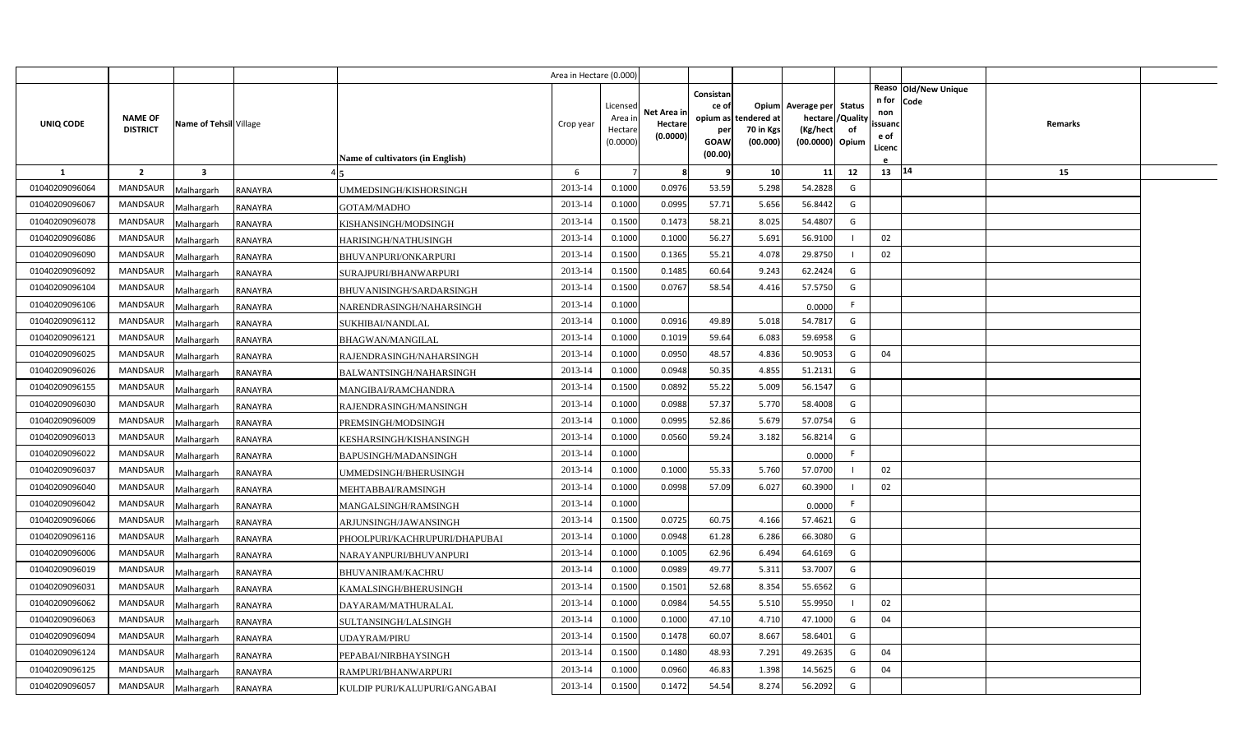|                |                                                             |                |                                  | Area in Hectare (0.000) |                                            |                                    |                                                                 |                                      |                                                                               |    |                                               |                      |         |  |
|----------------|-------------------------------------------------------------|----------------|----------------------------------|-------------------------|--------------------------------------------|------------------------------------|-----------------------------------------------------------------|--------------------------------------|-------------------------------------------------------------------------------|----|-----------------------------------------------|----------------------|---------|--|
| UNIQ CODE      | <b>NAME OF</b><br>Name of Tehsil Village<br><b>DISTRICT</b> |                | Name of cultivators (in English) | Crop year               | Licensed<br>Area in<br>Hectare<br>(0.0000) | Net Area in<br>Hectare<br>(0.0000) | Consistan<br>ce of<br>opium as<br>per<br><b>GOAW</b><br>(00.00) | tendered at<br>70 in Kgs<br>(00.000) | Opium Average per Status<br>hectare / Quality<br>(Kg/hect)<br>(00.0000) Opium | of | n for Code<br>non<br>ssuand<br>e of<br>Licenc | Reaso Old/New Unique | Remarks |  |
| 1              | $\overline{2}$<br>$\overline{\mathbf{3}}$                   |                |                                  | 6                       |                                            | 8                                  | ę                                                               | 10 <sup>1</sup>                      | 11                                                                            | 12 | 13   14                                       |                      | 15      |  |
| 01040209096064 | MANDSAUR<br>Malhargarh                                      | RANAYRA        | UMMEDSINGH/KISHORSINGH           | 2013-14                 | 0.1000                                     | 0.0976                             | 53.59                                                           | 5.298                                | 54.2828                                                                       | G  |                                               |                      |         |  |
| 01040209096067 | <b>MANDSAUR</b><br>Malhargarh                               | RANAYRA        | GOTAM/MADHO                      | 2013-14                 | 0.1000                                     | 0.0995                             | 57.71                                                           | 5.656                                | 56.8442                                                                       | G  |                                               |                      |         |  |
| 01040209096078 | <b>MANDSAUR</b><br>Malhargarh                               | RANAYRA        | KISHANSINGH/MODSINGH             | 2013-14                 | 0.1500                                     | 0.1473                             | 58.21                                                           | 8.025                                | 54.4807                                                                       | G  |                                               |                      |         |  |
| 01040209096086 | <b>MANDSAUR</b><br>Malhargarh                               | RANAYRA        | HARISINGH/NATHUSINGH             | 2013-14                 | 0.1000                                     | 0.1000                             | 56.27                                                           | 5.691                                | 56.9100                                                                       |    | 02                                            |                      |         |  |
| 01040209096090 | <b>MANDSAUR</b><br>Malhargarh                               | RANAYRA        | BHUVANPURI/ONKARPURI             | 2013-14                 | 0.1500                                     | 0.1365                             | 55.21                                                           | 4.078                                | 29.8750                                                                       |    | 02                                            |                      |         |  |
| 01040209096092 | <b>MANDSAUR</b><br>Malhargarh                               | RANAYRA        | SURAJPURI/BHANWARPURI            | 2013-14                 | 0.1500                                     | 0.1485                             | 60.64                                                           | 9.243                                | 62.2424                                                                       | G  |                                               |                      |         |  |
| 01040209096104 | <b>MANDSAUR</b><br>Malhargarh                               | RANAYRA        | BHUVANISINGH/SARDARSINGH         | 2013-14                 | 0.1500                                     | 0.0767                             | 58.54                                                           | 4.416                                | 57.5750                                                                       | G  |                                               |                      |         |  |
| 01040209096106 | <b>MANDSAUR</b><br>Malhargarh                               | RANAYRA        | NARENDRASINGH/NAHARSINGH         | 2013-14                 | 0.1000                                     |                                    |                                                                 |                                      | 0.0000                                                                        | F. |                                               |                      |         |  |
| 01040209096112 | <b>MANDSAUR</b><br>Malhargarh                               | RANAYRA        | SUKHIBAI/NANDLAL                 | 2013-14                 | 0.1000                                     | 0.0916                             | 49.89                                                           | 5.018                                | 54.7817                                                                       | G  |                                               |                      |         |  |
| 01040209096121 | <b>MANDSAUR</b><br>Malhargarh                               | RANAYRA        | BHAGWAN/MANGILAL                 | 2013-14                 | 0.1000                                     | 0.1019                             | 59.64                                                           | 6.083                                | 59.6958                                                                       | G  |                                               |                      |         |  |
| 01040209096025 | <b>MANDSAUR</b><br>Malhargarh                               | RANAYRA        | RAJENDRASINGH/NAHARSINGH         | 2013-14                 | 0.1000                                     | 0.0950                             | 48.57                                                           | 4.836                                | 50.9053                                                                       | G  | 04                                            |                      |         |  |
| 01040209096026 | <b>MANDSAUR</b><br>Malhargarh                               | RANAYRA        | BALWANTSINGH/NAHARSINGH          | 2013-14                 | 0.1000                                     | 0.0948                             | 50.35                                                           | 4.855                                | 51.2131                                                                       | G  |                                               |                      |         |  |
| 01040209096155 | MANDSAUR<br>Malhargarh                                      | RANAYRA        | MANGIBAI/RAMCHANDRA              | 2013-14                 | 0.1500                                     | 0.0892                             | 55.22                                                           | 5.009                                | 56.1547                                                                       | G  |                                               |                      |         |  |
| 01040209096030 | <b>MANDSAUR</b><br>Malhargarh                               | RANAYRA        | RAJENDRASINGH/MANSINGH           | 2013-14                 | 0.1000                                     | 0.0988                             | 57.37                                                           | 5.770                                | 58.4008                                                                       | G  |                                               |                      |         |  |
| 01040209096009 | MANDSAUR<br>Malhargarh                                      | RANAYRA        | PREMSINGH/MODSINGH               | 2013-14                 | 0.1000                                     | 0.0995                             | 52.86                                                           | 5.679                                | 57.0754                                                                       | G  |                                               |                      |         |  |
| 01040209096013 | MANDSAUR<br>Malhargarh                                      | RANAYRA        | KESHARSINGH/KISHANSINGH          | 2013-14                 | 0.1000                                     | 0.0560                             | 59.24                                                           | 3.182                                | 56.8214                                                                       | G  |                                               |                      |         |  |
| 01040209096022 | <b>MANDSAUR</b><br>Malhargarh                               | RANAYRA        | BAPUSINGH/MADANSINGH             | 2013-14                 | 0.1000                                     |                                    |                                                                 |                                      | 0.0000                                                                        | F. |                                               |                      |         |  |
| 01040209096037 | <b>MANDSAUR</b><br>Malhargarh                               | RANAYRA        | UMMEDSINGH/BHERUSINGH            | 2013-14                 | 0.1000                                     | 0.1000                             | 55.33                                                           | 5.760                                | 57.0700                                                                       |    | 02                                            |                      |         |  |
| 01040209096040 | <b>MANDSAUR</b><br>Malhargarh                               | RANAYRA        | MEHTABBAI/RAMSINGH               | 2013-14                 | 0.1000                                     | 0.0998                             | 57.09                                                           | 6.027                                | 60.3900                                                                       |    | 02                                            |                      |         |  |
| 01040209096042 | <b>MANDSAUR</b><br>Malhargarh                               | RANAYRA        | MANGALSINGH/RAMSINGH             | 2013-14                 | 0.1000                                     |                                    |                                                                 |                                      | 0.0000                                                                        | F. |                                               |                      |         |  |
| 01040209096066 | <b>MANDSAUR</b><br>Malhargarh                               | RANAYRA        | ARJUNSINGH/JAWANSINGH            | 2013-14                 | 0.1500                                     | 0.0725                             | 60.75                                                           | 4.166                                | 57.4621                                                                       | G  |                                               |                      |         |  |
| 01040209096116 | <b>MANDSAUR</b><br>Malhargarh                               | RANAYRA        | PHOOLPURI/KACHRUPURI/DHAPUBAI    | 2013-14                 | 0.1000                                     | 0.0948                             | 61.28                                                           | 6.286                                | 66.3080                                                                       | G  |                                               |                      |         |  |
| 01040209096006 | <b>MANDSAUR</b><br>Malhargarh                               | RANAYRA        | NARAYANPURI/BHUVANPURI           | 2013-14                 | 0.1000                                     | 0.1005                             | 62.96                                                           | 6.494                                | 64.6169                                                                       | G  |                                               |                      |         |  |
| 01040209096019 | <b>MANDSAUR</b><br>Malhargarh                               | RANAYRA        | BHUVANIRAM/KACHRU                | 2013-14                 | 0.1000                                     | 0.0989                             | 49.77                                                           | 5.311                                | 53.7007                                                                       | G  |                                               |                      |         |  |
| 01040209096031 | <b>MANDSAUR</b><br>Malhargarh                               | RANAYRA        | KAMALSINGH/BHERUSINGH            | 2013-14                 | 0.1500                                     | 0.1501                             | 52.68                                                           | 8.354                                | 55.6562                                                                       | G  |                                               |                      |         |  |
| 01040209096062 | MANDSAUR<br>Malhargarh                                      | RANAYRA        | DAYARAM/MATHURALAL               | 2013-14                 | 0.1000                                     | 0.0984                             | 54.55                                                           | 5.510                                | 55.9950                                                                       |    | 02                                            |                      |         |  |
| 01040209096063 | MANDSAUR<br>Malhargarh                                      | RANAYRA        | SULTANSINGH/LALSINGH             | 2013-14                 | 0.1000                                     | 0.1000                             | 47.10                                                           | 4.710                                | 47.1000                                                                       | G  | 04                                            |                      |         |  |
| 01040209096094 | MANDSAUR<br>Malhargarh                                      | RANAYRA        | UDAYRAM/PIRU                     | 2013-14                 | 0.1500                                     | 0.1478                             | 60.07                                                           | 8.667                                | 58.6401                                                                       | G  |                                               |                      |         |  |
| 01040209096124 | MANDSAUR<br>Malhargarh                                      | RANAYRA        | PEPABAI/NIRBHAYSINGH             | 2013-14                 | 0.1500                                     | 0.1480                             | 48.93                                                           | 7.291                                | 49.2635                                                                       | G  | 04                                            |                      |         |  |
| 01040209096125 | <b>MANDSAUR</b><br>Malhargarh                               | RANAYRA        | RAMPURI/BHANWARPURI              | 2013-14                 | 0.1000                                     | 0.0960                             | 46.83                                                           | 1.398                                | 14.5625                                                                       | G  | 04                                            |                      |         |  |
| 01040209096057 | MANDSAUR<br>Malhargarh                                      | <b>RANAYRA</b> | KULDIP PURI/KALUPURI/GANGABAI    | 2013-14                 | 0.1500                                     | 0.1472                             | 54.54                                                           | 8.274                                | 56.2092                                                                       | G  |                                               |                      |         |  |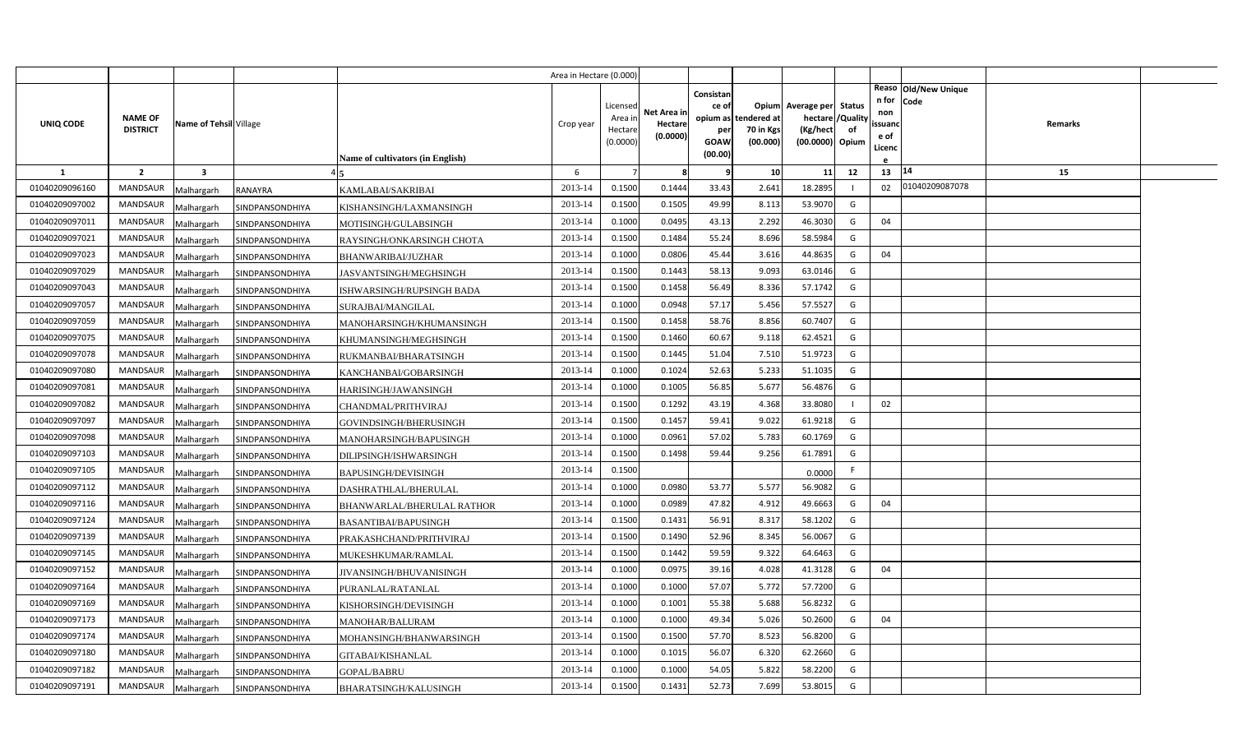|                                  |                                    |                          |                                    |                                             | Area in Hectare (0.000 |                     |                        |                        |                       |                                     |          |                        |                              |                |  |
|----------------------------------|------------------------------------|--------------------------|------------------------------------|---------------------------------------------|------------------------|---------------------|------------------------|------------------------|-----------------------|-------------------------------------|----------|------------------------|------------------------------|----------------|--|
| UNIQ CODE                        | <b>NAME OF</b>                     | Name of Tehsil Village   |                                    |                                             | Crop year              | Licensed<br>Area in | Net Area in<br>Hectare | Consistan<br>ce of     | opium as tendered at  | Opium Average per Status<br>hectare | /Quality | n for<br>non<br>ssuand | Reaso Old/New Unique<br>Code | <b>Remarks</b> |  |
|                                  | <b>DISTRICT</b>                    |                          |                                    |                                             |                        | Hectare<br>(0.0000) | (0.0000)               | per<br>GOAW<br>(00.00) | 70 in Kgs<br>(00.000) | (Kg/hect<br>(00.0000) Opium         | of       | e of<br>Licenc         |                              |                |  |
|                                  |                                    |                          |                                    | Name of cultivators (in English)            |                        |                     |                        |                        |                       |                                     |          |                        | 14                           |                |  |
| 1<br>01040209096160              | $\overline{2}$<br><b>MANDSAUR</b>  | $\overline{\mathbf{3}}$  |                                    |                                             | 6<br>2013-14           | 0.1500              | 8<br>0.1444            | 9<br>33.43             | 10<br>2.641           | 11<br>18.2895                       | 12       | 13<br>02               | 01040209087078               | 15             |  |
| 01040209097002                   |                                    | Malhargarh               | RANAYRA                            | KAMLABAI/SAKRIBAI                           |                        |                     |                        |                        |                       |                                     |          |                        |                              |                |  |
| 01040209097011                   | <b>MANDSAUR</b><br><b>MANDSAUR</b> | Malhargarh               | SINDPANSONDHIYA                    | KISHANSINGH/LAXMANSINGH                     | 2013-14<br>2013-14     | 0.1500<br>0.1000    | 0.1505<br>0.0495       | 49.99                  | 8.113<br>2.292        | 53.9070<br>46.3030                  | G<br>G   | 04                     |                              |                |  |
|                                  |                                    | Malhargarh               | SINDPANSONDHIYA                    | MOTISINGH/GULABSINGH                        |                        |                     |                        | 43.13                  |                       |                                     |          |                        |                              |                |  |
| 01040209097021                   | <b>MANDSAUR</b>                    | Malhargarh               | SINDPANSONDHIYA                    | RAYSINGH/ONKARSINGH CHOTA                   | 2013-14                | 0.1500              | 0.1484                 | 55.24                  | 8.696                 | 58.5984                             | G        |                        |                              |                |  |
| 01040209097023<br>01040209097029 | <b>MANDSAUR</b><br>MANDSAUR        | Malhargarh               | SINDPANSONDHIYA                    | BHANWARIBAI/JUZHAR                          | 2013-14<br>2013-14     | 0.1000<br>0.1500    | 0.0806<br>0.1443       | 45.44<br>58.13         | 3.616<br>9.093        | 44.8635<br>63.0146                  | G<br>G   | 04                     |                              |                |  |
|                                  | <b>MANDSAUR</b>                    | Malhargarh               | SINDPANSONDHIYA                    | JASVANTSINGH/MEGHSINGH                      | 2013-14                | 0.1500              | 0.1458                 | 56.49                  | 8.336                 | 57.1742                             | G        |                        |                              |                |  |
| 01040209097043<br>01040209097057 | MANDSAUR                           | Malhargarh               | SINDPANSONDHIYA                    | ISHWARSINGH/RUPSINGH BADA                   | 2013-14                | 0.1000              | 0.0948                 | 57.17                  | 5.456                 | 57.5527                             | G        |                        |                              |                |  |
| 01040209097059                   | <b>MANDSAUR</b>                    | Malhargarh               | SINDPANSONDHIYA                    | SURAJBAI/MANGILAL                           | 2013-14                | 0.1500              | 0.1458                 | 58.76                  | 8.856                 | 60.7407                             | G        |                        |                              |                |  |
| 01040209097075                   | MANDSAUR                           | Malhargarh               | SINDPANSONDHIYA                    | MANOHARSINGH/KHUMANSINGH                    | 2013-14                | 0.1500              | 0.1460                 | 60.67                  | 9.118                 | 62.4521                             | G        |                        |                              |                |  |
| 01040209097078                   | <b>MANDSAUR</b>                    | Malhargarh               | SINDPANSONDHIYA                    | KHUMANSINGH/MEGHSINGH                       | 2013-14                | 0.1500              | 0.1445                 | 51.04                  | 7.510                 | 51.9723                             | G        |                        |                              |                |  |
| 01040209097080                   | <b>MANDSAUR</b>                    | Malhargarh               | SINDPANSONDHIYA                    | RUKMANBAI/BHARATSINGH                       | 2013-14                | 0.1000              | 0.1024                 | 52.63                  | 5.233                 | 51.1035                             | G        |                        |                              |                |  |
| 01040209097081                   | <b>MANDSAUR</b>                    | Malhargarh               | SINDPANSONDHIYA                    | KANCHANBAI/GOBARSINGH                       | 2013-14                | 0.1000              | 0.1005                 | 56.85                  | 5.677                 | 56.4876                             | G        |                        |                              |                |  |
| 01040209097082                   | <b>MANDSAUR</b>                    | Malhargarh               | SINDPANSONDHIYA                    | HARISINGH/JAWANSINGH<br>CHANDMAL/PRITHVIRAJ | 2013-14                | 0.1500              | 0.1292                 | 43.19                  | 4.368                 | 33.8080                             |          | 02                     |                              |                |  |
| 01040209097097                   | <b>MANDSAUR</b>                    | Malhargarh               | SINDPANSONDHIYA<br>SINDPANSONDHIYA | GOVINDSINGH/BHERUSINGH                      | 2013-14                | 0.1500              | 0.1457                 | 59.41                  | 9.022                 | 61.9218                             | G        |                        |                              |                |  |
| 01040209097098                   | <b>MANDSAUR</b>                    | Malhargarh<br>Malhargarh | SINDPANSONDHIYA                    | MANOHARSINGH/BAPUSINGH                      | 2013-14                | 0.1000              | 0.0961                 | 57.02                  | 5.783                 | 60.1769                             | G        |                        |                              |                |  |
| 01040209097103                   | <b>MANDSAUR</b>                    | Malhargarh               | SINDPANSONDHIYA                    | DILIPSINGH/ISHWARSINGH                      | 2013-14                | 0.1500              | 0.1498                 | 59.44                  | 9.256                 | 61.7891                             | G        |                        |                              |                |  |
| 01040209097105                   | <b>MANDSAUR</b>                    | Malhargarh               | SINDPANSONDHIYA                    | <b>BAPUSINGH/DEVISINGH</b>                  | 2013-14                | 0.1500              |                        |                        |                       | 0.0000                              | F.       |                        |                              |                |  |
| 01040209097112                   | <b>MANDSAUR</b>                    | Malhargarh               | SINDPANSONDHIYA                    | DASHRATHLAL/BHERULAL                        | 2013-14                | 0.1000              | 0.0980                 | 53.77                  | 5.577                 | 56.9082                             | G        |                        |                              |                |  |
| 01040209097116                   | <b>MANDSAUR</b>                    | Malhargarh               | SINDPANSONDHIYA                    | BHANWARLAL/BHERULAL RATHOR                  | 2013-14                | 0.1000              | 0.0989                 | 47.82                  | 4.912                 | 49.6663                             | G        | 04                     |                              |                |  |
| 01040209097124                   | <b>MANDSAUR</b>                    | Malhargarh               | SINDPANSONDHIYA                    | BASANTIBAI/BAPUSINGH                        | 2013-14                | 0.1500              | 0.1431                 | 56.91                  | 8.317                 | 58.1202                             | G        |                        |                              |                |  |
| 01040209097139                   | MANDSAUR                           | Malhargarh               | SINDPANSONDHIYA                    | PRAKASHCHAND/PRITHVIRAJ                     | 2013-14                | 0.1500              | 0.1490                 | 52.96                  | 8.345                 | 56.0067                             | G        |                        |                              |                |  |
| 01040209097145                   | <b>MANDSAUR</b>                    | Malhargarh               | SINDPANSONDHIYA                    | MUKESHKUMAR/RAMLAL                          | 2013-14                | 0.1500              | 0.1442                 | 59.59                  | 9.322                 | 64.6463                             | G        |                        |                              |                |  |
| 01040209097152                   | MANDSAUR                           | Malhargarh               | SINDPANSONDHIYA                    | JIVANSINGH/BHUVANISINGH                     | 2013-14                | 0.1000              | 0.0975                 | 39.16                  | 4.028                 | 41.3128                             | G        | 04                     |                              |                |  |
| 01040209097164                   | MANDSAUR                           | Malhargarh               | SINDPANSONDHIYA                    | PURANLAL/RATANLAL                           | 2013-14                | 0.1000              | 0.1000                 | 57.07                  | 5.772                 | 57.7200                             | G        |                        |                              |                |  |
| 01040209097169                   | <b>MANDSAUR</b>                    | Malhargarh               | SINDPANSONDHIYA                    | KISHORSINGH/DEVISINGH                       | 2013-14                | 0.1000              | 0.1001                 | 55.38                  | 5.688                 | 56.8232                             | G        |                        |                              |                |  |
| 01040209097173                   | <b>MANDSAUR</b>                    | Malhargarh               | SINDPANSONDHIYA                    | MANOHAR/BALURAM                             | 2013-14                | 0.1000              | 0.1000                 | 49.34                  | 5.026                 | 50.2600                             | G        | 04                     |                              |                |  |
| 01040209097174                   | <b>MANDSAUR</b>                    | Malhargarh               | SINDPANSONDHIYA                    | MOHANSINGH/BHANWARSINGH                     | 2013-14                | 0.1500              | 0.1500                 | 57.70                  | 8.523                 | 56.8200                             | G        |                        |                              |                |  |
| 01040209097180                   | MANDSAUR                           | Malhargarh               | SINDPANSONDHIYA                    | <b>GITABAI/KISHANLAL</b>                    | 2013-14                | 0.1000              | 0.1015                 | 56.07                  | 6.320                 | 62.2660                             | G        |                        |                              |                |  |
| 01040209097182                   | MANDSAUR                           | Malhargarh               | SINDPANSONDHIYA                    | GOPAL/BABRU                                 | 2013-14                | 0.1000              | 0.1000                 | 54.05                  | 5.822                 | 58.2200                             | G        |                        |                              |                |  |
| 01040209097191                   | <b>MANDSAUR</b>                    | Malhargarh               | SINDPANSONDHIYA                    | <b>BHARATSINGH/KALUSINGH</b>                | 2013-14                | 0.1500              | 0.1431                 | 52.73                  | 7.699                 | 53.8015                             | G        |                        |                              |                |  |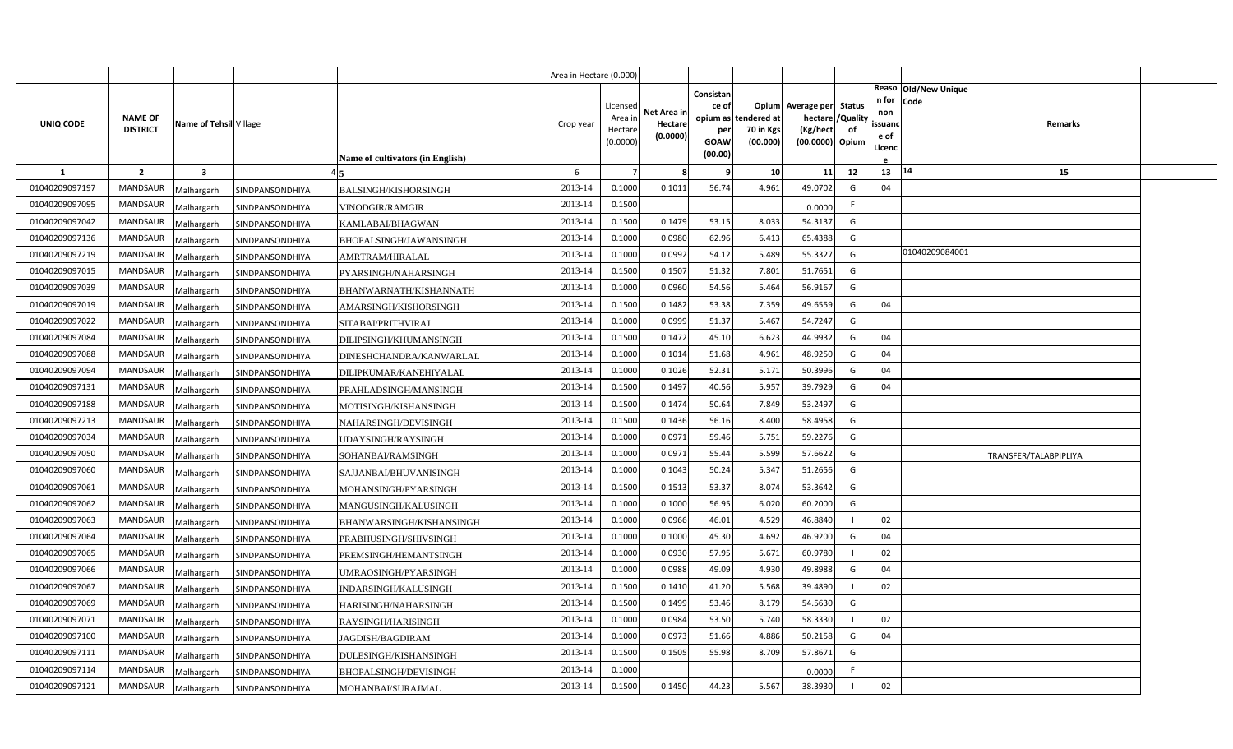|                |                                   |                         |                 |                                  | Area in Hectare (0.000) |                                            |                                    |                                                                 |                                     |                                                         |                         |                                          |                              |                       |  |
|----------------|-----------------------------------|-------------------------|-----------------|----------------------------------|-------------------------|--------------------------------------------|------------------------------------|-----------------------------------------------------------------|-------------------------------------|---------------------------------------------------------|-------------------------|------------------------------------------|------------------------------|-----------------------|--|
| UNIQ CODE      | <b>NAME OF</b><br><b>DISTRICT</b> | Name of Tehsil Village  |                 | Name of cultivators (in English) | Crop year               | Licensed<br>Area in<br>Hectare<br>(0.0000) | Net Area in<br>Hectare<br>(0.0000) | Consistan<br>ce of<br>opium as<br>per<br><b>GOAW</b><br>(00.00) | ndered at:<br>70 in Kgs<br>(00.000) | Opium Average per Status<br>(Kg/hect<br>(00.0000) Opium | hectare / Quality<br>of | n for<br>non<br>ssuand<br>e of<br>Licenc | Reaso Old/New Unique<br>Code | Remarks               |  |
| $\mathbf{1}$   | $\overline{2}$                    | $\overline{\mathbf{3}}$ |                 |                                  | 6                       |                                            | -8                                 | -9                                                              | 10                                  | 11                                                      | 12                      | 13                                       | 14                           | 15                    |  |
| 01040209097197 | <b>MANDSAUR</b>                   | Malhargarh              | SINDPANSONDHIYA | <b>BALSINGH/KISHORSINGH</b>      | 2013-14                 | 0.1000                                     | 0.1011                             | 56.74                                                           | 4.961                               | 49.0702                                                 | G                       | 04                                       |                              |                       |  |
| 01040209097095 | <b>MANDSAUR</b>                   | Malhargarh              | SINDPANSONDHIYA | VINODGIR/RAMGIR                  | 2013-14                 | 0.1500                                     |                                    |                                                                 |                                     | 0.0000                                                  | F.                      |                                          |                              |                       |  |
| 01040209097042 | <b>MANDSAUR</b>                   | Malhargarh              | SINDPANSONDHIYA | KAMLABAI/BHAGWAN                 | 2013-14                 | 0.1500                                     | 0.1479                             | 53.15                                                           | 8.033                               | 54.3137                                                 | G                       |                                          |                              |                       |  |
| 01040209097136 | <b>MANDSAUR</b>                   | Malhargarh              | SINDPANSONDHIYA | BHOPALSINGH/JAWANSINGH           | 2013-14                 | 0.1000                                     | 0.0980                             | 62.96                                                           | 6.413                               | 65.4388                                                 | G                       |                                          |                              |                       |  |
| 01040209097219 | <b>MANDSAUR</b>                   | Malhargarh              | SINDPANSONDHIYA | AMRTRAM/HIRALAL                  | 2013-14                 | 0.1000                                     | 0.0992                             | 54.12                                                           | 5.489                               | 55.3327                                                 | G                       |                                          | 01040209084001               |                       |  |
| 01040209097015 | <b>MANDSAUR</b>                   | Malhargarh              | SINDPANSONDHIYA | PYARSINGH/NAHARSINGH             | 2013-14                 | 0.1500                                     | 0.1507                             | 51.32                                                           | 7.801                               | 51.7651                                                 | G                       |                                          |                              |                       |  |
| 01040209097039 | <b>MANDSAUR</b>                   | Malhargarh              | SINDPANSONDHIYA | BHANWARNATH/KISHANNATH           | 2013-14                 | 0.1000                                     | 0.0960                             | 54.56                                                           | 5.464                               | 56.9167                                                 | G                       |                                          |                              |                       |  |
| 01040209097019 | <b>MANDSAUR</b>                   | Malhargarh              | SINDPANSONDHIYA | AMARSINGH/KISHORSINGH            | 2013-14                 | 0.1500                                     | 0.1482                             | 53.38                                                           | 7.359                               | 49.6559                                                 | G                       | 04                                       |                              |                       |  |
| 01040209097022 | <b>MANDSAUR</b>                   | Malhargarh              | SINDPANSONDHIYA | SITABAI/PRITHVIRAJ               | 2013-14                 | 0.1000                                     | 0.0999                             | 51.37                                                           | 5.467                               | 54.7247                                                 | G                       |                                          |                              |                       |  |
| 01040209097084 | MANDSAUR                          | Malhargarh              | SINDPANSONDHIYA | DILIPSINGH/KHUMANSINGH           | 2013-14                 | 0.1500                                     | 0.1472                             | 45.10                                                           | 6.623                               | 44.9932                                                 | G                       | 04                                       |                              |                       |  |
| 01040209097088 | <b>MANDSAUR</b>                   | Malhargarh              | SINDPANSONDHIYA | DINESHCHANDRA/KANWARLAL          | 2013-14                 | 0.1000                                     | 0.1014                             | 51.68                                                           | 4.961                               | 48.9250                                                 | G                       | 04                                       |                              |                       |  |
| 01040209097094 | <b>MANDSAUR</b>                   | Malhargarh              | SINDPANSONDHIYA | DILIPKUMAR/KANEHIYALAL           | 2013-14                 | 0.1000                                     | 0.1026                             | 52.31                                                           | 5.171                               | 50.3996                                                 | G                       | 04                                       |                              |                       |  |
| 01040209097131 | <b>MANDSAUR</b>                   | Malhargarh              | SINDPANSONDHIYA | PRAHLADSINGH/MANSINGH            | 2013-14                 | 0.1500                                     | 0.1497                             | 40.56                                                           | 5.957                               | 39.7929                                                 | G                       | 04                                       |                              |                       |  |
| 01040209097188 | <b>MANDSAUR</b>                   | Malhargarh              | SINDPANSONDHIYA | MOTISINGH/KISHANSINGH            | 2013-14                 | 0.1500                                     | 0.1474                             | 50.64                                                           | 7.849                               | 53.2497                                                 | G                       |                                          |                              |                       |  |
| 01040209097213 | <b>MANDSAUR</b>                   | Malhargarh              | SINDPANSONDHIYA | NAHARSINGH/DEVISINGH             | 2013-14                 | 0.1500                                     | 0.1436                             | 56.16                                                           | 8.400                               | 58.4958                                                 | G                       |                                          |                              |                       |  |
| 01040209097034 | <b>MANDSAUR</b>                   | Malhargarh              | SINDPANSONDHIYA | UDAYSINGH/RAYSINGH               | 2013-14                 | 0.1000                                     | 0.0971                             | 59.46                                                           | 5.751                               | 59.2276                                                 | G                       |                                          |                              |                       |  |
| 01040209097050 | <b>MANDSAUR</b>                   | Malhargarh              | SINDPANSONDHIYA | SOHANBAI/RAMSINGH                | 2013-14                 | 0.1000                                     | 0.0971                             | 55.44                                                           | 5.599                               | 57.6622                                                 | G                       |                                          |                              | TRANSFER/TALABPIPLIYA |  |
| 01040209097060 | <b>MANDSAUR</b>                   | Malhargarh              | SINDPANSONDHIYA | SAJJANBAI/BHUVANISINGH           | 2013-14                 | 0.1000                                     | 0.1043                             | 50.24                                                           | 5.347                               | 51.2656                                                 | G                       |                                          |                              |                       |  |
| 01040209097061 | <b>MANDSAUR</b>                   | Malhargarh              | SINDPANSONDHIYA | MOHANSINGH/PYARSINGH             | 2013-14                 | 0.1500                                     | 0.1513                             | 53.37                                                           | 8.074                               | 53.3642                                                 | G                       |                                          |                              |                       |  |
| 01040209097062 | <b>MANDSAUR</b>                   | Malhargarh              | SINDPANSONDHIYA | MANGUSINGH/KALUSINGH             | 2013-14                 | 0.1000                                     | 0.1000                             | 56.95                                                           | 6.020                               | 60.2000                                                 | G                       |                                          |                              |                       |  |
| 01040209097063 | <b>MANDSAUR</b>                   | Malhargarh              | SINDPANSONDHIYA | BHANWARSINGH/KISHANSINGH         | 2013-14                 | 0.1000                                     | 0.0966                             | 46.01                                                           | 4.529                               | 46.8840                                                 |                         | 02                                       |                              |                       |  |
| 01040209097064 | <b>MANDSAUR</b>                   | Malhargarh              | SINDPANSONDHIYA | PRABHUSINGH/SHIVSINGH            | 2013-14                 | 0.1000                                     | 0.1000                             | 45.30                                                           | 4.692                               | 46.9200                                                 | G                       | 04                                       |                              |                       |  |
| 01040209097065 | MANDSAUR                          | Malhargarh              | SINDPANSONDHIYA | PREMSINGH/HEMANTSINGH            | 2013-14                 | 0.1000                                     | 0.0930                             | 57.95                                                           | 5.671                               | 60.9780                                                 |                         | 02                                       |                              |                       |  |
| 01040209097066 | MANDSAUR                          | Malhargarh              | SINDPANSONDHIYA | JMRAOSINGH/PYARSINGH             | 2013-14                 | 0.1000                                     | 0.0988                             | 49.09                                                           | 4.930                               | 49.8988                                                 | G                       | 04                                       |                              |                       |  |
| 01040209097067 | <b>MANDSAUR</b>                   | Malhargarh              | SINDPANSONDHIYA | NDARSINGH/KALUSINGH              | 2013-14                 | 0.1500                                     | 0.1410                             | 41.20                                                           | 5.568                               | 39.4890                                                 |                         | 02                                       |                              |                       |  |
| 01040209097069 | MANDSAUR                          | Malhargarh              | SINDPANSONDHIYA | HARISINGH/NAHARSINGH             | 2013-14                 | 0.1500                                     | 0.1499                             | 53.46                                                           | 8.179                               | 54.5630                                                 | G                       |                                          |                              |                       |  |
| 01040209097071 | <b>MANDSAUR</b>                   | Malhargarh              | SINDPANSONDHIYA | RAYSINGH/HARISINGH               | 2013-14                 | 0.1000                                     | 0.0984                             | 53.50                                                           | 5.740                               | 58.3330                                                 |                         | 02                                       |                              |                       |  |
| 01040209097100 | MANDSAUR                          | Malhargarh              | SINDPANSONDHIYA | JAGDISH/BAGDIRAM                 | 2013-14                 | 0.1000                                     | 0.0973                             | 51.66                                                           | 4.886                               | 50.2158                                                 | G                       | 04                                       |                              |                       |  |
| 01040209097111 | MANDSAUR                          | Malhargarh              | SINDPANSONDHIYA | DULESINGH/KISHANSINGH            | 2013-14                 | 0.1500                                     | 0.1505                             | 55.98                                                           | 8.709                               | 57.8671                                                 | G                       |                                          |                              |                       |  |
| 01040209097114 | <b>MANDSAUR</b>                   | Malhargarh              | SINDPANSONDHIYA | BHOPALSINGH/DEVISINGH            | 2013-14                 | 0.1000                                     |                                    |                                                                 |                                     | 0.0000                                                  |                         |                                          |                              |                       |  |
| 01040209097121 | <b>MANDSAUR</b>                   | Malhargarh              | SINDPANSONDHIYA | MOHANBAI/SURAJMAL                | 2013-14                 | 0.1500                                     | 0.1450                             | 44.23                                                           | 5.567                               | 38.3930                                                 |                         | 02                                       |                              |                       |  |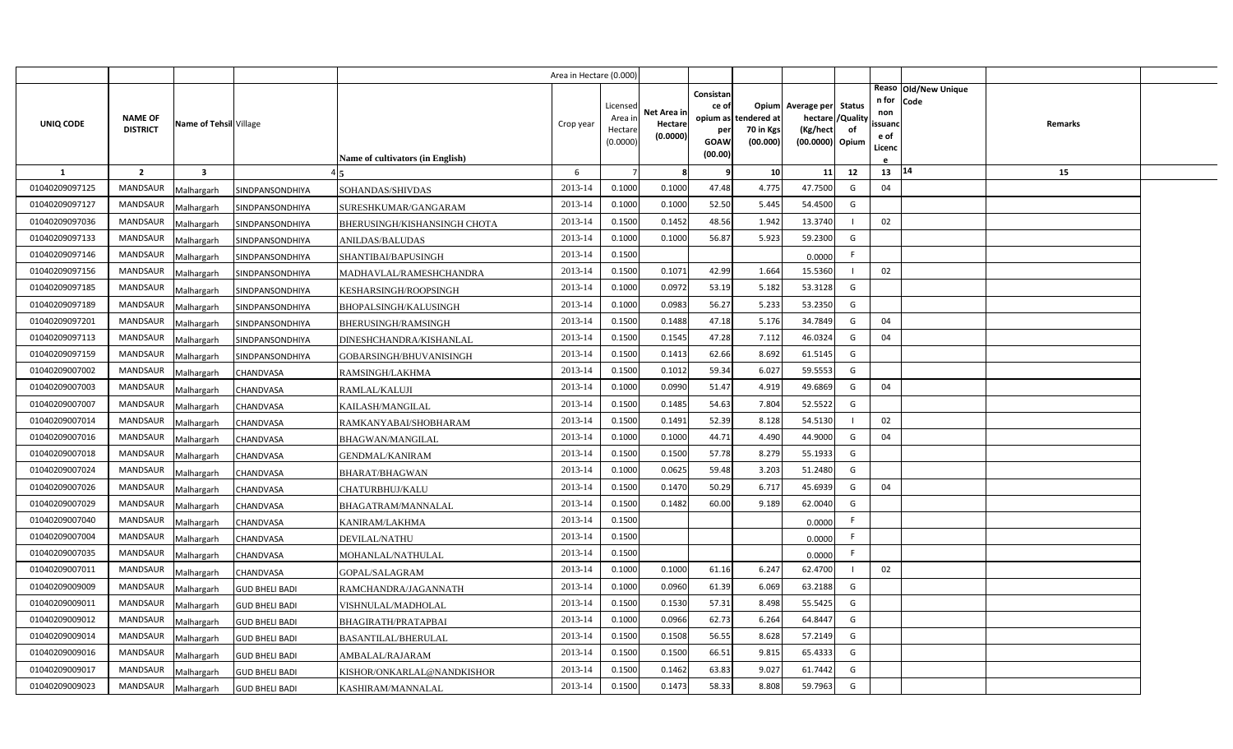|                |                                   |                         |                       | Area in Hectare (0.000)          |           |                    |             |                    |                          |                          |                |                   |                      |         |  |
|----------------|-----------------------------------|-------------------------|-----------------------|----------------------------------|-----------|--------------------|-------------|--------------------|--------------------------|--------------------------|----------------|-------------------|----------------------|---------|--|
|                |                                   |                         |                       |                                  |           |                    |             | Consistar          |                          |                          |                |                   | Reaso Old/New Unique |         |  |
|                |                                   |                         |                       |                                  |           | Licensed           | Net Area in | ce of              |                          | Opium Average per Status |                | n for code<br>non |                      |         |  |
| UNIQ CODE      | <b>NAME OF</b><br><b>DISTRICT</b> | Name of Tehsil Village  |                       |                                  | Crop year | Area in<br>Hectare | Hectare     | opium as           | tendered at<br>70 in Kgs | hectare<br>(Kg/hect)     | /Quality<br>of | ssuand            |                      | Remarks |  |
|                |                                   |                         |                       |                                  |           | (0.0000)           | (0.0000)    | per<br><b>GOAW</b> | (00.000)                 | (00.0000) Opium          |                | e of              |                      |         |  |
|                |                                   |                         |                       | Name of cultivators (in English) |           |                    |             | (00.00)            |                          |                          |                | Licenc            |                      |         |  |
| $\mathbf{1}$   | $\overline{2}$                    | $\overline{\mathbf{3}}$ |                       |                                  | 6         |                    | 8           |                    | 10                       | 11                       | 12             | 13                | 14                   | 15      |  |
| 01040209097125 | <b>MANDSAUR</b>                   | Malhargarh              | SINDPANSONDHIYA       | SOHANDAS/SHIVDAS                 | 2013-14   | 0.1000             | 0.1000      | 47.48              | 4.775                    | 47.7500                  | G              | 04                |                      |         |  |
| 01040209097127 | <b>MANDSAUR</b>                   | Malhargarh              | SINDPANSONDHIYA       | SURESHKUMAR/GANGARAM             | 2013-14   | 0.1000             | 0.1000      | 52.50              | 5.445                    | 54.4500                  | G              |                   |                      |         |  |
| 01040209097036 | <b>MANDSAUR</b>                   | Malhargarh              | SINDPANSONDHIYA       | BHERUSINGH/KISHANSINGH CHOTA     | 2013-14   | 0.1500             | 0.1452      | 48.56              | 1.942                    | 13.3740                  |                | 02                |                      |         |  |
| 01040209097133 | <b>MANDSAUR</b>                   | Malhargarh              | SINDPANSONDHIYA       | <b>ANILDAS/BALUDAS</b>           | 2013-14   | 0.1000             | 0.1000      | 56.87              | 5.923                    | 59.2300                  | G              |                   |                      |         |  |
| 01040209097146 | <b>MANDSAUR</b>                   | Malhargarh              | SINDPANSONDHIYA       | SHANTIBAI/BAPUSINGH              | 2013-14   | 0.1500             |             |                    |                          | 0.0000                   | F.             |                   |                      |         |  |
| 01040209097156 | MANDSAUR                          | Malhargarh              | SINDPANSONDHIYA       | MADHAVLAL/RAMESHCHANDRA          | 2013-14   | 0.1500             | 0.1071      | 42.99              | 1.664                    | 15.5360                  |                | 02                |                      |         |  |
| 01040209097185 | MANDSAUR                          | Malhargarh              | SINDPANSONDHIYA       | KESHARSINGH/ROOPSINGH            | 2013-14   | 0.1000             | 0.0972      | 53.19              | 5.182                    | 53.3128                  | G              |                   |                      |         |  |
| 01040209097189 | <b>MANDSAUR</b>                   | Malhargarh              | SINDPANSONDHIYA       | BHOPALSINGH/KALUSINGH            | 2013-14   | 0.1000             | 0.0983      | 56.27              | 5.233                    | 53.2350                  | G              |                   |                      |         |  |
| 01040209097201 | MANDSAUR                          | Malhargarh              | SINDPANSONDHIYA       | BHERUSINGH/RAMSINGH              | 2013-14   | 0.1500             | 0.1488      | 47.18              | 5.176                    | 34.7849                  | G              | 04                |                      |         |  |
| 01040209097113 | MANDSAUR                          | Malhargarh              | SINDPANSONDHIYA       | DINESHCHANDRA/KISHANLAL          | 2013-14   | 0.1500             | 0.1545      | 47.28              | 7.112                    | 46.0324                  | G              | 04                |                      |         |  |
| 01040209097159 | MANDSAUR                          | Malhargarh              | SINDPANSONDHIYA       | GOBARSINGH/BHUVANISINGH          | 2013-14   | 0.1500             | 0.1413      | 62.66              | 8.692                    | 61.5145                  | G              |                   |                      |         |  |
| 01040209007002 | MANDSAUR                          | Malhargarh              | CHANDVASA             | RAMSINGH/LAKHMA                  | 2013-14   | 0.1500             | 0.1012      | 59.34              | 6.027                    | 59.5553                  | G              |                   |                      |         |  |
| 01040209007003 | <b>MANDSAUR</b>                   | Malhargarh              | CHANDVASA             | RAMLAL/KALUJI                    | 2013-14   | 0.1000             | 0.0990      | 51.47              | 4.919                    | 49.6869                  | G              | 04                |                      |         |  |
| 01040209007007 | <b>MANDSAUR</b>                   | Malhargarh              | CHANDVASA             | KAILASH/MANGILAL                 | 2013-14   | 0.1500             | 0.1485      | 54.63              | 7.804                    | 52.5522                  | G              |                   |                      |         |  |
| 01040209007014 | MANDSAUR                          | Malhargarh              | CHANDVASA             | RAMKANYABAI/SHOBHARAM            | 2013-14   | 0.1500             | 0.1491      | 52.39              | 8.128                    | 54.5130                  |                | 02                |                      |         |  |
| 01040209007016 | <b>MANDSAUR</b>                   | Malhargarh              | CHANDVASA             | <b>BHAGWAN/MANGILAL</b>          | 2013-14   | 0.1000             | 0.1000      | 44.71              | 4.490                    | 44.9000                  | G              | 04                |                      |         |  |
| 01040209007018 | <b>MANDSAUR</b>                   | Malhargarh              | CHANDVASA             | GENDMAL/KANIRAM                  | 2013-14   | 0.1500             | 0.1500      | 57.78              | 8.279                    | 55.1933                  | G              |                   |                      |         |  |
| 01040209007024 | <b>MANDSAUR</b>                   | Malhargarh              | CHANDVASA             | BHARAT/BHAGWAN                   | 2013-14   | 0.1000             | 0.0625      | 59.48              | 3.203                    | 51.2480                  | G              |                   |                      |         |  |
| 01040209007026 | <b>MANDSAUR</b>                   | Malhargarh              | CHANDVASA             | CHATURBHUJ/KALU                  | 2013-14   | 0.1500             | 0.1470      | 50.29              | 6.717                    | 45.6939                  | G              | 04                |                      |         |  |
| 01040209007029 | MANDSAUR                          | Malhargarh              | CHANDVASA             | BHAGATRAM/MANNALAL               | 2013-14   | 0.1500             | 0.1482      | 60.00              | 9.189                    | 62.0040                  | G              |                   |                      |         |  |
| 01040209007040 | <b>MANDSAUR</b>                   | Malhargarh              | CHANDVASA             | KANIRAM/LAKHMA                   | 2013-14   | 0.1500             |             |                    |                          | 0.0000                   | F.             |                   |                      |         |  |
| 01040209007004 | <b>MANDSAUR</b>                   | Malhargarh              | CHANDVASA             | <b>DEVILAL/NATHU</b>             | 2013-14   | 0.1500             |             |                    |                          | 0.0000                   | F.             |                   |                      |         |  |
| 01040209007035 | <b>MANDSAUR</b>                   | Malhargarh              | CHANDVASA             | MOHANLAL/NATHULAL                | 2013-14   | 0.1500             |             |                    |                          | 0.0000                   | F.             |                   |                      |         |  |
| 01040209007011 | <b>MANDSAUR</b>                   | Malhargarh              | CHANDVASA             | GOPAL/SALAGRAM                   | 2013-14   | 0.1000             | 0.1000      | 61.16              | 6.247                    | 62.4700                  |                | 02                |                      |         |  |
| 01040209009009 | <b>MANDSAUR</b>                   | Malhargarh              | <b>GUD BHELI BADI</b> | RAMCHANDRA/JAGANNATH             | 2013-14   | 0.1000             | 0.0960      | 61.39              | 6.069                    | 63.2188                  | G              |                   |                      |         |  |
| 01040209009011 | <b>MANDSAUR</b>                   | Malhargarh              | <b>GUD BHELI BADI</b> | VISHNULAL/MADHOLAL               | 2013-14   | 0.1500             | 0.1530      | 57.31              | 8.498                    | 55.5425                  | G              |                   |                      |         |  |
| 01040209009012 | MANDSAUR                          | Malhargarh              | <b>GUD BHELI BADI</b> | BHAGIRATH/PRATAPBAI              | 2013-14   | 0.1000             | 0.0966      | 62.73              | 6.264                    | 64.8447                  | G              |                   |                      |         |  |
| 01040209009014 | MANDSAUR                          | Malhargarh              | <b>GUD BHELI BADI</b> | BASANTILAL/BHERULAL              | 2013-14   | 0.1500             | 0.1508      | 56.55              | 8.628                    | 57.2149                  | G              |                   |                      |         |  |
| 01040209009016 | <b>MANDSAUR</b>                   | Malhargarh              | <b>GUD BHELI BADI</b> | AMBALAL/RAJARAM                  | 2013-14   | 0.1500             | 0.1500      | 66.51              | 9.815                    | 65.4333                  | G              |                   |                      |         |  |
| 01040209009017 | MANDSAUR                          | Malhargarh              | <b>GUD BHELI BADI</b> | KISHOR/ONKARLAL@NANDKISHOR       | 2013-14   | 0.1500             | 0.1462      | 63.83              | 9.027                    | 61.7442                  | G              |                   |                      |         |  |
| 01040209009023 | MANDSAUR                          | Malhargarh              | <b>GUD BHELI BADI</b> | KASHIRAM/MANNALAL                | 2013-14   | 0.1500             | 0.1473      | 58.33              | 8.808                    | 59.7963                  | G              |                   |                      |         |  |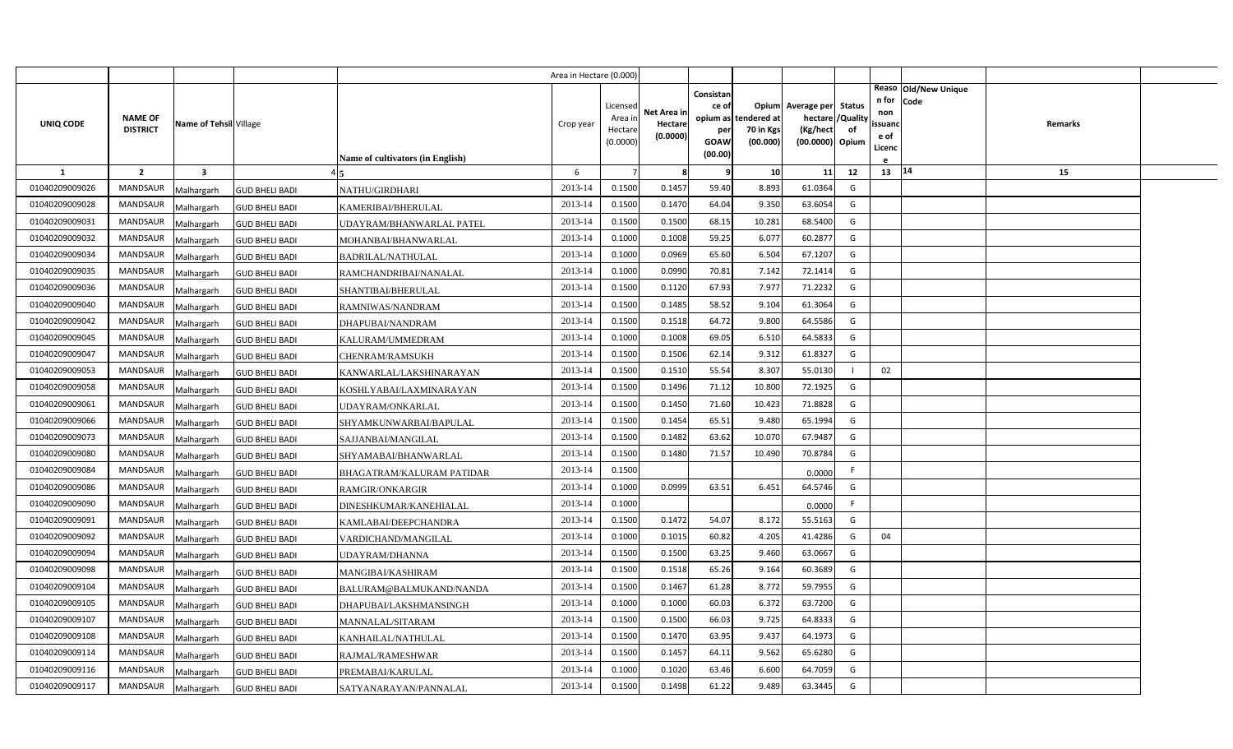|                |                                   |                         |                       |                                  | Area in Hectare (0.000) |                                            |                                    |                                                     |                                               |                                                                    |                |                                          |                              |         |  |
|----------------|-----------------------------------|-------------------------|-----------------------|----------------------------------|-------------------------|--------------------------------------------|------------------------------------|-----------------------------------------------------|-----------------------------------------------|--------------------------------------------------------------------|----------------|------------------------------------------|------------------------------|---------|--|
| UNIQ CODE      | <b>NAME OF</b><br><b>DISTRICT</b> | Name of Tehsil Village  |                       | Name of cultivators (in English) | Crop year               | Licensed<br>Area in<br>Hectare<br>(0.0000) | Net Area in<br>Hectare<br>(0.0000) | Consistan<br>ce of<br>per<br><b>GOAW</b><br>(00.00) | opium as tendered at<br>70 in Kgs<br>(00.000) | Opium Average per Status<br>hectare<br>(Kg/hect<br>(00.0000) Opium | /Quality<br>of | n for<br>non<br>ssuand<br>e of<br>Licenc | Reaso Old/New Unique<br>Code | Remarks |  |
| $\mathbf{1}$   | $\overline{2}$                    | $\overline{\mathbf{3}}$ |                       |                                  | 6                       |                                            | 8                                  | q                                                   | 10                                            | 11                                                                 | 12             | 13   14                                  |                              | 15      |  |
| 01040209009026 | MANDSAUR                          | Malhargarh              | <b>GUD BHELI BADI</b> | NATHU/GIRDHARI                   | 2013-14                 | 0.1500                                     | 0.1457                             | 59.40                                               | 8.893                                         | 61.0364                                                            | G              |                                          |                              |         |  |
| 01040209009028 | <b>MANDSAUR</b>                   | Malhargarh              | <b>GUD BHELI BADI</b> | KAMERIBAI/BHERULAL               | 2013-14                 | 0.1500                                     | 0.1470                             | 64.04                                               | 9.350                                         | 63.6054                                                            | G              |                                          |                              |         |  |
| 01040209009031 | <b>MANDSAUR</b>                   | Malhargarh              | <b>GUD BHELI BADI</b> | UDAYRAM/BHANWARLAL PATEL         | 2013-14                 | 0.1500                                     | 0.1500                             | 68.15                                               | 10.28                                         | 68.5400                                                            | G              |                                          |                              |         |  |
| 01040209009032 | <b>MANDSAUR</b>                   | Malhargarh              | <b>GUD BHELI BADI</b> | MOHANBAI/BHANWARLAL              | 2013-14                 | 0.1000                                     | 0.1008                             | 59.25                                               | 6.077                                         | 60.2877                                                            | G              |                                          |                              |         |  |
| 01040209009034 | <b>MANDSAUR</b>                   | Malhargarh              | <b>GUD BHELI BADI</b> | <b>BADRILAL/NATHULAL</b>         | 2013-14                 | 0.1000                                     | 0.0969                             | 65.60                                               | 6.504                                         | 67.1207                                                            | G              |                                          |                              |         |  |
| 01040209009035 | MANDSAUR                          | Malhargarh              | <b>GUD BHELI BADI</b> | RAMCHANDRIBAI/NANALAL            | 2013-14                 | 0.1000                                     | 0.0990                             | 70.81                                               | 7.142                                         | 72.1414                                                            | G              |                                          |                              |         |  |
| 01040209009036 | <b>MANDSAUR</b>                   | Malhargarh              | <b>GUD BHELI BADI</b> | SHANTIBAI/BHERULAL               | 2013-14                 | 0.1500                                     | 0.1120                             | 67.93                                               | 7.977                                         | 71.2232                                                            | G              |                                          |                              |         |  |
| 01040209009040 | <b>MANDSAUR</b>                   | Malhargarh              | <b>GUD BHELI BADI</b> | RAMNIWAS/NANDRAM                 | 2013-14                 | 0.1500                                     | 0.1485                             | 58.52                                               | 9.104                                         | 61.3064                                                            | G              |                                          |                              |         |  |
| 01040209009042 | <b>MANDSAUR</b>                   | Malhargarh              | <b>GUD BHELI BADI</b> | DHAPUBAI/NANDRAM                 | 2013-14                 | 0.1500                                     | 0.1518                             | 64.72                                               | 9.800                                         | 64.5586                                                            | G              |                                          |                              |         |  |
| 01040209009045 | <b>MANDSAUR</b>                   | Malhargarh              | <b>GUD BHELI BADI</b> | KALURAM/UMMEDRAM                 | 2013-14                 | 0.1000                                     | 0.1008                             | 69.05                                               | 6.510                                         | 64.5833                                                            | G              |                                          |                              |         |  |
| 01040209009047 | <b>MANDSAUR</b>                   | Malhargarh              | <b>GUD BHELI BADI</b> | CHENRAM/RAMSUKH                  | 2013-14                 | 0.1500                                     | 0.1506                             | 62.14                                               | 9.312                                         | 61.8327                                                            | G              |                                          |                              |         |  |
| 01040209009053 | <b>MANDSAUR</b>                   | Malhargarh              | <b>GUD BHELI BADI</b> | KANWARLAL/LAKSHINARAYAN          | 2013-14                 | 0.1500                                     | 0.1510                             | 55.54                                               | 8.307                                         | 55.0130                                                            |                | 02                                       |                              |         |  |
| 01040209009058 | <b>MANDSAUR</b>                   | Malhargarh              | <b>GUD BHELI BADI</b> | KOSHLYABAI/LAXMINARAYAN          | 2013-14                 | 0.1500                                     | 0.1496                             | 71.12                                               | 10.800                                        | 72.1925                                                            | G              |                                          |                              |         |  |
| 01040209009061 | <b>MANDSAUR</b>                   | Malhargarh              | <b>GUD BHELI BADI</b> | UDAYRAM/ONKARLAL                 | 2013-14                 | 0.1500                                     | 0.1450                             | 71.60                                               | 10.423                                        | 71.8828                                                            | G              |                                          |                              |         |  |
| 01040209009066 | <b>MANDSAUR</b>                   | Malhargarh              | <b>GUD BHELI BADI</b> | SHYAMKUNWARBAI/BAPULAL           | 2013-14                 | 0.1500                                     | 0.1454                             | 65.51                                               | 9.480                                         | 65.1994                                                            | G              |                                          |                              |         |  |
| 01040209009073 | <b>MANDSAUR</b>                   | Malhargarh              | <b>GUD BHELI BADI</b> | SAJJANBAI/MANGILAL               | 2013-14                 | 0.1500                                     | 0.1482                             | 63.62                                               | 10.070                                        | 67.9487                                                            | G              |                                          |                              |         |  |
| 01040209009080 | <b>MANDSAUR</b>                   | Malhargarh              | <b>GUD BHELI BADI</b> | SHYAMABAI/BHANWARLAL             | 2013-14                 | 0.1500                                     | 0.1480                             | 71.57                                               | 10.490                                        | 70.8784                                                            | G              |                                          |                              |         |  |
| 01040209009084 | <b>MANDSAUR</b>                   | Malhargarh              | <b>GUD BHELI BADI</b> | BHAGATRAM/KALURAM PATIDAR        | 2013-14                 | 0.1500                                     |                                    |                                                     |                                               | 0.0000                                                             | F              |                                          |                              |         |  |
| 01040209009086 | <b>MANDSAUR</b>                   | Malhargarh              | <b>GUD BHELI BADI</b> | <b>RAMGIR/ONKARGIR</b>           | 2013-14                 | 0.1000                                     | 0.0999                             | 63.51                                               | 6.451                                         | 64.5746                                                            | G              |                                          |                              |         |  |
| 01040209009090 | <b>MANDSAUR</b>                   | Malhargarh              | <b>GUD BHELI BADI</b> | DINESHKUMAR/KANEHIALAL           | 2013-14                 | 0.1000                                     |                                    |                                                     |                                               | 0.0000                                                             | F              |                                          |                              |         |  |
| 01040209009091 | <b>MANDSAUR</b>                   | Malhargarh              | <b>GUD BHELI BADI</b> | KAMLABAI/DEEPCHANDRA             | 2013-14                 | 0.1500                                     | 0.1472                             | 54.07                                               | 8.172                                         | 55.5163                                                            | G              |                                          |                              |         |  |
| 01040209009092 | <b>MANDSAUR</b>                   | Malhargarh              | <b>GUD BHELI BADI</b> | VARDICHAND/MANGILAL              | 2013-14                 | 0.1000                                     | 0.1015                             | 60.82                                               | 4.205                                         | 41.4286                                                            | G              | 04                                       |                              |         |  |
| 01040209009094 | <b>MANDSAUR</b>                   | Malhargarh              | <b>GUD BHELI BADI</b> | UDAYRAM/DHANNA                   | 2013-14                 | 0.1500                                     | 0.1500                             | 63.25                                               | 9.460                                         | 63.0667                                                            | G              |                                          |                              |         |  |
| 01040209009098 | <b>MANDSAUR</b>                   | Malhargarh              | <b>GUD BHELI BADI</b> | MANGIBAI/KASHIRAM                | 2013-14                 | 0.1500                                     | 0.1518                             | 65.26                                               | 9.164                                         | 60.3689                                                            | G              |                                          |                              |         |  |
| 01040209009104 | <b>MANDSAUR</b>                   | Malhargarh              | <b>GUD BHELI BADI</b> | BALURAM@BALMUKAND/NANDA          | 2013-14                 | 0.1500                                     | 0.1467                             | 61.28                                               | 8.772                                         | 59.7955                                                            | G              |                                          |                              |         |  |
| 01040209009105 | <b>MANDSAUR</b>                   | Malhargarh              | <b>GUD BHELI BADI</b> | DHAPUBAI/LAKSHMANSINGH           | 2013-14                 | 0.1000                                     | 0.1000                             | 60.03                                               | 6.372                                         | 63.7200                                                            | G              |                                          |                              |         |  |
| 01040209009107 | <b>MANDSAUR</b>                   | Malhargarh              | <b>GUD BHELI BADI</b> | MANNALAL/SITARAM                 | 2013-14                 | 0.1500                                     | 0.1500                             | 66.03                                               | 9.725                                         | 64.8333                                                            | G              |                                          |                              |         |  |
| 01040209009108 | <b>MANDSAUR</b>                   | Malhargarh              | <b>GUD BHELI BADI</b> | KANHAILAL/NATHULAL               | 2013-14                 | 0.1500                                     | 0.1470                             | 63.95                                               | 9.437                                         | 64.1973                                                            | G              |                                          |                              |         |  |
| 01040209009114 | <b>MANDSAUR</b>                   | Malhargarh              | <b>GUD BHELI BADI</b> | RAJMAL/RAMESHWAR                 | 2013-14                 | 0.1500                                     | 0.1457                             | 64.11                                               | 9.562                                         | 65.6280                                                            | G              |                                          |                              |         |  |
| 01040209009116 | <b>MANDSAUR</b>                   | Malhargarh              | <b>GUD BHELI BADI</b> | PREMABAI/KARULAL                 | 2013-14                 | 0.1000                                     | 0.1020                             | 63.46                                               | 6.600                                         | 64.7059                                                            | G              |                                          |                              |         |  |
| 01040209009117 | MANDSAUR                          | Malhargarh              | <b>GUD BHELI BADI</b> | SATYANARAYAN/PANNALAL            | 2013-14                 | 0.1500                                     | 0.1498                             | 61.22                                               | 9.489                                         | 63.3445                                                            | G              |                                          |                              |         |  |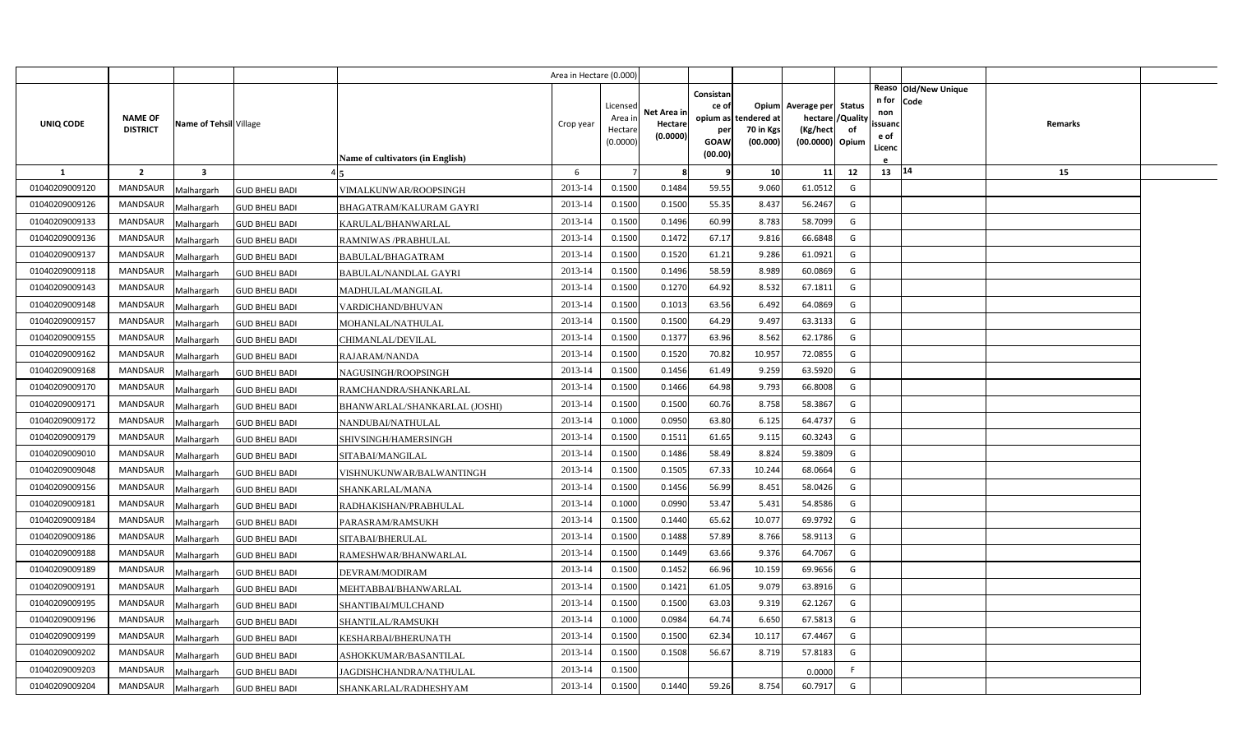|                |                                   |                        |                       |                                         | Area in Hectare (0.000) |                                            |                                    |                                                     |                                               |                                                                    |                |                                          |                              |                |  |
|----------------|-----------------------------------|------------------------|-----------------------|-----------------------------------------|-------------------------|--------------------------------------------|------------------------------------|-----------------------------------------------------|-----------------------------------------------|--------------------------------------------------------------------|----------------|------------------------------------------|------------------------------|----------------|--|
| UNIQ CODE      | <b>NAME OF</b><br><b>DISTRICT</b> | Name of Tehsil Village |                       | <b>Name of cultivators (in English)</b> | Crop year               | Licensed<br>Area in<br>Hectare<br>(0.0000) | Net Area in<br>Hectare<br>(0.0000) | Consistan<br>ce of<br>per<br><b>GOAW</b><br>(00.00) | opium as tendered at<br>70 in Kgs<br>(00.000) | Opium Average per Status<br>hectare<br>(Kg/hect<br>(00.0000) Opium | /Quality<br>of | n for<br>non<br>ssuand<br>e of<br>Licenc | Reaso Old/New Unique<br>Code | <b>Remarks</b> |  |
| <b>1</b>       | $\overline{2}$                    | 3                      |                       |                                         | 6                       |                                            | 8                                  | 9                                                   | 10                                            | 11                                                                 | 12             | 13 14                                    |                              | 15             |  |
| 01040209009120 | <b>MANDSAUR</b>                   | Malhargarh             | <b>GUD BHELI BADI</b> | VIMALKUNWAR/ROOPSINGH                   | 2013-14                 | 0.1500                                     | 0.1484                             | 59.55                                               | 9.060                                         | 61.0512                                                            | G              |                                          |                              |                |  |
| 01040209009126 | <b>MANDSAUR</b>                   | Malhargarh             | <b>GUD BHELI BADI</b> | BHAGATRAM/KALURAM GAYRI                 | 2013-14                 | 0.1500                                     | 0.1500                             | 55.35                                               | 8.437                                         | 56.2467                                                            | G              |                                          |                              |                |  |
| 01040209009133 | <b>MANDSAUR</b>                   | Malhargarh             | <b>GUD BHELI BADI</b> | KARULAL/BHANWARLAL                      | 2013-14                 | 0.1500                                     | 0.1496                             | 60.99                                               | 8.783                                         | 58.7099                                                            | G              |                                          |                              |                |  |
| 01040209009136 | <b>MANDSAUR</b>                   | Malhargarh             | <b>GUD BHELI BADI</b> | RAMNIWAS /PRABHULAL                     | 2013-14                 | 0.1500                                     | 0.1472                             | 67.17                                               | 9.816                                         | 66.6848                                                            | G              |                                          |                              |                |  |
| 01040209009137 | <b>MANDSAUR</b>                   | Malhargarh             | <b>GUD BHELI BADI</b> | BABULAL/BHAGATRAM                       | 2013-14                 | 0.1500                                     | 0.1520                             | 61.21                                               | 9.286                                         | 61.0921                                                            | G              |                                          |                              |                |  |
| 01040209009118 | <b>MANDSAUR</b>                   | Malhargarh             | <b>GUD BHELI BADI</b> | <b>BABULAL/NANDLAL GAYRI</b>            | 2013-14                 | 0.1500                                     | 0.1496                             | 58.59                                               | 8.989                                         | 60.0869                                                            | G              |                                          |                              |                |  |
| 01040209009143 | <b>MANDSAUR</b>                   | Malhargarh             | <b>GUD BHELI BADI</b> | MADHULAL/MANGILAL                       | 2013-14                 | 0.1500                                     | 0.1270                             | 64.92                                               | 8.532                                         | 67.1811                                                            | G              |                                          |                              |                |  |
| 01040209009148 | <b>MANDSAUR</b>                   | Malhargarh             | <b>GUD BHELI BADI</b> | VARDICHAND/BHUVAN                       | 2013-14                 | 0.1500                                     | 0.1013                             | 63.56                                               | 6.492                                         | 64.0869                                                            | G              |                                          |                              |                |  |
| 01040209009157 | <b>MANDSAUR</b>                   | Malhargarh             | <b>GUD BHELI BADI</b> | MOHANLAL/NATHULAL                       | 2013-14                 | 0.1500                                     | 0.1500                             | 64.29                                               | 9.497                                         | 63.3133                                                            | G              |                                          |                              |                |  |
| 01040209009155 | <b>MANDSAUR</b>                   | Malhargarh             | <b>GUD BHELI BADI</b> | CHIMANLAL/DEVILAL                       | 2013-14                 | 0.1500                                     | 0.1377                             | 63.96                                               | 8.562                                         | 62.1786                                                            | G              |                                          |                              |                |  |
| 01040209009162 | <b>MANDSAUR</b>                   | Malhargarh             | <b>GUD BHELI BADI</b> | RAJARAM/NANDA                           | 2013-14                 | 0.1500                                     | 0.1520                             | 70.82                                               | 10.957                                        | 72.0855                                                            | G              |                                          |                              |                |  |
| 01040209009168 | <b>MANDSAUR</b>                   | Malhargarh             | <b>GUD BHELI BADI</b> | NAGUSINGH/ROOPSINGH                     | 2013-14                 | 0.1500                                     | 0.1456                             | 61.49                                               | 9.259                                         | 63.5920                                                            | G              |                                          |                              |                |  |
| 01040209009170 | <b>MANDSAUR</b>                   | Malhargarh             | <b>GUD BHELI BADI</b> | RAMCHANDRA/SHANKARLAL                   | 2013-14                 | 0.1500                                     | 0.1466                             | 64.98                                               | 9.793                                         | 66.8008                                                            | G              |                                          |                              |                |  |
| 01040209009171 | <b>MANDSAUR</b>                   | Malhargarh             | <b>GUD BHELI BADI</b> | BHANWARLAL/SHANKARLAL (JOSHI)           | 2013-14                 | 0.1500                                     | 0.1500                             | 60.76                                               | 8.758                                         | 58.3867                                                            | G              |                                          |                              |                |  |
| 01040209009172 | <b>MANDSAUR</b>                   | Malhargarh             | <b>GUD BHELI BADI</b> | NANDUBAI/NATHULAL                       | 2013-14                 | 0.1000                                     | 0.0950                             | 63.80                                               | 6.125                                         | 64.4737                                                            | G              |                                          |                              |                |  |
| 01040209009179 | <b>MANDSAUR</b>                   | Malhargarh             | <b>GUD BHELI BADI</b> | SHIVSINGH/HAMERSINGH                    | 2013-14                 | 0.1500                                     | 0.1511                             | 61.65                                               | 9.115                                         | 60.3243                                                            | G              |                                          |                              |                |  |
| 01040209009010 | MANDSAUR                          | Malhargarh             | <b>GUD BHELI BADI</b> | SITABAI/MANGILAL                        | 2013-14                 | 0.1500                                     | 0.1486                             | 58.49                                               | 8.824                                         | 59.3809                                                            | G              |                                          |                              |                |  |
| 01040209009048 | <b>MANDSAUR</b>                   | Malhargarh             | <b>GUD BHELI BADI</b> | VISHNUKUNWAR/BALWANTINGH                | 2013-14                 | 0.1500                                     | 0.1505                             | 67.33                                               | 10.244                                        | 68.0664                                                            | G              |                                          |                              |                |  |
| 01040209009156 | <b>MANDSAUR</b>                   | Malhargarh             | <b>GUD BHELI BADI</b> | SHANKARLAL/MANA                         | 2013-14                 | 0.1500                                     | 0.1456                             | 56.99                                               | 8.451                                         | 58.0426                                                            | G              |                                          |                              |                |  |
| 01040209009181 | <b>MANDSAUR</b>                   | Malhargarh             | <b>GUD BHELI BADI</b> | RADHAKISHAN/PRABHULAL                   | 2013-14                 | 0.1000                                     | 0.0990                             | 53.47                                               | 5.431                                         | 54.8586                                                            | G              |                                          |                              |                |  |
| 01040209009184 | <b>MANDSAUR</b>                   | Malhargarh             | <b>GUD BHELI BADI</b> | PARASRAM/RAMSUKH                        | 2013-14                 | 0.1500                                     | 0.1440                             | 65.62                                               | 10.077                                        | 69.9792                                                            | G              |                                          |                              |                |  |
| 01040209009186 | <b>MANDSAUR</b>                   | Malhargarh             | <b>GUD BHELI BADI</b> | SITABAI/BHERULAL                        | 2013-14                 | 0.1500                                     | 0.1488                             | 57.89                                               | 8.766                                         | 58.9113                                                            | G              |                                          |                              |                |  |
| 01040209009188 | <b>MANDSAUR</b>                   | Malhargarh             | <b>GUD BHELI BADI</b> | RAMESHWAR/BHANWARLAL                    | 2013-14                 | 0.1500                                     | 0.1449                             | 63.66                                               | 9.376                                         | 64.7067                                                            | G              |                                          |                              |                |  |
| 01040209009189 | <b>MANDSAUR</b>                   | Malhargarh             | <b>GUD BHELI BADI</b> | DEVRAM/MODIRAM                          | 2013-14                 | 0.1500                                     | 0.1452                             | 66.96                                               | 10.159                                        | 69.9656                                                            | G              |                                          |                              |                |  |
| 01040209009191 | <b>MANDSAUR</b>                   | Malhargarh             | <b>GUD BHELI BADI</b> | MEHTABBAI/BHANWARLAL                    | 2013-14                 | 0.1500                                     | 0.1421                             | 61.05                                               | 9.079                                         | 63.8916                                                            | G              |                                          |                              |                |  |
| 01040209009195 | <b>MANDSAUR</b>                   | Malhargarh             | <b>GUD BHELI BADI</b> | SHANTIBAI/MULCHAND                      | 2013-14                 | 0.1500                                     | 0.1500                             | 63.03                                               | 9.319                                         | 62.1267                                                            | G              |                                          |                              |                |  |
| 01040209009196 | MANDSAUR                          | Malhargarh             | <b>GUD BHELI BADI</b> | SHANTILAL/RAMSUKH                       | 2013-14                 | 0.1000                                     | 0.0984                             | 64.74                                               | 6.650                                         | 67.5813                                                            | G              |                                          |                              |                |  |
| 01040209009199 | MANDSAUR                          | Malhargarh             | <b>GUD BHELI BADI</b> | KESHARBAI/BHERUNATH                     | 2013-14                 | 0.1500                                     | 0.1500                             | 62.34                                               | 10.117                                        | 67.4467                                                            | G              |                                          |                              |                |  |
| 01040209009202 | <b>MANDSAUR</b>                   | Malhargarh             | <b>GUD BHELI BADI</b> | ASHOKKUMAR/BASANTILAL                   | 2013-14                 | 0.1500                                     | 0.1508                             | 56.67                                               | 8.719                                         | 57.8183                                                            | G              |                                          |                              |                |  |
| 01040209009203 | <b>MANDSAUR</b>                   | Malhargarh             | <b>GUD BHELI BADI</b> | JAGDISHCHANDRA/NATHULAL                 | 2013-14                 | 0.1500                                     |                                    |                                                     |                                               | 0.0000                                                             | F              |                                          |                              |                |  |
| 01040209009204 | MANDSAUR                          | Malhargarh             | <b>GUD BHELI BADI</b> | SHANKARLAL/RADHESHYAM                   | 2013-14                 | 0.1500                                     | 0.1440                             | 59.26                                               | 8.754                                         | 60.7917                                                            | G              |                                          |                              |                |  |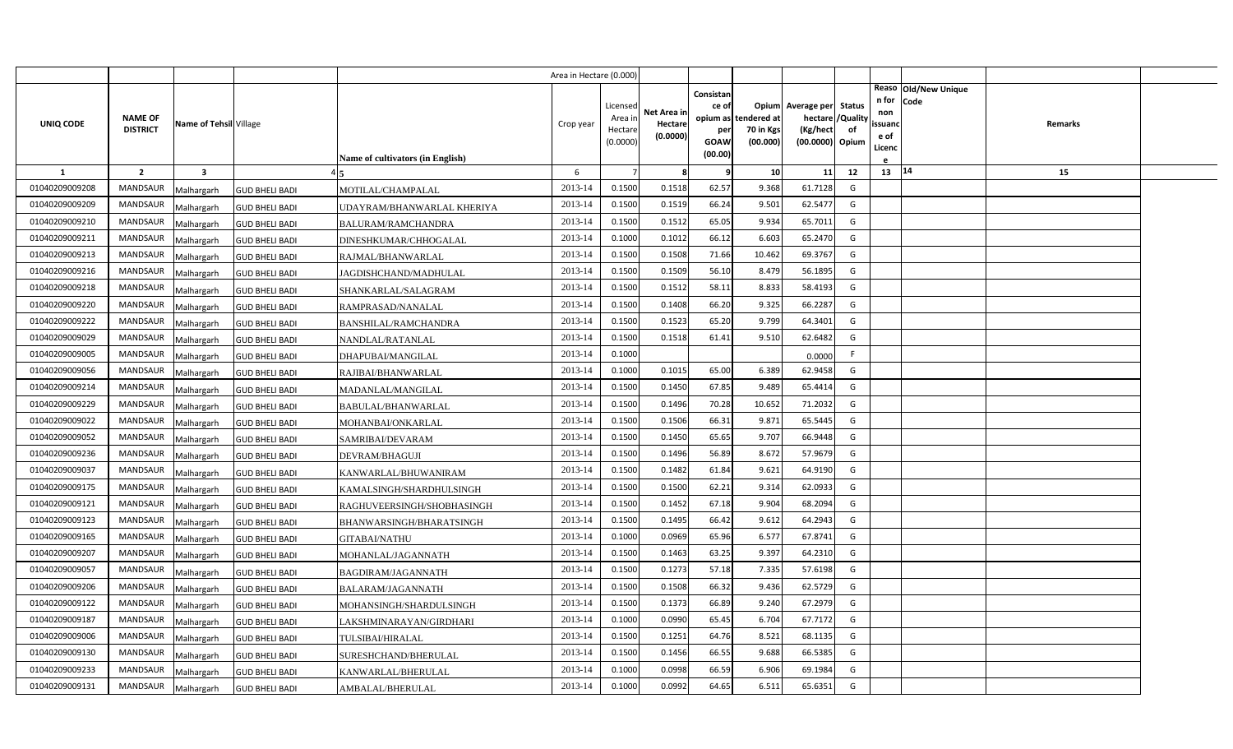|                |                                   |                         |                       |                                  | Area in Hectare (0.000 |                                            |                                    |                                                          |                                      |                                                                       |                     |                                          |                                |         |  |
|----------------|-----------------------------------|-------------------------|-----------------------|----------------------------------|------------------------|--------------------------------------------|------------------------------------|----------------------------------------------------------|--------------------------------------|-----------------------------------------------------------------------|---------------------|------------------------------------------|--------------------------------|---------|--|
| UNIQ CODE      | <b>NAME OF</b><br><b>DISTRICT</b> | Name of Tehsil Village  |                       | Name of cultivators (in English) | Crop year              | Licensed<br>Area in<br>Hectare<br>(0.0000) | Net Area in<br>Hectare<br>(0.0000) | Consistan<br>ce of<br>opium as<br>per<br>GOAW<br>(00.00) | tendered at<br>70 in Kgs<br>(00.000) | Opium Average per<br>hectare / Quality<br>(Kg/hect<br>(00.0000) Opium | <b>Status</b><br>of | n for<br>non<br>ssuand<br>e of<br>Licenc | Reaso   Old/New Unique<br>Code | Remarks |  |
| -1             | $\overline{2}$                    | $\overline{\mathbf{3}}$ |                       |                                  | 6                      |                                            | 8                                  | q                                                        | 10                                   | 11                                                                    | 12                  | 13   14                                  |                                | 15      |  |
| 01040209009208 | MANDSAUR                          | Malhargarh              | <b>GUD BHELI BADI</b> | MOTILAL/CHAMPALAL                | 2013-14                | 0.1500                                     | 0.1518                             | 62.57                                                    | 9.368                                | 61.7128                                                               | G                   |                                          |                                |         |  |
| 01040209009209 | <b>MANDSAUR</b>                   | Malhargarh              | <b>GUD BHELI BADI</b> | UDAYRAM/BHANWARLAL KHERIYA       | 2013-14                | 0.1500                                     | 0.1519                             | 66.24                                                    | 9.502                                | 62.5477                                                               | G                   |                                          |                                |         |  |
| 01040209009210 | <b>MANDSAUR</b>                   | Malhargarh              | <b>GUD BHELI BADI</b> | BALURAM/RAMCHANDRA               | 2013-14                | 0.1500                                     | 0.1512                             | 65.05                                                    | 9.934                                | 65.7011                                                               | G                   |                                          |                                |         |  |
| 01040209009211 | <b>MANDSAUR</b>                   | Malhargarh              | <b>GUD BHELI BADI</b> | DINESHKUMAR/CHHOGALAL            | 2013-14                | 0.1000                                     | 0.1012                             | 66.12                                                    | 6.60                                 | 65.2470                                                               | G                   |                                          |                                |         |  |
| 01040209009213 | <b>MANDSAUR</b>                   | Malhargarh              | <b>GUD BHELI BADI</b> | RAJMAL/BHANWARLAL                | 2013-14                | 0.1500                                     | 0.1508                             | 71.66                                                    | 10.462                               | 69.3767                                                               | G                   |                                          |                                |         |  |
| 01040209009216 | <b>MANDSAUR</b>                   | Malhargarh              | <b>GUD BHELI BADI</b> | JAGDISHCHAND/MADHULAL            | 2013-14                | 0.1500                                     | 0.1509                             | 56.10                                                    | 8.479                                | 56.1895                                                               | G                   |                                          |                                |         |  |
| 01040209009218 | <b>MANDSAUR</b>                   | Malhargarh              | <b>GUD BHELI BADI</b> | SHANKARLAL/SALAGRAM              | 2013-14                | 0.1500                                     | 0.1512                             | 58.11                                                    | 8.833                                | 58.4193                                                               | G                   |                                          |                                |         |  |
| 01040209009220 | <b>MANDSAUR</b>                   | Malhargarh              | <b>GUD BHELI BADI</b> | RAMPRASAD/NANALAL                | 2013-14                | 0.1500                                     | 0.1408                             | 66.20                                                    | 9.325                                | 66.2287                                                               | G                   |                                          |                                |         |  |
| 01040209009222 | <b>MANDSAUR</b>                   | Malhargarh              | <b>GUD BHELI BADI</b> | BANSHILAL/RAMCHANDRA             | 2013-14                | 0.1500                                     | 0.1523                             | 65.20                                                    | 9.799                                | 64.3401                                                               | G                   |                                          |                                |         |  |
| 01040209009029 | <b>MANDSAUR</b>                   | Malhargarh              | <b>GUD BHELI BADI</b> | NANDLAL/RATANLAL                 | 2013-14                | 0.1500                                     | 0.1518                             | 61.41                                                    | 9.510                                | 62.6482                                                               | G                   |                                          |                                |         |  |
| 01040209009005 | <b>MANDSAUR</b>                   | Malhargarh              | <b>GUD BHELI BADI</b> | DHAPUBAI/MANGILAL                | 2013-14                | 0.1000                                     |                                    |                                                          |                                      | 0.0000                                                                | F.                  |                                          |                                |         |  |
| 01040209009056 | MANDSAUR                          | Malhargarh              | <b>GUD BHELI BADI</b> | RAJIBAI/BHANWARLAL               | 2013-14                | 0.1000                                     | 0.1015                             | 65.00                                                    | 6.389                                | 62.9458                                                               | G                   |                                          |                                |         |  |
| 01040209009214 | <b>MANDSAUR</b>                   | Malhargarh              | <b>GUD BHELI BADI</b> | MADANLAL/MANGILAL                | 2013-14                | 0.1500                                     | 0.1450                             | 67.85                                                    | 9.489                                | 65.4414                                                               | G                   |                                          |                                |         |  |
| 01040209009229 | MANDSAUR                          | Malhargarh              | <b>GUD BHELI BADI</b> | BABULAL/BHANWARLAL               | 2013-14                | 0.1500                                     | 0.1496                             | 70.28                                                    | 10.652                               | 71.2032                                                               | G                   |                                          |                                |         |  |
| 01040209009022 | <b>MANDSAUR</b>                   | Malhargarh              | <b>GUD BHELI BADI</b> | MOHANBAI/ONKARLAL                | 2013-14                | 0.1500                                     | 0.1506                             | 66.31                                                    | 9.87                                 | 65.5445                                                               | G                   |                                          |                                |         |  |
| 01040209009052 | MANDSAUR                          | Malhargarh              | <b>GUD BHELI BADI</b> | SAMRIBAI/DEVARAM                 | 2013-14                | 0.1500                                     | 0.1450                             | 65.65                                                    | 9.707                                | 66.9448                                                               | G                   |                                          |                                |         |  |
| 01040209009236 | <b>MANDSAUR</b>                   | Malhargarh              | <b>GUD BHELI BADI</b> | DEVRAM/BHAGUJI                   | 2013-14                | 0.1500                                     | 0.1496                             | 56.89                                                    | 8.672                                | 57.9679                                                               | G                   |                                          |                                |         |  |
| 01040209009037 | MANDSAUR                          | Malhargarh              | <b>GUD BHELI BADI</b> | KANWARLAL/BHUWANIRAM             | 2013-14                | 0.1500                                     | 0.1482                             | 61.84                                                    | 9.621                                | 64.9190                                                               | G                   |                                          |                                |         |  |
| 01040209009175 | <b>MANDSAUR</b>                   | Malhargarh              | <b>GUD BHELI BADI</b> | KAMALSINGH/SHARDHULSINGH         | 2013-14                | 0.1500                                     | 0.1500                             | 62.21                                                    | 9.314                                | 62.0933                                                               | G                   |                                          |                                |         |  |
| 01040209009121 | <b>MANDSAUR</b>                   | Malhargarh              | <b>GUD BHELI BADI</b> | RAGHUVEERSINGH/SHOBHASINGH       | 2013-14                | 0.1500                                     | 0.1452                             | 67.18                                                    | 9.904                                | 68.2094                                                               | G                   |                                          |                                |         |  |
| 01040209009123 | <b>MANDSAUR</b>                   | Malhargarh              | <b>GUD BHELI BADI</b> | BHANWARSINGH/BHARATSINGH         | 2013-14                | 0.1500                                     | 0.1495                             | 66.42                                                    | 9.612                                | 64.2943                                                               | G                   |                                          |                                |         |  |
| 01040209009165 | <b>MANDSAUR</b>                   | Malhargarh              | <b>GUD BHELI BADI</b> | GITABAI/NATHU                    | 2013-14                | 0.1000                                     | 0.0969                             | 65.96                                                    | 6.577                                | 67.8741                                                               | G                   |                                          |                                |         |  |
| 01040209009207 | <b>MANDSAUR</b>                   | Malhargarh              | <b>GUD BHELI BADI</b> | MOHANLAL/JAGANNATH               | 2013-14                | 0.1500                                     | 0.1463                             | 63.25                                                    | 9.397                                | 64.2310                                                               | G                   |                                          |                                |         |  |
| 01040209009057 | <b>MANDSAUR</b>                   | Malhargarh              | <b>GUD BHELI BADI</b> | BAGDIRAM/JAGANNATH               | 2013-14                | 0.1500                                     | 0.1273                             | 57.18                                                    | 7.335                                | 57.6198                                                               | G                   |                                          |                                |         |  |
| 01040209009206 | <b>MANDSAUR</b>                   | Malhargarh              | <b>GUD BHELI BADI</b> | BALARAM/JAGANNATH                | 2013-14                | 0.1500                                     | 0.1508                             | 66.32                                                    | 9.436                                | 62.5729                                                               | G                   |                                          |                                |         |  |
| 01040209009122 | <b>MANDSAUR</b>                   | Malhargarh              | <b>GUD BHELI BADI</b> | MOHANSINGH/SHARDULSINGH          | 2013-14                | 0.1500                                     | 0.1373                             | 66.89                                                    | 9.240                                | 67.2979                                                               | G                   |                                          |                                |         |  |
| 01040209009187 | <b>MANDSAUR</b>                   | Malhargarh              | <b>GUD BHELI BADI</b> | LAKSHMINARAYAN/GIRDHARI          | 2013-14                | 0.1000                                     | 0.0990                             | 65.45                                                    | 6.704                                | 67.7172                                                               | G                   |                                          |                                |         |  |
| 01040209009006 | <b>MANDSAUR</b>                   | Malhargarh              | <b>GUD BHELI BADI</b> | <b>TULSIBAI/HIRALAL</b>          | 2013-14                | 0.1500                                     | 0.1251                             | 64.76                                                    | 8.521                                | 68.1135                                                               | G                   |                                          |                                |         |  |
| 01040209009130 | <b>MANDSAUR</b>                   | Malhargarh              | <b>GUD BHELI BADI</b> | SURESHCHAND/BHERULAL             | 2013-14                | 0.1500                                     | 0.1456                             | 66.55                                                    | 9.688                                | 66.5385                                                               | G                   |                                          |                                |         |  |
| 01040209009233 | <b>MANDSAUR</b>                   | Malhargarh              | <b>GUD BHELI BADI</b> | KANWARLAL/BHERULAL               | 2013-14                | 0.1000                                     | 0.0998                             | 66.59                                                    | 6.906                                | 69.1984                                                               | G                   |                                          |                                |         |  |
| 01040209009131 | MANDSAUR                          | Malhargarh              | <b>GUD BHELI BADI</b> | AMBALAL/BHERULAL                 | 2013-14                | 0.1000                                     | 0.0992                             | 64.65                                                    | 6.511                                | 65.6351                                                               | G                   |                                          |                                |         |  |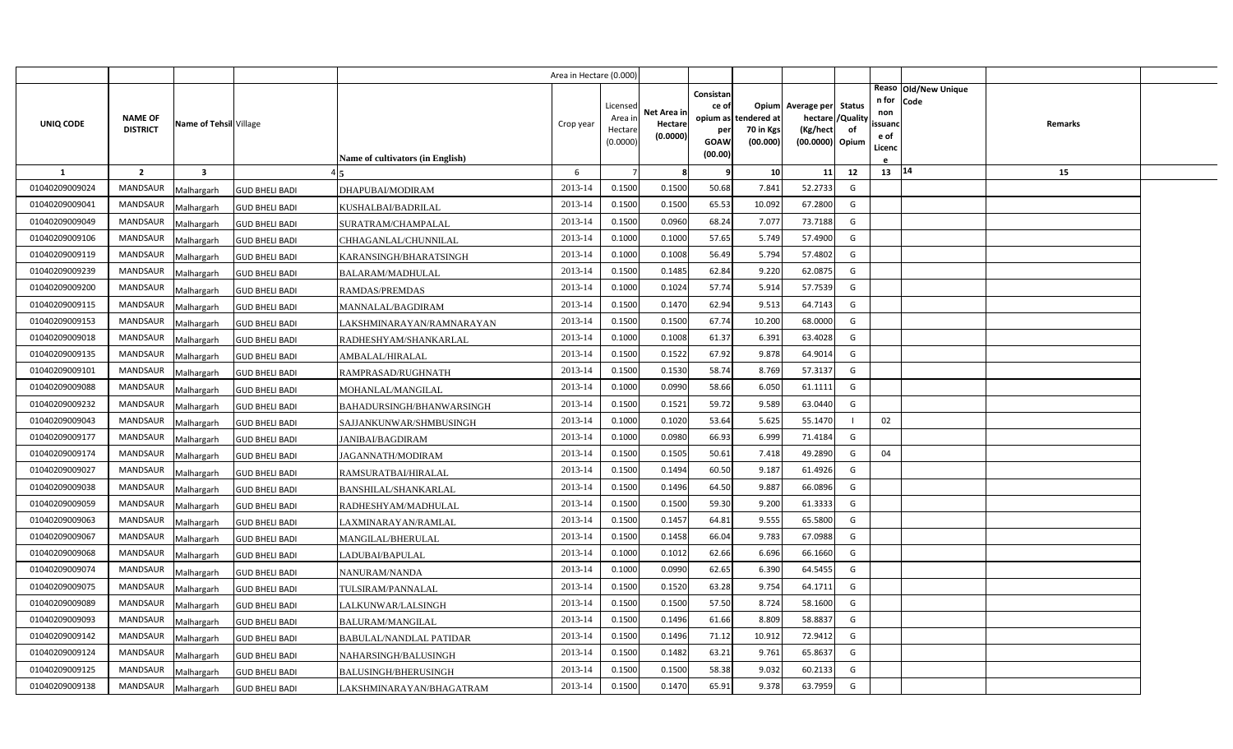|                |                 |                        |                       |                                  | Area in Hectare (0.000 |                     |                     |                 |                      |                          |                   |                |                              |                |  |
|----------------|-----------------|------------------------|-----------------------|----------------------------------|------------------------|---------------------|---------------------|-----------------|----------------------|--------------------------|-------------------|----------------|------------------------------|----------------|--|
|                |                 |                        |                       |                                  |                        |                     |                     | Consistan       |                      |                          |                   | n for          | Reaso Old/New Unique<br>Code |                |  |
|                | <b>NAME OF</b>  |                        |                       |                                  |                        | Licensed<br>Area in | Net Area in         | ce of           | opium as tendered at | Opium Average per Status | hectare / Quality | non            |                              | <b>Remarks</b> |  |
| UNIQ CODE      | <b>DISTRICT</b> | Name of Tehsil Village |                       |                                  | Crop year              | Hectare             | Hectare<br>(0.0000) | per             | 70 in Kgs            | (Kg/hect                 | of                | ssuanc<br>e of |                              |                |  |
|                |                 |                        |                       |                                  |                        | (0.0000)            |                     | GOAW<br>(00.00) | (00.000)             | (00.0000) Opium          |                   | Licenc         |                              |                |  |
| <b>1</b>       | $\overline{2}$  | 3                      |                       | Name of cultivators (in English) | 6                      |                     | 8                   | q               | 10                   | 11                       | 12                | 13   14        |                              | 15             |  |
| 01040209009024 | <b>MANDSAUR</b> | Malhargarh             | <b>GUD BHELI BADI</b> | DHAPUBAI/MODIRAM                 | 2013-14                | 0.1500              | 0.1500              | 50.68           | 7.841                | 52.2733                  | G                 |                |                              |                |  |
| 01040209009041 | <b>MANDSAUR</b> | Malhargarh             | <b>GUD BHELI BADI</b> | KUSHALBAI/BADRILAL               | 2013-14                | 0.1500              | 0.1500              | 65.53           | 10.092               | 67.2800                  | G                 |                |                              |                |  |
| 01040209009049 | <b>MANDSAUR</b> | Malhargarh             | <b>GUD BHELI BADI</b> | SURATRAM/CHAMPALAL               | 2013-14                | 0.1500              | 0.0960              | 68.24           | 7.077                | 73.7188                  | G                 |                |                              |                |  |
| 01040209009106 | <b>MANDSAUR</b> | Malhargarh             | <b>GUD BHELI BADI</b> | CHHAGANLAL/CHUNNILAL             | 2013-14                | 0.1000              | 0.1000              | 57.65           | 5.749                | 57.4900                  | G                 |                |                              |                |  |
| 01040209009119 | <b>MANDSAUR</b> | Malhargarh             | <b>GUD BHELI BADI</b> | KARANSINGH/BHARATSINGH           | 2013-14                | 0.1000              | 0.1008              | 56.49           | 5.794                | 57.4802                  | G                 |                |                              |                |  |
| 01040209009239 | <b>MANDSAUR</b> | Malhargarh             | <b>GUD BHELI BADI</b> | BALARAM/MADHULAL                 | 2013-14                | 0.1500              | 0.1485              | 62.84           | 9.220                | 62.0875                  | G                 |                |                              |                |  |
| 01040209009200 | <b>MANDSAUR</b> | Malhargarh             | <b>GUD BHELI BADI</b> | RAMDAS/PREMDAS                   | 2013-14                | 0.1000              | 0.1024              | 57.74           | 5.914                | 57.7539                  | G                 |                |                              |                |  |
| 01040209009115 | <b>MANDSAUR</b> | Malhargarh             | <b>GUD BHELI BADI</b> | MANNALAL/BAGDIRAM                | 2013-14                | 0.1500              | 0.1470              | 62.94           | 9.513                | 64.7143                  | G                 |                |                              |                |  |
| 01040209009153 | <b>MANDSAUR</b> | Malhargarh             | <b>GUD BHELI BADI</b> | LAKSHMINARAYAN/RAMNARAYAN        | 2013-14                | 0.1500              | 0.1500              | 67.74           | 10.200               | 68.0000                  | G                 |                |                              |                |  |
| 01040209009018 | <b>MANDSAUR</b> | Malhargarh             | <b>GUD BHELI BADI</b> | RADHESHYAM/SHANKARLAL            | 2013-14                | 0.1000              | 0.1008              | 61.37           | 6.391                | 63.4028                  | G                 |                |                              |                |  |
| 01040209009135 | <b>MANDSAUR</b> | Malhargarh             | <b>GUD BHELI BADI</b> | AMBALAL/HIRALAL                  | 2013-14                | 0.1500              | 0.1522              | 67.92           | 9.878                | 64.9014                  | G                 |                |                              |                |  |
| 01040209009101 | MANDSAUR        | Malhargarh             | <b>GUD BHELI BADI</b> | RAMPRASAD/RUGHNATH               | 2013-14                | 0.1500              | 0.1530              | 58.74           | 8.769                | 57.3137                  | G                 |                |                              |                |  |
| 01040209009088 | <b>MANDSAUR</b> | Malhargarh             | <b>GUD BHELI BADI</b> | MOHANLAL/MANGILAL                | 2013-14                | 0.1000              | 0.0990              | 58.66           | 6.050                | 61.1111                  | G                 |                |                              |                |  |
| 01040209009232 | MANDSAUR        | Malhargarh             | <b>GUD BHELI BADI</b> | BAHADURSINGH/BHANWARSINGH        | 2013-14                | 0.1500              | 0.1521              | 59.72           | 9.589                | 63.0440                  | G                 |                |                              |                |  |
| 01040209009043 | <b>MANDSAUR</b> | Malhargarh             | <b>GUD BHELI BADI</b> | SAJJANKUNWAR/SHMBUSINGH          | 2013-14                | 0.1000              | 0.1020              | 53.64           | 5.625                | 55.1470                  |                   | 02             |                              |                |  |
| 01040209009177 | MANDSAUR        | Malhargarh             | <b>GUD BHELI BADI</b> | JANIBAI/BAGDIRAM                 | 2013-14                | 0.1000              | 0.0980              | 66.93           | 6.999                | 71.4184                  | G                 |                |                              |                |  |
| 01040209009174 | MANDSAUR        | Malhargarh             | <b>GUD BHELI BADI</b> | JAGANNATH/MODIRAM                | 2013-14                | 0.1500              | 0.1505              | 50.61           | 7.418                | 49.2890                  | G                 | 04             |                              |                |  |
| 01040209009027 | MANDSAUR        | Malhargarh             | <b>GUD BHELI BADI</b> | RAMSURATBAI/HIRALAL              | 2013-14                | 0.1500              | 0.1494              | 60.50           | 9.187                | 61.4926                  | G                 |                |                              |                |  |
| 01040209009038 | <b>MANDSAUR</b> | Malhargarh             | <b>GUD BHELI BADI</b> | BANSHILAL/SHANKARLAL             | 2013-14                | 0.1500              | 0.1496              | 64.50           | 9.887                | 66.0896                  | G                 |                |                              |                |  |
| 01040209009059 | <b>MANDSAUR</b> | Malhargarh             | <b>GUD BHELI BADI</b> | RADHESHYAM/MADHULAL              | 2013-14                | 0.1500              | 0.1500              | 59.30           | 9.200                | 61.3333                  | G                 |                |                              |                |  |
| 01040209009063 | <b>MANDSAUR</b> | Malhargarh             | <b>GUD BHELI BADI</b> | LAXMINARAYAN/RAMLAL              | 2013-14                | 0.1500              | 0.1457              | 64.81           | 9.555                | 65.5800                  | G                 |                |                              |                |  |
| 01040209009067 | <b>MANDSAUR</b> | Malhargarh             | <b>GUD BHELI BADI</b> | MANGILAL/BHERULAL                | 2013-14                | 0.1500              | 0.1458              | 66.04           | 9.783                | 67.0988                  | G                 |                |                              |                |  |
| 01040209009068 | <b>MANDSAUR</b> | Malhargarh             | <b>GUD BHELI BADI</b> | LADUBAI/BAPULAL                  | 2013-14                | 0.1000              | 0.1012              | 62.66           | 6.696                | 66.1660                  | G                 |                |                              |                |  |
| 01040209009074 | <b>MANDSAUR</b> | Malhargarh             | <b>GUD BHELI BADI</b> | NANURAM/NANDA                    | 2013-14                | 0.1000              | 0.0990              | 62.65           | 6.390                | 64.5455                  | G                 |                |                              |                |  |
| 01040209009075 | <b>MANDSAUR</b> | Malhargarh             | <b>GUD BHELI BADI</b> | TULSIRAM/PANNALAL                | 2013-14                | 0.1500              | 0.1520              | 63.28           | 9.754                | 64.1711                  | G                 |                |                              |                |  |
| 01040209009089 | <b>MANDSAUR</b> | Malhargarh             | <b>GUD BHELI BADI</b> | LALKUNWAR/LALSINGH               | 2013-14                | 0.1500              | 0.1500              | 57.50           | 8.724                | 58.1600                  | G                 |                |                              |                |  |
| 01040209009093 | <b>MANDSAUR</b> | Malhargarh             | <b>GUD BHELI BADI</b> | BALURAM/MANGILAL                 | 2013-14                | 0.1500              | 0.1496              | 61.66           | 8.809                | 58.8837                  | G                 |                |                              |                |  |
| 01040209009142 | <b>MANDSAUR</b> | Malhargarh             | <b>GUD BHELI BADI</b> | BABULAL/NANDLAL PATIDAR          | 2013-14                | 0.1500              | 0.1496              | 71.12           | 10.912               | 72.9412                  | G                 |                |                              |                |  |
| 01040209009124 | <b>MANDSAUR</b> | Malhargarh             | <b>GUD BHELI BADI</b> | NAHARSINGH/BALUSINGH             | 2013-14                | 0.1500              | 0.1482              | 63.21           | 9.761                | 65.8637                  | G                 |                |                              |                |  |
| 01040209009125 | <b>MANDSAUR</b> | Malhargarh             | <b>GUD BHELI BADI</b> | <b>BALUSINGH/BHERUSINGH</b>      | 2013-14                | 0.1500              | 0.1500              | 58.38           | 9.032                | 60.2133                  | G                 |                |                              |                |  |
| 01040209009138 | MANDSAUR        | Malhargarh             | <b>GUD BHELI BADI</b> | LAKSHMINARAYAN/BHAGATRAM         | 2013-14                | 0.1500              | 0.1470              | 65.91           | 9.378                | 63.7959                  | G                 |                |                              |                |  |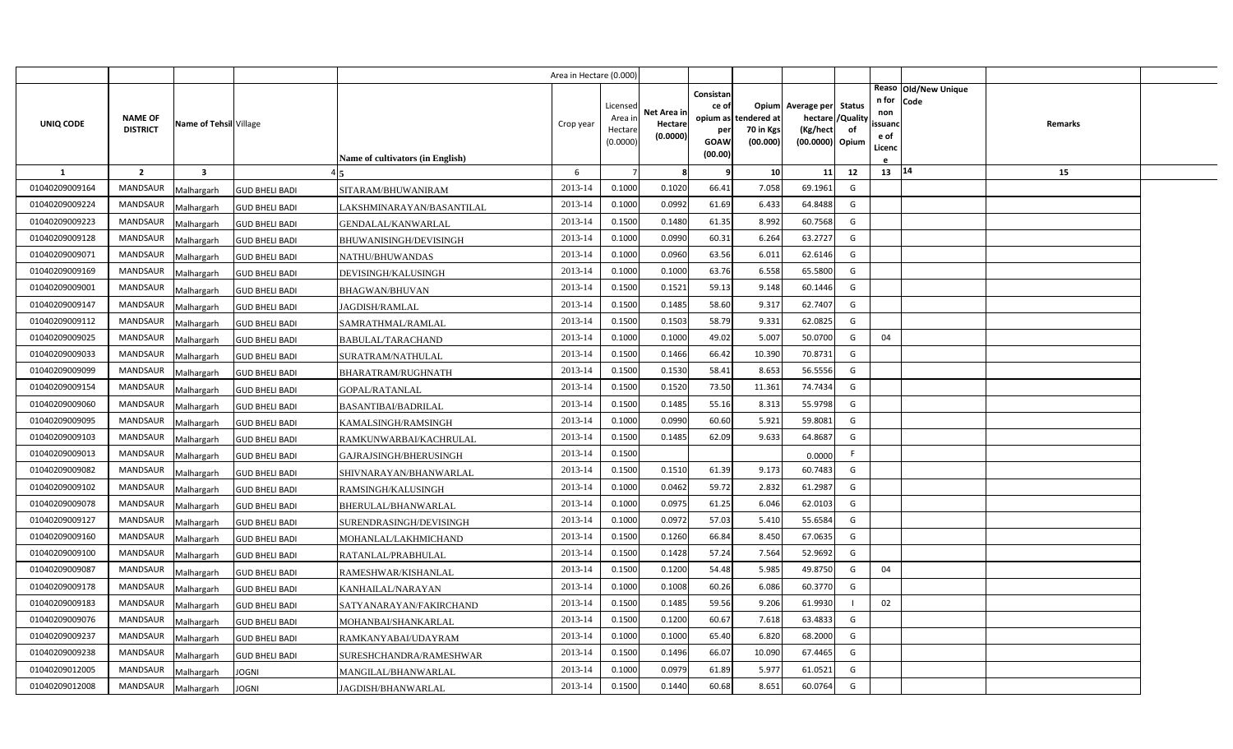|                |                                   |                         |                       |                                  | Area in Hectare (0.000) |                                            |                                    |                                                     |                                               |                                                                    |                |                                          |                              |         |  |
|----------------|-----------------------------------|-------------------------|-----------------------|----------------------------------|-------------------------|--------------------------------------------|------------------------------------|-----------------------------------------------------|-----------------------------------------------|--------------------------------------------------------------------|----------------|------------------------------------------|------------------------------|---------|--|
| UNIQ CODE      | <b>NAME OF</b><br><b>DISTRICT</b> | Name of Tehsil Village  |                       | Name of cultivators (in English) | Crop year               | Licensed<br>Area in<br>Hectare<br>(0.0000) | Net Area in<br>Hectare<br>(0.0000) | Consistan<br>ce of<br>per<br><b>GOAW</b><br>(00.00) | opium as tendered at<br>70 in Kgs<br>(00.000) | Opium Average per Status<br>hectare<br>(Kg/hect<br>(00.0000) Opium | /Quality<br>of | n for<br>non<br>ssuand<br>e of<br>Licenc | Reaso Old/New Unique<br>Code | Remarks |  |
| $\mathbf{1}$   | $\overline{2}$                    | $\overline{\mathbf{3}}$ |                       |                                  | 6                       |                                            | 8                                  | q                                                   | 10                                            | 11                                                                 | 12             | 13   14                                  |                              | 15      |  |
| 01040209009164 | MANDSAUR                          | Malhargarh              | <b>GUD BHELI BADI</b> | SITARAM/BHUWANIRAM               | 2013-14                 | 0.1000                                     | 0.1020                             | 66.41                                               | 7.058                                         | 69.1961                                                            | G              |                                          |                              |         |  |
| 01040209009224 | <b>MANDSAUR</b>                   | Malhargarh              | <b>GUD BHELI BADI</b> | LAKSHMINARAYAN/BASANTILAL        | 2013-14                 | 0.1000                                     | 0.0992                             | 61.69                                               | 6.433                                         | 64.8488                                                            | G              |                                          |                              |         |  |
| 01040209009223 | <b>MANDSAUR</b>                   | Malhargarh              | <b>GUD BHELI BADI</b> | GENDALAL/KANWARLAL               | 2013-14                 | 0.1500                                     | 0.1480                             | 61.35                                               | 8.992                                         | 60.7568                                                            | G              |                                          |                              |         |  |
| 01040209009128 | <b>MANDSAUR</b>                   | Malhargarh              | <b>GUD BHELI BADI</b> | BHUWANISINGH/DEVISINGH           | 2013-14                 | 0.1000                                     | 0.0990                             | 60.31                                               | 6.264                                         | 63.2727                                                            | G              |                                          |                              |         |  |
| 01040209009071 | <b>MANDSAUR</b>                   | Malhargarh              | <b>GUD BHELI BADI</b> | NATHU/BHUWANDAS                  | 2013-14                 | 0.1000                                     | 0.0960                             | 63.56                                               | 6.011                                         | 62.6146                                                            | G              |                                          |                              |         |  |
| 01040209009169 | <b>MANDSAUR</b>                   | Malhargarh              | <b>GUD BHELI BADI</b> | DEVISINGH/KALUSINGH              | 2013-14                 | 0.1000                                     | 0.1000                             | 63.76                                               | 6.558                                         | 65.5800                                                            | G              |                                          |                              |         |  |
| 01040209009001 | <b>MANDSAUR</b>                   | Malhargarh              | <b>GUD BHELI BADI</b> | <b>BHAGWAN/BHUVAN</b>            | 2013-14                 | 0.1500                                     | 0.1521                             | 59.13                                               | 9.148                                         | 60.1446                                                            | G              |                                          |                              |         |  |
| 01040209009147 | <b>MANDSAUR</b>                   | Malhargarh              | <b>GUD BHELI BADI</b> | JAGDISH/RAMLAL                   | 2013-14                 | 0.1500                                     | 0.1485                             | 58.60                                               | 9.317                                         | 62.7407                                                            | G              |                                          |                              |         |  |
| 01040209009112 | <b>MANDSAUR</b>                   | Malhargarh              | <b>GUD BHELI BADI</b> | SAMRATHMAL/RAMLAL                | 2013-14                 | 0.1500                                     | 0.1503                             | 58.79                                               | 9.331                                         | 62.0825                                                            | G              |                                          |                              |         |  |
| 01040209009025 | <b>MANDSAUR</b>                   | Malhargarh              | <b>GUD BHELI BADI</b> | <b>BABULAL/TARACHAND</b>         | 2013-14                 | 0.1000                                     | 0.1000                             | 49.02                                               | 5.007                                         | 50.0700                                                            | G              | 04                                       |                              |         |  |
| 01040209009033 | <b>MANDSAUR</b>                   | Malhargarh              | <b>GUD BHELI BADI</b> | SURATRAM/NATHULAL                | 2013-14                 | 0.1500                                     | 0.1466                             | 66.42                                               | 10.390                                        | 70.8731                                                            | G              |                                          |                              |         |  |
| 01040209009099 | <b>MANDSAUR</b>                   | Malhargarh              | <b>GUD BHELI BADI</b> | BHARATRAM/RUGHNATH               | 2013-14                 | 0.1500                                     | 0.1530                             | 58.41                                               | 8.653                                         | 56.5556                                                            | G              |                                          |                              |         |  |
| 01040209009154 | <b>MANDSAUR</b>                   | Malhargarh              | <b>GUD BHELI BADI</b> | GOPAL/RATANLAL                   | 2013-14                 | 0.1500                                     | 0.1520                             | 73.50                                               | 11.361                                        | 74.7434                                                            | G              |                                          |                              |         |  |
| 01040209009060 | <b>MANDSAUR</b>                   | Malhargarh              | <b>GUD BHELI BADI</b> | <b>BASANTIBAI/BADRILAL</b>       | 2013-14                 | 0.1500                                     | 0.1485                             | 55.16                                               | 8.313                                         | 55.9798                                                            | G              |                                          |                              |         |  |
| 01040209009095 | <b>MANDSAUR</b>                   | Malhargarh              | <b>GUD BHELI BADI</b> | KAMALSINGH/RAMSINGH              | 2013-14                 | 0.1000                                     | 0.0990                             | 60.60                                               | 5.921                                         | 59.8081                                                            | G              |                                          |                              |         |  |
| 01040209009103 | <b>MANDSAUR</b>                   | Malhargarh              | <b>GUD BHELI BADI</b> | RAMKUNWARBAI/KACHRULAL           | 2013-14                 | 0.1500                                     | 0.1485                             | 62.09                                               | 9.633                                         | 64.8687                                                            | G              |                                          |                              |         |  |
| 01040209009013 | <b>MANDSAUR</b>                   | Malhargarh              | <b>GUD BHELI BADI</b> | GAJRAJSINGH/BHERUSINGH           | 2013-14                 | 0.1500                                     |                                    |                                                     |                                               | 0.0000                                                             | F.             |                                          |                              |         |  |
| 01040209009082 | <b>MANDSAUR</b>                   | Malhargarh              | <b>GUD BHELI BADI</b> | SHIVNARAYAN/BHANWARLAL           | 2013-14                 | 0.1500                                     | 0.1510                             | 61.39                                               | 9.173                                         | 60.7483                                                            | G              |                                          |                              |         |  |
| 01040209009102 | MANDSAUR                          | Malhargarh              | <b>GUD BHELI BADI</b> | RAMSINGH/KALUSINGH               | 2013-14                 | 0.1000                                     | 0.0462                             | 59.72                                               | 2.832                                         | 61.2987                                                            | G              |                                          |                              |         |  |
| 01040209009078 | <b>MANDSAUR</b>                   | Malhargarh              | <b>GUD BHELI BADI</b> | BHERULAL/BHANWARLAL              | 2013-14                 | 0.1000                                     | 0.0975                             | 61.25                                               | 6.046                                         | 62.0103                                                            | G              |                                          |                              |         |  |
| 01040209009127 | MANDSAUR                          | Malhargarh              | <b>GUD BHELI BADI</b> | SURENDRASINGH/DEVISINGH          | 2013-14                 | 0.1000                                     | 0.0972                             | 57.03                                               | 5.410                                         | 55.6584                                                            | G              |                                          |                              |         |  |
| 01040209009160 | <b>MANDSAUR</b>                   | Malhargarh              | <b>GUD BHELI BADI</b> | MOHANLAL/LAKHMICHAND             | 2013-14                 | 0.1500                                     | 0.1260                             | 66.84                                               | 8.450                                         | 67.0635                                                            | G              |                                          |                              |         |  |
| 01040209009100 | <b>MANDSAUR</b>                   | Malhargarh              | <b>GUD BHELI BADI</b> | RATANLAL/PRABHULAL               | 2013-14                 | 0.1500                                     | 0.1428                             | 57.24                                               | 7.564                                         | 52.9692                                                            | G              |                                          |                              |         |  |
| 01040209009087 | <b>MANDSAUR</b>                   | Malhargarh              | <b>GUD BHELI BADI</b> | RAMESHWAR/KISHANLAL              | 2013-14                 | 0.1500                                     | 0.1200                             | 54.48                                               | 5.985                                         | 49.8750                                                            | G              | 04                                       |                              |         |  |
| 01040209009178 | <b>MANDSAUR</b>                   | Malhargarh              | <b>GUD BHELI BADI</b> | KANHAILAL/NARAYAN                | 2013-14                 | 0.1000                                     | 0.1008                             | 60.26                                               | 6.086                                         | 60.3770                                                            | G              |                                          |                              |         |  |
| 01040209009183 | <b>MANDSAUR</b>                   | Malhargarh              | <b>GUD BHELI BADI</b> | SATYANARAYAN/FAKIRCHAND          | 2013-14                 | 0.1500                                     | 0.1485                             | 59.56                                               | 9.206                                         | 61.9930                                                            |                | 02                                       |                              |         |  |
| 01040209009076 | <b>MANDSAUR</b>                   | Malhargarh              | <b>GUD BHELI BADI</b> | MOHANBAI/SHANKARLAL              | 2013-14                 | 0.1500                                     | 0.1200                             | 60.67                                               | 7.618                                         | 63.4833                                                            | G              |                                          |                              |         |  |
| 01040209009237 | <b>MANDSAUR</b>                   | Malhargarh              | <b>GUD BHELI BADI</b> | RAMKANYABAI/UDAYRAM              | 2013-14                 | 0.1000                                     | 0.1000                             | 65.40                                               | 6.820                                         | 68.2000                                                            | G              |                                          |                              |         |  |
| 01040209009238 | <b>MANDSAUR</b>                   | Malhargarh              | <b>GUD BHELI BADI</b> | SURESHCHANDRA/RAMESHWAR          | 2013-14                 | 0.1500                                     | 0.1496                             | 66.07                                               | 10.090                                        | 67.4465                                                            | G              |                                          |                              |         |  |
| 01040209012005 | <b>MANDSAUR</b>                   | Malhargarh              | <b>JOGNI</b>          | MANGILAL/BHANWARLAL              | 2013-14                 | 0.1000                                     | 0.0979                             | 61.89                                               | 5.977                                         | 61.0521                                                            | G              |                                          |                              |         |  |
| 01040209012008 | MANDSAUR                          | Malhargarh              | <b>JOGNI</b>          | JAGDISH/BHANWARLAL               | 2013-14                 | 0.1500                                     | 0.1440                             | 60.68                                               | 8.651                                         | 60.0764                                                            | G              |                                          |                              |         |  |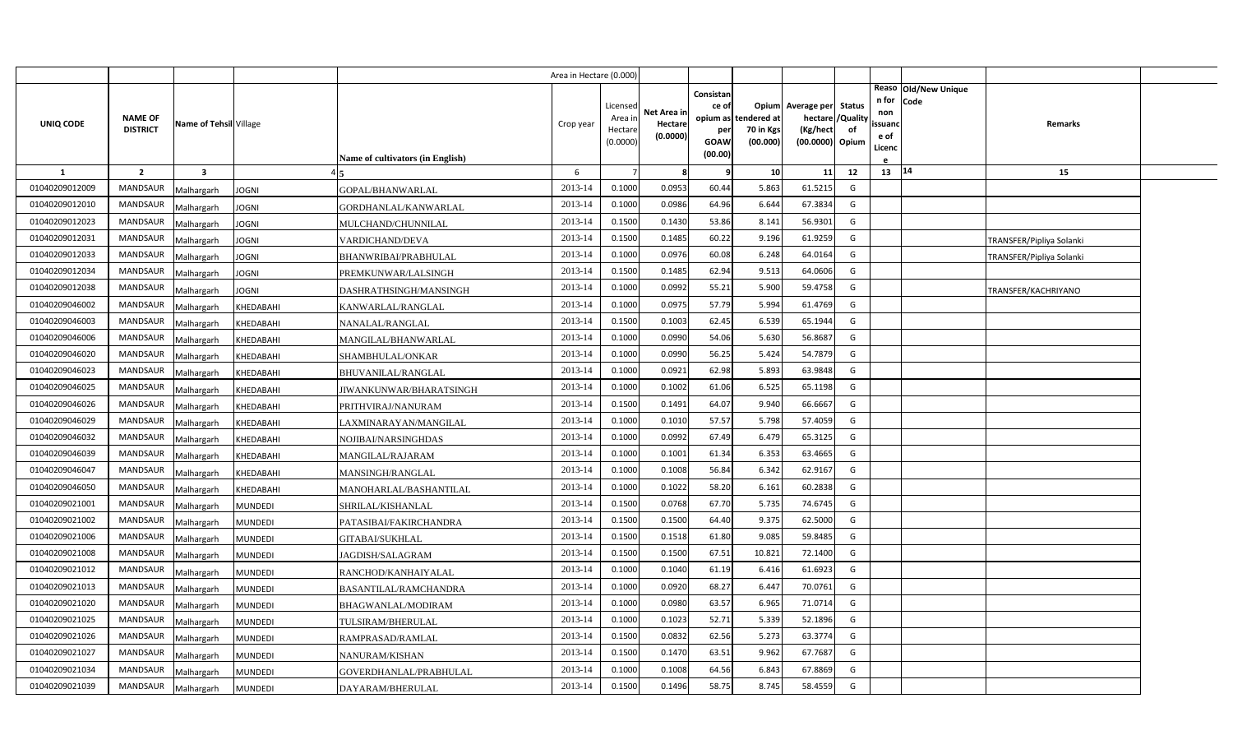|                |                                   |                        |                |                                  | Area in Hectare (0.000) |                                            |                                    |                                                          |                                    |                                                          |                         |                                          |                              |                          |  |
|----------------|-----------------------------------|------------------------|----------------|----------------------------------|-------------------------|--------------------------------------------|------------------------------------|----------------------------------------------------------|------------------------------------|----------------------------------------------------------|-------------------------|------------------------------------------|------------------------------|--------------------------|--|
| UNIQ CODE      | <b>NAME OF</b><br><b>DISTRICT</b> | Name of Tehsil Village |                | Name of cultivators (in English) | Crop year               | Licensed<br>Area ir<br>Hectare<br>(0.0000) | Net Area in<br>Hectare<br>(0.0000) | Consistan<br>ce of<br>opium as<br>per<br>GOAW<br>(00.00) | าdered at<br>70 in Kgs<br>(00.000) | Opium Average per Status<br>(Kg/hect)<br>(00.0000) Opium | hectare / Quality<br>of | n for<br>non<br>ssuanc<br>e of<br>Licenc | Reaso Old/New Unique<br>Code | Remarks                  |  |
| 1              | $\overline{2}$                    | 3                      |                |                                  | 6                       |                                            | -8                                 | -9                                                       | 10                                 | 11                                                       | 12                      | 13                                       | 14                           | 15                       |  |
| 01040209012009 | <b>MANDSAUR</b>                   | Malhargarh             | JOGNI          | GOPAL/BHANWARLAL                 | 2013-14                 | 0.1000                                     | 0.0953                             | 60.44                                                    | 5.863                              | 61.5215                                                  | G                       |                                          |                              |                          |  |
| 01040209012010 | <b>MANDSAUR</b>                   | Malhargarh             | JOGNI          | GORDHANLAL/KANWARLAL             | 2013-14                 | 0.1000                                     | 0.0986                             | 64.96                                                    | 6.644                              | 67.3834                                                  | G                       |                                          |                              |                          |  |
| 01040209012023 | <b>MANDSAUR</b>                   | Malhargarh             | JOGNI          | MULCHAND/CHUNNILAL               | 2013-14                 | 0.1500                                     | 0.1430                             | 53.86                                                    | 8.141                              | 56.9301                                                  | G                       |                                          |                              |                          |  |
| 01040209012031 | <b>MANDSAUR</b>                   | Malhargarh             | JOGNI          | VARDICHAND/DEVA                  | 2013-14                 | 0.1500                                     | 0.1485                             | 60.22                                                    | 9.196                              | 61.9259                                                  | G                       |                                          |                              | TRANSFER/Pipliya Solanki |  |
| 01040209012033 | <b>MANDSAUR</b>                   | Malhargarh             | JOGNI          | BHANWRIBAI/PRABHULAL             | 2013-14                 | 0.1000                                     | 0.0976                             | 60.08                                                    | 6.248                              | 64.0164                                                  | G                       |                                          |                              | TRANSFER/Pipliya Solanki |  |
| 01040209012034 | <b>MANDSAUR</b>                   | Malhargarh             | <b>JOGNI</b>   | PREMKUNWAR/LALSINGH              | 2013-14                 | 0.1500                                     | 0.1485                             | 62.94                                                    | 9.513                              | 64.0606                                                  | G                       |                                          |                              |                          |  |
| 01040209012038 | <b>MANDSAUR</b>                   | Malhargarh             | JOGNI          | DASHRATHSINGH/MANSINGH           | 2013-14                 | 0.1000                                     | 0.0992                             | 55.21                                                    | 5.900                              | 59.4758                                                  | G                       |                                          |                              | TRANSFER/KACHRIYANO      |  |
| 01040209046002 | <b>MANDSAUR</b>                   | Malhargarh             | KHEDABAHI      | KANWARLAL/RANGLAL                | 2013-14                 | 0.1000                                     | 0.0975                             | 57.79                                                    | 5.994                              | 61.4769                                                  | G                       |                                          |                              |                          |  |
| 01040209046003 | <b>MANDSAUR</b>                   | Malhargarh             | KHEDABAHI      | NANALAL/RANGLAL                  | 2013-14                 | 0.1500                                     | 0.1003                             | 62.45                                                    | 6.539                              | 65.1944                                                  | G                       |                                          |                              |                          |  |
| 01040209046006 | <b>MANDSAUR</b>                   | Malhargarh             | KHEDABAHI      | MANGILAL/BHANWARLAL              | 2013-14                 | 0.1000                                     | 0.0990                             | 54.06                                                    | 5.630                              | 56.8687                                                  | G                       |                                          |                              |                          |  |
| 01040209046020 | <b>MANDSAUR</b>                   | Malhargarh             | KHEDABAHI      | SHAMBHULAL/ONKAR                 | 2013-14                 | 0.1000                                     | 0.0990                             | 56.25                                                    | 5.424                              | 54.7879                                                  | G                       |                                          |                              |                          |  |
| 01040209046023 | <b>MANDSAUR</b>                   | Malhargarh             | KHEDABAHI      | BHUVANILAL/RANGLAL               | 2013-14                 | 0.1000                                     | 0.0921                             | 62.98                                                    | 5.893                              | 63.9848                                                  | G                       |                                          |                              |                          |  |
| 01040209046025 | <b>MANDSAUR</b>                   | Malhargarh             | KHEDABAHI      | JIWANKUNWAR/BHARATSINGH          | 2013-14                 | 0.1000                                     | 0.1002                             | 61.06                                                    | 6.525                              | 65.1198                                                  | G                       |                                          |                              |                          |  |
| 01040209046026 | <b>MANDSAUR</b>                   | Malhargarh             | KHEDABAHI      | PRITHVIRAJ/NANURAM               | 2013-14                 | 0.1500                                     | 0.1491                             | 64.07                                                    | 9.940                              | 66.6667                                                  | G                       |                                          |                              |                          |  |
| 01040209046029 | <b>MANDSAUR</b>                   | Malhargarh             | KHEDABAHI      | LAXMINARAYAN/MANGILAL            | 2013-14                 | 0.1000                                     | 0.1010                             | 57.57                                                    | 5.798                              | 57.4059                                                  | G                       |                                          |                              |                          |  |
| 01040209046032 | <b>MANDSAUR</b>                   | Malhargarh             | KHEDABAHI      | NOJIBAI/NARSINGHDAS              | 2013-14                 | 0.1000                                     | 0.0992                             | 67.49                                                    | 6.479                              | 65.3125                                                  | G                       |                                          |                              |                          |  |
| 01040209046039 | <b>MANDSAUR</b>                   | Malhargarh             | KHEDABAHI      | MANGILAL/RAJARAM                 | 2013-14                 | 0.1000                                     | 0.1001                             | 61.34                                                    | 6.353                              | 63.4665                                                  | G                       |                                          |                              |                          |  |
| 01040209046047 | <b>MANDSAUR</b>                   | Malhargarh             | KHEDABAHI      | MANSINGH/RANGLAL                 | 2013-14                 | 0.1000                                     | 0.1008                             | 56.84                                                    | 6.342                              | 62.9167                                                  | G                       |                                          |                              |                          |  |
| 01040209046050 | <b>MANDSAUR</b>                   | Malhargarh             | KHEDABAHI      | MANOHARLAL/BASHANTILAL           | 2013-14                 | 0.1000                                     | 0.1022                             | 58.20                                                    | 6.161                              | 60.2838                                                  | G                       |                                          |                              |                          |  |
| 01040209021001 | <b>MANDSAUR</b>                   | Malhargarh             | <b>MUNDEDI</b> | SHRILAL/KISHANLAL                | 2013-14                 | 0.1500                                     | 0.0768                             | 67.70                                                    | 5.735                              | 74.6745                                                  | G                       |                                          |                              |                          |  |
| 01040209021002 | <b>MANDSAUR</b>                   | Malhargarh             | <b>MUNDEDI</b> | PATASIBAI/FAKIRCHANDRA           | 2013-14                 | 0.1500                                     | 0.1500                             | 64.40                                                    | 9.375                              | 62.5000                                                  | G                       |                                          |                              |                          |  |
| 01040209021006 | <b>MANDSAUR</b>                   | Malhargarh             | <b>MUNDEDI</b> | GITABAI/SUKHLAL                  | 2013-14                 | 0.1500                                     | 0.1518                             | 61.80                                                    | 9.085                              | 59.8485                                                  | G                       |                                          |                              |                          |  |
| 01040209021008 | <b>MANDSAUR</b>                   | Malhargarh             | MUNDEDI        | JAGDISH/SALAGRAM                 | 2013-14                 | 0.1500                                     | 0.1500                             | 67.51                                                    | 10.821                             | 72.1400                                                  | G                       |                                          |                              |                          |  |
| 01040209021012 | <b>MANDSAUR</b>                   | Malhargarh             | <b>MUNDEDI</b> | RANCHOD/KANHAIYALAL              | 2013-14                 | 0.1000                                     | 0.1040                             | 61.19                                                    | 6.416                              | 61.6923                                                  | G                       |                                          |                              |                          |  |
| 01040209021013 | <b>MANDSAUR</b>                   | Malhargarh             | MUNDEDI        | BASANTILAL/RAMCHANDRA            | 2013-14                 | 0.1000                                     | 0.0920                             | 68.27                                                    | 6.447                              | 70.0761                                                  | G                       |                                          |                              |                          |  |
| 01040209021020 | <b>MANDSAUR</b>                   | Malhargarh             | <b>MUNDEDI</b> | BHAGWANLAL/MODIRAM               | 2013-14                 | 0.1000                                     | 0.0980                             | 63.57                                                    | 6.965                              | 71.0714                                                  | G                       |                                          |                              |                          |  |
| 01040209021025 | <b>MANDSAUR</b>                   | Malhargarh             | <b>MUNDEDI</b> | TULSIRAM/BHERULAL                | 2013-14                 | 0.1000                                     | 0.1023                             | 52.71                                                    | 5.339                              | 52.1896                                                  | G                       |                                          |                              |                          |  |
| 01040209021026 | <b>MANDSAUR</b>                   | Malhargarh             | <b>MUNDEDI</b> | RAMPRASAD/RAMLAL                 | 2013-14                 | 0.1500                                     | 0.0832                             | 62.56                                                    | 5.273                              | 63.3774                                                  | G                       |                                          |                              |                          |  |
| 01040209021027 | <b>MANDSAUR</b>                   | Malhargarh             | <b>MUNDEDI</b> | NANURAM/KISHAN                   | 2013-14                 | 0.1500                                     | 0.1470                             | 63.51                                                    | 9.962                              | 67.7687                                                  | G                       |                                          |                              |                          |  |
| 01040209021034 | <b>MANDSAUR</b>                   | Malhargarh             | <b>MUNDEDI</b> | GOVERDHANLAL/PRABHULAL           | 2013-14                 | 0.1000                                     | 0.1008                             | 64.56                                                    | 6.843                              | 67.8869                                                  | G                       |                                          |                              |                          |  |
| 01040209021039 | <b>MANDSAUR</b>                   | Malhargarh             | <b>MUNDEDI</b> | DAYARAM/BHERULAL                 | 2013-14                 | 0.1500                                     | 0.1496                             | 58.75                                                    | 8.745                              | 58.4559                                                  | G                       |                                          |                              |                          |  |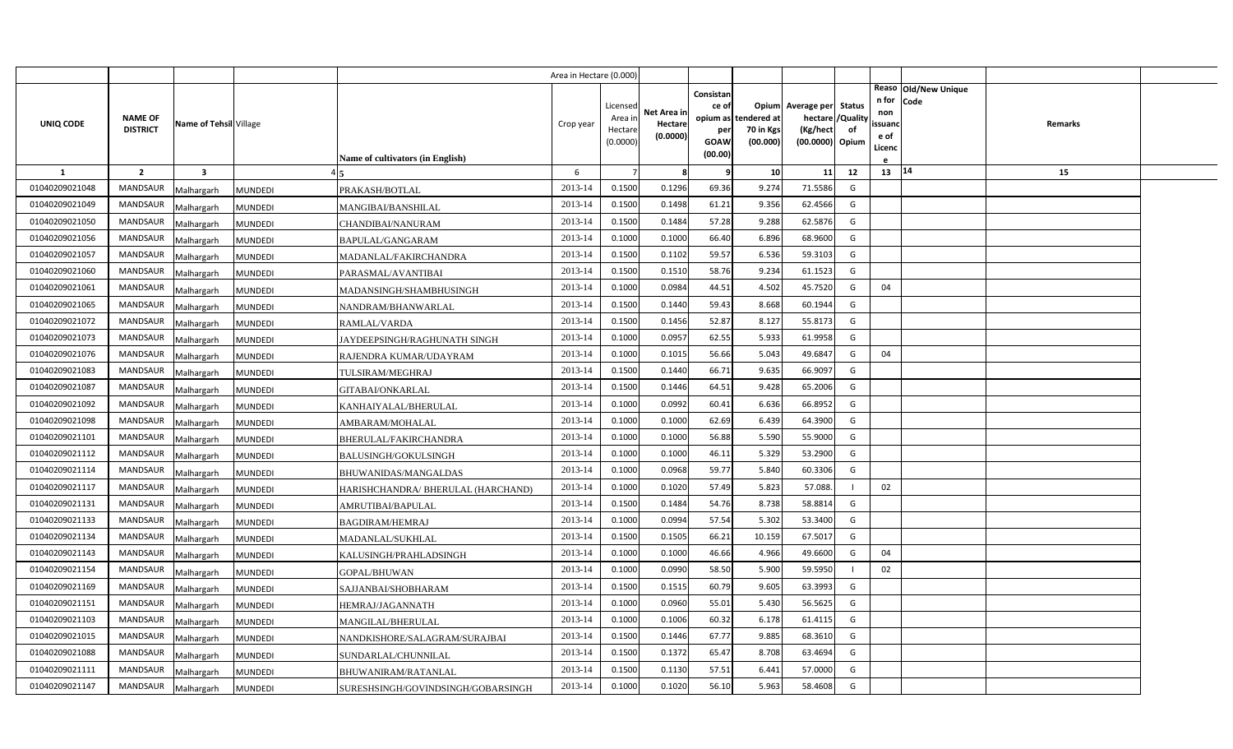|                |                                   |                         |                                                      | Area in Hectare (0.000) |                                            |                                    |                                                     |                                               |                                                                    |                |                                          |                              |         |  |
|----------------|-----------------------------------|-------------------------|------------------------------------------------------|-------------------------|--------------------------------------------|------------------------------------|-----------------------------------------------------|-----------------------------------------------|--------------------------------------------------------------------|----------------|------------------------------------------|------------------------------|---------|--|
| UNIQ CODE      | <b>NAME OF</b><br><b>DISTRICT</b> | Name of Tehsil Village  | Name of cultivators (in English)                     | Crop year               | Licensed<br>Area in<br>Hectare<br>(0.0000) | Net Area in<br>Hectare<br>(0.0000) | Consistan<br>ce of<br>per<br><b>GOAW</b><br>(00.00) | opium as tendered at<br>70 in Kgs<br>(00.000) | Opium Average per Status<br>hectare<br>(Kg/hect<br>(00.0000) Opium | /Quality<br>of | n for<br>non<br>ssuand<br>e of<br>Licenc | Reaso Old/New Unique<br>Code | Remarks |  |
| $\mathbf{1}$   | $\overline{2}$                    | $\overline{\mathbf{3}}$ |                                                      | 6                       |                                            | 8                                  | q                                                   | 10                                            | 11                                                                 | 12             | 13   14                                  |                              | 15      |  |
| 01040209021048 | MANDSAUR                          | Malhargarh              | <b>MUNDEDI</b><br>PRAKASH/BOTLAL                     | 2013-14                 | 0.1500                                     | 0.1296                             | 69.36                                               | 9.274                                         | 71.5586                                                            | G              |                                          |                              |         |  |
| 01040209021049 | <b>MANDSAUR</b>                   | Malhargarh              | MUNDEDI<br>MANGIBAI/BANSHILAL                        | 2013-14                 | 0.1500                                     | 0.1498                             | 61.21                                               | 9.356                                         | 62.4566                                                            | G              |                                          |                              |         |  |
| 01040209021050 | <b>MANDSAUR</b>                   | Malhargarh              | MUNDEDI<br>CHANDIBAI/NANURAM                         | 2013-14                 | 0.1500                                     | 0.1484                             | 57.28                                               | 9.288                                         | 62.5876                                                            | G              |                                          |                              |         |  |
| 01040209021056 | <b>MANDSAUR</b>                   | Malhargarh              | <b>MUNDEDI</b><br>BAPULAL/GANGARAM                   | 2013-14                 | 0.1000                                     | 0.1000                             | 66.40                                               | 6.896                                         | 68.9600                                                            | G              |                                          |                              |         |  |
| 01040209021057 | <b>MANDSAUR</b>                   | Malhargarh              | <b>MUNDEDI</b><br>MADANLAL/FAKIRCHANDRA              | 2013-14                 | 0.1500                                     | 0.1102                             | 59.57                                               | 6.536                                         | 59.3103                                                            | G              |                                          |                              |         |  |
| 01040209021060 | <b>MANDSAUR</b>                   | Malhargarh              | <b>MUNDEDI</b><br>PARASMAL/AVANTIBAI                 | 2013-14                 | 0.1500                                     | 0.1510                             | 58.76                                               | 9.234                                         | 61.1523                                                            | G              |                                          |                              |         |  |
| 01040209021061 | <b>MANDSAUR</b>                   | Malhargarh              | <b>MUNDEDI</b><br>MADANSINGH/SHAMBHUSINGH            | 2013-14                 | 0.1000                                     | 0.0984                             | 44.51                                               | 4.502                                         | 45.7520                                                            | G              | 04                                       |                              |         |  |
| 01040209021065 | <b>MANDSAUR</b>                   | Malhargarh              | <b>MUNDEDI</b><br>NANDRAM/BHANWARLAL                 | 2013-14                 | 0.1500                                     | 0.1440                             | 59.43                                               | 8.668                                         | 60.1944                                                            | G              |                                          |                              |         |  |
| 01040209021072 | <b>MANDSAUR</b>                   | Malhargarh              | <b>MUNDEDI</b><br>RAMLAL/VARDA                       | 2013-14                 | 0.1500                                     | 0.1456                             | 52.87                                               | 8.127                                         | 55.8173                                                            | G              |                                          |                              |         |  |
| 01040209021073 | <b>MANDSAUR</b>                   | Malhargarh              | <b>MUNDEDI</b><br>JAYDEEPSINGH/RAGHUNATH SINGH       | 2013-14                 | 0.1000                                     | 0.0957                             | 62.55                                               | 5.933                                         | 61.9958                                                            | G              |                                          |                              |         |  |
| 01040209021076 | <b>MANDSAUR</b>                   | Malhargarh              | <b>MUNDEDI</b><br>RAJENDRA KUMAR/UDAYRAM             | 2013-14                 | 0.1000                                     | 0.1015                             | 56.66                                               | 5.043                                         | 49.6847                                                            | G              | 04                                       |                              |         |  |
| 01040209021083 | <b>MANDSAUR</b>                   | Malhargarh              | <b>MUNDEDI</b><br>TULSIRAM/MEGHRAJ                   | 2013-14                 | 0.1500                                     | 0.1440                             | 66.71                                               | 9.635                                         | 66.9097                                                            | G              |                                          |                              |         |  |
| 01040209021087 | <b>MANDSAUR</b>                   | Malhargarh              | <b>MUNDEDI</b><br>GITABAI/ONKARLAL                   | 2013-14                 | 0.1500                                     | 0.1446                             | 64.51                                               | 9.428                                         | 65.2006                                                            | G              |                                          |                              |         |  |
| 01040209021092 | <b>MANDSAUR</b>                   | Malhargarh              | MUNDEDI<br>KANHAIYALAL/BHERULAL                      | 2013-14                 | 0.1000                                     | 0.0992                             | 60.41                                               | 6.636                                         | 66.8952                                                            | G              |                                          |                              |         |  |
| 01040209021098 | <b>MANDSAUR</b>                   | Malhargarh              | <b>MUNDEDI</b><br>AMBARAM/MOHALAL                    | 2013-14                 | 0.1000                                     | 0.1000                             | 62.69                                               | 6.439                                         | 64.3900                                                            | G              |                                          |                              |         |  |
| 01040209021101 | <b>MANDSAUR</b>                   | Malhargarh              | MUNDEDI<br><b>BHERULAL/FAKIRCHANDRA</b>              | 2013-14                 | 0.1000                                     | 0.1000                             | 56.88                                               | 5.590                                         | 55.9000                                                            | G              |                                          |                              |         |  |
| 01040209021112 | <b>MANDSAUR</b>                   | Malhargarh              | <b>BALUSINGH/GOKULSINGH</b><br><b>MUNDEDI</b>        | 2013-14                 | 0.1000                                     | 0.1000                             | 46.11                                               | 5.329                                         | 53.2900                                                            | G              |                                          |                              |         |  |
| 01040209021114 | <b>MANDSAUR</b>                   | Malhargarh              | <b>MUNDEDI</b><br>BHUWANIDAS/MANGALDAS               | 2013-14                 | 0.1000                                     | 0.0968                             | 59.77                                               | 5.840                                         | 60.3306                                                            | G              |                                          |                              |         |  |
| 01040209021117 | <b>MANDSAUR</b>                   | Malhargarh              | <b>MUNDEDI</b><br>HARISHCHANDRA/ BHERULAL (HARCHAND) | 2013-14                 | 0.1000                                     | 0.1020                             | 57.49                                               | 5.823                                         | 57.088.                                                            |                | 02                                       |                              |         |  |
| 01040209021131 | <b>MANDSAUR</b>                   | Malhargarh              | <b>MUNDEDI</b><br>AMRUTIBAI/BAPULAL                  | 2013-14                 | 0.1500                                     | 0.1484                             | 54.76                                               | 8.738                                         | 58.8814                                                            | G              |                                          |                              |         |  |
| 01040209021133 | MANDSAUR                          | Malhargarh              | <b>MUNDEDI</b><br>BAGDIRAM/HEMRAJ                    | 2013-14                 | 0.1000                                     | 0.0994                             | 57.54                                               | 5.302                                         | 53.3400                                                            | G              |                                          |                              |         |  |
| 01040209021134 | <b>MANDSAUR</b>                   | Malhargarh              | <b>MUNDEDI</b><br>MADANLAL/SUKHLAL                   | 2013-14                 | 0.1500                                     | 0.1505                             | 66.21                                               | 10.159                                        | 67.5017                                                            | G              |                                          |                              |         |  |
| 01040209021143 | <b>MANDSAUR</b>                   | Malhargarh              | <b>MUNDEDI</b><br>KALUSINGH/PRAHLADSINGH             | 2013-14                 | 0.1000                                     | 0.1000                             | 46.66                                               | 4.966                                         | 49.6600                                                            | G              | 04                                       |                              |         |  |
| 01040209021154 | <b>MANDSAUR</b>                   | Malhargarh              | <b>MUNDEDI</b><br>GOPAL/BHUWAN                       | 2013-14                 | 0.1000                                     | 0.0990                             | 58.50                                               | 5.900                                         | 59.5950                                                            |                | 02                                       |                              |         |  |
| 01040209021169 | <b>MANDSAUR</b>                   | Malhargarh              | <b>MUNDEDI</b><br>SAJJANBAI/SHOBHARAM                | 2013-14                 | 0.1500                                     | 0.1515                             | 60.79                                               | 9.605                                         | 63.3993                                                            | G              |                                          |                              |         |  |
| 01040209021151 | <b>MANDSAUR</b>                   | Malhargarh              | <b>MUNDEDI</b><br>HEMRAJ/JAGANNATH                   | 2013-14                 | 0.1000                                     | 0.0960                             | 55.01                                               | 5.430                                         | 56.5625                                                            | G              |                                          |                              |         |  |
| 01040209021103 | <b>MANDSAUR</b>                   | Malhargarh              | <b>MUNDEDI</b><br>MANGILAL/BHERULAL                  | 2013-14                 | 0.1000                                     | 0.1006                             | 60.32                                               | 6.178                                         | 61.4115                                                            | G              |                                          |                              |         |  |
| 01040209021015 | <b>MANDSAUR</b>                   | Malhargarh              | <b>MUNDEDI</b><br>NANDKISHORE/SALAGRAM/SURAJBAI      | 2013-14                 | 0.1500                                     | 0.1446                             | 67.77                                               | 9.885                                         | 68.3610                                                            | G              |                                          |                              |         |  |
| 01040209021088 | <b>MANDSAUR</b>                   | Malhargarh              | <b>MUNDEDI</b><br>SUNDARLAL/CHUNNILAL                | 2013-14                 | 0.1500                                     | 0.1372                             | 65.47                                               | 8.708                                         | 63.4694                                                            | G              |                                          |                              |         |  |
| 01040209021111 | <b>MANDSAUR</b>                   | Malhargarh              | <b>MUNDEDI</b><br>BHUWANIRAM/RATANLAL                | 2013-14                 | 0.1500                                     | 0.1130                             | 57.51                                               | 6.441                                         | 57.0000                                                            | G              |                                          |                              |         |  |
| 01040209021147 | MANDSAUR                          | Malhargarh              | <b>MUNDEDI</b><br>SURESHSINGH/GOVINDSINGH/GOBARSINGH | 2013-14                 | 0.1000                                     | 0.1020                             | 56.10                                               | 5.963                                         | 58.4608                                                            | G              |                                          |                              |         |  |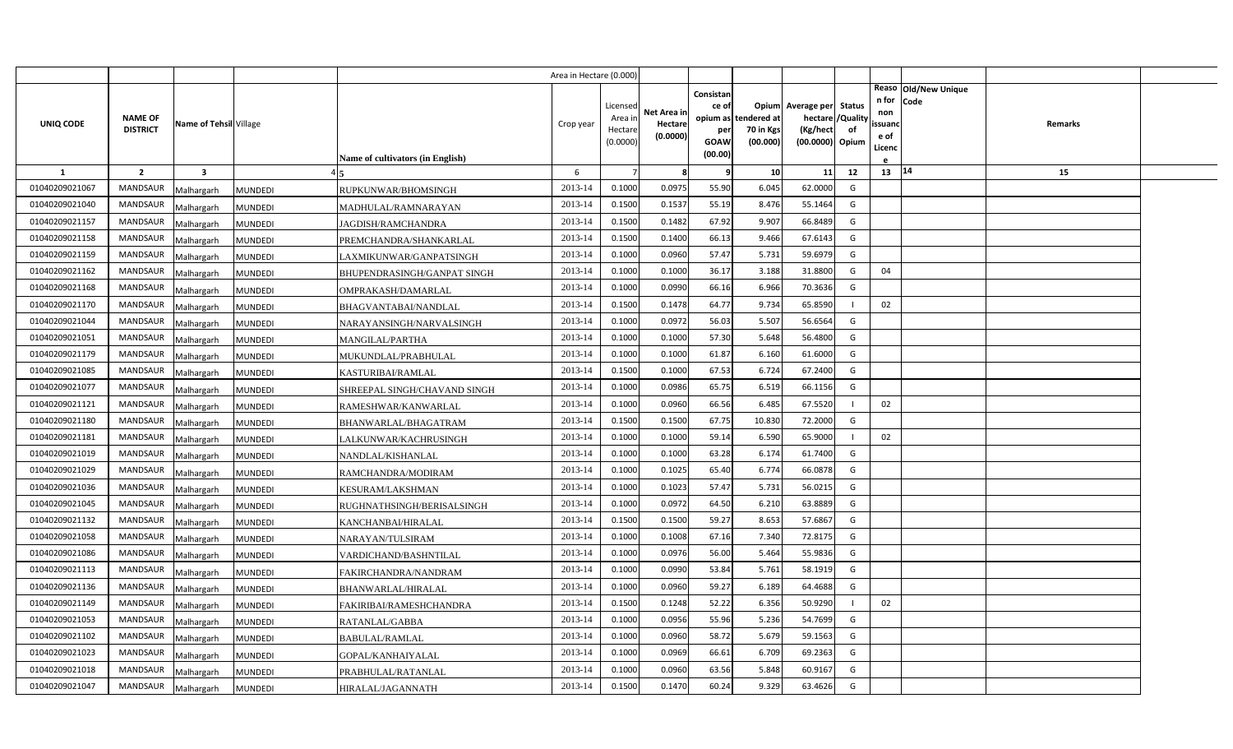|                |                                   |                        |                                                | Area in Hectare (0.000) |                                            |                                    |                                              |                                               |                                                                    |                |                                          |                              |         |  |
|----------------|-----------------------------------|------------------------|------------------------------------------------|-------------------------|--------------------------------------------|------------------------------------|----------------------------------------------|-----------------------------------------------|--------------------------------------------------------------------|----------------|------------------------------------------|------------------------------|---------|--|
| UNIQ CODE      | <b>NAME OF</b><br><b>DISTRICT</b> | Name of Tehsil Village | Name of cultivators (in English)               | Crop year               | Licensed<br>Area in<br>Hectare<br>(0.0000) | Net Area in<br>Hectare<br>(0.0000) | Consistan<br>ce of<br>per<br>GOAW<br>(00.00) | opium as tendered at<br>70 in Kgs<br>(00.000) | Opium Average per Status<br>hectare<br>(Kg/hect<br>(00.0000) Opium | /Quality<br>of | n for<br>non<br>ssuanc<br>e of<br>Licenc | Reaso Old/New Unique<br>Code | Remarks |  |
| 1              | $\overline{2}$                    | 3                      |                                                | 6                       |                                            | -8                                 | q                                            | 10                                            | 11                                                                 | 12             | 13 14                                    |                              | 15      |  |
| 01040209021067 | <b>MANDSAUR</b>                   | Malhargarh             | RUPKUNWAR/BHOMSINGH<br><b>MUNDEDI</b>          | 2013-14                 | 0.1000                                     | 0.0975                             | 55.90                                        | 6.045                                         | 62.0000                                                            | G              |                                          |                              |         |  |
| 01040209021040 | <b>MANDSAUR</b>                   | Malhargarh             | <b>MUNDEDI</b><br>MADHULAL/RAMNARAYAN          | 2013-14                 | 0.1500                                     | 0.1537                             | 55.19                                        | 8.476                                         | 55.1464                                                            | G              |                                          |                              |         |  |
| 01040209021157 | <b>MANDSAUR</b>                   | Malhargarh             | <b>MUNDEDI</b><br>JAGDISH/RAMCHANDRA           | 2013-14                 | 0.1500                                     | 0.1482                             | 67.92                                        | 9.907                                         | 66.8489                                                            | G              |                                          |                              |         |  |
| 01040209021158 | <b>MANDSAUR</b>                   | Malhargarh             | <b>MUNDEDI</b><br>PREMCHANDRA/SHANKARLAL       | 2013-14                 | 0.1500                                     | 0.1400                             | 66.13                                        | 9.466                                         | 67.6143                                                            | G              |                                          |                              |         |  |
| 01040209021159 | <b>MANDSAUR</b>                   | Malhargarh             | <b>MUNDEDI</b><br>LAXMIKUNWAR/GANPATSINGH      | 2013-14                 | 0.1000                                     | 0.0960                             | 57.47                                        | 5.731                                         | 59.6979                                                            | G              |                                          |                              |         |  |
| 01040209021162 | <b>MANDSAUR</b>                   | Malhargarh             | <b>MUNDEDI</b><br>BHUPENDRASINGH/GANPAT SINGH  | 2013-14                 | 0.1000                                     | 0.1000                             | 36.17                                        | 3.188                                         | 31.8800                                                            | G              | 04                                       |                              |         |  |
| 01040209021168 | <b>MANDSAUR</b>                   | Malhargarh             | <b>MUNDEDI</b><br>OMPRAKASH/DAMARLAL           | 2013-14                 | 0.1000                                     | 0.0990                             | 66.16                                        | 6.966                                         | 70.3636                                                            | G              |                                          |                              |         |  |
| 01040209021170 | <b>MANDSAUR</b>                   | Malhargarh             | <b>MUNDEDI</b><br>BHAGVANTABAI/NANDLAL         | 2013-14                 | 0.1500                                     | 0.1478                             | 64.77                                        | 9.734                                         | 65.8590                                                            |                | 02                                       |                              |         |  |
| 01040209021044 | MANDSAUR                          | Malhargarh             | <b>MUNDEDI</b><br>NARAYANSINGH/NARVALSINGH     | 2013-14                 | 0.1000                                     | 0.0972                             | 56.03                                        | 5.507                                         | 56.6564                                                            | G              |                                          |                              |         |  |
| 01040209021051 | <b>MANDSAUR</b>                   | Malhargarh             | <b>MUNDEDI</b><br><b>MANGILAL/PARTHA</b>       | 2013-14                 | 0.1000                                     | 0.1000                             | 57.30                                        | 5.648                                         | 56.4800                                                            | G              |                                          |                              |         |  |
| 01040209021179 | <b>MANDSAUR</b>                   | Malhargarh             | <b>MUNDEDI</b><br>MUKUNDLAL/PRABHULAL          | 2013-14                 | 0.1000                                     | 0.1000                             | 61.87                                        | 6.160                                         | 61.6000                                                            | G              |                                          |                              |         |  |
| 01040209021085 | <b>MANDSAUR</b>                   | Malhargarh             | MUNDEDI<br>KASTURIBAI/RAMLAL                   | 2013-14                 | 0.1500                                     | 0.1000                             | 67.53                                        | 6.724                                         | 67.2400                                                            | G              |                                          |                              |         |  |
| 01040209021077 | <b>MANDSAUR</b>                   | Malhargarh             | <b>MUNDEDI</b><br>SHREEPAL SINGH/CHAVAND SINGH | 2013-14                 | 0.1000                                     | 0.0986                             | 65.75                                        | 6.519                                         | 66.1156                                                            | G              |                                          |                              |         |  |
| 01040209021121 | <b>MANDSAUR</b>                   | Malhargarh             | <b>MUNDEDI</b><br>RAMESHWAR/KANWARLAL          | 2013-14                 | 0.1000                                     | 0.0960                             | 66.56                                        | 6.485                                         | 67.5520                                                            |                | 02                                       |                              |         |  |
| 01040209021180 | <b>MANDSAUR</b>                   | Malhargarh             | <b>MUNDEDI</b><br>BHANWARLAL/BHAGATRAM         | 2013-14                 | 0.1500                                     | 0.1500                             | 67.75                                        | 10.830                                        | 72.2000                                                            | G              |                                          |                              |         |  |
| 01040209021181 | <b>MANDSAUR</b>                   | Malhargarh             | <b>MUNDEDI</b><br>LALKUNWAR/KACHRUSINGH        | 2013-14                 | 0.1000                                     | 0.1000                             | 59.14                                        | 6.590                                         | 65.9000                                                            |                | 02                                       |                              |         |  |
| 01040209021019 | <b>MANDSAUR</b>                   | Malhargarh             | <b>MUNDEDI</b><br>NANDLAL/KISHANLAL            | 2013-14                 | 0.1000                                     | 0.1000                             | 63.28                                        | 6.174                                         | 61.7400                                                            | G              |                                          |                              |         |  |
| 01040209021029 | <b>MANDSAUR</b>                   | Malhargarh             | <b>MUNDEDI</b><br>RAMCHANDRA/MODIRAM           | 2013-14                 | 0.1000                                     | 0.1025                             | 65.40                                        | 6.774                                         | 66.0878                                                            | G              |                                          |                              |         |  |
| 01040209021036 | <b>MANDSAUR</b>                   | Malhargarh             | <b>MUNDEDI</b><br><b>KESURAM/LAKSHMAN</b>      | 2013-14                 | 0.1000                                     | 0.1023                             | 57.47                                        | 5.731                                         | 56.0215                                                            | G              |                                          |                              |         |  |
| 01040209021045 | <b>MANDSAUR</b>                   | Malhargarh             | <b>MUNDEDI</b><br>RUGHNATHSINGH/BERISALSINGH   | 2013-14                 | 0.1000                                     | 0.0972                             | 64.50                                        | 6.210                                         | 63.8889                                                            | G              |                                          |                              |         |  |
| 01040209021132 | <b>MANDSAUR</b>                   | Malhargarh             | <b>MUNDEDI</b><br>KANCHANBAI/HIRALAL           | 2013-14                 | 0.1500                                     | 0.1500                             | 59.27                                        | 8.653                                         | 57.6867                                                            | G              |                                          |                              |         |  |
| 01040209021058 | <b>MANDSAUR</b>                   | Malhargarh             | <b>MUNDEDI</b><br>NARAYAN/TULSIRAM             | 2013-14                 | 0.1000                                     | 0.1008                             | 67.16                                        | 7.340                                         | 72.8175                                                            | G              |                                          |                              |         |  |
| 01040209021086 | <b>MANDSAUR</b>                   | Malhargarh             | MUNDEDI<br>VARDICHAND/BASHNTILAL               | 2013-14                 | 0.1000                                     | 0.0976                             | 56.00                                        | 5.464                                         | 55.9836                                                            | G              |                                          |                              |         |  |
| 01040209021113 | <b>MANDSAUR</b>                   | Malhargarh             | <b>MUNDEDI</b><br>FAKIRCHANDRA/NANDRAM         | 2013-14                 | 0.1000                                     | 0.0990                             | 53.84                                        | 5.761                                         | 58.1919                                                            | G              |                                          |                              |         |  |
| 01040209021136 | <b>MANDSAUR</b>                   | Malhargarh             | MUNDEDI<br>BHANWARLAL/HIRALAL                  | 2013-14                 | 0.1000                                     | 0.0960                             | 59.27                                        | 6.189                                         | 64.4688                                                            | G              |                                          |                              |         |  |
| 01040209021149 | <b>MANDSAUR</b>                   | Malhargarh             | <b>MUNDEDI</b><br>FAKIRIBAI/RAMESHCHANDRA      | 2013-14                 | 0.1500                                     | 0.1248                             | 52.22                                        | 6.356                                         | 50.9290                                                            |                | 02                                       |                              |         |  |
| 01040209021053 | <b>MANDSAUR</b>                   | Malhargarh             | <b>MUNDEDI</b><br>RATANLAL/GABBA               | 2013-14                 | 0.1000                                     | 0.0956                             | 55.96                                        | 5.236                                         | 54.7699                                                            | G              |                                          |                              |         |  |
| 01040209021102 | <b>MANDSAUR</b>                   | Malhargarh             | <b>MUNDEDI</b><br>BABULAL/RAMLAL               | 2013-14                 | 0.1000                                     | 0.0960                             | 58.72                                        | 5.679                                         | 59.1563                                                            | G              |                                          |                              |         |  |
| 01040209021023 | <b>MANDSAUR</b>                   | Malhargarh             | <b>MUNDEDI</b><br>GOPAL/KANHAIYALAL            | 2013-14                 | 0.1000                                     | 0.0969                             | 66.61                                        | 6.709                                         | 69.2363                                                            | G              |                                          |                              |         |  |
| 01040209021018 | <b>MANDSAUR</b>                   | Malhargarh             | <b>MUNDEDI</b><br>PRABHULAL/RATANLAL           | 2013-14                 | 0.1000                                     | 0.0960                             | 63.56                                        | 5.848                                         | 60.9167                                                            | G              |                                          |                              |         |  |
| 01040209021047 | <b>MANDSAUR</b>                   | Malhargarh             | <b>MUNDEDI</b><br>HIRALAL/JAGANNATH            | 2013-14                 | 0.1500                                     | 0.1470                             | 60.24                                        | 9.329                                         | 63.4626                                                            | G              |                                          |                              |         |  |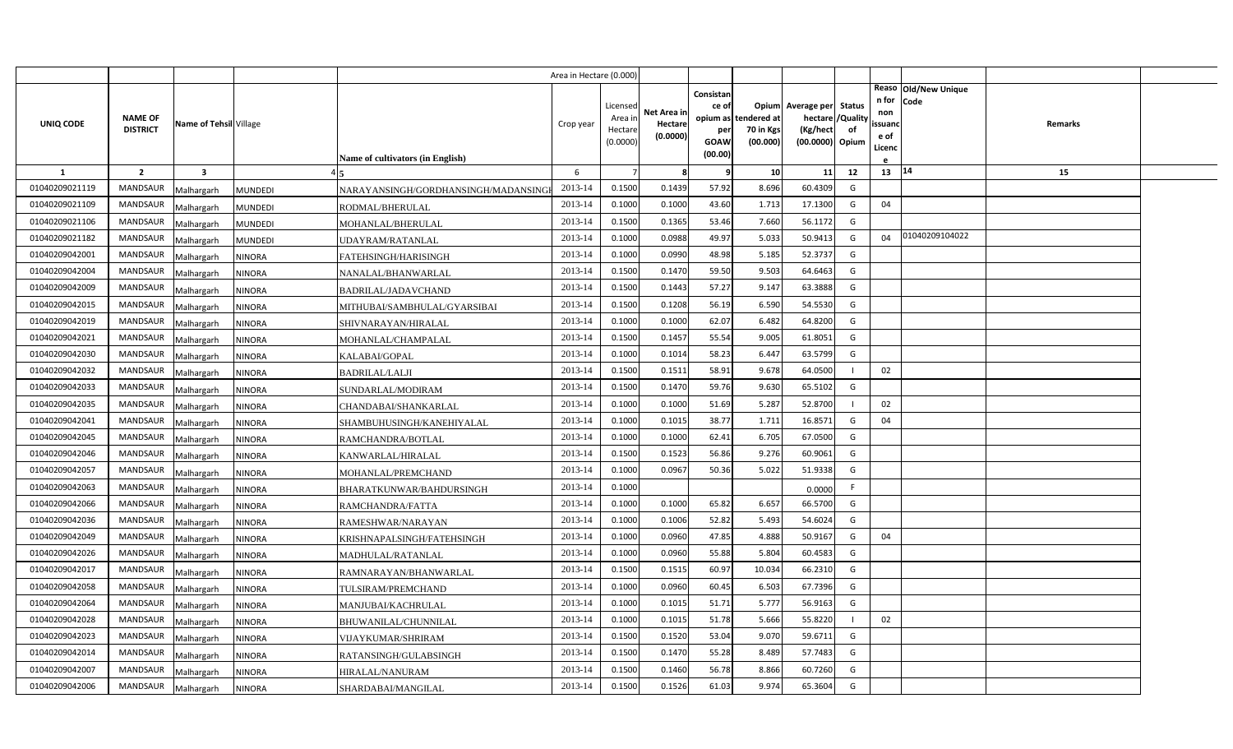|                |                                   |                         |                                        |                                     | Area in Hectare (0.000) |                                            |                                    |                                                     |                                               |                                                                    |                |                                          |                              |         |  |
|----------------|-----------------------------------|-------------------------|----------------------------------------|-------------------------------------|-------------------------|--------------------------------------------|------------------------------------|-----------------------------------------------------|-----------------------------------------------|--------------------------------------------------------------------|----------------|------------------------------------------|------------------------------|---------|--|
| UNIQ CODE      | <b>NAME OF</b><br><b>DISTRICT</b> | Name of Tehsil Village  |                                        | Name of cultivators (in English)    | Crop year               | Licensed<br>Area in<br>Hectare<br>(0.0000) | Net Area in<br>Hectare<br>(0.0000) | Consistan<br>ce of<br>per<br><b>GOAW</b><br>(00.00) | opium as tendered at<br>70 in Kgs<br>(00.000) | Opium Average per Status<br>hectare<br>(Kg/hect<br>(00.0000) Opium | /Quality<br>of | n for<br>non<br>ssuand<br>e of<br>Licenc | Reaso Old/New Unique<br>Code | Remarks |  |
| 1              | $\overline{2}$                    | $\overline{\mathbf{3}}$ |                                        |                                     | 6                       |                                            | -8                                 | q                                                   | 10                                            | 11                                                                 | 12             | 13 14                                    |                              | 15      |  |
| 01040209021119 | <b>MANDSAUR</b>                   | Malhargarh              | <b>MUNDEDI</b>                         | NARAYANSINGH/GORDHANSINGH/MADANSING | 2013-14                 | 0.1500                                     | 0.1439                             | 57.92                                               | 8.696                                         | 60.4309                                                            | G              |                                          |                              |         |  |
| 01040209021109 | <b>MANDSAUR</b>                   | Malhargarh              | <b>MUNDEDI</b>                         | RODMAL/BHERULAL                     | 2013-14                 | 0.1000                                     | 0.1000                             | 43.60                                               | 1.713                                         | 17.1300                                                            | G              | 04                                       |                              |         |  |
| 01040209021106 | <b>MANDSAUR</b>                   | Malhargarh              | <b>MUNDEDI</b>                         | MOHANLAL/BHERULAL                   | 2013-14                 | 0.1500                                     | 0.1365                             | 53.46                                               | 7.660                                         | 56.1172                                                            | G              |                                          |                              |         |  |
| 01040209021182 | <b>MANDSAUR</b>                   | Malhargarh              | <b>MUNDEDI</b>                         | UDAYRAM/RATANLAL                    | 2013-14                 | 0.1000                                     | 0.0988                             | 49.97                                               | 5.033                                         | 50.9413                                                            | G              | 04                                       | 01040209104022               |         |  |
| 01040209042001 | <b>MANDSAUR</b>                   | Malhargarh              | <b>NINORA</b>                          | FATEHSINGH/HARISINGH                | 2013-14                 | 0.1000                                     | 0.0990                             | 48.98                                               | 5.185                                         | 52.3737                                                            | G              |                                          |                              |         |  |
| 01040209042004 | <b>MANDSAUR</b>                   | Malhargarh              | <b>NINORA</b>                          | NANALAL/BHANWARLAL                  | 2013-14                 | 0.1500                                     | 0.1470                             | 59.50                                               | 9.503                                         | 64.6463                                                            | G              |                                          |                              |         |  |
| 01040209042009 | <b>MANDSAUR</b>                   | Malhargarh              | <b>NINORA</b>                          | BADRILAL/JADAVCHAND                 | 2013-14                 | 0.1500                                     | 0.1443                             | 57.27                                               | 9.147                                         | 63.3888                                                            | G              |                                          |                              |         |  |
| 01040209042015 | <b>MANDSAUR</b>                   | Malhargarh              | <b>NINORA</b>                          | MITHUBAI/SAMBHULAL/GYARSIBAI        | 2013-14                 | 0.1500                                     | 0.1208                             | 56.19                                               | 6.590                                         | 54.5530                                                            | G              |                                          |                              |         |  |
| 01040209042019 | <b>MANDSAUR</b>                   | Malhargarh              | <b>NINORA</b>                          | SHIVNARAYAN/HIRALAL                 | 2013-14                 | 0.1000                                     | 0.1000                             | 62.07                                               | 6.482                                         | 64.8200                                                            | G              |                                          |                              |         |  |
| 01040209042021 | <b>MANDSAUR</b>                   | Malhargarh              | <b>NINORA</b>                          | MOHANLAL/CHAMPALAL                  | 2013-14                 | 0.1500                                     | 0.1457                             | 55.54                                               | 9.005                                         | 61.8051                                                            | G              |                                          |                              |         |  |
| 01040209042030 | <b>MANDSAUR</b>                   | Malhargarh              | <b>NINORA</b><br>KALABAI/GOPAL         |                                     | 2013-14                 | 0.1000                                     | 0.1014                             | 58.23                                               | 6.447                                         | 63.5799                                                            | G              |                                          |                              |         |  |
| 01040209042032 | <b>MANDSAUR</b>                   | Malhargarh              | <b>NINORA</b><br><b>BADRILAL/LALJI</b> |                                     | 2013-14                 | 0.1500                                     | 0.1511                             | 58.91                                               | 9.678                                         | 64.0500                                                            | $\mathbf{I}$   | 02                                       |                              |         |  |
| 01040209042033 | <b>MANDSAUR</b>                   | Malhargarh              | <b>NINORA</b>                          | SUNDARLAL/MODIRAM                   | 2013-14                 | 0.1500                                     | 0.1470                             | 59.76                                               | 9.630                                         | 65.5102                                                            | G              |                                          |                              |         |  |
| 01040209042035 | <b>MANDSAUR</b>                   | Malhargarh              | <b>NINORA</b>                          | CHANDABAI/SHANKARLAL                | 2013-14                 | 0.1000                                     | 0.1000                             | 51.69                                               | 5.287                                         | 52.8700                                                            |                | 02                                       |                              |         |  |
| 01040209042041 | <b>MANDSAUR</b>                   | Malhargarh              | <b>NINORA</b>                          | SHAMBUHUSINGH/KANEHIYALAL           | 2013-14                 | 0.1000                                     | 0.1015                             | 38.77                                               | 1.711                                         | 16.8571                                                            | G              | 04                                       |                              |         |  |
| 01040209042045 | <b>MANDSAUR</b>                   | Malhargarh              | <b>NINORA</b>                          | RAMCHANDRA/BOTLAL                   | 2013-14                 | 0.1000                                     | 0.1000                             | 62.41                                               | 6.705                                         | 67.0500                                                            | G              |                                          |                              |         |  |
| 01040209042046 | <b>MANDSAUR</b>                   | Malhargarh              | <b>NINORA</b>                          | KANWARLAL/HIRALAL                   | 2013-14                 | 0.1500                                     | 0.1523                             | 56.86                                               | 9.276                                         | 60.9061                                                            | G              |                                          |                              |         |  |
| 01040209042057 | <b>MANDSAUR</b>                   | Malhargarh              | <b>NINORA</b>                          | MOHANLAL/PREMCHAND                  | 2013-14                 | 0.1000                                     | 0.0967                             | 50.36                                               | 5.022                                         | 51.9338                                                            | G              |                                          |                              |         |  |
| 01040209042063 | <b>MANDSAUR</b>                   | Malhargarh              | <b>NINORA</b>                          | BHARATKUNWAR/BAHDURSINGH            | 2013-14                 | 0.1000                                     |                                    |                                                     |                                               | 0.0000                                                             | F.             |                                          |                              |         |  |
| 01040209042066 | <b>MANDSAUR</b>                   | Malhargarh              | <b>NINORA</b>                          | RAMCHANDRA/FATTA                    | 2013-14                 | 0.1000                                     | 0.1000                             | 65.82                                               | 6.657                                         | 66.5700                                                            | G              |                                          |                              |         |  |
| 01040209042036 | <b>MANDSAUR</b>                   | Malhargarh              | <b>NINORA</b>                          | RAMESHWAR/NARAYAN                   | 2013-14                 | 0.1000                                     | 0.1006                             | 52.82                                               | 5.493                                         | 54.6024                                                            | G              |                                          |                              |         |  |
| 01040209042049 | <b>MANDSAUR</b>                   | Malhargarh              | NINORA                                 | KRISHNAPALSINGH/FATEHSINGH          | 2013-14                 | 0.1000                                     | 0.0960                             | 47.85                                               | 4.888                                         | 50.9167                                                            | G              | 04                                       |                              |         |  |
| 01040209042026 | <b>MANDSAUR</b>                   | Malhargarh              | <b>NINORA</b>                          | MADHULAL/RATANLAL                   | 2013-14                 | 0.1000                                     | 0.0960                             | 55.88                                               | 5.804                                         | 60.4583                                                            | G              |                                          |                              |         |  |
| 01040209042017 | <b>MANDSAUR</b>                   | Malhargarh              | <b>NINORA</b>                          | RAMNARAYAN/BHANWARLAL               | 2013-14                 | 0.1500                                     | 0.1515                             | 60.97                                               | 10.034                                        | 66.2310                                                            | G              |                                          |                              |         |  |
| 01040209042058 | <b>MANDSAUR</b>                   | Malhargarh              | <b>NINORA</b>                          | TULSIRAM/PREMCHAND                  | 2013-14                 | 0.1000                                     | 0.0960                             | 60.45                                               | 6.503                                         | 67.7396                                                            | G              |                                          |                              |         |  |
| 01040209042064 | <b>MANDSAUR</b>                   | Malhargarh              | <b>NINORA</b>                          | MANJUBAI/KACHRULAL                  | 2013-14                 | 0.1000                                     | 0.1015                             | 51.71                                               | 5.777                                         | 56.9163                                                            | G              |                                          |                              |         |  |
| 01040209042028 | <b>MANDSAUR</b>                   | Malhargarh              | NINORA                                 | BHUWANILAL/CHUNNILAL                | 2013-14                 | 0.1000                                     | 0.1015                             | 51.78                                               | 5.666                                         | 55.8220                                                            |                | 02                                       |                              |         |  |
| 01040209042023 | <b>MANDSAUR</b>                   | Malhargarh              | <b>NINORA</b>                          | VIJAYKUMAR/SHRIRAM                  | 2013-14                 | 0.1500                                     | 0.1520                             | 53.04                                               | 9.070                                         | 59.6711                                                            | G              |                                          |                              |         |  |
| 01040209042014 | <b>MANDSAUR</b>                   | Malhargarh              | NINORA                                 | RATANSINGH/GULABSINGH               | 2013-14                 | 0.1500                                     | 0.1470                             | 55.28                                               | 8.489                                         | 57.7483                                                            | G              |                                          |                              |         |  |
| 01040209042007 | <b>MANDSAUR</b>                   | Malhargarh              | NINORA                                 | HIRALAL/NANURAM                     | 2013-14                 | 0.1500                                     | 0.1460                             | 56.78                                               | 8.866                                         | 60.7260                                                            | G              |                                          |                              |         |  |
| 01040209042006 | MANDSAUR                          | Malhargarh              | <b>NINORA</b>                          | SHARDABAI/MANGILAL                  | 2013-14                 | 0.1500                                     | 0.1526                             | 61.03                                               | 9.974                                         | 65.3604                                                            | G              |                                          |                              |         |  |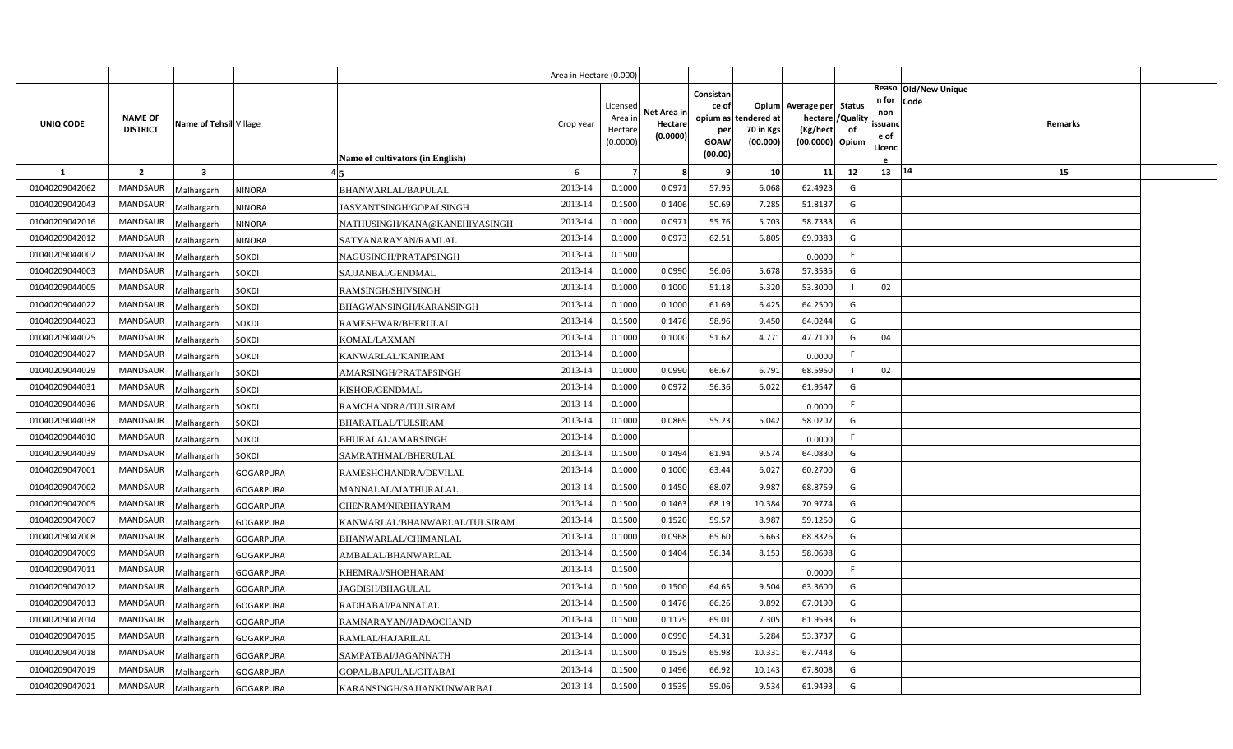|                |                                   |                         |                                                   | Area in Hectare (0.000) |                     |             |                    |                       |                               |    |                   |                      |         |  |
|----------------|-----------------------------------|-------------------------|---------------------------------------------------|-------------------------|---------------------|-------------|--------------------|-----------------------|-------------------------------|----|-------------------|----------------------|---------|--|
|                |                                   |                         |                                                   |                         |                     |             | Consistan          |                       |                               |    |                   | Reaso Old/New Unique |         |  |
|                |                                   |                         |                                                   |                         | Licensed            | Net Area in | ce of              |                       | Opium Average per Status      |    | n for Code<br>non |                      |         |  |
| UNIQ CODE      | <b>NAME OF</b><br><b>DISTRICT</b> | Name of Tehsil Village  |                                                   | Crop year               | Area in             | Hectare     | opium as           | tendered at           | hectare / Quality<br>(Kg/hect | of | ssuand            |                      | Remarks |  |
|                |                                   |                         |                                                   |                         | Hectare<br>(0.0000) | (0.0000)    | per<br><b>GOAW</b> | 70 in Kgs<br>(00.000) | (00.0000) Opium               |    | e of              |                      |         |  |
|                |                                   |                         | <b>Name of cultivators (in English)</b>           |                         |                     |             | (00.00)            |                       |                               |    | Licenc            |                      |         |  |
| 1              | $\overline{2}$                    | $\overline{\mathbf{3}}$ |                                                   | 6                       |                     | 8           | 9                  | 10 <sup>1</sup>       | 11                            | 12 | 13   14           |                      | 15      |  |
| 01040209042062 | <b>MANDSAUR</b>                   | Malhargarh              | <b>NINORA</b><br>BHANWARLAL/BAPULAL               | 2013-14                 | 0.1000              | 0.0971      | 57.95              | 6.068                 | 62.4923                       | G  |                   |                      |         |  |
| 01040209042043 | MANDSAUR                          | Malhargarh              | <b>NINORA</b><br>JASVANTSINGH/GOPALSINGH          | 2013-14                 | 0.1500              | 0.1406      | 50.69              | 7.285                 | 51.8137                       | G  |                   |                      |         |  |
| 01040209042016 | <b>MANDSAUR</b>                   | Malhargarh              | <b>NINORA</b><br>NATHUSINGH/KANA@KANEHIYASINGH    | 2013-14                 | 0.1000              | 0.0971      | 55.76              | 5.703                 | 58.7333                       | G  |                   |                      |         |  |
| 01040209042012 | <b>MANDSAUR</b>                   | Malhargarh              | <b>NINORA</b><br>SATYANARAYAN/RAMLAL              | 2013-14                 | 0.1000              | 0.0973      | 62.51              | 6.805                 | 69.9383                       | G  |                   |                      |         |  |
| 01040209044002 | <b>MANDSAUR</b>                   | Malhargarh              | <b>SOKDI</b><br>NAGUSINGH/PRATAPSINGH             | 2013-14                 | 0.1500              |             |                    |                       | 0.0000                        | F. |                   |                      |         |  |
| 01040209044003 | <b>MANDSAUR</b>                   | Malhargarh              | <b>SOKDI</b><br>SAJJANBAI/GENDMAL                 | 2013-14                 | 0.1000              | 0.0990      | 56.06              | 5.678                 | 57.3535                       | G  |                   |                      |         |  |
| 01040209044005 | <b>MANDSAUR</b>                   | Malhargarh              | RAMSINGH/SHIVSINGH<br><b>SOKDI</b>                | 2013-14                 | 0.1000              | 0.1000      | 51.18              | 5.320                 | 53.3000                       |    | 02                |                      |         |  |
| 01040209044022 | <b>MANDSAUR</b>                   | Malhargarh              | SOKDI<br>BHAGWANSINGH/KARANSINGH                  | 2013-14                 | 0.1000              | 0.1000      | 61.69              | 6.425                 | 64.2500                       | G  |                   |                      |         |  |
| 01040209044023 | MANDSAUR                          | Malhargarh              | SOKDI<br>RAMESHWAR/BHERULAL                       | 2013-14                 | 0.1500              | 0.1476      | 58.96              | 9.450                 | 64.0244                       | G  |                   |                      |         |  |
| 01040209044025 | MANDSAUR                          | Malhargarh              | KOMAL/LAXMAN<br>SOKDI                             | 2013-14                 | 0.1000              | 0.1000      | 51.62              | 4.771                 | 47.7100                       | G  | 04                |                      |         |  |
| 01040209044027 | <b>MANDSAUR</b>                   | Malhargarh              | SOKDI<br>KANWARLAL/KANIRAM                        | 2013-14                 | 0.1000              |             |                    |                       | 0.0000                        | F. |                   |                      |         |  |
| 01040209044029 | <b>MANDSAUR</b>                   | Malhargarh              | <b>SOKDI</b><br>AMARSINGH/PRATAPSINGH             | 2013-14                 | 0.1000              | 0.0990      | 66.67              | 6.791                 | 68.5950                       |    | 02                |                      |         |  |
| 01040209044031 | <b>MANDSAUR</b>                   | Malhargarh              | SOKDI<br>KISHOR/GENDMAL                           | 2013-14                 | 0.1000              | 0.0972      | 56.36              | 6.022                 | 61.9547                       | G  |                   |                      |         |  |
| 01040209044036 | <b>MANDSAUR</b>                   | Malhargarh              | <b>SOKDI</b><br>RAMCHANDRA/TULSIRAM               | 2013-14                 | 0.1000              |             |                    |                       | 0.0000                        |    |                   |                      |         |  |
| 01040209044038 | <b>MANDSAUR</b>                   | Malhargarh              | SOKDI<br><b>BHARATLAL/TULSIRAM</b>                | 2013-14                 | 0.1000              | 0.0869      | 55.23              | 5.042                 | 58.0207                       | G  |                   |                      |         |  |
| 01040209044010 | <b>MANDSAUR</b>                   | Malhargarh              | <b>SOKDI</b><br>BHURALAL/AMARSINGH                | 2013-14                 | 0.1000              |             |                    |                       | 0.0000                        | F  |                   |                      |         |  |
| 01040209044039 | MANDSAUR                          | Malhargarh              | <b>SOKDI</b><br>SAMRATHMAL/BHERULAL               | 2013-14                 | 0.1500              | 0.1494      | 61.94              | 9.574                 | 64.0830                       | G  |                   |                      |         |  |
| 01040209047001 | <b>MANDSAUR</b>                   | Malhargarh              | <b>GOGARPURA</b><br>RAMESHCHANDRA/DEVILAL         | 2013-14                 | 0.1000              | 0.1000      | 63.44              | 6.027                 | 60.2700                       | G  |                   |                      |         |  |
| 01040209047002 | <b>MANDSAUR</b>                   | Malhargarh              | <b>GOGARPURA</b><br>MANNALAL/MATHURALAL           | 2013-14                 | 0.1500              | 0.1450      | 68.07              | 9.987                 | 68.8759                       | G  |                   |                      |         |  |
| 01040209047005 | <b>MANDSAUR</b>                   | Malhargarh              | <b>GOGARPURA</b><br>CHENRAM/NIRBHAYRAM            | 2013-14                 | 0.1500              | 0.1463      | 68.19              | 10.384                | 70.9774                       | G  |                   |                      |         |  |
| 01040209047007 | <b>MANDSAUR</b>                   | Malhargarh              | <b>GOGARPURA</b><br>KANWARLAL/BHANWARLAL/TULSIRAM | 2013-14                 | 0.1500              | 0.1520      | 59.57              | 8.987                 | 59.1250                       | G  |                   |                      |         |  |
| 01040209047008 | <b>MANDSAUR</b>                   | Malhargarh              | <b>GOGARPURA</b><br>BHANWARLAL/CHIMANLAL          | 2013-14                 | 0.1000              | 0.0968      | 65.60              | 6.663                 | 68.8326                       | G  |                   |                      |         |  |
| 01040209047009 | <b>MANDSAUR</b>                   | Malhargarh              | <b>GOGARPURA</b><br>AMBALAL/BHANWARLAL            | 2013-14                 | 0.1500              | 0.1404      | 56.34              | 8.153                 | 58.0698                       | G  |                   |                      |         |  |
| 01040209047011 | <b>MANDSAUR</b>                   | Malhargarh              | <b>GOGARPURA</b><br>KHEMRAJ/SHOBHARAM             | 2013-14                 | 0.1500              |             |                    |                       | 0.0000                        | F. |                   |                      |         |  |
| 01040209047012 | <b>MANDSAUR</b>                   | Malhargarh              | <b>GOGARPURA</b><br>JAGDISH/BHAGULAL              | 2013-14                 | 0.1500              | 0.1500      | 64.65              | 9.504                 | 63.3600                       | G  |                   |                      |         |  |
| 01040209047013 | <b>MANDSAUR</b>                   | Malhargarh              | <b>GOGARPURA</b><br>RADHABAI/PANNALAL             | 2013-14                 | 0.1500              | 0.1476      | 66.26              | 9.892                 | 67.0190                       | G  |                   |                      |         |  |
| 01040209047014 | MANDSAUR                          | Malhargarh              | <b>GOGARPURA</b><br>RAMNARAYAN/JADAOCHAND         | 2013-14                 | 0.1500              | 0.1179      | 69.01              | 7.305                 | 61.9593                       | G  |                   |                      |         |  |
| 01040209047015 | MANDSAUR                          | Malhargarh              | <b>GOGARPURA</b><br>RAMLAL/HAJARILAL              | 2013-14                 | 0.1000              | 0.0990      | 54.31              | 5.284                 | 53.3737                       | G  |                   |                      |         |  |
| 01040209047018 | MANDSAUR                          | Malhargarh              | <b>GOGARPURA</b><br>SAMPATBAI/JAGANNATH           | 2013-14                 | 0.1500              | 0.1525      | 65.98              | 10.331                | 67.7443                       | G  |                   |                      |         |  |
| 01040209047019 | MANDSAUR                          | Malhargarh              | <b>GOGARPURA</b><br>GOPAL/BAPULAL/GITABAI         | 2013-14                 | 0.1500              | 0.1496      | 66.92              | 10.143                | 67.8008                       | G  |                   |                      |         |  |
| 01040209047021 | MANDSAUR                          | Malhargarh              | <b>GOGARPURA</b><br>KARANSINGH/SAJJANKUNWARBAI    | 2013-14                 | 0.1500              | 0.1539      | 59.06              | 9.534                 | 61.9493                       | G  |                   |                      |         |  |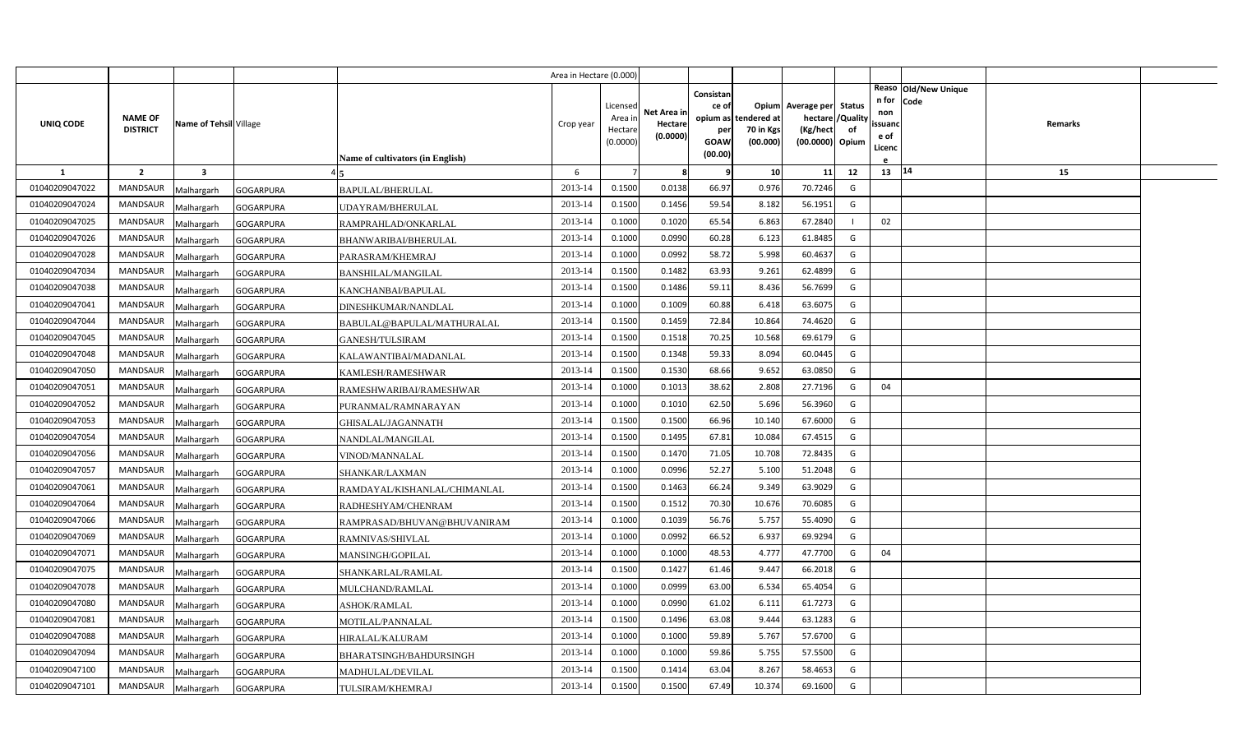|                |                 |                        |                  |                                  | Area in Hectare (0.000 |                    |             |           |                                   |                          |                |                |                      |                |  |
|----------------|-----------------|------------------------|------------------|----------------------------------|------------------------|--------------------|-------------|-----------|-----------------------------------|--------------------------|----------------|----------------|----------------------|----------------|--|
|                |                 |                        |                  |                                  |                        |                    |             | Consistan |                                   |                          |                | n for          | Reaso Old/New Unique |                |  |
|                | <b>NAME OF</b>  |                        |                  |                                  |                        | Licensed           | Net Area in | ce of     |                                   | Opium Average per Status |                | non            | Code                 |                |  |
| UNIQ CODE      | <b>DISTRICT</b> | Name of Tehsil Village |                  |                                  | Crop year              | Area in<br>Hectare | Hectare     | per       | opium as tendered at<br>70 in Kgs | hectare /<br>(Kg/hect    | /Quality<br>of | ssuanc         |                      | <b>Remarks</b> |  |
|                |                 |                        |                  |                                  |                        | (0.0000)           | (0.0000)    | GOAW      | (00.000)                          | (00.0000) Opium          |                | e of<br>Licenc |                      |                |  |
|                |                 |                        |                  | Name of cultivators (in English) |                        |                    |             | (00.00)   |                                   |                          |                |                |                      |                |  |
| 1              | $\overline{2}$  | 3                      |                  |                                  | 6                      |                    | 8           | q         | 10                                | 11                       | 12             | 13   14        |                      | 15             |  |
| 01040209047022 | <b>MANDSAUR</b> | Malhargarh             | <b>GOGARPURA</b> | BAPULAL/BHERULAL                 | 2013-14                | 0.1500             | 0.0138      | 66.97     | 0.976                             | 70.7246                  | G              |                |                      |                |  |
| 01040209047024 | <b>MANDSAUR</b> | Malhargarh             | <b>GOGARPURA</b> | UDAYRAM/BHERULAL                 | 2013-14                | 0.1500             | 0.1456      | 59.54     | 8.182                             | 56.1951                  | G              |                |                      |                |  |
| 01040209047025 | <b>MANDSAUR</b> | Malhargarh             | <b>GOGARPURA</b> | RAMPRAHLAD/ONKARLAL              | 2013-14                | 0.1000             | 0.1020      | 65.54     | 6.863                             | 67.2840                  |                | 02             |                      |                |  |
| 01040209047026 | <b>MANDSAUR</b> | Malhargarh             | <b>GOGARPURA</b> | BHANWARIBAI/BHERULAL             | 2013-14                | 0.1000             | 0.0990      | 60.28     | 6.123                             | 61.8485                  | G              |                |                      |                |  |
| 01040209047028 | <b>MANDSAUR</b> | Malhargarh             | <b>GOGARPURA</b> | PARASRAM/KHEMRAJ                 | 2013-14                | 0.1000             | 0.0992      | 58.72     | 5.998                             | 60.4637                  | G              |                |                      |                |  |
| 01040209047034 | <b>MANDSAUR</b> | Malhargarh             | <b>GOGARPURA</b> | <b>BANSHILAL/MANGILAL</b>        | 2013-14                | 0.1500             | 0.1482      | 63.93     | 9.261                             | 62.4899                  | G              |                |                      |                |  |
| 01040209047038 | <b>MANDSAUR</b> | Malhargarh             | <b>GOGARPURA</b> | KANCHANBAI/BAPULAL               | 2013-14                | 0.1500             | 0.1486      | 59.11     | 8.436                             | 56.7699                  | G              |                |                      |                |  |
| 01040209047041 | <b>MANDSAUR</b> | Malhargarh             | <b>GOGARPURA</b> | DINESHKUMAR/NANDLAL              | 2013-14                | 0.1000             | 0.1009      | 60.88     | 6.418                             | 63.6075                  | G              |                |                      |                |  |
| 01040209047044 | <b>MANDSAUR</b> | Malhargarh             | <b>GOGARPURA</b> | BABULAL@BAPULAL/MATHURALAL       | 2013-14                | 0.1500             | 0.1459      | 72.84     | 10.864                            | 74.4620                  | G              |                |                      |                |  |
| 01040209047045 | <b>MANDSAUR</b> | Malhargarh             | <b>GOGARPURA</b> | GANESH/TULSIRAM                  | 2013-14                | 0.1500             | 0.1518      | 70.25     | 10.568                            | 69.6179                  | G              |                |                      |                |  |
| 01040209047048 | <b>MANDSAUR</b> | Malhargarh             | <b>GOGARPURA</b> | KALAWANTIBAI/MADANLAL            | 2013-14                | 0.1500             | 0.1348      | 59.33     | 8.094                             | 60.0445                  | G              |                |                      |                |  |
| 01040209047050 | MANDSAUR        | Malhargarh             | <b>GOGARPURA</b> | KAMLESH/RAMESHWAR                | 2013-14                | 0.1500             | 0.1530      | 68.66     | 9.652                             | 63.0850                  | G              |                |                      |                |  |
| 01040209047051 | <b>MANDSAUR</b> | Malhargarh             | <b>GOGARPURA</b> | RAMESHWARIBAI/RAMESHWAR          | 2013-14                | 0.1000             | 0.1013      | 38.62     | 2.808                             | 27.7196                  | G              | 04             |                      |                |  |
| 01040209047052 | MANDSAUR        | Malhargarh             | <b>GOGARPURA</b> | PURANMAL/RAMNARAYAN              | 2013-14                | 0.1000             | 0.1010      | 62.50     | 5.696                             | 56.3960                  | G              |                |                      |                |  |
| 01040209047053 | <b>MANDSAUR</b> | Malhargarh             | <b>GOGARPURA</b> | GHISALAL/JAGANNATH               | 2013-14                | 0.1500             | 0.1500      | 66.96     | 10.140                            | 67.6000                  | G              |                |                      |                |  |
| 01040209047054 | <b>MANDSAUR</b> | Malhargarh             | <b>GOGARPURA</b> | NANDLAL/MANGILAL                 | 2013-14                | 0.1500             | 0.1495      | 67.81     | 10.084                            | 67.4515                  | G              |                |                      |                |  |
| 01040209047056 | MANDSAUR        | Malhargarh             | <b>GOGARPURA</b> | VINOD/MANNALAL                   | 2013-14                | 0.1500             | 0.1470      | 71.05     | 10.708                            | 72.8435                  | G              |                |                      |                |  |
| 01040209047057 | MANDSAUR        | Malhargarh             | <b>GOGARPURA</b> | SHANKAR/LAXMAN                   | 2013-14                | 0.1000             | 0.0996      | 52.27     | 5.100                             | 51.2048                  | G              |                |                      |                |  |
| 01040209047061 | <b>MANDSAUR</b> | Malhargarh             | <b>GOGARPURA</b> | RAMDAYAL/KISHANLAL/CHIMANLAL     | 2013-14                | 0.1500             | 0.1463      | 66.24     | 9.349                             | 63.9029                  | G              |                |                      |                |  |
| 01040209047064 | <b>MANDSAUR</b> | Malhargarh             | <b>GOGARPURA</b> | RADHESHYAM/CHENRAM               | 2013-14                | 0.1500             | 0.1512      | 70.30     | 10.676                            | 70.6085                  | G              |                |                      |                |  |
| 01040209047066 | <b>MANDSAUR</b> | Malhargarh             | <b>GOGARPURA</b> | RAMPRASAD/BHUVAN@BHUVANIRAM      | 2013-14                | 0.1000             | 0.1039      | 56.76     | 5.757                             | 55.4090                  | G              |                |                      |                |  |
| 01040209047069 | <b>MANDSAUR</b> | Malhargarh             | <b>GOGARPURA</b> | RAMNIVAS/SHIVLAL                 | 2013-14                | 0.1000             | 0.0992      | 66.52     | 6.937                             | 69.9294                  | G              |                |                      |                |  |
| 01040209047071 | <b>MANDSAUR</b> | Malhargarh             | <b>GOGARPURA</b> | MANSINGH/GOPILAL                 | 2013-14                | 0.1000             | 0.1000      | 48.53     | 4.777                             | 47.7700                  | G              | 04             |                      |                |  |
| 01040209047075 | <b>MANDSAUR</b> | Malhargarh             | <b>GOGARPURA</b> | SHANKARLAL/RAMLAL                | 2013-14                | 0.1500             | 0.1427      | 61.46     | 9.447                             | 66.2018                  | G              |                |                      |                |  |
| 01040209047078 | <b>MANDSAUR</b> | Malhargarh             | <b>GOGARPURA</b> | MULCHAND/RAMLAL                  | 2013-14                | 0.1000             | 0.0999      | 63.00     | 6.534                             | 65.4054                  | G              |                |                      |                |  |
| 01040209047080 | <b>MANDSAUR</b> | Malhargarh             | <b>GOGARPURA</b> | ASHOK/RAMLAL                     | 2013-14                | 0.1000             | 0.0990      | 61.02     | 6.111                             | 61.7273                  | G              |                |                      |                |  |
| 01040209047081 | <b>MANDSAUR</b> | Malhargarh             | <b>GOGARPURA</b> | MOTILAL/PANNALAL                 | 2013-14                | 0.1500             | 0.1496      | 63.08     | 9.444                             | 63.1283                  | G              |                |                      |                |  |
| 01040209047088 | <b>MANDSAUR</b> | Malhargarh             | <b>GOGARPURA</b> | HIRALAL/KALURAM                  | 2013-14                | 0.1000             | 0.1000      | 59.89     | 5.767                             | 57.6700                  | G              |                |                      |                |  |
| 01040209047094 | <b>MANDSAUR</b> | Malhargarh             | <b>GOGARPURA</b> | BHARATSINGH/BAHDURSINGH          | 2013-14                | 0.1000             | 0.1000      | 59.86     | 5.755                             | 57.5500                  | G              |                |                      |                |  |
| 01040209047100 | <b>MANDSAUR</b> | Malhargarh             | <b>GOGARPURA</b> | MADHULAL/DEVILAL                 | 2013-14                | 0.1500             | 0.1414      | 63.04     | 8.267                             | 58.4653                  | G              |                |                      |                |  |
| 01040209047101 | MANDSAUR        | Malhargarh             | <b>GOGARPURA</b> | TULSIRAM/KHEMRAJ                 | 2013-14                | 0.1500             | 0.1500      | 67.49     | 10.374                            | 69.1600                  | G              |                |                      |                |  |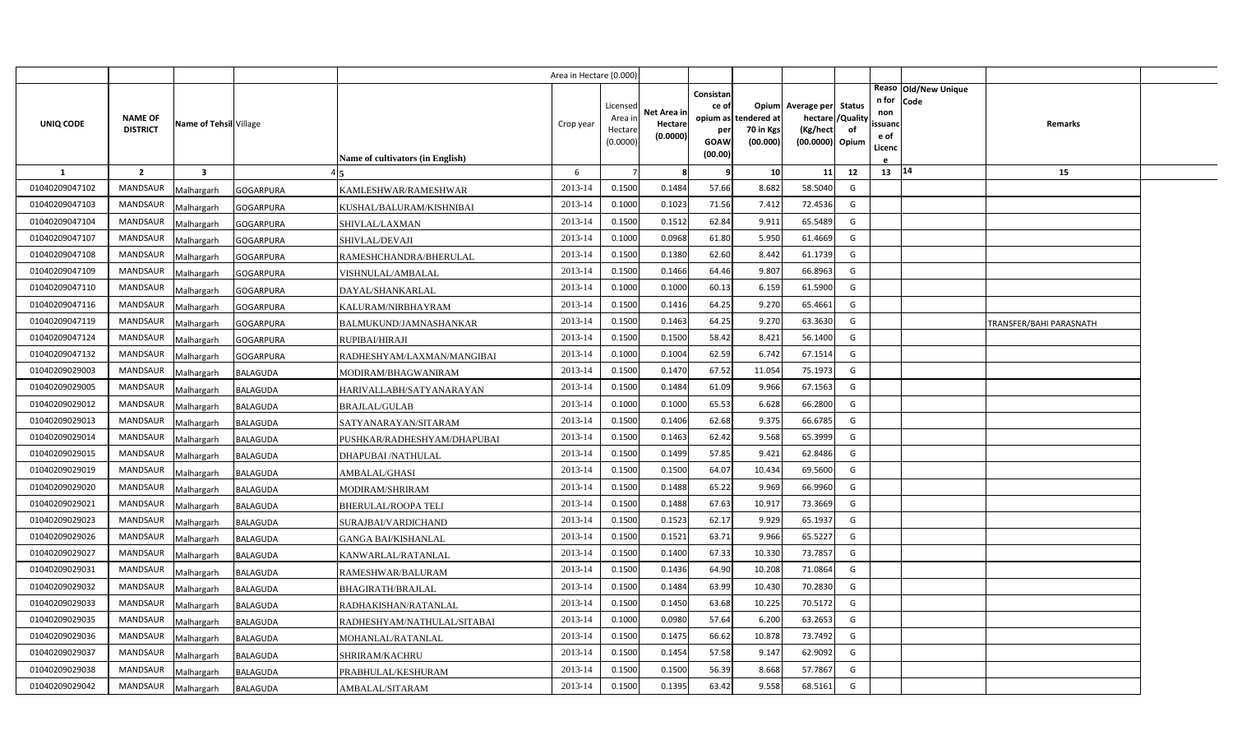|                |                                   |                         |                                                | Area in Hectare (0.000) |                    |             |           |                                   |                     |                |              |                      |                         |  |
|----------------|-----------------------------------|-------------------------|------------------------------------------------|-------------------------|--------------------|-------------|-----------|-----------------------------------|---------------------|----------------|--------------|----------------------|-------------------------|--|
|                |                                   |                         |                                                |                         |                    |             | Consistan |                                   |                     |                |              | Reaso Old/New Unique |                         |  |
|                |                                   |                         |                                                |                         | Licensed           | Net Area in | ce of     | <b>Opium</b>                      | Average per         | <b>Status</b>  | n for<br>non | <b>Code</b>          |                         |  |
| UNIQ CODE      | <b>NAME OF</b><br><b>DISTRICT</b> | Name of Tehsil Village  |                                                | Crop year               | Area in<br>Hectare | Hectare     | per       | opium as tendered at<br>70 in Kgs | hectare<br>(Kg/hect | /Quality<br>of | ssuanc       |                      | Remarks                 |  |
|                |                                   |                         |                                                |                         | (0.0000)           | (0.0000)    | GOAW      | (00.000)                          | (00.0000) Opium     |                | e of         |                      |                         |  |
|                |                                   |                         | <b>Name of cultivators (in English)</b>        |                         |                    |             | (00.00)   |                                   |                     |                | Licenc       |                      |                         |  |
| <b>1</b>       | $\overline{2}$                    | $\overline{\mathbf{3}}$ |                                                | 6                       |                    | -8          | 9         | 10                                | 11                  | 12             | 13   14      |                      | 15                      |  |
| 01040209047102 | <b>MANDSAUR</b>                   | Malhargarh              | <b>GOGARPURA</b><br>KAMLESHWAR/RAMESHWAR       | 2013-14                 | 0.1500             | 0.1484      | 57.66     | 8.682                             | 58.5040             | G              |              |                      |                         |  |
| 01040209047103 | <b>MANDSAUR</b>                   | Malhargarh              | <b>GOGARPURA</b><br>KUSHAL/BALURAM/KISHNIBAI   | 2013-14                 | 0.1000             | 0.1023      | 71.56     | 7.412                             | 72.4536             | G              |              |                      |                         |  |
| 01040209047104 | <b>MANDSAUR</b>                   | Malhargarh              | <b>GOGARPURA</b><br>SHIVLAL/LAXMAN             | 2013-14                 | 0.1500             | 0.1512      | 62.84     | 9.91                              | 65.5489             | G              |              |                      |                         |  |
| 01040209047107 | <b>MANDSAUR</b>                   | Malhargarh              | <b>GOGARPURA</b><br>SHIVLAL/DEVAJI             | 2013-14                 | 0.1000             | 0.0968      | 61.80     | 5.950                             | 61.4669             | G              |              |                      |                         |  |
| 01040209047108 | <b>MANDSAUR</b>                   | Malhargarh              | <b>GOGARPURA</b><br>RAMESHCHANDRA/BHERULAL     | 2013-14                 | 0.1500             | 0.1380      | 62.60     | 8.442                             | 61.1739             | G              |              |                      |                         |  |
| 01040209047109 | <b>MANDSAUR</b>                   | Malhargarh              | <b>GOGARPURA</b><br>VISHNULAL/AMBALAL          | 2013-14                 | 0.1500             | 0.1466      | 64.46     | 9.807                             | 66.8963             | G              |              |                      |                         |  |
| 01040209047110 | <b>MANDSAUR</b>                   | Malhargarh              | <b>GOGARPURA</b><br>DAYAL/SHANKARLAL           | 2013-14                 | 0.1000             | 0.1000      | 60.13     | 6.159                             | 61.5900             | G              |              |                      |                         |  |
| 01040209047116 | <b>MANDSAUR</b>                   | Malhargarh              | <b>GOGARPURA</b><br>KALURAM/NIRBHAYRAM         | 2013-14                 | 0.1500             | 0.1416      | 64.25     | 9.270                             | 65.4661             | G              |              |                      |                         |  |
| 01040209047119 | <b>MANDSAUR</b>                   | Malhargarh              | <b>GOGARPURA</b><br>BALMUKUND/JAMNASHANKAR     | 2013-14                 | 0.1500             | 0.1463      | 64.25     | 9.270                             | 63.3630             | G              |              |                      | TRANSFER/BAHI PARASNATH |  |
| 01040209047124 | <b>MANDSAUR</b>                   | Malhargarh              | <b>GOGARPURA</b><br>RUPIBAI/HIRAJI             | 2013-14                 | 0.1500             | 0.1500      | 58.42     | 8.421                             | 56.1400             | G              |              |                      |                         |  |
| 01040209047132 | <b>MANDSAUR</b>                   | Malhargarh              | <b>GOGARPURA</b><br>RADHESHYAM/LAXMAN/MANGIBAI | 2013-14                 | 0.1000             | 0.1004      | 62.59     | 6.742                             | 67.1514             | G              |              |                      |                         |  |
| 01040209029003 | <b>MANDSAUR</b>                   | Malhargarh              | <b>BALAGUDA</b><br>MODIRAM/BHAGWANIRAM         | 2013-14                 | 0.1500             | 0.1470      | 67.52     | 11.054                            | 75.1973             | G              |              |                      |                         |  |
| 01040209029005 | <b>MANDSAUR</b>                   | Malhargarh              | HARIVALLABH/SATYANARAYAN<br><b>BALAGUDA</b>    | 2013-14                 | 0.1500             | 0.1484      | 61.09     | 9.966                             | 67.1563             | G              |              |                      |                         |  |
| 01040209029012 | <b>MANDSAUR</b>                   | Malhargarh              | <b>BALAGUDA</b><br><b>BRAJLAL/GULAB</b>        | 2013-14                 | 0.1000             | 0.1000      | 65.53     | 6.628                             | 66.2800             | G              |              |                      |                         |  |
| 01040209029013 | <b>MANDSAUR</b>                   | Malhargarh              | SATYANARAYAN/SITARAM<br>BALAGUDA               | 2013-14                 | 0.1500             | 0.1406      | 62.68     | 9.375                             | 66.6785             | G              |              |                      |                         |  |
| 01040209029014 | <b>MANDSAUR</b>                   | Malhargarh              | BALAGUDA<br>PUSHKAR/RADHESHYAM/DHAPUBAI        | 2013-14                 | 0.1500             | 0.1463      | 62.42     | 9.568                             | 65.3999             | G              |              |                      |                         |  |
| 01040209029015 | <b>MANDSAUR</b>                   | Malhargarh              | BALAGUDA<br>DHAPUBAI /NATHULAL                 | 2013-14                 | 0.1500             | 0.1499      | 57.85     | 9.421                             | 62.8486             | G              |              |                      |                         |  |
| 01040209029019 | <b>MANDSAUR</b>                   | Malhargarh              | BALAGUDA<br>AMBALAL/GHASI                      | 2013-14                 | 0.1500             | 0.1500      | 64.07     | 10.434                            | 69.5600             | G              |              |                      |                         |  |
| 01040209029020 | <b>MANDSAUR</b>                   | Malhargarh              | BALAGUDA<br>MODIRAM/SHRIRAM                    | 2013-14                 | 0.1500             | 0.1488      | 65.22     | 9.969                             | 66.9960             | G              |              |                      |                         |  |
| 01040209029021 | <b>MANDSAUR</b>                   | Malhargarh              | <b>BALAGUDA</b><br><b>BHERULAL/ROOPA TELI</b>  | 2013-14                 | 0.1500             | 0.1488      | 67.63     | 10.917                            | 73.3669             | G              |              |                      |                         |  |
| 01040209029023 | <b>MANDSAUR</b>                   | Malhargarh              | BALAGUDA<br>SURAJBAI/VARDICHAND                | 2013-14                 | 0.1500             | 0.1523      | 62.17     | 9.929                             | 65.1937             | G              |              |                      |                         |  |
| 01040209029026 | <b>MANDSAUR</b>                   | Malhargarh              | BALAGUDA<br><b>GANGA BAI/KISHANLAL</b>         | 2013-14                 | 0.1500             | 0.1521      | 63.71     | 9.966                             | 65.5227             | G              |              |                      |                         |  |
| 01040209029027 | <b>MANDSAUR</b>                   | Malhargarh              | BALAGUDA<br>KANWARLAL/RATANLAL                 | 2013-14                 | 0.1500             | 0.1400      | 67.33     | 10.330                            | 73.7857             | G              |              |                      |                         |  |
| 01040209029031 | <b>MANDSAUR</b>                   | Malhargarh              | BALAGUDA<br>RAMESHWAR/BALURAM                  | 2013-14                 | 0.1500             | 0.1436      | 64.90     | 10.208                            | 71.0864             | G              |              |                      |                         |  |
| 01040209029032 | <b>MANDSAUR</b>                   | Malhargarh              | BALAGUDA<br>BHAGIRATH/BRAJLAL                  | 2013-14                 | 0.1500             | 0.1484      | 63.99     | 10.43                             | 70.2830             | G              |              |                      |                         |  |
| 01040209029033 | <b>MANDSAUR</b>                   | Malhargarh              | BALAGUDA<br>RADHAKISHAN/RATANLAL               | 2013-14                 | 0.1500             | 0.1450      | 63.68     | 10.225                            | 70.5172             | G              |              |                      |                         |  |
| 01040209029035 | <b>MANDSAUR</b>                   | Malhargarh              | BALAGUDA<br>RADHESHYAM/NATHULAL/SITABAI        | 2013-14                 | 0.1000             | 0.0980      | 57.64     | 6.200                             | 63.2653             | G              |              |                      |                         |  |
| 01040209029036 | <b>MANDSAUR</b>                   | Malhargarh              | <b>BALAGUDA</b><br>MOHANLAL/RATANLAL           | 2013-14                 | 0.1500             | 0.1475      | 66.62     | 10.878                            | 73.7492             | G              |              |                      |                         |  |
| 01040209029037 | <b>MANDSAUR</b>                   | Malhargarh              | <b>BALAGUDA</b><br>SHRIRAM/KACHRU              | 2013-14                 | 0.1500             | 0.1454      | 57.58     | 9.147                             | 62.9092             | G              |              |                      |                         |  |
| 01040209029038 | <b>MANDSAUR</b>                   | Malhargarh              | BALAGUDA<br>PRABHULAL/KESHURAM                 | 2013-14                 | 0.1500             | 0.1500      | 56.39     | 8.668                             | 57.7867             | G              |              |                      |                         |  |
| 01040209029042 | MANDSAUR                          | Malhargarh              | BALAGUDA<br>AMBALAL/SITARAM                    | 2013-14                 | 0.1500             | 0.1395      | 63.42     | 9.558                             | 68.5161             | G              |              |                      |                         |  |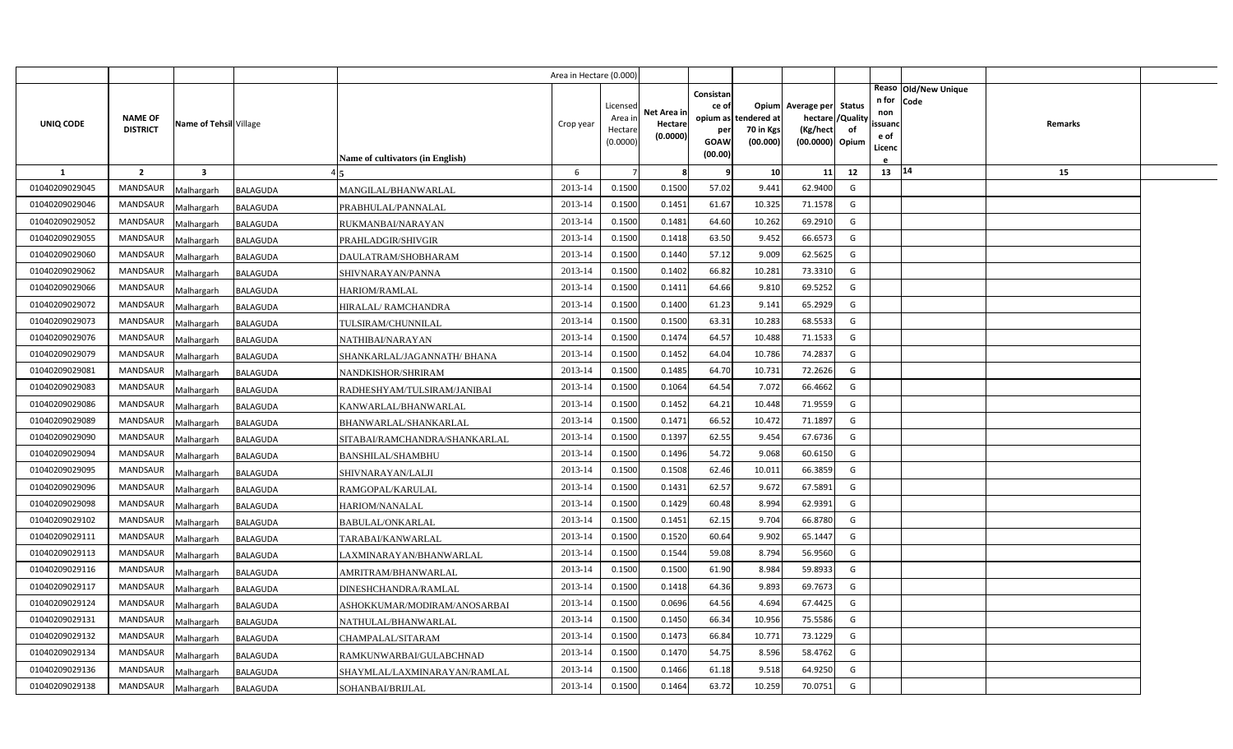|                |                                   |                        |                 |                                  | Area in Hectare (0.000 |                                            |                                    |                                   |                                               |                                                   |                |                                |                              |                |  |
|----------------|-----------------------------------|------------------------|-----------------|----------------------------------|------------------------|--------------------------------------------|------------------------------------|-----------------------------------|-----------------------------------------------|---------------------------------------------------|----------------|--------------------------------|------------------------------|----------------|--|
| UNIQ CODE      | <b>NAME OF</b><br><b>DISTRICT</b> | Name of Tehsil Village |                 |                                  | Crop year              | Licensed<br>Area in<br>Hectare<br>(0.0000) | Net Area in<br>Hectare<br>(0.0000) | Consistan<br>ce of<br>per<br>GOAW | opium as tendered at<br>70 in Kgs<br>(00.000) | Opium Average per Status<br>hectare /<br>(Kg/hect | /Quality<br>of | n for<br>non<br>ssuand<br>e of | Reaso Old/New Unique<br>Code | <b>Remarks</b> |  |
|                |                                   |                        |                 | Name of cultivators (in English) |                        |                                            |                                    | (00.00)                           |                                               | (00.0000) Opium                                   |                | Licenc                         |                              |                |  |
| <b>1</b>       | $\overline{2}$                    | 3                      |                 |                                  | 6                      |                                            | 8                                  | 9                                 | 10                                            | 11                                                | 12             | 13   14                        |                              | 15             |  |
| 01040209029045 | <b>MANDSAUR</b>                   | Malhargarh             | <b>BALAGUDA</b> | MANGILAL/BHANWARLAL              | 2013-14                | 0.1500                                     | 0.1500                             | 57.02                             | 9.441                                         | 62.9400                                           | G              |                                |                              |                |  |
| 01040209029046 | MANDSAUR                          | Malhargarh             | <b>BALAGUDA</b> | PRABHULAL/PANNALAL               | 2013-14                | 0.1500                                     | 0.1451                             | 61.67                             | 10.325                                        | 71.1578                                           | G              |                                |                              |                |  |
| 01040209029052 | <b>MANDSAUR</b>                   | Malhargarh             | <b>BALAGUDA</b> | RUKMANBAI/NARAYAN                | 2013-14                | 0.1500                                     | 0.1481                             | 64.60                             | 10.262                                        | 69.2910                                           | G              |                                |                              |                |  |
| 01040209029055 | <b>MANDSAUR</b>                   | Malhargarh             | BALAGUDA        | PRAHLADGIR/SHIVGIR               | 2013-14                | 0.1500                                     | 0.1418                             | 63.50                             | 9.452                                         | 66.6573                                           | G              |                                |                              |                |  |
| 01040209029060 | <b>MANDSAUR</b>                   | Malhargarh             | <b>BALAGUDA</b> | DAULATRAM/SHOBHARAM              | 2013-14                | 0.1500                                     | 0.1440                             | 57.12                             | 9.009                                         | 62.5625                                           | G              |                                |                              |                |  |
| 01040209029062 | <b>MANDSAUR</b>                   | Malhargarh             | <b>BALAGUDA</b> | SHIVNARAYAN/PANNA                | 2013-14                | 0.1500                                     | 0.1402                             | 66.82                             | 10.28                                         | 73.3310                                           | G              |                                |                              |                |  |
| 01040209029066 | <b>MANDSAUR</b>                   | Malhargarh             | BALAGUDA        | <b>HARIOM/RAMLAL</b>             | 2013-14                | 0.1500                                     | 0.1411                             | 64.66                             | 9.81                                          | 69.5252                                           | G              |                                |                              |                |  |
| 01040209029072 | <b>MANDSAUR</b>                   | Malhargarh             | <b>BALAGUDA</b> | HIRALAL/ RAMCHANDRA              | 2013-14                | 0.1500                                     | 0.1400                             | 61.23                             | 9.141                                         | 65.2929                                           | G              |                                |                              |                |  |
| 01040209029073 | <b>MANDSAUR</b>                   | Malhargarh             | BALAGUDA        | TULSIRAM/CHUNNILAL               | 2013-14                | 0.1500                                     | 0.1500                             | 63.31                             | 10.283                                        | 68.5533                                           | G              |                                |                              |                |  |
| 01040209029076 | <b>MANDSAUR</b>                   | Malhargarh             | <b>BALAGUDA</b> | NATHIBAI/NARAYAN                 | 2013-14                | 0.1500                                     | 0.1474                             | 64.57                             | 10.488                                        | 71.1533                                           | G              |                                |                              |                |  |
| 01040209029079 | <b>MANDSAUR</b>                   | Malhargarh             | <b>BALAGUDA</b> | SHANKARLAL/JAGANNATH/ BHANA      | 2013-14                | 0.1500                                     | 0.1452                             | 64.04                             | 10.786                                        | 74.2837                                           | G              |                                |                              |                |  |
| 01040209029081 | MANDSAUR                          | Malhargarh             | <b>BALAGUDA</b> | NANDKISHOR/SHRIRAM               | 2013-14                | 0.1500                                     | 0.1485                             | 64.70                             | 10.73                                         | 72.2626                                           | G              |                                |                              |                |  |
| 01040209029083 | <b>MANDSAUR</b>                   | Malhargarh             | <b>BALAGUDA</b> | RADHESHYAM/TULSIRAM/JANIBAI      | 2013-14                | 0.1500                                     | 0.1064                             | 64.54                             | 7.072                                         | 66.4662                                           | G              |                                |                              |                |  |
| 01040209029086 | MANDSAUR                          | Malhargarh             | BALAGUDA        | KANWARLAL/BHANWARLAL             | 2013-14                | 0.1500                                     | 0.1452                             | 64.21                             | 10.448                                        | 71.9559                                           | G              |                                |                              |                |  |
| 01040209029089 | <b>MANDSAUR</b>                   | Malhargarh             | BALAGUDA        | BHANWARLAL/SHANKARLAL            | 2013-14                | 0.1500                                     | 0.1471                             | 66.52                             | 10.472                                        | 71.1897                                           | G              |                                |                              |                |  |
| 01040209029090 | MANDSAUR                          | Malhargarh             | BALAGUDA        | SITABAI/RAMCHANDRA/SHANKARLAL    | 2013-14                | 0.1500                                     | 0.1397                             | 62.55                             | 9.454                                         | 67.6736                                           | G              |                                |                              |                |  |
| 01040209029094 | MANDSAUR                          | Malhargarh             | <b>BALAGUDA</b> | <b>BANSHILAL/SHAMBHU</b>         | 2013-14                | 0.1500                                     | 0.1496                             | 54.72                             | 9.068                                         | 60.6150                                           | G              |                                |                              |                |  |
| 01040209029095 | MANDSAUR                          | Malhargarh             | <b>BALAGUDA</b> | SHIVNARAYAN/LALJI                | 2013-14                | 0.1500                                     | 0.1508                             | 62.46                             | 10.01:                                        | 66.3859                                           | G              |                                |                              |                |  |
| 01040209029096 | <b>MANDSAUR</b>                   | Malhargarh             | BALAGUDA        | RAMGOPAL/KARULAL                 | 2013-14                | 0.1500                                     | 0.1431                             | 62.57                             | 9.672                                         | 67.5891                                           | G              |                                |                              |                |  |
| 01040209029098 | <b>MANDSAUR</b>                   | Malhargarh             | <b>BALAGUDA</b> | HARIOM/NANALAL                   | 2013-14                | 0.1500                                     | 0.1429                             | 60.48                             | 8.994                                         | 62.9391                                           | G              |                                |                              |                |  |
| 01040209029102 | <b>MANDSAUR</b>                   | Malhargarh             | BALAGUDA        | BABULAL/ONKARLAL                 | 2013-14                | 0.1500                                     | 0.1451                             | 62.15                             | 9.704                                         | 66.8780                                           | G              |                                |                              |                |  |
| 01040209029111 | <b>MANDSAUR</b>                   | Malhargarh             | <b>BALAGUDA</b> | TARABAI/KANWARLAL                | 2013-14                | 0.1500                                     | 0.1520                             | 60.64                             | 9.902                                         | 65.1447                                           | G              |                                |                              |                |  |
| 01040209029113 | <b>MANDSAUR</b>                   | Malhargarh             | <b>BALAGUDA</b> | LAXMINARAYAN/BHANWARLAL          | 2013-14                | 0.1500                                     | 0.1544                             | 59.08                             | 8.794                                         | 56.9560                                           | G              |                                |                              |                |  |
| 01040209029116 | <b>MANDSAUR</b>                   | Malhargarh             | BALAGUDA        | AMRITRAM/BHANWARLAL              | 2013-14                | 0.1500                                     | 0.1500                             | 61.90                             | 8.984                                         | 59.8933                                           | G              |                                |                              |                |  |
| 01040209029117 | <b>MANDSAUR</b>                   | Malhargarh             | BALAGUDA        | DINESHCHANDRA/RAMLAL             | 2013-14                | 0.1500                                     | 0.1418                             | 64.36                             | 9.893                                         | 69.7673                                           | G              |                                |                              |                |  |
| 01040209029124 | <b>MANDSAUR</b>                   | Malhargarh             | BALAGUDA        | ASHOKKUMAR/MODIRAM/ANOSARBAI     | 2013-14                | 0.1500                                     | 0.0696                             | 64.56                             | 4.694                                         | 67.4425                                           | G              |                                |                              |                |  |
| 01040209029131 | <b>MANDSAUR</b>                   | Malhargarh             | <b>BALAGUDA</b> | NATHULAL/BHANWARLAL              | 2013-14                | 0.1500                                     | 0.1450                             | 66.34                             | 10.956                                        | 75.5586                                           | G              |                                |                              |                |  |
| 01040209029132 | <b>MANDSAUR</b>                   | Malhargarh             | BALAGUDA        | CHAMPALAL/SITARAM                | 2013-14                | 0.1500                                     | 0.1473                             | 66.84                             | 10.771                                        | 73.1229                                           | G              |                                |                              |                |  |
| 01040209029134 | <b>MANDSAUR</b>                   | Malhargarh             | <b>BALAGUDA</b> | RAMKUNWARBAI/GULABCHNAD          | 2013-14                | 0.1500                                     | 0.1470                             | 54.75                             | 8.596                                         | 58.4762                                           | G              |                                |                              |                |  |
| 01040209029136 | <b>MANDSAUR</b>                   | Malhargarh             | <b>BALAGUDA</b> | SHAYMLAL/LAXMINARAYAN/RAMLAL     | 2013-14                | 0.1500                                     | 0.1466                             | 61.18                             | 9.518                                         | 64.9250                                           | G              |                                |                              |                |  |
| 01040209029138 | MANDSAUR                          | Malhargarh             | <b>BALAGUDA</b> | SOHANBAI/BRIJLAL                 | 2013-14                | 0.1500                                     | 0.1464                             | 63.72                             | 10.259                                        | 70.0751                                           | G              |                                |                              |                |  |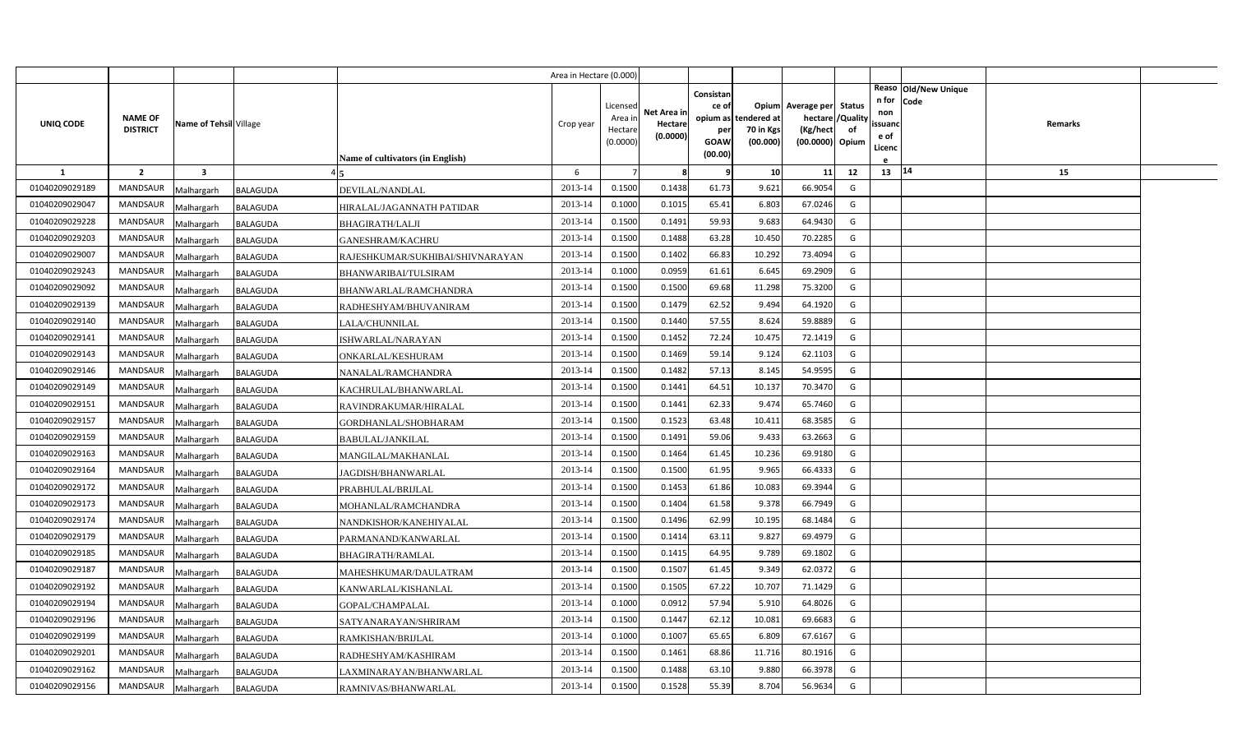|                |                                   |                         |                                                | Area in Hectare (0.000) |                                            |                                    |                                                     |                                               |                                                                    |                |                                          |                              |         |  |
|----------------|-----------------------------------|-------------------------|------------------------------------------------|-------------------------|--------------------------------------------|------------------------------------|-----------------------------------------------------|-----------------------------------------------|--------------------------------------------------------------------|----------------|------------------------------------------|------------------------------|---------|--|
| UNIQ CODE      | <b>NAME OF</b><br><b>DISTRICT</b> | Name of Tehsil Village  | Name of cultivators (in English)               | Crop year               | Licensed<br>Area in<br>Hectare<br>(0.0000) | Net Area in<br>Hectare<br>(0.0000) | Consistan<br>ce of<br>per<br><b>GOAW</b><br>(00.00) | opium as tendered at<br>70 in Kgs<br>(00.000) | Opium Average per Status<br>hectare<br>(Kg/hect<br>(00.0000) Opium | /Quality<br>of | n for<br>non<br>ssuand<br>e of<br>Licenc | Reaso Old/New Unique<br>Code | Remarks |  |
| $\mathbf{1}$   | $\overline{2}$                    | $\overline{\mathbf{3}}$ |                                                | 6                       |                                            | 8                                  | q                                                   | 10                                            | 11                                                                 | 12             | 13   14                                  |                              | 15      |  |
| 01040209029189 | MANDSAUR                          | Malhargarh              | <b>BALAGUDA</b><br>DEVILAL/NANDLAL             | 2013-14                 | 0.1500                                     | 0.1438                             | 61.73                                               | 9.621                                         | 66.9054                                                            | G              |                                          |                              |         |  |
| 01040209029047 | <b>MANDSAUR</b>                   | Malhargarh              | <b>BALAGUDA</b><br>HIRALAL/JAGANNATH PATIDAR   | 2013-14                 | 0.1000                                     | 0.1015                             | 65.41                                               | 6.803                                         | 67.0246                                                            | G              |                                          |                              |         |  |
| 01040209029228 | <b>MANDSAUR</b>                   | Malhargarh              | BALAGUDA<br><b>BHAGIRATH/LALJI</b>             | 2013-14                 | 0.1500                                     | 0.1491                             | 59.93                                               | 9.683                                         | 64.9430                                                            | G              |                                          |                              |         |  |
| 01040209029203 | <b>MANDSAUR</b>                   | Malhargarh              | BALAGUDA<br><b>GANESHRAM/KACHRU</b>            | 2013-14                 | 0.1500                                     | 0.1488                             | 63.28                                               | 10.45                                         | 70.2285                                                            | G              |                                          |                              |         |  |
| 01040209029007 | <b>MANDSAUR</b>                   | Malhargarh              | BALAGUDA<br>RAJESHKUMAR/SUKHIBAI/SHIVNARAYAN   | 2013-14                 | 0.1500                                     | 0.1402                             | 66.83                                               | 10.292                                        | 73.4094                                                            | G              |                                          |                              |         |  |
| 01040209029243 | <b>MANDSAUR</b>                   | Malhargarh              | <b>BALAGUDA</b><br><b>BHANWARIBAI/TULSIRAM</b> | 2013-14                 | 0.1000                                     | 0.0959                             | 61.61                                               | 6.645                                         | 69.2909                                                            | G              |                                          |                              |         |  |
| 01040209029092 | <b>MANDSAUR</b>                   | Malhargarh              | <b>BALAGUDA</b><br>BHANWARLAL/RAMCHANDRA       | 2013-14                 | 0.1500                                     | 0.1500                             | 69.68                                               | 11.298                                        | 75.3200                                                            | G              |                                          |                              |         |  |
| 01040209029139 | <b>MANDSAUR</b>                   | Malhargarh              | <b>BALAGUDA</b><br>RADHESHYAM/BHUVANIRAM       | 2013-14                 | 0.1500                                     | 0.1479                             | 62.52                                               | 9.494                                         | 64.1920                                                            | G              |                                          |                              |         |  |
| 01040209029140 | <b>MANDSAUR</b>                   | Malhargarh              | BALAGUDA<br>LALA/CHUNNILAL                     | 2013-14                 | 0.1500                                     | 0.1440                             | 57.55                                               | 8.624                                         | 59.8889                                                            | G              |                                          |                              |         |  |
| 01040209029141 | <b>MANDSAUR</b>                   | Malhargarh              | <b>BALAGUDA</b><br>ISHWARLAL/NARAYAN           | 2013-14                 | 0.1500                                     | 0.1452                             | 72.24                                               | 10.475                                        | 72.1419                                                            | G              |                                          |                              |         |  |
| 01040209029143 | <b>MANDSAUR</b>                   | Malhargarh              | ONKARLAL/KESHURAM<br><b>BALAGUDA</b>           | 2013-14                 | 0.1500                                     | 0.1469                             | 59.14                                               | 9.124                                         | 62.1103                                                            | G              |                                          |                              |         |  |
| 01040209029146 | <b>MANDSAUR</b>                   | Malhargarh              | <b>BALAGUDA</b><br>NANALAL/RAMCHANDRA          | 2013-14                 | 0.1500                                     | 0.1482                             | 57.13                                               | 8.145                                         | 54.9595                                                            | G              |                                          |                              |         |  |
| 01040209029149 | <b>MANDSAUR</b>                   | Malhargarh              | <b>BALAGUDA</b><br>KACHRULAL/BHANWARLAL        | 2013-14                 | 0.1500                                     | 0.1441                             | 64.51                                               | 10.137                                        | 70.3470                                                            | G              |                                          |                              |         |  |
| 01040209029151 | <b>MANDSAUR</b>                   | Malhargarh              | BALAGUDA<br>RAVINDRAKUMAR/HIRALAL              | 2013-14                 | 0.1500                                     | 0.1441                             | 62.33                                               | 9.474                                         | 65.7460                                                            | G              |                                          |                              |         |  |
| 01040209029157 | <b>MANDSAUR</b>                   | Malhargarh              | BALAGUDA<br>GORDHANLAL/SHOBHARAM               | 2013-14                 | 0.1500                                     | 0.1523                             | 63.48                                               | 10.411                                        | 68.3585                                                            | G              |                                          |                              |         |  |
| 01040209029159 | <b>MANDSAUR</b>                   | Malhargarh              | BALAGUDA<br><b>BABULAL/JANKILAL</b>            | 2013-14                 | 0.1500                                     | 0.1491                             | 59.06                                               | 9.433                                         | 63.2663                                                            | G              |                                          |                              |         |  |
| 01040209029163 | <b>MANDSAUR</b>                   | Malhargarh              | BALAGUDA<br>MANGILAL/MAKHANLAL                 | 2013-14                 | 0.1500                                     | 0.1464                             | 61.45                                               | 10.236                                        | 69.9180                                                            | G              |                                          |                              |         |  |
| 01040209029164 | <b>MANDSAUR</b>                   | Malhargarh              | BALAGUDA<br>JAGDISH/BHANWARLAL                 | 2013-14                 | 0.1500                                     | 0.1500                             | 61.95                                               | 9.965                                         | 66.4333                                                            | G              |                                          |                              |         |  |
| 01040209029172 | <b>MANDSAUR</b>                   | Malhargarh              | <b>BALAGUDA</b><br>PRABHULAL/BRIJLAL           | 2013-14                 | 0.1500                                     | 0.1453                             | 61.86                                               | 10.083                                        | 69.3944                                                            | G              |                                          |                              |         |  |
| 01040209029173 | <b>MANDSAUR</b>                   | Malhargarh              | BALAGUDA<br>MOHANLAL/RAMCHANDRA                | 2013-14                 | 0.1500                                     | 0.1404                             | 61.58                                               | 9.378                                         | 66.7949                                                            | G              |                                          |                              |         |  |
| 01040209029174 | MANDSAUR                          | Malhargarh              | <b>BALAGUDA</b><br>NANDKISHOR/KANEHIYALAL      | 2013-14                 | 0.1500                                     | 0.1496                             | 62.99                                               | 10.195                                        | 68.1484                                                            | G              |                                          |                              |         |  |
| 01040209029179 | <b>MANDSAUR</b>                   | Malhargarh              | BALAGUDA<br>PARMANAND/KANWARLAL                | 2013-14                 | 0.1500                                     | 0.1414                             | 63.11                                               | 9.827                                         | 69.4979                                                            | G              |                                          |                              |         |  |
| 01040209029185 | <b>MANDSAUR</b>                   | Malhargarh              | <b>BALAGUDA</b><br><b>BHAGIRATH/RAMLAL</b>     | 2013-14                 | 0.1500                                     | 0.1415                             | 64.95                                               | 9.789                                         | 69.1802                                                            | G              |                                          |                              |         |  |
| 01040209029187 | <b>MANDSAUR</b>                   | Malhargarh              | <b>BALAGUDA</b><br>MAHESHKUMAR/DAULATRAM       | 2013-14                 | 0.1500                                     | 0.1507                             | 61.45                                               | 9.349                                         | 62.0372                                                            | G              |                                          |                              |         |  |
| 01040209029192 | <b>MANDSAUR</b>                   | Malhargarh              | BALAGUDA<br>KANWARLAL/KISHANLAL                | 2013-14                 | 0.1500                                     | 0.1505                             | 67.22                                               | 10.707                                        | 71.1429                                                            | G              |                                          |                              |         |  |
| 01040209029194 | <b>MANDSAUR</b>                   | Malhargarh              | BALAGUDA<br>GOPAL/CHAMPALAL                    | 2013-14                 | 0.1000                                     | 0.0912                             | 57.94                                               | 5.910                                         | 64.8026                                                            | G              |                                          |                              |         |  |
| 01040209029196 | <b>MANDSAUR</b>                   | Malhargarh              | BALAGUDA<br>SATYANARAYAN/SHRIRAM               | 2013-14                 | 0.1500                                     | 0.1447                             | 62.12                                               | 10.08                                         | 69.6683                                                            | G              |                                          |                              |         |  |
| 01040209029199 | <b>MANDSAUR</b>                   | Malhargarh              | <b>BALAGUDA</b><br>RAMKISHAN/BRIJLAL           | 2013-14                 | 0.1000                                     | 0.1007                             | 65.65                                               | 6.809                                         | 67.6167                                                            | G              |                                          |                              |         |  |
| 01040209029201 | <b>MANDSAUR</b>                   | Malhargarh              | BALAGUDA<br>RADHESHYAM/KASHIRAM                | 2013-14                 | 0.1500                                     | 0.1461                             | 68.86                                               | 11.716                                        | 80.1916                                                            | G              |                                          |                              |         |  |
| 01040209029162 | <b>MANDSAUR</b>                   | Malhargarh              | <b>BALAGUDA</b><br>LAXMINARAYAN/BHANWARLAL     | 2013-14                 | 0.1500                                     | 0.1488                             | 63.10                                               | 9.880                                         | 66.3978                                                            | G              |                                          |                              |         |  |
| 01040209029156 | MANDSAUR                          | Malhargarh              | <b>BALAGUDA</b><br>RAMNIVAS/BHANWARLAL         | 2013-14                 | 0.1500                                     | 0.1528                             | 55.39                                               | 8.704                                         | 56.9634                                                            | G              |                                          |                              |         |  |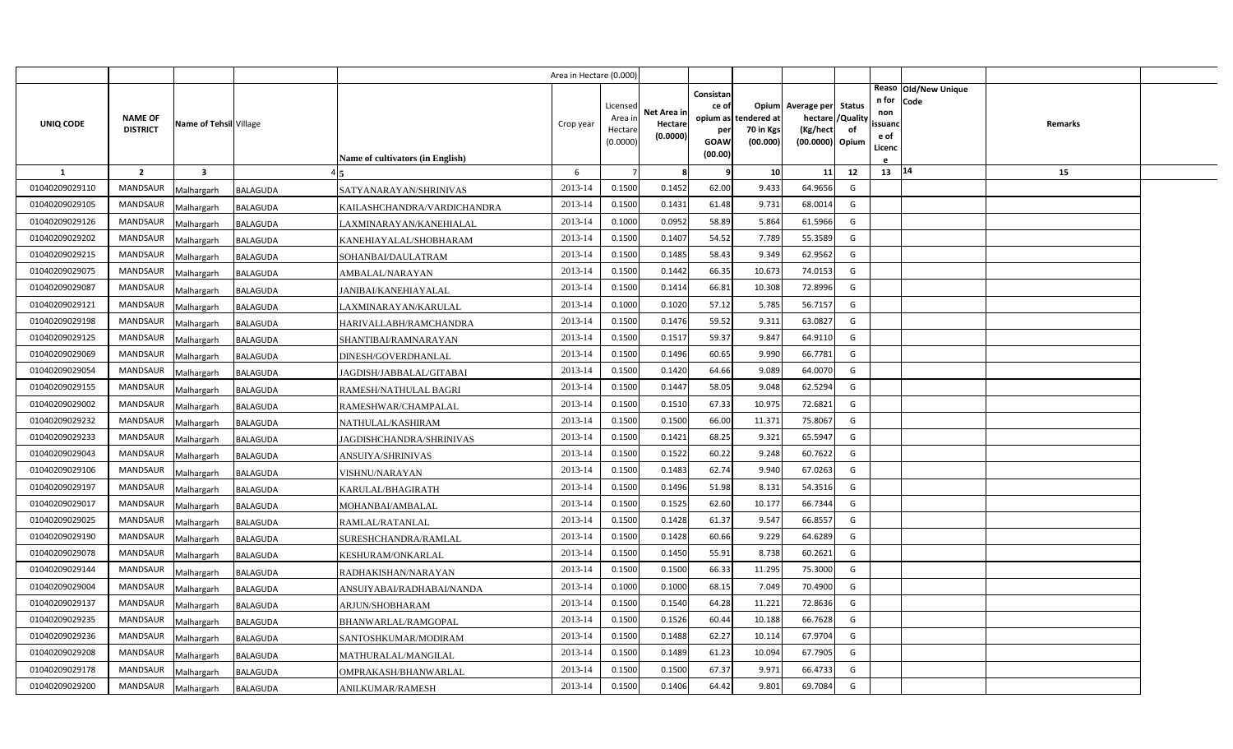|                |                                   |                        |                                                | Area in Hectare (0.000) |                                            |                                    |                                              |                                               |                                                                    |                |                                          |                              |         |  |
|----------------|-----------------------------------|------------------------|------------------------------------------------|-------------------------|--------------------------------------------|------------------------------------|----------------------------------------------|-----------------------------------------------|--------------------------------------------------------------------|----------------|------------------------------------------|------------------------------|---------|--|
| UNIQ CODE      | <b>NAME OF</b><br><b>DISTRICT</b> | Name of Tehsil Village | Name of cultivators (in English)               | Crop year               | Licensed<br>Area in<br>Hectare<br>(0.0000) | Net Area in<br>Hectare<br>(0.0000) | Consistan<br>ce of<br>per<br>GOAW<br>(00.00) | opium as tendered at<br>70 in Kgs<br>(00.000) | Opium Average per Status<br>hectare<br>(Kg/hect<br>(00.0000) Opium | /Quality<br>of | n for<br>non<br>ssuano<br>e of<br>Licenc | Reaso Old/New Unique<br>Code | Remarks |  |
| 1              | $\overline{2}$                    | 3                      |                                                | 6                       |                                            | -8                                 | q                                            | 10                                            | 11                                                                 | 12             | 13 14                                    |                              | 15      |  |
| 01040209029110 | <b>MANDSAUR</b>                   | Malhargarh             | BALAGUDA<br>SATYANARAYAN/SHRINIVAS             | 2013-14                 | 0.1500                                     | 0.1452                             | 62.00                                        | 9.433                                         | 64.9656                                                            | G              |                                          |                              |         |  |
| 01040209029105 | <b>MANDSAUR</b>                   | Malhargarh             | <b>BALAGUDA</b><br>KAILASHCHANDRA/VARDICHANDRA | 2013-14                 | 0.1500                                     | 0.1431                             | 61.48                                        | 9.731                                         | 68.0014                                                            | G              |                                          |                              |         |  |
| 01040209029126 | <b>MANDSAUR</b>                   | Malhargarh             | BALAGUDA<br>LAXMINARAYAN/KANEHIALAL            | 2013-14                 | 0.1000                                     | 0.0952                             | 58.89                                        | 5.864                                         | 61.5966                                                            | G              |                                          |                              |         |  |
| 01040209029202 | <b>MANDSAUR</b>                   | Malhargarh             | <b>BALAGUDA</b><br>KANEHIAYALAL/SHOBHARAM      | 2013-14                 | 0.1500                                     | 0.1407                             | 54.52                                        | 7.789                                         | 55.3589                                                            | G              |                                          |                              |         |  |
| 01040209029215 | <b>MANDSAUR</b>                   | Malhargarh             | BALAGUDA<br>SOHANBAI/DAULATRAM                 | 2013-14                 | 0.1500                                     | 0.1485                             | 58.43                                        | 9.349                                         | 62.9562                                                            | G              |                                          |                              |         |  |
| 01040209029075 | <b>MANDSAUR</b>                   | Malhargarh             | <b>BALAGUDA</b><br>AMBALAL/NARAYAN             | 2013-14                 | 0.1500                                     | 0.1442                             | 66.35                                        | 10.673                                        | 74.0153                                                            | G              |                                          |                              |         |  |
| 01040209029087 | <b>MANDSAUR</b>                   | Malhargarh             | BALAGUDA<br><b>JANIBAI/KANEHIAYALAL</b>        | 2013-14                 | 0.1500                                     | 0.1414                             | 66.81                                        | 10.308                                        | 72.8996                                                            | G              |                                          |                              |         |  |
| 01040209029121 | <b>MANDSAUR</b>                   | Malhargarh             | <b>BALAGUDA</b><br>LAXMINARAYAN/KARULAL        | 2013-14                 | 0.1000                                     | 0.1020                             | 57.12                                        | 5.785                                         | 56.7157                                                            | G              |                                          |                              |         |  |
| 01040209029198 | <b>MANDSAUR</b>                   | Malhargarh             | <b>BALAGUDA</b><br>HARIVALLABH/RAMCHANDRA      | 2013-14                 | 0.1500                                     | 0.1476                             | 59.52                                        | 9.311                                         | 63.0827                                                            | G              |                                          |                              |         |  |
| 01040209029125 | <b>MANDSAUR</b>                   | Malhargarh             | <b>BALAGUDA</b><br>SHANTIBAI/RAMNARAYAN        | 2013-14                 | 0.1500                                     | 0.1517                             | 59.37                                        | 9.847                                         | 64.9110                                                            | G              |                                          |                              |         |  |
| 01040209029069 | <b>MANDSAUR</b>                   | Malhargarh             | <b>BALAGUDA</b><br>DINESH/GOVERDHANLAL         | 2013-14                 | 0.1500                                     | 0.1496                             | 60.65                                        | 9.990                                         | 66.7781                                                            | G              |                                          |                              |         |  |
| 01040209029054 | <b>MANDSAUR</b>                   | Malhargarh             | BALAGUDA<br>JAGDISH/JABBALAL/GITABAI           | 2013-14                 | 0.1500                                     | 0.1420                             | 64.66                                        | 9.089                                         | 64.0070                                                            | G              |                                          |                              |         |  |
| 01040209029155 | <b>MANDSAUR</b>                   | Malhargarh             | <b>BALAGUDA</b><br>RAMESH/NATHULAL BAGRI       | 2013-14                 | 0.1500                                     | 0.1447                             | 58.05                                        | 9.048                                         | 62.5294                                                            | G              |                                          |                              |         |  |
| 01040209029002 | <b>MANDSAUR</b>                   | Malhargarh             | BALAGUDA<br>RAMESHWAR/CHAMPALAL                | 2013-14                 | 0.1500                                     | 0.1510                             | 67.33                                        | 10.975                                        | 72.6821                                                            | G              |                                          |                              |         |  |
| 01040209029232 | <b>MANDSAUR</b>                   | Malhargarh             | BALAGUDA<br>NATHULAL/KASHIRAM                  | 2013-14                 | 0.1500                                     | 0.1500                             | 66.00                                        | 11.37                                         | 75.8067                                                            | G              |                                          |                              |         |  |
| 01040209029233 | <b>MANDSAUR</b>                   | Malhargarh             | BALAGUDA<br>JAGDISHCHANDRA/SHRINIVAS           | 2013-14                 | 0.1500                                     | 0.1421                             | 68.25                                        | 9.321                                         | 65.5947                                                            | G              |                                          |                              |         |  |
| 01040209029043 | <b>MANDSAUR</b>                   | Malhargarh             | BALAGUDA<br>ANSUIYA/SHRINIVAS                  | 2013-14                 | 0.1500                                     | 0.1522                             | 60.22                                        | 9.248                                         | 60.7622                                                            | G              |                                          |                              |         |  |
| 01040209029106 | <b>MANDSAUR</b>                   | Malhargarh             | BALAGUDA<br>VISHNU/NARAYAN                     | 2013-14                 | 0.1500                                     | 0.1483                             | 62.74                                        | 9.940                                         | 67.0263                                                            | G              |                                          |                              |         |  |
| 01040209029197 | <b>MANDSAUR</b>                   | Malhargarh             | BALAGUDA<br>KARULAL/BHAGIRATH                  | 2013-14                 | 0.1500                                     | 0.1496                             | 51.98                                        | 8.131                                         | 54.3516                                                            | G              |                                          |                              |         |  |
| 01040209029017 | <b>MANDSAUR</b>                   | Malhargarh             | <b>BALAGUDA</b><br>MOHANBAI/AMBALAL            | 2013-14                 | 0.1500                                     | 0.1525                             | 62.60                                        | 10.177                                        | 66.7344                                                            | G              |                                          |                              |         |  |
| 01040209029025 | <b>MANDSAUR</b>                   | Malhargarh             | <b>BALAGUDA</b><br>RAMLAL/RATANLAL             | 2013-14                 | 0.1500                                     | 0.1428                             | 61.37                                        | 9.547                                         | 66.8557                                                            | G              |                                          |                              |         |  |
| 01040209029190 | <b>MANDSAUR</b>                   | Malhargarh             | BALAGUDA<br>SURESHCHANDRA/RAMLAL               | 2013-14                 | 0.1500                                     | 0.1428                             | 60.66                                        | 9.229                                         | 64.6289                                                            | G              |                                          |                              |         |  |
| 01040209029078 | <b>MANDSAUR</b>                   | Malhargarh             | BALAGUDA<br>KESHURAM/ONKARLAL                  | 2013-14                 | 0.1500                                     | 0.1450                             | 55.91                                        | 8.738                                         | 60.2621                                                            | G              |                                          |                              |         |  |
| 01040209029144 | <b>MANDSAUR</b>                   | Malhargarh             | BALAGUDA<br>RADHAKISHAN/NARAYAN                | 2013-14                 | 0.1500                                     | 0.1500                             | 66.33                                        | 11.295                                        | 75.3000                                                            | G              |                                          |                              |         |  |
| 01040209029004 | <b>MANDSAUR</b>                   | Malhargarh             | BALAGUDA<br>ANSUIYABAI/RADHABAI/NANDA          | 2013-14                 | 0.1000                                     | 0.1000                             | 68.15                                        | 7.049                                         | 70.4900                                                            | G              |                                          |                              |         |  |
| 01040209029137 | <b>MANDSAUR</b>                   | Malhargarh             | BALAGUDA<br>ARJUN/SHOBHARAM                    | 2013-14                 | 0.1500                                     | 0.1540                             | 64.28                                        | 11.221                                        | 72.8636                                                            | G              |                                          |                              |         |  |
| 01040209029235 | <b>MANDSAUR</b>                   | Malhargarh             | BALAGUDA<br>BHANWARLAL/RAMGOPAL                | 2013-14                 | 0.1500                                     | 0.1526                             | 60.44                                        | 10.188                                        | 66.7628                                                            | G              |                                          |                              |         |  |
| 01040209029236 | <b>MANDSAUR</b>                   | Malhargarh             | BALAGUDA<br>SANTOSHKUMAR/MODIRAM               | 2013-14                 | 0.1500                                     | 0.1488                             | 62.27                                        | 10.114                                        | 67.9704                                                            | G              |                                          |                              |         |  |
| 01040209029208 | <b>MANDSAUR</b>                   | Malhargarh             | BALAGUDA<br>MATHURALAL/MANGILAL                | 2013-14                 | 0.1500                                     | 0.1489                             | 61.23                                        | 10.094                                        | 67.7905                                                            | G              |                                          |                              |         |  |
| 01040209029178 | <b>MANDSAUR</b>                   | Malhargarh             | BALAGUDA<br>OMPRAKASH/BHANWARLAL               | 2013-14                 | 0.1500                                     | 0.1500                             | 67.37                                        | 9.971                                         | 66.4733                                                            | G              |                                          |                              |         |  |
| 01040209029200 | <b>MANDSAUR</b>                   | Malhargarh             | <b>BALAGUDA</b><br>ANILKUMAR/RAMESH            | 2013-14                 | 0.1500                                     | 0.1406                             | 64.42                                        | 9.801                                         | 69.7084                                                            | G              |                                          |                              |         |  |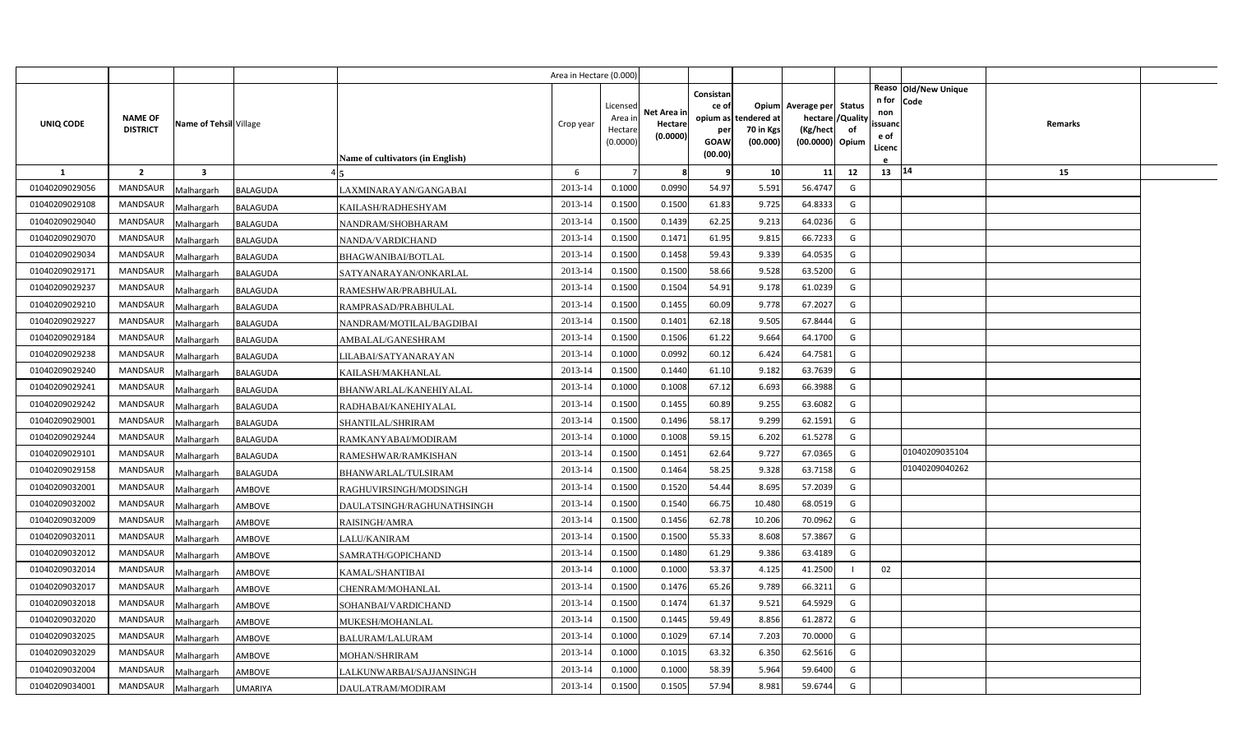|                |                                   |                         |                                               | Area in Hectare (0.000) |                                            |                                    |                                                     |                                               |                                                                    |                |                                          |                              |         |  |
|----------------|-----------------------------------|-------------------------|-----------------------------------------------|-------------------------|--------------------------------------------|------------------------------------|-----------------------------------------------------|-----------------------------------------------|--------------------------------------------------------------------|----------------|------------------------------------------|------------------------------|---------|--|
| UNIQ CODE      | <b>NAME OF</b><br><b>DISTRICT</b> | Name of Tehsil Village  | <b>Name of cultivators (in English)</b>       | Crop year               | Licensed<br>Area in<br>Hectare<br>(0.0000) | Net Area in<br>Hectare<br>(0.0000) | Consistan<br>ce of<br>per<br><b>GOAW</b><br>(00.00) | opium as tendered at<br>70 in Kgs<br>(00.000) | Opium Average per Status<br>hectare<br>(Kg/hect<br>(00.0000) Opium | /Quality<br>of | n for<br>non<br>ssuand<br>e of<br>Licenc | Reaso Old/New Unique<br>Code | Remarks |  |
| 1              | $\overline{2}$                    | $\overline{\mathbf{3}}$ |                                               | 6                       |                                            | -8                                 | q                                                   | 10                                            | 11                                                                 | 12             | 13 14                                    |                              | 15      |  |
| 01040209029056 | <b>MANDSAUR</b>                   | Malhargarh              | BALAGUDA<br>LAXMINARAYAN/GANGABAI             | 2013-14                 | 0.1000                                     | 0.0990                             | 54.97                                               | 5.591                                         | 56.4747                                                            | G              |                                          |                              |         |  |
| 01040209029108 | <b>MANDSAUR</b>                   | Malhargarh              | <b>BALAGUDA</b><br>KAILASH/RADHESHYAM         | 2013-14                 | 0.1500                                     | 0.1500                             | 61.83                                               | 9.725                                         | 64.8333                                                            | G              |                                          |                              |         |  |
| 01040209029040 | <b>MANDSAUR</b>                   | Malhargarh              | <b>BALAGUDA</b><br>NANDRAM/SHOBHARAM          | 2013-14                 | 0.1500                                     | 0.1439                             | 62.25                                               | 9.213                                         | 64.0236                                                            | G              |                                          |                              |         |  |
| 01040209029070 | <b>MANDSAUR</b>                   | Malhargarh              | BALAGUDA<br>NANDA/VARDICHAND                  | 2013-14                 | 0.1500                                     | 0.1471                             | 61.95                                               | 9.815                                         | 66.7233                                                            | G              |                                          |                              |         |  |
| 01040209029034 | <b>MANDSAUR</b>                   | Malhargarh              | BALAGUDA<br><b>BHAGWANIBAI/BOTLAL</b>         | 2013-14                 | 0.1500                                     | 0.1458                             | 59.43                                               | 9.339                                         | 64.0535                                                            | G              |                                          |                              |         |  |
| 01040209029171 | <b>MANDSAUR</b>                   | Malhargarh              | BALAGUDA<br>SATYANARAYAN/ONKARLAL             | 2013-14                 | 0.1500                                     | 0.1500                             | 58.66                                               | 9.528                                         | 63.5200                                                            | G              |                                          |                              |         |  |
| 01040209029237 | <b>MANDSAUR</b>                   | Malhargarh              | <b>BALAGUDA</b><br>RAMESHWAR/PRABHULAL        | 2013-14                 | 0.1500                                     | 0.1504                             | 54.91                                               | 9.178                                         | 61.0239                                                            | G              |                                          |                              |         |  |
| 01040209029210 | <b>MANDSAUR</b>                   | Malhargarh              | <b>BALAGUDA</b><br>RAMPRASAD/PRABHULAL        | 2013-14                 | 0.1500                                     | 0.1455                             | 60.09                                               | 9.778                                         | 67.2027                                                            | G              |                                          |                              |         |  |
| 01040209029227 | <b>MANDSAUR</b>                   | Malhargarh              | <b>BALAGUDA</b><br>NANDRAM/MOTILAL/BAGDIBAI   | 2013-14                 | 0.1500                                     | 0.1401                             | 62.18                                               | 9.505                                         | 67.8444                                                            | G              |                                          |                              |         |  |
| 01040209029184 | <b>MANDSAUR</b>                   | Malhargarh              | BALAGUDA<br>AMBALAL/GANESHRAM                 | 2013-14                 | 0.1500                                     | 0.1506                             | 61.22                                               | 9.664                                         | 64.1700                                                            | G              |                                          |                              |         |  |
| 01040209029238 | <b>MANDSAUR</b>                   | Malhargarh              | BALAGUDA<br>LILABAI/SATYANARAYAN              | 2013-14                 | 0.1000                                     | 0.0992                             | 60.12                                               | 6.424                                         | 64.7581                                                            | G              |                                          |                              |         |  |
| 01040209029240 | <b>MANDSAUR</b>                   | Malhargarh              | <b>BALAGUDA</b><br>KAILASH/MAKHANLAL          | 2013-14                 | 0.1500                                     | 0.1440                             | 61.10                                               | 9.182                                         | 63.7639                                                            | G              |                                          |                              |         |  |
| 01040209029241 | <b>MANDSAUR</b>                   | Malhargarh              | BALAGUDA<br>BHANWARLAL/KANEHIYALAL            | 2013-14                 | 0.1000                                     | 0.1008                             | 67.12                                               | 6.693                                         | 66.3988                                                            | G              |                                          |                              |         |  |
| 01040209029242 | <b>MANDSAUR</b>                   | Malhargarh              | BALAGUDA<br>RADHABAI/KANEHIYALAL              | 2013-14                 | 0.1500                                     | 0.1455                             | 60.89                                               | 9.255                                         | 63.6082                                                            | G              |                                          |                              |         |  |
| 01040209029001 | <b>MANDSAUR</b>                   | Malhargarh              | BALAGUDA<br>SHANTILAL/SHRIRAM                 | 2013-14                 | 0.1500                                     | 0.1496                             | 58.17                                               | 9.299                                         | 62.1591                                                            | G              |                                          |                              |         |  |
| 01040209029244 | <b>MANDSAUR</b>                   | Malhargarh              | <b>BALAGUDA</b><br>RAMKANYABAI/MODIRAM        | 2013-14                 | 0.1000                                     | 0.1008                             | 59.15                                               | 6.202                                         | 61.5278                                                            | G              |                                          |                              |         |  |
| 01040209029101 | <b>MANDSAUR</b>                   | Malhargarh              | BALAGUDA<br>RAMESHWAR/RAMKISHAN               | 2013-14                 | 0.1500                                     | 0.1451                             | 62.64                                               | 9.727                                         | 67.0365                                                            | G              |                                          | 01040209035104               |         |  |
| 01040209029158 | <b>MANDSAUR</b>                   | Malhargarh              | <b>BALAGUDA</b><br><b>BHANWARLAL/TULSIRAM</b> | 2013-14                 | 0.1500                                     | 0.1464                             | 58.25                                               | 9.328                                         | 63.7158                                                            | G              |                                          | 01040209040262               |         |  |
| 01040209032001 | <b>MANDSAUR</b>                   | Malhargarh              | AMBOVE<br>RAGHUVIRSINGH/MODSINGH              | 2013-14                 | 0.1500                                     | 0.1520                             | 54.44                                               | 8.695                                         | 57.2039                                                            | G              |                                          |                              |         |  |
| 01040209032002 | <b>MANDSAUR</b>                   | Malhargarh              | AMBOVE<br>DAULATSINGH/RAGHUNATHSINGH          | 2013-14                 | 0.1500                                     | 0.1540                             | 66.75                                               | 10.480                                        | 68.0519                                                            | G              |                                          |                              |         |  |
| 01040209032009 | <b>MANDSAUR</b>                   | Malhargarh              | AMBOVE<br>RAISINGH/AMRA                       | 2013-14                 | 0.1500                                     | 0.1456                             | 62.78                                               | 10.206                                        | 70.0962                                                            | G              |                                          |                              |         |  |
| 01040209032011 | <b>MANDSAUR</b>                   | Malhargarh              | AMBOVE<br>LALU/KANIRAM                        | 2013-14                 | 0.1500                                     | 0.1500                             | 55.33                                               | 8.608                                         | 57.3867                                                            | G              |                                          |                              |         |  |
| 01040209032012 | <b>MANDSAUR</b>                   | Malhargarh              | AMBOVE<br>SAMRATH/GOPICHAND                   | 2013-14                 | 0.1500                                     | 0.1480                             | 61.29                                               | 9.386                                         | 63.4189                                                            | G              |                                          |                              |         |  |
| 01040209032014 | <b>MANDSAUR</b>                   | Malhargarh              | AMBOVE<br>KAMAL/SHANTIBAI                     | 2013-14                 | 0.1000                                     | 0.1000                             | 53.37                                               | 4.125                                         | 41.2500                                                            |                | 02                                       |                              |         |  |
| 01040209032017 | <b>MANDSAUR</b>                   | Malhargarh              | AMBOVE<br>CHENRAM/MOHANLAL                    | 2013-14                 | 0.1500                                     | 0.1476                             | 65.26                                               | 9.789                                         | 66.3211                                                            | G              |                                          |                              |         |  |
| 01040209032018 | <b>MANDSAUR</b>                   | Malhargarh              | AMBOVE<br>SOHANBAI/VARDICHAND                 | 2013-14                 | 0.1500                                     | 0.1474                             | 61.37                                               | 9.521                                         | 64.5929                                                            | G              |                                          |                              |         |  |
| 01040209032020 | <b>MANDSAUR</b>                   | Malhargarh              | AMBOVE<br>MUKESH/MOHANLAL                     | 2013-14                 | 0.1500                                     | 0.1445                             | 59.49                                               | 8.856                                         | 61.2872                                                            | G              |                                          |                              |         |  |
| 01040209032025 | <b>MANDSAUR</b>                   | Malhargarh              | AMBOVE<br>BALURAM/LALURAM                     | 2013-14                 | 0.1000                                     | 0.1029                             | 67.14                                               | 7.203                                         | 70.0000                                                            | G              |                                          |                              |         |  |
| 01040209032029 | <b>MANDSAUR</b>                   | Malhargarh              | <b>AMBOVE</b><br><b>MOHAN/SHRIRAM</b>         | 2013-14                 | 0.1000                                     | 0.1015                             | 63.32                                               | 6.350                                         | 62.5616                                                            | G              |                                          |                              |         |  |
| 01040209032004 | <b>MANDSAUR</b>                   | Malhargarh              | AMBOVE<br>LALKUNWARBAI/SAJJANSINGH            | 2013-14                 | 0.1000                                     | 0.1000                             | 58.39                                               | 5.964                                         | 59.6400                                                            | G              |                                          |                              |         |  |
| 01040209034001 | MANDSAUR                          | Malhargarh              | <b>UMARIYA</b><br>DAULATRAM/MODIRAM           | 2013-14                 | 0.1500                                     | 0.1505                             | 57.94                                               | 8.981                                         | 59.6744                                                            | G              |                                          |                              |         |  |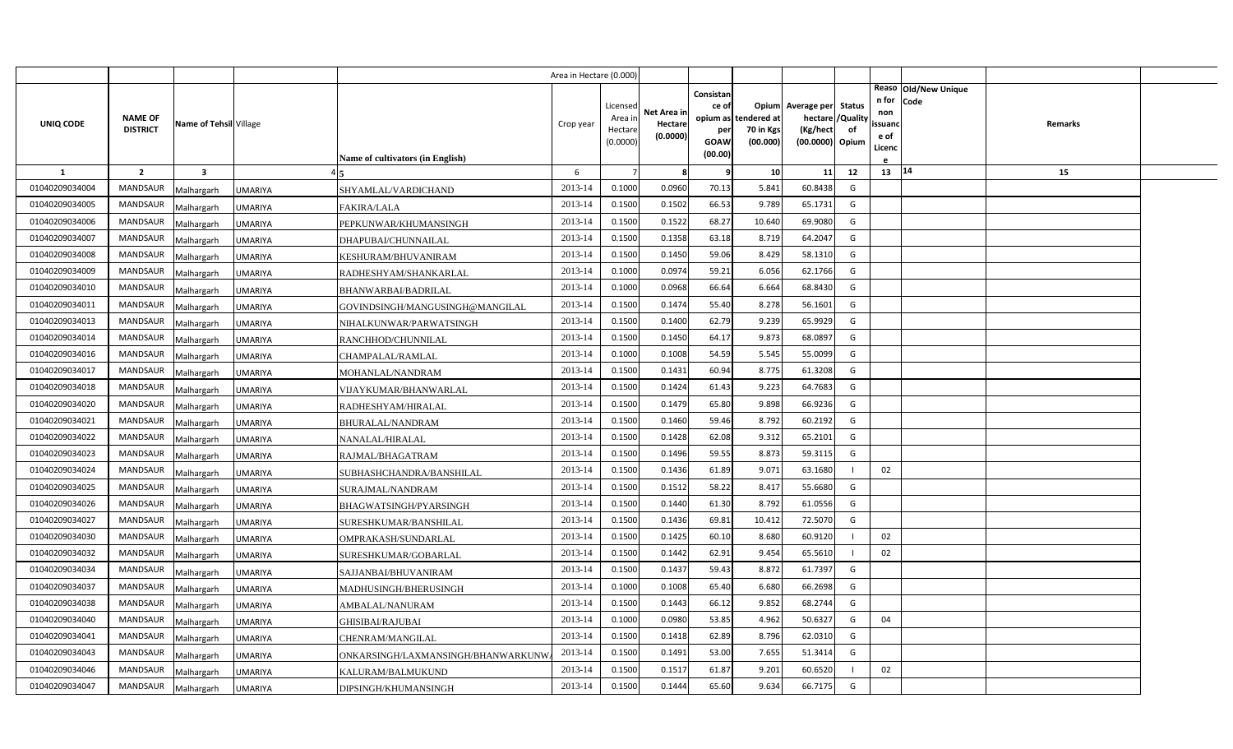|                |                                   |                         |                                                   | Area in Hectare (0.000) |                                            |                                    |                                                     |                                               |                                                                    |                |                                          |                              |         |  |
|----------------|-----------------------------------|-------------------------|---------------------------------------------------|-------------------------|--------------------------------------------|------------------------------------|-----------------------------------------------------|-----------------------------------------------|--------------------------------------------------------------------|----------------|------------------------------------------|------------------------------|---------|--|
| UNIQ CODE      | <b>NAME OF</b><br><b>DISTRICT</b> | Name of Tehsil Village  | Name of cultivators (in English)                  | Crop year               | Licensed<br>Area in<br>Hectare<br>(0.0000) | Net Area in<br>Hectare<br>(0.0000) | Consistan<br>ce of<br>per<br><b>GOAW</b><br>(00.00) | opium as tendered at<br>70 in Kgs<br>(00.000) | Opium Average per Status<br>hectare<br>(Kg/hect<br>(00.0000) Opium | /Quality<br>of | n for<br>non<br>ssuand<br>e of<br>Licenc | Reaso Old/New Unique<br>Code | Remarks |  |
| $\mathbf{1}$   | $\overline{2}$                    | $\overline{\mathbf{3}}$ |                                                   | 6                       |                                            | 8                                  | q                                                   | 10                                            | 11                                                                 | 12             | 13   14                                  |                              | 15      |  |
| 01040209034004 | MANDSAUR                          | Malhargarh              | UMARIYA<br>SHYAMLAL/VARDICHAND                    | 2013-14                 | 0.1000                                     | 0.0960                             | 70.13                                               | 5.841                                         | 60.8438                                                            | G              |                                          |                              |         |  |
| 01040209034005 | <b>MANDSAUR</b>                   | Malhargarh              | <b>UMARIYA</b><br><b>FAKIRA/LALA</b>              | 2013-14                 | 0.1500                                     | 0.1502                             | 66.53                                               | 9.789                                         | 65.1731                                                            | G              |                                          |                              |         |  |
| 01040209034006 | <b>MANDSAUR</b>                   | Malhargarh              | UMARIYA<br>PEPKUNWAR/KHUMANSINGH                  | 2013-14                 | 0.1500                                     | 0.1522                             | 68.27                                               | 10.640                                        | 69.9080                                                            | G              |                                          |                              |         |  |
| 01040209034007 | <b>MANDSAUR</b>                   | Malhargarh              | UMARIYA<br>DHAPUBAI/CHUNNAILAL                    | 2013-14                 | 0.1500                                     | 0.1358                             | 63.18                                               | 8.719                                         | 64.2047                                                            | G              |                                          |                              |         |  |
| 01040209034008 | <b>MANDSAUR</b>                   | Malhargarh              | <b>UMARIYA</b><br>KESHURAM/BHUVANIRAM             | 2013-14                 | 0.1500                                     | 0.1450                             | 59.06                                               | 8.429                                         | 58.1310                                                            | G              |                                          |                              |         |  |
| 01040209034009 | <b>MANDSAUR</b>                   | Malhargarh              | <b>UMARIYA</b><br>RADHESHYAM/SHANKARLAL           | 2013-14                 | 0.1000                                     | 0.0974                             | 59.21                                               | 6.056                                         | 62.1766                                                            | G              |                                          |                              |         |  |
| 01040209034010 | <b>MANDSAUR</b>                   | Malhargarh              | <b>UMARIYA</b><br>BHANWARBAI/BADRILAL             | 2013-14                 | 0.1000                                     | 0.0968                             | 66.64                                               | 6.664                                         | 68.8430                                                            | G              |                                          |                              |         |  |
| 01040209034011 | <b>MANDSAUR</b>                   | Malhargarh              | <b>UMARIYA</b><br>GOVINDSINGH/MANGUSINGH@MANGILAL | 2013-14                 | 0.1500                                     | 0.1474                             | 55.40                                               | 8.278                                         | 56.1601                                                            | G              |                                          |                              |         |  |
| 01040209034013 | <b>MANDSAUR</b>                   | Malhargarh              | UMARIYA<br>NIHALKUNWAR/PARWATSINGH                | 2013-14                 | 0.1500                                     | 0.1400                             | 62.79                                               | 9.239                                         | 65.9929                                                            | G              |                                          |                              |         |  |
| 01040209034014 | <b>MANDSAUR</b>                   | Malhargarh              | <b>UMARIYA</b><br>RANCHHOD/CHUNNILAL              | 2013-14                 | 0.1500                                     | 0.1450                             | 64.17                                               | 9.873                                         | 68.0897                                                            | G              |                                          |                              |         |  |
| 01040209034016 | <b>MANDSAUR</b>                   | Malhargarh              | UMARIYA<br>CHAMPALAL/RAMLAL                       | 2013-14                 | 0.1000                                     | 0.1008                             | 54.59                                               | 5.545                                         | 55.0099                                                            | G              |                                          |                              |         |  |
| 01040209034017 | <b>MANDSAUR</b>                   | Malhargarh              | UMARIYA<br>MOHANLAL/NANDRAM                       | 2013-14                 | 0.1500                                     | 0.1431                             | 60.94                                               | 8.775                                         | 61.3208                                                            | G              |                                          |                              |         |  |
| 01040209034018 | <b>MANDSAUR</b>                   | Malhargarh              | UMARIYA<br>VIJAYKUMAR/BHANWARLAL                  | 2013-14                 | 0.1500                                     | 0.1424                             | 61.43                                               | 9.223                                         | 64.7683                                                            | G              |                                          |                              |         |  |
| 01040209034020 | <b>MANDSAUR</b>                   | Malhargarh              | UMARIYA<br>RADHESHYAM/HIRALAL                     | 2013-14                 | 0.1500                                     | 0.1479                             | 65.80                                               | 9.898                                         | 66.9236                                                            | G              |                                          |                              |         |  |
| 01040209034021 | <b>MANDSAUR</b>                   | Malhargarh              | <b>UMARIYA</b><br><b>BHURALAL/NANDRAM</b>         | 2013-14                 | 0.1500                                     | 0.1460                             | 59.46                                               | 8.792                                         | 60.2192                                                            | G              |                                          |                              |         |  |
| 01040209034022 | <b>MANDSAUR</b>                   | Malhargarh              | UMARIYA<br>NANALAL/HIRALAL                        | 2013-14                 | 0.1500                                     | 0.1428                             | 62.08                                               | 9.312                                         | 65.2101                                                            | G              |                                          |                              |         |  |
| 01040209034023 | <b>MANDSAUR</b>                   | Malhargarh              | UMARIYA<br>RAJMAL/BHAGATRAM                       | 2013-14                 | 0.1500                                     | 0.1496                             | 59.55                                               | 8.873                                         | 59.3115                                                            | G              |                                          |                              |         |  |
| 01040209034024 | <b>MANDSAUR</b>                   | Malhargarh              | UMARIYA<br>SUBHASHCHANDRA/BANSHILAL               | 2013-14                 | 0.1500                                     | 0.1436                             | 61.89                                               | 9.071                                         | 63.1680                                                            |                | 02                                       |                              |         |  |
| 01040209034025 | <b>MANDSAUR</b>                   | Malhargarh              | UMARIYA<br>SURAJMAL/NANDRAM                       | 2013-14                 | 0.1500                                     | 0.1512                             | 58.22                                               | 8.417                                         | 55.6680                                                            | G              |                                          |                              |         |  |
| 01040209034026 | <b>MANDSAUR</b>                   | Malhargarh              | <b>UMARIYA</b><br>BHAGWATSINGH/PYARSINGH          | 2013-14                 | 0.1500                                     | 0.1440                             | 61.30                                               | 8.792                                         | 61.0556                                                            | G              |                                          |                              |         |  |
| 01040209034027 | MANDSAUR                          | Malhargarh              | <b>UMARIYA</b><br>SURESHKUMAR/BANSHILAL           | 2013-14                 | 0.1500                                     | 0.1436                             | 69.81                                               | 10.412                                        | 72.5070                                                            | G              |                                          |                              |         |  |
| 01040209034030 | <b>MANDSAUR</b>                   | Malhargarh              | <b>UMARIYA</b><br>OMPRAKASH/SUNDARLAL             | 2013-14                 | 0.1500                                     | 0.1425                             | 60.10                                               | 8.680                                         | 60.9120                                                            |                | 02                                       |                              |         |  |
| 01040209034032 | <b>MANDSAUR</b>                   | Malhargarh              | SURESHKUMAR/GOBARLAL<br>UMARIYA                   | 2013-14                 | 0.1500                                     | 0.1442                             | 62.91                                               | 9.454                                         | 65.5610                                                            |                | 02                                       |                              |         |  |
| 01040209034034 | <b>MANDSAUR</b>                   | Malhargarh              | UMARIYA<br>SAJJANBAI/BHUVANIRAM                   | 2013-14                 | 0.1500                                     | 0.1437                             | 59.43                                               | 8.872                                         | 61.7397                                                            | G              |                                          |                              |         |  |
| 01040209034037 | <b>MANDSAUR</b>                   | Malhargarh              | UMARIYA<br>MADHUSINGH/BHERUSINGH                  | 2013-14                 | 0.1000                                     | 0.1008                             | 65.40                                               | 6.680                                         | 66.2698                                                            | G              |                                          |                              |         |  |
| 01040209034038 | <b>MANDSAUR</b>                   | Malhargarh              | <b>UMARIYA</b><br>AMBALAL/NANURAM                 | 2013-14                 | 0.1500                                     | 0.1443                             | 66.12                                               | 9.852                                         | 68.2744                                                            | G              |                                          |                              |         |  |
| 01040209034040 | <b>MANDSAUR</b>                   | Malhargarh              | <b>UMARIYA</b><br>GHISIBAI/RAJUBAI                | 2013-14                 | 0.1000                                     | 0.0980                             | 53.85                                               | 4.962                                         | 50.6327                                                            | G              | 04                                       |                              |         |  |
| 01040209034041 | <b>MANDSAUR</b>                   | Malhargarh              | UMARIYA<br>CHENRAM/MANGILAL                       | 2013-14                 | 0.1500                                     | 0.1418                             | 62.89                                               | 8.796                                         | 62.0310                                                            | G              |                                          |                              |         |  |
| 01040209034043 | <b>MANDSAUR</b>                   | Malhargarh              | UMARIYA<br>ONKARSINGH/LAXMANSINGH/BHANWARKUNW     | 2013-14                 | 0.1500                                     | 0.1491                             | 53.00                                               | 7.655                                         | 51.3414                                                            | G              |                                          |                              |         |  |
| 01040209034046 | <b>MANDSAUR</b>                   | Malhargarh              | UMARIYA<br>KALURAM/BALMUKUND                      | 2013-14                 | 0.1500                                     | 0.1517                             | 61.87                                               | 9.201                                         | 60.6520                                                            |                | 02                                       |                              |         |  |
| 01040209034047 | MANDSAUR                          | Malhargarh              | <b>UMARIYA</b><br>DIPSINGH/KHUMANSINGH            | 2013-14                 | 0.1500                                     | 0.1444                             | 65.60                                               | 9.634                                         | 66.7175                                                            | G              |                                          |                              |         |  |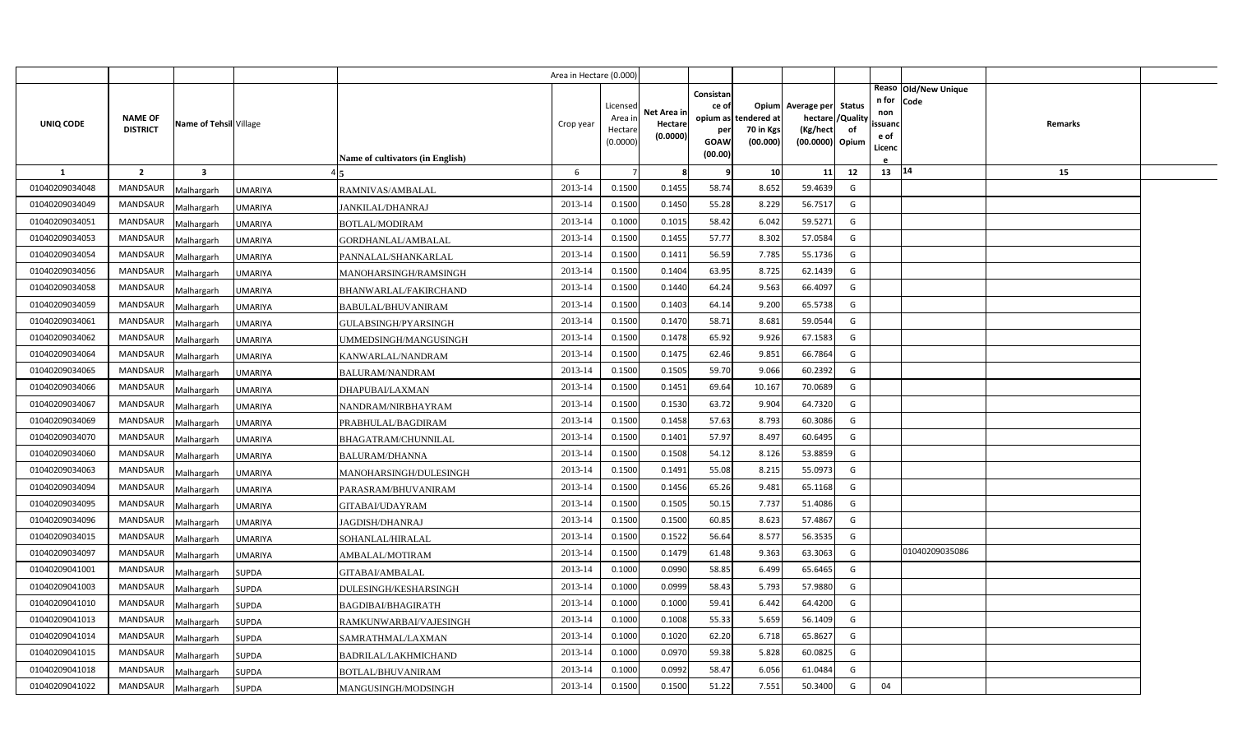|                |                                   |                         |                                             | Area in Hectare (0.000) |                                            |                                    |                                                     |                                               |                                                                    |                |                                          |                              |         |  |
|----------------|-----------------------------------|-------------------------|---------------------------------------------|-------------------------|--------------------------------------------|------------------------------------|-----------------------------------------------------|-----------------------------------------------|--------------------------------------------------------------------|----------------|------------------------------------------|------------------------------|---------|--|
| UNIQ CODE      | <b>NAME OF</b><br><b>DISTRICT</b> | Name of Tehsil Village  | Name of cultivators (in English)            | Crop year               | Licensed<br>Area in<br>Hectare<br>(0.0000) | Net Area in<br>Hectare<br>(0.0000) | Consistan<br>ce of<br>per<br><b>GOAW</b><br>(00.00) | opium as tendered at<br>70 in Kgs<br>(00.000) | Opium Average per Status<br>hectare<br>(Kg/hect<br>(00.0000) Opium | /Quality<br>of | n for<br>non<br>ssuand<br>e of<br>Licenc | Reaso Old/New Unique<br>Code | Remarks |  |
| <b>1</b>       | $\overline{2}$                    | $\overline{\mathbf{3}}$ |                                             | 6                       |                                            | -8                                 | q                                                   | 10                                            | 11                                                                 | 12             | 13 14                                    |                              | 15      |  |
| 01040209034048 | <b>MANDSAUR</b>                   | Malhargarh              | UMARIYA<br>RAMNIVAS/AMBALAL                 | 2013-14                 | 0.1500                                     | 0.1455                             | 58.74                                               | 8.652                                         | 59.4639                                                            | G              |                                          |                              |         |  |
| 01040209034049 | <b>MANDSAUR</b>                   | Malhargarh              | <b>UMARIYA</b><br><b>JANKILAL/DHANRAJ</b>   | 2013-14                 | 0.1500                                     | 0.1450                             | 55.28                                               | 8.229                                         | 56.7517                                                            | G              |                                          |                              |         |  |
| 01040209034051 | <b>MANDSAUR</b>                   | Malhargarh              | <b>UMARIYA</b><br>BOTLAL/MODIRAM            | 2013-14                 | 0.1000                                     | 0.1015                             | 58.42                                               | 6.042                                         | 59.5271                                                            | G              |                                          |                              |         |  |
| 01040209034053 | <b>MANDSAUR</b>                   | Malhargarh              | UMARIYA<br>GORDHANLAL/AMBALAL               | 2013-14                 | 0.1500                                     | 0.1455                             | 57.77                                               | 8.302                                         | 57.0584                                                            | G              |                                          |                              |         |  |
| 01040209034054 | <b>MANDSAUR</b>                   | Malhargarh              | UMARIYA<br>PANNALAL/SHANKARLAL              | 2013-14                 | 0.1500                                     | 0.1411                             | 56.59                                               | 7.785                                         | 55.1736                                                            | G              |                                          |                              |         |  |
| 01040209034056 | <b>MANDSAUR</b>                   | Malhargarh              | UMARIYA<br>MANOHARSINGH/RAMSINGH            | 2013-14                 | 0.1500                                     | 0.1404                             | 63.95                                               | 8.725                                         | 62.1439                                                            | G              |                                          |                              |         |  |
| 01040209034058 | <b>MANDSAUR</b>                   | Malhargarh              | <b>UMARIYA</b><br>BHANWARLAL/FAKIRCHAND     | 2013-14                 | 0.1500                                     | 0.1440                             | 64.24                                               | 9.563                                         | 66.4097                                                            | G              |                                          |                              |         |  |
| 01040209034059 | <b>MANDSAUR</b>                   | Malhargarh              | <b>UMARIYA</b><br><b>BABULAL/BHUVANIRAM</b> | 2013-14                 | 0.1500                                     | 0.1403                             | 64.14                                               | 9.200                                         | 65.5738                                                            | G              |                                          |                              |         |  |
| 01040209034061 | <b>MANDSAUR</b>                   | Malhargarh              | <b>UMARIYA</b><br>GULABSINGH/PYARSINGH      | 2013-14                 | 0.1500                                     | 0.1470                             | 58.71                                               | 8.681                                         | 59.0544                                                            | G              |                                          |                              |         |  |
| 01040209034062 | <b>MANDSAUR</b>                   | Malhargarh              | UMARIYA<br>UMMEDSINGH/MANGUSINGH            | 2013-14                 | 0.1500                                     | 0.1478                             | 65.92                                               | 9.926                                         | 67.1583                                                            | G              |                                          |                              |         |  |
| 01040209034064 | <b>MANDSAUR</b>                   | Malhargarh              | UMARIYA<br>KANWARLAL/NANDRAM                | 2013-14                 | 0.1500                                     | 0.1475                             | 62.46                                               | 9.851                                         | 66.7864                                                            | G              |                                          |                              |         |  |
| 01040209034065 | <b>MANDSAUR</b>                   | Malhargarh              | UMARIYA<br><b>BALURAM/NANDRAM</b>           | 2013-14                 | 0.1500                                     | 0.1505                             | 59.70                                               | 9.066                                         | 60.2392                                                            | G              |                                          |                              |         |  |
| 01040209034066 | <b>MANDSAUR</b>                   | Malhargarh              | UMARIYA<br><b>DHAPUBAI/LAXMAN</b>           | 2013-14                 | 0.1500                                     | 0.1451                             | 69.64                                               | 10.167                                        | 70.0689                                                            | G              |                                          |                              |         |  |
| 01040209034067 | <b>MANDSAUR</b>                   | Malhargarh              | UMARIYA<br>NANDRAM/NIRBHAYRAM               | 2013-14                 | 0.1500                                     | 0.1530                             | 63.72                                               | 9.904                                         | 64.7320                                                            | G              |                                          |                              |         |  |
| 01040209034069 | <b>MANDSAUR</b>                   | Malhargarh              | PRABHULAL/BAGDIRAM<br>UMARIYA               | 2013-14                 | 0.1500                                     | 0.1458                             | 57.63                                               | 8.793                                         | 60.3086                                                            | G              |                                          |                              |         |  |
| 01040209034070 | <b>MANDSAUR</b>                   | Malhargarh              | UMARIYA<br>BHAGATRAM/CHUNNILAL              | 2013-14                 | 0.1500                                     | 0.1401                             | 57.97                                               | 8.497                                         | 60.6495                                                            | G              |                                          |                              |         |  |
| 01040209034060 | <b>MANDSAUR</b>                   | Malhargarh              | UMARIYA<br><b>BALURAM/DHANNA</b>            | 2013-14                 | 0.1500                                     | 0.1508                             | 54.12                                               | 8.126                                         | 53.8859                                                            | G              |                                          |                              |         |  |
| 01040209034063 | <b>MANDSAUR</b>                   | Malhargarh              | MANOHARSINGH/DULESINGH<br>UMARIYA           | 2013-14                 | 0.1500                                     | 0.1491                             | 55.08                                               | 8.215                                         | 55.0973                                                            | G              |                                          |                              |         |  |
| 01040209034094 | <b>MANDSAUR</b>                   | Malhargarh              | UMARIYA<br>PARASRAM/BHUVANIRAM              | 2013-14                 | 0.1500                                     | 0.1456                             | 65.26                                               | 9.481                                         | 65.1168                                                            | G              |                                          |                              |         |  |
| 01040209034095 | <b>MANDSAUR</b>                   | Malhargarh              | <b>UMARIYA</b><br>GITABAI/UDAYRAM           | 2013-14                 | 0.1500                                     | 0.1505                             | 50.15                                               | 7.737                                         | 51.4086                                                            | G              |                                          |                              |         |  |
| 01040209034096 | <b>MANDSAUR</b>                   | Malhargarh              | <b>UMARIYA</b><br>JAGDISH/DHANRAJ           | 2013-14                 | 0.1500                                     | 0.1500                             | 60.85                                               | 8.623                                         | 57.4867                                                            | G              |                                          |                              |         |  |
| 01040209034015 | <b>MANDSAUR</b>                   | Malhargarh              | SOHANLAL/HIRALAL<br>UMARIYA                 | 2013-14                 | 0.1500                                     | 0.1522                             | 56.64                                               | 8.577                                         | 56.3535                                                            | G              |                                          |                              |         |  |
| 01040209034097 | <b>MANDSAUR</b>                   | Malhargarh              | <b>UMARIYA</b><br>AMBALAL/MOTIRAM           | 2013-14                 | 0.1500                                     | 0.1479                             | 61.48                                               | 9.363                                         | 63.3063                                                            | G              |                                          | 01040209035086               |         |  |
| 01040209041001 | <b>MANDSAUR</b>                   | Malhargarh              | SUPDA<br>GITABAI/AMBALAL                    | 2013-14                 | 0.1000                                     | 0.0990                             | 58.85                                               | 6.499                                         | 65.6465                                                            | G              |                                          |                              |         |  |
| 01040209041003 | <b>MANDSAUR</b>                   | Malhargarh              | SUPDA<br>DULESINGH/KESHARSINGH              | 2013-14                 | 0.1000                                     | 0.0999                             | 58.43                                               | 5.793                                         | 57.9880                                                            | G              |                                          |                              |         |  |
| 01040209041010 | <b>MANDSAUR</b>                   | Malhargarh              | SUPDA<br>BAGDIBAI/BHAGIRATH                 | 2013-14                 | 0.1000                                     | 0.1000                             | 59.41                                               | 6.442                                         | 64.4200                                                            | G              |                                          |                              |         |  |
| 01040209041013 | <b>MANDSAUR</b>                   | Malhargarh              | SUPDA<br>RAMKUNWARBAI/VAJESINGH             | 2013-14                 | 0.1000                                     | 0.1008                             | 55.33                                               | 5.659                                         | 56.1409                                                            | G              |                                          |                              |         |  |
| 01040209041014 | <b>MANDSAUR</b>                   | Malhargarh              | <b>SUPDA</b><br>SAMRATHMAL/LAXMAN           | 2013-14                 | 0.1000                                     | 0.1020                             | 62.20                                               | 6.718                                         | 65.8627                                                            | G              |                                          |                              |         |  |
| 01040209041015 | <b>MANDSAUR</b>                   | Malhargarh              | <b>SUPDA</b><br><b>BADRILAL/LAKHMICHAND</b> | 2013-14                 | 0.1000                                     | 0.0970                             | 59.38                                               | 5.828                                         | 60.0825                                                            | G              |                                          |                              |         |  |
| 01040209041018 | <b>MANDSAUR</b>                   | Malhargarh              | <b>SUPDA</b><br>BOTLAL/BHUVANIRAM           | 2013-14                 | 0.1000                                     | 0.0992                             | 58.47                                               | 6.056                                         | 61.0484                                                            | G              |                                          |                              |         |  |
| 01040209041022 | MANDSAUR                          | Malhargarh              | <b>SUPDA</b><br>MANGUSINGH/MODSINGH         | 2013-14                 | 0.1500                                     | 0.1500                             | 51.22                                               | 7.551                                         | 50.3400                                                            | G              | 04                                       |                              |         |  |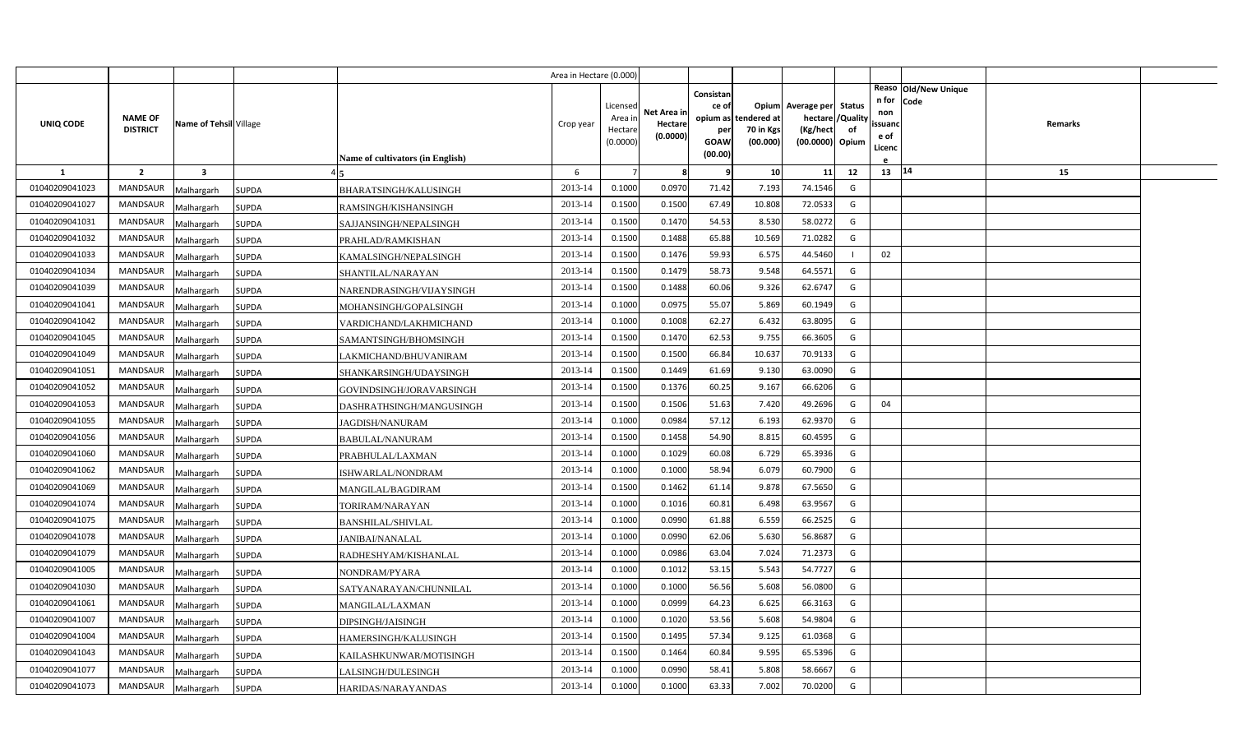|                |                 |                          |                              |                                               | Area in Hectare (0.000 |                     |                     |                 |                      |                                       |          |                |                              |         |  |
|----------------|-----------------|--------------------------|------------------------------|-----------------------------------------------|------------------------|---------------------|---------------------|-----------------|----------------------|---------------------------------------|----------|----------------|------------------------------|---------|--|
|                |                 |                          |                              |                                               |                        |                     |                     | Consistan       |                      |                                       |          | n for          | Reaso Old/New Unique<br>Code |         |  |
|                | <b>NAME OF</b>  |                          |                              |                                               |                        | Licensed<br>Area in | Net Area in         | ce of           | opium as tendered at | Opium Average per Status<br>hectare / | /Quality | non            |                              |         |  |
| UNIQ CODE      | <b>DISTRICT</b> | Name of Tehsil Village   |                              |                                               | Crop year              | Hectare             | Hectare<br>(0.0000) | per             | 70 in Kgs            | (Kg/hect                              | of       | ssuanc<br>e of |                              | Remarks |  |
|                |                 |                          |                              |                                               |                        | (0.0000)            |                     | GOAW<br>(00.00) | (00.000)             | (00.0000) Opium                       |          | Licenc         |                              |         |  |
| <b>1</b>       | $\overline{2}$  | $\overline{\mathbf{3}}$  |                              | <b>Name of cultivators (in English)</b>       | 6                      |                     | -8                  | q               | 10                   | 11                                    | 12       | 13   14        |                              | 15      |  |
| 01040209041023 | <b>MANDSAUR</b> |                          |                              |                                               | 2013-14                | 0.1000              | 0.0970              | 71.42           | 7.193                | 74.1546                               | G        |                |                              |         |  |
| 01040209041027 | MANDSAUR        | Malhargarh<br>Malhargarh | <b>SUPDA</b><br><b>SUPDA</b> | BHARATSINGH/KALUSINGH<br>RAMSINGH/KISHANSINGH | 2013-14                | 0.1500              | 0.1500              | 67.49           | 10.808               | 72.0533                               | G        |                |                              |         |  |
| 01040209041031 | <b>MANDSAUR</b> | Malhargarh               | <b>SUPDA</b>                 | SAJJANSINGH/NEPALSINGH                        | 2013-14                | 0.1500              | 0.1470              | 54.53           | 8.530                | 58.0272                               | G        |                |                              |         |  |
| 01040209041032 | <b>MANDSAUR</b> | Malhargarh               | <b>SUPDA</b>                 | PRAHLAD/RAMKISHAN                             | 2013-14                | 0.1500              | 0.1488              | 65.88           | 10.569               | 71.0282                               | G        |                |                              |         |  |
| 01040209041033 | <b>MANDSAUR</b> | Malhargarh               | SUPDA                        | KAMALSINGH/NEPALSINGH                         | 2013-14                | 0.1500              | 0.1476              | 59.93           | 6.57                 | 44.5460                               |          | 02             |                              |         |  |
| 01040209041034 | <b>MANDSAUR</b> | Malhargarh               | SUPDA                        | SHANTILAL/NARAYAN                             | 2013-14                | 0.1500              | 0.1479              | 58.73           | 9.548                | 64.5571                               | G        |                |                              |         |  |
| 01040209041039 | <b>MANDSAUR</b> | Malhargarh               | <b>SUPDA</b>                 | NARENDRASINGH/VIJAYSINGH                      | 2013-14                | 0.1500              | 0.1488              | 60.06           | 9.326                | 62.6747                               | G        |                |                              |         |  |
| 01040209041041 | <b>MANDSAUR</b> | Malhargarh               | <b>SUPDA</b>                 | MOHANSINGH/GOPALSINGH                         | 2013-14                | 0.1000              | 0.0975              | 55.07           | 5.869                | 60.1949                               | G        |                |                              |         |  |
| 01040209041042 | <b>MANDSAUR</b> | Malhargarh               | <b>SUPDA</b>                 | VARDICHAND/LAKHMICHAND                        | 2013-14                | 0.1000              | 0.1008              | 62.27           | 6.432                | 63.8095                               | G        |                |                              |         |  |
| 01040209041045 | <b>MANDSAUR</b> | Malhargarh               | SUPDA                        | SAMANTSINGH/BHOMSINGH                         | 2013-14                | 0.1500              | 0.1470              | 62.53           | 9.755                | 66.3605                               | G        |                |                              |         |  |
| 01040209041049 | <b>MANDSAUR</b> | Malhargarh               | <b>SUPDA</b>                 | LAKMICHAND/BHUVANIRAM                         | 2013-14                | 0.1500              | 0.1500              | 66.84           | 10.637               | 70.9133                               | G        |                |                              |         |  |
| 01040209041051 | <b>MANDSAUR</b> | Malhargarh               | SUPDA                        | SHANKARSINGH/UDAYSINGH                        | 2013-14                | 0.1500              | 0.1449              | 61.69           | 9.130                | 63.0090                               | G        |                |                              |         |  |
| 01040209041052 | MANDSAUR        | Malhargarh               | <b>SUPDA</b>                 | GOVINDSINGH/JORAVARSINGH                      | 2013-14                | 0.1500              | 0.1376              | 60.25           | 9.167                | 66.6206                               | G        |                |                              |         |  |
| 01040209041053 | <b>MANDSAUR</b> | Malhargarh               | <b>SUPDA</b>                 | DASHRATHSINGH/MANGUSINGH                      | 2013-14                | 0.1500              | 0.1506              | 51.63           | 7.420                | 49.2696                               | G        | 04             |                              |         |  |
| 01040209041055 | MANDSAUR        | Malhargarh               | SUPDA                        | <b>JAGDISH/NANURAM</b>                        | 2013-14                | 0.1000              | 0.0984              | 57.12           | 6.193                | 62.9370                               | G        |                |                              |         |  |
| 01040209041056 | MANDSAUR        | Malhargarh               | <b>SUPDA</b>                 | <b>BABULAL/NANURAM</b>                        | 2013-14                | 0.1500              | 0.1458              | 54.90           | 8.815                | 60.4595                               | G        |                |                              |         |  |
| 01040209041060 | MANDSAUR        | Malhargarh               | <b>SUPDA</b>                 | PRABHULAL/LAXMAN                              | 2013-14                | 0.1000              | 0.1029              | 60.08           | 6.729                | 65.3936                               | G        |                |                              |         |  |
| 01040209041062 | MANDSAUR        | Malhargarh               | <b>SUPDA</b>                 | ISHWARLAL/NONDRAM                             | 2013-14                | 0.1000              | 0.1000              | 58.94           | 6.079                | 60.7900                               | G        |                |                              |         |  |
| 01040209041069 | <b>MANDSAUR</b> | Malhargarh               | <b>SUPDA</b>                 | MANGILAL/BAGDIRAM                             | 2013-14                | 0.1500              | 0.1462              | 61.14           | 9.878                | 67.5650                               | G        |                |                              |         |  |
| 01040209041074 | <b>MANDSAUR</b> | Malhargarh               | <b>SUPDA</b>                 | TORIRAM/NARAYAN                               | 2013-14                | 0.1000              | 0.1016              | 60.81           | 6.498                | 63.9567                               | G        |                |                              |         |  |
| 01040209041075 | <b>MANDSAUR</b> | Malhargarh               | SUPDA                        | BANSHILAL/SHIVLAL                             | 2013-14                | 0.1000              | 0.0990              | 61.88           | 6.559                | 66.2525                               | G        |                |                              |         |  |
| 01040209041078 | <b>MANDSAUR</b> | Malhargarh               | SUPDA                        | JANIBAI/NANALAL                               | 2013-14                | 0.1000              | 0.0990              | 62.06           | 5.630                | 56.8687                               | G        |                |                              |         |  |
| 01040209041079 | <b>MANDSAUR</b> | Malhargarh               | <b>SUPDA</b>                 | RADHESHYAM/KISHANLAL                          | 2013-14                | 0.1000              | 0.0986              | 63.04           | 7.024                | 71.2373                               | G        |                |                              |         |  |
| 01040209041005 | <b>MANDSAUR</b> | Malhargarh               | SUPDA                        | NONDRAM/PYARA                                 | 2013-14                | 0.1000              | 0.1012              | 53.15           | 5.543                | 54.7727                               | G        |                |                              |         |  |
| 01040209041030 | <b>MANDSAUR</b> | Malhargarh               | SUPDA                        | SATYANARAYAN/CHUNNILAL                        | 2013-14                | 0.1000              | 0.1000              | 56.56           | 5.608                | 56.0800                               | G        |                |                              |         |  |
| 01040209041061 | <b>MANDSAUR</b> | Malhargarh               | SUPDA                        | MANGILAL/LAXMAN                               | 2013-14                | 0.1000              | 0.0999              | 64.23           | 6.625                | 66.3163                               | G        |                |                              |         |  |
| 01040209041007 | <b>MANDSAUR</b> | Malhargarh               | SUPDA                        | DIPSINGH/JAISINGH                             | 2013-14                | 0.1000              | 0.1020              | 53.56           | 5.608                | 54.9804                               | G        |                |                              |         |  |
| 01040209041004 | <b>MANDSAUR</b> | Malhargarh               | <b>SUPDA</b>                 | HAMERSINGH/KALUSINGH                          | 2013-14                | 0.1500              | 0.1495              | 57.34           | 9.125                | 61.0368                               | G        |                |                              |         |  |
| 01040209041043 | <b>MANDSAUR</b> | Malhargarh               | <b>SUPDA</b>                 | KAILASHKUNWAR/MOTISINGH                       | 2013-14                | 0.1500              | 0.1464              | 60.84           | 9.595                | 65.5396                               | G        |                |                              |         |  |
| 01040209041077 | <b>MANDSAUR</b> | Malhargarh               | <b>SUPDA</b>                 | LALSINGH/DULESINGH                            | 2013-14                | 0.1000              | 0.0990              | 58.41           | 5.808                | 58.6667                               | G        |                |                              |         |  |
| 01040209041073 | MANDSAUR        | Malhargarh               | <b>SUPDA</b>                 | HARIDAS/NARAYANDAS                            | 2013-14                | 0.1000              | 0.1000              | 63.33           | 7.002                | 70.0200                               | G        |                |                              |         |  |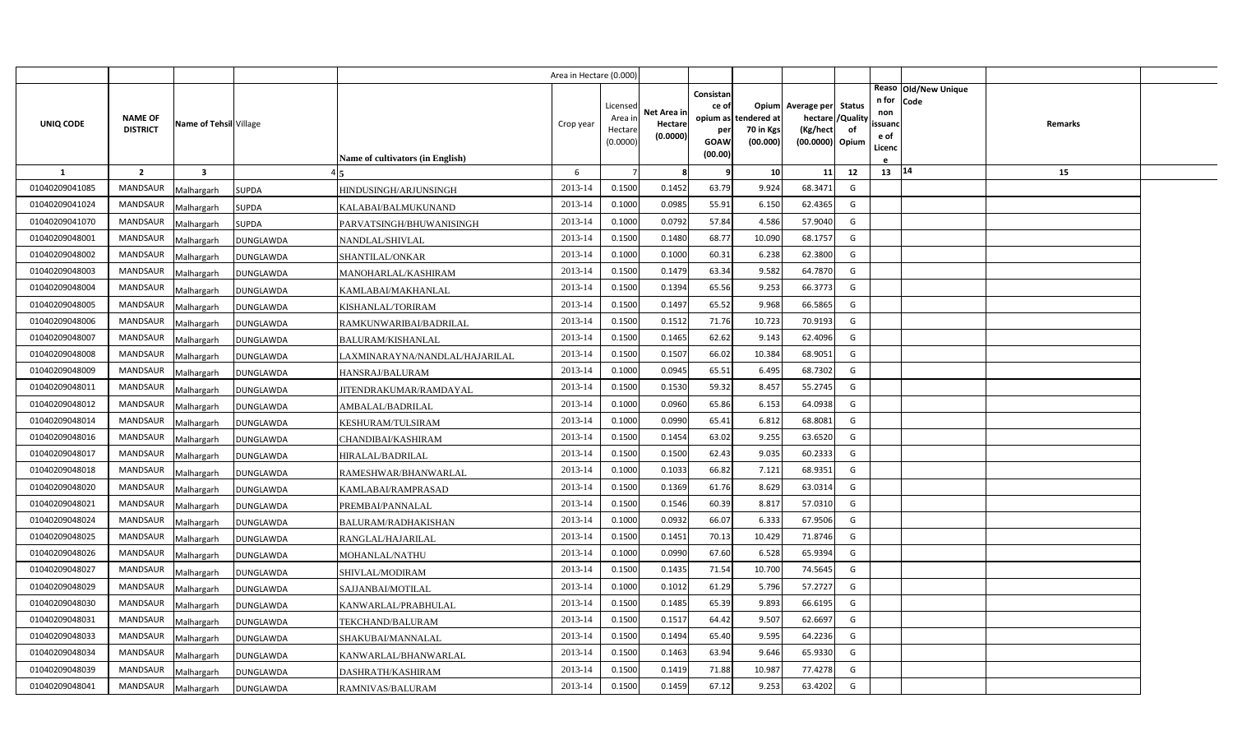|                |                                   |                         |                  |                                  | Area in Hectare (0.000 |                                            |                                    |                                                          |                                      |                                                                       |                     |                                          |                                |         |  |
|----------------|-----------------------------------|-------------------------|------------------|----------------------------------|------------------------|--------------------------------------------|------------------------------------|----------------------------------------------------------|--------------------------------------|-----------------------------------------------------------------------|---------------------|------------------------------------------|--------------------------------|---------|--|
| UNIQ CODE      | <b>NAME OF</b><br><b>DISTRICT</b> | Name of Tehsil Village  |                  | Name of cultivators (in English) | Crop year              | Licensed<br>Area in<br>Hectare<br>(0.0000) | Net Area in<br>Hectare<br>(0.0000) | Consistan<br>ce of<br>opium as<br>per<br>GOAW<br>(00.00) | tendered at<br>70 in Kgs<br>(00.000) | Opium Average per<br>hectare / Quality<br>(Kg/hect<br>(00.0000) Opium | <b>Status</b><br>of | n for<br>non<br>ssuand<br>e of<br>Licenc | Reaso   Old/New Unique<br>Code | Remarks |  |
| $\mathbf{1}$   | $\overline{2}$                    | $\overline{\mathbf{3}}$ |                  |                                  | 6                      |                                            | -8                                 | q                                                        | 10                                   | 11                                                                    | 12                  | 13   14                                  |                                | 15      |  |
| 01040209041085 | MANDSAUR                          | Malhargarh              | <b>SUPDA</b>     | HINDUSINGH/ARJUNSINGH            | 2013-14                | 0.1500                                     | 0.1452                             | 63.79                                                    | 9.924                                | 68.3471                                                               | G                   |                                          |                                |         |  |
| 01040209041024 | <b>MANDSAUR</b>                   | Malhargarh              | SUPDA            | KALABAI/BALMUKUNAND              | 2013-14                | 0.1000                                     | 0.0985                             | 55.91                                                    | 6.150                                | 62.4365                                                               | G                   |                                          |                                |         |  |
| 01040209041070 | <b>MANDSAUR</b>                   | Malhargarh              | <b>SUPDA</b>     | PARVATSINGH/BHUWANISINGH         | 2013-14                | 0.1000                                     | 0.0792                             | 57.84                                                    | 4.586                                | 57.9040                                                               | G                   |                                          |                                |         |  |
| 01040209048001 | <b>MANDSAUR</b>                   | Malhargarh              | DUNGLAWDA        | NANDLAL/SHIVLAL                  | 2013-14                | 0.1500                                     | 0.1480                             | 68.77                                                    | 10.090                               | 68.1757                                                               | G                   |                                          |                                |         |  |
| 01040209048002 | <b>MANDSAUR</b>                   | Malhargarh              | DUNGLAWDA        | SHANTILAL/ONKAR                  | 2013-14                | 0.1000                                     | 0.1000                             | 60.31                                                    | 6.238                                | 62.3800                                                               | G                   |                                          |                                |         |  |
| 01040209048003 | <b>MANDSAUR</b>                   | Malhargarh              | DUNGLAWDA        | MANOHARLAL/KASHIRAM              | 2013-14                | 0.1500                                     | 0.1479                             | 63.34                                                    | 9.582                                | 64.7870                                                               | G                   |                                          |                                |         |  |
| 01040209048004 | <b>MANDSAUR</b>                   | Malhargarh              | DUNGLAWDA        | KAMLABAI/MAKHANLAL               | 2013-14                | 0.1500                                     | 0.1394                             | 65.56                                                    | 9.253                                | 66.3773                                                               | G                   |                                          |                                |         |  |
| 01040209048005 | <b>MANDSAUR</b>                   | Malhargarh              | DUNGLAWDA        | KISHANLAL/TORIRAM                | 2013-14                | 0.1500                                     | 0.1497                             | 65.52                                                    | 9.968                                | 66.5865                                                               | G                   |                                          |                                |         |  |
| 01040209048006 | <b>MANDSAUR</b>                   | Malhargarh              | DUNGLAWDA        | RAMKUNWARIBAI/BADRILAL           | 2013-14                | 0.1500                                     | 0.1512                             | 71.76                                                    | 10.723                               | 70.9193                                                               | G                   |                                          |                                |         |  |
| 01040209048007 | <b>MANDSAUR</b>                   | Malhargarh              | DUNGLAWDA        | <b>BALURAM/KISHANLAL</b>         | 2013-14                | 0.1500                                     | 0.1465                             | 62.62                                                    | 9.143                                | 62.4096                                                               | G                   |                                          |                                |         |  |
| 01040209048008 | <b>MANDSAUR</b>                   | Malhargarh              | DUNGLAWDA        | LAXMINARAYNA/NANDLAL/HAJARILAL   | 2013-14                | 0.1500                                     | 0.1507                             | 66.02                                                    | 10.384                               | 68.9051                                                               | G                   |                                          |                                |         |  |
| 01040209048009 | MANDSAUR                          | Malhargarh              | DUNGLAWDA        | HANSRAJ/BALURAM                  | 2013-14                | 0.1000                                     | 0.0945                             | 65.51                                                    | 6.495                                | 68.7302                                                               | G                   |                                          |                                |         |  |
| 01040209048011 | <b>MANDSAUR</b>                   | Malhargarh              | DUNGLAWDA        | JITENDRAKUMAR/RAMDAYAL           | 2013-14                | 0.1500                                     | 0.1530                             | 59.32                                                    | 8.457                                | 55.2745                                                               | G                   |                                          |                                |         |  |
| 01040209048012 | MANDSAUR                          | Malhargarh              | DUNGLAWDA        | AMBALAL/BADRILAL                 | 2013-14                | 0.1000                                     | 0.0960                             | 65.86                                                    | 6.153                                | 64.0938                                                               | G                   |                                          |                                |         |  |
| 01040209048014 | <b>MANDSAUR</b>                   | Malhargarh              | DUNGLAWDA        | KESHURAM/TULSIRAM                | 2013-14                | 0.1000                                     | 0.0990                             | 65.41                                                    | 6.812                                | 68.8081                                                               | G                   |                                          |                                |         |  |
| 01040209048016 | MANDSAUR                          | Malhargarh              | DUNGLAWDA        | CHANDIBAI/KASHIRAM               | 2013-14                | 0.1500                                     | 0.1454                             | 63.02                                                    | 9.255                                | 63.6520                                                               | G                   |                                          |                                |         |  |
| 01040209048017 | <b>MANDSAUR</b>                   | Malhargarh              | DUNGLAWDA        | HIRALAL/BADRILAL                 | 2013-14                | 0.1500                                     | 0.1500                             | 62.43                                                    | 9.035                                | 60.2333                                                               | G                   |                                          |                                |         |  |
| 01040209048018 | MANDSAUR                          | Malhargarh              | DUNGLAWDA        | RAMESHWAR/BHANWARLAL             | 2013-14                | 0.1000                                     | 0.1033                             | 66.82                                                    | 7.121                                | 68.9351                                                               | G                   |                                          |                                |         |  |
| 01040209048020 | <b>MANDSAUR</b>                   | Malhargarh              | DUNGLAWDA        | KAMLABAI/RAMPRASAD               | 2013-14                | 0.1500                                     | 0.1369                             | 61.76                                                    | 8.629                                | 63.0314                                                               | G                   |                                          |                                |         |  |
| 01040209048021 | <b>MANDSAUR</b>                   | Malhargarh              | DUNGLAWDA        | PREMBAI/PANNALAL                 | 2013-14                | 0.1500                                     | 0.1546                             | 60.39                                                    | 8.817                                | 57.0310                                                               | G                   |                                          |                                |         |  |
| 01040209048024 | <b>MANDSAUR</b>                   | Malhargarh              | DUNGLAWDA        | BALURAM/RADHAKISHAN              | 2013-14                | 0.1000                                     | 0.0932                             | 66.07                                                    | 6.333                                | 67.9506                                                               | G                   |                                          |                                |         |  |
| 01040209048025 | <b>MANDSAUR</b>                   | Malhargarh              | DUNGLAWDA        | RANGLAL/HAJARILAL                | 2013-14                | 0.1500                                     | 0.1451                             | 70.13                                                    | 10.429                               | 71.8746                                                               | G                   |                                          |                                |         |  |
| 01040209048026 | <b>MANDSAUR</b>                   | Malhargarh              | DUNGLAWDA        | MOHANLAL/NATHU                   | 2013-14                | 0.1000                                     | 0.0990                             | 67.60                                                    | 6.528                                | 65.9394                                                               | G                   |                                          |                                |         |  |
| 01040209048027 | <b>MANDSAUR</b>                   | Malhargarh              | DUNGLAWDA        | SHIVLAL/MODIRAM                  | 2013-14                | 0.1500                                     | 0.1435                             | 71.54                                                    | 10.700                               | 74.5645                                                               | G                   |                                          |                                |         |  |
| 01040209048029 | <b>MANDSAUR</b>                   | Malhargarh              | DUNGLAWDA        | SAJJANBAI/MOTILAL                | 2013-14                | 0.1000                                     | 0.1012                             | 61.29                                                    | 5.796                                | 57.2727                                                               | G                   |                                          |                                |         |  |
| 01040209048030 | <b>MANDSAUR</b>                   | Malhargarh              | DUNGLAWDA        | KANWARLAL/PRABHULAL              | 2013-14                | 0.1500                                     | 0.1485                             | 65.39                                                    | 9.893                                | 66.6195                                                               | G                   |                                          |                                |         |  |
| 01040209048031 | <b>MANDSAUR</b>                   | Malhargarh              | DUNGLAWDA        | TEKCHAND/BALURAM                 | 2013-14                | 0.1500                                     | 0.1517                             | 64.42                                                    | 9.507                                | 62.6697                                                               | G                   |                                          |                                |         |  |
| 01040209048033 | <b>MANDSAUR</b>                   | Malhargarh              | DUNGLAWDA        | SHAKUBAI/MANNALAL                | 2013-14                | 0.1500                                     | 0.1494                             | 65.40                                                    | 9.595                                | 64.2236                                                               | G                   |                                          |                                |         |  |
| 01040209048034 | <b>MANDSAUR</b>                   | Malhargarh              | DUNGLAWDA        | KANWARLAL/BHANWARLAL             | 2013-14                | 0.1500                                     | 0.1463                             | 63.94                                                    | 9.646                                | 65.9330                                                               | G                   |                                          |                                |         |  |
| 01040209048039 | <b>MANDSAUR</b>                   | Malhargarh              | DUNGLAWDA        | DASHRATH/KASHIRAM                | 2013-14                | 0.1500                                     | 0.1419                             | 71.88                                                    | 10.987                               | 77.4278                                                               | G                   |                                          |                                |         |  |
| 01040209048041 | MANDSAUR                          | Malhargarh              | <b>DUNGLAWDA</b> | RAMNIVAS/BALURAM                 | 2013-14                | 0.1500                                     | 0.1459                             | 67.12                                                    | 9.253                                | 63.4202                                                               | G                   |                                          |                                |         |  |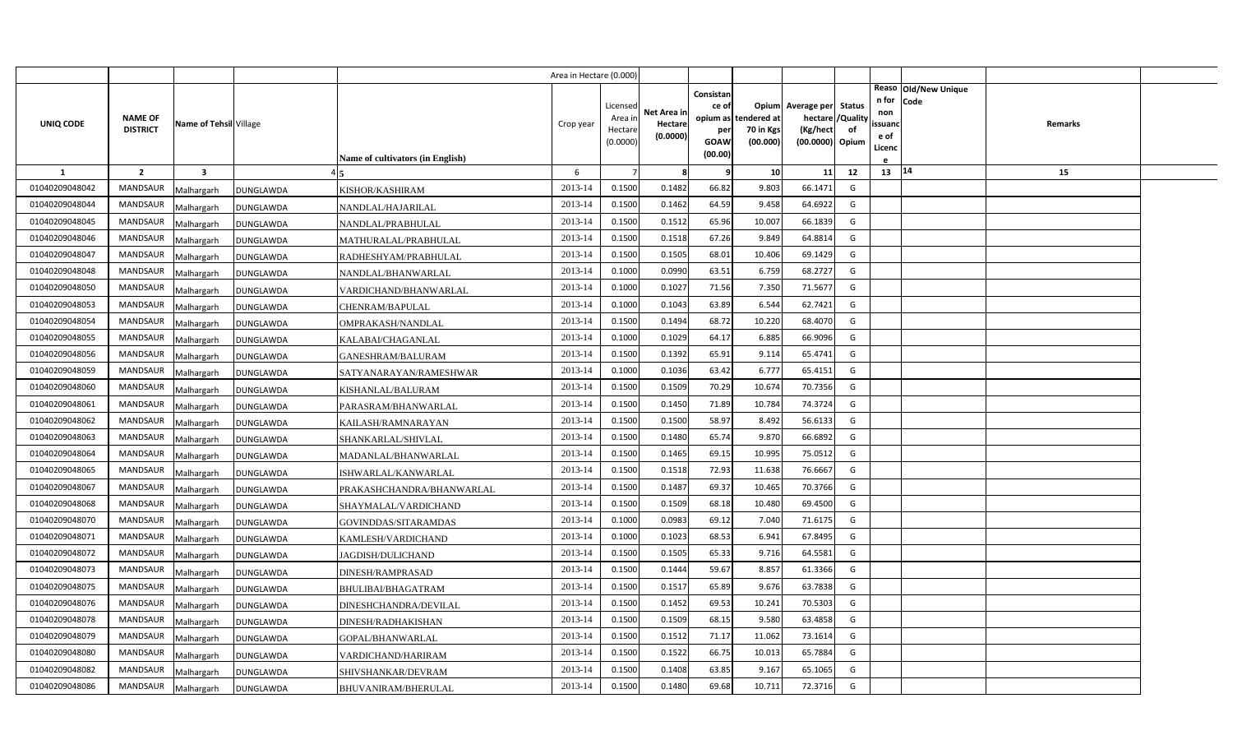|                |                                   |                         |                                         | Area in Hectare (0.000) |                                            |                                    |                                                     |                                               |                                                                    |                |                                          |                              |         |  |
|----------------|-----------------------------------|-------------------------|-----------------------------------------|-------------------------|--------------------------------------------|------------------------------------|-----------------------------------------------------|-----------------------------------------------|--------------------------------------------------------------------|----------------|------------------------------------------|------------------------------|---------|--|
| UNIQ CODE      | <b>NAME OF</b><br><b>DISTRICT</b> | Name of Tehsil Village  | Name of cultivators (in English)        | Crop year               | Licensed<br>Area in<br>Hectare<br>(0.0000) | Net Area in<br>Hectare<br>(0.0000) | Consistan<br>ce of<br>per<br><b>GOAW</b><br>(00.00) | opium as tendered at<br>70 in Kgs<br>(00.000) | Opium Average per Status<br>hectare<br>(Kg/hect<br>(00.0000) Opium | /Quality<br>of | n for<br>non<br>ssuand<br>e of<br>Licenc | Reaso Old/New Unique<br>Code | Remarks |  |
| 1              | $\overline{2}$                    | $\overline{\mathbf{3}}$ |                                         | 6                       |                                            | -8                                 | -9                                                  | 10                                            | 11                                                                 | 12             | 13 14                                    |                              | 15      |  |
| 01040209048042 | <b>MANDSAUR</b>                   | Malhargarh              | DUNGLAWDA<br>KISHOR/KASHIRAM            | 2013-14                 | 0.1500                                     | 0.1482                             | 66.82                                               | 9.803                                         | 66.1471                                                            | G              |                                          |                              |         |  |
| 01040209048044 | <b>MANDSAUR</b>                   | Malhargarh              | DUNGLAWDA<br>NANDLAL/HAJARILAL          | 2013-14                 | 0.1500                                     | 0.1462                             | 64.59                                               | 9.458                                         | 64.6922                                                            | G              |                                          |                              |         |  |
| 01040209048045 | <b>MANDSAUR</b>                   | Malhargarh              | DUNGLAWDA<br>NANDLAL/PRABHULAL          | 2013-14                 | 0.1500                                     | 0.1512                             | 65.96                                               | 10.007                                        | 66.1839                                                            | G              |                                          |                              |         |  |
| 01040209048046 | <b>MANDSAUR</b>                   | Malhargarh              | DUNGLAWDA<br>MATHURALAL/PRABHULAL       | 2013-14                 | 0.1500                                     | 0.1518                             | 67.26                                               | 9.849                                         | 64.8814                                                            | G              |                                          |                              |         |  |
| 01040209048047 | <b>MANDSAUR</b>                   | Malhargarh              | DUNGLAWDA<br>RADHESHYAM/PRABHULAL       | 2013-14                 | 0.1500                                     | 0.1505                             | 68.01                                               | 10.406                                        | 69.1429                                                            | G              |                                          |                              |         |  |
| 01040209048048 | <b>MANDSAUR</b>                   | Malhargarh              | DUNGLAWDA<br>NANDLAL/BHANWARLAL         | 2013-14                 | 0.1000                                     | 0.0990                             | 63.51                                               | 6.759                                         | 68.2727                                                            | G              |                                          |                              |         |  |
| 01040209048050 | <b>MANDSAUR</b>                   | Malhargarh              | DUNGLAWDA<br>VARDICHAND/BHANWARLAL      | 2013-14                 | 0.1000                                     | 0.1027                             | 71.56                                               | 7.350                                         | 71.5677                                                            | G              |                                          |                              |         |  |
| 01040209048053 | <b>MANDSAUR</b>                   | Malhargarh              | DUNGLAWDA<br>CHENRAM/BAPULAL            | 2013-14                 | 0.1000                                     | 0.1043                             | 63.89                                               | 6.544                                         | 62.7421                                                            | G              |                                          |                              |         |  |
| 01040209048054 | <b>MANDSAUR</b>                   | Malhargarh              | DUNGLAWDA<br>OMPRAKASH/NANDLAL          | 2013-14                 | 0.1500                                     | 0.1494                             | 68.72                                               | 10.220                                        | 68.4070                                                            | G              |                                          |                              |         |  |
| 01040209048055 | <b>MANDSAUR</b>                   | Malhargarh              | DUNGLAWDA<br>KALABAI/CHAGANLAL          | 2013-14                 | 0.1000                                     | 0.1029                             | 64.17                                               | 6.885                                         | 66.9096                                                            | G              |                                          |                              |         |  |
| 01040209048056 | <b>MANDSAUR</b>                   | Malhargarh              | GANESHRAM/BALURAM<br>DUNGLAWDA          | 2013-14                 | 0.1500                                     | 0.1392                             | 65.91                                               | 9.114                                         | 65.4741                                                            | G              |                                          |                              |         |  |
| 01040209048059 | <b>MANDSAUR</b>                   | Malhargarh              | DUNGLAWDA<br>SATYANARAYAN/RAMESHWAR     | 2013-14                 | 0.1000                                     | 0.1036                             | 63.42                                               | 6.777                                         | 65.4151                                                            | G              |                                          |                              |         |  |
| 01040209048060 | <b>MANDSAUR</b>                   | Malhargarh              | DUNGLAWDA<br>KISHANLAL/BALURAM          | 2013-14                 | 0.1500                                     | 0.1509                             | 70.29                                               | 10.674                                        | 70.7356                                                            | G              |                                          |                              |         |  |
| 01040209048061 | <b>MANDSAUR</b>                   | Malhargarh              | DUNGLAWDA<br>PARASRAM/BHANWARLAL        | 2013-14                 | 0.1500                                     | 0.1450                             | 71.89                                               | 10.784                                        | 74.3724                                                            | G              |                                          |                              |         |  |
| 01040209048062 | <b>MANDSAUR</b>                   | Malhargarh              | KAILASH/RAMNARAYAN<br>DUNGLAWDA         | 2013-14                 | 0.1500                                     | 0.1500                             | 58.97                                               | 8.492                                         | 56.6133                                                            | G              |                                          |                              |         |  |
| 01040209048063 | <b>MANDSAUR</b>                   | Malhargarh              | DUNGLAWDA<br>SHANKARLAL/SHIVLAL         | 2013-14                 | 0.1500                                     | 0.1480                             | 65.74                                               | 9.870                                         | 66.6892                                                            | G              |                                          |                              |         |  |
| 01040209048064 | <b>MANDSAUR</b>                   | Malhargarh              | DUNGLAWDA<br>MADANLAL/BHANWARLAL        | 2013-14                 | 0.1500                                     | 0.1465                             | 69.15                                               | 10.995                                        | 75.0512                                                            | G              |                                          |                              |         |  |
| 01040209048065 | <b>MANDSAUR</b>                   | Malhargarh              | DUNGLAWDA<br>ISHWARLAL/KANWARLAL        | 2013-14                 | 0.1500                                     | 0.1518                             | 72.93                                               | 11.638                                        | 76.6667                                                            | G              |                                          |                              |         |  |
| 01040209048067 | <b>MANDSAUR</b>                   | Malhargarh              | DUNGLAWDA<br>PRAKASHCHANDRA/BHANWARLAL  | 2013-14                 | 0.1500                                     | 0.1487                             | 69.37                                               | 10.465                                        | 70.3766                                                            | G              |                                          |                              |         |  |
| 01040209048068 | <b>MANDSAUR</b>                   | Malhargarh              | SHAYMALAL/VARDICHAND<br>DUNGLAWDA       | 2013-14                 | 0.1500                                     | 0.1509                             | 68.18                                               | 10.480                                        | 69.4500                                                            | G              |                                          |                              |         |  |
| 01040209048070 | <b>MANDSAUR</b>                   | Malhargarh              | DUNGLAWDA<br>GOVINDDAS/SITARAMDAS       | 2013-14                 | 0.1000                                     | 0.0983                             | 69.12                                               | 7.040                                         | 71.6175                                                            | G              |                                          |                              |         |  |
| 01040209048071 | <b>MANDSAUR</b>                   | Malhargarh              | KAMLESH/VARDICHAND<br>DUNGLAWDA         | 2013-14                 | 0.1000                                     | 0.1023                             | 68.53                                               | 6.941                                         | 67.8495                                                            | G              |                                          |                              |         |  |
| 01040209048072 | MANDSAUR                          | Malhargarh              | DUNGLAWDA<br>JAGDISH/DULICHAND          | 2013-14                 | 0.1500                                     | 0.1505                             | 65.33                                               | 9.716                                         | 64.5581                                                            | G              |                                          |                              |         |  |
| 01040209048073 | <b>MANDSAUR</b>                   | Malhargarh              | DUNGLAWDA<br>DINESH/RAMPRASAD           | 2013-14                 | 0.1500                                     | 0.1444                             | 59.67                                               | 8.857                                         | 61.3366                                                            | G              |                                          |                              |         |  |
| 01040209048075 | <b>MANDSAUR</b>                   | Malhargarh              | DUNGLAWDA<br>BHULIBAI/BHAGATRAM         | 2013-14                 | 0.1500                                     | 0.1517                             | 65.89                                               | 9.676                                         | 63.7838                                                            | G              |                                          |                              |         |  |
| 01040209048076 | <b>MANDSAUR</b>                   | Malhargarh              | DUNGLAWDA<br>DINESHCHANDRA/DEVILAL      | 2013-14                 | 0.1500                                     | 0.1452                             | 69.53                                               | 10.241                                        | 70.5303                                                            | G              |                                          |                              |         |  |
| 01040209048078 | <b>MANDSAUR</b>                   | Malhargarh              | DUNGLAWDA<br>DINESH/RADHAKISHAN         | 2013-14                 | 0.1500                                     | 0.1509                             | 68.15                                               | 9.580                                         | 63.4858                                                            | G              |                                          |                              |         |  |
| 01040209048079 | <b>MANDSAUR</b>                   | Malhargarh              | GOPAL/BHANWARLAL<br>DUNGLAWDA           | 2013-14                 | 0.1500                                     | 0.1512                             | 71.17                                               | 11.062                                        | 73.1614                                                            | G              |                                          |                              |         |  |
| 01040209048080 | <b>MANDSAUR</b>                   | Malhargarh              | DUNGLAWDA<br>VARDICHAND/HARIRAM         | 2013-14                 | 0.1500                                     | 0.1522                             | 66.75                                               | 10.013                                        | 65.7884                                                            | G              |                                          |                              |         |  |
| 01040209048082 | <b>MANDSAUR</b>                   | Malhargarh              | DUNGLAWDA<br>SHIVSHANKAR/DEVRAM         | 2013-14                 | 0.1500                                     | 0.1408                             | 63.85                                               | 9.167                                         | 65.1065                                                            | G              |                                          |                              |         |  |
| 01040209048086 | MANDSAUR                          | Malhargarh              | <b>DUNGLAWDA</b><br>BHUVANIRAM/BHERULAL | 2013-14                 | 0.1500                                     | 0.1480                             | 69.68                                               | 10.71                                         | 72.3716                                                            | G              |                                          |                              |         |  |